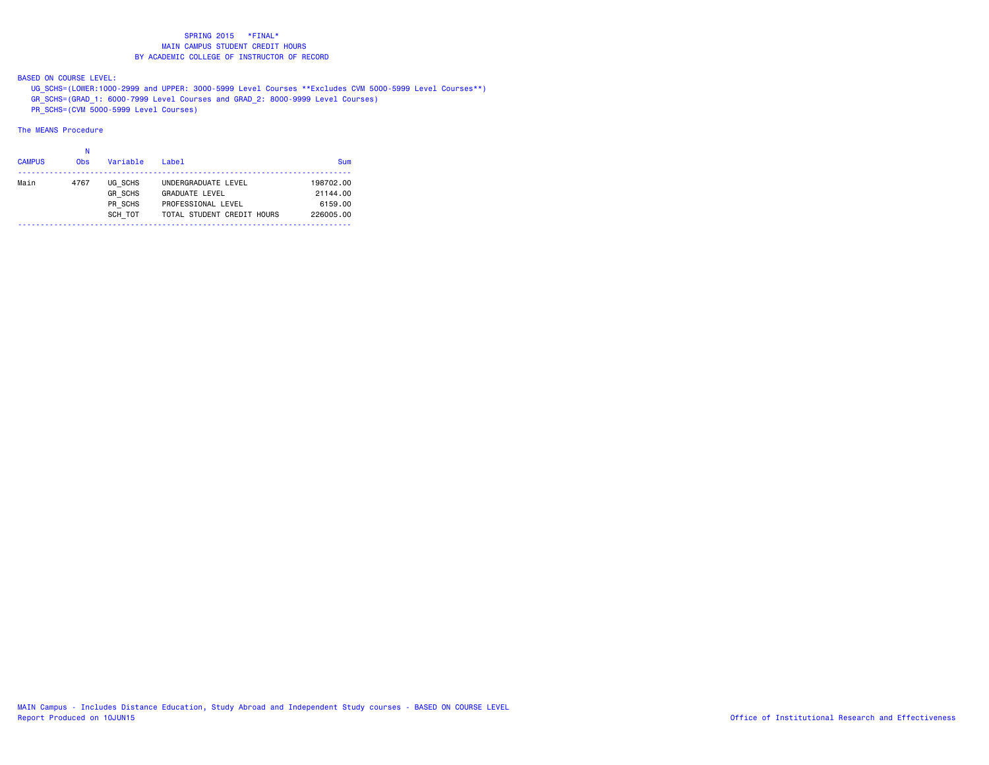BASED ON COURSE LEVEL:

UG\_SCHS=(LOWER:1000-2999 and UPPER: 3000-5999 Level Courses \*\*Excludes CVM 5000-5999 Level Courses\*\*)

GR\_SCHS=(GRAD\_1: 6000-7999 Level Courses and GRAD\_2: 8000-9999 Level Courses)

PR\_SCHS=(CVM 5000-5999 Level Courses)

# The MEANS Procedure

#### na na kaominina amin'ny fivondronan-kaominin'i No

| <b>CAMPUS</b> | 0 <sub>bs</sub> | Variable       | Label                      | Sum       |
|---------------|-----------------|----------------|----------------------------|-----------|
| Main          | 4767            | UG SCHS        | UNDERGRADUATE LEVEL        | 198702.00 |
|               |                 | <b>GR SCHS</b> | <b>GRADUATE LEVEL</b>      | 21144.00  |
|               |                 | PR SCHS        | PROFESSIONAL LEVEL         | 6159.00   |
|               |                 | SCH TOT        | TOTAL STUDENT CREDIT HOURS | 226005.00 |
|               |                 |                |                            |           |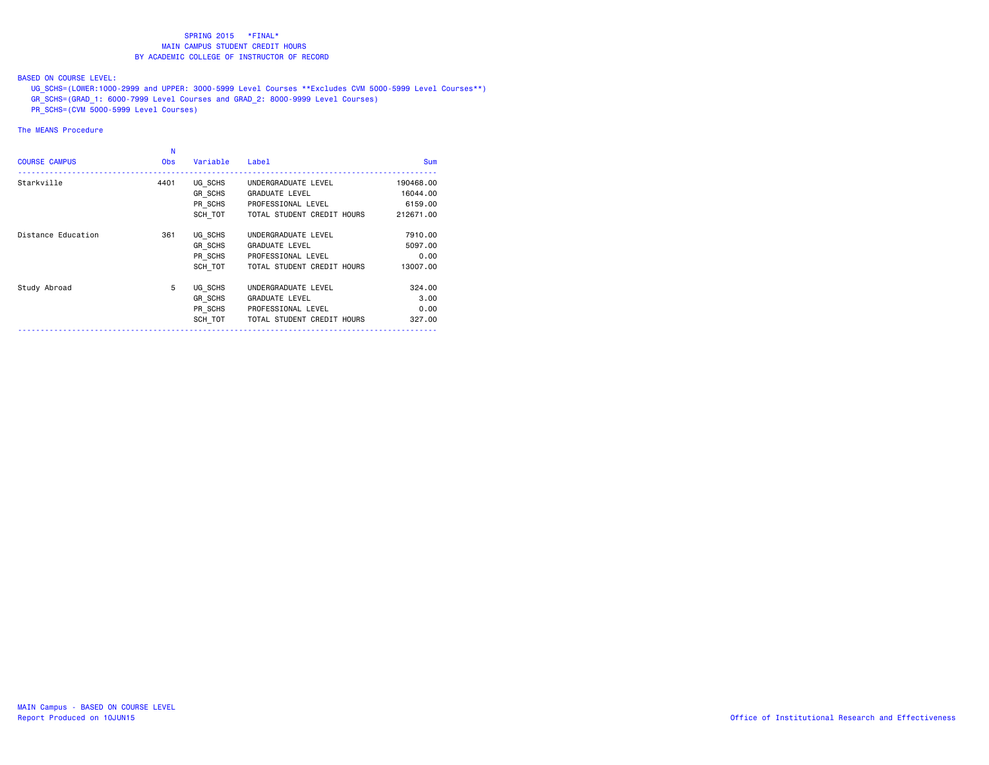## BASED ON COURSE LEVEL:

UG\_SCHS=(LOWER:1000-2999 and UPPER: 3000-5999 Level Courses \*\*Excludes CVM 5000-5999 Level Courses\*\*)

- GR\_SCHS=(GRAD\_1: 6000-7999 Level Courses and GRAD\_2: 8000-9999 Level Courses)
- PR\_SCHS=(CVM 5000-5999 Level Courses)

| N<br><b>Obs</b> | Variable | Label                      | <b>Sum</b>                                                                                              |
|-----------------|----------|----------------------------|---------------------------------------------------------------------------------------------------------|
| 4401            | UG SCHS  | UNDERGRADUATE LEVEL        | 190468,00                                                                                               |
|                 |          | <b>GRADUATE LEVEL</b>      | 16044.00                                                                                                |
|                 |          | PROFESSIONAL LEVEL         | 6159.00                                                                                                 |
|                 |          |                            | 212671.00                                                                                               |
| 361             | UG SCHS  | UNDERGRADUATE LEVEL        | 7910.00                                                                                                 |
|                 | GR SCHS  | <b>GRADUATE LEVEL</b>      | 5097.00                                                                                                 |
|                 |          | PROFESSIONAL LEVEL         | 0.00                                                                                                    |
|                 |          | TOTAL STUDENT CREDIT HOURS | 13007.00                                                                                                |
| 5               | UG SCHS  | UNDERGRADUATE LEVEL        | 324,00                                                                                                  |
|                 | GR SCHS  | <b>GRADUATE LEVEL</b>      | 3,00                                                                                                    |
|                 |          | PROFESSIONAL LEVEL         | 0.00                                                                                                    |
|                 |          | TOTAL STUDENT CREDIT HOURS | 327,00                                                                                                  |
|                 |          |                            | GR SCHS<br>PR SCHS<br>SCH TOT<br>TOTAL STUDENT CREDIT HOURS<br>PR SCHS<br>SCH TOT<br>PR SCHS<br>SCH TOT |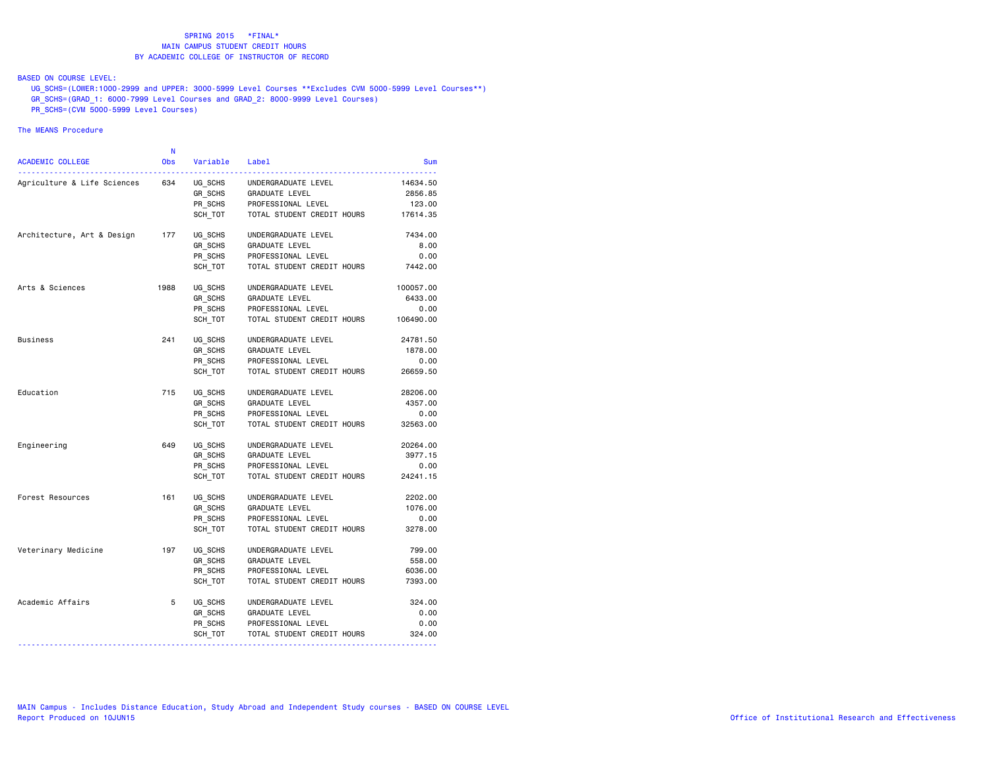## BASED ON COURSE LEVEL:

 UG\_SCHS=(LOWER:1000-2999 and UPPER: 3000-5999 Level Courses \*\*Excludes CVM 5000-5999 Level Courses\*\*) GR\_SCHS=(GRAD\_1: 6000-7999 Level Courses and GRAD\_2: 8000-9999 Level Courses)

PR\_SCHS=(CVM 5000-5999 Level Courses)

|                             | N          |          |                            |            |
|-----------------------------|------------|----------|----------------------------|------------|
| ACADEMIC COLLEGE            | <b>Obs</b> | Variable | Label                      | <b>Sum</b> |
| Agriculture & Life Sciences | 634        | UG SCHS  | UNDERGRADUATE LEVEL        | 14634.50   |
|                             |            | GR SCHS  | GRADUATE LEVEL             | 2856.85    |
|                             |            | PR_SCHS  | PROFESSIONAL LEVEL         | 123.00     |
|                             |            | SCH TOT  | TOTAL STUDENT CREDIT HOURS | 17614.35   |
| Architecture, Art & Design  | 177        | UG_SCHS  | UNDERGRADUATE LEVEL        | 7434.00    |
|                             |            | GR SCHS  | GRADUATE LEVEL             | 8.00       |
|                             |            | PR SCHS  | PROFESSIONAL LEVEL         | 0.00       |
|                             |            | SCH TOT  | TOTAL STUDENT CREDIT HOURS | 7442.00    |
| Arts & Sciences             | 1988       | UG SCHS  | UNDERGRADUATE LEVEL        | 100057.00  |
|                             |            | GR SCHS  | GRADUATE LEVEL             | 6433.00    |
|                             |            | PR SCHS  | PROFESSIONAL LEVEL         | 0.00       |
|                             |            | SCH TOT  | TOTAL STUDENT CREDIT HOURS | 106490.00  |
| <b>Business</b>             | 241        | UG SCHS  | UNDERGRADUATE LEVEL        | 24781.50   |
|                             |            | GR SCHS  | GRADUATE LEVEL             | 1878.00    |
|                             |            | PR SCHS  | PROFESSIONAL LEVEL         | 0.00       |
|                             |            | SCH TOT  | TOTAL STUDENT CREDIT HOURS | 26659.50   |
| Education                   | 715        | UG_SCHS  | UNDERGRADUATE LEVEL        | 28206.00   |
|                             |            | GR SCHS  | GRADUATE LEVEL             | 4357.00    |
|                             |            | PR SCHS  | PROFESSIONAL LEVEL         | 0.00       |
|                             |            | SCH TOT  | TOTAL STUDENT CREDIT HOURS | 32563.00   |
| Engineering                 | 649        | UG SCHS  | UNDERGRADUATE LEVEL        | 20264.00   |
|                             |            | GR_SCHS  | GRADUATE LEVEL             | 3977.15    |
|                             |            | PR SCHS  | PROFESSIONAL LEVEL         | 0.00       |
|                             |            | SCH TOT  | TOTAL STUDENT CREDIT HOURS | 24241.15   |
| Forest Resources            | 161        | UG SCHS  | UNDERGRADUATE LEVEL        | 2202.00    |
|                             |            | GR SCHS  | GRADUATE LEVEL             | 1076.00    |
|                             |            | PR SCHS  | PROFESSIONAL LEVEL         | 0.00       |
|                             |            | SCH TOT  | TOTAL STUDENT CREDIT HOURS | 3278.00    |
| Veterinary Medicine         | 197        | UG SCHS  | UNDERGRADUATE LEVEL        | 799.00     |
|                             |            | GR SCHS  | GRADUATE LEVEL             | 558.00     |
|                             |            | PR SCHS  | PROFESSIONAL LEVEL         | 6036.00    |
|                             |            | SCH TOT  | TOTAL STUDENT CREDIT HOURS | 7393.00    |
| Academic Affairs            | 5          | UG_SCHS  | UNDERGRADUATE LEVEL        | 324,00     |
|                             |            | GR SCHS  | <b>GRADUATE LEVEL</b>      | 0.00       |
|                             |            | PR SCHS  | PROFESSIONAL LEVEL         | 0.00       |
|                             |            | SCH_TOT  | TOTAL STUDENT CREDIT HOURS | 324.00     |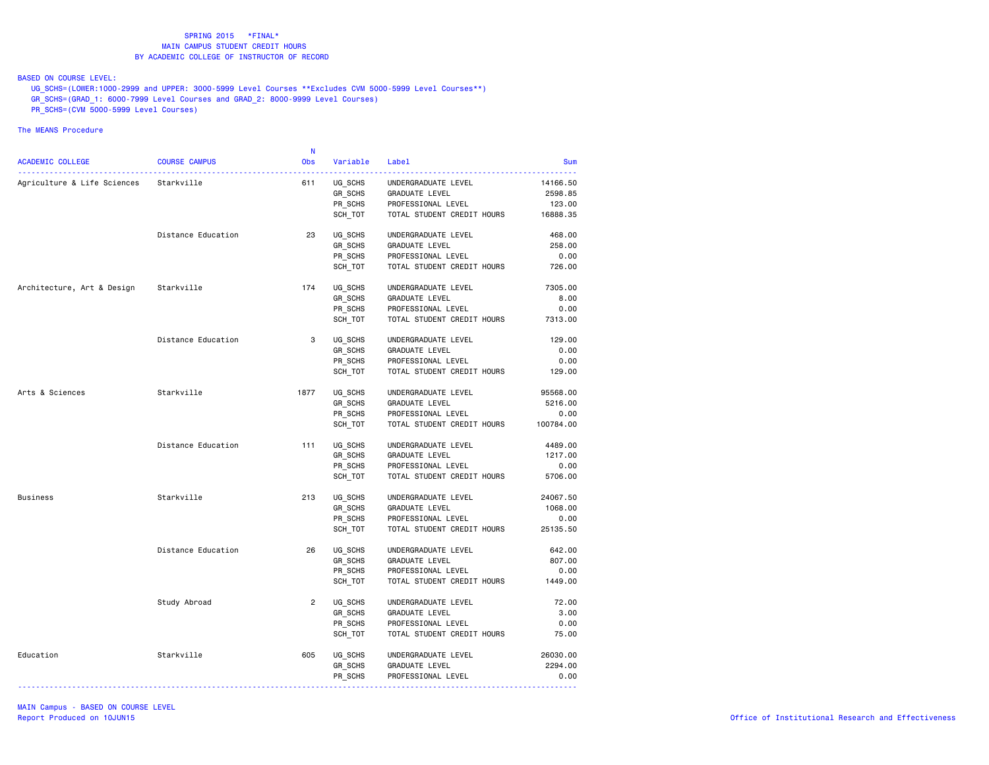BASED ON COURSE LEVEL:

UG\_SCHS=(LOWER:1000-2999 and UPPER: 3000-5999 Level Courses \*\*Excludes CVM 5000-5999 Level Courses\*\*)

GR\_SCHS=(GRAD\_1: 6000-7999 Level Courses and GRAD\_2: 8000-9999 Level Courses)

PR\_SCHS=(CVM 5000-5999 Level Courses)

|                                        |                      | N              |          |                            |            |
|----------------------------------------|----------------------|----------------|----------|----------------------------|------------|
| ACADEMIC COLLEGE                       | <b>COURSE CAMPUS</b> | <b>Obs</b>     | Variable | Label                      | <b>Sum</b> |
| Agriculture & Life Sciences Starkville |                      | 611            | UG SCHS  | UNDERGRADUATE LEVEL        | 14166.50   |
|                                        |                      |                | GR SCHS  | GRADUATE LEVEL             | 2598.85    |
|                                        |                      |                | PR_SCHS  | PROFESSIONAL LEVEL         | 123.00     |
|                                        |                      |                | SCH TOT  | TOTAL STUDENT CREDIT HOURS | 16888.35   |
|                                        | Distance Education   | 23             | UG SCHS  | UNDERGRADUATE LEVEL        | 468.00     |
|                                        |                      |                | GR SCHS  | GRADUATE LEVEL             | 258.00     |
|                                        |                      |                | PR SCHS  | PROFESSIONAL LEVEL         | 0.00       |
|                                        |                      |                | SCH TOT  | TOTAL STUDENT CREDIT HOURS | 726.00     |
| Architecture, Art & Design             | Starkville           | 174            | UG_SCHS  | UNDERGRADUATE LEVEL        | 7305.00    |
|                                        |                      |                | GR_SCHS  | <b>GRADUATE LEVEL</b>      | 8.00       |
|                                        |                      |                | PR SCHS  | PROFESSIONAL LEVEL         | 0.00       |
|                                        |                      |                | SCH TOT  | TOTAL STUDENT CREDIT HOURS | 7313.00    |
|                                        | Distance Education   | 3              | UG SCHS  | UNDERGRADUATE LEVEL        | 129.00     |
|                                        |                      |                | GR SCHS  | <b>GRADUATE LEVEL</b>      | 0.00       |
|                                        |                      |                | PR SCHS  | PROFESSIONAL LEVEL         | 0.00       |
|                                        |                      |                | SCH TOT  | TOTAL STUDENT CREDIT HOURS | 129.00     |
| Arts & Sciences                        | Starkville           | 1877           | UG SCHS  | UNDERGRADUATE LEVEL        | 95568.00   |
|                                        |                      |                | GR SCHS  | <b>GRADUATE LEVEL</b>      | 5216.00    |
|                                        |                      |                | PR_SCHS  | PROFESSIONAL LEVEL         | 0.00       |
|                                        |                      |                | SCH_TOT  | TOTAL STUDENT CREDIT HOURS | 100784.00  |
|                                        | Distance Education   | 111            | UG SCHS  | UNDERGRADUATE LEVEL        | 4489.00    |
|                                        |                      |                | GR SCHS  | <b>GRADUATE LEVEL</b>      | 1217.00    |
|                                        |                      |                | PR SCHS  | PROFESSIONAL LEVEL         | 0.00       |
|                                        |                      |                | SCH TOT  | TOTAL STUDENT CREDIT HOURS | 5706.00    |
| <b>Business</b>                        | Starkville           | 213            | UG SCHS  | UNDERGRADUATE LEVEL        | 24067.50   |
|                                        |                      |                | GR SCHS  | GRADUATE LEVEL             | 1068.00    |
|                                        |                      |                | PR_SCHS  | PROFESSIONAL LEVEL         | 0.00       |
|                                        |                      |                | SCH TOT  | TOTAL STUDENT CREDIT HOURS | 25135.50   |
|                                        | Distance Education   | 26             | UG SCHS  | UNDERGRADUATE LEVEL        | 642.00     |
|                                        |                      |                | GR_SCHS  | <b>GRADUATE LEVEL</b>      | 807.00     |
|                                        |                      |                | PR_SCHS  | PROFESSIONAL LEVEL         | 0.00       |
|                                        |                      |                | SCH_TOT  | TOTAL STUDENT CREDIT HOURS | 1449.00    |
|                                        | Study Abroad         | $\overline{2}$ | UG SCHS  | UNDERGRADUATE LEVEL        | 72.00      |
|                                        |                      |                | GR SCHS  | <b>GRADUATE LEVEL</b>      | 3.00       |
|                                        |                      |                | PR SCHS  | PROFESSIONAL LEVEL         | 0.00       |
|                                        |                      |                | SCH_TOT  | TOTAL STUDENT CREDIT HOURS | 75.00      |
| Education                              | Starkville           | 605            | UG SCHS  | UNDERGRADUATE LEVEL        | 26030.00   |
|                                        |                      |                | GR SCHS  | <b>GRADUATE LEVEL</b>      | 2294.00    |
|                                        |                      |                | PR_SCHS  | PROFESSIONAL LEVEL         | 0.00       |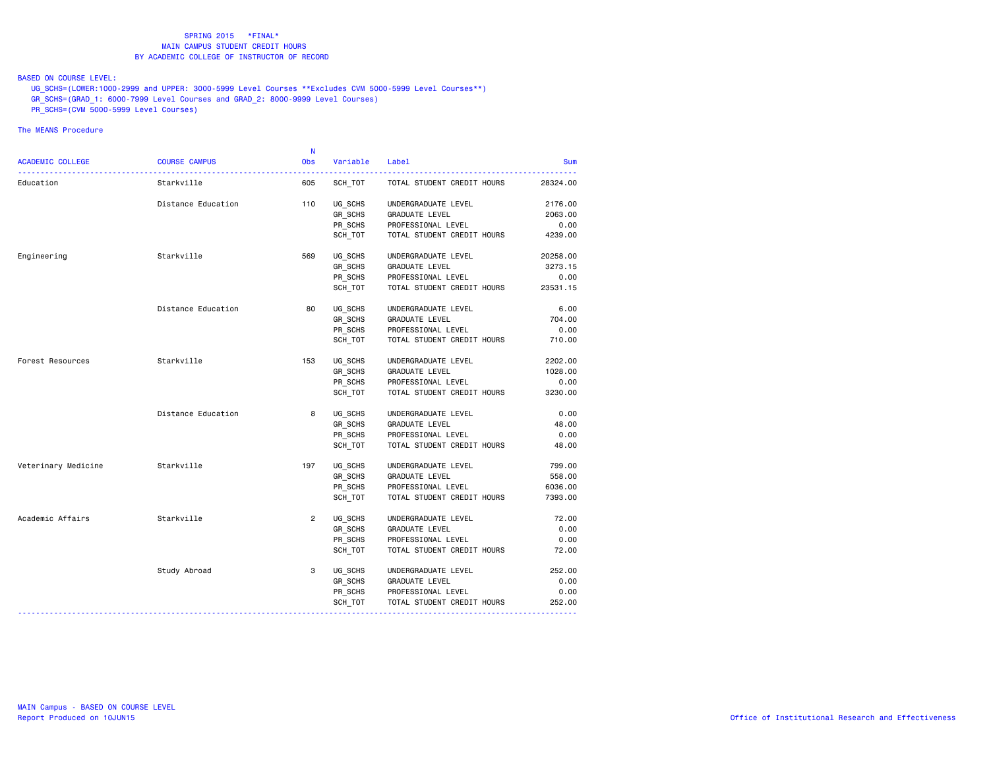BASED ON COURSE LEVEL:

UG\_SCHS=(LOWER:1000-2999 and UPPER: 3000-5999 Level Courses \*\*Excludes CVM 5000-5999 Level Courses\*\*)

GR\_SCHS=(GRAD\_1: 6000-7999 Level Courses and GRAD\_2: 8000-9999 Level Courses)

PR\_SCHS=(CVM 5000-5999 Level Courses)

|                         |                      | N          |          |                            |            |
|-------------------------|----------------------|------------|----------|----------------------------|------------|
| <b>ACADEMIC COLLEGE</b> | <b>COURSE CAMPUS</b> | <b>Obs</b> | Variable | Label                      | <b>Sum</b> |
| Education               | Starkville           | 605        | SCH TOT  | TOTAL STUDENT CREDIT HOURS | 28324.00   |
|                         | Distance Education   | 110        | UG SCHS  | UNDERGRADUATE LEVEL        | 2176.00    |
|                         |                      |            | GR_SCHS  | GRADUATE LEVEL             | 2063.00    |
|                         |                      |            | PR SCHS  | PROFESSIONAL LEVEL         | 0.00       |
|                         |                      |            | SCH TOT  | TOTAL STUDENT CREDIT HOURS | 4239.00    |
| Engineering             | Starkville           | 569        | UG SCHS  | UNDERGRADUATE LEVEL        | 20258.00   |
|                         |                      |            | GR_SCHS  | <b>GRADUATE LEVEL</b>      | 3273.15    |
|                         |                      |            | PR SCHS  | PROFESSIONAL LEVEL         | 0.00       |
|                         |                      |            | SCH_TOT  | TOTAL STUDENT CREDIT HOURS | 23531.15   |
|                         | Distance Education   | 80         | UG SCHS  | UNDERGRADUATE LEVEL        | 6.00       |
|                         |                      |            | GR SCHS  | <b>GRADUATE LEVEL</b>      | 704.00     |
|                         |                      |            | PR_SCHS  | PROFESSIONAL LEVEL         | 0.00       |
|                         |                      |            | SCH TOT  | TOTAL STUDENT CREDIT HOURS | 710.00     |
| Forest Resources        | Starkville           | 153        | UG SCHS  | UNDERGRADUATE LEVEL        | 2202.00    |
|                         |                      |            | GR SCHS  | GRADUATE LEVEL             | 1028.00    |
|                         |                      |            | PR_SCHS  | PROFESSIONAL LEVEL         | 0.00       |
|                         |                      |            | SCH TOT  | TOTAL STUDENT CREDIT HOURS | 3230.00    |
|                         | Distance Education   | 8          | UG SCHS  | UNDERGRADUATE LEVEL        | 0.00       |
|                         |                      |            | GR SCHS  | GRADUATE LEVEL             | 48.00      |
|                         |                      |            | PR SCHS  | PROFESSIONAL LEVEL         | 0.00       |
|                         |                      |            | SCH TOT  | TOTAL STUDENT CREDIT HOURS | 48.00      |
| Veterinary Medicine     | Starkville           | 197        | UG SCHS  | UNDERGRADUATE LEVEL        | 799.00     |
|                         |                      |            | GR_SCHS  | <b>GRADUATE LEVEL</b>      | 558.00     |
|                         |                      |            | PR SCHS  | PROFESSIONAL LEVEL         | 6036.00    |
|                         |                      |            | SCH_TOT  | TOTAL STUDENT CREDIT HOURS | 7393.00    |
| Academic Affairs        | Starkville           | 2          | UG_SCHS  | UNDERGRADUATE LEVEL        | 72.00      |
|                         |                      |            | GR SCHS  | <b>GRADUATE LEVEL</b>      | 0.00       |
|                         |                      |            | PR_SCHS  | PROFESSIONAL LEVEL         | 0.00       |
|                         |                      |            | SCH TOT  | TOTAL STUDENT CREDIT HOURS | 72.00      |
|                         | Study Abroad         | 3          | UG SCHS  | UNDERGRADUATE LEVEL        | 252.00     |
|                         |                      |            | GR_SCHS  | <b>GRADUATE LEVEL</b>      | 0.00       |
|                         |                      |            | PR SCHS  | PROFESSIONAL LEVEL         | 0.00       |
|                         |                      |            | SCH TOT  | TOTAL STUDENT CREDIT HOURS | 252.00     |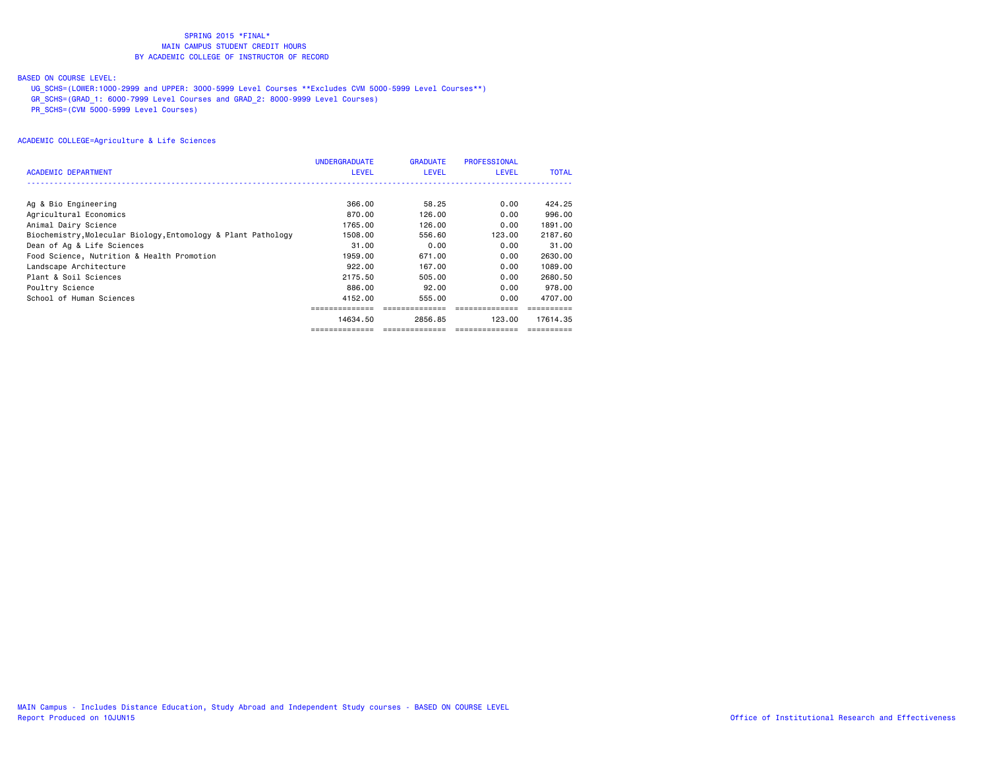#### BASED ON COURSE LEVEL:

UG\_SCHS=(LOWER:1000-2999 and UPPER: 3000-5999 Level Courses \*\*Excludes CVM 5000-5999 Level Courses\*\*)

GR\_SCHS=(GRAD\_1: 6000-7999 Level Courses and GRAD\_2: 8000-9999 Level Courses)

PR\_SCHS=(CVM 5000-5999 Level Courses)

|                                                               | <b>UNDERGRADUATE</b> | <b>GRADUATE</b> | <b>PROFESSIONAL</b> |              |
|---------------------------------------------------------------|----------------------|-----------------|---------------------|--------------|
| <b>ACADEMIC DEPARTMENT</b>                                    | <b>LEVEL</b>         | <b>LEVEL</b>    | <b>LEVEL</b>        | <b>TOTAL</b> |
|                                                               |                      |                 |                     |              |
| Ag & Bio Engineering                                          | 366.00               | 58.25           | 0.00                | 424.25       |
| Agricultural Economics                                        | 870.00               | 126,00          | 0.00                | 996.00       |
| Animal Dairy Science                                          | 1765.00              | 126,00          | 0.00                | 1891.00      |
| Biochemistry, Molecular Biology, Entomology & Plant Pathology | 1508.00              | 556.60          | 123.00              | 2187.60      |
| Dean of Ag & Life Sciences                                    | 31.00                | 0.00            | 0.00                | 31,00        |
| Food Science, Nutrition & Health Promotion                    | 1959.00              | 671.00          | 0.00                | 2630.00      |
| Landscape Architecture                                        | 922,00               | 167.00          | 0.00                | 1089.00      |
| Plant & Soil Sciences                                         | 2175.50              | 505,00          | 0.00                | 2680.50      |
| Poultry Science                                               | 886.00               | 92.00           | 0.00                | 978,00       |
| School of Human Sciences                                      | 4152.00              | 555,00          | 0.00                | 4707.00      |
|                                                               |                      |                 |                     |              |
|                                                               | 14634.50             | 2856.85         | 123,00              | 17614.35     |
|                                                               | ==============       | ==============  | ===============     |              |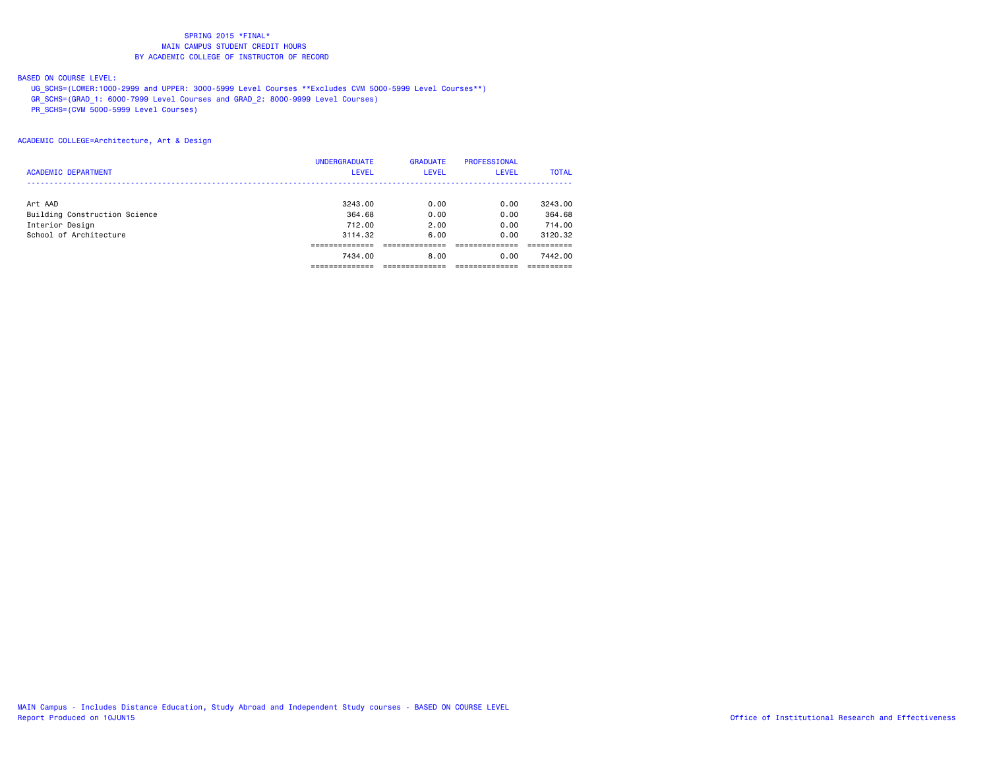#### BASED ON COURSE LEVEL:

UG\_SCHS=(LOWER:1000-2999 and UPPER: 3000-5999 Level Courses \*\*Excludes CVM 5000-5999 Level Courses\*\*)

GR\_SCHS=(GRAD\_1: 6000-7999 Level Courses and GRAD\_2: 8000-9999 Level Courses)

PR\_SCHS=(CVM 5000-5999 Level Courses)

### ACADEMIC COLLEGE=Architecture, Art & Design

|                               | <b>UNDERGRADUATE</b> | <b>GRADUATE</b> | <b>PROFESSIONAL</b> |              |
|-------------------------------|----------------------|-----------------|---------------------|--------------|
| <b>ACADEMIC DEPARTMENT</b>    | <b>LEVEL</b>         | <b>LEVEL</b>    | LEVEL               | <b>TOTAL</b> |
|                               |                      |                 |                     |              |
| Art AAD                       | 3243.00              | 0.00            | 0.00                | 3243.00      |
| Building Construction Science | 364.68               | 0.00            | 0.00                | 364.68       |
| Interior Design               | 712.00               | 2.00            | 0.00                | 714.00       |
| School of Architecture        | 3114.32              | 6.00            | 0.00                | 3120.32      |
|                               |                      |                 |                     |              |
|                               | 7434.00              | 8.00            | 0.00                | 7442.00      |
|                               |                      |                 |                     |              |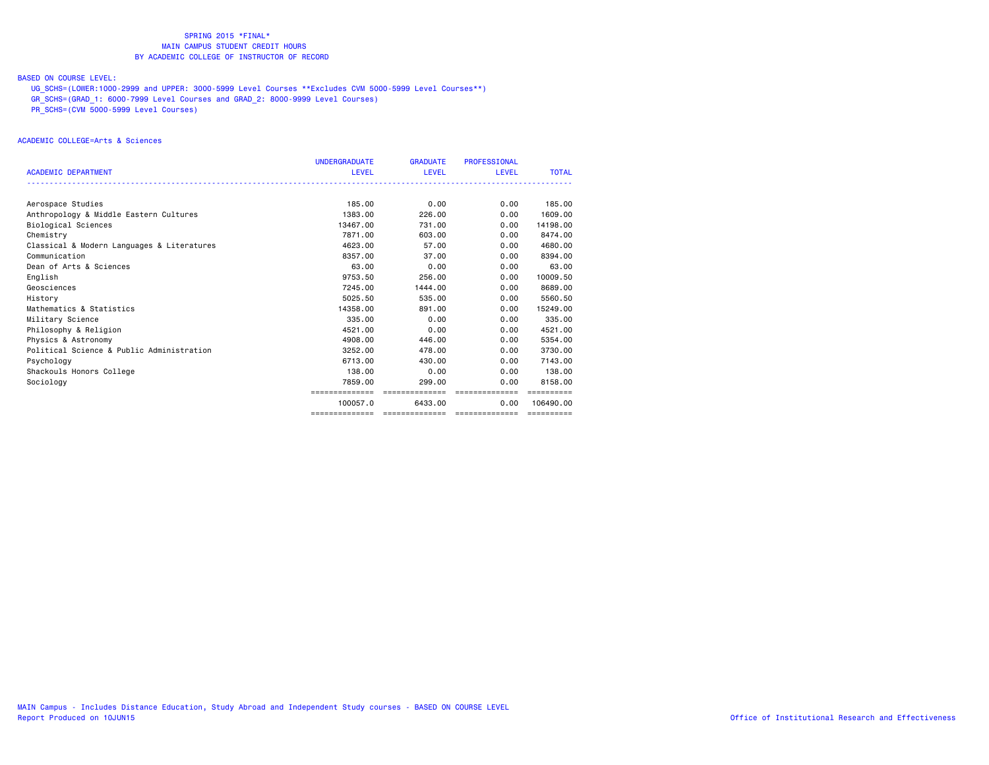#### BASED ON COURSE LEVEL:

UG\_SCHS=(LOWER:1000-2999 and UPPER: 3000-5999 Level Courses \*\*Excludes CVM 5000-5999 Level Courses\*\*)

GR\_SCHS=(GRAD\_1: 6000-7999 Level Courses and GRAD\_2: 8000-9999 Level Courses)

PR\_SCHS=(CVM 5000-5999 Level Courses)

#### ACADEMIC COLLEGE=Arts & Sciences

|                                            | <b>UNDERGRADUATE</b> | <b>GRADUATE</b> | <b>PROFESSIONAL</b> |              |
|--------------------------------------------|----------------------|-----------------|---------------------|--------------|
| <b>ACADEMIC DEPARTMENT</b>                 | LEVEL                | LEVEL           | <b>LEVEL</b>        | <b>TOTAL</b> |
|                                            |                      |                 |                     |              |
|                                            |                      |                 |                     |              |
| Aerospace Studies                          | 185.00               | 0.00            | 0.00                | 185.00       |
| Anthropology & Middle Eastern Cultures     | 1383.00              | 226,00          | 0.00                | 1609,00      |
| <b>Biological Sciences</b>                 | 13467.00             | 731,00          | 0.00                | 14198.00     |
| Chemistry                                  | 7871.00              | 603,00          | 0.00                | 8474.00      |
| Classical & Modern Languages & Literatures | 4623.00              | 57.00           | 0.00                | 4680.00      |
| Communication                              | 8357.00              | 37.00           | 0.00                | 8394.00      |
| Dean of Arts & Sciences                    | 63.00                | 0.00            | 0.00                | 63.00        |
| English                                    | 9753.50              | 256.00          | 0.00                | 10009.50     |
| Geosciences                                | 7245.00              | 1444.00         | 0.00                | 8689,00      |
| History                                    | 5025.50              | 535.00          | 0.00                | 5560.50      |
| Mathematics & Statistics                   | 14358,00             | 891,00          | 0.00                | 15249.00     |
| Military Science                           | 335.00               | 0.00            | 0.00                | 335.00       |
| Philosophy & Religion                      | 4521.00              | 0.00            | 0.00                | 4521.00      |
| Physics & Astronomy                        | 4908,00              | 446.00          | 0.00                | 5354.00      |
| Political Science & Public Administration  | 3252.00              | 478.00          | 0.00                | 3730.00      |
| Psychology                                 | 6713.00              | 430,00          | 0.00                | 7143.00      |
| Shackouls Honors College                   | 138,00               | 0.00            | 0.00                | 138,00       |
| Sociology                                  | 7859.00              | 299,00          | 0.00                | 8158.00      |
|                                            |                      | ==============  | ==============      |              |
|                                            | 100057.0             | 6433,00         | 0.00                | 106490.00    |
|                                            | ==============       | ==============  | ==============      | ==========   |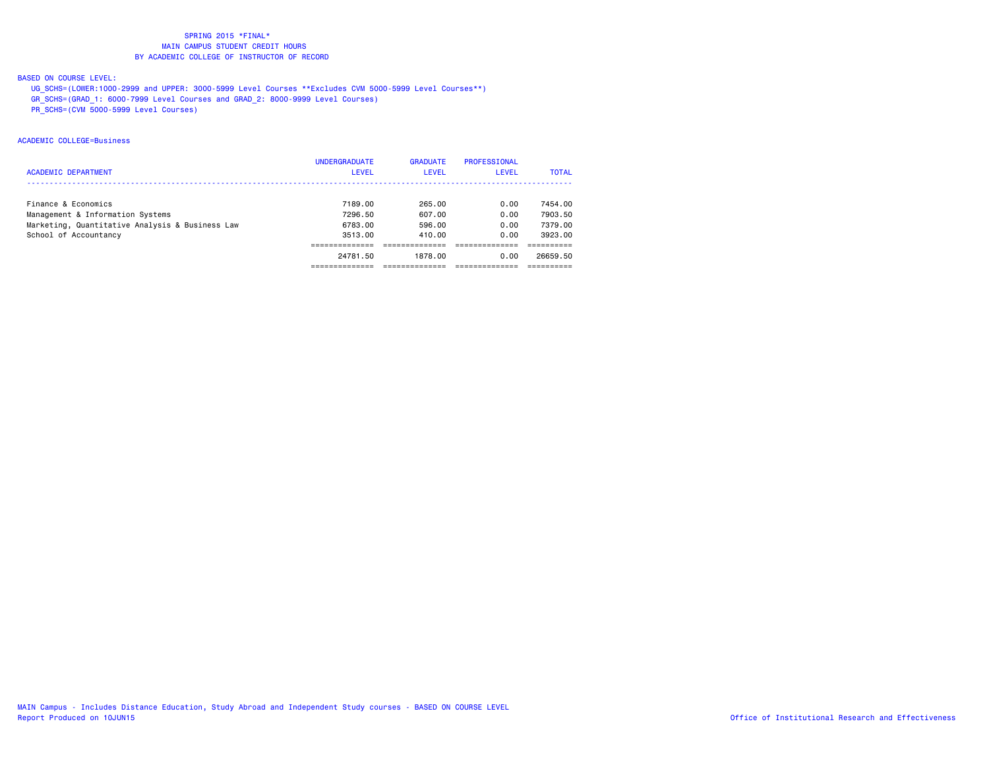## BASED ON COURSE LEVEL:

- UG\_SCHS=(LOWER:1000-2999 and UPPER: 3000-5999 Level Courses \*\*Excludes CVM 5000-5999 Level Courses\*\*)
- GR\_SCHS=(GRAD\_1: 6000-7999 Level Courses and GRAD\_2: 8000-9999 Level Courses)
- PR\_SCHS=(CVM 5000-5999 Level Courses)

#### ACADEMIC COLLEGE=Business

|                                                 | <b>UNDERGRADUATE</b> | <b>GRADUATE</b> | PROFESSIONAL |              |
|-------------------------------------------------|----------------------|-----------------|--------------|--------------|
| <b>ACADEMIC DEPARTMENT</b>                      | LEVEL                | <b>LEVEL</b>    | <b>LEVEL</b> | <b>TOTAL</b> |
|                                                 |                      |                 |              |              |
| Finance & Economics                             | 7189.00              | 265.00          | 0.00         | 7454.00      |
| Management & Information Systems                | 7296.50              | 607.00          | 0.00         | 7903.50      |
| Marketing, Quantitative Analysis & Business Law | 6783.00              | 596.00          | 0.00         | 7379.00      |
| School of Accountancy                           | 3513.00              | 410.00          | 0.00         | 3923.00      |
|                                                 |                      |                 |              |              |
|                                                 | 24781.50             | 1878.00         | 0.00         | 26659.50     |
|                                                 |                      |                 |              |              |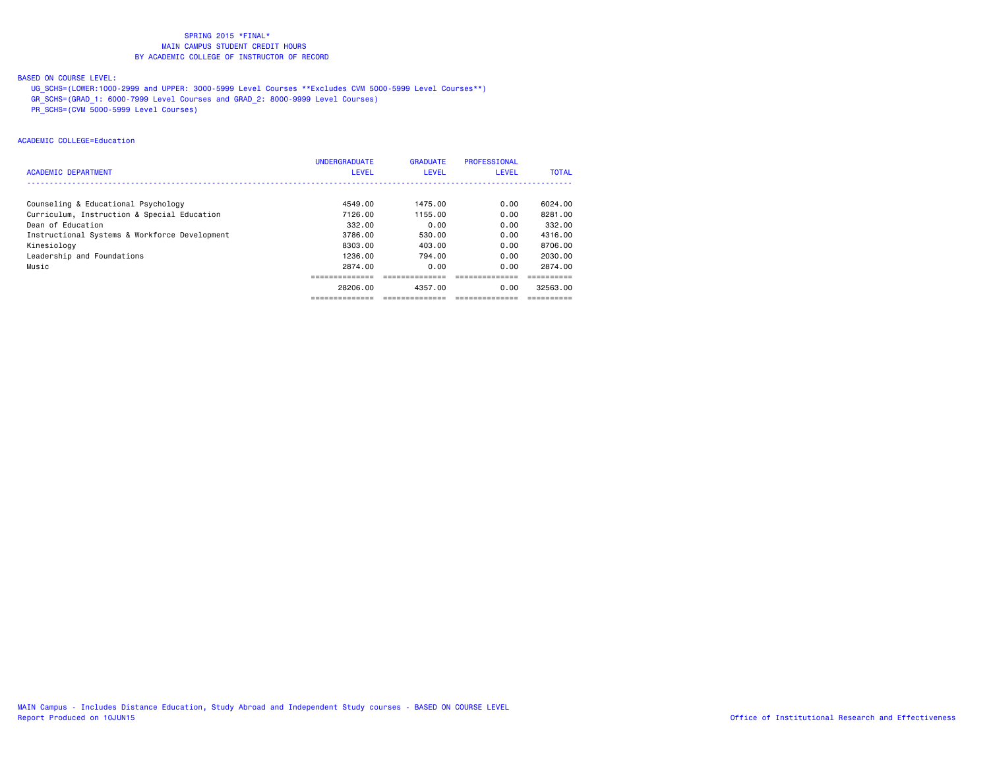## BASED ON COURSE LEVEL:

- UG\_SCHS=(LOWER:1000-2999 and UPPER: 3000-5999 Level Courses \*\*Excludes CVM 5000-5999 Level Courses\*\*)
- GR\_SCHS=(GRAD\_1: 6000-7999 Level Courses and GRAD\_2: 8000-9999 Level Courses)
- PR\_SCHS=(CVM 5000-5999 Level Courses)

#### ACADEMIC COLLEGE=Education

|                                               | <b>UNDERGRADUATE</b> | <b>GRADUATE</b> | PROFESSIONAL |              |
|-----------------------------------------------|----------------------|-----------------|--------------|--------------|
| <b>ACADEMIC DEPARTMENT</b>                    | <b>LEVEL</b>         | <b>LEVEL</b>    | <b>LEVEL</b> | <b>TOTAL</b> |
|                                               |                      |                 |              |              |
| Counseling & Educational Psychology           | 4549.00              | 1475.00         | 0.00         | 6024.00      |
| Curriculum, Instruction & Special Education   | 7126.00              | 1155.00         | 0.00         | 8281.00      |
| Dean of Education                             | 332.00               | 0.00            | 0.00         | 332.00       |
| Instructional Systems & Workforce Development | 3786.00              | 530.00          | 0.00         | 4316.00      |
| Kinesiology                                   | 8303.00              | 403.00          | 0.00         | 8706.00      |
| Leadership and Foundations                    | 1236.00              | 794.00          | 0.00         | 2030.00      |
| Music                                         | 2874.00              | 0.00            | 0.00         | 2874.00      |
|                                               |                      |                 |              |              |
|                                               | 28206.00             | 4357.00         | 0.00         | 32563.00     |
|                                               | ------------         | -------------   |              |              |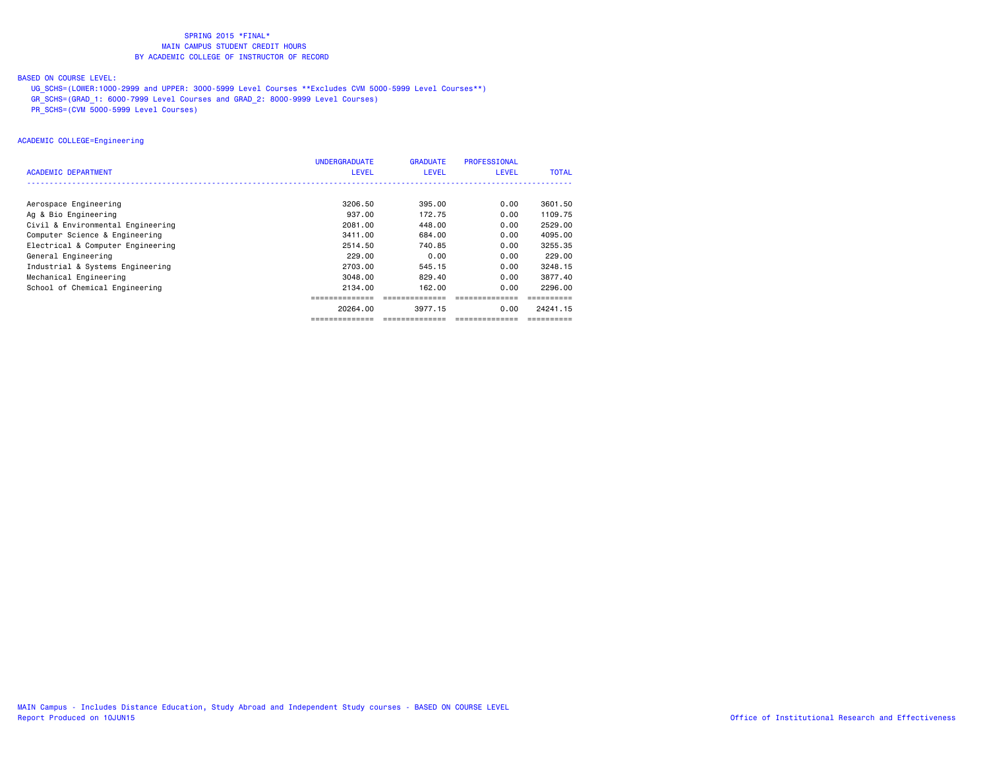#### BASED ON COURSE LEVEL:

- UG\_SCHS=(LOWER:1000-2999 and UPPER: 3000-5999 Level Courses \*\*Excludes CVM 5000-5999 Level Courses\*\*)
- GR\_SCHS=(GRAD\_1: 6000-7999 Level Courses and GRAD\_2: 8000-9999 Level Courses)
- PR\_SCHS=(CVM 5000-5999 Level Courses)

#### ACADEMIC COLLEGE=Engineering

|                                   | <b>UNDERGRADUATE</b> | <b>GRADUATE</b> | PROFESSIONAL |              |
|-----------------------------------|----------------------|-----------------|--------------|--------------|
| ACADEMIC DEPARTMENT               | <b>LEVEL</b>         | <b>LEVEL</b>    | <b>LEVEL</b> | <b>TOTAL</b> |
|                                   |                      |                 |              |              |
| Aerospace Engineering             | 3206.50              | 395.00          | 0.00         | 3601.50      |
| Ag & Bio Engineering              | 937.00               | 172.75          | 0.00         | 1109.75      |
| Civil & Environmental Engineering | 2081.00              | 448.00          | 0.00         | 2529.00      |
| Computer Science & Engineering    | 3411.00              | 684,00          | 0.00         | 4095.00      |
| Electrical & Computer Engineering | 2514.50              | 740.85          | 0.00         | 3255.35      |
| General Engineering               | 229.00               | 0.00            | 0.00         | 229,00       |
| Industrial & Systems Engineering  | 2703.00              | 545.15          | 0.00         | 3248.15      |
| Mechanical Engineering            | 3048.00              | 829.40          | 0.00         | 3877.40      |
| School of Chemical Engineering    | 2134.00              | 162.00          | 0.00         | 2296.00      |
|                                   |                      |                 |              |              |
|                                   | 20264.00             | 3977.15         | 0.00         | 24241.15     |
|                                   |                      |                 |              |              |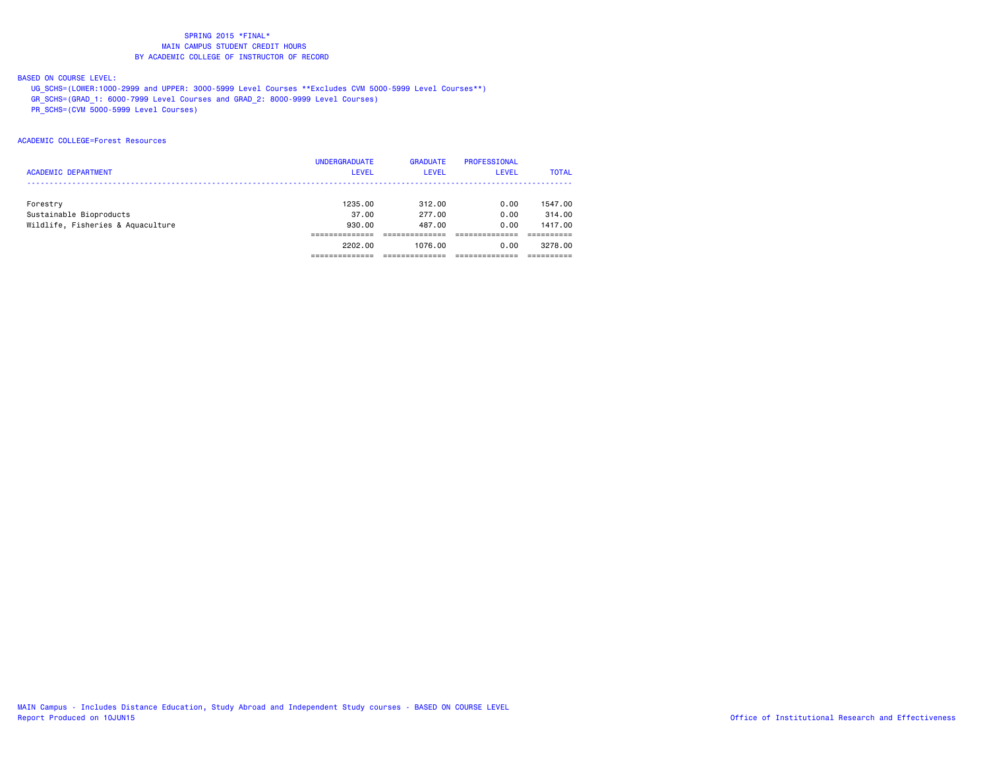#### BASED ON COURSE LEVEL:

- UG\_SCHS=(LOWER:1000-2999 and UPPER: 3000-5999 Level Courses \*\*Excludes CVM 5000-5999 Level Courses\*\*)
- GR\_SCHS=(GRAD\_1: 6000-7999 Level Courses and GRAD\_2: 8000-9999 Level Courses)
- PR\_SCHS=(CVM 5000-5999 Level Courses)

#### ACADEMIC COLLEGE=Forest Resources

|                                   | <b>UNDERGRADUATE</b> | <b>GRADUATE</b> | PROFESSIONAL |              |
|-----------------------------------|----------------------|-----------------|--------------|--------------|
| <b>ACADEMIC DEPARTMENT</b>        | <b>LEVEL</b>         | <b>LEVEL</b>    | LEVEL        | <b>TOTAL</b> |
|                                   |                      |                 |              |              |
| Forestry                          | 1235.00              | 312.00          | 0.00         | 1547.00      |
| Sustainable Bioproducts           | 37.00                | 277.00          | 0.00         | 314,00       |
| Wildlife, Fisheries & Aquaculture | 930.00               | 487.00          | 0.00         | 1417.00      |
|                                   |                      |                 |              |              |
|                                   | 2202.00              | 1076.00         | 0.00         | 3278.00      |
|                                   |                      |                 |              |              |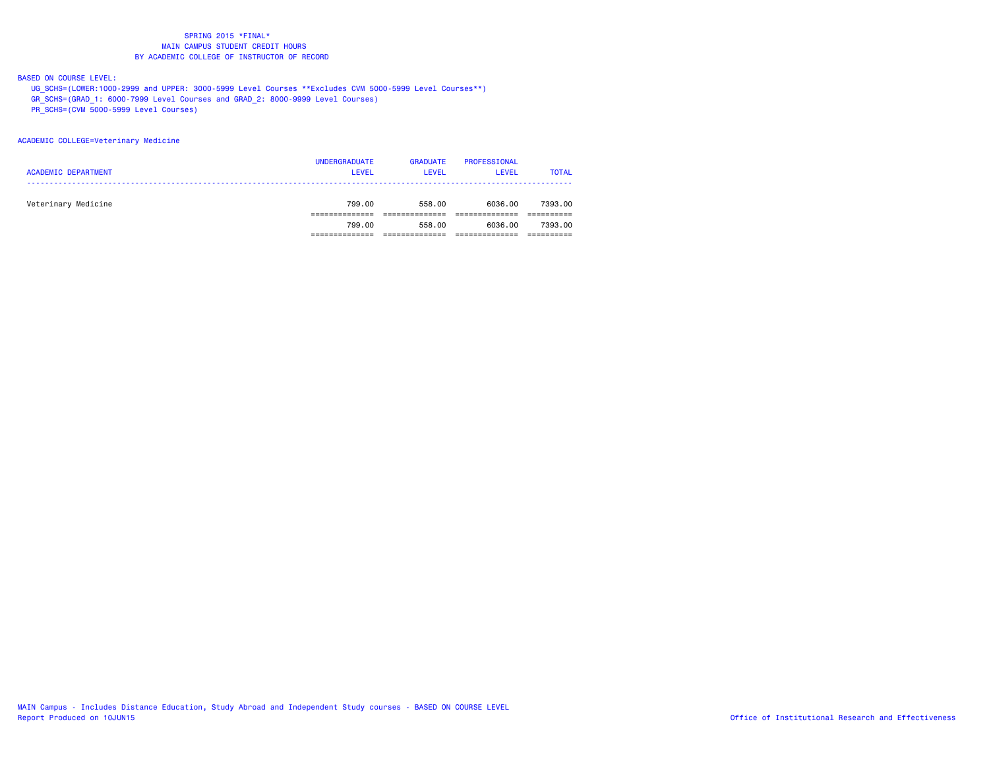#### BASED ON COURSE LEVEL:

- UG\_SCHS=(LOWER:1000-2999 and UPPER: 3000-5999 Level Courses \*\*Excludes CVM 5000-5999 Level Courses\*\*)
- GR\_SCHS=(GRAD\_1: 6000-7999 Level Courses and GRAD\_2: 8000-9999 Level Courses)
- PR\_SCHS=(CVM 5000-5999 Level Courses)

#### ACADEMIC COLLEGE=Veterinary Medicine

| <b>ACADEMIC DEPARTMENT</b> | <b>UNDERGRADUATE</b><br><b>LEVEL</b> | <b>GRADUATE</b><br>LEVEL | PROFESSIONAL<br><b>LEVEL</b> | <b>TOTAL</b> |
|----------------------------|--------------------------------------|--------------------------|------------------------------|--------------|
| Veterinary Medicine        | 799.00                               | 558.00                   | 6036.00                      | 7393.00      |
|                            | 799.00                               | 558.00                   | 6036.00                      | 7393.00      |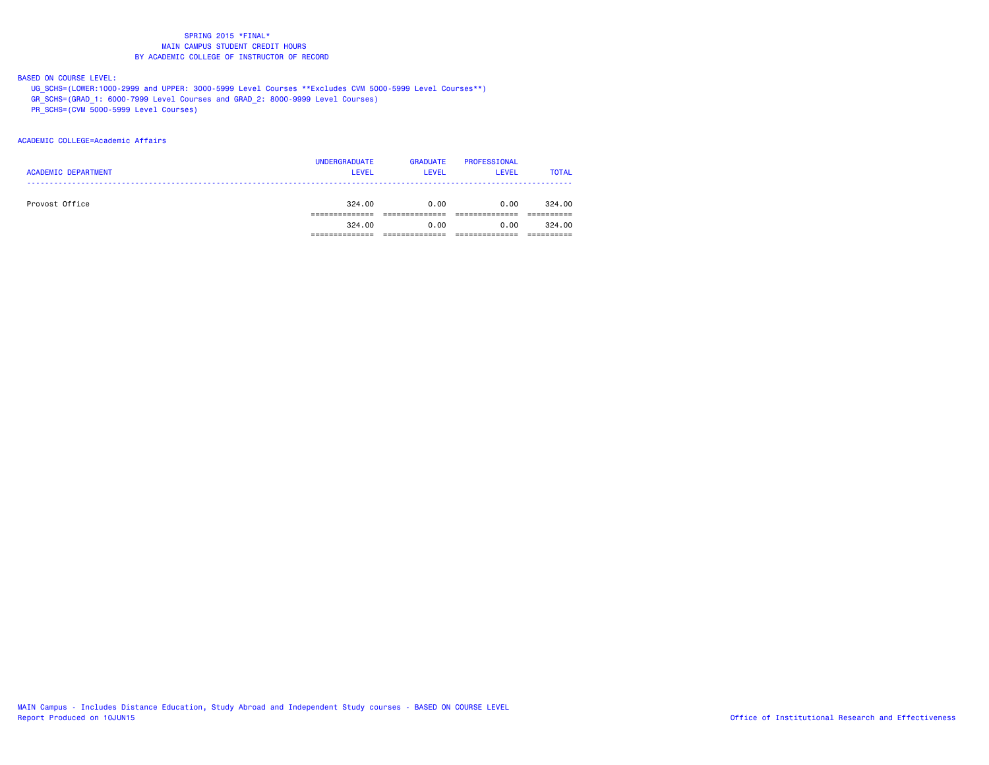#### BASED ON COURSE LEVEL:

UG\_SCHS=(LOWER:1000-2999 and UPPER: 3000-5999 Level Courses \*\*Excludes CVM 5000-5999 Level Courses\*\*)

GR\_SCHS=(GRAD\_1: 6000-7999 Level Courses and GRAD\_2: 8000-9999 Level Courses)

PR\_SCHS=(CVM 5000-5999 Level Courses)

#### ACADEMIC COLLEGE=Academic Affairs

| <b>ACADEMIC DEPARTMENT</b> | <b>UNDERGRADUATE</b><br><b>LEVEL</b> | <b>GRADUATE</b><br><b>LEVEL</b> | PROFESSIONAL<br>LEVEL | <b>TOTAL</b> |
|----------------------------|--------------------------------------|---------------------------------|-----------------------|--------------|
| Provost Office             | 324.00                               | 0.00                            | 0.00                  | 324.00       |
|                            | 324.00                               | 0.00                            | 0.00                  | 324.00       |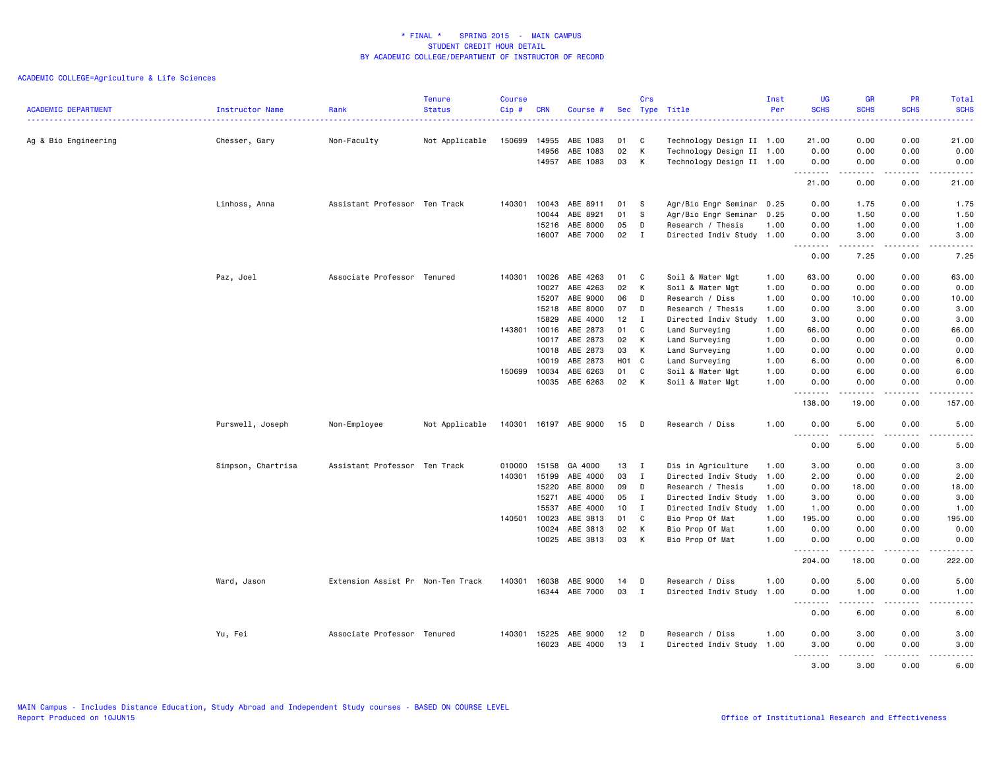| <b>SCHS</b><br><b>SCHS</b><br><b>SCHS</b><br><b>ACADEMIC DEPARTMENT</b><br><b>Status</b><br>Cip#<br>Sec Type Title<br>Per<br><b>SCHS</b><br>Instructor Name<br>Rank<br><b>CRN</b><br>Course #<br>.<br>222 L<br>$\frac{1}{2} \left( \frac{1}{2} \right) \left( \frac{1}{2} \right) \left( \frac{1}{2} \right) \left( \frac{1}{2} \right)$<br>.<br>0.00<br>0.00<br>21.00<br>Not Applicable<br>150699<br>C<br>21.00<br>Ag & Bio Engineering<br>Chesser, Gary<br>Non-Faculty<br>14955<br>ABE 1083<br>01<br>Technology Design II 1.00<br>02<br>K<br>0.00<br>0.00<br>14956<br>ABE 1083<br>Technology Design II 1.00<br>0.00<br>0.00<br>14957 ABE 1083<br>03<br>K<br>Technology Design II 1.00<br>0.00<br>0.00<br>0.00<br>0.00<br>.<br>.<br>-----<br>.<br>0.00<br>21.00<br>0.00<br>21.00<br>Linhoss, Anna<br>Assistant Professor Ten Track<br>140301<br>10043<br>ABE 8911<br>01<br><b>S</b><br>Agr/Bio Engr Seminar 0.25<br>0.00<br>1.75<br>0.00<br>1.75<br>10044<br>ABE 8921<br>01<br>S<br>Agr/Bio Engr Seminar<br>0.25<br>0.00<br>1.50<br>0.00<br>1.50<br>ABE 8000<br>05<br>15216<br>D<br>Research / Thesis<br>1.00<br>0.00<br>1.00<br>0.00<br>1.00<br>ABE 7000<br>02<br>16007<br>$\mathbf{I}$<br>Directed Indiv Study 1.00<br>0.00<br>3.00<br>0.00<br>3.00<br>.<br>.<br>.<br>$\sim$ $\sim$ $\sim$ $\sim$ $\sim$<br>0.00<br>7.25<br>0.00<br>7.25<br>Paz, Joel<br>Associate Professor Tenured<br>10026<br>ABE 4263<br>Soil & Water Mgt<br>63.00<br>0.00<br>0.00<br>63.00<br>140301<br>01<br>C<br>1.00<br>10027<br>ABE 4263<br>02<br>К<br>0.00<br>0.00<br>0.00<br>Soil & Water Mgt<br>1.00<br>0.00<br>ABE 9000<br>06<br>15207<br>D<br>Research / Diss<br>1.00<br>0.00<br>10.00<br>0.00<br>10.00<br>ABE 8000<br>15218<br>07<br>1.00<br>0.00<br>3.00<br>0.00<br>3.00<br>D<br>Research / Thesis<br>ABE 4000<br>12<br>3.00<br>15829<br>I<br>Directed Indiv Study<br>3.00<br>0.00<br>0.00<br>1.00<br>ABE 2873<br>$\mathbf c$<br>143801 10016<br>01<br>Land Surveying<br>1.00<br>66.00<br>0.00<br>0.00<br>66.00<br>ABE 2873<br>10017<br>02<br>K<br>1.00<br>0.00<br>0.00<br>0.00<br>0.00<br>Land Surveying<br>10018<br>ABE 2873<br>03<br>К<br>0.00<br>0.00<br>0.00<br>Land Surveying<br>1.00<br>0.00<br>ABE 2873<br>H01<br>6.00<br>10019<br>C<br>Land Surveying<br>1.00<br>6.00<br>0.00<br>0.00<br>10034<br>ABE 6263<br>01<br>C<br>0.00<br>0.00<br>6.00<br>150699<br>Soil & Water Mgt<br>1.00<br>6.00<br>10035<br>ABE 6263<br>02<br>K<br>1.00<br>0.00<br>0.00<br>0.00<br>Soil & Water Mgt<br>0.00<br>$\frac{1}{2} \left( \frac{1}{2} \right) \left( \frac{1}{2} \right) \left( \frac{1}{2} \right) \left( \frac{1}{2} \right) \left( \frac{1}{2} \right) \left( \frac{1}{2} \right)$<br>د د د د<br>.<br>$\sim$ $\sim$ .<br>$\frac{1}{2} \left( \frac{1}{2} \right) \left( \frac{1}{2} \right) \left( \frac{1}{2} \right) \left( \frac{1}{2} \right) \left( \frac{1}{2} \right)$<br>138.00<br>19.00<br>0.00<br>157.00<br>Purswell, Joseph<br>Non-Employee<br>Not Applicable<br>140301<br>16197 ABE 9000<br>Research / Diss<br>1.00<br>0.00<br>5.00<br>0.00<br>5.00<br>15<br>D<br>.<br>.<br>.<br>$\sim$ $\sim$ $\sim$<br>$\frac{1}{2} \left( \frac{1}{2} \right) \left( \frac{1}{2} \right) \left( \frac{1}{2} \right) \left( \frac{1}{2} \right) \left( \frac{1}{2} \right)$<br>0.00<br>5.00<br>0.00<br>5.00<br>Simpson, Chartrisa<br>Assistant Professor Ten Track<br>15158<br>13<br>3.00<br>010000<br>GA 4000<br>I<br>Dis in Agriculture<br>1.00<br>3.00<br>0.00<br>0.00<br>15199<br>ABE 4000<br>03<br>0.00<br>2.00<br>140301<br>$\mathbf{I}$<br>Directed Indiv Study 1.00<br>2.00<br>0.00<br>ABE 8000<br>09<br>15220<br>D<br>Research / Thesis<br>1.00<br>0.00<br>18.00<br>0.00<br>18.00<br>15271<br>ABE 4000<br>05<br>$\mathbf{I}$<br>Directed Indiv Study 1.00<br>3.00<br>0.00<br>0.00<br>3.00<br>ABE 4000<br>10<br>Directed Indiv Study 1.00<br>15537<br>I<br>1.00<br>0.00<br>0.00<br>1.00<br>ABE 3813<br>140501 10023<br>01<br>C<br>Bio Prop Of Mat<br>1.00<br>195.00<br>0.00<br>0.00<br>195.00<br>ABE 3813<br>10024<br>02<br>К<br>Bio Prop Of Mat<br>1.00<br>0.00<br>0.00<br>0.00<br>0.00<br>ABE 3813<br>03<br>K<br>10025<br>Bio Prop Of Mat<br>1.00<br>0.00<br>0.00<br>0.00<br>0.00<br>.<br>.<br>222.00<br>204.00<br>18.00<br>0.00<br>0.00<br>Ward, Jason<br>Extension Assist Pr Non-Ten Track<br>140301<br>16038<br>ABE 9000<br>14<br>Research / Diss<br>1.00<br>0.00<br>5.00<br>5.00<br>D<br>16344<br>ABE 7000<br>03<br>$\mathbf{I}$<br>Directed Indiv Study 1.00<br>0.00<br>1.00<br>0.00<br>1.00<br>.<br>$\frac{1}{2}$<br>. <b>.</b><br>.<br>0.00<br>6.00<br>0.00<br>6.00<br>15225<br>ABE 9000<br>12<br>0.00<br>3.00<br>0.00<br>3.00<br>Yu, Fei<br>Associate Professor Tenured<br>140301<br>D<br>Research / Diss<br>1.00<br>ABE 4000<br>13<br>16023<br>$\mathbf{I}$<br>Directed Indiv Study 1.00<br>3.00<br>0.00<br>0.00<br>3.00<br>.<br>.<br>$\frac{1}{2}$<br>$\sim$ $\sim$ .<br>$- - - - -$ |  | <b>Tenure</b> | <b>Course</b> |  | Crs | Inst | <b>UG</b> | <b>GR</b> | PR   | Total |
|--------------------------------------------------------------------------------------------------------------------------------------------------------------------------------------------------------------------------------------------------------------------------------------------------------------------------------------------------------------------------------------------------------------------------------------------------------------------------------------------------------------------------------------------------------------------------------------------------------------------------------------------------------------------------------------------------------------------------------------------------------------------------------------------------------------------------------------------------------------------------------------------------------------------------------------------------------------------------------------------------------------------------------------------------------------------------------------------------------------------------------------------------------------------------------------------------------------------------------------------------------------------------------------------------------------------------------------------------------------------------------------------------------------------------------------------------------------------------------------------------------------------------------------------------------------------------------------------------------------------------------------------------------------------------------------------------------------------------------------------------------------------------------------------------------------------------------------------------------------------------------------------------------------------------------------------------------------------------------------------------------------------------------------------------------------------------------------------------------------------------------------------------------------------------------------------------------------------------------------------------------------------------------------------------------------------------------------------------------------------------------------------------------------------------------------------------------------------------------------------------------------------------------------------------------------------------------------------------------------------------------------------------------------------------------------------------------------------------------------------------------------------------------------------------------------------------------------------------------------------------------------------------------------------------------------------------------------------------------------------------------------------------------------------------------------------------------------------------------------------------------------------------------------------------------------------------------------------------------------------------------------------------------------------------------------------------------------------------------------------------------------------------------------------------------------------------------------------------------------------------------------------------------------------------------------------------------------------------------------------------------------------------------------------------------------------------------------------------------------------------------------------------------------------------------------------------------------------------------------------------------------------------------------------------------------------------------------------------------------------------------------------------------------------------------------------------------------------------------------------------------------------------------------------------------------------------------------------------------------------------------------------------------------------------------------------------------------------------------------------------------------------------------------------------------------------------------------------------------------------------------------------------------------------------------------------------------------------------------------------------------------------------------------------------------------------------------------------------------------------------------------------------------------------------------------------------------------------------------------------------------------------|--|---------------|---------------|--|-----|------|-----------|-----------|------|-------|
|                                                                                                                                                                                                                                                                                                                                                                                                                                                                                                                                                                                                                                                                                                                                                                                                                                                                                                                                                                                                                                                                                                                                                                                                                                                                                                                                                                                                                                                                                                                                                                                                                                                                                                                                                                                                                                                                                                                                                                                                                                                                                                                                                                                                                                                                                                                                                                                                                                                                                                                                                                                                                                                                                                                                                                                                                                                                                                                                                                                                                                                                                                                                                                                                                                                                                                                                                                                                                                                                                                                                                                                                                                                                                                                                                                                                                                                                                                                                                                                                                                                                                                                                                                                                                                                                                                                                                                                                                                                                                                                                                                                                                                                                                                                                                                                                                                                                                            |  |               |               |  |     |      |           |           |      |       |
|                                                                                                                                                                                                                                                                                                                                                                                                                                                                                                                                                                                                                                                                                                                                                                                                                                                                                                                                                                                                                                                                                                                                                                                                                                                                                                                                                                                                                                                                                                                                                                                                                                                                                                                                                                                                                                                                                                                                                                                                                                                                                                                                                                                                                                                                                                                                                                                                                                                                                                                                                                                                                                                                                                                                                                                                                                                                                                                                                                                                                                                                                                                                                                                                                                                                                                                                                                                                                                                                                                                                                                                                                                                                                                                                                                                                                                                                                                                                                                                                                                                                                                                                                                                                                                                                                                                                                                                                                                                                                                                                                                                                                                                                                                                                                                                                                                                                                            |  |               |               |  |     |      |           |           |      |       |
|                                                                                                                                                                                                                                                                                                                                                                                                                                                                                                                                                                                                                                                                                                                                                                                                                                                                                                                                                                                                                                                                                                                                                                                                                                                                                                                                                                                                                                                                                                                                                                                                                                                                                                                                                                                                                                                                                                                                                                                                                                                                                                                                                                                                                                                                                                                                                                                                                                                                                                                                                                                                                                                                                                                                                                                                                                                                                                                                                                                                                                                                                                                                                                                                                                                                                                                                                                                                                                                                                                                                                                                                                                                                                                                                                                                                                                                                                                                                                                                                                                                                                                                                                                                                                                                                                                                                                                                                                                                                                                                                                                                                                                                                                                                                                                                                                                                                                            |  |               |               |  |     |      |           |           |      |       |
|                                                                                                                                                                                                                                                                                                                                                                                                                                                                                                                                                                                                                                                                                                                                                                                                                                                                                                                                                                                                                                                                                                                                                                                                                                                                                                                                                                                                                                                                                                                                                                                                                                                                                                                                                                                                                                                                                                                                                                                                                                                                                                                                                                                                                                                                                                                                                                                                                                                                                                                                                                                                                                                                                                                                                                                                                                                                                                                                                                                                                                                                                                                                                                                                                                                                                                                                                                                                                                                                                                                                                                                                                                                                                                                                                                                                                                                                                                                                                                                                                                                                                                                                                                                                                                                                                                                                                                                                                                                                                                                                                                                                                                                                                                                                                                                                                                                                                            |  |               |               |  |     |      |           |           |      |       |
|                                                                                                                                                                                                                                                                                                                                                                                                                                                                                                                                                                                                                                                                                                                                                                                                                                                                                                                                                                                                                                                                                                                                                                                                                                                                                                                                                                                                                                                                                                                                                                                                                                                                                                                                                                                                                                                                                                                                                                                                                                                                                                                                                                                                                                                                                                                                                                                                                                                                                                                                                                                                                                                                                                                                                                                                                                                                                                                                                                                                                                                                                                                                                                                                                                                                                                                                                                                                                                                                                                                                                                                                                                                                                                                                                                                                                                                                                                                                                                                                                                                                                                                                                                                                                                                                                                                                                                                                                                                                                                                                                                                                                                                                                                                                                                                                                                                                                            |  |               |               |  |     |      |           |           |      |       |
|                                                                                                                                                                                                                                                                                                                                                                                                                                                                                                                                                                                                                                                                                                                                                                                                                                                                                                                                                                                                                                                                                                                                                                                                                                                                                                                                                                                                                                                                                                                                                                                                                                                                                                                                                                                                                                                                                                                                                                                                                                                                                                                                                                                                                                                                                                                                                                                                                                                                                                                                                                                                                                                                                                                                                                                                                                                                                                                                                                                                                                                                                                                                                                                                                                                                                                                                                                                                                                                                                                                                                                                                                                                                                                                                                                                                                                                                                                                                                                                                                                                                                                                                                                                                                                                                                                                                                                                                                                                                                                                                                                                                                                                                                                                                                                                                                                                                                            |  |               |               |  |     |      |           |           |      |       |
|                                                                                                                                                                                                                                                                                                                                                                                                                                                                                                                                                                                                                                                                                                                                                                                                                                                                                                                                                                                                                                                                                                                                                                                                                                                                                                                                                                                                                                                                                                                                                                                                                                                                                                                                                                                                                                                                                                                                                                                                                                                                                                                                                                                                                                                                                                                                                                                                                                                                                                                                                                                                                                                                                                                                                                                                                                                                                                                                                                                                                                                                                                                                                                                                                                                                                                                                                                                                                                                                                                                                                                                                                                                                                                                                                                                                                                                                                                                                                                                                                                                                                                                                                                                                                                                                                                                                                                                                                                                                                                                                                                                                                                                                                                                                                                                                                                                                                            |  |               |               |  |     |      |           |           |      |       |
|                                                                                                                                                                                                                                                                                                                                                                                                                                                                                                                                                                                                                                                                                                                                                                                                                                                                                                                                                                                                                                                                                                                                                                                                                                                                                                                                                                                                                                                                                                                                                                                                                                                                                                                                                                                                                                                                                                                                                                                                                                                                                                                                                                                                                                                                                                                                                                                                                                                                                                                                                                                                                                                                                                                                                                                                                                                                                                                                                                                                                                                                                                                                                                                                                                                                                                                                                                                                                                                                                                                                                                                                                                                                                                                                                                                                                                                                                                                                                                                                                                                                                                                                                                                                                                                                                                                                                                                                                                                                                                                                                                                                                                                                                                                                                                                                                                                                                            |  |               |               |  |     |      |           |           |      |       |
|                                                                                                                                                                                                                                                                                                                                                                                                                                                                                                                                                                                                                                                                                                                                                                                                                                                                                                                                                                                                                                                                                                                                                                                                                                                                                                                                                                                                                                                                                                                                                                                                                                                                                                                                                                                                                                                                                                                                                                                                                                                                                                                                                                                                                                                                                                                                                                                                                                                                                                                                                                                                                                                                                                                                                                                                                                                                                                                                                                                                                                                                                                                                                                                                                                                                                                                                                                                                                                                                                                                                                                                                                                                                                                                                                                                                                                                                                                                                                                                                                                                                                                                                                                                                                                                                                                                                                                                                                                                                                                                                                                                                                                                                                                                                                                                                                                                                                            |  |               |               |  |     |      |           |           |      |       |
|                                                                                                                                                                                                                                                                                                                                                                                                                                                                                                                                                                                                                                                                                                                                                                                                                                                                                                                                                                                                                                                                                                                                                                                                                                                                                                                                                                                                                                                                                                                                                                                                                                                                                                                                                                                                                                                                                                                                                                                                                                                                                                                                                                                                                                                                                                                                                                                                                                                                                                                                                                                                                                                                                                                                                                                                                                                                                                                                                                                                                                                                                                                                                                                                                                                                                                                                                                                                                                                                                                                                                                                                                                                                                                                                                                                                                                                                                                                                                                                                                                                                                                                                                                                                                                                                                                                                                                                                                                                                                                                                                                                                                                                                                                                                                                                                                                                                                            |  |               |               |  |     |      |           |           |      |       |
|                                                                                                                                                                                                                                                                                                                                                                                                                                                                                                                                                                                                                                                                                                                                                                                                                                                                                                                                                                                                                                                                                                                                                                                                                                                                                                                                                                                                                                                                                                                                                                                                                                                                                                                                                                                                                                                                                                                                                                                                                                                                                                                                                                                                                                                                                                                                                                                                                                                                                                                                                                                                                                                                                                                                                                                                                                                                                                                                                                                                                                                                                                                                                                                                                                                                                                                                                                                                                                                                                                                                                                                                                                                                                                                                                                                                                                                                                                                                                                                                                                                                                                                                                                                                                                                                                                                                                                                                                                                                                                                                                                                                                                                                                                                                                                                                                                                                                            |  |               |               |  |     |      |           |           |      |       |
|                                                                                                                                                                                                                                                                                                                                                                                                                                                                                                                                                                                                                                                                                                                                                                                                                                                                                                                                                                                                                                                                                                                                                                                                                                                                                                                                                                                                                                                                                                                                                                                                                                                                                                                                                                                                                                                                                                                                                                                                                                                                                                                                                                                                                                                                                                                                                                                                                                                                                                                                                                                                                                                                                                                                                                                                                                                                                                                                                                                                                                                                                                                                                                                                                                                                                                                                                                                                                                                                                                                                                                                                                                                                                                                                                                                                                                                                                                                                                                                                                                                                                                                                                                                                                                                                                                                                                                                                                                                                                                                                                                                                                                                                                                                                                                                                                                                                                            |  |               |               |  |     |      |           |           |      |       |
|                                                                                                                                                                                                                                                                                                                                                                                                                                                                                                                                                                                                                                                                                                                                                                                                                                                                                                                                                                                                                                                                                                                                                                                                                                                                                                                                                                                                                                                                                                                                                                                                                                                                                                                                                                                                                                                                                                                                                                                                                                                                                                                                                                                                                                                                                                                                                                                                                                                                                                                                                                                                                                                                                                                                                                                                                                                                                                                                                                                                                                                                                                                                                                                                                                                                                                                                                                                                                                                                                                                                                                                                                                                                                                                                                                                                                                                                                                                                                                                                                                                                                                                                                                                                                                                                                                                                                                                                                                                                                                                                                                                                                                                                                                                                                                                                                                                                                            |  |               |               |  |     |      |           |           |      |       |
|                                                                                                                                                                                                                                                                                                                                                                                                                                                                                                                                                                                                                                                                                                                                                                                                                                                                                                                                                                                                                                                                                                                                                                                                                                                                                                                                                                                                                                                                                                                                                                                                                                                                                                                                                                                                                                                                                                                                                                                                                                                                                                                                                                                                                                                                                                                                                                                                                                                                                                                                                                                                                                                                                                                                                                                                                                                                                                                                                                                                                                                                                                                                                                                                                                                                                                                                                                                                                                                                                                                                                                                                                                                                                                                                                                                                                                                                                                                                                                                                                                                                                                                                                                                                                                                                                                                                                                                                                                                                                                                                                                                                                                                                                                                                                                                                                                                                                            |  |               |               |  |     |      |           |           |      |       |
|                                                                                                                                                                                                                                                                                                                                                                                                                                                                                                                                                                                                                                                                                                                                                                                                                                                                                                                                                                                                                                                                                                                                                                                                                                                                                                                                                                                                                                                                                                                                                                                                                                                                                                                                                                                                                                                                                                                                                                                                                                                                                                                                                                                                                                                                                                                                                                                                                                                                                                                                                                                                                                                                                                                                                                                                                                                                                                                                                                                                                                                                                                                                                                                                                                                                                                                                                                                                                                                                                                                                                                                                                                                                                                                                                                                                                                                                                                                                                                                                                                                                                                                                                                                                                                                                                                                                                                                                                                                                                                                                                                                                                                                                                                                                                                                                                                                                                            |  |               |               |  |     |      |           |           |      |       |
|                                                                                                                                                                                                                                                                                                                                                                                                                                                                                                                                                                                                                                                                                                                                                                                                                                                                                                                                                                                                                                                                                                                                                                                                                                                                                                                                                                                                                                                                                                                                                                                                                                                                                                                                                                                                                                                                                                                                                                                                                                                                                                                                                                                                                                                                                                                                                                                                                                                                                                                                                                                                                                                                                                                                                                                                                                                                                                                                                                                                                                                                                                                                                                                                                                                                                                                                                                                                                                                                                                                                                                                                                                                                                                                                                                                                                                                                                                                                                                                                                                                                                                                                                                                                                                                                                                                                                                                                                                                                                                                                                                                                                                                                                                                                                                                                                                                                                            |  |               |               |  |     |      |           |           |      |       |
|                                                                                                                                                                                                                                                                                                                                                                                                                                                                                                                                                                                                                                                                                                                                                                                                                                                                                                                                                                                                                                                                                                                                                                                                                                                                                                                                                                                                                                                                                                                                                                                                                                                                                                                                                                                                                                                                                                                                                                                                                                                                                                                                                                                                                                                                                                                                                                                                                                                                                                                                                                                                                                                                                                                                                                                                                                                                                                                                                                                                                                                                                                                                                                                                                                                                                                                                                                                                                                                                                                                                                                                                                                                                                                                                                                                                                                                                                                                                                                                                                                                                                                                                                                                                                                                                                                                                                                                                                                                                                                                                                                                                                                                                                                                                                                                                                                                                                            |  |               |               |  |     |      |           |           |      |       |
|                                                                                                                                                                                                                                                                                                                                                                                                                                                                                                                                                                                                                                                                                                                                                                                                                                                                                                                                                                                                                                                                                                                                                                                                                                                                                                                                                                                                                                                                                                                                                                                                                                                                                                                                                                                                                                                                                                                                                                                                                                                                                                                                                                                                                                                                                                                                                                                                                                                                                                                                                                                                                                                                                                                                                                                                                                                                                                                                                                                                                                                                                                                                                                                                                                                                                                                                                                                                                                                                                                                                                                                                                                                                                                                                                                                                                                                                                                                                                                                                                                                                                                                                                                                                                                                                                                                                                                                                                                                                                                                                                                                                                                                                                                                                                                                                                                                                                            |  |               |               |  |     |      |           |           |      |       |
|                                                                                                                                                                                                                                                                                                                                                                                                                                                                                                                                                                                                                                                                                                                                                                                                                                                                                                                                                                                                                                                                                                                                                                                                                                                                                                                                                                                                                                                                                                                                                                                                                                                                                                                                                                                                                                                                                                                                                                                                                                                                                                                                                                                                                                                                                                                                                                                                                                                                                                                                                                                                                                                                                                                                                                                                                                                                                                                                                                                                                                                                                                                                                                                                                                                                                                                                                                                                                                                                                                                                                                                                                                                                                                                                                                                                                                                                                                                                                                                                                                                                                                                                                                                                                                                                                                                                                                                                                                                                                                                                                                                                                                                                                                                                                                                                                                                                                            |  |               |               |  |     |      |           |           |      |       |
|                                                                                                                                                                                                                                                                                                                                                                                                                                                                                                                                                                                                                                                                                                                                                                                                                                                                                                                                                                                                                                                                                                                                                                                                                                                                                                                                                                                                                                                                                                                                                                                                                                                                                                                                                                                                                                                                                                                                                                                                                                                                                                                                                                                                                                                                                                                                                                                                                                                                                                                                                                                                                                                                                                                                                                                                                                                                                                                                                                                                                                                                                                                                                                                                                                                                                                                                                                                                                                                                                                                                                                                                                                                                                                                                                                                                                                                                                                                                                                                                                                                                                                                                                                                                                                                                                                                                                                                                                                                                                                                                                                                                                                                                                                                                                                                                                                                                                            |  |               |               |  |     |      |           |           |      |       |
|                                                                                                                                                                                                                                                                                                                                                                                                                                                                                                                                                                                                                                                                                                                                                                                                                                                                                                                                                                                                                                                                                                                                                                                                                                                                                                                                                                                                                                                                                                                                                                                                                                                                                                                                                                                                                                                                                                                                                                                                                                                                                                                                                                                                                                                                                                                                                                                                                                                                                                                                                                                                                                                                                                                                                                                                                                                                                                                                                                                                                                                                                                                                                                                                                                                                                                                                                                                                                                                                                                                                                                                                                                                                                                                                                                                                                                                                                                                                                                                                                                                                                                                                                                                                                                                                                                                                                                                                                                                                                                                                                                                                                                                                                                                                                                                                                                                                                            |  |               |               |  |     |      |           |           |      |       |
|                                                                                                                                                                                                                                                                                                                                                                                                                                                                                                                                                                                                                                                                                                                                                                                                                                                                                                                                                                                                                                                                                                                                                                                                                                                                                                                                                                                                                                                                                                                                                                                                                                                                                                                                                                                                                                                                                                                                                                                                                                                                                                                                                                                                                                                                                                                                                                                                                                                                                                                                                                                                                                                                                                                                                                                                                                                                                                                                                                                                                                                                                                                                                                                                                                                                                                                                                                                                                                                                                                                                                                                                                                                                                                                                                                                                                                                                                                                                                                                                                                                                                                                                                                                                                                                                                                                                                                                                                                                                                                                                                                                                                                                                                                                                                                                                                                                                                            |  |               |               |  |     |      |           |           |      |       |
|                                                                                                                                                                                                                                                                                                                                                                                                                                                                                                                                                                                                                                                                                                                                                                                                                                                                                                                                                                                                                                                                                                                                                                                                                                                                                                                                                                                                                                                                                                                                                                                                                                                                                                                                                                                                                                                                                                                                                                                                                                                                                                                                                                                                                                                                                                                                                                                                                                                                                                                                                                                                                                                                                                                                                                                                                                                                                                                                                                                                                                                                                                                                                                                                                                                                                                                                                                                                                                                                                                                                                                                                                                                                                                                                                                                                                                                                                                                                                                                                                                                                                                                                                                                                                                                                                                                                                                                                                                                                                                                                                                                                                                                                                                                                                                                                                                                                                            |  |               |               |  |     |      |           |           |      |       |
|                                                                                                                                                                                                                                                                                                                                                                                                                                                                                                                                                                                                                                                                                                                                                                                                                                                                                                                                                                                                                                                                                                                                                                                                                                                                                                                                                                                                                                                                                                                                                                                                                                                                                                                                                                                                                                                                                                                                                                                                                                                                                                                                                                                                                                                                                                                                                                                                                                                                                                                                                                                                                                                                                                                                                                                                                                                                                                                                                                                                                                                                                                                                                                                                                                                                                                                                                                                                                                                                                                                                                                                                                                                                                                                                                                                                                                                                                                                                                                                                                                                                                                                                                                                                                                                                                                                                                                                                                                                                                                                                                                                                                                                                                                                                                                                                                                                                                            |  |               |               |  |     |      |           |           |      |       |
|                                                                                                                                                                                                                                                                                                                                                                                                                                                                                                                                                                                                                                                                                                                                                                                                                                                                                                                                                                                                                                                                                                                                                                                                                                                                                                                                                                                                                                                                                                                                                                                                                                                                                                                                                                                                                                                                                                                                                                                                                                                                                                                                                                                                                                                                                                                                                                                                                                                                                                                                                                                                                                                                                                                                                                                                                                                                                                                                                                                                                                                                                                                                                                                                                                                                                                                                                                                                                                                                                                                                                                                                                                                                                                                                                                                                                                                                                                                                                                                                                                                                                                                                                                                                                                                                                                                                                                                                                                                                                                                                                                                                                                                                                                                                                                                                                                                                                            |  |               |               |  |     |      |           |           |      |       |
|                                                                                                                                                                                                                                                                                                                                                                                                                                                                                                                                                                                                                                                                                                                                                                                                                                                                                                                                                                                                                                                                                                                                                                                                                                                                                                                                                                                                                                                                                                                                                                                                                                                                                                                                                                                                                                                                                                                                                                                                                                                                                                                                                                                                                                                                                                                                                                                                                                                                                                                                                                                                                                                                                                                                                                                                                                                                                                                                                                                                                                                                                                                                                                                                                                                                                                                                                                                                                                                                                                                                                                                                                                                                                                                                                                                                                                                                                                                                                                                                                                                                                                                                                                                                                                                                                                                                                                                                                                                                                                                                                                                                                                                                                                                                                                                                                                                                                            |  |               |               |  |     |      |           |           |      |       |
|                                                                                                                                                                                                                                                                                                                                                                                                                                                                                                                                                                                                                                                                                                                                                                                                                                                                                                                                                                                                                                                                                                                                                                                                                                                                                                                                                                                                                                                                                                                                                                                                                                                                                                                                                                                                                                                                                                                                                                                                                                                                                                                                                                                                                                                                                                                                                                                                                                                                                                                                                                                                                                                                                                                                                                                                                                                                                                                                                                                                                                                                                                                                                                                                                                                                                                                                                                                                                                                                                                                                                                                                                                                                                                                                                                                                                                                                                                                                                                                                                                                                                                                                                                                                                                                                                                                                                                                                                                                                                                                                                                                                                                                                                                                                                                                                                                                                                            |  |               |               |  |     |      |           |           |      |       |
|                                                                                                                                                                                                                                                                                                                                                                                                                                                                                                                                                                                                                                                                                                                                                                                                                                                                                                                                                                                                                                                                                                                                                                                                                                                                                                                                                                                                                                                                                                                                                                                                                                                                                                                                                                                                                                                                                                                                                                                                                                                                                                                                                                                                                                                                                                                                                                                                                                                                                                                                                                                                                                                                                                                                                                                                                                                                                                                                                                                                                                                                                                                                                                                                                                                                                                                                                                                                                                                                                                                                                                                                                                                                                                                                                                                                                                                                                                                                                                                                                                                                                                                                                                                                                                                                                                                                                                                                                                                                                                                                                                                                                                                                                                                                                                                                                                                                                            |  |               |               |  |     |      |           |           |      |       |
|                                                                                                                                                                                                                                                                                                                                                                                                                                                                                                                                                                                                                                                                                                                                                                                                                                                                                                                                                                                                                                                                                                                                                                                                                                                                                                                                                                                                                                                                                                                                                                                                                                                                                                                                                                                                                                                                                                                                                                                                                                                                                                                                                                                                                                                                                                                                                                                                                                                                                                                                                                                                                                                                                                                                                                                                                                                                                                                                                                                                                                                                                                                                                                                                                                                                                                                                                                                                                                                                                                                                                                                                                                                                                                                                                                                                                                                                                                                                                                                                                                                                                                                                                                                                                                                                                                                                                                                                                                                                                                                                                                                                                                                                                                                                                                                                                                                                                            |  |               |               |  |     |      |           |           |      |       |
|                                                                                                                                                                                                                                                                                                                                                                                                                                                                                                                                                                                                                                                                                                                                                                                                                                                                                                                                                                                                                                                                                                                                                                                                                                                                                                                                                                                                                                                                                                                                                                                                                                                                                                                                                                                                                                                                                                                                                                                                                                                                                                                                                                                                                                                                                                                                                                                                                                                                                                                                                                                                                                                                                                                                                                                                                                                                                                                                                                                                                                                                                                                                                                                                                                                                                                                                                                                                                                                                                                                                                                                                                                                                                                                                                                                                                                                                                                                                                                                                                                                                                                                                                                                                                                                                                                                                                                                                                                                                                                                                                                                                                                                                                                                                                                                                                                                                                            |  |               |               |  |     |      |           |           |      |       |
|                                                                                                                                                                                                                                                                                                                                                                                                                                                                                                                                                                                                                                                                                                                                                                                                                                                                                                                                                                                                                                                                                                                                                                                                                                                                                                                                                                                                                                                                                                                                                                                                                                                                                                                                                                                                                                                                                                                                                                                                                                                                                                                                                                                                                                                                                                                                                                                                                                                                                                                                                                                                                                                                                                                                                                                                                                                                                                                                                                                                                                                                                                                                                                                                                                                                                                                                                                                                                                                                                                                                                                                                                                                                                                                                                                                                                                                                                                                                                                                                                                                                                                                                                                                                                                                                                                                                                                                                                                                                                                                                                                                                                                                                                                                                                                                                                                                                                            |  |               |               |  |     |      |           |           |      |       |
|                                                                                                                                                                                                                                                                                                                                                                                                                                                                                                                                                                                                                                                                                                                                                                                                                                                                                                                                                                                                                                                                                                                                                                                                                                                                                                                                                                                                                                                                                                                                                                                                                                                                                                                                                                                                                                                                                                                                                                                                                                                                                                                                                                                                                                                                                                                                                                                                                                                                                                                                                                                                                                                                                                                                                                                                                                                                                                                                                                                                                                                                                                                                                                                                                                                                                                                                                                                                                                                                                                                                                                                                                                                                                                                                                                                                                                                                                                                                                                                                                                                                                                                                                                                                                                                                                                                                                                                                                                                                                                                                                                                                                                                                                                                                                                                                                                                                                            |  |               |               |  |     |      |           |           |      |       |
|                                                                                                                                                                                                                                                                                                                                                                                                                                                                                                                                                                                                                                                                                                                                                                                                                                                                                                                                                                                                                                                                                                                                                                                                                                                                                                                                                                                                                                                                                                                                                                                                                                                                                                                                                                                                                                                                                                                                                                                                                                                                                                                                                                                                                                                                                                                                                                                                                                                                                                                                                                                                                                                                                                                                                                                                                                                                                                                                                                                                                                                                                                                                                                                                                                                                                                                                                                                                                                                                                                                                                                                                                                                                                                                                                                                                                                                                                                                                                                                                                                                                                                                                                                                                                                                                                                                                                                                                                                                                                                                                                                                                                                                                                                                                                                                                                                                                                            |  |               |               |  |     |      |           |           |      |       |
|                                                                                                                                                                                                                                                                                                                                                                                                                                                                                                                                                                                                                                                                                                                                                                                                                                                                                                                                                                                                                                                                                                                                                                                                                                                                                                                                                                                                                                                                                                                                                                                                                                                                                                                                                                                                                                                                                                                                                                                                                                                                                                                                                                                                                                                                                                                                                                                                                                                                                                                                                                                                                                                                                                                                                                                                                                                                                                                                                                                                                                                                                                                                                                                                                                                                                                                                                                                                                                                                                                                                                                                                                                                                                                                                                                                                                                                                                                                                                                                                                                                                                                                                                                                                                                                                                                                                                                                                                                                                                                                                                                                                                                                                                                                                                                                                                                                                                            |  |               |               |  |     |      |           |           |      |       |
|                                                                                                                                                                                                                                                                                                                                                                                                                                                                                                                                                                                                                                                                                                                                                                                                                                                                                                                                                                                                                                                                                                                                                                                                                                                                                                                                                                                                                                                                                                                                                                                                                                                                                                                                                                                                                                                                                                                                                                                                                                                                                                                                                                                                                                                                                                                                                                                                                                                                                                                                                                                                                                                                                                                                                                                                                                                                                                                                                                                                                                                                                                                                                                                                                                                                                                                                                                                                                                                                                                                                                                                                                                                                                                                                                                                                                                                                                                                                                                                                                                                                                                                                                                                                                                                                                                                                                                                                                                                                                                                                                                                                                                                                                                                                                                                                                                                                                            |  |               |               |  |     |      |           |           |      |       |
|                                                                                                                                                                                                                                                                                                                                                                                                                                                                                                                                                                                                                                                                                                                                                                                                                                                                                                                                                                                                                                                                                                                                                                                                                                                                                                                                                                                                                                                                                                                                                                                                                                                                                                                                                                                                                                                                                                                                                                                                                                                                                                                                                                                                                                                                                                                                                                                                                                                                                                                                                                                                                                                                                                                                                                                                                                                                                                                                                                                                                                                                                                                                                                                                                                                                                                                                                                                                                                                                                                                                                                                                                                                                                                                                                                                                                                                                                                                                                                                                                                                                                                                                                                                                                                                                                                                                                                                                                                                                                                                                                                                                                                                                                                                                                                                                                                                                                            |  |               |               |  |     |      |           |           |      |       |
|                                                                                                                                                                                                                                                                                                                                                                                                                                                                                                                                                                                                                                                                                                                                                                                                                                                                                                                                                                                                                                                                                                                                                                                                                                                                                                                                                                                                                                                                                                                                                                                                                                                                                                                                                                                                                                                                                                                                                                                                                                                                                                                                                                                                                                                                                                                                                                                                                                                                                                                                                                                                                                                                                                                                                                                                                                                                                                                                                                                                                                                                                                                                                                                                                                                                                                                                                                                                                                                                                                                                                                                                                                                                                                                                                                                                                                                                                                                                                                                                                                                                                                                                                                                                                                                                                                                                                                                                                                                                                                                                                                                                                                                                                                                                                                                                                                                                                            |  |               |               |  |     |      |           |           |      |       |
|                                                                                                                                                                                                                                                                                                                                                                                                                                                                                                                                                                                                                                                                                                                                                                                                                                                                                                                                                                                                                                                                                                                                                                                                                                                                                                                                                                                                                                                                                                                                                                                                                                                                                                                                                                                                                                                                                                                                                                                                                                                                                                                                                                                                                                                                                                                                                                                                                                                                                                                                                                                                                                                                                                                                                                                                                                                                                                                                                                                                                                                                                                                                                                                                                                                                                                                                                                                                                                                                                                                                                                                                                                                                                                                                                                                                                                                                                                                                                                                                                                                                                                                                                                                                                                                                                                                                                                                                                                                                                                                                                                                                                                                                                                                                                                                                                                                                                            |  |               |               |  |     |      |           |           |      |       |
|                                                                                                                                                                                                                                                                                                                                                                                                                                                                                                                                                                                                                                                                                                                                                                                                                                                                                                                                                                                                                                                                                                                                                                                                                                                                                                                                                                                                                                                                                                                                                                                                                                                                                                                                                                                                                                                                                                                                                                                                                                                                                                                                                                                                                                                                                                                                                                                                                                                                                                                                                                                                                                                                                                                                                                                                                                                                                                                                                                                                                                                                                                                                                                                                                                                                                                                                                                                                                                                                                                                                                                                                                                                                                                                                                                                                                                                                                                                                                                                                                                                                                                                                                                                                                                                                                                                                                                                                                                                                                                                                                                                                                                                                                                                                                                                                                                                                                            |  |               |               |  |     |      |           |           |      |       |
|                                                                                                                                                                                                                                                                                                                                                                                                                                                                                                                                                                                                                                                                                                                                                                                                                                                                                                                                                                                                                                                                                                                                                                                                                                                                                                                                                                                                                                                                                                                                                                                                                                                                                                                                                                                                                                                                                                                                                                                                                                                                                                                                                                                                                                                                                                                                                                                                                                                                                                                                                                                                                                                                                                                                                                                                                                                                                                                                                                                                                                                                                                                                                                                                                                                                                                                                                                                                                                                                                                                                                                                                                                                                                                                                                                                                                                                                                                                                                                                                                                                                                                                                                                                                                                                                                                                                                                                                                                                                                                                                                                                                                                                                                                                                                                                                                                                                                            |  |               |               |  |     |      | 3.00      | 3.00      | 0.00 | 6.00  |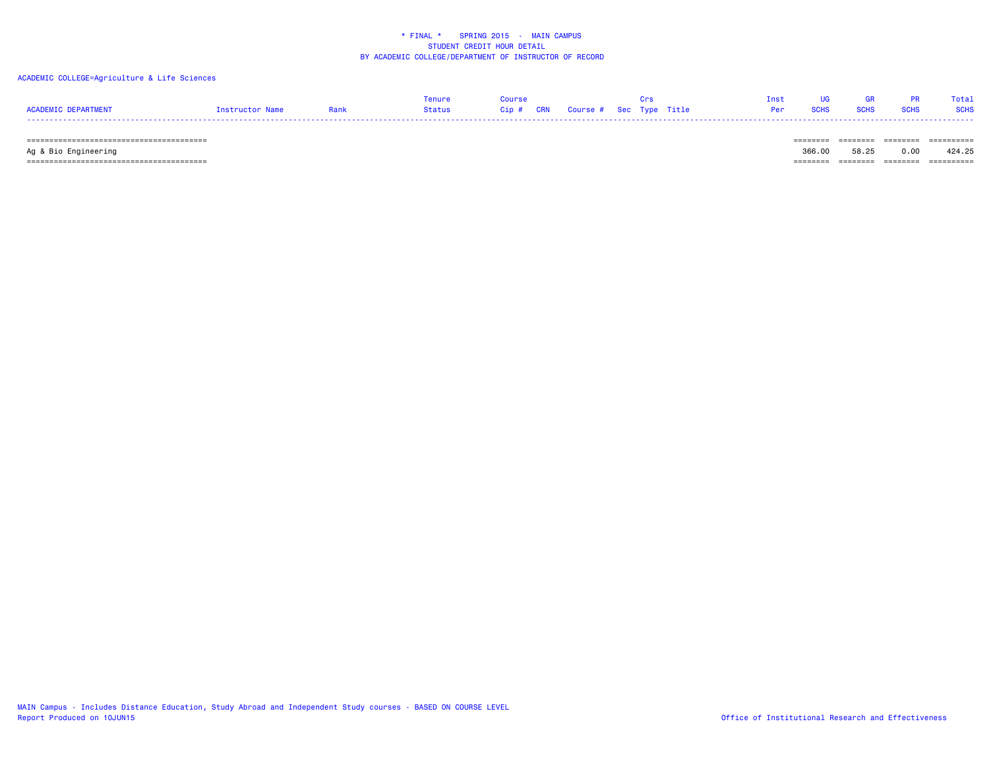## ACADEMIC COLLEGE=Agriculture & Life Sciences

|                     |                 |             | Tenure |  |  | That UG GR PR |                                | Total |
|---------------------|-----------------|-------------|--------|--|--|---------------|--------------------------------|-------|
| ACADEMIC DEPARTMENT | Instructor Name | <b>Rank</b> |        |  |  |               | <b>Per SCHS SCHS SCHS SCHS</b> |       |
|                     |                 |             |        |  |  |               |                                |       |

======================================== ======== ======== ======== ==========

Ag & Bio Engineering 366.00 58.25 0.00 424.25

======================================== ======== ======== ======== ==========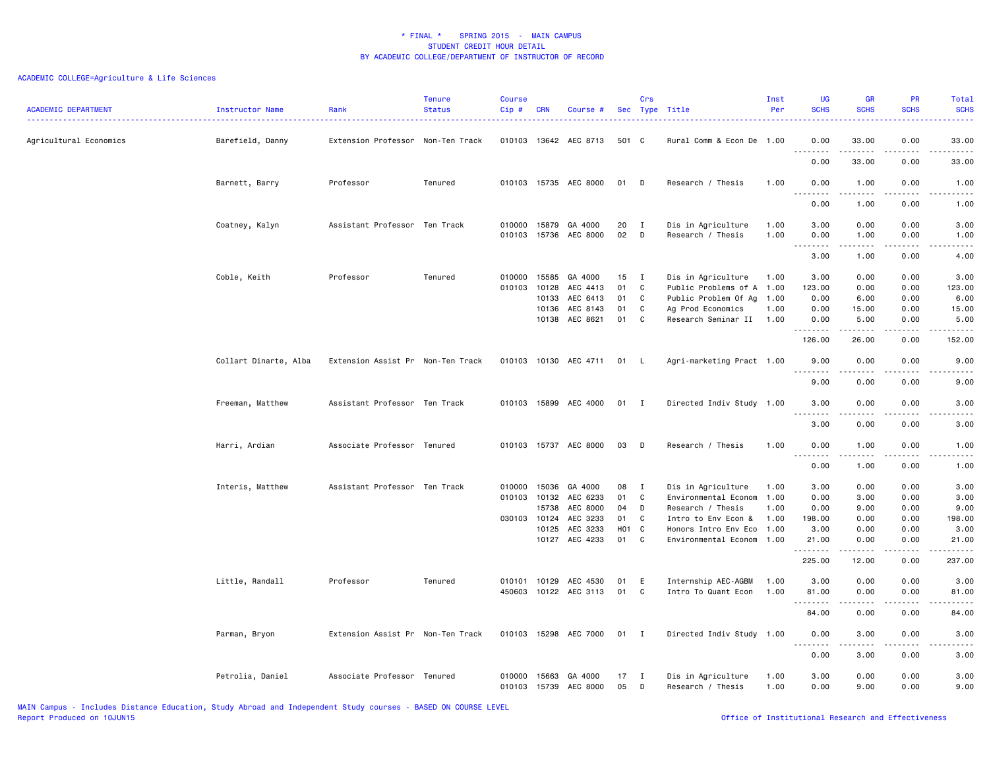| <b>ACADEMIC DEPARTMENT</b> | Instructor Name       | Rank                              | <b>Tenure</b><br><b>Status</b> | <b>Course</b><br>Cip#      | <b>CRN</b>                                         | Course #                                                            |                                   | Crs                                   | Sec Type Title                                                                                                                                        | Inst<br>Per          | <b>UG</b><br><b>SCHS</b>                             | <b>GR</b><br><b>SCHS</b>                                                                                                                                                                             | PR<br><b>SCHS</b>                                       | Total<br><b>SCHS</b>                                                                                                                                                                            |
|----------------------------|-----------------------|-----------------------------------|--------------------------------|----------------------------|----------------------------------------------------|---------------------------------------------------------------------|-----------------------------------|---------------------------------------|-------------------------------------------------------------------------------------------------------------------------------------------------------|----------------------|------------------------------------------------------|------------------------------------------------------------------------------------------------------------------------------------------------------------------------------------------------------|---------------------------------------------------------|-------------------------------------------------------------------------------------------------------------------------------------------------------------------------------------------------|
| Agricultural Economics     | Barefield, Danny      | Extension Professor Non-Ten Track |                                | 010103                     |                                                    | 13642 AEC 8713                                                      | 501 C                             |                                       | Rural Comm & Econ De 1.00                                                                                                                             |                      | 0.00<br>.                                            | 33.00<br>.                                                                                                                                                                                           | 0.00<br>.                                               | 33.00<br>.                                                                                                                                                                                      |
|                            |                       |                                   |                                |                            |                                                    |                                                                     |                                   |                                       |                                                                                                                                                       |                      | 0.00                                                 | 33.00                                                                                                                                                                                                | 0.00                                                    | 33.00                                                                                                                                                                                           |
|                            | Barnett, Barry        | Professor                         | Tenured                        |                            |                                                    | 010103 15735 AEC 8000                                               | 01                                | D                                     | Research / Thesis                                                                                                                                     | 1.00                 | 0.00<br>$\sim$ $\sim$<br>.                           | 1.00<br>$\frac{1}{2} \left( \frac{1}{2} \right) \left( \frac{1}{2} \right) \left( \frac{1}{2} \right) \left( \frac{1}{2} \right) \left( \frac{1}{2} \right)$                                         | 0.00<br>.                                               | 1.00<br>-----                                                                                                                                                                                   |
|                            |                       |                                   |                                |                            |                                                    |                                                                     |                                   |                                       |                                                                                                                                                       |                      | 0.00                                                 | 1.00                                                                                                                                                                                                 | 0.00                                                    | 1.00                                                                                                                                                                                            |
|                            | Coatney, Kalyn        | Assistant Professor Ten Track     |                                | 010000<br>010103           | 15879<br>15736                                     | GA 4000<br>AEC 8000                                                 | 20<br>02                          | $\mathbf{I}$<br>D                     | Dis in Agriculture<br>Research / Thesis                                                                                                               | 1.00<br>1.00         | 3.00<br>0.00                                         | 0.00<br>1.00                                                                                                                                                                                         | 0.00<br>0.00                                            | 3.00<br>1.00                                                                                                                                                                                    |
|                            |                       |                                   |                                |                            |                                                    |                                                                     |                                   |                                       |                                                                                                                                                       |                      | .<br>$\sim$ $\sim$ $\sim$<br>3.00                    | .<br>1.00                                                                                                                                                                                            | $- - - -$<br>0.00                                       | .<br>4.00                                                                                                                                                                                       |
|                            | Coble, Keith          | Professor                         | Tenured                        | 010000<br>010103           | 15585<br>10128<br>10133<br>10136<br>10138          | GA 4000<br>AEC 4413<br>AEC 6413<br>AEC 8143<br>AEC 8621             | 15<br>01<br>01<br>01<br>01        | $\mathbf{I}$<br>C<br>C<br>C<br>C      | Dis in Agriculture<br>Public Problems of A 1.00<br>Public Problem Of Ag 1.00<br>Ag Prod Economics<br>Research Seminar II 1.00                         | 1.00<br>1.00         | 3.00<br>123.00<br>0.00<br>0.00<br>0.00<br>.          | 0.00<br>0.00<br>6.00<br>15.00<br>5.00<br>-----                                                                                                                                                       | 0.00<br>0.00<br>0.00<br>0.00<br>0.00<br>.               | 3.00<br>123.00<br>6.00<br>15.00<br>5.00<br>$\frac{1}{2} \left( \frac{1}{2} \right) \left( \frac{1}{2} \right) \left( \frac{1}{2} \right) \left( \frac{1}{2} \right) \left( \frac{1}{2} \right)$ |
|                            |                       |                                   |                                |                            |                                                    |                                                                     |                                   |                                       |                                                                                                                                                       |                      | 126.00                                               | 26.00                                                                                                                                                                                                | 0.00                                                    | 152.00                                                                                                                                                                                          |
|                            | Collart Dinarte, Alba | Extension Assist Pr Non-Ten Track |                                |                            |                                                    | 010103 10130 AEC 4711                                               | 01 L                              |                                       | Agri-marketing Pract 1.00                                                                                                                             |                      | 9.00<br>.                                            | 0.00<br>.                                                                                                                                                                                            | 0.00<br>$\sim$ $\sim$ $\sim$ $\sim$                     | 9.00<br>-----                                                                                                                                                                                   |
|                            |                       |                                   |                                |                            |                                                    |                                                                     |                                   |                                       |                                                                                                                                                       |                      | 9.00                                                 | 0.00                                                                                                                                                                                                 | 0.00                                                    | 9.00                                                                                                                                                                                            |
|                            | Freeman, Matthew      | Assistant Professor Ten Track     |                                | 010103                     |                                                    | 15899 AEC 4000                                                      | 01 I                              |                                       | Directed Indiv Study 1.00                                                                                                                             |                      | 3.00<br>.                                            | 0.00<br>$\frac{1}{2} \left( \frac{1}{2} \right) \left( \frac{1}{2} \right) \left( \frac{1}{2} \right) \left( \frac{1}{2} \right) \left( \frac{1}{2} \right)$                                         | 0.00<br>د د د د                                         | 3.00<br>22222                                                                                                                                                                                   |
|                            |                       |                                   |                                |                            |                                                    |                                                                     |                                   |                                       |                                                                                                                                                       |                      | 3.00                                                 | 0.00                                                                                                                                                                                                 | 0.00                                                    | 3.00                                                                                                                                                                                            |
|                            | Harri, Ardian         | Associate Professor Tenured       |                                | 010103                     |                                                    | 15737 AEC 8000                                                      | 03                                | D                                     | Research / Thesis                                                                                                                                     | 1.00                 | 0.00<br>$\sim$ $\sim$ $\sim$<br>.                    | 1.00                                                                                                                                                                                                 | 0.00                                                    | 1.00<br>.                                                                                                                                                                                       |
|                            |                       |                                   |                                |                            |                                                    |                                                                     |                                   |                                       |                                                                                                                                                       |                      | 0.00                                                 | 1.00                                                                                                                                                                                                 | 0.00                                                    | 1.00                                                                                                                                                                                            |
|                            | Interis, Matthew      | Assistant Professor Ten Track     |                                | 010000<br>010103<br>030103 | 15036<br>10132<br>15738<br>10124<br>10125<br>10127 | GA 4000<br>AEC 6233<br>AEC 8000<br>AEC 3233<br>AEC 3233<br>AEC 4233 | 08<br>01<br>04<br>01<br>H01<br>01 | $\mathbf{I}$<br>C<br>D<br>C<br>C<br>C | Dis in Agriculture<br>Environmental Econom 1.00<br>Research / Thesis<br>Intro to Env Econ &<br>Honors Intro Env Eco 1.00<br>Environmental Econom 1.00 | 1.00<br>1.00<br>1.00 | 3.00<br>0.00<br>0.00<br>198.00<br>3.00<br>21.00<br>. | 0.00<br>3.00<br>9.00<br>0.00<br>0.00<br>0.00<br>$\frac{1}{2} \left( \frac{1}{2} \right) \left( \frac{1}{2} \right) \left( \frac{1}{2} \right) \left( \frac{1}{2} \right) \left( \frac{1}{2} \right)$ | 0.00<br>0.00<br>0.00<br>0.00<br>0.00<br>0.00<br>بالمحام | 3.00<br>3.00<br>9.00<br>198.00<br>3.00<br>21.00<br>.                                                                                                                                            |
|                            |                       |                                   |                                |                            |                                                    |                                                                     |                                   |                                       |                                                                                                                                                       |                      | 225.00                                               | 12.00                                                                                                                                                                                                | 0.00                                                    | 237.00                                                                                                                                                                                          |
|                            | Little, Randall       | Professor                         | Tenured                        | 010101<br>450603           | 10129                                              | AEC 4530<br>10122 AEC 3113                                          | 01<br>01                          | E<br>C.                               | Internship AEC-AGBM<br>Intro To Quant Econ                                                                                                            | 1.00<br>1.00         | 3.00<br>81.00<br>.                                   | 0.00<br>0.00<br>.                                                                                                                                                                                    | 0.00<br>0.00<br>$\sim$ $\sim$ $\sim$ $\sim$             | 3.00<br>81.00<br>.                                                                                                                                                                              |
|                            |                       |                                   |                                |                            |                                                    |                                                                     |                                   |                                       |                                                                                                                                                       |                      | 84.00                                                | 0.00                                                                                                                                                                                                 | 0.00                                                    | 84.00                                                                                                                                                                                           |
|                            | Parman, Bryon         | Extension Assist Pr Non-Ten Track |                                | 010103                     | 15298                                              | AEC 7000                                                            | 01 I                              |                                       | Directed Indiv Study 1.00                                                                                                                             |                      | 0.00<br>$\sim$ $\sim$<br>$\sim$ $\sim$ $\sim$        | 3.00                                                                                                                                                                                                 | 0.00                                                    | 3.00                                                                                                                                                                                            |
|                            |                       |                                   |                                |                            |                                                    |                                                                     |                                   |                                       |                                                                                                                                                       |                      | 0.00                                                 | 3.00                                                                                                                                                                                                 | 0.00                                                    | 3.00                                                                                                                                                                                            |
|                            | Petrolia, Daniel      | Associate Professor Tenured       |                                | 010000<br>010103           | 15663<br>15739                                     | GA 4000<br>AEC 8000                                                 | 17<br>05                          | $\mathbf{I}$<br>D                     | Dis in Agriculture<br>Research / Thesis                                                                                                               | 1.00<br>1.00         | 3.00<br>0.00                                         | 0.00<br>9.00                                                                                                                                                                                         | 0.00<br>0.00                                            | 3.00<br>9.00                                                                                                                                                                                    |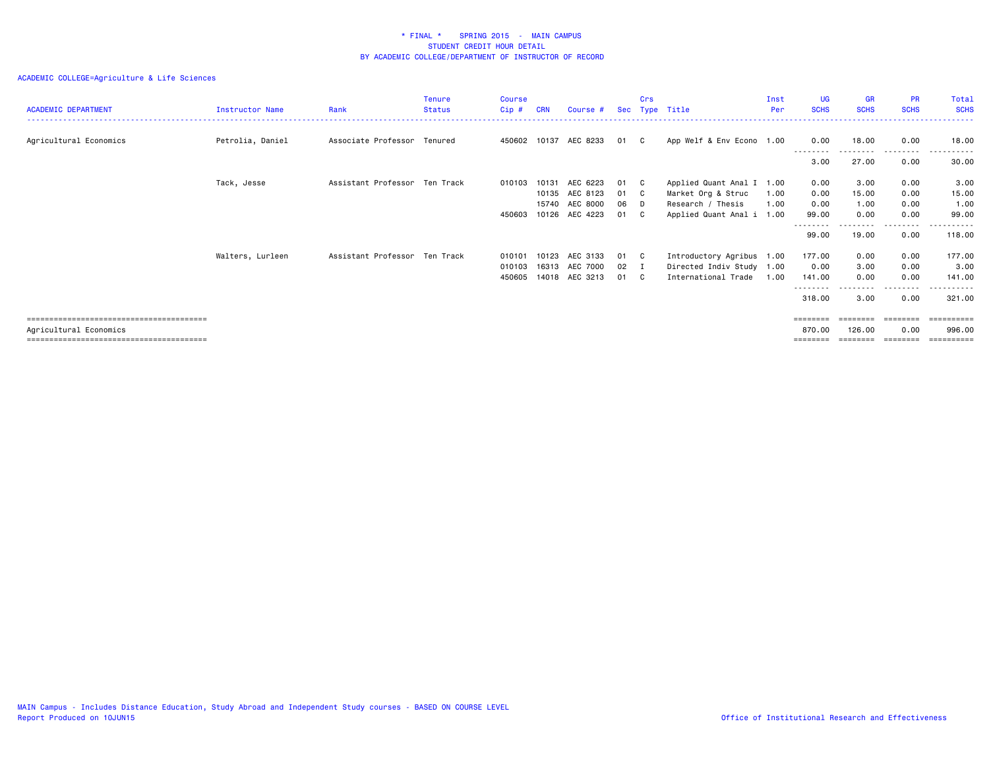| <b>ACADEMIC DEPARTMENT</b> | <b>Instructor Name</b> | Rank                          | <b>Tenure</b><br><b>Status</b> | <b>Course</b><br>Cip# | <b>CRN</b> | Course #                         |            | Crs                | Sec Type Title                                         | Inst<br>Per  | <b>UG</b><br><b>SCHS</b> | GR<br><b>SCHS</b>  | <b>PR</b><br><b>SCHS</b> | Total<br><b>SCHS</b> |
|----------------------------|------------------------|-------------------------------|--------------------------------|-----------------------|------------|----------------------------------|------------|--------------------|--------------------------------------------------------|--------------|--------------------------|--------------------|--------------------------|----------------------|
| Agricultural Economics     | Petrolia, Daniel       | Associate Professor Tenured   |                                | 450602                |            | 10137 AEC 8233                   | 01         | $\mathbf{C}$       | App Welf & Env Econo 1.00                              |              | 0.00                     | 18.00              | 0.00                     | 18.00                |
|                            |                        |                               |                                |                       |            |                                  |            |                    |                                                        |              | 3.00                     | 27.00              | 0.00                     | 30.00                |
|                            | Tack, Jesse            | Assistant Professor Ten Track |                                | 010103                | 10131      | AEC 6223                         | 01         | C C                | Applied Quant Anal I 1.00                              |              | 0.00                     | 3.00               | 0.00                     | 3.00                 |
|                            |                        |                               |                                |                       | 10135      | AEC 8123<br>15740 AEC 8000       | 01<br>06   | $\mathbf{C}$<br>D. | Market Org & Struc<br>Research / Thesis                | 1.00<br>1.00 | 0.00<br>0.00             | 15.00<br>1.00      | 0.00<br>0.00             | 15.00<br>1.00        |
|                            |                        |                               |                                | 450603                |            | 10126 AEC 4223                   | 01         | C C                | Applied Quant Anal i 1.00                              |              | 99.00<br>--------        | 0.00               | 0.00<br>-----            | 99.00                |
|                            |                        |                               |                                |                       |            |                                  |            |                    |                                                        |              | 99.00                    | 19.00              | 0.00                     | 118.00               |
|                            | Walters, Lurleen       | Assistant Professor Ten Track |                                | 010101<br>010103      |            | 10123 AEC 3133<br>16313 AEC 7000 | 01<br>02 I | $\mathbf{C}$       | Introductory Agribus 1.00<br>Directed Indiv Study 1.00 |              | 177.00<br>0.00           | 0.00<br>3.00       | 0.00<br>0.00             | 177.00<br>3.00       |
|                            |                        |                               |                                | 450605                |            | 14018 AEC 3213                   | 01         | C.                 | International Trade                                    | 1.00         | 141.00<br>--------       | 0.00               | 0.00<br>.                | 141.00<br>-------    |
|                            |                        |                               |                                |                       |            |                                  |            |                    |                                                        |              | 318.00                   | 3.00               | 0.00                     | 321.00               |
|                            |                        |                               |                                |                       |            |                                  |            |                    |                                                        |              | $=$ = = = = = = =        | ========           | ========                 | ==========           |
| Agricultural Economics     |                        |                               |                                |                       |            |                                  |            |                    |                                                        |              | 870.00<br>========       | 126.00<br>======== | 0.00<br>--------         | 996.00<br>========== |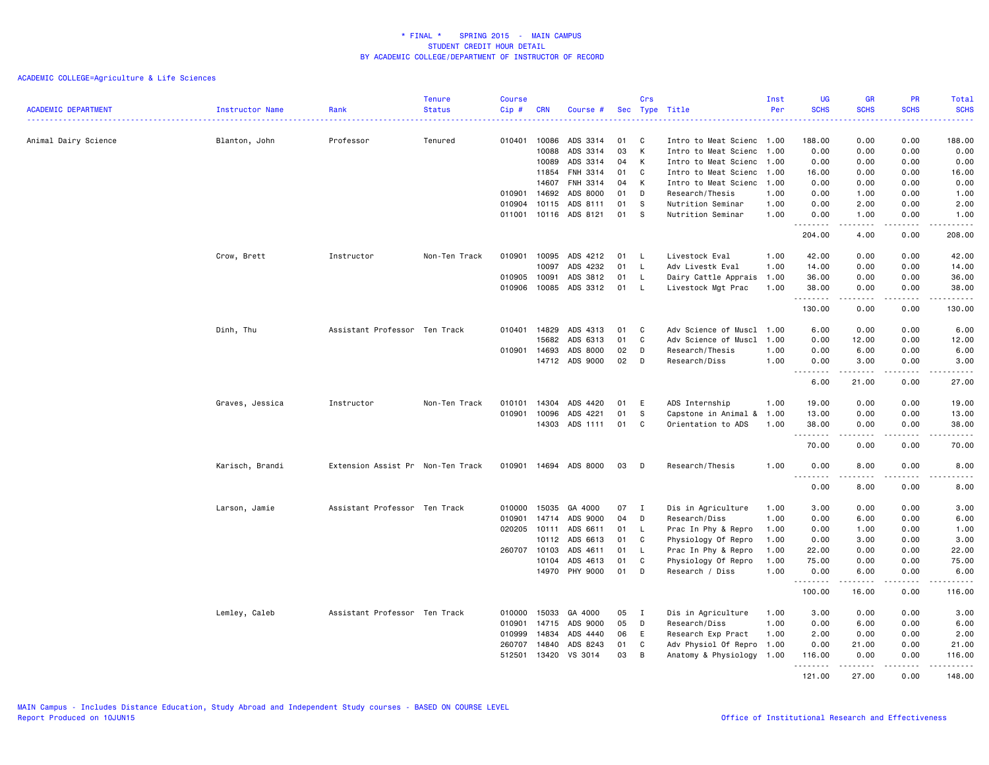|                            |                                        |                                   | <b>Tenure</b> | <b>Course</b> |              |                       |     | Crs |                           | Inst | <b>UG</b>                         | <b>GR</b>     | PR                           | Total                                                                                                                                    |
|----------------------------|----------------------------------------|-----------------------------------|---------------|---------------|--------------|-----------------------|-----|-----|---------------------------|------|-----------------------------------|---------------|------------------------------|------------------------------------------------------------------------------------------------------------------------------------------|
| <b>ACADEMIC DEPARTMENT</b> | <b>Instructor Name</b><br>. <u>.</u> . | Rank                              | <b>Status</b> | $Cip \#$      | <b>CRN</b>   | Course #              | Sec |     | Type Title                | Per  | <b>SCHS</b>                       | <b>SCHS</b>   | <b>SCHS</b><br>.             | <b>SCHS</b><br>$\frac{1}{2} \left( \frac{1}{2} \right) \left( \frac{1}{2} \right) \left( \frac{1}{2} \right) \left( \frac{1}{2} \right)$ |
| Animal Dairy Science       | Blanton, John                          | Professor                         | Tenured       | 010401        | 10086        | ADS 3314              | 01  | C   | Intro to Meat Scienc 1.00 |      | 188.00                            | 0.00          | 0.00                         | 188.00                                                                                                                                   |
|                            |                                        |                                   |               |               | 10088        | ADS 3314              | 03  | К   | Intro to Meat Scienc 1.00 |      | 0.00                              | 0.00          | 0.00                         | 0.00                                                                                                                                     |
|                            |                                        |                                   |               |               | 10089        | ADS 3314              | 04  | К   | Intro to Meat Scienc 1.00 |      | 0.00                              | 0.00          | 0.00                         | 0.00                                                                                                                                     |
|                            |                                        |                                   |               |               | 11854        | FNH 3314              | 01  | C   | Intro to Meat Scienc 1.00 |      | 16.00                             | 0.00          | 0.00                         | 16.00                                                                                                                                    |
|                            |                                        |                                   |               |               | 14607        | FNH 3314              | 04  | К   | Intro to Meat Scienc 1.00 |      | 0.00                              | 0.00          | 0.00                         | 0.00                                                                                                                                     |
|                            |                                        |                                   |               | 010901        | 14692        | ADS 8000              | 01  | D   | Research/Thesis           | 1.00 | 0.00                              | 1.00          | 0.00                         | 1.00                                                                                                                                     |
|                            |                                        |                                   |               | 010904        | 10115        | ADS 8111              | 01  | S.  | Nutrition Seminar         | 1.00 | 0.00                              | 2.00          | 0.00                         | 2.00                                                                                                                                     |
|                            |                                        |                                   |               |               |              | 011001 10116 ADS 8121 | 01  | s   | Nutrition Seminar         | 1.00 | 0.00<br>.                         | 1.00<br>.     | 0.00<br>$\frac{1}{2}$        | 1.00<br>.                                                                                                                                |
|                            |                                        |                                   |               |               |              |                       |     |     |                           |      | 204.00                            | 4.00          | 0.00                         | 208,00                                                                                                                                   |
|                            | Crow, Brett                            | Instructor                        | Non-Ten Track | 010901        | 10095        | ADS 4212              | 01  | L.  | Livestock Eval            | 1.00 | 42.00                             | 0.00          | 0.00                         | 42.00                                                                                                                                    |
|                            |                                        |                                   |               |               | 10097        | ADS 4232              | 01  | L.  | Adv Livestk Eval          | 1.00 | 14.00                             | 0.00          | 0.00                         | 14.00                                                                                                                                    |
|                            |                                        |                                   |               | 010905        | 10091        | ADS 3812              | 01  | L.  | Dairy Cattle Apprais      | 1.00 | 36.00                             | 0.00          | 0.00                         | 36.00                                                                                                                                    |
|                            |                                        |                                   |               | 010906        | 10085        | ADS 3312              | 01  | L.  | Livestock Mgt Prac        | 1.00 | 38.00<br>.                        | 0.00<br>----- | 0.00<br>.                    | 38.00<br>.                                                                                                                               |
|                            |                                        |                                   |               |               |              |                       |     |     |                           |      | 130.00                            | 0.00          | 0.00                         | 130.00                                                                                                                                   |
|                            | Dinh, Thu                              | Assistant Professor Ten Track     |               | 010401        | 14829        | ADS 4313              | 01  | C   | Adv Science of Muscl      | 1.00 | 6.00                              | 0.00          | 0.00                         | 6.00                                                                                                                                     |
|                            |                                        |                                   |               |               | 15682        | ADS 6313              | 01  | C   | Adv Science of Muscl      | 1.00 | 0.00                              | 12.00         | 0.00                         | 12.00                                                                                                                                    |
|                            |                                        |                                   |               |               | 010901 14693 | ADS 8000              | 02  | D   | Research/Thesis           | 1.00 | 0.00                              | 6.00          | 0.00                         | 6.00                                                                                                                                     |
|                            |                                        |                                   |               |               |              | 14712 ADS 9000        | 02  | D   | Research/Diss             | 1.00 | 0.00<br>.                         | 3.00<br>.     | 0.00<br>$\cdots$             | 3.00<br>.                                                                                                                                |
|                            |                                        |                                   |               |               |              |                       |     |     |                           |      | 6.00                              | 21.00         | 0.00                         | 27.00                                                                                                                                    |
|                            | Graves, Jessica                        | Instructor                        | Non-Ten Track | 010101        | 14304        | ADS 4420              | 01  | E   | ADS Internship            | 1.00 | 19.00                             | 0.00          | 0.00                         | 19.00                                                                                                                                    |
|                            |                                        |                                   |               | 010901        | 10096        | ADS 4221              | 01  | S.  | Capstone in Animal &      | 1.00 | 13.00                             | 0.00          | 0.00                         | 13.00                                                                                                                                    |
|                            |                                        |                                   |               |               | 14303        | ADS 1111              | 01  | C   | Orientation to ADS        | 1.00 | 38.00<br>.                        | 0.00          | 0.00<br>.                    | 38.00<br>-----                                                                                                                           |
|                            |                                        |                                   |               |               |              |                       |     |     |                           |      | 70.00                             | 0.00          | 0.00                         | 70.00                                                                                                                                    |
|                            | Karisch, Brandi                        | Extension Assist Pr Non-Ten Track |               |               |              | 010901 14694 ADS 8000 | 03  | D   | Research/Thesis           | 1.00 | 0.00<br>$\sim$ $\sim$ $\sim$<br>. | 8.00<br>.     | 0.00<br>$\sim$ $\sim$ $\sim$ | 8.00<br>.                                                                                                                                |
|                            |                                        |                                   |               |               |              |                       |     |     |                           |      | 0.00                              | 8.00          | 0.00                         | 8.00                                                                                                                                     |
|                            | Larson, Jamie                          | Assistant Professor Ten Track     |               | 010000        | 15035        | GA 4000               | 07  | Ι.  | Dis in Agriculture        | 1.00 | 3.00                              | 0.00          | 0.00                         | 3.00                                                                                                                                     |
|                            |                                        |                                   |               | 010901        | 14714        | ADS 9000              | 04  | D   | Research/Diss             | 1.00 | 0.00                              | 6.00          | 0.00                         | 6.00                                                                                                                                     |
|                            |                                        |                                   |               | 020205        | 10111        | ADS 6611              | 01  | L.  | Prac In Phy & Repro       | 1.00 | 0.00                              | 1.00          | 0.00                         | 1.00                                                                                                                                     |
|                            |                                        |                                   |               |               | 10112        | ADS 6613              | 01  | C   | Physiology Of Repro       | 1.00 | 0.00                              | 3.00          | 0.00                         | 3.00                                                                                                                                     |
|                            |                                        |                                   |               | 260707 10103  |              | ADS 4611              | 01  | L.  | Prac In Phy & Repro       | 1.00 | 22.00                             | 0.00          | 0.00                         | 22.00                                                                                                                                    |
|                            |                                        |                                   |               |               | 10104        | ADS 4613              | 01  | C   | Physiology Of Repro       | 1.00 | 75.00                             | 0.00          | 0.00                         | 75.00                                                                                                                                    |
|                            |                                        |                                   |               |               |              | 14970 PHY 9000        | 01  | D   | Research / Diss           | 1.00 | 0.00<br><u>.</u>                  | 6.00          | 0.00<br>$- - - -$            | 6.00<br>$- - - - -$                                                                                                                      |
|                            |                                        |                                   |               |               |              |                       |     |     |                           |      | 100.00                            | 16.00         | 0.00                         | 116.00                                                                                                                                   |
|                            | Lemley, Caleb                          | Assistant Professor Ten Track     |               | 010000        | 15033        | GA 4000               | 05  | Ι.  | Dis in Agriculture        | 1.00 | 3.00                              | 0.00          | 0.00                         | 3.00                                                                                                                                     |
|                            |                                        |                                   |               | 010901        | 14715        | ADS 9000              | 05  | D   | Research/Diss             | 1.00 | 0.00                              | 6.00          | 0.00                         | 6.00                                                                                                                                     |
|                            |                                        |                                   |               | 010999        | 14834        | ADS 4440              | 06  | E   | Research Exp Pract        | 1.00 | 2.00                              | 0.00          | 0.00                         | 2.00                                                                                                                                     |
|                            |                                        |                                   |               | 260707        | 14840        | ADS 8243              | 01  | C   | Adv Physiol Of Repro 1.00 |      | 0.00                              | 21.00         | 0.00                         | 21.00                                                                                                                                    |
|                            |                                        |                                   |               | 512501        | 13420        | VS 3014               | 03  | B   | Anatomy & Physiology 1.00 |      | 116.00<br><u>.</u>                | 0.00<br>.     | 0.00<br>.                    | 116.00<br>$- - - - - - -$                                                                                                                |
|                            |                                        |                                   |               |               |              |                       |     |     |                           |      | 121.00                            | 27.00         | 0.00                         | 148,00                                                                                                                                   |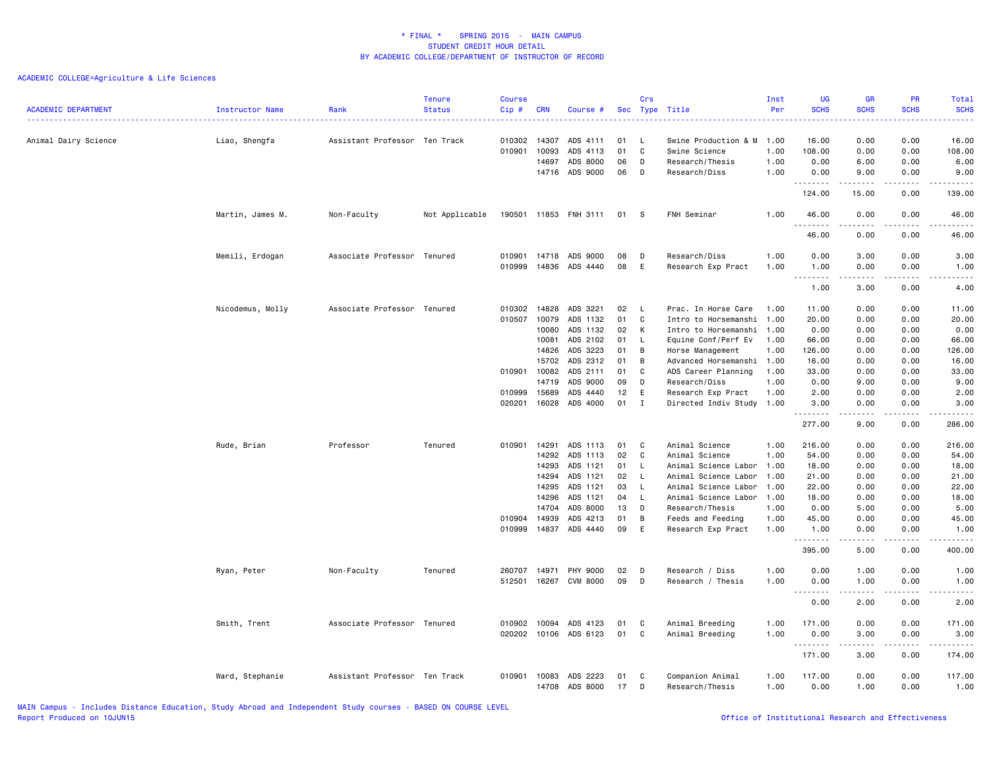| <b>ACADEMIC DEPARTMENT</b> | Instructor Name  | Rank                          | <b>Tenure</b><br><b>Status</b> | <b>Course</b><br>Cip # | <b>CRN</b> | Course #        | Sec | Crs<br>Type  | Title                     | Inst<br>Per | <b>UG</b><br><b>SCHS</b>                          | <b>GR</b><br><b>SCHS</b>                                                                                                                                     | PR<br><b>SCHS</b>                           | Total<br><b>SCHS</b>                                                                                                                                         |
|----------------------------|------------------|-------------------------------|--------------------------------|------------------------|------------|-----------------|-----|--------------|---------------------------|-------------|---------------------------------------------------|--------------------------------------------------------------------------------------------------------------------------------------------------------------|---------------------------------------------|--------------------------------------------------------------------------------------------------------------------------------------------------------------|
| Animal Dairy Science       | Liao, Shengfa    | Assistant Professor Ten Track |                                | 010302                 | 14307      | ADS 4111        | 01  | - L          | Swine Production & M      | 1.00        | 16.00                                             | 0.00                                                                                                                                                         | 0.00                                        | 16.00                                                                                                                                                        |
|                            |                  |                               |                                | 010901                 | 10093      | ADS 4113        | 01  | C            | Swine Science             | 1.00        | 108.00                                            | 0.00                                                                                                                                                         | 0.00                                        | 108.00                                                                                                                                                       |
|                            |                  |                               |                                |                        | 14697      | ADS 8000        | 06  | D            | Research/Thesis           | 1.00        | 0.00                                              | 6.00                                                                                                                                                         | 0.00                                        | 6.00                                                                                                                                                         |
|                            |                  |                               |                                |                        | 14716      | ADS 9000        | 06  | D            | Research/Diss             | 1.00        | 0.00                                              | 9.00                                                                                                                                                         | 0.00                                        | 9.00                                                                                                                                                         |
|                            |                  |                               |                                |                        |            |                 |     |              |                           |             | <u>.</u>                                          |                                                                                                                                                              |                                             | $\frac{1}{2} \left( \frac{1}{2} \right) \left( \frac{1}{2} \right) \left( \frac{1}{2} \right) \left( \frac{1}{2} \right)$                                    |
|                            |                  |                               |                                |                        |            |                 |     |              |                           |             | 124.00                                            | 15.00                                                                                                                                                        | 0.00                                        | 139.00                                                                                                                                                       |
|                            | Martin, James M. | Non-Faculty                   | Not Applicable                 | 190501                 | 11853      | FNH 3111        | 01  | - S          | FNH Seminar               | 1.00        | 46.00<br>.                                        | 0.00<br>$\frac{1}{2} \left( \frac{1}{2} \right) \left( \frac{1}{2} \right) \left( \frac{1}{2} \right) \left( \frac{1}{2} \right) \left( \frac{1}{2} \right)$ | 0.00<br>$\omega$ $\omega$ $\omega$ $\omega$ | 46.00<br>.                                                                                                                                                   |
|                            |                  |                               |                                |                        |            |                 |     |              |                           |             | 46.00                                             | 0.00                                                                                                                                                         | 0.00                                        | 46.00                                                                                                                                                        |
|                            | Memili, Erdogan  | Associate Professor Tenured   |                                | 010901                 | 14718      | ADS 9000        | 08  | D            | Research/Diss             | 1.00        | 0.00                                              | 3.00                                                                                                                                                         | 0.00                                        | 3.00                                                                                                                                                         |
|                            |                  |                               |                                | 010999                 | 14836      | ADS 4440        | 08  | E            | Research Exp Pract        | 1.00        | 1.00                                              | 0.00                                                                                                                                                         | 0.00                                        | 1.00                                                                                                                                                         |
|                            |                  |                               |                                |                        |            |                 |     |              |                           |             | $\omega$ is a $\omega$<br>$\sim$ $\sim$ .<br>1.00 | .<br>3.00                                                                                                                                                    | $\sim$ $\sim$ $\sim$ $\sim$<br>0.00         | .<br>4.00                                                                                                                                                    |
|                            | Nicodemus, Molly | Associate Professor Tenured   |                                | 010302                 | 14828      | ADS 3221        | 02  | - L          | Prac. In Horse Care       | 1.00        | 11.00                                             | 0.00                                                                                                                                                         | 0.00                                        | 11.00                                                                                                                                                        |
|                            |                  |                               |                                | 010507                 | 10079      | ADS 1132        | 01  | C            | Intro to Horsemanshi      | 1.00        | 20.00                                             | 0.00                                                                                                                                                         | 0.00                                        | 20.00                                                                                                                                                        |
|                            |                  |                               |                                |                        | 10080      | ADS 1132        | 02  | K            | Intro to Horsemanshi 1.00 |             | 0.00                                              | 0.00                                                                                                                                                         | 0.00                                        | 0.00                                                                                                                                                         |
|                            |                  |                               |                                |                        | 10081      | ADS 2102        | 01  | $\mathsf{L}$ | Equine Conf/Perf Ev       | 1.00        | 66.00                                             | 0.00                                                                                                                                                         | 0.00                                        | 66.00                                                                                                                                                        |
|                            |                  |                               |                                |                        | 14826      | ADS 3223        | 01  | B            | Horse Management          | 1.00        | 126.00                                            | 0.00                                                                                                                                                         | 0.00                                        | 126.00                                                                                                                                                       |
|                            |                  |                               |                                |                        | 15702      | ADS 2312        | 01  | B            | Advanced Horsemanshi      | 1.00        | 16.00                                             | 0.00                                                                                                                                                         | 0.00                                        | 16.00                                                                                                                                                        |
|                            |                  |                               |                                | 010901 10082           |            | ADS 2111        | 01  | C            | ADS Career Planning       | 1.00        | 33.00                                             | 0.00                                                                                                                                                         | 0.00                                        | 33.00                                                                                                                                                        |
|                            |                  |                               |                                |                        | 14719      | ADS 9000        | 09  | D            | Research/Diss             | 1.00        | 0.00                                              | 9.00                                                                                                                                                         | 0.00                                        | 9.00                                                                                                                                                         |
|                            |                  |                               |                                | 010999                 | 15689      | ADS 4440        | 12  | E            | Research Exp Pract        | 1.00        | 2.00                                              | 0.00                                                                                                                                                         | 0.00                                        | 2.00                                                                                                                                                         |
|                            |                  |                               |                                | 020201                 | 16028      | ADS 4000        | 01  | $\mathbf{I}$ | Directed Indiv Study 1.00 |             | 3.00<br>-----                                     | 0.00<br>.                                                                                                                                                    | 0.00<br>.                                   | 3.00<br>.                                                                                                                                                    |
|                            |                  |                               |                                |                        |            |                 |     |              |                           |             | 277.00                                            | 9.00                                                                                                                                                         | 0.00                                        | 286.00                                                                                                                                                       |
|                            | Rude, Brian      | Professor                     | Tenured                        | 010901                 | 14291      | ADS 1113        | 01  | C            | Animal Science            | 1.00        | 216.00                                            | 0.00                                                                                                                                                         | 0.00                                        | 216.00                                                                                                                                                       |
|                            |                  |                               |                                |                        | 14292      | ADS 1113        | 02  | C            | Animal Science            | 1.00        | 54.00                                             | 0.00                                                                                                                                                         | 0.00                                        | 54.00                                                                                                                                                        |
|                            |                  |                               |                                |                        | 14293      | ADS 1121        | 01  | <b>L</b>     | Animal Science Labor      | 1.00        | 18.00                                             | 0.00                                                                                                                                                         | 0.00                                        | 18.00                                                                                                                                                        |
|                            |                  |                               |                                |                        | 14294      | ADS 1121        | 02  | $\mathsf{L}$ | Animal Science Labor      | 1.00        | 21.00                                             | 0.00                                                                                                                                                         | 0.00                                        | 21.00                                                                                                                                                        |
|                            |                  |                               |                                |                        | 14295      | ADS 1121        | 03  | <b>L</b>     | Animal Science Labor      | 1.00        | 22.00                                             | 0.00                                                                                                                                                         | 0.00                                        | 22.00                                                                                                                                                        |
|                            |                  |                               |                                |                        | 14296      | ADS 1121        | 04  | $\mathsf{L}$ | Animal Science Labor      | 1.00        | 18.00                                             | 0.00                                                                                                                                                         | 0.00                                        | 18.00                                                                                                                                                        |
|                            |                  |                               |                                |                        | 14704      | ADS 8000        | 13  | D            | Research/Thesis           | 1.00        | 0.00                                              | 5.00                                                                                                                                                         | 0.00                                        | 5.00                                                                                                                                                         |
|                            |                  |                               |                                | 010904                 | 14939      | ADS 4213        | 01  | B            | Feeds and Feeding         | 1.00        | 45.00                                             | 0.00                                                                                                                                                         | 0.00                                        | 45.00                                                                                                                                                        |
|                            |                  |                               |                                | 010999                 | 14837      | ADS 4440        | 09  | E            | Research Exp Pract        | 1.00        | 1.00<br><u>.</u>                                  | 0.00<br>.                                                                                                                                                    | 0.00<br>$- - - -$                           | 1.00<br>.                                                                                                                                                    |
|                            |                  |                               |                                |                        |            |                 |     |              |                           |             | 395.00                                            | 5.00                                                                                                                                                         | 0.00                                        | 400.00                                                                                                                                                       |
|                            | Ryan, Peter      | Non-Faculty                   | Tenured                        | 260707                 | 14971      | PHY 9000        | 02  | D            | Research / Diss           | 1.00        | 0.00                                              | 1.00                                                                                                                                                         | 0.00                                        | 1.00                                                                                                                                                         |
|                            |                  |                               |                                | 512501                 | 16267      | <b>CVM 8000</b> | 09  | D            | Research / Thesis         | 1.00        | 0.00<br>.                                         | 1.00<br>$\frac{1}{2} \left( \frac{1}{2} \right) \left( \frac{1}{2} \right) \left( \frac{1}{2} \right) \left( \frac{1}{2} \right) \left( \frac{1}{2} \right)$ | 0.00<br>.                                   | 1.00<br>$\frac{1}{2} \left( \frac{1}{2} \right) \left( \frac{1}{2} \right) \left( \frac{1}{2} \right) \left( \frac{1}{2} \right) \left( \frac{1}{2} \right)$ |
|                            |                  |                               |                                |                        |            |                 |     |              |                           |             | 0.00                                              | 2.00                                                                                                                                                         | 0.00                                        | 2.00                                                                                                                                                         |
|                            | Smith, Trent     | Associate Professor Tenured   |                                | 010902                 | 10094      | ADS 4123        | 01  | C.           | Animal Breeding           | 1.00        | 171.00                                            | 0.00                                                                                                                                                         | 0.00                                        | 171.00                                                                                                                                                       |
|                            |                  |                               |                                | 020202                 |            | 10106 ADS 6123  | 01  | C            | Animal Breeding           | 1.00        | 0.00                                              | 3.00                                                                                                                                                         | 0.00                                        | 3.00                                                                                                                                                         |
|                            |                  |                               |                                |                        |            |                 |     |              |                           |             | .<br>171.00                                       | 3.00                                                                                                                                                         | 0.00                                        | .<br>174.00                                                                                                                                                  |
|                            | Ward, Stephanie  | Assistant Professor Ten Track |                                | 010901                 | 10083      | ADS 2223        | 01  | C            | Companion Animal          | 1.00        | 117.00                                            | 0.00                                                                                                                                                         | 0.00                                        | 117.00                                                                                                                                                       |
|                            |                  |                               |                                |                        | 14708      | ADS 8000        | 17  | D            | Research/Thesis           | 1.00        | 0.00                                              | 1.00                                                                                                                                                         | 0.00                                        | 1.00                                                                                                                                                         |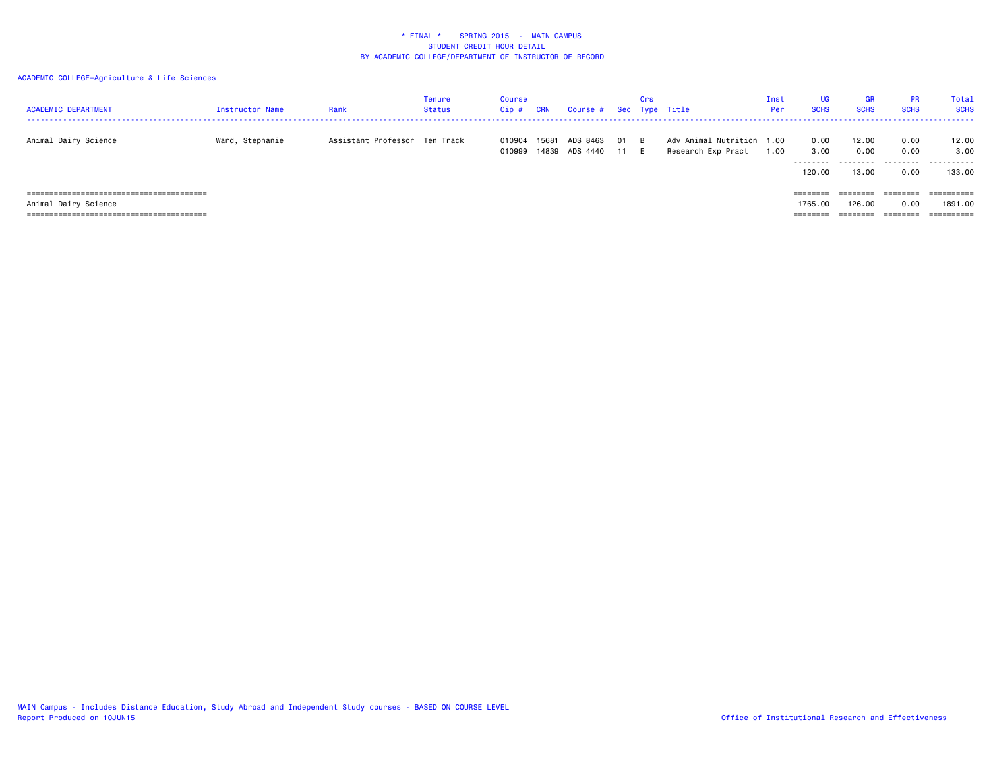| <b>ACADEMIC DEPARTMENT</b>         | Instructor Name | Rank                          | Tenure<br>Status | Course<br>Cip #  | CRN            | Course # Sec Type Title |              | Crs |                                                 | Inst<br>Per | <b>UG</b><br><b>SCHS</b>            | <b>GR</b><br><b>SCHS</b>    | <b>PR</b><br><b>SCHS</b>          | Total<br><b>SCHS</b>             |
|------------------------------------|-----------------|-------------------------------|------------------|------------------|----------------|-------------------------|--------------|-----|-------------------------------------------------|-------------|-------------------------------------|-----------------------------|-----------------------------------|----------------------------------|
| Animal Dairy Science               | Ward, Stephanie | Assistant Professor Ten Track |                  | 010904<br>010999 | 15681<br>14839 | ADS 8463<br>ADS 4440    | 01 B<br>11 E |     | Adv Animal Nutrition 1.00<br>Research Exp Pract | 1.00        | 0.00<br>3.00<br>---------<br>120.00 | 12.00<br>0.00<br>.<br>13.00 | 0.00<br>0.00<br>---------<br>0.00 | 12.00<br>3.00<br>.<br>133.00     |
| Animal Dairy Science               |                 |                               |                  |                  |                |                         |              |     |                                                 |             | ========<br>1765.00                 | ========<br>126.00          | ========<br>0.00                  | $=$ = = = = = = = = :<br>1891.00 |
| ================================== |                 |                               |                  |                  |                |                         |              |     |                                                 |             | ========                            |                             | ========                          | =========                        |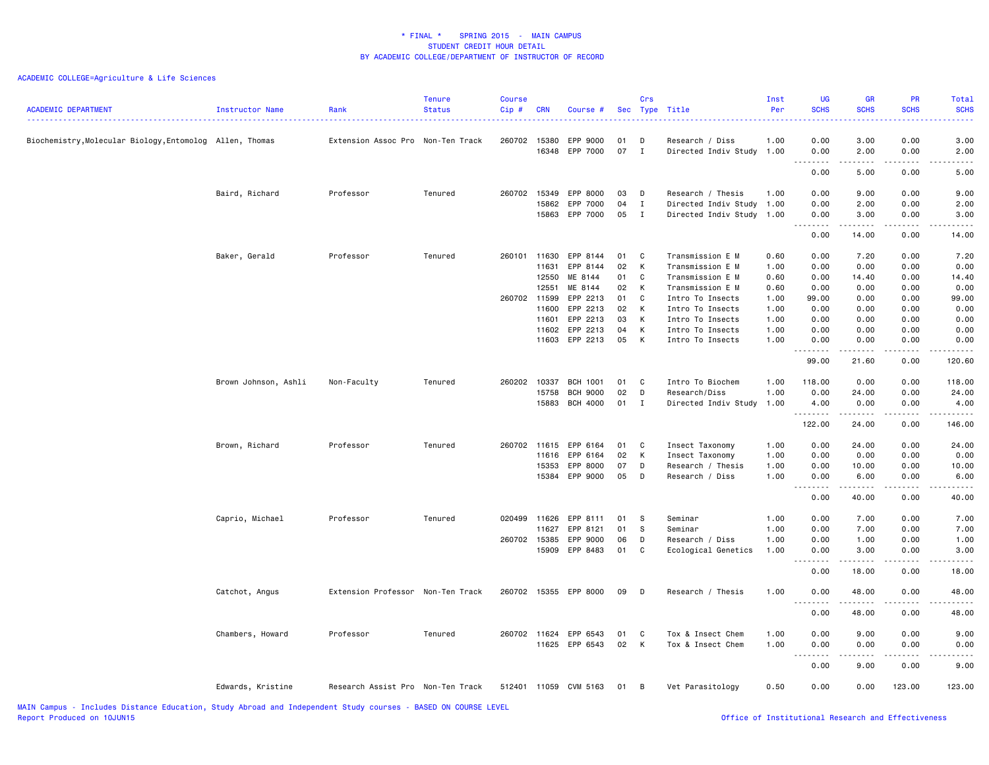| <b>ACADEMIC DEPARTMENT</b>                               | Instructor Name                                  | Rank                              | <b>Tenure</b><br><b>Status</b> | Course<br>Cip# | <b>CRN</b> | Course #              |          | Crs               | Sec Type Title                               | Inst<br>Per | <b>UG</b><br><b>SCHS</b> | <b>GR</b><br><b>SCHS</b> | PR<br><b>SCHS</b>  | Total<br><b>SCHS</b> |
|----------------------------------------------------------|--------------------------------------------------|-----------------------------------|--------------------------------|----------------|------------|-----------------------|----------|-------------------|----------------------------------------------|-------------|--------------------------|--------------------------|--------------------|----------------------|
| Biochemistry, Molecular Biology, Entomolog Allen, Thomas |                                                  | Extension Assoc Pro Non-Ten Track |                                | 260702 15380   | 16348      | EPP 9000<br>EPP 7000  | 01<br>07 | D<br>$\mathbf{I}$ | Research / Diss<br>Directed Indiv Study 1.00 | 1.00        | 0.00<br>0.00             | 3.00<br>2.00             | 0.00<br>0.00       | 3.00<br>2.00         |
|                                                          |                                                  |                                   |                                |                |            |                       |          |                   |                                              |             | $- - - -$                | .                        | .                  | $- - - -$            |
|                                                          |                                                  |                                   |                                |                |            |                       |          |                   |                                              |             | 0.00                     | 5.00                     | 0.00               | 5.00                 |
|                                                          | Baird, Richard                                   | Professor                         | Tenured                        | 260702         | 15349      | EPP 8000              | 03       | D                 | Research / Thesis                            | 1.00        | 0.00                     | 9.00                     | 0.00               | 9.00                 |
|                                                          |                                                  |                                   |                                |                | 15862      | EPP 7000              | 04       | $\mathbf{I}$      | Directed Indiv Study 1.00                    |             | 0.00                     | 2.00                     | 0.00               | 2.00                 |
|                                                          |                                                  |                                   |                                |                | 15863      | EPP 7000              | 05       | $\mathbf{I}$      | Directed Indiv Study 1.00                    |             | 0.00<br>.                | 3.00<br>-----            | 0.00<br>. <b>.</b> | 3.00                 |
|                                                          |                                                  |                                   |                                |                |            |                       |          |                   |                                              |             | 0.00                     | 14.00                    | 0.00               | 14.00                |
|                                                          | Baker, Gerald                                    | Professor                         | Tenured                        | 260101         | 11630      | EPP 8144              | 01       | $\mathbf{C}$      | Transmission E M                             | 0.60        | 0.00                     | 7.20                     | 0.00               | 7.20                 |
|                                                          |                                                  |                                   |                                |                | 11631      | EPP 8144              | 02       | К                 | Transmission E M                             | 1.00        | 0.00                     | 0.00                     | 0.00               | 0.00                 |
|                                                          |                                                  |                                   |                                |                | 12550      | ME 8144               | 01       | C                 | Transmission E M                             | 0.60        | 0.00                     | 14.40                    | 0.00               | 14.40                |
|                                                          |                                                  |                                   |                                |                | 12551      | ME 8144               | 02       | К                 | Transmission E M                             | 0.60        | 0.00                     | 0.00                     | 0.00               | 0.00                 |
|                                                          |                                                  |                                   |                                | 260702 11599   |            | EPP 2213              | 01       | C                 | Intro To Insects                             | 1.00        | 99.00                    | 0.00                     | 0.00               | 99.00                |
|                                                          |                                                  |                                   |                                |                | 11600      | EPP 2213              | 02       | K                 | Intro To Insects                             | 1.00        | 0.00                     | 0.00                     | 0.00               | 0.00                 |
|                                                          |                                                  |                                   |                                |                | 11601      | EPP 2213              | 03       | K                 | Intro To Insects                             | 1.00        | 0.00                     | 0.00                     | 0.00               | 0.00                 |
|                                                          |                                                  |                                   |                                |                | 11602      | EPP 2213              | 04       | K                 | Intro To Insects                             | 1.00        | 0.00                     | 0.00                     | 0.00               | 0.00                 |
|                                                          |                                                  |                                   |                                |                |            | 11603 EPP 2213        | 05       | K                 | Intro To Insects                             | 1.00        | 0.00<br>.                | 0.00<br>.                | 0.00<br>.          | 0.00<br>.            |
|                                                          |                                                  |                                   |                                |                |            |                       |          |                   |                                              |             | 99.00                    | 21.60                    | 0.00               | 120.60               |
|                                                          | Brown Johnson, Ashli                             | Non-Faculty                       | Tenured                        | 260202         | 10337      | <b>BCH 1001</b>       | 01       | <b>C</b>          | Intro To Biochem                             | 1.00        | 118.00                   | 0.00                     | 0.00               | 118.00               |
|                                                          |                                                  |                                   |                                |                | 15758      | <b>BCH 9000</b>       | 02       | D                 | Research/Diss                                | 1.00        | 0.00                     | 24.00                    | 0.00               | 24.00                |
|                                                          |                                                  |                                   |                                |                | 15883      | <b>BCH 4000</b>       | 01       | $\mathbf{I}$      | Directed Indiv Study                         | 1.00        | 4.00                     | 0.00                     | 0.00               | 4.00                 |
|                                                          |                                                  |                                   |                                |                |            |                       |          |                   |                                              |             | .                        |                          |                    |                      |
|                                                          |                                                  |                                   |                                |                |            |                       |          |                   |                                              |             | 122.00                   | 24.00                    | 0.00               | 146.00               |
|                                                          | Brown, Richard                                   | Professor                         | Tenured                        | 260702 11615   |            | EPP 6164              | 01       | $\mathbf{C}$      | Insect Taxonomy                              | 1.00        | 0.00                     | 24.00                    | 0.00               | 24.00                |
|                                                          |                                                  |                                   |                                |                | 11616      | EPP 6164              | 02       | К                 | Insect Taxonomy                              | 1.00        | 0.00                     | 0.00                     | 0.00               | 0.00                 |
|                                                          |                                                  |                                   |                                |                | 15353      | EPP 8000              | 07       | D                 | Research / Thesis                            | 1.00        | 0.00                     | 10.00                    | 0.00               | 10.00                |
|                                                          |                                                  |                                   |                                |                | 15384      | EPP 9000              | 05       | D                 | Research / Diss                              | 1.00        | 0.00<br>.                | 6.00<br>المتمام المتعاد  | 0.00<br>.          | 6.00<br>.            |
|                                                          |                                                  |                                   |                                |                |            |                       |          |                   |                                              |             | 0.00                     | 40.00                    | 0.00               | 40.00                |
|                                                          | Caprio, Michael                                  | Professor                         | Tenured                        | 020499         | 11626      | EPP 8111              | 01       | <b>S</b>          | Seminar                                      | 1.00        | 0.00                     | 7.00                     | 0.00               | 7.00                 |
|                                                          |                                                  |                                   |                                |                | 11627      | EPP 8121              | 01       | -S                | Seminar                                      | 1.00        | 0.00                     | 7.00                     | 0.00               | 7.00                 |
|                                                          |                                                  |                                   |                                | 260702 15385   |            | EPP 9000              | 06       | D                 | Research / Diss                              | 1.00        | 0.00                     | 1.00                     | 0.00               | 1.00                 |
|                                                          |                                                  |                                   |                                |                | 15909      | EPP 8483              | 01       | C                 | Ecological Genetics                          | 1.00        | 0.00                     | 3.00                     | 0.00               | 3.00                 |
|                                                          |                                                  |                                   |                                |                |            |                       |          |                   |                                              |             | .<br>0.00                | . <b>.</b><br>18.00      | .<br>0.00          | .<br>18.00           |
|                                                          | Catchot, Angus                                   | Extension Professor Non-Ten Track |                                |                |            | 260702 15355 EPP 8000 | 09       | $\mathsf{D}$      | Research / Thesis                            | 1.00        | 0.00                     | 48.00                    | 0.00               | 48.00                |
|                                                          |                                                  |                                   |                                |                |            |                       |          |                   |                                              |             | 0.00                     | 48.00                    | 0.00               | 48.00                |
|                                                          |                                                  |                                   |                                |                |            |                       |          |                   |                                              |             |                          |                          |                    |                      |
|                                                          | Chambers, Howard                                 | Professor                         | Tenured                        | 260702         | 11624      | EPP 6543              | 01       | C                 | Tox & Insect Chem                            | 1.00        | 0.00                     | 9.00                     | 0.00               | 9.00                 |
|                                                          |                                                  |                                   |                                |                |            | 11625 EPP 6543        | 02       | K                 | Tox & Insect Chem                            | 1.00        | 0.00                     | 0.00                     | 0.00               | 0.00                 |
|                                                          |                                                  |                                   |                                |                |            |                       |          |                   |                                              |             | .                        | .                        | .                  | .                    |
|                                                          |                                                  |                                   |                                |                |            |                       |          |                   |                                              |             | 0.00                     | 9.00                     | 0.00               | 9.00                 |
|                                                          | Edwards, Kristine                                | Research Assist Pro Non-Ten Track |                                |                |            | 512401 11059 CVM 5163 | 01       | — В               | Vet Parasitology                             | 0.50        | 0.00                     | 0.00                     | 123.00             | 123.00               |
| UATN Compute - Theludes Distance Education               | Chickle Abnoral and Tedescondent Chicken coupons |                                   | <b>DAOED ON COURSE LEVEL</b>   |                |            |                       |          |                   |                                              |             |                          |                          |                    |                      |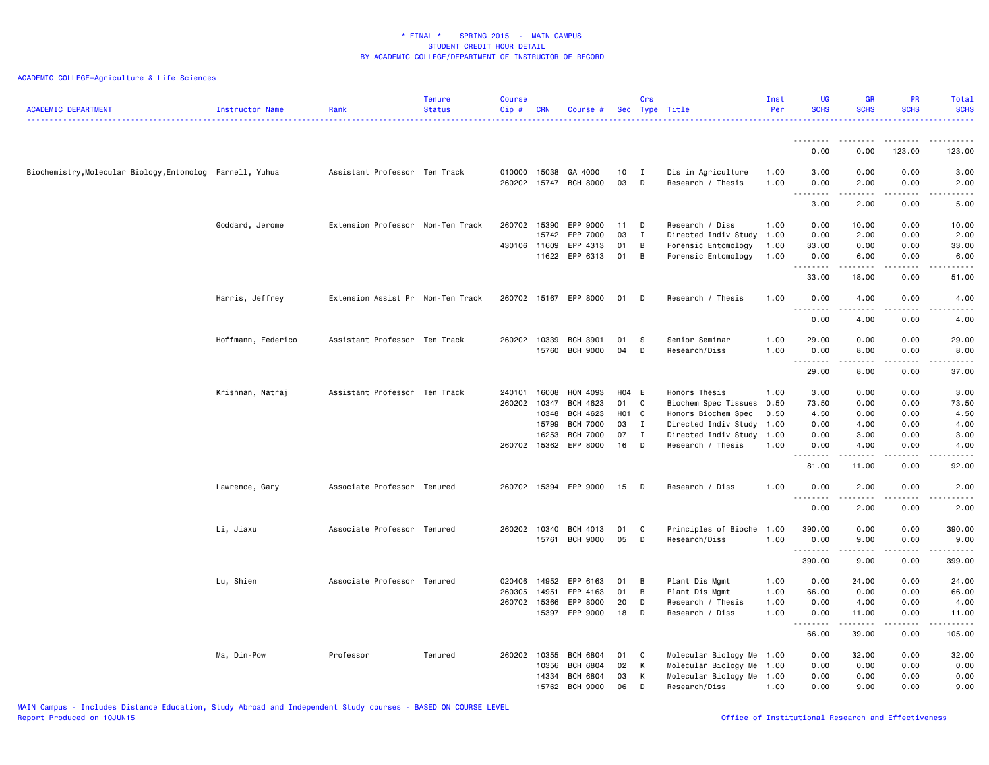| <b>ACADEMIC DEPARTMENT</b>                                | Instructor Name    | Rank                              | <b>Tenure</b><br><b>Status</b> | <b>Course</b><br>$Cip$ # | <b>CRN</b>              | Course #                                     |                      | Crs                                      | Sec Type Title                                                                        | Inst<br>Per                  | <b>UG</b><br><b>SCHS</b>           | <b>SCHS</b>                   | PR<br><b>SCHS</b>                   | Total<br><b>SCHS</b>                                                                                                                                         |
|-----------------------------------------------------------|--------------------|-----------------------------------|--------------------------------|--------------------------|-------------------------|----------------------------------------------|----------------------|------------------------------------------|---------------------------------------------------------------------------------------|------------------------------|------------------------------------|-------------------------------|-------------------------------------|--------------------------------------------------------------------------------------------------------------------------------------------------------------|
|                                                           |                    |                                   |                                |                          |                         |                                              |                      |                                          |                                                                                       |                              | ---------                          | --------                      | .                                   | .                                                                                                                                                            |
|                                                           |                    |                                   |                                |                          |                         |                                              |                      |                                          |                                                                                       |                              | 0.00                               | 0.00                          | 123.00                              | 123.00                                                                                                                                                       |
| Biochemistry, Molecular Biology, Entomolog Farnell, Yuhua |                    | Assistant Professor Ten Track     |                                | 010000                   | 15038                   | GA 4000<br>260202 15747 BCH 8000             | 10<br>03             | $\mathbf{I}$<br>D                        | Dis in Agriculture<br>Research / Thesis                                               | 1.00<br>1.00                 | 3.00<br>0.00<br>$\sim$ $\sim$<br>. | 0.00<br>2.00<br>$- - - - -$   | 0.00<br>0.00<br>.                   | 3.00<br>2.00<br>.                                                                                                                                            |
|                                                           |                    |                                   |                                |                          |                         |                                              |                      |                                          |                                                                                       |                              | 3.00                               | 2.00                          | 0.00                                | 5.00                                                                                                                                                         |
|                                                           | Goddard, Jerome    | Extension Professor Non-Ten Track |                                | 260702<br>430106 11609   | 15390<br>15742<br>11622 | EPP 9000<br>EPP 7000<br>EPP 4313<br>EPP 6313 | 11<br>03<br>01<br>01 | D<br>$\mathbf{I}$<br>B<br>$\overline{B}$ | Research / Diss<br>Directed Indiv Study<br>Forensic Entomology<br>Forensic Entomology | 1.00<br>1.00<br>1.00<br>1.00 | 0.00<br>0.00<br>33.00<br>0.00      | 10.00<br>2.00<br>0.00<br>6.00 | 0.00<br>0.00<br>0.00<br>0.00        | 10.00<br>2.00<br>33.00<br>6.00                                                                                                                               |
|                                                           |                    |                                   |                                |                          |                         |                                              |                      |                                          |                                                                                       |                              | $\frac{1}{2}$<br>33.00             | .<br>18.00                    | .<br>0.00                           | $- - - -$<br>51.00                                                                                                                                           |
|                                                           | Harris, Jeffrey    | Extension Assist Pr Non-Ten Track |                                | 260702                   |                         | 15167 EPP 8000                               | 01                   | D                                        | Research / Thesis                                                                     | 1.00                         | 0.00                               | 4.00                          | 0.00                                | 4.00                                                                                                                                                         |
|                                                           |                    |                                   |                                |                          |                         |                                              |                      |                                          |                                                                                       |                              | .<br>0.00                          | .<br>4.00                     | $\sim$ $\sim$ $\sim$ $\sim$<br>0.00 | $\frac{1}{2} \left( \frac{1}{2} \right) \left( \frac{1}{2} \right) \left( \frac{1}{2} \right) \left( \frac{1}{2} \right) \left( \frac{1}{2} \right)$<br>4.00 |
|                                                           | Hoffmann, Federico | Assistant Professor Ten Track     |                                | 260202                   | 10339                   | <b>BCH 3901</b>                              | 01                   | S.                                       | Senior Seminar                                                                        | 1.00                         | 29.00                              | 0.00                          | 0.00                                | 29.00                                                                                                                                                        |
|                                                           |                    |                                   |                                |                          | 15760                   | <b>BCH 9000</b>                              | 04                   | D                                        | Research/Diss                                                                         | 1.00                         | 0.00<br>.                          | 8.00                          | 0.00<br>$   -$                      | 8.00<br>-----                                                                                                                                                |
|                                                           |                    |                                   |                                |                          |                         |                                              |                      |                                          |                                                                                       |                              | 29.00                              | 8.00                          | 0.00                                | 37.00                                                                                                                                                        |
|                                                           | Krishnan, Natraj   | Assistant Professor Ten Track     |                                | 240101                   | 16008                   | HON 4093                                     | H04 E                |                                          | Honors Thesis                                                                         | 1.00                         | 3.00                               | 0.00                          | 0.00                                | 3.00                                                                                                                                                         |
|                                                           |                    |                                   |                                | 260202                   | 10347                   | BCH 4623                                     | 01                   | C                                        | Biochem Spec Tissues                                                                  | 0.50                         | 73.50                              | 0.00                          | 0.00                                | 73.50                                                                                                                                                        |
|                                                           |                    |                                   |                                |                          | 10348                   | BCH 4623                                     | H01 C                |                                          | Honors Biochem Spec                                                                   | 0.50                         | 4.50                               | 0.00                          | 0.00                                | 4.50                                                                                                                                                         |
|                                                           |                    |                                   |                                |                          | 15799<br>16253          | <b>BCH 7000</b><br><b>BCH 7000</b>           | 03<br>07             | $\mathbf{I}$<br>$\mathbf{I}$             | Directed Indiv Study 1.00<br>Directed Indiv Study 1.00                                |                              | 0.00<br>0.00                       | 4.00<br>3.00                  | 0.00<br>0.00                        | 4.00<br>3.00                                                                                                                                                 |
|                                                           |                    |                                   |                                | 260702 15362             |                         | EPP 8000                                     | 16                   | D                                        | Research / Thesis                                                                     | 1.00                         | 0.00                               | 4.00                          | 0.00                                | 4.00                                                                                                                                                         |
|                                                           |                    |                                   |                                |                          |                         |                                              |                      |                                          |                                                                                       |                              | .<br>81.00                         | 11.00                         | 0.00                                | $- - - - -$<br>92.00                                                                                                                                         |
|                                                           | Lawrence, Gary     | Associate Professor Tenured       |                                |                          |                         | 260702 15394 EPP 9000                        | 15                   | D                                        | Research / Diss                                                                       | 1.00                         | 0.00<br>$\sim$ $\sim$ .<br>.       | 2.00<br>.                     | 0.00<br>$- - - -$                   | 2.00<br>.                                                                                                                                                    |
|                                                           |                    |                                   |                                |                          |                         |                                              |                      |                                          |                                                                                       |                              | 0.00                               | 2.00                          | 0.00                                | 2.00                                                                                                                                                         |
|                                                           | Li, Jiaxu          | Associate Professor Tenured       |                                | 260202 10340             |                         | BCH 4013                                     | 01                   | C                                        | Principles of Bioche                                                                  | 1.00                         | 390.00                             | 0.00                          | 0.00                                | 390.00                                                                                                                                                       |
|                                                           |                    |                                   |                                |                          | 15761                   | <b>BCH 9000</b>                              | 05                   | D                                        | Research/Diss                                                                         | 1.00                         | 0.00<br>.                          | 9.00<br>.                     | 0.00<br>$- - - -$                   | 9.00<br>.                                                                                                                                                    |
|                                                           |                    |                                   |                                |                          |                         |                                              |                      |                                          |                                                                                       |                              | 390.00                             | 9.00                          | 0.00                                | 399.00                                                                                                                                                       |
|                                                           | Lu, Shien          | Associate Professor Tenured       |                                | 020406                   | 14952                   | EPP 6163                                     | 01                   | B                                        | Plant Dis Mgmt                                                                        | 1.00                         | 0.00                               | 24.00                         | 0.00                                | 24.00                                                                                                                                                        |
|                                                           |                    |                                   |                                | 260305                   | 14951                   | EPP 4163                                     | 01                   | B                                        | Plant Dis Mgmt                                                                        | 1.00                         | 66.00                              | 0.00                          | 0.00                                | 66.00                                                                                                                                                        |
|                                                           |                    |                                   |                                | 260702 15366             |                         | EPP 8000                                     | 20                   | D                                        | Research / Thesis                                                                     | 1.00                         | 0.00                               | 4.00                          | 0.00                                | 4.00                                                                                                                                                         |
|                                                           |                    |                                   |                                |                          | 15397                   | EPP 9000                                     | 18                   | D                                        | Research / Diss                                                                       | 1.00                         | 0.00<br>.                          | 11.00                         | 0.00<br>د د د د                     | 11.00<br>.                                                                                                                                                   |
|                                                           |                    |                                   |                                |                          |                         |                                              |                      |                                          |                                                                                       |                              | 66.00                              | 39.00                         | 0.00                                | 105.00                                                                                                                                                       |
|                                                           | Ma, Din-Pow        | Professor                         | Tenured                        | 260202                   | 10355                   | <b>BCH 6804</b>                              | 01                   | C                                        | Molecular Biology Me 1.00                                                             |                              | 0.00                               | 32.00                         | 0.00                                | 32.00                                                                                                                                                        |
|                                                           |                    |                                   |                                |                          | 10356                   | <b>BCH 6804</b>                              | 02                   | K                                        | Molecular Biology Me                                                                  | 1.00                         | 0.00                               | 0.00                          | 0.00                                | 0.00                                                                                                                                                         |
|                                                           |                    |                                   |                                |                          | 14334                   | <b>BCH 6804</b>                              | 03                   | K                                        | Molecular Biology Me 1.00                                                             |                              | 0.00                               | 0.00                          | 0.00                                | 0.00                                                                                                                                                         |
|                                                           |                    |                                   |                                |                          | 15762                   | <b>BCH 9000</b>                              | 06                   | D                                        | Research/Diss                                                                         | 1.00                         | 0.00                               | 9.00                          | 0.00                                | 9.00                                                                                                                                                         |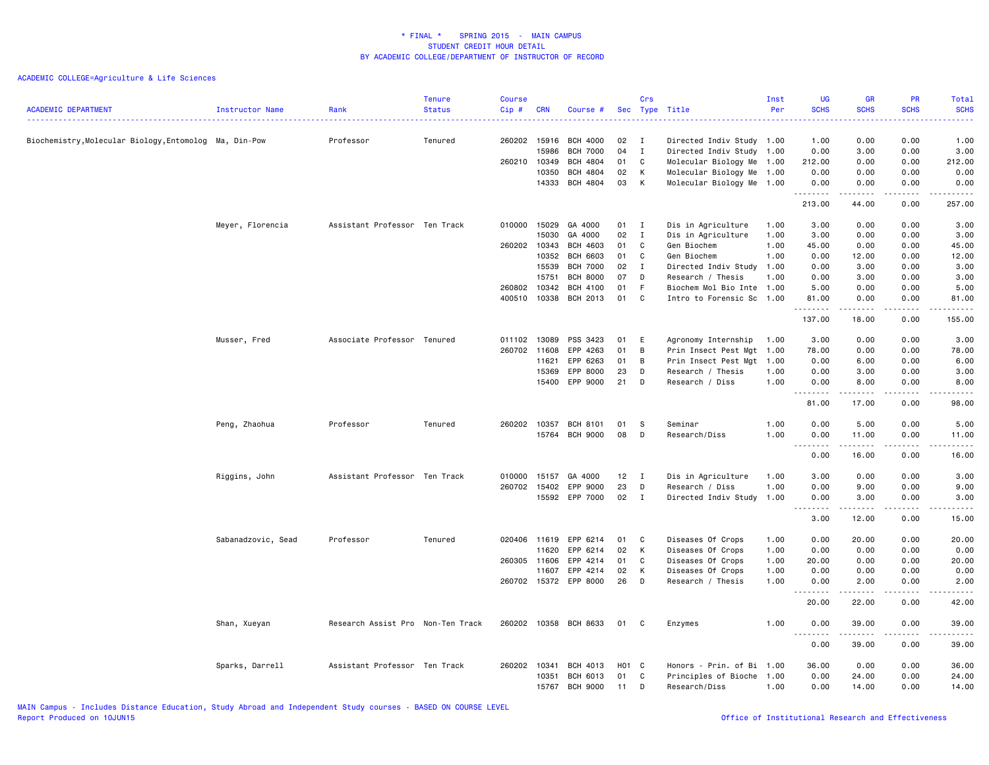| <b>ACADEMIC DEPARTMENT</b>                             | Instructor Name    | Rank                              | <b>Tenure</b><br><b>Status</b> | <b>Course</b><br>$Cip$ # | <b>CRN</b> | Course #              |                   | Crs          | Sec Type Title            | Inst<br>Per | <b>UG</b><br><b>SCHS</b>   | <b>GB</b><br><b>SCHS</b> | PR<br><b>SCHS</b> | Total<br><b>SCHS</b>                        |
|--------------------------------------------------------|--------------------|-----------------------------------|--------------------------------|--------------------------|------------|-----------------------|-------------------|--------------|---------------------------|-------------|----------------------------|--------------------------|-------------------|---------------------------------------------|
| Biochemistry, Molecular Biology, Entomolog Ma, Din-Pow |                    | Professor                         | Tenured                        | 260202 15916             |            | <b>BCH 4000</b>       | 02                | $\mathbf{I}$ | Directed Indiv Study 1.00 |             | 1.00                       | 0.00                     | 0.00              | 1.00                                        |
|                                                        |                    |                                   |                                |                          | 15986      | <b>BCH 7000</b>       | 04                | $\mathbf{I}$ | Directed Indiv Study 1.00 |             | 0.00                       | 3.00                     | 0.00              | 3.00                                        |
|                                                        |                    |                                   |                                | 260210                   | 10349      | <b>BCH 4804</b>       | 01                | C            | Molecular Biology Me 1.00 |             | 212.00                     | 0.00                     | 0.00              | 212.00                                      |
|                                                        |                    |                                   |                                |                          | 10350      | <b>BCH 4804</b>       | 02                | K            | Molecular Biology Me 1.00 |             | 0.00                       | 0.00                     | 0.00              | 0.00                                        |
|                                                        |                    |                                   |                                |                          | 14333      | BCH 4804              | 03                | K            | Molecular Biology Me 1.00 |             | 0.00                       | 0.00                     | 0.00              | 0.00                                        |
|                                                        |                    |                                   |                                |                          |            |                       |                   |              |                           |             | .<br>213.00                | .<br>44.00               | .<br>0.00         | .<br>257.00                                 |
|                                                        | Meyer, Florencia   | Assistant Professor Ten Track     |                                | 010000                   | 15029      | GA 4000               | 01                | $\mathbf{I}$ | Dis in Agriculture        | 1.00        | 3.00                       | 0.00                     | 0.00              | 3.00                                        |
|                                                        |                    |                                   |                                |                          | 15030      | GA 4000               | 02                | $\mathbf{I}$ | Dis in Agriculture        | 1.00        | 3.00                       | 0.00                     | 0.00              | 3.00                                        |
|                                                        |                    |                                   |                                | 260202 10343             |            | <b>BCH 4603</b>       | 01                | C            | Gen Biochem               | 1.00        | 45.00                      | 0.00                     | 0.00              | 45.00                                       |
|                                                        |                    |                                   |                                |                          | 10352      | <b>BCH 6603</b>       | 01                | C            | Gen Biochem               | 1.00        | 0.00                       | 12.00                    | 0.00              | 12.00                                       |
|                                                        |                    |                                   |                                |                          | 15539      | <b>BCH 7000</b>       | 02                | $\mathbf{I}$ | Directed Indiv Study      | 1.00        | 0.00                       | 3.00                     | 0.00              | 3.00                                        |
|                                                        |                    |                                   |                                |                          | 15751      | <b>BCH 8000</b>       | 07                | D            | Research / Thesis         | 1.00        | 0.00                       | 3.00                     | 0.00              | 3.00                                        |
|                                                        |                    |                                   |                                | 260802                   | 10342      | BCH 4100              | 01                | -F           | Biochem Mol Bio Inte 1.00 |             | 5.00                       | 0.00                     | 0.00              | 5.00                                        |
|                                                        |                    |                                   |                                | 400510                   | 10338      | <b>BCH 2013</b>       | 01                | C            | Intro to Forensic Sc      | 1.00        | 81.00<br>.                 | 0.00<br>د د د د د        | 0.00<br>.         | 81.00<br>.                                  |
|                                                        |                    |                                   |                                |                          |            |                       |                   |              |                           |             | 137.00                     | 18.00                    | 0.00              | 155.00                                      |
|                                                        | Musser, Fred       | Associate Professor Tenured       |                                | 011102                   | 13089      | PSS 3423              | 01                | E            | Agronomy Internship       | 1.00        | 3.00                       | 0.00                     | 0.00              | 3.00                                        |
|                                                        |                    |                                   |                                | 260702 11608             |            | EPP 4263              | 01                | B            | Prin Insect Pest Mgt      | 1.00        | 78.00                      | 0.00                     | 0.00              | 78.00                                       |
|                                                        |                    |                                   |                                |                          | 11621      | EPP 6263              | 01                | B            | Prin Insect Pest Mgt      | 1.00        | 0.00                       | 6.00                     | 0.00              | 6.00                                        |
|                                                        |                    |                                   |                                |                          | 15369      | EPP 8000              | 23                | D            | Research / Thesis         | 1.00        | 0.00                       | 3.00                     | 0.00              | 3.00                                        |
|                                                        |                    |                                   |                                |                          | 15400      | EPP 9000              | 21                | D            | Research / Diss           | 1.00        | 0.00<br><u>.</u>           | 8.00<br>.                | 0.00<br>.         | 8.00<br>د د د د د                           |
|                                                        |                    |                                   |                                |                          |            |                       |                   |              |                           |             | 81.00                      | 17.00                    | 0.00              | 98.00                                       |
|                                                        | Peng, Zhaohua      | Professor                         | Tenured                        | 260202 10357             |            | <b>BCH 8101</b>       | 01                | -S           | Seminar                   | 1.00        | 0.00                       | 5.00                     | 0.00              | 5.00                                        |
|                                                        |                    |                                   |                                |                          | 15764      | <b>BCH 9000</b>       | 08                | D            | Research/Diss             | 1.00        | 0.00<br><u>.</u>           | 11.00<br>.               | 0.00<br>.         | 11.00<br>.                                  |
|                                                        |                    |                                   |                                |                          |            |                       |                   |              |                           |             | 0.00                       | 16.00                    | 0.00              | 16.00                                       |
|                                                        | Riggins, John      | Assistant Professor Ten Track     |                                | 010000                   | 15157      | GA 4000               | 12                | I            | Dis in Agriculture        | 1.00        | 3.00                       | 0.00                     | 0.00              | 3.00                                        |
|                                                        |                    |                                   |                                | 260702 15402             |            | EPP 9000              | 23                | D            | Research / Diss           | 1.00        | 0.00                       | 9.00                     | 0.00              | 9.00                                        |
|                                                        |                    |                                   |                                |                          | 15592      | EPP 7000              | 02                | $\mathbf{I}$ | Directed Indiv Study 1.00 |             | 0.00                       | 3.00                     | 0.00              | 3.00                                        |
|                                                        |                    |                                   |                                |                          |            |                       |                   |              |                           |             | .<br>$\sim$ $\sim$<br>3.00 | .<br>12.00               | .<br>0.00         | $\sim$ $\sim$ $\sim$ $\sim$ $\sim$<br>15.00 |
|                                                        | Sabanadzovic, Sead | Professor                         | Tenured                        | 020406                   | 11619      | EPP 6214              | 01                | C            | Diseases Of Crops         | 1.00        | 0.00                       | 20.00                    | 0.00              | 20.00                                       |
|                                                        |                    |                                   |                                |                          | 11620      | EPP 6214              | 02                | K            | Diseases Of Crops         | 1.00        | 0.00                       | 0.00                     | 0.00              | 0.00                                        |
|                                                        |                    |                                   |                                | 260305                   | 11606      | EPP 4214              | 01                | C            | Diseases Of Crops         | 1.00        | 20.00                      | 0.00                     | 0.00              | 20.00                                       |
|                                                        |                    |                                   |                                |                          | 11607      | EPP 4214              | 02                | K            | Diseases Of Crops         | 1.00        | 0.00                       | 0.00                     | 0.00              | 0.00                                        |
|                                                        |                    |                                   |                                | 260702 15372             |            | EPP 8000              | 26                | D            | Research / Thesis         | 1.00        | 0.00                       | 2.00                     | 0.00              | 2.00                                        |
|                                                        |                    |                                   |                                |                          |            |                       |                   |              |                           |             | .<br>20.00                 | $    -$<br>22.00         | .<br>0.00         | $\frac{1}{2}$<br>42.00                      |
|                                                        | Shan, Xueyan       | Research Assist Pro Non-Ten Track |                                |                          |            | 260202 10358 BCH 8633 | 01                | C            | Enzymes                   | 1.00        | 0.00                       | 39.00                    | 0.00              | 39.00                                       |
|                                                        |                    |                                   |                                |                          |            |                       |                   |              |                           |             | .<br>0.00                  | .<br>39.00               | .<br>0.00         | .<br>39.00                                  |
|                                                        | Sparks, Darrell    | Assistant Professor Ten Track     |                                | 260202 10341             |            | BCH 4013              | H <sub>01</sub> C |              | Honors - Prin. of Bi 1.00 |             | 36.00                      | 0.00                     | 0.00              | 36.00                                       |
|                                                        |                    |                                   |                                |                          | 10351      | <b>BCH 6013</b>       | 01                | C            | Principles of Bioche 1.00 |             | 0.00                       | 24.00                    | 0.00              | 24.00                                       |
|                                                        |                    |                                   |                                |                          | 15767      | <b>BCH 9000</b>       | 11                | D            | Research/Diss             | 1.00        | 0.00                       | 14.00                    | 0.00              | 14.00                                       |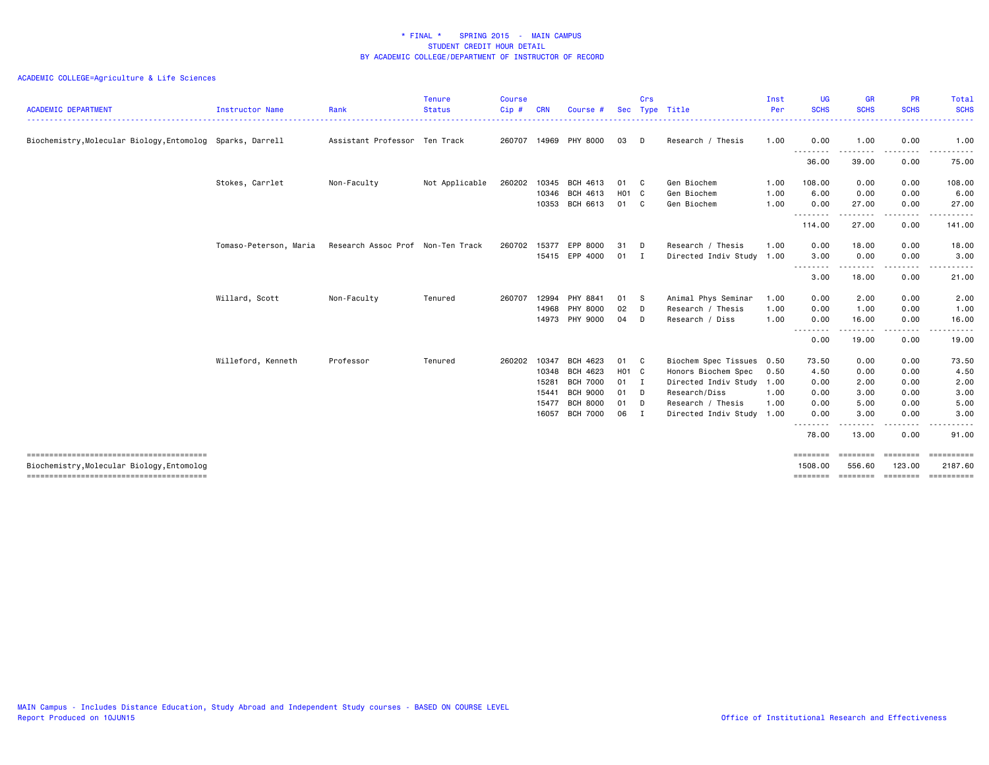| <b>ACADEMIC DEPARTMENT</b>                                 | Instructor Name        | Rank                              | <b>Tenure</b><br><b>Status</b> | <b>Course</b><br>Cip# | <b>CRN</b>                                         | Course #                                                                                         | <b>Sec</b>                          | Crs                                                    | Type Title                                                                                                                                       | Inst<br>Per          | <b>UG</b><br><b>SCHS</b>                                                  | <b>GR</b><br><b>SCHS</b>                              | <b>PR</b><br><b>SCHS</b>                                                                                                          | Total<br><b>SCHS</b><br><u>.</u>                                                                                                                                                                                                                                                                                                                                                                                                                                                                                |
|------------------------------------------------------------|------------------------|-----------------------------------|--------------------------------|-----------------------|----------------------------------------------------|--------------------------------------------------------------------------------------------------|-------------------------------------|--------------------------------------------------------|--------------------------------------------------------------------------------------------------------------------------------------------------|----------------------|---------------------------------------------------------------------------|-------------------------------------------------------|-----------------------------------------------------------------------------------------------------------------------------------|-----------------------------------------------------------------------------------------------------------------------------------------------------------------------------------------------------------------------------------------------------------------------------------------------------------------------------------------------------------------------------------------------------------------------------------------------------------------------------------------------------------------|
| Biochemistry, Molecular Biology, Entomolog Sparks, Darrell |                        | Assistant Professor Ten Track     |                                | 260707                | 14969                                              | PHY 8000                                                                                         | 03                                  | D                                                      | Research / Thesis                                                                                                                                | 1.00                 | 0.00                                                                      | 1.00                                                  | 0.00                                                                                                                              | 1.00                                                                                                                                                                                                                                                                                                                                                                                                                                                                                                            |
|                                                            |                        |                                   |                                |                       |                                                    |                                                                                                  |                                     |                                                        |                                                                                                                                                  |                      | .<br>36.00                                                                | 39.00                                                 | 0.00                                                                                                                              | .<br>75.00                                                                                                                                                                                                                                                                                                                                                                                                                                                                                                      |
|                                                            | Stokes, Carrlet        | Non-Faculty                       | Not Applicable                 | 260202                | 10345                                              | BCH 4613                                                                                         | 01 C                                |                                                        | Gen Biochem                                                                                                                                      | 1.00                 | 108.00                                                                    | 0.00                                                  | 0.00                                                                                                                              | 108.00                                                                                                                                                                                                                                                                                                                                                                                                                                                                                                          |
|                                                            |                        |                                   |                                |                       | 10346<br>10353                                     | BCH 4613<br>BCH 6613                                                                             | H01 C<br>01                         | C                                                      | Gen Biochem<br>Gen Biochem                                                                                                                       | 1.00<br>1.00         | 6.00<br>0.00                                                              | 0.00<br>27.00                                         | 0.00<br>0.00                                                                                                                      | 6.00<br>27.00                                                                                                                                                                                                                                                                                                                                                                                                                                                                                                   |
|                                                            |                        |                                   |                                |                       |                                                    |                                                                                                  |                                     |                                                        |                                                                                                                                                  |                      | .<br>114.00                                                               | 27.00                                                 | $- - - -$<br>0.00                                                                                                                 | $\frac{1}{2} \left( \frac{1}{2} \right) \left( \frac{1}{2} \right) \left( \frac{1}{2} \right) \left( \frac{1}{2} \right) \left( \frac{1}{2} \right)$<br>141.00                                                                                                                                                                                                                                                                                                                                                  |
|                                                            | Tomaso-Peterson, Maria | Research Assoc Prof Non-Ten Track |                                | 260702                | 15377                                              | EPP 8000<br>15415 EPP 4000                                                                       | 31<br>01                            | D<br>$\mathbf{I}$                                      | Research / Thesis<br>Directed Indiv Study 1.00                                                                                                   | 1.00                 | 0.00<br>3.00                                                              | 18.00<br>0.00                                         | 0.00<br>0.00                                                                                                                      | 18.00<br>3.00<br>-----                                                                                                                                                                                                                                                                                                                                                                                                                                                                                          |
|                                                            |                        |                                   |                                |                       |                                                    |                                                                                                  |                                     |                                                        |                                                                                                                                                  |                      | .<br>3.00                                                                 | 18.00                                                 | $\frac{1}{2} \left( \frac{1}{2} \right) \left( \frac{1}{2} \right) \left( \frac{1}{2} \right) \left( \frac{1}{2} \right)$<br>0.00 | 21.00                                                                                                                                                                                                                                                                                                                                                                                                                                                                                                           |
|                                                            | Willard, Scott         | Non-Faculty                       | Tenured                        | 260707                | 12994<br>14968<br>14973                            | PHY 8841<br>PHY 8000<br>PHY 9000                                                                 | 01<br>02<br>04                      | s s<br>D<br>D                                          | Animal Phys Seminar<br>Research / Thesis<br>Research / Diss                                                                                      | 1.00<br>1.00<br>1.00 | 0.00<br>0.00<br>0.00                                                      | 2.00<br>1.00<br>16.00                                 | 0.00<br>0.00<br>0.00                                                                                                              | 2.00<br>1.00<br>16.00                                                                                                                                                                                                                                                                                                                                                                                                                                                                                           |
|                                                            |                        |                                   |                                |                       |                                                    |                                                                                                  |                                     |                                                        |                                                                                                                                                  |                      | $\sim$ $\sim$ $\sim$<br>$\frac{1}{2}$<br>0.00                             | 19.00                                                 | 0.00                                                                                                                              | 19.00                                                                                                                                                                                                                                                                                                                                                                                                                                                                                                           |
|                                                            | Willeford, Kenneth     | Professor                         | Tenured                        | 260202                | 10347<br>10348<br>15281<br>15441<br>15477<br>16057 | BCH 4623<br>BCH 4623<br><b>BCH 7000</b><br><b>BCH 9000</b><br><b>BCH 8000</b><br><b>BCH 7000</b> | 01<br>H01 C<br>01<br>01<br>01<br>06 | $\mathbf{C}$<br>$\mathbf{I}$<br>D<br>D<br>$\mathbf{I}$ | Biochem Spec Tissues 0.50<br>Honors Biochem Spec<br>Directed Indiv Study 1.00<br>Research/Diss<br>Research / Thesis<br>Directed Indiv Study 1.00 | 0.50<br>1.00<br>1.00 | 73.50<br>4.50<br>0.00<br>0.00<br>0.00<br>0.00<br>$- - -$<br>----<br>78.00 | 0.00<br>0.00<br>2.00<br>3.00<br>5.00<br>3.00<br>13.00 | 0.00<br>0.00<br>0.00<br>0.00<br>0.00<br>0.00<br>.<br>0.00                                                                         | 73.50<br>4.50<br>2.00<br>3.00<br>5.00<br>3.00<br>91.00                                                                                                                                                                                                                                                                                                                                                                                                                                                          |
| Biochemistry, Molecular Biology, Entomolog                 |                        |                                   |                                |                       |                                                    |                                                                                                  |                                     |                                                        |                                                                                                                                                  |                      | ========<br>1508.00<br>========                                           | 556.60<br>========                                    | ========<br>123.00<br>========                                                                                                    | $\begin{array}{cccccccccc} \multicolumn{2}{c}{} & \multicolumn{2}{c}{} & \multicolumn{2}{c}{} & \multicolumn{2}{c}{} & \multicolumn{2}{c}{} & \multicolumn{2}{c}{} & \multicolumn{2}{c}{} & \multicolumn{2}{c}{} & \multicolumn{2}{c}{} & \multicolumn{2}{c}{} & \multicolumn{2}{c}{} & \multicolumn{2}{c}{} & \multicolumn{2}{c}{} & \multicolumn{2}{c}{} & \multicolumn{2}{c}{} & \multicolumn{2}{c}{} & \multicolumn{2}{c}{} & \multicolumn{2}{c}{} & \multicolumn{2}{c}{} & \mult$<br>2187.60<br>========== |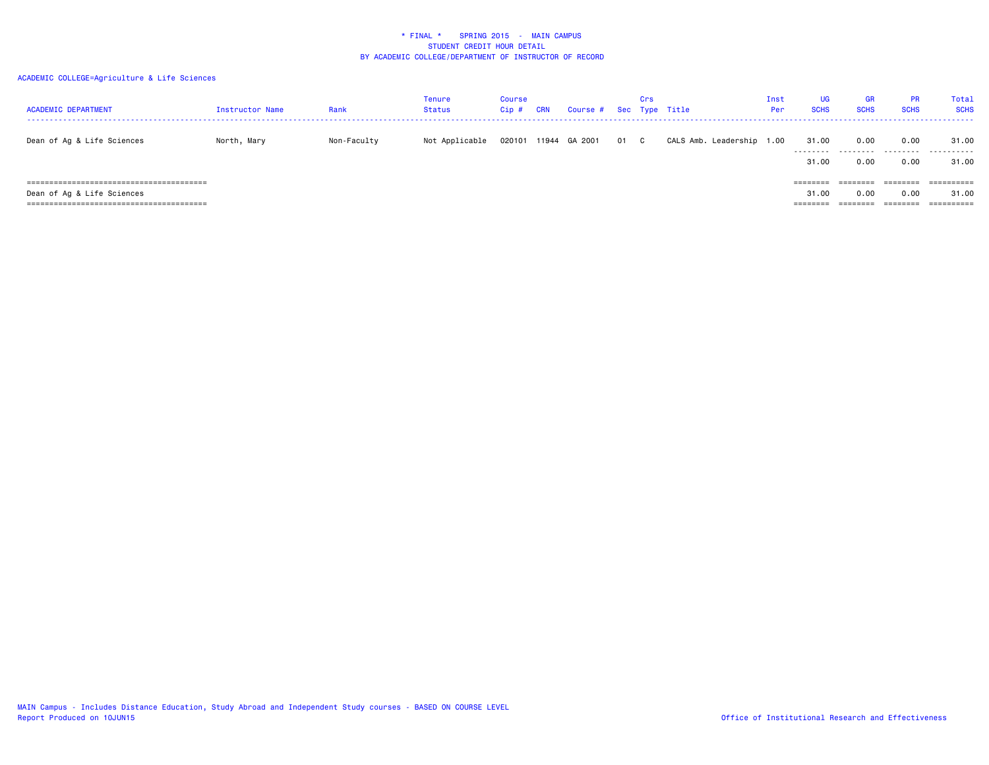| <b>ACADEMIC DEPARTMENT</b> | Instructor Name | Rank        | Tenure<br><b>Status</b> | <b>Course</b><br>Cip# | CRN | Course # Sec Type Title |      | Crs |                           | Inst<br>Per | UG.<br><b>SCHS</b>  | <b>GR</b><br><b>SCHS</b> | <b>PR</b><br><b>SCHS</b> | Total<br><b>SCHS</b> |
|----------------------------|-----------------|-------------|-------------------------|-----------------------|-----|-------------------------|------|-----|---------------------------|-------------|---------------------|--------------------------|--------------------------|----------------------|
| Dean of Ag & Life Sciences | North, Mary     | Non-Faculty | Not Applicable          |                       |     | 020101 11944 GA 2001    | 01 C |     | CALS Amb. Leadership 1.00 |             | 31.00<br>.<br>31.00 | 0.00<br>.<br>0.00        | 0.00<br>.<br>0.00        | 31.00<br>.<br>31.00  |
| Dean of Ag & Life Sciences |                 |             |                         |                       |     |                         |      |     |                           |             | ========<br>31.00   | ========<br>0.00         | ========<br>0.00         | 31.00                |
|                            |                 |             |                         |                       |     |                         |      |     |                           |             | ========            |                          |                          |                      |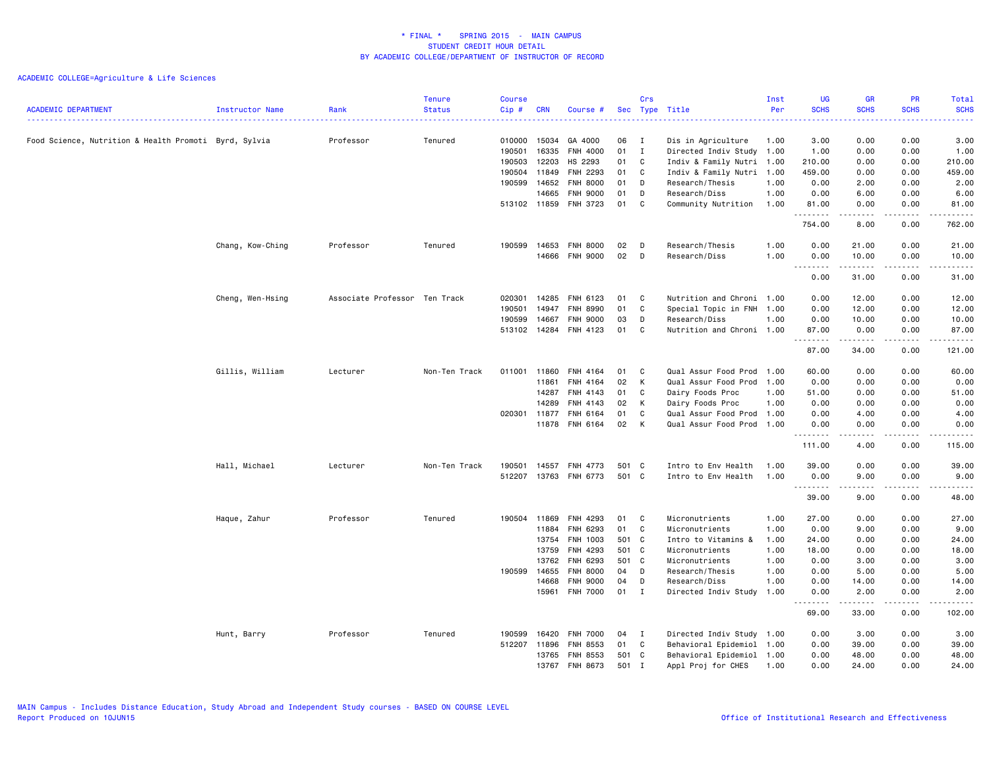| <b>ACADEMIC DEPARTMENT</b>                            | Instructor Name  | Rank                          | <b>Tenure</b><br><b>Status</b> | <b>Course</b><br>Cip# | <b>CRN</b> | Course #        |       | Crs            | Sec Type Title            | Inst<br>Per | <b>UG</b><br><b>SCHS</b>                                                                                                                   | <b>GR</b><br><b>SCHS</b>                   | <b>PR</b><br><b>SCHS</b> | Total<br><b>SCHS</b>                                                                                                                                 |
|-------------------------------------------------------|------------------|-------------------------------|--------------------------------|-----------------------|------------|-----------------|-------|----------------|---------------------------|-------------|--------------------------------------------------------------------------------------------------------------------------------------------|--------------------------------------------|--------------------------|------------------------------------------------------------------------------------------------------------------------------------------------------|
| Food Science, Nutrition & Health Promoti Byrd, Sylvia |                  | Professor                     | Tenured                        | 010000                | 15034      | GA 4000         | 06    | I              | Dis in Agriculture        | 1.00        | 3.00                                                                                                                                       | 0.00                                       | 0.00                     | 3.00                                                                                                                                                 |
|                                                       |                  |                               |                                | 190501                | 16335      | FNH 4000        | 01    | $\mathbf{I}$   | Directed Indiv Study 1.00 |             | 1.00                                                                                                                                       | 0.00                                       | 0.00                     | 1.00                                                                                                                                                 |
|                                                       |                  |                               |                                | 190503                | 12203      | HS 2293         | 01    | C              | Indiv & Family Nutri 1.00 |             | 210.00                                                                                                                                     | 0.00                                       | 0.00                     | 210.00                                                                                                                                               |
|                                                       |                  |                               |                                | 190504                | 11849      | FNH 2293        | 01    | C              | Indiv & Family Nutri 1.00 |             | 459.00                                                                                                                                     | 0.00                                       | 0.00                     | 459.00                                                                                                                                               |
|                                                       |                  |                               |                                | 190599                | 14652      | <b>FNH 8000</b> | 01    | D              | Research/Thesis           | 1.00        | 0.00                                                                                                                                       | 2.00                                       | 0.00                     | 2.00                                                                                                                                                 |
|                                                       |                  |                               |                                |                       | 14665      | <b>FNH 9000</b> | 01    | D              | Research/Diss             | 1.00        | 0.00                                                                                                                                       | 6.00                                       | 0.00                     | 6.00                                                                                                                                                 |
|                                                       |                  |                               |                                | 513102 11859          |            | FNH 3723        | 01    | C              | Community Nutrition       | 1.00        | 81.00                                                                                                                                      | 0.00<br>$\sim$ $\sim$ $\sim$ $\sim$ $\sim$ | 0.00<br>.                | 81.00<br>.                                                                                                                                           |
|                                                       |                  |                               |                                |                       |            |                 |       |                |                           |             | 754.00                                                                                                                                     | 8.00                                       | 0.00                     | 762.00                                                                                                                                               |
|                                                       | Chang, Kow-Ching | Professor                     | Tenured                        | 190599                | 14653      | <b>FNH 8000</b> | 02    | D              | Research/Thesis           | 1.00        | 0.00                                                                                                                                       | 21.00                                      | 0.00                     | 21.00                                                                                                                                                |
|                                                       |                  |                               |                                |                       | 14666      | FNH 9000        | 02    | D              | Research/Diss             | 1.00        | 0.00                                                                                                                                       | 10.00                                      | 0.00                     | 10.00                                                                                                                                                |
|                                                       |                  |                               |                                |                       |            |                 |       |                |                           |             | $\sim$ $\sim$<br>$\frac{1}{2} \left( \frac{1}{2} \right) \left( \frac{1}{2} \right) \left( \frac{1}{2} \right) \left( \frac{1}{2} \right)$ | .                                          | $\sim$ $\sim$ $\sim$     | والمستحدث                                                                                                                                            |
|                                                       |                  |                               |                                |                       |            |                 |       |                |                           |             | 0.00                                                                                                                                       | 31.00                                      | 0.00                     | 31.00                                                                                                                                                |
|                                                       | Cheng, Wen-Hsing | Associate Professor Ten Track |                                | 020301                | 14285      | FNH 6123        | 01    | C              | Nutrition and Chroni 1.00 |             | 0.00                                                                                                                                       | 12.00                                      | 0.00                     | 12.00                                                                                                                                                |
|                                                       |                  |                               |                                | 190501                | 14947      | FNH 8990        | 01    | C              | Special Topic in FNH 1.00 |             | 0.00                                                                                                                                       | 12.00                                      | 0.00                     | 12.00                                                                                                                                                |
|                                                       |                  |                               |                                | 190599                | 14667      | <b>FNH 9000</b> | 03    | D              | Research/Diss             | 1.00        | 0.00                                                                                                                                       | 10.00                                      | 0.00                     | 10.00                                                                                                                                                |
|                                                       |                  |                               |                                | 513102 14284          |            | FNH 4123        | 01    | C              | Nutrition and Chroni 1.00 |             | 87.00                                                                                                                                      | 0.00                                       | 0.00                     | 87.00                                                                                                                                                |
|                                                       |                  |                               |                                |                       |            |                 |       |                |                           |             | .<br>87.00                                                                                                                                 | .<br>34.00                                 | .<br>0.00                | .<br>121.00                                                                                                                                          |
|                                                       |                  |                               |                                |                       |            |                 |       |                |                           |             |                                                                                                                                            |                                            |                          |                                                                                                                                                      |
|                                                       | Gillis, William  | Lecturer                      | Non-Ten Track                  | 011001                | 11860      | FNH 4164        | 01    | C              | Qual Assur Food Prod      | 1.00        | 60.00                                                                                                                                      | 0.00                                       | 0.00                     | 60.00                                                                                                                                                |
|                                                       |                  |                               |                                |                       | 11861      | FNH 4164        | 02    | K              | Qual Assur Food Prod      | 1.00        | 0.00                                                                                                                                       | 0.00                                       | 0.00                     | 0.00                                                                                                                                                 |
|                                                       |                  |                               |                                |                       | 14287      | FNH 4143        | 01    | C              | Dairy Foods Proc          | 1.00        | 51.00                                                                                                                                      | 0.00                                       | 0.00                     | 51.00                                                                                                                                                |
|                                                       |                  |                               |                                |                       | 14289      | FNH 4143        | 02    | K              | Dairy Foods Proc          | 1.00        | 0.00                                                                                                                                       | 0.00                                       | 0.00                     | 0.00                                                                                                                                                 |
|                                                       |                  |                               |                                | 020301 11877          |            | FNH 6164        | 01    | C              | Qual Assur Food Prod 1.00 |             | 0.00                                                                                                                                       | 4.00                                       | 0.00                     | 4.00                                                                                                                                                 |
|                                                       |                  |                               |                                |                       | 11878      | FNH 6164        | 02    | K              | Qual Assur Food Prod 1.00 |             | 0.00<br>.                                                                                                                                  | 0.00<br>-----                              | 0.00<br>.                | 0.00<br>.                                                                                                                                            |
|                                                       |                  |                               |                                |                       |            |                 |       |                |                           |             | 111.00                                                                                                                                     | 4.00                                       | 0.00                     | 115.00                                                                                                                                               |
|                                                       | Hall, Michael    | Lecturer                      | Non-Ten Track                  | 190501                | 14557      | FNH 4773        | 501 C |                | Intro to Env Health       | 1.00        | 39.00                                                                                                                                      | 0.00                                       | 0.00                     | 39.00                                                                                                                                                |
|                                                       |                  |                               |                                | 512207                | 13763      | FNH 6773        | 501 C |                | Intro to Env Health       | 1.00        | 0.00                                                                                                                                       | 9.00                                       | 0.00                     | 9.00                                                                                                                                                 |
|                                                       |                  |                               |                                |                       |            |                 |       |                |                           |             | .                                                                                                                                          |                                            |                          | $\frac{1}{2} \left( \frac{1}{2} \right) \left( \frac{1}{2} \right) \left( \frac{1}{2} \right) \left( \frac{1}{2} \right) \left( \frac{1}{2} \right)$ |
|                                                       |                  |                               |                                |                       |            |                 |       |                |                           |             | 39.00                                                                                                                                      | 9.00                                       | 0.00                     | 48.00                                                                                                                                                |
|                                                       | Haque, Zahur     | Professor                     | Tenured                        | 190504                | 11869      | FNH 4293        | 01    | C              | Micronutrients            | 1.00        | 27.00                                                                                                                                      | 0.00                                       | 0.00                     | 27.00                                                                                                                                                |
|                                                       |                  |                               |                                |                       | 11884      | FNH 6293        | 01    | C              | Micronutrients            | 1.00        | 0.00                                                                                                                                       | 9.00                                       | 0.00                     | 9.00                                                                                                                                                 |
|                                                       |                  |                               |                                |                       | 13754      | FNH 1003        | 501 C |                | Intro to Vitamins &       | 1.00        | 24.00                                                                                                                                      | 0.00                                       | 0.00                     | 24.00                                                                                                                                                |
|                                                       |                  |                               |                                |                       | 13759      | FNH 4293        | 501 C |                | Micronutrients            | 1.00        | 18.00                                                                                                                                      | 0.00                                       | 0.00                     | 18.00                                                                                                                                                |
|                                                       |                  |                               |                                |                       | 13762      | FNH 6293        | 501 C |                | Micronutrients            | 1.00        | 0.00                                                                                                                                       | 3.00                                       | 0.00                     | 3.00                                                                                                                                                 |
|                                                       |                  |                               |                                | 190599                | 14655      | <b>FNH 8000</b> | 04    | D              | Research/Thesis           | 1.00        | 0.00                                                                                                                                       | 5.00                                       | 0.00                     | 5.00                                                                                                                                                 |
|                                                       |                  |                               |                                |                       | 14668      | <b>FNH 9000</b> | 04    | D              | Research/Diss             | 1.00        | 0.00                                                                                                                                       | 14.00                                      | 0.00                     | 14.00                                                                                                                                                |
|                                                       |                  |                               |                                |                       | 15961      | <b>FNH 7000</b> | 01    | $\blacksquare$ | Directed Indiv Study      | 1.00        | 0.00<br>.                                                                                                                                  | 2.00<br>.                                  | 0.00<br>.                | 2.00<br>.                                                                                                                                            |
|                                                       |                  |                               |                                |                       |            |                 |       |                |                           |             | 69.00                                                                                                                                      | 33.00                                      | 0.00                     | 102.00                                                                                                                                               |
|                                                       | Hunt, Barry      | Professor                     | Tenured                        | 190599                | 16420      | <b>FNH 7000</b> | 04    | $\mathbf{I}$   | Directed Indiv Study 1.00 |             | 0.00                                                                                                                                       | 3.00                                       | 0.00                     | 3.00                                                                                                                                                 |
|                                                       |                  |                               |                                | 512207                | 11896      | FNH 8553        | 01    | C              | Behavioral Epidemiol 1.00 |             | 0.00                                                                                                                                       | 39.00                                      | 0.00                     | 39.00                                                                                                                                                |
|                                                       |                  |                               |                                |                       | 13765      | FNH 8553        | 501 C |                | Behavioral Epidemiol 1.00 |             | 0.00                                                                                                                                       | 48.00                                      | 0.00                     | 48.00                                                                                                                                                |
|                                                       |                  |                               |                                |                       | 13767      | FNH 8673        | 501   | $\mathbf I$    | Appl Proj for CHES        | 1.00        | 0.00                                                                                                                                       | 24.00                                      | 0.00                     | 24.00                                                                                                                                                |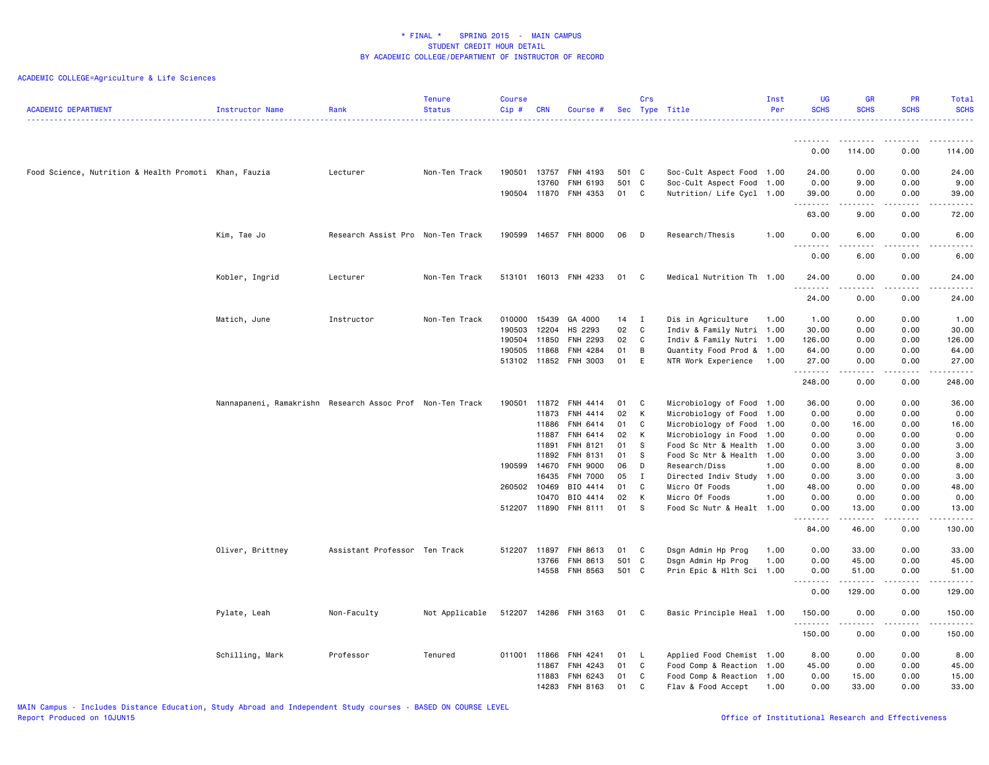| <b>ACADEMIC DEPARTMENT</b>                            | <b>Instructor Name</b>                                    | Rank                              | <b>Tenure</b><br><b>Status</b> | <b>Course</b><br>Cip# | <b>CRN</b> | Course #              |          | Crs          | Sec Type Title                   | Inst<br>Per  | <b>UG</b><br><b>SCHS</b> | <b>GR</b><br><b>SCHS</b> | PR<br><b>SCHS</b>           | Total<br><b>SCHS</b><br><u>.</u>                                                                                                                              |
|-------------------------------------------------------|-----------------------------------------------------------|-----------------------------------|--------------------------------|-----------------------|------------|-----------------------|----------|--------------|----------------------------------|--------------|--------------------------|--------------------------|-----------------------------|---------------------------------------------------------------------------------------------------------------------------------------------------------------|
|                                                       |                                                           |                                   |                                |                       |            |                       |          |              |                                  |              | <u>.</u>                 |                          | $\sim$ $\sim$ $\sim$ $\sim$ |                                                                                                                                                               |
|                                                       |                                                           |                                   |                                |                       |            |                       |          |              |                                  |              | 0.00                     | 114.00                   | 0.00                        | 114.00                                                                                                                                                        |
| Food Science, Nutrition & Health Promoti Khan, Fauzia |                                                           | Lecturer                          | Non-Ten Track                  | 190501 13757          |            | FNH 4193              | 501 C    |              | Soc-Cult Aspect Food 1.00        |              | 24.00                    | 0.00                     | 0.00                        | 24.00                                                                                                                                                         |
|                                                       |                                                           |                                   |                                |                       | 13760      | FNH 6193              | 501      | C            | Soc-Cult Aspect Food             | 1.00         | 0.00                     | 9.00                     | 0.00                        | 9.00                                                                                                                                                          |
|                                                       |                                                           |                                   |                                | 190504 11870          |            | FNH 4353              | 01       | C            | Nutrition/ Life Cycl 1.00        |              | 39.00<br>.               | 0.00<br>.                | 0.00<br>.                   | 39.00<br>$\frac{1}{2} \left( \frac{1}{2} \right) \left( \frac{1}{2} \right) \left( \frac{1}{2} \right) \left( \frac{1}{2} \right) \left( \frac{1}{2} \right)$ |
|                                                       |                                                           |                                   |                                |                       |            |                       |          |              |                                  |              | 63.00                    | 9.00                     | 0.00                        | 72.00                                                                                                                                                         |
|                                                       | Kim, Tae Jo                                               | Research Assist Pro Non-Ten Track |                                | 190599                | 14657      | FNH 8000              | 06       | D            | Research/Thesis                  | 1.00         | 0.00                     | 6.00                     | 0.00                        | 6.00                                                                                                                                                          |
|                                                       |                                                           |                                   |                                |                       |            |                       |          |              |                                  |              | 0.00                     | 6.00                     | 0.00                        | 6.00                                                                                                                                                          |
|                                                       | Kobler, Ingrid                                            | Lecturer                          | Non-Ten Track                  | 513101                |            | 16013 FNH 4233        | 01       | C            | Medical Nutrition Th 1.00        |              | 24.00                    | 0.00                     | 0.00                        | 24.00                                                                                                                                                         |
|                                                       |                                                           |                                   |                                |                       |            |                       |          |              |                                  |              | .<br>24.00               | 0.00                     | 0.00                        | 24.00                                                                                                                                                         |
|                                                       | Matich, June                                              | Instructor                        | Non-Ten Track                  | 010000                | 15439      | GA 4000               | 14       | $\mathbf{I}$ | Dis in Agriculture               | 1.00         | 1.00                     | 0.00                     | 0.00                        | 1.00                                                                                                                                                          |
|                                                       |                                                           |                                   |                                | 190503                | 12204      | HS 2293               | 02       | C            | Indiv & Family Nutri 1.00        |              | 30.00                    | 0.00                     | 0.00                        | 30.00                                                                                                                                                         |
|                                                       |                                                           |                                   |                                | 190504                | 11850      | FNH 2293              | 02       | C            | Indiv & Family Nutri 1.00        |              | 126.00                   | 0.00                     | 0.00                        | 126.00                                                                                                                                                        |
|                                                       |                                                           |                                   |                                | 190505                | 11868      | FNH 4284              | 01       | В            | Quantity Food Prod & 1.00        |              | 64.00                    | 0.00                     | 0.00                        | 64.00                                                                                                                                                         |
|                                                       |                                                           |                                   |                                | 513102 11852          |            | FNH 3003              | 01       | E            | NTR Work Experience              | 1.00         | 27.00                    | 0.00                     | 0.00                        | 27.00                                                                                                                                                         |
|                                                       |                                                           |                                   |                                |                       |            |                       |          |              |                                  |              | .<br>248.00              | -----<br>0.00            | .<br>0.00                   | .<br>248.00                                                                                                                                                   |
|                                                       | Nannapaneni, Ramakrishn Research Assoc Prof Non-Ten Track |                                   |                                | 190501                | 11872      | FNH 4414              | 01       | C            | Microbiology of Food             | 1.00         | 36.00                    | 0.00                     | 0.00                        | 36.00                                                                                                                                                         |
|                                                       |                                                           |                                   |                                |                       | 11873      | FNH 4414              | 02       | К            | Microbiology of Food             | 1.00         | 0.00                     | 0.00                     | 0.00                        | 0.00                                                                                                                                                          |
|                                                       |                                                           |                                   |                                |                       | 11886      | FNH 6414              | 01       | C            | Microbiology of Food             | 1.00         | 0.00                     | 16.00                    | 0.00                        | 16.00                                                                                                                                                         |
|                                                       |                                                           |                                   |                                |                       | 11887      | FNH 6414              | 02       | К            | Microbiology in Food             | 1.00         | 0.00                     | 0.00                     | 0.00                        | 0.00                                                                                                                                                          |
|                                                       |                                                           |                                   |                                |                       | 11891      | FNH 8121              | 01       | s            | Food Sc Ntr & Health             | 1.00         | 0.00                     | 3.00                     | 0.00                        | 3.00                                                                                                                                                          |
|                                                       |                                                           |                                   |                                |                       | 11892      | FNH 8131              | 01       | S            | Food Sc Ntr & Health             | 1.00         | 0.00                     | 3.00                     | 0.00                        | 3.00                                                                                                                                                          |
|                                                       |                                                           |                                   |                                | 190599                | 14670      | <b>FNH 9000</b>       | 06       | D            | Research/Diss                    | 1.00         | 0.00                     | 8.00                     | 0.00                        | 8.00                                                                                                                                                          |
|                                                       |                                                           |                                   |                                |                       | 16435      | <b>FNH 7000</b>       | 05       | $\mathbf{I}$ | Directed Indiv Study 1.00        |              | 0.00                     | 3.00                     | 0.00                        | 3.00                                                                                                                                                          |
|                                                       |                                                           |                                   |                                | 260502 10469          | 10470      | BIO 4414<br>BIO 4414  | 01       | C<br>К       | Micro Of Foods<br>Micro Of Foods | 1.00<br>1.00 | 48.00                    | 0.00                     | 0.00<br>0.00                | 48.00                                                                                                                                                         |
|                                                       |                                                           |                                   |                                | 512207                | 11890      | FNH 8111              | 02<br>01 | S.           | Food Sc Nutr & Healt 1.00        |              | 0.00<br>0.00             | 0.00<br>13.00            | 0.00                        | 0.00<br>13,00                                                                                                                                                 |
|                                                       |                                                           |                                   |                                |                       |            |                       |          |              |                                  |              | 84.00                    | 46.00                    | 0.00                        | 130.00                                                                                                                                                        |
|                                                       | Oliver, Brittney                                          | Assistant Professor Ten Track     |                                | 512207                | 11897      | FNH 8613              | 01       | C            | Dsgn Admin Hp Prog               | 1.00         | 0.00                     | 33.00                    | 0.00                        | 33.00                                                                                                                                                         |
|                                                       |                                                           |                                   |                                |                       | 13766      | FNH 8613              | 501      | C            | Dsgn Admin Hp Prog               | 1.00         | 0.00                     | 45.00                    | 0.00                        | 45.00                                                                                                                                                         |
|                                                       |                                                           |                                   |                                |                       | 14558      | FNH 8563              | 501 C    |              | Prin Epic & Hlth Sci 1.00        |              | 0.00                     | 51.00                    | 0.00                        | 51.00                                                                                                                                                         |
|                                                       |                                                           |                                   |                                |                       |            |                       |          |              |                                  |              | .<br>0.00                | .<br>129.00              | .<br>0.00                   | .<br>129.00                                                                                                                                                   |
|                                                       | Pylate, Leah                                              | Non-Faculty                       | Not Applicable                 |                       |            | 512207 14286 FNH 3163 | 01       | C C          | Basic Principle Heal 1.00        |              | 150.00<br><u>.</u>       | 0.00                     | 0.00                        | 150.00<br>.                                                                                                                                                   |
|                                                       |                                                           |                                   |                                |                       |            |                       |          |              |                                  |              | 150.00                   | 0.00                     | 0.00                        | 150.00                                                                                                                                                        |
|                                                       | Schilling, Mark                                           | Professor                         | Tenured                        | 011001                | 11866      | FNH 4241              | 01       | L.           | Applied Food Chemist 1.00        |              | 8.00                     | 0.00                     | 0.00                        | 8.00                                                                                                                                                          |
|                                                       |                                                           |                                   |                                |                       | 11867      | FNH 4243              | 01       | C            | Food Comp & Reaction 1.00        |              | 45.00                    | 0.00                     | 0.00                        | 45.00                                                                                                                                                         |
|                                                       |                                                           |                                   |                                |                       | 11883      | FNH 6243              | 01       | C            | Food Comp & Reaction             | 1.00         | 0.00                     | 15.00                    | 0.00                        | 15.00                                                                                                                                                         |
|                                                       |                                                           |                                   |                                |                       | 14283      | FNH 8163              | 01       | C            | Flav & Food Accept               | 1.00         | 0.00                     | 33.00                    | 0.00                        | 33.00                                                                                                                                                         |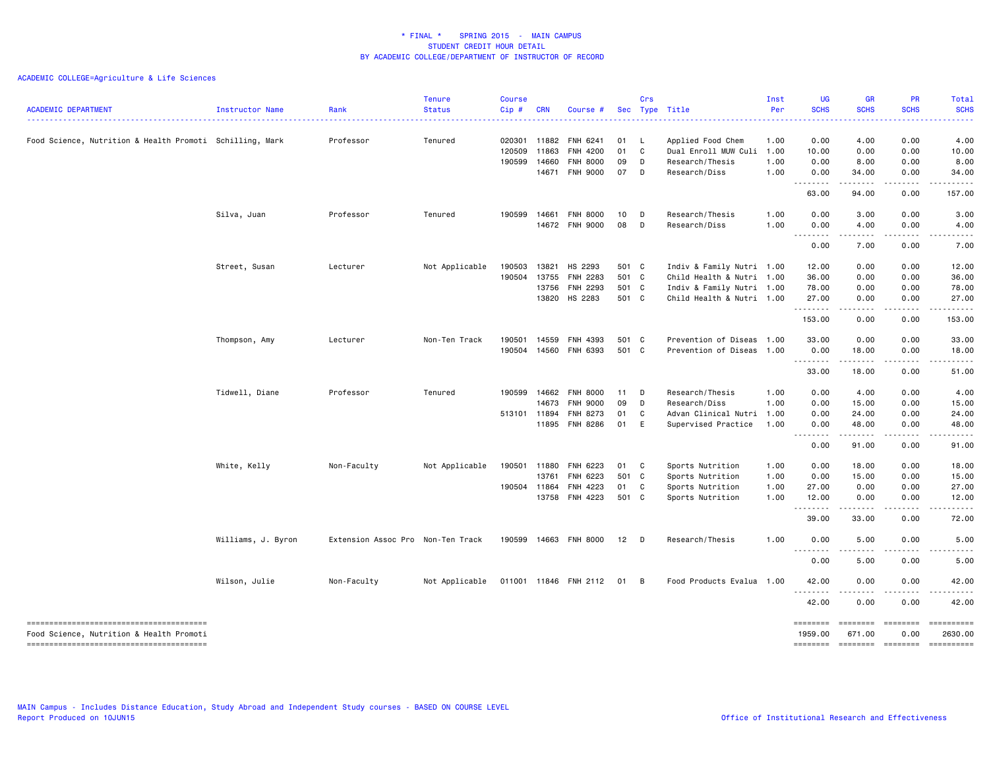| <b>ACADEMIC DEPARTMENT</b>                               | Instructor Name    | Rank<br>.                         | <b>Tenure</b><br><b>Status</b> | <b>Course</b><br>Cip# | <b>CRN</b>   | Course #              |       | Crs          | Sec Type Title            | Inst<br>Per | <b>UG</b><br><b>SCHS</b> | <b>GR</b><br><b>SCHS</b><br>بالأباء                                                                                                                           | PR<br><b>SCHS</b> | Total<br><b>SCHS</b>   |
|----------------------------------------------------------|--------------------|-----------------------------------|--------------------------------|-----------------------|--------------|-----------------------|-------|--------------|---------------------------|-------------|--------------------------|---------------------------------------------------------------------------------------------------------------------------------------------------------------|-------------------|------------------------|
| Food Science, Nutrition & Health Promoti Schilling, Mark |                    | Professor                         | Tenured                        | 020301                |              | 11882 FNH 6241        | 01 L  |              | Applied Food Chem         | 1.00        | 0.00                     | 4.00                                                                                                                                                          | 0.00              | 4.00                   |
|                                                          |                    |                                   |                                | 120509                | 11863        | FNH 4200              | 01    | $\mathbf{C}$ | Dual Enroll MUW Culi 1.00 |             | 10.00                    | 0.00                                                                                                                                                          | 0.00              | 10.00                  |
|                                                          |                    |                                   |                                | 190599                | 14660        | <b>FNH 8000</b>       | 09    | D            | Research/Thesis           | 1.00        | 0.00                     | 8.00                                                                                                                                                          | 0.00              | 8.00                   |
|                                                          |                    |                                   |                                |                       |              | 14671 FNH 9000        | 07 D  |              | Research/Diss             | 1.00        | 0.00                     | 34.00                                                                                                                                                         | 0.00              | 34.00                  |
|                                                          |                    |                                   |                                |                       |              |                       |       |              |                           |             | .<br>63.00               | $- - - - - -$<br>94.00                                                                                                                                        | .<br>0.00         | . <u>.</u> .<br>157.00 |
|                                                          | Silva, Juan        | Professor                         | Tenured                        | 190599                | 14661        | <b>FNH 8000</b>       | 10    | D            | Research/Thesis           | 1.00        | 0.00                     | 3.00                                                                                                                                                          | 0.00              | 3.00                   |
|                                                          |                    |                                   |                                |                       |              | 14672 FNH 9000        | 08    | D            | Research/Diss             | 1.00        | 0.00                     | 4.00                                                                                                                                                          | 0.00              | 4.00                   |
|                                                          |                    |                                   |                                |                       |              |                       |       |              |                           |             | .<br>0.00                | .<br>7.00                                                                                                                                                     | 0.00              | 7.00                   |
|                                                          | Street, Susan      | Lecturer                          | Not Applicable                 | 190503                | 13821        | HS 2293               | 501 C |              | Indiv & Family Nutri 1.00 |             | 12.00                    | 0.00                                                                                                                                                          | 0.00              | 12.00                  |
|                                                          |                    |                                   |                                | 190504                | 13755        | <b>FNH 2283</b>       | 501 C |              | Child Health & Nutri 1.00 |             | 36.00                    | 0.00                                                                                                                                                          | 0.00              | 36.00                  |
|                                                          |                    |                                   |                                |                       | 13756        | <b>FNH 2293</b>       | 501 C |              | Indiv & Family Nutri 1.00 |             | 78.00                    | 0.00                                                                                                                                                          | 0.00              | 78.00                  |
|                                                          |                    |                                   |                                |                       | 13820        | HS 2283               | 501 C |              | Child Health & Nutri 1.00 |             | 27.00                    | 0.00                                                                                                                                                          | 0.00<br>.         | 27.00<br>.             |
|                                                          |                    |                                   |                                |                       |              |                       |       |              |                           |             | .<br>153.00              | .<br>0.00                                                                                                                                                     | 0.00              | 153.00                 |
|                                                          | Thompson, Amy      | Lecturer                          | Non-Ten Track                  | 190501                | 14559        | FNH 4393              | 501 C |              | Prevention of Diseas 1.00 |             | 33.00                    | 0.00                                                                                                                                                          | 0.00              | 33.00                  |
|                                                          |                    |                                   |                                |                       |              | 190504 14560 FNH 6393 | 501 C |              | Prevention of Diseas      | 1.00        | 0.00                     | 18.00                                                                                                                                                         | 0.00              | 18.00<br>.             |
|                                                          |                    |                                   |                                |                       |              |                       |       |              |                           |             | .<br>33.00               | $\frac{1}{2} \left( \frac{1}{2} \right) \left( \frac{1}{2} \right) \left( \frac{1}{2} \right) \left( \frac{1}{2} \right) \left( \frac{1}{2} \right)$<br>18.00 | .<br>0.00         | 51.00                  |
|                                                          | Tidwell, Diane     | Professor                         | Tenured                        | 190599                | 14662        | FNH 8000              | 11    | <b>D</b>     | Research/Thesis           | 1.00        | 0.00                     | 4.00                                                                                                                                                          | 0.00              | 4.00                   |
|                                                          |                    |                                   |                                |                       | 14673        | <b>FNH 9000</b>       | 09    | D            | Research/Diss             | 1.00        | 0.00                     | 15.00                                                                                                                                                         | 0.00              | 15.00                  |
|                                                          |                    |                                   |                                | 513101 11894          |              | FNH 8273              | 01    | C            | Advan Clinical Nutri 1.00 |             | 0.00                     | 24.00                                                                                                                                                         | 0.00              | 24.00                  |
|                                                          |                    |                                   |                                |                       |              | 11895 FNH 8286        | 01 E  |              | Supervised Practice       | 1.00        | 0.00<br>.                | 48.00<br>.                                                                                                                                                    | 0.00<br>-----     | 48.00<br>.             |
|                                                          |                    |                                   |                                |                       |              |                       |       |              |                           |             | 0.00                     | 91.00                                                                                                                                                         | 0.00              | 91.00                  |
|                                                          | White, Kelly       | Non-Faculty                       | Not Applicable                 |                       | 190501 11880 | FNH 6223              | 01    | $\mathbf{C}$ | Sports Nutrition          | 1.00        | 0.00                     | 18.00                                                                                                                                                         | 0.00              | 18.00                  |
|                                                          |                    |                                   |                                |                       | 13761        | FNH 6223              | 501 C |              | Sports Nutrition          | 1.00        | 0.00                     | 15.00                                                                                                                                                         | 0.00              | 15.00                  |
|                                                          |                    |                                   |                                |                       | 190504 11864 | FNH 4223              | 01 C  |              | Sports Nutrition          | 1.00        | 27.00                    | 0.00                                                                                                                                                          | 0.00              | 27.00                  |
|                                                          |                    |                                   |                                |                       |              | 13758 FNH 4223        | 501 C |              | Sports Nutrition          | 1.00        | 12.00<br>.               | 0.00<br>المتمامين                                                                                                                                             | 0.00<br>.         | 12.00<br>.             |
|                                                          |                    |                                   |                                |                       |              |                       |       |              |                           |             | 39.00                    | 33.00                                                                                                                                                         | 0.00              | 72.00                  |
|                                                          | Williams, J. Byron | Extension Assoc Pro Non-Ten Track |                                | 190599                |              | 14663 FNH 8000        | 12    | D D          | Research/Thesis           | 1.00        | 0.00<br><u>.</u>         | 5.00<br>$- - - -$                                                                                                                                             | 0.00              | 5.00<br>----           |
|                                                          |                    |                                   |                                |                       |              |                       |       |              |                           |             | 0.00                     | 5.00                                                                                                                                                          | 0.00              | 5.00                   |
|                                                          | Wilson, Julie      | Non-Faculty                       | Not Applicable                 |                       |              | 011001 11846 FNH 2112 | 01 B  |              | Food Products Evalua 1.00 |             | 42.00                    | 0.00                                                                                                                                                          | 0.00              | 42.00                  |
|                                                          |                    |                                   |                                |                       |              |                       |       |              |                           |             | .<br>42.00               | 0.00                                                                                                                                                          | 0.00              | 42.00                  |
|                                                          |                    |                                   |                                |                       |              |                       |       |              |                           |             | ========                 | ========                                                                                                                                                      | ========          | ==========             |
| Food Science, Nutrition & Health Promoti                 |                    |                                   |                                |                       |              |                       |       |              |                           |             | 1959.00                  | 671.00                                                                                                                                                        | 0.00              | 2630.00                |
|                                                          |                    |                                   |                                |                       |              |                       |       |              |                           |             | ========                 | ========                                                                                                                                                      | ========          | ==========             |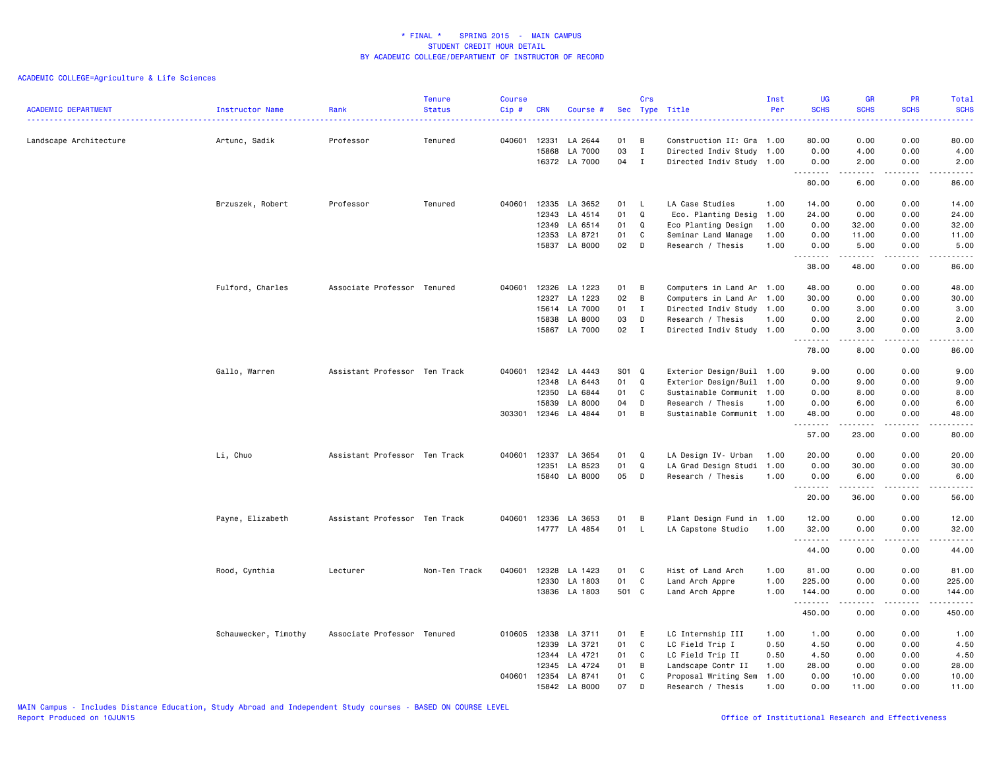| <b>ACADEMIC DEPARTMENT</b> | Instructor Name<br>. | Rank                          | <b>Tenure</b><br><b>Status</b> | <b>Course</b><br>Cip# | <b>CRN</b>                              | Course #                                       |                       | Crs                             | Sec Type Title                                                                                           | Inst<br>Per                  | <b>UG</b><br><b>SCHS</b>       | GR<br><b>SCHS</b>                                                                                                                                                     | PR<br><b>SCHS</b>                     | <b>Total</b><br><b>SCHS</b><br>22222 |
|----------------------------|----------------------|-------------------------------|--------------------------------|-----------------------|-----------------------------------------|------------------------------------------------|-----------------------|---------------------------------|----------------------------------------------------------------------------------------------------------|------------------------------|--------------------------------|-----------------------------------------------------------------------------------------------------------------------------------------------------------------------|---------------------------------------|--------------------------------------|
| Landscape Architecture     | Artunc, Sadik        | Professor                     | Tenured                        | 040601                | 12331<br>15868                          | LA 2644<br>LA 7000<br>16372 LA 7000            | 01<br>03<br>04        | В<br>$\mathbf I$<br>$\mathbf I$ | Construction II: Gra 1.00<br>Directed Indiv Study 1.00<br>Directed Indiv Study 1.00                      |                              | 80.00<br>0.00<br>0.00          | 0.00<br>4.00<br>2.00                                                                                                                                                  | 0.00<br>0.00<br>0.00                  | 80.00<br>4.00<br>2.00                |
|                            |                      |                               |                                |                       |                                         |                                                |                       |                                 |                                                                                                          |                              | .<br>80.00                     | .<br>6.00                                                                                                                                                             | .<br>0.00                             | <b>.</b><br>86.00                    |
|                            | Brzuszek, Robert     | Professor                     | Tenured                        | 040601                | 12335<br>12343<br>12349                 | LA 3652<br>LA 4514<br>LA 6514                  | 01<br>01<br>01        | <b>L</b><br>Q<br>Q              | LA Case Studies<br>Eco. Planting Desig 1.00<br>Eco Planting Design                                       | 1.00<br>1.00                 | 14.00<br>24.00<br>0.00         | 0.00<br>0.00<br>32.00                                                                                                                                                 | 0.00<br>0.00<br>0.00                  | 14.00<br>24.00<br>32.00              |
|                            |                      |                               |                                |                       | 12353                                   | LA 8721<br>15837 LA 8000                       | 01<br>02              | C<br>D                          | Seminar Land Manage<br>Research / Thesis                                                                 | 1.00<br>1.00                 | 0.00<br>0.00<br>.              | 11.00<br>5.00<br>.                                                                                                                                                    | 0.00<br>0.00<br>-----                 | 11.00<br>5.00<br>.                   |
|                            | Fulford, Charles     | Associate Professor Tenured   |                                | 040601                | 12326                                   | LA 1223                                        | 01                    | B                               | Computers in Land Ar 1.00                                                                                |                              | 38.00<br>48.00                 | 48.00<br>0.00                                                                                                                                                         | 0.00<br>0.00                          | 86.00<br>48.00                       |
|                            |                      |                               |                                |                       | 12327<br>15838<br>15867                 | LA 1223<br>15614 LA 7000<br>LA 8000<br>LA 7000 | 02<br>01<br>03<br>02  | B<br>I<br>D<br>$\mathbf{I}$     | Computers in Land Ar 1.00<br>Directed Indiv Study 1.00<br>Research / Thesis<br>Directed Indiv Study 1.00 | 1.00                         | 30.00<br>0.00<br>0.00<br>0.00  | 0.00<br>3.00<br>2.00<br>3.00                                                                                                                                          | 0.00<br>0.00<br>0.00<br>0.00          | 30.00<br>3.00<br>2.00<br>3.00        |
|                            |                      |                               |                                |                       |                                         |                                                |                       |                                 |                                                                                                          |                              | .<br>78.00                     | .<br>8.00                                                                                                                                                             | .<br>0.00                             | -----<br>86.00                       |
|                            | Gallo, Warren        | Assistant Professor Ten Track |                                | 040601                | 12342<br>12348<br>12350                 | LA 4443<br>LA 6443<br>LA 6844<br>LA 8000       | S01<br>01<br>01<br>04 | $\mathbf Q$<br>Q<br>C<br>D      | Exterior Design/Buil 1.00<br>Exterior Design/Buil 1.00<br>Sustainable Communit 1.00                      |                              | 9.00<br>0.00<br>0.00<br>0.00   | 0.00<br>9.00<br>8.00                                                                                                                                                  | 0.00<br>0.00<br>0.00                  | 9.00<br>9.00<br>8.00                 |
|                            |                      |                               |                                | 303301                | 15839<br>12346                          | LA 4844                                        | 01                    | B                               | Research / Thesis<br>Sustainable Communit 1.00                                                           | 1.00                         | 48.00                          | 6.00<br>0.00                                                                                                                                                          | 0.00<br>0.00                          | 6.00<br>48.00<br>.                   |
|                            | Li, Chuo             | Assistant Professor Ten Track |                                | 040601                | 12337                                   | LA 3654                                        | 01                    | Q                               | LA Design IV- Urban                                                                                      | 1.00                         | 57.00<br>20.00                 | 23.00<br>0.00                                                                                                                                                         | 0.00<br>0.00                          | 80.00<br>20.00                       |
|                            |                      |                               |                                |                       | 12351<br>15840                          | LA 8523<br>LA 8000                             | 01<br>05              | Q<br>D                          | LA Grad Design Studi<br>Research / Thesis                                                                | 1.00<br>1.00                 | 0.00<br>0.00<br>.              | 30.00<br>6.00<br>$\frac{1}{2} \left( \frac{1}{2} \right) \left( \frac{1}{2} \right) \left( \frac{1}{2} \right) \left( \frac{1}{2} \right) \left( \frac{1}{2} \right)$ | 0.00<br>0.00<br>.                     | 30.00<br>6.00<br>.                   |
|                            |                      |                               |                                |                       |                                         |                                                |                       |                                 |                                                                                                          |                              | 20.00                          | 36.00                                                                                                                                                                 | 0.00                                  | 56.00                                |
|                            | Payne, Elizabeth     | Assistant Professor Ten Track |                                | 040601                | 12336                                   | LA 3653<br>14777 LA 4854                       | 01<br>01              | В<br>L.                         | Plant Design Fund in 1.00<br>LA Capstone Studio                                                          | 1.00                         | 12.00<br>32.00<br>.            | 0.00<br>0.00<br>$\frac{1}{2} \left( \frac{1}{2} \right) \left( \frac{1}{2} \right) \left( \frac{1}{2} \right) \left( \frac{1}{2} \right) \left( \frac{1}{2} \right)$  | 0.00<br>0.00<br>.                     | 12.00<br>32.00<br>.                  |
|                            |                      |                               |                                |                       |                                         |                                                |                       |                                 |                                                                                                          |                              | 44.00                          | 0.00                                                                                                                                                                  | 0.00                                  | 44.00                                |
|                            | Rood, Cynthia        | Lecturer                      | Non-Ten Track                  | 040601                | 12328<br>12330                          | LA 1423<br>LA 1803<br>13836 LA 1803            | 01<br>01<br>501 C     | C<br>C                          | Hist of Land Arch<br>Land Arch Appre<br>Land Arch Appre                                                  | 1.00<br>1.00<br>1.00         | 81.00<br>225.00<br>144.00<br>. | 0.00<br>0.00<br>0.00<br>.                                                                                                                                             | 0.00<br>0.00<br>0.00<br>$\frac{1}{2}$ | 81,00<br>225.00<br>144.00<br>.       |
|                            |                      |                               |                                |                       |                                         |                                                |                       |                                 |                                                                                                          |                              | 450.00                         | 0.00                                                                                                                                                                  | 0.00                                  | 450.00                               |
|                            | Schauwecker, Timothy | Associate Professor Tenured   |                                |                       | 010605 12338<br>12339<br>12344<br>12345 | LA 3711<br>LA 3721<br>LA 4721<br>LA 4724       | 01<br>01<br>01<br>01  | E<br>C<br>C<br>B                | LC Internship III<br>LC Field Trip I<br>LC Field Trip II<br>Landscape Contr II                           | 1.00<br>0.50<br>0.50<br>1.00 | 1.00<br>4.50<br>4.50<br>28.00  | 0.00<br>0.00<br>0.00<br>0.00                                                                                                                                          | 0.00<br>0.00<br>0.00<br>0.00          | 1.00<br>4.50<br>4.50<br>28.00        |
|                            |                      |                               |                                |                       | 040601 12354<br>15842                   | LA 8741<br>LA 8000                             | 01<br>07              | C<br>D                          | Proposal Writing Sem<br>Research / Thesis                                                                | 1.00<br>1.00                 | 0.00<br>0.00                   | 10.00<br>11.00                                                                                                                                                        | 0.00<br>0.00                          | 10.00<br>11.00                       |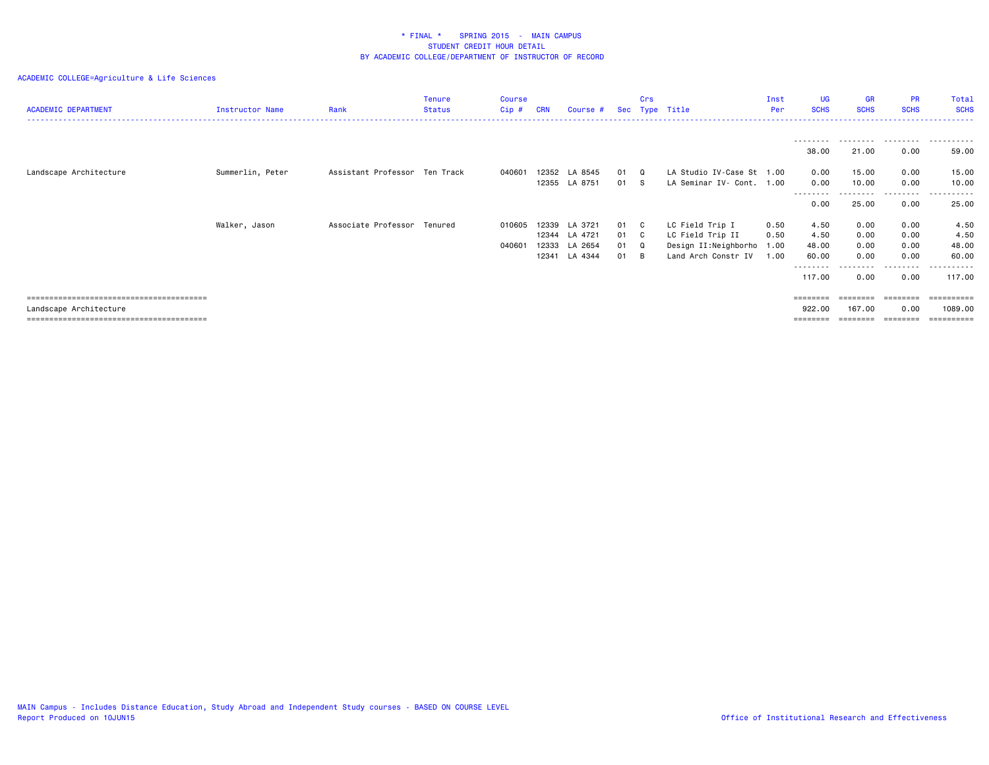| <b>ACADEMIC DEPARTMENT</b> | Instructor Name  | Rank                          | <b>Tenure</b><br><b>Status</b> | Course<br>Cip# | <b>CRN</b> | Course #      | Sec  | Crs      | Type Title                | Inst<br>Per | UG<br><b>SCHS</b>  | <b>GR</b><br><b>SCHS</b> | <b>PR</b><br><b>SCHS</b> | Total<br><b>SCHS</b>               |
|----------------------------|------------------|-------------------------------|--------------------------------|----------------|------------|---------------|------|----------|---------------------------|-------------|--------------------|--------------------------|--------------------------|------------------------------------|
|                            |                  |                               |                                |                |            |               |      |          |                           |             | ---------          |                          | .                        | .                                  |
|                            |                  |                               |                                |                |            |               |      |          |                           |             | 38.00              | 21.00                    | 0.00                     | 59.00                              |
| Landscape Architecture     | Summerlin, Peter | Assistant Professor Ten Track |                                | 040601         |            | 12352 LA 8545 | 01 Q |          | LA Studio IV-Case St 1.00 |             | 0.00               | 15.00                    | 0.00                     | 15.00                              |
|                            |                  |                               |                                |                |            | 12355 LA 8751 | 01 S |          | LA Seminar IV- Cont. 1.00 |             | 0.00               | 10.00                    | 0.00                     | 10.00                              |
|                            |                  |                               |                                |                |            |               |      |          |                           |             | --------<br>0.00   | 25.00                    | --------<br>0.00         | .<br>25.00                         |
|                            | Walker, Jason    | Associate Professor Tenured   |                                | 010605         |            | 12339 LA 3721 | 01 C |          | LC Field Trip I           | 0.50        | 4.50               | 0.00                     | 0.00                     | 4.50                               |
|                            |                  |                               |                                |                |            | 12344 LA 4721 | 01 C |          | LC Field Trip II          | 0.50        | 4.50               | 0.00                     | 0.00                     | 4.50                               |
|                            |                  |                               |                                | 040601         | 12333      | LA 2654       | 01   | Q        | Design II:Neighborho 1.00 |             | 48.00              | 0.00                     | 0.00                     | 48.00                              |
|                            |                  |                               |                                |                | 12341      | LA 4344       | 01   | <b>B</b> | Land Arch Constr IV       | 1.00        | 60.00              | 0.00                     | 0.00                     | 60.00                              |
|                            |                  |                               |                                |                |            |               |      |          |                           |             | --------<br>117.00 | 0.00                     | .<br>0.00                | - - - - - - -<br>$- - -$<br>117.00 |
|                            |                  |                               |                                |                |            |               |      |          |                           |             | ========           | ========                 | ========                 |                                    |
| Landscape Architecture     |                  |                               |                                |                |            |               |      |          |                           |             | 922.00             | 167.00                   | 0.00                     | 1089.00                            |
|                            |                  |                               |                                |                |            |               |      |          |                           |             |                    |                          | ========                 |                                    |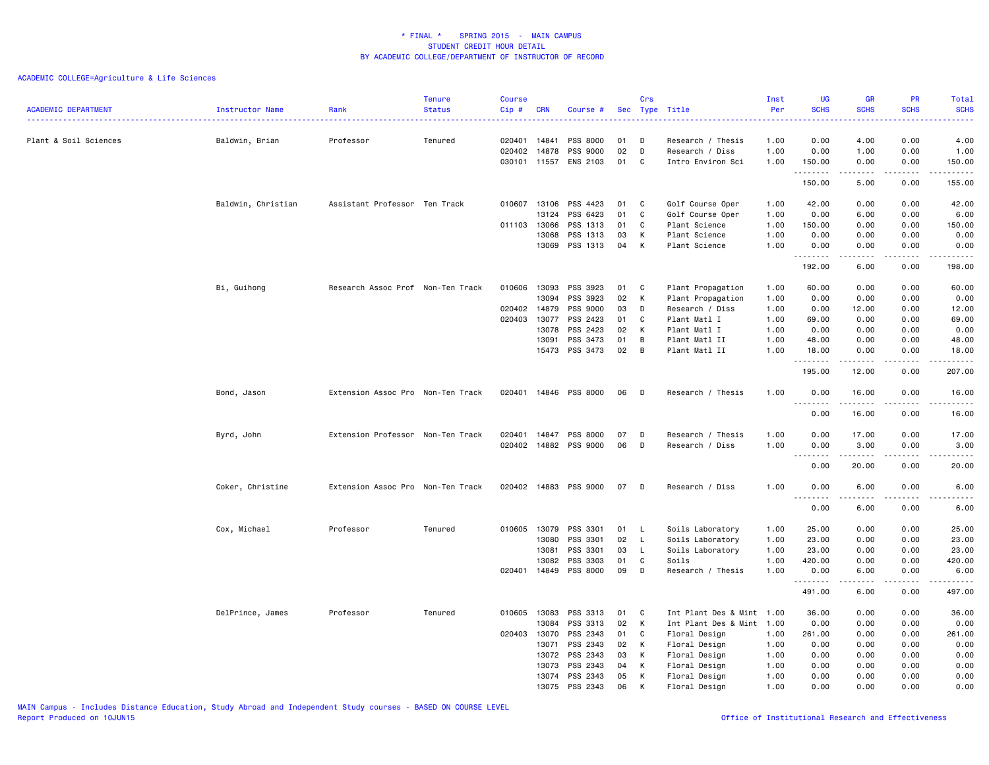| <b>ACADEMIC DEPARTMENT</b> | Instructor Name    | Rank                              | <b>Tenure</b><br><b>Status</b> | <b>Course</b><br>$Cip$ # | <b>CRN</b> | Course #                    |          | Crs            | Sec Type Title<br>.                  | Inst<br>Per<br>$- - - - - - -$ | <b>UG</b><br><b>SCHS</b><br>المتمالين         | <b>GR</b><br><b>SCHS</b> | <b>PR</b><br><b>SCHS</b><br>$\frac{1}{2} \left( \frac{1}{2} \right) \left( \frac{1}{2} \right) \left( \frac{1}{2} \right)$ | Total<br><b>SCHS</b><br>$\frac{1}{2} \left( \frac{1}{2} \right) \left( \frac{1}{2} \right) \left( \frac{1}{2} \right) \left( \frac{1}{2} \right)$ |
|----------------------------|--------------------|-----------------------------------|--------------------------------|--------------------------|------------|-----------------------------|----------|----------------|--------------------------------------|--------------------------------|-----------------------------------------------|--------------------------|----------------------------------------------------------------------------------------------------------------------------|---------------------------------------------------------------------------------------------------------------------------------------------------|
| Plant & Soil Sciences      | Baldwin, Brian     | Professor                         | Tenured                        | 020401                   | 14841      | PSS 8000                    | 01       | D              | Research / Thesis                    | 1.00                           | 0.00                                          | 4.00                     | 0.00                                                                                                                       | 4.00                                                                                                                                              |
|                            |                    |                                   |                                | 020402<br>030101 11557   | 14878      | PSS 9000<br><b>ENS 2103</b> | 02<br>01 | D<br>C         | Research / Diss<br>Intro Environ Sci | 1.00<br>1.00                   | 0.00<br>150.00<br>.                           | 1.00<br>0.00<br>.        | 0.00<br>0.00<br>$- - - -$                                                                                                  | 1.00<br>150.00<br>.                                                                                                                               |
|                            |                    |                                   |                                |                          |            |                             |          |                |                                      |                                | 150.00                                        | 5.00                     | 0.00                                                                                                                       | 155.00                                                                                                                                            |
|                            | Baldwin, Christian | Assistant Professor Ten Track     |                                | 010607                   | 13106      | PSS 4423                    | 01       | C              | Golf Course Oper                     | 1.00                           | 42.00                                         | 0.00                     | 0.00                                                                                                                       | 42.00                                                                                                                                             |
|                            |                    |                                   |                                |                          | 13124      | PSS 6423<br>PSS 1313        | 01       | C<br>C         | Golf Course Oper                     | 1.00                           | 0.00                                          | 6.00<br>0.00             | 0.00<br>0.00                                                                                                               | 6.00<br>150.00                                                                                                                                    |
|                            |                    |                                   |                                | 011103 13066             | 13068      | PSS 1313                    | 01<br>03 | K              | Plant Science<br>Plant Science       | 1.00<br>1.00                   | 150.00<br>0.00                                | 0.00                     | 0.00                                                                                                                       | 0.00                                                                                                                                              |
|                            |                    |                                   |                                |                          | 13069      | PSS 1313                    | 04       | K              | Plant Science                        | 1.00                           | 0.00                                          | 0.00                     | 0.00                                                                                                                       | 0.00                                                                                                                                              |
|                            |                    |                                   |                                |                          |            |                             |          |                |                                      |                                | .                                             | -----                    | .                                                                                                                          | .                                                                                                                                                 |
|                            |                    |                                   |                                |                          |            |                             |          |                |                                      |                                | 192.00                                        | 6.00                     | 0.00                                                                                                                       | 198.00                                                                                                                                            |
|                            | Bi, Guihong        | Research Assoc Prof Non-Ten Track |                                | 010606                   | 13093      | PSS 3923                    | 01       | C              | Plant Propagation                    | 1.00                           | 60.00                                         | 0.00                     | 0.00                                                                                                                       | 60.00                                                                                                                                             |
|                            |                    |                                   |                                |                          | 13094      | PSS 3923                    | 02       | K              | Plant Propagation                    | 1.00                           | 0.00                                          | 0.00                     | 0.00                                                                                                                       | 0.00                                                                                                                                              |
|                            |                    |                                   |                                | 020402                   | 14879      | PSS 9000                    | 03       | D              | Research / Diss                      | 1.00                           | 0.00                                          | 12.00                    | 0.00                                                                                                                       | 12.00                                                                                                                                             |
|                            |                    |                                   |                                | 020403                   | 13077      | PSS 2423                    | 01       | C              | Plant Matl I                         | 1.00                           | 69.00                                         | 0.00                     | 0.00                                                                                                                       | 69.00                                                                                                                                             |
|                            |                    |                                   |                                |                          | 13078      | PSS 2423                    | 02       | K              | Plant Matl I                         | 1.00                           | 0.00                                          | 0.00                     | 0.00                                                                                                                       | 0.00                                                                                                                                              |
|                            |                    |                                   |                                |                          | 13091      | PSS 3473                    | 01       | B              | Plant Matl II                        | 1.00                           | 48.00                                         | 0.00                     | 0.00                                                                                                                       | 48.00                                                                                                                                             |
|                            |                    |                                   |                                |                          | 15473      | PSS 3473                    | 02       | $\overline{B}$ | Plant Matl II                        | 1.00                           | 18.00<br>.                                    | 0.00<br>-----            | 0.00<br>$\sim$ $\sim$ $\sim$ $\sim$                                                                                        | 18.00<br>.                                                                                                                                        |
|                            |                    |                                   |                                |                          |            |                             |          |                |                                      |                                | 195.00                                        | 12.00                    | 0.00                                                                                                                       | 207.00                                                                                                                                            |
|                            | Bond, Jason        | Extension Assoc Pro Non-Ten Track |                                |                          |            | 020401 14846 PSS 8000       | 06       | D              | Research / Thesis                    | 1.00                           | 0.00<br>.                                     | 16.00<br>.               | 0.00<br>.                                                                                                                  | 16.00<br>.                                                                                                                                        |
|                            |                    |                                   |                                |                          |            |                             |          |                |                                      |                                | 0.00                                          | 16.00                    | 0.00                                                                                                                       | 16.00                                                                                                                                             |
|                            | Byrd, John         | Extension Professor Non-Ten Track |                                | 020401                   | 14847      | PSS 8000                    | 07       | D              | Research / Thesis                    | 1.00                           | 0.00                                          | 17.00                    | 0.00                                                                                                                       | 17.00                                                                                                                                             |
|                            |                    |                                   |                                | 020402                   | 14882      | PSS 9000                    | 06       | D              | Research / Diss                      | 1.00                           | 0.00                                          | 3.00                     | 0.00                                                                                                                       | 3.00                                                                                                                                              |
|                            |                    |                                   |                                |                          |            |                             |          |                |                                      |                                | .<br>0.00                                     | د د د د د<br>20.00       | $\sim$ $\sim$ $\sim$ $\sim$<br>0.00                                                                                        | $\cdots$<br>20.00                                                                                                                                 |
|                            |                    |                                   |                                |                          |            |                             |          |                |                                      |                                |                                               |                          |                                                                                                                            |                                                                                                                                                   |
|                            | Coker, Christine   | Extension Assoc Pro Non-Ten Track |                                | 020402                   | 14883      | PSS 9000                    | 07       | D              | Research / Diss                      | 1.00                           | 0.00<br>$\sim$ $\sim$<br>$\sim$ $\sim$ $\sim$ | 6.00<br>.                | 0.00<br>$\sim$ $\sim$ $\sim$ $\sim$                                                                                        | 6.00<br>.                                                                                                                                         |
|                            |                    |                                   |                                |                          |            |                             |          |                |                                      |                                | 0.00                                          | 6.00                     | 0.00                                                                                                                       | 6.00                                                                                                                                              |
|                            | Cox, Michael       | Professor                         | Tenured                        | 010605                   | 13079      | PSS 3301                    | 01 L     |                | Soils Laboratory                     | 1.00                           | 25.00                                         | 0.00                     | 0.00                                                                                                                       | 25.00                                                                                                                                             |
|                            |                    |                                   |                                |                          | 13080      | PSS 3301                    | 02       | $\mathsf{L}$   | Soils Laboratory                     | 1.00                           | 23.00                                         | 0.00                     | 0.00                                                                                                                       | 23.00                                                                                                                                             |
|                            |                    |                                   |                                |                          | 13081      | PSS 3301                    | 03       | <b>L</b>       | Soils Laboratory                     | 1.00                           | 23.00                                         | 0.00                     | 0.00                                                                                                                       | 23.00                                                                                                                                             |
|                            |                    |                                   |                                |                          | 13082      | PSS 3303                    | 01       | C              | Soils                                | 1.00                           | 420.00                                        | 0.00                     | 0.00                                                                                                                       | 420.00                                                                                                                                            |
|                            |                    |                                   |                                | 020401                   | 14849      | PSS 8000                    | 09       | D              | Research / Thesis                    | 1.00                           | 0.00<br>.                                     | 6.00<br>.                | 0.00<br>.                                                                                                                  | 6.00<br>.                                                                                                                                         |
|                            |                    |                                   |                                |                          |            |                             |          |                |                                      |                                | 491.00                                        | 6.00                     | 0.00                                                                                                                       | 497.00                                                                                                                                            |
|                            | DelPrince, James   | Professor                         | Tenured                        | 010605                   | 13083      | PSS 3313                    | 01       | C              | Int Plant Des & Mint 1.00            |                                | 36.00                                         | 0.00                     | 0.00                                                                                                                       | 36.00                                                                                                                                             |
|                            |                    |                                   |                                |                          | 13084      | PSS 3313                    | 02       | K              | Int Plant Des & Mint 1.00            |                                | 0.00                                          | 0.00                     | 0.00                                                                                                                       | 0.00                                                                                                                                              |
|                            |                    |                                   |                                | 020403 13070             |            | PSS 2343                    | 01       | C              | Floral Design                        | 1.00                           | 261.00                                        | 0.00                     | 0.00                                                                                                                       | 261.00                                                                                                                                            |
|                            |                    |                                   |                                |                          | 13071      | PSS 2343                    | 02       | K              | Floral Design                        | 1.00                           | 0.00                                          | 0.00                     | 0.00                                                                                                                       | 0.00                                                                                                                                              |
|                            |                    |                                   |                                |                          | 13072      | PSS 2343                    | 03       | K              | Floral Design                        | 1.00                           | 0.00                                          | 0.00                     | 0.00                                                                                                                       | 0.00                                                                                                                                              |
|                            |                    |                                   |                                |                          | 13073      | PSS 2343                    | 04       | K              | Floral Design                        | 1.00                           | 0.00                                          | 0.00                     | 0.00                                                                                                                       | 0.00                                                                                                                                              |
|                            |                    |                                   |                                |                          | 13074      | PSS 2343                    | 05       | K              | Floral Design                        | 1.00                           | 0.00                                          | 0.00                     | 0.00                                                                                                                       | 0.00                                                                                                                                              |
|                            |                    |                                   |                                |                          | 13075      | PSS 2343                    | 06       | К              | Floral Design                        | 1.00                           | 0.00                                          | 0.00                     | 0.00                                                                                                                       | 0.00                                                                                                                                              |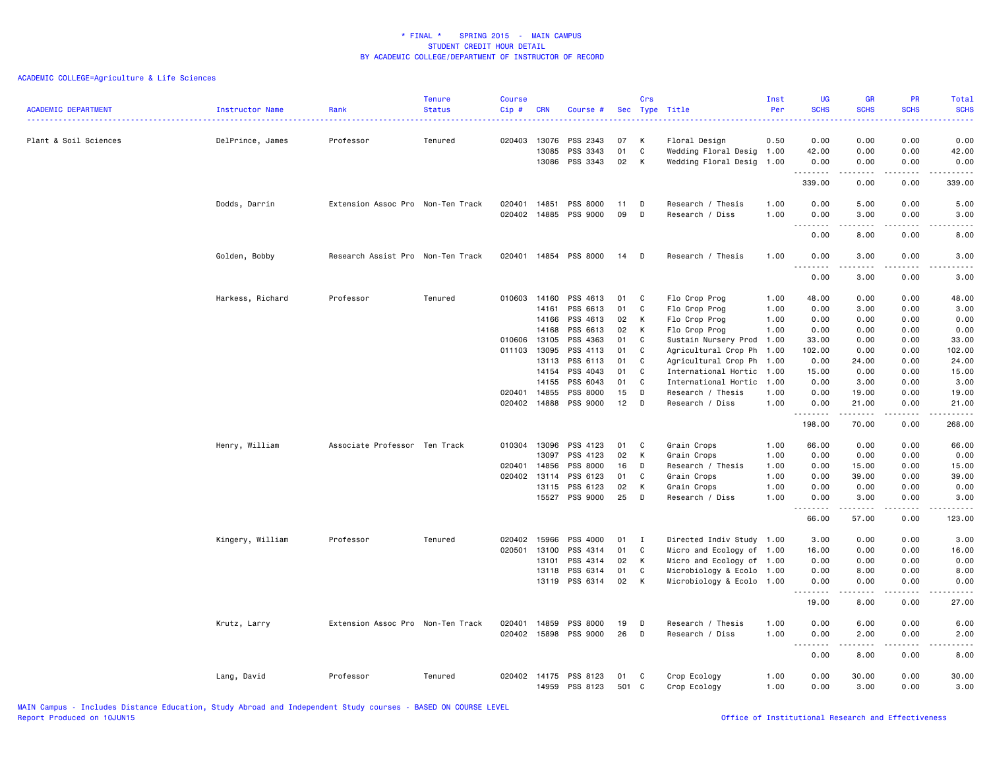| <b>ACADEMIC DEPARTMENT</b> | Instructor Name  | Rank                              | <b>Tenure</b><br><b>Status</b> | <b>Course</b><br>Cip # | <b>CRN</b>              | Course #             | Sec            | Crs          | Type Title                                 | Inst<br>Per  | <b>UG</b><br><b>SCHS</b>                                    | <b>GR</b><br><b>SCHS</b> | <b>PR</b><br><b>SCHS</b>            | <b>Total</b><br><b>SCHS</b> |
|----------------------------|------------------|-----------------------------------|--------------------------------|------------------------|-------------------------|----------------------|----------------|--------------|--------------------------------------------|--------------|-------------------------------------------------------------|--------------------------|-------------------------------------|-----------------------------|
| Plant & Soil Sciences      | DelPrince, James | Professor                         | Tenured                        | 020403                 | 13076<br>13085<br>13086 | PSS 2343<br>PSS 3343 | 07<br>01<br>02 | K<br>C<br>K  | Floral Design<br>Wedding Floral Desig 1.00 | 0.50         | 0.00<br>42.00<br>0.00                                       | 0.00<br>0.00<br>0.00     | 0.00<br>0.00<br>0.00                | 0.00<br>42.00<br>0.00       |
|                            |                  |                                   |                                |                        |                         | PSS 3343             |                |              | Wedding Floral Desig 1.00                  |              | 339.00                                                      | <b>.</b><br>0.00         | .<br>0.00                           | .<br>339.00                 |
|                            |                  |                                   |                                | 020401                 | 14851                   | PSS 8000             |                |              |                                            |              | 0.00                                                        | 5.00                     | 0.00                                |                             |
|                            | Dodds, Darrin    | Extension Assoc Pro Non-Ten Track |                                | 020402                 | 14885                   | PSS 9000             | 11<br>09       | D<br>D       | Research / Thesis<br>Research / Diss       | 1.00<br>1.00 | 0.00                                                        | 3.00                     | 0.00                                | 5.00<br>3.00                |
|                            |                  |                                   |                                |                        |                         |                      |                |              |                                            |              | .<br>0.00                                                   | .<br>8.00                | 0.00                                | .<br>8.00                   |
|                            | Golden, Bobby    | Research Assist Pro Non-Ten Track |                                | 020401                 |                         | 14854 PSS 8000       | 14             | $\mathsf{D}$ | Research / Thesis                          | 1.00         | 0.00<br>$\sim$ $\sim$                                       | 3.00<br>.                | 0.00                                | 3.00                        |
|                            |                  |                                   |                                |                        |                         |                      |                |              |                                            |              | 0.00                                                        | 3.00                     | 0.00                                | 3.00                        |
|                            | Harkess, Richard | Professor                         | Tenured                        | 010603 14160           |                         | PSS 4613             | 01             | C            | Flo Crop Prog                              | 1.00         | 48.00                                                       | 0.00                     | 0.00                                | 48.00                       |
|                            |                  |                                   |                                |                        | 14161                   | PSS 6613             | 01             | C            | Flo Crop Prog                              | 1.00         | 0.00                                                        | 3.00                     | 0.00                                | 3.00                        |
|                            |                  |                                   |                                |                        | 14166                   | PSS 4613             | 02             | К            | Flo Crop Prog                              | 1.00         | 0.00                                                        | 0.00                     | 0.00                                | 0.00                        |
|                            |                  |                                   |                                |                        | 14168                   | PSS 6613             | 02             | К            | Flo Crop Prog                              | 1.00         | 0.00                                                        | 0.00                     | 0.00                                | 0.00                        |
|                            |                  |                                   |                                | 010606 13105           |                         | PSS 4363             | 01             | C            | Sustain Nursery Prod 1.00                  |              | 33.00                                                       | 0.00                     | 0.00                                | 33.00                       |
|                            |                  |                                   |                                | 011103                 | 13095                   | PSS 4113             | 01             | $\mathbf{C}$ | Agricultural Crop Ph                       | 1.00         | 102.00                                                      | 0.00                     | 0.00                                | 102.00                      |
|                            |                  |                                   |                                |                        | 13113                   | PSS 6113             | 01             | C            | Agricultural Crop Ph                       | 1.00         | 0.00                                                        | 24.00                    | 0.00                                | 24.00                       |
|                            |                  |                                   |                                |                        | 14154                   | PSS 4043             | 01             | C            | International Hortic                       | 1.00         | 15.00                                                       | 0.00                     | 0.00                                | 15.00                       |
|                            |                  |                                   |                                |                        | 14155                   | PSS 6043             | 01             | C            | International Hortic                       | 1.00         | 0.00                                                        | 3.00                     | 0.00                                | 3.00                        |
|                            |                  |                                   |                                | 020401                 | 14855                   | PSS 8000             | 15             | D            | Research / Thesis                          | 1.00         | 0.00                                                        | 19.00                    | 0.00                                | 19.00                       |
|                            |                  |                                   |                                | 020402                 | 14888                   | PSS 9000             | 12             | D            | Research / Diss                            | 1.00         | 0.00                                                        | 21.00                    | 0.00                                | 21.00                       |
|                            |                  |                                   |                                |                        |                         |                      |                |              |                                            |              | 198.00                                                      | .<br>70.00               | .<br>0.00                           | .<br>268.00                 |
|                            |                  |                                   |                                |                        |                         |                      |                |              |                                            |              |                                                             |                          |                                     |                             |
|                            | Henry, William   | Associate Professor Ten Track     |                                | 010304                 | 13096                   | PSS 4123             | 01             | C            | Grain Crops                                | 1.00         | 66.00                                                       | 0.00                     | 0.00                                | 66.00                       |
|                            |                  |                                   |                                |                        | 13097                   | PSS 4123             | 02             | K            | Grain Crops                                | 1.00         | 0.00                                                        | 0.00                     | 0.00                                | 0.00                        |
|                            |                  |                                   |                                | 020401                 | 14856                   | PSS 8000             | 16             | D            | Research / Thesis                          | 1.00         | 0.00                                                        | 15.00                    | 0.00                                | 15.00                       |
|                            |                  |                                   |                                | 020402 13114           |                         | PSS 6123             | 01             | C            | Grain Crops                                | 1.00         | 0.00                                                        | 39.00                    | 0.00                                | 39.00                       |
|                            |                  |                                   |                                |                        | 13115                   | PSS 6123             | 02             | K            | Grain Crops                                | 1.00         | 0.00                                                        | 0.00                     | 0.00                                | 0.00                        |
|                            |                  |                                   |                                |                        |                         | 15527 PSS 9000       | 25             | D            | Research / Diss                            | 1.00         | 0.00<br>$\sim$ $\sim$ $\sim$<br>$\sim$ $\sim$ $\sim$ $\sim$ | 3.00<br>.                | 0.00<br>.                           | 3.00<br>.                   |
|                            |                  |                                   |                                |                        |                         |                      |                |              |                                            |              | 66.00                                                       | 57.00                    | 0.00                                | 123.00                      |
|                            | Kingery, William | Professor                         | Tenured                        | 020402                 | 15966                   | PSS 4000             | 01             | $\mathbf{I}$ | Directed Indiv Study 1.00                  |              | 3.00                                                        | 0.00                     | 0.00                                | 3.00                        |
|                            |                  |                                   |                                | 020501                 | 13100                   | PSS 4314             | 01             | C            | Micro and Ecology of 1.00                  |              | 16.00                                                       | 0.00                     | 0.00                                | 16.00                       |
|                            |                  |                                   |                                |                        | 13101                   | PSS 4314             | 02             | K            | Micro and Ecology of 1.00                  |              | 0.00                                                        | 0.00                     | 0.00                                | 0.00                        |
|                            |                  |                                   |                                |                        | 13118                   | PSS 6314             | 01             | C            | Microbiology & Ecolo 1.00                  |              | 0.00                                                        | 8.00                     | 0.00                                | 8.00                        |
|                            |                  |                                   |                                |                        | 13119                   | PSS 6314             | 02             | K            | Microbiology & Ecolo 1.00                  |              | 0.00                                                        | 0.00                     | 0.00                                | 0.00                        |
|                            |                  |                                   |                                |                        |                         |                      |                |              |                                            |              | د د د د<br>19.00                                            | $- - - -$<br>8.00        | $- - - -$<br>0.00                   | -----<br>27.00              |
|                            |                  |                                   |                                |                        |                         |                      |                |              |                                            |              |                                                             |                          |                                     |                             |
|                            | Krutz, Larry     | Extension Assoc Pro Non-Ten Track |                                | 020401                 | 14859                   | PSS 8000             | 19             | D            | Research / Thesis                          | 1.00         | 0.00                                                        | 6.00                     | 0.00                                | 6.00                        |
|                            |                  |                                   |                                | 020402                 | 15898                   | PSS 9000             | 26             | D            | Research / Diss                            | 1.00         | 0.00<br>$\sim$ $\sim$<br>.                                  | 2.00<br>----             | 0.00<br>$\sim$ $\sim$ $\sim$ $\sim$ | 2.00                        |
|                            |                  |                                   |                                |                        |                         |                      |                |              |                                            |              | 0.00                                                        | 8.00                     | 0.00                                | 8.00                        |
|                            | Lang, David      | Professor                         | Tenured                        | 020402 14175           |                         | PSS 8123             | 01             | C            | Crop Ecology                               | 1.00         | 0.00                                                        | 30.00                    | 0.00                                | 30.00                       |
|                            |                  |                                   |                                |                        | 14959                   | PSS 8123             | 501            | C            | Crop Ecology                               | 1.00         | 0.00                                                        | 3.00                     | 0.00                                | 3.00                        |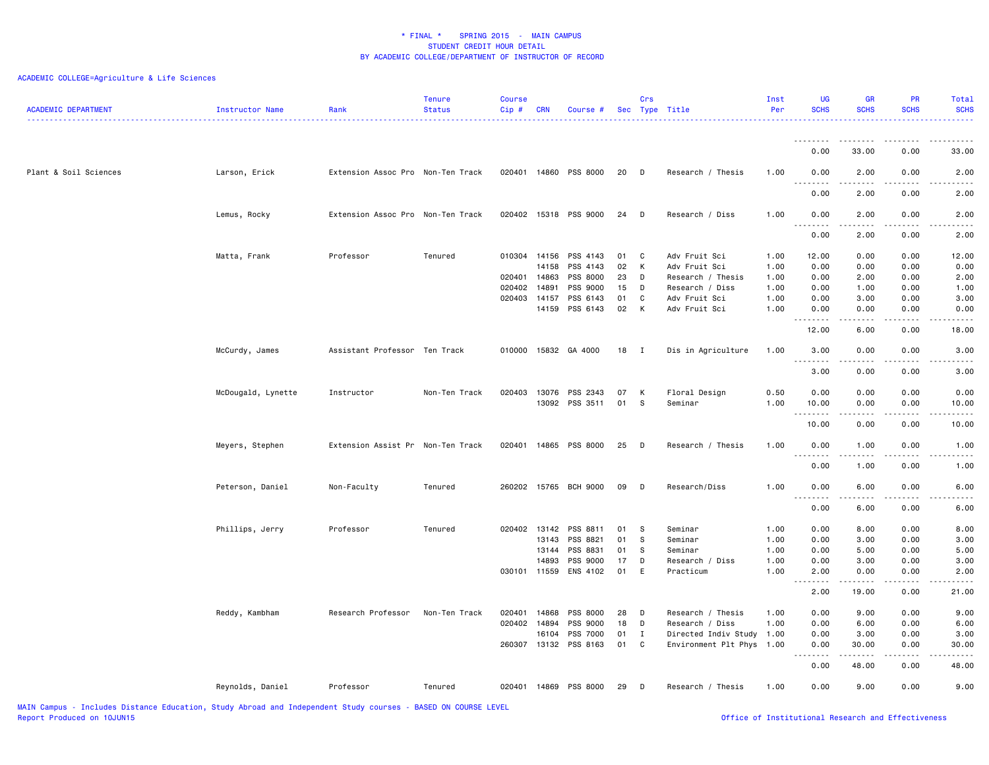| <b>ACADEMIC DEPARTMENT</b> | Instructor Name    | Rank                              | <b>Tenure</b><br>Status | <b>Course</b><br>Cip# | <b>CRN</b> | Course #              |    | Crs          | Sec Type Title            | Inst<br>Per | <b>UG</b><br><b>SCHS</b>          | <b>GR</b><br><b>SCHS</b>                                                                                                          | <b>PR</b><br><b>SCHS</b> | Total<br><b>SCHS</b>                       |
|----------------------------|--------------------|-----------------------------------|-------------------------|-----------------------|------------|-----------------------|----|--------------|---------------------------|-------------|-----------------------------------|-----------------------------------------------------------------------------------------------------------------------------------|--------------------------|--------------------------------------------|
|                            |                    |                                   |                         |                       |            |                       |    |              |                           |             | 0.00                              | 33.00                                                                                                                             | 0.00                     | 33.00                                      |
| Plant & Soil Sciences      |                    | Extension Assoc Pro Non-Ten Track |                         |                       |            | 020401 14860 PSS 8000 | 20 | $\Box$       | Research / Thesis         | 1.00        | 0.00                              | 2.00                                                                                                                              | 0.00                     |                                            |
|                            | Larson, Erick      |                                   |                         |                       |            |                       |    |              |                           |             | .                                 |                                                                                                                                   |                          | 2.00<br>$\frac{1}{2}$                      |
|                            |                    |                                   |                         |                       |            |                       |    |              |                           |             | 0.00                              | 2.00                                                                                                                              | 0.00                     | 2.00                                       |
|                            | Lemus, Rocky       | Extension Assoc Pro Non-Ten Track |                         |                       |            | 020402 15318 PSS 9000 | 24 | D            | Research / Diss           | 1.00        | 0.00                              | 2.00                                                                                                                              | 0.00                     | 2.00                                       |
|                            |                    |                                   |                         |                       |            |                       |    |              |                           |             | 0.00                              | 2.00                                                                                                                              | 0.00                     | 2.00                                       |
|                            | Matta, Frank       | Professor                         | Tenured                 | 010304 14156          | 14158      | PSS 4143              | 01 | C            | Adv Fruit Sci             | 1.00        | 12.00                             | 0.00                                                                                                                              | 0.00                     | 12.00                                      |
|                            |                    |                                   |                         |                       |            | PSS 4143              | 02 | К            | Adv Fruit Sci             | 1.00        | 0.00                              | 0.00                                                                                                                              | 0.00                     | 0.00                                       |
|                            |                    |                                   |                         | 020401 14863          |            | PSS 8000              | 23 | D            | Research / Thesis         | 1.00        | 0.00                              | 2.00                                                                                                                              | 0.00                     | 2.00                                       |
|                            |                    |                                   |                         | 020402                | 14891      | PSS 9000              | 15 | D            | Research / Diss           | 1.00        | 0.00                              | 1.00                                                                                                                              | 0.00                     | 1.00                                       |
|                            |                    |                                   |                         | 020403                | 14157      | PSS 6143              | 01 | C            | Adv Fruit Sci             | 1.00        | 0.00                              | 3.00                                                                                                                              | 0.00                     | 3.00                                       |
|                            |                    |                                   |                         |                       | 14159      | PSS 6143              | 02 | К            | Adv Fruit Sci             | 1.00        | 0.00<br>.                         | 0.00<br>.                                                                                                                         | 0.00<br>.                | 0.00<br>$\frac{1}{2}$                      |
|                            |                    |                                   |                         |                       |            |                       |    |              |                           |             | 12.00                             | 6.00                                                                                                                              | 0.00                     | 18.00                                      |
|                            | McCurdy, James     | Assistant Professor Ten Track     |                         | 010000                |            | 15832 GA 4000         | 18 | $\mathbf{I}$ | Dis in Agriculture        | 1.00        | 3.00<br>.                         | 0.00<br>.                                                                                                                         | 0.00<br>.                | 3.00<br>$\sim$ $\sim$ $\sim$ $\sim$ $\sim$ |
|                            |                    |                                   |                         |                       |            |                       |    |              |                           |             | 3.00                              | 0.00                                                                                                                              | 0.00                     | 3.00                                       |
|                            | McDougald, Lynette | Instructor                        | Non-Ten Track           | 020403                | 13076      | PSS 2343              | 07 | К            | Floral Design             | 0.50        | 0.00                              | 0.00                                                                                                                              | 0.00                     | 0.00                                       |
|                            |                    |                                   |                         |                       |            | 13092 PSS 3511        | 01 | -S           | Seminar                   | 1.00        | 10.00<br>.                        | 0.00                                                                                                                              | 0.00                     | 10.00                                      |
|                            |                    |                                   |                         |                       |            |                       |    |              |                           |             | 10.00                             | 0.00                                                                                                                              | 0.00                     | 10.00                                      |
|                            | Meyers, Stephen    | Extension Assist Pr Non-Ten Track |                         | 020401                |            | 14865 PSS 8000        | 25 | D            | Research / Thesis         | 1.00        | 0.00<br>.                         | 1.00<br>.                                                                                                                         | 0.00<br>$\cdots$         | 1.00<br>$\frac{1}{2}$                      |
|                            |                    |                                   |                         |                       |            |                       |    |              |                           |             | 0.00                              | 1.00                                                                                                                              | 0.00                     | 1.00                                       |
|                            | Peterson, Daniel   | Non-Faculty                       | Tenured                 |                       |            | 260202 15765 BCH 9000 | 09 | <b>D</b>     | Research/Diss             | 1.00        | 0.00                              | 6.00                                                                                                                              | 0.00                     | 6.00                                       |
|                            |                    |                                   |                         |                       |            |                       |    |              |                           |             | .<br>$\sim$ $\sim$ $\sim$<br>0.00 | $\frac{1}{2} \left( \frac{1}{2} \right) \left( \frac{1}{2} \right) \left( \frac{1}{2} \right) \left( \frac{1}{2} \right)$<br>6.00 | 0.00                     | 6.00                                       |
|                            | Phillips, Jerry    | Professor                         | Tenured                 | 020402 13142          |            | PSS 8811              | 01 | $^{\circ}$ s | Seminar                   | 1.00        | 0.00                              | 8.00                                                                                                                              | 0.00                     | 8.00                                       |
|                            |                    |                                   |                         |                       | 13143      | PSS 8821              | 01 | ${\bf S}$    | Seminar                   | 1.00        | 0.00                              | 3.00                                                                                                                              | 0.00                     | 3.00                                       |
|                            |                    |                                   |                         |                       | 13144      | PSS 8831              | 01 | -S           | Seminar                   | 1.00        | 0.00                              | 5.00                                                                                                                              | 0.00                     | 5.00                                       |
|                            |                    |                                   |                         |                       | 14893      | PSS 9000              | 17 | D            | Research / Diss           | 1.00        | 0.00                              | 3.00                                                                                                                              | 0.00                     | 3.00                                       |
|                            |                    |                                   |                         | 030101 11559          |            | ENS 4102              | 01 | E            | Practicum                 | 1.00        | 2.00                              | 0.00                                                                                                                              | 0.00                     | 2.00                                       |
|                            |                    |                                   |                         |                       |            |                       |    |              |                           |             | .<br>$\sim$ $\sim$ $\sim$<br>2.00 | .<br>19.00                                                                                                                        | .<br>0.00                | .<br>21.00                                 |
|                            | Reddy, Kambham     | Research Professor                | Non-Ten Track           | 020401                | 14868      | PSS 8000              | 28 | D            | Research / Thesis         | 1.00        | 0.00                              | 9.00                                                                                                                              | 0.00                     | 9.00                                       |
|                            |                    |                                   |                         | 020402                | 14894      | PSS 9000              | 18 | D            | Research / Diss           | 1.00        | 0.00                              | 6.00                                                                                                                              | 0.00                     | 6.00                                       |
|                            |                    |                                   |                         |                       | 16104      | PSS 7000              | 01 | $\mathbf{I}$ | Directed Indiv Study 1.00 |             | 0.00                              | 3.00                                                                                                                              | 0.00                     | 3.00                                       |
|                            |                    |                                   |                         |                       |            | 260307 13132 PSS 8163 | 01 | C            | Environment Plt Phys 1.00 |             | 0.00<br>$- - - - -$               | 30.00<br>.                                                                                                                        | 0.00<br>.                | 30.00<br>.                                 |
|                            |                    |                                   |                         |                       |            |                       |    |              |                           |             | 0.00                              | 48.00                                                                                                                             | 0.00                     | 48.00                                      |
|                            | Reynolds, Daniel   | Professor                         | Tenured                 | 020401                |            | 14869 PSS 8000        | 29 | D            | Research / Thesis         | 1.00        | 0.00                              | 9.00                                                                                                                              | 0.00                     | 9.00                                       |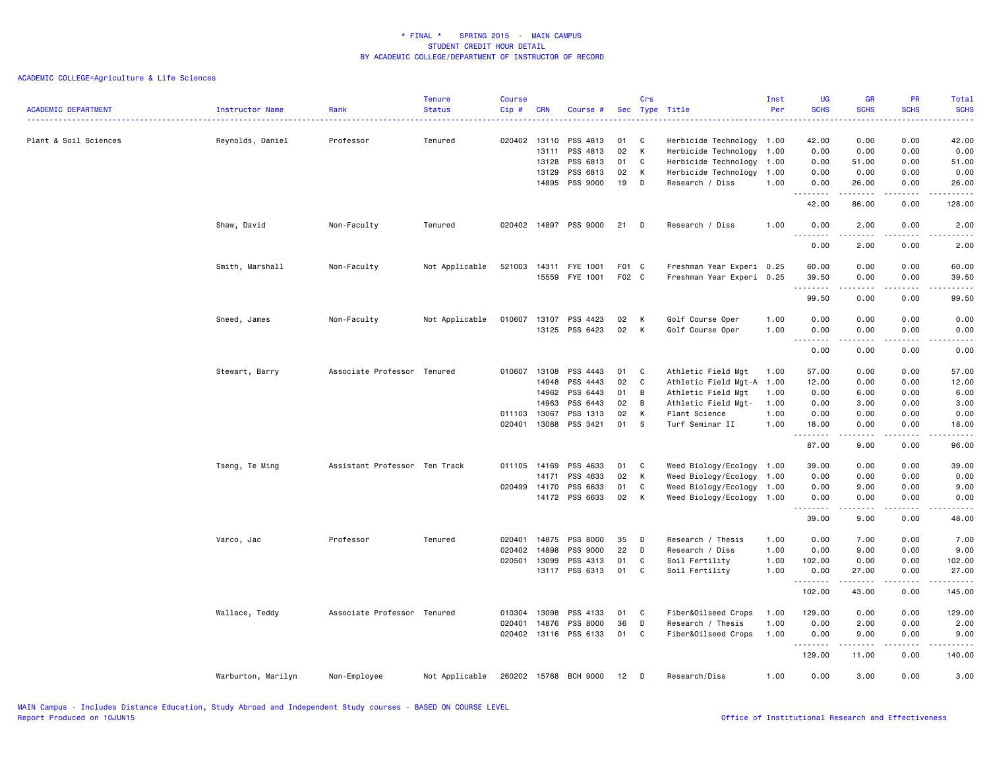| <b>ACADEMIC DEPARTMENT</b> | Instructor Name    | Rank                          | <b>Tenure</b><br><b>Status</b> | <b>Course</b><br>Cip# | <b>CRN</b> | Course #              |       | Crs | Sec Type Title            | Inst<br>Per | <b>UG</b><br><b>SCHS</b><br>المتمامين | <b>GR</b><br><b>SCHS</b>                                                                                                          | PR<br><b>SCHS</b> | Total<br><b>SCHS</b><br>د د د د د |
|----------------------------|--------------------|-------------------------------|--------------------------------|-----------------------|------------|-----------------------|-------|-----|---------------------------|-------------|---------------------------------------|-----------------------------------------------------------------------------------------------------------------------------------|-------------------|-----------------------------------|
| Plant & Soil Sciences      | Reynolds, Daniel   | Professor                     | Tenured                        | 020402 13110          |            | PSS 4813              | 01    | C   | Herbicide Technology 1.00 |             | 42.00                                 | 0.00                                                                                                                              | 0.00              | 42.00                             |
|                            |                    |                               |                                |                       | 13111      | PSS 4813              | 02    | K   | Herbicide Technology      | 1.00        | 0.00                                  | 0.00                                                                                                                              | 0.00              | 0.00                              |
|                            |                    |                               |                                |                       | 13128      | PSS 6813              | 01    | C   | Herbicide Technology      | 1.00        | 0.00                                  | 51.00                                                                                                                             | 0.00              | 51.00                             |
|                            |                    |                               |                                |                       | 13129      | PSS 6813              | 02    | K   | Herbicide Technology      | 1.00        | 0.00                                  | 0.00                                                                                                                              | 0.00              | 0.00                              |
|                            |                    |                               |                                |                       | 14895      | PSS 9000              | 19    | D   | Research / Diss           | 1.00        | 0.00<br>-----                         | 26.00<br>.                                                                                                                        | 0.00<br>.         | 26.00<br>.                        |
|                            |                    |                               |                                |                       |            |                       |       |     |                           |             | 42.00                                 | 86.00                                                                                                                             | 0.00              | 128.00                            |
|                            | Shaw, David        | Non-Faculty                   | Tenured                        | 020402                |            | 14897 PSS 9000        | 21    | D   | Research / Diss           | 1.00        | 0.00<br>$- - - -$                     | 2.00                                                                                                                              | 0.00<br>$   -$    | 2.00<br>$- - - -$                 |
|                            |                    |                               |                                |                       |            |                       |       |     |                           |             | 0.00                                  | 2.00                                                                                                                              | 0.00              | 2.00                              |
|                            | Smith, Marshall    | Non-Faculty                   | Not Applicable                 | 521003                | 14311      | FYE 1001              | F01 C |     | Freshman Year Experi 0.25 |             | 60.00                                 | 0.00                                                                                                                              | 0.00              | 60.00                             |
|                            |                    |                               |                                |                       | 15559      | FYE 1001              | F02 C |     | Freshman Year Experi 0.25 |             | 39.50                                 | 0.00                                                                                                                              | 0.00              | 39.50                             |
|                            |                    |                               |                                |                       |            |                       |       |     |                           |             | .<br>99.50                            | .<br>0.00                                                                                                                         | .<br>0.00         | .<br>99.50                        |
|                            |                    |                               |                                |                       |            |                       |       |     |                           |             |                                       |                                                                                                                                   |                   |                                   |
|                            | Sneed, James       | Non-Faculty                   | Not Applicable                 | 010607                | 13107      | PSS 4423              | 02    | K   | Golf Course Oper          | 1.00        | 0.00                                  | 0.00                                                                                                                              | 0.00              | 0.00                              |
|                            |                    |                               |                                |                       | 13125      | PSS 6423              | 02    | K   | Golf Course Oper          | 1.00        | 0.00<br>$\sim$ $\sim$                 | 0.00                                                                                                                              | 0.00              | 0.00                              |
|                            |                    |                               |                                |                       |            |                       |       |     |                           |             | 0.00                                  | 0.00                                                                                                                              | 0.00              | 0.00                              |
|                            | Stewart, Barry     | Associate Professor Tenured   |                                | 010607                | 13108      | PSS 4443              | 01    | C   | Athletic Field Mgt        | 1.00        | 57.00                                 | 0.00                                                                                                                              | 0.00              | 57.00                             |
|                            |                    |                               |                                |                       | 14948      | PSS 4443              | 02    | C   | Athletic Field Mgt-A      | 1.00        | 12.00                                 | 0.00                                                                                                                              | 0.00              | 12.00                             |
|                            |                    |                               |                                |                       | 14962      | PSS 6443              | 01    | B   | Athletic Field Mgt        | 1.00        | 0.00                                  | 6.00                                                                                                                              | 0.00              | 6.00                              |
|                            |                    |                               |                                |                       | 14963      | PSS 6443              | 02    | В   | Athletic Field Mgt-       | 1.00        | 0.00                                  | 3.00                                                                                                                              | 0.00              | 3.00                              |
|                            |                    |                               |                                | 011103                | 13067      | PSS 1313              | 02    | K   | Plant Science             | 1.00        | 0.00                                  | 0.00                                                                                                                              | 0.00              | 0.00                              |
|                            |                    |                               |                                | 020401                | 13088      | PSS 3421              | 01    | s.  | Turf Seminar II           | 1.00        | 18.00                                 | 0.00                                                                                                                              | 0.00              | 18.00<br>$    -$                  |
|                            |                    |                               |                                |                       |            |                       |       |     |                           |             | 87.00                                 | 9.00                                                                                                                              | 0.00              | 96.00                             |
|                            | Tseng, Te Ming     | Assistant Professor Ten Track |                                | 011105 14169          |            | PSS 4633              | 01    | C   | Weed Biology/Ecology 1.00 |             | 39.00                                 | 0.00                                                                                                                              | 0.00              | 39.00                             |
|                            |                    |                               |                                |                       | 14171      | PSS 4633              | 02    | K   | Weed Biology/Ecology      | 1.00        | 0.00                                  | 0.00                                                                                                                              | 0.00              | 0.00                              |
|                            |                    |                               |                                | 020499                | 14170      | PSS 6633              | 01    | C   | Weed Biology/Ecology      | 1.00        | 0.00                                  | 9.00                                                                                                                              | 0.00              | 9.00                              |
|                            |                    |                               |                                |                       |            | 14172 PSS 6633        | 02    | K   | Weed Biology/Ecology 1.00 |             | 0.00                                  | 0.00<br>$\frac{1}{2} \left( \frac{1}{2} \right) \left( \frac{1}{2} \right) \left( \frac{1}{2} \right) \left( \frac{1}{2} \right)$ | 0.00              | 0.00                              |
|                            |                    |                               |                                |                       |            |                       |       |     |                           |             | 39.00                                 | 9.00                                                                                                                              | 0.00              | 48.00                             |
|                            | Varco, Jac         | Professor                     | Tenured                        | 020401                | 14875      | PSS 8000              | 35    | D   | Research / Thesis         | 1.00        | 0.00                                  | 7.00                                                                                                                              | 0.00              | 7.00                              |
|                            |                    |                               |                                | 020402                | 14898      | PSS 9000              | 22    | D   | Research / Diss           | 1.00        | 0.00                                  | 9.00                                                                                                                              | 0.00              | 9.00                              |
|                            |                    |                               |                                | 020501                | 13099      | PSS 4313              | 01    | C   | Soil Fertility            | 1.00        | 102.00                                | 0.00                                                                                                                              | 0.00              | 102.00                            |
|                            |                    |                               |                                |                       |            | 13117 PSS 6313        | 01    | C   | Soil Fertility            | 1.00        | 0.00<br>.                             | 27.00<br>.                                                                                                                        | 0.00<br>.         | 27.00<br>.                        |
|                            |                    |                               |                                |                       |            |                       |       |     |                           |             | 102.00                                | 43.00                                                                                                                             | 0.00              | 145.00                            |
|                            | Wallace, Teddy     | Associate Professor Tenured   |                                | 010304                | 13098      | PSS 4133              | 01    | C   | Fiber&Oilseed Crops       | 1.00        | 129.00                                | 0.00                                                                                                                              | 0.00              | 129.00                            |
|                            |                    |                               |                                | 020401                | 14876      | PSS 8000              | 36    | D   | Research / Thesis         | 1.00        | 0.00                                  | 2.00                                                                                                                              | 0.00              | 2.00                              |
|                            |                    |                               |                                |                       |            | 020402 13116 PSS 6133 | 01    | C   | Fiber&Oilseed Crops       | 1.00        | 0.00<br>1.1.1.1.1.1.1                 | 9.00<br>.                                                                                                                         | 0.00<br>.         | 9.00<br>.                         |
|                            |                    |                               |                                |                       |            |                       |       |     |                           |             | 129.00                                | 11.00                                                                                                                             | 0.00              | 140.00                            |
|                            | Warburton, Marilyn | Non-Employee                  | Not Applicable                 | 260202 15768          |            | <b>BCH 9000</b>       | 12    | D   | Research/Diss             | 1.00        | 0.00                                  | 3.00                                                                                                                              | 0.00              | 3.00                              |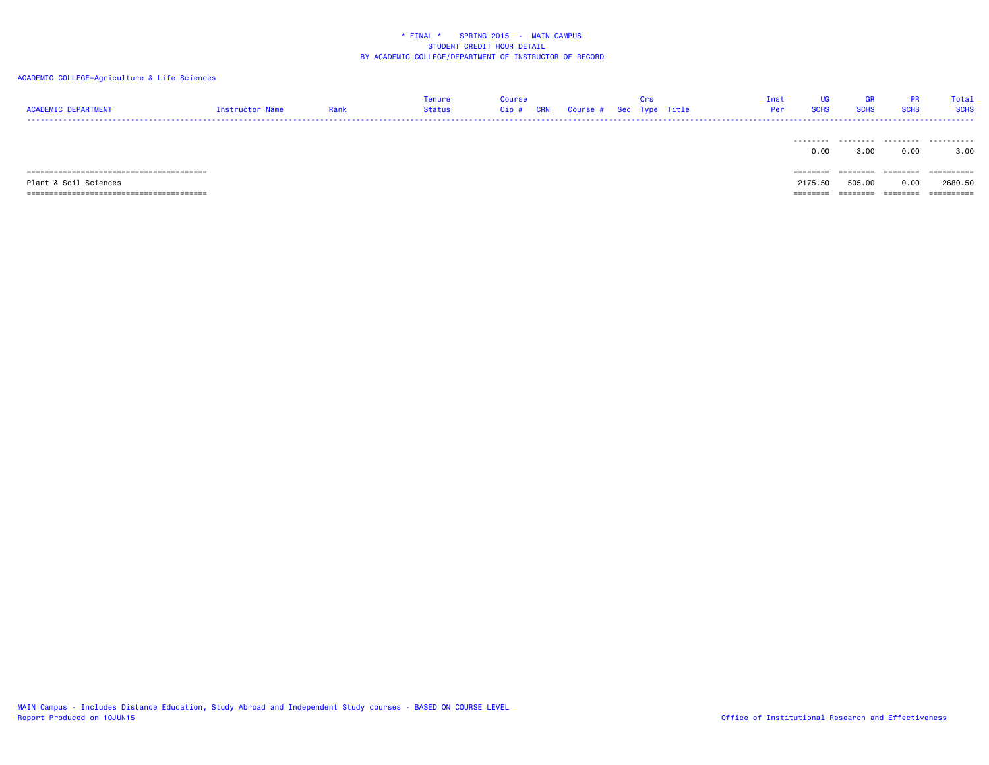## ACADEMIC COLLEGE=Agriculture & Life Sciences

| <b>ACADEMIC DEPARTMENT</b> | Instructor Name | Rank | Tenure<br>Status | Course<br>Cip # | CRN | Course # Sec Type Title | -urs | Inst<br>Per | UG<br><b>SCHS</b> | <b>GR</b><br><b>SCHS</b> | <b>PR</b><br><b>SCHS</b> | Total<br><b>SCHS</b>    |
|----------------------------|-----------------|------|------------------|-----------------|-----|-------------------------|------|-------------|-------------------|--------------------------|--------------------------|-------------------------|
|                            |                 |      |                  |                 |     |                         |      |             | .<br>0.00         | .<br>3.00                | 0.00                     | .<br>3.00               |
|                            |                 |      |                  |                 |     |                         |      |             | ========          |                          | --------                 | ----------<br>--------- |
| Plant & Soil Sciences      |                 |      |                  |                 |     |                         |      |             | 2175.50           | 505.00                   | 0.00                     | 2680.50                 |

======================================== ======== ======== ======== ==========

MAIN Campus - Includes Distance Education, Study Abroad and Independent Study courses - BASED ON COURSE LEVEL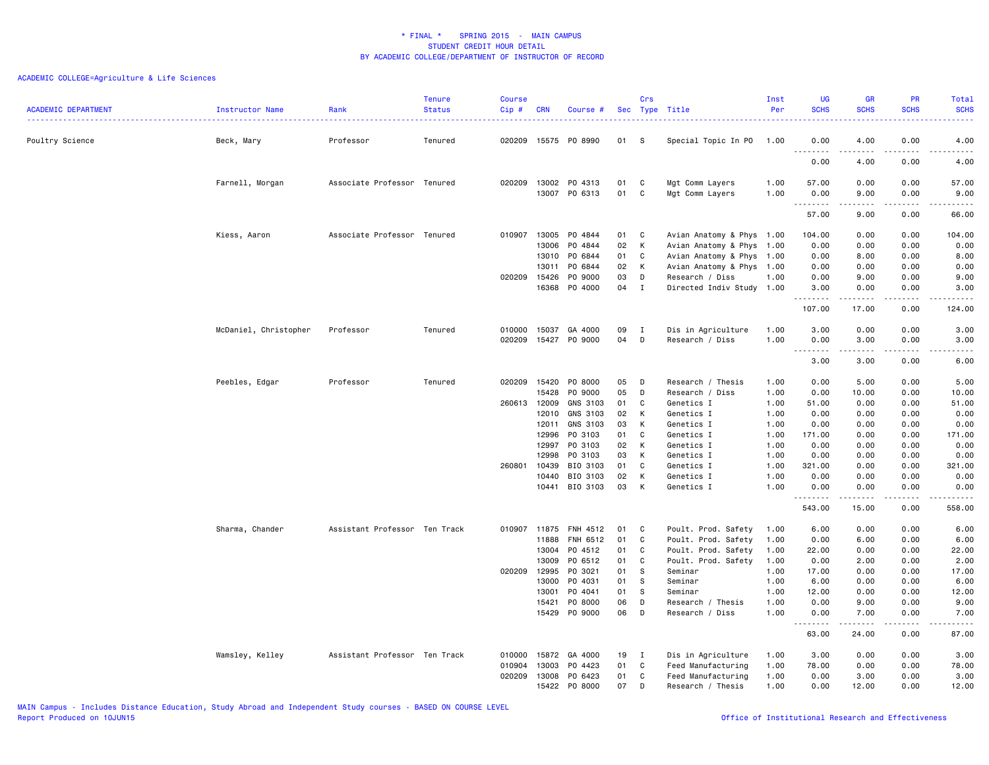| <b>ACADEMIC DEPARTMENT</b> | Instructor Name       | Rank                          | <b>Tenure</b><br><b>Status</b> | <b>Course</b><br>Cip# | <b>CRN</b> | Course #      |    | Crs          | Sec Type Title            | Inst<br>Per | <b>UG</b><br><b>SCHS</b>   | <b>GR</b><br><b>SCHS</b> | PR<br><b>SCHS</b>            | Total<br><b>SCHS</b>  |
|----------------------------|-----------------------|-------------------------------|--------------------------------|-----------------------|------------|---------------|----|--------------|---------------------------|-------------|----------------------------|--------------------------|------------------------------|-----------------------|
|                            |                       |                               |                                |                       |            |               |    |              |                           |             |                            |                          |                              | ولايتان               |
| Poultry Science            | Beck, Mary            | Professor                     | Tenured                        | 020209                |            | 15575 PO 8990 | 01 | - S          | Special Topic In PO       | 1.00        | 0.00<br>.                  | 4.00                     | 0.00                         | 4.00<br>وبالمسامين    |
|                            |                       |                               |                                |                       |            |               |    |              |                           |             | 0.00                       | 4.00                     | 0.00                         | 4.00                  |
|                            | Farnell, Morgan       | Associate Professor Tenured   |                                | 020209                | 13002      | PO 4313       | 01 | C            | Mgt Comm Layers           | 1.00        | 57.00                      | 0.00                     | 0.00                         | 57.00                 |
|                            |                       |                               |                                |                       | 13007      | PO 6313       | 01 | C            | Mgt Comm Layers           | 1.00        | 0.00<br>.                  | 9.00<br>-----            | 0.00<br>.                    | 9.00<br>$    -$       |
|                            |                       |                               |                                |                       |            |               |    |              |                           |             | 57.00                      | 9.00                     | 0.00                         | 66.00                 |
|                            | Kiess, Aaron          | Associate Professor Tenured   |                                | 010907                | 13005      | PO 4844       | 01 | C            | Avian Anatomy & Phys 1.00 |             | 104.00                     | 0.00                     | 0.00                         | 104.00                |
|                            |                       |                               |                                |                       | 13006      | PO 4844       | 02 | K            | Avian Anatomy & Phys      | 1.00        | 0.00                       | 0.00                     | 0.00                         | 0.00                  |
|                            |                       |                               |                                |                       | 13010      | PO 6844       | 01 | C            | Avian Anatomy & Phys      | 1.00        | 0.00                       | 8.00                     | 0.00                         | 8.00                  |
|                            |                       |                               |                                |                       | 13011      | PO 6844       | 02 | K            | Avian Anatomy & Phys 1.00 |             | 0.00                       | 0.00                     | 0.00                         | 0.00                  |
|                            |                       |                               |                                | 020209                | 15426      | PO 9000       | 03 | D            | Research / Diss           | 1.00        | 0.00                       | 9.00                     | 0.00                         | 9.00                  |
|                            |                       |                               |                                |                       | 16368      | P0 4000       | 04 | $\mathbf{I}$ | Directed Indiv Study 1.00 |             | 3.00<br><u>.</u>           | 0.00<br>.                | 0.00<br>.                    | 3.00<br>. <u>.</u> .  |
|                            |                       |                               |                                |                       |            |               |    |              |                           |             | 107.00                     | 17.00                    | 0.00                         | 124.00                |
|                            | McDaniel, Christopher | Professor                     | Tenured                        | 010000                | 15037      | GA 4000       | 09 | $\mathbf{I}$ | Dis in Agriculture        | 1.00        | 3.00                       | 0.00                     | 0.00                         | 3.00                  |
|                            |                       |                               |                                | 020209                |            | 15427 PO 9000 | 04 | D            | Research / Diss           | 1.00        | 0.00                       | 3.00                     | 0.00                         | 3.00                  |
|                            |                       |                               |                                |                       |            |               |    |              |                           |             | .<br>$\sim$ $\sim$<br>3.00 | -----<br>3.00            | .<br>0.00                    | $\frac{1}{2}$<br>6.00 |
|                            | Peebles, Edgar        | Professor                     | Tenured                        | 020209                | 15420      | P0 8000       | 05 | D            | Research / Thesis         | 1.00        | 0.00                       | 5.00                     | 0.00                         | 5.00                  |
|                            |                       |                               |                                |                       | 15428      | P0 9000       | 05 | D            | Research / Diss           | 1.00        | 0.00                       | 10.00                    | 0.00                         | 10.00                 |
|                            |                       |                               |                                | 260613                | 12009      | GNS 3103      | 01 | C            | Genetics I                | 1.00        | 51.00                      | 0.00                     | 0.00                         | 51.00                 |
|                            |                       |                               |                                |                       | 12010      | GNS 3103      | 02 | K            | Genetics I                | 1.00        | 0.00                       | 0.00                     | 0.00                         | 0.00                  |
|                            |                       |                               |                                |                       | 12011      | GNS 3103      | 03 | K            | Genetics I                | 1.00        | 0.00                       | 0.00                     | 0.00                         | 0.00                  |
|                            |                       |                               |                                |                       | 12996      | PO 3103       | 01 | C            | Genetics I                | 1.00        | 171.00                     | 0.00                     | 0.00                         | 171.00                |
|                            |                       |                               |                                |                       | 12997      | PO 3103       | 02 | K            | Genetics I                | 1.00        | 0.00                       | 0.00                     | 0.00                         | 0.00                  |
|                            |                       |                               |                                |                       | 12998      | PO 3103       | 03 | K            | Genetics I                | 1.00        | 0.00                       | 0.00                     | 0.00                         | 0.00                  |
|                            |                       |                               |                                | 260801                | 10439      | BIO 3103      | 01 | C            | Genetics I                | 1.00        | 321.00                     | 0.00                     | 0.00                         | 321.00                |
|                            |                       |                               |                                |                       | 10440      | BIO 3103      | 02 | K            | Genetics I                | 1.00        | 0.00                       | 0.00                     | 0.00                         | 0.00                  |
|                            |                       |                               |                                |                       | 10441      | BIO 3103      | 03 | K            | Genetics I                | 1.00        | 0.00<br>.                  | 0.00                     | 0.00<br>$\sim$ $\sim$ $\sim$ | 0.00<br>.             |
|                            |                       |                               |                                |                       |            |               |    |              |                           |             | 543.00                     | -----<br>15.00           | 0.00                         | 558.00                |
|                            | Sharma, Chander       | Assistant Professor Ten Track |                                | 010907                | 11875      | FNH 4512      | 01 | C            | Poult. Prod. Safety       | 1.00        | 6.00                       | 0.00                     | 0.00                         | 6.00                  |
|                            |                       |                               |                                |                       | 11888      | FNH 6512      | 01 | C            | Poult. Prod. Safety       | 1.00        | 0.00                       | 6.00                     | 0.00                         | 6.00                  |
|                            |                       |                               |                                |                       | 13004      | PO 4512       | 01 | C            | Poult. Prod. Safety       | 1.00        | 22.00                      | 0.00                     | 0.00                         | 22.00                 |
|                            |                       |                               |                                |                       | 13009      | PO 6512       | 01 | C            | Poult. Prod. Safety       | 1.00        | 0.00                       | 2.00                     | 0.00                         | 2.00                  |
|                            |                       |                               |                                | 020209                | 12995      | PO 3021       | 01 | S.           | Seminar                   | 1.00        | 17.00                      | 0.00                     | 0.00                         | 17.00                 |
|                            |                       |                               |                                |                       | 13000      | PO 4031       | 01 | <sub>S</sub> | Seminar                   | 1.00        | 6.00                       | 0.00                     | 0.00                         | 6.00                  |
|                            |                       |                               |                                |                       | 13001      | PO 4041       | 01 | S.           | Seminar                   | 1.00        | 12.00                      | 0.00                     | 0.00                         | 12.00                 |
|                            |                       |                               |                                |                       | 15421      | P0 8000       | 06 | D            | Research / Thesis         | 1.00        | 0.00                       | 9.00                     | 0.00                         | 9.00                  |
|                            |                       |                               |                                |                       | 15429      | PO 9000       | 06 | D            | Research / Diss           | 1.00        | 0.00<br>.                  | 7.00<br>د د د د د        | 0.00<br>.                    | 7.00<br>.             |
|                            |                       |                               |                                |                       |            |               |    |              |                           |             | 63.00                      | 24.00                    | 0.00                         | 87.00                 |
|                            | Wamsley, Kelley       | Assistant Professor Ten Track |                                | 010000                | 15872      | GA 4000       | 19 | $\mathbf{I}$ | Dis in Agriculture        | 1.00        | 3.00                       | 0.00                     | 0.00                         | 3.00                  |
|                            |                       |                               |                                | 010904                | 13003      | PO 4423       | 01 | C            | Feed Manufacturing        | 1.00        | 78.00                      | 0.00                     | 0.00                         | 78.00                 |
|                            |                       |                               |                                | 020209                | 13008      | PO 6423       | 01 | C            | Feed Manufacturing        | 1.00        | 0.00                       | 3.00                     | 0.00                         | 3.00                  |
|                            |                       |                               |                                |                       | 15422      | P0 8000       | 07 | D            | Research / Thesis         | 1.00        | 0.00                       | 12.00                    | 0.00                         | 12.00                 |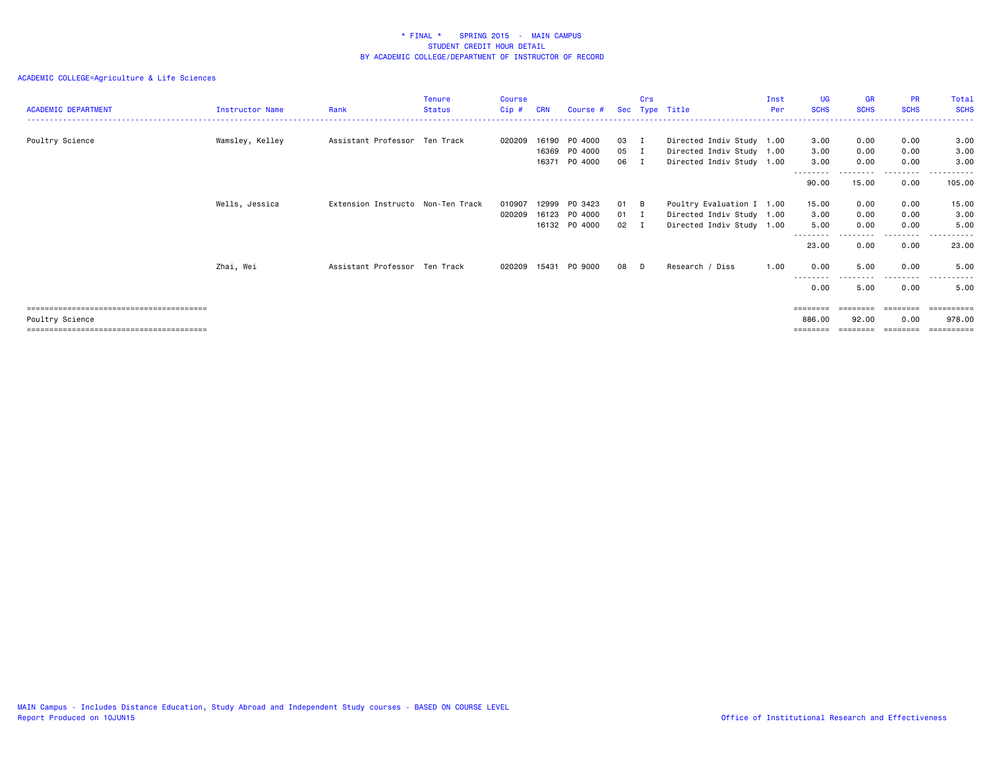| <b>ACADEMIC DEPARTMENT</b> | Instructor Name | Rank                              | <b>Tenure</b><br><b>Status</b> | Course<br>Cip#   | CRN            | Course #           | Sec          | Crs            | Type Title                                             | Inst<br>Per | UG<br><b>SCHS</b>        | <b>GR</b><br><b>SCHS</b>  | <b>PR</b><br><b>SCHS</b> | Total<br><b>SCHS</b> |
|----------------------------|-----------------|-----------------------------------|--------------------------------|------------------|----------------|--------------------|--------------|----------------|--------------------------------------------------------|-------------|--------------------------|---------------------------|--------------------------|----------------------|
| Poultry Science            | Wamsley, Kelley | Assistant Professor Ten Track     |                                | 020209           | 16190          | PO 4000            | 03           | $\blacksquare$ | Directed Indiv Study 1.00                              |             | 3.00                     | 0.00                      | 0.00                     | 3.00                 |
|                            |                 |                                   |                                |                  | 16369<br>16371 | PO 4000<br>PO 4000 | 05 I<br>06 I |                | Directed Indiv Study 1.00<br>Directed Indiv Study 1.00 |             | 3.00<br>3.00<br>-------- | 0.00<br>0.00<br>--------- | 0.00<br>0.00<br>.        | 3.00<br>3,00<br>.    |
|                            |                 |                                   |                                |                  |                |                    |              |                |                                                        |             | 90.00                    | 15.00                     | 0.00                     | 105.00               |
|                            | Wells, Jessica  | Extension Instructo Non-Ten Track |                                | 010907<br>020209 | 12999<br>16123 | PO 3423<br>PO 4000 | 01<br>01     | B<br>п         | Poultry Evaluation I 1.00<br>Directed Indiv Study 1.00 |             | 15.00<br>3.00            | 0.00<br>0.00              | 0.00<br>0.00             | 15.00<br>3.00        |
|                            |                 |                                   |                                |                  |                | 16132 PO 4000      | 02 I         |                | Directed Indiv Study 1.00                              |             | 5.00<br>---------        | 0.00                      | 0.00<br>---------        | 5.00<br>.            |
|                            |                 |                                   |                                |                  |                |                    |              |                |                                                        |             | 23.00                    | 0.00                      | 0.00                     | 23.00                |
|                            | Zhai, Wei       | Assistant Professor Ten Track     |                                | 020209           | 15431          | PO 9000            | 08           | D              | Research / Diss                                        | 1.00        | 0.00<br>---------        | 5.00<br>--------          | 0.00<br>--------         | 5.00<br>.            |
|                            |                 |                                   |                                |                  |                |                    |              |                |                                                        |             | 0.00<br>========         | 5.00<br>========          | 0.00<br>========         | 5.00<br>=========    |
| Poultry Science            |                 |                                   |                                |                  |                |                    |              |                |                                                        |             | 886.00                   | 92.00                     | 0.00                     | 978,00<br>========== |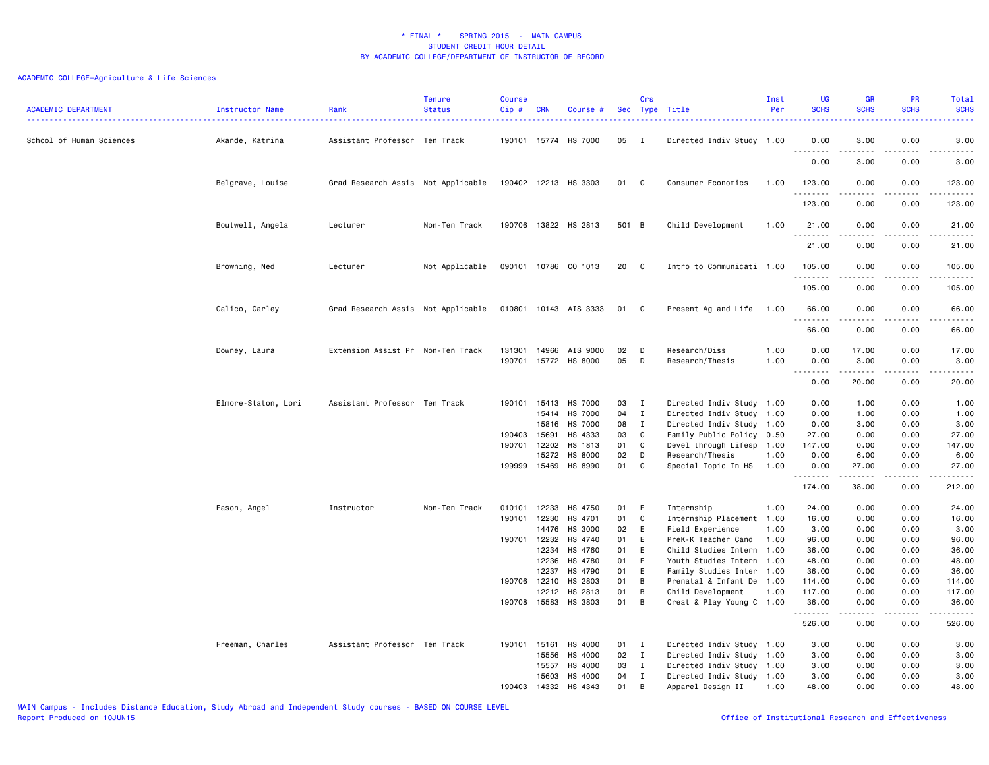| <b>ACADEMIC DEPARTMENT</b> | Instructor Name     | Rank                               | <b>Tenure</b><br><b>Status</b> | <b>Course</b><br>Cip# | <b>CRN</b>     | Course #                         |          | Crs              | Sec Type Title                                         | Inst<br>Per | <b>UG</b><br><b>SCHS</b> | <b>GR</b><br><b>SCHS</b>                                                                                                                             | PR<br><b>SCHS</b>            | Total<br><b>SCHS</b><br>. |
|----------------------------|---------------------|------------------------------------|--------------------------------|-----------------------|----------------|----------------------------------|----------|------------------|--------------------------------------------------------|-------------|--------------------------|------------------------------------------------------------------------------------------------------------------------------------------------------|------------------------------|---------------------------|
| School of Human Sciences   | Akande, Katrina     | Assistant Professor Ten Track      |                                |                       |                | 190101 15774 HS 7000             | 05       | $\mathbf{I}$     | Directed Indiv Study 1.00                              |             | 0.00<br><b></b>          | 3.00<br>-----                                                                                                                                        | 0.00<br>.                    | 3.00<br>.                 |
|                            |                     |                                    |                                |                       |                |                                  |          |                  |                                                        |             | 0.00                     | 3.00                                                                                                                                                 | 0.00                         | 3.00                      |
|                            | Belgrave, Louise    | Grad Research Assis Not Applicable |                                |                       |                | 190402 12213 HS 3303             | 01       | C                | Consumer Economics                                     | 1.00        | 123.00<br>.              | 0.00<br>.                                                                                                                                            | 0.00<br>.                    | 123.00<br><u>.</u>        |
|                            |                     |                                    |                                |                       |                |                                  |          |                  |                                                        |             | 123.00                   | 0.00                                                                                                                                                 | 0.00                         | 123.00                    |
|                            | Boutwell, Angela    | Lecturer                           | Non-Ten Track                  | 190706                |                | 13822 HS 2813                    | 501 B    |                  | Child Development                                      | 1.00        | 21.00<br>.               | 0.00<br>.                                                                                                                                            | 0.00<br>.                    | 21.00<br>------           |
|                            |                     |                                    |                                |                       |                |                                  |          |                  |                                                        |             | 21.00                    | 0.00                                                                                                                                                 | 0.00                         | 21.00                     |
|                            | Browning, Ned       | Lecturer                           | Not Applicable                 |                       |                | 090101 10786 CO 1013             | 20       | C                | Intro to Communicati 1.00                              |             | 105.00<br>.              | 0.00                                                                                                                                                 | 0.00                         | 105.00<br>.               |
|                            |                     |                                    |                                |                       |                |                                  |          |                  |                                                        |             | 105.00                   | 0.00                                                                                                                                                 | 0.00                         | 105.00                    |
|                            | Calico, Carley      | Grad Research Assis Not Applicable |                                |                       |                | 010801 10143 AIS 3333            | 01       | C                | Present Ag and Life                                    | 1.00        | 66.00<br>.               | 0.00                                                                                                                                                 | 0.00                         | 66.00<br>.                |
|                            |                     |                                    |                                |                       |                |                                  |          |                  |                                                        |             | 66.00                    | 0.00                                                                                                                                                 | 0.00                         | 66.00                     |
|                            | Downey, Laura       | Extension Assist Pr Non-Ten Track  |                                | 131301                | 14966          | AIS 9000<br>HS 8000              | 02<br>05 | D<br>D           | Research/Diss<br>Research/Thesis                       | 1.00        | 0.00                     | 17.00<br>3.00                                                                                                                                        | 0.00                         | 17.00                     |
|                            |                     |                                    |                                | 190701                | 15772          |                                  |          |                  |                                                        | 1.00        | 0.00<br>.<br>$- - -$     | $\frac{1}{2} \left( \frac{1}{2} \right) \left( \frac{1}{2} \right) \left( \frac{1}{2} \right) \left( \frac{1}{2} \right) \left( \frac{1}{2} \right)$ | 0.00<br>.                    | 3.00<br>د د د د د         |
|                            |                     |                                    |                                |                       |                |                                  |          |                  |                                                        |             | 0.00                     | 20.00                                                                                                                                                | 0.00                         | 20.00                     |
|                            | Elmore-Staton, Lori | Assistant Professor Ten Track      |                                | 190101                | 15413          | HS 7000                          | 03       | $\mathbf I$      | Directed Indiv Study 1.00                              |             | 0.00                     | 1.00                                                                                                                                                 | 0.00                         | 1.00                      |
|                            |                     |                                    |                                |                       | 15414<br>15816 | <b>HS 7000</b><br><b>HS 7000</b> | 04<br>08 | $\mathbf I$<br>I | Directed Indiv Study 1.00<br>Directed Indiv Study 1.00 |             | 0.00<br>0.00             | 1.00<br>3.00                                                                                                                                         | 0.00<br>0.00                 | 1.00<br>3.00              |
|                            |                     |                                    |                                | 190403                | 15691          | HS 4333                          | 03       | C                | Family Public Policy 0.50                              |             | 27.00                    | 0.00                                                                                                                                                 | 0.00                         | 27.00                     |
|                            |                     |                                    |                                | 190701                | 12202          | HS 1813                          | 01       | C                | Devel through Lifesp 1.00                              |             | 147.00                   | 0.00                                                                                                                                                 | 0.00                         | 147.00                    |
|                            |                     |                                    |                                |                       | 15272          | HS 8000                          | 02       | D                | Research/Thesis                                        | 1.00        | 0.00                     | 6.00                                                                                                                                                 | 0.00                         | 6.00                      |
|                            |                     |                                    |                                | 199999 15469          |                | HS 8990                          | 01       | C                | Special Topic In HS                                    | 1.00        | 0.00<br>.                | 27.00<br>$- - - - -$                                                                                                                                 | 0.00<br>$\cdots$             | 27.00<br>.                |
|                            |                     |                                    |                                |                       |                |                                  |          |                  |                                                        |             | 174.00                   | 38.00                                                                                                                                                | 0.00                         | 212.00                    |
|                            | Fason, Angel        | Instructor                         | Non-Ten Track                  | 010101                | 12233          | HS 4750                          | 01       | E                | Internship                                             | 1.00        | 24.00                    | 0.00                                                                                                                                                 | 0.00                         | 24.00                     |
|                            |                     |                                    |                                | 190101 12230          |                | HS 4701                          | 01       | C                | Internship Placement 1.00                              |             | 16.00                    | 0.00                                                                                                                                                 | 0.00                         | 16.00                     |
|                            |                     |                                    |                                |                       | 14476          | HS 3000                          | 02       | Ε                | Field Experience                                       | 1.00        | 3.00                     | 0.00                                                                                                                                                 | 0.00                         | 3.00                      |
|                            |                     |                                    |                                |                       | 190701 12232   | HS 4740                          | 01       | E                | PreK-K Teacher Cand                                    | 1.00        | 96.00                    | 0.00                                                                                                                                                 | 0.00                         | 96.00                     |
|                            |                     |                                    |                                |                       | 12234          | HS 4760                          | 01       | E                | Child Studies Intern 1.00                              |             | 36.00                    | 0.00                                                                                                                                                 | 0.00                         | 36.00                     |
|                            |                     |                                    |                                |                       | 12236          | HS 4780                          | 01       | E                | Youth Studies Intern 1.00                              |             | 48.00                    | 0.00                                                                                                                                                 | 0.00                         | 48.00                     |
|                            |                     |                                    |                                |                       | 12237          | HS 4790                          | 01       | Ε                | Family Studies Inter 1.00                              |             | 36.00                    | 0.00                                                                                                                                                 | 0.00                         | 36.00                     |
|                            |                     |                                    |                                | 190706 12210          |                | HS 2803                          | 01       | B                | Prenatal & Infant De 1.00                              |             | 114.00                   | 0.00                                                                                                                                                 | 0.00                         | 114.00                    |
|                            |                     |                                    |                                |                       | 12212          | HS 2813                          | 01       | B                | Child Development                                      | 1.00        | 117.00                   | 0.00                                                                                                                                                 | 0.00                         | 117.00                    |
|                            |                     |                                    |                                | 190708 15583          |                | HS 3803                          | 01       | B                | Creat & Play Young C 1.00                              |             | 36.00<br>.               | 0.00                                                                                                                                                 | 0.00<br>$\sim$ $\sim$ $\sim$ | 36.00<br>.                |
|                            |                     |                                    |                                |                       |                |                                  |          |                  |                                                        |             | 526.00                   | 0.00                                                                                                                                                 | 0.00                         | 526.00                    |
|                            | Freeman, Charles    | Assistant Professor Ten Track      |                                | 190101 15161          |                | HS 4000                          | 01       | $\mathbf{I}$     | Directed Indiv Study 1.00                              |             | 3.00                     | 0.00                                                                                                                                                 | 0.00                         | 3.00                      |
|                            |                     |                                    |                                |                       | 15556          | HS 4000                          | 02       | $\mathbf{I}$     | Directed Indiv Study 1.00                              |             | 3.00                     | 0.00                                                                                                                                                 | 0.00                         | 3.00                      |
|                            |                     |                                    |                                |                       | 15557          | HS 4000                          | 03       | $\mathbf{I}$     | Directed Indiv Study 1.00                              |             | 3.00                     | 0.00                                                                                                                                                 | 0.00                         | 3.00                      |
|                            |                     |                                    |                                |                       | 15603          | HS 4000                          | 04       | $\mathbf{I}$     | Directed Indiv Study 1.00                              |             | 3.00                     | 0.00                                                                                                                                                 | 0.00                         | 3.00                      |
|                            |                     |                                    |                                | 190403                | 14332          | HS 4343                          | 01       | B                | Apparel Design II                                      | 1.00        | 48.00                    | 0.00                                                                                                                                                 | 0.00                         | 48.00                     |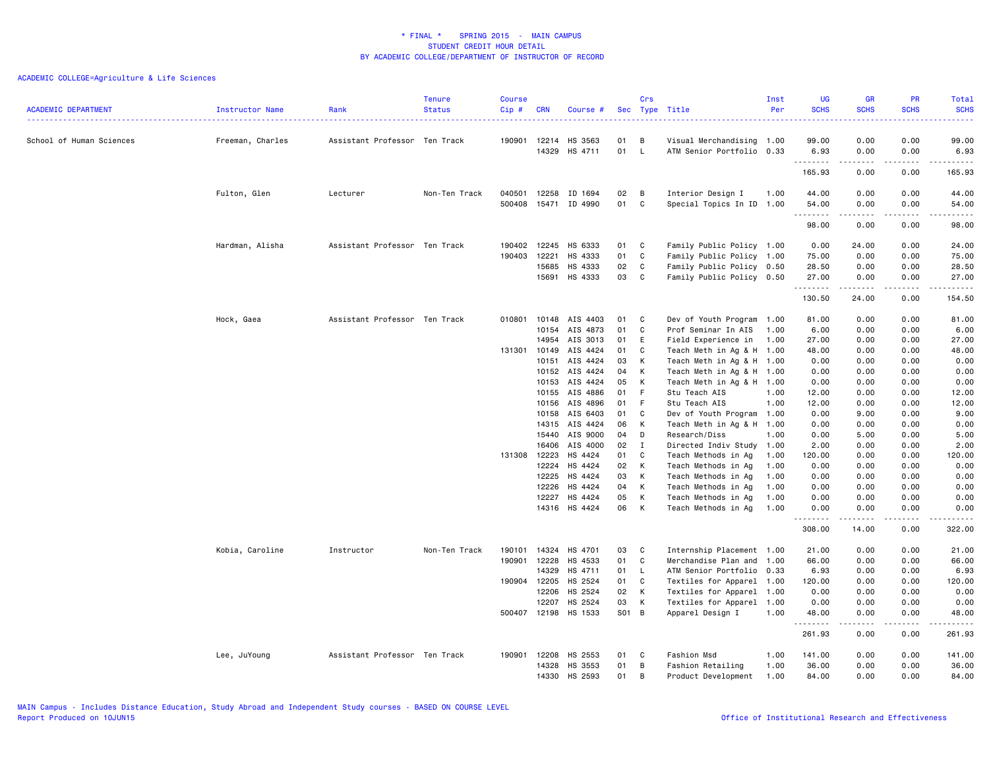|                            |                      |                               | <b>Tenure</b> | <b>Course</b> |            |               |       | Crs          |                           | Inst | <b>UG</b>        | GR                                                                                                                                                           | PR                                  | Total                |
|----------------------------|----------------------|-------------------------------|---------------|---------------|------------|---------------|-------|--------------|---------------------------|------|------------------|--------------------------------------------------------------------------------------------------------------------------------------------------------------|-------------------------------------|----------------------|
| <b>ACADEMIC DEPARTMENT</b> | Instructor Name<br>. | Rank                          | <b>Status</b> | Cip#          | <b>CRN</b> | Course #      |       |              | Sec Type Title            | Per  | <b>SCHS</b>      | <b>SCHS</b>                                                                                                                                                  | <b>SCHS</b>                         | <b>SCHS</b><br>22222 |
|                            |                      |                               |               |               |            |               |       |              |                           |      |                  |                                                                                                                                                              |                                     |                      |
| School of Human Sciences   | Freeman, Charles     | Assistant Professor Ten Track |               | 190901        | 12214      | HS 3563       | 01    | B            | Visual Merchandising      | 1.00 | 99.00            | 0.00                                                                                                                                                         | 0.00                                | 99.00                |
|                            |                      |                               |               |               | 14329      | HS 4711       | 01    | $\mathsf{L}$ | ATM Senior Portfolio 0.33 |      | 6.93<br><u>.</u> | 0.00<br>$\frac{1}{2} \left( \frac{1}{2} \right) \left( \frac{1}{2} \right) \left( \frac{1}{2} \right) \left( \frac{1}{2} \right) \left( \frac{1}{2} \right)$ | 0.00<br>.                           | 6.93<br>.            |
|                            |                      |                               |               |               |            |               |       |              |                           |      | 165.93           | 0.00                                                                                                                                                         | 0.00                                | 165.93               |
|                            | Fulton, Glen         | Lecturer                      | Non-Ten Track | 040501        | 12258      | ID 1694       | 02    | B            | Interior Design I         | 1.00 | 44.00            | 0.00                                                                                                                                                         | 0.00                                | 44.00                |
|                            |                      |                               |               | 500408        |            | 15471 ID 4990 | 01    | C            | Special Topics In ID 1.00 |      | 54.00            | 0.00                                                                                                                                                         | 0.00                                | 54.00                |
|                            |                      |                               |               |               |            |               |       |              |                           |      | .                | $- - - - -$                                                                                                                                                  | .                                   | .                    |
|                            |                      |                               |               |               |            |               |       |              |                           |      | 98.00            | 0.00                                                                                                                                                         | 0.00                                | 98.00                |
|                            | Hardman, Alisha      | Assistant Professor Ten Track |               | 190402        | 12245      | HS 6333       | 01    | C            | Family Public Policy 1.00 |      | 0.00             | 24.00                                                                                                                                                        | 0.00                                | 24.00                |
|                            |                      |                               |               | 190403        | 12221      | HS 4333       | 01    | C            | Family Public Policy 1.00 |      | 75.00            | 0.00                                                                                                                                                         | 0.00                                | 75.00                |
|                            |                      |                               |               |               | 15685      | HS 4333       | 02    | C            | Family Public Policy 0.50 |      | 28.50            | 0.00                                                                                                                                                         | 0.00                                | 28.50                |
|                            |                      |                               |               |               | 15691      | HS 4333       | 03    | C            | Family Public Policy 0.50 |      | 27.00            | 0.00                                                                                                                                                         | 0.00                                | 27.00                |
|                            |                      |                               |               |               |            |               |       |              |                           |      | .<br>130.50      | .<br>24.00                                                                                                                                                   | .<br>0.00                           | .<br>154.50          |
|                            | Hock, Gaea           | Assistant Professor Ten Track |               | 010801        | 10148      | AIS 4403      | 01    | C            | Dev of Youth Program 1.00 |      | 81.00            | 0.00                                                                                                                                                         | 0.00                                | 81.00                |
|                            |                      |                               |               |               | 10154      | AIS 4873      | 01    | C            | Prof Seminar In AIS       | 1.00 | 6.00             | 0.00                                                                                                                                                         | 0.00                                | 6.00                 |
|                            |                      |                               |               |               | 14954      | AIS 3013      | 01    | E            | Field Experience in       | 1.00 | 27.00            | 0.00                                                                                                                                                         | 0.00                                | 27.00                |
|                            |                      |                               |               | 131301        | 10149      | AIS 4424      | 01    | C            | Teach Meth in Ag & H 1.00 |      | 48.00            | 0.00                                                                                                                                                         | 0.00                                | 48.00                |
|                            |                      |                               |               |               | 10151      | AIS 4424      | 03    | К            | Teach Meth in Ag & H 1.00 |      | 0.00             | 0.00                                                                                                                                                         | 0.00                                | 0.00                 |
|                            |                      |                               |               |               | 10152      | AIS 4424      | 04    | K            | Teach Meth in Ag & H 1.00 |      | 0.00             | 0.00                                                                                                                                                         | 0.00                                | 0.00                 |
|                            |                      |                               |               |               | 10153      | AIS 4424      | 05    | К            | Teach Meth in Ag & H 1.00 |      | 0.00             | 0.00                                                                                                                                                         | 0.00                                | 0.00                 |
|                            |                      |                               |               |               | 10155      | AIS 4886      | 01    | F            | Stu Teach AIS             | 1.00 | 12.00            | 0.00                                                                                                                                                         | 0.00                                | 12.00                |
|                            |                      |                               |               |               | 10156      | AIS 4896      | 01    | F            | Stu Teach AIS             | 1.00 | 12.00            | 0.00                                                                                                                                                         | 0.00                                | 12.00                |
|                            |                      |                               |               |               | 10158      | AIS 6403      | 01    | C            | Dev of Youth Program 1.00 |      | 0.00             | 9.00                                                                                                                                                         | 0.00                                | 9.00                 |
|                            |                      |                               |               |               | 14315      | AIS 4424      | 06    | K            | Teach Meth in Ag & H 1.00 |      | 0.00             | 0.00                                                                                                                                                         | 0.00                                | 0.00                 |
|                            |                      |                               |               |               | 15440      | AIS 9000      | 04    | D            | Research/Diss             | 1.00 | 0.00             | 5.00                                                                                                                                                         | 0.00                                | 5.00                 |
|                            |                      |                               |               |               | 16406      | AIS 4000      | 02    | $\bf{I}$     | Directed Indiv Study 1.00 |      | 2.00             | 0.00                                                                                                                                                         | 0.00                                | 2.00                 |
|                            |                      |                               |               | 131308 12223  |            | HS 4424       | 01    | C            | Teach Methods in Ag       | 1.00 | 120.00           | 0.00                                                                                                                                                         | 0.00                                | 120.00               |
|                            |                      |                               |               |               | 12224      | HS 4424       | 02    | К            | Teach Methods in Ag       | 1.00 | 0.00             | 0.00                                                                                                                                                         | 0.00                                | 0.00                 |
|                            |                      |                               |               |               | 12225      | HS 4424       | 03    | К            | Teach Methods in Ag       | 1.00 | 0.00             | 0.00                                                                                                                                                         | 0.00                                | 0.00                 |
|                            |                      |                               |               |               | 12226      | HS 4424       | 04    | К            | Teach Methods in Ag       | 1.00 | 0.00             | 0.00                                                                                                                                                         | 0.00                                | 0.00                 |
|                            |                      |                               |               |               | 12227      | HS 4424       | 05    | К            | Teach Methods in Ag       | 1.00 | 0.00             | 0.00                                                                                                                                                         | 0.00                                | 0.00                 |
|                            |                      |                               |               |               | 14316      | HS 4424       | 06    | K            | Teach Methods in Ag       | 1.00 | 0.00             | 0.00                                                                                                                                                         | 0.00                                | 0.00                 |
|                            |                      |                               |               |               |            |               |       |              |                           |      | .<br>308.00      | . <b>.</b> .<br>14.00                                                                                                                                        | .<br>0.00                           | .<br>322.00          |
|                            |                      |                               |               |               |            |               |       |              |                           |      |                  |                                                                                                                                                              |                                     |                      |
|                            | Kobia, Caroline      | Instructor                    | Non-Ten Track | 190101        | 14324      | HS 4701       | 03    | C            | Internship Placement 1.00 |      | 21.00            | 0.00                                                                                                                                                         | 0.00                                | 21.00                |
|                            |                      |                               |               | 190901        | 12228      | HS 4533       | 01    | $\mathbf{C}$ | Merchandise Plan and 1.00 |      | 66.00            | 0.00                                                                                                                                                         | 0.00                                | 66.00                |
|                            |                      |                               |               |               | 14329      | HS 4711       | 01    | L.           | ATM Senior Portfolio 0.33 |      | 6.93             | 0.00                                                                                                                                                         | 0.00                                | 6.93                 |
|                            |                      |                               |               | 190904 12205  |            | HS 2524       | 01    | C            | Textiles for Apparel 1.00 |      | 120.00           | 0.00                                                                                                                                                         | 0.00                                | 120.00               |
|                            |                      |                               |               |               | 12206      | HS 2524       | 02    | K            | Textiles for Apparel 1.00 |      | 0.00             | 0.00                                                                                                                                                         | 0.00                                | 0.00                 |
|                            |                      |                               |               |               | 12207      | HS 2524       | 03    | K            | Textiles for Apparel 1.00 |      | 0.00             | 0.00                                                                                                                                                         | 0.00                                | 0.00                 |
|                            |                      |                               |               | 500407 12198  |            | HS 1533       | S01 B |              | Apparel Design I          | 1.00 | 48.00<br>.       | 0.00<br>.                                                                                                                                                    | 0.00<br>$\sim$ $\sim$ $\sim$ $\sim$ | 48.00<br>.           |
|                            |                      |                               |               |               |            |               |       |              |                           |      | 261.93           | 0.00                                                                                                                                                         | 0.00                                | 261.93               |
|                            | Lee, JuYoung         | Assistant Professor Ten Track |               | 190901        | 12208      | HS 2553       | 01    | C            | Fashion Msd               | 1.00 | 141.00           | 0.00                                                                                                                                                         | 0.00                                | 141.00               |
|                            |                      |                               |               |               | 14328      | HS 3553       | 01    | B            | Fashion Retailing         | 1.00 | 36.00            | 0.00                                                                                                                                                         | 0.00                                | 36.00                |
|                            |                      |                               |               |               | 14330      | HS 2593       | 01    | B            | Product Development       | 1.00 | 84.00            | 0.00                                                                                                                                                         | 0.00                                | 84.00                |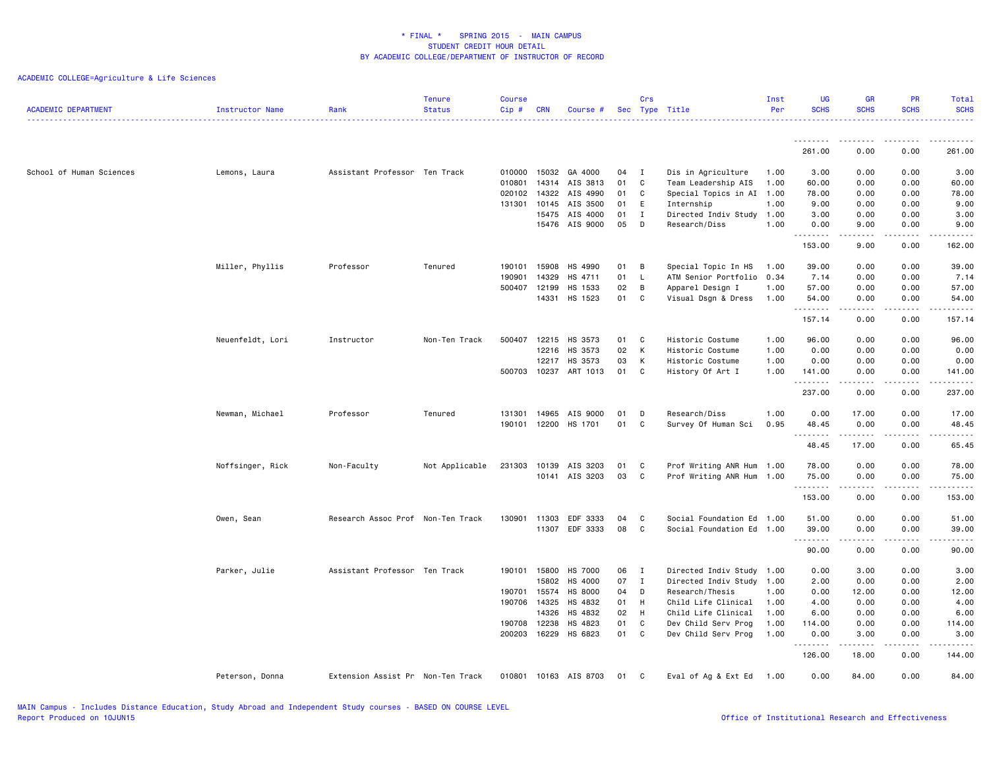| <b>ACADEMIC DEPARTMENT</b> | Instructor Name  | Rank                              | <b>Tenure</b><br><b>Status</b> | <b>Course</b><br>Cip# | <b>CRN</b>     | Course #            |          | Crs          | Sec Type Title            | Inst<br>Per | <b>UG</b><br><b>SCHS</b> | <b>GR</b><br><b>SCHS</b>                                                                                                                                     | <b>PR</b><br><b>SCHS</b>                                                                                                  | Total<br><b>SCHS</b>                                                                                                                                          |
|----------------------------|------------------|-----------------------------------|--------------------------------|-----------------------|----------------|---------------------|----------|--------------|---------------------------|-------------|--------------------------|--------------------------------------------------------------------------------------------------------------------------------------------------------------|---------------------------------------------------------------------------------------------------------------------------|---------------------------------------------------------------------------------------------------------------------------------------------------------------|
|                            |                  |                                   |                                |                       |                |                     |          |              |                           |             | --------                 | .                                                                                                                                                            | $\frac{1}{2} \left( \frac{1}{2} \right) \left( \frac{1}{2} \right) \left( \frac{1}{2} \right) \left( \frac{1}{2} \right)$ | . <b>.</b> .                                                                                                                                                  |
|                            |                  |                                   |                                |                       |                |                     |          |              |                           |             | 261.00                   | 0.00                                                                                                                                                         | 0.00                                                                                                                      | 261.00                                                                                                                                                        |
| School of Human Sciences   | Lemons, Laura    | Assistant Professor Ten Track     |                                | 010000                | 15032          | GA 4000             | 04       | I            | Dis in Agriculture        | 1.00        | 3.00                     | 0.00                                                                                                                                                         | 0.00                                                                                                                      | 3.00                                                                                                                                                          |
|                            |                  |                                   |                                | 010801                |                | 14314 AIS 3813      | 01       | C            | Team Leadership AIS       | 1.00        | 60.00                    | 0.00                                                                                                                                                         | 0.00                                                                                                                      | 60.00                                                                                                                                                         |
|                            |                  |                                   |                                | 020102                | 14322          | AIS 4990            | 01       | C            | Special Topics in AI 1.00 |             | 78.00                    | 0.00                                                                                                                                                         | 0.00                                                                                                                      | 78.00                                                                                                                                                         |
|                            |                  |                                   |                                | 131301                | 10145          | AIS 3500            | 01       | E            | Internship                | 1.00        | 9.00                     | 0.00                                                                                                                                                         | 0.00                                                                                                                      | 9.00                                                                                                                                                          |
|                            |                  |                                   |                                |                       | 15475          | AIS 4000            | 01       | I            | Directed Indiv Study 1.00 |             | 3.00                     | 0.00                                                                                                                                                         | 0.00                                                                                                                      | 3.00                                                                                                                                                          |
|                            |                  |                                   |                                |                       | 15476          | AIS 9000            | 05       | D            | Research/Diss             | 1.00        | 0.00<br>. <b>.</b>       | 9.00<br>.                                                                                                                                                    | 0.00<br>$\sim$ $\sim$ $\sim$ $\sim$                                                                                       | 9.00<br>$\sim$ $\sim$ $\sim$ $\sim$ $\sim$                                                                                                                    |
|                            |                  |                                   |                                |                       |                |                     |          |              |                           |             | 153.00                   | 9.00                                                                                                                                                         | 0.00                                                                                                                      | 162.00                                                                                                                                                        |
|                            | Miller, Phyllis  | Professor                         | Tenured                        | 190101                | 15908          | HS 4990             | 01       | B            | Special Topic In HS       | 1.00        | 39.00                    | 0.00                                                                                                                                                         | 0.00                                                                                                                      | 39.00                                                                                                                                                         |
|                            |                  |                                   |                                | 190901                | 14329          | HS 4711             | 01       | L.           | ATM Senior Portfolio 0.34 |             | 7.14                     | 0.00                                                                                                                                                         | 0.00                                                                                                                      | 7.14                                                                                                                                                          |
|                            |                  |                                   |                                | 500407                | 12199          | HS 1533             | 02       | B            | Apparel Design I          | 1.00        | 57.00                    | 0.00                                                                                                                                                         | 0.00                                                                                                                      | 57.00                                                                                                                                                         |
|                            |                  |                                   |                                |                       |                | 14331 HS 1523       | 01       | C            | Visual Dsgn & Dress       | 1.00        | 54.00<br>.               | 0.00<br>.                                                                                                                                                    | 0.00<br>د د د د                                                                                                           | 54.00<br>.                                                                                                                                                    |
|                            |                  |                                   |                                |                       |                |                     |          |              |                           |             | 157.14                   | 0.00                                                                                                                                                         | 0.00                                                                                                                      | 157.14                                                                                                                                                        |
|                            | Neuenfeldt, Lori | Instructor                        | Non-Ten Track                  | 500407                | 12215          | HS 3573             | 01       | <b>C</b>     | Historic Costume          | 1.00        | 96.00                    | 0.00                                                                                                                                                         | 0.00                                                                                                                      | 96.00                                                                                                                                                         |
|                            |                  |                                   |                                |                       | 12216          | HS 3573             | 02       | K            | Historic Costume          | 1.00        | 0.00                     | 0.00                                                                                                                                                         | 0.00                                                                                                                      | 0.00                                                                                                                                                          |
|                            |                  |                                   |                                |                       | 12217          | HS 3573             | 03       | K            | Historic Costume          | 1.00        | 0.00                     | 0.00                                                                                                                                                         | 0.00                                                                                                                      | 0.00                                                                                                                                                          |
|                            |                  |                                   |                                | 500703                | 10237          | ART 1013            | 01       | C            | History Of Art I          | 1.00        | 141.00                   | 0.00                                                                                                                                                         | 0.00                                                                                                                      | 141.00                                                                                                                                                        |
|                            |                  |                                   |                                |                       |                |                     |          |              |                           |             | .<br>237.00              | $\frac{1}{2} \left( \frac{1}{2} \right) \left( \frac{1}{2} \right) \left( \frac{1}{2} \right) \left( \frac{1}{2} \right) \left( \frac{1}{2} \right)$<br>0.00 | .<br>0.00                                                                                                                 | .<br>237.00                                                                                                                                                   |
|                            |                  |                                   |                                |                       |                |                     |          |              | Research/Diss             | 1.00        |                          |                                                                                                                                                              |                                                                                                                           |                                                                                                                                                               |
|                            | Newman, Michael  | Professor                         | Tenured                        | 131301<br>190101      | 14965<br>12200 | AIS 9000<br>HS 1701 | 01<br>01 | D<br>C       | Survey Of Human Sci       | 0.95        | 0.00<br>48.45            | 17.00<br>0.00                                                                                                                                                | 0.00<br>0.00                                                                                                              | 17.00<br>48.45                                                                                                                                                |
|                            |                  |                                   |                                |                       |                |                     |          |              |                           |             | .                        | $\frac{1}{2} \left( \frac{1}{2} \right) \left( \frac{1}{2} \right) \left( \frac{1}{2} \right) \left( \frac{1}{2} \right) \left( \frac{1}{2} \right)$         | $\sim$ $\sim$ $\sim$                                                                                                      | .                                                                                                                                                             |
|                            |                  |                                   |                                |                       |                |                     |          |              |                           |             | 48.45                    | 17.00                                                                                                                                                        | 0.00                                                                                                                      | 65.45                                                                                                                                                         |
|                            | Noffsinger, Rick | Non-Faculty                       | Not Applicable                 | 231303                | 10139          | AIS 3203            | 01       | C            | Prof Writing ANR Hum 1.00 |             | 78.00                    | 0.00                                                                                                                                                         | 0.00                                                                                                                      | 78.00                                                                                                                                                         |
|                            |                  |                                   |                                |                       |                | 10141 AIS 3203      | 03       | C.           | Prof Writing ANR Hum 1.00 |             | 75.00                    | 0.00                                                                                                                                                         | 0.00                                                                                                                      | 75.00                                                                                                                                                         |
|                            |                  |                                   |                                |                       |                |                     |          |              |                           |             | .<br>153.00              | $- - - - -$<br>0.00                                                                                                                                          | .<br>0.00                                                                                                                 | .<br>153.00                                                                                                                                                   |
|                            |                  |                                   |                                |                       |                |                     |          |              |                           |             |                          |                                                                                                                                                              |                                                                                                                           |                                                                                                                                                               |
|                            | Owen, Sean       | Research Assoc Prof Non-Ten Track |                                | 130901                | 11303          | EDF 3333            | 04       | C            | Social Foundation Ed 1.00 |             | 51.00                    | 0.00                                                                                                                                                         | 0.00                                                                                                                      | 51.00                                                                                                                                                         |
|                            |                  |                                   |                                |                       | 11307          | EDF 3333            | 08       | C            | Social Foundation Ed 1.00 |             | 39.00                    | 0.00                                                                                                                                                         | 0.00                                                                                                                      | 39.00                                                                                                                                                         |
|                            |                  |                                   |                                |                       |                |                     |          |              |                           |             | .<br>90.00               | .<br>0.00                                                                                                                                                    | د د د د<br>0.00                                                                                                           | $\frac{1}{2} \left( \frac{1}{2} \right) \left( \frac{1}{2} \right) \left( \frac{1}{2} \right) \left( \frac{1}{2} \right) \left( \frac{1}{2} \right)$<br>90.00 |
|                            | Parker, Julie    | Assistant Professor Ten Track     |                                | 190101                | 15800          | HS 7000             | 06       | $\mathbf{I}$ | Directed Indiv Study 1.00 |             | 0.00                     | 3.00                                                                                                                                                         | 0.00                                                                                                                      | 3.00                                                                                                                                                          |
|                            |                  |                                   |                                |                       | 15802          | HS 4000             | 07       | $\mathbf{I}$ | Directed Indiv Study 1.00 |             | 2.00                     | 0.00                                                                                                                                                         | 0.00                                                                                                                      | 2.00                                                                                                                                                          |
|                            |                  |                                   |                                | 190701                | 15574          | HS 8000             | 04       | D            | Research/Thesis           | 1.00        | 0.00                     | 12.00                                                                                                                                                        | 0.00                                                                                                                      | 12.00                                                                                                                                                         |
|                            |                  |                                   |                                | 190706                | 14325          | HS 4832             | 01       | H            | Child Life Clinical       | 1.00        | 4.00                     | 0.00                                                                                                                                                         | 0.00                                                                                                                      | 4.00                                                                                                                                                          |
|                            |                  |                                   |                                |                       | 14326          | HS 4832             | 02       | H            | Child Life Clinical       | 1.00        | 6.00                     | 0.00                                                                                                                                                         | 0.00                                                                                                                      | 6.00                                                                                                                                                          |
|                            |                  |                                   |                                | 190708                | 12238          | HS 4823             | 01       | C            | Dev Child Serv Prog       | 1.00        | 114.00                   | 0.00                                                                                                                                                         | 0.00                                                                                                                      | 114.00                                                                                                                                                        |
|                            |                  |                                   |                                | 200203                | 16229          | HS 6823             | 01       | C.           | Dev Child Serv Prog       | 1.00        | 0.00                     | 3.00                                                                                                                                                         | 0.00                                                                                                                      | 3.00                                                                                                                                                          |
|                            |                  |                                   |                                |                       |                |                     |          |              |                           |             | .<br>126.00              | <b>.</b> .<br>18.00                                                                                                                                          | .<br>0.00                                                                                                                 | 144.00                                                                                                                                                        |
|                            |                  |                                   |                                |                       |                |                     |          |              |                           |             |                          |                                                                                                                                                              |                                                                                                                           |                                                                                                                                                               |
|                            | Peterson, Donna  | Extension Assist Pr Non-Ten Track |                                | 010801                |                | 10163 AIS 8703      | 01       | C            | Eval of Ag & Ext Ed 1.00  |             | 0.00                     | 84.00                                                                                                                                                        | 0.00                                                                                                                      | 84.00                                                                                                                                                         |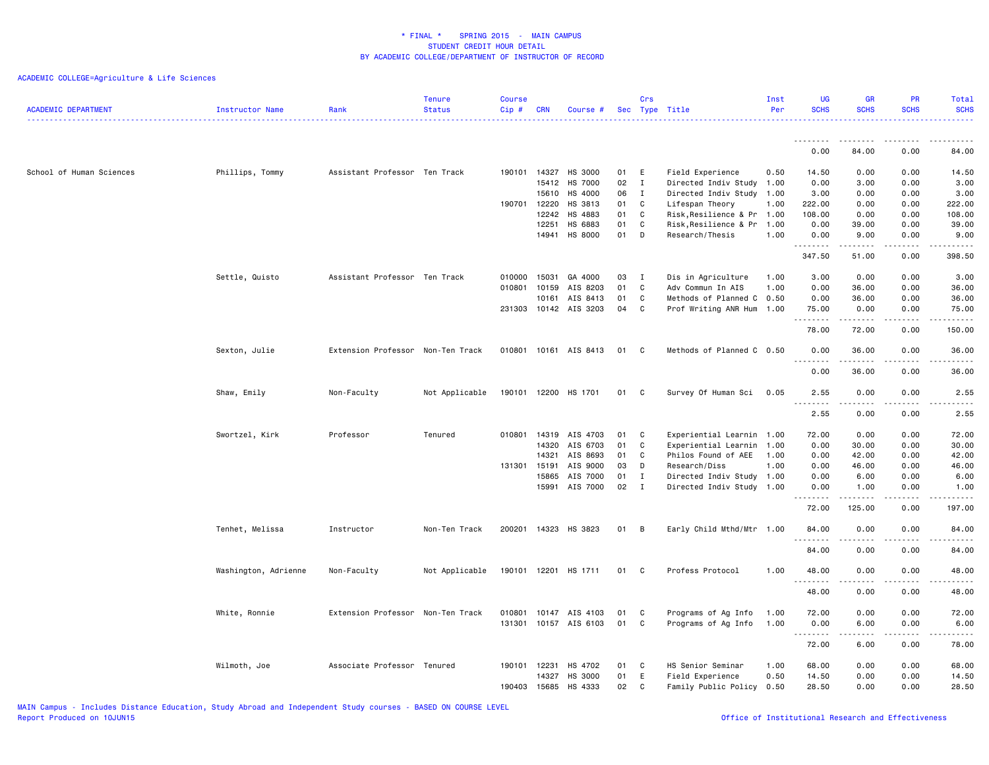| <b>ACADEMIC DEPARTMENT</b> | Instructor Name      | Rank                              | <b>Tenure</b><br><b>Status</b> | <b>Course</b><br>$Cip$ # | <b>CRN</b>     | Course #              |          | Crs          | Sec Type Title                                | Inst<br>Per | <b>UG</b><br><b>SCHS</b>           | GR<br><b>SCHS</b> | PR<br><b>SCHS</b>                   | Total<br><b>SCHS</b>                                                                                                                                          |
|----------------------------|----------------------|-----------------------------------|--------------------------------|--------------------------|----------------|-----------------------|----------|--------------|-----------------------------------------------|-------------|------------------------------------|-------------------|-------------------------------------|---------------------------------------------------------------------------------------------------------------------------------------------------------------|
|                            |                      |                                   |                                |                          |                |                       |          |              |                                               |             | .<br>0.00                          | 84.00             | 0.00                                | 84.00                                                                                                                                                         |
|                            |                      |                                   |                                |                          |                |                       |          |              |                                               |             |                                    |                   |                                     |                                                                                                                                                               |
| School of Human Sciences   | Phillips, Tommy      | Assistant Professor Ten Track     |                                | 190101                   | 14327          | HS 3000               | 01       | Ε            | Field Experience                              | 0.50        | 14.50                              | 0.00              | 0.00                                | 14.50                                                                                                                                                         |
|                            |                      |                                   |                                |                          | 15412          | HS 7000               | 02       | $\mathbf{I}$ | Directed Indiv Study 1.00                     |             | 0.00                               | 3.00              | 0.00                                | 3.00                                                                                                                                                          |
|                            |                      |                                   |                                |                          | 15610          | HS 4000               | 06       | $\mathbf{I}$ | Directed Indiv Study 1.00                     |             | 3.00                               | 0.00              | 0.00                                | 3.00                                                                                                                                                          |
|                            |                      |                                   |                                | 190701                   | 12220<br>12242 | HS 3813<br>HS 4883    | 01<br>01 | C<br>C       | Lifespan Theory<br>Risk, Resilience & Pr 1.00 | 1.00        | 222.00<br>108.00                   | 0.00<br>0.00      | 0.00<br>0.00                        | 222.00<br>108.00                                                                                                                                              |
|                            |                      |                                   |                                |                          | 12251          | HS 6883               | 01       | $\mathbf c$  | Risk,Resilience & Pr                          | 1.00        | 0.00                               | 39.00             | 0.00                                | 39.00                                                                                                                                                         |
|                            |                      |                                   |                                |                          | 14941          | HS 8000               | 01       | D            | Research/Thesis                               | 1.00        | 0.00                               | 9.00              | 0.00                                | 9.00                                                                                                                                                          |
|                            |                      |                                   |                                |                          |                |                       |          |              |                                               |             |                                    |                   |                                     |                                                                                                                                                               |
|                            |                      |                                   |                                |                          |                |                       |          |              |                                               |             | 347.50                             | 51.00             | 0.00                                | 398.50                                                                                                                                                        |
|                            | Settle, Quisto       | Assistant Professor Ten Track     |                                | 010000                   | 15031          | GA 4000               | 03       | $\mathbf{I}$ | Dis in Agriculture                            | 1.00        | 3.00                               | 0.00              | 0.00                                | 3.00                                                                                                                                                          |
|                            |                      |                                   |                                | 010801                   | 10159          | AIS 8203              | 01       | C            | Adv Commun In AIS                             | 1.00        | 0.00                               | 36.00             | 0.00                                | 36.00                                                                                                                                                         |
|                            |                      |                                   |                                |                          | 10161          | AIS 8413              | 01       | C            | Methods of Planned C                          | 0.50        | 0.00                               | 36.00             | 0.00                                | 36.00                                                                                                                                                         |
|                            |                      |                                   |                                |                          |                | 231303 10142 AIS 3203 | 04       | C            | Prof Writing ANR Hum 1.00                     |             | 75.00                              | 0.00              | 0.00                                | 75.00                                                                                                                                                         |
|                            |                      |                                   |                                |                          |                |                       |          |              |                                               |             | .<br>78.00                         | .<br>72.00        | 0.00                                | .<br>150.00                                                                                                                                                   |
|                            | Sexton, Julie        | Extension Professor Non-Ten Track |                                | 010801                   |                | 10161 AIS 8413        | 01       | $\mathbf{C}$ | Methods of Planned C 0.50                     |             | 0.00                               | 36.00             | 0.00                                | 36.00                                                                                                                                                         |
|                            |                      |                                   |                                |                          |                |                       |          |              |                                               |             | .<br>0.00                          | 36.00             | $\sim$ $\sim$ $\sim$ $\sim$<br>0.00 | $\sim$ $\sim$ $\sim$ $\sim$ $\sim$<br>36.00                                                                                                                   |
|                            | Shaw, Emily          | Non-Faculty                       | Not Applicable                 | 190101                   |                | 12200 HS 1701         | 01       | C            | Survey Of Human Sci                           | 0.05        | 2.55<br>د د د د<br>$\sim$ $\sim$ . | 0.00<br>.         | 0.00<br>د د د د                     | 2.55<br>.                                                                                                                                                     |
|                            |                      |                                   |                                |                          |                |                       |          |              |                                               |             | 2.55                               | 0.00              | 0.00                                | 2.55                                                                                                                                                          |
|                            | Swortzel, Kirk       | Professor                         | Tenured                        | 010801                   | 14319          | AIS 4703              | 01       | C            | Experiential Learnin                          | 1.00        | 72.00                              | 0.00              | 0.00                                | 72.00                                                                                                                                                         |
|                            |                      |                                   |                                |                          | 14320          | AIS 6703              | 01       | C            | Experiential Learnin                          | 1.00        | 0.00                               | 30.00             | 0.00                                | 30.00                                                                                                                                                         |
|                            |                      |                                   |                                |                          | 14321          | AIS 8693              | 01       | C            | Philos Found of AEE                           | 1.00        | 0.00                               | 42.00             | 0.00                                | 42.00                                                                                                                                                         |
|                            |                      |                                   |                                | 131301 15191             |                | AIS 9000              | 03       | D            | Research/Diss                                 | 1.00        | 0.00                               | 46.00             | 0.00                                | 46.00                                                                                                                                                         |
|                            |                      |                                   |                                |                          | 15865          | AIS 7000              | 01       | $\mathbf{I}$ | Directed Indiv Study 1.00                     |             | 0.00                               | 6.00              | 0.00                                | 6.00                                                                                                                                                          |
|                            |                      |                                   |                                |                          | 15991          | AIS 7000              | 02       | $\mathbf{I}$ | Directed Indiv Study 1.00                     |             | 0.00                               | 1.00              | 0.00                                | 1.00                                                                                                                                                          |
|                            |                      |                                   |                                |                          |                |                       |          |              |                                               |             | 72.00                              | 125.00            | 0.00                                | 197.00                                                                                                                                                        |
|                            | Tenhet, Melissa      | Instructor                        | Non-Ten Track                  | 200201                   |                | 14323 HS 3823         | 01       | $\,$ B       | Early Child Mthd/Mtr 1.00                     |             | 84.00<br>.                         | 0.00              | 0.00<br>.                           | 84.00<br>.                                                                                                                                                    |
|                            |                      |                                   |                                |                          |                |                       |          |              |                                               |             | 84.00                              | 0.00              | 0.00                                | 84.00                                                                                                                                                         |
|                            | Washington, Adrienne | Non-Faculty                       | Not Applicable                 | 190101                   | 12201          | HS 1711               | 01       | C.           | Profess Protocol                              | 1.00        | 48.00<br>.                         | 0.00              | 0.00<br>$\sim$ $\sim$ $\sim$ $\sim$ | 48.00<br>$\frac{1}{2} \left( \frac{1}{2} \right) \left( \frac{1}{2} \right) \left( \frac{1}{2} \right) \left( \frac{1}{2} \right) \left( \frac{1}{2} \right)$ |
|                            |                      |                                   |                                |                          |                |                       |          |              |                                               |             | 48.00                              | 0.00              | 0.00                                | 48.00                                                                                                                                                         |
|                            | White, Ronnie        | Extension Professor Non-Ten Track |                                | 010801                   | 10147          | AIS 4103              | 01       | C.           | Programs of Ag Info                           | 1.00        | 72.00                              | 0.00              | 0.00                                | 72.00                                                                                                                                                         |
|                            |                      |                                   |                                | 131301                   |                | 10157 AIS 6103        | 01       | C            | Programs of Ag Info                           | 1.00        | 0.00                               | 6.00              | 0.00                                | 6.00                                                                                                                                                          |
|                            |                      |                                   |                                |                          |                |                       |          |              |                                               |             | <u> - - - - - - - -</u><br>72.00   | 6.00              | ----<br>0.00                        | -----<br>78.00                                                                                                                                                |
|                            | Wilmoth, Joe         | Associate Professor Tenured       |                                | 190101                   | 12231          | HS 4702               | 01       | C            | HS Senior Seminar                             | 1.00        | 68.00                              | 0.00              | 0.00                                | 68.00                                                                                                                                                         |
|                            |                      |                                   |                                |                          | 14327          | HS 3000               | 01       | Ε            | Field Experience                              | 0.50        | 14.50                              | 0.00              | 0.00                                | 14.50                                                                                                                                                         |
|                            |                      |                                   |                                | 190403                   | 15685          | HS 4333               | 02       | C            | Family Public Policy 0.50                     |             | 28.50                              | 0.00              | 0.00                                | 28.50                                                                                                                                                         |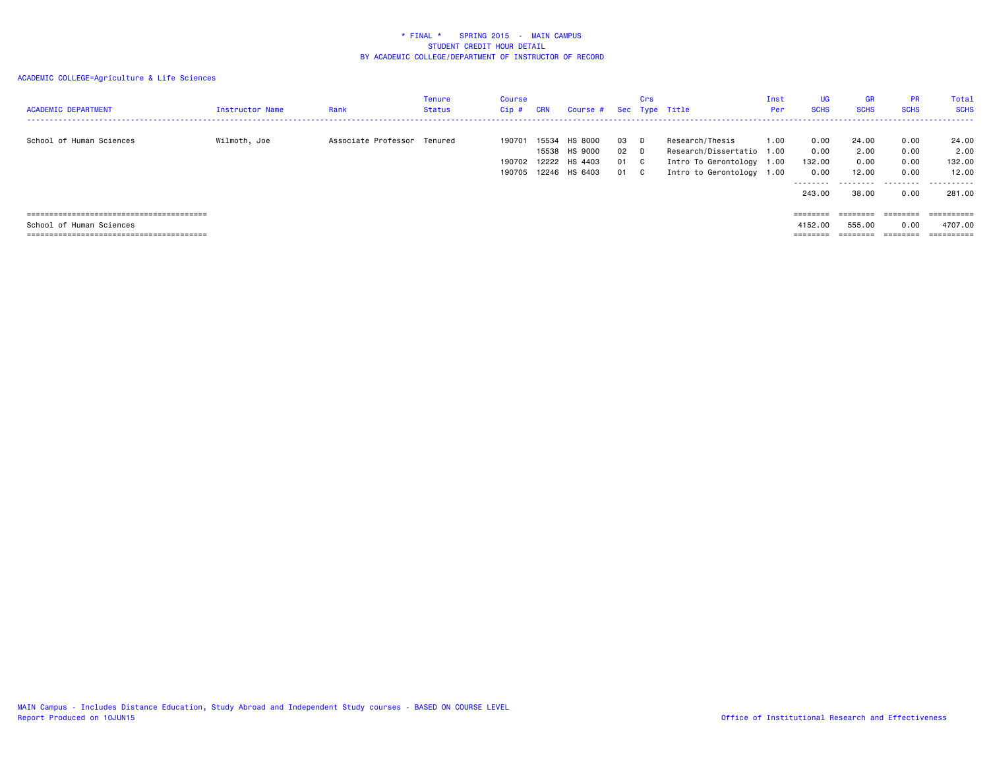| <b>ACADEMIC DEPARTMENT</b> | <b>Instructor Name</b> | Rank                        | Tenure<br>Status | Course<br>$Cip$ #          | <b>CRN</b>              | Course #                                       |                          | Crs        | Sec Type Title                                                                                         | Inst<br>Per | <b>UG</b><br><b>SCHS</b>                              | <b>GR</b><br><b>SCHS</b>                     | <b>PR</b><br><b>SCHS</b>                  | Total<br><b>SCHS</b>                            |
|----------------------------|------------------------|-----------------------------|------------------|----------------------------|-------------------------|------------------------------------------------|--------------------------|------------|--------------------------------------------------------------------------------------------------------|-------------|-------------------------------------------------------|----------------------------------------------|-------------------------------------------|-------------------------------------------------|
| School of Human Sciences   | Wilmoth, Joe           | Associate Professor Tenured |                  | 190701<br>190702<br>190705 | 15534<br>15538<br>12222 | HS 8000<br>HS 9000<br>HS 4403<br>12246 HS 6403 | 03 D<br>02 D<br>01<br>01 | - C<br>- C | Research/Thesis<br>Research/Dissertatio 1.00<br>Intro To Gerontology 1.00<br>Intro to Gerontology 1.00 | 1.00        | 0.00<br>0.00<br>132.00<br>0.00<br>---------<br>243.00 | 24.00<br>2.00<br>0.00<br>12.00<br>.<br>38.00 | 0.00<br>0.00<br>0.00<br>0.00<br>.<br>0.00 | 24.00<br>2.00<br>132.00<br>12.00<br>.<br>281.00 |
|                            |                        |                             |                  |                            |                         |                                                |                          |            |                                                                                                        |             | $=$ = = = = = = =                                     | eeeeee                                       | ========                                  | ==========                                      |
| School of Human Sciences   |                        |                             |                  |                            |                         |                                                |                          |            |                                                                                                        |             | 4152.00                                               | 555.00                                       | 0.00                                      | 4707.00                                         |
|                            |                        |                             |                  |                            |                         |                                                |                          |            |                                                                                                        |             | ========                                              |                                              |                                           |                                                 |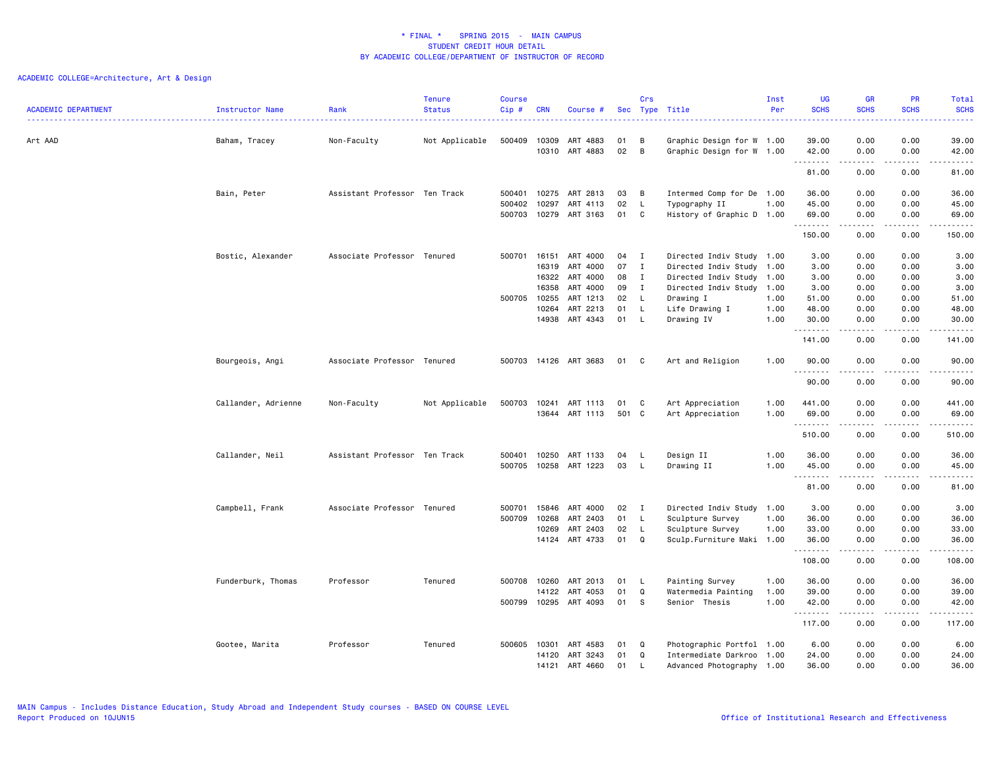| <b>ACADEMIC DEPARTMENT</b> | Instructor Name     | Rank                          | <b>Tenure</b><br><b>Status</b> | <b>Course</b><br>Cip# | <b>CRN</b>     | Course #             |          | Crs          | Sec Type Title                                         | Inst<br>Per | <b>UG</b><br><b>SCHS</b> | <b>GR</b><br><b>SCHS</b>                                                                                                                                     | PR<br><b>SCHS</b>    | Total<br><b>SCHS</b>                                                                                                                                          |
|----------------------------|---------------------|-------------------------------|--------------------------------|-----------------------|----------------|----------------------|----------|--------------|--------------------------------------------------------|-------------|--------------------------|--------------------------------------------------------------------------------------------------------------------------------------------------------------|----------------------|---------------------------------------------------------------------------------------------------------------------------------------------------------------|
| Art AAD                    | Baham, Tracey       | Non-Faculty                   | Not Applicable                 | 500409                | 10309<br>10310 | ART 4883<br>ART 4883 | 01<br>02 | B<br>B       | Graphic Design for W 1.00<br>Graphic Design for W 1.00 |             | 39.00<br>42.00           | 0.00<br>0.00                                                                                                                                                 | 0.00<br>0.00         | 39.00<br>42.00                                                                                                                                                |
|                            |                     |                               |                                |                       |                |                      |          |              |                                                        |             | .<br>81.00               | .<br>0.00                                                                                                                                                    | .<br>0.00            | .<br>81.00                                                                                                                                                    |
|                            | Bain, Peter         | Assistant Professor Ten Track |                                | 500401                | 10275          | ART 2813             | 03       | B            | Intermed Comp for De 1.00                              |             | 36.00                    | 0.00                                                                                                                                                         | 0.00                 | 36.00                                                                                                                                                         |
|                            |                     |                               |                                | 500402<br>500703      | 10297<br>10279 | ART 4113<br>ART 3163 | 02<br>01 | L<br>C       | Typography II<br>History of Graphic D 1.00             | 1.00        | 45.00<br>69.00           | 0.00<br>0.00                                                                                                                                                 | 0.00<br>0.00         | 45.00<br>69.00                                                                                                                                                |
|                            |                     |                               |                                |                       |                |                      |          |              |                                                        |             | .<br>150.00              | -----<br>0.00                                                                                                                                                | .<br>0.00            | .<br>150.00                                                                                                                                                   |
|                            | Bostic, Alexander   | Associate Professor Tenured   |                                | 500701 16151          |                | ART 4000             | 04       | I            | Directed Indiv Study 1.00                              |             | 3.00                     | 0.00                                                                                                                                                         | 0.00                 | 3.00                                                                                                                                                          |
|                            |                     |                               |                                |                       | 16319          | ART 4000             | 07       | $\bf{I}$     | Directed Indiv Study 1.00                              |             | 3.00                     | 0.00                                                                                                                                                         | 0.00                 | 3.00                                                                                                                                                          |
|                            |                     |                               |                                |                       | 16322          | ART 4000             | 08       | I            | Directed Indiv Study 1.00                              |             | 3.00                     | 0.00                                                                                                                                                         | 0.00                 | 3.00                                                                                                                                                          |
|                            |                     |                               |                                |                       | 16358          | ART 4000             | 09       | I            | Directed Indiv Study 1.00                              |             | 3.00                     | 0.00                                                                                                                                                         | 0.00                 | 3.00                                                                                                                                                          |
|                            |                     |                               |                                | 500705 10255          |                | ART 1213             | 02       | L.           | Drawing I                                              | 1.00        | 51.00                    | 0.00                                                                                                                                                         | 0.00                 | 51.00                                                                                                                                                         |
|                            |                     |                               |                                |                       | 10264          | ART 2213             | 01       | L.           | Life Drawing I                                         | 1.00        | 48.00                    | 0.00                                                                                                                                                         | 0.00                 | 48.00                                                                                                                                                         |
|                            |                     |                               |                                |                       |                | 14938 ART 4343       | 01       | L            | Drawing IV                                             | 1.00        | 30.00<br>.               | 0.00<br><u>.</u>                                                                                                                                             | 0.00<br>.            | 30.00<br>.                                                                                                                                                    |
|                            |                     |                               |                                |                       |                |                      |          |              |                                                        |             | 141.00                   | 0.00                                                                                                                                                         | 0.00                 | 141.00                                                                                                                                                        |
|                            | Bourgeois, Angi     | Associate Professor Tenured   |                                | 500703                |                | 14126 ART 3683       | 01       | C            | Art and Religion                                       | 1.00        | 90.00<br>.               | 0.00<br>.                                                                                                                                                    | 0.00<br>. <b>.</b> . | 90.00<br>.                                                                                                                                                    |
|                            |                     |                               |                                |                       |                |                      |          |              |                                                        |             | 90.00                    | 0.00                                                                                                                                                         | 0.00                 | 90.00                                                                                                                                                         |
|                            | Callander, Adrienne | Non-Faculty                   | Not Applicable                 | 500703                | 10241          | ART 1113             | 01       | C            | Art Appreciation                                       | 1.00        | 441.00                   | 0.00                                                                                                                                                         | 0.00                 | 441.00                                                                                                                                                        |
|                            |                     |                               |                                |                       | 13644          | ART 1113             | 501 C    |              | Art Appreciation                                       | 1.00        | 69.00                    | 0.00                                                                                                                                                         | 0.00                 | 69.00                                                                                                                                                         |
|                            |                     |                               |                                |                       |                |                      |          |              |                                                        |             | . <b>.</b>               | .                                                                                                                                                            | .                    | $- - - - - - -$                                                                                                                                               |
|                            |                     |                               |                                |                       |                |                      |          |              |                                                        |             | 510.00                   | 0.00                                                                                                                                                         | 0.00                 | 510.00                                                                                                                                                        |
|                            | Callander, Neil     | Assistant Professor Ten Track |                                | 500401                | 10250          | ART 1133             | 04       | L.           | Design II                                              | 1.00        | 36.00                    | 0.00                                                                                                                                                         | 0.00                 | 36.00                                                                                                                                                         |
|                            |                     |                               |                                | 500705                |                | 10258 ART 1223       | 03       | L.           | Drawing II                                             | 1.00        | 45.00<br>.               | 0.00<br>$\frac{1}{2} \left( \frac{1}{2} \right) \left( \frac{1}{2} \right) \left( \frac{1}{2} \right) \left( \frac{1}{2} \right) \left( \frac{1}{2} \right)$ | 0.00<br>.            | 45.00<br>$\frac{1}{2} \left( \frac{1}{2} \right) \left( \frac{1}{2} \right) \left( \frac{1}{2} \right) \left( \frac{1}{2} \right) \left( \frac{1}{2} \right)$ |
|                            |                     |                               |                                |                       |                |                      |          |              |                                                        |             | 81.00                    | 0.00                                                                                                                                                         | 0.00                 | 81.00                                                                                                                                                         |
|                            | Campbell, Frank     | Associate Professor Tenured   |                                | 500701                | 15846          | ART 4000             | 02       | I            | Directed Indiv Study 1.00                              |             | 3.00                     | 0.00                                                                                                                                                         | 0.00                 | 3.00                                                                                                                                                          |
|                            |                     |                               |                                | 500709                | 10268          | ART 2403             | 01       | L.           | Sculpture Survey                                       | 1.00        | 36.00                    | 0.00                                                                                                                                                         | 0.00                 | 36.00                                                                                                                                                         |
|                            |                     |                               |                                |                       | 10269          | ART 2403             | 02       | L.           | Sculpture Survey                                       | 1.00        | 33.00                    | 0.00                                                                                                                                                         | 0.00                 | 33.00                                                                                                                                                         |
|                            |                     |                               |                                |                       | 14124          | ART 4733             | 01       | Q            | Sculp.Furniture Maki 1.00                              |             | 36.00<br>.               | 0.00<br>.                                                                                                                                                    | 0.00<br>.            | 36.00<br>.                                                                                                                                                    |
|                            |                     |                               |                                |                       |                |                      |          |              |                                                        |             | 108.00                   | 0.00                                                                                                                                                         | 0.00                 | 108.00                                                                                                                                                        |
|                            | Funderburk, Thomas  | Professor                     | Tenured                        | 500708 10260          |                | ART 2013             | 01       | L.           | Painting Survey                                        | 1.00        | 36.00                    | 0.00                                                                                                                                                         | 0.00                 | 36.00                                                                                                                                                         |
|                            |                     |                               |                                |                       | 14122          | ART 4053             | 01       | $\mathsf Q$  | Watermedia Painting                                    | 1.00        | 39.00                    | 0.00                                                                                                                                                         | 0.00                 | 39.00                                                                                                                                                         |
|                            |                     |                               |                                | 500799                | 10295          | ART 4093             | 01       | s            | Senior Thesis                                          | 1.00        | 42.00<br>.               | 0.00<br>-----                                                                                                                                                | 0.00<br>.            | 42.00<br>.                                                                                                                                                    |
|                            |                     |                               |                                |                       |                |                      |          |              |                                                        |             | 117.00                   | 0.00                                                                                                                                                         | 0.00                 | 117.00                                                                                                                                                        |
|                            | Gootee, Marita      | Professor                     | Tenured                        | 500605                | 10301          | ART 4583             | 01       | $\Omega$     | Photographic Portfol 1.00                              |             | 6.00                     | 0.00                                                                                                                                                         | 0.00                 | 6.00                                                                                                                                                          |
|                            |                     |                               |                                |                       | 14120          | ART 3243             | 01       | Q            | Intermediate Darkroo 1.00                              |             | 24.00                    | 0.00                                                                                                                                                         | 0.00                 | 24.00                                                                                                                                                         |
|                            |                     |                               |                                |                       | 14121          | ART 4660             | 01       | $\mathbf{I}$ | Advanced Photography 1.00                              |             | 36.00                    | 0.00                                                                                                                                                         | 0.00                 | 36.00                                                                                                                                                         |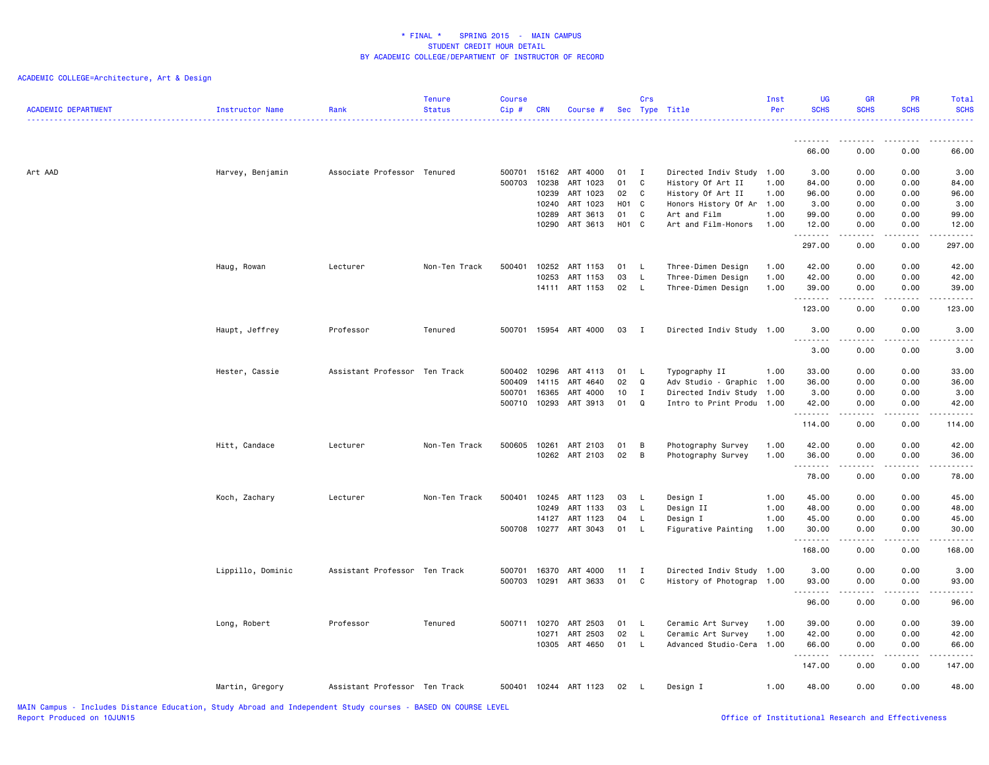| <b>ACADEMIC DEPARTMENT</b> | <b>Instructor Name</b> | Rank                          | <b>Tenure</b><br><b>Status</b> | <b>Course</b><br>Cip# | <b>CRN</b>     | Course #              |                        | Crs               | Sec Type Title                            | Inst<br>Per  | <b>UG</b><br><b>SCHS</b> | <b>GR</b><br><b>SCHS</b> | <b>PR</b><br><b>SCHS</b> | Total<br><b>SCHS</b> |
|----------------------------|------------------------|-------------------------------|--------------------------------|-----------------------|----------------|-----------------------|------------------------|-------------------|-------------------------------------------|--------------|--------------------------|--------------------------|--------------------------|----------------------|
|                            |                        |                               |                                |                       |                |                       |                        |                   |                                           |              | .<br>66.00               | 0.00                     | 0.00                     | 66.00                |
|                            |                        |                               |                                |                       |                |                       |                        |                   |                                           |              |                          |                          |                          |                      |
| Art AAD                    | Harvey, Benjamin       | Associate Professor Tenured   |                                | 500701 15162          |                | ART 4000              | 01                     | $\mathbf{I}$      | Directed Indiv Study 1.00                 |              | 3.00                     | 0.00                     | 0.00                     | 3.00                 |
|                            |                        |                               |                                | 500703                | 10238          | ART 1023              | 01                     | $\mathbf{C}$      | History Of Art II                         | 1.00         | 84.00                    | 0.00                     | 0.00                     | 84.00                |
|                            |                        |                               |                                |                       | 10239<br>10240 | ART 1023<br>ART 1023  | 02<br>H <sub>0</sub> 1 | $\mathbf{C}$<br>C | History Of Art II<br>Honors History Of Ar | 1.00<br>1.00 | 96.00<br>3.00            | 0.00<br>0.00             | 0.00<br>0.00             | 96.00<br>3.00        |
|                            |                        |                               |                                |                       | 10289          | ART 3613              | 01                     | C                 | Art and Film                              | 1.00         | 99.00                    | 0.00                     | 0.00                     | 99.00                |
|                            |                        |                               |                                |                       | 10290          | ART 3613              | H01 C                  |                   | Art and Film-Honors                       | 1.00         | 12.00                    | 0.00                     | 0.00                     | 12.00                |
|                            |                        |                               |                                |                       |                |                       |                        |                   |                                           |              | .<br>297.00              | -----<br>0.00            | .<br>0.00                | .<br>297.00          |
|                            | Haug, Rowan            | Lecturer                      | Non-Ten Track                  | 500401                | 10252          | ART 1153              | 01                     | $\mathsf{L}$      | Three-Dimen Design                        | 1.00         | 42.00                    | 0.00                     | 0.00                     | 42.00                |
|                            |                        |                               |                                |                       | 10253          | ART 1153              | 03                     | <b>L</b>          | Three-Dimen Design                        | 1.00         | 42.00                    | 0.00                     | 0.00                     | 42.00                |
|                            |                        |                               |                                |                       | 14111          | ART 1153              | 02                     | $\mathsf{L}$      | Three-Dimen Design                        | 1.00         | 39.00                    | 0.00                     | 0.00                     | 39.00                |
|                            |                        |                               |                                |                       |                |                       |                        |                   |                                           |              | .<br>123.00              | .<br>0.00                | 0.00                     | .<br>123.00          |
|                            | Haupt, Jeffrey         | Professor                     | Tenured                        |                       |                | 500701 15954 ART 4000 | 03                     | $\blacksquare$    | Directed Indiv Study 1.00                 |              | 3.00<br><u>.</u>         | 0.00<br>.                | 0.00<br>$- - - -$        | 3.00<br><u>.</u>     |
|                            |                        |                               |                                |                       |                |                       |                        |                   |                                           |              | 3.00                     | 0.00                     | 0.00                     | 3.00                 |
|                            | Hester, Cassie         | Assistant Professor Ten Track |                                | 500402                | 10296          | ART 4113              | 01                     | - L               | Typography II                             | 1.00         | 33.00                    | 0.00                     | 0.00                     | 33.00                |
|                            |                        |                               |                                | 500409                | 14115          | ART 4640              | 02                     | Q                 | Adv Studio - Graphic 1.00                 |              | 36.00                    | 0.00                     | 0.00                     | 36.00                |
|                            |                        |                               |                                | 500701                | 16365          | ART 4000              | 10                     | $\mathbf{I}$      | Directed Indiv Study 1.00                 |              | 3.00                     | 0.00                     | 0.00                     | 3.00                 |
|                            |                        |                               |                                | 500710 10293          |                | ART 3913              | 01                     | $\Omega$          | Intro to Print Produ 1.00                 |              | 42.00<br><u>.</u>        | 0.00<br>.                | 0.00<br>$- - - -$        | 42.00<br>.           |
|                            |                        |                               |                                |                       |                |                       |                        |                   |                                           |              | 114.00                   | 0.00                     | 0.00                     | 114.00               |
|                            | Hitt, Candace          | Lecturer                      | Non-Ten Track                  | 500605                | 10261          | ART 2103              | 01                     | B                 | Photography Survey                        | 1.00         | 42.00                    | 0.00                     | 0.00                     | 42.00                |
|                            |                        |                               |                                |                       | 10262          | ART 2103              | 02                     | $\overline{B}$    | Photography Survey                        | 1.00         | 36.00                    | 0.00                     | 0.00                     | 36.00                |
|                            |                        |                               |                                |                       |                |                       |                        |                   |                                           |              | .<br>78.00               | .<br>0.00                | .<br>0.00                | .<br>78.00           |
|                            | Koch, Zachary          | Lecturer                      | Non-Ten Track                  | 500401                | 10245          | ART 1123              | 03                     | L,                | Design I                                  | 1.00         | 45.00                    | 0.00                     | 0.00                     | 45.00                |
|                            |                        |                               |                                |                       | 10249          | ART 1133              | 03                     | <b>L</b>          | Design II                                 | 1.00         | 48.00                    | 0.00                     | 0.00                     | 48.00                |
|                            |                        |                               |                                |                       | 14127          | ART 1123              | 04                     | L.                | Design I                                  | 1.00         | 45.00                    | 0.00                     | 0.00                     | 45.00                |
|                            |                        |                               |                                | 500708                | 10277          | ART 3043              | 01                     | L                 | Figurative Painting                       | 1.00         | 30.00<br>.               | 0.00<br>$- - - - -$      | 0.00<br>.                | 30.00<br>.           |
|                            |                        |                               |                                |                       |                |                       |                        |                   |                                           |              | 168.00                   | 0.00                     | 0.00                     | 168.00               |
|                            | Lippillo, Dominic      | Assistant Professor Ten Track |                                | 500701                | 16370          | ART 4000              | 11                     | $\mathbf{I}$      | Directed Indiv Study 1.00                 |              | 3.00                     | 0.00                     | 0.00                     | 3.00                 |
|                            |                        |                               |                                | 500703                | 10291          | ART 3633              | 01                     | C                 | History of Photograp 1.00                 |              | 93.00                    | 0.00                     | 0.00                     | 93.00                |
|                            |                        |                               |                                |                       |                |                       |                        |                   |                                           |              | <u>.</u><br>96.00        | 0.00                     | 0.00                     | $    -$<br>96.00     |
|                            | Long, Robert           | Professor                     | Tenured                        | 500711 10270          |                | ART 2503              | 01                     | L.                | Ceramic Art Survey                        | 1.00         | 39.00                    | 0.00                     | 0.00                     | 39.00                |
|                            |                        |                               |                                |                       | 10271          | ART 2503              | 02                     | $\mathsf{L}$      | Ceramic Art Survey                        | 1.00         | 42.00                    | 0.00                     | 0.00                     | 42.00                |
|                            |                        |                               |                                |                       | 10305          | ART 4650              | 01                     | L.                | Advanced Studio-Cera                      | 1.00         | 66.00<br>.               | 0.00<br>.                | 0.00<br>.                | 66.00<br>.           |
|                            |                        |                               |                                |                       |                |                       |                        |                   |                                           |              | 147.00                   | 0.00                     | 0.00                     | 147.00               |
|                            | Martin, Gregory        | Assistant Professor Ten Track |                                | 500401                |                | 10244 ART 1123        | 02                     | - L               | Design I                                  | 1.00         | 48.00                    | 0.00                     | 0.00                     | 48.00                |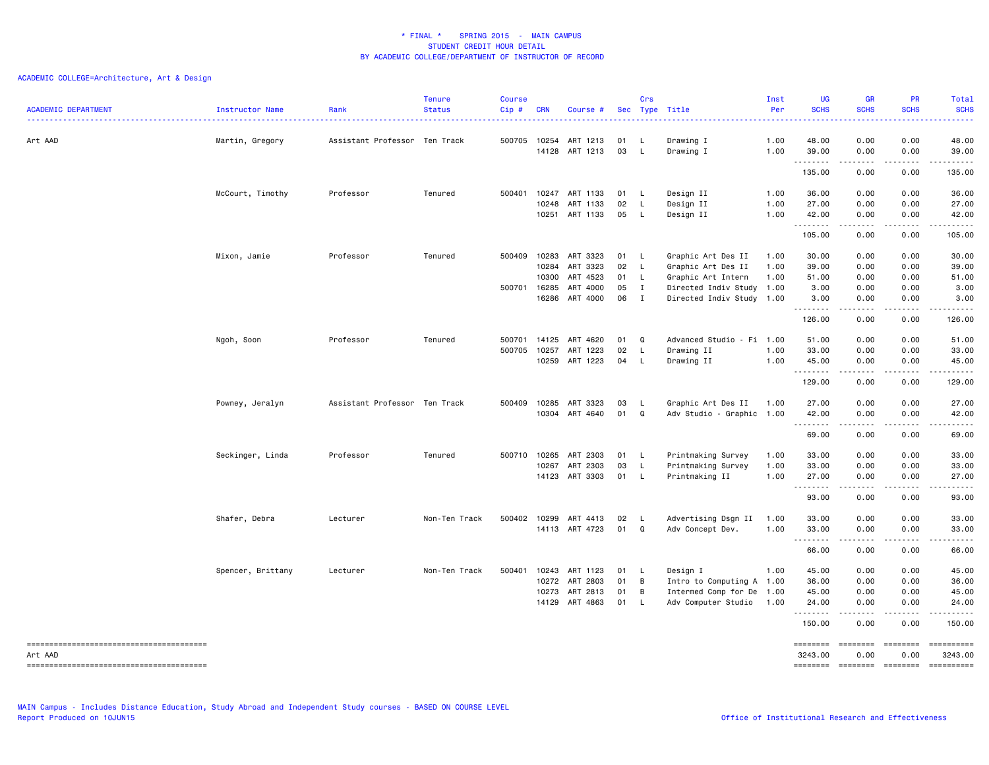| <b>ACADEMIC DEPARTMENT</b> | Instructor Name   | Rank                          | <b>Tenure</b><br><b>Status</b> | <b>Course</b><br>Cip# | <b>CRN</b>     | Course #             |          | Crs                          | Sec Type Title                                         | Inst<br>Per  | <b>UG</b><br><b>SCHS</b>   | <b>GR</b><br><b>SCHS</b>                                                                                                                                     | PR<br><b>SCHS</b>                   | Total<br><b>SCHS</b><br>.                                                                                                                                     |
|----------------------------|-------------------|-------------------------------|--------------------------------|-----------------------|----------------|----------------------|----------|------------------------------|--------------------------------------------------------|--------------|----------------------------|--------------------------------------------------------------------------------------------------------------------------------------------------------------|-------------------------------------|---------------------------------------------------------------------------------------------------------------------------------------------------------------|
| Art AAD                    | Martin, Gregory   | Assistant Professor Ten Track |                                | 500705                | 10254<br>14128 | ART 1213<br>ART 1213 | 01<br>03 | L.<br>L.                     | Drawing I<br>Drawing I                                 | 1.00<br>1.00 | 48.00<br>39.00<br><u>.</u> | 0.00<br>0.00<br>- - - -                                                                                                                                      | 0.00<br>0.00<br>$- - - -$           | 48.00<br>39.00<br>.                                                                                                                                           |
|                            |                   |                               |                                |                       |                |                      |          |                              |                                                        |              | 135.00                     | 0.00                                                                                                                                                         | 0.00                                | 135.00                                                                                                                                                        |
|                            | McCourt, Timothy  | Professor                     | Tenured                        | 500401                | 10247<br>10248 | ART 1133<br>ART 1133 | 01<br>02 | <b>L</b><br><b>L</b>         | Design II<br>Design II                                 | 1.00<br>1.00 | 36.00<br>27.00             | 0.00<br>0.00                                                                                                                                                 | 0.00<br>0.00                        | 36.00<br>27.00                                                                                                                                                |
|                            |                   |                               |                                |                       | 10251          | ART 1133             | 05       | $\mathsf{L}$                 | Design II                                              | 1.00         | 42.00<br>.                 | 0.00                                                                                                                                                         | 0.00<br>$- - -$                     | 42.00<br>.                                                                                                                                                    |
|                            |                   |                               |                                |                       |                |                      |          |                              |                                                        |              | 105.00                     | 0.00                                                                                                                                                         | 0.00                                | 105.00                                                                                                                                                        |
|                            | Mixon, Jamie      | Professor                     | Tenured                        | 500409                | 10283          | ART 3323             | 01       | - L                          | Graphic Art Des II                                     | 1.00         | 30.00                      | 0.00                                                                                                                                                         | 0.00                                | 30.00                                                                                                                                                         |
|                            |                   |                               |                                |                       | 10284          | ART 3323             | 02       | $\mathsf{L}$                 | Graphic Art Des II                                     | 1.00         | 39.00                      | 0.00                                                                                                                                                         | 0.00                                | 39.00                                                                                                                                                         |
|                            |                   |                               |                                |                       | 10300          | ART 4523             | 01       | L.                           | Graphic Art Intern                                     | 1.00         | 51.00                      | 0.00                                                                                                                                                         | 0.00                                | 51.00                                                                                                                                                         |
|                            |                   |                               |                                | 500701                | 16285<br>16286 | ART 4000<br>ART 4000 | 05<br>06 | $\mathbf{I}$<br>$\mathbf{I}$ | Directed Indiv Study 1.00<br>Directed Indiv Study 1.00 |              | 3.00<br>3.00               | 0.00<br>0.00                                                                                                                                                 | 0.00<br>0.00                        | 3.00<br>3.00                                                                                                                                                  |
|                            |                   |                               |                                |                       |                |                      |          |                              |                                                        |              | .                          | المتمام المتعاد                                                                                                                                              | .                                   | .                                                                                                                                                             |
|                            |                   |                               |                                |                       |                |                      |          |                              |                                                        |              | 126.00                     | 0.00                                                                                                                                                         | 0.00                                | 126.00                                                                                                                                                        |
|                            | Ngoh, Soon        | Professor                     | Tenured                        | 500701                | 14125          | ART 4620             | 01       | Q                            | Advanced Studio - Fi 1.00                              |              | 51.00                      | 0.00                                                                                                                                                         | 0.00                                | 51.00                                                                                                                                                         |
|                            |                   |                               |                                | 500705                | 10257          | ART 1223             | 02       | <b>L</b>                     | Drawing II                                             | 1.00         | 33.00                      | 0.00                                                                                                                                                         | 0.00                                | 33.00                                                                                                                                                         |
|                            |                   |                               |                                |                       | 10259          | ART 1223             | 04       | L.                           | Drawing II                                             | 1.00         | 45.00                      | 0.00                                                                                                                                                         | 0.00                                | 45.00                                                                                                                                                         |
|                            |                   |                               |                                |                       |                |                      |          |                              |                                                        |              | .                          | .                                                                                                                                                            | .                                   | .                                                                                                                                                             |
|                            |                   |                               |                                |                       |                |                      |          |                              |                                                        |              | 129.00                     | 0.00                                                                                                                                                         | 0.00                                | 129.00                                                                                                                                                        |
|                            | Powney, Jeralyn   | Assistant Professor Ten Track |                                | 500409                | 10285          | ART 3323             | 03       | - L                          | Graphic Art Des II                                     | 1.00         | 27.00                      | 0.00                                                                                                                                                         | 0.00                                | 27.00                                                                                                                                                         |
|                            |                   |                               |                                |                       | 10304          | ART 4640             | 01       | Q                            | Adv Studio - Graphic 1.00                              |              | 42.00<br>.                 | 0.00<br>$\frac{1}{2} \left( \frac{1}{2} \right) \left( \frac{1}{2} \right) \left( \frac{1}{2} \right) \left( \frac{1}{2} \right) \left( \frac{1}{2} \right)$ | 0.00<br>.                           | 42.00<br>.                                                                                                                                                    |
|                            |                   |                               |                                |                       |                |                      |          |                              |                                                        |              | 69.00                      | 0.00                                                                                                                                                         | 0.00                                | 69.00                                                                                                                                                         |
|                            | Seckinger, Linda  | Professor                     | Tenured                        | 500710                | 10265          | ART 2303             | 01       | L.                           | Printmaking Survey                                     | 1.00         | 33.00                      | 0.00                                                                                                                                                         | 0.00                                | 33.00                                                                                                                                                         |
|                            |                   |                               |                                |                       | 10267          | ART 2303             | 03       | $\mathsf{L}$                 | Printmaking Survey                                     | 1.00         | 33.00                      | 0.00                                                                                                                                                         | 0.00                                | 33.00                                                                                                                                                         |
|                            |                   |                               |                                |                       |                | 14123 ART 3303       | 01       | $\mathsf{L}$                 | Printmaking II                                         | 1.00         | 27.00                      | 0.00                                                                                                                                                         | 0.00                                | 27.00                                                                                                                                                         |
|                            |                   |                               |                                |                       |                |                      |          |                              |                                                        |              | 93.00                      | ----<br>0.00                                                                                                                                                 | $\sim$ $\sim$ $\sim$ $\sim$<br>0.00 | $\frac{1}{2} \left( \frac{1}{2} \right) \left( \frac{1}{2} \right) \left( \frac{1}{2} \right) \left( \frac{1}{2} \right) \left( \frac{1}{2} \right)$<br>93.00 |
|                            | Shafer, Debra     | Lecturer                      | Non-Ten Track                  | 500402                | 10299          | ART 4413             | 02       | L.                           | Advertising Dsgn II                                    | 1.00         | 33.00                      | 0.00                                                                                                                                                         | 0.00                                | 33.00                                                                                                                                                         |
|                            |                   |                               |                                |                       |                | 14113 ART 4723       | 01       | Q                            | Adv Concept Dev.                                       | 1.00         | 33.00                      | 0.00                                                                                                                                                         | 0.00                                | 33.00                                                                                                                                                         |
|                            |                   |                               |                                |                       |                |                      |          |                              |                                                        |              | 2.2.2.2.2.2.3<br>66.00     | 0.00                                                                                                                                                         | 0.00                                | $\frac{1}{2}$<br>66.00                                                                                                                                        |
|                            | Spencer, Brittany | Lecturer                      | Non-Ten Track                  | 500401                | 10243          | ART 1123             | 01       | L.                           | Design I                                               | 1.00         | 45.00                      | 0.00                                                                                                                                                         | 0.00                                | 45.00                                                                                                                                                         |
|                            |                   |                               |                                |                       | 10272          | ART 2803             | 01       | B                            | Intro to Computing A 1.00                              |              | 36.00                      | 0.00                                                                                                                                                         | 0.00                                | 36.00                                                                                                                                                         |
|                            |                   |                               |                                |                       | 10273          | ART 2813             | 01       | B                            | Intermed Comp for De                                   | 1.00         | 45.00                      | 0.00                                                                                                                                                         | 0.00                                | 45.00                                                                                                                                                         |
|                            |                   |                               |                                |                       | 14129          | ART 4863             | 01       | $\mathsf{L}$                 | Adv Computer Studio                                    | 1.00         | 24.00                      | 0.00                                                                                                                                                         | 0.00                                | 24.00                                                                                                                                                         |
|                            |                   |                               |                                |                       |                |                      |          |                              |                                                        |              | .<br>150.00                | - - - - -<br>0.00                                                                                                                                            | .<br>0.00                           | .<br>150.00                                                                                                                                                   |
|                            |                   |                               |                                |                       |                |                      |          |                              |                                                        |              | ========                   |                                                                                                                                                              | ========                            | ==========                                                                                                                                                    |
| Art AAD                    |                   |                               |                                |                       |                |                      |          |                              |                                                        |              | 3243.00                    | 0.00                                                                                                                                                         | 0.00                                | 3243.00                                                                                                                                                       |
|                            |                   |                               |                                |                       |                |                      |          |                              |                                                        |              | ========                   |                                                                                                                                                              | ======== =======                    | ==========                                                                                                                                                    |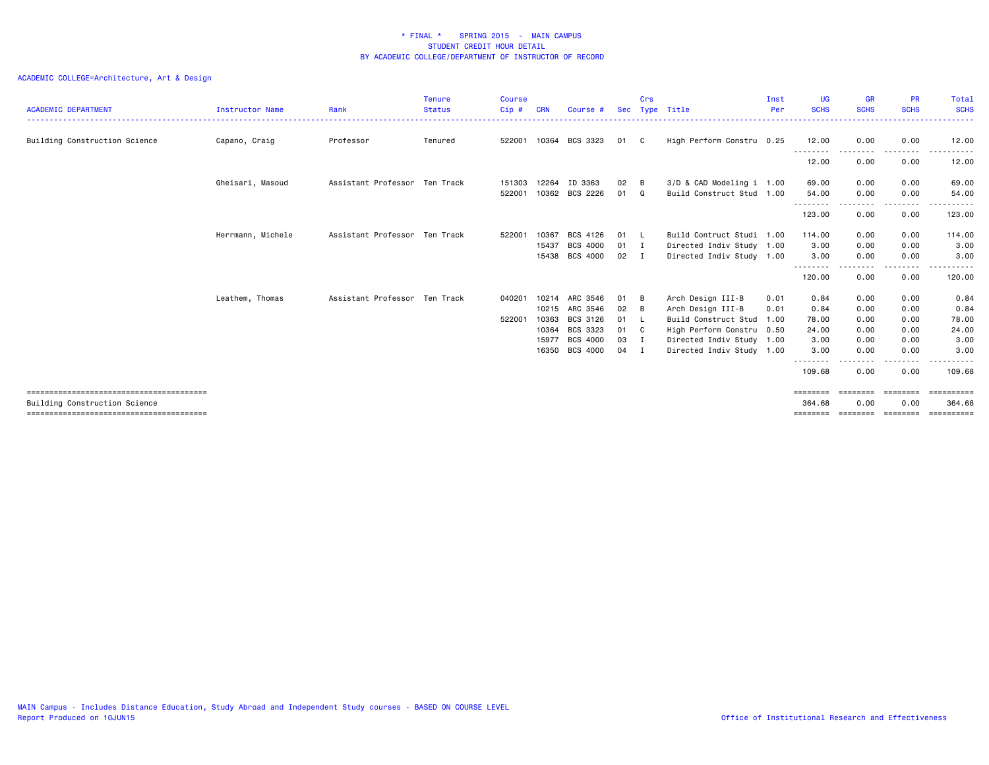| <b>ACADEMIC DEPARTMENT</b>    | Instructor Name   | Rank                          | <b>Tenure</b><br><b>Status</b> | <b>Course</b><br>Cip# | <b>CRN</b> | Course #       | <b>Sec</b> | Crs          | Type Title                | Inst<br>Per | <b>UG</b><br><b>SCHS</b> | <b>GR</b><br><b>SCHS</b> | <b>PR</b><br><b>SCHS</b> | Total<br><b>SCHS</b>                     |
|-------------------------------|-------------------|-------------------------------|--------------------------------|-----------------------|------------|----------------|------------|--------------|---------------------------|-------------|--------------------------|--------------------------|--------------------------|------------------------------------------|
|                               | Capano, Craig     | Professor                     | Tenured                        | 522001                |            | 10364 BCS 3323 | 01         | C.           | High Perform Constru 0.25 |             | 12.00                    | 0.00                     | 0.00                     | 12.00                                    |
| Building Construction Science |                   |                               |                                |                       |            |                |            |              |                           |             | --------                 | -----                    | .                        | .                                        |
|                               |                   |                               |                                |                       |            |                |            |              |                           |             | 12.00                    | 0.00                     | 0.00                     | 12.00                                    |
|                               | Gheisari, Masoud  | Assistant Professor Ten Track |                                | 151303                | 12264      | ID 3363        | 02         | B            | 3/D & CAD Modeling i 1.00 |             | 69.00                    | 0.00                     | 0.00                     | 69.00                                    |
|                               |                   |                               |                                | 522001                |            | 10362 BCS 2226 | 01         | Q            | Build Construct Stud 1.00 |             | 54.00                    | 0.00                     | 0.00                     | 54.00                                    |
|                               |                   |                               |                                |                       |            |                |            |              |                           |             | --------<br>123.00       | 0.00                     | 0.00                     | 123.00                                   |
|                               | Herrmann, Michele | Assistant Professor Ten Track |                                | 522001                | 10367      | BCS 4126       | 01         | <b>L</b>     | Build Contruct Studi 1.00 |             | 114.00                   | 0.00                     | 0.00                     | 114.00                                   |
|                               |                   |                               |                                |                       | 15437      | BCS 4000       | 01 I       |              | Directed Indiv Study 1.00 |             | 3.00                     | 0.00                     | 0.00                     | 3.00                                     |
|                               |                   |                               |                                |                       | 15438      | BCS 4000       | 02 I       |              | Directed Indiv Study 1.00 |             | 3.00                     | 0.00                     | 0.00                     | 3.00                                     |
|                               |                   |                               |                                |                       |            |                |            |              |                           |             | --------<br>120.00       | 0.00                     | .<br>0.00                | .<br>120.00                              |
|                               | Leathem, Thomas   | Assistant Professor Ten Track |                                | 040201                | 10214      | ARC 3546       | 01         | - в          | Arch Design III-B         | 0.01        | 0.84                     | 0.00                     | 0.00                     | 0.84                                     |
|                               |                   |                               |                                |                       | 10215      | ARC 3546       | 02         | B            | Arch Design III-B         | 0.01        | 0.84                     | 0.00                     | 0.00                     | 0.84                                     |
|                               |                   |                               |                                | 522001                | 10363      | BCS 3126       | 01         | - L          | Build Construct Stud 1.00 |             | 78.00                    | 0.00                     | 0.00                     | 78.00                                    |
|                               |                   |                               |                                |                       | 10364      | BCS 3323       | 01         | $\mathbf{C}$ | High Perform Constru 0.50 |             | 24.00                    | 0.00                     | 0.00                     | 24.00                                    |
|                               |                   |                               |                                |                       | 15977      | BCS 4000       | 03         | - 1          | Directed Indiv Study 1.00 |             | 3.00                     | 0.00                     | 0.00                     | 3.00                                     |
|                               |                   |                               |                                |                       | 16350      | BCS 4000       | 04         | I            | Directed Indiv Study 1.00 |             | 3.00                     | 0.00                     | 0.00                     | 3.00                                     |
|                               |                   |                               |                                |                       |            |                |            |              |                           |             | --------<br>109.68       | 0.00                     | ----<br>0.00             | 109.68                                   |
|                               |                   |                               |                                |                       |            |                |            |              |                           |             | ========                 | ---------                | ========                 | ==========                               |
| Building Construction Science |                   |                               |                                |                       |            |                |            |              |                           |             | 364,68<br>========       | 0.00                     | 0.00                     | 364.68<br>========= ========= ========== |
|                               |                   |                               |                                |                       |            |                |            |              |                           |             |                          |                          |                          |                                          |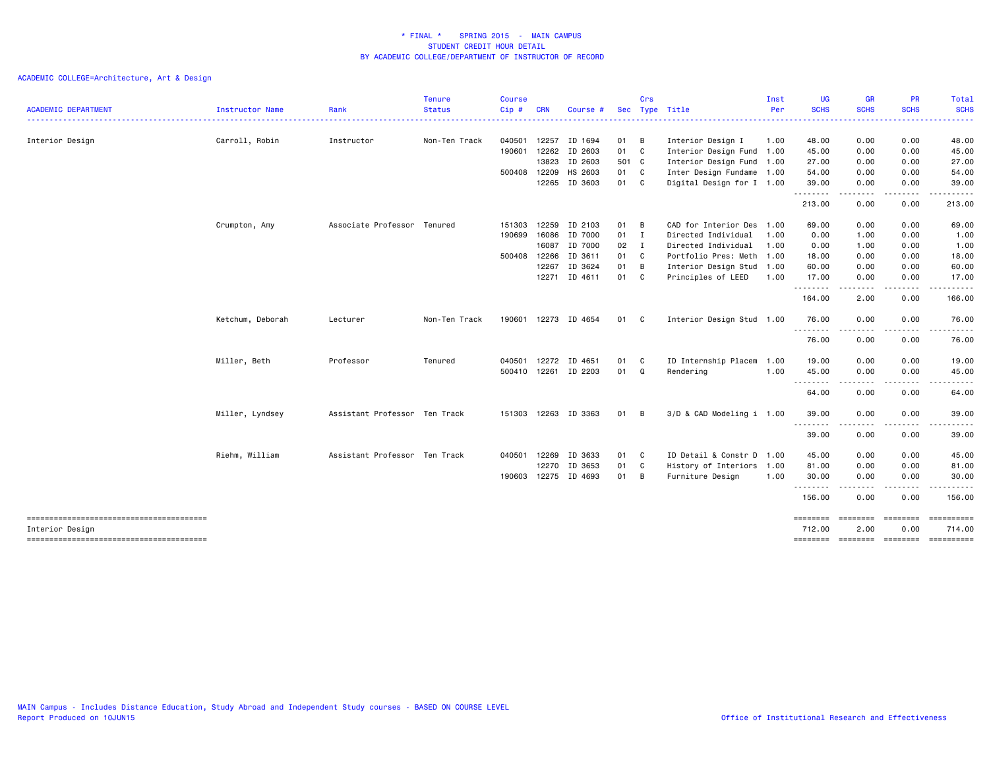| <b>ACADEMIC DEPARTMENT</b>                                | <b>Instructor Name</b> | Rank                          | <b>Tenure</b><br><b>Status</b> | <b>Course</b><br>Cip# | <b>CRN</b> | Course #      |        | Crs            | Sec Type Title            | Inst<br>Per | <b>UG</b><br><b>SCHS</b>           | <b>GR</b><br><b>SCHS</b>                                                                                                                                                                                                                                                                                                                                                                             | PR<br><b>SCHS</b> | Total<br><b>SCHS</b> |
|-----------------------------------------------------------|------------------------|-------------------------------|--------------------------------|-----------------------|------------|---------------|--------|----------------|---------------------------|-------------|------------------------------------|------------------------------------------------------------------------------------------------------------------------------------------------------------------------------------------------------------------------------------------------------------------------------------------------------------------------------------------------------------------------------------------------------|-------------------|----------------------|
|                                                           |                        |                               |                                |                       |            |               |        |                | . <u>.</u>                |             |                                    |                                                                                                                                                                                                                                                                                                                                                                                                      |                   |                      |
| Interior Design                                           | Carroll, Robin         | Instructor                    | Non-Ten Track                  | 040501                | 12257      | ID 1694       | 01 B   |                | Interior Design I         | 1.00        | 48.00                              | 0.00                                                                                                                                                                                                                                                                                                                                                                                                 | 0.00              | 48.00                |
|                                                           |                        |                               |                                | 190601                | 12262      | ID 2603       | 01 C   |                | Interior Design Fund 1.00 |             | 45.00                              | 0.00                                                                                                                                                                                                                                                                                                                                                                                                 | 0.00              | 45.00                |
|                                                           |                        |                               |                                |                       | 13823      | ID 2603       | 501 C  |                | Interior Design Fund 1.00 |             | 27.00                              | 0.00                                                                                                                                                                                                                                                                                                                                                                                                 | 0.00              | 27.00                |
|                                                           |                        |                               |                                | 500408                | 12209      | HS 2603       | 01 C   |                | Inter Design Fundame 1.00 |             | 54.00                              | 0.00                                                                                                                                                                                                                                                                                                                                                                                                 | 0.00              | 54.00                |
|                                                           |                        |                               |                                |                       |            | 12265 ID 3603 | 01 C   |                | Digital Design for I 1.00 |             | 39.00<br>.                         | 0.00<br>$\frac{1}{2} \frac{1}{2} \frac{1}{2} \frac{1}{2} \frac{1}{2} \frac{1}{2} \frac{1}{2} \frac{1}{2} \frac{1}{2} \frac{1}{2} \frac{1}{2} \frac{1}{2} \frac{1}{2} \frac{1}{2} \frac{1}{2} \frac{1}{2} \frac{1}{2} \frac{1}{2} \frac{1}{2} \frac{1}{2} \frac{1}{2} \frac{1}{2} \frac{1}{2} \frac{1}{2} \frac{1}{2} \frac{1}{2} \frac{1}{2} \frac{1}{2} \frac{1}{2} \frac{1}{2} \frac{1}{2} \frac{$ | 0.00<br>.         | 39.00                |
|                                                           |                        |                               |                                |                       |            |               |        |                |                           |             | 213.00                             | 0.00                                                                                                                                                                                                                                                                                                                                                                                                 | 0.00              | 213.00               |
|                                                           | Crumpton, Amy          | Associate Professor Tenured   |                                | 151303                | 12259      | ID 2103       | 01 B   |                | CAD for Interior Des      | 1.00        | 69.00                              | 0.00                                                                                                                                                                                                                                                                                                                                                                                                 | 0.00              | 69.00                |
|                                                           |                        |                               |                                | 190699                | 16086      | ID 7000       | 01 I   |                | Directed Individual       | 1.00        | 0.00                               | 1.00                                                                                                                                                                                                                                                                                                                                                                                                 | 0.00              | 1.00                 |
|                                                           |                        |                               |                                |                       | 16087      | ID 7000       | $02$ I |                | Directed Individual       | 1.00        | 0.00                               | 1.00                                                                                                                                                                                                                                                                                                                                                                                                 | 0.00              | 1.00                 |
|                                                           |                        |                               |                                | 500408                | 12266      | ID 3611       | 01     | C <sub>1</sub> | Portfolio Pres: Meth 1.00 |             | 18.00                              | 0.00                                                                                                                                                                                                                                                                                                                                                                                                 | 0.00              | 18.00                |
|                                                           |                        |                               |                                |                       | 12267      | ID 3624       | 01     | B              | Interior Design Stud      | 1.00        | 60.00                              | 0.00                                                                                                                                                                                                                                                                                                                                                                                                 | 0.00              | 60.00                |
|                                                           |                        |                               |                                |                       |            | 12271 ID 4611 | 01 C   |                | Principles of LEED        | 1.00        | 17.00<br>.                         | 0.00<br>$\frac{1}{2} \left( \frac{1}{2} \right) \left( \frac{1}{2} \right) \left( \frac{1}{2} \right) \left( \frac{1}{2} \right)$                                                                                                                                                                                                                                                                    | 0.00<br>.         | 17.00<br>.           |
|                                                           |                        |                               |                                |                       |            |               |        |                |                           |             | 164.00                             | 2.00                                                                                                                                                                                                                                                                                                                                                                                                 | 0.00              | 166.00               |
|                                                           | Ketchum, Deborah       | Lecturer                      | Non-Ten Track                  | 190601                |            | 12273 ID 4654 | 01 C   |                | Interior Design Stud 1.00 |             | 76.00                              | 0.00                                                                                                                                                                                                                                                                                                                                                                                                 | 0.00              | 76.00                |
|                                                           |                        |                               |                                |                       |            |               |        |                |                           |             | <u>.</u><br>76.00                  | $- - - -$<br>0.00                                                                                                                                                                                                                                                                                                                                                                                    | 0.00              | 76.00                |
|                                                           | Miller, Beth           | Professor                     | Tenured                        | 040501                | 12272      | ID 4651       | 01     | C              | ID Internship Placem      | 1.00        | 19.00                              | 0.00                                                                                                                                                                                                                                                                                                                                                                                                 | 0.00              | 19.00                |
|                                                           |                        |                               |                                | 500410                | 12261      | ID 2203       | 01     | Q              | Rendering                 | 1.00        | 45.00                              | 0.00                                                                                                                                                                                                                                                                                                                                                                                                 | 0.00              | 45.00                |
|                                                           |                        |                               |                                |                       |            |               |        |                |                           |             | <u>.</u><br>64.00                  | ----<br>0.00                                                                                                                                                                                                                                                                                                                                                                                         | 0.00              | 64.00                |
|                                                           | Miller, Lyndsey        | Assistant Professor Ten Track |                                | 151303                |            | 12263 ID 3363 | 01     | B              | 3/D & CAD Modeling i 1.00 |             | 39.00                              | 0.00                                                                                                                                                                                                                                                                                                                                                                                                 | 0.00              | 39.00                |
|                                                           |                        |                               |                                |                       |            |               |        |                |                           |             | <u>.</u><br>39.00                  | $   -$<br>0.00                                                                                                                                                                                                                                                                                                                                                                                       | 0.00              | 39.00                |
|                                                           | Riehm, William         | Assistant Professor Ten Track |                                | 040501                | 12269      | ID 3633       | 01 C   |                | ID Detail & Constr D 1.00 |             | 45.00                              | 0.00                                                                                                                                                                                                                                                                                                                                                                                                 | 0.00              | 45.00                |
|                                                           |                        |                               |                                |                       | 12270      | ID 3653       | 01     | C              | History of Interiors 1.00 |             | 81.00                              | 0.00                                                                                                                                                                                                                                                                                                                                                                                                 | 0.00              | 81.00                |
|                                                           |                        |                               |                                | 190603                |            | 12275 ID 4693 | 01     | $\overline{B}$ | Furniture Design          | 1.00        | 30.00                              | 0.00                                                                                                                                                                                                                                                                                                                                                                                                 | 0.00              | 30.00                |
|                                                           |                        |                               |                                |                       |            |               |        |                |                           |             | .<br>156.00                        | $\frac{1}{2} \left( \frac{1}{2} \right) \left( \frac{1}{2} \right) \left( \frac{1}{2} \right) \left( \frac{1}{2} \right)$<br>0.00                                                                                                                                                                                                                                                                    | 0.00              | 156.00               |
| --------------------------------------<br>Interior Design |                        |                               |                                |                       |            |               |        |                |                           |             | ========<br>712.00                 | ========<br>2.00                                                                                                                                                                                                                                                                                                                                                                                     | ========<br>0.00  | 714.00               |
|                                                           |                        |                               |                                |                       |            |               |        |                |                           |             | -------- ------- ------- --------- |                                                                                                                                                                                                                                                                                                                                                                                                      |                   |                      |
|                                                           |                        |                               |                                |                       |            |               |        |                |                           |             |                                    |                                                                                                                                                                                                                                                                                                                                                                                                      |                   |                      |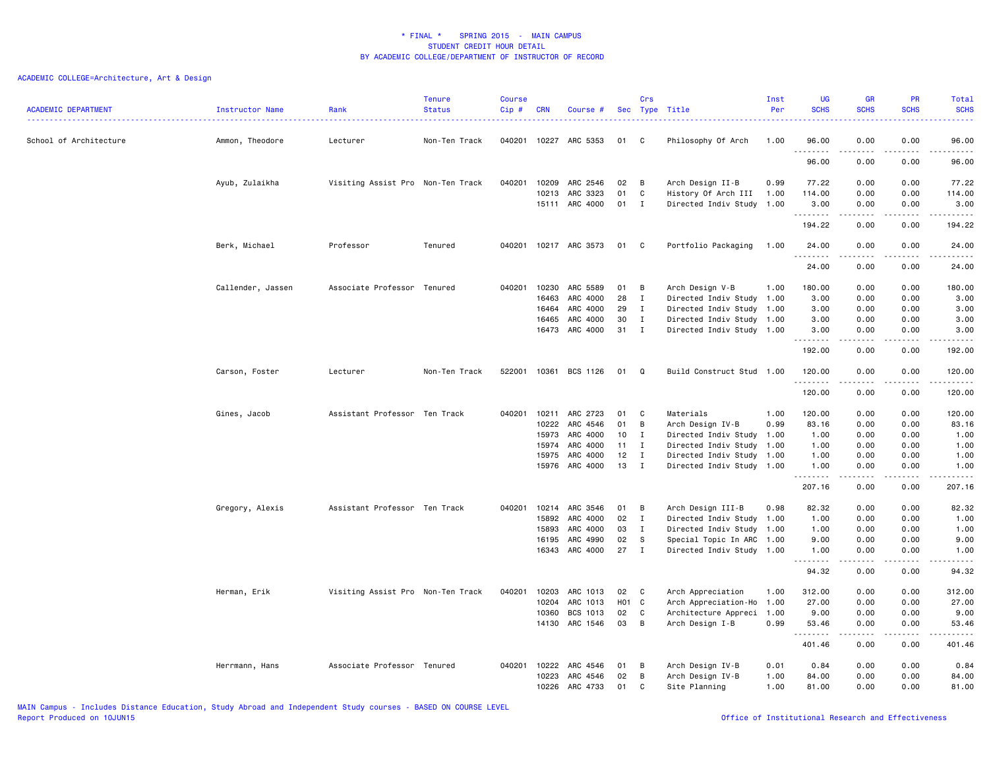| <b>ACADEMIC DEPARTMENT</b> | Instructor Name   | Rank                              | <b>Tenure</b><br><b>Status</b> | <b>Course</b><br>Cip# | <b>CRN</b> | Course #                   |                  | Crs              | Sec Type Title<br>.                              | Inst<br>Per<br><u>.</u> | <b>UG</b><br><b>SCHS</b> | <b>GR</b><br><b>SCHS</b> | PR<br><b>SCHS</b><br>. | Total<br><b>SCHS</b><br>22222 |
|----------------------------|-------------------|-----------------------------------|--------------------------------|-----------------------|------------|----------------------------|------------------|------------------|--------------------------------------------------|-------------------------|--------------------------|--------------------------|------------------------|-------------------------------|
| School of Architecture     | Ammon, Theodore   | Lecturer                          | Non-Ten Track                  |                       |            | 040201 10227 ARC 5353      | 01               | C                | Philosophy Of Arch                               | 1.00                    | 96.00<br>.               | 0.00<br>-----            | 0.00<br>.              | 96.00<br>.                    |
|                            |                   |                                   |                                |                       |            |                            |                  |                  |                                                  |                         | 96.00                    | 0.00                     | 0.00                   | 96.00                         |
|                            | Ayub, Zulaikha    | Visiting Assist Pro Non-Ten Track |                                | 040201                | 10209      | ARC 2546                   | 02               | B                | Arch Design II-B                                 | 0.99                    | 77.22                    | 0.00                     | 0.00                   | 77.22                         |
|                            |                   |                                   |                                |                       | 10213      | ARC 3323<br>15111 ARC 4000 | 01<br>01         | C<br>$\mathbf I$ | History Of Arch III<br>Directed Indiv Study 1.00 | 1.00                    | 114.00<br>3.00           | 0.00<br>0.00             | 0.00<br>0.00           | 114.00<br>3.00                |
|                            |                   |                                   |                                |                       |            |                            |                  |                  |                                                  |                         | . <b>.</b><br>194.22     | -----<br>0.00            | .<br>0.00              | .<br>194.22                   |
|                            | Berk, Michael     | Professor                         | Tenured                        |                       |            | 040201 10217 ARC 3573      | 01               | C                | Portfolio Packaging                              | 1.00                    | 24.00                    | 0.00                     | 0.00                   | 24.00                         |
|                            |                   |                                   |                                |                       |            |                            |                  |                  |                                                  |                         | .<br>24.00               | .<br>0.00                | .<br>0.00              | .<br>24.00                    |
|                            | Callender, Jassen | Associate Professor Tenured       |                                | 040201                | 10230      | ARC 5589                   | 01               | B                | Arch Design V-B                                  | 1.00                    | 180.00                   | 0.00                     | 0.00                   | 180.00                        |
|                            |                   |                                   |                                |                       | 16463      | ARC 4000                   | 28               | $\mathbf{I}$     | Directed Indiv Study 1.00                        |                         | 3.00                     | 0.00                     | 0.00                   | 3.00                          |
|                            |                   |                                   |                                |                       | 16464      | ARC 4000                   | 29               | Ι.               | Directed Indiv Study 1.00                        |                         | 3.00                     | 0.00                     | 0.00                   | 3.00                          |
|                            |                   |                                   |                                |                       | 16465      | ARC 4000                   | 30               | Ι.               | Directed Indiv Study 1.00                        |                         | 3.00                     | 0.00                     | 0.00                   | 3.00                          |
|                            |                   |                                   |                                |                       | 16473      | ARC 4000                   | 31               | Ι.               | Directed Indiv Study 1.00                        |                         | 3.00<br>.                | 0.00<br>.                | 0.00<br>.              | 3.00<br>.                     |
|                            |                   |                                   |                                |                       |            |                            |                  |                  |                                                  |                         | 192.00                   | 0.00                     | 0.00                   | 192.00                        |
|                            | Carson, Foster    | Lecturer                          | Non-Ten Track                  | 522001                | 10361      | BCS 1126                   | 01               | Q                | Build Construct Stud 1.00                        |                         | 120.00<br>.              | 0.00<br>.                | 0.00<br>.              | 120.00<br>.                   |
|                            |                   |                                   |                                |                       |            |                            |                  |                  |                                                  |                         | 120.00                   | 0.00                     | 0.00                   | 120.00                        |
|                            | Gines, Jacob      | Assistant Professor Ten Track     |                                | 040201                | 10211      | ARC 2723                   | 01               | C                | Materials                                        | 1.00                    | 120.00                   | 0.00                     | 0.00                   | 120.00                        |
|                            |                   |                                   |                                |                       | 10222      | ARC 4546                   | 01               | В                | Arch Design IV-B                                 | 0.99                    | 83.16                    | 0.00                     | 0.00                   | 83.16                         |
|                            |                   |                                   |                                |                       | 15973      | ARC 4000                   | 10               | $\bf{I}$         | Directed Indiv Study 1.00                        |                         | 1.00                     | 0.00                     | 0.00                   | 1.00                          |
|                            |                   |                                   |                                |                       | 15974      | ARC 4000                   | 11               | I                | Directed Indiv Study 1.00                        |                         | 1.00                     | 0.00                     | 0.00                   | 1.00                          |
|                            |                   |                                   |                                |                       | 15975      | ARC 4000                   | 12               | I                | Directed Indiv Study 1.00                        |                         | 1.00                     | 0.00                     | 0.00                   | 1.00                          |
|                            |                   |                                   |                                |                       | 15976      | ARC 4000                   | 13               | Ι.               | Directed Indiv Study 1.00                        |                         | 1.00<br>.                | 0.00<br>-----            | 0.00<br>.              | 1.00<br>.                     |
|                            |                   |                                   |                                |                       |            |                            |                  |                  |                                                  |                         | 207.16                   | 0.00                     | 0.00                   | 207.16                        |
|                            | Gregory, Alexis   | Assistant Professor Ten Track     |                                | 040201                | 10214      | ARC 3546                   | 01               | B                | Arch Design III-B                                | 0.98                    | 82.32                    | 0.00                     | 0.00                   | 82.32                         |
|                            |                   |                                   |                                |                       | 15892      | ARC 4000                   | 02               | Ι                | Directed Indiv Study 1.00                        |                         | 1.00                     | 0.00                     | 0.00                   | 1.00                          |
|                            |                   |                                   |                                |                       | 15893      | ARC 4000                   | 03               | $\mathbf I$      | Directed Indiv Study 1.00                        |                         | 1.00                     | 0.00                     | 0.00                   | 1.00                          |
|                            |                   |                                   |                                |                       | 16195      | ARC 4990                   | 02               | S                | Special Topic In ARC 1.00                        |                         | 9.00                     | 0.00                     | 0.00                   | 9.00                          |
|                            |                   |                                   |                                |                       | 16343      | ARC 4000                   | 27               | $\mathbf I$      | Directed Indiv Study 1.00                        |                         | 1.00<br>.                | 0.00<br>.                | 0.00<br>بالمحام        | 1.00<br>.                     |
|                            |                   |                                   |                                |                       |            |                            |                  |                  |                                                  |                         | 94.32                    | 0.00                     | 0.00                   | 94.32                         |
|                            | Herman, Erik      | Visiting Assist Pro Non-Ten Track |                                | 040201                | 10203      | ARC 1013                   | 02               | C                | Arch Appreciation                                | 1.00                    | 312.00                   | 0.00                     | 0.00                   | 312.00                        |
|                            |                   |                                   |                                |                       | 10204      | ARC 1013                   | H <sub>0</sub> 1 | C                | Arch Appreciation-Ho 1.00                        |                         | 27.00                    | 0.00                     | 0.00                   | 27.00                         |
|                            |                   |                                   |                                |                       | 10360      | BCS 1013                   | 02               | C                | Architecture Appreci                             | 1.00                    | 9.00                     | 0.00                     | 0.00                   | 9.00                          |
|                            |                   |                                   |                                |                       |            | 14130 ARC 1546             | 03               | B                | Arch Design I-B                                  | 0.99                    | 53.46<br>.               | 0.00<br>.                | 0.00<br>.              | 53.46<br>.                    |
|                            |                   |                                   |                                |                       |            |                            |                  |                  |                                                  |                         | 401.46                   | 0.00                     | 0.00                   | 401.46                        |
|                            | Herrmann, Hans    | Associate Professor Tenured       |                                | 040201 10222          |            | ARC 4546                   | 01               | B                | Arch Design IV-B                                 | 0.01                    | 0.84                     | 0.00                     | 0.00                   | 0.84                          |
|                            |                   |                                   |                                |                       | 10223      | ARC 4546                   | 02               | B                | Arch Design IV-B                                 | 1.00                    | 84.00                    | 0.00                     | 0.00                   | 84.00                         |
|                            |                   |                                   |                                |                       | 10226      | ARC 4733                   | 01               | C                | Site Planning                                    | 1.00                    | 81.00                    | 0.00                     | 0.00                   | 81.00                         |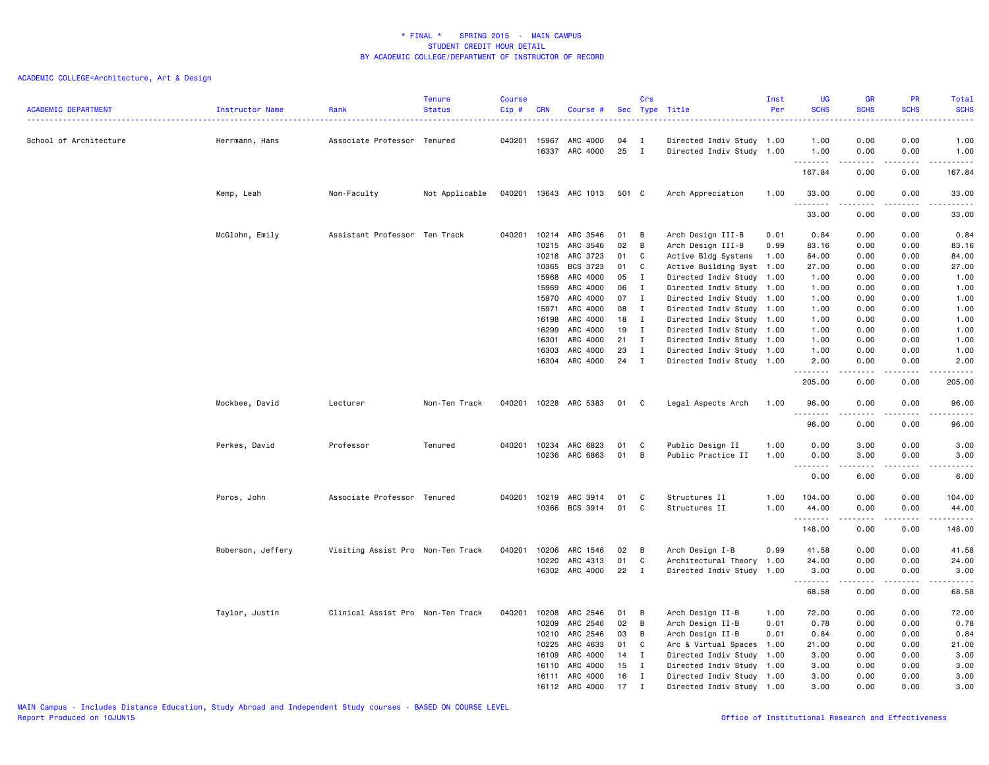| <b>ACADEMIC DEPARTMENT</b> | Instructor Name   | Rank                              | <b>Tenure</b><br><b>Status</b> | <b>Course</b><br>Cip# | <b>CRN</b>     | Course #             | Sec      | Crs          | Type Title                                             | Inst<br>Per | <b>UG</b><br><b>SCHS</b> | GR<br><b>SCHS</b> | PR<br><b>SCHS</b>                   | <b>Total</b><br><b>SCHS</b><br>.                                                                                                                               |
|----------------------------|-------------------|-----------------------------------|--------------------------------|-----------------------|----------------|----------------------|----------|--------------|--------------------------------------------------------|-------------|--------------------------|-------------------|-------------------------------------|----------------------------------------------------------------------------------------------------------------------------------------------------------------|
| School of Architecture     | Herrmann, Hans    | Associate Professor Tenured       |                                | 040201                | 15967<br>16337 | ARC 4000<br>ARC 4000 | 04<br>25 | I<br>I       | Directed Indiv Study 1.00<br>Directed Indiv Study 1.00 |             | 1.00<br>1.00             | 0.00<br>0.00      | 0.00<br>0.00                        | 1.00<br>1.00                                                                                                                                                   |
|                            |                   |                                   |                                |                       |                |                      |          |              |                                                        |             | .<br>167.84              | 0.00              | $\sim$ $\sim$ $\sim$ $\sim$<br>0.00 | $\frac{1}{2} \left( \frac{1}{2} \right) \left( \frac{1}{2} \right) \left( \frac{1}{2} \right) \left( \frac{1}{2} \right) \left( \frac{1}{2} \right)$<br>167.84 |
|                            | Kemp, Leah        | Non-Faculty                       | Not Applicable                 | 040201                |                | 13643 ARC 1013       | 501 C    |              | Arch Appreciation                                      | 1.00        | 33.00<br>.               | 0.00<br>-----     | 0.00<br>.                           | 33.00<br>.                                                                                                                                                     |
|                            |                   |                                   |                                |                       |                |                      |          |              |                                                        |             | 33.00                    | 0.00              | 0.00                                | 33.00                                                                                                                                                          |
|                            | McGlohn, Emily    | Assistant Professor Ten Track     |                                | 040201                | 10214          | ARC 3546             | 01       | В            | Arch Design III-B                                      | 0.01        | 0.84                     | 0.00              | 0.00                                | 0.84                                                                                                                                                           |
|                            |                   |                                   |                                |                       | 10215          | ARC 3546             | 02       | B            | Arch Design III-B                                      | 0.99        | 83.16                    | 0.00              | 0.00                                | 83.16                                                                                                                                                          |
|                            |                   |                                   |                                |                       | 10218          | ARC 3723             | 01       | C            | Active Bldg Systems                                    | 1.00        | 84.00                    | 0.00              | 0.00                                | 84.00                                                                                                                                                          |
|                            |                   |                                   |                                |                       | 10365          | BCS 3723             | 01       | C            | Active Building Syst 1.00                              |             | 27.00                    | 0.00              | 0.00                                | 27.00                                                                                                                                                          |
|                            |                   |                                   |                                |                       | 15968          | ARC 4000             | 05       | $\mathbf I$  | Directed Indiv Study 1.00                              |             | 1.00                     | 0.00              | 0.00                                | 1.00                                                                                                                                                           |
|                            |                   |                                   |                                |                       | 15969          | ARC 4000             | 06       | I            | Directed Indiv Study 1.00                              |             | 1.00                     | 0.00              | 0.00                                | 1.00                                                                                                                                                           |
|                            |                   |                                   |                                |                       | 15970          | ARC 4000             | 07       | $\mathbf{I}$ | Directed Indiv Study 1.00                              |             | 1.00                     | 0.00              | 0.00                                | 1.00                                                                                                                                                           |
|                            |                   |                                   |                                |                       | 15971          | ARC 4000             | 08       | I            | Directed Indiv Study 1.00                              |             | 1.00                     | 0.00              | 0.00                                | 1.00                                                                                                                                                           |
|                            |                   |                                   |                                |                       | 16198          | ARC 4000             | 18       | I            | Directed Indiv Study 1.00                              |             | 1.00                     | 0.00              | 0.00                                | 1.00                                                                                                                                                           |
|                            |                   |                                   |                                |                       | 16299          | ARC 4000             | 19       | $\mathbf{I}$ | Directed Indiv Study 1.00                              |             | 1.00                     | 0.00              | 0.00                                | 1.00                                                                                                                                                           |
|                            |                   |                                   |                                |                       | 16301          | ARC 4000             | 21       | $\mathbf I$  | Directed Indiv Study 1.00                              |             | 1.00                     | 0.00              | 0.00                                | 1.00                                                                                                                                                           |
|                            |                   |                                   |                                |                       | 16303          | ARC 4000             | 23       | $\mathbf{I}$ | Directed Indiv Study 1.00                              |             | 1.00                     | 0.00              | 0.00                                | 1.00                                                                                                                                                           |
|                            |                   |                                   |                                |                       | 16304          | ARC 4000             | 24       | $\mathbf I$  | Directed Indiv Study 1.00                              |             | 2.00<br>.                | 0.00              | 0.00<br>$\frac{1}{2}$               | 2.00<br>-----                                                                                                                                                  |
|                            |                   |                                   |                                |                       |                |                      |          |              |                                                        |             | 205.00                   | 0.00              | 0.00                                | 205.00                                                                                                                                                         |
|                            | Mockbee, David    | Lecturer                          | Non-Ten Track                  | 040201                |                | 10228 ARC 5383       | 01       | C            | Legal Aspects Arch                                     | 1.00        | 96.00<br>.               | 0.00              | 0.00<br>.                           | 96.00<br>-----                                                                                                                                                 |
|                            |                   |                                   |                                |                       |                |                      |          |              |                                                        |             | 96.00                    | 0.00              | 0.00                                | 96.00                                                                                                                                                          |
|                            | Perkes, David     | Professor                         | Tenured                        | 040201                | 10234          | ARC 6823             | 01       | C            | Public Design II                                       | 1.00        | 0.00                     | 3.00              | 0.00                                | 3.00                                                                                                                                                           |
|                            |                   |                                   |                                |                       | 10236          | ARC 6863             | 01       | B            | Public Practice II                                     | 1.00        | 0.00                     | 3.00              | 0.00                                | 3.00                                                                                                                                                           |
|                            |                   |                                   |                                |                       |                |                      |          |              |                                                        |             | .<br>0.00                | 6.00              | 0.00                                | 6.00                                                                                                                                                           |
|                            | Poros, John       | Associate Professor Tenured       |                                | 040201                | 10219          | ARC 3914             | 01       | C            | Structures II                                          | 1.00        | 104.00                   | 0.00              | 0.00                                | 104.00                                                                                                                                                         |
|                            |                   |                                   |                                |                       | 10366          | BCS 3914             | 01       | C            | Structures II                                          | 1.00        | 44.00                    | 0.00              | 0.00                                | 44.00                                                                                                                                                          |
|                            |                   |                                   |                                |                       |                |                      |          |              |                                                        |             | .                        |                   |                                     | $    -$                                                                                                                                                        |
|                            |                   |                                   |                                |                       |                |                      |          |              |                                                        |             | 148.00                   | 0.00              | 0.00                                | 148.00                                                                                                                                                         |
|                            | Roberson, Jeffery | Visiting Assist Pro Non-Ten Track |                                | 040201                | 10206          | ARC 1546             | 02       | B            | Arch Design I-B                                        | 0.99        | 41.58                    | 0.00              | 0.00                                | 41.58                                                                                                                                                          |
|                            |                   |                                   |                                |                       | 10220          | ARC 4313             | 01       | $\mathsf{C}$ | Architectural Theory 1.00                              |             | 24.00                    | 0.00              | 0.00                                | 24.00                                                                                                                                                          |
|                            |                   |                                   |                                |                       | 16302          | ARC 4000             | 22       | I            | Directed Indiv Study                                   | 1.00        | 3.00<br>.                | 0.00              | 0.00<br>الأعامات                    | 3.00<br>د د د د د                                                                                                                                              |
|                            |                   |                                   |                                |                       |                |                      |          |              |                                                        |             | 68.58                    | .<br>0.00         | 0.00                                | 68.58                                                                                                                                                          |
|                            | Taylor, Justin    | Clinical Assist Pro Non-Ten Track |                                | 040201                | 10208          | ARC 2546             | 01       | B            | Arch Design II-B                                       | 1.00        | 72.00                    | 0.00              | 0.00                                | 72.00                                                                                                                                                          |
|                            |                   |                                   |                                |                       | 10209          | ARC 2546             | 02       | B            | Arch Design II-B                                       | 0.01        | 0.78                     | 0.00              | 0.00                                | 0.78                                                                                                                                                           |
|                            |                   |                                   |                                |                       | 10210          | ARC 2546             | 03       | B            | Arch Design II-B                                       | 0.01        | 0.84                     | 0.00              | 0.00                                | 0.84                                                                                                                                                           |
|                            |                   |                                   |                                |                       | 10225          | ARC 4633             | 01       | C            | Arc & Virtual Spaces 1.00                              |             | 21.00                    | 0.00              | 0.00                                | 21.00                                                                                                                                                          |
|                            |                   |                                   |                                |                       | 16109          | ARC 4000             | 14       | Ι            | Directed Indiv Study 1.00                              |             | 3.00                     | 0.00              | 0.00                                | 3.00                                                                                                                                                           |
|                            |                   |                                   |                                |                       | 16110          | ARC 4000             | 15       | $\mathbf I$  | Directed Indiv Study 1.00                              |             | 3.00                     | 0.00              | 0.00                                | 3.00                                                                                                                                                           |
|                            |                   |                                   |                                |                       | 16111          | ARC 4000             | 16       | $\mathbf{I}$ | Directed Indiv Study 1.00                              |             | 3.00                     | 0.00              | 0.00                                | 3.00                                                                                                                                                           |
|                            |                   |                                   |                                |                       | 16112          | ARC 4000             | 17       | $\mathbf I$  | Directed Indiv Study 1.00                              |             | 3.00                     | 0.00              | 0.00                                | 3.00                                                                                                                                                           |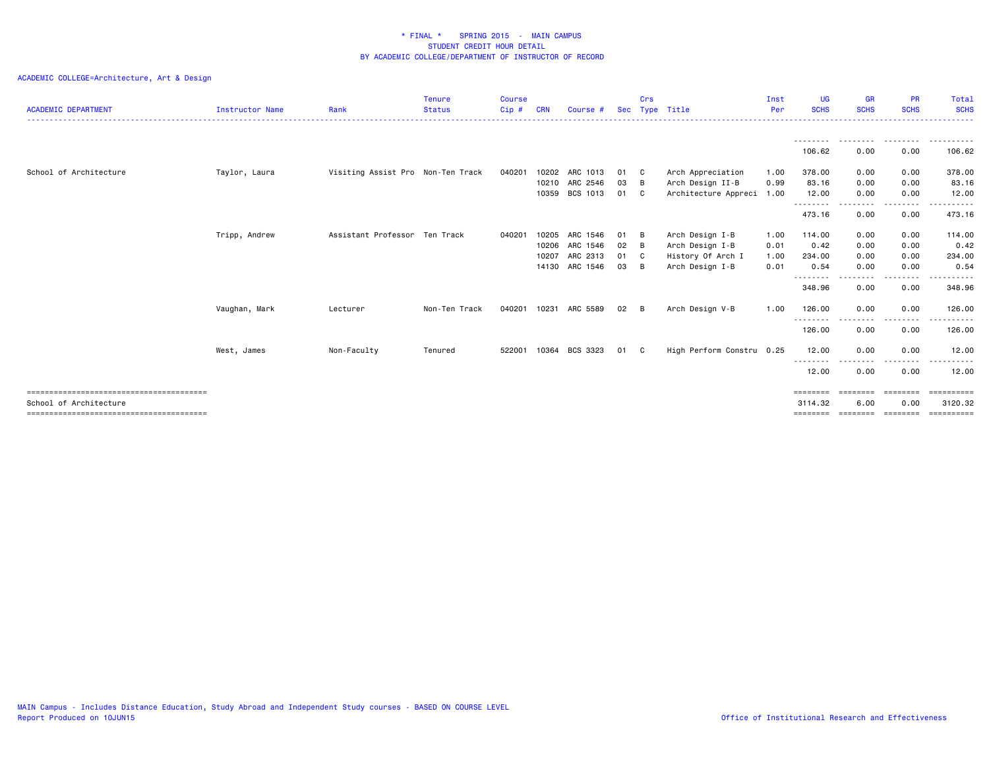| <b>ACADEMIC DEPARTMENT</b> | Instructor Name | Rank                              | <b>Tenure</b><br><b>Status</b> | <b>Course</b><br>Cip# | CRN   | Course #       |      | Crs                        | Sec Type Title            | Inst<br>Per | <b>UG</b><br><b>SCHS</b> | <b>GR</b><br><b>SCHS</b> | <b>PR</b><br><b>SCHS</b> | <b>Total</b><br><b>SCHS</b><br>. |
|----------------------------|-----------------|-----------------------------------|--------------------------------|-----------------------|-------|----------------|------|----------------------------|---------------------------|-------------|--------------------------|--------------------------|--------------------------|----------------------------------|
|                            |                 |                                   |                                |                       |       |                |      |                            |                           |             | ---------                | .                        | .                        | .                                |
|                            |                 |                                   |                                |                       |       |                |      |                            |                           |             | 106.62                   | 0.00                     | 0.00                     | 106.62                           |
| School of Architecture     | Taylor, Laura   | Visiting Assist Pro Non-Ten Track |                                | 040201                | 10202 | ARC 1013       | 01   | $\overline{\phantom{a}}$ C | Arch Appreciation         | 1.00        | 378.00                   | 0.00                     | 0.00                     | 378.00                           |
|                            |                 |                                   |                                |                       |       | 10210 ARC 2546 | 03   | - B                        | Arch Design II-B          | 0.99        | 83.16                    | 0.00                     | 0.00                     | 83.16                            |
|                            |                 |                                   |                                |                       | 10359 | BCS 1013       | 01   | $\mathbf{C}$               | Architecture Appreci 1.00 |             | 12.00<br>--------        | 0.00<br>. <u>.</u> .     | 0.00<br>.                | 12.00<br>.                       |
|                            |                 |                                   |                                |                       |       |                |      |                            |                           |             | 473.16                   | 0.00                     | 0.00                     | 473.16                           |
|                            | Tripp, Andrew   | Assistant Professor Ten Track     |                                | 040201                | 10205 | ARC 1546       | 01   | - B                        | Arch Design I-B           | 1.00        | 114.00                   | 0.00                     | 0.00                     | 114.00                           |
|                            |                 |                                   |                                |                       | 10206 | ARC 1546       | 02   | $\overline{B}$             | Arch Design I-B           | 0.01        | 0.42                     | 0.00                     | 0.00                     | 0.42                             |
|                            |                 |                                   |                                |                       | 10207 | ARC 2313       | 01   | $\mathbf{C}$               | History Of Arch I         | 1.00        | 234.00                   | 0.00                     | 0.00                     | 234.00                           |
|                            |                 |                                   |                                |                       |       | 14130 ARC 1546 | 03   | - B                        | Arch Design I-B           | 0.01        | 0.54                     | 0.00                     | 0.00                     | 0.54                             |
|                            |                 |                                   |                                |                       |       |                |      |                            |                           |             | --------<br>348.96       | .<br>0.00                | . <u>.</u> .<br>0.00     | .<br>348.96                      |
|                            | Vaughan, Mark   | Lecturer                          | Non-Ten Track                  | 040201                | 10231 | ARC 5589       | 02   | B                          | Arch Design V-B           | 1.00        | 126.00<br>---------      | 0.00                     | 0.00                     | 126.00                           |
|                            |                 |                                   |                                |                       |       |                |      |                            |                           |             | 126.00                   | 0.00                     | 0.00                     | 126.00                           |
|                            | West, James     | Non-Faculty                       | Tenured                        | 522001                |       | 10364 BCS 3323 | 01 C |                            | High Perform Constru 0.25 |             | 12.00<br>--------        | 0.00                     | 0.00                     | 12.00<br>. <b>.</b> .            |
|                            |                 |                                   |                                |                       |       |                |      |                            |                           |             | 12.00                    | 0.00                     | 0.00                     | 12.00                            |
|                            |                 |                                   |                                |                       |       |                |      |                            |                           |             | ========                 | ========                 | ========                 | ==========                       |
| School of Architecture     |                 |                                   |                                |                       |       |                |      |                            |                           |             | 3114.32                  | 6.00                     | 0.00                     | 3120.32                          |
|                            |                 |                                   |                                |                       |       |                |      |                            |                           |             | ========                 | ========                 | ========                 | ==========                       |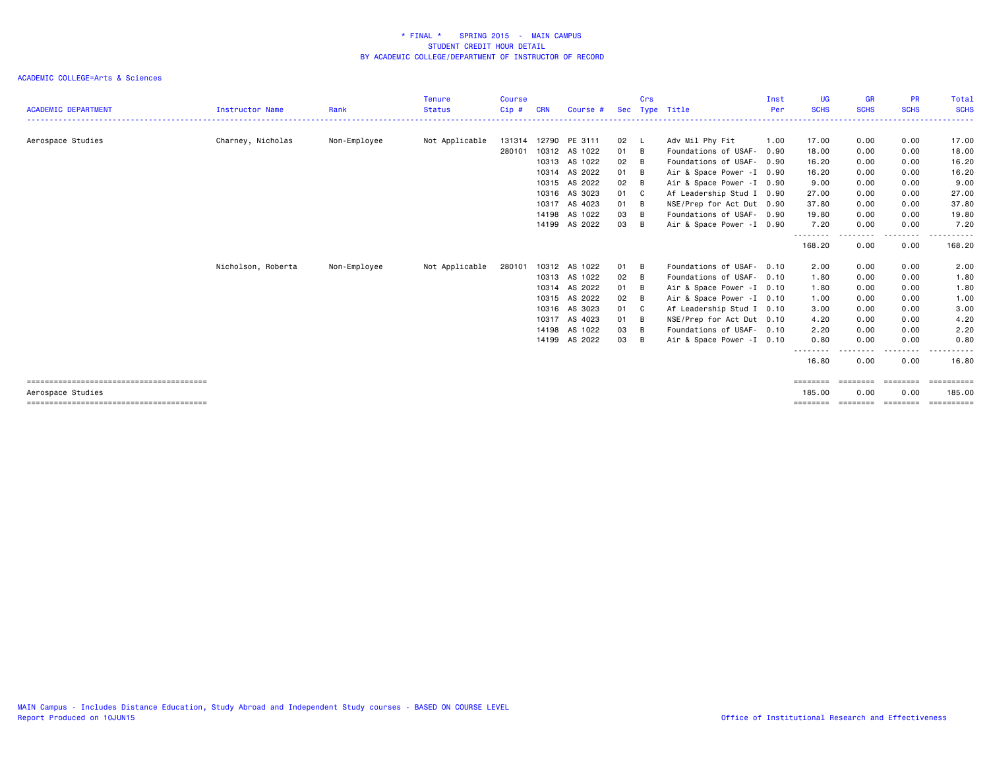| <b>ACADEMIC DEPARTMENT</b> | Instructor Name    | Rank         | <b>Tenure</b><br><b>Status</b> | <b>Course</b><br>Cip# | <b>CRN</b> | Course #      | Sec  | Crs            | Type Title                 | Inst<br>Per | <b>UG</b><br><b>SCHS</b> | <b>GR</b><br><b>SCHS</b> | <b>PR</b><br><b>SCHS</b> | Total<br><b>SCHS</b> |
|----------------------------|--------------------|--------------|--------------------------------|-----------------------|------------|---------------|------|----------------|----------------------------|-------------|--------------------------|--------------------------|--------------------------|----------------------|
|                            |                    |              |                                |                       |            |               |      |                |                            |             |                          |                          |                          |                      |
| Aerospace Studies          | Charney, Nicholas  | Non-Employee | Not Applicable                 | 131314                | 12790      | PE 3111       | 02   | - 1            | Adv Mil Phy Fit            | 1.00        | 17.00                    | 0.00                     | 0.00                     | 17.00                |
|                            |                    |              |                                | 280101                | 10312      | AS 1022       | 01   | $\overline{B}$ | Foundations of USAF-       | 0.90        | 18.00                    | 0.00                     | 0.00                     | 18.00                |
|                            |                    |              |                                |                       | 10313      | AS 1022       | 02   | B              | Foundations of USAF-       | 0.90        | 16.20                    | 0.00                     | 0.00                     | 16.20                |
|                            |                    |              |                                |                       |            | 10314 AS 2022 | 01   | B              | Air & Space Power - I 0.90 |             | 16.20                    | 0.00                     | 0.00                     | 16.20                |
|                            |                    |              |                                |                       | 10315      | AS 2022       | 02   | $\overline{B}$ | Air & Space Power - I 0.90 |             | 9.00                     | 0.00                     | 0.00                     | 9.00                 |
|                            |                    |              |                                |                       |            | 10316 AS 3023 | 01 C |                | Af Leadership Stud I 0.90  |             | 27.00                    | 0.00                     | 0.00                     | 27.00                |
|                            |                    |              |                                |                       |            | 10317 AS 4023 | 01   | - B            | NSE/Prep for Act Dut 0.90  |             | 37.80                    | 0.00                     | 0.00                     | 37.80                |
|                            |                    |              |                                |                       | 14198      | AS 1022       | 03   | B              | Foundations of USAF- 0.90  |             | 19.80                    | 0.00                     | 0.00                     | 19.80                |
|                            |                    |              |                                |                       |            | 14199 AS 2022 | 03   | B              | Air & Space Power - I 0.90 |             | 7.20                     | 0.00                     | 0.00                     | 7.20                 |
|                            |                    |              |                                |                       |            |               |      |                |                            |             | ---------<br>168.20      | - - - - - -<br>0.00      | <u>.</u><br>0.00         | .<br>168.20          |
|                            | Nicholson, Roberta | Non-Employee | Not Applicable                 | 280101                | 10312      | AS 1022       | 01 B |                | Foundations of USAF-       | 0.10        | 2.00                     | 0.00                     | 0.00                     | 2.00                 |
|                            |                    |              |                                |                       |            | 10313 AS 1022 | 02   | B              | Foundations of USAF- 0.10  |             | 1.80                     | 0.00                     | 0.00                     | 1.80                 |
|                            |                    |              |                                |                       | 10314      | AS 2022       | 01   | - B            | Air & Space Power - I 0.10 |             | 1.80                     | 0.00                     | 0.00                     | 1.80                 |
|                            |                    |              |                                |                       |            | 10315 AS 2022 | 02   | B              | Air & Space Power -I 0.10  |             | 1.00                     | 0.00                     | 0.00                     | 1.00                 |
|                            |                    |              |                                |                       |            | 10316 AS 3023 | 01   | C C            | Af Leadership Stud I 0.10  |             | 3.00                     | 0.00                     | 0.00                     | 3.00                 |
|                            |                    |              |                                |                       | 10317      | AS 4023       | 01   | - B            | NSE/Prep for Act Dut 0.10  |             | 4.20                     | 0.00                     | 0.00                     | 4.20                 |
|                            |                    |              |                                |                       |            | 14198 AS 1022 | 03   | B              | Foundations of USAF- 0.10  |             | 2.20                     | 0.00                     | 0.00                     | 2.20                 |
|                            |                    |              |                                |                       | 14199      | AS 2022       | 03   | B              | Air & Space Power -I 0.10  |             | 0.80                     | 0.00                     | 0.00                     | 0.80                 |
|                            |                    |              |                                |                       |            |               |      |                |                            |             |                          |                          |                          |                      |
|                            |                    |              |                                |                       |            |               |      |                |                            |             | 16.80                    | 0.00                     | 0.00                     | 16.80                |
|                            |                    |              |                                |                       |            |               |      |                |                            |             | ========                 | ========                 | ========                 | ==========           |
| Aerospace Studies          |                    |              |                                |                       |            |               |      |                |                            |             | 185.00                   | 0.00                     | 0.00                     | 185,00               |
|                            |                    |              |                                |                       |            |               |      |                |                            |             | ========                 | ========                 | ========                 | ==========           |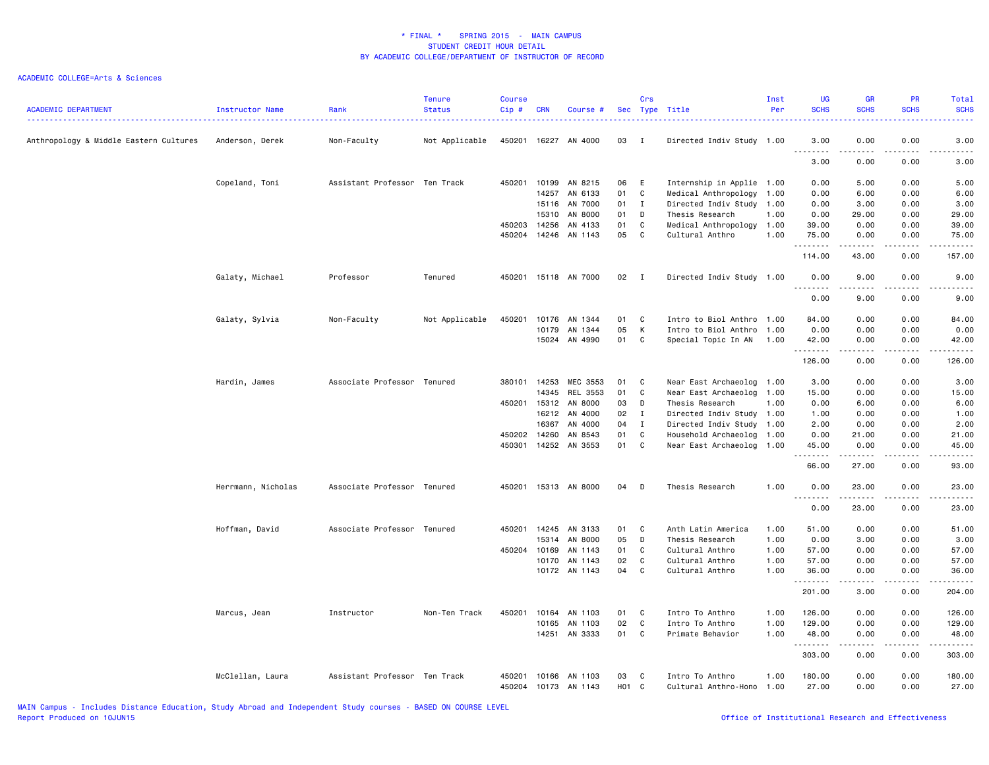| <b>ACADEMIC DEPARTMENT</b>             | Instructor Name    | Rank<br>.                     | <b>Tenure</b><br><b>Status</b> | <b>Course</b><br>Cip# | <b>CRN</b> | Course #      |       | Crs          | Sec Type Title            | Inst<br>Per | <b>UG</b><br><b>SCHS</b> | <b>GR</b><br><b>SCHS</b> | <b>PR</b><br><b>SCHS</b>     | Total<br><b>SCHS</b><br>$- - - -$                                                                                                                             |
|----------------------------------------|--------------------|-------------------------------|--------------------------------|-----------------------|------------|---------------|-------|--------------|---------------------------|-------------|--------------------------|--------------------------|------------------------------|---------------------------------------------------------------------------------------------------------------------------------------------------------------|
| Anthropology & Middle Eastern Cultures | Anderson, Derek    | Non-Faculty                   | Not Applicable                 | 450201                |            | 16227 AN 4000 | 03    | $\mathbf{I}$ | Directed Indiv Study 1.00 |             | 3.00                     | 0.00                     | 0.00                         | 3.00                                                                                                                                                          |
|                                        |                    |                               |                                |                       |            |               |       |              |                           |             | 3.00                     | 0.00                     | 0.00                         | 3.00                                                                                                                                                          |
|                                        | Copeland, Toni     | Assistant Professor Ten Track |                                | 450201                | 10199      | AN 8215       | 06    | E            | Internship in Applie 1.00 |             | 0.00                     | 5.00                     | 0.00                         | 5.00                                                                                                                                                          |
|                                        |                    |                               |                                |                       | 14257      | AN 6133       | 01    | C            | Medical Anthropology      | 1.00        | 0.00                     | 6.00                     | 0.00                         | 6.00                                                                                                                                                          |
|                                        |                    |                               |                                |                       | 15116      | AN 7000       | 01    | $\mathbf{I}$ | Directed Indiv Study      | 1.00        | 0.00                     | 3.00                     | 0.00                         | 3.00                                                                                                                                                          |
|                                        |                    |                               |                                |                       | 15310      | AN 8000       | 01    | D            | Thesis Research           | 1.00        | 0.00                     | 29.00                    | 0.00                         | 29.00                                                                                                                                                         |
|                                        |                    |                               |                                | 450203                | 14256      | AN 4133       | 01    | C            | Medical Anthropology 1.00 |             | 39.00                    | 0.00                     | 0.00                         | 39.00                                                                                                                                                         |
|                                        |                    |                               |                                | 450204                | 14246      | AN 1143       | 05    | $\mathbb C$  | Cultural Anthro           | 1.00        | 75.00<br>-----           | 0.00                     | 0.00<br>$- - -$              | 75.00                                                                                                                                                         |
|                                        |                    |                               |                                |                       |            |               |       |              |                           |             | 114.00                   | 43.00                    | 0.00                         | 157.00                                                                                                                                                        |
|                                        | Galaty, Michael    | Professor                     | Tenured                        | 450201                |            | 15118 AN 7000 | 02 I  |              | Directed Indiv Study 1.00 |             | 0.00                     | 9.00                     | 0.00                         | 9.00                                                                                                                                                          |
|                                        |                    |                               |                                |                       |            |               |       |              |                           |             | 0.00                     | 9.00                     | 0.00                         | 9.00                                                                                                                                                          |
|                                        | Galaty, Sylvia     | Non-Faculty                   | Not Applicable                 | 450201                | 10176      | AN 1344       | 01    | C            | Intro to Biol Anthro      | 1.00        | 84.00                    | 0.00                     | 0.00                         | 84.00                                                                                                                                                         |
|                                        |                    |                               |                                |                       | 10179      | AN 1344       | 05    | К            | Intro to Biol Anthro      | 1.00        | 0.00                     | 0.00                     | 0.00                         | 0.00                                                                                                                                                          |
|                                        |                    |                               |                                |                       | 15024      | AN 4990       | 01    | C            | Special Topic In AN       | 1.00        | 42.00                    | 0.00                     | 0.00                         | 42.00                                                                                                                                                         |
|                                        |                    |                               |                                |                       |            |               |       |              |                           |             | .<br>126.00              | 0.00                     | $\sim$ $\sim$ $\sim$<br>0.00 | والمستحدث<br>126.00                                                                                                                                           |
|                                        | Hardin, James      | Associate Professor Tenured   |                                | 380101                | 14253      | MEC 3553      | 01    | C            | Near East Archaeolog 1.00 |             | 3.00                     | 0.00                     | 0.00                         | 3.00                                                                                                                                                          |
|                                        |                    |                               |                                |                       | 14345      | REL 3553      | 01    | $\mathbb C$  | Near East Archaeolog 1.00 |             | 15.00                    | 0.00                     | 0.00                         | 15.00                                                                                                                                                         |
|                                        |                    |                               |                                | 450201                | 15312      | AN 8000       | 03    | D            | Thesis Research           | 1.00        | 0.00                     | 6.00                     | 0.00                         | 6.00                                                                                                                                                          |
|                                        |                    |                               |                                |                       | 16212      | AN 4000       | 02    | $\mathbf{I}$ | Directed Indiv Study      | 1.00        | 1.00                     | 0.00                     | 0.00                         | 1.00                                                                                                                                                          |
|                                        |                    |                               |                                |                       | 16367      | AN 4000       | 04    | $\mathbf{I}$ | Directed Indiv Study 1.00 |             | 2.00                     | 0.00                     | 0.00                         | 2.00                                                                                                                                                          |
|                                        |                    |                               |                                | 450202                | 14260      | AN 8543       | 01    | C            | Household Archaeolog 1.00 |             | 0.00                     | 21.00                    | 0.00                         | 21.00                                                                                                                                                         |
|                                        |                    |                               |                                | 450301                | 14252      | AN 3553       | 01    | $\mathbb C$  | Near East Archaeolog      | 1.00        | 45.00                    | 0.00                     | 0.00                         | 45.00                                                                                                                                                         |
|                                        |                    |                               |                                |                       |            |               |       |              |                           |             | .<br>66.00               | 27.00                    | 0.00                         | $\frac{1}{2} \left( \frac{1}{2} \right) \left( \frac{1}{2} \right) \left( \frac{1}{2} \right) \left( \frac{1}{2} \right) \left( \frac{1}{2} \right)$<br>93.00 |
|                                        | Herrmann, Nicholas | Associate Professor Tenured   |                                | 450201                |            | 15313 AN 8000 | 04    | D            | Thesis Research           | 1.00        | 0.00                     | 23.00                    | 0.00                         | 23.00                                                                                                                                                         |
|                                        |                    |                               |                                |                       |            |               |       |              |                           |             | 0.00                     | 23.00                    | 0.00                         | . <u>.</u> .<br>23.00                                                                                                                                         |
|                                        | Hoffman, David     | Associate Professor Tenured   |                                | 450201                | 14245      | AN 3133       | 01    | C            | Anth Latin America        | 1.00        | 51.00                    | 0.00                     | 0.00                         | 51.00                                                                                                                                                         |
|                                        |                    |                               |                                |                       | 15314      | AN 8000       | 05    | D            | Thesis Research           | 1.00        | 0.00                     | 3.00                     | 0.00                         | 3.00                                                                                                                                                          |
|                                        |                    |                               |                                | 450204                | 10169      | AN 1143       | 01    | C            | Cultural Anthro           | 1.00        | 57.00                    | 0.00                     | 0.00                         | 57.00                                                                                                                                                         |
|                                        |                    |                               |                                |                       | 10170      | AN 1143       | 02    | $\mathbb C$  | Cultural Anthro           | 1.00        | 57.00                    | 0.00                     | 0.00                         | 57.00                                                                                                                                                         |
|                                        |                    |                               |                                |                       |            | 10172 AN 1143 | 04    | C            | Cultural Anthro           | 1.00        | 36.00<br>.               | 0.00<br>.                | 0.00<br>.                    | 36.00<br>.                                                                                                                                                    |
|                                        |                    |                               |                                |                       |            |               |       |              |                           |             | 201.00                   | 3.00                     | 0.00                         | 204.00                                                                                                                                                        |
|                                        | Marcus, Jean       | Instructor                    | Non-Ten Track                  | 450201                | 10164      | AN 1103       | 01    | C            | Intro To Anthro           | 1.00        | 126.00                   | 0.00                     | 0.00                         | 126.00                                                                                                                                                        |
|                                        |                    |                               |                                |                       | 10165      | AN 1103       | 02    | C            | Intro To Anthro           | 1.00        | 129.00                   | 0.00                     | 0.00                         | 129.00                                                                                                                                                        |
|                                        |                    |                               |                                |                       |            | 14251 AN 3333 | 01    | C            | Primate Behavior          | 1.00        | 48.00                    | 0.00                     | 0.00                         | 48.00<br>.                                                                                                                                                    |
|                                        |                    |                               |                                |                       |            |               |       |              |                           |             | 303.00                   | .<br>0.00                | .<br>0.00                    | 303.00                                                                                                                                                        |
|                                        | McClellan, Laura   | Assistant Professor Ten Track |                                | 450201                | 10166      | AN 1103       | 03    | C            | Intro To Anthro           | 1.00        | 180.00                   | 0.00                     | 0.00                         | 180.00                                                                                                                                                        |
|                                        |                    |                               |                                | 450204                |            | 10173 AN 1143 | H01 C |              | Cultural Anthro-Hono      | 1.00        | 27.00                    | 0.00                     | 0.00                         | 27.00                                                                                                                                                         |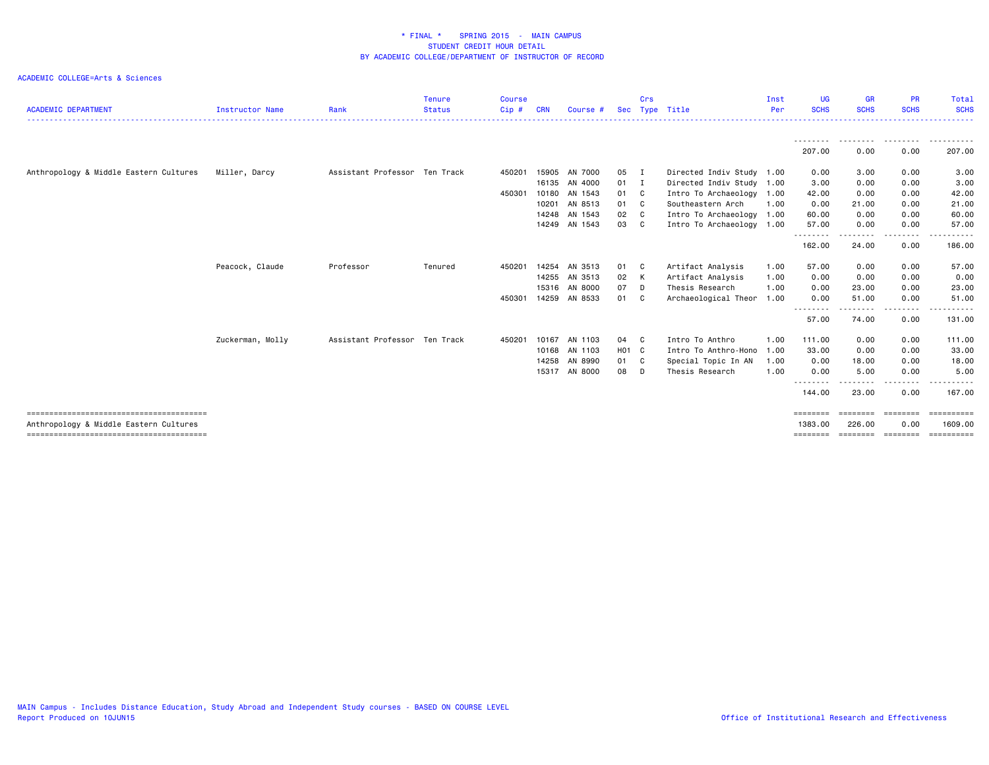| <b>ACADEMIC DEPARTMENT</b>             | <b>Instructor Name</b> | Rank                          | <b>Tenure</b><br><b>Status</b> | <b>Course</b><br>Cip# | <b>CRN</b> | Course #      | <b>Sec</b> | Crs | Type Title                | Inst<br>Per | UG.<br><b>SCHS</b> | <b>GR</b><br><b>SCHS</b> | <b>PR</b><br><b>SCHS</b> | Total<br><b>SCHS</b>  |
|----------------------------------------|------------------------|-------------------------------|--------------------------------|-----------------------|------------|---------------|------------|-----|---------------------------|-------------|--------------------|--------------------------|--------------------------|-----------------------|
|                                        |                        |                               |                                |                       |            |               |            |     |                           |             |                    |                          |                          |                       |
|                                        |                        |                               |                                |                       |            |               |            |     |                           |             | 207.00             | 0.00                     | 0.00                     | 207.00                |
| Anthropology & Middle Eastern Cultures | Miller, Darcy          | Assistant Professor Ten Track |                                | 450201                | 15905      | AN 7000       | 05 I       |     | Directed Indiv Study 1.00 |             | 0.00               | 3.00                     | 0.00                     | 3.00                  |
|                                        |                        |                               |                                |                       | 16135      | AN 4000       | $01$ I     |     | Directed Indiv Study 1.00 |             | 3.00               | 0.00                     | 0.00                     | 3.00                  |
|                                        |                        |                               |                                | 450301                | 10180      | AN 1543       | 01 C       |     | Intro To Archaeology      | 1.00        | 42.00              | 0.00                     | 0.00                     | 42.00                 |
|                                        |                        |                               |                                |                       | 10201      | AN 8513       | 01 C       |     | Southeastern Arch         | 1.00        | 0.00               | 21.00                    | 0.00                     | 21.00                 |
|                                        |                        |                               |                                |                       | 14248      | AN 1543       | 02 C       |     | Intro To Archaeology 1.00 |             | 60.00              | 0.00                     | 0.00                     | 60.00                 |
|                                        |                        |                               |                                |                       | 14249      | AN 1543       | 03 C       |     | Intro To Archaeology 1.00 |             | 57.00              | 0.00                     | 0.00                     | 57.00                 |
|                                        |                        |                               |                                |                       |            |               |            |     |                           |             | .<br>162.00        | .<br>24.00               | .<br>0.00                | .<br>186.00           |
|                                        | Peacock, Claude        | Professor                     | Tenured                        | 450201                | 14254      | AN 3513       | 01 C       |     | Artifact Analysis         | 1.00        | 57.00              | 0.00                     | 0.00                     | 57.00                 |
|                                        |                        |                               |                                |                       | 14255      | AN 3513       | 02 K       |     | Artifact Analysis         | 1.00        | 0.00               | 0.00                     | 0.00                     | 0.00                  |
|                                        |                        |                               |                                |                       | 15316      | AN 8000       | 07 D       |     | Thesis Research           | 1.00        | 0.00               | 23.00                    | 0.00                     | 23.00                 |
|                                        |                        |                               |                                | 450301                | 14259      | AN 8533       | 01 C       |     | Archaeological Theor      | 1.00        | 0.00               | 51.00                    | 0.00                     | 51.00                 |
|                                        |                        |                               |                                |                       |            |               |            |     |                           |             | --------<br>57.00  | . <b>.</b> .<br>74.00    | .<br>0.00                | .<br>131.00           |
|                                        | Zuckerman, Molly       | Assistant Professor Ten Track |                                | 450201                | 10167      | AN 1103       | 04 C       |     | Intro To Anthro           | 1.00        | 111.00             | 0.00                     | 0.00                     | 111.00                |
|                                        |                        |                               |                                |                       | 10168      | AN 1103       | H01 C      |     | Intro To Anthro-Hono      | 1.00        | 33.00              | 0.00                     | 0.00                     | 33.00                 |
|                                        |                        |                               |                                |                       | 14258      | AN 8990       | 01 C       |     | Special Topic In AN       | 1.00        | 0.00               | 18.00                    | 0.00                     | 18.00                 |
|                                        |                        |                               |                                |                       |            | 15317 AN 8000 | 08 D       |     | Thesis Research           | 1.00        | 0.00               | 5.00                     | 0.00                     | 5.00                  |
|                                        |                        |                               |                                |                       |            |               |            |     |                           |             | --------<br>144.00 | .<br>23.00               | .<br>0.00                | -------<br>167.00     |
|                                        |                        |                               |                                |                       |            |               |            |     |                           |             | ========           |                          | ========                 | $=$ = = = = = = = = = |
| Anthropology & Middle Eastern Cultures |                        |                               |                                |                       |            |               |            |     |                           |             | 1383.00            | 226.00                   | 0.00                     | 1609.00               |
|                                        |                        |                               |                                |                       |            |               |            |     |                           |             | ========           |                          | ======== ========        | ==========            |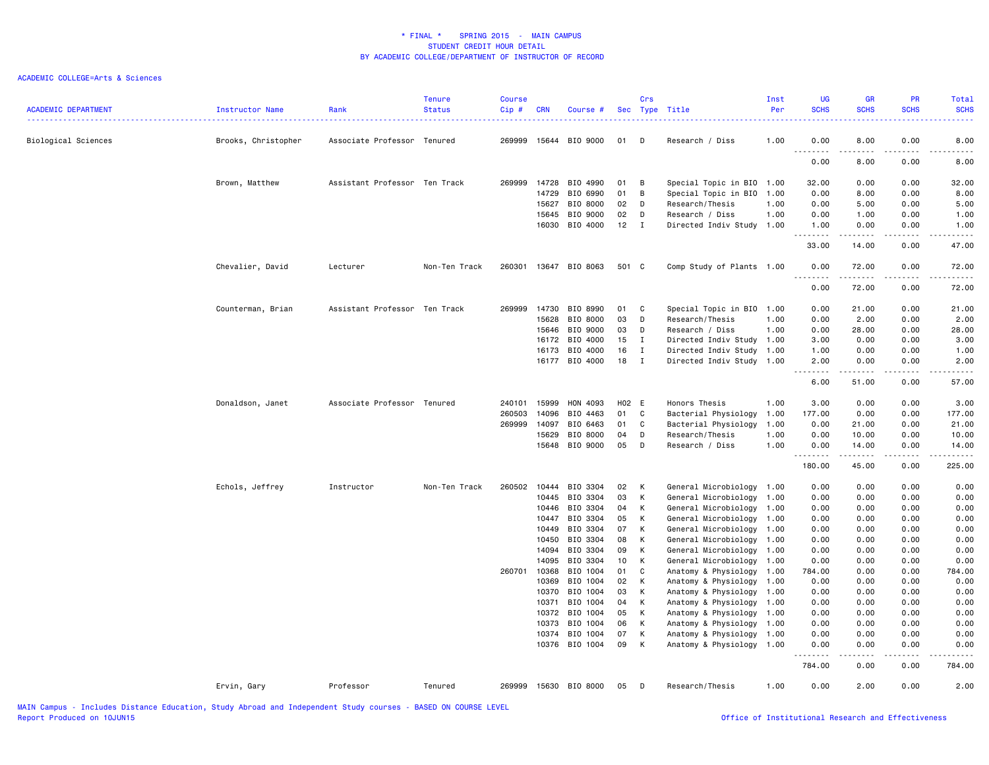| <b>ACADEMIC DEPARTMENT</b> | Instructor Name     | Rank                          | <b>Tenure</b><br><b>Status</b> | <b>Course</b><br>Cip# | <b>CRN</b>     | Course #             |          | Crs          | Sec Type Title                               | Inst<br>Per  | <b>UG</b><br><b>SCHS</b>            | <b>GR</b><br><b>SCHS</b> | <b>PR</b><br><b>SCHS</b> | <b>Total</b><br><b>SCHS</b>                                                                                                       |
|----------------------------|---------------------|-------------------------------|--------------------------------|-----------------------|----------------|----------------------|----------|--------------|----------------------------------------------|--------------|-------------------------------------|--------------------------|--------------------------|-----------------------------------------------------------------------------------------------------------------------------------|
| Biological Sciences        | Brooks, Christopher | Associate Professor Tenured   |                                | 269999                |                | 15644 BIO 9000       | 01       | D            | Research / Diss                              | 1.00         | 0.00                                | 8.00<br>$- - - - -$      | 0.00                     | 8.00<br>$\sim$ $\sim$ $\sim$ $\sim$                                                                                               |
|                            |                     |                               |                                |                       |                |                      |          |              |                                              |              | 0.00                                | 8.00                     | 0.00                     | 8.00                                                                                                                              |
|                            | Brown, Matthew      | Assistant Professor Ten Track |                                | 269999                | 14728          | BIO 4990             | 01       | B            | Special Topic in BIO 1.00                    |              | 32.00                               | 0.00                     | 0.00                     | 32.00                                                                                                                             |
|                            |                     |                               |                                |                       | 14729          | BIO 6990             | 01       | B            | Special Topic in BIO                         | 1.00         | 0.00                                | 8.00                     | 0.00                     | 8.00                                                                                                                              |
|                            |                     |                               |                                |                       | 15627          | BIO 8000             | 02       | D            | Research/Thesis                              | 1.00         | 0.00                                | 5.00                     | 0.00                     | 5.00                                                                                                                              |
|                            |                     |                               |                                |                       | 15645          | BIO 9000             | 02       | D            | Research / Diss                              | 1.00         | 0.00                                | 1.00                     | 0.00                     | 1.00                                                                                                                              |
|                            |                     |                               |                                |                       |                | 16030 BIO 4000       | 12       | I            | Directed Indiv Study 1.00                    |              | 1.00<br>-----                       | 0.00<br>. <b>.</b>       | 0.00<br>.                | 1.00<br>$\frac{1}{2} \left( \frac{1}{2} \right) \left( \frac{1}{2} \right) \left( \frac{1}{2} \right) \left( \frac{1}{2} \right)$ |
|                            |                     |                               |                                |                       |                |                      |          |              |                                              |              | 33.00                               | 14.00                    | 0.00                     | 47.00                                                                                                                             |
|                            | Chevalier, David    | Lecturer                      | Non-Ten Track                  | 260301                |                | 13647 BIO 8063       | 501 C    |              | Comp Study of Plants 1.00                    |              | 0.00<br>$\sim$ $\sim$ $\sim$ $\sim$ | 72.00<br>.               | 0.00<br>.                | 72.00<br>.                                                                                                                        |
|                            |                     |                               |                                |                       |                |                      |          |              |                                              |              | 0.00                                | 72.00                    | 0.00                     | 72.00                                                                                                                             |
|                            | Counterman, Brian   | Assistant Professor Ten Track |                                | 269999                | 14730          | BIO 8990             | 01       | C            | Special Topic in BIO 1.00                    |              | 0.00                                | 21.00                    | 0.00                     | 21.00                                                                                                                             |
|                            |                     |                               |                                |                       | 15628          | BIO 8000             | 03       | D            | Research/Thesis                              | 1.00         | 0.00                                | 2.00                     | 0.00                     | 2.00                                                                                                                              |
|                            |                     |                               |                                |                       | 15646          | BIO 9000             | 03       | D            | Research / Diss                              | 1.00         | 0.00                                | 28.00                    | 0.00                     | 28.00                                                                                                                             |
|                            |                     |                               |                                |                       | 16172          | BIO 4000             | 15       | $\mathbf{I}$ | Directed Indiv Study 1.00                    |              | 3.00                                | 0.00                     | 0.00                     | 3.00                                                                                                                              |
|                            |                     |                               |                                |                       | 16173          | BIO 4000             | 16       | $\mathbf{I}$ | Directed Indiv Study                         | 1.00         | 1.00                                | 0.00                     | 0.00                     | 1.00                                                                                                                              |
|                            |                     |                               |                                |                       |                | 16177 BIO 4000       | 18       | $\mathbf{I}$ | Directed Indiv Study 1.00                    |              | 2.00                                | 0.00<br>.                | 0.00<br>.                | 2.00<br>والمستحدث                                                                                                                 |
|                            |                     |                               |                                |                       |                |                      |          |              |                                              |              | 6.00                                | 51.00                    | 0.00                     | 57.00                                                                                                                             |
|                            | Donaldson, Janet    | Associate Professor Tenured   |                                | 240101                | 15999          | HON 4093             | H02 E    |              | Honors Thesis                                | 1.00         | 3.00                                | 0.00                     | 0.00                     | 3.00                                                                                                                              |
|                            |                     |                               |                                | 260503                | 14096          | BIO 4463             | 01       | C            | Bacterial Physiology                         | 1.00         | 177.00                              | 0.00                     | 0.00                     | 177.00                                                                                                                            |
|                            |                     |                               |                                | 269999                | 14097          | BIO 6463             | 01       | C            | Bacterial Physiology                         | 1.00         | 0.00                                | 21.00                    | 0.00                     | 21.00                                                                                                                             |
|                            |                     |                               |                                |                       | 15629          | BIO 8000             | 04       | D            | Research/Thesis                              | 1.00         | 0.00                                | 10.00                    | 0.00                     | 10.00                                                                                                                             |
|                            |                     |                               |                                |                       |                | 15648 BIO 9000       | 05       | D            | Research / Diss                              | 1.00         | 0.00<br>.                           | 14.00<br>.               | 0.00<br>.                | 14.00<br>.                                                                                                                        |
|                            |                     |                               |                                |                       |                |                      |          |              |                                              |              | 180.00                              | 45.00                    | 0.00                     | 225.00                                                                                                                            |
|                            | Echols, Jeffrey     | Instructor                    | Non-Ten Track                  | 260502                | 10444          | BIO 3304             | 02       | К            | General Microbiology                         | 1.00         | 0.00                                | 0.00                     | 0.00                     | 0.00                                                                                                                              |
|                            |                     |                               |                                |                       | 10445          | BIO 3304             | 03       | К            | General Microbiology                         | 1.00         | 0.00                                | 0.00                     | 0.00                     | 0.00                                                                                                                              |
|                            |                     |                               |                                |                       | 10446          | BIO 3304             | 04       | K            | General Microbiology                         | 1.00         | 0.00                                | 0.00                     | 0.00                     | 0.00                                                                                                                              |
|                            |                     |                               |                                |                       | 10447          | BIO 3304             | 05       | К            | General Microbiology                         | 1.00         | 0.00                                | 0.00                     | 0.00                     | 0.00                                                                                                                              |
|                            |                     |                               |                                |                       | 10449          | BIO 3304             | 07       | К            | General Microbiology                         | 1.00         | 0.00                                | 0.00                     | 0.00                     | 0.00                                                                                                                              |
|                            |                     |                               |                                |                       | 10450          | BIO 3304             | 08       | K            | General Microbiology                         | 1.00         | 0.00                                | 0.00                     | 0.00                     | 0.00                                                                                                                              |
|                            |                     |                               |                                |                       | 14094          | BIO 3304             | 09       | K            | General Microbiology                         | 1.00         | 0.00                                | 0.00                     | 0.00                     | 0.00                                                                                                                              |
|                            |                     |                               |                                |                       | 14095          | BIO 3304             | 10       | К            | General Microbiology                         | 1.00         | 0.00                                | 0.00                     | 0.00                     | 0.00                                                                                                                              |
|                            |                     |                               |                                | 260701                | 10368          | BIO 1004             | 01       | C            | Anatomy & Physiology                         | 1.00         | 784.00                              | 0.00                     | 0.00                     | 784.00                                                                                                                            |
|                            |                     |                               |                                |                       | 10369          | BIO 1004             | 02       | К            | Anatomy & Physiology                         | 1.00         | 0.00                                | 0.00                     | 0.00                     | 0.00                                                                                                                              |
|                            |                     |                               |                                |                       | 10370          | BIO 1004             | 03       | K            | Anatomy & Physiology                         | 1.00         | 0.00                                | 0.00                     | 0.00                     | 0.00                                                                                                                              |
|                            |                     |                               |                                |                       | 10371          | BIO 1004             | 04       | К            | Anatomy & Physiology                         | 1.00         | 0.00                                | 0.00                     | 0.00                     | 0.00                                                                                                                              |
|                            |                     |                               |                                |                       | 10372          | BIO 1004             | 05       | К            | Anatomy & Physiology                         | 1.00         | 0.00                                | 0.00                     | 0.00                     | 0.00                                                                                                                              |
|                            |                     |                               |                                |                       | 10373          | BIO 1004             | 06       | К            | Anatomy & Physiology                         | 1.00         | 0.00                                | 0.00                     | 0.00                     | 0.00                                                                                                                              |
|                            |                     |                               |                                |                       | 10374<br>10376 | BIO 1004<br>BIO 1004 | 07<br>09 | К<br>К       | Anatomy & Physiology<br>Anatomy & Physiology | 1.00<br>1.00 | 0.00<br>0.00                        | 0.00<br>0.00             | 0.00<br>0.00             | 0.00<br>0.00                                                                                                                      |
|                            |                     |                               |                                |                       |                |                      |          |              |                                              |              | . <b>.</b><br>784.00                | 0.00                     | 0.00                     | 784.00                                                                                                                            |
|                            | Ervin, Gary         | Professor                     | Tenured                        | 269999                |                | 15630 BIO 8000       | 05       | D            | Research/Thesis                              | 1.00         | 0.00                                | 2.00                     | 0.00                     | 2.00                                                                                                                              |
|                            |                     |                               |                                |                       |                |                      |          |              |                                              |              |                                     |                          |                          |                                                                                                                                   |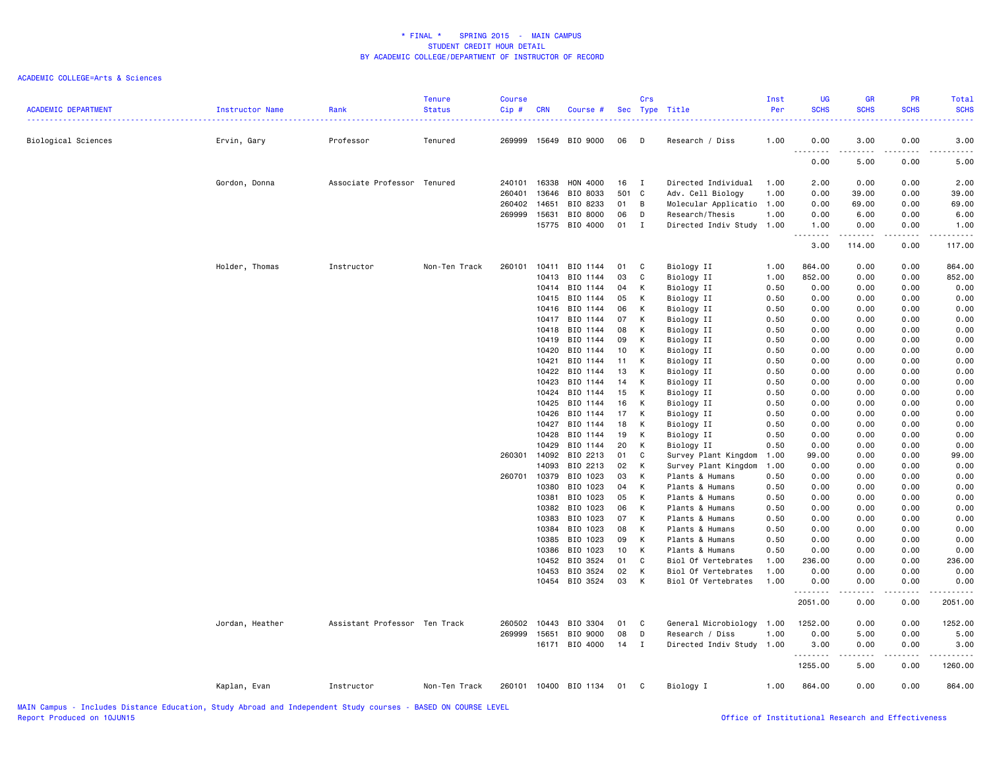| <b>ACADEMIC DEPARTMENT</b> | Instructor Name | Rank<br>. <u>.</u> .          | Tenure<br><b>Status</b> | <b>Course</b><br>Cip# | <b>CRN</b>     | Course #              |          | Crs            | Sec Type Title                               | Inst<br>Per<br>. | <b>UG</b><br><b>SCHS</b> | <b>GR</b><br><b>SCHS</b> | <b>PR</b><br><b>SCHS</b> | <b>Total</b><br><b>SCHS</b> |
|----------------------------|-----------------|-------------------------------|-------------------------|-----------------------|----------------|-----------------------|----------|----------------|----------------------------------------------|------------------|--------------------------|--------------------------|--------------------------|-----------------------------|
| Biological Sciences        | Ervin, Gary     | Professor                     | Tenured                 | 269999                |                | 15649 BIO 9000        | 06       | D              | Research / Diss                              | 1.00             | 0.00                     | 3.00                     | 0.00                     | 3.00                        |
|                            |                 |                               |                         |                       |                |                       |          |                |                                              |                  | 0.00                     | 5.00                     | 0.00                     | 5.00                        |
|                            | Gordon, Donna   | Associate Professor           | Tenured                 | 240101                | 16338          | HON 4000              | 16       | $\blacksquare$ | Directed Individual                          | 1.00             | 2.00                     | 0.00                     | 0.00                     | 2.00                        |
|                            |                 |                               |                         | 260401                | 13646          | BIO 8033              | 501 C    |                | Adv. Cell Biology                            | 1.00             | 0.00                     | 39.00                    | 0.00                     | 39.00                       |
|                            |                 |                               |                         | 260402                | 14651          | BIO 8233              | 01       | B              | Molecular Applicatio                         | 1.00             | 0.00                     | 69.00                    | 0.00                     | 69.00                       |
|                            |                 |                               |                         | 269999                | 15631          | BIO 8000              | 06       | D              | Research/Thesis                              | 1.00             | 0.00                     | 6.00                     | 0.00                     | 6.00                        |
|                            |                 |                               |                         |                       |                | 15775 BIO 4000        | $01$ I   |                | Directed Indiv Study 1.00                    |                  | 1.00<br>.                | 0.00<br>.                | 0.00<br>.                | 1.00                        |
|                            |                 |                               |                         |                       |                |                       |          |                |                                              |                  | 3.00                     | 114.00                   | 0.00                     | 117.00                      |
|                            | Holder, Thomas  | Instructor                    | Non-Ten Track           | 260101                | 10411          | BIO 1144              | 01       | C              | Biology II                                   | 1.00             | 864.00                   | 0.00                     | 0.00                     | 864.00                      |
|                            |                 |                               |                         |                       | 10413          | BIO 1144              | 03       | C              | Biology II                                   | 1.00             | 852.00                   | 0.00                     | 0.00                     | 852.00                      |
|                            |                 |                               |                         |                       | 10414          | BIO 1144              | 04       | К              | Biology II                                   | 0.50             | 0.00                     | 0.00                     | 0.00                     | 0.00                        |
|                            |                 |                               |                         |                       | 10415          | BIO 1144              | 05       | K              | Biology II                                   | 0.50             | 0.00                     | 0.00                     | 0.00                     | 0.00                        |
|                            |                 |                               |                         |                       | 10416          | BIO 1144              | 06       | K              | Biology II                                   | 0.50             | 0.00                     | 0.00                     | 0.00                     | 0.00                        |
|                            |                 |                               |                         |                       | 10417          | BIO 1144              | 07       | K              | Biology II                                   | 0.50             | 0.00                     | 0.00                     | 0.00                     | 0.00                        |
|                            |                 |                               |                         |                       | 10418          | BIO 1144              | 08       | K              | Biology II                                   | 0.50             | 0.00                     | 0.00                     | 0.00                     | 0.00                        |
|                            |                 |                               |                         |                       | 10419          | BIO 1144              | 09       | K              | Biology II                                   | 0.50             | 0.00                     | 0.00                     | 0.00                     | 0.00                        |
|                            |                 |                               |                         |                       | 10420          | BIO 1144              | 10       | K              | Biology II                                   | 0.50             | 0.00                     | 0.00                     | 0.00                     | 0.00                        |
|                            |                 |                               |                         |                       | 10421          | BIO 1144              | 11       | K              | Biology II                                   | 0.50             | 0.00                     | 0.00                     | 0.00                     | 0.00                        |
|                            |                 |                               |                         |                       | 10422          | BIO 1144              | 13       | K              | Biology II                                   | 0.50             | 0.00                     | 0.00                     | 0.00                     | 0.00                        |
|                            |                 |                               |                         |                       | 10423          | BIO 1144              | 14       | K              | Biology II                                   | 0.50             | 0.00                     | 0.00                     | 0.00                     | 0.00                        |
|                            |                 |                               |                         |                       | 10424          | BIO 1144              | 15       | K              | Biology II                                   | 0.50             | 0.00                     | 0.00                     | 0.00                     | 0.00                        |
|                            |                 |                               |                         |                       | 10425          | BIO 1144              | 16       | K              | Biology II                                   | 0.50             | 0.00                     | 0.00                     | 0.00                     | 0.00                        |
|                            |                 |                               |                         |                       | 10426<br>10427 | BIO 1144<br>BIO 1144  | 17<br>18 | K              | Biology II                                   | 0.50<br>0.50     | 0.00<br>0.00             | 0.00<br>0.00             | 0.00<br>0.00             | 0.00<br>0.00                |
|                            |                 |                               |                         |                       |                |                       |          | K              | Biology II                                   | 0.50             | 0.00                     |                          | 0.00                     |                             |
|                            |                 |                               |                         |                       | 10428<br>10429 | BIO 1144<br>BIO 1144  | 19<br>20 | K<br>K         | Biology II                                   | 0.50             | 0.00                     | 0.00<br>0.00             | 0.00                     | 0.00<br>0.00                |
|                            |                 |                               |                         |                       |                |                       |          |                | Biology II                                   |                  |                          |                          |                          |                             |
|                            |                 |                               |                         | 260301                | 14092<br>14093 | BIO 2213<br>BIO 2213  | 01<br>02 | C<br>K         | Survey Plant Kingdom<br>Survey Plant Kingdom | 1.00<br>1.00     | 99.00<br>0.00            | 0.00<br>0.00             | 0.00<br>0.00             | 99.00<br>0.00               |
|                            |                 |                               |                         | 260701                | 10379          | BIO 1023              | 03       | K              | Plants & Humans                              | 0.50             | 0.00                     | 0.00                     | 0.00                     | 0.00                        |
|                            |                 |                               |                         |                       | 10380          | BIO 1023              | 04       | $\mathsf{K}$   | Plants & Humans                              | 0.50             | 0.00                     | 0.00                     | 0.00                     | 0.00                        |
|                            |                 |                               |                         |                       | 10381          | BIO 1023              | 05       | K              | Plants & Humans                              | 0.50             | 0.00                     | 0.00                     | 0.00                     | 0.00                        |
|                            |                 |                               |                         |                       | 10382          | BIO 1023              | 06       | K              | Plants & Humans                              | 0.50             | 0.00                     | 0.00                     | 0.00                     | 0.00                        |
|                            |                 |                               |                         |                       | 10383          | BIO 1023              | 07       | K              | Plants & Humans                              | 0.50             | 0.00                     | 0.00                     | 0.00                     | 0.00                        |
|                            |                 |                               |                         |                       | 10384          | BIO 1023              | 08       | K              | Plants & Humans                              | 0.50             | 0.00                     | 0.00                     | 0.00                     | 0.00                        |
|                            |                 |                               |                         |                       | 10385          | BIO 1023              | 09       | K              | Plants & Humans                              | 0.50             | 0.00                     | 0.00                     | 0.00                     | 0.00                        |
|                            |                 |                               |                         |                       | 10386          | BIO 1023              | 10       | K              | Plants & Humans                              | 0.50             | 0.00                     | 0.00                     | 0.00                     | 0.00                        |
|                            |                 |                               |                         |                       | 10452          | BIO 3524              | 01       | C              | Biol Of Vertebrates                          | 1.00             | 236.00                   | 0.00                     | 0.00                     | 236.00                      |
|                            |                 |                               |                         |                       | 10453          | BIO 3524              | 02       | K              | Biol Of Vertebrates                          | 1.00             | 0.00                     | 0.00                     | 0.00                     | 0.00                        |
|                            |                 |                               |                         |                       |                | 10454 BIO 3524        | 03       | K              | Biol Of Vertebrates                          | 1.00             | 0.00                     | 0.00                     | 0.00                     | 0.00                        |
|                            |                 |                               |                         |                       |                |                       |          |                |                                              |                  | .<br>2051.00             | .<br>0.00                | 0.00                     | 2051.00                     |
|                            | Jordan, Heather | Assistant Professor Ten Track |                         | 260502                | 10443          | BIO 3304              | 01       | C              | General Microbiology                         | 1.00             | 1252.00                  | 0.00                     | 0.00                     | 1252.00                     |
|                            |                 |                               |                         | 269999                | 15651          | BIO 9000              | 08       | D              | Research / Diss                              | 1.00             | 0.00                     | 5.00                     | 0.00                     | 5.00                        |
|                            |                 |                               |                         |                       | 16171          | BIO 4000              | 14       | $\mathbf{I}$   | Directed Indiv Study 1.00                    |                  | 3.00                     | 0.00<br>.                | 0.00                     | 3.00                        |
|                            |                 |                               |                         |                       |                |                       |          |                |                                              |                  | .<br>1255.00             | 5.00                     | 0.00                     | .<br>1260.00                |
|                            | Kaplan, Evan    | Instructor                    | Non-Ten Track           |                       |                | 260101 10400 BIO 1134 | 01       | C              | Biology I                                    | 1.00             | 864.00                   | 0.00                     | 0.00                     | 864.00                      |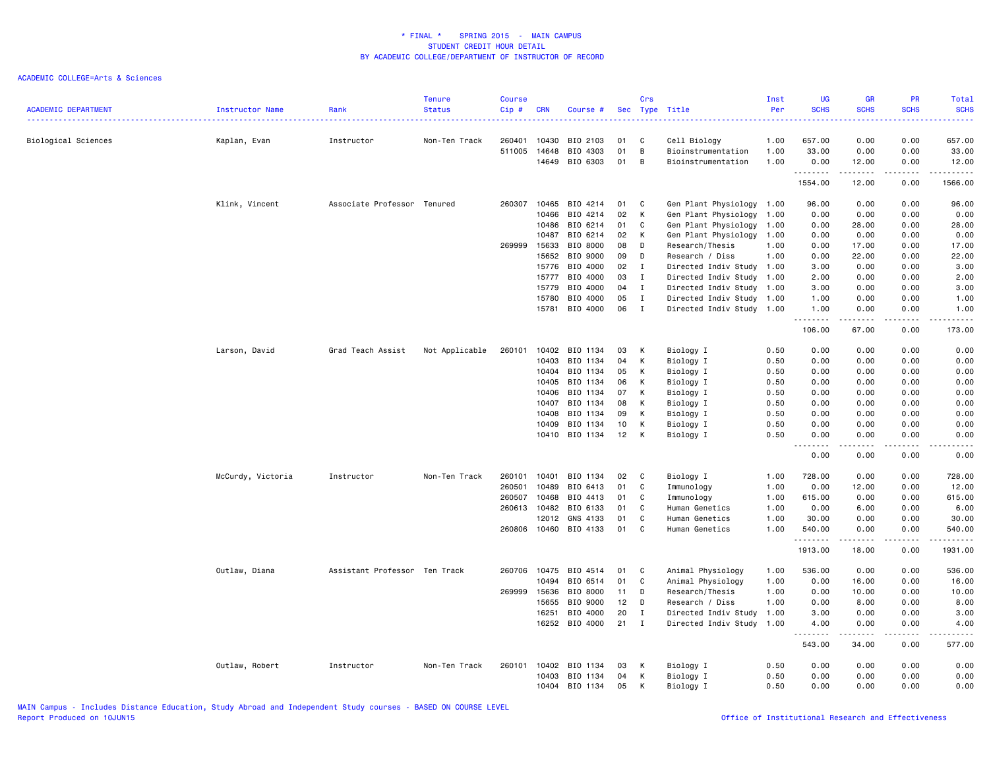| <b>ACADEMIC DEPARTMENT</b> | Instructor Name   | Rank                          | <b>Tenure</b><br><b>Status</b> | <b>Course</b><br>Cip# | <b>CRN</b>     | Course #              | Sec      | Crs                          | Type Title                                             | Inst<br>Per  | <b>UG</b><br><b>SCHS</b>                        | <b>GR</b><br><b>SCHS</b> | PR<br><b>SCHS</b><br>$\frac{1}{2} \left( \frac{1}{2} \right) \left( \frac{1}{2} \right) \left( \frac{1}{2} \right)$ | Total<br><b>SCHS</b><br>. |
|----------------------------|-------------------|-------------------------------|--------------------------------|-----------------------|----------------|-----------------------|----------|------------------------------|--------------------------------------------------------|--------------|-------------------------------------------------|--------------------------|---------------------------------------------------------------------------------------------------------------------|---------------------------|
| Biological Sciences        | Kaplan, Evan      | Instructor                    | Non-Ten Track                  | 260401                | 10430          | BIO 2103              | 01       | C                            | Cell Biology                                           | 1.00         | 657.00                                          | 0.00                     | 0.00                                                                                                                | 657.00                    |
|                            |                   |                               |                                | 511005                | 14648<br>14649 | BIO 4303<br>BIO 6303  | 01<br>01 | B<br>В                       | Bioinstrumentation<br>Bioinstrumentation               | 1.00<br>1.00 | 33.00                                           | 0.00                     | 0.00<br>0.00                                                                                                        | 33.00<br>12.00            |
|                            |                   |                               |                                |                       |                |                       |          |                              |                                                        |              | 0.00<br>.                                       | 12.00<br>.               | .                                                                                                                   | .                         |
|                            |                   |                               |                                |                       |                |                       |          |                              |                                                        |              | 1554.00                                         | 12.00                    | 0.00                                                                                                                | 1566.00                   |
|                            | Klink, Vincent    | Associate Professor Tenured   |                                | 260307                | 10465          | BIO 4214              | 01       | C                            | Gen Plant Physiology                                   | 1.00         | 96.00                                           | 0.00                     | 0.00                                                                                                                | 96.00                     |
|                            |                   |                               |                                |                       | 10466          | BIO 4214              | 02       | К                            | Gen Plant Physiology                                   | 1.00         | 0.00                                            | 0.00                     | 0.00                                                                                                                | 0.00                      |
|                            |                   |                               |                                |                       | 10486          | BIO 6214              | 01       | C                            | Gen Plant Physiology                                   | 1.00         | 0.00                                            | 28.00                    | 0.00                                                                                                                | 28.00                     |
|                            |                   |                               |                                |                       | 10487          | BIO 6214              | 02       | К                            | Gen Plant Physiology                                   | 1.00         | 0.00                                            | 0.00                     | 0.00                                                                                                                | 0.00                      |
|                            |                   |                               |                                | 269999                | 15633          | BIO 8000              | 08       | D<br>D                       | Research/Thesis                                        | 1.00         | 0.00                                            | 17.00                    | 0.00                                                                                                                | 17.00                     |
|                            |                   |                               |                                |                       | 15652          | BIO 9000<br>BIO 4000  | 09<br>02 |                              | Research / Diss                                        | 1.00         | 0.00                                            | 22.00<br>0.00            | 0.00                                                                                                                | 22.00                     |
|                            |                   |                               |                                |                       | 15776<br>15777 | BIO 4000              | 03       | $\mathbf{I}$<br>$\mathbf{I}$ | Directed Indiv Study 1.00<br>Directed Indiv Study 1.00 |              | 3.00<br>2.00                                    | 0.00                     | 0.00<br>0.00                                                                                                        | 3.00<br>2.00              |
|                            |                   |                               |                                |                       | 15779          | BIO 4000              | 04       | $\mathbf{I}$                 | Directed Indiv Study                                   | 1.00         | 3.00                                            | 0.00                     | 0.00                                                                                                                | 3.00                      |
|                            |                   |                               |                                |                       | 15780          | BIO 4000              | 05       | $\mathbf{I}$                 | Directed Indiv Study                                   | 1.00         | 1.00                                            | 0.00                     | 0.00                                                                                                                | 1.00                      |
|                            |                   |                               |                                |                       | 15781          | BIO 4000              | 06       | $\mathbf{I}$                 | Directed Indiv Study 1.00                              |              | 1.00                                            | 0.00                     | 0.00                                                                                                                | 1.00                      |
|                            |                   |                               |                                |                       |                |                       |          |                              |                                                        |              | <u>.</u><br>106.00                              | .<br>67.00               | .<br>0.00                                                                                                           | .<br>173.00               |
|                            |                   | Grad Teach Assist             |                                | 260101                | 10402          | BIO 1134              | 03       | К                            | Biology I                                              | 0.50         | 0.00                                            | 0.00                     | 0.00                                                                                                                | 0.00                      |
|                            | Larson, David     |                               | Not Applicable                 |                       | 10403          | BIO 1134              | 04       | К                            | Biology I                                              | 0.50         | 0.00                                            | 0.00                     | 0.00                                                                                                                | 0.00                      |
|                            |                   |                               |                                |                       | 10404          | BIO 1134              | 05       | К                            | Biology I                                              | 0.50         | 0.00                                            | 0.00                     | 0.00                                                                                                                | 0.00                      |
|                            |                   |                               |                                |                       | 10405          | BIO 1134              | 06       | К                            | Biology I                                              | 0.50         | 0.00                                            | 0.00                     | 0.00                                                                                                                | 0.00                      |
|                            |                   |                               |                                |                       | 10406          | BIO 1134              | 07       | к                            | Biology I                                              | 0.50         | 0.00                                            | 0.00                     | 0.00                                                                                                                | 0.00                      |
|                            |                   |                               |                                |                       | 10407          | BIO 1134              | 08       | K                            | Biology I                                              | 0.50         | 0.00                                            | 0.00                     | 0.00                                                                                                                | 0.00                      |
|                            |                   |                               |                                |                       | 10408          | BIO 1134              | 09       | К                            | Biology I                                              | 0.50         | 0.00                                            | 0.00                     | 0.00                                                                                                                | 0.00                      |
|                            |                   |                               |                                |                       | 10409          | BIO 1134              | 10       | К                            | Biology I                                              | 0.50         | 0.00                                            | 0.00                     | 0.00                                                                                                                | 0.00                      |
|                            |                   |                               |                                |                       |                | 10410 BIO 1134        | 12       | K                            | Biology I                                              | 0.50         | 0.00                                            | 0.00                     | 0.00                                                                                                                | 0.00                      |
|                            |                   |                               |                                |                       |                |                       |          |                              |                                                        |              | $\omega$ is a $\omega$<br>$\sim$ $\sim$<br>0.00 | $- - - - -$<br>0.00      | .<br>0.00                                                                                                           | .<br>0.00                 |
|                            | McCurdy, Victoria | Instructor                    | Non-Ten Track                  | 260101                | 10401          | BIO 1134              | 02       | C                            | Biology I                                              | 1.00         | 728.00                                          | 0.00                     | 0.00                                                                                                                | 728.00                    |
|                            |                   |                               |                                | 260501                | 10489          | BIO 6413              | 01       | C                            | Immunology                                             | 1.00         | 0.00                                            | 12.00                    | 0.00                                                                                                                | 12.00                     |
|                            |                   |                               |                                | 260507                | 10468          | BIO 4413              | 01       | C                            | Immunology                                             | 1.00         | 615.00                                          | 0.00                     | 0.00                                                                                                                | 615.00                    |
|                            |                   |                               |                                | 260613                | 10482          | BIO 6133              | 01       | C                            | Human Genetics                                         | 1.00         | 0.00                                            | 6.00                     | 0.00                                                                                                                | 6.00                      |
|                            |                   |                               |                                |                       | 12012          | GNS 4133              | 01       | $\mathbb C$                  | Human Genetics                                         | 1.00         | 30.00                                           | 0.00                     | 0.00                                                                                                                | 30.00                     |
|                            |                   |                               |                                |                       |                | 260806 10460 BIO 4133 | 01       | C                            | Human Genetics                                         | 1.00         | 540.00<br>.                                     | 0.00<br>.                | 0.00<br>.                                                                                                           | 540.00<br>.               |
|                            |                   |                               |                                |                       |                |                       |          |                              |                                                        |              | 1913.00                                         | 18.00                    | 0.00                                                                                                                | 1931.00                   |
|                            | Outlaw, Diana     | Assistant Professor Ten Track |                                | 260706                | 10475          | BIO 4514              | 01       | C                            | Animal Physiology                                      | 1.00         | 536.00                                          | 0.00                     | 0.00                                                                                                                | 536.00                    |
|                            |                   |                               |                                |                       | 10494          | BIO 6514              | 01       | C                            | Animal Physiology                                      | 1.00         | 0.00                                            | 16.00                    | 0.00                                                                                                                | 16.00                     |
|                            |                   |                               |                                | 269999                | 15636          | BIO 8000              | 11       | D                            | Research/Thesis                                        | 1.00         | 0.00                                            | 10.00                    | 0.00                                                                                                                | 10.00                     |
|                            |                   |                               |                                |                       | 15655          | BIO 9000              | 12       | D                            | Research / Diss                                        | 1.00         | 0.00                                            | 8.00                     | 0.00                                                                                                                | 8.00                      |
|                            |                   |                               |                                |                       | 16251          | BIO 4000              | 20       | $\bf{I}$                     | Directed Indiv Study                                   | 1.00         | 3.00                                            | 0.00                     | 0.00                                                                                                                | 3.00                      |
|                            |                   |                               |                                |                       |                | 16252 BIO 4000        | 21       | $\mathbf{I}$                 | Directed Indiv Study 1.00                              |              | 4.00<br>.                                       | 0.00<br>.                | 0.00<br>$- - - -$                                                                                                   | 4.00<br>.                 |
|                            |                   |                               |                                |                       |                |                       |          |                              |                                                        |              | 543.00                                          | 34.00                    | 0.00                                                                                                                | 577.00                    |
|                            | Outlaw, Robert    | Instructor                    | Non-Ten Track                  | 260101                | 10402          | BIO 1134              | 03       | K                            | Biology I                                              | 0.50         | 0.00                                            | 0.00                     | 0.00                                                                                                                | 0.00                      |
|                            |                   |                               |                                |                       | 10403          | BIO 1134              | 04       | К                            | Biology I                                              | 0.50         | 0.00                                            | 0.00                     | 0.00                                                                                                                | 0.00                      |
|                            |                   |                               |                                |                       | 10404          | BIO 1134              | 05       | К                            | Biology I                                              | 0.50         | 0.00                                            | 0.00                     | 0.00                                                                                                                | 0.00                      |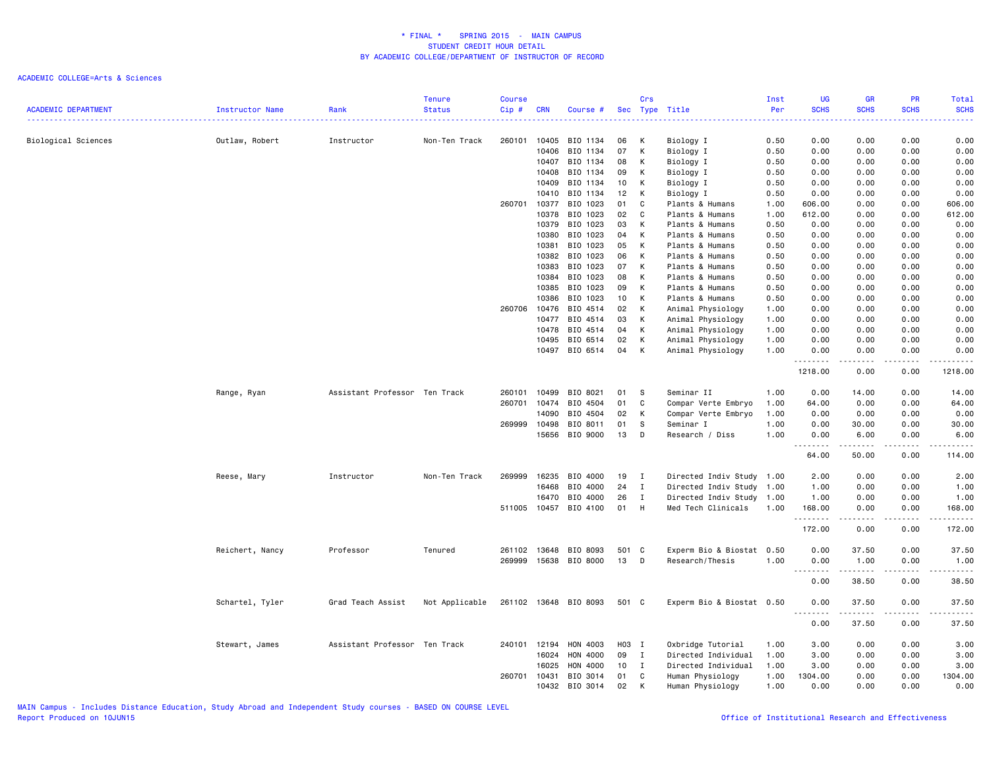| <b>ACADEMIC DEPARTMENT</b> | <b>Instructor Name</b> | Rank                          | <b>Tenure</b><br><b>Status</b> | <b>Course</b><br>Cip# | <b>CRN</b>     | Course #              |          | Crs          | Sec Type Title                     | Inst<br>Per  | <b>UG</b><br><b>SCHS</b>              | <b>GR</b><br><b>SCHS</b> | PR<br><b>SCHS</b>           | Total<br><b>SCHS</b> |
|----------------------------|------------------------|-------------------------------|--------------------------------|-----------------------|----------------|-----------------------|----------|--------------|------------------------------------|--------------|---------------------------------------|--------------------------|-----------------------------|----------------------|
|                            |                        |                               | <b>.</b> .                     |                       |                |                       |          |              |                                    | .            | $\omega_{\rm c}$ and $\omega_{\rm c}$ |                          | $\sim$ $\sim$ $\sim$ $\sim$ | 22222                |
| Biological Sciences        | Outlaw, Robert         | Instructor                    | Non-Ten Track                  | 260101                | 10405          | BIO 1134              | 06       | к            | Biology I                          | 0.50         | 0.00                                  | 0.00                     | 0.00                        | 0.00                 |
|                            |                        |                               |                                |                       | 10406          | BIO 1134              | 07       | К            | Biology I                          | 0.50         | 0.00                                  | 0.00                     | 0.00                        | 0.00                 |
|                            |                        |                               |                                |                       | 10407          | BIO 1134              | 08       | K            | Biology I                          | 0.50         | 0.00                                  | 0.00                     | 0.00                        | 0.00                 |
|                            |                        |                               |                                |                       | 10408          | BIO 1134              | 09       | K            | Biology I                          | 0.50         | 0.00                                  | 0.00                     | 0.00                        | 0.00                 |
|                            |                        |                               |                                |                       | 10409          | BIO 1134              | 10       | К            | Biology I                          | 0.50         | 0.00                                  | 0.00                     | 0.00                        | 0.00                 |
|                            |                        |                               |                                |                       | 10410          | BIO 1134              | 12       | K            | Biology I                          | 0.50         | 0.00                                  | 0.00                     | 0.00                        | 0.00                 |
|                            |                        |                               |                                | 260701                | 10377          | BIO 1023              | 01       | C            | Plants & Humans                    | 1.00         | 606.00                                | 0.00                     | 0.00                        | 606.00               |
|                            |                        |                               |                                |                       | 10378          | BIO 1023              | 02       | C            | Plants & Humans                    | 1.00         | 612.00                                | 0.00                     | 0.00                        | 612.00               |
|                            |                        |                               |                                |                       | 10379          | BIO 1023              | 03       | K            | Plants & Humans                    | 0.50         | 0.00                                  | 0.00                     | 0.00                        | 0.00                 |
|                            |                        |                               |                                |                       | 10380          | BIO 1023              | 04       | K            | Plants & Humans                    | 0.50         | 0.00                                  | 0.00                     | 0.00                        | 0.00                 |
|                            |                        |                               |                                |                       | 10381          | BIO 1023              | 05       | K            | Plants & Humans                    | 0.50         | 0.00                                  | 0.00                     | 0.00                        | 0.00                 |
|                            |                        |                               |                                |                       | 10382          | BIO 1023              | 06       | K            | Plants & Humans                    | 0.50         | 0.00                                  | 0.00                     | 0.00                        | 0.00                 |
|                            |                        |                               |                                |                       | 10383          | BIO 1023              | 07       | K            | Plants & Humans                    | 0.50         | 0.00                                  | 0.00                     | 0.00                        | 0.00                 |
|                            |                        |                               |                                |                       | 10384<br>10385 | BIO 1023<br>BIO 1023  | 08<br>09 | K<br>K       | Plants & Humans<br>Plants & Humans | 0.50<br>0.50 | 0.00<br>0.00                          | 0.00<br>0.00             | 0.00<br>0.00                | 0.00                 |
|                            |                        |                               |                                |                       | 10386          | BIO 1023              | 10       | K            | Plants & Humans                    | 0.50         | 0.00                                  | 0.00                     | 0.00                        | 0.00<br>0.00         |
|                            |                        |                               |                                | 260706                | 10476          | BIO 4514              | 02       | K            | Animal Physiology                  | 1.00         | 0.00                                  | 0.00                     | 0.00                        | 0.00                 |
|                            |                        |                               |                                |                       | 10477          | BIO 4514              | 03       | К            | Animal Physiology                  | 1.00         | 0.00                                  | 0.00                     | 0.00                        | 0.00                 |
|                            |                        |                               |                                |                       | 10478          | BIO 4514              | 04       | K            | Animal Physiology                  | 1.00         | 0.00                                  | 0.00                     | 0.00                        | 0.00                 |
|                            |                        |                               |                                |                       | 10495          | BIO 6514              | 02       | K            | Animal Physiology                  | 1.00         | 0.00                                  | 0.00                     | 0.00                        | 0.00                 |
|                            |                        |                               |                                |                       | 10497          | BIO 6514              | 04       | K            | Animal Physiology                  | 1.00         | 0.00                                  | 0.00                     | 0.00                        | 0.00                 |
|                            |                        |                               |                                |                       |                |                       |          |              |                                    |              | .                                     |                          |                             | $- - - - -$          |
|                            |                        |                               |                                |                       |                |                       |          |              |                                    |              | 1218.00                               | 0.00                     | 0.00                        | 1218.00              |
|                            | Range, Ryan            | Assistant Professor Ten Track |                                | 260101                | 10499          | BIO 8021              | 01       | <b>S</b>     | Seminar II                         | 1.00         | 0.00                                  | 14.00                    | 0.00                        | 14.00                |
|                            |                        |                               |                                | 260701                | 10474          | BIO 4504              | 01       | C            | Compar Verte Embryo                | 1.00         | 64.00                                 | 0.00                     | 0.00                        | 64.00                |
|                            |                        |                               |                                |                       | 14090          | BIO 4504              | 02       | K            | Compar Verte Embryo                | 1.00         | 0.00                                  | 0.00                     | 0.00                        | 0.00                 |
|                            |                        |                               |                                | 269999                | 10498          | BIO 8011              | 01       | <sub>S</sub> | Seminar I                          | 1.00         | 0.00                                  | 30.00                    | 0.00                        | 30.00                |
|                            |                        |                               |                                |                       | 15656          | BIO 9000              | 13       | D            | Research / Diss                    | 1.00         | 0.00<br>.<br>$\sim$ $\sim$ .          | 6.00<br>$    -$          | 0.00<br>.                   | 6.00<br>.            |
|                            |                        |                               |                                |                       |                |                       |          |              |                                    |              | 64.00                                 | 50.00                    | 0.00                        | 114.00               |
|                            | Reese, Mary            | Instructor                    | Non-Ten Track                  | 269999                | 16235          | BIO 4000              | 19       | $\mathbf{I}$ | Directed Indiv Study 1.00          |              | 2.00                                  | 0.00                     | 0.00                        | 2.00                 |
|                            |                        |                               |                                |                       | 16468          | BIO 4000              | 24       | $\mathbf{I}$ | Directed Indiv Study 1.00          |              | 1.00                                  | 0.00                     | 0.00                        | 1.00                 |
|                            |                        |                               |                                |                       | 16470          | BIO 4000              | 26       | $\mathbf{I}$ | Directed Indiv Study 1.00          |              | 1.00                                  | 0.00                     | 0.00                        | 1.00                 |
|                            |                        |                               |                                | 511005                | 10457          | BIO 4100              | 01       | H            | Med Tech Clinicals                 | 1.00         | 168.00<br>.                           | 0.00                     | 0.00                        | 168.00<br>.          |
|                            |                        |                               |                                |                       |                |                       |          |              |                                    |              | 172.00                                | 0.00                     | 0.00                        | 172.00               |
|                            | Reichert, Nancy        | Professor                     | Tenured                        | 261102                | 13648          | BIO 8093              | 501 C    |              | Experm Bio & Biostat 0.50          |              | 0.00                                  | 37.50                    | 0.00                        | 37.50                |
|                            |                        |                               |                                | 269999                |                | 15638 BIO 8000        | 13       | D            | Research/Thesis                    | 1.00         | 0.00                                  | 1.00                     | 0.00                        | 1.00                 |
|                            |                        |                               |                                |                       |                |                       |          |              |                                    |              | .<br>$\sim$ $\sim$                    | .                        | .                           | $    -$              |
|                            |                        |                               |                                |                       |                |                       |          |              |                                    |              | 0.00                                  | 38.50                    | 0.00                        | 38.50                |
|                            | Schartel, Tyler        | Grad Teach Assist             | Not Applicable                 |                       |                | 261102 13648 BIO 8093 | 501 C    |              | Experm Bio & Biostat 0.50          |              | 0.00<br>$\sim$ $\sim$ $\sim$<br>.     | 37.50                    | 0.00<br>$- - -$             | 37.50<br>$    -$     |
|                            |                        |                               |                                |                       |                |                       |          |              |                                    |              | 0.00                                  | 37.50                    | 0.00                        | 37.50                |
|                            | Stewart, James         | Assistant Professor Ten Track |                                | 240101                | 12194          | HON 4003              | H03 I    |              | Oxbridge Tutorial                  | 1.00         | 3.00                                  | 0.00                     | 0.00                        | 3.00                 |
|                            |                        |                               |                                |                       | 16024          | HON 4000              | 09       | $\mathbf{I}$ | Directed Individual                | 1.00         | 3.00                                  | 0.00                     | 0.00                        | 3.00                 |
|                            |                        |                               |                                |                       | 16025          | HON 4000              | 10       | $\mathbf{I}$ | Directed Individual                | 1.00         | 3.00                                  | 0.00                     | 0.00                        | 3.00                 |
|                            |                        |                               |                                | 260701                | 10431          | BIO 3014              | 01       | C            | Human Physiology                   | 1.00         | 1304.00                               | 0.00                     | 0.00                        | 1304.00              |
|                            |                        |                               |                                |                       | 10432          | BIO 3014              | 02       | к            | Human Physiology                   | 1.00         | 0.00                                  | 0.00                     | 0.00                        | 0.00                 |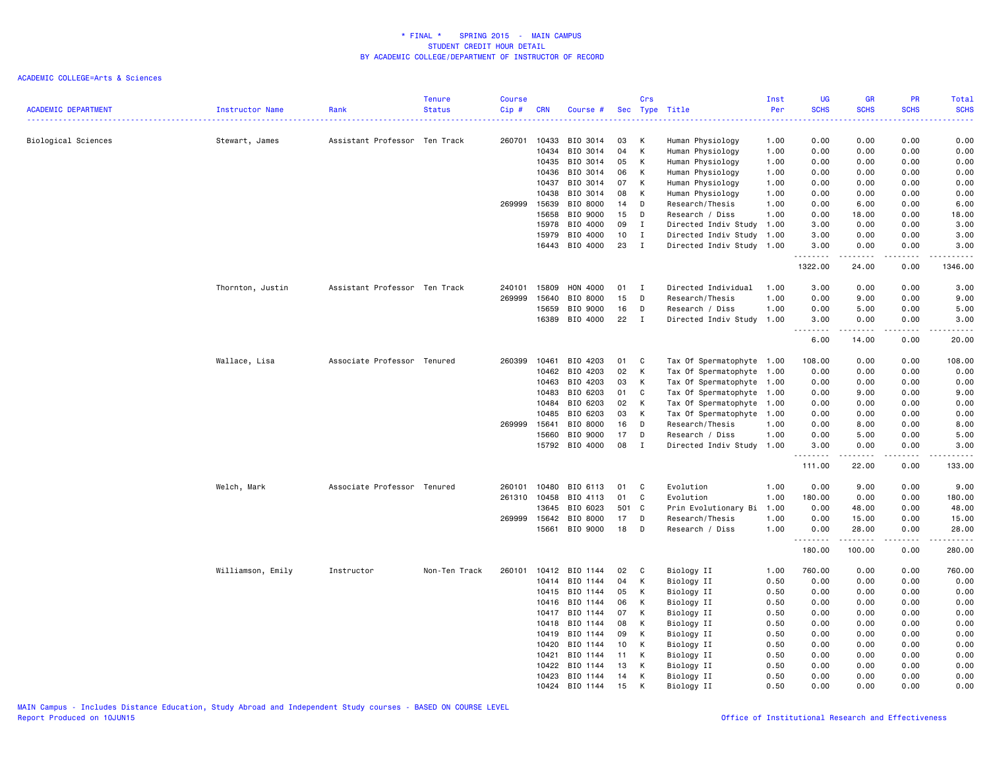| <b>ACADEMIC DEPARTMENT</b> | Instructor Name   | Rank                          | <b>Tenure</b><br><b>Status</b> | <b>Course</b><br>Cip# | <b>CRN</b> | Course #       |     | Crs            | Sec Type Title            | Inst<br>Per | <b>UG</b><br><b>SCHS</b>   | <b>GR</b><br><b>SCHS</b>                                                                                                                                     | <b>PR</b><br><b>SCHS</b> | <b>Total</b><br><b>SCHS</b>                                                                                                                                  |
|----------------------------|-------------------|-------------------------------|--------------------------------|-----------------------|------------|----------------|-----|----------------|---------------------------|-------------|----------------------------|--------------------------------------------------------------------------------------------------------------------------------------------------------------|--------------------------|--------------------------------------------------------------------------------------------------------------------------------------------------------------|
|                            |                   |                               |                                |                       |            |                |     |                |                           | 222222      | د د د د                    |                                                                                                                                                              | .                        | .                                                                                                                                                            |
| Biological Sciences        | Stewart, James    | Assistant Professor Ten Track |                                | 260701                | 10433      | BIO 3014       | 03  | К              | Human Physiology          | 1.00        | 0.00                       | 0.00                                                                                                                                                         | 0.00                     | 0.00                                                                                                                                                         |
|                            |                   |                               |                                |                       | 10434      | BIO 3014       | 04  | K              | Human Physiology          | 1.00        | 0.00                       | 0.00                                                                                                                                                         | 0.00                     | 0.00                                                                                                                                                         |
|                            |                   |                               |                                |                       | 10435      | BIO 3014       | 05  | K              | Human Physiology          | 1.00        | 0.00                       | 0.00                                                                                                                                                         | 0.00                     | 0.00                                                                                                                                                         |
|                            |                   |                               |                                |                       | 10436      | BIO 3014       | 06  | K              | Human Physiology          | 1.00        | 0.00                       | 0.00                                                                                                                                                         | 0.00                     | 0.00                                                                                                                                                         |
|                            |                   |                               |                                |                       | 10437      | BIO 3014       | 07  | К              | Human Physiology          | 1.00        | 0.00                       | 0.00                                                                                                                                                         | 0.00                     | 0.00                                                                                                                                                         |
|                            |                   |                               |                                |                       | 10438      | BIO 3014       | 08  | K              | Human Physiology          | 1.00        | 0.00                       | 0.00                                                                                                                                                         | 0.00                     | 0.00                                                                                                                                                         |
|                            |                   |                               |                                | 269999                | 15639      | BIO 8000       | 14  | D              | Research/Thesis           | 1.00        | 0.00                       | 6.00                                                                                                                                                         | 0.00                     | 6.00                                                                                                                                                         |
|                            |                   |                               |                                |                       | 15658      | BIO 9000       | 15  | D              | Research / Diss           | 1.00        | 0.00                       | 18.00                                                                                                                                                        | 0.00                     | 18.00                                                                                                                                                        |
|                            |                   |                               |                                |                       | 15978      | BIO 4000       | 09  | $\mathbf{I}$   | Directed Indiv Study 1.00 |             | 3.00                       | 0.00                                                                                                                                                         | 0.00                     | 3.00                                                                                                                                                         |
|                            |                   |                               |                                |                       | 15979      | BIO 4000       | 10  | $\mathbf I$    | Directed Indiv Study 1.00 |             | 3.00                       | 0.00                                                                                                                                                         | 0.00                     | 3.00                                                                                                                                                         |
|                            |                   |                               |                                |                       | 16443      | BIO 4000       | 23  | $\mathbf{I}$   | Directed Indiv Study 1.00 |             | 3.00<br>.                  | 0.00<br>$\frac{1}{2} \left( \frac{1}{2} \right) \left( \frac{1}{2} \right) \left( \frac{1}{2} \right) \left( \frac{1}{2} \right) \left( \frac{1}{2} \right)$ | 0.00<br>$- - -$          | 3.00<br>$\frac{1}{2} \left( \frac{1}{2} \right) \left( \frac{1}{2} \right) \left( \frac{1}{2} \right) \left( \frac{1}{2} \right) \left( \frac{1}{2} \right)$ |
|                            |                   |                               |                                |                       |            |                |     |                |                           |             | 1322.00                    | 24.00                                                                                                                                                        | 0.00                     | 1346.00                                                                                                                                                      |
|                            | Thornton, Justin  | Assistant Professor Ten Track |                                | 240101                | 15809      | HON 4000       | 01  | $\mathbf{I}$   | Directed Individual       | 1.00        | 3.00                       | 0.00                                                                                                                                                         | 0.00                     | 3.00                                                                                                                                                         |
|                            |                   |                               |                                | 269999                | 15640      | BIO 8000       | 15  | D              | Research/Thesis           | 1.00        | 0.00                       | 9.00                                                                                                                                                         | 0.00                     | 9.00                                                                                                                                                         |
|                            |                   |                               |                                |                       | 15659      | BIO 9000       | 16  | D              | Research / Diss           | 1.00        | 0.00                       | 5.00                                                                                                                                                         | 0.00                     | 5.00                                                                                                                                                         |
|                            |                   |                               |                                |                       | 16389      | BIO 4000       | 22  | $\mathbf I$    | Directed Indiv Study 1.00 |             | 3.00<br>.<br>$\frac{1}{2}$ | 0.00<br>.                                                                                                                                                    | 0.00<br>.                | 3.00<br>$\frac{1}{2}$                                                                                                                                        |
|                            |                   |                               |                                |                       |            |                |     |                |                           |             | 6.00                       | 14.00                                                                                                                                                        | 0.00                     | 20.00                                                                                                                                                        |
|                            | Wallace, Lisa     | Associate Professor Tenured   |                                | 260399                | 10461      | BIO 4203       | 01  | C              | Tax Of Spermatophyte 1.00 |             | 108.00                     | 0.00                                                                                                                                                         | 0.00                     | 108.00                                                                                                                                                       |
|                            |                   |                               |                                |                       | 10462      | BIO 4203       | 02  | K              | Tax Of Spermatophyte 1.00 |             | 0.00                       | 0.00                                                                                                                                                         | 0.00                     | 0.00                                                                                                                                                         |
|                            |                   |                               |                                |                       | 10463      | BIO 4203       | 03  | K              | Tax Of Spermatophyte 1.00 |             | 0.00                       | 0.00                                                                                                                                                         | 0.00                     | 0.00                                                                                                                                                         |
|                            |                   |                               |                                |                       | 10483      | BIO 6203       | 01  | C              | Tax Of Spermatophyte 1.00 |             | 0.00                       | 9.00                                                                                                                                                         | 0.00                     | 9.00                                                                                                                                                         |
|                            |                   |                               |                                |                       | 10484      | BIO 6203       | 02  | K              | Tax Of Spermatophyte 1.00 |             | 0.00                       | 0.00                                                                                                                                                         | 0.00                     | 0.00                                                                                                                                                         |
|                            |                   |                               |                                |                       | 10485      | BIO 6203       | 03  | K              | Tax Of Spermatophyte 1.00 |             | 0.00                       | 0.00                                                                                                                                                         | 0.00                     | 0.00                                                                                                                                                         |
|                            |                   |                               |                                | 269999                | 15641      | BIO 8000       | 16  | D              | Research/Thesis           | 1.00        | 0.00                       | 8.00                                                                                                                                                         | 0.00                     | 8.00                                                                                                                                                         |
|                            |                   |                               |                                |                       | 15660      | BIO 9000       | 17  | D              | Research / Diss           | 1.00        | 0.00                       | 5.00                                                                                                                                                         | 0.00                     | 5.00                                                                                                                                                         |
|                            |                   |                               |                                |                       | 15792      | BIO 4000       | 08  | I              | Directed Indiv Study 1.00 |             | 3.00<br>.                  | 0.00<br>$- - - - -$                                                                                                                                          | 0.00<br>$\frac{1}{2}$    | 3.00<br>.                                                                                                                                                    |
|                            |                   |                               |                                |                       |            |                |     |                |                           |             | 111.00                     | 22.00                                                                                                                                                        | 0.00                     | 133.00                                                                                                                                                       |
|                            | Welch, Mark       | Associate Professor Tenured   |                                | 260101                | 10480      | BIO 6113       | 01  | C              | Evolution                 | 1.00        | 0.00                       | 9.00                                                                                                                                                         | 0.00                     | 9.00                                                                                                                                                         |
|                            |                   |                               |                                | 261310                | 10458      | BIO 4113       | 01  | C              | Evolution                 | 1.00        | 180.00                     | 0.00                                                                                                                                                         | 0.00                     | 180.00                                                                                                                                                       |
|                            |                   |                               |                                |                       | 13645      | BIO 6023       | 501 | C <sub>c</sub> | Prin Evolutionary Bi      | 1.00        | 0.00                       | 48.00                                                                                                                                                        | 0.00                     | 48.00                                                                                                                                                        |
|                            |                   |                               |                                | 269999                | 15642      | BIO 8000       | 17  | D              | Research/Thesis           | 1.00        | 0.00                       | 15.00                                                                                                                                                        | 0.00                     | 15.00                                                                                                                                                        |
|                            |                   |                               |                                |                       | 15661      | BIO 9000       | 18  | D              | Research / Diss           | 1.00        | 0.00<br>.                  | 28.00<br>. <b>.</b>                                                                                                                                          | 0.00<br>.                | 28.00<br>.                                                                                                                                                   |
|                            |                   |                               |                                |                       |            |                |     |                |                           |             | 180.00                     | 100.00                                                                                                                                                       | 0.00                     | 280.00                                                                                                                                                       |
|                            | Williamson, Emily | Instructor                    | Non-Ten Track                  | 260101                | 10412      | BIO 1144       | 02  | C              | Biology II                | 1.00        | 760.00                     | 0.00                                                                                                                                                         | 0.00                     | 760.00                                                                                                                                                       |
|                            |                   |                               |                                |                       |            | 10414 BIO 1144 | 04  | К              | Biology II                | 0.50        | 0.00                       | 0.00                                                                                                                                                         | 0.00                     | 0.00                                                                                                                                                         |
|                            |                   |                               |                                |                       | 10415      | BIO 1144       | 05  | K              | Biology II                | 0.50        | 0.00                       | 0.00                                                                                                                                                         | 0.00                     | 0.00                                                                                                                                                         |
|                            |                   |                               |                                |                       | 10416      | BIO 1144       | 06  | К              | Biology II                | 0.50        | 0.00                       | 0.00                                                                                                                                                         | 0.00                     | 0.00                                                                                                                                                         |
|                            |                   |                               |                                |                       | 10417      | BIO 1144       | 07  | К              | Biology II                | 0.50        | 0.00                       | 0.00                                                                                                                                                         | 0.00                     | 0.00                                                                                                                                                         |
|                            |                   |                               |                                |                       | 10418      | BIO 1144       | 08  | К              | Biology II                | 0.50        | 0.00                       | 0.00                                                                                                                                                         | 0.00                     | 0.00                                                                                                                                                         |
|                            |                   |                               |                                |                       | 10419      | BIO 1144       | 09  | К              | Biology II                | 0.50        | 0.00                       | 0.00                                                                                                                                                         | 0.00                     | 0.00                                                                                                                                                         |
|                            |                   |                               |                                |                       | 10420      | BIO 1144       | 10  | К              | Biology II                | 0.50        | 0.00                       | 0.00                                                                                                                                                         | 0.00                     | 0.00                                                                                                                                                         |
|                            |                   |                               |                                |                       | 10421      | BIO 1144       | 11  | К              | Biology II                | 0.50        | 0.00                       | 0.00                                                                                                                                                         | 0.00                     | 0.00                                                                                                                                                         |
|                            |                   |                               |                                |                       | 10422      | BIO 1144       | 13  | К              | Biology II                | 0.50        | 0.00                       | 0.00                                                                                                                                                         | 0.00                     | 0.00                                                                                                                                                         |
|                            |                   |                               |                                |                       | 10423      | BIO 1144       | 14  | К              | Biology II                | 0.50        | 0.00                       | 0.00                                                                                                                                                         | 0.00                     | 0.00                                                                                                                                                         |
|                            |                   |                               |                                |                       | 10424      | BIO 1144       | 15  | K              | Biology II                | 0.50        | 0.00                       | 0.00                                                                                                                                                         | 0.00                     | 0.00                                                                                                                                                         |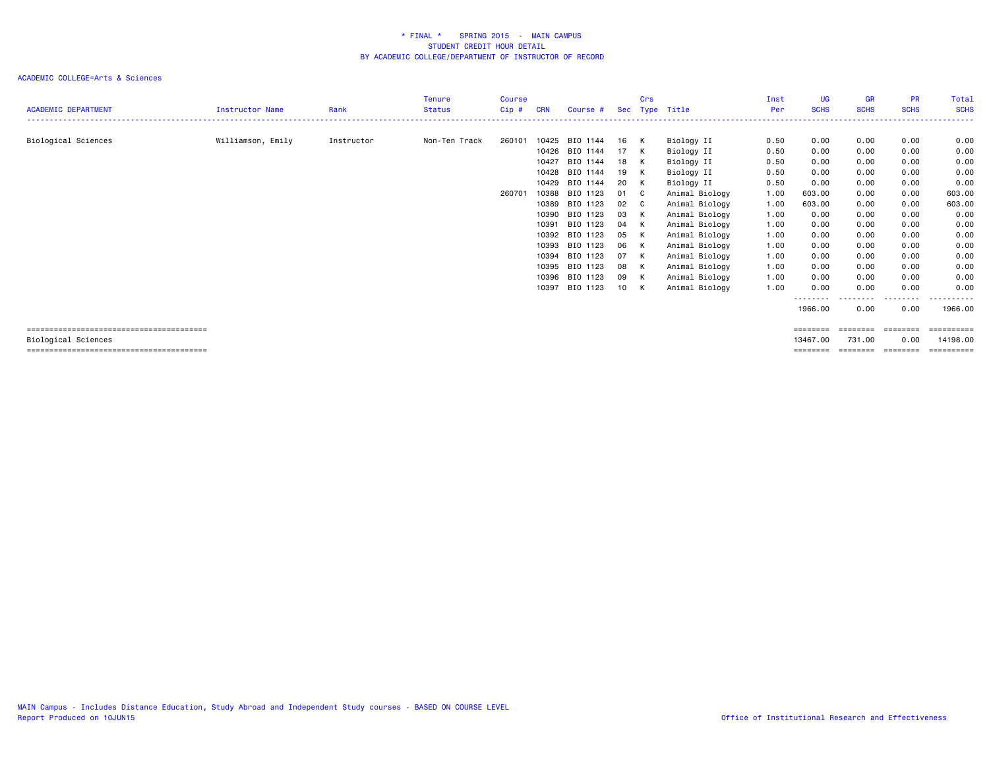|                            |                        |            | Tenure        | Course |            |          |     | Crs          |                | Inst | UG.                 | <b>GR</b>   | <b>PR</b>   | Total            |
|----------------------------|------------------------|------------|---------------|--------|------------|----------|-----|--------------|----------------|------|---------------------|-------------|-------------|------------------|
| <b>ACADEMIC DEPARTMENT</b> | <b>Instructor Name</b> | Rank       | <b>Status</b> | Cip#   | <b>CRN</b> | Course # | Sec |              | Type Title     | Per  | <b>SCHS</b>         | <b>SCHS</b> | <b>SCHS</b> | <b>SCHS</b>      |
|                            |                        |            |               |        |            |          |     |              |                |      |                     |             |             |                  |
| Biological Sciences        | Williamson, Emily      | Instructor | Non-Ten Track | 260101 | 10425      | BIO 1144 | 16  | K            | Biology II     | 0.50 | 0.00                | 0.00        | 0.00        | 0.00             |
|                            |                        |            |               |        | 10426      | BIO 1144 | 17  | K            | Biology II     | 0.50 | 0.00                | 0.00        | 0.00        | 0.00             |
|                            |                        |            |               |        | 10427      | BIO 1144 | 18  | K            | Biology II     | 0.50 | 0.00                | 0.00        | 0.00        | 0.00             |
|                            |                        |            |               |        | 10428      | BIO 1144 | 19  | K            | Biology II     | 0.50 | 0.00                | 0.00        | 0.00        | 0.00             |
|                            |                        |            |               |        | 10429      | BIO 1144 | 20  | K            | Biology II     | 0.50 | 0.00                | 0.00        | 0.00        | 0.00             |
|                            |                        |            |               | 260701 | 10388      | BIO 1123 | 01  | - C          | Animal Biology | 1.00 | 603.00              | 0.00        | 0.00        | 603.00           |
|                            |                        |            |               |        | 10389      | BIO 1123 | 02  | $\mathbf{C}$ | Animal Biology | 1.00 | 603,00              | 0.00        | 0.00        | 603.00           |
|                            |                        |            |               |        | 10390      | BIO 1123 | 03  | K            | Animal Biology | 1.00 | 0.00                | 0.00        | 0.00        | 0.00             |
|                            |                        |            |               |        | 10391      | BIO 1123 | 04  | K            | Animal Biology | 1.00 | 0.00                | 0.00        | 0.00        | 0.00             |
|                            |                        |            |               |        | 10392      | BIO 1123 | 05  | K            | Animal Biology | 1.00 | 0.00                | 0.00        | 0.00        | 0.00             |
|                            |                        |            |               |        | 10393      | BIO 1123 | 06  | K            | Animal Biology | 1.00 | 0.00                | 0.00        | 0.00        | 0.00             |
|                            |                        |            |               |        | 10394      | BIO 1123 | 07  | K            | Animal Biology | 1.00 | 0.00                | 0.00        | 0.00        | 0.00             |
|                            |                        |            |               |        | 10395      | BIO 1123 | 08  | K            | Animal Biology | 1.00 | 0.00                | 0.00        | 0.00        | 0.00             |
|                            |                        |            |               |        | 10396      | BIO 1123 | 09  | K            | Animal Biology | 1.00 | 0.00                | 0.00        | 0.00        | 0.00             |
|                            |                        |            |               |        | 10397      | BIO 1123 | 10  | K            | Animal Biology | 1.00 | 0.00                | 0.00        | 0.00        | 0.00             |
|                            |                        |            |               |        |            |          |     |              |                |      | --------<br>1966.00 | 0.00        | .<br>0.00   | .<br>1966.00     |
|                            |                        |            |               |        |            |          |     |              |                |      | ========            | ========    | ========    | <b>ESSESSEES</b> |
| Biological Sciences        |                        |            |               |        |            |          |     |              |                |      | 13467.00            | 731.00      | 0.00        | 14198.00         |
|                            |                        |            |               |        |            |          |     |              |                |      | ========            | -------     | ========    |                  |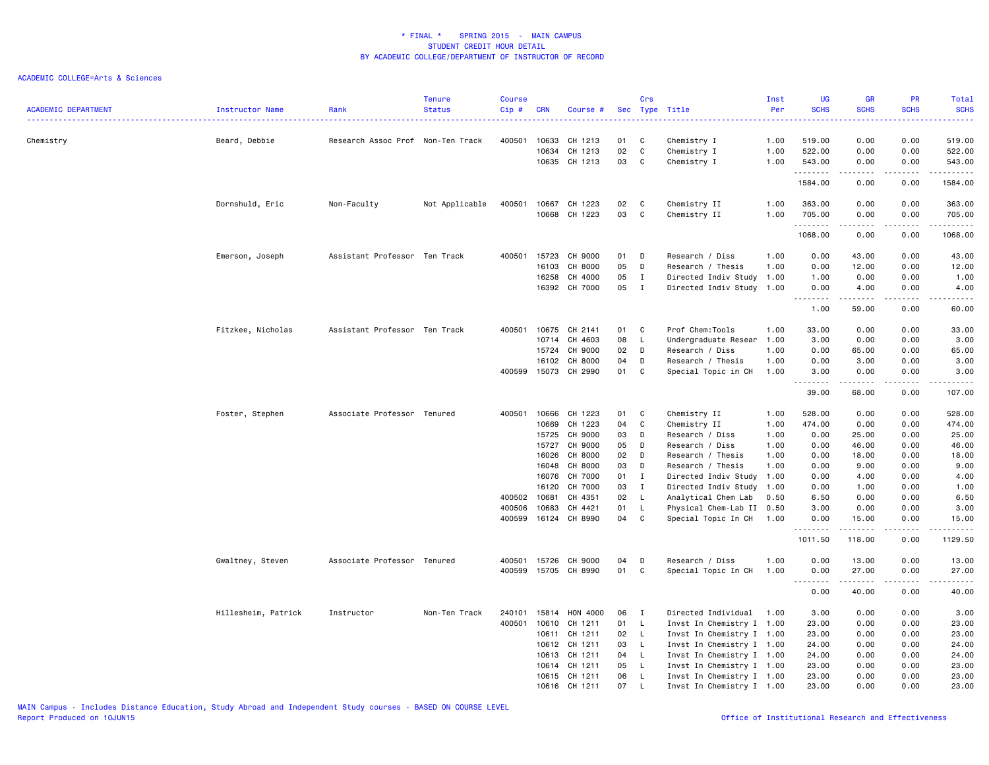| <b>ACADEMIC DEPARTMENT</b> | Instructor Name     | Rank                              | <b>Tenure</b><br><b>Status</b> | <b>Course</b><br>$Cip$ # | <b>CRN</b> | Course #      |      | Crs          | Sec Type Title                       | Inst<br>Per | <b>UG</b><br><b>SCHS</b> | <b>GR</b><br><b>SCHS</b>                                                                                                                                      | PR<br><b>SCHS</b>                   | Total<br><b>SCHS</b>                                                                                                                                          |
|----------------------------|---------------------|-----------------------------------|--------------------------------|--------------------------|------------|---------------|------|--------------|--------------------------------------|-------------|--------------------------|---------------------------------------------------------------------------------------------------------------------------------------------------------------|-------------------------------------|---------------------------------------------------------------------------------------------------------------------------------------------------------------|
| Chemistry                  | Beard, Debbie       | Research Assoc Prof Non-Ten Track |                                | 400501                   | 10633      | CH 1213       | 01   | C            | Chemistry I                          | 1.00        | 519.00                   | 0.00                                                                                                                                                          | 0.00                                | 519.00                                                                                                                                                        |
|                            |                     |                                   |                                |                          | 10634      | CH 1213       | 02   | C            | Chemistry I                          | 1.00        | 522.00                   | 0.00                                                                                                                                                          | 0.00                                | 522.00                                                                                                                                                        |
|                            |                     |                                   |                                |                          | 10635      | CH 1213       | 03   | C            | Chemistry I                          | 1.00        | 543.00                   | 0.00                                                                                                                                                          | 0.00                                | 543.00                                                                                                                                                        |
|                            |                     |                                   |                                |                          |            |               |      |              |                                      |             | .<br>1584.00             | 0.00                                                                                                                                                          | $  -$<br>0.00                       | ------<br>1584.00                                                                                                                                             |
|                            |                     |                                   |                                | 400501                   | 10667      | CH 1223       | 02   | <b>C</b>     |                                      | 1.00        | 363.00                   | 0.00                                                                                                                                                          | 0.00                                | 363.00                                                                                                                                                        |
|                            | Dornshuld, Eric     | Non-Faculty                       | Not Applicable                 |                          | 10668      | CH 1223       | 03   | C            | Chemistry II<br>Chemistry II         | 1.00        | 705.00                   | 0.00                                                                                                                                                          | 0.00                                | 705.00                                                                                                                                                        |
|                            |                     |                                   |                                |                          |            |               |      |              |                                      |             | .<br>1068.00             | 0.00                                                                                                                                                          | $\sim$ $\sim$ $\sim$ $\sim$<br>0.00 | .<br>1068.00                                                                                                                                                  |
|                            |                     | Assistant Professor Ten Track     |                                | 400501                   | 15723      | CH 9000       | 01   | D            |                                      | 1.00        |                          | 43.00                                                                                                                                                         | 0.00                                | 43.00                                                                                                                                                         |
|                            | Emerson, Joseph     |                                   |                                |                          | 16103      | CH 8000       | 05   | D            | Research / Diss<br>Research / Thesis | 1.00        | 0.00<br>0.00             | 12.00                                                                                                                                                         | 0.00                                | 12.00                                                                                                                                                         |
|                            |                     |                                   |                                |                          | 16258      | CH 4000       | 05   | $\mathbf{I}$ | Directed Indiv Study 1.00            |             | 1.00                     | 0.00                                                                                                                                                          | 0.00                                | 1.00                                                                                                                                                          |
|                            |                     |                                   |                                |                          |            | 16392 CH 7000 | 05   | $\mathbf{I}$ | Directed Indiv Study 1.00            |             | 0.00                     | 4.00                                                                                                                                                          | 0.00                                | 4.00                                                                                                                                                          |
|                            |                     |                                   |                                |                          |            |               |      |              |                                      |             | .<br>1.00                | .<br>59.00                                                                                                                                                    | .<br>0.00                           | $\frac{1}{2} \left( \frac{1}{2} \right) \left( \frac{1}{2} \right) \left( \frac{1}{2} \right) \left( \frac{1}{2} \right) \left( \frac{1}{2} \right)$<br>60.00 |
|                            | Fitzkee, Nicholas   | Assistant Professor Ten Track     |                                | 400501                   | 10675      | CH 2141       | 01   | C            | Prof Chem:Tools                      | 1.00        | 33.00                    | 0.00                                                                                                                                                          | 0.00                                | 33.00                                                                                                                                                         |
|                            |                     |                                   |                                |                          | 10714      | CH 4603       | 08   | L.           | Undergraduate Resear                 | 1.00        | 3.00                     | 0.00                                                                                                                                                          | 0.00                                | 3.00                                                                                                                                                          |
|                            |                     |                                   |                                |                          | 15724      | CH 9000       | 02   | D            | Research / Diss                      | 1.00        | 0.00                     | 65.00                                                                                                                                                         | 0.00                                | 65.00                                                                                                                                                         |
|                            |                     |                                   |                                |                          | 16102      | CH 8000       | 04   | D            | Research / Thesis                    | 1.00        | 0.00                     | 3.00                                                                                                                                                          | 0.00                                | 3.00                                                                                                                                                          |
|                            |                     |                                   |                                | 400599                   | 15073      | CH 2990       | 01   | C            | Special Topic in CH                  | 1.00        | 3.00                     | 0.00                                                                                                                                                          | 0.00                                | 3.00                                                                                                                                                          |
|                            |                     |                                   |                                |                          |            |               |      |              |                                      |             | .<br>39.00               | $\frac{1}{2} \left( \frac{1}{2} \right) \left( \frac{1}{2} \right) \left( \frac{1}{2} \right) \left( \frac{1}{2} \right) \left( \frac{1}{2} \right)$<br>68.00 | .<br>0.00                           | د د د د د<br>107.00                                                                                                                                           |
|                            | Foster, Stephen     | Associate Professor Tenured       |                                | 400501                   | 10666      | CH 1223       | 01   | C            | Chemistry II                         | 1.00        | 528.00                   | 0.00                                                                                                                                                          | 0.00                                | 528.00                                                                                                                                                        |
|                            |                     |                                   |                                |                          | 10669      | CH 1223       | 04   | C            | Chemistry II                         | 1.00        | 474.00                   | 0.00                                                                                                                                                          | 0.00                                | 474.00                                                                                                                                                        |
|                            |                     |                                   |                                |                          | 15725      | CH 9000       | 03   | D            | Research / Diss                      | 1.00        | 0.00                     | 25.00                                                                                                                                                         | 0.00                                | 25.00                                                                                                                                                         |
|                            |                     |                                   |                                |                          | 15727      | CH 9000       | 05   | D            | Research / Diss                      | 1.00        | 0.00                     | 46.00                                                                                                                                                         | 0.00                                | 46.00                                                                                                                                                         |
|                            |                     |                                   |                                |                          | 16026      | CH 8000       | 02   | D            | Research / Thesis                    | 1.00        | 0.00                     | 18.00                                                                                                                                                         | 0.00                                | 18.00                                                                                                                                                         |
|                            |                     |                                   |                                |                          | 16048      | CH 8000       | 03   | D            | Research / Thesis                    | 1.00        | 0.00                     | 9.00                                                                                                                                                          | 0.00                                | 9.00                                                                                                                                                          |
|                            |                     |                                   |                                |                          | 16076      | CH 7000       | 01   | $\mathbf I$  | Directed Indiv Study                 | 1.00        | 0.00                     | 4.00                                                                                                                                                          | 0.00                                | 4.00                                                                                                                                                          |
|                            |                     |                                   |                                |                          | 16120      | CH 7000       | 03   | $\mathbf{I}$ | Directed Indiv Study 1.00            |             | 0.00                     | 1.00                                                                                                                                                          | 0.00                                | 1.00                                                                                                                                                          |
|                            |                     |                                   |                                | 400502                   | 10681      | CH 4351       | 02   | $\mathsf{L}$ | Analytical Chem Lab                  | 0.50        | 6.50                     | 0.00                                                                                                                                                          | 0.00                                | 6.50                                                                                                                                                          |
|                            |                     |                                   |                                | 400506                   | 10683      | CH 4421       | 01   | L            | Physical Chem-Lab II 0.50            |             | 3.00                     | 0.00                                                                                                                                                          | 0.00                                | 3.00                                                                                                                                                          |
|                            |                     |                                   |                                | 400599                   |            | 16124 CH 8990 | 04   | C            | Special Topic In CH                  | 1.00        | 0.00<br>.                | 15.00<br>.                                                                                                                                                    | 0.00<br>.                           | 15.00<br>.                                                                                                                                                    |
|                            |                     |                                   |                                |                          |            |               |      |              |                                      |             | 1011.50                  | 118.00                                                                                                                                                        | 0.00                                | 1129.50                                                                                                                                                       |
|                            | Gwaltney, Steven    | Associate Professor Tenured       |                                | 400501                   | 15726      | CH 9000       | 04   | D            | Research / Diss                      | 1.00        | 0.00                     | 13.00                                                                                                                                                         | 0.00                                | 13.00                                                                                                                                                         |
|                            |                     |                                   |                                | 400599                   | 15705      | CH 8990       | 01   | C            | Special Topic In CH                  | 1.00        | 0.00<br>.                | 27.00<br>.                                                                                                                                                    | 0.00<br>$\sim$ $\sim$ $\sim$ $\sim$ | 27.00<br>.                                                                                                                                                    |
|                            |                     |                                   |                                |                          |            |               |      |              |                                      |             | 0.00                     | 40.00                                                                                                                                                         | 0.00                                | 40.00                                                                                                                                                         |
|                            | Hillesheim, Patrick | Instructor                        | Non-Ten Track                  | 240101                   | 15814      | HON 4000      | 06   | $\mathbf{I}$ | Directed Individual 1.00             |             | 3.00                     | 0.00                                                                                                                                                          | 0.00                                | 3.00                                                                                                                                                          |
|                            |                     |                                   |                                | 400501                   | 10610      | CH 1211       | 01   | L            | Invst In Chemistry I 1.00            |             | 23.00                    | 0.00                                                                                                                                                          | 0.00                                | 23.00                                                                                                                                                         |
|                            |                     |                                   |                                |                          | 10611      | CH 1211       | 02 L |              | Invst In Chemistry I 1.00            |             | 23.00                    | 0.00                                                                                                                                                          | 0.00                                | 23.00                                                                                                                                                         |
|                            |                     |                                   |                                |                          | 10612      | CH 1211       | 03   | L.           | Invst In Chemistry I 1.00            |             | 24.00                    | 0.00                                                                                                                                                          | 0.00                                | 24.00                                                                                                                                                         |
|                            |                     |                                   |                                |                          | 10613      | CH 1211       | 04   | $\mathsf{L}$ | Invst In Chemistry I 1.00            |             | 24.00                    | 0.00                                                                                                                                                          | 0.00                                | 24.00                                                                                                                                                         |
|                            |                     |                                   |                                |                          | 10614      | CH 1211       | 05   | $\mathsf{L}$ | Invst In Chemistry I 1.00            |             | 23.00                    | 0.00                                                                                                                                                          | 0.00                                | 23.00                                                                                                                                                         |
|                            |                     |                                   |                                |                          | 10615      | CH 1211       | 06   | L.           | Invst In Chemistry I 1.00            |             | 23.00                    | 0.00                                                                                                                                                          | 0.00                                | 23.00                                                                                                                                                         |
|                            |                     |                                   |                                |                          |            | 10616 CH 1211 | 07   | L.           | Invst In Chemistry I 1.00            |             | 23.00                    | 0.00                                                                                                                                                          | 0.00                                | 23.00                                                                                                                                                         |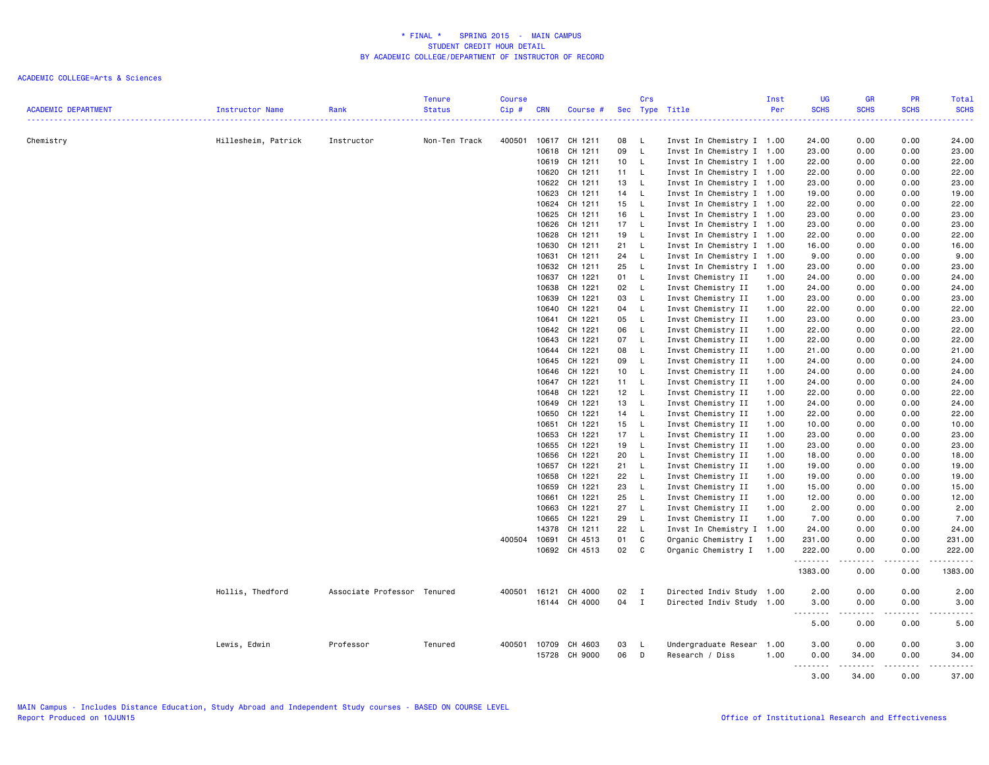| <b>ACADEMIC DEPARTMENT</b> | Instructor Name     | Rank                        | <b>Tenure</b><br><b>Status</b> | <b>Course</b><br>Cip# | <b>CRN</b> | Course #           |                 | Crs          | Sec Type Title                                         | Inst<br>Per | <b>UG</b><br><b>SCHS</b><br><u>.</u> | <b>GR</b><br><b>SCHS</b><br>$\frac{1}{2} \left( \frac{1}{2} \right) \left( \frac{1}{2} \right) \left( \frac{1}{2} \right) \left( \frac{1}{2} \right)$ | PR<br><b>SCHS</b><br>$\frac{1}{2} \left( \frac{1}{2} \right) \left( \frac{1}{2} \right) \left( \frac{1}{2} \right) \left( \frac{1}{2} \right)$ | Total<br><b>SCHS</b><br>.                                                                                                                                    |
|----------------------------|---------------------|-----------------------------|--------------------------------|-----------------------|------------|--------------------|-----------------|--------------|--------------------------------------------------------|-------------|--------------------------------------|-------------------------------------------------------------------------------------------------------------------------------------------------------|------------------------------------------------------------------------------------------------------------------------------------------------|--------------------------------------------------------------------------------------------------------------------------------------------------------------|
| Chemistry                  | Hillesheim, Patrick | Instructor                  | Non-Ten Track                  | 400501                | 10617      | CH 1211            | 08              | $\mathsf{L}$ | Invst In Chemistry I 1.00                              |             | 24.00                                | 0.00                                                                                                                                                  | 0.00                                                                                                                                           | 24.00                                                                                                                                                        |
|                            |                     |                             |                                |                       | 10618      | CH 1211            | 09              | $\mathsf{L}$ | Invst In Chemistry I 1.00                              |             | 23.00                                | 0.00                                                                                                                                                  | 0.00                                                                                                                                           | 23.00                                                                                                                                                        |
|                            |                     |                             |                                |                       | 10619      | CH 1211            | 10              | $\mathsf{L}$ | Invst In Chemistry I 1.00                              |             | 22.00                                | 0.00                                                                                                                                                  | 0.00                                                                                                                                           | 22.00                                                                                                                                                        |
|                            |                     |                             |                                |                       | 10620      | CH 1211            | 11              | L.           |                                                        |             | 22.00                                | 0.00                                                                                                                                                  | 0.00                                                                                                                                           | 22.00                                                                                                                                                        |
|                            |                     |                             |                                |                       |            | 10622 CH 1211      | 13              | $\mathsf{L}$ | Invst In Chemistry I 1.00<br>Invst In Chemistry I 1.00 |             | 23.00                                | 0.00                                                                                                                                                  | 0.00                                                                                                                                           | 23.00                                                                                                                                                        |
|                            |                     |                             |                                |                       | 10623      | CH 1211            |                 | $\mathsf{L}$ |                                                        |             | 19.00                                | 0.00                                                                                                                                                  | 0.00                                                                                                                                           | 19.00                                                                                                                                                        |
|                            |                     |                             |                                |                       | 10624      | CH 1211            | 14<br>15        | $\mathsf{L}$ | Invst In Chemistry I 1.00<br>Invst In Chemistry I 1.00 |             | 22.00                                | 0.00                                                                                                                                                  | 0.00                                                                                                                                           | 22.00                                                                                                                                                        |
|                            |                     |                             |                                |                       | 10625      | CH 1211            | 16              | - L          |                                                        |             | 23.00                                | 0.00                                                                                                                                                  | 0.00                                                                                                                                           | 23.00                                                                                                                                                        |
|                            |                     |                             |                                |                       |            |                    |                 |              | Invst In Chemistry I 1.00                              |             |                                      |                                                                                                                                                       |                                                                                                                                                |                                                                                                                                                              |
|                            |                     |                             |                                |                       | 10626      | CH 1211            | 17              | $\mathsf{L}$ | Invst In Chemistry I 1.00                              |             | 23.00                                | 0.00                                                                                                                                                  | 0.00                                                                                                                                           | 23.00                                                                                                                                                        |
|                            |                     |                             |                                |                       | 10628      | CH 1211            | 19              | L.           | Invst In Chemistry I 1.00                              |             | 22.00                                | 0.00                                                                                                                                                  | 0.00                                                                                                                                           | 22.00                                                                                                                                                        |
|                            |                     |                             |                                |                       | 10630      | CH 1211            | 21              | $\mathsf{L}$ | Invst In Chemistry I 1.00                              |             | 16.00                                | 0.00                                                                                                                                                  | 0.00                                                                                                                                           | 16.00                                                                                                                                                        |
|                            |                     |                             |                                |                       | 10631      | CH 1211<br>CH 1211 | 24              | $\mathsf{L}$ | Invst In Chemistry I 1.00                              |             | 9.00                                 | 0.00                                                                                                                                                  | 0.00                                                                                                                                           | 9.00                                                                                                                                                         |
|                            |                     |                             |                                |                       | 10632      |                    | 25              | $\mathsf{L}$ | Invst In Chemistry I 1.00                              |             | 23.00                                | 0.00                                                                                                                                                  | 0.00                                                                                                                                           | 23.00                                                                                                                                                        |
|                            |                     |                             |                                |                       | 10637      | CH 1221            | 01              | $\mathsf{L}$ | Invst Chemistry II                                     | 1.00        | 24.00                                | 0.00                                                                                                                                                  | 0.00                                                                                                                                           | 24.00                                                                                                                                                        |
|                            |                     |                             |                                |                       | 10638      | CH 1221            | 02              | - L          | Invst Chemistry II                                     | 1.00        | 24.00                                | 0.00                                                                                                                                                  | 0.00                                                                                                                                           | 24.00                                                                                                                                                        |
|                            |                     |                             |                                |                       | 10639      | CH 1221            | 03              | $\mathsf{L}$ | Invst Chemistry II                                     | 1.00        | 23.00                                | 0.00                                                                                                                                                  | 0.00                                                                                                                                           | 23.00                                                                                                                                                        |
|                            |                     |                             |                                |                       | 10640      | CH 1221            | 04              | $\mathsf{L}$ | Invst Chemistry II                                     | 1.00        | 22.00                                | 0.00                                                                                                                                                  | 0.00                                                                                                                                           | 22.00                                                                                                                                                        |
|                            |                     |                             |                                |                       | 10641      | CH 1221            | 05              | $\mathsf{L}$ | Invst Chemistry II                                     | 1.00        | 23.00                                | 0.00                                                                                                                                                  | 0.00                                                                                                                                           | 23.00                                                                                                                                                        |
|                            |                     |                             |                                |                       | 10642      | CH 1221            | 06              | $\mathsf{L}$ | Invst Chemistry II                                     | 1.00        | 22.00                                | 0.00                                                                                                                                                  | 0.00                                                                                                                                           | 22.00                                                                                                                                                        |
|                            |                     |                             |                                |                       | 10643      | CH 1221            | 07              | $\mathsf{L}$ | Invst Chemistry II                                     | 1.00        | 22.00                                | 0.00                                                                                                                                                  | 0.00                                                                                                                                           | 22.00                                                                                                                                                        |
|                            |                     |                             |                                |                       | 10644      | CH 1221            | 08              | $\mathsf{L}$ | Invst Chemistry II                                     | 1.00        | 21.00                                | 0.00                                                                                                                                                  | 0.00                                                                                                                                           | 21.00                                                                                                                                                        |
|                            |                     |                             |                                |                       | 10645      | CH 1221            | 09              | L.           | Invst Chemistry II                                     | 1.00        | 24.00                                | 0.00                                                                                                                                                  | 0.00                                                                                                                                           | 24.00                                                                                                                                                        |
|                            |                     |                             |                                |                       | 10646      | CH 1221            | 10 <sub>1</sub> | <b>L</b>     | Invst Chemistry II                                     | 1.00        | 24.00                                | 0.00                                                                                                                                                  | 0.00                                                                                                                                           | 24.00                                                                                                                                                        |
|                            |                     |                             |                                |                       | 10647      | CH 1221            | 11              | $\mathsf{L}$ | Invst Chemistry II                                     | 1.00        | 24.00                                | 0.00                                                                                                                                                  | 0.00                                                                                                                                           | 24.00                                                                                                                                                        |
|                            |                     |                             |                                |                       | 10648      | CH 1221            | 12              | $\mathsf{L}$ | Invst Chemistry II                                     | 1.00        | 22.00                                | 0.00                                                                                                                                                  | 0.00                                                                                                                                           | 22.00                                                                                                                                                        |
|                            |                     |                             |                                |                       | 10649      | CH 1221            | 13              | $\mathsf{L}$ | Invst Chemistry II                                     | 1.00        | 24.00                                | 0.00                                                                                                                                                  | 0.00                                                                                                                                           | 24.00                                                                                                                                                        |
|                            |                     |                             |                                |                       | 10650      | CH 1221            | 14              | $\mathsf{L}$ | Invst Chemistry II                                     | 1.00        | 22.00                                | 0.00                                                                                                                                                  | 0.00                                                                                                                                           | 22.00                                                                                                                                                        |
|                            |                     |                             |                                |                       | 10651      | CH 1221            | 15              | <b>L</b>     | Invst Chemistry II                                     | 1.00        | 10.00                                | 0.00                                                                                                                                                  | 0.00                                                                                                                                           | 10.00                                                                                                                                                        |
|                            |                     |                             |                                |                       | 10653      | CH 1221            | 17              | <b>L</b>     | Invst Chemistry II                                     | 1.00        | 23.00                                | 0.00                                                                                                                                                  | 0.00                                                                                                                                           | 23.00                                                                                                                                                        |
|                            |                     |                             |                                |                       | 10655      | CH 1221            | 19              | $\mathsf{L}$ | Invst Chemistry II                                     | 1.00        | 23.00                                | 0.00                                                                                                                                                  | 0.00                                                                                                                                           | 23.00                                                                                                                                                        |
|                            |                     |                             |                                |                       | 10656      | CH 1221            | 20              | L.           | Invst Chemistry II                                     | 1.00        | 18.00                                | 0.00                                                                                                                                                  | 0.00                                                                                                                                           | 18.00                                                                                                                                                        |
|                            |                     |                             |                                |                       | 10657      | CH 1221            | 21              | $\mathsf{L}$ | Invst Chemistry II                                     | 1.00        | 19.00                                | 0.00                                                                                                                                                  | 0.00                                                                                                                                           | 19.00                                                                                                                                                        |
|                            |                     |                             |                                |                       | 10658      | CH 1221            | 22              | $\mathsf{L}$ | Invst Chemistry II                                     | 1.00        | 19.00                                | 0.00                                                                                                                                                  | 0.00                                                                                                                                           | 19.00                                                                                                                                                        |
|                            |                     |                             |                                |                       | 10659      | CH 1221            | 23              | L.           | Invst Chemistry II                                     | 1.00        | 15.00                                | 0.00                                                                                                                                                  | 0.00                                                                                                                                           | 15.00                                                                                                                                                        |
|                            |                     |                             |                                |                       | 10661      | CH 1221            | 25              | $\mathsf{L}$ | Invst Chemistry II                                     | 1.00        | 12.00                                | 0.00                                                                                                                                                  | 0.00                                                                                                                                           | 12.00                                                                                                                                                        |
|                            |                     |                             |                                |                       | 10663      | CH 1221            | 27              | $\mathsf{L}$ | Invst Chemistry II                                     | 1.00        | 2.00                                 | 0.00                                                                                                                                                  | 0.00                                                                                                                                           | 2.00                                                                                                                                                         |
|                            |                     |                             |                                |                       | 10665      | CH 1221            | 29              | L.           | Invst Chemistry II                                     | 1.00        | 7.00                                 | 0.00                                                                                                                                                  | 0.00                                                                                                                                           | 7.00                                                                                                                                                         |
|                            |                     |                             |                                |                       | 14378      | CH 1211            | 22              | $\mathsf{L}$ | Invst In Chemistry I 1.00                              |             | 24.00                                | 0.00                                                                                                                                                  | 0.00                                                                                                                                           | 24.00                                                                                                                                                        |
|                            |                     |                             |                                | 400504                | 10691      | CH 4513            | 01              | $\mathbb C$  | Organic Chemistry I                                    | 1.00        | 231.00                               | 0.00                                                                                                                                                  | 0.00                                                                                                                                           | 231.00                                                                                                                                                       |
|                            |                     |                             |                                |                       |            | 10692 CH 4513      | 02              | C            | Organic Chemistry I 1.00                               |             | 222.00                               | 0.00                                                                                                                                                  | 0.00                                                                                                                                           | 222.00                                                                                                                                                       |
|                            |                     |                             |                                |                       |            |                    |                 |              |                                                        |             | .<br>1383.00                         | 0.00                                                                                                                                                  | 0.00                                                                                                                                           | .<br>1383.00                                                                                                                                                 |
|                            | Hollis, Thedford    | Associate Professor Tenured |                                | 400501                | 16121      | CH 4000            | 02              | $\mathbf{I}$ | Directed Indiv Study 1.00                              |             | 2.00                                 | 0.00                                                                                                                                                  | 0.00                                                                                                                                           | 2.00                                                                                                                                                         |
|                            |                     |                             |                                |                       |            | 16144 CH 4000      | 04              | $\mathbf{I}$ | Directed Indiv Study 1.00                              |             | 3.00                                 | 0.00                                                                                                                                                  | 0.00                                                                                                                                           | 3.00                                                                                                                                                         |
|                            |                     |                             |                                |                       |            |                    |                 |              |                                                        |             | .<br>$\sim$ $\sim$ $\sim$<br>5.00    | .<br>0.00                                                                                                                                             | .<br>0.00                                                                                                                                      | $\frac{1}{2} \left( \frac{1}{2} \right) \left( \frac{1}{2} \right) \left( \frac{1}{2} \right) \left( \frac{1}{2} \right) \left( \frac{1}{2} \right)$<br>5.00 |
|                            |                     |                             |                                |                       |            |                    |                 |              |                                                        |             |                                      |                                                                                                                                                       |                                                                                                                                                |                                                                                                                                                              |
|                            | Lewis, Edwin        | Professor                   | Tenured                        | 400501                | 10709      | CH 4603            | 03              | $\mathsf{L}$ | Undergraduate Resear                                   | 1.00        | 3.00                                 | 0.00                                                                                                                                                  | 0.00                                                                                                                                           | 3.00                                                                                                                                                         |
|                            |                     |                             |                                |                       |            | 15728 CH 9000      | 06              | D            | Research / Diss                                        | 1.00        | 0.00                                 | 34.00                                                                                                                                                 | 0.00                                                                                                                                           | 34.00                                                                                                                                                        |
|                            |                     |                             |                                |                       |            |                    |                 |              |                                                        |             | $\frac{1}{2}$<br>3.00                | .<br>34.00                                                                                                                                            | $- - - -$<br>0.00                                                                                                                              | .<br>37.00                                                                                                                                                   |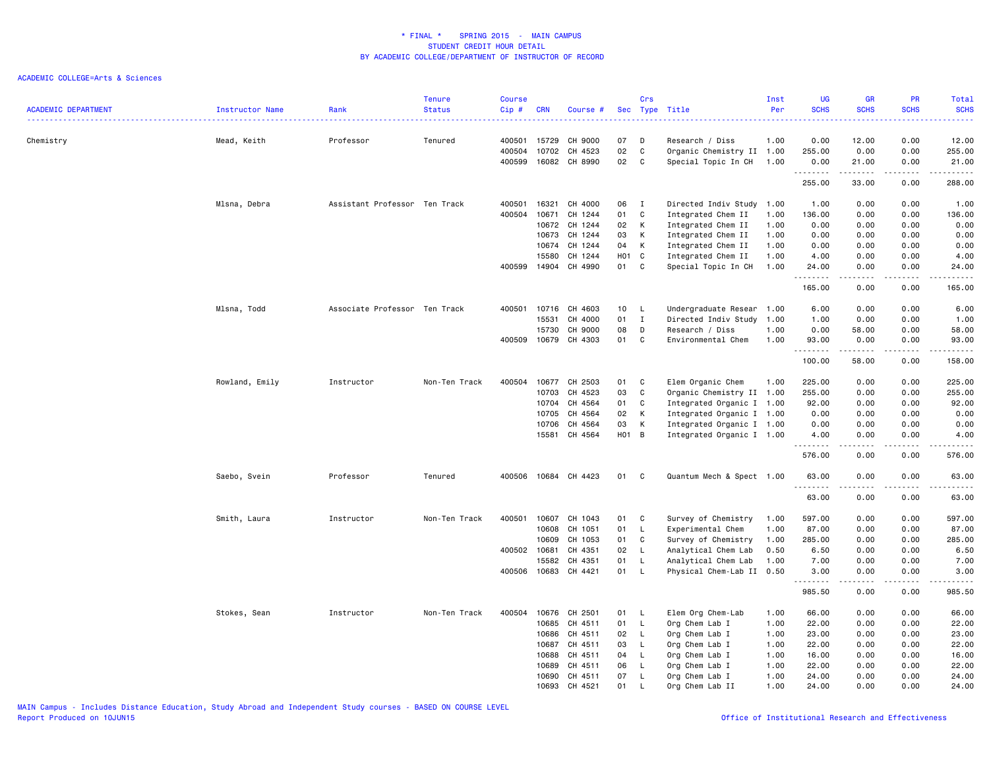| <b>ACADEMIC DEPARTMENT</b> | Instructor Name | Rank                          | <b>Tenure</b><br><b>Status</b> | <b>Course</b><br>Cip#      | <b>CRN</b>              | Course #                      |                        | Crs                                          | Sec Type Title                                                                      | Inst<br>Per          | <b>UG</b><br><b>SCHS</b>                                                                                                                                       | <b>GR</b><br><b>SCHS</b> | PR<br><b>SCHS</b>                                                                                                                 | Total<br><b>SCHS</b><br>$\frac{1}{2} \left( \frac{1}{2} \right) \left( \frac{1}{2} \right) \left( \frac{1}{2} \right) \left( \frac{1}{2} \right)$              |
|----------------------------|-----------------|-------------------------------|--------------------------------|----------------------------|-------------------------|-------------------------------|------------------------|----------------------------------------------|-------------------------------------------------------------------------------------|----------------------|----------------------------------------------------------------------------------------------------------------------------------------------------------------|--------------------------|-----------------------------------------------------------------------------------------------------------------------------------|----------------------------------------------------------------------------------------------------------------------------------------------------------------|
| Chemistry                  | Mead, Keith     | Professor                     | Tenured                        | 400501<br>400504<br>400599 | 15729<br>10702<br>16082 | CH 9000<br>CH 4523<br>CH 8990 | 07<br>02<br>02         | D<br>C<br>C                                  | Research / Diss<br>Organic Chemistry II 1.00<br>Special Topic In CH                 | 1.00<br>1.00         | 0.00<br>255.00<br>0.00                                                                                                                                         | 12.00<br>0.00<br>21.00   | 0.00<br>0.00<br>0.00                                                                                                              | 12.00<br>255.00<br>21.00                                                                                                                                       |
|                            |                 |                               |                                |                            |                         |                               |                        |                                              |                                                                                     |                      | .<br>255.00                                                                                                                                                    | .<br>33.00               | .<br>0.00                                                                                                                         | 2.2.2.2.2.2<br>288.00                                                                                                                                          |
|                            | Mlsna, Debra    | Assistant Professor Ten Track |                                | 400501<br>400504           | 16321<br>10671          | CH 4000<br>CH 1244            | 06<br>01               | $\mathbf{I}$<br>C                            | Directed Indiv Study<br>Integrated Chem II                                          | 1.00<br>1.00         | 1.00<br>136.00                                                                                                                                                 | 0.00<br>0.00             | 0.00<br>0.00                                                                                                                      | 1.00<br>136.00                                                                                                                                                 |
|                            |                 |                               |                                |                            | 10672<br>10673          | CH 1244<br>CH 1244            | 02<br>03               | K<br>K                                       | Integrated Chem II<br>Integrated Chem II                                            | 1.00<br>1.00         | 0.00<br>0.00                                                                                                                                                   | 0.00<br>0.00             | 0.00<br>0.00                                                                                                                      | 0.00<br>0.00                                                                                                                                                   |
|                            |                 |                               |                                | 400599                     | 10674<br>15580<br>14904 | CH 1244<br>CH 1244<br>CH 4990 | 04<br><b>HO1</b><br>01 | K<br>$\mathbf{C}$<br>C                       | Integrated Chem II<br>Integrated Chem II<br>Special Topic In CH                     | 1.00<br>1.00<br>1.00 | 0.00<br>4.00<br>24.00                                                                                                                                          | 0.00<br>0.00<br>0.00     | 0.00<br>0.00<br>0.00                                                                                                              | 0.00<br>4.00<br>24.00                                                                                                                                          |
|                            |                 |                               |                                |                            |                         |                               |                        |                                              |                                                                                     |                      | .<br>165.00                                                                                                                                                    | .<br>0.00                | $- - - -$<br>0.00                                                                                                                 | .<br>165.00                                                                                                                                                    |
|                            | Mlsna, Todd     | Associate Professor Ten Track |                                | 400501                     | 10716<br>15531<br>15730 | CH 4603<br>CH 4000<br>CH 9000 | 10<br>01<br>08         | <b>L</b><br>$\mathbf{I}$<br>D                | Undergraduate Resear 1.00<br>Directed Indiv Study 1.00<br>Research / Diss           | 1.00                 | 6.00<br>1.00<br>0.00                                                                                                                                           | 0.00<br>0.00<br>58.00    | 0.00<br>0.00<br>0.00                                                                                                              | 6.00<br>1.00<br>58.00                                                                                                                                          |
|                            |                 |                               |                                | 400509                     | 10679                   | CH 4303                       | 01                     | C                                            | Environmental Chem                                                                  | 1.00                 | 93.00<br>.                                                                                                                                                     | 0.00                     | 0.00<br>$\frac{1}{2} \left( \frac{1}{2} \right) \left( \frac{1}{2} \right) \left( \frac{1}{2} \right) \left( \frac{1}{2} \right)$ | 93.00<br>$    -$                                                                                                                                               |
|                            | Rowland, Emily  | Instructor                    | Non-Ten Track                  | 400504                     | 10677                   | CH 2503                       | 01                     | C                                            | Elem Organic Chem                                                                   | 1.00                 | 100.00<br>225.00                                                                                                                                               | 58.00<br>0.00            | 0.00<br>0.00                                                                                                                      | 158.00<br>225.00                                                                                                                                               |
|                            |                 |                               |                                |                            | 10703<br>10704<br>10705 | CH 4523<br>CH 4564<br>CH 4564 | 03<br>01<br>02         | C<br>C<br>K                                  | Organic Chemistry II 1.00<br>Integrated Organic I 1.00<br>Integrated Organic I 1.00 |                      | 255.00<br>92.00<br>0.00                                                                                                                                        | 0.00<br>0.00<br>0.00     | 0.00<br>0.00<br>0.00                                                                                                              | 255.00<br>92.00<br>0.00                                                                                                                                        |
|                            |                 |                               |                                |                            | 10706<br>15581          | CH 4564<br>CH 4564            | 03<br>H01 B            | К                                            | Integrated Organic I 1.00<br>Integrated Organic I 1.00                              |                      | 0.00<br>4.00                                                                                                                                                   | 0.00<br>0.00             | 0.00<br>0.00                                                                                                                      | 0.00<br>4.00                                                                                                                                                   |
|                            |                 |                               |                                |                            |                         |                               |                        |                                              |                                                                                     |                      | .<br>576.00                                                                                                                                                    | .<br>0.00                | .<br>0.00                                                                                                                         | $\frac{1}{2} \left( \frac{1}{2} \right) \left( \frac{1}{2} \right) \left( \frac{1}{2} \right) \left( \frac{1}{2} \right) \left( \frac{1}{2} \right)$<br>576.00 |
|                            | Saebo, Svein    | Professor                     | Tenured                        | 400506                     | 10684                   | CH 4423                       | 01                     | C                                            | Quantum Mech & Spect 1.00                                                           |                      | 63.00<br>63.00                                                                                                                                                 | 0.00<br>0.00             | 0.00<br>0.00                                                                                                                      | 63.00<br>63.00                                                                                                                                                 |
|                            | Smith, Laura    | Instructor                    | Non-Ten Track                  | 400501                     | 10607                   | CH 1043                       | 01                     | C                                            | Survey of Chemistry                                                                 | 1.00                 | 597.00                                                                                                                                                         | 0.00                     | 0.00                                                                                                                              | 597.00                                                                                                                                                         |
|                            |                 |                               |                                |                            | 10608<br>10609          | CH 1051<br>CH 1053            | 01<br>01               | L<br>C                                       | Experimental Chem<br>Survey of Chemistry                                            | 1.00<br>1.00         | 87.00<br>285.00                                                                                                                                                | 0.00<br>0.00             | 0.00<br>0.00                                                                                                                      | 87.00<br>285.00                                                                                                                                                |
|                            |                 |                               |                                | 400502<br>400506           | 10681<br>15582<br>10683 | CH 4351<br>CH 4351<br>CH 4421 | 02<br>01<br>01         | - L<br>L.<br>$\mathsf{L}$                    | Analytical Chem Lab<br>Analytical Chem Lab<br>Physical Chem-Lab II 0.50             | 0.50<br>1.00         | 6.50<br>7.00<br>3.00                                                                                                                                           | 0.00<br>0.00<br>0.00     | 0.00<br>0.00<br>0.00                                                                                                              | 6.50<br>7.00<br>3.00                                                                                                                                           |
|                            |                 |                               |                                |                            |                         |                               |                        |                                              |                                                                                     |                      | $\frac{1}{2} \left( \frac{1}{2} \right) \left( \frac{1}{2} \right) \left( \frac{1}{2} \right) \left( \frac{1}{2} \right) \left( \frac{1}{2} \right)$<br>985.50 | .<br>0.00                | $- - - -$<br>0.00                                                                                                                 | .<br>985.50                                                                                                                                                    |
|                            | Stokes, Sean    | Instructor                    | Non-Ten Track                  | 400504                     | 10676<br>10685          | CH 2501<br>CH 4511            | 01<br>01               | - L<br>L,                                    | Elem Org Chem-Lab<br>Org Chem Lab I                                                 | 1.00<br>1.00         | 66.00<br>22.00                                                                                                                                                 | 0.00<br>0.00             | 0.00<br>0.00                                                                                                                      | 66.00<br>22.00                                                                                                                                                 |
|                            |                 |                               |                                |                            | 10686<br>10687<br>10688 | CH 4511<br>CH 4511<br>CH 4511 | 02<br>03<br>04         | $\mathsf{L}$<br>$\mathsf{L}$<br>$\mathsf{L}$ | Org Chem Lab I<br>Org Chem Lab I<br>Org Chem Lab I                                  | 1.00<br>1.00<br>1.00 | 23.00<br>22.00<br>16.00                                                                                                                                        | 0.00<br>0.00<br>0.00     | 0.00<br>0.00<br>0.00                                                                                                              | 23.00<br>22.00<br>16.00                                                                                                                                        |
|                            |                 |                               |                                |                            | 10689<br>10690<br>10693 | CH 4511<br>CH 4511<br>CH 4521 | 06<br>07<br>01         | L.<br>$\mathsf{L}$<br>L                      | Org Chem Lab I<br>Org Chem Lab I<br>Org Chem Lab II                                 | 1.00<br>1.00<br>1.00 | 22.00<br>24.00<br>24.00                                                                                                                                        | 0.00<br>0.00<br>0.00     | 0.00<br>0.00<br>0.00                                                                                                              | 22.00<br>24.00<br>24.00                                                                                                                                        |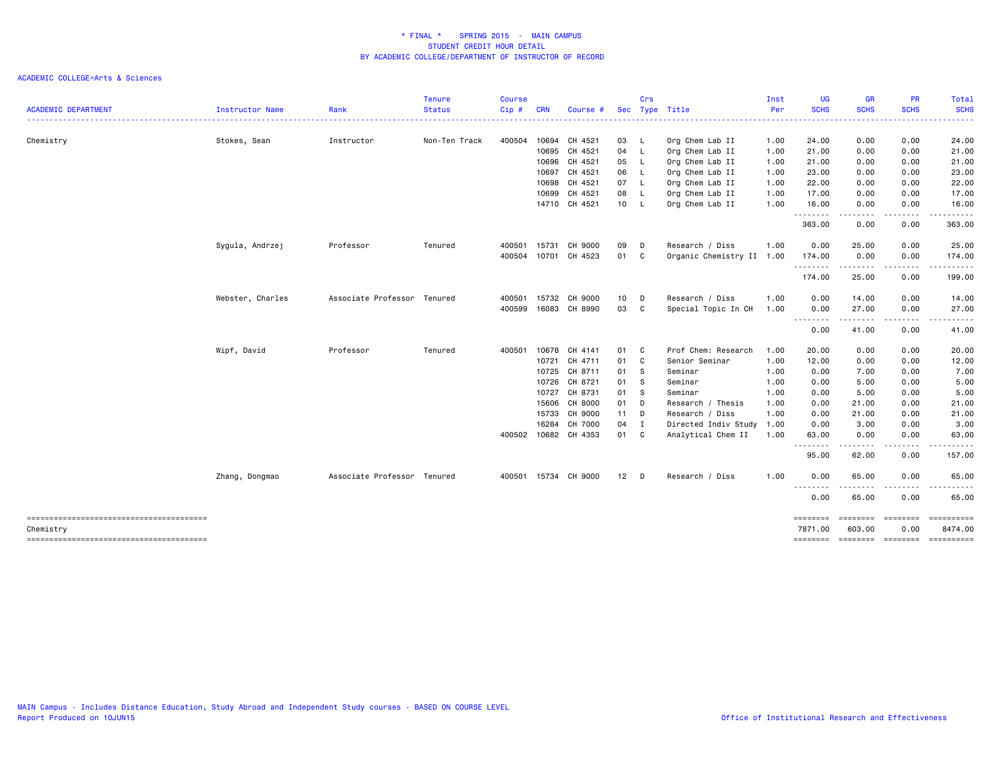| <b>ACADEMIC DEPARTMENT</b> | Instructor Name  | Rank                        | <b>Tenure</b><br><b>Status</b> | <b>Course</b><br>Cip# | <b>CRN</b> | Course #             |        | Crs      | Sec Type Title            | Inst<br>Per | <b>UG</b><br><b>SCHS</b> | <b>GR</b><br><b>SCHS</b>                                                                                                          | <b>PR</b><br><b>SCHS</b> | Total<br><b>SCHS</b>                     |
|----------------------------|------------------|-----------------------------|--------------------------------|-----------------------|------------|----------------------|--------|----------|---------------------------|-------------|--------------------------|-----------------------------------------------------------------------------------------------------------------------------------|--------------------------|------------------------------------------|
|                            |                  |                             |                                |                       |            |                      |        |          | ----------------------    |             | . <u>.</u> .             | $\begin{array}{cccccccccccccc} \bullet & \bullet & \bullet & \bullet & \bullet & \bullet & \bullet \end{array}$                   |                          | -----                                    |
| Chemistry                  | Stokes, Sean     | Instructor                  | Non-Ten Track                  | 400504                | 10694      | CH 4521              | 03     | - L      | Org Chem Lab II           | 1.00        | 24.00                    | 0.00                                                                                                                              | 0.00                     | 24.00                                    |
|                            |                  |                             |                                |                       | 10695      | CH 4521              | 04 L   |          | Org Chem Lab II           | 1.00        | 21.00                    | 0.00                                                                                                                              | 0.00                     | 21.00                                    |
|                            |                  |                             |                                |                       |            | 10696 CH 4521        | 05 L   |          | Org Chem Lab II           | 1.00        | 21.00                    | 0.00                                                                                                                              | 0.00                     | 21.00                                    |
|                            |                  |                             |                                |                       |            | 10697 CH 4521        | 06 L   |          | Org Chem Lab II           | 1.00        | 23.00                    | 0.00                                                                                                                              | 0.00                     | 23.00                                    |
|                            |                  |                             |                                |                       | 10698      | CH 4521              | 07 L   |          | Org Chem Lab II           | 1.00        | 22.00                    | 0.00                                                                                                                              | 0.00                     | 22.00                                    |
|                            |                  |                             |                                |                       | 10699      | CH 4521              | 08 L   |          | Org Chem Lab II           | 1.00        | 17.00                    | 0.00                                                                                                                              | 0.00                     | 17.00                                    |
|                            |                  |                             |                                |                       |            | 14710 CH 4521        | 10 L   |          | Org Chem Lab II           | 1.00        | 16.00<br>.               | 0.00<br>$\frac{1}{2} \left( \frac{1}{2} \right) \left( \frac{1}{2} \right) \left( \frac{1}{2} \right) \left( \frac{1}{2} \right)$ | 0.00<br>.                | 16.00<br>.                               |
|                            |                  |                             |                                |                       |            |                      |        |          |                           |             | 363.00                   | 0.00                                                                                                                              | 0.00                     | 363.00                                   |
|                            | Sygula, Andrzej  | Professor                   | Tenured                        | 400501                | 15731      | CH 9000              | 09     | D        | Research / Diss           | 1.00        | 0.00                     | 25.00                                                                                                                             | 0.00                     | 25.00                                    |
|                            |                  |                             |                                | 400504                | 10701      | CH 4523              | 01 C   |          | Organic Chemistry II 1.00 |             | 174.00<br>.              | 0.00<br>--------                                                                                                                  | 0.00<br>-----            | 174.00<br>.                              |
|                            |                  |                             |                                |                       |            |                      |        |          |                           |             | 174.00                   | 25.00                                                                                                                             | 0.00                     | 199.00                                   |
|                            | Webster, Charles | Associate Professor Tenured |                                | 400501                | 15732      | CH 9000              | 10     | D        | Research / Diss           | 1.00        | 0.00                     | 14.00                                                                                                                             | 0.00                     | 14.00                                    |
|                            |                  |                             |                                | 400599                | 16083      | CH 8990              | 03     | C        | Special Topic In CH       | 1.00        | 0.00<br>--------         | 27.00                                                                                                                             | 0.00                     | 27.00                                    |
|                            |                  |                             |                                |                       |            |                      |        |          |                           |             | 0.00                     | 41.00                                                                                                                             | 0.00                     | 41.00                                    |
|                            | Wipf, David      | Professor                   | Tenured                        | 400501                | 10678      | CH 4141              | 01 C   |          | Prof Chem: Research       | 1.00        | 20.00                    | 0.00                                                                                                                              | 0.00                     | 20.00                                    |
|                            |                  |                             |                                |                       | 10721      | CH 4711              | 01     | C        | Senior Seminar            | 1.00        | 12.00                    | 0.00                                                                                                                              | 0.00                     | 12.00                                    |
|                            |                  |                             |                                |                       | 10725      | CH 8711              | 01     | <b>S</b> | Seminar                   | 1.00        | 0.00                     | 7.00                                                                                                                              | 0.00                     | 7.00                                     |
|                            |                  |                             |                                |                       | 10726      | CH 8721              | 01     | s        | Seminar                   | 1.00        | 0.00                     | 5.00                                                                                                                              | 0.00                     | 5.00                                     |
|                            |                  |                             |                                |                       |            | 10727 CH 8731        | 01 S   |          | Seminar                   | 1.00        | 0.00                     | 5.00                                                                                                                              | 0.00                     | 5.00                                     |
|                            |                  |                             |                                |                       | 15606      | CH 8000              | 01     | D        | Research / Thesis         | 1.00        | 0.00                     | 21.00                                                                                                                             | 0.00                     | 21.00                                    |
|                            |                  |                             |                                |                       | 15733      | CH 9000              | $11$ D |          | Research / Diss           | 1.00        | 0.00                     | 21.00                                                                                                                             | 0.00                     | 21.00                                    |
|                            |                  |                             |                                |                       | 16284      | CH 7000              | 04     | I        | Directed Indiv Study      | 1.00        | 0.00                     | 3.00                                                                                                                              | 0.00                     | 3.00                                     |
|                            |                  |                             |                                | 400502                |            | 10682 CH 4353        | 01 C   |          | Analytical Chem II        | 1.00        | 63.00                    | 0.00                                                                                                                              | 0.00                     | 63.00                                    |
|                            |                  |                             |                                |                       |            |                      |        |          |                           |             | - - - -<br>95.00         | .<br>62.00                                                                                                                        | .<br>0.00                | 157.00                                   |
|                            | Zhang, Dongmao   | Associate Professor Tenured |                                |                       |            | 400501 15734 CH 9000 | $12$ D |          | Research / Diss           | 1.00        | 0.00                     | 65.00                                                                                                                             | 0.00                     | 65.00                                    |
|                            |                  |                             |                                |                       |            |                      |        |          |                           |             | .<br>0.00                | .<br>65.00                                                                                                                        | .<br>0.00                | 65.00                                    |
|                            |                  |                             |                                |                       |            |                      |        |          |                           |             | ========                 | ========                                                                                                                          | ========                 | $=$ ==========                           |
| Chemistry                  |                  |                             |                                |                       |            |                      |        |          |                           |             | 7871.00<br>========      | 603.00                                                                                                                            | 0.00                     | 8474.00<br>--------- -------- ---------- |
|                            |                  |                             |                                |                       |            |                      |        |          |                           |             |                          |                                                                                                                                   |                          |                                          |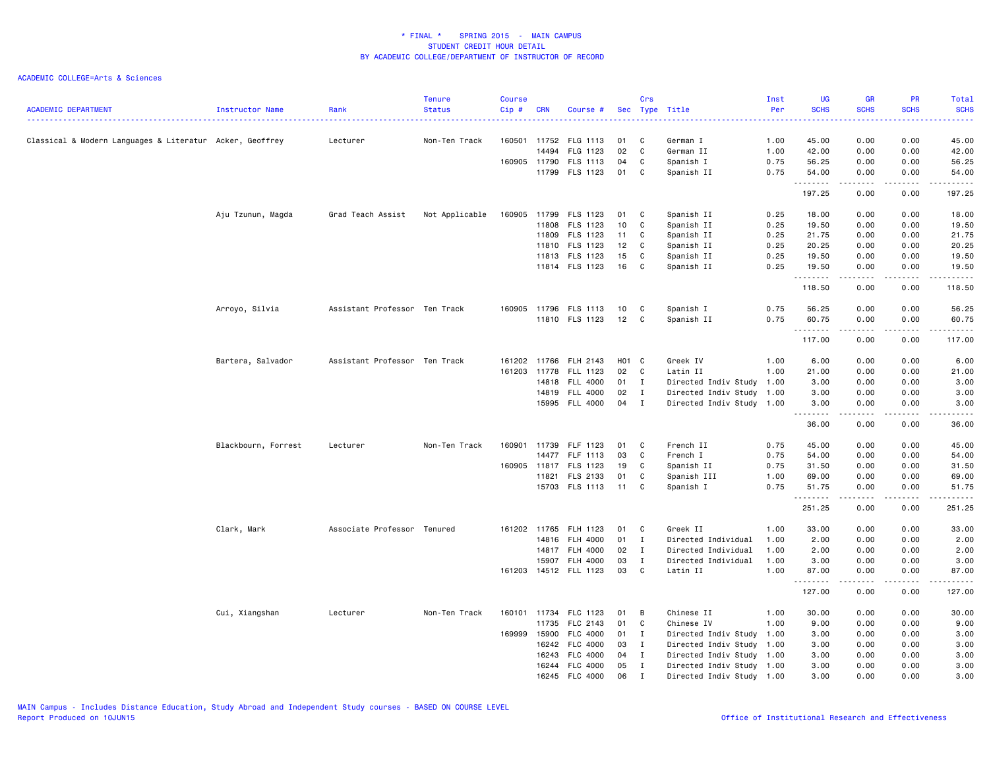| <b>ACADEMIC DEPARTMENT</b>                               | Instructor Name     | Rank                          | <b>Tenure</b><br><b>Status</b> | <b>Course</b><br>Cip# | <b>CRN</b>   | Course #              |        | Crs          | Sec Type Title            | Inst<br>Per | <b>UG</b><br><b>SCHS</b> | <b>GR</b><br><b>SCHS</b> | PR<br><b>SCHS</b> | Total<br><b>SCHS</b> |
|----------------------------------------------------------|---------------------|-------------------------------|--------------------------------|-----------------------|--------------|-----------------------|--------|--------------|---------------------------|-------------|--------------------------|--------------------------|-------------------|----------------------|
|                                                          |                     |                               |                                |                       |              |                       |        |              |                           |             |                          |                          |                   |                      |
| Classical & Modern Languages & Literatur Acker, Geoffrey |                     | Lecturer                      | Non-Ten Track                  | 160501                | 11752        | FLG 1113              | 01     | C            | German I                  | 1.00        | 45.00                    | 0.00                     | 0.00              | 45.00                |
|                                                          |                     |                               |                                |                       | 14494        | FLG 1123              | 02     | C            | German II                 | 1.00        | 42.00                    | 0.00                     | 0.00              | 42.00                |
|                                                          |                     |                               |                                | 160905                | 11790        | <b>FLS 1113</b>       | 04     | C            | Spanish I                 | 0.75        | 56.25                    | 0.00                     | 0.00              | 56.25                |
|                                                          |                     |                               |                                |                       | 11799        | FLS 1123              | 01     | C            | Spanish II                | 0.75        | 54.00<br>.               | 0.00<br>$\frac{1}{2}$    | 0.00<br>.         | 54.00<br>د د د د د   |
|                                                          |                     |                               |                                |                       |              |                       |        |              |                           |             | 197.25                   | 0.00                     | 0.00              | 197.25               |
|                                                          | Aju Tzunun, Magda   | Grad Teach Assist             | Not Applicable                 |                       | 160905 11799 | FLS 1123              | 01     | $\mathbf{C}$ | Spanish II                | 0.25        | 18.00                    | 0.00                     | 0.00              | 18.00                |
|                                                          |                     |                               |                                |                       | 11808        | FLS 1123              | 10     | $\mathbf{C}$ | Spanish II                | 0.25        | 19.50                    | 0.00                     | 0.00              | 19.50                |
|                                                          |                     |                               |                                |                       | 11809        | FLS 1123              | 11     | C            | Spanish II                | 0.25        | 21.75                    | 0.00                     | 0.00              | 21.75                |
|                                                          |                     |                               |                                |                       | 11810        | FLS 1123              | 12     | C            | Spanish II                | 0.25        | 20.25                    | 0.00                     | 0.00              | 20.25                |
|                                                          |                     |                               |                                |                       |              | 11813 FLS 1123        | 15     | C            | Spanish II                | 0.25        | 19.50                    | 0.00                     | 0.00              | 19.50                |
|                                                          |                     |                               |                                |                       |              | 11814 FLS 1123        | 16     | C            | Spanish II                | 0.25        | 19.50<br>.               | 0.00<br>$   -$           | 0.00<br>المتمامين | 19.50<br>.           |
|                                                          |                     |                               |                                |                       |              |                       |        |              |                           |             | 118.50                   | 0.00                     | 0.00              | 118.50               |
|                                                          | Arroyo, Silvia      | Assistant Professor Ten Track |                                |                       |              | 160905 11796 FLS 1113 | 10     | C            | Spanish I                 | 0.75        | 56.25                    | 0.00                     | 0.00              | 56.25                |
|                                                          |                     |                               |                                |                       |              | 11810 FLS 1123        | 12     | C            | Spanish II                | 0.75        | 60.75                    | 0.00                     | 0.00              | 60.75                |
|                                                          |                     |                               |                                |                       |              |                       |        |              |                           |             | .<br>117.00              | .<br>0.00                | .<br>0.00         | .<br>117.00          |
|                                                          | Bartera, Salvador   | Assistant Professor Ten Track |                                |                       | 161202 11766 | FLH 2143              | H01 C  |              | Greek IV                  | 1.00        | 6.00                     | 0.00                     | 0.00              | 6.00                 |
|                                                          |                     |                               |                                |                       |              | 161203 11778 FLL 1123 | 02 C   |              | Latin II                  | 1.00        | 21.00                    | 0.00                     | 0.00              | 21.00                |
|                                                          |                     |                               |                                |                       | 14818        | <b>FLL 4000</b>       | $01$ I |              | Directed Indiv Study      | 1.00        | 3.00                     | 0.00                     | 0.00              | 3.00                 |
|                                                          |                     |                               |                                |                       | 14819        | <b>FLL 4000</b>       | 02     | $\mathbf{I}$ | Directed Indiv Study 1.00 |             | 3.00                     | 0.00                     | 0.00              | 3.00                 |
|                                                          |                     |                               |                                |                       |              | 15995 FLL 4000        | 04     | $\mathbf{I}$ | Directed Indiv Study 1.00 |             | 3.00                     | 0.00                     | 0.00              | 3.00                 |
|                                                          |                     |                               |                                |                       |              |                       |        |              |                           |             | .<br>36.00               | .<br>0.00                | -----<br>0.00     | .<br>36.00           |
|                                                          | Blackbourn, Forrest | Lecturer                      | Non-Ten Track                  | 160901                | 11739        | FLF 1123              | 01     | C            | French II                 | 0.75        | 45.00                    | 0.00                     | 0.00              | 45.00                |
|                                                          |                     |                               |                                |                       | 14477        | FLF 1113              | 03     | C            | French I                  | 0.75        | 54.00                    | 0.00                     | 0.00              | 54.00                |
|                                                          |                     |                               |                                |                       | 160905 11817 | FLS 1123              | 19     | C            | Spanish II                | 0.75        | 31.50                    | 0.00                     | 0.00              | 31.50                |
|                                                          |                     |                               |                                |                       | 11821        | FLS 2133              | 01     | C            | Spanish III               | 1.00        | 69.00                    | 0.00                     | 0.00              | 69.00                |
|                                                          |                     |                               |                                |                       |              | 15703 FLS 1113        | 11     | C            | Spanish I                 | 0.75        | 51.75                    | 0.00                     | 0.00              | 51.75                |
|                                                          |                     |                               |                                |                       |              |                       |        |              |                           |             | .<br>251.25              | .<br>0.00                | .<br>0.00         | .<br>251.25          |
|                                                          | Clark, Mark         | Associate Professor Tenured   |                                |                       |              | 161202 11765 FLH 1123 | 01 C   |              | Greek II                  | 1.00        | 33.00                    | 0.00                     | 0.00              | 33.00                |
|                                                          |                     |                               |                                |                       | 14816        | <b>FLH 4000</b>       | 01     | $\mathbf{I}$ | Directed Individual       | 1.00        | 2.00                     | 0.00                     | 0.00              | 2.00                 |
|                                                          |                     |                               |                                |                       | 14817        | <b>FLH 4000</b>       | 02     | $\mathbf{I}$ | Directed Individual       | 1.00        | 2.00                     | 0.00                     | 0.00              | 2.00                 |
|                                                          |                     |                               |                                |                       | 15907        | <b>FLH 4000</b>       | 03     | $\mathbf I$  | Directed Individual       | 1.00        | 3.00                     | 0.00                     | 0.00              | 3.00                 |
|                                                          |                     |                               |                                |                       |              | 161203 14512 FLL 1123 | 03     | C            | Latin II                  | 1.00        | 87.00                    | 0.00                     | 0.00              | 87.00                |
|                                                          |                     |                               |                                |                       |              |                       |        |              |                           |             | .<br>127.00              | .<br>0.00                | الأعامات<br>0.00  | $\cdots$<br>127.00   |
|                                                          | Cui, Xiangshan      | Lecturer                      | Non-Ten Track                  |                       | 160101 11734 | FLC 1123              | 01     | B            | Chinese II                | 1.00        | 30.00                    | 0.00                     | 0.00              | 30.00                |
|                                                          |                     |                               |                                |                       | 11735        | FLC 2143              | 01     | C            | Chinese IV                | 1.00        | 9.00                     | 0.00                     | 0.00              | 9.00                 |
|                                                          |                     |                               |                                | 169999                | 15900        | FLC 4000              | 01     | $\mathbf{I}$ | Directed Indiv Study      | 1.00        | 3.00                     | 0.00                     | 0.00              | 3.00                 |
|                                                          |                     |                               |                                |                       | 16242        | FLC 4000              | 03     | $\mathbf{I}$ | Directed Indiv Study 1.00 |             | 3.00                     | 0.00                     | 0.00              | 3.00                 |
|                                                          |                     |                               |                                |                       | 16243        | FLC 4000              | 04     | $\mathbf{I}$ | Directed Indiv Study 1.00 |             | 3.00                     | 0.00                     | 0.00              | 3.00                 |
|                                                          |                     |                               |                                |                       | 16244        | FLC 4000              | 05     | $\mathbf{I}$ | Directed Indiv Study 1.00 |             | 3.00                     | 0.00                     | 0.00              | 3.00                 |
|                                                          |                     |                               |                                |                       |              | 16245 FLC 4000        | 06     | I            | Directed Indiv Study 1.00 |             | 3.00                     | 0.00                     | 0.00              | 3.00                 |
|                                                          |                     |                               |                                |                       |              |                       |        |              |                           |             |                          |                          |                   |                      |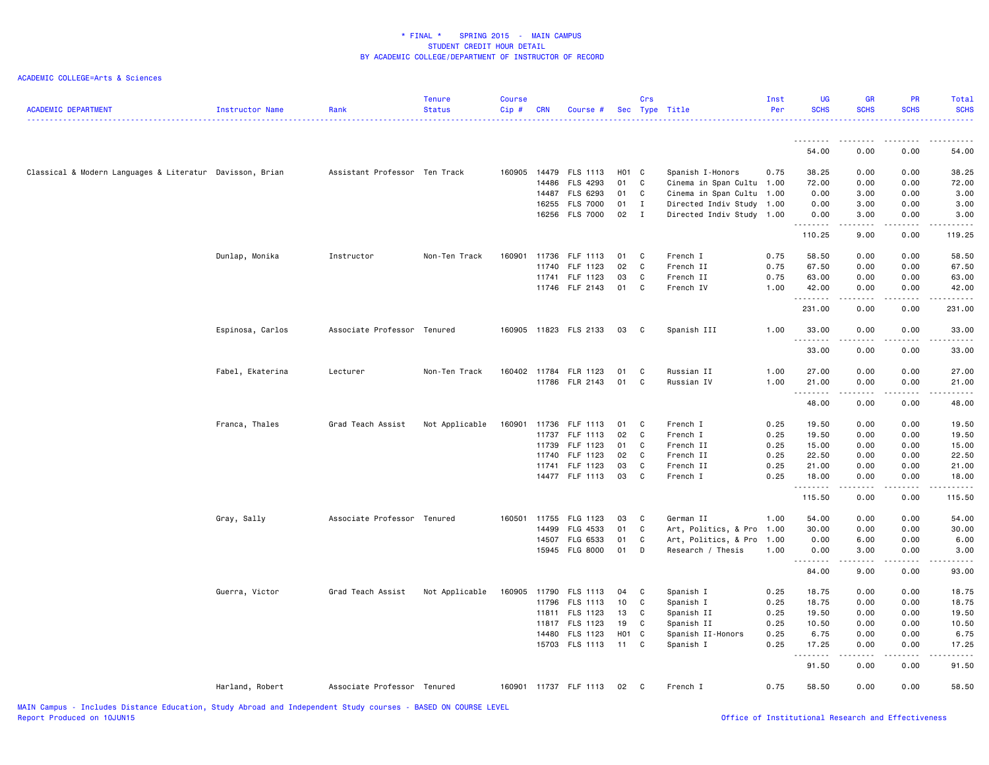| <b>ACADEMIC DEPARTMENT</b>                               | Instructor Name  | Rank                          | <b>Tenure</b><br><b>Status</b> | <b>Course</b><br>Cip# | <b>CRN</b> | Course #              |                   | Crs          | Sec Type Title            | Inst<br>Per | <b>UG</b><br><b>SCHS</b> | <b>GR</b><br><b>SCHS</b>                                                                                                                                     | PR<br><b>SCHS</b>     | Total<br><b>SCHS</b><br>. |
|----------------------------------------------------------|------------------|-------------------------------|--------------------------------|-----------------------|------------|-----------------------|-------------------|--------------|---------------------------|-------------|--------------------------|--------------------------------------------------------------------------------------------------------------------------------------------------------------|-----------------------|---------------------------|
|                                                          |                  |                               |                                |                       |            |                       |                   |              |                           |             |                          |                                                                                                                                                              |                       |                           |
|                                                          |                  |                               |                                |                       |            |                       |                   |              |                           |             | 54.00                    | 0.00                                                                                                                                                         | 0.00                  | 54.00                     |
| Classical & Modern Languages & Literatur Davisson, Brian |                  | Assistant Professor Ten Track |                                | 160905                | 14479      | FLS 1113              | H01 C             |              | Spanish I-Honors          | 0.75        | 38.25                    | 0.00                                                                                                                                                         | 0.00                  | 38.25                     |
|                                                          |                  |                               |                                |                       | 14486      | FLS 4293              | 01                | C            | Cinema in Span Cultu 1.00 |             | 72.00                    | 0.00                                                                                                                                                         | 0.00                  | 72.00                     |
|                                                          |                  |                               |                                |                       | 14487      | FLS 6293              | 01                | $\mathbf{C}$ | Cinema in Span Cultu 1.00 |             | 0.00                     | 3.00                                                                                                                                                         | 0.00                  | 3.00                      |
|                                                          |                  |                               |                                |                       | 16255      | <b>FLS 7000</b>       | $01$ I            |              | Directed Indiv Study      | 1.00        | 0.00                     | 3.00                                                                                                                                                         | 0.00                  | 3.00                      |
|                                                          |                  |                               |                                |                       |            | 16256 FLS 7000        | 02                | $\mathbf{I}$ | Directed Indiv Study 1.00 |             | 0.00<br>. <b>.</b>       | 3.00<br>$\frac{1}{2} \left( \frac{1}{2} \right) \left( \frac{1}{2} \right) \left( \frac{1}{2} \right) \left( \frac{1}{2} \right) \left( \frac{1}{2} \right)$ | 0.00<br>.             | 3.00<br>.                 |
|                                                          |                  |                               |                                |                       |            |                       |                   |              |                           |             | 110.25                   | 9.00                                                                                                                                                         | 0.00                  | 119.25                    |
|                                                          | Dunlap, Monika   | Instructor                    | Non-Ten Track                  | 160901                | 11736      | FLF 1113              | 01                | C            | French I                  | 0.75        | 58.50                    | 0.00                                                                                                                                                         | 0.00                  | 58.50                     |
|                                                          |                  |                               |                                |                       | 11740      | FLF 1123              | 02                | C            | French II                 | 0.75        | 67.50                    | 0.00                                                                                                                                                         | 0.00                  | 67.50                     |
|                                                          |                  |                               |                                |                       |            | 11741 FLF 1123        | 03                | C            | French II                 | 0.75        | 63.00                    | 0.00                                                                                                                                                         | 0.00                  | 63.00                     |
|                                                          |                  |                               |                                |                       |            | 11746 FLF 2143        | 01                | $\mathbf{C}$ | French IV                 | 1.00        | 42.00<br>. <b>.</b>      | 0.00<br>.                                                                                                                                                    | 0.00<br>$\frac{1}{2}$ | 42.00<br>.                |
|                                                          |                  |                               |                                |                       |            |                       |                   |              |                           |             | 231.00                   | 0.00                                                                                                                                                         | 0.00                  | 231.00                    |
|                                                          | Espinosa, Carlos | Associate Professor Tenured   |                                |                       |            | 160905 11823 FLS 2133 | 03                | $\mathbf{C}$ | Spanish III               | 1.00        | 33.00                    | 0.00                                                                                                                                                         | 0.00                  | 33.00                     |
|                                                          |                  |                               |                                |                       |            |                       |                   |              |                           |             | .<br>33.00               | $\frac{1}{2} \left( \frac{1}{2} \right) \left( \frac{1}{2} \right) \left( \frac{1}{2} \right) \left( \frac{1}{2} \right)$<br>0.00                            | .<br>0.00             | 33.00                     |
|                                                          | Fabel, Ekaterina | Lecturer                      | Non-Ten Track                  | 160402 11784          |            | FLR 1123              | 01                | C            | Russian II                | 1.00        | 27.00                    | 0.00                                                                                                                                                         | 0.00                  | 27.00                     |
|                                                          |                  |                               |                                |                       |            | 11786 FLR 2143        | 01                | C            | Russian IV                | 1.00        | 21.00                    | 0.00                                                                                                                                                         | 0.00                  | 21.00                     |
|                                                          |                  |                               |                                |                       |            |                       |                   |              |                           |             | .                        |                                                                                                                                                              |                       |                           |
|                                                          |                  |                               |                                |                       |            |                       |                   |              |                           |             | 48.00                    | 0.00                                                                                                                                                         | 0.00                  | 48.00                     |
|                                                          | Franca, Thales   | Grad Teach Assist             | Not Applicable                 | 160901                | 11736      | FLF 1113              | 01                | $\mathbf{C}$ | French I                  | 0.25        | 19.50                    | 0.00                                                                                                                                                         | 0.00                  | 19.50                     |
|                                                          |                  |                               |                                |                       | 11737      | FLF 1113              | 02                | C            | French I                  | 0.25        | 19.50                    | 0.00                                                                                                                                                         | 0.00                  | 19.50                     |
|                                                          |                  |                               |                                |                       | 11739      | FLF 1123              | 01                | C            | French II                 | 0.25        | 15.00                    | 0.00                                                                                                                                                         | 0.00                  | 15.00                     |
|                                                          |                  |                               |                                |                       | 11740      | FLF 1123              | 02                | $\mathbf{C}$ | French II                 | 0.25        | 22.50                    | 0.00                                                                                                                                                         | 0.00                  | 22.50                     |
|                                                          |                  |                               |                                |                       |            | 11741 FLF 1123        | 03                | C            | French II                 | 0.25        | 21.00                    | 0.00                                                                                                                                                         | 0.00                  | 21.00                     |
|                                                          |                  |                               |                                |                       |            | 14477 FLF 1113        | 03                | C            | French I                  | 0.25        | 18.00<br>.               | 0.00<br>.                                                                                                                                                    | 0.00<br>.             | 18.00<br><u>.</u>         |
|                                                          |                  |                               |                                |                       |            |                       |                   |              |                           |             | 115.50                   | 0.00                                                                                                                                                         | 0.00                  | 115.50                    |
|                                                          | Gray, Sally      | Associate Professor Tenured   |                                | 160501                | 11755      | FLG 1123              | 03                | C            | German II                 | 1.00        | 54.00                    | 0.00                                                                                                                                                         | 0.00                  | 54.00                     |
|                                                          |                  |                               |                                |                       | 14499      | FLG 4533              | 01                | C            | Art, Politics, & Pro 1.00 |             | 30.00                    | 0.00                                                                                                                                                         | 0.00                  | 30.00                     |
|                                                          |                  |                               |                                |                       | 14507      | FLG 6533              | 01                | C            | Art, Politics, & Pro 1.00 |             | 0.00                     | 6.00                                                                                                                                                         | 0.00                  | 6.00                      |
|                                                          |                  |                               |                                |                       |            | 15945 FLG 8000        | 01                | D            | Research / Thesis         | 1.00        | 0.00                     | 3.00                                                                                                                                                         | 0.00                  | 3.00                      |
|                                                          |                  |                               |                                |                       |            |                       |                   |              |                           |             | .<br>84.00               | .<br>9.00                                                                                                                                                    | .<br>0.00             | .<br>93.00                |
|                                                          | Guerra, Victor   | Grad Teach Assist             | Not Applicable                 | 160905                | 11790      | FLS 1113              | 04                | C            | Spanish I                 | 0.25        | 18.75                    | 0.00                                                                                                                                                         | 0.00                  | 18.75                     |
|                                                          |                  |                               |                                |                       | 11796      | FLS 1113              | 10                | C            | Spanish I                 | 0.25        | 18.75                    | 0.00                                                                                                                                                         | 0.00                  | 18.75                     |
|                                                          |                  |                               |                                |                       |            | 11811 FLS 1123        | 13                | $\mathbf{C}$ | Spanish II                | 0.25        | 19.50                    | 0.00                                                                                                                                                         | 0.00                  | 19.50                     |
|                                                          |                  |                               |                                |                       |            | 11817 FLS 1123        | 19                | C            | Spanish II                | 0.25        | 10.50                    | 0.00                                                                                                                                                         | 0.00                  | 10.50                     |
|                                                          |                  |                               |                                |                       | 14480      | FLS 1123              | H <sub>01</sub> C |              | Spanish II-Honors         | 0.25        | 6.75                     | 0.00                                                                                                                                                         | 0.00                  | 6.75                      |
|                                                          |                  |                               |                                |                       |            | 15703 FLS 1113        | 11 C              |              | Spanish I                 | 0.25        | 17.25<br>. <b>.</b>      | 0.00<br>.                                                                                                                                                    | 0.00                  | 17.25<br>$\frac{1}{2}$    |
|                                                          |                  |                               |                                |                       |            |                       |                   |              |                           |             | 91.50                    | 0.00                                                                                                                                                         | 0.00                  | 91.50                     |
|                                                          | Harland, Robert  | Associate Professor Tenured   |                                |                       |            | 160901 11737 FLF 1113 | 02                | $\mathbf{C}$ | French I                  | 0.75        | 58.50                    | 0.00                                                                                                                                                         | 0.00                  | 58.50                     |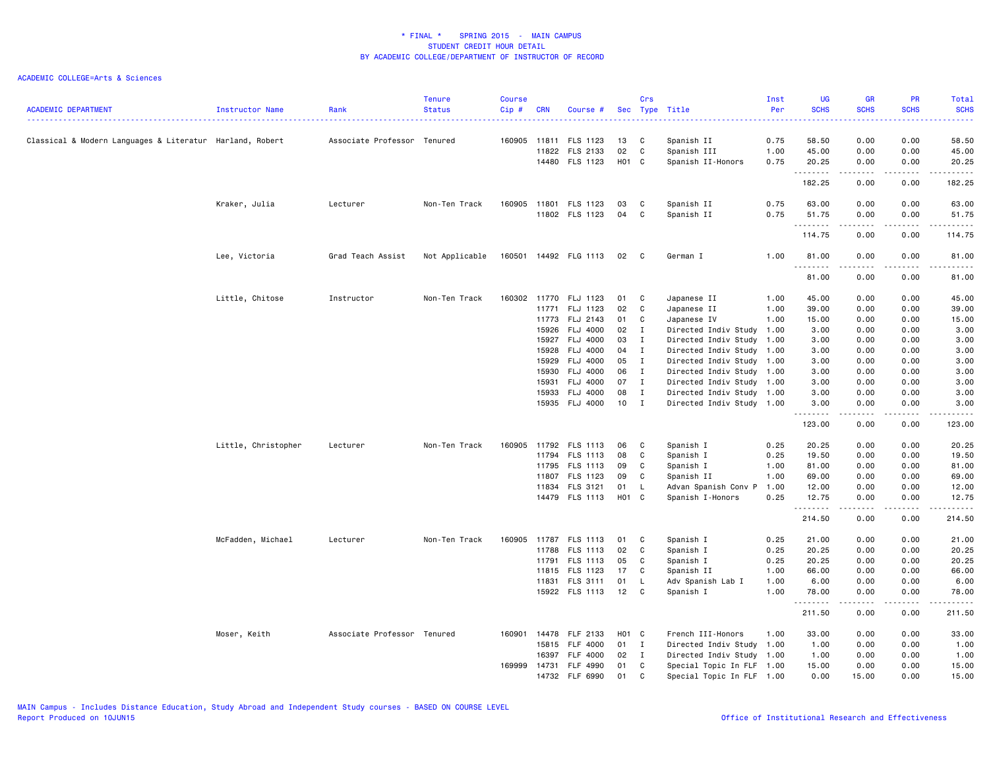| <b>ACADEMIC DEPARTMENT</b>                               | Instructor Name     | Rank                        | <b>Tenure</b><br><b>Status</b> | <b>Course</b><br>Cip# | <b>CRN</b> | Course #                   |             | Crs          | Sec Type Title            | Inst<br>Per  | <b>UG</b><br><b>SCHS</b> | <b>GR</b><br><b>SCHS</b> | <b>PR</b><br><b>SCHS</b>            | Total<br><b>SCHS</b> |
|----------------------------------------------------------|---------------------|-----------------------------|--------------------------------|-----------------------|------------|----------------------------|-------------|--------------|---------------------------|--------------|--------------------------|--------------------------|-------------------------------------|----------------------|
|                                                          |                     |                             |                                |                       |            |                            |             |              |                           |              |                          |                          |                                     |                      |
| Classical & Modern Languages & Literatur Harland, Robert |                     | Associate Professor Tenured |                                | 160905 11811          |            | FLS 1123                   | 13          | C            | Spanish II                | 0.75         | 58.50                    | 0.00                     | 0.00                                | 58.50                |
|                                                          |                     |                             |                                |                       | 11822      | FLS 2133<br>14480 FLS 1123 | 02<br>H01 C | $\mathtt{C}$ | Spanish III               | 1.00<br>0.75 | 45.00<br>20.25           | 0.00<br>0.00             | 0.00                                | 45.00<br>20.25       |
|                                                          |                     |                             |                                |                       |            |                            |             |              | Spanish II-Honors         |              | .                        | -----                    | 0.00                                | .                    |
|                                                          |                     |                             |                                |                       |            |                            |             |              |                           |              | 182.25                   | 0.00                     | 0.00                                | 182.25               |
|                                                          | Kraker, Julia       | Lecturer                    | Non-Ten Track                  |                       |            | 160905 11801 FLS 1123      | 03          | C            | Spanish II                | 0.75         | 63.00                    | 0.00                     | 0.00                                | 63.00                |
|                                                          |                     |                             |                                |                       |            | 11802 FLS 1123             | 04          | C            | Spanish II                | 0.75         | 51.75                    | 0.00                     | 0.00                                | 51.75                |
|                                                          |                     |                             |                                |                       |            |                            |             |              |                           |              | 1.1.1.1.1.1.1<br>114.75  | .<br>0.00                | .<br>0.00                           | 114.75               |
|                                                          |                     |                             |                                |                       |            |                            |             |              |                           |              |                          |                          |                                     |                      |
|                                                          | Lee, Victoria       | Grad Teach Assist           | Not Applicable                 | 160501                |            | 14492 FLG 1113             | 02          | $\mathbf{C}$ | German I                  | 1.00         | 81.00<br>.               | 0.00<br>-----            | 0.00<br>$\cdots$                    | 81.00<br>.           |
|                                                          |                     |                             |                                |                       |            |                            |             |              |                           |              | 81.00                    | 0.00                     | 0.00                                | 81.00                |
|                                                          | Little, Chitose     | Instructor                  | Non-Ten Track                  | 160302                | 11770      | FLJ 1123                   | 01          | C            | Japanese II               | 1.00         | 45.00                    | 0.00                     | 0.00                                | 45.00                |
|                                                          |                     |                             |                                |                       | 11771      | FLJ 1123                   | 02          | C            | Japanese II               | 1.00         | 39.00                    | 0.00                     | 0.00                                | 39.00                |
|                                                          |                     |                             |                                |                       | 11773      | FLJ 2143                   | 01          | C            | Japanese IV               | 1.00         | 15.00                    | 0.00                     | 0.00                                | 15.00                |
|                                                          |                     |                             |                                |                       | 15926      | <b>FLJ 4000</b>            | 02          | $\mathbf{I}$ | Directed Indiv Study 1.00 |              | 3.00                     | 0.00                     | 0.00                                | 3.00                 |
|                                                          |                     |                             |                                |                       | 15927      | <b>FLJ 4000</b>            | 03          | $\mathbf{I}$ | Directed Indiv Study 1.00 |              | 3.00                     | 0.00                     | 0.00                                | 3.00                 |
|                                                          |                     |                             |                                |                       | 15928      | <b>FLJ 4000</b>            | 04          | $\mathbf{I}$ | Directed Indiv Study 1.00 |              | 3.00                     | 0.00                     | 0.00                                | 3.00                 |
|                                                          |                     |                             |                                |                       | 15929      | <b>FLJ 4000</b>            | 05          | $\mathbf{I}$ | Directed Indiv Study 1.00 |              | 3.00                     | 0.00                     | 0.00                                | 3.00                 |
|                                                          |                     |                             |                                |                       | 15930      | <b>FLJ 4000</b>            | 06          | $\mathbf{I}$ | Directed Indiv Study 1.00 |              | 3.00                     | 0.00                     | 0.00                                | 3.00                 |
|                                                          |                     |                             |                                |                       | 15931      | FLJ 4000                   | 07          | $\mathbf{I}$ | Directed Indiv Study 1.00 |              | 3.00                     | 0.00                     | 0.00                                | 3.00                 |
|                                                          |                     |                             |                                |                       | 15933      | <b>FLJ 4000</b>            | 08          | $\mathbf{I}$ | Directed Indiv Study 1.00 |              | 3.00                     | 0.00                     | 0.00                                | 3.00                 |
|                                                          |                     |                             |                                |                       | 15935      | FLJ 4000                   | 10          | $\mathbf{I}$ | Directed Indiv Study 1.00 |              | 3.00<br>. <b>.</b>       | 0.00<br>.                | 0.00<br>$\frac{1}{2}$               | 3.00<br>.            |
|                                                          |                     |                             |                                |                       |            |                            |             |              |                           |              | 123.00                   | 0.00                     | 0.00                                | 123.00               |
|                                                          | Little, Christopher | Lecturer                    | Non-Ten Track                  | 160905                |            | 11792 FLS 1113             | 06          | C            | Spanish I                 | 0.25         | 20.25                    | 0.00                     | 0.00                                | 20.25                |
|                                                          |                     |                             |                                |                       | 11794      | FLS 1113                   | 08          | C            | Spanish I                 | 0.25         | 19.50                    | 0.00                     | 0.00                                | 19.50                |
|                                                          |                     |                             |                                |                       | 11795      | FLS 1113                   | 09          | C            | Spanish I                 | 1.00         | 81.00                    | 0.00                     | 0.00                                | 81.00                |
|                                                          |                     |                             |                                |                       | 11807      | FLS 1123                   | 09          | C            | Spanish II                | 1.00         | 69.00                    | 0.00                     | 0.00                                | 69.00                |
|                                                          |                     |                             |                                |                       | 11834      | FLS 3121                   | 01          | L.           | Advan Spanish Conv P      | 1.00         | 12.00                    | 0.00                     | 0.00                                | 12.00                |
|                                                          |                     |                             |                                |                       |            | 14479 FLS 1113             | H01 C       |              | Spanish I-Honors          | 0.25         | 12.75<br>.               | 0.00<br>.                | 0.00<br>$- - - -$                   | 12.75<br>.           |
|                                                          |                     |                             |                                |                       |            |                            |             |              |                           |              | 214.50                   | 0.00                     | 0.00                                | 214.50               |
|                                                          | McFadden, Michael   | Lecturer                    | Non-Ten Track                  | 160905                | 11787      | FLS 1113                   | 01          | C            | Spanish I                 | 0.25         | 21.00                    | 0.00                     | 0.00                                | 21.00                |
|                                                          |                     |                             |                                |                       | 11788      | FLS 1113                   | 02          | C            | Spanish I                 | 0.25         | 20.25                    | 0.00                     | 0.00                                | 20.25                |
|                                                          |                     |                             |                                |                       | 11791      | FLS 1113                   | 05          | C            | Spanish I                 | 0.25         | 20.25                    | 0.00                     | 0.00                                | 20.25                |
|                                                          |                     |                             |                                |                       | 11815      | FLS 1123                   | 17          | C            | Spanish II                | 1.00         | 66.00                    | 0.00                     | 0.00                                | 66.00                |
|                                                          |                     |                             |                                |                       |            | 11831 FLS 3111             | 01          | L            | Adv Spanish Lab I         | 1.00         | 6.00                     | 0.00                     | 0.00                                | 6.00                 |
|                                                          |                     |                             |                                |                       |            | 15922 FLS 1113             | 12          | C            | Spanish I                 | 1.00         | 78.00                    | 0.00<br>.                | 0.00<br>$\sim$ $\sim$ $\sim$ $\sim$ | 78.00<br>.           |
|                                                          |                     |                             |                                |                       |            |                            |             |              |                           |              | 211.50                   | 0.00                     | 0.00                                | 211.50               |
|                                                          | Moser, Keith        | Associate Professor Tenured |                                | 160901                | 14478      | FLF 2133                   | H01 C       |              | French III-Honors         | 1.00         | 33.00                    | 0.00                     | 0.00                                | 33.00                |
|                                                          |                     |                             |                                |                       | 15815      | <b>FLF 4000</b>            | 01          | I            | Directed Indiv Study 1.00 |              | 1.00                     | 0.00                     | 0.00                                | 1.00                 |
|                                                          |                     |                             |                                |                       | 16397      | FLF 4000                   | 02          | $\mathbf{I}$ | Directed Indiv Study 1.00 |              | 1.00                     | 0.00                     | 0.00                                | 1.00                 |
|                                                          |                     |                             |                                | 169999                | 14731      | FLF 4990                   | 01          | C            | Special Topic In FLF 1.00 |              | 15.00                    | 0.00                     | 0.00                                | 15.00                |
|                                                          |                     |                             |                                |                       | 14732      | FLF 6990                   | 01          | C            | Special Topic In FLF 1.00 |              | 0.00                     | 15.00                    | 0.00                                | 15.00                |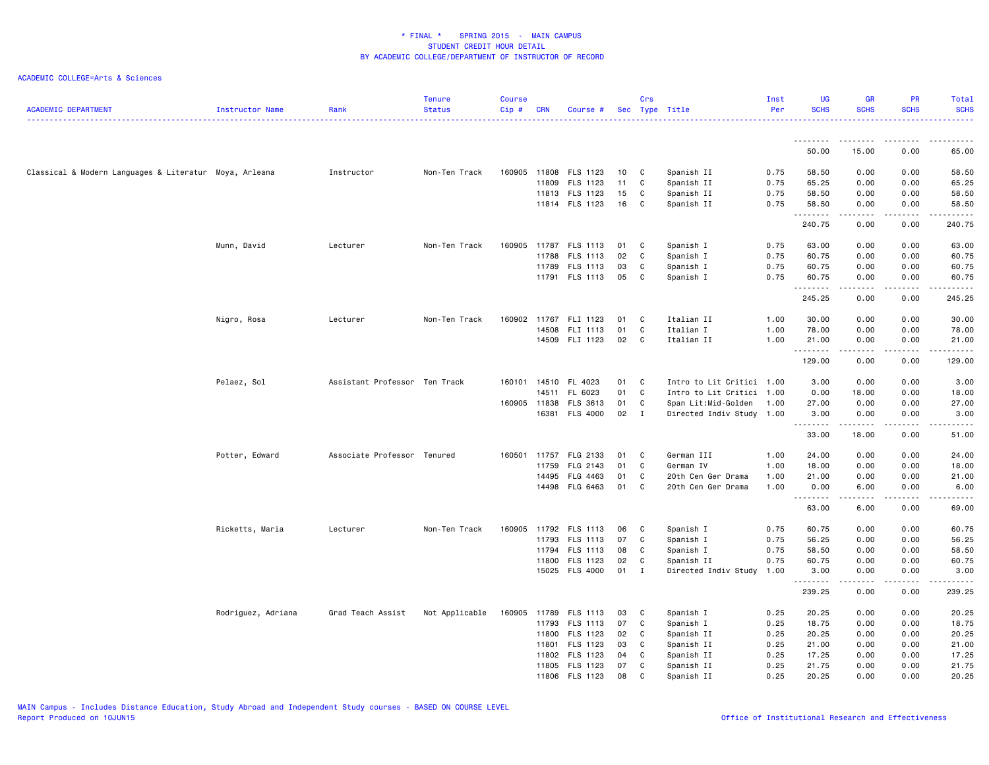| <b>ACADEMIC DEPARTMENT</b>                             | Instructor Name    | Rank                          | <b>Tenure</b><br><b>Status</b> | <b>Course</b><br>$Cip$ # | <b>CRN</b>   | Course #              |        | Crs          | Sec Type Title            | Inst<br>Per | <b>UG</b><br><b>SCHS</b> | <b>GR</b><br><b>SCHS</b>            | PR<br><b>SCHS</b>  | Total<br><b>SCHS</b>  |
|--------------------------------------------------------|--------------------|-------------------------------|--------------------------------|--------------------------|--------------|-----------------------|--------|--------------|---------------------------|-------------|--------------------------|-------------------------------------|--------------------|-----------------------|
|                                                        |                    |                               |                                |                          |              |                       |        |              |                           |             | .                        | .                                   | .                  |                       |
|                                                        |                    |                               |                                |                          |              |                       |        |              |                           |             | 50.00                    | 15.00                               | 0.00               | 65.00                 |
| Classical & Modern Languages & Literatur Moya, Arleana |                    | Instructor                    | Non-Ten Track                  |                          | 160905 11808 | FLS 1123              | 10     | C            | Spanish II                | 0.75        | 58.50                    | 0.00                                | 0.00               | 58.50                 |
|                                                        |                    |                               |                                |                          | 11809        | FLS 1123              | 11     | C            | Spanish II                | 0.75        | 65.25                    | 0.00                                | 0.00               | 65.25                 |
|                                                        |                    |                               |                                |                          |              | 11813 FLS 1123        | 15     | C            | Spanish II                | 0.75        | 58.50                    | 0.00                                | 0.00               | 58.50                 |
|                                                        |                    |                               |                                |                          |              | 11814 FLS 1123        | 16     | C            | Spanish II                | 0.75        | 58.50<br>.               | 0.00<br>$\sim$ $\sim$ $\sim$ $\sim$ | 0.00               | 58.50                 |
|                                                        |                    |                               |                                |                          |              |                       |        |              |                           |             | 240.75                   | 0.00                                | 0.00               | 240.75                |
|                                                        | Munn, David        | Lecturer                      | Non-Ten Track                  | 160905                   |              | 11787 FLS 1113        | 01     | $\mathbf{C}$ | Spanish I                 | 0.75        | 63.00                    | 0.00                                | 0.00               | 63.00                 |
|                                                        |                    |                               |                                |                          | 11788        | FLS 1113              | 02     | $\mathbf{C}$ | Spanish I                 | 0.75        | 60.75                    | 0.00                                | 0.00               | 60.75                 |
|                                                        |                    |                               |                                |                          | 11789        | FLS 1113              | 03     | C            | Spanish I                 | 0.75        | 60.75                    | 0.00                                | 0.00               | 60.75                 |
|                                                        |                    |                               |                                |                          |              | 11791 FLS 1113        | 05     | C            | Spanish I                 | 0.75        | 60.75<br>.               | 0.00<br>المتمامين                   | 0.00<br>.          | 60.75<br>.            |
|                                                        |                    |                               |                                |                          |              |                       |        |              |                           |             | 245.25                   | 0.00                                | 0.00               | 245.25                |
|                                                        | Nigro, Rosa        | Lecturer                      | Non-Ten Track                  | 160902                   | 11767        | FLI 1123              | 01     | $\mathbf{C}$ | Italian II                | 1.00        | 30.00                    | 0.00                                | 0.00               | 30.00                 |
|                                                        |                    |                               |                                |                          | 14508        | FLI 1113              | 01     | $\mathbf c$  | Italian I                 | 1.00        | 78.00                    | 0.00                                | 0.00               | 78.00                 |
|                                                        |                    |                               |                                |                          |              | 14509 FLI 1123        | 02     | C            | Italian II                | 1.00        | 21.00                    | 0.00                                | 0.00               | 21.00                 |
|                                                        |                    |                               |                                |                          |              |                       |        |              |                           |             | .<br>129.00              | .<br>0.00                           | .<br>0.00          | .<br>129.00           |
|                                                        | Pelaez, Sol        | Assistant Professor Ten Track |                                | 160101                   |              | 14510 FL 4023         | 01     | $\mathbf{C}$ | Intro to Lit Critici 1.00 |             | 3.00                     | 0.00                                | 0.00               | 3.00                  |
|                                                        |                    |                               |                                |                          | 14511        | FL 6023               | 01     | C            | Intro to Lit Critici 1.00 |             | 0.00                     | 18.00                               | 0.00               | 18.00                 |
|                                                        |                    |                               |                                | 160905                   | 11838        | FLS 3613              | 01     | C            | Span Lit:Mid-Golden       | 1.00        | 27.00                    | 0.00                                | 0.00               | 27.00                 |
|                                                        |                    |                               |                                |                          |              | 16381 FLS 4000        | 02 I   |              | Directed Indiv Study 1.00 |             | 3.00<br>.                | 0.00<br>.                           | 0.00<br>.          | 3.00<br>.             |
|                                                        |                    |                               |                                |                          |              |                       |        |              |                           |             | 33.00                    | 18.00                               | 0.00               | 51.00                 |
|                                                        | Potter, Edward     | Associate Professor Tenured   |                                | 160501 11757             |              | FLG 2133              | 01     | C            | German III                | 1.00        | 24.00                    | 0.00                                | 0.00               | 24.00                 |
|                                                        |                    |                               |                                |                          | 11759        | FLG 2143              | 01     | C            | German IV                 | 1.00        | 18.00                    | 0.00                                | 0.00               | 18.00                 |
|                                                        |                    |                               |                                |                          | 14495        | FLG 4463              | 01     | $\mathbf{C}$ | 20th Cen Ger Drama        | 1.00        | 21.00                    | 0.00                                | 0.00               | 21.00                 |
|                                                        |                    |                               |                                |                          |              | 14498 FLG 6463        | 01     | $\mathbf{C}$ | 20th Cen Ger Drama        | 1.00        | 0.00<br>.                | 6.00<br>$\sim$ $\sim$ $\sim$ $\sim$ | 0.00<br>$\cdots$   | 6.00<br>$\frac{1}{2}$ |
|                                                        |                    |                               |                                |                          |              |                       |        |              |                           |             | 63.00                    | 6.00                                | 0.00               | 69.00                 |
|                                                        | Ricketts, Maria    | Lecturer                      | Non-Ten Track                  |                          |              | 160905 11792 FLS 1113 | 06     | $\mathbf{C}$ | Spanish I                 | 0.75        | 60.75                    | 0.00                                | 0.00               | 60.75                 |
|                                                        |                    |                               |                                |                          | 11793        | FLS 1113              | 07     | C            | Spanish I                 | 0.75        | 56.25                    | 0.00                                | 0.00               | 56.25                 |
|                                                        |                    |                               |                                |                          |              | 11794 FLS 1113        | 08     | C            | Spanish I                 | 0.75        | 58.50                    | 0.00                                | 0.00               | 58.50                 |
|                                                        |                    |                               |                                |                          |              | 11800 FLS 1123        | 02     | $\mathbf c$  | Spanish II                | 0.75        | 60.75                    | 0.00                                | 0.00               | 60.75                 |
|                                                        |                    |                               |                                |                          |              | 15025 FLS 4000        | $01$ I |              | Directed Indiv Study      | 1.00        | 3.00<br>.                | 0.00<br>.                           | 0.00<br>. <b>.</b> | 3.00<br>.             |
|                                                        |                    |                               |                                |                          |              |                       |        |              |                           |             | 239.25                   | 0.00                                | 0.00               | 239.25                |
|                                                        | Rodriguez, Adriana | Grad Teach Assist             | Not Applicable                 | 160905                   | 11789        | FLS 1113              | 03     | C            | Spanish I                 | 0.25        | 20.25                    | 0.00                                | 0.00               | 20.25                 |
|                                                        |                    |                               |                                |                          |              | 11793 FLS 1113        | 07     | C            | Spanish I                 | 0.25        | 18.75                    | 0.00                                | 0.00               | 18.75                 |
|                                                        |                    |                               |                                |                          | 11800        | FLS 1123              | 02     | $\mathbf{C}$ | Spanish II                | 0.25        | 20.25                    | 0.00                                | 0.00               | 20.25                 |
|                                                        |                    |                               |                                |                          | 11801        | FLS 1123              | 03     | C            | Spanish II                | 0.25        | 21.00                    | 0.00                                | 0.00               | 21.00                 |
|                                                        |                    |                               |                                |                          | 11802        | FLS 1123              | 04     | $\mathbf c$  | Spanish II                | 0.25        | 17.25                    | 0.00                                | 0.00               | 17.25                 |
|                                                        |                    |                               |                                |                          | 11805        | FLS 1123              | 07     | C            | Spanish II                | 0.25        | 21.75                    | 0.00                                | 0.00               | 21.75                 |
|                                                        |                    |                               |                                |                          |              | 11806 FLS 1123        | 08     | C            | Spanish II                | 0.25        | 20.25                    | 0.00                                | 0.00               | 20.25                 |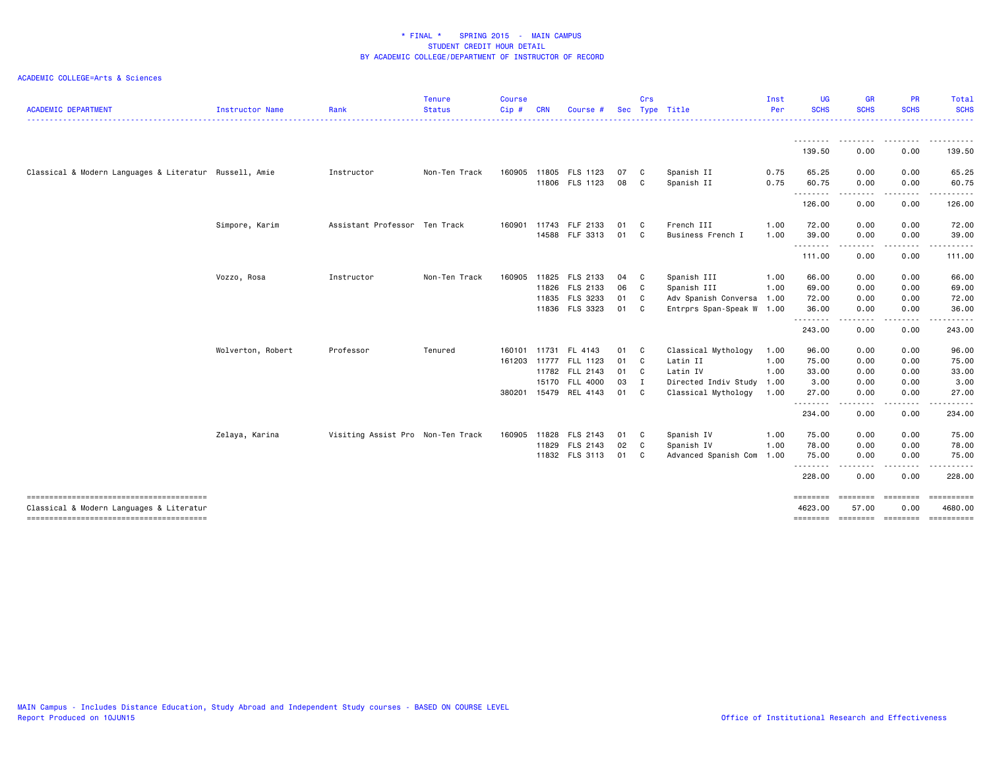| <b>ACADEMIC DEPARTMENT</b>                                                         | Instructor Name   | Rank                              | <b>Tenure</b><br><b>Status</b> | <b>Course</b><br>Cip# | <b>CRN</b> | Course #              |      | Crs                     | Sec Type Title            | Inst<br>Per | <b>UG</b><br><b>SCHS</b> | <b>GR</b><br><b>SCHS</b> | PR<br><b>SCHS</b><br>. | <b>Total</b><br><b>SCHS</b><br>------- |
|------------------------------------------------------------------------------------|-------------------|-----------------------------------|--------------------------------|-----------------------|------------|-----------------------|------|-------------------------|---------------------------|-------------|--------------------------|--------------------------|------------------------|----------------------------------------|
|                                                                                    |                   |                                   |                                |                       |            |                       |      |                         |                           |             | - - - - - - - - -        | --------                 | .                      | <u>.</u>                               |
|                                                                                    |                   |                                   |                                |                       |            |                       |      |                         |                           |             | 139.50                   | 0.00                     | 0.00                   | 139.50                                 |
| Classical & Modern Languages & Literatur Russell, Amie                             |                   | Instructor                        | Non-Ten Track                  | 160905                |            | 11805 FLS 1123        | 07   | $\mathbf{C}$            | Spanish II                | 0.75        | 65.25                    | 0.00                     | 0.00                   | 65.25                                  |
|                                                                                    |                   |                                   |                                |                       |            | 11806 FLS 1123        | 08   | $\mathbf{C}$            | Spanish II                | 0.75        | 60.75                    | 0.00                     | 0.00                   | 60.75                                  |
|                                                                                    |                   |                                   |                                |                       |            |                       |      |                         |                           |             | .<br>126.00              | -----<br>0.00            | .<br>0.00              | .<br>126.00                            |
|                                                                                    | Simpore, Karim    | Assistant Professor Ten Track     |                                | 160901 11743          |            | FLF 2133              | 01   | $\mathbf{C}$            | French III                | 1.00        | 72.00                    | 0.00                     | 0.00                   | 72.00                                  |
|                                                                                    |                   |                                   |                                |                       |            | 14588 FLF 3313        | 01 C |                         | Business French I         | 1.00        | 39,00                    | 0.00                     | 0.00                   | 39,00                                  |
|                                                                                    |                   |                                   |                                |                       |            |                       |      |                         |                           |             | ---------<br>111.00      | .<br>0.00                | -----<br>0.00          | .<br>111.00                            |
|                                                                                    | Vozzo, Rosa       | Instructor                        | Non-Ten Track                  | 160905                |            | 11825 FLS 2133        | 04   | $\mathbf{C}$            | Spanish III               | 1.00        | 66.00                    | 0.00                     | 0.00                   | 66.00                                  |
|                                                                                    |                   |                                   |                                |                       |            | 11826 FLS 2133        | 06   | $\overline{\mathbf{C}}$ | Spanish III               | 1.00        | 69.00                    | 0.00                     | 0.00                   | 69.00                                  |
|                                                                                    |                   |                                   |                                |                       |            | 11835 FLS 3233        | 01 C |                         | Adv Spanish Conversa 1.00 |             | 72.00                    | 0.00                     | 0.00                   | 72.00                                  |
|                                                                                    |                   |                                   |                                |                       |            | 11836 FLS 3323        | 01   | C                       | Entrprs Span-Speak W 1.00 |             | 36.00                    | 0.00                     | 0.00                   | 36.00                                  |
|                                                                                    |                   |                                   |                                |                       |            |                       |      |                         |                           |             | .<br>243.00              | .<br>0.00                | .<br>0.00              | .<br>243.00                            |
|                                                                                    | Wolverton, Robert | Professor                         | Tenured                        | 160101                |            | 11731 FL 4143         | 01 C |                         | Classical Mythology       | 1.00        | 96.00                    | 0.00                     | 0.00                   | 96.00                                  |
|                                                                                    |                   |                                   |                                | 161203                | 11777      | FLL 1123              | 01 C |                         | Latin II                  | 1.00        | 75.00                    | 0.00                     | 0.00                   | 75.00                                  |
|                                                                                    |                   |                                   |                                |                       |            | 11782 FLL 2143        | 01 C |                         | Latin IV                  | 1.00        | 33.00                    | 0.00                     | 0.00                   | 33.00                                  |
|                                                                                    |                   |                                   |                                |                       | 15170      | <b>FLL 4000</b>       | 03 I |                         | Directed Indiv Study 1.00 |             | 3.00                     | 0.00                     | 0.00                   | 3.00                                   |
|                                                                                    |                   |                                   |                                | 380201                | 15479      | REL 4143              | 01   | $\mathbf{C}$            | Classical Mythology       | 1.00        | 27.00                    | 0.00                     | 0.00                   | 27.00                                  |
|                                                                                    |                   |                                   |                                |                       |            |                       |      |                         |                           |             | --------<br>234.00       | .<br>0.00                | .<br>0.00              | .<br>234.00                            |
|                                                                                    | Zelaya, Karina    | Visiting Assist Pro Non-Ten Track |                                |                       |            | 160905 11828 FLS 2143 | 01 C |                         | Spanish IV                | 1.00        | 75.00                    | 0.00                     | 0.00                   | 75.00                                  |
|                                                                                    |                   |                                   |                                |                       | 11829      | FLS 2143              | 02 C |                         | Spanish IV                | 1.00        | 78.00                    | 0.00                     | 0.00                   | 78.00                                  |
|                                                                                    |                   |                                   |                                |                       |            | 11832 FLS 3113        | 01 C |                         | Advanced Spanish Com 1.00 |             | 75.00                    | 0.00                     | 0.00                   | 75.00                                  |
|                                                                                    |                   |                                   |                                |                       |            |                       |      |                         |                           |             | --------<br>228.00       | .<br>0.00                | . <b>.</b><br>0.00     | . <b>.</b><br>228.00                   |
|                                                                                    |                   |                                   |                                |                       |            |                       |      |                         |                           |             | ========                 | ========                 | ========               | ==========                             |
| Classical & Modern Languages & Literatur<br>-------------------------------------- |                   |                                   |                                |                       |            |                       |      |                         |                           |             | 4623.00<br>$= 100$       | 57.00<br>========        | 0.00<br>========       | 4680.00<br>==========                  |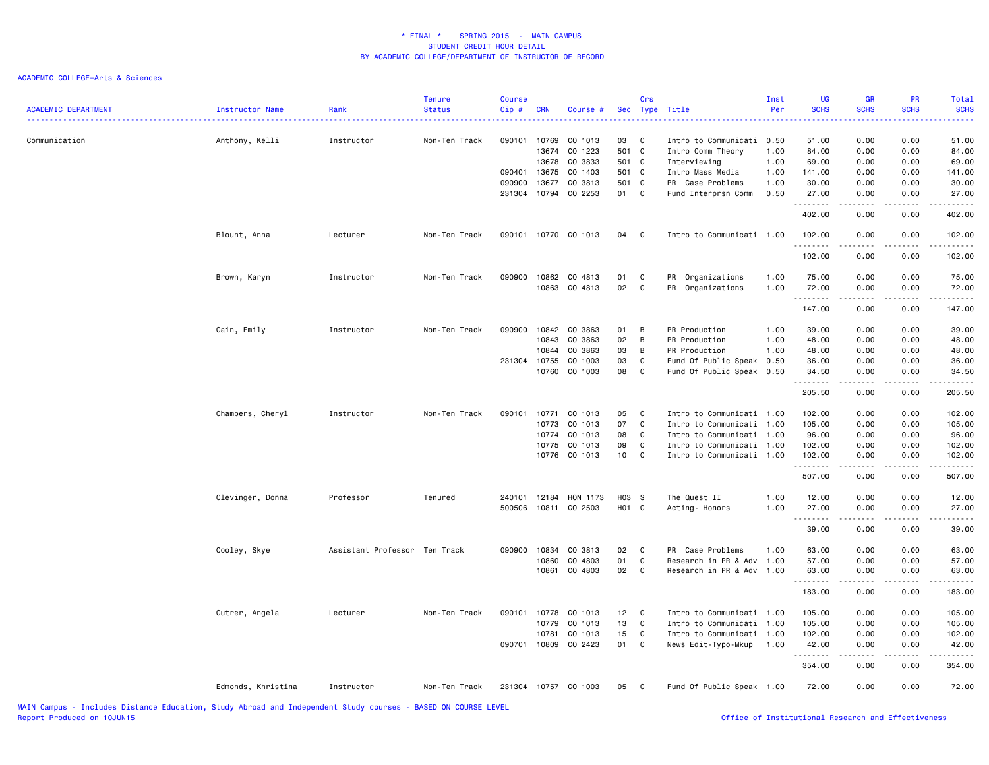| <b>ACADEMIC DEPARTMENT</b>                                                                               | Instructor Name    | Rank                          | <b>Tenure</b><br><b>Status</b> | <b>Course</b><br>Cip# | <b>CRN</b> | Course #             |                 | Crs          | Sec Type Title            | Inst<br>Per | <b>UG</b><br><b>SCHS</b> | <b>GR</b><br><b>SCHS</b><br>----    | PR<br><b>SCHS</b>                                                                                                                                            | Total<br><b>SCHS</b> |
|----------------------------------------------------------------------------------------------------------|--------------------|-------------------------------|--------------------------------|-----------------------|------------|----------------------|-----------------|--------------|---------------------------|-------------|--------------------------|-------------------------------------|--------------------------------------------------------------------------------------------------------------------------------------------------------------|----------------------|
| Communication                                                                                            | Anthony, Kelli     | Instructor                    | Non-Ten Track                  | 090101                | 10769      | CO 1013              | 03              | $\mathbf{C}$ | Intro to Communicati 0.50 |             | 51.00                    | 0.00                                | 0.00                                                                                                                                                         | 51.00                |
|                                                                                                          |                    |                               |                                |                       | 13674      | CO 1223              | 501 C           |              | Intro Comm Theory         | 1.00        | 84.00                    | 0.00                                | 0.00                                                                                                                                                         | 84.00                |
|                                                                                                          |                    |                               |                                |                       |            | 13678 CO 3833        | 501 C           |              | Interviewing              | 1.00        | 69.00                    | 0.00                                | 0.00                                                                                                                                                         | 69.00                |
|                                                                                                          |                    |                               |                                | 090401                | 13675      | CO 1403              | 501             | C            | Intro Mass Media          | 1.00        | 141.00                   | 0.00                                | 0.00                                                                                                                                                         | 141.00               |
|                                                                                                          |                    |                               |                                | 090900                | 13677      | CO 3813              | 501 C           |              | PR Case Problems          | 1.00        | 30.00                    | 0.00                                | 0.00                                                                                                                                                         | 30.00                |
|                                                                                                          |                    |                               |                                |                       |            | 231304 10794 CO 2253 | 01 C            |              | Fund Interprsn Comm       | 0.50        | 27.00<br>.               | 0.00<br>$\sim$ $\sim$ $\sim$ $\sim$ | 0.00                                                                                                                                                         | 27.00                |
|                                                                                                          |                    |                               |                                |                       |            |                      |                 |              |                           |             | 402.00                   | 0.00                                | 0.00                                                                                                                                                         | 402.00               |
|                                                                                                          | Blount, Anna       | Lecturer                      | Non-Ten Track                  |                       |            | 090101 10770 CO 1013 | 04 C            |              | Intro to Communicati 1.00 |             | 102.00<br>.              | 0.00<br>.                           | 0.00<br>.                                                                                                                                                    | 102.00<br>.          |
|                                                                                                          |                    |                               |                                |                       |            |                      |                 |              |                           |             | 102.00                   | 0.00                                | 0.00                                                                                                                                                         | 102.00               |
|                                                                                                          | Brown, Karyn       | Instructor                    | Non-Ten Track                  | 090900                | 10862      | CO 4813              | 01              | C            | PR<br>Organizations       | 1.00        | 75.00                    | 0.00                                | 0.00                                                                                                                                                         | 75.00                |
|                                                                                                          |                    |                               |                                |                       |            | 10863 CO 4813        | 02              | C            | PR Organizations          | 1.00        | 72.00                    | 0.00                                | 0.00                                                                                                                                                         | 72.00                |
|                                                                                                          |                    |                               |                                |                       |            |                      |                 |              |                           |             | .                        | $\sim$ $\sim$ $\sim$ $\sim$         |                                                                                                                                                              |                      |
|                                                                                                          |                    |                               |                                |                       |            |                      |                 |              |                           |             | 147.00                   | 0.00                                | 0.00                                                                                                                                                         | 147.00               |
|                                                                                                          | Cain, Emily        | Instructor                    | Non-Ten Track                  | 090900                |            | 10842 CO 3863        | 01              | B            | PR Production             | 1.00        | 39.00                    | 0.00                                | 0.00                                                                                                                                                         | 39.00                |
|                                                                                                          |                    |                               |                                |                       | 10843      | CO 3863              | 02              | B            | PR Production             | 1.00        | 48.00                    | 0.00                                | 0.00                                                                                                                                                         | 48.00                |
|                                                                                                          |                    |                               |                                |                       | 10844      | CO 3863              | 03              | B            | PR Production             | 1.00        | 48.00                    | 0.00                                | 0.00                                                                                                                                                         | 48.00                |
|                                                                                                          |                    |                               |                                | 231304                | 10755      | CO 1003              | 03              | C            | Fund Of Public Speak      | 0.50        | 36.00                    | 0.00                                | 0.00                                                                                                                                                         | 36.00                |
|                                                                                                          |                    |                               |                                |                       | 10760      | CO 1003              | 08              | C            | Fund Of Public Speak      | 0.50        | 34.50                    | 0.00                                | 0.00                                                                                                                                                         | 34.50                |
|                                                                                                          |                    |                               |                                |                       |            |                      |                 |              |                           |             | 205.50                   | 0.00                                | 0.00                                                                                                                                                         | 205.50               |
|                                                                                                          | Chambers, Cheryl   | Instructor                    | Non-Ten Track                  | 090101                | 10771      | CO 1013              | 05              | $\mathbf{C}$ | Intro to Communicati 1.00 |             | 102.00                   | 0.00                                | 0.00                                                                                                                                                         | 102.00               |
|                                                                                                          |                    |                               |                                |                       | 10773      | CO 1013              | 07              | C            | Intro to Communicati 1.00 |             | 105.00                   | 0.00                                | 0.00                                                                                                                                                         | 105.00               |
|                                                                                                          |                    |                               |                                |                       | 10774      | CO 1013              | 08              | C            | Intro to Communicati 1.00 |             | 96.00                    | 0.00                                | 0.00                                                                                                                                                         | 96.00                |
|                                                                                                          |                    |                               |                                |                       | 10775      | CO 1013              | 09              | C            | Intro to Communicati 1.00 |             | 102.00                   | 0.00                                | 0.00                                                                                                                                                         | 102.00               |
|                                                                                                          |                    |                               |                                |                       |            | 10776 CO 1013        | 10              | $\mathbf{C}$ | Intro to Communicati 1.00 |             | 102.00<br>.              | 0.00<br>.                           | 0.00<br>.                                                                                                                                                    | 102.00<br>.          |
|                                                                                                          |                    |                               |                                |                       |            |                      |                 |              |                           |             | 507.00                   | 0.00                                | 0.00                                                                                                                                                         | 507.00               |
|                                                                                                          | Clevinger, Donna   | Professor                     | Tenured                        | 240101                | 12184      | HON 1173             | H03 S           |              | The Quest II              | 1.00        | 12.00                    | 0.00                                | 0.00                                                                                                                                                         | 12.00                |
|                                                                                                          |                    |                               |                                | 500506                |            | 10811 CO 2503        | H01 C           |              | Acting- Honors            | 1.00        | 27.00<br>.               | 0.00<br>.                           | 0.00<br>.                                                                                                                                                    | 27.00<br>.           |
|                                                                                                          |                    |                               |                                |                       |            |                      |                 |              |                           |             | 39.00                    | 0.00                                | 0.00                                                                                                                                                         | 39.00                |
|                                                                                                          | Cooley, Skye       | Assistant Professor Ten Track |                                | 090900                | 10834      | CO 3813              | 02              | $\mathbf{C}$ | PR Case Problems          | 1.00        | 63.00                    | 0.00                                | 0.00                                                                                                                                                         | 63.00                |
|                                                                                                          |                    |                               |                                |                       | 10860      | CO 4803              | 01              | C            | Research in PR & Adv      | 1.00        | 57.00                    | 0.00                                | 0.00                                                                                                                                                         | 57.00                |
|                                                                                                          |                    |                               |                                |                       | 10861      | CO 4803              | 02              | C            | Research in PR & Adv 1.00 |             | 63.00<br>. <b>.</b>      | 0.00<br>.                           | 0.00<br>.                                                                                                                                                    | 63.00                |
|                                                                                                          |                    |                               |                                |                       |            |                      |                 |              |                           |             | 183.00                   | 0.00                                | 0.00                                                                                                                                                         | 183.00               |
|                                                                                                          | Cutrer, Angela     | Lecturer                      | Non-Ten Track                  | 090101                |            | 10778 CO 1013        | 12 <sub>2</sub> | C            | Intro to Communicati 1.00 |             | 105.00                   | 0.00                                | 0.00                                                                                                                                                         | 105.00               |
|                                                                                                          |                    |                               |                                |                       | 10779      | CO 1013              | 13              | C            | Intro to Communicati 1.00 |             | 105.00                   | 0.00                                | 0.00                                                                                                                                                         | 105.00               |
|                                                                                                          |                    |                               |                                |                       | 10781      | CO 1013              | 15              | C            | Intro to Communicati 1.00 |             | 102.00                   | 0.00                                | 0.00                                                                                                                                                         | 102.00               |
|                                                                                                          |                    |                               |                                |                       |            | 090701 10809 CO 2423 | 01 C            |              | News Edit-Typo-Mkup       | 1.00        | 42.00                    | 0.00                                | 0.00                                                                                                                                                         | 42.00                |
|                                                                                                          |                    |                               |                                |                       |            |                      |                 |              |                           |             | .<br>354.00              | .<br>0.00                           | $\frac{1}{2} \left( \frac{1}{2} \right) \left( \frac{1}{2} \right) \left( \frac{1}{2} \right) \left( \frac{1}{2} \right) \left( \frac{1}{2} \right)$<br>0.00 | ------<br>354.00     |
|                                                                                                          | Edmonds, Khristina | Instructor                    | Non-Ten Track                  |                       |            | 231304 10757 CO 1003 | 05 C            |              | Fund Of Public Speak 1.00 |             | 72.00                    | 0.00                                | 0.00                                                                                                                                                         | 72.00                |
| UATN Compus Trainder Distance Education Study Abroad and Indonesdent Study counses RASED ON COUDSE LEVEL |                    |                               |                                |                       |            |                      |                 |              |                           |             |                          |                                     |                                                                                                                                                              |                      |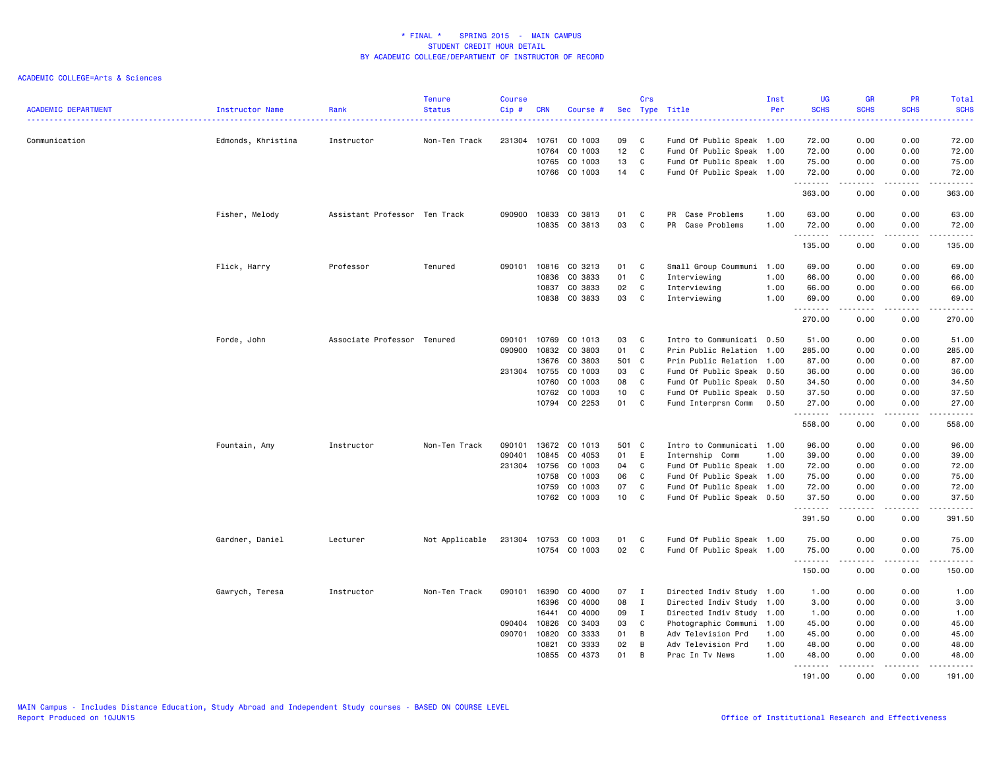| <b>ACADEMIC DEPARTMENT</b> | Instructor Name    | Rank                          | <b>Tenure</b><br><b>Status</b> | <b>Course</b><br>Cip # | <b>CRN</b>     | Course #           |          | Crs              | Sec Type Title                                         | Inst<br>Per  | UG<br><b>SCHS</b> | <b>GR</b><br><b>SCHS</b> | PR<br><b>SCHS</b>                   | Total<br><b>SCHS</b> |
|----------------------------|--------------------|-------------------------------|--------------------------------|------------------------|----------------|--------------------|----------|------------------|--------------------------------------------------------|--------------|-------------------|--------------------------|-------------------------------------|----------------------|
| Communication              | Edmonds, Khristina | Instructor                    | Non-Ten Track                  | 231304                 | 10761          | CO 1003            | 09       | C                | Fund Of Public Speak 1.00                              |              | 72.00             | 0.00                     | 0.00                                | 72.00                |
|                            |                    |                               |                                |                        | 10764          | CO 1003            | 12       | C                | Fund Of Public Speak 1.00                              |              | 72.00             | 0.00                     | 0.00                                | 72.00                |
|                            |                    |                               |                                |                        | 10765          | CO 1003            | 13       | C                | Fund Of Public Speak 1.00                              |              | 75.00             | 0.00                     | 0.00                                | 75.00                |
|                            |                    |                               |                                |                        | 10766          | CO 1003            | 14       | C                | Fund Of Public Speak 1.00                              |              | 72.00<br>.        | 0.00<br>د د د د          | 0.00<br>.                           | 72.00<br>.           |
|                            |                    |                               |                                |                        |                |                    |          |                  |                                                        |              | 363.00            | 0.00                     | 0.00                                | 363.00               |
|                            | Fisher, Melody     | Assistant Professor Ten Track |                                | 090900                 | 10833          | CO 3813            | 01       | C                | PR Case Problems                                       | 1.00         | 63.00             | 0.00                     | 0.00                                | 63.00                |
|                            |                    |                               |                                |                        | 10835          | CO 3813            | 03       | C                | PR Case Problems                                       | 1.00         | 72.00             | 0.00                     | 0.00                                | 72.00                |
|                            |                    |                               |                                |                        |                |                    |          |                  |                                                        |              | .                 |                          | $- - - -$                           | .                    |
|                            |                    |                               |                                |                        |                |                    |          |                  |                                                        |              | 135.00            | 0.00                     | 0.00                                | 135.00               |
|                            | Flick, Harry       | Professor                     | Tenured                        |                        | 090101 10816   | CO 3213            | 01       | C                | Small Group Coummuni 1.00                              |              | 69.00             | 0.00                     | 0.00                                | 69.00                |
|                            |                    |                               |                                |                        | 10836          | CO 3833            | 01       | C                | Interviewing                                           | 1.00         | 66.00             | 0.00                     | 0.00                                | 66.00                |
|                            |                    |                               |                                |                        | 10837          | CO 3833            | 02       | C                | Interviewing                                           | 1.00         | 66.00             | 0.00                     | 0.00                                | 66.00                |
|                            |                    |                               |                                |                        | 10838          | CO 3833            | 03       | C                | Interviewing                                           | 1.00         | 69.00             | 0.00                     | 0.00                                | 69.00                |
|                            |                    |                               |                                |                        |                |                    |          |                  |                                                        |              | .<br>270.00       | .<br>0.00                | $\sim$ $\sim$ $\sim$ $\sim$<br>0.00 | .<br>270.00          |
|                            | Forde, John        | Associate Professor Tenured   |                                | 090101                 | 10769          | CO 1013            | 03       | C                | Intro to Communicati 0.50                              |              | 51.00             | 0.00                     | 0.00                                | 51.00                |
|                            |                    |                               |                                | 090900                 | 10832          | CO 3803            | 01       | C                | Prin Public Relation 1.00                              |              | 285.00            | 0.00                     | 0.00                                | 285.00               |
|                            |                    |                               |                                |                        | 13676          | CO 3803            | 501      | C                | Prin Public Relation 1.00                              |              | 87.00             | 0.00                     | 0.00                                | 87.00                |
|                            |                    |                               |                                |                        | 231304 10755   | CO 1003            | 03       | C                | Fund Of Public Speak 0.50                              |              | 36.00             | 0.00                     | 0.00                                | 36.00                |
|                            |                    |                               |                                |                        | 10760          | CO 1003            | 08       | C                | Fund Of Public Speak 0.50                              |              | 34.50             | 0.00                     | 0.00                                | 34.50                |
|                            |                    |                               |                                |                        | 10762          | CO 1003            | 10       | C                | Fund Of Public Speak 0.50                              |              | 37.50             | 0.00                     | 0.00                                | 37.50                |
|                            |                    |                               |                                |                        | 10794          | CO 2253            | 01       | C                | Fund Interprsn Comm                                    | 0.50         | 27.00             | 0.00                     | 0.00                                | 27.00                |
|                            |                    |                               |                                |                        |                |                    |          |                  |                                                        |              | .<br>558.00       | .<br>0.00                | $\sim$ $\sim$ $\sim$ $\sim$<br>0.00 | <u>.</u><br>558.00   |
|                            | Fountain, Amy      | Instructor                    | Non-Ten Track                  | 090101 13672           |                | CO 1013            | 501      | $\mathbf{C}$     | Intro to Communicati 1.00                              |              | 96.00             | 0.00                     | 0.00                                | 96.00                |
|                            |                    |                               |                                | 090401                 | 10845          | CO 4053            | 01       | E                | Internship Comm                                        | 1.00         | 39.00             | 0.00                     | 0.00                                | 39.00                |
|                            |                    |                               |                                | 231304                 | 10756          | CO 1003            | 04       | C                | Fund Of Public Speak 1.00                              |              | 72.00             | 0.00                     | 0.00                                | 72.00                |
|                            |                    |                               |                                |                        | 10758          | CO 1003            | 06       | C                | Fund Of Public Speak 1.00                              |              | 75.00             | 0.00                     | 0.00                                | 75.00                |
|                            |                    |                               |                                |                        | 10759          | CO 1003            | 07       | C                | Fund Of Public Speak 1.00                              |              | 72.00             | 0.00                     | 0.00                                | 72.00                |
|                            |                    |                               |                                |                        | 10762          | CO 1003            | 10       | C                | Fund Of Public Speak 0.50                              |              | 37.50             | 0.00                     | 0.00                                | 37.50                |
|                            |                    |                               |                                |                        |                |                    |          |                  |                                                        |              | .<br>391.50       | .<br>0.00                | .<br>0.00                           | 391.50               |
|                            |                    |                               |                                |                        |                |                    |          |                  |                                                        |              |                   |                          |                                     |                      |
|                            | Gardner, Daniel    | Lecturer                      | Not Applicable                 | 231304                 | 10753<br>10754 | CO 1003<br>CO 1003 | 01<br>02 | C<br>C           | Fund Of Public Speak 1.00<br>Fund Of Public Speak 1.00 |              | 75.00<br>75.00    | 0.00<br>0.00             | 0.00<br>0.00                        | 75.00<br>75.00       |
|                            |                    |                               |                                |                        |                |                    |          |                  |                                                        |              | .<br>150.00       | -----<br>0.00            | .<br>0.00                           | .<br>150.00          |
|                            |                    |                               |                                |                        |                |                    |          |                  |                                                        |              |                   |                          |                                     |                      |
|                            | Gawrych, Teresa    | Instructor                    | Non-Ten Track                  | 090101                 | 16390          | CO 4000            | 07       | $\mathbf{I}$     | Directed Indiv Study 1.00                              |              | 1.00              | 0.00                     | 0.00                                | 1.00                 |
|                            |                    |                               |                                |                        | 16396          | CO 4000            | 08       | $\mathbf I$      | Directed Indiv Study 1.00                              |              | 3.00              | 0.00                     | 0.00                                | 3.00                 |
|                            |                    |                               |                                | 090404                 | 16441<br>10826 | CO 4000<br>CO 3403 | 09       | $\mathbf I$<br>C | Directed Indiv Study 1.00                              |              | 1.00              | 0.00                     | 0.00<br>0.00                        | 1.00                 |
|                            |                    |                               |                                | 090701 10820           |                | CO 3333            | 03<br>01 | В                | Photographic Communi<br>Adv Television Prd             | 1.00<br>1.00 | 45.00<br>45.00    | 0.00<br>0.00             | 0.00                                | 45.00<br>45.00       |
|                            |                    |                               |                                |                        |                | CO 3333            | 02       |                  |                                                        |              |                   |                          |                                     |                      |
|                            |                    |                               |                                |                        | 10821<br>10855 | CO 4373            | 01       | В<br>B           | Adv Television Prd<br>Prac In Tv News                  | 1.00<br>1.00 | 48.00<br>48.00    | 0.00<br>0.00             | 0.00<br>0.00                        | 48.00<br>48.00       |
|                            |                    |                               |                                |                        |                |                    |          |                  |                                                        |              | .                 | .                        | .                                   | .                    |
|                            |                    |                               |                                |                        |                |                    |          |                  |                                                        |              | 191.00            | 0.00                     | 0.00                                | 191.00               |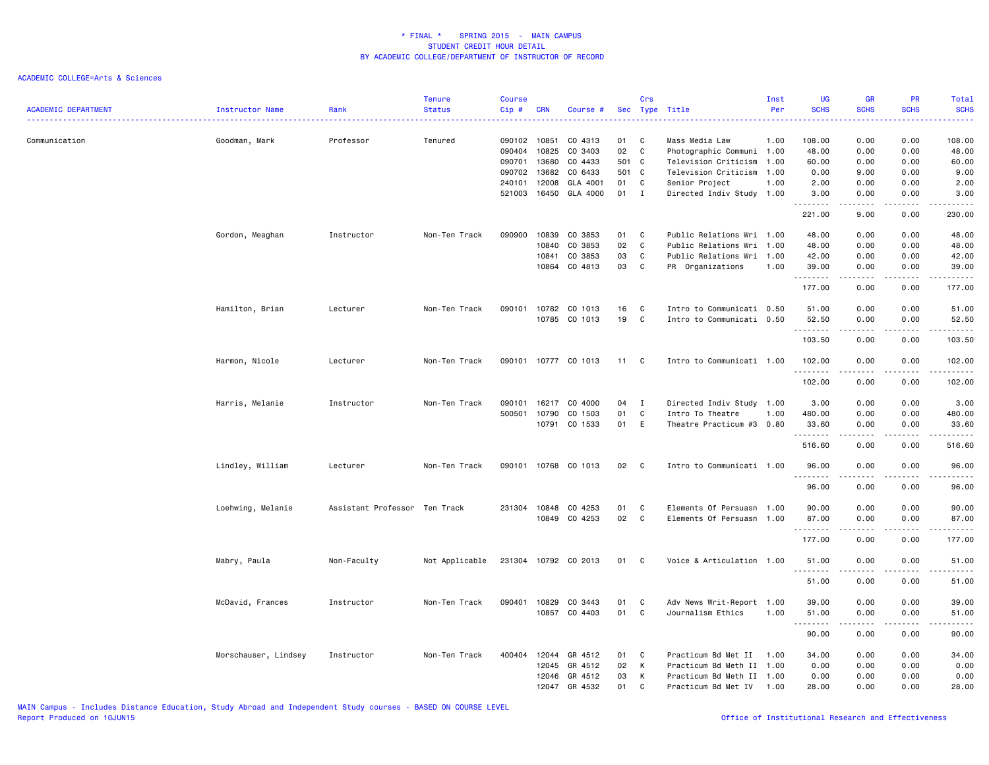| <b>ACADEMIC DEPARTMENT</b> | Instructor Name      | Rank                          | <b>Tenure</b><br><b>Status</b> | <b>Course</b><br>Cip# | <b>CRN</b>     | Course #             |          | Crs          | Sec Type Title                              | Inst<br>Per | <b>UG</b><br><b>SCHS</b> | <b>GR</b><br><b>SCHS</b>                                                                                                                                     | PR<br><b>SCHS</b>                                                                                                                 | Total<br><b>SCHS</b><br>د د د د د                                                                                                                             |
|----------------------------|----------------------|-------------------------------|--------------------------------|-----------------------|----------------|----------------------|----------|--------------|---------------------------------------------|-------------|--------------------------|--------------------------------------------------------------------------------------------------------------------------------------------------------------|-----------------------------------------------------------------------------------------------------------------------------------|---------------------------------------------------------------------------------------------------------------------------------------------------------------|
| Communication              | Goodman, Mark        | Professor                     | Tenured                        | 090102<br>090404      | 10851<br>10825 | CO 4313<br>CO 3403   | 01<br>02 | C<br>C       | Mass Media Law<br>Photographic Communi 1.00 | 1.00        | 108.00<br>48.00          | 0.00<br>0.00                                                                                                                                                 | 0.00<br>0.00                                                                                                                      | 108.00<br>48.00                                                                                                                                               |
|                            |                      |                               |                                | 090701                | 13680          | CO 4433              | 501      | $\mathbf{C}$ | Television Criticism 1.00                   |             | 60.00                    | 0.00                                                                                                                                                         | 0.00                                                                                                                              | 60.00                                                                                                                                                         |
|                            |                      |                               |                                | 090702                | 13682          | CO 6433              | 501 C    |              | Television Criticism 1.00                   |             | 0.00                     | 9.00                                                                                                                                                         | 0.00                                                                                                                              | 9.00                                                                                                                                                          |
|                            |                      |                               |                                | 240101                | 12008          | GLA 4001             | 01       | C            | Senior Project                              | 1.00        | 2.00                     | 0.00                                                                                                                                                         | 0.00                                                                                                                              | 2.00                                                                                                                                                          |
|                            |                      |                               |                                | 521003                | 16450          | GLA 4000             | 01       | I            | Directed Indiv Study 1.00                   |             | 3.00<br>.                | 0.00<br>$\frac{1}{2} \left( \frac{1}{2} \right) \left( \frac{1}{2} \right) \left( \frac{1}{2} \right) \left( \frac{1}{2} \right) \left( \frac{1}{2} \right)$ | 0.00<br>.                                                                                                                         | 3.00<br>.                                                                                                                                                     |
|                            |                      |                               |                                |                       |                |                      |          |              |                                             |             | 221.00                   | 9.00                                                                                                                                                         | 0.00                                                                                                                              | 230.00                                                                                                                                                        |
|                            | Gordon, Meaghan      | Instructor                    | Non-Ten Track                  | 090900                | 10839          | CO 3853              | 01       | C            | Public Relations Wri 1.00                   |             | 48.00                    | 0.00                                                                                                                                                         | 0.00                                                                                                                              | 48.00                                                                                                                                                         |
|                            |                      |                               |                                |                       | 10840          | CO 3853              | 02       | C            | Public Relations Wri 1.00                   |             | 48.00                    | 0.00                                                                                                                                                         | 0.00                                                                                                                              | 48.00                                                                                                                                                         |
|                            |                      |                               |                                |                       | 10841          | CO 3853              | 03       | C            | Public Relations Wri 1.00                   |             | 42.00                    | 0.00                                                                                                                                                         | 0.00                                                                                                                              | 42.00                                                                                                                                                         |
|                            |                      |                               |                                |                       | 10864          | CO 4813              | 03       | C            | PR Organizations                            | 1.00        | 39.00<br>.               | 0.00<br>$\frac{1}{2}$                                                                                                                                        | 0.00<br>----                                                                                                                      | 39.00<br>.                                                                                                                                                    |
|                            |                      |                               |                                |                       |                |                      |          |              |                                             |             | 177.00                   | 0.00                                                                                                                                                         | 0.00                                                                                                                              | 177.00                                                                                                                                                        |
|                            | Hamilton, Brian      | Lecturer                      | Non-Ten Track                  | 090101                | 10782          | CO 1013              | 16       | C            | Intro to Communicati 0.50                   |             | 51.00                    | 0.00                                                                                                                                                         | 0.00                                                                                                                              | 51.00                                                                                                                                                         |
|                            |                      |                               |                                |                       |                | 10785 CO 1013        | 19       | C            | Intro to Communicati 0.50                   |             | 52.50<br>.               | 0.00                                                                                                                                                         | 0.00                                                                                                                              | 52.50<br>$\sim 100$ and $\sim 100$                                                                                                                            |
|                            |                      |                               |                                |                       |                |                      |          |              |                                             |             | 103.50                   | 0.00                                                                                                                                                         | 0.00                                                                                                                              | 103.50                                                                                                                                                        |
|                            | Harmon, Nicole       | Lecturer                      | Non-Ten Track                  |                       |                | 090101 10777 CO 1013 | 11       | C            | Intro to Communicati 1.00                   |             | 102.00                   | 0.00                                                                                                                                                         | 0.00                                                                                                                              | 102.00                                                                                                                                                        |
|                            |                      |                               |                                |                       |                |                      |          |              |                                             |             | .<br>102.00              | .<br>0.00                                                                                                                                                    | .<br>0.00                                                                                                                         | 102.00                                                                                                                                                        |
|                            | Harris, Melanie      | Instructor                    | Non-Ten Track                  | 090101                | 16217          | CO 4000              | 04       | $\mathbf I$  | Directed Indiv Study 1.00                   |             | 3.00                     | 0.00                                                                                                                                                         | 0.00                                                                                                                              | 3.00                                                                                                                                                          |
|                            |                      |                               |                                | 500501                | 10790          | CO 1503              | 01       | C            | Intro To Theatre                            | 1.00        | 480.00                   | 0.00                                                                                                                                                         | 0.00                                                                                                                              | 480.00                                                                                                                                                        |
|                            |                      |                               |                                |                       |                | 10791 CO 1533        | 01       | E            | Theatre Practicum #3 0.80                   |             | 33.60<br>.               | 0.00<br>.                                                                                                                                                    | 0.00<br>$\frac{1}{2} \left( \frac{1}{2} \right) \left( \frac{1}{2} \right) \left( \frac{1}{2} \right) \left( \frac{1}{2} \right)$ | 33.60<br>.                                                                                                                                                    |
|                            |                      |                               |                                |                       |                |                      |          |              |                                             |             | 516.60                   | 0.00                                                                                                                                                         | 0.00                                                                                                                              | 516.60                                                                                                                                                        |
|                            | Lindley, William     | Lecturer                      | Non-Ten Track                  | 090101                |                | 10768 CO 1013        | 02 C     |              | Intro to Communicati 1.00                   |             | 96.00<br>.               | 0.00<br>.                                                                                                                                                    | 0.00<br>$\sim$ $\sim$ $\sim$                                                                                                      | 96.00<br>$\frac{1}{2} \left( \frac{1}{2} \right) \left( \frac{1}{2} \right) \left( \frac{1}{2} \right) \left( \frac{1}{2} \right) \left( \frac{1}{2} \right)$ |
|                            |                      |                               |                                |                       |                |                      |          |              |                                             |             | 96.00                    | 0.00                                                                                                                                                         | 0.00                                                                                                                              | 96.00                                                                                                                                                         |
|                            | Loehwing, Melanie    | Assistant Professor Ten Track |                                | 231304                | 10848          | CO 4253              | 01       | C            | Elements Of Persuasn 1.00                   |             | 90.00                    | 0.00                                                                                                                                                         | 0.00                                                                                                                              | 90.00                                                                                                                                                         |
|                            |                      |                               |                                |                       |                | 10849 CO 4253        | 02       | C            | Elements Of Persuasn 1.00                   |             | 87.00<br>.               | 0.00<br>.                                                                                                                                                    | 0.00                                                                                                                              | 87.00<br>.                                                                                                                                                    |
|                            |                      |                               |                                |                       |                |                      |          |              |                                             |             | 177.00                   | 0.00                                                                                                                                                         | 0.00                                                                                                                              | 177.00                                                                                                                                                        |
|                            | Mabry, Paula         | Non-Faculty                   | Not Applicable                 |                       |                | 231304 10792 CO 2013 | 01 C     |              | Voice & Articulation 1.00                   |             | 51.00                    | 0.00                                                                                                                                                         | 0.00                                                                                                                              | 51.00                                                                                                                                                         |
|                            |                      |                               |                                |                       |                |                      |          |              |                                             |             | .<br>51.00               | 0.00                                                                                                                                                         | .<br>0.00                                                                                                                         | $\frac{1}{2} \left( \frac{1}{2} \right) \left( \frac{1}{2} \right) \left( \frac{1}{2} \right) \left( \frac{1}{2} \right) \left( \frac{1}{2} \right)$<br>51.00 |
|                            | McDavid, Frances     | Instructor                    | Non-Ten Track                  | 090401                | 10829          | CO 3443              | 01       | C            | Adv News Writ-Report 1.00                   |             | 39.00                    | 0.00                                                                                                                                                         | 0.00                                                                                                                              | 39.00                                                                                                                                                         |
|                            |                      |                               |                                |                       | 10857          | CO 4403              | 01       | C            | Journalism Ethics                           | 1.00        | 51.00<br>-----           | 0.00                                                                                                                                                         | 0.00                                                                                                                              | 51.00<br>$\frac{1}{2} \left( \frac{1}{2} \right) \left( \frac{1}{2} \right) \left( \frac{1}{2} \right) \left( \frac{1}{2} \right) \left( \frac{1}{2} \right)$ |
|                            |                      |                               |                                |                       |                |                      |          |              |                                             |             | 90.00                    | 0.00                                                                                                                                                         | 0.00                                                                                                                              | 90.00                                                                                                                                                         |
|                            | Morschauser, Lindsey | Instructor                    | Non-Ten Track                  | 400404                | 12044          | GR 4512              | 01       | C            | Practicum Bd Met II                         | 1.00        | 34.00                    | 0.00                                                                                                                                                         | 0.00                                                                                                                              | 34.00                                                                                                                                                         |
|                            |                      |                               |                                |                       | 12045          | GR 4512              | 02       | K            | Practicum Bd Meth II 1.00                   |             | 0.00                     | 0.00                                                                                                                                                         | 0.00                                                                                                                              | 0.00                                                                                                                                                          |
|                            |                      |                               |                                |                       | 12046          | GR 4512              | 03       | к            | Practicum Bd Meth II 1.00                   |             | 0.00                     | 0.00                                                                                                                                                         | 0.00                                                                                                                              | 0.00                                                                                                                                                          |
|                            |                      |                               |                                |                       | 12047          | GR 4532              | 01       | C            | Practicum Bd Met IV 1.00                    |             | 28.00                    | 0.00                                                                                                                                                         | 0.00                                                                                                                              | 28.00                                                                                                                                                         |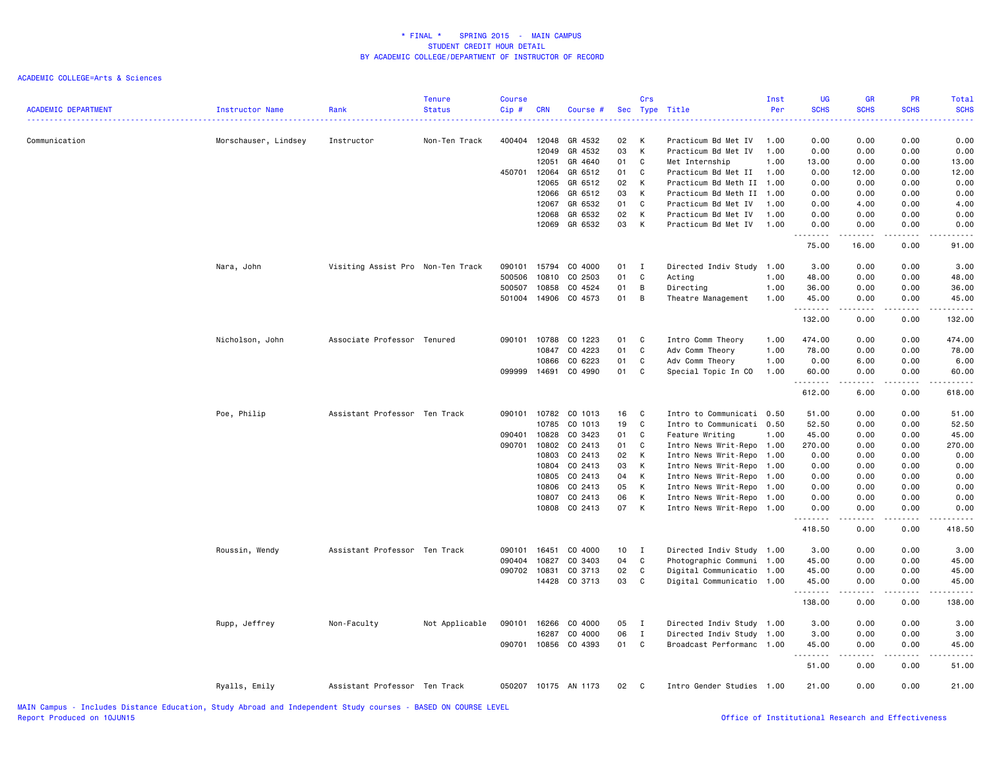| <b>ACADEMIC DEPARTMENT</b> | <b>Instructor Name</b> | Rank                              | <b>Tenure</b><br><b>Status</b> | <b>Course</b><br>$Cip$ # | <b>CRN</b> | Course #                       |                 | Crs               | Sec Type Title                                    | Inst<br>Per | <b>UG</b><br><b>SCHS</b><br>. | <b>GR</b><br><b>SCHS</b><br>.   | PR<br><b>SCHS</b> | Total<br><b>SCHS</b><br><b></b> |
|----------------------------|------------------------|-----------------------------------|--------------------------------|--------------------------|------------|--------------------------------|-----------------|-------------------|---------------------------------------------------|-------------|-------------------------------|---------------------------------|-------------------|---------------------------------|
| Communication              | Morschauser, Lindsey   | Instructor                        | Non-Ten Track                  | 400404                   | 12048      | GR 4532                        | 02              | K                 | Practicum Bd Met IV                               | 1.00        | 0.00                          | 0.00                            | 0.00              | 0.00                            |
|                            |                        |                                   |                                |                          | 12049      | GR 4532                        | 03              | K                 | Practicum Bd Met IV                               | 1.00        | 0.00                          | 0.00                            | 0.00              | 0.00                            |
|                            |                        |                                   |                                |                          | 12051      | GR 4640                        | 01              | C                 | Met Internship                                    | 1.00        | 13.00                         | 0.00                            | 0.00              | 13.00                           |
|                            |                        |                                   |                                | 450701                   | 12064      | GR 6512                        | 01              | C                 | Practicum Bd Met II                               | 1.00        | 0.00                          | 12.00                           | 0.00              | 12.00                           |
|                            |                        |                                   |                                |                          | 12065      | GR 6512                        | 02              | K                 | Practicum Bd Meth II 1.00                         |             | 0.00                          | 0.00                            | 0.00              | 0.00                            |
|                            |                        |                                   |                                |                          |            | 12066 GR 6512                  | 03              | K                 | Practicum Bd Meth II 1.00                         |             | 0.00                          | 0.00                            | 0.00              | 0.00                            |
|                            |                        |                                   |                                |                          | 12067      | GR 6532                        | 01              | C                 | Practicum Bd Met IV                               | 1.00        | 0.00                          | 4.00                            | 0.00              | 4.00                            |
|                            |                        |                                   |                                |                          | 12068      | GR 6532                        | 02              | K                 | Practicum Bd Met IV                               | 1.00        | 0.00                          | 0.00                            | 0.00              | 0.00                            |
|                            |                        |                                   |                                |                          | 12069      | GR 6532                        | 03              | K                 | Practicum Bd Met IV                               | 1.00        | 0.00<br>.                     | 0.00<br><b>.</b>                | 0.00<br>.         | 0.00<br>.                       |
|                            |                        |                                   |                                |                          |            |                                |                 |                   |                                                   |             | 75.00                         | 16.00                           | 0.00              | 91.00                           |
|                            | Nara, John             | Visiting Assist Pro Non-Ten Track |                                | 090101                   | 15794      | CO 4000                        | 01              | $\mathbf{I}$      | Directed Indiv Study 1.00                         |             | 3.00                          | 0.00                            | 0.00              | 3.00                            |
|                            |                        |                                   |                                | 500506                   | 10810      | CO 2503                        | 01              | C                 | Acting                                            | 1.00        | 48.00                         | 0.00                            | 0.00              | 48.00                           |
|                            |                        |                                   |                                | 500507                   | 10858      | CO 4524                        | 01              | B                 | Directing                                         | 1.00        | 36.00                         | 0.00                            | 0.00              | 36.00                           |
|                            |                        |                                   |                                |                          |            | 501004 14906 CO 4573           | 01              | B                 | Theatre Management                                | 1.00        | 45.00<br>.                    | 0.00<br>.                       | 0.00<br>-----     | 45.00                           |
|                            |                        |                                   |                                |                          |            |                                |                 |                   |                                                   |             | 132.00                        | 0.00                            | 0.00              | 132.00                          |
|                            | Nicholson, John        | Associate Professor Tenured       |                                | 090101                   | 10788      | CO 1223                        | 01              | C                 | Intro Comm Theory                                 | 1.00        | 474.00                        | 0.00                            | 0.00              | 474.00                          |
|                            |                        |                                   |                                |                          | 10847      | CO 4223                        | 01              | C                 | Adv Comm Theory                                   | 1.00        | 78.00                         | 0.00                            | 0.00              | 78.00                           |
|                            |                        |                                   |                                |                          | 10866      | CO 6223                        | 01              | C                 | Adv Comm Theory                                   | 1.00        | 0.00                          | 6.00                            | 0.00              | 6.00                            |
|                            |                        |                                   |                                | 099999                   | 14691      | CO 4990                        | 01              | C                 | Special Topic In CO                               | 1.00        | 60.00<br>.                    | 0.00<br>.                       | 0.00<br>.         | 60.00<br>.                      |
|                            |                        |                                   |                                |                          |            |                                |                 |                   |                                                   |             | 612.00                        | 6.00                            | 0.00              | 618.00                          |
|                            | Poe, Philip            | Assistant Professor Ten Track     |                                | 090101                   |            | 10782 CO 1013                  | 16              | C                 | Intro to Communicati 0.50                         |             | 51.00                         | 0.00                            | 0.00              | 51.00                           |
|                            |                        |                                   |                                |                          | 10785      | CO 1013                        | 19              | C                 | Intro to Communicati 0.50                         |             | 52.50                         | 0.00                            | 0.00              | 52.50                           |
|                            |                        |                                   |                                | 090401                   | 10828      | CO 3423                        | 01              | C                 | Feature Writing                                   | 1.00        | 45.00                         | 0.00                            | 0.00              | 45.00                           |
|                            |                        |                                   |                                | 090701                   | 10802      | CO 2413                        | 01              | C                 | Intro News Writ-Repo 1.00                         |             | 270.00                        | 0.00                            | 0.00              | 270.00                          |
|                            |                        |                                   |                                |                          | 10803      | CO 2413                        | 02              | $\mathsf{K}$      | Intro News Writ-Repo                              | 1.00        | 0.00                          | 0.00                            | 0.00              | 0.00                            |
|                            |                        |                                   |                                |                          | 10804      | CO 2413                        | 03              | K                 | Intro News Writ-Repo                              | 1.00        | 0.00                          | 0.00                            | 0.00              | 0.00                            |
|                            |                        |                                   |                                |                          | 10805      | CO 2413                        | 04              | K                 | Intro News Writ-Repo                              | 1.00        | 0.00                          | 0.00                            | 0.00              | 0.00                            |
|                            |                        |                                   |                                |                          | 10806      | CO 2413                        | 05              | K                 | Intro News Writ-Repo 1.00                         |             | 0.00                          | 0.00                            | 0.00              | 0.00                            |
|                            |                        |                                   |                                |                          |            | 10807 CO 2413<br>10808 CO 2413 | 06<br>07        | K<br>$\mathsf{K}$ | Intro News Writ-Repo 1.00<br>Intro News Writ-Repo | 1.00        | 0.00<br>0.00                  | 0.00<br>0.00                    | 0.00<br>0.00      | 0.00<br>0.00                    |
|                            |                        |                                   |                                |                          |            |                                |                 |                   |                                                   |             | .                             | .                               | .                 | $- - - - -$                     |
|                            |                        |                                   |                                |                          |            |                                |                 |                   |                                                   |             | 418.50                        | 0.00                            | 0.00              | 418.50                          |
|                            | Roussin, Wendy         | Assistant Professor Ten Track     |                                | 090101                   | 16451      | CO 4000                        | 10 <sub>1</sub> | I                 | Directed Indiv Study 1.00                         |             | 3.00                          | 0.00                            | 0.00              | 3.00                            |
|                            |                        |                                   |                                | 090404                   | 10827      | CO 3403                        | 04              | C                 | Photographic Communi 1.00                         |             | 45.00                         | 0.00                            | 0.00              | 45.00                           |
|                            |                        |                                   |                                | 090702 10831             |            | CO 3713                        | 02              | C                 | Digital Communicatio 1.00                         |             | 45.00                         | 0.00                            | 0.00              | 45.00                           |
|                            |                        |                                   |                                |                          | 14428      | CO 3713                        | 03              | C                 | Digital Communicatio 1.00                         |             | 45.00<br>.                    | 0.00<br>.                       | 0.00<br>-----     | 45.00                           |
|                            |                        |                                   |                                |                          |            |                                |                 |                   |                                                   |             | 138.00                        | 0.00                            | 0.00              | 138.00                          |
|                            | Rupp, Jeffrey          | Non-Faculty                       | Not Applicable                 | 090101                   | 16266      | CO 4000                        | 05              | $\mathbf{I}$      | Directed Indiv Study 1.00                         |             | 3.00                          | 0.00                            | 0.00              | 3.00                            |
|                            |                        |                                   |                                |                          | 16287      | CO 4000                        | 06              | $\mathbf{I}$      | Directed Indiv Study 1.00                         |             | 3.00                          | 0.00                            | 0.00              | 3.00                            |
|                            |                        |                                   |                                |                          |            | 090701 10856 CO 4393           | 01 C            |                   | Broadcast Performanc 1.00                         |             | 45.00                         | 0.00<br>$\omega$ is $\omega$ in | 0.00              | 45.00                           |
|                            |                        |                                   |                                |                          |            |                                |                 |                   |                                                   |             | 51.00                         | 0.00                            | 0.00              | 51.00                           |
|                            | Ryalls, Emily          | Assistant Professor Ten Track     |                                |                          |            | 050207 10175 AN 1173           | 02 C            |                   | Intro Gender Studies 1.00                         |             | 21.00                         | 0.00                            | 0.00              | 21.00                           |
|                            |                        |                                   |                                |                          |            |                                |                 |                   |                                                   |             |                               |                                 |                   |                                 |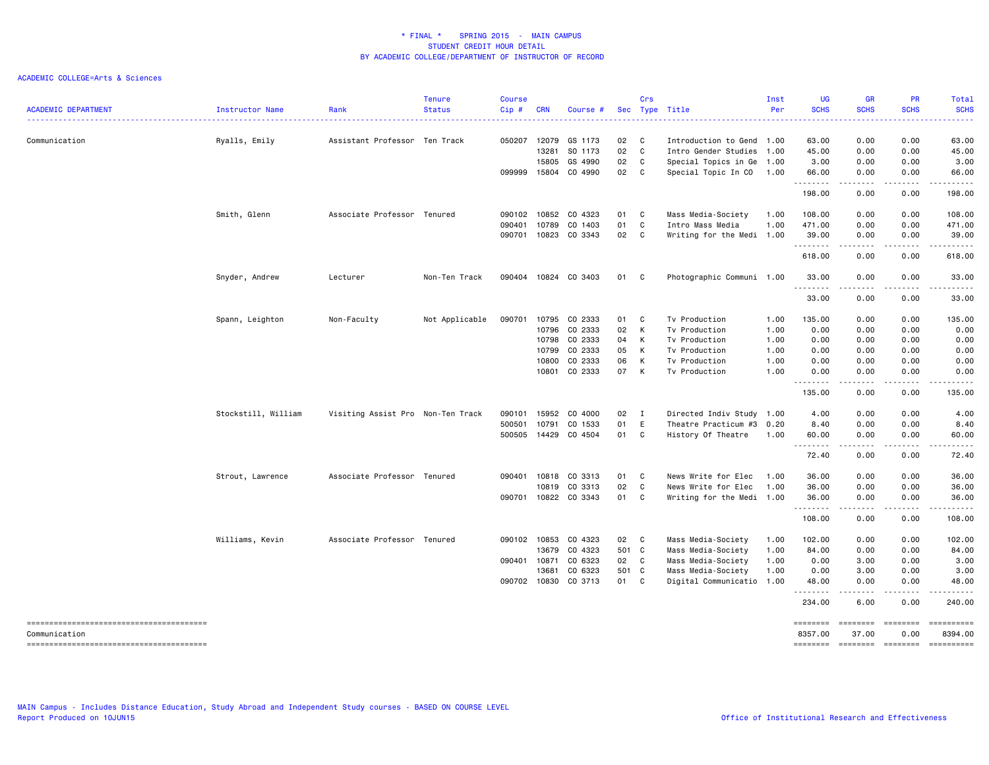| <b>ACADEMIC DEPARTMENT</b> | Instructor Name     | Rank                              | <b>Tenure</b><br><b>Status</b> | <b>Course</b><br>Cip# | <b>CRN</b> | Course #             |       | Crs                        | Sec Type Title            | Inst<br>Per | <b>UG</b><br><b>SCHS</b> | <b>GR</b><br><b>SCHS</b>                                                                                                          | PR<br><b>SCHS</b> | Total<br><b>SCHS</b>                                                                                                  |
|----------------------------|---------------------|-----------------------------------|--------------------------------|-----------------------|------------|----------------------|-------|----------------------------|---------------------------|-------------|--------------------------|-----------------------------------------------------------------------------------------------------------------------------------|-------------------|-----------------------------------------------------------------------------------------------------------------------|
| Communication              | Ryalls, Emily       | Assistant Professor Ten Track     |                                | 050207                | 12079      | GS 1173              | 02    | C                          | Introduction to Gend      | 1.00        | 63.00                    | 0.00                                                                                                                              | 0.00              | 63.00                                                                                                                 |
|                            |                     |                                   |                                |                       | 13281      | SO 1173              | 02    | <b>C</b>                   | Intro Gender Studies      | 1.00        | 45.00                    | 0.00                                                                                                                              | 0.00              | 45.00                                                                                                                 |
|                            |                     |                                   |                                |                       | 15805      | GS 4990              | 02    | C                          | Special Topics in Ge      | 1.00        | 3.00                     | 0.00                                                                                                                              | 0.00              | 3.00                                                                                                                  |
|                            |                     |                                   |                                | 099999                | 15804      | CO 4990              | 02    | $\mathbf{C}$               | Special Topic In CO       | 1.00        | 66.00<br>.               | 0.00<br>.                                                                                                                         | 0.00              | 66.00                                                                                                                 |
|                            |                     |                                   |                                |                       |            |                      |       |                            |                           |             | 198.00                   | 0.00                                                                                                                              | 0.00              | 198.00                                                                                                                |
|                            | Smith, Glenn        | Associate Professor Tenured       |                                | 090102                | 10852      | CO 4323              | 01    | $\overline{\phantom{a}}$ C | Mass Media-Society        | 1.00        | 108.00                   | 0.00                                                                                                                              | 0.00              | 108.00                                                                                                                |
|                            |                     |                                   |                                | 090401                | 10789      | CO 1403              | 01    | $\mathbf{C}$               | Intro Mass Media          | 1.00        | 471.00                   | 0.00                                                                                                                              | 0.00              | 471.00                                                                                                                |
|                            |                     |                                   |                                | 090701                |            | 10823 CO 3343        | 02 C  |                            | Writing for the Medi 1.00 |             | 39.00<br>.               | 0.00                                                                                                                              | 0.00              | 39.00                                                                                                                 |
|                            |                     |                                   |                                |                       |            |                      |       |                            |                           |             | 618.00                   | $\frac{1}{2} \left( \frac{1}{2} \right) \left( \frac{1}{2} \right) \left( \frac{1}{2} \right) \left( \frac{1}{2} \right)$<br>0.00 | .<br>0.00         | 618.00                                                                                                                |
|                            | Snyder, Andrew      | Lecturer                          | Non-Ten Track                  | 090404                |            | 10824 CO 3403        | 01    | $\mathbf{C}$               | Photographic Communi 1.00 |             | 33.00<br>.               | 0.00<br>.                                                                                                                         | 0.00              | 33.00                                                                                                                 |
|                            |                     |                                   |                                |                       |            |                      |       |                            |                           |             | 33.00                    | 0.00                                                                                                                              | 0.00              | 33.00                                                                                                                 |
|                            | Spann, Leighton     | Non-Faculty                       | Not Applicable                 | 090701                | 10795      | CO 2333              | 01 C  |                            | Tv Production             | 1.00        | 135.00                   | 0.00                                                                                                                              | 0.00              | 135.00                                                                                                                |
|                            |                     |                                   |                                |                       | 10796      | CO 2333              | 02    | K                          | Tv Production             | 1.00        | 0.00                     | 0.00                                                                                                                              | 0.00              | 0.00                                                                                                                  |
|                            |                     |                                   |                                |                       |            | 10798 CO 2333        | 04    | K                          | Tv Production             | 1.00        | 0.00                     | 0.00                                                                                                                              | 0.00              | 0.00                                                                                                                  |
|                            |                     |                                   |                                |                       | 10799      | CO 2333              | 05    | K                          | Tv Production             | 1.00        | 0.00                     | 0.00                                                                                                                              | 0.00              | 0.00                                                                                                                  |
|                            |                     |                                   |                                |                       | 10800      | CO 2333              | 06    | К                          | Tv Production             | 1.00        | 0.00                     | 0.00                                                                                                                              | 0.00              | 0.00                                                                                                                  |
|                            |                     |                                   |                                |                       |            | 10801 CO 2333        | 07    | K                          | Tv Production             | 1.00        | 0.00<br>.                | 0.00<br>$\sim$ $\sim$ $\sim$ $\sim$                                                                                               | 0.00<br>.         | 0.00<br>.                                                                                                             |
|                            |                     |                                   |                                |                       |            |                      |       |                            |                           |             | 135.00                   | 0.00                                                                                                                              | 0.00              | 135.00                                                                                                                |
|                            | Stockstill, William | Visiting Assist Pro Non-Ten Track |                                | 090101                | 15952      | CO 4000              | 02    | $\blacksquare$             | Directed Indiv Study 1.00 |             | 4.00                     | 0.00                                                                                                                              | 0.00              | 4.00                                                                                                                  |
|                            |                     |                                   |                                | 500501                | 10791      | CO 1533              | 01    | E                          | Theatre Practicum #3      | 0.20        | 8.40                     | 0.00                                                                                                                              | 0.00              | 8.40                                                                                                                  |
|                            |                     |                                   |                                | 500505                | 14429      | CO 4504              | 01 C  |                            | History Of Theatre        | 1.00        | 60.00<br>.               | 0.00<br>$\frac{1}{2}$                                                                                                             | 0.00              | 60.00                                                                                                                 |
|                            |                     |                                   |                                |                       |            |                      |       |                            |                           |             | 72.40                    | 0.00                                                                                                                              | 0.00              | 72.40                                                                                                                 |
|                            | Strout, Lawrence    | Associate Professor Tenured       |                                |                       |            | 090401 10818 CO 3313 | 01 C  |                            | News Write for Elec       | 1.00        | 36.00                    | 0.00                                                                                                                              | 0.00              | 36.00                                                                                                                 |
|                            |                     |                                   |                                |                       | 10819      | CO 3313              | 02    | <b>C</b>                   | News Write for Elec       | 1.00        | 36.00                    | 0.00                                                                                                                              | 0.00              | 36.00                                                                                                                 |
|                            |                     |                                   |                                | 090701                |            | 10822 CO 3343        | 01 C  |                            | Writing for the Medi 1.00 |             | 36.00<br>.               | 0.00<br>$\frac{1}{2} \left( \frac{1}{2} \right) \left( \frac{1}{2} \right) \left( \frac{1}{2} \right) \left( \frac{1}{2} \right)$ | 0.00              | 36.00<br>.                                                                                                            |
|                            |                     |                                   |                                |                       |            |                      |       |                            |                           |             | 108.00                   | 0.00                                                                                                                              | -----<br>0.00     | 108.00                                                                                                                |
|                            | Williams, Kevin     | Associate Professor               | Tenured                        | 090102                | 10853      | CO 4323              | 02 C  |                            | Mass Media-Society        | 1.00        | 102.00                   | 0.00                                                                                                                              | 0.00              | 102.00                                                                                                                |
|                            |                     |                                   |                                |                       | 13679      | CO 4323              | 501 C |                            | Mass Media-Society        | 1.00        | 84.00                    | 0.00                                                                                                                              | 0.00              | 84.00                                                                                                                 |
|                            |                     |                                   |                                | 090401 10871          |            | CO 6323              | 02 C  |                            | Mass Media-Society        | 1.00        | 0.00                     | 3.00                                                                                                                              | 0.00              | 3.00                                                                                                                  |
|                            |                     |                                   |                                |                       | 13681      | CO 6323              | 501 C |                            | Mass Media-Society        | 1.00        | 0.00                     | 3.00                                                                                                                              | 0.00              | 3.00                                                                                                                  |
|                            |                     |                                   |                                |                       |            | 090702 10830 CO 3713 | 01 C  |                            | Digital Communicatio 1.00 |             | 48.00                    | 0.00                                                                                                                              | 0.00              | 48.00                                                                                                                 |
|                            |                     |                                   |                                |                       |            |                      |       |                            |                           |             | .<br>234.00              | .<br>6.00                                                                                                                         | -----<br>0.00     | $\begin{array}{cccccccccc} \bullet & \bullet & \bullet & \bullet & \bullet & \bullet & \bullet \end{array}$<br>240.00 |
|                            |                     |                                   |                                |                       |            |                      |       |                            |                           |             | ========                 | ========                                                                                                                          | ========          | $=$ ==========                                                                                                        |
| Communication              |                     |                                   |                                |                       |            |                      |       |                            |                           |             | 8357.00                  | 37.00                                                                                                                             | 0.00              | 8394.00                                                                                                               |
|                            |                     |                                   |                                |                       |            |                      |       |                            |                           |             | ========                 | ========                                                                                                                          | $=$ ========      | ==========                                                                                                            |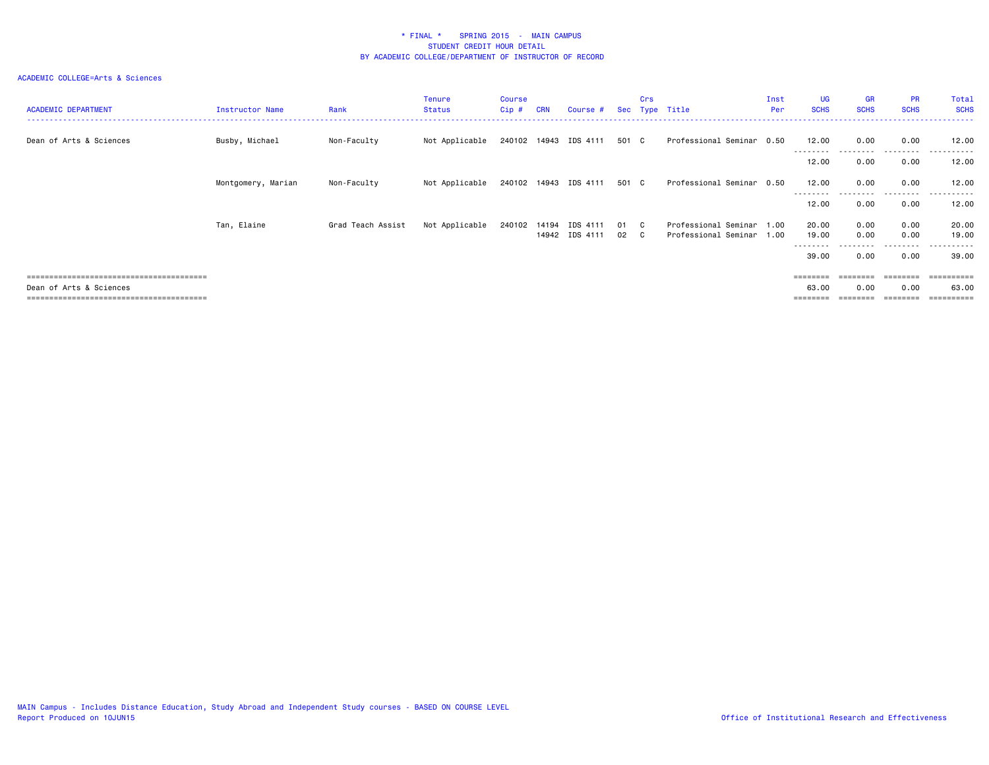| <b>ACADEMIC DEPARTMENT</b> | Instructor Name    | Rank              | Tenure<br>Status | <b>Course</b><br>$Cip$ # | <b>CRN</b> | Course #              |       | Crs | Sec Type Title            | Inst<br>Per | <b>UG</b><br><b>SCHS</b> | <b>GR</b><br><b>SCHS</b> | <b>PR</b><br><b>SCHS</b> | Total<br><b>SCHS</b> |
|----------------------------|--------------------|-------------------|------------------|--------------------------|------------|-----------------------|-------|-----|---------------------------|-------------|--------------------------|--------------------------|--------------------------|----------------------|
| Dean of Arts & Sciences    | Busby, Michael     | Non-Faculty       | Not Applicable   |                          |            | 240102 14943 IDS 4111 | 501 C |     | Professional Seminar 0.50 |             | 12.00                    | 0.00                     | 0.00                     | 12.00                |
|                            |                    |                   |                  |                          |            |                       |       |     |                           |             | --------<br>12.00        | 0.00                     | 0.00                     | 12.00                |
|                            | Montgomery, Marian | Non-Faculty       | Not Applicable   |                          |            | 240102 14943 IDS 4111 | 501 C |     | Professional Seminar 0.50 |             | 12.00<br>--------        | 0.00                     | 0.00<br>---------        | 12.00<br>. <u>.</u>  |
|                            |                    |                   |                  |                          |            |                       |       |     |                           |             | 12.00                    | 0.00                     | 0.00                     | 12.00                |
|                            | Tan, Elaine        | Grad Teach Assist | Not Applicable   | 240102                   | 14194      | IDS 4111              | 01 C  |     | Professional Seminar 1.00 |             | 20.00                    | 0.00                     | 0.00                     | 20.00                |
|                            |                    |                   |                  |                          |            | 14942 IDS 4111        | 02 C  |     | Professional Seminar 1.00 |             | 19.00<br>---------       | 0.00<br>.                | 0.00<br>---------        | 19.00<br>.           |
|                            |                    |                   |                  |                          |            |                       |       |     |                           |             | 39.00                    | 0.00                     | 0.00                     | 39.00                |
|                            |                    |                   |                  |                          |            |                       |       |     |                           |             | $=$ = = = = = = =        |                          |                          | =====                |
| Dean of Arts & Sciences    |                    |                   |                  |                          |            |                       |       |     |                           |             | 63.00                    | 0.00                     | 0.00                     | 63.00                |
|                            |                    |                   |                  |                          |            |                       |       |     |                           |             |                          |                          |                          | =========            |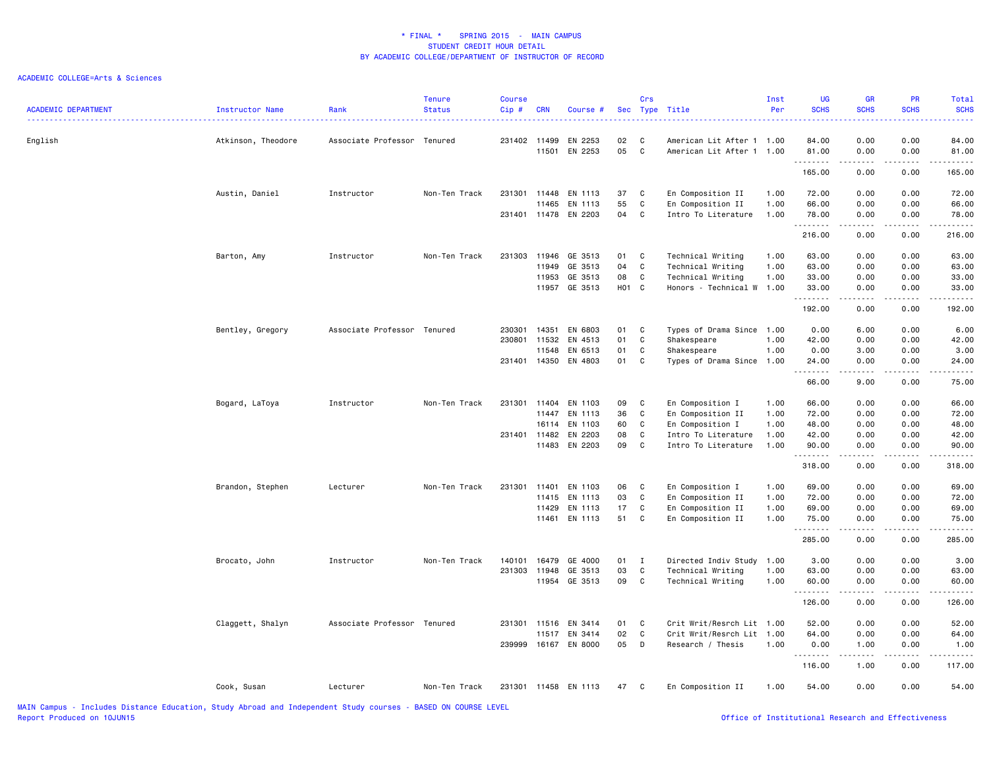| <b>ACADEMIC DEPARTMENT</b> | <b>Instructor Name</b> | Rank                        | <b>Tenure</b><br><b>Status</b> | <b>Course</b><br>Cip# | <b>CRN</b>     | Course #             |          | Crs          | Sec Type Title                                         | Inst<br>Per | <b>UG</b><br><b>SCHS</b><br>. | <b>GR</b><br><b>SCHS</b>                                                                                                                                     | PR<br><b>SCHS</b>     | Total<br><b>SCHS</b><br>. |
|----------------------------|------------------------|-----------------------------|--------------------------------|-----------------------|----------------|----------------------|----------|--------------|--------------------------------------------------------|-------------|-------------------------------|--------------------------------------------------------------------------------------------------------------------------------------------------------------|-----------------------|---------------------------|
| English                    | Atkinson, Theodore     | Associate Professor Tenured |                                | 231402                | 11499<br>11501 | EN 2253<br>EN 2253   | 02<br>05 | C<br>C       | American Lit After 1 1.00<br>American Lit After 1 1.00 |             | 84.00<br>81.00                | 0.00<br>0.00                                                                                                                                                 | 0.00<br>0.00          | 84.00<br>81.00            |
|                            |                        |                             |                                |                       |                |                      |          |              |                                                        |             | .<br>165.00                   | 0.00                                                                                                                                                         | 0.00                  | ه د د د د<br>165.00       |
|                            | Austin, Daniel         | Instructor                  | Non-Ten Track                  | 231301 11448          |                | EN 1113              | 37       | C            | En Composition II                                      | 1.00        | 72.00                         | 0.00                                                                                                                                                         | 0.00                  | 72.00                     |
|                            |                        |                             |                                |                       | 11465          | EN 1113              | 55       | $\mathtt{C}$ | En Composition II                                      | 1.00        | 66.00                         | 0.00                                                                                                                                                         | 0.00                  | 66.00                     |
|                            |                        |                             |                                | 231401 11478          |                | EN 2203              | 04       | $\mathbf c$  | Intro To Literature                                    | 1.00        | 78.00<br>.                    | 0.00                                                                                                                                                         | 0.00                  | 78.00<br>.                |
|                            |                        |                             |                                |                       |                |                      |          |              |                                                        |             | 216.00                        | 0.00                                                                                                                                                         | 0.00                  | 216.00                    |
|                            | Barton, Amy            | Instructor                  | Non-Ten Track                  | 231303                | 11946          | GE 3513              | 01       | C            | Technical Writing                                      | 1.00        | 63.00                         | 0.00                                                                                                                                                         | 0.00                  | 63.00                     |
|                            |                        |                             |                                |                       | 11949          | GE 3513              | 04       | C            | Technical Writing                                      | 1.00        | 63.00                         | 0.00                                                                                                                                                         | 0.00                  | 63.00                     |
|                            |                        |                             |                                |                       | 11953          | GE 3513              | 08       | C            | Technical Writing                                      | 1.00        | 33.00                         | 0.00                                                                                                                                                         | 0.00                  | 33.00                     |
|                            |                        |                             |                                |                       | 11957          | GE 3513              | H01 C    |              | Honors - Technical W 1.00                              |             | 33.00                         | 0.00                                                                                                                                                         | 0.00                  | 33.00<br>.                |
|                            |                        |                             |                                |                       |                |                      |          |              |                                                        |             | 192.00                        | 0.00                                                                                                                                                         | 0.00                  | 192.00                    |
|                            | Bentley, Gregory       | Associate Professor Tenured |                                | 230301                | 14351          | EN 6803              | 01       | C            | Types of Drama Since                                   | 1.00        | 0.00                          | 6.00                                                                                                                                                         | 0.00                  | 6.00                      |
|                            |                        |                             |                                | 230801                | 11532          | EN 4513              | 01       | C            | Shakespeare                                            | 1.00        | 42.00                         | 0.00                                                                                                                                                         | 0.00                  | 42.00                     |
|                            |                        |                             |                                |                       | 11548          | EN 6513              | 01       | C            | Shakespeare                                            | 1.00        | 0.00                          | 3.00                                                                                                                                                         | 0.00                  | 3.00                      |
|                            |                        |                             |                                | 231401 14350          |                | EN 4803              | 01       | C            | Types of Drama Since                                   | 1.00        | 24.00<br><u>.</u>             | 0.00                                                                                                                                                         | 0.00                  | 24.00<br>.                |
|                            |                        |                             |                                |                       |                |                      |          |              |                                                        |             | 66.00                         | 9.00                                                                                                                                                         | 0.00                  | 75.00                     |
|                            | Bogard, LaToya         | Instructor                  | Non-Ten Track                  | 231301                | 11404          | EN 1103              | 09       | C            | En Composition I                                       | 1.00        | 66.00                         | 0.00                                                                                                                                                         | 0.00                  | 66.00                     |
|                            |                        |                             |                                |                       | 11447          | EN 1113              | 36       | $\mathbb{C}$ | En Composition II                                      | 1.00        | 72.00                         | 0.00                                                                                                                                                         | 0.00                  | 72.00                     |
|                            |                        |                             |                                |                       | 16114          | EN 1103              | 60       | C            | En Composition I                                       | 1.00        | 48.00                         | 0.00                                                                                                                                                         | 0.00                  | 48.00                     |
|                            |                        |                             |                                | 231401                | 11482          | EN 2203              | 08       | C            | Intro To Literature                                    | 1.00        | 42.00                         | 0.00                                                                                                                                                         | 0.00                  | 42.00                     |
|                            |                        |                             |                                |                       | 11483          | EN 2203              | 09       | C            | Intro To Literature                                    | 1.00        | 90.00<br>.                    | 0.00<br>.                                                                                                                                                    | 0.00<br>$\frac{1}{2}$ | 90.00<br>.                |
|                            |                        |                             |                                |                       |                |                      |          |              |                                                        |             | 318.00                        | 0.00                                                                                                                                                         | 0.00                  | 318.00                    |
|                            | Brandon, Stephen       | Lecturer                    | Non-Ten Track                  | 231301                | 11401          | EN 1103              | 06       | C            | En Composition I                                       | 1.00        | 69.00                         | 0.00                                                                                                                                                         | 0.00                  | 69.00                     |
|                            |                        |                             |                                |                       | 11415          | EN 1113              | 03       | $\mathtt{C}$ | En Composition II                                      | 1.00        | 72.00                         | 0.00                                                                                                                                                         | 0.00                  | 72.00                     |
|                            |                        |                             |                                |                       | 11429          | EN 1113              | 17       | C            | En Composition II                                      | 1.00        | 69.00                         | 0.00                                                                                                                                                         | 0.00                  | 69.00                     |
|                            |                        |                             |                                |                       | 11461          | EN 1113              | 51       | C            | En Composition II                                      | 1.00        | 75.00                         | 0.00<br>.                                                                                                                                                    | 0.00<br>.             | 75.00<br>.                |
|                            |                        |                             |                                |                       |                |                      |          |              |                                                        |             | 285.00                        | 0.00                                                                                                                                                         | 0.00                  | 285.00                    |
|                            | Brocato, John          | Instructor                  | Non-Ten Track                  | 140101                | 16479          | GE 4000              | 01       | I            | Directed Indiv Study 1.00                              |             | 3.00                          | 0.00                                                                                                                                                         | 0.00                  | 3.00                      |
|                            |                        |                             |                                | 231303                | 11948          | GE 3513              | 03       | $\mathbb{C}$ | Technical Writing                                      | 1.00        | 63.00                         | 0.00                                                                                                                                                         | 0.00                  | 63.00                     |
|                            |                        |                             |                                |                       | 11954          | GE 3513              | 09       | C            | Technical Writing                                      | 1.00        | 60.00                         | 0.00                                                                                                                                                         | 0.00                  | 60.00                     |
|                            |                        |                             |                                |                       |                |                      |          |              |                                                        |             | .<br>126.00                   | 0.00                                                                                                                                                         | 0.00                  | .<br>126.00               |
|                            |                        | Associate Professor Tenured |                                | 231301 11516          |                | EN 3414              |          | C            | Crit Writ/Resrch Lit 1.00                              |             | 52.00                         | 0.00                                                                                                                                                         | 0.00                  | 52.00                     |
|                            | Claggett, Shalyn       |                             |                                |                       | 11517          | EN 3414              | 01<br>02 | $\mathbb{C}$ | Crit Writ/Resrch Lit 1.00                              |             | 64.00                         | 0.00                                                                                                                                                         | 0.00                  | 64.00                     |
|                            |                        |                             |                                | 239999                | 16167          | EN 8000              | 05       | D            | Research / Thesis                                      | 1.00        | 0.00                          | 1.00                                                                                                                                                         | 0.00                  | 1.00                      |
|                            |                        |                             |                                |                       |                |                      |          |              |                                                        |             | .<br>116.00                   | $\frac{1}{2} \left( \frac{1}{2} \right) \left( \frac{1}{2} \right) \left( \frac{1}{2} \right) \left( \frac{1}{2} \right) \left( \frac{1}{2} \right)$<br>1.00 | .<br>0.00             | 117.00                    |
|                            | Cook, Susan            | Lecturer                    | Non-Ten Track                  |                       |                | 231301 11458 EN 1113 | 47       | C            | En Composition II                                      | 1.00        | 54.00                         | 0.00                                                                                                                                                         | 0.00                  | 54.00                     |
|                            |                        |                             |                                |                       |                |                      |          |              |                                                        |             |                               |                                                                                                                                                              |                       |                           |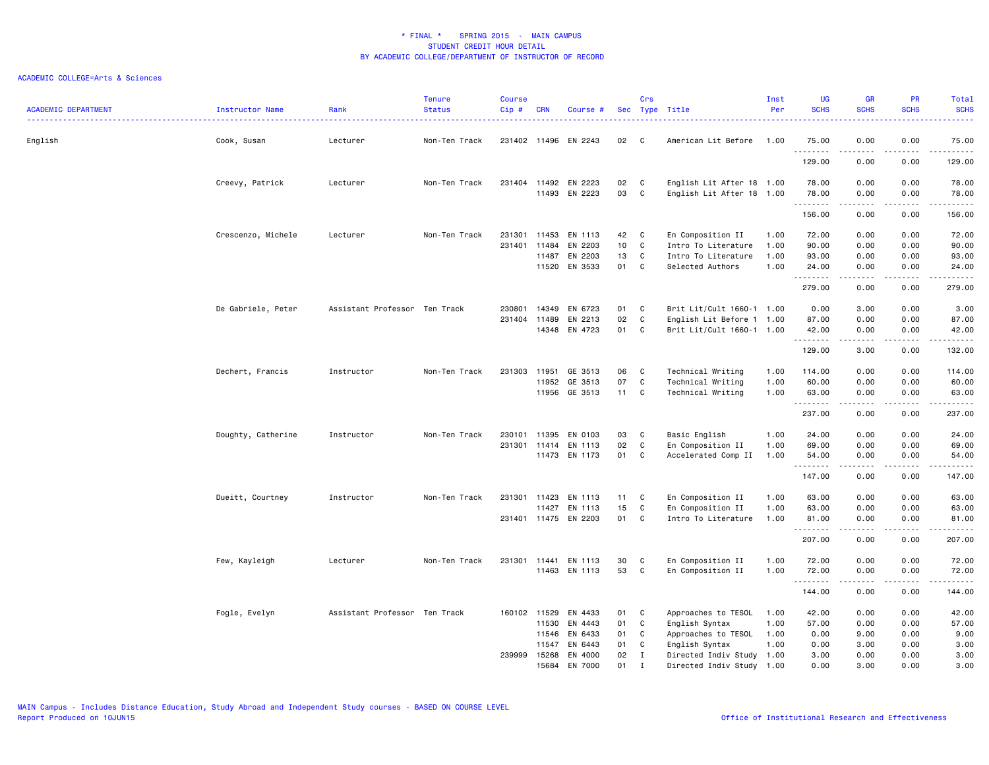|                            |                    |                               | <b>Tenure</b> | <b>Course</b> |              |                      |      | Crs          |                           | Inst | <b>UG</b>   | <b>GR</b>                                                                                                                                                    | <b>PR</b>             | <b>Total</b>                         |
|----------------------------|--------------------|-------------------------------|---------------|---------------|--------------|----------------------|------|--------------|---------------------------|------|-------------|--------------------------------------------------------------------------------------------------------------------------------------------------------------|-----------------------|--------------------------------------|
| <b>ACADEMIC DEPARTMENT</b> | Instructor Name    | Rank<br>.                     | <b>Status</b> | Cip#          | <b>CRN</b>   | Course #             |      |              | Sec Type Title            | Per  | <b>SCHS</b> | <b>SCHS</b>                                                                                                                                                  | <b>SCHS</b>           | <b>SCHS</b><br>2222.                 |
| English                    | Cook, Susan        | Lecturer                      | Non-Ten Track |               |              | 231402 11496 EN 2243 | 02   | C            | American Lit Before 1.00  |      | 75.00       | 0.00                                                                                                                                                         | 0.00                  | 75.00                                |
|                            |                    |                               |               |               |              |                      |      |              |                           |      | .<br>129.00 | -----<br>0.00                                                                                                                                                | د د د د<br>0.00       | .<br>129.00                          |
|                            | Creevy, Patrick    | Lecturer                      | Non-Ten Track |               |              | 231404 11492 EN 2223 | 02   | $\mathbf{C}$ | English Lit After 18 1.00 |      | 78.00       | 0.00                                                                                                                                                         | 0.00                  | 78.00                                |
|                            |                    |                               |               |               |              | 11493 EN 2223        | 03   | $\mathbf{C}$ | English Lit After 18 1.00 |      | 78.00<br>.  | 0.00<br>$\frac{1}{2} \left( \frac{1}{2} \right) \left( \frac{1}{2} \right) \left( \frac{1}{2} \right) \left( \frac{1}{2} \right) \left( \frac{1}{2} \right)$ | 0.00<br>.             | 78.00<br>.                           |
|                            |                    |                               |               |               |              |                      |      |              |                           |      | 156.00      | 0.00                                                                                                                                                         | 0.00                  | 156.00                               |
|                            | Crescenzo, Michele | Lecturer                      | Non-Ten Track | 231301        | 11453        | EN 1113              | 42   | C            | En Composition II         | 1.00 | 72.00       | 0.00                                                                                                                                                         | 0.00                  | 72.00                                |
|                            |                    |                               |               | 231401        | 11484        | EN 2203              | 10   | C            | Intro To Literature       | 1.00 | 90.00       | 0.00                                                                                                                                                         | 0.00                  | 90.00                                |
|                            |                    |                               |               |               | 11487        | EN 2203              | 13   | C            | Intro To Literature       | 1.00 | 93.00       | 0.00                                                                                                                                                         | 0.00                  | 93.00                                |
|                            |                    |                               |               |               | 11520        | EN 3533              | 01   | C            | Selected Authors          | 1.00 | 24.00<br>.  | 0.00<br>$\frac{1}{2} \left( \frac{1}{2} \right) \left( \frac{1}{2} \right) \left( \frac{1}{2} \right) \left( \frac{1}{2} \right) \left( \frac{1}{2} \right)$ | 0.00<br>.             | 24.00<br>.                           |
|                            |                    |                               |               |               |              |                      |      |              |                           |      | 279.00      | 0.00                                                                                                                                                         | 0.00                  | 279.00                               |
|                            | De Gabriele, Peter | Assistant Professor Ten Track |               | 230801        | 14349        | EN 6723              | 01   | C            | Brit Lit/Cult 1660-1 1.00 |      | 0.00        | 3.00                                                                                                                                                         | 0.00                  | 3.00                                 |
|                            |                    |                               |               |               | 231404 11489 | EN 2213              | 02   | C            | English Lit Before 1 1.00 |      | 87.00       | 0.00                                                                                                                                                         | 0.00                  | 87.00                                |
|                            |                    |                               |               |               | 14348        | EN 4723              | 01   | C            | Brit Lit/Cult 1660-1 1.00 |      | 42.00<br>.  | 0.00<br>.                                                                                                                                                    | 0.00<br>$  -$         | 42.00<br>$\sim$ $\sim$ $\sim$ $\sim$ |
|                            |                    |                               |               |               |              |                      |      |              |                           |      | 129.00      | 3.00                                                                                                                                                         | 0.00                  | 132.00                               |
|                            | Dechert, Francis   | Instructor                    | Non-Ten Track | 231303        | 11951        | GE 3513              | 06   | C            | Technical Writing         | 1.00 | 114.00      | 0.00                                                                                                                                                         | 0.00                  | 114.00                               |
|                            |                    |                               |               |               | 11952        | GE 3513              | 07   | C            | Technical Writing         | 1.00 | 60.00       | 0.00                                                                                                                                                         | 0.00                  | 60.00                                |
|                            |                    |                               |               |               |              | 11956 GE 3513        | 11 C |              | Technical Writing         | 1.00 | 63.00<br>.  | 0.00<br>.                                                                                                                                                    | 0.00<br>$\frac{1}{2}$ | 63.00<br>.                           |
|                            |                    |                               |               |               |              |                      |      |              |                           |      | 237.00      | 0.00                                                                                                                                                         | 0.00                  | 237.00                               |
|                            | Doughty, Catherine | Instructor                    | Non-Ten Track | 230101        | 11395        | EN 0103              | 03   | C            | Basic English             | 1.00 | 24.00       | 0.00                                                                                                                                                         | 0.00                  | 24.00                                |
|                            |                    |                               |               |               |              | 231301 11414 EN 1113 | 02   | C            | En Composition II         | 1.00 | 69.00       | 0.00                                                                                                                                                         | 0.00                  | 69.00                                |
|                            |                    |                               |               |               |              | 11473 EN 1173        | 01   | <b>C</b>     | Accelerated Comp II       | 1.00 | 54.00<br>.  | 0.00<br>$\frac{1}{2} \left( \frac{1}{2} \right) \left( \frac{1}{2} \right) \left( \frac{1}{2} \right) \left( \frac{1}{2} \right) \left( \frac{1}{2} \right)$ | 0.00<br>.             | 54.00<br>.                           |
|                            |                    |                               |               |               |              |                      |      |              |                           |      | 147.00      | 0.00                                                                                                                                                         | 0.00                  | 147.00                               |
|                            | Dueitt, Courtney   | Instructor                    | Non-Ten Track |               | 231301 11423 | EN 1113              | 11   | C            | En Composition II         | 1.00 | 63.00       | 0.00                                                                                                                                                         | 0.00                  | 63.00                                |
|                            |                    |                               |               |               | 11427        | EN 1113              | 15   | C            | En Composition II         | 1.00 | 63.00       | 0.00                                                                                                                                                         | 0.00                  | 63.00                                |
|                            |                    |                               |               |               |              | 231401 11475 EN 2203 | 01   | C            | Intro To Literature       | 1.00 | 81.00<br>.  | 0.00<br>.                                                                                                                                                    | 0.00<br>$- - -$       | 81.00<br>.                           |
|                            |                    |                               |               |               |              |                      |      |              |                           |      | 207.00      | 0.00                                                                                                                                                         | 0.00                  | 207.00                               |
|                            | Few, Kayleigh      | Lecturer                      | Non-Ten Track | 231301        |              | 11441 EN 1113        | 30   | C            | En Composition II         | 1.00 | 72.00       | 0.00                                                                                                                                                         | 0.00                  | 72.00                                |
|                            |                    |                               |               |               |              | 11463 EN 1113        | 53   | C            | En Composition II         | 1.00 | 72.00<br>.  | 0.00<br>$\frac{1}{2} \left( \frac{1}{2} \right) \left( \frac{1}{2} \right) \left( \frac{1}{2} \right) \left( \frac{1}{2} \right) \left( \frac{1}{2} \right)$ | 0.00<br>.             | 72.00<br>.                           |
|                            |                    |                               |               |               |              |                      |      |              |                           |      | 144.00      | 0.00                                                                                                                                                         | 0.00                  | 144.00                               |
|                            | Fogle, Evelyn      | Assistant Professor Ten Track |               |               | 160102 11529 | EN 4433              | 01   | C            | Approaches to TESOL       | 1.00 | 42.00       | 0.00                                                                                                                                                         | 0.00                  | 42.00                                |
|                            |                    |                               |               |               | 11530        | EN 4443              | 01   | C            | English Syntax            | 1.00 | 57.00       | 0.00                                                                                                                                                         | 0.00                  | 57.00                                |
|                            |                    |                               |               |               | 11546        | EN 6433              | 01   | C            | Approaches to TESOL       | 1.00 | 0.00        | 9.00                                                                                                                                                         | 0.00                  | 9.00                                 |
|                            |                    |                               |               |               | 11547        | EN 6443              | 01   | C            | English Syntax            | 1.00 | 0.00        | 3.00                                                                                                                                                         | 0.00                  | 3.00                                 |
|                            |                    |                               |               | 239999        | 15268        | EN 4000              | 02   | $\mathbf{I}$ | Directed Indiv Study 1.00 |      | 3.00        | 0.00                                                                                                                                                         | 0.00                  | 3.00                                 |
|                            |                    |                               |               |               | 15684        | EN 7000              | 01   | $\mathbf I$  | Directed Indiv Study 1.00 |      | 0.00        | 3.00                                                                                                                                                         | 0.00                  | 3.00                                 |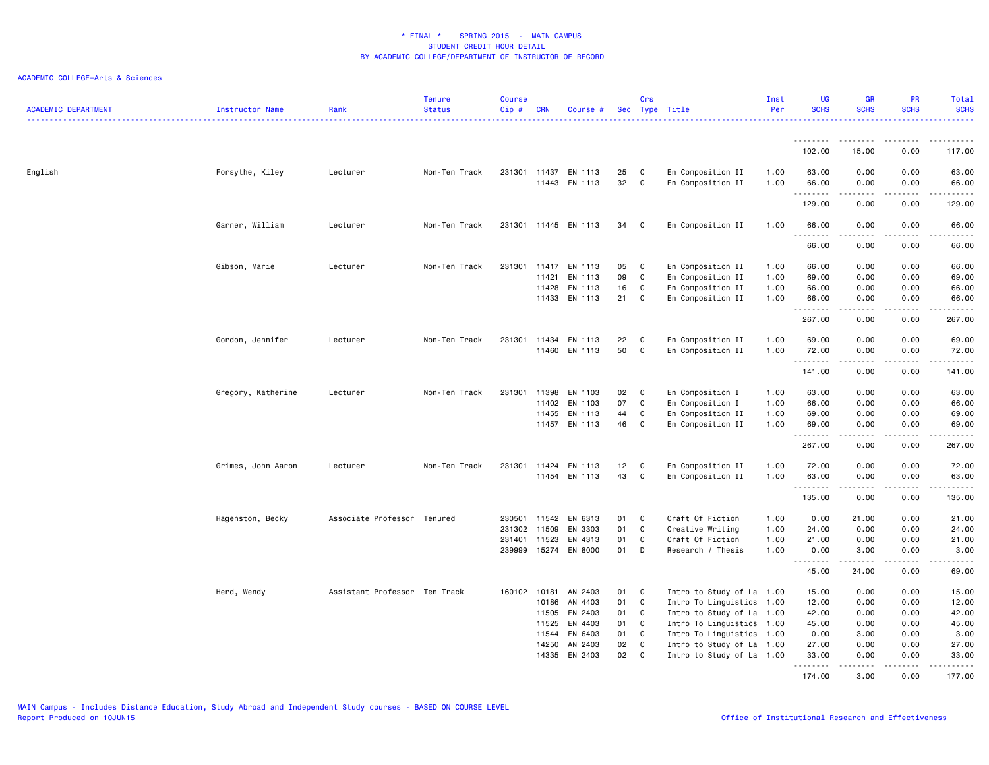| <b>ACADEMIC DEPARTMENT</b> | Instructor Name    | Rank                          | <b>Tenure</b><br><b>Status</b> | <b>Course</b><br>Cip# | <b>CRN</b>            | Course #             |          | Crs    | Sec Type Title                         | Inst<br>Per  | <b>UG</b><br><b>SCHS</b> | <b>GR</b><br><b>SCHS</b>                                                                                                                                     | PR<br><b>SCHS</b>                                                                                                                 | Total<br><b>SCHS</b>     |
|----------------------------|--------------------|-------------------------------|--------------------------------|-----------------------|-----------------------|----------------------|----------|--------|----------------------------------------|--------------|--------------------------|--------------------------------------------------------------------------------------------------------------------------------------------------------------|-----------------------------------------------------------------------------------------------------------------------------------|--------------------------|
|                            |                    |                               |                                |                       |                       |                      |          |        |                                        |              | <u>.</u>                 | .                                                                                                                                                            | $\cdots$                                                                                                                          | .                        |
|                            |                    |                               |                                |                       |                       |                      |          |        |                                        |              | 102.00                   | 15.00                                                                                                                                                        | 0.00                                                                                                                              | 117.00                   |
| English                    | Forsythe, Kiley    | Lecturer                      | Non-Ten Track                  |                       | 231301 11437<br>11443 | EN 1113<br>EN 1113   | 25<br>32 | C<br>C | En Composition II<br>En Composition II | 1.00<br>1.00 | 63.00<br>66.00           | 0.00<br>0.00                                                                                                                                                 | 0.00<br>0.00                                                                                                                      | 63.00<br>66.00           |
|                            |                    |                               |                                |                       |                       |                      |          |        |                                        |              | .<br>129.00              | .<br>0.00                                                                                                                                                    | .<br>0.00                                                                                                                         | 129.00                   |
|                            | Garner, William    | Lecturer                      | Non-Ten Track                  |                       |                       | 231301 11445 EN 1113 | 34       | C.     | En Composition II                      | 1.00         | 66.00                    | 0.00                                                                                                                                                         | 0.00                                                                                                                              | 66.00                    |
|                            |                    |                               |                                |                       |                       |                      |          |        |                                        |              | <u>.</u>                 |                                                                                                                                                              |                                                                                                                                   | .                        |
|                            |                    |                               |                                |                       |                       |                      |          |        |                                        |              | 66.00                    | 0.00                                                                                                                                                         | 0.00                                                                                                                              | 66.00                    |
|                            | Gibson, Marie      | Lecturer                      | Non-Ten Track                  |                       |                       | 231301 11417 EN 1113 | 05       | C      | En Composition II                      | 1.00         | 66.00                    | 0.00                                                                                                                                                         | 0.00                                                                                                                              | 66.00                    |
|                            |                    |                               |                                |                       | 11421                 | EN 1113              | 09       | C      | En Composition II                      | 1.00         | 69.00                    | 0.00                                                                                                                                                         | 0.00                                                                                                                              | 69.00                    |
|                            |                    |                               |                                |                       | 11428                 | EN 1113              | 16       | C      | En Composition II                      | 1.00         | 66.00                    | 0.00                                                                                                                                                         | 0.00                                                                                                                              | 66.00                    |
|                            |                    |                               |                                |                       |                       | 11433 EN 1113        | 21       | C      | En Composition II                      | 1.00         | 66.00<br>. <b>.</b>      | 0.00                                                                                                                                                         | 0.00                                                                                                                              | 66.00<br>وبالمستريث      |
|                            |                    |                               |                                |                       |                       |                      |          |        |                                        |              | 267.00                   | 0.00                                                                                                                                                         | 0.00                                                                                                                              | 267.00                   |
|                            | Gordon, Jennifer   | Lecturer                      | Non-Ten Track                  | 231301                |                       | 11434 EN 1113        | 22       | C      | En Composition II                      | 1.00         | 69.00                    | 0.00                                                                                                                                                         | 0.00                                                                                                                              | 69.00                    |
|                            |                    |                               |                                |                       |                       | 11460 EN 1113        | 50       | C      | En Composition II                      | 1.00         | 72.00                    | 0.00                                                                                                                                                         | 0.00                                                                                                                              | 72.00                    |
|                            |                    |                               |                                |                       |                       |                      |          |        |                                        |              | . <b>.</b><br>141.00     | 0.00                                                                                                                                                         | $-$ - $-$ -<br>0.00                                                                                                               | .<br>141.00              |
|                            | Gregory, Katherine | Lecturer                      | Non-Ten Track                  | 231301                | 11398                 | EN 1103              | 02       | C      | En Composition I                       | 1.00         | 63.00                    | 0.00                                                                                                                                                         | 0.00                                                                                                                              | 63.00                    |
|                            |                    |                               |                                |                       | 11402                 | EN 1103              | 07       | C      | En Composition I                       | 1.00         | 66.00                    | 0.00                                                                                                                                                         | 0.00                                                                                                                              | 66.00                    |
|                            |                    |                               |                                |                       | 11455                 | EN 1113              | 44       | C      | En Composition II                      | 1.00         | 69.00                    | 0.00                                                                                                                                                         | 0.00                                                                                                                              | 69.00                    |
|                            |                    |                               |                                |                       |                       | 11457 EN 1113        | 46       | C      | En Composition II                      | 1.00         | 69.00<br>.               | 0.00<br>.                                                                                                                                                    | 0.00<br>$\frac{1}{2} \left( \frac{1}{2} \right) \left( \frac{1}{2} \right) \left( \frac{1}{2} \right) \left( \frac{1}{2} \right)$ | 69.00<br>والمستحدث       |
|                            |                    |                               |                                |                       |                       |                      |          |        |                                        |              | 267.00                   | 0.00                                                                                                                                                         | 0.00                                                                                                                              | 267.00                   |
|                            | Grimes, John Aaron | Lecturer                      | Non-Ten Track                  | 231301                |                       | 11424 EN 1113        | 12       | C      | En Composition II                      | 1.00         | 72.00                    | 0.00                                                                                                                                                         | 0.00                                                                                                                              | 72.00                    |
|                            |                    |                               |                                |                       |                       | 11454 EN 1113        | 43       | C      | En Composition II                      | 1.00         | 63.00<br>.               | 0.00                                                                                                                                                         | 0.00                                                                                                                              | 63.00<br>.               |
|                            |                    |                               |                                |                       |                       |                      |          |        |                                        |              | 135.00                   | 0.00                                                                                                                                                         | 0.00                                                                                                                              | 135.00                   |
|                            | Hagenston, Becky   | Associate Professor Tenured   |                                | 230501                | 11542                 | EN 6313              | 01       | C      | Craft Of Fiction                       | 1.00         | 0.00                     | 21.00                                                                                                                                                        | 0.00                                                                                                                              | 21.00                    |
|                            |                    |                               |                                | 231302                | 11509                 | EN 3303              | 01       | C      | Creative Writing                       | 1.00         | 24.00                    | 0.00                                                                                                                                                         | 0.00                                                                                                                              | 24.00                    |
|                            |                    |                               |                                | 231401 11523          |                       | EN 4313              | 01       | C      | Craft Of Fiction                       | 1.00         | 21.00                    | 0.00                                                                                                                                                         | 0.00                                                                                                                              | 21.00                    |
|                            |                    |                               |                                |                       |                       | 239999 15274 EN 8000 | 01       | D      | Research / Thesis                      | 1.00         | 0.00                     | 3.00<br>$\frac{1}{2} \left( \frac{1}{2} \right) \left( \frac{1}{2} \right) \left( \frac{1}{2} \right) \left( \frac{1}{2} \right) \left( \frac{1}{2} \right)$ | 0.00<br>$\sim$ $\sim$ $\sim$                                                                                                      | 3.00<br>وبالمستريث       |
|                            |                    |                               |                                |                       |                       |                      |          |        |                                        |              | 45.00                    | 24.00                                                                                                                                                        | 0.00                                                                                                                              | 69.00                    |
|                            | Herd, Wendy        | Assistant Professor Ten Track |                                | 160102 10181          |                       | AN 2403              | 01       | C      | Intro to Study of La 1.00              |              | 15.00                    | 0.00                                                                                                                                                         | 0.00                                                                                                                              | 15.00                    |
|                            |                    |                               |                                |                       | 10186                 | AN 4403              | 01       | C      | Intro To Linguistics 1.00              |              | 12.00                    | 0.00                                                                                                                                                         | 0.00                                                                                                                              | 12.00                    |
|                            |                    |                               |                                |                       | 11505                 | EN 2403              | 01       | C      | Intro to Study of La 1.00              |              | 42.00                    | 0.00                                                                                                                                                         | 0.00                                                                                                                              | 42.00                    |
|                            |                    |                               |                                |                       | 11525                 | EN 4403              | 01       | C      | Intro To Linguistics 1.00              |              | 45.00                    | 0.00                                                                                                                                                         | 0.00                                                                                                                              | 45.00                    |
|                            |                    |                               |                                |                       | 11544                 | EN 6403              | 01       | C      | Intro To Linguistics 1.00              |              | 0.00                     | 3.00                                                                                                                                                         | 0.00                                                                                                                              | 3.00                     |
|                            |                    |                               |                                |                       | 14250                 | AN 2403              | 02       | C      | Intro to Study of La 1.00              |              | 27.00                    | 0.00                                                                                                                                                         | 0.00                                                                                                                              | 27.00                    |
|                            |                    |                               |                                |                       | 14335                 | EN 2403              | 02       | C      | Intro to Study of La 1.00              |              | 33.00<br>.               | 0.00<br>.                                                                                                                                                    | 0.00<br>.                                                                                                                         | 33.00<br>$- - - - - - -$ |
|                            |                    |                               |                                |                       |                       |                      |          |        |                                        |              | 174.00                   | 3,00                                                                                                                                                         | 0.00                                                                                                                              | 177.00                   |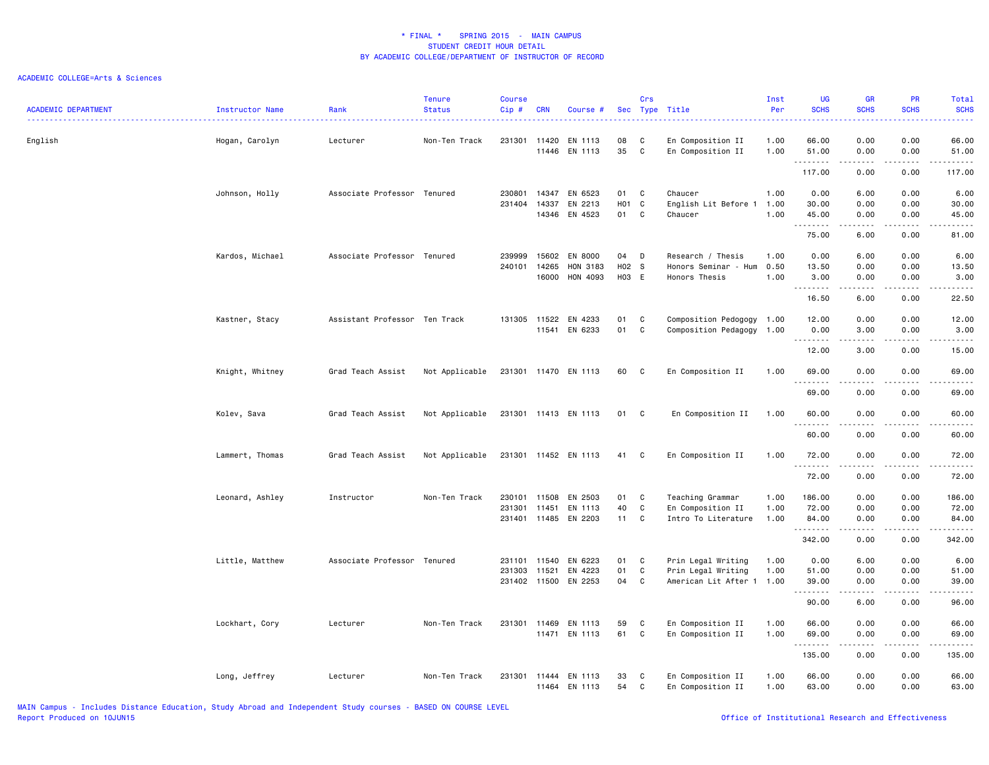| <b>ACADEMIC DEPARTMENT</b> | Instructor Name | Rank<br>. <u>.</u>            | <b>Tenure</b><br><b>Status</b> | <b>Course</b><br>Cip# | <b>CRN</b>     | Course #                 |             | Crs<br>Sec Type Title | .                                                      | Inst<br>Per  | <b>UG</b><br><b>SCHS</b><br>. | <b>GR</b><br><b>SCHS</b>                                                                                                                                     | <b>PR</b><br><b>SCHS</b><br><u>.</u> | Total<br><b>SCHS</b><br>.                                                                                                                                                                |
|----------------------------|-----------------|-------------------------------|--------------------------------|-----------------------|----------------|--------------------------|-------------|-----------------------|--------------------------------------------------------|--------------|-------------------------------|--------------------------------------------------------------------------------------------------------------------------------------------------------------|--------------------------------------|------------------------------------------------------------------------------------------------------------------------------------------------------------------------------------------|
| English                    | Hogan, Carolyn  | Lecturer                      | Non-Ten Track                  | 231301                | 11420          | EN 1113<br>11446 EN 1113 | 08<br>35    | C<br>C                | En Composition II<br>En Composition II                 | 1.00<br>1.00 | 66.00<br>51.00                | 0.00<br>0.00                                                                                                                                                 | 0.00<br>0.00                         | 66.00<br>51.00                                                                                                                                                                           |
|                            |                 |                               |                                |                       |                |                          |             |                       |                                                        |              | .<br>117.00                   | $\frac{1}{2} \left( \frac{1}{2} \right) \left( \frac{1}{2} \right) \left( \frac{1}{2} \right) \left( \frac{1}{2} \right) \left( \frac{1}{2} \right)$<br>0.00 | .<br>0.00                            | .<br>117.00                                                                                                                                                                              |
|                            | Johnson, Holly  | Associate Professor Tenured   |                                | 230801<br>231404      | 14347<br>14337 | EN 6523<br>EN 2213       | 01<br>H01   | C<br>$\mathbf{C}$     | Chaucer<br>English Lit Before 1                        | 1.00<br>1.00 | 0.00<br>30.00                 | 6.00<br>0.00                                                                                                                                                 | 0.00<br>0.00                         | 6.00<br>30.00                                                                                                                                                                            |
|                            |                 |                               |                                |                       |                | 14346 EN 4523            | 01          | C                     | Chaucer                                                | 1.00         | 45.00<br>.                    | 0.00<br>.                                                                                                                                                    | 0.00<br>.                            | 45.00<br>$\frac{1}{2}$                                                                                                                                                                   |
|                            |                 |                               |                                |                       |                |                          |             |                       |                                                        |              | 75.00                         | 6.00                                                                                                                                                         | 0.00                                 | 81.00                                                                                                                                                                                    |
|                            | Kardos, Michael | Associate Professor Tenured   |                                | 239999<br>240101      | 15602<br>14265 | EN 8000<br>HON 3183      | 04<br>H02 S | D                     | Research / Thesis<br>Honors Seminar - Hum              | 1.00<br>0.50 | 0.00<br>13.50                 | 6.00<br>0.00                                                                                                                                                 | 0.00<br>0.00                         | 6.00<br>13.50                                                                                                                                                                            |
|                            |                 |                               |                                |                       | 16000          | HON 4093                 | H03 E       |                       | Honors Thesis                                          | 1.00         | 3.00<br>.                     | 0.00<br>$\frac{1}{2} \left( \frac{1}{2} \right) \left( \frac{1}{2} \right) \left( \frac{1}{2} \right) \left( \frac{1}{2} \right) \left( \frac{1}{2} \right)$ | 0.00<br>.                            | 3.00<br>$\cdots$                                                                                                                                                                         |
|                            |                 |                               |                                |                       |                |                          |             |                       |                                                        |              | 16.50                         | 6.00                                                                                                                                                         | 0.00                                 | 22.50                                                                                                                                                                                    |
|                            | Kastner, Stacy  | Assistant Professor Ten Track |                                | 131305                | 11522<br>11541 | EN 4233<br>EN 6233       | 01<br>01    | C<br>C                | Composition Pedogogy 1.00<br>Composition Pedagogy 1.00 |              | 12.00<br>0.00                 | 0.00<br>3.00                                                                                                                                                 | 0.00<br>0.00                         | 12.00<br>3.00                                                                                                                                                                            |
|                            |                 |                               |                                |                       |                |                          |             |                       |                                                        |              | .<br>12.00                    | -----<br>3.00                                                                                                                                                | د د د د<br>0.00                      | $\frac{1}{2} \left( \frac{1}{2} \right) \left( \frac{1}{2} \right) \left( \frac{1}{2} \right) \left( \frac{1}{2} \right) \left( \frac{1}{2} \right)$<br>15.00                            |
|                            | Knight, Whitney | Grad Teach Assist             | Not Applicable                 | 231301 11470 EN 1113  |                |                          | 60 C        |                       | En Composition II                                      | 1.00         | 69.00                         | 0.00                                                                                                                                                         | 0.00                                 | 69.00                                                                                                                                                                                    |
|                            |                 |                               |                                |                       |                |                          |             |                       |                                                        |              | .<br>69.00                    | .<br>0.00                                                                                                                                                    | ----<br>0.00                         | $\frac{1}{2} \left( \frac{1}{2} \right) \left( \frac{1}{2} \right) \left( \frac{1}{2} \right) \left( \frac{1}{2} \right) \left( \frac{1}{2} \right)$<br>69.00                            |
|                            | Kolev, Sava     | Grad Teach Assist             | Not Applicable                 | 231301 11413 EN 1113  |                |                          | 01 C        |                       | En Composition II                                      | 1.00         | 60.00                         | 0.00                                                                                                                                                         | 0.00                                 | 60.00                                                                                                                                                                                    |
|                            |                 |                               |                                |                       |                |                          |             |                       |                                                        |              | .<br>60.00                    | 0.00                                                                                                                                                         | 0.00                                 | $\frac{1}{2} \left( \frac{1}{2} \right) \left( \frac{1}{2} \right) \left( \frac{1}{2} \right) \left( \frac{1}{2} \right) \left( \frac{1}{2} \right)$<br>60.00                            |
|                            | Lammert, Thomas | Grad Teach Assist             | Not Applicable                 | 231301 11452 EN 1113  |                |                          | 41          | C                     | En Composition II                                      | 1.00         | 72.00                         | 0.00                                                                                                                                                         | 0.00                                 | 72.00                                                                                                                                                                                    |
|                            |                 |                               |                                |                       |                |                          |             |                       |                                                        |              | .<br>72.00                    | $- - - - -$<br>0.00                                                                                                                                          | $\frac{1}{2}$<br>0.00                | .<br>72.00                                                                                                                                                                               |
|                            | Leonard, Ashley | Instructor                    | Non-Ten Track                  | 230101<br>231301      | 11508<br>11451 | EN 2503<br>EN 1113       | 01<br>40    | C<br>C                | Teaching Grammar<br>En Composition II                  | 1.00<br>1.00 | 186.00<br>72.00               | 0.00<br>0.00                                                                                                                                                 | 0.00<br>0.00                         | 186.00<br>72.00                                                                                                                                                                          |
|                            |                 |                               |                                | 231401 11485 EN 2203  |                |                          | 11 C        |                       | Intro To Literature                                    | 1.00         | 84.00<br>.                    | 0.00<br><u>.</u>                                                                                                                                             | 0.00<br>.                            | 84.00<br>.                                                                                                                                                                               |
|                            |                 |                               |                                |                       |                |                          |             |                       |                                                        |              | 342.00                        | 0.00                                                                                                                                                         | 0.00                                 | 342.00                                                                                                                                                                                   |
|                            | Little, Matthew | Associate Professor Tenured   |                                | 231101<br>231303      | 11540<br>11521 | EN 6223<br>EN 4223       | 01<br>01    | C<br>C                | Prin Legal Writing<br>Prin Legal Writing               | 1.00<br>1.00 | 0.00<br>51.00                 | 6.00<br>0.00                                                                                                                                                 | 0.00<br>0.00                         | 6.00<br>51.00                                                                                                                                                                            |
|                            |                 |                               |                                | 231402 11500          |                | EN 2253                  | 04          | C                     | American Lit After 1 1.00                              |              | 39.00<br>--------             | 0.00<br>.                                                                                                                                                    | 0.00<br>$\sim$ $\sim$ $\sim$ $\sim$  | 39.00<br>$\frac{1}{2} \left( \frac{1}{2} \right) \left( \frac{1}{2} \right) \left( \frac{1}{2} \right) \left( \frac{1}{2} \right) \left( \frac{1}{2} \right) \left( \frac{1}{2} \right)$ |
|                            |                 |                               |                                |                       |                |                          |             |                       |                                                        |              | 90.00                         | 6.00                                                                                                                                                         | 0.00                                 | 96.00                                                                                                                                                                                    |
|                            | Lockhart, Cory  | Lecturer                      | Non-Ten Track                  | 231301                | 11469          | EN 1113<br>11471 EN 1113 | 59<br>61    | C<br>C                | En Composition II<br>En Composition II                 | 1.00<br>1.00 | 66.00<br>69.00                | 0.00<br>0.00                                                                                                                                                 | 0.00<br>0.00                         | 66.00<br>69.00                                                                                                                                                                           |
|                            |                 |                               |                                |                       |                |                          |             |                       |                                                        |              | .<br>135.00                   | 0.00                                                                                                                                                         | 0.00                                 | .<br>135.00                                                                                                                                                                              |
|                            | Long, Jeffrey   | Lecturer                      | Non-Ten Track                  | 231301 11444 EN 1113  |                | 11464 EN 1113            | 33<br>54    | C<br>C                | En Composition II<br>En Composition II                 | 1.00<br>1.00 | 66.00<br>63.00                | 0.00<br>0.00                                                                                                                                                 | 0.00<br>0.00                         | 66.00<br>63.00                                                                                                                                                                           |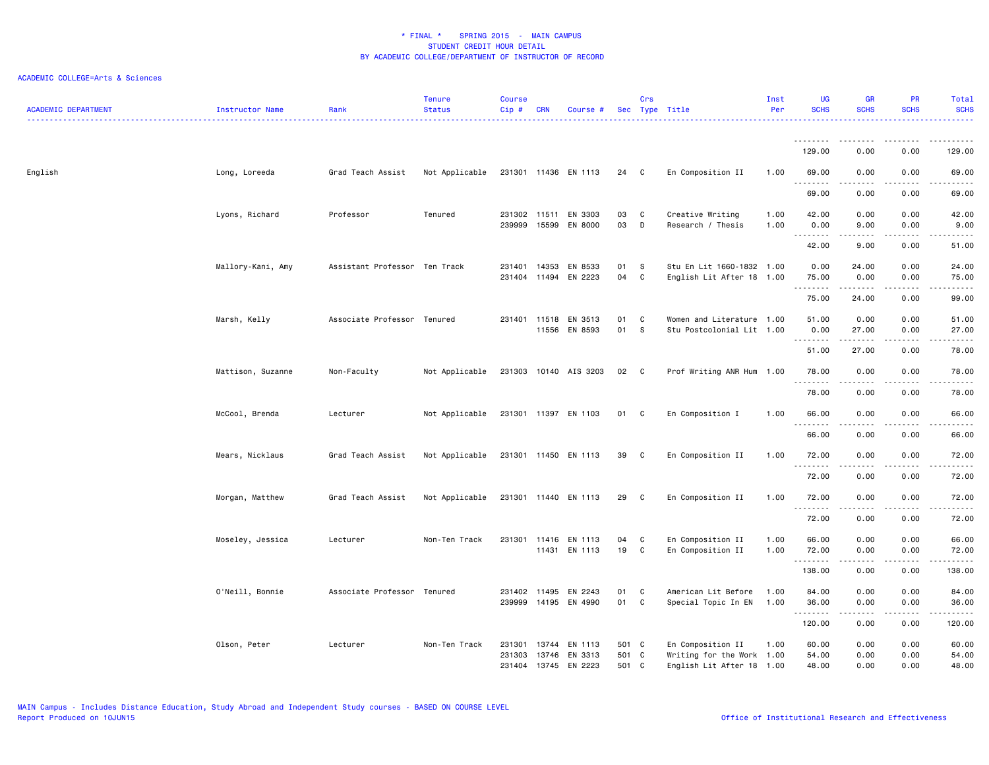| 129.00<br>0.00<br>0.00<br>129.00<br>English<br>Long, Loreeda<br>Grad Teach Assist<br>Not Applicable<br>231301 11436 EN 1113<br>24 C<br>En Composition II<br>1.00<br>69.00<br>0.00<br>0.00<br>69.00<br>.<br><u>.</u><br>.<br>$\frac{1}{2}$<br>69.00<br>0.00<br>0.00<br>69.00<br>Lyons, Richard<br>Creative Writing<br>Professor<br>Tenured<br>231302<br>11511<br>EN 3303<br>03<br>C<br>1.00<br>42.00<br>0.00<br>0.00<br>42.00<br>239999<br>15599<br>EN 8000<br>03<br>D<br>0.00<br>9.00<br>Research / Thesis<br>1.00<br>9.00<br>0.00<br><u>.</u><br>----<br>$\frac{1}{2} \left( \frac{1}{2} \right) \left( \frac{1}{2} \right) \left( \frac{1}{2} \right) \left( \frac{1}{2} \right) \left( \frac{1}{2} \right)$<br>9.00<br>0.00<br>42.00<br>51.00<br>Mallory-Kani, Amy<br>Assistant Professor Ten Track<br>231401<br>14353<br>EN 8533<br>01<br>S<br>Stu En Lit 1660-1832 1.00<br>0.00<br>24.00<br>0.00<br>24.00<br>EN 2223<br>04<br>C<br>0.00<br>0.00<br>75.00<br>231404<br>11494<br>English Lit After 18 1.00<br>75.00<br>.<br>.<br>د د د د د<br>$\frac{1}{2} \left( \frac{1}{2} \right) \left( \frac{1}{2} \right) \left( \frac{1}{2} \right) \left( \frac{1}{2} \right)$<br>75.00<br>24.00<br>0.00<br>99.00<br>Associate Professor Tenured<br>EN 3513<br>Women and Literature 1.00<br>0.00<br>Marsh, Kelly<br>231401 11518<br>01<br>C<br>51.00<br>0.00<br>51.00<br>11556<br>EN 8593<br>01<br>S.<br>Stu Postcolonial Lit 1.00<br>0.00<br>27.00<br>27.00<br>0.00<br>.<br>.<br>$\frac{1}{2}$<br>27.00<br>51.00<br>0.00<br>78.00<br>0.00<br>0.00<br>Mattison, Suzanne<br>Non-Faculty<br>Not Applicable<br>231303 10140 AIS 3203<br>02<br>$\mathbf{C}$<br>Prof Writing ANR Hum 1.00<br>78.00<br>78.00<br>.<br>$\frac{1}{2} \left( \frac{1}{2} \right) \left( \frac{1}{2} \right) \left( \frac{1}{2} \right) \left( \frac{1}{2} \right)$<br>.<br>78.00<br>0.00<br>0.00<br>78.00<br>McCool, Brenda<br>Lecturer<br>Not Applicable<br>231301 11397 EN 1103<br>01<br>En Composition I<br>1.00<br>66.00<br>0.00<br>0.00<br>66.00<br>C<br><u>.</u><br>- - - -<br>$\frac{1}{2}$<br>66.00<br>0.00<br>0.00<br>66.00<br>En Composition II<br>0.00<br>0.00<br>Mears, Nicklaus<br>Grad Teach Assist<br>Not Applicable<br>231301 11450 EN 1113<br>39<br>C<br>1.00<br>72.00<br>72.00<br>.<br>$- - - -$<br>.<br>$\frac{1}{2}$<br>72.00<br>0.00<br>0.00<br>72.00<br>Grad Teach Assist<br>Not Applicable<br>231301 11440 EN 1113<br>En Composition II<br>1.00<br>72.00<br>0.00<br>0.00<br>Morgan, Matthew<br>29<br>C.<br>72.00<br>.<br>.<br>.<br>-----<br>72.00<br>0.00<br>0.00<br>72.00 |
|---------------------------------------------------------------------------------------------------------------------------------------------------------------------------------------------------------------------------------------------------------------------------------------------------------------------------------------------------------------------------------------------------------------------------------------------------------------------------------------------------------------------------------------------------------------------------------------------------------------------------------------------------------------------------------------------------------------------------------------------------------------------------------------------------------------------------------------------------------------------------------------------------------------------------------------------------------------------------------------------------------------------------------------------------------------------------------------------------------------------------------------------------------------------------------------------------------------------------------------------------------------------------------------------------------------------------------------------------------------------------------------------------------------------------------------------------------------------------------------------------------------------------------------------------------------------------------------------------------------------------------------------------------------------------------------------------------------------------------------------------------------------------------------------------------------------------------------------------------------------------------------------------------------------------------------------------------------------------------------------------------------------------------------------------------------------------------------------------------------------------------------------------------------------------------------------------------------------------------------------------------------------------------------------------------------------------------------------------------------------------------------------------------------------------------------------------------------------------------------------------------------------------------------------------------------------|
|                                                                                                                                                                                                                                                                                                                                                                                                                                                                                                                                                                                                                                                                                                                                                                                                                                                                                                                                                                                                                                                                                                                                                                                                                                                                                                                                                                                                                                                                                                                                                                                                                                                                                                                                                                                                                                                                                                                                                                                                                                                                                                                                                                                                                                                                                                                                                                                                                                                                                                                                                                     |
|                                                                                                                                                                                                                                                                                                                                                                                                                                                                                                                                                                                                                                                                                                                                                                                                                                                                                                                                                                                                                                                                                                                                                                                                                                                                                                                                                                                                                                                                                                                                                                                                                                                                                                                                                                                                                                                                                                                                                                                                                                                                                                                                                                                                                                                                                                                                                                                                                                                                                                                                                                     |
|                                                                                                                                                                                                                                                                                                                                                                                                                                                                                                                                                                                                                                                                                                                                                                                                                                                                                                                                                                                                                                                                                                                                                                                                                                                                                                                                                                                                                                                                                                                                                                                                                                                                                                                                                                                                                                                                                                                                                                                                                                                                                                                                                                                                                                                                                                                                                                                                                                                                                                                                                                     |
|                                                                                                                                                                                                                                                                                                                                                                                                                                                                                                                                                                                                                                                                                                                                                                                                                                                                                                                                                                                                                                                                                                                                                                                                                                                                                                                                                                                                                                                                                                                                                                                                                                                                                                                                                                                                                                                                                                                                                                                                                                                                                                                                                                                                                                                                                                                                                                                                                                                                                                                                                                     |
|                                                                                                                                                                                                                                                                                                                                                                                                                                                                                                                                                                                                                                                                                                                                                                                                                                                                                                                                                                                                                                                                                                                                                                                                                                                                                                                                                                                                                                                                                                                                                                                                                                                                                                                                                                                                                                                                                                                                                                                                                                                                                                                                                                                                                                                                                                                                                                                                                                                                                                                                                                     |
|                                                                                                                                                                                                                                                                                                                                                                                                                                                                                                                                                                                                                                                                                                                                                                                                                                                                                                                                                                                                                                                                                                                                                                                                                                                                                                                                                                                                                                                                                                                                                                                                                                                                                                                                                                                                                                                                                                                                                                                                                                                                                                                                                                                                                                                                                                                                                                                                                                                                                                                                                                     |
|                                                                                                                                                                                                                                                                                                                                                                                                                                                                                                                                                                                                                                                                                                                                                                                                                                                                                                                                                                                                                                                                                                                                                                                                                                                                                                                                                                                                                                                                                                                                                                                                                                                                                                                                                                                                                                                                                                                                                                                                                                                                                                                                                                                                                                                                                                                                                                                                                                                                                                                                                                     |
|                                                                                                                                                                                                                                                                                                                                                                                                                                                                                                                                                                                                                                                                                                                                                                                                                                                                                                                                                                                                                                                                                                                                                                                                                                                                                                                                                                                                                                                                                                                                                                                                                                                                                                                                                                                                                                                                                                                                                                                                                                                                                                                                                                                                                                                                                                                                                                                                                                                                                                                                                                     |
|                                                                                                                                                                                                                                                                                                                                                                                                                                                                                                                                                                                                                                                                                                                                                                                                                                                                                                                                                                                                                                                                                                                                                                                                                                                                                                                                                                                                                                                                                                                                                                                                                                                                                                                                                                                                                                                                                                                                                                                                                                                                                                                                                                                                                                                                                                                                                                                                                                                                                                                                                                     |
|                                                                                                                                                                                                                                                                                                                                                                                                                                                                                                                                                                                                                                                                                                                                                                                                                                                                                                                                                                                                                                                                                                                                                                                                                                                                                                                                                                                                                                                                                                                                                                                                                                                                                                                                                                                                                                                                                                                                                                                                                                                                                                                                                                                                                                                                                                                                                                                                                                                                                                                                                                     |
|                                                                                                                                                                                                                                                                                                                                                                                                                                                                                                                                                                                                                                                                                                                                                                                                                                                                                                                                                                                                                                                                                                                                                                                                                                                                                                                                                                                                                                                                                                                                                                                                                                                                                                                                                                                                                                                                                                                                                                                                                                                                                                                                                                                                                                                                                                                                                                                                                                                                                                                                                                     |
|                                                                                                                                                                                                                                                                                                                                                                                                                                                                                                                                                                                                                                                                                                                                                                                                                                                                                                                                                                                                                                                                                                                                                                                                                                                                                                                                                                                                                                                                                                                                                                                                                                                                                                                                                                                                                                                                                                                                                                                                                                                                                                                                                                                                                                                                                                                                                                                                                                                                                                                                                                     |
|                                                                                                                                                                                                                                                                                                                                                                                                                                                                                                                                                                                                                                                                                                                                                                                                                                                                                                                                                                                                                                                                                                                                                                                                                                                                                                                                                                                                                                                                                                                                                                                                                                                                                                                                                                                                                                                                                                                                                                                                                                                                                                                                                                                                                                                                                                                                                                                                                                                                                                                                                                     |
|                                                                                                                                                                                                                                                                                                                                                                                                                                                                                                                                                                                                                                                                                                                                                                                                                                                                                                                                                                                                                                                                                                                                                                                                                                                                                                                                                                                                                                                                                                                                                                                                                                                                                                                                                                                                                                                                                                                                                                                                                                                                                                                                                                                                                                                                                                                                                                                                                                                                                                                                                                     |
|                                                                                                                                                                                                                                                                                                                                                                                                                                                                                                                                                                                                                                                                                                                                                                                                                                                                                                                                                                                                                                                                                                                                                                                                                                                                                                                                                                                                                                                                                                                                                                                                                                                                                                                                                                                                                                                                                                                                                                                                                                                                                                                                                                                                                                                                                                                                                                                                                                                                                                                                                                     |
|                                                                                                                                                                                                                                                                                                                                                                                                                                                                                                                                                                                                                                                                                                                                                                                                                                                                                                                                                                                                                                                                                                                                                                                                                                                                                                                                                                                                                                                                                                                                                                                                                                                                                                                                                                                                                                                                                                                                                                                                                                                                                                                                                                                                                                                                                                                                                                                                                                                                                                                                                                     |
|                                                                                                                                                                                                                                                                                                                                                                                                                                                                                                                                                                                                                                                                                                                                                                                                                                                                                                                                                                                                                                                                                                                                                                                                                                                                                                                                                                                                                                                                                                                                                                                                                                                                                                                                                                                                                                                                                                                                                                                                                                                                                                                                                                                                                                                                                                                                                                                                                                                                                                                                                                     |
|                                                                                                                                                                                                                                                                                                                                                                                                                                                                                                                                                                                                                                                                                                                                                                                                                                                                                                                                                                                                                                                                                                                                                                                                                                                                                                                                                                                                                                                                                                                                                                                                                                                                                                                                                                                                                                                                                                                                                                                                                                                                                                                                                                                                                                                                                                                                                                                                                                                                                                                                                                     |
|                                                                                                                                                                                                                                                                                                                                                                                                                                                                                                                                                                                                                                                                                                                                                                                                                                                                                                                                                                                                                                                                                                                                                                                                                                                                                                                                                                                                                                                                                                                                                                                                                                                                                                                                                                                                                                                                                                                                                                                                                                                                                                                                                                                                                                                                                                                                                                                                                                                                                                                                                                     |
|                                                                                                                                                                                                                                                                                                                                                                                                                                                                                                                                                                                                                                                                                                                                                                                                                                                                                                                                                                                                                                                                                                                                                                                                                                                                                                                                                                                                                                                                                                                                                                                                                                                                                                                                                                                                                                                                                                                                                                                                                                                                                                                                                                                                                                                                                                                                                                                                                                                                                                                                                                     |
|                                                                                                                                                                                                                                                                                                                                                                                                                                                                                                                                                                                                                                                                                                                                                                                                                                                                                                                                                                                                                                                                                                                                                                                                                                                                                                                                                                                                                                                                                                                                                                                                                                                                                                                                                                                                                                                                                                                                                                                                                                                                                                                                                                                                                                                                                                                                                                                                                                                                                                                                                                     |
| En Composition II<br>Non-Ten Track<br>231301<br>EN 1113<br>C<br>1.00<br>66.00<br>0.00<br>0.00<br>66.00<br>Moseley, Jessica<br>Lecturer<br>11416<br>04                                                                                                                                                                                                                                                                                                                                                                                                                                                                                                                                                                                                                                                                                                                                                                                                                                                                                                                                                                                                                                                                                                                                                                                                                                                                                                                                                                                                                                                                                                                                                                                                                                                                                                                                                                                                                                                                                                                                                                                                                                                                                                                                                                                                                                                                                                                                                                                                               |
| 11431 EN 1113<br>19<br>C<br>En Composition II<br>0.00<br>1.00<br>72.00<br>0.00<br>72.00                                                                                                                                                                                                                                                                                                                                                                                                                                                                                                                                                                                                                                                                                                                                                                                                                                                                                                                                                                                                                                                                                                                                                                                                                                                                                                                                                                                                                                                                                                                                                                                                                                                                                                                                                                                                                                                                                                                                                                                                                                                                                                                                                                                                                                                                                                                                                                                                                                                                             |
| .<br>.<br>-----<br>.<br>138.00<br>0.00<br>0.00<br>138.00                                                                                                                                                                                                                                                                                                                                                                                                                                                                                                                                                                                                                                                                                                                                                                                                                                                                                                                                                                                                                                                                                                                                                                                                                                                                                                                                                                                                                                                                                                                                                                                                                                                                                                                                                                                                                                                                                                                                                                                                                                                                                                                                                                                                                                                                                                                                                                                                                                                                                                            |
| C<br>0.00                                                                                                                                                                                                                                                                                                                                                                                                                                                                                                                                                                                                                                                                                                                                                                                                                                                                                                                                                                                                                                                                                                                                                                                                                                                                                                                                                                                                                                                                                                                                                                                                                                                                                                                                                                                                                                                                                                                                                                                                                                                                                                                                                                                                                                                                                                                                                                                                                                                                                                                                                           |
| O'Neill, Bonnie<br>Associate Professor Tenured<br>EN 2243<br>American Lit Before<br>0.00<br>231402<br>11495<br>01<br>1.00<br>84.00<br>84.00<br>EN 4990<br>01<br>C<br>Special Topic In EN<br>36.00<br>0.00<br>0.00<br>36.00<br>239999<br>14195<br>1.00                                                                                                                                                                                                                                                                                                                                                                                                                                                                                                                                                                                                                                                                                                                                                                                                                                                                                                                                                                                                                                                                                                                                                                                                                                                                                                                                                                                                                                                                                                                                                                                                                                                                                                                                                                                                                                                                                                                                                                                                                                                                                                                                                                                                                                                                                                               |
| .<br>.<br>120.00<br>0.00<br>0.00<br>120.00                                                                                                                                                                                                                                                                                                                                                                                                                                                                                                                                                                                                                                                                                                                                                                                                                                                                                                                                                                                                                                                                                                                                                                                                                                                                                                                                                                                                                                                                                                                                                                                                                                                                                                                                                                                                                                                                                                                                                                                                                                                                                                                                                                                                                                                                                                                                                                                                                                                                                                                          |
| Olson, Peter<br>Lecturer<br>Non-Ten Track<br>231301<br>13744<br>EN 1113<br>501 C<br>En Composition II<br>1.00<br>60.00<br>0.00<br>0.00<br>60.00                                                                                                                                                                                                                                                                                                                                                                                                                                                                                                                                                                                                                                                                                                                                                                                                                                                                                                                                                                                                                                                                                                                                                                                                                                                                                                                                                                                                                                                                                                                                                                                                                                                                                                                                                                                                                                                                                                                                                                                                                                                                                                                                                                                                                                                                                                                                                                                                                     |
| 13746 EN 3313<br>501 C<br>231303<br>Writing for the Work 1.00<br>54.00<br>0.00<br>0.00<br>54.00<br>231404<br>13745<br>EN 2223<br>501<br>English Lit After 18 1.00<br>48.00<br>0.00<br>0.00<br>48.00<br>C                                                                                                                                                                                                                                                                                                                                                                                                                                                                                                                                                                                                                                                                                                                                                                                                                                                                                                                                                                                                                                                                                                                                                                                                                                                                                                                                                                                                                                                                                                                                                                                                                                                                                                                                                                                                                                                                                                                                                                                                                                                                                                                                                                                                                                                                                                                                                            |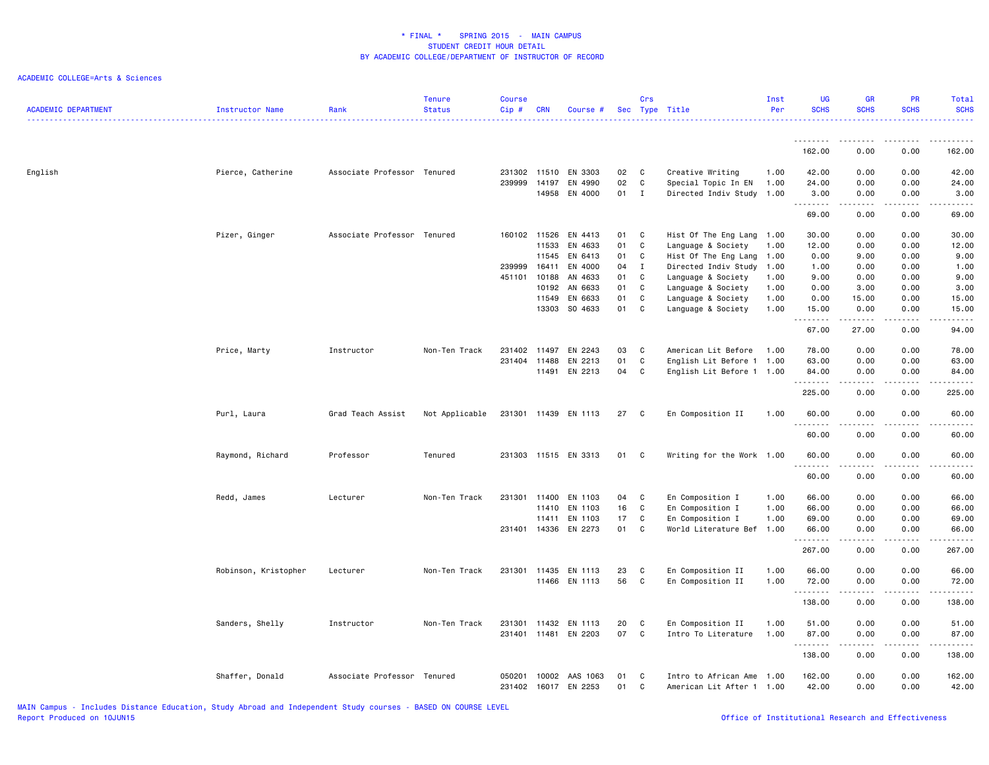| <b>ACADEMIC DEPARTMENT</b> | Instructor Name      | Rank                        | <b>Tenure</b><br><b>Status</b> | <b>Course</b><br>$Cip$ # | <b>CRN</b> | Course #             |    | Crs          | Sec Type Title            | Inst<br>Per | <b>UG</b><br><b>SCHS</b> | <b>GB</b><br><b>SCHS</b>                                                                                                                                     | PR<br><b>SCHS</b>                                                                                                         | Total<br><b>SCHS</b>                                                                                                                                          |
|----------------------------|----------------------|-----------------------------|--------------------------------|--------------------------|------------|----------------------|----|--------------|---------------------------|-------------|--------------------------|--------------------------------------------------------------------------------------------------------------------------------------------------------------|---------------------------------------------------------------------------------------------------------------------------|---------------------------------------------------------------------------------------------------------------------------------------------------------------|
|                            |                      |                             |                                |                          |            |                      |    |              |                           |             | .                        | .                                                                                                                                                            | $\frac{1}{2} \left( \frac{1}{2} \right) \left( \frac{1}{2} \right) \left( \frac{1}{2} \right) \left( \frac{1}{2} \right)$ | .                                                                                                                                                             |
|                            |                      |                             |                                |                          |            |                      |    |              |                           |             | 162.00                   | 0.00                                                                                                                                                         | 0.00                                                                                                                      | 162.00                                                                                                                                                        |
| English                    | Pierce, Catherine    | Associate Professor Tenured |                                | 231302 11510             |            | EN 3303              | 02 | C            | Creative Writing          | 1.00        | 42.00                    | 0.00                                                                                                                                                         | 0.00                                                                                                                      | 42.00                                                                                                                                                         |
|                            |                      |                             |                                | 239999                   | 14197      | EN 4990              | 02 | $\mathbf c$  | Special Topic In EN       | 1.00        | 24.00                    | 0.00                                                                                                                                                         | 0.00                                                                                                                      | 24.00                                                                                                                                                         |
|                            |                      |                             |                                |                          | 14958      | EN 4000              | 01 | $\mathbf{I}$ | Directed Indiv Study 1.00 |             | 3.00<br>.                | 0.00<br><b>.</b>                                                                                                                                             | 0.00<br>.                                                                                                                 | 3.00<br>$\omega$ is a set of                                                                                                                                  |
|                            |                      |                             |                                |                          |            |                      |    |              |                           |             | 69.00                    | 0.00                                                                                                                                                         | 0.00                                                                                                                      | 69.00                                                                                                                                                         |
|                            | Pizer, Ginger        | Associate Professor Tenured |                                | 160102                   | 11526      | EN 4413              | 01 | C            | Hist Of The Eng Lang 1.00 |             | 30.00                    | 0.00                                                                                                                                                         | 0.00                                                                                                                      | 30.00                                                                                                                                                         |
|                            |                      |                             |                                |                          | 11533      | EN 4633              | 01 | C            | Language & Society        | 1.00        | 12.00                    | 0.00                                                                                                                                                         | 0.00                                                                                                                      | 12.00                                                                                                                                                         |
|                            |                      |                             |                                |                          | 11545      | EN 6413              | 01 | C            | Hist Of The Eng Lang      | 1.00        | 0.00                     | 9.00                                                                                                                                                         | 0.00                                                                                                                      | 9.00                                                                                                                                                          |
|                            |                      |                             |                                | 239999                   | 16411      | EN 4000              | 04 | $\mathbf{I}$ | Directed Indiv Study      | 1.00        | 1.00                     | 0.00                                                                                                                                                         | 0.00                                                                                                                      | 1.00                                                                                                                                                          |
|                            |                      |                             |                                | 451101                   | 10188      | AN 4633              | 01 | C            | Language & Society        | 1.00        | 9.00                     | 0.00                                                                                                                                                         | 0.00                                                                                                                      | 9.00                                                                                                                                                          |
|                            |                      |                             |                                |                          | 10192      | AN 6633              | 01 | C            | Language & Society        | 1.00        | 0.00                     | 3.00                                                                                                                                                         | 0.00                                                                                                                      | 3.00                                                                                                                                                          |
|                            |                      |                             |                                |                          | 11549      | EN 6633              | 01 | C            | Language & Society        | 1.00        | 0.00                     | 15.00                                                                                                                                                        | 0.00                                                                                                                      | 15.00                                                                                                                                                         |
|                            |                      |                             |                                |                          | 13303      | SO 4633              | 01 | C            | Language & Society        | 1.00        | 15.00<br>.               | 0.00<br>.                                                                                                                                                    | 0.00<br>.                                                                                                                 | 15.00<br>.                                                                                                                                                    |
|                            |                      |                             |                                |                          |            |                      |    |              |                           |             | 67.00                    | 27.00                                                                                                                                                        | 0.00                                                                                                                      | 94.00                                                                                                                                                         |
|                            | Price, Marty         | Instructor                  | Non-Ten Track                  | 231402                   | 11497      | EN 2243              | 03 | C            | American Lit Before       | 1.00        | 78.00                    | 0.00                                                                                                                                                         | 0.00                                                                                                                      | 78.00                                                                                                                                                         |
|                            |                      |                             |                                | 231404                   | 11488      | EN 2213              | 01 | $\mathbf c$  | English Lit Before 1 1.00 |             | 63.00                    | 0.00                                                                                                                                                         | 0.00                                                                                                                      | 63.00                                                                                                                                                         |
|                            |                      |                             |                                |                          | 11491      | EN 2213              | 04 | C            |                           |             |                          | 0.00                                                                                                                                                         | 0.00                                                                                                                      |                                                                                                                                                               |
|                            |                      |                             |                                |                          |            |                      |    |              | English Lit Before 1 1.00 |             | 84.00<br>.               | -----                                                                                                                                                        | .                                                                                                                         | 84.00<br>.                                                                                                                                                    |
|                            |                      |                             |                                |                          |            |                      |    |              |                           |             | 225.00                   | 0.00                                                                                                                                                         | 0.00                                                                                                                      | 225.00                                                                                                                                                        |
|                            | Purl, Laura          | Grad Teach Assist           | Not Applicable                 | 231301 11439             |            | EN 1113              | 27 | C.           | En Composition II         | 1.00        | 60.00<br>.               | 0.00                                                                                                                                                         | 0.00                                                                                                                      | 60.00<br>والمستحدث                                                                                                                                            |
|                            |                      |                             |                                |                          |            |                      |    |              |                           |             | 60.00                    | 0.00                                                                                                                                                         | 0.00                                                                                                                      | 60.00                                                                                                                                                         |
|                            | Raymond, Richard     | Professor                   | Tenured                        |                          |            | 231303 11515 EN 3313 | 01 | C            | Writing for the Work 1.00 |             | 60.00<br>.               | 0.00                                                                                                                                                         | 0.00                                                                                                                      | 60.00<br>$\frac{1}{2} \left( \frac{1}{2} \right) \left( \frac{1}{2} \right) \left( \frac{1}{2} \right) \left( \frac{1}{2} \right) \left( \frac{1}{2} \right)$ |
|                            |                      |                             |                                |                          |            |                      |    |              |                           |             | 60.00                    | 0.00                                                                                                                                                         | 0.00                                                                                                                      | 60.00                                                                                                                                                         |
|                            | Redd, James          | Lecturer                    | Non-Ten Track                  | 231301                   | 11400      | EN 1103              | 04 | C            | En Composition I          | 1.00        | 66.00                    | 0.00                                                                                                                                                         | 0.00                                                                                                                      | 66.00                                                                                                                                                         |
|                            |                      |                             |                                |                          | 11410      | EN 1103              | 16 | C            | En Composition I          | 1.00        | 66.00                    | 0.00                                                                                                                                                         | 0.00                                                                                                                      | 66.00                                                                                                                                                         |
|                            |                      |                             |                                |                          | 11411      | EN 1103              | 17 | C            | En Composition I          | 1.00        | 69.00                    | 0.00                                                                                                                                                         | 0.00                                                                                                                      | 69.00                                                                                                                                                         |
|                            |                      |                             |                                | 231401 14336             |            | EN 2273              | 01 | C            | World Literature Bef 1.00 |             | 66.00                    | 0.00                                                                                                                                                         | 0.00                                                                                                                      | 66.00                                                                                                                                                         |
|                            |                      |                             |                                |                          |            |                      |    |              |                           |             | <u>.</u><br>267.00       | .<br>0.00                                                                                                                                                    | $- - - -$<br>0.00                                                                                                         | .<br>267.00                                                                                                                                                   |
|                            | Robinson, Kristopher | Lecturer                    | Non-Ten Track                  | 231301 11435             |            | EN 1113              | 23 | C            | En Composition II         | 1.00        | 66.00                    | 0.00                                                                                                                                                         | 0.00                                                                                                                      | 66.00                                                                                                                                                         |
|                            |                      |                             |                                |                          | 11466      | EN 1113              | 56 | C            | En Composition II         | 1.00        | 72.00                    | 0.00                                                                                                                                                         | 0.00                                                                                                                      | 72.00                                                                                                                                                         |
|                            |                      |                             |                                |                          |            |                      |    |              |                           |             | <u>.</u>                 | -----                                                                                                                                                        | .                                                                                                                         | .                                                                                                                                                             |
|                            |                      |                             |                                |                          |            |                      |    |              |                           |             | 138.00                   | 0.00                                                                                                                                                         | 0.00                                                                                                                      | 138.00                                                                                                                                                        |
|                            | Sanders, Shelly      | Instructor                  | Non-Ten Track                  | 231301                   | 11432      | EN 1113              | 20 | C            | En Composition II         | 1.00        | 51.00                    | 0.00                                                                                                                                                         | 0.00                                                                                                                      | 51.00                                                                                                                                                         |
|                            |                      |                             |                                |                          |            | 231401 11481 EN 2203 | 07 | C            | Intro To Literature       | 1.00        | 87.00                    | 0.00                                                                                                                                                         | 0.00                                                                                                                      | 87.00                                                                                                                                                         |
|                            |                      |                             |                                |                          |            |                      |    |              |                           |             | .<br>138.00              | $\frac{1}{2} \left( \frac{1}{2} \right) \left( \frac{1}{2} \right) \left( \frac{1}{2} \right) \left( \frac{1}{2} \right) \left( \frac{1}{2} \right)$<br>0.00 | .<br>0.00                                                                                                                 | 2.2.2.2.2.2<br>138.00                                                                                                                                         |
|                            |                      |                             |                                |                          |            |                      |    |              |                           |             |                          |                                                                                                                                                              |                                                                                                                           |                                                                                                                                                               |
|                            | Shaffer, Donald      | Associate Professor Tenured |                                | 050201                   | 10002      | AAS 1063             | 01 | C            | Intro to African Ame      | 1.00        | 162.00                   | 0.00                                                                                                                                                         | 0.00                                                                                                                      | 162.00                                                                                                                                                        |
|                            |                      |                             |                                | 231402                   | 16017      | EN 2253              | 01 | C            | American Lit After 1 1.00 |             | 42.00                    | 0.00                                                                                                                                                         | 0.00                                                                                                                      | 42.00                                                                                                                                                         |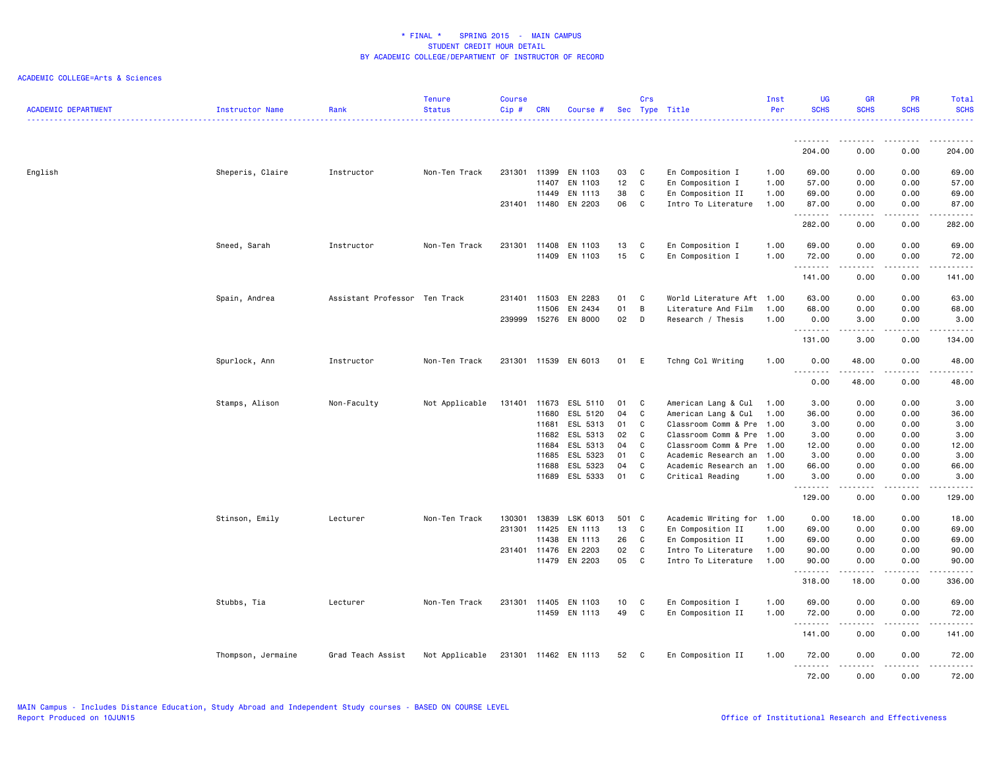| <b>ACADEMIC DEPARTMENT</b> | Instructor Name    | Rank                          | <b>Tenure</b><br><b>Status</b> | <b>Course</b><br>Cip# | <b>CRN</b> | Course #             |     | Crs          | Sec Type Title            | Inst<br>Per | <b>UG</b><br><b>SCHS</b> | <b>GR</b><br><b>SCHS</b> | <b>PR</b><br><b>SCHS</b>                                                                                                          | Total<br><b>SCHS</b> |
|----------------------------|--------------------|-------------------------------|--------------------------------|-----------------------|------------|----------------------|-----|--------------|---------------------------|-------------|--------------------------|--------------------------|-----------------------------------------------------------------------------------------------------------------------------------|----------------------|
|                            |                    |                               |                                |                       |            |                      |     |              |                           |             | .                        | .                        | $\frac{1}{2}$                                                                                                                     | .                    |
|                            |                    |                               |                                |                       |            |                      |     |              |                           |             | 204.00                   | 0.00                     | 0.00                                                                                                                              | 204.00               |
| English                    | Sheperis, Claire   | Instructor                    | Non-Ten Track                  | 231301 11399          |            | EN 1103              | 03  | C            | En Composition I          | 1.00        | 69.00                    | 0.00                     | 0.00                                                                                                                              | 69.00                |
|                            |                    |                               |                                |                       | 11407      | EN 1103              | 12  | C            | En Composition I          | 1.00        | 57.00                    | 0.00                     | 0.00                                                                                                                              | 57.00                |
|                            |                    |                               |                                |                       | 11449      | EN 1113              | 38  | C            | En Composition II         | 1.00        | 69.00                    | 0.00                     | 0.00                                                                                                                              | 69.00                |
|                            |                    |                               |                                | 231401 11480          |            | EN 2203              | 06  | C            | Intro To Literature       | 1.00        | 87.00<br>.               | 0.00<br>.                | 0.00<br>$- - - -$                                                                                                                 | 87.00<br>.           |
|                            |                    |                               |                                |                       |            |                      |     |              |                           |             | 282.00                   | 0.00                     | 0.00                                                                                                                              | 282.00               |
|                            | Sneed, Sarah       | Instructor                    | Non-Ten Track                  | 231301 11408          |            | EN 1103              | 13  | C            | En Composition I          | 1.00        | 69.00                    | 0.00                     | 0.00                                                                                                                              | 69.00                |
|                            |                    |                               |                                |                       | 11409      | EN 1103              | 15  | C            | En Composition I          | 1.00        | 72.00<br>.               | 0.00<br>.                | 0.00<br>$\frac{1}{2} \left( \frac{1}{2} \right) \left( \frac{1}{2} \right) \left( \frac{1}{2} \right) \left( \frac{1}{2} \right)$ | 72.00<br>.           |
|                            |                    |                               |                                |                       |            |                      |     |              |                           |             | 141.00                   | 0.00                     | 0.00                                                                                                                              | 141.00               |
|                            | Spain, Andrea      | Assistant Professor Ten Track |                                | 231401 11503          |            | EN 2283              | 01  | C            | World Literature Aft 1.00 |             | 63.00                    | 0.00                     | 0.00                                                                                                                              | 63.00                |
|                            |                    |                               |                                |                       | 11506      | EN 2434              | 01  | B            | Literature And Film       | 1.00        | 68.00                    | 0.00                     | 0.00                                                                                                                              | 68.00                |
|                            |                    |                               |                                | 239999                | 15276      | EN 8000              | 02  | D            | Research / Thesis         | 1.00        | 0.00<br>.                | 3.00<br>-----            | 0.00<br>.                                                                                                                         | 3.00<br>.            |
|                            |                    |                               |                                |                       |            |                      |     |              |                           |             | 131.00                   | 3.00                     | 0.00                                                                                                                              | 134.00               |
|                            | Spurlock, Ann      | Instructor                    | Non-Ten Track                  |                       |            | 231301 11539 EN 6013 | 01  | E            | Tchng Col Writing         | 1.00        | 0.00<br>.                | 48.00<br>$    -$         | 0.00<br>$   -$                                                                                                                    | 48.00<br>د د د د د   |
|                            |                    |                               |                                |                       |            |                      |     |              |                           |             | 0.00                     | 48.00                    | 0.00                                                                                                                              | 48.00                |
|                            | Stamps, Alison     | Non-Faculty                   | Not Applicable                 | 131401                | 11673      | ESL 5110             | 01  | C            | American Lang & Cul       | 1.00        | 3.00                     | 0.00                     | 0.00                                                                                                                              | 3.00                 |
|                            |                    |                               |                                |                       | 11680      | ESL 5120             | 04  | C            | American Lang & Cul       | 1.00        | 36.00                    | 0.00                     | 0.00                                                                                                                              | 36.00                |
|                            |                    |                               |                                |                       | 11681      | ESL 5313             | 01  | C            | Classroom Comm & Pre      | 1.00        | 3.00                     | 0.00                     | 0.00                                                                                                                              | 3.00                 |
|                            |                    |                               |                                |                       | 11682      | ESL 5313             | 02  | C            | Classroom Comm & Pre      | 1.00        | 3.00                     | 0.00                     | 0.00                                                                                                                              | 3.00                 |
|                            |                    |                               |                                |                       | 11684      | ESL 5313             | 04  | C            | Classroom Comm & Pre      | 1.00        | 12.00                    | 0.00                     | 0.00                                                                                                                              | 12.00                |
|                            |                    |                               |                                |                       | 11685      | ESL 5323             | 01  | C            | Academic Research an 1.00 |             | 3.00                     | 0.00                     | 0.00                                                                                                                              | 3.00                 |
|                            |                    |                               |                                |                       | 11688      | ESL 5323             | 04  | C            | Academic Research an      | 1.00        | 66.00                    | 0.00                     | 0.00                                                                                                                              | 66.00                |
|                            |                    |                               |                                |                       | 11689      | ESL 5333             | 01  | C            | Critical Reading          | 1.00        | 3.00<br><u>.</u>         | 0.00<br>-----            | 0.00<br>.                                                                                                                         | 3.00<br>.            |
|                            |                    |                               |                                |                       |            |                      |     |              |                           |             | 129.00                   | 0.00                     | 0.00                                                                                                                              | 129.00               |
|                            | Stinson, Emily     | Lecturer                      | Non-Ten Track                  | 130301                | 13839      | LSK 6013             | 501 | $\mathbf{C}$ | Academic Writing for 1.00 |             | 0.00                     | 18.00                    | 0.00                                                                                                                              | 18.00                |
|                            |                    |                               |                                | 231301 11425          |            | EN 1113              | 13  | C            | En Composition II         | 1.00        | 69.00                    | 0.00                     | 0.00                                                                                                                              | 69.00                |
|                            |                    |                               |                                |                       | 11438      | EN 1113              | 26  | C            | En Composition II         | 1.00        | 69.00                    | 0.00                     | 0.00                                                                                                                              | 69.00                |
|                            |                    |                               |                                | 231401 11476          |            | EN 2203              | 02  | C            | Intro To Literature       | 1.00        | 90.00                    | 0.00                     | 0.00                                                                                                                              | 90.00                |
|                            |                    |                               |                                |                       | 11479      | EN 2203              | 05  | C            | Intro To Literature       | 1.00        | 90.00<br>.               | 0.00<br>د د د د د        | 0.00<br>$\sim$ $\sim$ $\sim$ $\sim$                                                                                               | 90.00<br>.           |
|                            |                    |                               |                                |                       |            |                      |     |              |                           |             | 318.00                   | 18.00                    | 0.00                                                                                                                              | 336.00               |
|                            | Stubbs, Tia        | Lecturer                      | Non-Ten Track                  | 231301                | 11405      | EN 1103              | 10  | C            | En Composition I          | 1.00        | 69.00                    | 0.00                     | 0.00                                                                                                                              | 69.00                |
|                            |                    |                               |                                |                       |            | 11459 EN 1113        | 49  | C            | En Composition II         | 1.00        | 72.00<br>.               | 0.00                     | 0.00<br>$- - - -$                                                                                                                 | 72.00<br>.           |
|                            |                    |                               |                                |                       |            |                      |     |              |                           |             | 141.00                   | 0.00                     | 0.00                                                                                                                              | 141.00               |
|                            | Thompson, Jermaine | Grad Teach Assist             | Not Applicable                 |                       |            | 231301 11462 EN 1113 | 52  | C            | En Composition II         | 1.00        | 72.00<br><u>.</u>        | 0.00<br>.                | 0.00<br>$- - - -$                                                                                                                 | 72.00<br>.           |
|                            |                    |                               |                                |                       |            |                      |     |              |                           |             | 72.00                    | 0.00                     | 0.00                                                                                                                              | 72.00                |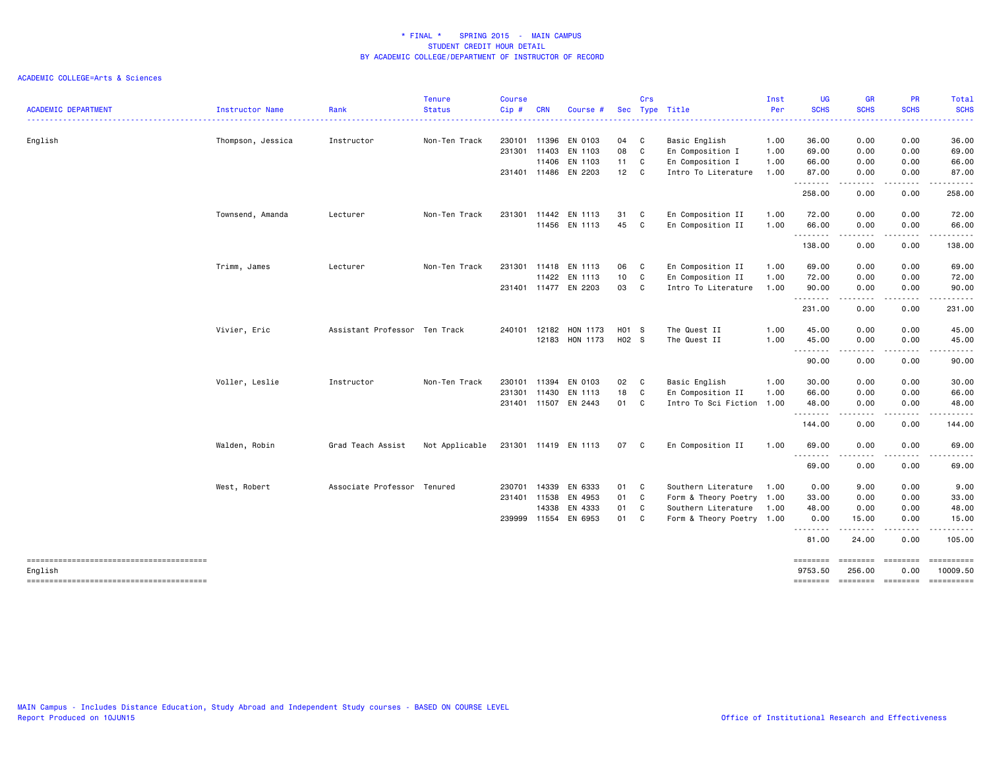| <b>ACADEMIC DEPARTMENT</b>                        | Instructor Name   | Rank                          | <b>Tenure</b><br><b>Status</b> | <b>Course</b><br>Cip# | <b>CRN</b>   | Course #             |                 | Crs          | Sec Type Title            | Inst<br>Per | <b>UG</b><br><b>SCHS</b> | <b>GR</b><br><b>SCHS</b>                                                                                                          | <b>PR</b><br><b>SCHS</b> | Total<br><b>SCHS</b>                                                                          |
|---------------------------------------------------|-------------------|-------------------------------|--------------------------------|-----------------------|--------------|----------------------|-----------------|--------------|---------------------------|-------------|--------------------------|-----------------------------------------------------------------------------------------------------------------------------------|--------------------------|-----------------------------------------------------------------------------------------------|
|                                                   |                   |                               |                                |                       |              |                      |                 |              |                           |             |                          |                                                                                                                                   |                          |                                                                                               |
| English                                           | Thompson, Jessica | Instructor                    | Non-Ten Track                  | 230101                | 11396        | EN 0103              | 04 C            |              | Basic English             | 1.00        | 36.00                    | 0.00                                                                                                                              | 0.00                     | 36.00                                                                                         |
|                                                   |                   |                               |                                |                       | 231301 11403 | EN 1103              | 08              | C            | En Composition I          | 1.00        | 69.00                    | 0.00                                                                                                                              | 0.00                     | 69.00                                                                                         |
|                                                   |                   |                               |                                |                       | 11406        | EN 1103              | 11 C            |              | En Composition I          | 1.00        | 66.00                    | 0.00                                                                                                                              | 0.00                     | 66.00                                                                                         |
|                                                   |                   |                               |                                |                       |              | 231401 11486 EN 2203 | 12 C            |              | Intro To Literature       | 1.00        | 87.00<br>.               | 0.00<br>.                                                                                                                         | 0.00<br>-----            | 87.00<br>------                                                                               |
|                                                   |                   |                               |                                |                       |              |                      |                 |              |                           |             | 258.00                   | 0.00                                                                                                                              | 0.00                     | 258.00                                                                                        |
|                                                   | Townsend, Amanda  | Lecturer                      | Non-Ten Track                  | 231301                | 11442        | EN 1113              | 31              | C            | En Composition II         | 1.00        | 72.00                    | 0.00                                                                                                                              | 0.00                     | 72.00                                                                                         |
|                                                   |                   |                               |                                |                       |              | 11456 EN 1113        | 45              | $\mathbf{C}$ | En Composition II         | 1.00        | 66.00<br>.               | 0.00<br>$\frac{1}{2} \frac{1}{2} \frac{1}{2} \frac{1}{2} \frac{1}{2} \frac{1}{2} \frac{1}{2} \frac{1}{2} \frac{1}{2}$             | 0.00<br>.                | 66.00<br>.                                                                                    |
|                                                   |                   |                               |                                |                       |              |                      |                 |              |                           |             | 138.00                   | 0.00                                                                                                                              | 0.00                     | 138.00                                                                                        |
|                                                   | Trimm, James      | Lecturer                      | Non-Ten Track                  | 231301                | 11418        | EN 1113              | 06 C            |              | En Composition II         | 1.00        | 69.00                    | 0.00                                                                                                                              | 0.00                     | 69.00                                                                                         |
|                                                   |                   |                               |                                |                       | 11422        | EN 1113              | 10 <sub>1</sub> | C            | En Composition II         | 1.00        | 72.00                    | 0.00                                                                                                                              | 0.00                     | 72.00                                                                                         |
|                                                   |                   |                               |                                |                       |              | 231401 11477 EN 2203 | 03              | C            | Intro To Literature       | 1.00        | 90.00                    | 0.00                                                                                                                              | 0.00                     | 90.00                                                                                         |
|                                                   |                   |                               |                                |                       |              |                      |                 |              |                           |             | 231.00                   | -----<br>0.00                                                                                                                     | .<br>0.00                | .<br>231.00                                                                                   |
|                                                   | Vivier, Eric      | Assistant Professor Ten Track |                                | 240101                | 12182        | HON 1173             | H01 S           |              | The Quest II              | 1.00        | 45.00                    | 0.00                                                                                                                              | 0.00                     | 45.00                                                                                         |
|                                                   |                   |                               |                                |                       |              | 12183 HON 1173       | H02 S           |              | The Quest II              | 1.00        | 45.00                    | 0.00                                                                                                                              | 0.00                     | 45.00                                                                                         |
|                                                   |                   |                               |                                |                       |              |                      |                 |              |                           |             | .<br>90.00               | 0.00                                                                                                                              | 0.00                     | 90.00                                                                                         |
|                                                   | Voller, Leslie    | Instructor                    | Non-Ten Track                  | 230101                | 11394        | EN 0103              | 02              | C            | Basic English             | 1.00        | 30.00                    | 0.00                                                                                                                              | 0.00                     | 30.00                                                                                         |
|                                                   |                   |                               |                                | 231301                | 11430        | EN 1113              | 18              | C            | En Composition II         | 1.00        | 66.00                    | 0.00                                                                                                                              | 0.00                     | 66.00                                                                                         |
|                                                   |                   |                               |                                |                       |              | 231401 11507 EN 2443 | 01 C            |              | Intro To Sci Fiction 1.00 |             | 48.00<br>.               | 0.00<br>-----                                                                                                                     | 0.00<br>.                | 48.00<br>------                                                                               |
|                                                   |                   |                               |                                |                       |              |                      |                 |              |                           |             | 144.00                   | 0.00                                                                                                                              | 0.00                     | 144.00                                                                                        |
|                                                   | Walden, Robin     | Grad Teach Assist             | Not Applicable                 |                       |              | 231301 11419 EN 1113 | 07 C            |              | En Composition II         | 1.00        | 69.00                    | 0.00<br>$\frac{1}{2} \left( \frac{1}{2} \right) \left( \frac{1}{2} \right) \left( \frac{1}{2} \right) \left( \frac{1}{2} \right)$ | 0.00                     | 69.00                                                                                         |
|                                                   |                   |                               |                                |                       |              |                      |                 |              |                           |             | ---------<br>69.00       | 0.00                                                                                                                              | 0.00                     | 69.00                                                                                         |
|                                                   | West, Robert      | Associate Professor Tenured   |                                | 230701                | 14339        | EN 6333              | 01              | C            | Southern Literature       | 1.00        | 0.00                     | 9.00                                                                                                                              | 0.00                     | 9.00                                                                                          |
|                                                   |                   |                               |                                | 231401                | 11538        | EN 4953              | 01              | C            | Form & Theory Poetry 1.00 |             | 33.00                    | 0.00                                                                                                                              | 0.00                     | 33.00                                                                                         |
|                                                   |                   |                               |                                |                       | 14338        | EN 4333              | 01              | C            | Southern Literature       | 1.00        | 48.00                    | 0.00                                                                                                                              | 0.00                     | 48.00                                                                                         |
|                                                   |                   |                               |                                | 239999                |              | 11554 EN 6953        | 01              | C            | Form & Theory Poetry 1.00 |             | 0.00<br><u>.</u>         | 15.00<br>.                                                                                                                        | 0.00<br>.                | 15.00                                                                                         |
|                                                   |                   |                               |                                |                       |              |                      |                 |              |                           |             | 81.00                    | 24.00                                                                                                                             | 0.00                     | 105.00                                                                                        |
| --------------------------------------<br>English |                   |                               |                                |                       |              |                      |                 |              |                           |             | ========<br>9753.50      | ========<br>256.00                                                                                                                | $=$<br>0.00              | ==========<br>10009.50                                                                        |
|                                                   |                   |                               |                                |                       |              |                      |                 |              |                           |             | ========                 | ======== =======                                                                                                                  |                          | $\begin{array}{c} \texttt{m} = \texttt{m} = \texttt{m} = \texttt{m} = \texttt{m} \end{array}$ |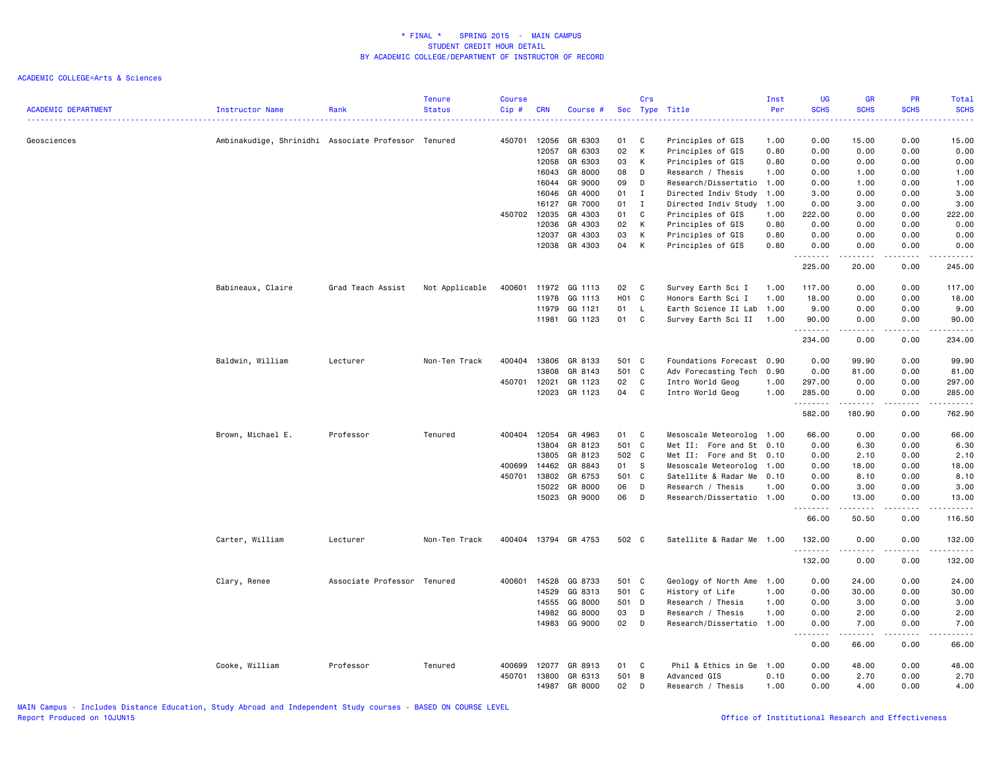| <b>ACADEMIC DEPARTMENT</b> | Instructor Name                                     | Rank                        | <b>Tenure</b><br><b>Status</b> | <b>Course</b><br>Cip# | <b>CRN</b> | Course #      |                  | Crs            | Sec Type Title            | Inst<br>Per | <b>UG</b><br><b>SCHS</b> | <b>GR</b><br><b>SCHS</b> | PR<br><b>SCHS</b>                                                                                                                 | Total<br><b>SCHS</b>                                                                                                                                         |
|----------------------------|-----------------------------------------------------|-----------------------------|--------------------------------|-----------------------|------------|---------------|------------------|----------------|---------------------------|-------------|--------------------------|--------------------------|-----------------------------------------------------------------------------------------------------------------------------------|--------------------------------------------------------------------------------------------------------------------------------------------------------------|
|                            |                                                     |                             |                                |                       |            |               |                  |                |                           |             | - - -                    |                          |                                                                                                                                   | .                                                                                                                                                            |
| Geosciences                | Ambinakudige, Shrinidhi Associate Professor Tenured |                             |                                | 450701                | 12056      | GR 6303       | 01               | C              | Principles of GIS         | 1.00        | 0.00                     | 15.00                    | 0.00                                                                                                                              | 15.00                                                                                                                                                        |
|                            |                                                     |                             |                                |                       | 12057      | GR 6303       | 02               | K              | Principles of GIS         | 0.80        | 0.00                     | 0.00                     | 0.00                                                                                                                              | 0.00                                                                                                                                                         |
|                            |                                                     |                             |                                |                       | 12058      | GR 6303       | 03               | K              | Principles of GIS         | 0.80        | 0.00                     | 0.00                     | 0.00                                                                                                                              | 0.00                                                                                                                                                         |
|                            |                                                     |                             |                                |                       | 16043      | GR 8000       | 08               | D              | Research / Thesis         | 1.00        | 0.00                     | 1.00                     | 0.00                                                                                                                              | 1.00                                                                                                                                                         |
|                            |                                                     |                             |                                |                       | 16044      | GR 9000       | 09               | D              | Research/Dissertatio      | 1.00        | 0.00                     | 1.00                     | 0.00                                                                                                                              | 1.00                                                                                                                                                         |
|                            |                                                     |                             |                                |                       | 16046      | GR 4000       | 01               | $\mathbf{I}$   | Directed Indiv Study      | 1.00        | 3.00                     | 0.00                     | 0.00                                                                                                                              | 3.00                                                                                                                                                         |
|                            |                                                     |                             |                                |                       | 16127      | GR 7000       | 01               | $\mathbf{I}$   | Directed Indiv Study      | 1.00        | 0.00                     | 3.00                     | 0.00                                                                                                                              | 3.00                                                                                                                                                         |
|                            |                                                     |                             |                                | 450702 12035          |            | GR 4303       | 01               | C              | Principles of GIS         | 1.00        | 222.00                   | 0.00                     | 0.00                                                                                                                              | 222.00                                                                                                                                                       |
|                            |                                                     |                             |                                |                       | 12036      | GR 4303       | 02               | K              | Principles of GIS         | 0.80        | 0.00                     | 0.00                     | 0.00                                                                                                                              | 0.00                                                                                                                                                         |
|                            |                                                     |                             |                                |                       | 12037      | GR 4303       | 03               | K              | Principles of GIS         | 0.80        | 0.00                     | 0.00                     | 0.00                                                                                                                              | 0.00                                                                                                                                                         |
|                            |                                                     |                             |                                |                       | 12038      | GR 4303       | 04               | K              | Principles of GIS         | 0.80        | 0.00                     | 0.00                     | 0.00                                                                                                                              | 0.00                                                                                                                                                         |
|                            |                                                     |                             |                                |                       |            |               |                  |                |                           |             | <u>.</u><br>225.00       | $- - - - -$<br>20.00     | $- - - -$<br>0.00                                                                                                                 | .<br>245.00                                                                                                                                                  |
|                            | Babineaux, Claire                                   | Grad Teach Assist           | Not Applicable                 | 400601                | 11972      | GG 1113       | 02               | C              | Survey Earth Sci I        | 1.00        | 117.00                   | 0.00                     | 0.00                                                                                                                              | 117.00                                                                                                                                                       |
|                            |                                                     |                             |                                |                       | 11978      | GG 1113       | H <sub>0</sub> 1 | C              | Honors Earth Sci I        | 1.00        | 18.00                    | 0.00                     | 0.00                                                                                                                              | 18.00                                                                                                                                                        |
|                            |                                                     |                             |                                |                       | 11979      | GG 1121       | 01               | $\mathsf{L}$   | Earth Science II Lab      | 1.00        | 9.00                     | 0.00                     | 0.00                                                                                                                              | 9.00                                                                                                                                                         |
|                            |                                                     |                             |                                |                       | 11981      | GG 1123       | 01               | C              | Survey Earth Sci II 1.00  |             | 90.00                    | 0.00                     | 0.00                                                                                                                              | 90.00                                                                                                                                                        |
|                            |                                                     |                             |                                |                       |            |               |                  |                |                           |             | .<br>234.00              | 0.00                     | $\frac{1}{2} \left( \frac{1}{2} \right) \left( \frac{1}{2} \right) \left( \frac{1}{2} \right) \left( \frac{1}{2} \right)$<br>0.00 | .<br>234.00                                                                                                                                                  |
|                            |                                                     |                             |                                |                       |            |               |                  |                |                           |             |                          |                          |                                                                                                                                   |                                                                                                                                                              |
|                            | Baldwin, William                                    | Lecturer                    | Non-Ten Track                  | 400404                | 13806      | GR 8133       | 501 C            |                | Foundations Forecast 0.90 |             | 0.00                     | 99.90                    | 0.00                                                                                                                              | 99.90                                                                                                                                                        |
|                            |                                                     |                             |                                |                       | 13808      | GR 8143       | 501              | C              | Adv Forecasting Tech      | 0.90        | 0.00                     | 81.00                    | 0.00                                                                                                                              | 81.00                                                                                                                                                        |
|                            |                                                     |                             |                                | 450701                | 12021      | GR 1123       | 02               | C              | Intro World Geog          | 1.00        | 297.00                   | 0.00                     | 0.00                                                                                                                              | 297.00                                                                                                                                                       |
|                            |                                                     |                             |                                |                       | 12023      | GR 1123       | 04               | C              | Intro World Geog          | 1.00        | 285.00                   | 0.00                     | 0.00<br>.                                                                                                                         | 285.00<br>.                                                                                                                                                  |
|                            |                                                     |                             |                                |                       |            |               |                  |                |                           |             | .<br>582.00              | 180.90                   | 0.00                                                                                                                              | 762.90                                                                                                                                                       |
|                            | Brown, Michael E.                                   | Professor                   | Tenured                        | 400404                | 12054      | GR 4963       | 01               | C              | Mesoscale Meteorolog 1.00 |             | 66.00                    | 0.00                     | 0.00                                                                                                                              | 66.00                                                                                                                                                        |
|                            |                                                     |                             |                                |                       | 13804      | GR 8123       | 501 C            |                | Met II: Fore and St 0.10  |             | 0.00                     | 6.30                     | 0.00                                                                                                                              | 6.30                                                                                                                                                         |
|                            |                                                     |                             |                                |                       | 13805      | GR 8123       | 502 C            |                | Met II: Fore and St 0.10  |             | 0.00                     | 2.10                     | 0.00                                                                                                                              | 2.10                                                                                                                                                         |
|                            |                                                     |                             |                                | 400699                | 14462      | GR 8843       | 01               | S              | Mesoscale Meteorolog      | 1.00        | 0.00                     | 18.00                    | 0.00                                                                                                                              | 18.00                                                                                                                                                        |
|                            |                                                     |                             |                                | 450701                | 13802      | GR 6753       | 501              | C              | Satellite & Radar Me      | 0.10        | 0.00                     | 8.10                     | 0.00                                                                                                                              | 8.10                                                                                                                                                         |
|                            |                                                     |                             |                                |                       | 15022      | GR 8000       | 06               | D              | Research / Thesis         | 1.00        | 0.00                     | 3.00                     | 0.00                                                                                                                              | 3.00                                                                                                                                                         |
|                            |                                                     |                             |                                |                       | 15023      | GR 9000       | 06               | D              | Research/Dissertatio 1.00 |             | 0.00<br>.                | 13.00<br>.               | 0.00<br>.                                                                                                                         | 13.00<br>.                                                                                                                                                   |
|                            |                                                     |                             |                                |                       |            |               |                  |                |                           |             | 66.00                    | 50.50                    | 0.00                                                                                                                              | 116.50                                                                                                                                                       |
|                            | Carter, William                                     | Lecturer                    | Non-Ten Track                  | 400404                |            | 13794 GR 4753 | 502 C            |                | Satellite & Radar Me      | 1.00        | 132.00<br>.              | 0.00<br>-----            | 0.00<br>$-$ - $-$ -                                                                                                               | 132.00<br>.                                                                                                                                                  |
|                            |                                                     |                             |                                |                       |            |               |                  |                |                           |             | 132.00                   | 0.00                     | 0.00                                                                                                                              | 132.00                                                                                                                                                       |
|                            | Clary, Renee                                        | Associate Professor Tenured |                                | 400601                | 14528      | GG 8733       | 501 C            |                | Geology of North Ame      | 1.00        | 0.00                     | 24.00                    | 0.00                                                                                                                              | 24.00                                                                                                                                                        |
|                            |                                                     |                             |                                |                       | 14529      | GG 8313       | 501 C            |                | History of Life           | 1.00        | 0.00                     | 30.00                    | 0.00                                                                                                                              | 30.00                                                                                                                                                        |
|                            |                                                     |                             |                                |                       | 14555      | GG 8000       | 501 D            |                | Research / Thesis         | 1.00        | 0.00                     | 3.00                     | 0.00                                                                                                                              | 3.00                                                                                                                                                         |
|                            |                                                     |                             |                                |                       | 14982      | GG 8000       | 03               | D              | Research / Thesis         | 1.00        | 0.00                     | 2.00                     | 0.00                                                                                                                              | 2.00                                                                                                                                                         |
|                            |                                                     |                             |                                |                       | 14983      | GG 9000       | 02               | D              | Research/Dissertatio      | 1.00        | 0.00                     | 7.00                     | 0.00                                                                                                                              | 7.00<br>$\frac{1}{2} \left( \frac{1}{2} \right) \left( \frac{1}{2} \right) \left( \frac{1}{2} \right) \left( \frac{1}{2} \right) \left( \frac{1}{2} \right)$ |
|                            |                                                     |                             |                                |                       |            |               |                  |                |                           |             | 0.00                     | 66.00                    | 0.00                                                                                                                              | 66.00                                                                                                                                                        |
|                            | Cooke, William                                      | Professor                   | Tenured                        | 400699                | 12077      | GR 8913       | 01               | C              | Phil & Ethics in Ge       | 1.00        | 0.00                     | 48.00                    | 0.00                                                                                                                              | 48.00                                                                                                                                                        |
|                            |                                                     |                             |                                | 450701                | 13800      | GR 6313       | 501              | $\overline{B}$ | Advanced GIS              | 0.10        | 0.00                     | 2.70                     | 0.00                                                                                                                              | 2.70                                                                                                                                                         |
|                            |                                                     |                             |                                |                       | 14987      | GR 8000       | 02               | D              | Research / Thesis         | 1.00        | 0.00                     | 4.00                     | 0.00                                                                                                                              | 4.00                                                                                                                                                         |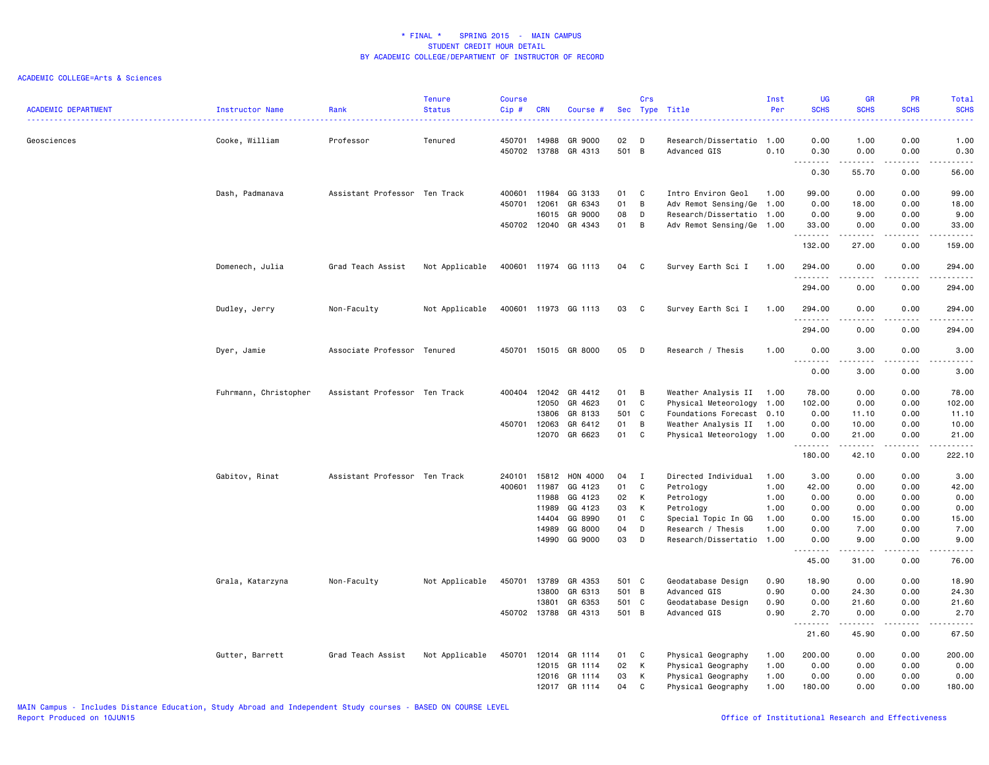| <b>ACADEMIC DEPARTMENT</b> | Instructor Name       | Rank                          | Tenure<br><b>Status</b> | <b>Course</b><br>Cip#        | <b>CRN</b>                                                  | Course #                                                                   | Sec                                    | Crs                                       | Type Title                                                                                                                             | Inst<br>Per                                  | UG<br><b>SCHS</b><br>الداعات                                        | <b>GR</b><br><b>SCHS</b>                                                                                                                                             | <b>PR</b><br><b>SCHS</b><br>.                             | Total<br><b>SCHS</b><br>22222                                                                                                                                                                                  |
|----------------------------|-----------------------|-------------------------------|-------------------------|------------------------------|-------------------------------------------------------------|----------------------------------------------------------------------------|----------------------------------------|-------------------------------------------|----------------------------------------------------------------------------------------------------------------------------------------|----------------------------------------------|---------------------------------------------------------------------|----------------------------------------------------------------------------------------------------------------------------------------------------------------------|-----------------------------------------------------------|----------------------------------------------------------------------------------------------------------------------------------------------------------------------------------------------------------------|
| Geosciences                | Cooke, William        | Professor                     | Tenured                 | 450701<br>450702             | 14988<br>13788                                              | GR 9000<br>GR 4313                                                         | 02<br>501                              | D<br>$\overline{B}$                       | Research/Dissertatio 1.00<br>Advanced GIS                                                                                              | 0.10                                         | 0.00<br>0.30                                                        | 1.00<br>0.00                                                                                                                                                         | 0.00<br>0.00                                              | 1.00<br>0.30                                                                                                                                                                                                   |
|                            |                       |                               |                         |                              |                                                             |                                                                            |                                        |                                           |                                                                                                                                        |                                              | .<br>$\sim$ $\sim$ $\sim$<br>0.30                                   | .<br>55.70                                                                                                                                                           | .<br>0.00                                                 | $\frac{1}{2} \left( \frac{1}{2} \right) \left( \frac{1}{2} \right) \left( \frac{1}{2} \right) \left( \frac{1}{2} \right) \left( \frac{1}{2} \right)$<br>56.00                                                  |
|                            | Dash, Padmanava       | Assistant Professor Ten Track |                         | 400601<br>450701             | 11984<br>12061                                              | GG 3133<br>GR 6343                                                         | 01<br>01                               | C<br>B                                    | Intro Environ Geol<br>Adv Remot Sensing/Ge 1.00                                                                                        | 1.00                                         | 99.00<br>0.00                                                       | 0.00<br>18.00                                                                                                                                                        | 0.00<br>0.00                                              | 99.00<br>18.00                                                                                                                                                                                                 |
|                            |                       |                               |                         | 450702 12040                 | 16015                                                       | GR 9000<br>GR 4343                                                         | 08<br>01                               | D<br>B                                    | Research/Dissertatio 1.00<br>Adv Remot Sensing/Ge 1.00                                                                                 |                                              | 0.00<br>33.00<br>.                                                  | 9.00<br>0.00<br>$\frac{1}{2} \left( \frac{1}{2} \right) \left( \frac{1}{2} \right) \left( \frac{1}{2} \right) \left( \frac{1}{2} \right) \left( \frac{1}{2} \right)$ | 0.00<br>0.00<br>بالأباد                                   | 9.00<br>33.00<br>.                                                                                                                                                                                             |
|                            |                       |                               |                         |                              |                                                             |                                                                            |                                        |                                           |                                                                                                                                        |                                              | 132.00                                                              | 27.00                                                                                                                                                                | 0.00                                                      | 159.00                                                                                                                                                                                                         |
|                            | Domenech, Julia       | Grad Teach Assist             | Not Applicable          |                              |                                                             | 400601 11974 GG 1113                                                       | 04                                     | C                                         | Survey Earth Sci I                                                                                                                     | 1.00                                         | 294.00<br>.<br>294.00                                               | 0.00<br>0.00                                                                                                                                                         | 0.00<br>0.00                                              | 294.00<br>.<br>294.00                                                                                                                                                                                          |
|                            | Dudley, Jerry         | Non-Faculty                   | Not Applicable          |                              |                                                             | 400601 11973 GG 1113                                                       | 03                                     | C.                                        | Survey Earth Sci I                                                                                                                     | 1.00                                         | 294.00                                                              | 0.00                                                                                                                                                                 | 0.00                                                      | 294.00                                                                                                                                                                                                         |
|                            |                       |                               |                         |                              |                                                             |                                                                            |                                        |                                           |                                                                                                                                        |                                              | .<br>294.00                                                         | 0.00                                                                                                                                                                 | 0.00                                                      | .<br>294.00                                                                                                                                                                                                    |
|                            | Dyer, Jamie           | Associate Professor Tenured   |                         |                              |                                                             | 450701 15015 GR 8000                                                       | 05                                     | D                                         | Research / Thesis                                                                                                                      | 1.00                                         | 0.00<br>.                                                           | 3.00<br>.                                                                                                                                                            | 0.00<br>$\frac{1}{2}$                                     | 3.00<br>.                                                                                                                                                                                                      |
|                            |                       |                               |                         |                              |                                                             |                                                                            |                                        |                                           |                                                                                                                                        |                                              | 0.00                                                                | 3.00                                                                                                                                                                 | 0.00                                                      | 3.00                                                                                                                                                                                                           |
|                            | Fuhrmann, Christopher | Assistant Professor Ten Track |                         | 400404 12042<br>450701 12063 | 12050<br>13806<br>12070                                     | GR 4412<br>GR 4623<br>GR 8133<br>GR 6412<br>GR 6623                        | 01<br>01<br>501<br>01<br>01            | B<br>$\mathbf c$<br>C<br>B<br>C           | Weather Analysis II 1.00<br>Physical Meteorology<br>Foundations Forecast 0.10<br>Weather Analysis II 1.00<br>Physical Meteorology 1.00 | 1.00                                         | 78.00<br>102.00<br>0.00<br>0.00<br>0.00                             | 0.00<br>0.00<br>11.10<br>10.00<br>21.00                                                                                                                              | 0.00<br>0.00<br>0.00<br>0.00<br>0.00                      | 78.00<br>102.00<br>11.10<br>10.00<br>21.00                                                                                                                                                                     |
|                            |                       |                               |                         |                              |                                                             |                                                                            |                                        |                                           |                                                                                                                                        |                                              | .<br>180.00                                                         | .<br>42.10                                                                                                                                                           | .<br>0.00                                                 | 222.10                                                                                                                                                                                                         |
|                            | Gabitov, Rinat        | Assistant Professor Ten Track |                         | 240101<br>400601             | 15812<br>11987<br>11988<br>11989<br>14404<br>14989<br>14990 | HON 4000<br>GG 4123<br>GG 4123<br>GG 4123<br>GG 8990<br>GG 8000<br>GG 9000 | 04<br>01<br>02<br>03<br>01<br>04<br>03 | Ι<br>$\mathbf c$<br>К<br>К<br>C<br>D<br>D | Directed Individual<br>Petrology<br>Petrology<br>Petrology<br>Special Topic In GG<br>Research / Thesis<br>Research/Dissertatio 1.00    | 1.00<br>1.00<br>1.00<br>1.00<br>1.00<br>1.00 | 3.00<br>42.00<br>0.00<br>0.00<br>0.00<br>0.00<br>0.00               | 0.00<br>0.00<br>0.00<br>0.00<br>15.00<br>7.00<br>9.00<br>د د د د د                                                                                                   | 0.00<br>0.00<br>0.00<br>0.00<br>0.00<br>0.00<br>0.00<br>. | 3.00<br>42.00<br>0.00<br>0.00<br>15.00<br>7.00<br>9.00<br>$\frac{1}{2} \left( \frac{1}{2} \right) \left( \frac{1}{2} \right) \left( \frac{1}{2} \right) \left( \frac{1}{2} \right) \left( \frac{1}{2} \right)$ |
|                            |                       |                               |                         |                              |                                                             |                                                                            |                                        |                                           |                                                                                                                                        |                                              | 45.00                                                               | 31.00                                                                                                                                                                | 0.00                                                      | 76.00                                                                                                                                                                                                          |
|                            | Grala, Katarzyna      | Non-Faculty                   | Not Applicable          | 450701                       | 13789<br>13800<br>13801                                     | GR 4353<br>GR 6313<br>GR 6353<br>450702 13788 GR 4313                      | 501 C<br>501 B<br>501 C<br>501 B       |                                           | Geodatabase Design<br>Advanced GIS<br>Geodatabase Design<br>Advanced GIS                                                               | 0.90<br>0.90<br>0.90<br>0.90                 | 18.90<br>0.00<br>0.00<br>2.70<br>$\sim$ $\sim$ $\sim$ $\sim$ $\sim$ | 0.00<br>24.30<br>21.60<br>0.00                                                                                                                                       | 0.00<br>0.00<br>0.00<br>0.00                              | 18.90<br>24.30<br>21.60<br>2.70<br>$\frac{1}{2} \left( \frac{1}{2} \right) \left( \frac{1}{2} \right) \left( \frac{1}{2} \right) \left( \frac{1}{2} \right) \left( \frac{1}{2} \right)$                        |
|                            | Gutter, Barrett       | Grad Teach Assist             | Not Applicable          | 450701                       | 12014<br>12015<br>12016                                     | GR 1114<br>GR 1114<br>GR 1114<br>12017 GR 1114                             | 01<br>02<br>03<br>04                   | C<br>К<br>к<br>C                          | Physical Geography<br>Physical Geography<br>Physical Geography<br>Physical Geography                                                   | 1.00<br>1.00<br>1.00<br>1.00                 | 21.60<br>200.00<br>0.00<br>0.00<br>180.00                           | 45.90<br>0.00<br>0.00<br>0.00<br>0.00                                                                                                                                | 0.00<br>0.00<br>0.00<br>0.00<br>0.00                      | 67.50<br>200.00<br>0.00<br>0.00<br>180.00                                                                                                                                                                      |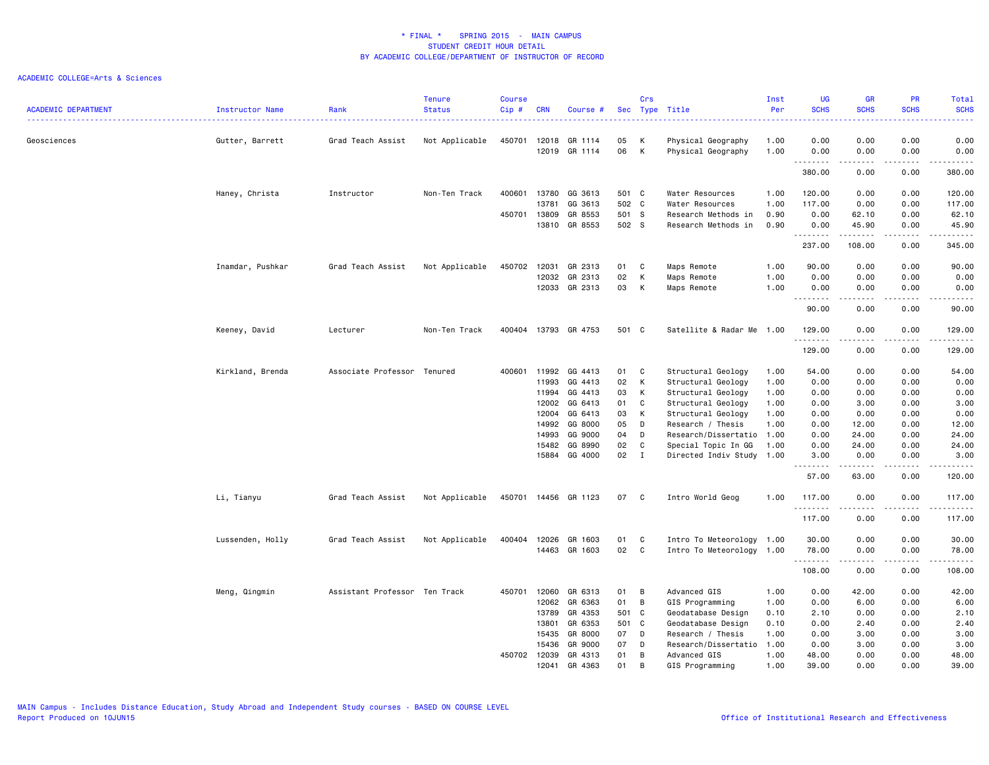| <b>ACADEMIC DEPARTMENT</b> | Instructor Name  | Rank<br>------------------    | <b>Tenure</b><br><b>Status</b> | <b>Course</b><br>Cip# | <b>CRN</b>     | Course #             |             | Crs            | Sec Type Title                           | Inst<br>Per  | <b>UG</b><br><b>SCHS</b><br>$\frac{1}{2} \left( \frac{1}{2} \right) \left( \frac{1}{2} \right) \left( \frac{1}{2} \right) \left( \frac{1}{2} \right)$ | <b>GR</b><br><b>SCHS</b>                                                                                                                                                                                                                                                                                                                                                                                                                                                   | <b>PR</b><br><b>SCHS</b> | Total<br><b>SCHS</b><br>2222.                                                                                                                                 |
|----------------------------|------------------|-------------------------------|--------------------------------|-----------------------|----------------|----------------------|-------------|----------------|------------------------------------------|--------------|-------------------------------------------------------------------------------------------------------------------------------------------------------|----------------------------------------------------------------------------------------------------------------------------------------------------------------------------------------------------------------------------------------------------------------------------------------------------------------------------------------------------------------------------------------------------------------------------------------------------------------------------|--------------------------|---------------------------------------------------------------------------------------------------------------------------------------------------------------|
| Geosciences                | Gutter, Barrett  | Grad Teach Assist             | Not Applicable                 | 450701                | 12018<br>12019 | GR 1114<br>GR 1114   | 05<br>06    | К<br>К         | Physical Geography<br>Physical Geography | 1.00<br>1.00 | 0.00<br>0.00                                                                                                                                          | 0.00<br>0.00                                                                                                                                                                                                                                                                                                                                                                                                                                                               | 0.00<br>0.00             | 0.00<br>0.00                                                                                                                                                  |
|                            |                  |                               |                                |                       |                |                      |             |                |                                          |              | .<br>380.00                                                                                                                                           | .<br>0.00                                                                                                                                                                                                                                                                                                                                                                                                                                                                  | $- - -$<br>0.00          | $\cdots \cdots \cdots$<br>380.00                                                                                                                              |
|                            | Haney, Christa   | Instructor                    | Non-Ten Track                  | 400601                | 13780          | GG 3613              | 501 C       |                | Water Resources                          | 1.00         | 120.00                                                                                                                                                | 0.00                                                                                                                                                                                                                                                                                                                                                                                                                                                                       | 0.00                     | 120.00                                                                                                                                                        |
|                            |                  |                               |                                |                       | 13781          | GG 3613              | 502 C       |                | Water Resources                          | 1.00         | 117.00                                                                                                                                                | 0.00                                                                                                                                                                                                                                                                                                                                                                                                                                                                       | 0.00                     | 117.00                                                                                                                                                        |
|                            |                  |                               |                                | 450701                | 13809          | GR 8553              | 501 S       |                | Research Methods in                      | 0.90         | 0.00                                                                                                                                                  | 62.10                                                                                                                                                                                                                                                                                                                                                                                                                                                                      | 0.00                     | 62.10                                                                                                                                                         |
|                            |                  |                               |                                |                       | 13810          | GR 8553              | 502 S       |                | Research Methods in                      | 0.90         | 0.00<br>.                                                                                                                                             | 45.90                                                                                                                                                                                                                                                                                                                                                                                                                                                                      | 0.00                     | 45.90<br>$\frac{1}{2} \left( \frac{1}{2} \right) \left( \frac{1}{2} \right) \left( \frac{1}{2} \right) \left( \frac{1}{2} \right) \left( \frac{1}{2} \right)$ |
|                            |                  |                               |                                |                       |                |                      |             |                |                                          |              | 237.00                                                                                                                                                | 108.00                                                                                                                                                                                                                                                                                                                                                                                                                                                                     | 0.00                     | 345.00                                                                                                                                                        |
|                            | Inamdar, Pushkar | Grad Teach Assist             | Not Applicable                 | 450702                | 12031          | GR 2313              | 01          | C              | Maps Remote                              | 1.00         | 90.00                                                                                                                                                 | 0.00                                                                                                                                                                                                                                                                                                                                                                                                                                                                       | 0.00                     | 90.00                                                                                                                                                         |
|                            |                  |                               |                                |                       | 12032          | GR 2313              | 02          | К              | Maps Remote                              | 1.00         | 0.00                                                                                                                                                  | 0.00                                                                                                                                                                                                                                                                                                                                                                                                                                                                       | 0.00                     | 0.00                                                                                                                                                          |
|                            |                  |                               |                                |                       | 12033          | GR 2313              | 03          | К              | Maps Remote                              | 1.00         | 0.00<br>.<br>$\overline{\phantom{a}}$                                                                                                                 | 0.00<br>.                                                                                                                                                                                                                                                                                                                                                                                                                                                                  | 0.00<br>د د د د          | 0.00<br>$\frac{1}{2} \left( \frac{1}{2} \right) \left( \frac{1}{2} \right) \left( \frac{1}{2} \right) \left( \frac{1}{2} \right) \left( \frac{1}{2} \right)$  |
|                            |                  |                               |                                |                       |                |                      |             |                |                                          |              | 90.00                                                                                                                                                 | 0.00                                                                                                                                                                                                                                                                                                                                                                                                                                                                       | 0.00                     | 90.00                                                                                                                                                         |
|                            | Keeney, David    | Lecturer                      | Non-Ten Track                  | 400404                |                | 13793 GR 4753        | 501 C       |                | Satellite & Radar Me 1.00                |              | 129.00                                                                                                                                                | 0.00                                                                                                                                                                                                                                                                                                                                                                                                                                                                       | 0.00                     | 129.00                                                                                                                                                        |
|                            |                  |                               |                                |                       |                |                      |             |                |                                          |              | .<br>129.00                                                                                                                                           | 0.00                                                                                                                                                                                                                                                                                                                                                                                                                                                                       | 0.00                     | .<br>129.00                                                                                                                                                   |
|                            | Kirkland, Brenda | Associate Professor Tenured   |                                | 400601                | 11992          | GG 4413              | 01          | C              | Structural Geology                       | 1.00         | 54.00                                                                                                                                                 | 0.00                                                                                                                                                                                                                                                                                                                                                                                                                                                                       | 0.00                     | 54.00                                                                                                                                                         |
|                            |                  |                               |                                |                       | 11993          | GG 4413              | 02          | K              | Structural Geology                       | 1.00         | 0.00                                                                                                                                                  | 0.00                                                                                                                                                                                                                                                                                                                                                                                                                                                                       | 0.00                     | 0.00                                                                                                                                                          |
|                            |                  |                               |                                |                       | 11994          | GG 4413              | 03          | K              | Structural Geology                       | 1.00         | 0.00                                                                                                                                                  | 0.00                                                                                                                                                                                                                                                                                                                                                                                                                                                                       | 0.00                     | 0.00                                                                                                                                                          |
|                            |                  |                               |                                |                       | 12002          | GG 6413              | 01          | C              | Structural Geology                       | 1.00         | 0.00                                                                                                                                                  | 3.00                                                                                                                                                                                                                                                                                                                                                                                                                                                                       | 0.00                     | 3.00                                                                                                                                                          |
|                            |                  |                               |                                |                       | 12004          | GG 6413              | 03          | K              | Structural Geology                       | 1.00         | 0.00                                                                                                                                                  | 0.00                                                                                                                                                                                                                                                                                                                                                                                                                                                                       | 0.00                     | 0.00                                                                                                                                                          |
|                            |                  |                               |                                |                       | 14992          | GG 8000              | 05          | D              | Research / Thesis                        | 1.00         | 0.00                                                                                                                                                  | 12.00                                                                                                                                                                                                                                                                                                                                                                                                                                                                      | 0.00                     | 12.00                                                                                                                                                         |
|                            |                  |                               |                                |                       | 14993          | GG 9000              | 04          | D              | Research/Dissertatio 1.00                |              | 0.00                                                                                                                                                  | 24.00                                                                                                                                                                                                                                                                                                                                                                                                                                                                      | 0.00                     | 24.00                                                                                                                                                         |
|                            |                  |                               |                                |                       | 15482          | GG 8990              | 02          | C              | Special Topic In GG                      | 1.00         | 0.00                                                                                                                                                  | 24.00                                                                                                                                                                                                                                                                                                                                                                                                                                                                      | 0.00                     | 24.00                                                                                                                                                         |
|                            |                  |                               |                                |                       |                | 15884 GG 4000        | 02          | $\mathbf{I}$   | Directed Indiv Study 1.00                |              | 3.00<br>.                                                                                                                                             | 0.00<br>.                                                                                                                                                                                                                                                                                                                                                                                                                                                                  | 0.00<br>$\frac{1}{2}$    | 3.00<br>.                                                                                                                                                     |
|                            |                  |                               |                                |                       |                |                      |             |                |                                          |              | 57.00                                                                                                                                                 | 63.00                                                                                                                                                                                                                                                                                                                                                                                                                                                                      | 0.00                     | 120.00                                                                                                                                                        |
|                            | Li, Tianyu       | Grad Teach Assist             | Not Applicable                 |                       |                | 450701 14456 GR 1123 | 07 C        |                | Intro World Geog                         | 1.00         | 117.00                                                                                                                                                | 0.00                                                                                                                                                                                                                                                                                                                                                                                                                                                                       | 0.00                     | 117.00                                                                                                                                                        |
|                            |                  |                               |                                |                       |                |                      |             |                |                                          |              | .<br>117.00                                                                                                                                           | -----<br>0.00                                                                                                                                                                                                                                                                                                                                                                                                                                                              | .<br>0.00                | .<br>117.00                                                                                                                                                   |
|                            | Lussenden, Holly | Grad Teach Assist             | Not Applicable                 | 400404                | 12026          | GR 1603              | 01          | C              | Intro To Meteorology 1.00                |              | 30.00                                                                                                                                                 | 0.00                                                                                                                                                                                                                                                                                                                                                                                                                                                                       | 0.00                     | 30.00                                                                                                                                                         |
|                            |                  |                               |                                |                       |                | 14463 GR 1603        | 02          | C <sub>c</sub> | Intro To Meteorology 1.00                |              | 78.00                                                                                                                                                 | 0.00                                                                                                                                                                                                                                                                                                                                                                                                                                                                       | 0.00                     | 78.00                                                                                                                                                         |
|                            |                  |                               |                                |                       |                |                      |             |                |                                          |              | .                                                                                                                                                     | $\frac{1}{2} \left( \frac{1}{2} \right) \left( \frac{1}{2} \right) \left( \frac{1}{2} \right) \left( \frac{1}{2} \right) \left( \frac{1}{2} \right) \left( \frac{1}{2} \right) \left( \frac{1}{2} \right) \left( \frac{1}{2} \right) \left( \frac{1}{2} \right) \left( \frac{1}{2} \right) \left( \frac{1}{2} \right) \left( \frac{1}{2} \right) \left( \frac{1}{2} \right) \left( \frac{1}{2} \right) \left( \frac{1}{2} \right) \left( \frac{1}{2} \right) \left( \frac$ | .                        | ------                                                                                                                                                        |
|                            |                  |                               |                                |                       |                |                      |             |                |                                          |              | 108.00                                                                                                                                                | 0.00                                                                                                                                                                                                                                                                                                                                                                                                                                                                       | 0.00                     | 108.00                                                                                                                                                        |
|                            | Meng, Qingmin    | Assistant Professor Ten Track |                                | 450701                | 12060          | GR 6313<br>GR 6363   | 01          | в<br>B         | Advanced GIS                             | 1.00         | 0.00                                                                                                                                                  | 42.00                                                                                                                                                                                                                                                                                                                                                                                                                                                                      | 0.00                     | 42.00                                                                                                                                                         |
|                            |                  |                               |                                |                       | 12062          | GR 4353              | 01<br>501 C |                | GIS Programming                          | 1.00         | 0.00                                                                                                                                                  | 6.00                                                                                                                                                                                                                                                                                                                                                                                                                                                                       | 0.00                     | 6.00                                                                                                                                                          |
|                            |                  |                               |                                |                       | 13789<br>13801 | GR 6353              | 501 C       |                | Geodatabase Design<br>Geodatabase Design | 0.10<br>0.10 | 2.10<br>0.00                                                                                                                                          | 0.00<br>2.40                                                                                                                                                                                                                                                                                                                                                                                                                                                               | 0.00<br>0.00             | 2.10<br>2.40                                                                                                                                                  |
|                            |                  |                               |                                |                       | 15435          | GR 8000              | 07          | D              | Research / Thesis                        | 1.00         | 0.00                                                                                                                                                  | 3.00                                                                                                                                                                                                                                                                                                                                                                                                                                                                       | 0.00                     | 3.00                                                                                                                                                          |
|                            |                  |                               |                                |                       | 15436          | GR 9000              | 07          | D              | Research/Dissertatio 1.00                |              | 0.00                                                                                                                                                  | 3.00                                                                                                                                                                                                                                                                                                                                                                                                                                                                       | 0.00                     | 3.00                                                                                                                                                          |
|                            |                  |                               |                                | 450702                | 12039          | GR 4313              | 01          | B              | Advanced GIS                             | 1.00         | 48.00                                                                                                                                                 | 0.00                                                                                                                                                                                                                                                                                                                                                                                                                                                                       | 0.00                     | 48.00                                                                                                                                                         |
|                            |                  |                               |                                |                       | 12041          | GR 4363              | 01          | B              | GIS Programming                          | 1.00         | 39.00                                                                                                                                                 | 0.00                                                                                                                                                                                                                                                                                                                                                                                                                                                                       | 0.00                     | 39.00                                                                                                                                                         |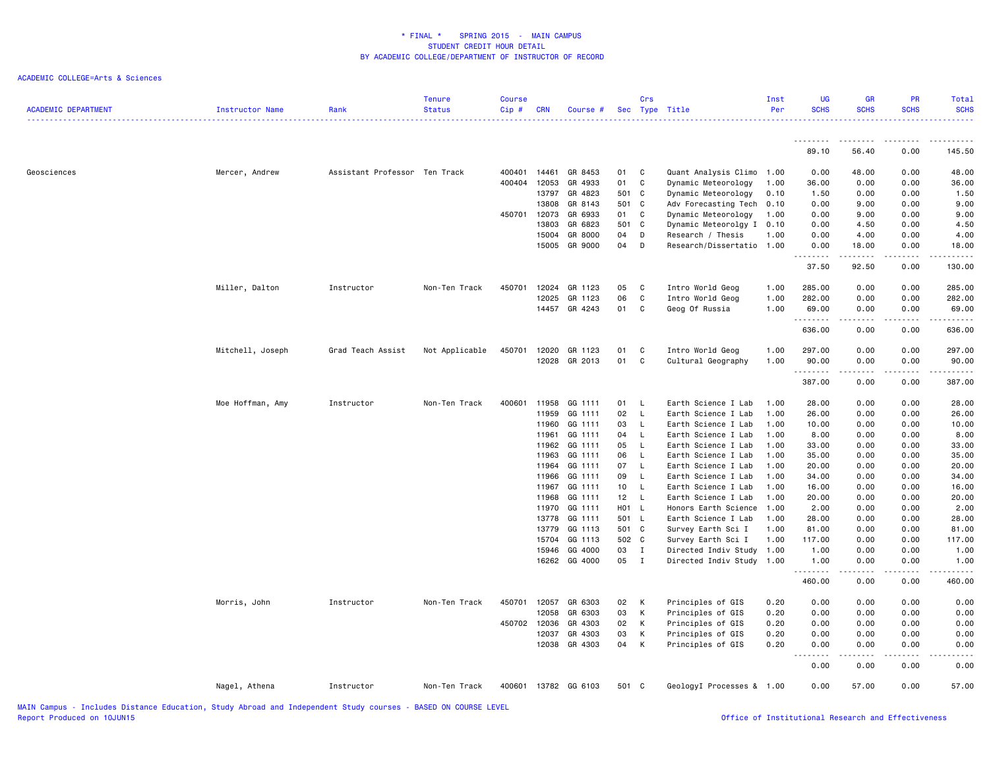| <b>ACADEMIC DEPARTMENT</b> | Instructor Name  | Rank                          | <b>Tenure</b><br><b>Status</b> | <b>Course</b><br>Cip# | CRN   | Course #      |       | Crs          | Sec Type Title            | Inst<br>Per | <b>UG</b><br><b>SCHS</b> | <b>GR</b><br><b>SCHS</b>                                                                                                                                      | <b>PR</b><br><b>SCHS</b> | Total<br><b>SCHS</b> |
|----------------------------|------------------|-------------------------------|--------------------------------|-----------------------|-------|---------------|-------|--------------|---------------------------|-------------|--------------------------|---------------------------------------------------------------------------------------------------------------------------------------------------------------|--------------------------|----------------------|
|                            |                  |                               |                                |                       |       |               |       |              |                           |             | <u>.</u>                 | <u>.</u>                                                                                                                                                      | -----                    |                      |
|                            |                  |                               |                                |                       |       |               |       |              |                           |             | 89.10                    | 56.40                                                                                                                                                         | 0.00                     | 145.50               |
| Geosciences                | Mercer, Andrew   | Assistant Professor Ten Track |                                | 400401                | 14461 | GR 8453       | 01    | C            | Quant Analysis Climo      | 1.00        | 0.00                     | 48.00                                                                                                                                                         | 0.00                     | 48.00                |
|                            |                  |                               |                                | 400404                | 12053 | GR 4933       | 01    | C            | Dynamic Meteorology       | 1.00        | 36.00                    | 0.00                                                                                                                                                          | 0.00                     | 36.00                |
|                            |                  |                               |                                |                       | 13797 | GR 4823       | 501 C |              | Dynamic Meteorology       | 0.10        | 1.50                     | 0.00                                                                                                                                                          | 0.00                     | 1.50                 |
|                            |                  |                               |                                |                       | 13808 | GR 8143       | 501 C |              | Adv Forecasting Tech      | 0.10        | 0.00                     | 9.00                                                                                                                                                          | 0.00                     | 9.00                 |
|                            |                  |                               |                                | 450701                | 12073 | GR 6933       | 01    | C            | Dynamic Meteorology       | 1.00        | 0.00                     | 9.00                                                                                                                                                          | 0.00                     | 9.00                 |
|                            |                  |                               |                                |                       | 13803 | GR 6823       | 501 C |              | Dynamic Meteorolgy I 0.10 |             | 0.00                     | 4.50                                                                                                                                                          | 0.00                     | 4.50                 |
|                            |                  |                               |                                |                       | 15004 | GR 8000       | 04    | D            | Research / Thesis         | 1.00        | 0.00                     | 4.00                                                                                                                                                          | 0.00                     | 4.00                 |
|                            |                  |                               |                                |                       |       | 15005 GR 9000 | 04    | D            | Research/Dissertatio 1.00 |             | 0.00                     | 18.00<br>$\frac{1}{2} \left( \frac{1}{2} \right) \left( \frac{1}{2} \right) \left( \frac{1}{2} \right) \left( \frac{1}{2} \right) \left( \frac{1}{2} \right)$ | 0.00                     | 18.00                |
|                            |                  |                               |                                |                       |       |               |       |              |                           |             | 37.50                    | 92.50                                                                                                                                                         | 0.00                     | 130.00               |
|                            | Miller, Dalton   | Instructor                    | Non-Ten Track                  | 450701                | 12024 | GR 1123       | 05    | C            | Intro World Geog          | 1.00        | 285.00                   | 0.00                                                                                                                                                          | 0.00                     | 285.00               |
|                            |                  |                               |                                |                       | 12025 | GR 1123       | 06    | C            | Intro World Geog          | 1.00        | 282.00                   | 0.00                                                                                                                                                          | 0.00                     | 282.00               |
|                            |                  |                               |                                |                       |       | 14457 GR 4243 | 01    | C            | Geog Of Russia            | 1.00        | 69.00<br>.               | 0.00<br>.                                                                                                                                                     | 0.00<br><u>.</u>         | 69.00<br>. <b>.</b>  |
|                            |                  |                               |                                |                       |       |               |       |              |                           |             | 636.00                   | 0.00                                                                                                                                                          | 0.00                     | 636.00               |
|                            | Mitchell, Joseph | Grad Teach Assist             | Not Applicable                 | 450701                | 12020 | GR 1123       | 01    | C            | Intro World Geog          | 1.00        | 297.00                   | 0.00                                                                                                                                                          | 0.00                     | 297.00               |
|                            |                  |                               |                                |                       | 12028 | GR 2013       | 01    | C            | Cultural Geography        | 1.00        | 90.00<br>.               | 0.00<br>.                                                                                                                                                     | 0.00                     | 90.00                |
|                            |                  |                               |                                |                       |       |               |       |              |                           |             | 387.00                   | 0.00                                                                                                                                                          | .<br>0.00                | . <u>.</u><br>387.00 |
|                            | Moe Hoffman, Amy | Instructor                    | Non-Ten Track                  | 400601                | 11958 | GG 1111       | 01    | - L          | Earth Science I Lab       | 1.00        | 28.00                    | 0.00                                                                                                                                                          | 0.00                     | 28.00                |
|                            |                  |                               |                                |                       | 11959 | GG 1111       | 02    | - L          | Earth Science I Lab       | 1.00        | 26.00                    | 0.00                                                                                                                                                          | 0.00                     | 26.00                |
|                            |                  |                               |                                |                       | 11960 | GG 1111       | 03    | - L          | Earth Science I Lab       | 1.00        | 10.00                    | 0.00                                                                                                                                                          | 0.00                     | 10.00                |
|                            |                  |                               |                                |                       | 11961 | GG 1111       | 04    | L            | Earth Science I Lab       | 1.00        | 8.00                     | 0.00                                                                                                                                                          | 0.00                     | 8.00                 |
|                            |                  |                               |                                |                       | 11962 | GG 1111       | 05    | $\mathsf{L}$ | Earth Science I Lab       | 1.00        | 33.00                    | 0.00                                                                                                                                                          | 0.00                     | 33.00                |
|                            |                  |                               |                                |                       | 11963 | GG 1111       | 06    | $\mathsf{L}$ | Earth Science I Lab       | 1.00        | 35.00                    | 0.00                                                                                                                                                          | 0.00                     | 35.00                |
|                            |                  |                               |                                |                       | 11964 | GG 1111       | 07    | $\mathsf{L}$ | Earth Science I Lab       | 1.00        | 20.00                    | 0.00                                                                                                                                                          | 0.00                     | 20.00                |
|                            |                  |                               |                                |                       | 11966 | GG 1111       | 09    | - L          | Earth Science I Lab       | 1.00        | 34.00                    | 0.00                                                                                                                                                          | 0.00                     | 34.00                |
|                            |                  |                               |                                |                       | 11967 | GG 1111       | 10    | $\mathsf{L}$ | Earth Science I Lab       | 1.00        | 16.00                    | 0.00                                                                                                                                                          | 0.00                     | 16.00                |
|                            |                  |                               |                                |                       | 11968 | GG 1111       | 12 L  |              | Earth Science I Lab       | 1.00        | 20.00                    | 0.00                                                                                                                                                          | 0.00                     | 20.00                |
|                            |                  |                               |                                |                       | 11970 | GG 1111       | H01 L |              | Honors Earth Science      | 1.00        | 2.00                     | 0.00                                                                                                                                                          | 0.00                     | 2.00                 |
|                            |                  |                               |                                |                       | 13778 | GG 1111       | 501 L |              | Earth Science I Lab       | 1.00        | 28.00                    | 0.00                                                                                                                                                          | 0.00                     | 28.00                |
|                            |                  |                               |                                |                       | 13779 | GG 1113       | 501 C |              | Survey Earth Sci I        | 1.00        | 81.00                    | 0.00                                                                                                                                                          | 0.00                     | 81.00                |
|                            |                  |                               |                                |                       | 15704 | GG 1113       | 502 C |              | Survey Earth Sci I        | 1.00        | 117.00                   | 0.00                                                                                                                                                          | 0.00                     | 117.00               |
|                            |                  |                               |                                |                       | 15946 | GG 4000       | 03    | $\mathbf{I}$ | Directed Indiv Study 1.00 |             | 1.00                     | 0.00                                                                                                                                                          | 0.00                     | 1.00                 |
|                            |                  |                               |                                |                       |       | 16262 GG 4000 | 05 I  |              | Directed Indiv Study 1.00 |             | 1.00<br><u>.</u>         | 0.00<br>$\sim$ $\sim$ $\sim$ $\sim$                                                                                                                           | 0.00<br>.                | 1.00<br>.            |
|                            |                  |                               |                                |                       |       |               |       |              |                           |             | 460.00                   | 0.00                                                                                                                                                          | 0.00                     | 460.00               |
|                            | Morris, John     | Instructor                    | Non-Ten Track                  | 450701                | 12057 | GR 6303       | 02    | K            | Principles of GIS         | 0.20        | 0.00                     | 0.00                                                                                                                                                          | 0.00                     | 0.00                 |
|                            |                  |                               |                                |                       | 12058 | GR 6303       | 03    | К            | Principles of GIS         | 0.20        | 0.00                     | 0.00                                                                                                                                                          | 0.00                     | 0.00                 |
|                            |                  |                               |                                | 450702                | 12036 | GR 4303       | 02    | К            | Principles of GIS         | 0.20        | 0.00                     | 0.00                                                                                                                                                          | 0.00                     | 0.00                 |
|                            |                  |                               |                                |                       | 12037 | GR 4303       | 03    | К            | Principles of GIS         | 0.20        | 0.00                     | 0.00                                                                                                                                                          | 0.00                     | 0.00                 |
|                            |                  |                               |                                |                       | 12038 | GR 4303       | 04    | K            | Principles of GIS         | 0.20        | 0.00<br>.                | 0.00<br>$\frac{1}{2}$                                                                                                                                         | 0.00<br>.                | 0.00                 |
|                            |                  |                               |                                |                       |       |               |       |              |                           |             | 0.00                     | 0.00                                                                                                                                                          | 0.00                     | 0.00                 |
|                            | Nagel, Athena    | Instructor                    | Non-Ten Track                  | 400601                |       | 13782 GG 6103 | 501 C |              | GeologyI Processes & 1.00 |             | 0.00                     | 57.00                                                                                                                                                         | 0.00                     | 57.00                |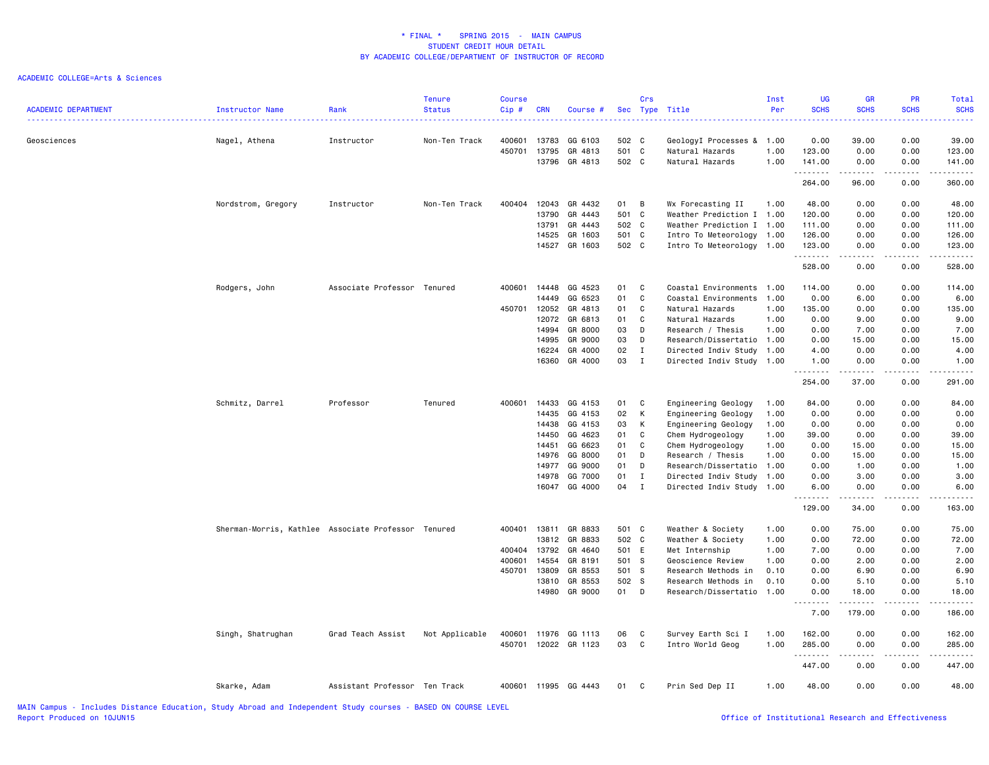| <b>ACADEMIC DEPARTMENT</b> | Instructor Name                                     | Rank                          | <b>Tenure</b><br><b>Status</b> | <b>Course</b><br>Cip# | <b>CRN</b> | Course #             |       | Crs          | Sec Type Title            | Inst<br>Per | <b>UG</b><br><b>SCHS</b>                                                                                                                                     | <b>GR</b><br><b>SCHS</b> | <b>PR</b><br><b>SCHS</b> | Total<br><b>SCHS</b><br>$\omega$ is $\omega$ in .                                                                                   |
|----------------------------|-----------------------------------------------------|-------------------------------|--------------------------------|-----------------------|------------|----------------------|-------|--------------|---------------------------|-------------|--------------------------------------------------------------------------------------------------------------------------------------------------------------|--------------------------|--------------------------|-------------------------------------------------------------------------------------------------------------------------------------|
| Geosciences                | Nagel, Athena                                       | Instructor                    | Non-Ten Track                  | 400601                | 13783      | GG 6103              | 502 C |              | GeologyI Processes & 1.00 |             | 0.00                                                                                                                                                         | 39.00                    | 0.00                     | 39.00                                                                                                                               |
|                            |                                                     |                               |                                | 450701                | 13795      | GR 4813              | 501   | C            | Natural Hazards           | 1.00        | 123.00                                                                                                                                                       | 0.00                     | 0.00                     | 123.00                                                                                                                              |
|                            |                                                     |                               |                                |                       | 13796      | GR 4813              | 502 C |              | Natural Hazards           | 1.00        | 141.00<br>.                                                                                                                                                  | 0.00<br>.                | 0.00<br>.                | 141.00<br>$\begin{array}{cccccccccccccc} \bullet & \bullet & \bullet & \bullet & \bullet & \bullet & \bullet & \bullet \end{array}$ |
|                            |                                                     |                               |                                |                       |            |                      |       |              |                           |             | 264.00                                                                                                                                                       | 96.00                    | 0.00                     | 360.00                                                                                                                              |
|                            | Nordstrom, Gregory                                  | Instructor                    | Non-Ten Track                  | 400404                | 12043      | GR 4432              | 01    | B            | Wx Forecasting II         | 1.00        | 48.00                                                                                                                                                        | 0.00                     | 0.00                     | 48.00                                                                                                                               |
|                            |                                                     |                               |                                |                       | 13790      | GR 4443              | 501 C |              | Weather Prediction I 1.00 |             | 120.00                                                                                                                                                       | 0.00                     | 0.00                     | 120.00                                                                                                                              |
|                            |                                                     |                               |                                |                       | 13791      | GR 4443              | 502 C |              | Weather Prediction I 1.00 |             | 111.00                                                                                                                                                       | 0.00                     | 0.00                     | 111.00                                                                                                                              |
|                            |                                                     |                               |                                |                       | 14525      | GR 1603              | 501 C |              | Intro To Meteorology 1.00 |             | 126.00                                                                                                                                                       | 0.00                     | 0.00                     | 126.00                                                                                                                              |
|                            |                                                     |                               |                                |                       | 14527      | GR 1603              | 502 C |              | Intro To Meteorology      | 1.00        | 123.00<br>.                                                                                                                                                  | 0.00<br>-----            | 0.00<br>.                | 123.00<br>$- - - - - - -$                                                                                                           |
|                            |                                                     |                               |                                |                       |            |                      |       |              |                           |             | 528.00                                                                                                                                                       | 0.00                     | 0.00                     | 528.00                                                                                                                              |
|                            | Rodgers, John                                       | Associate Professor Tenured   |                                | 400601                | 14448      | GG 4523              | 01    | C            | Coastal Environments 1.00 |             | 114.00                                                                                                                                                       | 0.00                     | 0.00                     | 114.00                                                                                                                              |
|                            |                                                     |                               |                                |                       | 14449      | GG 6523              | 01    | C            | Coastal Environments      | 1.00        | 0.00                                                                                                                                                         | 6.00                     | 0.00                     | 6.00                                                                                                                                |
|                            |                                                     |                               |                                | 450701                | 12052      | GR 4813              | 01    | C            | Natural Hazards           | 1.00        | 135.00                                                                                                                                                       | 0.00                     | 0.00                     | 135.00                                                                                                                              |
|                            |                                                     |                               |                                |                       | 12072      | GR 6813              | 01    | C            | Natural Hazards           | 1.00        | 0.00                                                                                                                                                         | 9.00                     | 0.00                     | 9.00                                                                                                                                |
|                            |                                                     |                               |                                |                       | 14994      | GR 8000              | 03    | D            | Research / Thesis         | 1.00        | 0.00                                                                                                                                                         | 7.00                     | 0.00                     | 7.00                                                                                                                                |
|                            |                                                     |                               |                                |                       | 14995      | GR 9000              | 03    | D            | Research/Dissertatio 1.00 |             | 0.00                                                                                                                                                         | 15.00                    | 0.00                     | 15.00                                                                                                                               |
|                            |                                                     |                               |                                |                       | 16224      | GR 4000              | 02    | $\mathbf{I}$ | Directed Indiv Study      | 1.00        | 4.00                                                                                                                                                         | 0.00                     | 0.00                     | 4.00                                                                                                                                |
|                            |                                                     |                               |                                |                       |            | 16360 GR 4000        | 03    | $\mathbf{I}$ | Directed Indiv Study 1.00 |             | 1.00<br>.                                                                                                                                                    | 0.00<br>.                | 0.00<br>.                | 1.00<br>------                                                                                                                      |
|                            |                                                     |                               |                                |                       |            |                      |       |              |                           |             | 254.00                                                                                                                                                       | 37.00                    | 0.00                     | 291.00                                                                                                                              |
|                            | Schmitz, Darrel                                     | Professor                     | Tenured                        | 400601                | 14433      | GG 4153              | 01    | C            | Engineering Geology       | 1.00        | 84.00                                                                                                                                                        | 0.00                     | 0.00                     | 84.00                                                                                                                               |
|                            |                                                     |                               |                                |                       | 14435      | GG 4153              | 02    | К            | Engineering Geology       | 1.00        | 0.00                                                                                                                                                         | 0.00                     | 0.00                     | 0.00                                                                                                                                |
|                            |                                                     |                               |                                |                       | 14438      | GG 4153              | 03    | К            | Engineering Geology       | 1.00        | 0.00                                                                                                                                                         | 0.00                     | 0.00                     | 0.00                                                                                                                                |
|                            |                                                     |                               |                                |                       | 14450      | GG 4623              | 01    | C            | Chem Hydrogeology         | 1.00        | 39.00                                                                                                                                                        | 0.00                     | 0.00                     | 39.00                                                                                                                               |
|                            |                                                     |                               |                                |                       | 14451      | GG 6623              | 01    | C            | Chem Hydrogeology         | 1.00        | 0.00                                                                                                                                                         | 15.00                    | 0.00                     | 15.00                                                                                                                               |
|                            |                                                     |                               |                                |                       | 14976      | GG 8000              | 01    | D            | Research / Thesis         | 1.00        | 0.00                                                                                                                                                         | 15.00                    | 0.00                     | 15.00                                                                                                                               |
|                            |                                                     |                               |                                |                       | 14977      | GG 9000              | 01    | D            | Research/Dissertatio      | 1.00        | 0.00                                                                                                                                                         | 1.00                     | 0.00                     | 1.00                                                                                                                                |
|                            |                                                     |                               |                                |                       | 14978      | GG 7000              | 01    | $\mathbf I$  | Directed Indiv Study      | 1.00        | 0.00                                                                                                                                                         | 3.00                     | 0.00                     | 3.00                                                                                                                                |
|                            |                                                     |                               |                                |                       | 16047      | GG 4000              | 04    | $\mathbf I$  | Directed Indiv Study 1.00 |             | 6.00<br>$\frac{1}{2} \left( \frac{1}{2} \right) \left( \frac{1}{2} \right) \left( \frac{1}{2} \right) \left( \frac{1}{2} \right) \left( \frac{1}{2} \right)$ | 0.00<br>.                | 0.00<br>.                | 6.00<br>.                                                                                                                           |
|                            |                                                     |                               |                                |                       |            |                      |       |              |                           |             | 129.00                                                                                                                                                       | 34.00                    | 0.00                     | 163.00                                                                                                                              |
|                            | Sherman-Morris, Kathlee Associate Professor Tenured |                               |                                | 400401 13811          |            | GR 8833              | 501 C |              | Weather & Society         | 1.00        | 0.00                                                                                                                                                         | 75.00                    | 0.00                     | 75.00                                                                                                                               |
|                            |                                                     |                               |                                |                       | 13812      | GR 8833              | 502 C |              | Weather & Society         | 1.00        | 0.00                                                                                                                                                         | 72.00                    | 0.00                     | 72.00                                                                                                                               |
|                            |                                                     |                               |                                | 400404                | 13792      | GR 4640              | 501 E |              | Met Internship            | 1.00        | 7.00                                                                                                                                                         | 0.00                     | 0.00                     | 7.00                                                                                                                                |
|                            |                                                     |                               |                                | 400601                | 14554      | GR 8191              | 501 S |              | Geoscience Review         | 1.00        | 0.00                                                                                                                                                         | 2.00                     | 0.00                     | 2.00                                                                                                                                |
|                            |                                                     |                               |                                | 450701                | 13809      | GR 8553              | 501 S |              | Research Methods in       | 0.10        | 0.00                                                                                                                                                         | 6.90                     | 0.00                     | 6.90                                                                                                                                |
|                            |                                                     |                               |                                |                       | 13810      | GR 8553              | 502 S |              | Research Methods in       | 0.10        | 0.00                                                                                                                                                         | 5.10                     | 0.00                     | 5.10                                                                                                                                |
|                            |                                                     |                               |                                |                       |            | 14980 GR 9000        | 01    | D            | Research/Dissertatio      | 1.00        | 0.00<br>.                                                                                                                                                    | 18.00<br>$- - - - - - -$ | 0.00<br>.                | 18.00<br>.                                                                                                                          |
|                            |                                                     |                               |                                |                       |            |                      |       |              |                           |             | 7.00                                                                                                                                                         | 179.00                   | 0.00                     | 186.00                                                                                                                              |
|                            | Singh, Shatrughan                                   | Grad Teach Assist             | Not Applicable                 | 400601                | 11976      | GG 1113              | 06    | C            | Survey Earth Sci I        | 1.00        | 162.00                                                                                                                                                       | 0.00                     | 0.00                     | 162.00                                                                                                                              |
|                            |                                                     |                               |                                |                       |            | 450701 12022 GR 1123 | 03    | C            | Intro World Geog          | 1.00        | 285.00                                                                                                                                                       | 0.00                     | 0.00                     | 285.00                                                                                                                              |
|                            |                                                     |                               |                                |                       |            |                      |       |              |                           |             | .<br>447.00                                                                                                                                                  | 0.00                     | 0.00                     | .<br>447.00                                                                                                                         |
|                            | Skarke, Adam                                        | Assistant Professor Ten Track |                                | 400601                |            | 11995 GG 4443        | 01    | C            | Prin Sed Dep II           | 1.00        | 48.00                                                                                                                                                        | 0.00                     | 0.00                     | 48.00                                                                                                                               |
|                            |                                                     |                               |                                |                       |            |                      |       |              |                           |             |                                                                                                                                                              |                          |                          |                                                                                                                                     |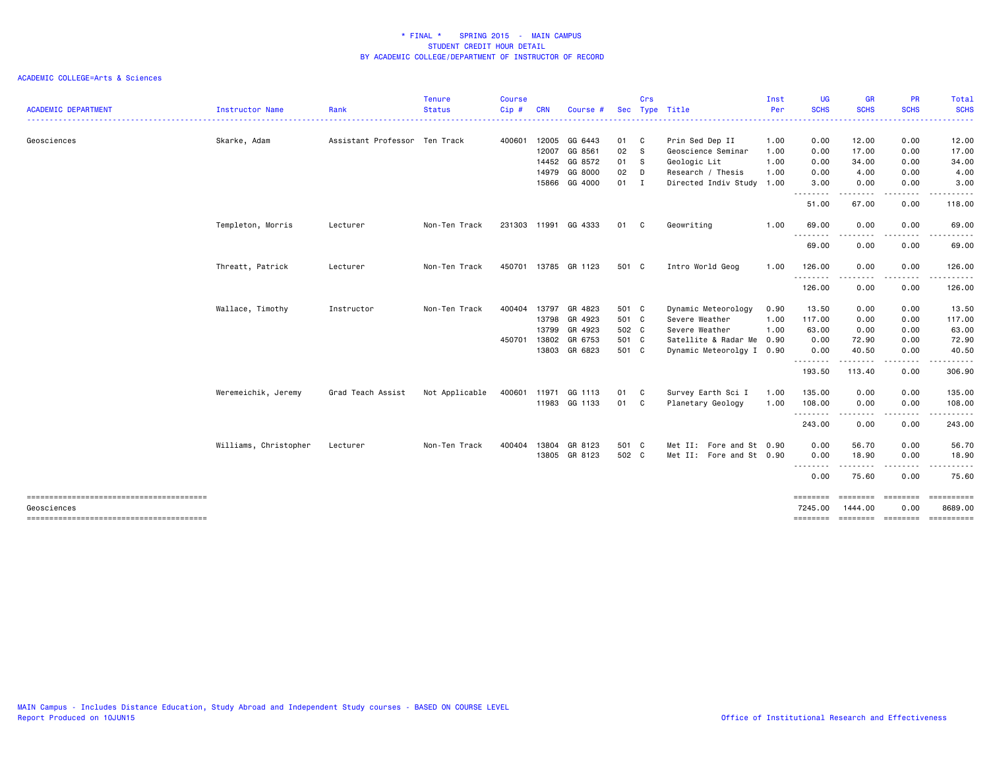|                            |                       |                               | <b>Tenure</b>  | Course |            |                      |            | Crs          |                           | Inst | UG                  | <b>GR</b>                    | <b>PR</b>                                                                                                                                                                               | Total                                                                                                                                                        |
|----------------------------|-----------------------|-------------------------------|----------------|--------|------------|----------------------|------------|--------------|---------------------------|------|---------------------|------------------------------|-----------------------------------------------------------------------------------------------------------------------------------------------------------------------------------------|--------------------------------------------------------------------------------------------------------------------------------------------------------------|
| <b>ACADEMIC DEPARTMENT</b> | Instructor Name       | Rank                          | <b>Status</b>  | Cip#   | <b>CRN</b> | Course #             | <b>Sec</b> |              | Type Title                | Per  | <b>SCHS</b><br>.    | <b>SCHS</b><br>. <b>.</b> .  | <b>SCHS</b><br>. <b>.</b>                                                                                                                                                               | <b>SCHS</b><br>. <u>.</u> .                                                                                                                                  |
| Geosciences                | Skarke, Adam          | Assistant Professor Ten Track |                | 400601 | 12005      | GG 6443              | 01         | $\mathbf{C}$ | Prin Sed Dep II           | 1.00 | 0.00                | 12.00                        | 0.00                                                                                                                                                                                    | 12.00                                                                                                                                                        |
|                            |                       |                               |                |        | 12007      | GG 8561              | 02         | - S          | Geoscience Seminar        | 1.00 | 0.00                | 17.00                        | 0.00                                                                                                                                                                                    | 17.00                                                                                                                                                        |
|                            |                       |                               |                |        | 14452      | GG 8572              | 01         | -S           | Geologic Lit              | 1.00 | 0.00                | 34.00                        | 0.00                                                                                                                                                                                    | 34.00                                                                                                                                                        |
|                            |                       |                               |                |        | 14979      | GG 8000              | 02         | D            | Research / Thesis         | 1.00 | 0.00                | 4.00                         | 0.00                                                                                                                                                                                    | 4.00                                                                                                                                                         |
|                            |                       |                               |                |        | 15866      | GG 4000              | $01$ I     |              | Directed Indiv Study      | 1.00 | 3.00<br>.           | 0.00<br>-----                | 0.00<br>$   -$                                                                                                                                                                          | 3.00<br>$\frac{1}{2} \left( \frac{1}{2} \right) \left( \frac{1}{2} \right) \left( \frac{1}{2} \right) \left( \frac{1}{2} \right) \left( \frac{1}{2} \right)$ |
|                            |                       |                               |                |        |            |                      |            |              |                           |      | 51.00               | 67.00                        | 0.00                                                                                                                                                                                    | 118.00                                                                                                                                                       |
|                            | Templeton, Morris     | Lecturer                      | Non-Ten Track  | 231303 | 11991      | GG 4333              | 01         | C            | Geowriting                | 1.00 | 69.00               | 0.00                         | 0.00                                                                                                                                                                                    | 69.00                                                                                                                                                        |
|                            |                       |                               |                |        |            |                      |            |              |                           |      | 69.00               | ----<br>0.00                 | 0.00                                                                                                                                                                                    | 69.00                                                                                                                                                        |
|                            | Threatt, Patrick      | Lecturer                      | Non-Ten Track  |        |            | 450701 13785 GR 1123 | 501 C      |              | Intro World Geog          | 1.00 | 126.00              | 0.00                         | 0.00                                                                                                                                                                                    | 126.00                                                                                                                                                       |
|                            |                       |                               |                |        |            |                      |            |              |                           |      | ---------<br>126.00 | .<br>0.00                    | $\frac{1}{2} \left( \frac{1}{2} \right) \left( \frac{1}{2} \right) \left( \frac{1}{2} \right) \left( \frac{1}{2} \right) \left( \frac{1}{2} \right) \left( \frac{1}{2} \right)$<br>0.00 | .<br>126.00                                                                                                                                                  |
|                            | Wallace, Timothy      | Instructor                    | Non-Ten Track  | 400404 | 13797      | GR 4823              | 501 C      |              | Dynamic Meteorology       | 0.90 | 13.50               | 0.00                         | 0.00                                                                                                                                                                                    | 13.50                                                                                                                                                        |
|                            |                       |                               |                |        | 13798      | GR 4923              | 501 C      |              | Severe Weather            | 1.00 | 117.00              | 0.00                         | 0.00                                                                                                                                                                                    | 117.00                                                                                                                                                       |
|                            |                       |                               |                |        | 13799      | GR 4923              | 502 C      |              | Severe Weather            | 1.00 | 63.00               | 0.00                         | 0.00                                                                                                                                                                                    | 63.00                                                                                                                                                        |
|                            |                       |                               |                | 450701 | 13802      | GR 6753              | 501 C      |              | Satellite & Radar Me 0.90 |      | 0.00                | 72.90                        | 0.00                                                                                                                                                                                    | 72.90                                                                                                                                                        |
|                            |                       |                               |                |        | 13803      | GR 6823              | 501 C      |              | Dynamic Meteorolgy I 0.90 |      | 0.00                | 40.50                        | 0.00                                                                                                                                                                                    | 40.50                                                                                                                                                        |
|                            |                       |                               |                |        |            |                      |            |              |                           |      | .<br>193.50         | .<br>113.40                  | -----<br>0.00                                                                                                                                                                           | ------<br>306.90                                                                                                                                             |
|                            | Weremeichik, Jeremy   | Grad Teach Assist             | Not Applicable | 400601 | 11971      | GG 1113              | 01         | C            | Survey Earth Sci I        | 1.00 | 135.00              | 0.00                         | 0.00                                                                                                                                                                                    | 135.00                                                                                                                                                       |
|                            |                       |                               |                |        |            | 11983 GG 1133        | 01 C       |              | Planetary Geology         | 1.00 | 108.00              | 0.00                         | 0.00                                                                                                                                                                                    | 108.00                                                                                                                                                       |
|                            |                       |                               |                |        |            |                      |            |              |                           |      | --------<br>243.00  | .<br>0.00                    | .<br>0.00                                                                                                                                                                               | .<br>243.00                                                                                                                                                  |
|                            | Williams, Christopher | Lecturer                      | Non-Ten Track  | 400404 | 13804      | GR 8123              | 501 C      |              | Met II: Fore and St 0.90  |      | 0.00                | 56.70                        | 0.00                                                                                                                                                                                    | 56.70                                                                                                                                                        |
|                            |                       |                               |                |        |            | 13805 GR 8123        | 502 C      |              | Met II: Fore and St 0.90  |      | 0.00<br>.           | 18.90<br>. <b>.</b>          | 0.00<br>.                                                                                                                                                                               | 18.90<br>.                                                                                                                                                   |
|                            |                       |                               |                |        |            |                      |            |              |                           |      | 0.00                | 75.60                        | 0.00                                                                                                                                                                                    | 75.60                                                                                                                                                        |
|                            |                       |                               |                |        |            |                      |            |              |                           |      | ========            |                              |                                                                                                                                                                                         |                                                                                                                                                              |
| Geosciences                |                       |                               |                |        |            |                      |            |              |                           |      | 7245.00<br>======== | 1444.00<br>================= | 0.00                                                                                                                                                                                    | 8689.00<br>==========                                                                                                                                        |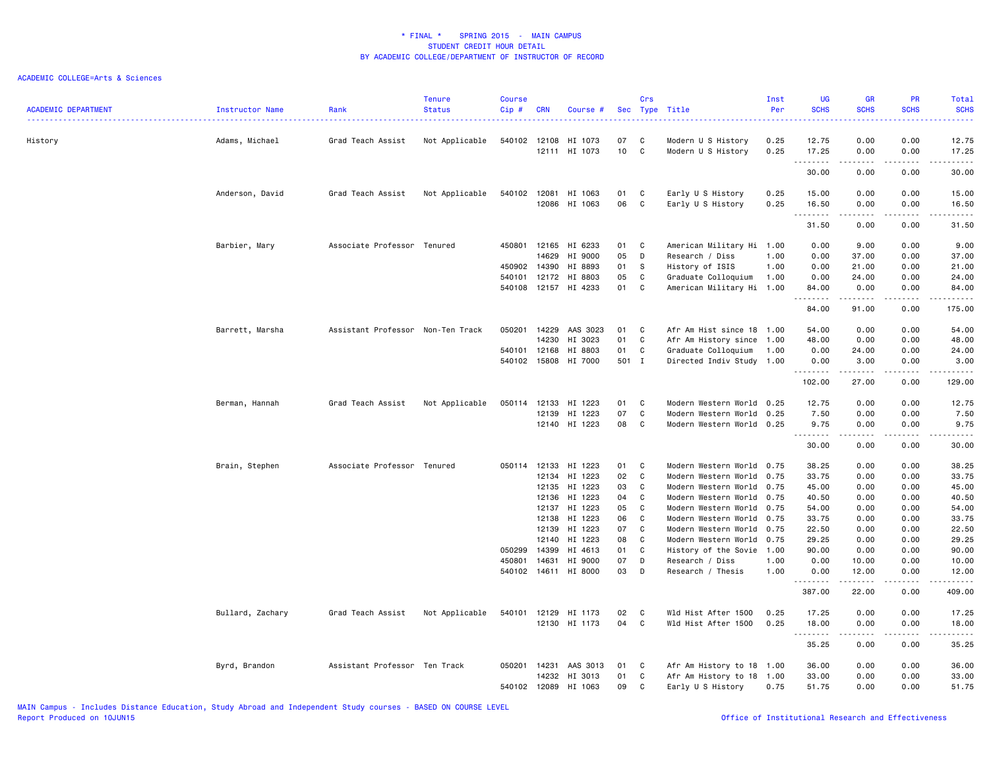| <b>ACADEMIC DEPARTMENT</b> | Instructor Name  | Rank                              | <b>Tenure</b><br><b>Status</b> | <b>Course</b><br>Cip# | <b>CRN</b>     | Course #           |                 | Crs    | Sec Type Title<br>. <u>.</u>           | Inst<br>Per  | <b>UG</b><br><b>SCHS</b><br>. | <b>GR</b><br><b>SCHS</b> | <b>PR</b><br><b>SCHS</b><br>$\frac{1}{2} \left( \frac{1}{2} \right) \left( \frac{1}{2} \right) \left( \frac{1}{2} \right) \left( \frac{1}{2} \right)$ | Total<br><b>SCHS</b><br>. |
|----------------------------|------------------|-----------------------------------|--------------------------------|-----------------------|----------------|--------------------|-----------------|--------|----------------------------------------|--------------|-------------------------------|--------------------------|-------------------------------------------------------------------------------------------------------------------------------------------------------|---------------------------|
| History                    | Adams, Michael   | Grad Teach Assist                 | Not Applicable                 | 540102                | 12108          | HI 1073            | 07              | C      | Modern U S History                     | 0.25         | 12.75                         | 0.00                     | 0.00                                                                                                                                                  | 12.75                     |
|                            |                  |                                   |                                |                       |                | 12111 HI 1073      | 10 <sub>1</sub> | C      | Modern U S History                     | 0.25         | 17.25<br>.                    | 0.00<br>$\cdots$         | 0.00<br>.                                                                                                                                             | 17.25<br>.                |
|                            |                  |                                   |                                |                       |                |                    |                 |        |                                        |              | 30.00                         | 0.00                     | 0.00                                                                                                                                                  | 30.00                     |
|                            | Anderson, David  | Grad Teach Assist                 | Not Applicable                 | 540102                | 12081<br>12086 | HI 1063<br>HI 1063 | 01<br>06        | C<br>C | Early U S History<br>Early U S History | 0.25<br>0.25 | 15.00<br>16.50                | 0.00<br>0.00             | 0.00<br>0.00                                                                                                                                          | 15.00<br>16.50            |
|                            |                  |                                   |                                |                       |                |                    |                 |        |                                        |              | <u>.</u>                      |                          |                                                                                                                                                       | . <u>.</u> .              |
|                            |                  |                                   |                                |                       |                |                    |                 |        |                                        |              | 31.50                         | 0.00                     | 0.00                                                                                                                                                  | 31.50                     |
|                            | Barbier, Mary    | Associate Professor Tenured       |                                | 450801                | 12165          | HI 6233            | 01              | C      | American Military Hi 1.00              |              | 0.00                          | 9.00                     | 0.00                                                                                                                                                  | 9.00                      |
|                            |                  |                                   |                                |                       | 14629          | HI 9000            | 05              | D      | Research / Diss                        | 1.00         | 0.00                          | 37.00                    | 0.00                                                                                                                                                  | 37.00                     |
|                            |                  |                                   |                                | 450902                | 14390          | HI 8893            | 01              | S      | History of ISIS                        | 1.00         | 0.00                          | 21.00                    | 0.00                                                                                                                                                  | 21.00                     |
|                            |                  |                                   |                                | 540101 12172          |                | HI 8803            | 05              | C      | Graduate Colloquium                    | 1.00         | 0.00                          | 24.00                    | 0.00                                                                                                                                                  | 24.00                     |
|                            |                  |                                   |                                | 540108 12157          |                | HI 4233            | 01              | C      | American Military Hi 1.00              |              | 84.00<br>.                    | 0.00<br>د د د د د        | 0.00<br>$\sim$ $\sim$ $\sim$                                                                                                                          | 84.00<br>.                |
|                            |                  |                                   |                                |                       |                |                    |                 |        |                                        |              | 84.00                         | 91.00                    | 0.00                                                                                                                                                  | 175.00                    |
|                            | Barrett, Marsha  | Assistant Professor Non-Ten Track |                                | 050201 14229          |                | AAS 3023           | 01              | C      | Afr Am Hist since 18 1.00              |              | 54.00                         | 0.00                     | 0.00                                                                                                                                                  | 54.00                     |
|                            |                  |                                   |                                |                       | 14230          | HI 3023            | 01              | C      | Afr Am History since                   | 1.00         | 48.00                         | 0.00                     | 0.00                                                                                                                                                  | 48.00                     |
|                            |                  |                                   |                                | 540101                | 12168          | HI 8803            | 01              | C      | Graduate Colloquium                    | 1.00         | 0.00                          | 24.00                    | 0.00                                                                                                                                                  | 24.00                     |
|                            |                  |                                   |                                | 540102 15808          |                | HI 7000            | 501 I           |        | Directed Indiv Study 1.00              |              | 0.00<br>.                     | 3.00<br>.                | 0.00<br>.                                                                                                                                             | 3.00<br>.                 |
|                            |                  |                                   |                                |                       |                |                    |                 |        |                                        |              | 102.00                        | 27.00                    | 0.00                                                                                                                                                  | 129.00                    |
|                            | Berman, Hannah   | Grad Teach Assist                 | Not Applicable                 | 050114                | 12133          | HI 1223            | 01              | C      | Modern Western World                   | 0.25         | 12.75                         | 0.00                     | 0.00                                                                                                                                                  | 12.75                     |
|                            |                  |                                   |                                |                       | 12139          | HI 1223            | 07              | C      | Modern Western World                   | 0.25         | 7.50                          | 0.00                     | 0.00                                                                                                                                                  | 7.50                      |
|                            |                  |                                   |                                |                       |                | 12140 HI 1223      | 08              | C      | Modern Western World 0.25              |              | 9.75<br>.                     | 0.00                     | 0.00<br>$\sim$ $\sim$ $\sim$ $\sim$                                                                                                                   | 9.75<br>.                 |
|                            |                  |                                   |                                |                       |                |                    |                 |        |                                        |              | 30.00                         | 0.00                     | 0.00                                                                                                                                                  | 30.00                     |
|                            | Brain, Stephen   | Associate Professor Tenured       |                                | 050114 12133          |                | HI 1223            | 01              | C      | Modern Western World 0.75              |              | 38.25                         | 0.00                     | 0.00                                                                                                                                                  | 38.25                     |
|                            |                  |                                   |                                |                       | 12134          | HI 1223            | 02              | C      | Modern Western World 0.75              |              | 33.75                         | 0.00                     | 0.00                                                                                                                                                  | 33.75                     |
|                            |                  |                                   |                                |                       | 12135          | HI 1223            | 03              | C      | Modern Western World 0.75              |              | 45.00                         | 0.00                     | 0.00                                                                                                                                                  | 45.00                     |
|                            |                  |                                   |                                |                       | 12136          | HI 1223            | 04              | C      | Modern Western World 0.75              |              | 40.50                         | 0.00                     | 0.00                                                                                                                                                  | 40.50                     |
|                            |                  |                                   |                                |                       | 12137          | HI 1223            | 05              | C      | Modern Western World                   | 0.75         | 54.00                         | 0.00                     | 0.00                                                                                                                                                  | 54.00                     |
|                            |                  |                                   |                                |                       | 12138          | HI 1223            | 06              | C      | Modern Western World                   | 0.75         | 33.75                         | 0.00                     | 0.00                                                                                                                                                  | 33.75                     |
|                            |                  |                                   |                                |                       | 12139          | HI 1223            | 07              | C      | Modern Western World 0.75              |              | 22.50                         | 0.00                     | 0.00                                                                                                                                                  | 22.50                     |
|                            |                  |                                   |                                |                       | 12140          | HI 1223            | 08              | C      | Modern Western World                   | 0.75         | 29.25                         | 0.00                     | 0.00                                                                                                                                                  | 29.25                     |
|                            |                  |                                   |                                | 050299                | 14399          | HI 4613            | 01              | C      | History of the Sovie                   | 1.00         | 90.00                         | 0.00                     | 0.00                                                                                                                                                  | 90.00                     |
|                            |                  |                                   |                                | 450801                | 14631          | HI 9000            | 07              | D      | Research / Diss                        | 1.00         | 0.00                          | 10.00                    | 0.00                                                                                                                                                  | 10.00                     |
|                            |                  |                                   |                                | 540102                | 14611          | HI 8000            | 03              | D      | Research / Thesis                      | 1.00         | 0.00<br>.                     | 12.00<br>.               | 0.00<br>.                                                                                                                                             | 12.00<br>.                |
|                            |                  |                                   |                                |                       |                |                    |                 |        |                                        |              | 387.00                        | 22.00                    | 0.00                                                                                                                                                  | 409.00                    |
|                            | Bullard, Zachary | Grad Teach Assist                 | Not Applicable                 | 540101                | 12129          | HI 1173            | 02              | C      | Wld Hist After 1500                    | 0.25         | 17.25                         | 0.00                     | 0.00                                                                                                                                                  | 17.25                     |
|                            |                  |                                   |                                |                       | 12130          | HI 1173            | 04              | C      | Wld Hist After 1500                    | 0.25         | 18.00<br>.                    | 0.00                     | 0.00                                                                                                                                                  | 18.00<br>$\frac{1}{2}$    |
|                            |                  |                                   |                                |                       |                |                    |                 |        |                                        |              | 35.25                         | 0.00                     | 0.00                                                                                                                                                  | 35.25                     |
|                            | Byrd, Brandon    | Assistant Professor Ten Track     |                                | 050201                | 14231          | AAS 3013           | 01              | C      | Afr Am History to 18                   | 1.00         | 36.00                         | 0.00                     | 0.00                                                                                                                                                  | 36.00                     |
|                            |                  |                                   |                                |                       | 14232          | HI 3013            | 01              | C      | Afr Am History to 18                   | 1.00         | 33.00                         | 0.00                     | 0.00                                                                                                                                                  | 33.00                     |
|                            |                  |                                   |                                | 540102                | 12089          | HI 1063            | 09              | C      | Early U S History                      | 0.75         | 51.75                         | 0.00                     | 0.00                                                                                                                                                  | 51.75                     |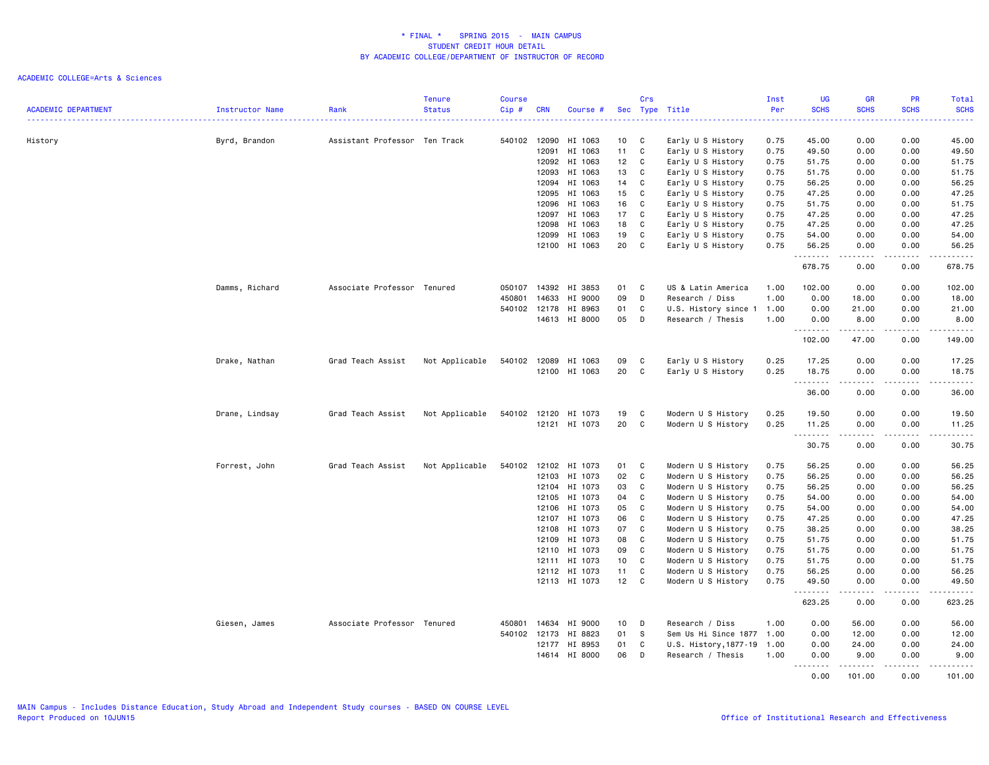| <b>ACADEMIC DEPARTMENT</b> | Instructor Name | Rank                          | <b>Tenure</b><br><b>Status</b> | <b>Course</b><br>Cip# | <b>CRN</b>     | Course #           |                 | Crs          | Sec Type Title                                  | Inst<br>Per | <b>UG</b><br><b>SCHS</b> | <b>GR</b><br><b>SCHS</b>                                                                                                                                     | <b>PR</b><br><b>SCHS</b> | Total<br><b>SCHS</b><br>والمستحدث                                                                                                 |
|----------------------------|-----------------|-------------------------------|--------------------------------|-----------------------|----------------|--------------------|-----------------|--------------|-------------------------------------------------|-------------|--------------------------|--------------------------------------------------------------------------------------------------------------------------------------------------------------|--------------------------|-----------------------------------------------------------------------------------------------------------------------------------|
| History                    | Byrd, Brandon   | Assistant Professor Ten Track |                                | 540102 12090          |                | HI 1063            | 10 <sub>1</sub> | C            | Early U S History                               | 0.75        | 45.00                    | 0.00                                                                                                                                                         | 0.00                     | 45.00                                                                                                                             |
|                            |                 |                               |                                |                       | 12091          | HI 1063            | 11              | C            | Early U S History                               | 0.75        | 49.50                    | 0.00                                                                                                                                                         | 0.00                     | 49.50                                                                                                                             |
|                            |                 |                               |                                |                       | 12092          | HI 1063            | 12              | C            | Early U S History                               | 0.75        | 51.75                    | 0.00                                                                                                                                                         | 0.00                     | 51.75                                                                                                                             |
|                            |                 |                               |                                |                       | 12093          | HI 1063            | 13              | C            | Early U S History                               | 0.75        | 51.75                    | 0.00                                                                                                                                                         | 0.00                     | 51.75                                                                                                                             |
|                            |                 |                               |                                |                       | 12094          | HI 1063            | 14              | C            | Early U S History                               | 0.75        | 56.25                    | 0.00                                                                                                                                                         | 0.00                     | 56.25                                                                                                                             |
|                            |                 |                               |                                |                       | 12095          | HI 1063            | 15              | C            | Early U S History                               | 0.75        | 47.25                    | 0.00                                                                                                                                                         | 0.00                     | 47.25                                                                                                                             |
|                            |                 |                               |                                |                       | 12096          | HI 1063            | 16              | C            | Early U S History                               | 0.75        | 51.75                    | 0.00                                                                                                                                                         | 0.00                     | 51.75                                                                                                                             |
|                            |                 |                               |                                |                       | 12097          | HI 1063            | 17              | C            | Early U S History                               | 0.75        | 47.25                    | 0.00                                                                                                                                                         | 0.00                     | 47.25                                                                                                                             |
|                            |                 |                               |                                |                       | 12098          | HI 1063            | 18              | C            | Early U S History                               | 0.75        | 47.25                    | 0.00                                                                                                                                                         | 0.00                     | 47.25                                                                                                                             |
|                            |                 |                               |                                |                       | 12099          | HI 1063            | 19              | C            | Early U S History                               | 0.75        | 54.00                    | 0.00                                                                                                                                                         | 0.00                     | 54.00                                                                                                                             |
|                            |                 |                               |                                |                       | 12100          | HI 1063            | 20              | $\mathbf c$  | Early U S History                               | 0.75        | 56.25<br>.               | 0.00                                                                                                                                                         | 0.00<br>$\frac{1}{2}$    | 56.25<br>$    -$                                                                                                                  |
|                            |                 |                               |                                |                       |                |                    |                 |              |                                                 |             | 678.75                   | 0.00                                                                                                                                                         | 0.00                     | 678.75                                                                                                                            |
|                            | Damms, Richard  | Associate Professor Tenured   |                                | 050107                | 14392          | HI 3853            | 01              | C            | US & Latin America                              | 1.00        | 102.00                   | 0.00                                                                                                                                                         | 0.00                     | 102.00                                                                                                                            |
|                            |                 |                               |                                | 450801                | 14633          | HI 9000            | 09              | D            | Research / Diss                                 | 1.00        | 0.00                     | 18.00                                                                                                                                                        | 0.00                     | 18.00                                                                                                                             |
|                            |                 |                               |                                | 540102                | 12178          | HI 8963            | 01              | C            | U.S. History since 1                            | 1.00        | 0.00                     | 21.00                                                                                                                                                        | 0.00                     | 21.00                                                                                                                             |
|                            |                 |                               |                                |                       |                | 14613 HI 8000      | 05              | D            | Research / Thesis                               | 1.00        | 0.00                     | 8.00                                                                                                                                                         | 0.00                     | 8.00<br>$\begin{array}{cccccccccccccc} \bullet & \bullet & \bullet & \bullet & \bullet & \bullet & \bullet & \bullet \end{array}$ |
|                            |                 |                               |                                |                       |                |                    |                 |              |                                                 |             | .<br>102.00              | 47.00                                                                                                                                                        | .<br>0.00                | 149.00                                                                                                                            |
|                            | Drake, Nathan   | Grad Teach Assist             | Not Applicable                 | 540102 12089          |                | HI 1063            | 09              | C            | Early U S History                               | 0.25        | 17.25                    | 0.00                                                                                                                                                         | 0.00                     | 17.25                                                                                                                             |
|                            |                 |                               |                                |                       | 12100          | HI 1063            | 20              | $\mathbb{C}$ | Early U S History                               | 0.25        | 18.75                    | 0.00                                                                                                                                                         | 0.00                     | 18.75                                                                                                                             |
|                            |                 |                               |                                |                       |                |                    |                 |              |                                                 |             | 36.00                    | .<br>0.00                                                                                                                                                    | والمستوات<br>0.00        | .<br>36.00                                                                                                                        |
|                            | Drane, Lindsay  | Grad Teach Assist             | Not Applicable                 | 540102 12120          |                | HI 1073            | 19              | C            | Modern U S History                              | 0.25        | 19.50                    | 0.00                                                                                                                                                         | 0.00                     | 19.50                                                                                                                             |
|                            |                 |                               |                                |                       |                | 12121 HI 1073      | 20              | C            | Modern U S History                              | 0.25        | 11.25                    | 0.00<br>$\frac{1}{2} \left( \frac{1}{2} \right) \left( \frac{1}{2} \right) \left( \frac{1}{2} \right) \left( \frac{1}{2} \right) \left( \frac{1}{2} \right)$ | 0.00<br>.                | 11.25<br>.                                                                                                                        |
|                            |                 |                               |                                |                       |                |                    |                 |              |                                                 |             | --------<br>30.75        | 0.00                                                                                                                                                         | 0.00                     | 30.75                                                                                                                             |
|                            | Forrest, John   | Grad Teach Assist             | Not Applicable                 | 540102                | 12102          | HI 1073            | 01              | C            | Modern U S History                              | 0.75        | 56.25                    | 0.00                                                                                                                                                         | 0.00                     | 56.25                                                                                                                             |
|                            |                 |                               |                                |                       | 12103          | HI 1073            | 02              | C            | Modern U S History                              | 0.75        | 56.25                    | 0.00                                                                                                                                                         | 0.00                     | 56.25                                                                                                                             |
|                            |                 |                               |                                |                       | 12104          | HI 1073            | 03              | C            | Modern U S History                              | 0.75        | 56.25                    | 0.00                                                                                                                                                         | 0.00                     | 56.25                                                                                                                             |
|                            |                 |                               |                                |                       | 12105          | HI 1073            | 04              | C            | Modern U S History                              | 0.75        | 54.00                    | 0.00                                                                                                                                                         | 0.00                     | 54.00                                                                                                                             |
|                            |                 |                               |                                |                       | 12106          | HI 1073            | 05              | C            | Modern U S History                              | 0.75        | 54.00                    | 0.00                                                                                                                                                         | 0.00                     | 54.00                                                                                                                             |
|                            |                 |                               |                                |                       | 12107          | HI 1073            | 06              | C            | Modern U S History                              | 0.75        | 47.25                    | 0.00                                                                                                                                                         | 0.00                     | 47.25                                                                                                                             |
|                            |                 |                               |                                |                       | 12108          | HI 1073            | 07              | C            | Modern U S History                              | 0.75        | 38.25                    | 0.00                                                                                                                                                         | 0.00                     | 38.25                                                                                                                             |
|                            |                 |                               |                                |                       | 12109          | HI 1073            | 08              | C            | Modern U S History                              | 0.75        | 51.75                    | 0.00                                                                                                                                                         | 0.00                     | 51.75                                                                                                                             |
|                            |                 |                               |                                |                       | 12110          | HI 1073            | 09              | C            | Modern U S History                              | 0.75        | 51.75                    | 0.00                                                                                                                                                         | 0.00                     | 51.75                                                                                                                             |
|                            |                 |                               |                                |                       | 12111          | HI 1073            | 10 <sup>1</sup> | C            | Modern U S History                              | 0.75        | 51.75                    | 0.00                                                                                                                                                         | 0.00                     | 51.75                                                                                                                             |
|                            |                 |                               |                                |                       |                | 12112 HI 1073      | 11              | C            | Modern U S History                              | 0.75        | 56.25                    | 0.00                                                                                                                                                         | 0.00                     | 56.25                                                                                                                             |
|                            |                 |                               |                                |                       |                | 12113 HI 1073      | 12 <sub>2</sub> | C            | Modern U S History                              | 0.75        | 49.50<br>.               | 0.00<br>المتمامين                                                                                                                                            | 0.00<br>.                | 49.50<br>.                                                                                                                        |
|                            |                 |                               |                                |                       |                |                    |                 |              |                                                 |             | 623.25                   | 0.00                                                                                                                                                         | 0.00                     | 623.25                                                                                                                            |
|                            | Giesen, James   | Associate Professor Tenured   |                                | 450801                | 14634          | HI 9000            | 10              | D            | Research / Diss                                 | 1.00        | 0.00                     | 56.00                                                                                                                                                        | 0.00                     | 56.00                                                                                                                             |
|                            |                 |                               |                                | 540102 12173          |                | HI 8823            | 01              | S            | Sem Us Hi Since 1877 1.00                       |             | 0.00                     | 12.00                                                                                                                                                        | 0.00                     | 12.00                                                                                                                             |
|                            |                 |                               |                                |                       | 12177<br>14614 | HI 8953<br>HI 8000 | 01<br>06        | C<br>D       | U.S. History, 1877-19 1.00<br>Research / Thesis | 1.00        | 0.00<br>0.00             | 24.00<br>9.00                                                                                                                                                | 0.00<br>0.00             | 24.00<br>9.00                                                                                                                     |
|                            |                 |                               |                                |                       |                |                    |                 |              |                                                 |             | 1.1.1.1.1.1.1<br>0.00    | 101.00                                                                                                                                                       | -----<br>0.00            | <u>.</u><br>101.00                                                                                                                |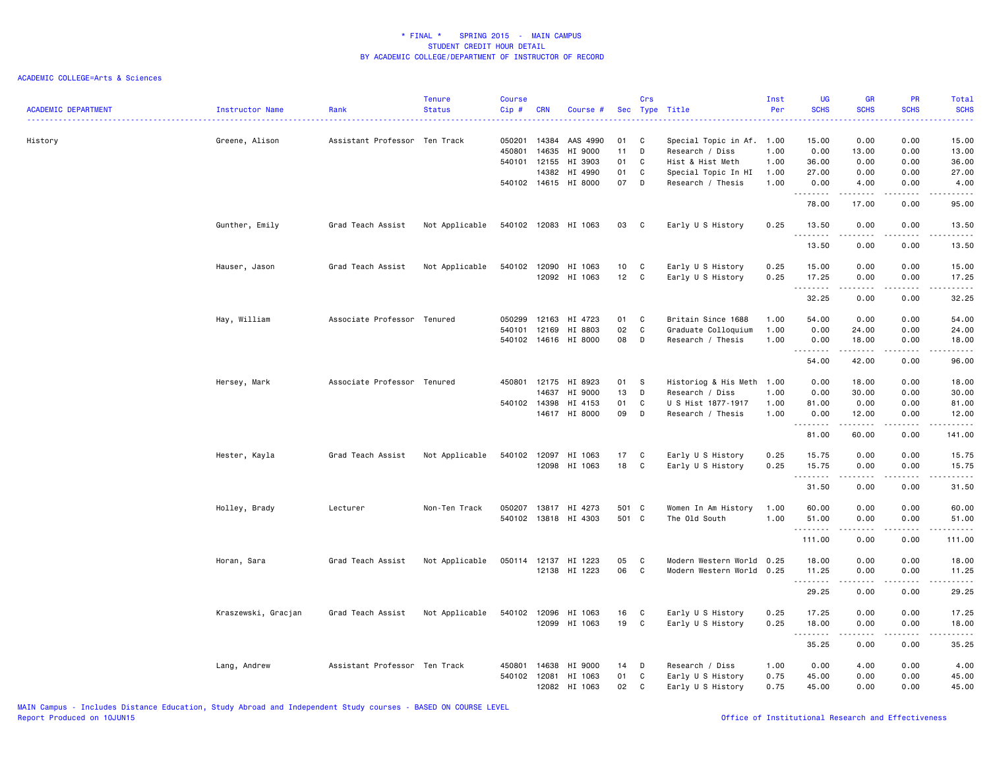| <b>ACADEMIC DEPARTMENT</b> | Instructor Name     | Rank                          | <b>Tenure</b><br><b>Status</b> | <b>Course</b><br>Cip#            | <b>CRN</b>              | Course #                                 |                      | Crs                | Sec Type Title                                                                          | Inst<br>Per          | <b>UG</b><br><b>SCHS</b><br>د د د د | <b>GR</b><br><b>SCHS</b>                                                                                                                                             | PR<br><b>SCHS</b><br>2222.   | Total<br><b>SCHS</b><br>.        |
|----------------------------|---------------------|-------------------------------|--------------------------------|----------------------------------|-------------------------|------------------------------------------|----------------------|--------------------|-----------------------------------------------------------------------------------------|----------------------|-------------------------------------|----------------------------------------------------------------------------------------------------------------------------------------------------------------------|------------------------------|----------------------------------|
| History                    | Greene, Alison      | Assistant Professor Ten Track |                                | 050201<br>450801<br>540101 12155 | 14384<br>14635          | AAS 4990<br>HI 9000<br>HI 3903           | 01<br>11<br>01       | C<br>D<br>C        | Special Topic in Af. 1.00<br>Research / Diss<br>Hist & Hist Meth                        | 1.00<br>1.00         | 15.00<br>0.00<br>36.00              | 0.00<br>13.00<br>0.00                                                                                                                                                | 0.00<br>0.00<br>0.00         | 15.00<br>13.00<br>36.00          |
|                            |                     |                               |                                |                                  | 14382                   | HI 4990<br>540102 14615 HI 8000          | 01<br>07             | C<br>D             | Special Topic In HI<br>Research / Thesis                                                | 1.00<br>1.00         | 27.00<br>0.00                       | 0.00<br>4.00                                                                                                                                                         | 0.00<br>0.00                 | 27.00<br>4.00                    |
|                            |                     |                               |                                |                                  |                         |                                          |                      |                    |                                                                                         |                      | .<br>78.00                          | .<br>17.00                                                                                                                                                           | د د د د<br>0.00              | .<br>95.00                       |
|                            | Gunther, Emily      | Grad Teach Assist             | Not Applicable                 | 540102 12083                     |                         | HI 1063                                  | 03                   | C                  | Early U S History                                                                       | 0.25                 | 13.50<br>.                          | 0.00<br>$\frac{1}{2} \left( \frac{1}{2} \right) \left( \frac{1}{2} \right) \left( \frac{1}{2} \right) \left( \frac{1}{2} \right) \left( \frac{1}{2} \right)$         | 0.00<br>.                    | 13.50<br>.                       |
|                            |                     |                               |                                |                                  |                         |                                          |                      |                    |                                                                                         |                      | 13.50                               | 0.00                                                                                                                                                                 | 0.00                         | 13.50                            |
|                            | Hauser, Jason       | Grad Teach Assist             | Not Applicable                 | 540102                           | 12090                   | HI 1063<br>12092 HI 1063                 | 10<br>12             | C<br>C             | Early U S History<br>Early U S History                                                  | 0.25<br>0.25         | 15.00<br>17.25<br>. <b>.</b>        | 0.00<br>0.00<br>$\frac{1}{2} \left( \frac{1}{2} \right) \left( \frac{1}{2} \right) \left( \frac{1}{2} \right) \left( \frac{1}{2} \right) \left( \frac{1}{2} \right)$ | 0.00<br>0.00<br>.            | 15.00<br>17.25<br>.              |
|                            |                     |                               |                                |                                  |                         |                                          |                      |                    |                                                                                         |                      | 32.25                               | 0.00                                                                                                                                                                 | 0.00                         | 32.25                            |
|                            | Hay, William        | Associate Professor Tenured   |                                | 050299<br>540101<br>540102 14616 | 12163<br>12169          | HI 4723<br>HI 8803<br>HI 8000            | 01<br>02<br>08       | C<br>C<br>D        | Britain Since 1688<br>Graduate Colloquium<br>Research / Thesis                          | 1.00<br>1.00<br>1.00 | 54.00<br>0.00<br>0.00<br>.          | 0.00<br>24.00<br>18.00<br>.                                                                                                                                          | 0.00<br>0.00<br>0.00<br>.    | 54.00<br>24.00<br>18,00<br>.     |
|                            |                     |                               |                                |                                  |                         |                                          |                      |                    |                                                                                         |                      | 54.00                               | 42.00                                                                                                                                                                | 0.00                         | 96.00                            |
|                            | Hersey, Mark        | Associate Professor Tenured   |                                | 450801<br>540102 14398           | 12175<br>14637<br>14617 | HI 8923<br>HI 9000<br>HI 4153<br>HI 8000 | 01<br>13<br>01<br>09 | - S<br>D<br>C<br>D | Historiog & His Meth 1.00<br>Research / Diss<br>U S Hist 1877-1917<br>Research / Thesis | 1.00<br>1.00<br>1.00 | 0.00<br>0.00<br>81.00<br>0.00       | 18.00<br>30.00<br>0.00<br>12.00                                                                                                                                      | 0.00<br>0.00<br>0.00<br>0.00 | 18.00<br>30.00<br>81.00<br>12.00 |
|                            |                     |                               |                                |                                  |                         |                                          |                      |                    |                                                                                         |                      | .<br>81.00                          | .<br>60.00                                                                                                                                                           | .<br>0.00                    | ------<br>141.00                 |
|                            | Hester, Kayla       | Grad Teach Assist             | Not Applicable                 | 540102 12097                     | 12098                   | HI 1063<br>HI 1063                       | 17<br>18             | C<br>C             | Early U S History<br>Early U S History                                                  | 0.25<br>0.25         | 15.75<br>15.75<br>.                 | 0.00<br>0.00<br>.                                                                                                                                                    | 0.00<br>0.00<br>.            | 15.75<br>15.75<br>.              |
|                            |                     |                               |                                |                                  |                         |                                          |                      |                    |                                                                                         |                      | 31.50                               | 0.00                                                                                                                                                                 | 0.00                         | 31.50                            |
|                            | Holley, Brady       | Lecturer                      | Non-Ten Track                  | 050207                           | 13817                   | HI 4273<br>540102 13818 HI 4303          | 501 C<br>501 C       |                    | Women In Am History<br>The Old South                                                    | 1.00<br>1.00         | 60.00<br>51.00<br>. <b>.</b>        | 0.00<br>0.00<br>$\frac{1}{2} \left( \frac{1}{2} \right) \left( \frac{1}{2} \right) \left( \frac{1}{2} \right) \left( \frac{1}{2} \right) \left( \frac{1}{2} \right)$ | 0.00<br>0.00<br>بالأباد      | 60.00<br>51.00<br>.              |
|                            |                     |                               |                                |                                  |                         |                                          |                      |                    |                                                                                         |                      | 111.00                              | 0.00                                                                                                                                                                 | 0.00                         | 111.00                           |
|                            | Horan, Sara         | Grad Teach Assist             | Not Applicable                 | 050114                           | 12137<br>12138          | HI 1223<br>HI 1223                       | 05<br>06             | C<br>$\mathbf c$   | Modern Western World<br>Modern Western World 0.25                                       | 0.25                 | 18.00<br>11.25<br>.                 | 0.00<br>0.00<br>$\frac{1}{2} \left( \frac{1}{2} \right) \left( \frac{1}{2} \right) \left( \frac{1}{2} \right) \left( \frac{1}{2} \right) \left( \frac{1}{2} \right)$ | 0.00<br>0.00<br>.            | 18.00<br>11.25<br>.              |
|                            |                     |                               |                                |                                  |                         |                                          |                      |                    |                                                                                         |                      | 29.25                               | 0.00                                                                                                                                                                 | 0.00                         | 29.25                            |
|                            | Kraszewski, Gracjan | Grad Teach Assist             | Not Applicable                 | 540102                           | 12096<br>12099          | HI 1063<br>HI 1063                       | 16<br>19             | C<br>C             | Early U S History<br>Early U S History                                                  | 0.25<br>0.25         | 17.25<br>18.00                      | 0.00<br>0.00                                                                                                                                                         | 0.00<br>0.00                 | 17.25<br>18.00                   |
|                            |                     |                               |                                |                                  |                         |                                          |                      |                    |                                                                                         |                      | .<br>35.25                          | .<br>0.00                                                                                                                                                            | 0.00                         | .<br>35.25                       |
|                            | Lang, Andrew        | Assistant Professor Ten Track |                                | 450801<br>540102 12081           | 14638                   | HI 9000<br>HI 1063<br>12082 HI 1063      | 14<br>01<br>02       | D<br>C<br>C        | Research / Diss<br>Early U S History<br>Early U S History                               | 1.00<br>0.75<br>0.75 | 0.00<br>45.00<br>45.00              | 4.00<br>0.00<br>0.00                                                                                                                                                 | 0.00<br>0.00<br>0.00         | 4.00<br>45.00<br>45.00           |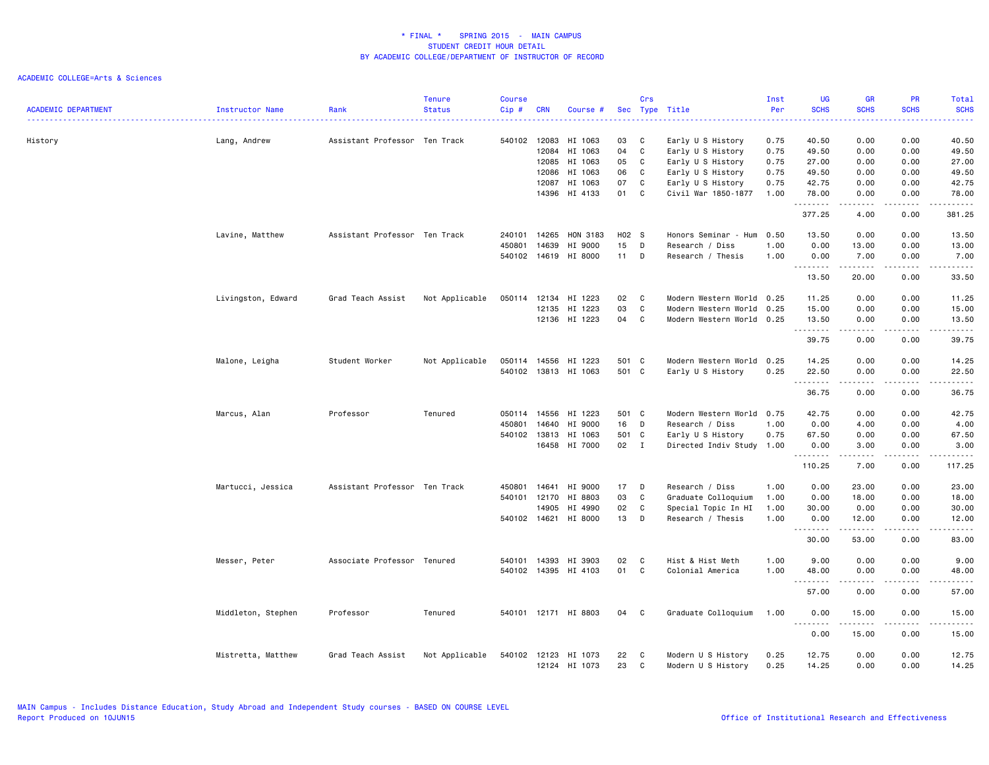|                            |                    |                               | <b>Tenure</b>  | <b>Course</b> |              |                      |       | Crs          |                           | Inst | <b>UG</b>                                  | <b>GR</b>          | <b>PR</b>         | Total                                                                                                                                    |
|----------------------------|--------------------|-------------------------------|----------------|---------------|--------------|----------------------|-------|--------------|---------------------------|------|--------------------------------------------|--------------------|-------------------|------------------------------------------------------------------------------------------------------------------------------------------|
| <b>ACADEMIC DEPARTMENT</b> | Instructor Name    | Rank                          | <b>Status</b>  | Cip#          | <b>CRN</b>   | Course #             |       |              | Sec Type Title            | Per  | <b>SCHS</b><br>$\sim$ $\sim$ $\sim$ $\sim$ | <b>SCHS</b>        | <b>SCHS</b>       | <b>SCHS</b><br>$\frac{1}{2} \left( \frac{1}{2} \right) \left( \frac{1}{2} \right) \left( \frac{1}{2} \right) \left( \frac{1}{2} \right)$ |
| History                    | Lang, Andrew       | Assistant Professor Ten Track |                |               | 540102 12083 | HI 1063              | 03    | C            | Early U S History         | 0.75 | 40.50                                      | 0.00               | 0.00              | 40.50                                                                                                                                    |
|                            |                    |                               |                |               | 12084        | HI 1063              | 04    | C            | Early U S History         | 0.75 | 49.50                                      | 0.00               | 0.00              | 49.50                                                                                                                                    |
|                            |                    |                               |                |               | 12085        | HI 1063              | 05    | C            | Early U S History         | 0.75 | 27.00                                      | 0.00               | 0.00              | 27.00                                                                                                                                    |
|                            |                    |                               |                |               | 12086        | HI 1063              | 06    | C            | Early U S History         | 0.75 | 49.50                                      | 0.00               | 0.00              | 49.50                                                                                                                                    |
|                            |                    |                               |                |               | 12087        | HI 1063              | 07    | C            | Early U S History         | 0.75 | 42.75                                      | 0.00               | 0.00              | 42.75                                                                                                                                    |
|                            |                    |                               |                |               | 14396        | HI 4133              | 01    | C            | Civil War 1850-1877       | 1.00 | 78.00<br>.                                 | 0.00<br>.          | 0.00<br>د د د د   | 78.00<br>.                                                                                                                               |
|                            |                    |                               |                |               |              |                      |       |              |                           |      | 377.25                                     | 4.00               | 0.00              | 381.25                                                                                                                                   |
|                            | Lavine, Matthew    | Assistant Professor Ten Track |                | 240101        | 14265        | HON 3183             | H02 S |              | Honors Seminar - Hum      | 0.50 | 13.50                                      | 0.00               | 0.00              | 13.50                                                                                                                                    |
|                            |                    |                               |                | 450801        | 14639        | HI 9000              | 15    | D            | Research / Diss           | 1.00 | 0.00                                       | 13.00              | 0.00              | 13.00                                                                                                                                    |
|                            |                    |                               |                | 540102 14619  |              | HI 8000              | 11    | D            | Research / Thesis         | 1.00 | 0.00<br>.                                  | 7.00<br>. <u>.</u> | 0.00<br>$- - - -$ | 7.00<br>$- - - - -$                                                                                                                      |
|                            |                    |                               |                |               |              |                      |       |              |                           |      | 13.50                                      | 20.00              | 0.00              | 33.50                                                                                                                                    |
|                            | Livingston, Edward | Grad Teach Assist             | Not Applicable | 050114        | 12134        | HI 1223              | 02    | C            | Modern Western World      | 0.25 | 11.25                                      | 0.00               | 0.00              | 11.25                                                                                                                                    |
|                            |                    |                               |                |               | 12135        | HI 1223              | 03    | C            | Modern Western World      | 0.25 | 15.00                                      | 0.00               | 0.00              | 15.00                                                                                                                                    |
|                            |                    |                               |                |               |              | 12136 HI 1223        | 04    | C            | Modern Western World 0.25 |      | 13.50                                      | 0.00               | 0.00              | 13.50                                                                                                                                    |
|                            |                    |                               |                |               |              |                      |       |              |                           |      | .<br>39.75                                 | - - - - -<br>0.00  | .<br>0.00         | د د د د د<br>39.75                                                                                                                       |
|                            | Malone, Leigha     | Student Worker                | Not Applicable | 050114        | 14556        | HI 1223              | 501 C |              | Modern Western World      | 0.25 | 14.25                                      | 0.00               | 0.00              | 14.25                                                                                                                                    |
|                            |                    |                               |                |               |              | 540102 13813 HI 1063 | 501 C |              | Early U S History         | 0.25 | 22.50                                      | 0.00               | 0.00              | 22.50                                                                                                                                    |
|                            |                    |                               |                |               |              |                      |       |              |                           |      | .<br>36.75                                 | د د د د د<br>0.00  | .<br>0.00         | .<br>36.75                                                                                                                               |
|                            | Marcus, Alan       | Professor                     | Tenured        | 050114        | 14556        | HI 1223              | 501 C |              | Modern Western World 0.75 |      | 42.75                                      | 0.00               | 0.00              | 42.75                                                                                                                                    |
|                            |                    |                               |                | 450801        | 14640        | HI 9000              | 16    | D            | Research / Diss           | 1.00 | 0.00                                       | 4.00               | 0.00              | 4.00                                                                                                                                     |
|                            |                    |                               |                | 540102 13813  |              | HI 1063              | 501   | $\mathbf{C}$ | Early U S History         | 0.75 | 67.50                                      | 0.00               | 0.00              | 67.50                                                                                                                                    |
|                            |                    |                               |                |               | 16458        | HI 7000              | 02    | $\mathbf{I}$ | Directed Indiv Study 1.00 |      | 0.00                                       | 3.00               | 0.00              | 3.00                                                                                                                                     |
|                            |                    |                               |                |               |              |                      |       |              |                           |      | .<br>110.25                                | .<br>7.00          | .<br>0.00         | .<br>117.25                                                                                                                              |
|                            | Martucci, Jessica  | Assistant Professor Ten Track |                | 450801        | 14641        | HI 9000              | 17    | D            | Research / Diss           | 1.00 | 0.00                                       | 23.00              | 0.00              | 23.00                                                                                                                                    |
|                            |                    |                               |                | 540101 12170  |              | HI 8803              | 03    | C            | Graduate Colloquium       | 1.00 | 0.00                                       | 18.00              | 0.00              | 18.00                                                                                                                                    |
|                            |                    |                               |                |               | 14905        | HI 4990              | 02    | C            | Special Topic In HI       | 1.00 | 30.00                                      | 0.00               | 0.00              | 30.00                                                                                                                                    |
|                            |                    |                               |                |               | 540102 14621 | HI 8000              | 13    | D            | Research / Thesis         | 1.00 | 0.00<br>.                                  | 12.00<br>.         | 0.00<br>.         | 12.00<br>.                                                                                                                               |
|                            |                    |                               |                |               |              |                      |       |              |                           |      | 30.00                                      | 53.00              | 0.00              | 83.00                                                                                                                                    |
|                            | Messer, Peter      | Associate Professor Tenured   |                | 540101        | 14393        | HI 3903              | 02    | C            | Hist & Hist Meth          | 1.00 | 9.00                                       | 0.00               | 0.00              | 9.00                                                                                                                                     |
|                            |                    |                               |                | 540102 14395  |              | HI 4103              | 01    | C            | Colonial America          | 1.00 | 48.00<br>.                                 | 0.00               | 0.00              | 48.00<br>والمستحدث                                                                                                                       |
|                            |                    |                               |                |               |              |                      |       |              |                           |      | 57.00                                      | 0.00               | 0.00              | 57.00                                                                                                                                    |
|                            | Middleton, Stephen | Professor                     | Tenured        |               |              | 540101 12171 HI 8803 | 04    | C            | Graduate Colloquium       | 1.00 | 0.00<br>.                                  | 15.00<br>.         | 0.00<br>د د د د   | 15.00<br>.                                                                                                                               |
|                            |                    |                               |                |               |              |                      |       |              |                           |      | 0.00                                       | 15.00              | 0.00              | 15.00                                                                                                                                    |
|                            | Mistretta, Matthew | Grad Teach Assist             | Not Applicable | 540102        | 12123        | HI 1073              | 22    | C            | Modern U S History        | 0.25 | 12.75                                      | 0.00               | 0.00              | 12.75                                                                                                                                    |
|                            |                    |                               |                |               |              | 12124 HI 1073        | 23    | C            | Modern U S History        | 0.25 | 14.25                                      | 0.00               | 0.00              | 14.25                                                                                                                                    |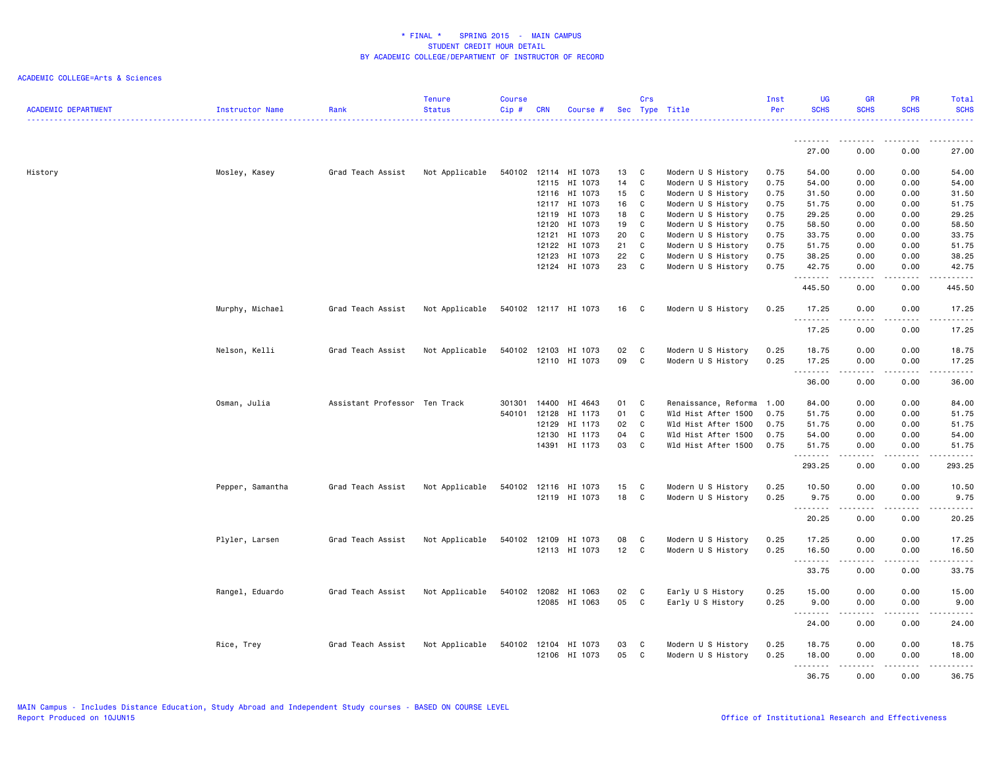| <b>ACADEMIC DEPARTMENT</b> | Instructor Name  | Rank                          | <b>Tenure</b><br><b>Status</b> | <b>Course</b><br>Cip# | <b>CRN</b> | Course #                       |          | Crs         | Sec Type Title                           | Inst<br>Per  | <b>UG</b><br><b>SCHS</b> | <b>GR</b><br><b>SCHS</b>                                                                                                                                     | <b>PR</b><br><b>SCHS</b> | Total<br><b>SCHS</b>                                                                                                              |
|----------------------------|------------------|-------------------------------|--------------------------------|-----------------------|------------|--------------------------------|----------|-------------|------------------------------------------|--------------|--------------------------|--------------------------------------------------------------------------------------------------------------------------------------------------------------|--------------------------|-----------------------------------------------------------------------------------------------------------------------------------|
|                            |                  |                               |                                |                       |            |                                |          |             |                                          |              |                          |                                                                                                                                                              |                          |                                                                                                                                   |
|                            |                  |                               |                                |                       |            |                                |          |             |                                          |              | 27.00                    | 0.00                                                                                                                                                         | 0.00                     | 27.00                                                                                                                             |
| History                    | Mosley, Kasey    | Grad Teach Assist             | Not Applicable                 | 540102                |            | 12114 HI 1073                  | 13       | C           | Modern U S History                       | 0.75         | 54.00                    | 0.00                                                                                                                                                         | 0.00                     | 54.00                                                                                                                             |
|                            |                  |                               |                                |                       |            | 12115 HI 1073                  | 14       | C           | Modern U S History                       | 0.75         | 54.00                    | 0.00                                                                                                                                                         | 0.00                     | 54.00                                                                                                                             |
|                            |                  |                               |                                |                       |            | 12116 HI 1073                  | 15       | C           | Modern U S History                       | 0.75         | 31.50                    | 0.00                                                                                                                                                         | 0.00                     | 31.50                                                                                                                             |
|                            |                  |                               |                                |                       | 12117      | HI 1073                        | 16       | C           | Modern U S History                       | 0.75         | 51.75                    | 0.00                                                                                                                                                         | 0.00                     | 51.75                                                                                                                             |
|                            |                  |                               |                                |                       | 12119      | HI 1073                        | 18       | C           | Modern U S History                       | 0.75         | 29.25                    | 0.00                                                                                                                                                         | 0.00                     | 29.25                                                                                                                             |
|                            |                  |                               |                                |                       | 12120      | HI 1073                        | 19       | C           | Modern U S History                       | 0.75         | 58.50                    | 0.00                                                                                                                                                         | 0.00                     | 58.50                                                                                                                             |
|                            |                  |                               |                                |                       | 12121      | HI 1073                        | 20       | C           | Modern U S History                       | 0.75         | 33.75                    | 0.00                                                                                                                                                         | 0.00                     | 33.75                                                                                                                             |
|                            |                  |                               |                                |                       | 12122      | HI 1073                        | 21       | $\mathbb C$ | Modern U S History                       | 0.75         | 51.75                    | 0.00                                                                                                                                                         | 0.00                     | 51.75                                                                                                                             |
|                            |                  |                               |                                |                       | 12123      | HI 1073                        | 22       | C           | Modern U S History                       | 0.75         | 38.25                    | 0.00                                                                                                                                                         | 0.00                     | 38.25                                                                                                                             |
|                            |                  |                               |                                |                       |            | 12124 HI 1073                  | 23       | C           | Modern U S History                       | 0.75         | 42.75<br>.               | 0.00<br>$\sim$ $\sim$ $\sim$ $\sim$                                                                                                                          | 0.00<br>.                | 42.75<br>$\sim$ $\sim$ $\sim$ $\sim$                                                                                              |
|                            |                  |                               |                                |                       |            |                                |          |             |                                          |              | 445.50                   | 0.00                                                                                                                                                         | 0.00                     | 445.50                                                                                                                            |
|                            | Murphy, Michael  | Grad Teach Assist             | Not Applicable                 |                       |            | 540102 12117 HI 1073           | 16       | C           | Modern U S History                       | 0.25         | 17.25                    | 0.00<br>$\frac{1}{2} \left( \frac{1}{2} \right) \left( \frac{1}{2} \right) \left( \frac{1}{2} \right) \left( \frac{1}{2} \right) \left( \frac{1}{2} \right)$ | 0.00<br>.                | 17.25<br>.                                                                                                                        |
|                            |                  |                               |                                |                       |            |                                |          |             |                                          |              | 17.25                    | 0.00                                                                                                                                                         | 0.00                     | 17.25                                                                                                                             |
|                            |                  |                               |                                |                       |            |                                |          | C           |                                          |              |                          |                                                                                                                                                              |                          |                                                                                                                                   |
|                            | Nelson, Kelli    | Grad Teach Assist             | Not Applicable                 | 540102                |            | 12103 HI 1073<br>12110 HI 1073 | 02<br>09 | C           | Modern U S History<br>Modern U S History | 0.25<br>0.25 | 18.75<br>17.25           | 0.00<br>0.00                                                                                                                                                 | 0.00<br>0.00             | 18.75<br>17.25                                                                                                                    |
|                            |                  |                               |                                |                       |            |                                |          |             |                                          |              | .                        | $\sim$ $\sim$ $\sim$ $\sim$                                                                                                                                  | $\cdots$                 | $    -$                                                                                                                           |
|                            |                  |                               |                                |                       |            |                                |          |             |                                          |              | 36.00                    | 0.00                                                                                                                                                         | 0.00                     | 36.00                                                                                                                             |
|                            | Osman, Julia     | Assistant Professor Ten Track |                                | 301301                | 14400      | HI 4643                        | 01       | C           | Renaissance, Reforma                     | 1.00         | 84.00                    | 0.00                                                                                                                                                         | 0.00                     | 84.00                                                                                                                             |
|                            |                  |                               |                                | 540101                | 12128      | HI 1173                        | 01       | C           | Wld Hist After 1500                      | 0.75         | 51.75                    | 0.00                                                                                                                                                         | 0.00                     | 51.75                                                                                                                             |
|                            |                  |                               |                                |                       | 12129      | HI 1173                        | 02       | C           | Wld Hist After 1500                      | 0.75         | 51.75                    | 0.00                                                                                                                                                         | 0.00                     | 51.75                                                                                                                             |
|                            |                  |                               |                                |                       | 12130      | HI 1173                        | 04       | C           | Wld Hist After 1500                      | 0.75         | 54.00                    | 0.00                                                                                                                                                         | 0.00                     | 54.00                                                                                                                             |
|                            |                  |                               |                                |                       | 14391      | HI 1173                        | 03       | C           | Wld Hist After 1500                      | 0.75         | 51.75                    | 0.00                                                                                                                                                         | 0.00                     | 51.75                                                                                                                             |
|                            |                  |                               |                                |                       |            |                                |          |             |                                          |              | 293.25                   | -----<br>0.00                                                                                                                                                | .<br>0.00                | .<br>293.25                                                                                                                       |
|                            | Pepper, Samantha | Grad Teach Assist             | Not Applicable                 | 540102                |            | 12116 HI 1073                  | 15       | C           | Modern U S History                       | 0.25         | 10.50                    | 0.00                                                                                                                                                         | 0.00                     | 10.50                                                                                                                             |
|                            |                  |                               |                                |                       |            | 12119 HI 1073                  | 18       | C           | Modern U S History                       | 0.25         | 9.75                     | 0.00                                                                                                                                                         | 0.00                     | 9.75                                                                                                                              |
|                            |                  |                               |                                |                       |            |                                |          |             |                                          |              | 20.25                    | .<br>0.00                                                                                                                                                    | .<br>0.00                | المستما<br>20.25                                                                                                                  |
|                            | Plyler, Larsen   | Grad Teach Assist             | Not Applicable                 | 540102                | 12109      | HI 1073                        | 08       | C           | Modern U S History                       | 0.25         | 17.25                    | 0.00                                                                                                                                                         | 0.00                     | 17.25                                                                                                                             |
|                            |                  |                               |                                |                       |            | 12113 HI 1073                  | 12       | C           | Modern U S History                       | 0.25         | 16.50                    | 0.00                                                                                                                                                         | 0.00                     | 16.50                                                                                                                             |
|                            |                  |                               |                                |                       |            |                                |          |             |                                          |              | .<br>33.75               | .<br>0.00                                                                                                                                                    | .<br>0.00                | . <u>.</u> .<br>33.75                                                                                                             |
|                            |                  |                               |                                |                       |            |                                |          |             |                                          |              |                          |                                                                                                                                                              |                          |                                                                                                                                   |
|                            | Rangel, Eduardo  | Grad Teach Assist             | Not Applicable                 |                       |            | 540102 12082 HI 1063           | 02       | C           | Early U S History                        | 0.25         | 15.00                    | 0.00                                                                                                                                                         | 0.00                     | 15.00                                                                                                                             |
|                            |                  |                               |                                |                       |            | 12085 HI 1063                  | 05       | C           | Early U S History                        | 0.25         | 9.00<br>.                | 0.00                                                                                                                                                         | 0.00                     | 9.00<br>$\frac{1}{2} \left( \frac{1}{2} \right) \left( \frac{1}{2} \right) \left( \frac{1}{2} \right) \left( \frac{1}{2} \right)$ |
|                            |                  |                               |                                |                       |            |                                |          |             |                                          |              | 24.00                    | 0.00                                                                                                                                                         | 0.00                     | 24.00                                                                                                                             |
|                            | Rice, Trey       | Grad Teach Assist             | Not Applicable                 | 540102                |            | 12104 HI 1073                  | 03       | C           | Modern U S History                       | 0.25         | 18.75                    | 0.00                                                                                                                                                         | 0.00                     | 18.75                                                                                                                             |
|                            |                  |                               |                                |                       |            | 12106 HI 1073                  | 05       | C           | Modern U S History                       | 0.25         | 18.00                    | 0.00                                                                                                                                                         | 0.00                     | 18.00                                                                                                                             |
|                            |                  |                               |                                |                       |            |                                |          |             |                                          |              | .                        | .                                                                                                                                                            | .                        | .                                                                                                                                 |
|                            |                  |                               |                                |                       |            |                                |          |             |                                          |              | 36.75                    | 0.00                                                                                                                                                         | 0.00                     | 36.75                                                                                                                             |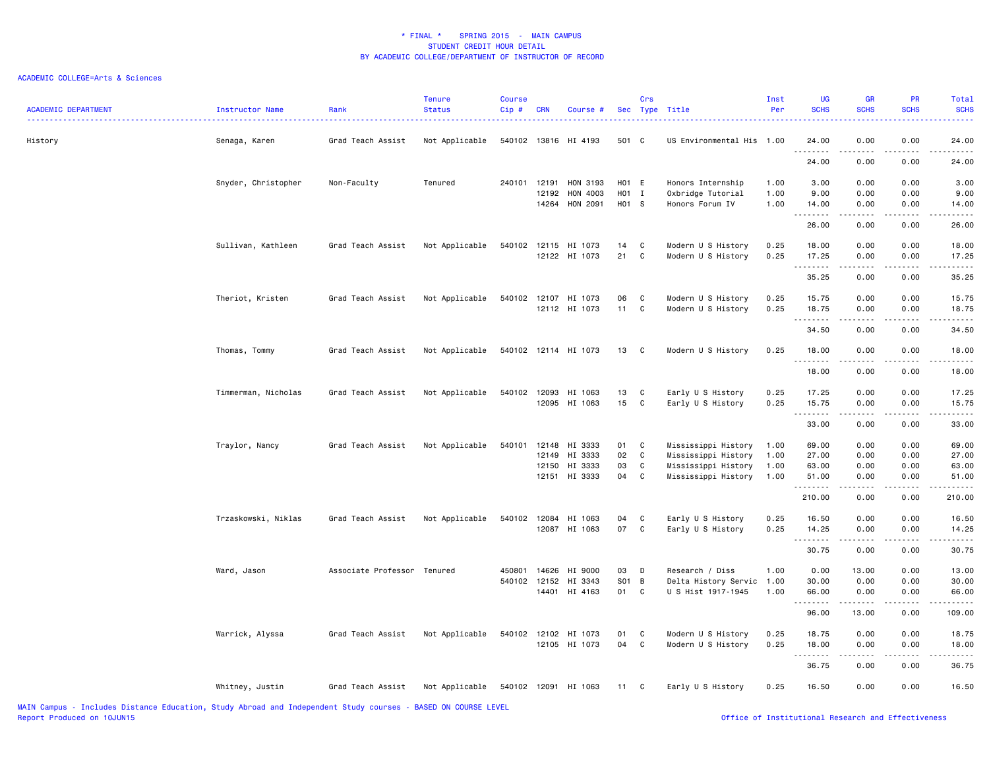| <b>ACADEMIC DEPARTMENT</b> | Instructor Name     | Rank                        | <b>Tenure</b><br><b>Status</b> | <b>Course</b><br>Cip# | <b>CRN</b> | Course #             |       | Crs | Sec Type Title            | Inst<br>Per | <b>UG</b><br><b>SCHS</b>                                                                                                                                                                                                                                                                                                                                                                                                                                                                        | <b>GR</b><br><b>SCHS</b> | PR<br><b>SCHS</b> | <b>Total</b><br><b>SCHS</b> |
|----------------------------|---------------------|-----------------------------|--------------------------------|-----------------------|------------|----------------------|-------|-----|---------------------------|-------------|-------------------------------------------------------------------------------------------------------------------------------------------------------------------------------------------------------------------------------------------------------------------------------------------------------------------------------------------------------------------------------------------------------------------------------------------------------------------------------------------------|--------------------------|-------------------|-----------------------------|
| History                    | Senaga, Karen       | Grad Teach Assist           | Not Applicable                 | 540102                |            | 13816 HI 4193        | 501 C |     | US Environmental His 1.00 |             | 24.00<br>.                                                                                                                                                                                                                                                                                                                                                                                                                                                                                      | 0.00                     | 0.00              | 24.00                       |
|                            |                     |                             |                                |                       |            |                      |       |     |                           |             | 24.00                                                                                                                                                                                                                                                                                                                                                                                                                                                                                           | 0.00                     | 0.00              | 24.00                       |
|                            | Snyder, Christopher | Non-Faculty                 | Tenured                        | 240101 12191          |            | HON 3193             | H01 E |     | Honors Internship         | 1.00        | 3.00                                                                                                                                                                                                                                                                                                                                                                                                                                                                                            | 0.00                     | 0.00              | 3.00                        |
|                            |                     |                             |                                |                       | 12192      | HON 4003             | H01 I |     | Oxbridge Tutorial         | 1.00        | 9.00                                                                                                                                                                                                                                                                                                                                                                                                                                                                                            | 0.00                     | 0.00              | 9.00                        |
|                            |                     |                             |                                |                       | 14264      | HON 2091             | H01 S |     | Honors Forum IV           | 1.00        | 14.00<br>$\begin{array}{cccccccccccccc} \multicolumn{2}{c}{} & \multicolumn{2}{c}{} & \multicolumn{2}{c}{} & \multicolumn{2}{c}{} & \multicolumn{2}{c}{} & \multicolumn{2}{c}{} & \multicolumn{2}{c}{} & \multicolumn{2}{c}{} & \multicolumn{2}{c}{} & \multicolumn{2}{c}{} & \multicolumn{2}{c}{} & \multicolumn{2}{c}{} & \multicolumn{2}{c}{} & \multicolumn{2}{c}{} & \multicolumn{2}{c}{} & \multicolumn{2}{c}{} & \multicolumn{2}{c}{} & \multicolumn{2}{c}{} & \multicolumn{2}{c}{} & \$ | 0.00<br>.                | 0.00<br>.         | 14.00<br>.                  |
|                            |                     |                             |                                |                       |            |                      |       |     |                           |             | 26.00                                                                                                                                                                                                                                                                                                                                                                                                                                                                                           | 0.00                     | 0.00              | 26.00                       |
|                            | Sullivan, Kathleen  | Grad Teach Assist           | Not Applicable                 | 540102                |            | 12115 HI 1073        | 14    | C   | Modern U S History        | 0.25        | 18.00                                                                                                                                                                                                                                                                                                                                                                                                                                                                                           | 0.00                     | 0.00              | 18.00                       |
|                            |                     |                             |                                |                       |            | 12122 HI 1073        | 21    | C   | Modern U S History        | 0.25        | 17.25<br>.                                                                                                                                                                                                                                                                                                                                                                                                                                                                                      | 0.00<br><b>.</b>         | 0.00              | 17.25<br>.                  |
|                            |                     |                             |                                |                       |            |                      |       |     |                           |             | 35.25                                                                                                                                                                                                                                                                                                                                                                                                                                                                                           | 0.00                     | 0.00              | 35.25                       |
|                            | Theriot, Kristen    | Grad Teach Assist           | Not Applicable                 |                       |            | 540102 12107 HI 1073 | 06    | C   | Modern U S History        | 0.25        | 15.75                                                                                                                                                                                                                                                                                                                                                                                                                                                                                           | 0.00                     | 0.00              | 15.75                       |
|                            |                     |                             |                                |                       |            | 12112 HI 1073        | 11    | C   | Modern U S History        | 0.25        | 18.75                                                                                                                                                                                                                                                                                                                                                                                                                                                                                           | 0.00                     | 0.00              | 18.75                       |
|                            |                     |                             |                                |                       |            |                      |       |     |                           |             | .<br>34.50                                                                                                                                                                                                                                                                                                                                                                                                                                                                                      | $-2 - 2 - 2 - 1$<br>0.00 | 2.2.2.2.2<br>0.00 | .<br>34.50                  |
|                            | Thomas, Tommy       | Grad Teach Assist           | Not Applicable                 |                       |            | 540102 12114 HI 1073 | 13    | C   | Modern U S History        | 0.25        | 18.00                                                                                                                                                                                                                                                                                                                                                                                                                                                                                           | 0.00                     | 0.00              | 18.00                       |
|                            |                     |                             |                                |                       |            |                      |       |     |                           |             | .                                                                                                                                                                                                                                                                                                                                                                                                                                                                                               | .                        | .                 | .                           |
|                            |                     |                             |                                |                       |            |                      |       |     |                           |             | 18.00                                                                                                                                                                                                                                                                                                                                                                                                                                                                                           | 0.00                     | 0.00              | 18.00                       |
|                            | Timmerman, Nicholas | Grad Teach Assist           | Not Applicable                 | 540102                | 12093      | HI 1063              | 13    | C   | Early U S History         | 0.25        | 17.25                                                                                                                                                                                                                                                                                                                                                                                                                                                                                           | 0.00                     | 0.00              | 17.25                       |
|                            |                     |                             |                                |                       |            | 12095 HI 1063        | 15    | C   | Early U S History         | 0.25        | 15.75<br>.                                                                                                                                                                                                                                                                                                                                                                                                                                                                                      | 0.00<br>.                | 0.00              | 15.75<br>.                  |
|                            |                     |                             |                                |                       |            |                      |       |     |                           |             | 33.00                                                                                                                                                                                                                                                                                                                                                                                                                                                                                           | 0.00                     | 0.00              | 33.00                       |
|                            | Traylor, Nancy      | Grad Teach Assist           | Not Applicable                 |                       |            | 540101 12148 HI 3333 | 01    | C   | Mississippi History       | 1.00        | 69.00                                                                                                                                                                                                                                                                                                                                                                                                                                                                                           | 0.00                     | 0.00              | 69.00                       |
|                            |                     |                             |                                |                       | 12149      | HI 3333              | 02    | C   | Mississippi History       | 1.00        | 27.00                                                                                                                                                                                                                                                                                                                                                                                                                                                                                           | 0.00                     | 0.00              | 27.00                       |
|                            |                     |                             |                                |                       | 12150      | HI 3333              | 03    | C   | Mississippi History       | 1.00        | 63.00                                                                                                                                                                                                                                                                                                                                                                                                                                                                                           | 0.00                     | 0.00              | 63.00                       |
|                            |                     |                             |                                |                       |            | 12151 HI 3333        | 04    | C   | Mississippi History       | 1.00        | 51.00<br>.                                                                                                                                                                                                                                                                                                                                                                                                                                                                                      | 0.00<br>-----            | 0.00<br>.         | 51.00<br>.                  |
|                            |                     |                             |                                |                       |            |                      |       |     |                           |             | 210.00                                                                                                                                                                                                                                                                                                                                                                                                                                                                                          | 0.00                     | 0.00              | 210.00                      |
|                            | Trzaskowski, Niklas | Grad Teach Assist           | Not Applicable                 | 540102                | 12084      | HI 1063              | 04    | C   | Early U S History         | 0.25        | 16.50                                                                                                                                                                                                                                                                                                                                                                                                                                                                                           | 0.00                     | 0.00              | 16.50                       |
|                            |                     |                             |                                |                       |            | 12087 HI 1063        | 07    | C   | Early U S History         | 0.25        | 14.25                                                                                                                                                                                                                                                                                                                                                                                                                                                                                           | 0.00                     | 0.00<br>.         | 14.25<br>.                  |
|                            |                     |                             |                                |                       |            |                      |       |     |                           |             | --------<br>30.75                                                                                                                                                                                                                                                                                                                                                                                                                                                                               | -----<br>0.00            | 0.00              | 30.75                       |
|                            | Ward, Jason         | Associate Professor Tenured |                                | 450801                | 14626      | HI 9000              | 03    | D   | Research / Diss           | 1.00        | 0.00                                                                                                                                                                                                                                                                                                                                                                                                                                                                                            | 13.00                    | 0.00              | 13.00                       |
|                            |                     |                             |                                | 540102                | 12152      | HI 3343              | S01   | B   | Delta History Servic      | 1.00        | 30.00                                                                                                                                                                                                                                                                                                                                                                                                                                                                                           | 0.00                     | 0.00              | 30.00                       |
|                            |                     |                             |                                |                       |            | 14401 HI 4163        | 01    | C   | U S Hist 1917-1945        | 1.00        | 66.00<br>.                                                                                                                                                                                                                                                                                                                                                                                                                                                                                      | 0.00<br>.                | 0.00<br>.         | 66.00<br>.                  |
|                            |                     |                             |                                |                       |            |                      |       |     |                           |             | 96.00                                                                                                                                                                                                                                                                                                                                                                                                                                                                                           | 13.00                    | 0.00              | 109.00                      |
|                            | Warrick, Alyssa     | Grad Teach Assist           | Not Applicable                 |                       |            | 540102 12102 HI 1073 | 01    | C   | Modern U S History        | 0.25        | 18.75                                                                                                                                                                                                                                                                                                                                                                                                                                                                                           | 0.00                     | 0.00              | 18.75                       |
|                            |                     |                             |                                |                       |            | 12105 HI 1073        | 04    | C   | Modern U S History        | 0.25        | 18.00<br><u>.</u>                                                                                                                                                                                                                                                                                                                                                                                                                                                                               | 0.00<br>.                | 0.00<br>.         | 18.00<br>.                  |
|                            |                     |                             |                                |                       |            |                      |       |     |                           |             | 36.75                                                                                                                                                                                                                                                                                                                                                                                                                                                                                           | 0.00                     | 0.00              | 36.75                       |
|                            | Whitney, Justin     | Grad Teach Assist           | Not Applicable                 |                       |            | 540102 12091 HI 1063 | 11    | C   | Early U S History         | 0.25        | 16.50                                                                                                                                                                                                                                                                                                                                                                                                                                                                                           | 0.00                     | 0.00              | 16.50                       |
|                            |                     |                             |                                |                       |            |                      |       |     |                           |             |                                                                                                                                                                                                                                                                                                                                                                                                                                                                                                 |                          |                   |                             |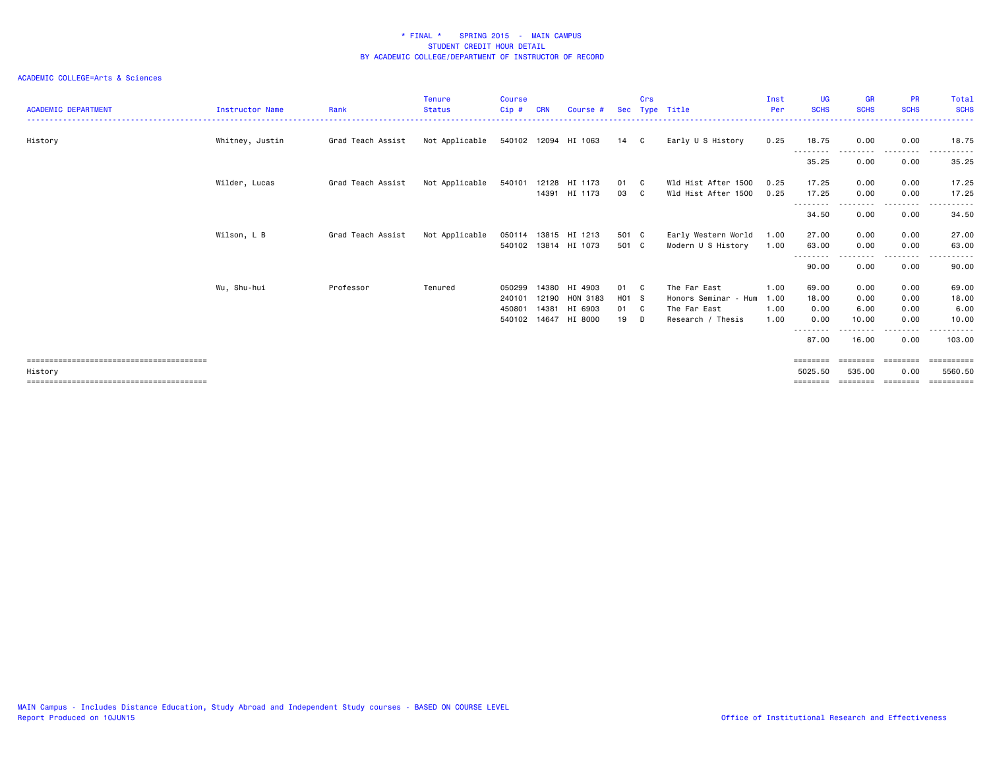| <b>ACADEMIC DEPARTMENT</b> | <b>Instructor Name</b> | Rank              | <b>Tenure</b><br><b>Status</b> | Course<br>Cip#                       | <b>CRN</b>              | Course #                                        |                           | Crs               | Sec Type Title                                                            | Inst<br>Per                  | <b>UG</b><br><b>SCHS</b>                                 | <b>GR</b><br><b>SCHS</b>      | <b>PR</b><br><b>SCHS</b>                                                                                                          | Total<br><b>SCHS</b>                            |
|----------------------------|------------------------|-------------------|--------------------------------|--------------------------------------|-------------------------|-------------------------------------------------|---------------------------|-------------------|---------------------------------------------------------------------------|------------------------------|----------------------------------------------------------|-------------------------------|-----------------------------------------------------------------------------------------------------------------------------------|-------------------------------------------------|
| History                    | Whitney, Justin        | Grad Teach Assist | Not Applicable                 |                                      |                         | 540102 12094 HI 1063                            | 14 C                      |                   | Early U S History                                                         | 0.25                         | 18.75                                                    | 0.00                          | 0.00                                                                                                                              | 18.75                                           |
|                            |                        |                   |                                |                                      |                         |                                                 |                           |                   |                                                                           |                              | --------<br>35.25                                        | 0.00                          | 0.00                                                                                                                              | 35.25                                           |
|                            | Wilder, Lucas          | Grad Teach Assist | Not Applicable                 | 540101                               | 12128<br>14391          | HI 1173<br>HI 1173                              | 01 C<br>03                | $\mathbf{C}$      | Wld Hist After 1500<br>Wld Hist After 1500                                | 0.25<br>0.25                 | 17.25<br>17.25                                           | 0.00<br>0.00                  | 0.00<br>0.00                                                                                                                      | 17.25<br>17.25                                  |
|                            |                        |                   |                                |                                      |                         |                                                 |                           |                   |                                                                           |                              | $\frac{1}{2}$<br>-----<br>34.50                          | 0.00                          | .<br>0.00                                                                                                                         | .<br>34.50                                      |
|                            | Wilson, L B            | Grad Teach Assist | Not Applicable                 | 050114<br>540102                     |                         | 13815 HI 1213<br>13814 HI 1073                  | 501 C<br>501 C            |                   | Early Western World<br>Modern U S History                                 | 1.00<br>1.00                 | 27.00<br>63.00                                           | 0.00<br>0.00                  | 0.00<br>0.00                                                                                                                      | 27.00<br>63.00                                  |
|                            |                        |                   |                                |                                      |                         |                                                 |                           |                   |                                                                           |                              | --------<br>90.00                                        | 0.00                          | $\frac{1}{2} \left( \frac{1}{2} \right) \left( \frac{1}{2} \right) \left( \frac{1}{2} \right) \left( \frac{1}{2} \right)$<br>0.00 | .<br>90.00                                      |
|                            | Wu, Shu-hui            | Professor         | Tenured                        | 050299<br>240101<br>450801<br>540102 | 14380<br>12190<br>14381 | HI 4903<br>HON 3183<br>HI 6903<br>14647 HI 8000 | 01<br>H01 S<br>01 C<br>19 | $\mathbf{C}$<br>D | The Far East<br>Honors Seminar - Hum<br>The Far East<br>Research / Thesis | 1.00<br>1.00<br>1.00<br>1.00 | 69.00<br>18.00<br>0.00<br>0.00<br>- - - - - - - <b>-</b> | 0.00<br>0.00<br>6.00<br>10.00 | 0.00<br>0.00<br>0.00<br>0.00<br>.                                                                                                 | 69.00<br>18.00<br>6.00<br>10.00<br>. <b>.</b> . |
|                            |                        |                   |                                |                                      |                         |                                                 |                           |                   |                                                                           |                              | 87.00                                                    | 16.00                         | 0.00                                                                                                                              | 103,00                                          |
| History                    |                        |                   |                                |                                      |                         |                                                 |                           |                   |                                                                           |                              | ========<br>5025.50<br>========                          | 535.00<br>========            | 0.00<br>========                                                                                                                  | 5560.50<br>==========                           |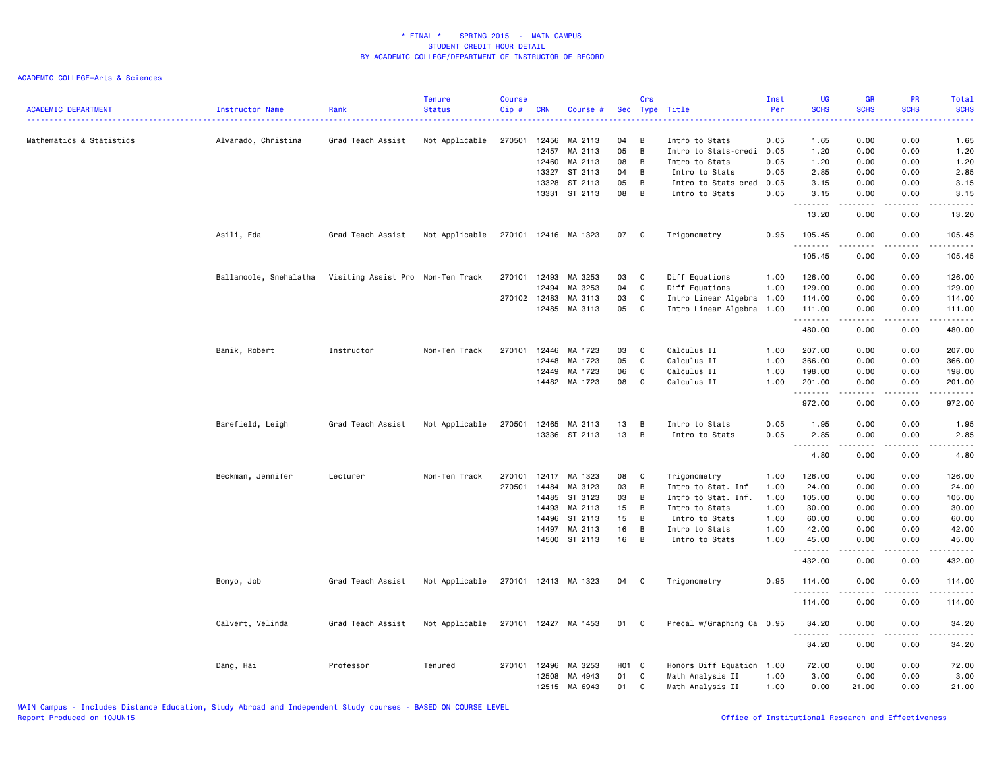| <b>ACADEMIC DEPARTMENT</b> | Instructor Name        | Rank                              | Tenure<br><b>Status</b> | <b>Course</b><br>Cip# | <b>CRN</b>     | Course #             |          | Crs            | Sec Type Title                         | Inst<br>Per  | <b>UG</b><br><b>SCHS</b> | <b>GR</b><br><b>SCHS</b>                                                                                                                                     | <b>PR</b><br><b>SCHS</b>                                                                                                          | Total<br><b>SCHS</b><br>22222                                                                                         |
|----------------------------|------------------------|-----------------------------------|-------------------------|-----------------------|----------------|----------------------|----------|----------------|----------------------------------------|--------------|--------------------------|--------------------------------------------------------------------------------------------------------------------------------------------------------------|-----------------------------------------------------------------------------------------------------------------------------------|-----------------------------------------------------------------------------------------------------------------------|
| Mathematics & Statistics   | Alvarado, Christina    | Grad Teach Assist                 | Not Applicable          | 270501                | 12456          | MA 2113              | 04<br>05 | B<br>B         | Intro to Stats                         | 0.05         | 1.65                     | 0.00                                                                                                                                                         | 0.00                                                                                                                              | 1.65                                                                                                                  |
|                            |                        |                                   |                         |                       | 12457<br>12460 | MA 2113<br>MA 2113   | 08       | $\overline{B}$ | Intro to Stats-credi<br>Intro to Stats | 0.05<br>0.05 | 1.20<br>1.20             | 0.00<br>0.00                                                                                                                                                 | 0.00<br>0.00                                                                                                                      | 1.20<br>1.20                                                                                                          |
|                            |                        |                                   |                         |                       | 13327          | ST 2113              | 04       | B              | Intro to Stats                         | 0.05         | 2.85                     | 0.00                                                                                                                                                         | 0.00                                                                                                                              | 2.85                                                                                                                  |
|                            |                        |                                   |                         |                       | 13328          | ST 2113              | 05       | B              | Intro to Stats cred                    | 0.05         | 3.15                     | 0.00                                                                                                                                                         | 0.00                                                                                                                              | 3.15                                                                                                                  |
|                            |                        |                                   |                         |                       | 13331          | ST 2113              | 08       | $\overline{B}$ | Intro to Stats                         | 0.05         | 3.15<br>.                | 0.00<br>$\sim$ $\sim$ $\sim$ $\sim$                                                                                                                          | 0.00<br>.                                                                                                                         | 3.15<br>د د د د د                                                                                                     |
|                            |                        |                                   |                         |                       |                |                      |          |                |                                        |              | 13.20                    | 0.00                                                                                                                                                         | 0.00                                                                                                                              | 13.20                                                                                                                 |
|                            | Asili, Eda             | Grad Teach Assist                 | Not Applicable          |                       |                | 270101 12416 MA 1323 | 07 C     |                | Trigonometry                           | 0.95         | 105.45<br>.              | 0.00                                                                                                                                                         | 0.00                                                                                                                              | 105.45<br>.                                                                                                           |
|                            |                        |                                   |                         |                       |                |                      |          |                |                                        |              | 105.45                   | 0.00                                                                                                                                                         | 0.00                                                                                                                              | 105.45                                                                                                                |
|                            | Ballamoole, Snehalatha | Visiting Assist Pro Non-Ten Track |                         | 270101 12493          |                | MA 3253              | 03       | C              | Diff Equations                         | 1.00         | 126.00                   | 0.00                                                                                                                                                         | 0.00                                                                                                                              | 126.00                                                                                                                |
|                            |                        |                                   |                         |                       | 12494          | MA 3253              | 04       | C              | Diff Equations                         | 1.00         | 129.00                   | 0.00                                                                                                                                                         | 0.00                                                                                                                              | 129.00                                                                                                                |
|                            |                        |                                   |                         | 270102 12483          |                | MA 3113              | 03       | C              | Intro Linear Algebra 1.00              |              | 114.00                   | 0.00                                                                                                                                                         | 0.00                                                                                                                              | 114.00                                                                                                                |
|                            |                        |                                   |                         |                       | 12485          | MA 3113              | 05       | $\mathbf{C}$   | Intro Linear Algebra 1.00              |              | 111.00<br>.              | 0.00<br>$- - - - -$                                                                                                                                          | 0.00<br>$\frac{1}{2} \left( \frac{1}{2} \right) \left( \frac{1}{2} \right) \left( \frac{1}{2} \right) \left( \frac{1}{2} \right)$ | 111.00                                                                                                                |
|                            |                        |                                   |                         |                       |                |                      |          |                |                                        |              | 480.00                   | 0.00                                                                                                                                                         | 0.00                                                                                                                              | 480.00                                                                                                                |
|                            | Banik, Robert          | Instructor                        | Non-Ten Track           | 270101                | 12446          | MA 1723              | 03       | C              | Calculus II                            | 1.00         | 207.00                   | 0.00                                                                                                                                                         | 0.00                                                                                                                              | 207.00                                                                                                                |
|                            |                        |                                   |                         |                       | 12448          | MA 1723              | 05       | C              | Calculus II                            | 1.00         | 366.00                   | 0.00                                                                                                                                                         | 0.00                                                                                                                              | 366.00                                                                                                                |
|                            |                        |                                   |                         |                       | 12449          | MA 1723              | 06       | C              | Calculus II                            | 1.00         | 198.00                   | 0.00                                                                                                                                                         | 0.00                                                                                                                              | 198.00                                                                                                                |
|                            |                        |                                   |                         |                       | 14482          | MA 1723              | 08       | C              | Calculus II                            | 1.00         | 201.00<br>.              | 0.00<br>.                                                                                                                                                    | 0.00                                                                                                                              | 201.00<br>$\begin{array}{cccccccccc} \bullet & \bullet & \bullet & \bullet & \bullet & \bullet & \bullet \end{array}$ |
|                            |                        |                                   |                         |                       |                |                      |          |                |                                        |              | 972.00                   | 0.00                                                                                                                                                         | 0.00                                                                                                                              | 972.00                                                                                                                |
|                            | Barefield, Leigh       | Grad Teach Assist                 | Not Applicable          | 270501 12465          |                | MA 2113              | 13       | B              | Intro to Stats                         | 0.05         | 1.95                     | 0.00                                                                                                                                                         | 0.00                                                                                                                              | 1.95                                                                                                                  |
|                            |                        |                                   |                         |                       |                | 13336 ST 2113        | 13       | $\overline{B}$ | Intro to Stats                         | 0.05         | 2.85<br>.                | 0.00<br>$\frac{1}{2} \left( \frac{1}{2} \right) \left( \frac{1}{2} \right) \left( \frac{1}{2} \right) \left( \frac{1}{2} \right) \left( \frac{1}{2} \right)$ | 0.00<br>.                                                                                                                         | 2.85<br>المتمامين                                                                                                     |
|                            |                        |                                   |                         |                       |                |                      |          |                |                                        |              | 4.80                     | 0.00                                                                                                                                                         | 0.00                                                                                                                              | 4.80                                                                                                                  |
|                            | Beckman, Jennifer      | Lecturer                          | Non-Ten Track           | 270101                | 12417          | MA 1323              | 08       | C              | Trigonometry                           | 1.00         | 126.00                   | 0.00                                                                                                                                                         | 0.00                                                                                                                              | 126.00                                                                                                                |
|                            |                        |                                   |                         | 270501                | 14484          | MA 3123              | 03       | B              | Intro to Stat. Inf                     | 1.00         | 24.00                    | 0.00                                                                                                                                                         | 0.00                                                                                                                              | 24.00                                                                                                                 |
|                            |                        |                                   |                         |                       | 14485          | ST 3123              | 03       | $\overline{B}$ | Intro to Stat. Inf.                    | 1.00         | 105.00                   | 0.00                                                                                                                                                         | 0.00                                                                                                                              | 105.00                                                                                                                |
|                            |                        |                                   |                         |                       | 14493          | MA 2113              | 15       | B              | Intro to Stats                         | 1.00         | 30.00                    | 0.00                                                                                                                                                         | 0.00                                                                                                                              | 30.00                                                                                                                 |
|                            |                        |                                   |                         |                       | 14496          | ST 2113              | 15       | B              | Intro to Stats                         | 1.00         | 60.00                    | 0.00                                                                                                                                                         | 0.00                                                                                                                              | 60.00                                                                                                                 |
|                            |                        |                                   |                         |                       | 14497          | MA 2113              | 16       | B              | Intro to Stats                         | 1.00         | 42.00                    | 0.00                                                                                                                                                         | 0.00                                                                                                                              | 42.00                                                                                                                 |
|                            |                        |                                   |                         |                       | 14500          | ST 2113              | 16       | $\overline{B}$ | Intro to Stats                         | 1.00         | 45.00<br>.               | 0.00<br>.                                                                                                                                                    | 0.00<br>$\frac{1}{2}$                                                                                                             | 45.00<br>.                                                                                                            |
|                            |                        |                                   |                         |                       |                |                      |          |                |                                        |              | 432.00                   | 0.00                                                                                                                                                         | 0.00                                                                                                                              | 432.00                                                                                                                |
|                            | Bonyo, Job             | Grad Teach Assist                 | Not Applicable          |                       |                | 270101 12413 MA 1323 | 04       | C              | Trigonometry                           | 0.95         | 114.00<br><u>.</u>       | 0.00                                                                                                                                                         | 0.00<br>.                                                                                                                         | 114.00<br>.                                                                                                           |
|                            |                        |                                   |                         |                       |                |                      |          |                |                                        |              | 114.00                   | 0.00                                                                                                                                                         | 0.00                                                                                                                              | 114.00                                                                                                                |
|                            | Calvert, Velinda       | Grad Teach Assist                 | Not Applicable          |                       |                | 270101 12427 MA 1453 | 01 C     |                | Precal w/Graphing Ca 0.95              |              | 34.20                    | 0.00                                                                                                                                                         | 0.00                                                                                                                              | 34.20                                                                                                                 |
|                            |                        |                                   |                         |                       |                |                      |          |                |                                        |              | 1.1.1.1.1.1.1<br>34.20   | $    -$<br>0.00                                                                                                                                              | $- - - -$<br>0.00                                                                                                                 | .<br>34.20                                                                                                            |
|                            | Dang, Hai              | Professor                         | Tenured                 | 270101 12496          |                | MA 3253              | H01 C    |                | Honors Diff Equation 1.00              |              | 72.00                    | 0.00                                                                                                                                                         | 0.00                                                                                                                              | 72.00                                                                                                                 |
|                            |                        |                                   |                         |                       | 12508          | MA 4943              | 01       | C              | Math Analysis II                       | 1.00         | 3.00                     | 0.00                                                                                                                                                         | 0.00                                                                                                                              | 3.00                                                                                                                  |
|                            |                        |                                   |                         |                       | 12515          | MA 6943              | 01       | C              | Math Analysis II                       | 1.00         | 0.00                     | 21.00                                                                                                                                                        | 0.00                                                                                                                              | 21.00                                                                                                                 |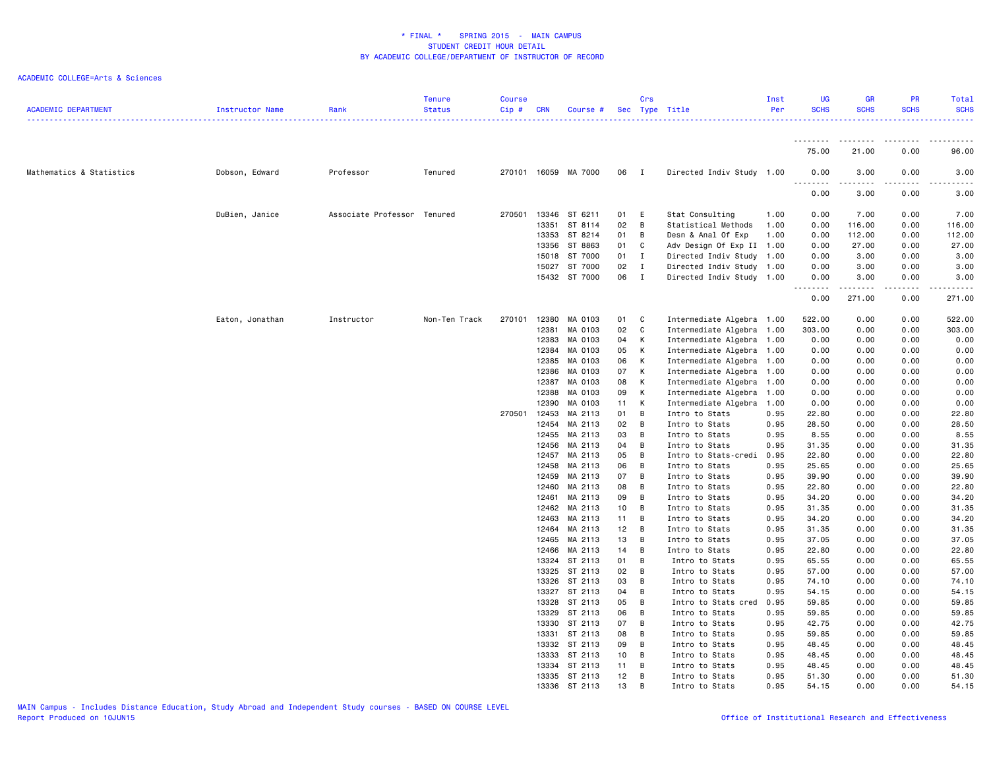| <b>ACADEMIC DEPARTMENT</b> | Instructor Name | Rank                        | <b>Tenure</b><br><b>Status</b> | <b>Course</b><br>Cip# | <b>CRN</b> | Course #             |                 | Crs            | Sec Type Title            | Inst<br>Per | <b>UG</b><br><b>SCHS</b> | <b>GR</b><br><b>SCHS</b> | <b>PR</b><br><b>SCHS</b> | Total<br><b>SCHS</b><br>. |
|----------------------------|-----------------|-----------------------------|--------------------------------|-----------------------|------------|----------------------|-----------------|----------------|---------------------------|-------------|--------------------------|--------------------------|--------------------------|---------------------------|
|                            |                 |                             |                                |                       |            |                      |                 |                |                           |             | .                        | .                        | .                        | .                         |
|                            |                 |                             |                                |                       |            |                      |                 |                |                           |             | 75.00                    | 21.00                    | 0.00                     | 96.00                     |
| Mathematics & Statistics   | Dobson, Edward  | Professor                   | Tenured                        |                       |            | 270101 16059 MA 7000 | 06 I            |                | Directed Indiv Study 1.00 |             | 0.00                     | 3.00                     | 0.00                     | 3.00                      |
|                            |                 |                             |                                |                       |            |                      |                 |                |                           |             | 0.00                     | 3.00                     | 0.00                     | 3.00                      |
|                            | DuBien, Janice  | Associate Professor Tenured |                                | 270501                |            | 13346 ST 6211        | 01 E            |                | Stat Consulting           | 1.00        | 0.00                     | 7.00                     | 0.00                     | 7.00                      |
|                            |                 |                             |                                |                       | 13351      | ST 8114              | 02              | B              | Statistical Methods       | 1.00        | 0.00                     | 116.00                   | 0.00                     | 116.00                    |
|                            |                 |                             |                                |                       |            | 13353 ST 8214        | 01              | В              | Desn & Anal Of Exp        | 1.00        | 0.00                     | 112.00                   | 0.00                     | 112.00                    |
|                            |                 |                             |                                |                       |            | 13356 ST 8863        | 01              | C              | Adv Design Of Exp II 1.00 |             | 0.00                     | 27.00                    | 0.00                     | 27.00                     |
|                            |                 |                             |                                |                       |            | 15018 ST 7000        | 01              | $\mathbf I$    | Directed Indiv Study      | 1.00        | 0.00                     | 3.00                     | 0.00                     | 3.00                      |
|                            |                 |                             |                                |                       |            | 15027 ST 7000        | 02              | $\mathbf{I}$   | Directed Indiv Study 1.00 |             | 0.00                     | 3.00                     | 0.00                     | 3.00                      |
|                            |                 |                             |                                |                       |            | 15432 ST 7000        | 06              | $\mathbf{I}$   | Directed Indiv Study 1.00 |             | 0.00<br>--------         | 3.00<br>--------         | 0.00<br>-----            | 3.00<br>.                 |
|                            |                 |                             |                                |                       |            |                      |                 |                |                           |             | 0.00                     | 271.00                   | 0.00                     | 271.00                    |
|                            | Eaton, Jonathan | Instructor                  | Non-Ten Track                  | 270101                | 12380      | MA 0103              | 01              | C              | Intermediate Algebra      | 1.00        | 522.00                   | 0.00                     | 0.00                     | 522.00                    |
|                            |                 |                             |                                |                       | 12381      | MA 0103              | 02              | $\mathbf{C}$   | Intermediate Algebra      | 1.00        | 303.00                   | 0.00                     | 0.00                     | 303.00                    |
|                            |                 |                             |                                |                       | 12383      | MA 0103              | 04              | К              | Intermediate Algebra      | 1.00        | 0.00                     | 0.00                     | 0.00                     | 0.00                      |
|                            |                 |                             |                                |                       | 12384      | MA 0103              | 05              | K              | Intermediate Algebra      | 1.00        | 0.00                     | 0.00                     | 0.00                     | 0.00                      |
|                            |                 |                             |                                |                       | 12385      | MA 0103              | 06              | K              | Intermediate Algebra      | 1.00        | 0.00                     | 0.00                     | 0.00                     | 0.00                      |
|                            |                 |                             |                                |                       | 12386      | MA 0103              | 07              | K              | Intermediate Algebra      | 1.00        | 0.00                     | 0.00                     | 0.00                     | 0.00                      |
|                            |                 |                             |                                |                       | 12387      | MA 0103              | 08              | K              | Intermediate Algebra      | 1.00        | 0.00                     | 0.00                     | 0.00                     | 0.00                      |
|                            |                 |                             |                                |                       | 12388      | MA 0103              | 09              | K              | Intermediate Algebra      | 1.00        | 0.00                     | 0.00                     | 0.00                     | 0.00                      |
|                            |                 |                             |                                |                       | 12390      | MA 0103              | 11              | K              | Intermediate Algebra      | 1.00        | 0.00                     | 0.00                     | 0.00                     | 0.00                      |
|                            |                 |                             |                                | 270501                | 12453      | MA 2113              | 01              | B              | Intro to Stats            | 0.95        | 22.80                    | 0.00                     | 0.00                     | 22.80                     |
|                            |                 |                             |                                |                       | 12454      | MA 2113              | 02              | $\overline{B}$ | Intro to Stats            | 0.95        | 28.50                    | 0.00                     | 0.00                     | 28.50                     |
|                            |                 |                             |                                |                       | 12455      | MA 2113              | 03              | B              | Intro to Stats            | 0.95        | 8.55                     | 0.00                     | 0.00                     | 8.55                      |
|                            |                 |                             |                                |                       |            | 12456 MA 2113        | 04              | B              | Intro to Stats            | 0.95        | 31.35                    | 0.00                     | 0.00                     | 31.35                     |
|                            |                 |                             |                                |                       | 12457      | MA 2113              | 05              | $\overline{B}$ | Intro to Stats-credi      | 0.95        | 22.80                    | 0.00                     | 0.00                     | 22.80                     |
|                            |                 |                             |                                |                       | 12458      | MA 2113              | 06              | B              | Intro to Stats            | 0.95        | 25.65                    | 0.00                     | 0.00                     | 25.65                     |
|                            |                 |                             |                                |                       | 12459      | MA 2113              | 07              | B              | Intro to Stats            | 0.95        | 39.90                    | 0.00                     | 0.00                     | 39.90                     |
|                            |                 |                             |                                |                       | 12460      | MA 2113              | 08              | B              | Intro to Stats            | 0.95        | 22.80                    | 0.00                     | 0.00                     | 22.80                     |
|                            |                 |                             |                                |                       | 12461      | MA 2113              | 09              | B              | Intro to Stats            | 0.95        | 34.20                    | 0.00                     | 0.00                     | 34.20                     |
|                            |                 |                             |                                |                       | 12462      | MA 2113              | 10 <sub>1</sub> | B              | Intro to Stats            | 0.95        | 31.35                    | 0.00                     | 0.00                     | 31.35                     |
|                            |                 |                             |                                |                       | 12463      | MA 2113              | 11              | B              | Intro to Stats            | 0.95        | 34.20                    | 0.00                     | 0.00                     | 34.20                     |
|                            |                 |                             |                                |                       | 12464      | MA 2113              | 12              | B              | Intro to Stats            | 0.95        | 31.35                    | 0.00                     | 0.00                     | 31.35                     |
|                            |                 |                             |                                |                       |            | 12465 MA 2113        | 13              | B              | Intro to Stats            | 0.95        | 37.05                    | 0.00                     | 0.00                     | 37.05                     |
|                            |                 |                             |                                |                       |            | 12466 MA 2113        | 14 B            |                | Intro to Stats            | 0.95        | 22.80                    | 0.00                     | 0.00                     | 22.80                     |
|                            |                 |                             |                                |                       | 13324      | ST 2113              | 01              | B              | Intro to Stats            | 0.95        | 65.55                    | 0.00                     | 0.00                     | 65.55                     |
|                            |                 |                             |                                |                       |            | 13325 ST 2113        | 02              | В              | Intro to Stats            | 0.95        | 57.00                    | 0.00                     | 0.00                     | 57.00                     |
|                            |                 |                             |                                |                       |            | 13326 ST 2113        | 03              | В              | Intro to Stats            | 0.95        | 74.10                    | 0.00                     | 0.00                     | 74.10                     |
|                            |                 |                             |                                |                       |            | 13327 ST 2113        | 04              | B              | Intro to Stats            | 0.95        | 54.15                    | 0.00                     | 0.00                     | 54.15                     |
|                            |                 |                             |                                |                       |            | 13328 ST 2113        | 05              | B              | Intro to Stats cred       | 0.95        | 59.85                    | 0.00                     | 0.00                     | 59.85                     |
|                            |                 |                             |                                |                       | 13329      | ST 2113              | 06              | В              | Intro to Stats            | 0.95        | 59.85                    | 0.00                     | 0.00                     | 59.85                     |
|                            |                 |                             |                                |                       |            | 13330 ST 2113        | 07              | B              | Intro to Stats            | 0.95        | 42.75                    | 0.00                     | 0.00                     | 42.75                     |
|                            |                 |                             |                                |                       |            | 13331 ST 2113        | 08              | B              | Intro to Stats            | 0.95        | 59.85                    | 0.00                     | 0.00                     | 59.85                     |
|                            |                 |                             |                                |                       |            | 13332 ST 2113        | 09              | B              | Intro to Stats            | 0.95        | 48.45                    | 0.00                     | 0.00                     | 48.45                     |
|                            |                 |                             |                                |                       |            | 13333 ST 2113        | 10 <sub>1</sub> | B              | Intro to Stats            | 0.95        | 48.45                    | 0.00                     | 0.00                     | 48.45                     |
|                            |                 |                             |                                |                       |            | 13334 ST 2113        | 11              | B              | Intro to Stats            | 0.95        | 48.45                    | 0.00                     | 0.00                     | 48.45                     |
|                            |                 |                             |                                |                       |            | 13335 ST 2113        | 12              | B              | Intro to Stats            | 0.95        | 51.30                    | 0.00                     | 0.00                     | 51.30                     |
|                            |                 |                             |                                |                       |            | 13336 ST 2113        | 13              | B              | Intro to Stats            | 0.95        | 54.15                    | 0.00                     | 0.00                     | 54.15                     |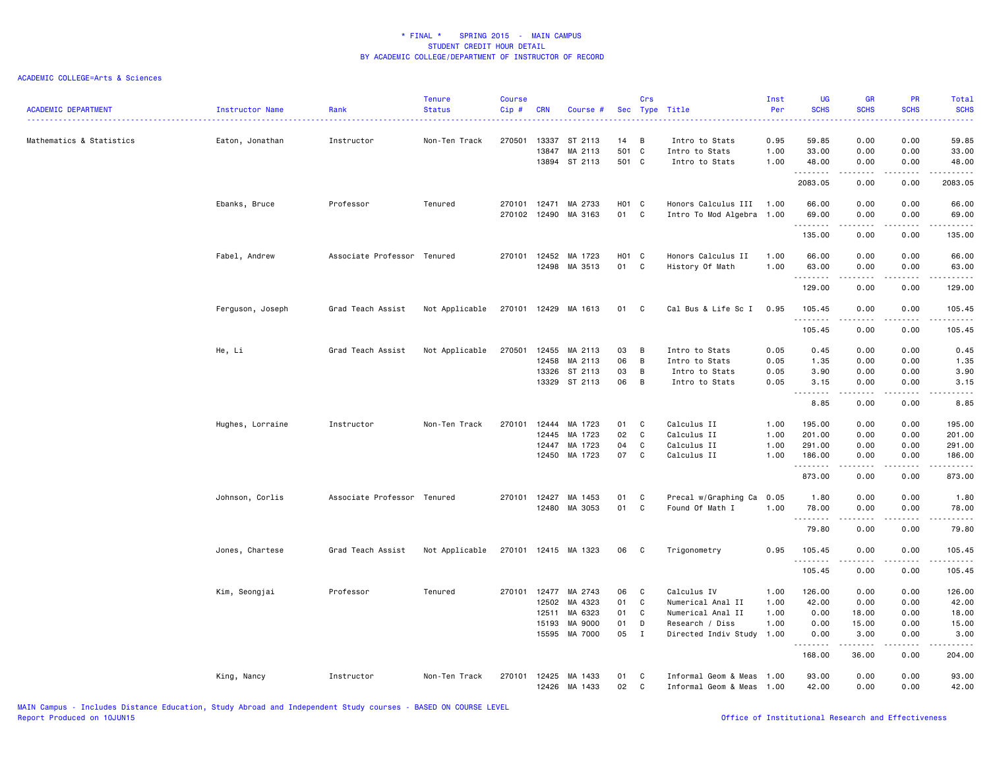| <b>ACADEMIC DEPARTMENT</b> | Instructor Name  | Rank                        | <b>Tenure</b><br><b>Status</b> | <b>Course</b><br>Cip# | <b>CRN</b>     | Course #                            |                      | Crs<br>Sec Type Title | .                                                     | Inst<br>Per<br>.     | <b>UG</b><br><b>SCHS</b><br>.                                                                                                                                                                                                                                                                                                                                                                                                                                                                  | <b>GR</b><br><b>SCHS</b> | <b>PR</b><br><b>SCHS</b><br><u>.</u>        | Total<br><b>SCHS</b><br>.                                                                                                                                    |
|----------------------------|------------------|-----------------------------|--------------------------------|-----------------------|----------------|-------------------------------------|----------------------|-----------------------|-------------------------------------------------------|----------------------|------------------------------------------------------------------------------------------------------------------------------------------------------------------------------------------------------------------------------------------------------------------------------------------------------------------------------------------------------------------------------------------------------------------------------------------------------------------------------------------------|--------------------------|---------------------------------------------|--------------------------------------------------------------------------------------------------------------------------------------------------------------|
| Mathematics & Statistics   | Eaton, Jonathan  | Instructor                  | Non-Ten Track                  | 270501                | 13337<br>13847 | ST 2113<br>MA 2113<br>13894 ST 2113 | 14<br>501 C<br>501 C | B                     | Intro to Stats<br>Intro to Stats<br>Intro to Stats    | 0.95<br>1.00<br>1.00 | 59.85<br>33.00<br>48.00                                                                                                                                                                                                                                                                                                                                                                                                                                                                        | 0.00<br>0.00<br>0.00     | 0.00<br>0.00<br>0.00                        | 59.85<br>33.00<br>48.00                                                                                                                                      |
|                            |                  |                             |                                |                       |                |                                     |                      |                       |                                                       |                      | .<br>2083.05                                                                                                                                                                                                                                                                                                                                                                                                                                                                                   | .<br>0.00                | $\frac{1}{2}$<br>0.00                       | .<br>2083.05                                                                                                                                                 |
|                            | Ebanks, Bruce    | Professor                   | Tenured                        | 270101<br>270102      | 12471<br>12490 | MA 2733<br>MA 3163                  | H01 C<br>01          | C                     | Honors Calculus III 1.00<br>Intro To Mod Algebra 1.00 |                      | 66.00<br>69.00                                                                                                                                                                                                                                                                                                                                                                                                                                                                                 | 0.00<br>0.00             | 0.00<br>0.00                                | 66.00<br>69.00                                                                                                                                               |
|                            |                  |                             |                                |                       |                |                                     |                      |                       |                                                       |                      | .<br>135.00                                                                                                                                                                                                                                                                                                                                                                                                                                                                                    | .<br>0.00                | $\frac{1}{2}$<br>0.00                       | .<br>135.00                                                                                                                                                  |
|                            | Fabel, Andrew    | Associate Professor Tenured |                                | 270101                | 12452<br>12498 | MA 1723<br>MA 3513                  | H01 C<br>01          | C                     | Honors Calculus II<br>History Of Math                 | 1.00<br>1.00         | 66.00<br>63.00<br>.                                                                                                                                                                                                                                                                                                                                                                                                                                                                            | 0.00<br>0.00<br>.        | 0.00<br>0.00<br>$\sim$ $\sim$ $\sim$ $\sim$ | 66.00<br>63.00<br>.                                                                                                                                          |
|                            |                  |                             |                                |                       |                |                                     |                      |                       |                                                       |                      | 129.00                                                                                                                                                                                                                                                                                                                                                                                                                                                                                         | 0.00                     | 0.00                                        | 129.00                                                                                                                                                       |
|                            | Ferguson, Joseph | Grad Teach Assist           | Not Applicable                 |                       |                | 270101 12429 MA 1613                | 01 C                 |                       | Cal Bus & Life Sc I                                   | 0.95                 | 105.45<br>.                                                                                                                                                                                                                                                                                                                                                                                                                                                                                    | 0.00                     | 0.00                                        | 105.45<br>.                                                                                                                                                  |
|                            |                  |                             |                                |                       |                |                                     |                      |                       |                                                       |                      | 105.45                                                                                                                                                                                                                                                                                                                                                                                                                                                                                         | 0.00                     | 0.00                                        | 105.45                                                                                                                                                       |
|                            | He, Li           | Grad Teach Assist           | Not Applicable                 | 270501                | 12455          | MA 2113                             | 03                   | B                     | Intro to Stats                                        | 0.05                 | 0.45                                                                                                                                                                                                                                                                                                                                                                                                                                                                                           | 0.00                     | 0.00                                        | 0.45                                                                                                                                                         |
|                            |                  |                             |                                |                       | 12458          | MA 2113                             | 06                   | B                     | Intro to Stats                                        | 0.05                 | 1.35                                                                                                                                                                                                                                                                                                                                                                                                                                                                                           | 0.00                     | 0.00                                        | 1.35                                                                                                                                                         |
|                            |                  |                             |                                |                       | 13326          | ST 2113                             | 03                   | B                     | Intro to Stats                                        | 0.05                 | 3.90                                                                                                                                                                                                                                                                                                                                                                                                                                                                                           | 0.00                     | 0.00                                        | 3.90                                                                                                                                                         |
|                            |                  |                             |                                |                       | 13329          | ST 2113                             | 06                   | $\overline{B}$        | Intro to Stats                                        | 0.05                 | 3.15<br>$\begin{array}{cccccccccccccc} \multicolumn{2}{c}{} & \multicolumn{2}{c}{} & \multicolumn{2}{c}{} & \multicolumn{2}{c}{} & \multicolumn{2}{c}{} & \multicolumn{2}{c}{} & \multicolumn{2}{c}{} & \multicolumn{2}{c}{} & \multicolumn{2}{c}{} & \multicolumn{2}{c}{} & \multicolumn{2}{c}{} & \multicolumn{2}{c}{} & \multicolumn{2}{c}{} & \multicolumn{2}{c}{} & \multicolumn{2}{c}{} & \multicolumn{2}{c}{} & \multicolumn{2}{c}{} & \multicolumn{2}{c}{} & \multicolumn{2}{c}{} & \$ | 0.00<br>.                | 0.00                                        | 3.15<br>$\frac{1}{2} \left( \frac{1}{2} \right) \left( \frac{1}{2} \right) \left( \frac{1}{2} \right) \left( \frac{1}{2} \right) \left( \frac{1}{2} \right)$ |
|                            |                  |                             |                                |                       |                |                                     |                      |                       |                                                       |                      | 8.85                                                                                                                                                                                                                                                                                                                                                                                                                                                                                           | 0.00                     | 0.00                                        | 8.85                                                                                                                                                         |
|                            | Hughes, Lorraine | Instructor                  | Non-Ten Track                  | 270101                | 12444          | MA 1723                             | 01                   | C                     | Calculus II                                           | 1.00                 | 195.00                                                                                                                                                                                                                                                                                                                                                                                                                                                                                         | 0.00                     | 0.00                                        | 195.00                                                                                                                                                       |
|                            |                  |                             |                                |                       | 12445          | MA 1723                             | 02                   | C                     | Calculus II                                           | 1.00                 | 201.00                                                                                                                                                                                                                                                                                                                                                                                                                                                                                         | 0.00                     | 0.00                                        | 201.00                                                                                                                                                       |
|                            |                  |                             |                                |                       | 12447          | MA 1723                             | 04                   | C                     | Calculus II                                           | 1.00                 | 291.00                                                                                                                                                                                                                                                                                                                                                                                                                                                                                         | 0.00                     | 0.00                                        | 291.00                                                                                                                                                       |
|                            |                  |                             |                                |                       | 12450          | MA 1723                             | 07                   | C                     | Calculus II                                           | 1.00                 | 186.00<br>.                                                                                                                                                                                                                                                                                                                                                                                                                                                                                    | 0.00<br>-----            | 0.00<br>.                                   | 186.00<br>.                                                                                                                                                  |
|                            |                  |                             |                                |                       |                |                                     |                      |                       |                                                       |                      | 873.00                                                                                                                                                                                                                                                                                                                                                                                                                                                                                         | 0.00                     | 0.00                                        | 873.00                                                                                                                                                       |
|                            | Johnson, Corlis  | Associate Professor Tenured |                                | 270101                | 12427          | MA 1453                             | 01                   | C                     | Precal w/Graphing Ca                                  | 0.05                 | 1.80                                                                                                                                                                                                                                                                                                                                                                                                                                                                                           | 0.00                     | 0.00                                        | 1.80                                                                                                                                                         |
|                            |                  |                             |                                |                       | 12480          | MA 3053                             | 01                   | C                     | Found Of Math I                                       | 1.00                 | 78.00<br>.                                                                                                                                                                                                                                                                                                                                                                                                                                                                                     | 0.00<br>.                | 0.00<br>.                                   | 78.00<br>.                                                                                                                                                   |
|                            |                  |                             |                                |                       |                |                                     |                      |                       |                                                       |                      | 79.80                                                                                                                                                                                                                                                                                                                                                                                                                                                                                          | 0.00                     | 0.00                                        | 79.80                                                                                                                                                        |
|                            | Jones, Chartese  | Grad Teach Assist           | Not Applicable                 |                       |                | 270101 12415 MA 1323                | 06                   | - C                   | Trigonometry                                          | 0.95                 | 105.45<br>.                                                                                                                                                                                                                                                                                                                                                                                                                                                                                    | 0.00                     | 0.00                                        | 105.45<br>.                                                                                                                                                  |
|                            |                  |                             |                                |                       |                |                                     |                      |                       |                                                       |                      | 105.45                                                                                                                                                                                                                                                                                                                                                                                                                                                                                         | 0.00                     | 0.00                                        | 105.45                                                                                                                                                       |
|                            | Kim, Seongjai    | Professor                   | Tenured                        | 270101                | 12477          | MA 2743                             | 06                   | C                     | Calculus IV                                           | 1.00                 | 126.00                                                                                                                                                                                                                                                                                                                                                                                                                                                                                         | 0.00                     | 0.00                                        | 126.00                                                                                                                                                       |
|                            |                  |                             |                                |                       | 12502          | MA 4323                             | 01                   | C                     | Numerical Anal II                                     | 1.00                 | 42.00                                                                                                                                                                                                                                                                                                                                                                                                                                                                                          | 0.00                     | 0.00                                        | 42.00                                                                                                                                                        |
|                            |                  |                             |                                |                       | 12511          | MA 6323                             | 01                   | C                     | Numerical Anal II                                     | 1.00                 | 0.00                                                                                                                                                                                                                                                                                                                                                                                                                                                                                           | 18.00                    | 0.00                                        | 18.00                                                                                                                                                        |
|                            |                  |                             |                                |                       | 15193          | MA 9000                             | 01                   | D                     | Research / Diss                                       | 1.00                 | 0.00                                                                                                                                                                                                                                                                                                                                                                                                                                                                                           | 15.00                    | 0.00                                        | 15.00                                                                                                                                                        |
|                            |                  |                             |                                |                       | 15595          | MA 7000                             | 05                   | $\mathbf{I}$          | Directed Indiv Study 1.00                             |                      | 0.00<br>.                                                                                                                                                                                                                                                                                                                                                                                                                                                                                      | 3.00<br>.                | 0.00<br>د د د د                             | 3.00<br>.                                                                                                                                                    |
|                            |                  |                             |                                |                       |                |                                     |                      |                       |                                                       |                      | 168.00                                                                                                                                                                                                                                                                                                                                                                                                                                                                                         | 36.00                    | 0.00                                        | 204.00                                                                                                                                                       |
|                            | King, Nancy      | Instructor                  | Non-Ten Track                  | 270101                | 12425<br>12426 | MA 1433<br>MA 1433                  | 01<br>02             | C<br>C                | Informal Geom & Meas 1.00<br>Informal Geom & Meas     | 1.00                 | 93.00<br>42.00                                                                                                                                                                                                                                                                                                                                                                                                                                                                                 | 0.00<br>0.00             | 0.00<br>0.00                                | 93.00<br>42.00                                                                                                                                               |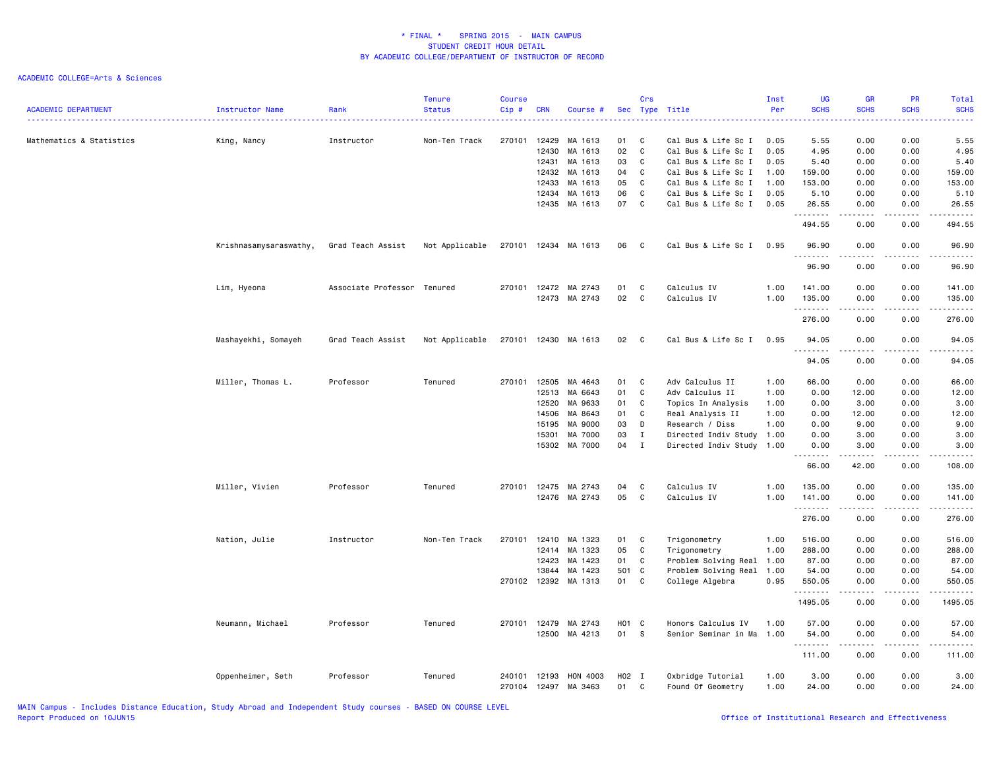| <b>ACADEMIC DEPARTMENT</b> | Instructor Name        | Rank                        | <b>Tenure</b><br><b>Status</b> | <b>Course</b><br>Cip# | <b>CRN</b>     | Course #            |             | Crs                        | Sec Type Title                             | Inst<br>Per  | <b>UG</b><br><b>SCHS</b><br>. | GR<br><b>SCHS</b>                   | PR<br><b>SCHS</b>           | Total<br><b>SCHS</b><br>.                                                                                                 |
|----------------------------|------------------------|-----------------------------|--------------------------------|-----------------------|----------------|---------------------|-------------|----------------------------|--------------------------------------------|--------------|-------------------------------|-------------------------------------|-----------------------------|---------------------------------------------------------------------------------------------------------------------------|
| Mathematics & Statistics   | King, Nancy            | Instructor                  | Non-Ten Track                  | 270101                | 12429          | MA 1613             | 01          | C                          | Cal Bus & Life Sc I                        | 0.05         | 5.55                          | 0.00                                | 0.00                        | 5.55                                                                                                                      |
|                            |                        |                             |                                |                       | 12430          | MA 1613             | 02<br>03    | $\mathbb{C}$<br>C          | Cal Bus & Life Sc I                        | 0.05<br>0.05 | 4.95                          | 0.00                                | 0.00                        | 4.95                                                                                                                      |
|                            |                        |                             |                                |                       | 12431<br>12432 | MA 1613<br>MA 1613  | 04          | C                          | Cal Bus & Life Sc I<br>Cal Bus & Life Sc I | 1.00         | 5.40<br>159.00                | 0.00<br>0.00                        | 0.00<br>0.00                | 5.40<br>159.00                                                                                                            |
|                            |                        |                             |                                |                       | 12433          | MA 1613             | 05          | C                          | Cal Bus & Life Sc I                        | 1.00         | 153.00                        | 0.00                                | 0.00                        | 153.00                                                                                                                    |
|                            |                        |                             |                                |                       | 12434          | MA 1613             | 06          | $\mathbb{C}$               | Cal Bus & Life Sc I                        | 0.05         | 5.10                          | 0.00                                | 0.00                        | 5.10                                                                                                                      |
|                            |                        |                             |                                |                       | 12435          | MA 1613             | 07          | C                          | Cal Bus & Life Sc I                        | 0.05         | 26.55<br>.                    | 0.00                                | 0.00                        | 26.55<br>$\sim$ $\sim$ $\sim$ $\sim$                                                                                      |
|                            |                        |                             |                                |                       |                |                     |             |                            |                                            |              | 494.55                        | 0.00                                | 0.00                        | 494.55                                                                                                                    |
|                            | Krishnasamysaraswathy, | Grad Teach Assist           | Not Applicable                 | 270101                |                | 12434 MA 1613       | 06          | C                          | Cal Bus & Life Sc I                        | 0.95         | 96.90<br>.                    | 0.00                                | 0.00                        | 96.90                                                                                                                     |
|                            |                        |                             |                                |                       |                |                     |             |                            |                                            |              | 96.90                         | 0.00                                | 0.00                        | 96.90                                                                                                                     |
|                            | Lim, Hyeona            | Associate Professor Tenured |                                | 270101                | 12472          | MA 2743             | 01          | C                          | Calculus IV                                | 1.00         | 141.00                        | 0.00                                | 0.00                        | 141.00                                                                                                                    |
|                            |                        |                             |                                |                       | 12473          | MA 2743             | 02          | $\mathbb{C}$               | Calculus IV                                | 1.00         | 135.00                        | 0.00                                | 0.00                        | 135.00                                                                                                                    |
|                            |                        |                             |                                |                       |                |                     |             |                            |                                            |              | .<br>276.00                   | $\sim$ $\sim$ $\sim$ $\sim$<br>0.00 | بالمحام<br>0.00             | ------<br>276.00                                                                                                          |
|                            | Mashayekhi, Somayeh    | Grad Teach Assist           | Not Applicable                 | 270101                |                | 12430 MA 1613       | 02          | $\mathbf{C}$               | Cal Bus & Life Sc I                        | 0.95         | 94.05                         | 0.00                                | 0.00                        | 94.05                                                                                                                     |
|                            |                        |                             |                                |                       |                |                     |             |                            |                                            |              | .                             |                                     | $\sim$ $\sim$ $\sim$ $\sim$ | $\frac{1}{2} \left( \frac{1}{2} \right) \left( \frac{1}{2} \right) \left( \frac{1}{2} \right) \left( \frac{1}{2} \right)$ |
|                            |                        |                             |                                |                       |                |                     |             |                            |                                            |              | 94.05                         | 0.00                                | 0.00                        | 94.05                                                                                                                     |
|                            | Miller, Thomas L.      | Professor                   | Tenured                        | 270101                | 12505          | MA 4643             | 01          | C                          | Adv Calculus II                            | 1.00         | 66.00                         | 0.00                                | 0.00                        | 66.00                                                                                                                     |
|                            |                        |                             |                                |                       | 12513          | MA 6643             | 01          | $\mathbf c$                | Adv Calculus II                            | 1.00         | 0.00                          | 12.00                               | 0.00                        | 12.00                                                                                                                     |
|                            |                        |                             |                                |                       | 12520          | MA 9633             | 01          | C                          | Topics In Analysis                         | 1.00         | 0.00                          | 3.00                                | 0.00                        | 3.00                                                                                                                      |
|                            |                        |                             |                                |                       | 14506          | MA 8643             | 01          | C                          | Real Analysis II                           | 1.00         | 0.00                          | 12.00                               | 0.00                        | 12.00                                                                                                                     |
|                            |                        |                             |                                |                       | 15195          | MA 9000             | 03          | D                          | Research / Diss                            | 1.00         | 0.00                          | 9.00                                | 0.00                        | 9.00                                                                                                                      |
|                            |                        |                             |                                |                       | 15301<br>15302 | MA 7000<br>MA 7000  | 03<br>04    | $\mathbf I$<br>$\mathbf I$ | Directed Indiv Study                       | 1.00<br>1.00 | 0.00<br>0.00                  | 3.00<br>3.00                        | 0.00<br>0.00                | 3.00<br>3.00                                                                                                              |
|                            |                        |                             |                                |                       |                |                     |             |                            | Directed Indiv Study                       |              | .                             |                                     | $\sim$ $\sim$ $\sim$ $\sim$ | $\sim$ $\sim$ $\sim$ $\sim$                                                                                               |
|                            |                        |                             |                                |                       |                |                     |             |                            |                                            |              | 66.00                         | 42.00                               | 0.00                        | 108.00                                                                                                                    |
|                            | Miller, Vivien         | Professor                   | Tenured                        | 270101                | 12475          | MA 2743             | 04          | C                          | Calculus IV                                | 1.00         | 135.00                        | 0.00                                | 0.00                        | 135.00                                                                                                                    |
|                            |                        |                             |                                |                       |                | 12476 MA 2743       | 05          | C                          | Calculus IV                                | 1.00         | 141.00                        | 0.00                                | 0.00                        | 141.00                                                                                                                    |
|                            |                        |                             |                                |                       |                |                     |             |                            |                                            |              | .<br>276.00                   | 0.00                                | 0.00                        | .<br>276.00                                                                                                               |
|                            | Nation, Julie          | Instructor                  | Non-Ten Track                  | 270101                | 12410          | MA 1323             | 01          | C                          | Trigonometry                               | 1.00         | 516.00                        | 0.00                                | 0.00                        | 516.00                                                                                                                    |
|                            |                        |                             |                                |                       | 12414          | MA 1323             | 05          | C                          | Trigonometry                               | 1.00         | 288.00                        | 0.00                                | 0.00                        | 288.00                                                                                                                    |
|                            |                        |                             |                                |                       | 12423          | MA 1423             | 01          | C                          | Problem Solving Real                       | 1.00         | 87.00                         | 0.00                                | 0.00                        | 87.00                                                                                                                     |
|                            |                        |                             |                                |                       | 13844          | MA 1423             | 501         | C                          | Problem Solving Real                       | 1.00         | 54.00                         | 0.00                                | 0.00                        | 54.00                                                                                                                     |
|                            |                        |                             |                                |                       | 270102 12392   | MA 1313             | 01          | C                          | College Algebra                            | 0.95         | 550.05<br>.                   | 0.00<br>.                           | 0.00<br>.                   | 550.05<br>.                                                                                                               |
|                            |                        |                             |                                |                       |                |                     |             |                            |                                            |              | 1495.05                       | 0.00                                | 0.00                        | 1495.05                                                                                                                   |
|                            | Neumann, Michael       | Professor                   | Tenured                        | 270101                | 12479          | MA 2743             | H01 C       |                            | Honors Calculus IV                         | 1.00         | 57.00                         | 0.00                                | 0.00                        | 57.00                                                                                                                     |
|                            |                        |                             |                                |                       | 12500          | MA 4213             | 01          | $\mathbf{s}$               | Senior Seminar in Ma                       | 1.00         | 54.00<br><u>.</u>             | 0.00<br>$\frac{1}{2}$               | 0.00<br>.                   | 54.00<br>.                                                                                                                |
|                            |                        |                             |                                |                       |                |                     |             |                            |                                            |              | 111.00                        | 0.00                                | 0.00                        | 111.00                                                                                                                    |
|                            | Oppenheimer, Seth      | Professor                   | Tenured                        | 240101<br>270104      | 12193<br>12497 | HON 4003<br>MA 3463 | H02 I<br>01 | C                          | Oxbridge Tutorial<br>Found Of Geometry     | 1.00<br>1.00 | 3.00<br>24.00                 | 0.00<br>0.00                        | 0.00<br>0.00                | 3.00<br>24.00                                                                                                             |
|                            |                        |                             |                                |                       |                |                     |             |                            |                                            |              |                               |                                     |                             |                                                                                                                           |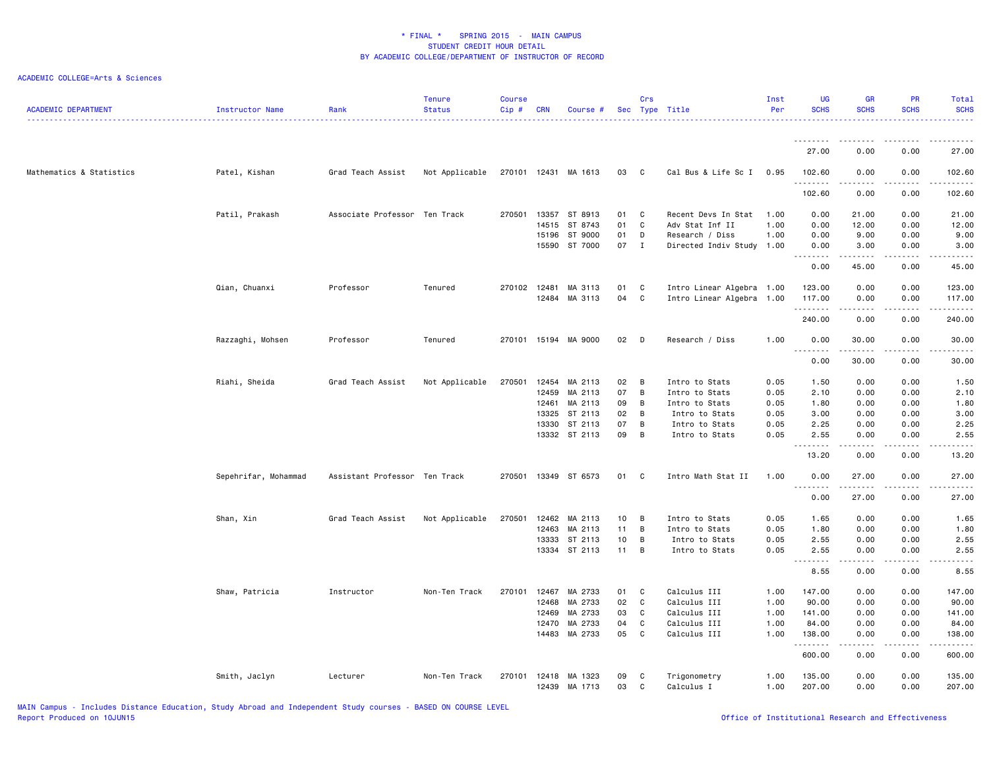| <b>ACADEMIC DEPARTMENT</b> | Instructor Name      | Rank                          | <b>Tenure</b><br><b>Status</b> | <b>Course</b><br>$Cip$ # | <b>CRN</b>     | Course #             |                 | Crs            | Sec Type Title             | Inst<br>Per  | <b>UG</b><br><b>SCHS</b>                                                                                                                                                                                                                                                                                                                                                                                                                                                                       | <b>GR</b><br><b>SCHS</b>                                                                                                                                     | <b>PR</b><br><b>SCHS</b> | Total<br><b>SCHS</b><br><u>.</u>                                                                                                    |
|----------------------------|----------------------|-------------------------------|--------------------------------|--------------------------|----------------|----------------------|-----------------|----------------|----------------------------|--------------|------------------------------------------------------------------------------------------------------------------------------------------------------------------------------------------------------------------------------------------------------------------------------------------------------------------------------------------------------------------------------------------------------------------------------------------------------------------------------------------------|--------------------------------------------------------------------------------------------------------------------------------------------------------------|--------------------------|-------------------------------------------------------------------------------------------------------------------------------------|
|                            |                      |                               |                                |                          |                |                      |                 |                |                            |              | 27.00                                                                                                                                                                                                                                                                                                                                                                                                                                                                                          | 0.00                                                                                                                                                         | 0.00                     | 27.00                                                                                                                               |
|                            |                      |                               |                                |                          |                |                      |                 |                |                            |              |                                                                                                                                                                                                                                                                                                                                                                                                                                                                                                |                                                                                                                                                              |                          |                                                                                                                                     |
| Mathematics & Statistics   | Patel, Kishan        | Grad Teach Assist             | Not Applicable                 |                          |                | 270101 12431 MA 1613 | 03 C            |                | Cal Bus & Life Sc I        | 0.95         | 102.60<br><u>.</u>                                                                                                                                                                                                                                                                                                                                                                                                                                                                             | 0.00                                                                                                                                                         | 0.00                     | 102.60<br>.                                                                                                                         |
|                            |                      |                               |                                |                          |                |                      |                 |                |                            |              | 102.60                                                                                                                                                                                                                                                                                                                                                                                                                                                                                         | 0.00                                                                                                                                                         | 0.00                     | 102.60                                                                                                                              |
|                            | Patil, Prakash       | Associate Professor Ten Track |                                | 270501                   | 13357          | ST 8913              | 01              | C              | Recent Devs In Stat        | 1.00         | 0.00                                                                                                                                                                                                                                                                                                                                                                                                                                                                                           | 21.00                                                                                                                                                        | 0.00                     | 21.00                                                                                                                               |
|                            |                      |                               |                                |                          | 14515          | ST 8743              | 01              | C              | Adv Stat Inf II            | 1.00         | 0.00                                                                                                                                                                                                                                                                                                                                                                                                                                                                                           | 12.00                                                                                                                                                        | 0.00                     | 12.00                                                                                                                               |
|                            |                      |                               |                                |                          | 15196          | ST 9000              | 01              | D              | Research / Diss            | 1.00         | 0.00                                                                                                                                                                                                                                                                                                                                                                                                                                                                                           | 9.00                                                                                                                                                         | 0.00                     | 9.00                                                                                                                                |
|                            |                      |                               |                                |                          |                | 15590 ST 7000        | 07 I            |                | Directed Indiv Study 1.00  |              | 0.00<br>.                                                                                                                                                                                                                                                                                                                                                                                                                                                                                      | 3.00<br>.                                                                                                                                                    | 0.00<br>.                | 3.00<br>.                                                                                                                           |
|                            |                      |                               |                                |                          |                |                      |                 |                |                            |              | 0.00                                                                                                                                                                                                                                                                                                                                                                                                                                                                                           | 45.00                                                                                                                                                        | 0.00                     | 45.00                                                                                                                               |
|                            | Qian, Chuanxi        | Professor                     | Tenured                        | 270102 12481             |                | MA 3113              | 01              | C              | Intro Linear Algebra 1.00  |              | 123.00                                                                                                                                                                                                                                                                                                                                                                                                                                                                                         | 0.00                                                                                                                                                         | 0.00                     | 123.00                                                                                                                              |
|                            |                      |                               |                                |                          | 12484          | MA 3113              | 04              | C              | Intro Linear Algebra 1.00  |              | 117.00<br>.                                                                                                                                                                                                                                                                                                                                                                                                                                                                                    | 0.00<br>.                                                                                                                                                    | 0.00<br>.                | 117.00<br>$\begin{array}{cccccccccccccc} \bullet & \bullet & \bullet & \bullet & \bullet & \bullet & \bullet & \bullet \end{array}$ |
|                            |                      |                               |                                |                          |                |                      |                 |                |                            |              | 240.00                                                                                                                                                                                                                                                                                                                                                                                                                                                                                         | 0.00                                                                                                                                                         | 0.00                     | 240.00                                                                                                                              |
|                            | Razzaghi, Mohsen     | Professor                     | Tenured                        |                          |                | 270101 15194 MA 9000 | 02              | D              | Research / Diss            | 1.00         | 0.00                                                                                                                                                                                                                                                                                                                                                                                                                                                                                           | 30.00                                                                                                                                                        | 0.00                     | 30.00                                                                                                                               |
|                            |                      |                               |                                |                          |                |                      |                 |                |                            |              | $\begin{array}{cccccccccccccc} \multicolumn{2}{c}{} & \multicolumn{2}{c}{} & \multicolumn{2}{c}{} & \multicolumn{2}{c}{} & \multicolumn{2}{c}{} & \multicolumn{2}{c}{} & \multicolumn{2}{c}{} & \multicolumn{2}{c}{} & \multicolumn{2}{c}{} & \multicolumn{2}{c}{} & \multicolumn{2}{c}{} & \multicolumn{2}{c}{} & \multicolumn{2}{c}{} & \multicolumn{2}{c}{} & \multicolumn{2}{c}{} & \multicolumn{2}{c}{} & \multicolumn{2}{c}{} & \multicolumn{2}{c}{} & \multicolumn{2}{c}{} & \$<br>0.00 | .<br>30.00                                                                                                                                                   | .<br>0.00                | . <u>.</u><br>30.00                                                                                                                 |
|                            | Riahi, Sheida        | Grad Teach Assist             | Not Applicable                 | 270501                   | 12454          | MA 2113              | 02              | B              | Intro to Stats             | 0.05         | 1.50                                                                                                                                                                                                                                                                                                                                                                                                                                                                                           | 0.00                                                                                                                                                         | 0.00                     | 1.50                                                                                                                                |
|                            |                      |                               |                                |                          | 12459          | MA 2113              | 07              | $\overline{B}$ | Intro to Stats             | 0.05         | 2.10                                                                                                                                                                                                                                                                                                                                                                                                                                                                                           | 0.00                                                                                                                                                         | 0.00                     | 2.10                                                                                                                                |
|                            |                      |                               |                                |                          | 12461          | MA 2113              | 09              | $\overline{B}$ | Intro to Stats             | 0.05         | 1.80                                                                                                                                                                                                                                                                                                                                                                                                                                                                                           | 0.00                                                                                                                                                         | 0.00                     | 1.80                                                                                                                                |
|                            |                      |                               |                                |                          | 13325          | ST 2113              | 02              | B              | Intro to Stats             | 0.05         | 3.00                                                                                                                                                                                                                                                                                                                                                                                                                                                                                           | 0.00                                                                                                                                                         | 0.00                     | 3.00                                                                                                                                |
|                            |                      |                               |                                |                          | 13330          | ST 2113              | 07              | B              | Intro to Stats             | 0.05         | 2.25                                                                                                                                                                                                                                                                                                                                                                                                                                                                                           | 0.00                                                                                                                                                         | 0.00                     | 2.25                                                                                                                                |
|                            |                      |                               |                                |                          |                | 13332 ST 2113        | 09              | $\overline{B}$ | Intro to Stats             | 0.05         | 2.55<br>.                                                                                                                                                                                                                                                                                                                                                                                                                                                                                      | 0.00<br>$\frac{1}{2} \left( \frac{1}{2} \right) \left( \frac{1}{2} \right) \left( \frac{1}{2} \right) \left( \frac{1}{2} \right) \left( \frac{1}{2} \right)$ | 0.00<br>.                | 2.55<br>د د د د د                                                                                                                   |
|                            |                      |                               |                                |                          |                |                      |                 |                |                            |              | 13.20                                                                                                                                                                                                                                                                                                                                                                                                                                                                                          | 0.00                                                                                                                                                         | 0.00                     | 13.20                                                                                                                               |
|                            | Sepehrifar, Mohammad | Assistant Professor Ten Track |                                | 270501                   | 13349          | ST 6573              | 01              | C              | Intro Math Stat II         | 1.00         | 0.00<br>.                                                                                                                                                                                                                                                                                                                                                                                                                                                                                      | 27.00                                                                                                                                                        | 0.00                     | 27.00<br>.                                                                                                                          |
|                            |                      |                               |                                |                          |                |                      |                 |                |                            |              | 0.00                                                                                                                                                                                                                                                                                                                                                                                                                                                                                           | 27.00                                                                                                                                                        | 0.00                     | 27.00                                                                                                                               |
|                            | Shan, Xin            | Grad Teach Assist             | Not Applicable                 | 270501                   | 12462          | MA 2113              | 10 <sub>1</sub> | B              | Intro to Stats             | 0.05         | 1.65                                                                                                                                                                                                                                                                                                                                                                                                                                                                                           | 0.00                                                                                                                                                         | 0.00                     | 1.65                                                                                                                                |
|                            |                      |                               |                                |                          | 12463          | MA 2113              | 11              | $\overline{B}$ | Intro to Stats             | 0.05         | 1.80                                                                                                                                                                                                                                                                                                                                                                                                                                                                                           | 0.00                                                                                                                                                         | 0.00                     | 1.80                                                                                                                                |
|                            |                      |                               |                                |                          | 13333          | ST 2113              | 10              | B              | Intro to Stats             | 0.05         | 2.55                                                                                                                                                                                                                                                                                                                                                                                                                                                                                           | 0.00                                                                                                                                                         | 0.00                     | 2.55                                                                                                                                |
|                            |                      |                               |                                |                          |                | 13334 ST 2113        | 11              | $\overline{B}$ | Intro to Stats             | 0.05         | 2.55<br>.                                                                                                                                                                                                                                                                                                                                                                                                                                                                                      | 0.00<br>د د د د د                                                                                                                                            | 0.00<br>.                | 2.55<br>$\omega$ is $\omega$ in $\omega$                                                                                            |
|                            |                      |                               |                                |                          |                |                      |                 |                |                            |              | 8.55                                                                                                                                                                                                                                                                                                                                                                                                                                                                                           | 0.00                                                                                                                                                         | 0.00                     | 8.55                                                                                                                                |
|                            | Shaw, Patricia       | Instructor                    | Non-Ten Track                  | 270101                   | 12467          | MA 2733              | 01              | C              | Calculus III               | 1.00         | 147.00                                                                                                                                                                                                                                                                                                                                                                                                                                                                                         | 0.00                                                                                                                                                         | 0.00                     | 147.00                                                                                                                              |
|                            |                      |                               |                                |                          | 12468          | MA 2733              | 02              | C              | Calculus III               | 1.00         | 90.00                                                                                                                                                                                                                                                                                                                                                                                                                                                                                          | 0.00                                                                                                                                                         | 0.00                     | 90.00                                                                                                                               |
|                            |                      |                               |                                |                          | 12469          | MA 2733              | 03              | C              | Calculus III               | 1.00         | 141.00                                                                                                                                                                                                                                                                                                                                                                                                                                                                                         | 0.00                                                                                                                                                         | 0.00                     | 141.00                                                                                                                              |
|                            |                      |                               |                                |                          | 12470          | MA 2733              | 04              | C              | Calculus III               | 1.00         | 84.00                                                                                                                                                                                                                                                                                                                                                                                                                                                                                          | 0.00                                                                                                                                                         | 0.00                     | 84.00                                                                                                                               |
|                            |                      |                               |                                |                          | 14483          | MA 2733              | 05              | C              | Calculus III               | 1.00         | 138.00<br>.                                                                                                                                                                                                                                                                                                                                                                                                                                                                                    | 0.00<br>$\frac{1}{2} \left( \frac{1}{2} \right) \left( \frac{1}{2} \right) \left( \frac{1}{2} \right) \left( \frac{1}{2} \right) \left( \frac{1}{2} \right)$ | 0.00<br>.                | 138.00<br>.                                                                                                                         |
|                            |                      |                               |                                |                          |                |                      |                 |                |                            |              | 600.00                                                                                                                                                                                                                                                                                                                                                                                                                                                                                         | 0.00                                                                                                                                                         | 0.00                     | 600.00                                                                                                                              |
|                            | Smith, Jaclyn        | Lecturer                      | Non-Ten Track                  | 270101                   | 12418<br>12439 | MA 1323<br>MA 1713   | 09<br>03        | C<br>C         | Trigonometry<br>Calculus I | 1.00<br>1.00 | 135.00<br>207.00                                                                                                                                                                                                                                                                                                                                                                                                                                                                               | 0.00<br>0.00                                                                                                                                                 | 0.00<br>0.00             | 135.00<br>207.00                                                                                                                    |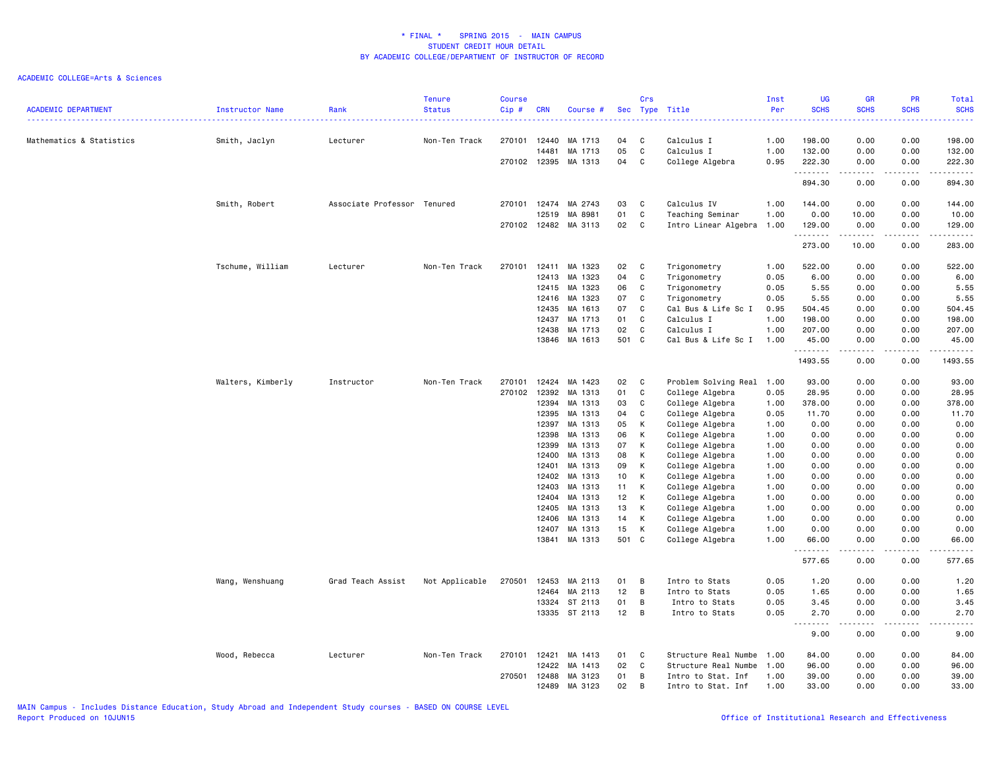| <b>ACADEMIC DEPARTMENT</b> | Instructor Name   | Rank                        | <b>Tenure</b><br><b>Status</b> | <b>Course</b><br>Cip# | <b>CRN</b> | Course #      |       | Crs         | Sec Type Title            | Inst<br>Per | <b>UG</b><br><b>SCHS</b>         | GR<br><b>SCHS</b>                                                                                                                                            | PR<br><b>SCHS</b> | Total<br><b>SCHS</b><br>.                                                                                                                                                               |
|----------------------------|-------------------|-----------------------------|--------------------------------|-----------------------|------------|---------------|-------|-------------|---------------------------|-------------|----------------------------------|--------------------------------------------------------------------------------------------------------------------------------------------------------------|-------------------|-----------------------------------------------------------------------------------------------------------------------------------------------------------------------------------------|
| Mathematics & Statistics   | Smith, Jaclyn     | Lecturer                    | Non-Ten Track                  | 270101                | 12440      | MA 1713       | 04    | C           | Calculus I                | 1.00        | 198.00                           | 0.00                                                                                                                                                         | 0.00              | 198.00                                                                                                                                                                                  |
|                            |                   |                             |                                |                       | 14481      | MA 1713       | 05    | C           | Calculus I                | 1.00        | 132.00                           | 0.00                                                                                                                                                         | 0.00              | 132.00                                                                                                                                                                                  |
|                            |                   |                             |                                | 270102 12395          |            | MA 1313       | 04    | С           | College Algebra           | 0.95        | 222.30                           | 0.00                                                                                                                                                         | 0.00              | 222.30                                                                                                                                                                                  |
|                            |                   |                             |                                |                       |            |               |       |             |                           |             | .<br>894.30                      | المتمام المتعاد<br>0.00                                                                                                                                      | .<br>0.00         | $\begin{array}{cccccccccccccc} \bullet & \bullet & \bullet & \bullet & \bullet & \bullet & \bullet & \bullet \end{array}$<br>894.30                                                     |
|                            | Smith, Robert     | Associate Professor Tenured |                                | 270101                | 12474      | MA 2743       | 03    | C           | Calculus IV               | 1.00        | 144.00                           | 0.00                                                                                                                                                         | 0.00              | 144.00                                                                                                                                                                                  |
|                            |                   |                             |                                |                       | 12519      | MA 8981       | 01    | С           | Teaching Seminar          | 1.00        | 0.00                             | 10.00                                                                                                                                                        | 0.00              | 10.00                                                                                                                                                                                   |
|                            |                   |                             |                                | 270102 12482          |            | MA 3113       | 02    | C           | Intro Linear Algebra 1.00 |             | 129.00                           | 0.00                                                                                                                                                         | 0.00              | 129.00                                                                                                                                                                                  |
|                            |                   |                             |                                |                       |            |               |       |             |                           |             | .<br>273.00                      | د د د د د<br>10.00                                                                                                                                           | .<br>0.00         | ------<br>283.00                                                                                                                                                                        |
|                            | Tschume, William  | Lecturer                    | Non-Ten Track                  | 270101                | 12411      | MA 1323       | 02    | C           | Trigonometry              | 1.00        | 522.00                           | 0.00                                                                                                                                                         | 0.00              | 522.00                                                                                                                                                                                  |
|                            |                   |                             |                                |                       | 12413      | MA 1323       | 04    | C           | Trigonometry              | 0.05        | 6.00                             | 0.00                                                                                                                                                         | 0.00              | 6.00                                                                                                                                                                                    |
|                            |                   |                             |                                |                       | 12415      | MA 1323       | 06    | C           | Trigonometry              | 0.05        | 5.55                             | 0.00                                                                                                                                                         | 0.00              | 5.55                                                                                                                                                                                    |
|                            |                   |                             |                                |                       | 12416      | MA 1323       | 07    | C           | Trigonometry              | 0.05        | 5.55                             | 0.00                                                                                                                                                         | 0.00              | 5.55                                                                                                                                                                                    |
|                            |                   |                             |                                |                       | 12435      | MA 1613       | 07    | C           | Cal Bus & Life Sc I       | 0.95        | 504.45                           | 0.00                                                                                                                                                         | 0.00              | 504.45                                                                                                                                                                                  |
|                            |                   |                             |                                |                       | 12437      | MA 1713       | 01    | $\mathbb C$ | Calculus I                | 1.00        | 198.00                           | 0.00                                                                                                                                                         | 0.00              | 198.00                                                                                                                                                                                  |
|                            |                   |                             |                                |                       | 12438      | MA 1713       | 02    | $\mathbb C$ | Calculus I                | 1.00        | 207.00                           | 0.00                                                                                                                                                         | 0.00              | 207.00                                                                                                                                                                                  |
|                            |                   |                             |                                |                       | 13846      | MA 1613       | 501 C |             | Cal Bus & Life Sc I 1.00  |             | 45.00                            | 0.00                                                                                                                                                         | 0.00<br>.         | 45.00                                                                                                                                                                                   |
|                            |                   |                             |                                |                       |            |               |       |             |                           |             | .<br>1493.55                     | 0.00                                                                                                                                                         | 0.00              | ه د د د د د<br>1493.55                                                                                                                                                                  |
|                            | Walters, Kimberly | Instructor                  | Non-Ten Track                  | 270101                | 12424      | MA 1423       | 02    | C           | Problem Solving Real 1.00 |             | 93.00                            | 0.00                                                                                                                                                         | 0.00              | 93.00                                                                                                                                                                                   |
|                            |                   |                             |                                | 270102                | 12392      | MA 1313       | 01    | C           | College Algebra           | 0.05        | 28.95                            | 0.00                                                                                                                                                         | 0.00              | 28.95                                                                                                                                                                                   |
|                            |                   |                             |                                |                       | 12394      | MA 1313       | 03    | C           | College Algebra           | 1.00        | 378.00                           | 0.00                                                                                                                                                         | 0.00              | 378.00                                                                                                                                                                                  |
|                            |                   |                             |                                |                       | 12395      | MA 1313       | 04    | С           | College Algebra           | 0.05        | 11.70                            | 0.00                                                                                                                                                         | 0.00              | 11.70                                                                                                                                                                                   |
|                            |                   |                             |                                |                       | 12397      | MA 1313       | 05    | К           | College Algebra           | 1.00        | 0.00                             | 0.00                                                                                                                                                         | 0.00              | 0.00                                                                                                                                                                                    |
|                            |                   |                             |                                |                       | 12398      | MA 1313       | 06    | К           | College Algebra           | 1.00        | 0.00                             | 0.00                                                                                                                                                         | 0.00              | 0.00                                                                                                                                                                                    |
|                            |                   |                             |                                |                       | 12399      | MA 1313       | 07    | К           | College Algebra           | 1.00        | 0.00                             | 0.00                                                                                                                                                         | 0.00              | 0.00                                                                                                                                                                                    |
|                            |                   |                             |                                |                       | 12400      | MA 1313       | 08    | K           | College Algebra           | 1.00        | 0.00                             | 0.00                                                                                                                                                         | 0.00              | 0.00                                                                                                                                                                                    |
|                            |                   |                             |                                |                       | 12401      | MA 1313       | 09    | K           | College Algebra           | 1.00        | 0.00                             | 0.00                                                                                                                                                         | 0.00              | 0.00                                                                                                                                                                                    |
|                            |                   |                             |                                |                       | 12402      | MA 1313       | 10    | K           | College Algebra           | 1.00        | 0.00                             | 0.00                                                                                                                                                         | 0.00              | 0.00                                                                                                                                                                                    |
|                            |                   |                             |                                |                       | 12403      | MA 1313       | 11    | К           | College Algebra           | 1.00        | 0.00                             | 0.00                                                                                                                                                         | 0.00              | 0.00                                                                                                                                                                                    |
|                            |                   |                             |                                |                       | 12404      | MA 1313       | 12    | K           | College Algebra           | 1.00        | 0.00                             | 0.00                                                                                                                                                         | 0.00              | 0.00                                                                                                                                                                                    |
|                            |                   |                             |                                |                       | 12405      | MA 1313       | 13    | K           | College Algebra           | 1.00        | 0.00                             | 0.00                                                                                                                                                         | 0.00              | 0.00                                                                                                                                                                                    |
|                            |                   |                             |                                |                       | 12406      | MA 1313       | 14    | К           | College Algebra           | 1.00        | 0.00                             | 0.00                                                                                                                                                         | 0.00              | 0.00                                                                                                                                                                                    |
|                            |                   |                             |                                |                       | 12407      | MA 1313       | 15    | К           | College Algebra           | 1.00        | 0.00                             | 0.00                                                                                                                                                         | 0.00              | 0.00                                                                                                                                                                                    |
|                            |                   |                             |                                |                       | 13841      | MA 1313       | 501 C |             | College Algebra           | 1.00        | 66.00<br>$\sim$ $\sim$ $\sim$    | 0.00                                                                                                                                                         | 0.00              | 66.00                                                                                                                                                                                   |
|                            |                   |                             |                                |                       |            |               |       |             |                           |             | 577.65                           | 0.00                                                                                                                                                         | 0.00              | 577.65                                                                                                                                                                                  |
|                            | Wang, Wenshuang   | Grad Teach Assist           | Not Applicable                 | 270501                | 12453      | MA 2113       | 01    | В           | Intro to Stats            | 0.05        | 1.20                             | 0.00                                                                                                                                                         | 0.00              | 1.20                                                                                                                                                                                    |
|                            |                   |                             |                                |                       | 12464      | MA 2113       | 12    | В           | Intro to Stats            | 0.05        | 1.65                             | 0.00                                                                                                                                                         | 0.00              | 1.65                                                                                                                                                                                    |
|                            |                   |                             |                                |                       | 13324      | ST 2113       | 01    | B           | Intro to Stats            | 0.05        | 3.45                             | 0.00                                                                                                                                                         | 0.00              | 3.45                                                                                                                                                                                    |
|                            |                   |                             |                                |                       |            | 13335 ST 2113 | 12    | B           | Intro to Stats            | 0.05        | 2.70                             | 0.00                                                                                                                                                         | 0.00<br>$- - -$   | 2.70                                                                                                                                                                                    |
|                            |                   |                             |                                |                       |            |               |       |             |                           |             | $\sim$ $\sim$<br>د د د د<br>9.00 | $\frac{1}{2} \left( \frac{1}{2} \right) \left( \frac{1}{2} \right) \left( \frac{1}{2} \right) \left( \frac{1}{2} \right) \left( \frac{1}{2} \right)$<br>0.00 | 0.00              | $\frac{1}{2} \left( \frac{1}{2} \right) \left( \frac{1}{2} \right) \left( \frac{1}{2} \right) \left( \frac{1}{2} \right) \left( \frac{1}{2} \right) \left( \frac{1}{2} \right)$<br>9.00 |
|                            | Wood, Rebecca     | Lecturer                    | Non-Ten Track                  | 270101                | 12421      | MA 1413       | 01    | C           | Structure Real Numbe      | 1.00        | 84.00                            | 0.00                                                                                                                                                         | 0.00              | 84.00                                                                                                                                                                                   |
|                            |                   |                             |                                |                       | 12422      | MA 1413       | 02    | $\mathbb C$ | Structure Real Numbe      | 1.00        | 96.00                            | 0.00                                                                                                                                                         | 0.00              | 96.00                                                                                                                                                                                   |
|                            |                   |                             |                                | 270501                | 12488      | MA 3123       | 01    | В           | Intro to Stat. Inf        | 1.00        | 39.00                            | 0.00                                                                                                                                                         | 0.00              | 39.00                                                                                                                                                                                   |
|                            |                   |                             |                                |                       | 12489      | MA 3123       | 02    | B           | Intro to Stat. Inf        | 1.00        | 33.00                            | 0.00                                                                                                                                                         | 0.00              | 33,00                                                                                                                                                                                   |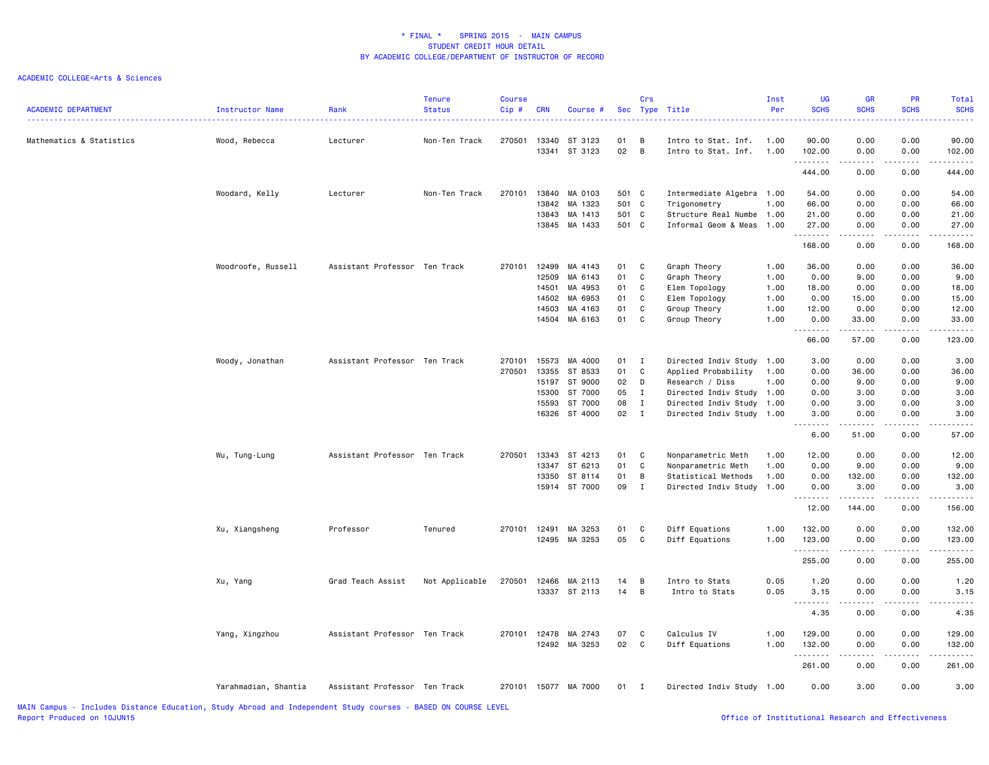| <b>ACADEMIC DEPARTMENT</b>                                                                                     | Instructor Name      | Rank                          | <b>Tenure</b><br><b>Status</b> | <b>Course</b><br>Cip# | <b>CRN</b> | Course #             |       | Crs            | Sec Type Title            | Inst<br>Per | <b>UG</b><br><b>SCHS</b> | GR<br><b>SCHS</b><br>.              | PR<br><b>SCHS</b>                                                 | Total<br><b>SCHS</b><br>. |
|----------------------------------------------------------------------------------------------------------------|----------------------|-------------------------------|--------------------------------|-----------------------|------------|----------------------|-------|----------------|---------------------------|-------------|--------------------------|-------------------------------------|-------------------------------------------------------------------|---------------------------|
| Mathematics & Statistics                                                                                       | Wood, Rebecca        | Lecturer                      | Non-Ten Track                  | 270501                | 13340      | ST 3123              | 01    | B              | Intro to Stat. Inf.       | 1.00        | 90.00                    | 0.00                                | 0.00                                                              | 90.00                     |
|                                                                                                                |                      |                               |                                |                       |            | 13341 ST 3123        | 02    | $\overline{B}$ | Intro to Stat. Inf.       | 1.00        | 102.00<br>.              | 0.00<br>$\sim$ $\sim$ $\sim$ $\sim$ | 0.00<br>.                                                         | 102.00                    |
|                                                                                                                |                      |                               |                                |                       |            |                      |       |                |                           |             | 444.00                   | 0.00                                | 0.00                                                              | 444.00                    |
|                                                                                                                | Woodard, Kelly       | Lecturer                      | Non-Ten Track                  | 270101                |            | 13840 MA 0103        | 501 C |                | Intermediate Algebra 1.00 |             | 54.00                    | 0.00                                | 0.00                                                              | 54.00                     |
|                                                                                                                |                      |                               |                                |                       | 13842      | MA 1323              | 501 C |                | Trigonometry              | 1.00        | 66.00                    | 0.00                                | 0.00                                                              | 66.00                     |
|                                                                                                                |                      |                               |                                |                       |            | 13843 MA 1413        | 501 C |                | Structure Real Numbe 1.00 |             | 21.00                    | 0.00                                | 0.00                                                              | 21.00                     |
|                                                                                                                |                      |                               |                                |                       |            | 13845 MA 1433        | 501 C |                | Informal Geom & Meas 1.00 |             | 27.00<br>.               | 0.00<br>$- - - - -$                 | 0.00<br>-----                                                     | 27.00<br>.                |
|                                                                                                                |                      |                               |                                |                       |            |                      |       |                |                           |             | 168.00                   | 0.00                                | 0.00                                                              | 168.00                    |
|                                                                                                                | Woodroofe, Russell   | Assistant Professor Ten Track |                                | 270101                | 12499      | MA 4143              | 01    | C              | Graph Theory              | 1.00        | 36.00                    | 0.00                                | 0.00                                                              | 36.00                     |
|                                                                                                                |                      |                               |                                |                       | 12509      | MA 6143              | 01    | C              | Graph Theory              | 1.00        | 0.00                     | 9.00                                | 0.00                                                              | 9.00                      |
|                                                                                                                |                      |                               |                                |                       | 14501      | MA 4953              | 01    | C              | Elem Topology             | 1.00        | 18.00                    | 0.00                                | 0.00                                                              | 18.00                     |
|                                                                                                                |                      |                               |                                |                       | 14502      | MA 6953              | 01    | C              | Elem Topology             | 1.00        | 0.00                     | 15.00                               | 0.00                                                              | 15.00                     |
|                                                                                                                |                      |                               |                                |                       | 14503      | MA 4163              | 01    | C              | Group Theory              | 1.00        | 12.00                    | 0.00                                | 0.00                                                              | 12.00                     |
|                                                                                                                |                      |                               |                                |                       |            | 14504 MA 6163        | 01    | C              | Group Theory              | 1.00        | 0.00<br>.                | 33.00<br>.                          | 0.00<br>.                                                         | 33.00                     |
|                                                                                                                |                      |                               |                                |                       |            |                      |       |                |                           |             | 66.00                    | 57.00                               | 0.00                                                              | 123.00                    |
|                                                                                                                | Woody, Jonathan      | Assistant Professor Ten Track |                                | 270101                | 15573      | MA 4000              | 01 I  |                | Directed Indiv Study      | 1.00        | 3.00                     | 0.00                                | 0.00                                                              | 3.00                      |
|                                                                                                                |                      |                               |                                | 270501                | 13355      | ST 8533              | 01    | C              | Applied Probability       | 1.00        | 0.00                     | 36.00                               | 0.00                                                              | 36.00                     |
|                                                                                                                |                      |                               |                                |                       | 15197      | ST 9000              | 02    | D              | Research / Diss           | 1.00        | 0.00                     | 9.00                                | 0.00                                                              | 9.00                      |
|                                                                                                                |                      |                               |                                |                       | 15300      | ST 7000              | 05    | $\mathbf{I}$   | Directed Indiv Study 1.00 |             | 0.00                     | 3.00                                | 0.00                                                              | 3.00                      |
|                                                                                                                |                      |                               |                                |                       | 15593      | ST 7000              | 08    | $\mathbf{I}$   | Directed Indiv Study      | 1.00        | 0.00                     | 3.00                                | 0.00                                                              | 3.00                      |
|                                                                                                                |                      |                               |                                |                       |            | 16326 ST 4000        | 02 I  |                | Directed Indiv Study 1.00 |             | 3,00                     | 0.00                                | 0.00                                                              | 3.00                      |
|                                                                                                                |                      |                               |                                |                       |            |                      |       |                |                           |             | .<br>6.00                | .<br>51.00                          | .<br>0.00                                                         | .<br>57.00                |
|                                                                                                                |                      |                               |                                |                       |            |                      |       |                |                           |             |                          |                                     |                                                                   |                           |
|                                                                                                                | Wu, Tung-Lung        | Assistant Professor Ten Track |                                | 270501                | 13343      | ST 4213              | 01    | C              | Nonparametric Meth        | 1.00        | 12.00                    | 0.00                                | 0.00                                                              | 12.00                     |
|                                                                                                                |                      |                               |                                |                       |            | 13347 ST 6213        | 01    | $\mathbf C$    | Nonparametric Meth        | 1.00        | 0.00                     | 9.00                                | 0.00                                                              | 9.00                      |
|                                                                                                                |                      |                               |                                |                       | 13350      | ST 8114              | 01    | B              | Statistical Methods       | 1.00        | 0.00                     | 132.00                              | 0.00                                                              | 132.00                    |
|                                                                                                                |                      |                               |                                |                       |            | 15914 ST 7000        | 09    | $\mathbf{I}$   | Directed Indiv Study      | 1.00        | 0.00                     | 3.00<br>.                           | 0.00<br>.                                                         | 3.00                      |
|                                                                                                                |                      |                               |                                |                       |            |                      |       |                |                           |             | 12.00                    | 144.00                              | 0.00                                                              | 156.00                    |
|                                                                                                                | Xu, Xiangsheng       | Professor                     | Tenured                        |                       |            | 270101 12491 MA 3253 | 01    | C              | Diff Equations            | 1.00        | 132.00                   | 0.00                                | 0.00                                                              | 132.00                    |
|                                                                                                                |                      |                               |                                |                       |            | 12495 MA 3253        | 05    | $\mathbf{C}$   | Diff Equations            | 1.00        | 123.00                   | 0.00                                | 0.00                                                              | 123.00                    |
|                                                                                                                |                      |                               |                                |                       |            |                      |       |                |                           |             | .<br>255.00              | .<br>0.00                           | -----<br>0.00                                                     | .<br>255.00               |
|                                                                                                                | Xu, Yang             | Grad Teach Assist             | Not Applicable                 | 270501                |            | 12466 MA 2113        | 14    | B              | Intro to Stats            | 0.05        | 1.20                     | 0.00                                | 0.00                                                              | 1.20                      |
|                                                                                                                |                      |                               |                                |                       |            | 13337 ST 2113        | 14    | $\overline{B}$ | Intro to Stats            | 0.05        | 3.15                     | 0.00                                | 0.00                                                              | 3.15                      |
|                                                                                                                |                      |                               |                                |                       |            |                      |       |                |                           |             | .                        | $- - - -$                           | .                                                                 | .                         |
|                                                                                                                |                      |                               |                                |                       |            |                      |       |                |                           |             | 4.35                     | 0.00                                | 0.00                                                              | 4.35                      |
|                                                                                                                | Yang, Xingzhou       | Assistant Professor Ten Track |                                | 270101                | 12478      | MA 2743              | 07    | C              | Calculus IV               | 1.00        | 129.00                   | 0.00                                | 0.00                                                              | 129.00                    |
|                                                                                                                |                      |                               |                                |                       |            | 12492 MA 3253        | 02 C  |                | Diff Equations            | 1.00        | 132.00                   | 0.00                                | 0.00                                                              | 132.00                    |
|                                                                                                                |                      |                               |                                |                       |            |                      |       |                |                           |             | .                        | $\sim$ $\sim$ $\sim$ $\sim$ $\sim$  | $\omega_{\alpha}=\omega_{\alpha}=\omega_{\alpha}=\omega_{\alpha}$ | .                         |
|                                                                                                                |                      |                               |                                |                       |            |                      |       |                |                           |             | 261.00                   | 0.00                                | 0.00                                                              | 261.00                    |
|                                                                                                                | Yarahmadian, Shantia | Assistant Professor Ten Track |                                |                       |            | 270101 15077 MA 7000 | 01 I  |                | Directed Indiv Study 1.00 |             | 0.00                     | 3.00                                | 0.00                                                              | 3.00                      |
| UATN Compus - Includes Distance Education - Study Abroad and Indonesdent Study counses - RASED AN COURSE LEVEL |                      |                               |                                |                       |            |                      |       |                |                           |             |                          |                                     |                                                                   |                           |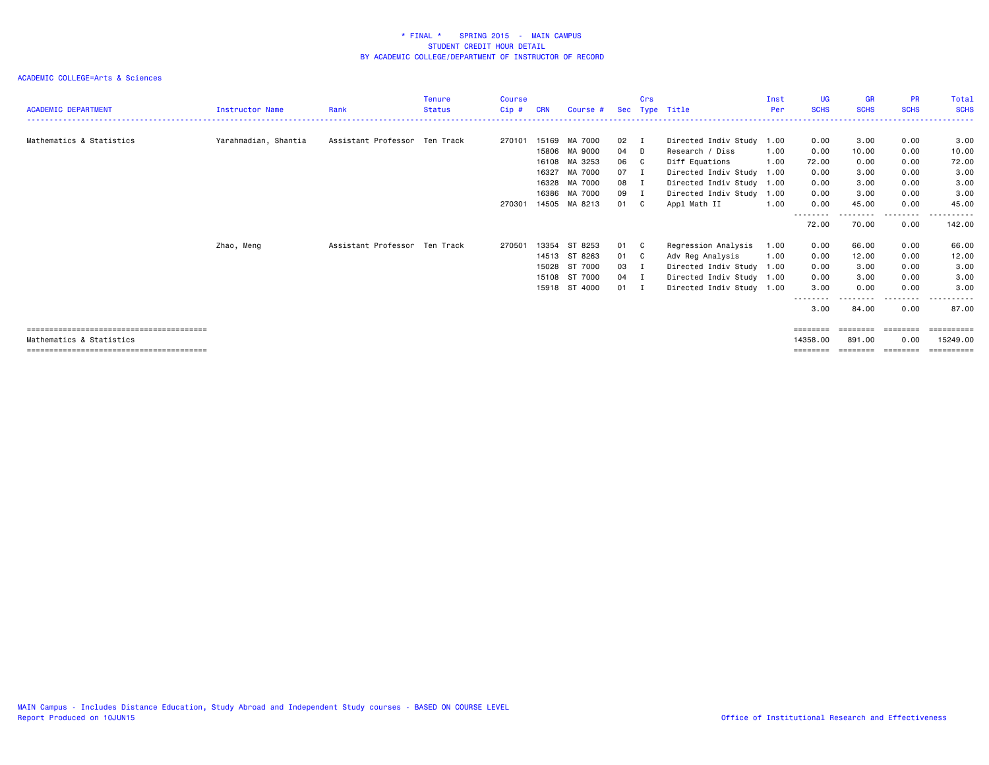| <b>ACADEMIC DEPARTMENT</b> | Instructor Name      | Rank                          | <b>Tenure</b><br><b>Status</b> | Course<br>$Cip$ # | <b>CRN</b> | Course #      |      | Crs            | Sec Type Title            | Inst<br>Per | <b>UG</b><br><b>SCHS</b> | <b>GR</b><br><b>SCHS</b> | <b>PR</b><br><b>SCHS</b> | Total<br><b>SCHS</b> |
|----------------------------|----------------------|-------------------------------|--------------------------------|-------------------|------------|---------------|------|----------------|---------------------------|-------------|--------------------------|--------------------------|--------------------------|----------------------|
|                            |                      |                               |                                |                   |            |               |      |                |                           |             |                          |                          |                          |                      |
| Mathematics & Statistics   | Yarahmadian, Shantia | Assistant Professor Ten Track |                                | 270101            | 15169      | MA 7000       | 02   | $\blacksquare$ | Directed Indiv Study      | 1.00        | 0.00                     | 3.00                     | 0.00                     | 3.00                 |
|                            |                      |                               |                                |                   | 15806      | MA 9000       | 04 D |                | Research / Diss           | 1.00        | 0.00                     | 10.00                    | 0.00                     | 10.00                |
|                            |                      |                               |                                |                   | 16108      | MA 3253       | 06 C |                | Diff Equations            | 1.00        | 72.00                    | 0.00                     | 0.00                     | 72.00                |
|                            |                      |                               |                                |                   | 16327      | MA 7000       | 07 I |                | Directed Indiv Study 1.00 |             | 0.00                     | 3.00                     | 0.00                     | 3.00                 |
|                            |                      |                               |                                |                   | 16328      | MA 7000       | 08 I |                | Directed Indiv Study 1.00 |             | 0.00                     | 3.00                     | 0.00                     | 3.00                 |
|                            |                      |                               |                                |                   | 16386      | MA 7000       | 09 I |                | Directed Indiv Study      | 1.00        | 0.00                     | 3.00                     | 0.00                     | 3.00                 |
|                            |                      |                               |                                | 270301            |            | 14505 MA 8213 | 01 C |                | Appl Math II              | 1.00        | 0.00                     | 45.00                    | 0.00                     | 45.00                |
|                            |                      |                               |                                |                   |            |               |      |                |                           |             | --------                 |                          | ---------                | ------               |
|                            |                      |                               |                                |                   |            |               |      |                |                           |             | 72.00                    | 70.00                    | 0.00                     | 142.00               |
|                            | Zhao, Meng           | Assistant Professor Ten Track |                                | 270501            | 13354      | ST 8253       | 01   | C.             | Regression Analysis       | 1.00        | 0.00                     | 66.00                    | 0.00                     | 66.00                |
|                            |                      |                               |                                |                   | 14513      | ST 8263       | 01 C |                | Adv Reg Analysis          | 1.00        | 0.00                     | 12.00                    | 0.00                     | 12.00                |
|                            |                      |                               |                                |                   | 15028      | ST 7000       | 03 I |                | Directed Indiv Study 1.00 |             | 0.00                     | 3.00                     | 0.00                     | 3.00                 |
|                            |                      |                               |                                |                   | 15108      | ST 7000       | 04 I |                | Directed Indiv Study 1.00 |             | 0.00                     | 3.00                     | 0.00                     | 3.00                 |
|                            |                      |                               |                                |                   | 15918      | ST 4000       | 01 I |                | Directed Indiv Study 1.00 |             | 3.00                     | 0.00                     | 0.00                     | 3,00                 |
|                            |                      |                               |                                |                   |            |               |      |                |                           |             |                          |                          | -----                    |                      |
|                            |                      |                               |                                |                   |            |               |      |                |                           |             | 3.00                     | 84.00                    | 0.00                     | 87.00                |
|                            |                      |                               |                                |                   |            |               |      |                |                           |             | $=$ = = = = = = =        | ========                 | ========                 |                      |
| Mathematics & Statistics   |                      |                               |                                |                   |            |               |      |                |                           |             | 14358,00                 | 891,00                   | 0.00                     | 15249.00             |
|                            |                      |                               |                                |                   |            |               |      |                |                           |             | ========                 | ========                 | ========                 | ==========           |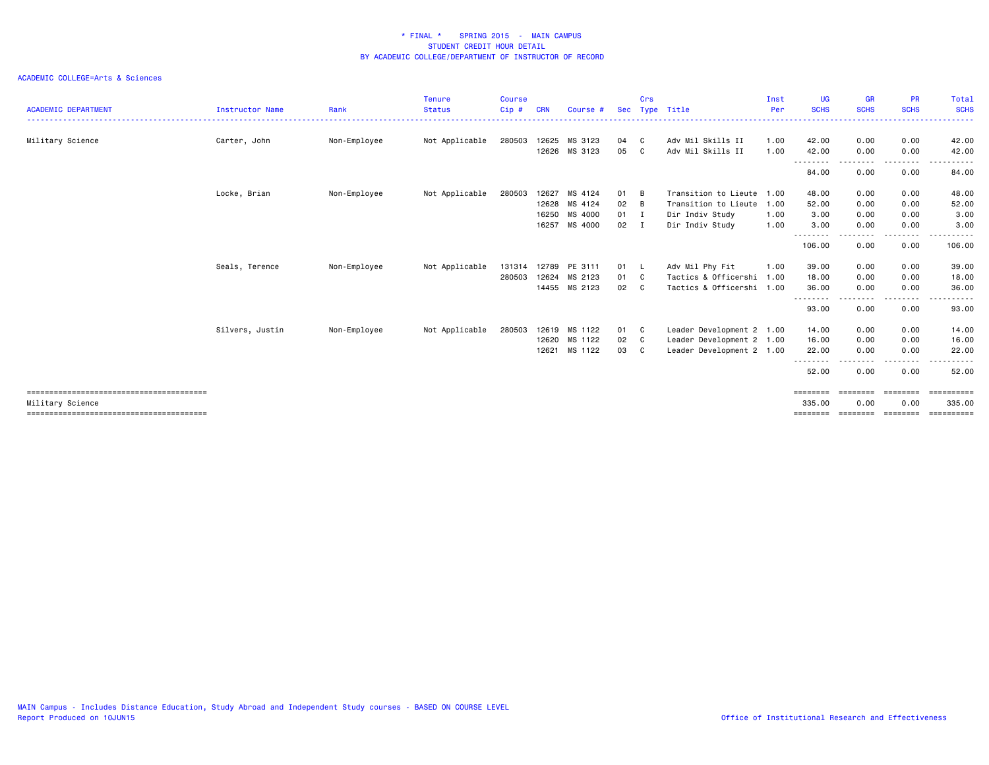| <b>ACADEMIC DEPARTMENT</b> | <b>Instructor Name</b> | Rank         | <b>Tenure</b><br><b>Status</b> | <b>Course</b><br>$Cip$ # | <b>CRN</b> | Course # | Sec  | Crs<br>Type    | Title                     | Inst<br>Per | <b>UG</b><br><b>SCHS</b> | <b>GR</b><br><b>SCHS</b> | <b>PR</b><br><b>SCHS</b> | Total<br><b>SCHS</b>                                                                                                                                                                                                                                                                                                                                                                                                                                                                   |
|----------------------------|------------------------|--------------|--------------------------------|--------------------------|------------|----------|------|----------------|---------------------------|-------------|--------------------------|--------------------------|--------------------------|----------------------------------------------------------------------------------------------------------------------------------------------------------------------------------------------------------------------------------------------------------------------------------------------------------------------------------------------------------------------------------------------------------------------------------------------------------------------------------------|
| Military Science           | Carter, John           | Non-Employee | Not Applicable                 | 280503                   | 12625      | MS 3123  | 04   | C              | Adv Mil Skills II         | 1.00        | 42.00                    | 0.00                     | 0.00                     | 42.00                                                                                                                                                                                                                                                                                                                                                                                                                                                                                  |
|                            |                        |              |                                |                          | 12626      | MS 3123  | 05   | C              | Adv Mil Skills II         | 1.00        | 42.00                    | 0.00                     | 0.00                     | 42.00                                                                                                                                                                                                                                                                                                                                                                                                                                                                                  |
|                            |                        |              |                                |                          |            |          |      |                |                           |             | --------<br>84.00        | . <b>.</b><br>0.00       | .<br>0.00                | <u>.</u><br>84.00                                                                                                                                                                                                                                                                                                                                                                                                                                                                      |
|                            | Locke, Brian           | Non-Employee | Not Applicable                 | 280503                   | 12627      | MS 4124  | 01   | B              | Transition to Lieute      | 1.00        | 48.00                    | 0.00                     | 0.00                     | 48.00                                                                                                                                                                                                                                                                                                                                                                                                                                                                                  |
|                            |                        |              |                                |                          | 12628      | MS 4124  | 02   | B              | Transition to Lieute      | 1.00        | 52.00                    | 0.00                     | 0.00                     | 52.00                                                                                                                                                                                                                                                                                                                                                                                                                                                                                  |
|                            |                        |              |                                |                          | 16250      | MS 4000  | 01   | I              | Dir Indiv Study           | 1.00        | 3.00                     | 0.00                     | 0.00                     | 3.00                                                                                                                                                                                                                                                                                                                                                                                                                                                                                   |
|                            |                        |              |                                |                          | 16257      | MS 4000  | 02   | I              | Dir Indiv Study           | 1.00        | 3.00                     | 0.00                     | 0.00                     | 3.00                                                                                                                                                                                                                                                                                                                                                                                                                                                                                   |
|                            |                        |              |                                |                          |            |          |      |                |                           |             | --------<br>106.00       | .<br>0.00                | -----<br>0.00            | .<br>106.00                                                                                                                                                                                                                                                                                                                                                                                                                                                                            |
|                            | Seals, Terence         | Non-Employee | Not Applicable                 | 131314                   | 12789      | PE 3111  | 01 L |                | Adv Mil Phy Fit           | 1.00        | 39.00                    | 0.00                     | 0.00                     | 39.00                                                                                                                                                                                                                                                                                                                                                                                                                                                                                  |
|                            |                        |              |                                | 280503                   | 12624      | MS 2123  | 01   | C              | Tactics & Officershi      | 1.00        | 18.00                    | 0.00                     | 0.00                     | 18.00                                                                                                                                                                                                                                                                                                                                                                                                                                                                                  |
|                            |                        |              |                                |                          | 14455      | MS 2123  | 02   | C              | Tactics & Officershi      | 1.00        | 36.00                    | 0.00                     | 0.00                     | 36.00                                                                                                                                                                                                                                                                                                                                                                                                                                                                                  |
|                            |                        |              |                                |                          |            |          |      |                |                           |             | 93.00                    | - - - -<br>0.00          | -----<br>0.00            | .<br>93.00                                                                                                                                                                                                                                                                                                                                                                                                                                                                             |
|                            | Silvers, Justin        | Non-Employee | Not Applicable                 | 280503                   | 12619      | MS 1122  | 01   | C <sub>1</sub> | Leader Development 2 1.00 |             | 14.00                    | 0.00                     | 0.00                     | 14.00                                                                                                                                                                                                                                                                                                                                                                                                                                                                                  |
|                            |                        |              |                                |                          | 12620      | MS 1122  | 02   | $\mathbf{C}$   | Leader Development 2 1.00 |             | 16.00                    | 0.00                     | 0.00                     | 16.00                                                                                                                                                                                                                                                                                                                                                                                                                                                                                  |
|                            |                        |              |                                |                          | 12621      | MS 1122  | 03   | C              | Leader Development 2 1.00 |             | 22.00                    | 0.00                     | 0.00                     | 22.00                                                                                                                                                                                                                                                                                                                                                                                                                                                                                  |
|                            |                        |              |                                |                          |            |          |      |                |                           |             | 52.00                    | 0.00                     | .<br>0.00                | 52.00                                                                                                                                                                                                                                                                                                                                                                                                                                                                                  |
|                            |                        |              |                                |                          |            |          |      |                |                           |             | ========                 | ========                 | ========                 | $\begin{array}{cccccccccc} \multicolumn{2}{c}{} & \multicolumn{2}{c}{} & \multicolumn{2}{c}{} & \multicolumn{2}{c}{} & \multicolumn{2}{c}{} & \multicolumn{2}{c}{} & \multicolumn{2}{c}{} & \multicolumn{2}{c}{} & \multicolumn{2}{c}{} & \multicolumn{2}{c}{} & \multicolumn{2}{c}{} & \multicolumn{2}{c}{} & \multicolumn{2}{c}{} & \multicolumn{2}{c}{} & \multicolumn{2}{c}{} & \multicolumn{2}{c}{} & \multicolumn{2}{c}{} & \multicolumn{2}{c}{} & \multicolumn{2}{c}{} & \mult$ |
| Military Science           |                        |              |                                |                          |            |          |      |                |                           |             | 335.00                   | 0.00                     | 0.00                     | 335,00                                                                                                                                                                                                                                                                                                                                                                                                                                                                                 |
|                            |                        |              |                                |                          |            |          |      |                |                           |             | ========                 | ========                 |                          | ==========                                                                                                                                                                                                                                                                                                                                                                                                                                                                             |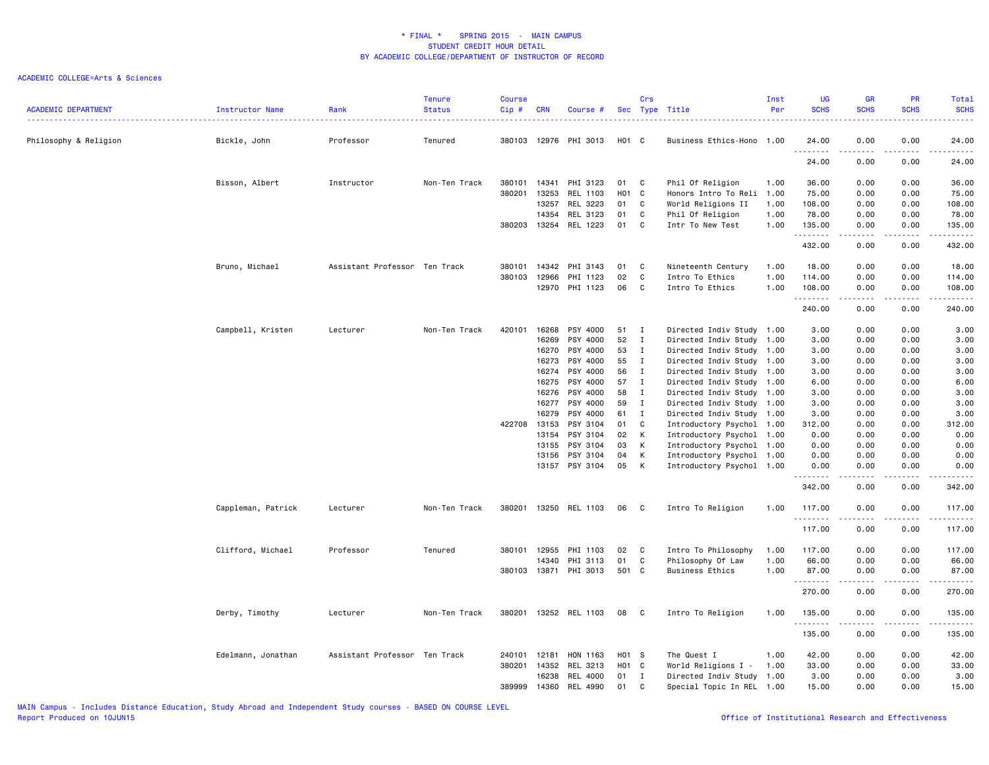| <b>ACADEMIC DEPARTMENT</b> | Instructor Name    | Rank                          | <b>Tenure</b><br><b>Status</b> | <b>Course</b><br>Cip# | <b>CRN</b>     | Course #             | Sec      | Crs               | Type Title                                             | Inst<br>Per | <b>UG</b><br><b>SCHS</b> | <b>GR</b><br><b>SCHS</b>            | <b>PR</b><br><b>SCHS</b>     | Total<br><b>SCHS</b><br>والمستناب                                                                                                   |
|----------------------------|--------------------|-------------------------------|--------------------------------|-----------------------|----------------|----------------------|----------|-------------------|--------------------------------------------------------|-------------|--------------------------|-------------------------------------|------------------------------|-------------------------------------------------------------------------------------------------------------------------------------|
| Philosophy & Religion      | Bickle, John       | Professor                     | Tenured                        | 380103                |                | 12976 PHI 3013       | H01 C    |                   | Business Ethics-Hono 1.00                              |             | 24.00                    | 0.00                                | 0.00                         | 24.00                                                                                                                               |
|                            |                    |                               |                                |                       |                |                      |          |                   |                                                        |             | .<br>24.00               | 0.00                                | 0.00                         | .<br>24.00                                                                                                                          |
|                            | Bisson, Albert     | Instructor                    | Non-Ten Track                  | 380101                | 14341          | PHI 3123             | 01       | C                 | Phil Of Religion                                       | 1.00        | 36.00                    | 0.00                                | 0.00                         | 36.00                                                                                                                               |
|                            |                    |                               |                                | 380201                | 13253          | REL 1103             | H01 C    |                   | Honors Intro To Reli                                   | 1.00        | 75.00                    | 0.00                                | 0.00                         | 75.00                                                                                                                               |
|                            |                    |                               |                                |                       | 13257          | REL 3223             | 01       | C                 | World Religions II                                     | 1.00        | 108.00                   | 0.00                                | 0.00                         | 108.00                                                                                                                              |
|                            |                    |                               |                                |                       | 14354          | REL 3123             | 01       | C                 | Phil Of Religion                                       | 1.00        | 78.00                    | 0.00                                | 0.00                         | 78.00                                                                                                                               |
|                            |                    |                               |                                | 380203 13254          |                | REL 1223             | 01       | C                 | Intr To New Test                                       | 1.00        | 135.00<br>.              | 0.00<br>د د د د د                   | 0.00<br>.                    | 135.00<br>$\begin{array}{cccccccccccccc} \bullet & \bullet & \bullet & \bullet & \bullet & \bullet & \bullet & \bullet \end{array}$ |
|                            |                    |                               |                                |                       |                |                      |          |                   |                                                        |             | 432.00                   | 0.00                                | 0.00                         | 432.00                                                                                                                              |
|                            | Bruno, Michael     | Assistant Professor Ten Track |                                | 380101                | 14342          | PHI 3143             | 01       | C                 | Nineteenth Century                                     | 1.00        | 18.00                    | 0.00                                | 0.00                         | 18.00                                                                                                                               |
|                            |                    |                               |                                | 380103                | 12966          | PHI 1123             | 02       | $\mathbf c$       | Intro To Ethics                                        | 1.00        | 114.00                   | 0.00                                | 0.00                         | 114.00                                                                                                                              |
|                            |                    |                               |                                |                       |                | 12970 PHI 1123       | 06       | C                 | Intro To Ethics                                        | 1.00        | 108.00<br>.              | 0.00<br>$\sim$ $\sim$ $\sim$ $\sim$ | 0.00<br>$\sim$ $\sim$ $\sim$ | 108.00<br>.                                                                                                                         |
|                            |                    |                               |                                |                       |                |                      |          |                   |                                                        |             | 240.00                   | 0.00                                | 0.00                         | 240.00                                                                                                                              |
|                            | Campbell, Kristen  | Lecturer                      | Non-Ten Track                  | 420101                | 16268          | PSY 4000             | 51       | $\mathbf{I}$      | Directed Indiv Study 1.00                              |             | 3.00                     | 0.00                                | 0.00                         | 3.00                                                                                                                                |
|                            |                    |                               |                                |                       | 16269          | PSY 4000             | 52       | $\bf{I}$          | Directed Indiv Study                                   | 1.00        | 3.00                     | 0.00                                | 0.00                         | 3.00                                                                                                                                |
|                            |                    |                               |                                |                       | 16270          | PSY 4000             | 53       | $\mathbf{I}$      | Directed Indiv Study 1.00                              |             | 3.00                     | 0.00                                | 0.00                         | 3.00                                                                                                                                |
|                            |                    |                               |                                |                       | 16273          | PSY 4000             | 55       | $\mathbf{I}$      | Directed Indiv Study 1.00                              |             | 3.00                     | 0.00                                | 0.00                         | 3.00                                                                                                                                |
|                            |                    |                               |                                |                       | 16274          | PSY 4000             | 56       | $\mathbf{I}$      | Directed Indiv Study 1.00                              |             | 3.00                     | 0.00                                | 0.00                         | 3.00                                                                                                                                |
|                            |                    |                               |                                |                       | 16275          | PSY 4000             | 57<br>58 | $\mathbf{I}$<br>I | Directed Indiv Study 1.00                              |             | 6.00                     | 0.00                                | 0.00                         | 6.00                                                                                                                                |
|                            |                    |                               |                                |                       | 16276<br>16277 | PSY 4000<br>PSY 4000 | 59       | $\mathbf{I}$      | Directed Indiv Study 1.00<br>Directed Indiv Study 1.00 |             | 3.00<br>3.00             | 0.00<br>0.00                        | 0.00<br>0.00                 | 3.00<br>3.00                                                                                                                        |
|                            |                    |                               |                                |                       | 16279          | PSY 4000             | 61       | $\mathbf{I}$      | Directed Indiv Study 1.00                              |             | 3.00                     | 0.00                                | 0.00                         | 3.00                                                                                                                                |
|                            |                    |                               |                                | 422708 13153          |                | PSY 3104             | 01       | C                 | Introductory Psychol 1.00                              |             | 312.00                   | 0.00                                | 0.00                         | 312.00                                                                                                                              |
|                            |                    |                               |                                |                       | 13154          | PSY 3104             | 02       | K                 | Introductory Psychol 1.00                              |             | 0.00                     | 0.00                                | 0.00                         | 0.00                                                                                                                                |
|                            |                    |                               |                                |                       | 13155          | PSY 3104             | 03       | K                 | Introductory Psychol 1.00                              |             | 0.00                     | 0.00                                | 0.00                         | 0.00                                                                                                                                |
|                            |                    |                               |                                |                       | 13156          | PSY 3104             | 04       | К                 | Introductory Psychol 1.00                              |             | 0.00                     | 0.00                                | 0.00                         | 0.00                                                                                                                                |
|                            |                    |                               |                                |                       |                | 13157 PSY 3104       | 05       | K                 | Introductory Psychol 1.00                              |             | 0.00<br>.                | 0.00                                | 0.00<br>.                    | 0.00<br>.                                                                                                                           |
|                            |                    |                               |                                |                       |                |                      |          |                   |                                                        |             | 342.00                   | .<br>0.00                           | 0.00                         | 342.00                                                                                                                              |
|                            | Cappleman, Patrick | Lecturer                      | Non-Ten Track                  | 380201                |                | 13250 REL 1103       | 06       | C                 | Intro To Religion                                      | 1.00        | 117.00                   | 0.00                                | 0.00                         | 117.00                                                                                                                              |
|                            |                    |                               |                                |                       |                |                      |          |                   |                                                        |             | .<br>117.00              | 0.00                                | 0.00                         | .<br>117.00                                                                                                                         |
|                            | Clifford, Michael  | Professor                     | Tenured                        | 380101                | 12955          | PHI 1103             | 02       | $\mathbf{C}$      | Intro To Philosophy                                    | 1.00        | 117.00                   | 0.00                                | 0.00                         | 117.00                                                                                                                              |
|                            |                    |                               |                                |                       | 14340          | PHI 3113             | 01       | C                 | Philosophy Of Law                                      | 1.00        | 66.00                    | 0.00                                | 0.00                         | 66.00                                                                                                                               |
|                            |                    |                               |                                | 380103                | 13871          | PHI 3013             | 501 C    |                   | Business Ethics                                        | 1.00        | 87.00<br>.               | 0.00                                | 0.00<br>.                    | 87.00<br>.                                                                                                                          |
|                            |                    |                               |                                |                       |                |                      |          |                   |                                                        |             | 270.00                   | .<br>0.00                           | 0.00                         | 270.00                                                                                                                              |
|                            | Derby, Timothy     | Lecturer                      | Non-Ten Track                  | 380201                |                | 13252 REL 1103       | 08       | $\mathbf{C}$      | Intro To Religion                                      | 1.00        | 135.00                   | 0.00                                | 0.00                         | 135.00                                                                                                                              |
|                            |                    |                               |                                |                       |                |                      |          |                   |                                                        |             | .<br>135.00              | 0.00                                | 0.00                         | 135.00                                                                                                                              |
|                            | Edelmann, Jonathan | Assistant Professor Ten Track |                                | 240101                | 12181          | HON 1163             | H01 S    |                   | The Quest I                                            | 1.00        | 42.00                    | 0.00                                | 0.00                         | 42.00                                                                                                                               |
|                            |                    |                               |                                | 380201                | 14352          | REL 3213             | H01 C    |                   | World Religions I -                                    | 1.00        | 33.00                    | 0.00                                | 0.00                         | 33.00                                                                                                                               |
|                            |                    |                               |                                |                       | 16238          | REL 4000             | 01       | $\mathbf{I}$      | Directed Indiv Study 1.00                              |             | 3.00                     | 0.00                                | 0.00                         | 3.00                                                                                                                                |
|                            |                    |                               |                                | 389999                | 14360          | REL 4990             | 01       | C                 | Special Topic In REL 1.00                              |             | 15.00                    | 0.00                                | 0.00                         | 15.00                                                                                                                               |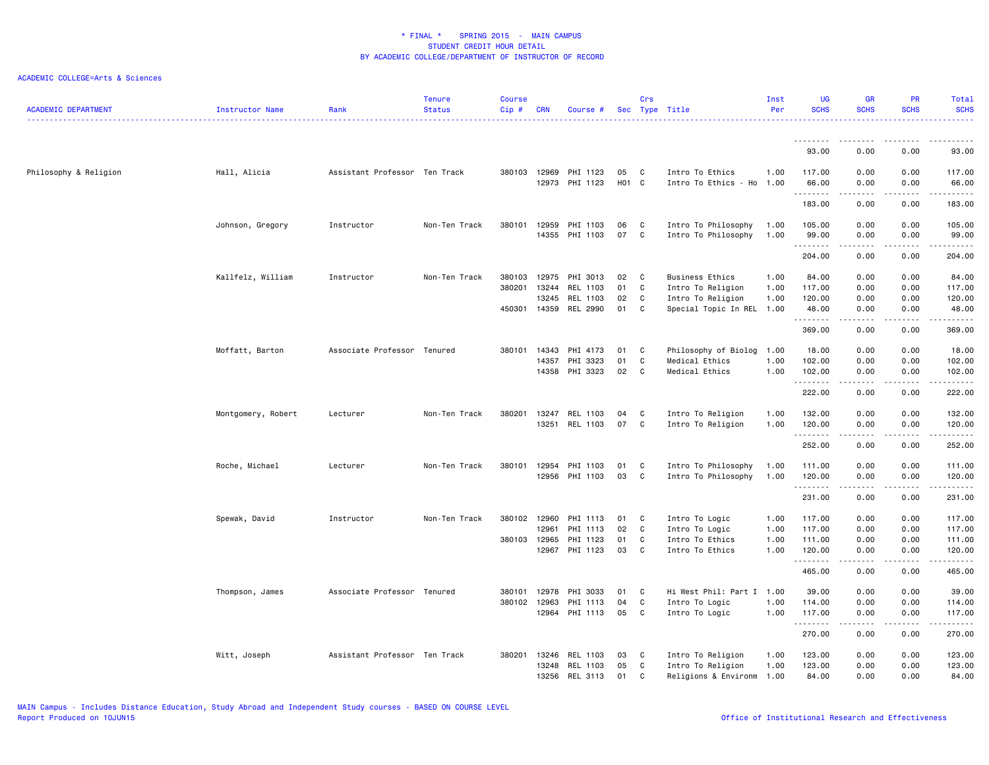| <b>ACADEMIC DEPARTMENT</b> | <b>Instructor Name</b> | Rank                          | <b>Tenure</b><br><b>Status</b> | <b>Course</b><br>Cip# | <b>CRN</b> | Course # |            | Crs          | Sec Type Title            | Inst<br>Per | <b>UG</b><br><b>SCHS</b> | <b>GR</b><br><b>SCHS</b> | PR<br><b>SCHS</b>                   | Total<br><b>SCHS</b>      |
|----------------------------|------------------------|-------------------------------|--------------------------------|-----------------------|------------|----------|------------|--------------|---------------------------|-------------|--------------------------|--------------------------|-------------------------------------|---------------------------|
|                            |                        |                               |                                |                       |            |          |            |              |                           |             | .                        | .                        | .                                   | .                         |
|                            |                        |                               |                                |                       |            |          |            |              |                           |             | 93.00                    | 0.00                     | 0.00                                | 93.00                     |
| Philosophy & Religion      | Hall, Alicia           | Assistant Professor Ten Track |                                | 380103                | 12969      | PHI 1123 | 05         | C            | Intro To Ethics           | 1.00        | 117.00                   | 0.00                     | 0.00                                | 117.00                    |
|                            |                        |                               |                                |                       | 12973      | PHI 1123 | <b>HO1</b> | $\mathbf{C}$ | Intro To Ethics - Ho      | 1.00        | 66.00<br>.               | 0.00<br>-----            | 0.00<br>.                           | 66.00                     |
|                            |                        |                               |                                |                       |            |          |            |              |                           |             | 183.00                   | 0.00                     | 0.00                                | 183.00                    |
|                            | Johnson, Gregory       | Instructor                    | Non-Ten Track                  | 380101                | 12959      | PHI 1103 | 06         | C            | Intro To Philosophy       | 1.00        | 105.00                   | 0.00                     | 0.00                                | 105.00                    |
|                            |                        |                               |                                |                       | 14355      | PHI 1103 | 07         | C            | Intro To Philosophy       | 1.00        | 99.00<br>.               | 0.00<br>.                | 0.00<br>$\sim$ $\sim$ $\sim$        | 99.00<br>.                |
|                            |                        |                               |                                |                       |            |          |            |              |                           |             | 204.00                   | 0.00                     | 0.00                                | 204.00                    |
|                            | Kallfelz, William      | Instructor                    | Non-Ten Track                  | 380103                | 12975      | PHI 3013 | 02         | C            | Business Ethics           | 1.00        | 84.00                    | 0.00                     | 0.00                                | 84.00                     |
|                            |                        |                               |                                | 380201                | 13244      | REL 1103 | 01         | C            | Intro To Religion         | 1.00        | 117.00                   | 0.00                     | 0.00                                | 117.00                    |
|                            |                        |                               |                                |                       | 13245      | REL 1103 | 02         | C            | Intro To Religion         | 1.00        | 120.00                   | 0.00                     | 0.00                                | 120.00                    |
|                            |                        |                               |                                | 450301                | 14359      | REL 2990 | 01         | C            | Special Topic In REL 1.00 |             | 48.00<br>.               | 0.00<br>المستمال         | 0.00<br>.                           | 48.00<br>المستملة المناسب |
|                            |                        |                               |                                |                       |            |          |            |              |                           |             | 369.00                   | 0.00                     | 0.00                                | 369.00                    |
|                            | Moffatt, Barton        | Associate Professor Tenured   |                                | 380101                | 14343      | PHI 4173 | 01         | C            | Philosophy of Biolog      | 1.00        | 18.00                    | 0.00                     | 0.00                                | 18.00                     |
|                            |                        |                               |                                |                       | 14357      | PHI 3323 | 01         | C            | Medical Ethics            | 1.00        | 102.00                   | 0.00                     | 0.00                                | 102.00                    |
|                            |                        |                               |                                |                       | 14358      | PHI 3323 | 02         | C            | Medical Ethics            | 1.00        | 102.00<br>.              | 0.00<br>.                | 0.00<br>.                           | 102.00<br>.               |
|                            |                        |                               |                                |                       |            |          |            |              |                           |             | 222.00                   | 0.00                     | 0.00                                | 222.00                    |
|                            | Montgomery, Robert     | Lecturer                      | Non-Ten Track                  | 380201                | 13247      | REL 1103 | 04         | C            | Intro To Religion         | 1.00        | 132.00                   | 0.00                     | 0.00                                | 132.00                    |
|                            |                        |                               |                                |                       | 13251      | REL 1103 | 07         | C            | Intro To Religion         | 1.00        | 120.00<br>.              | 0.00                     | 0.00<br>$\sim$ $\sim$ $\sim$ $\sim$ | 120.00<br><u>.</u>        |
|                            |                        |                               |                                |                       |            |          |            |              |                           |             | 252.00                   | 0.00                     | 0.00                                | 252.00                    |
|                            | Roche, Michael         | Lecturer                      | Non-Ten Track                  | 380101 12954          |            | PHI 1103 | 01         | C            | Intro To Philosophy       | 1.00        | 111.00                   | 0.00                     | 0.00                                | 111.00                    |
|                            |                        |                               |                                |                       | 12956      | PHI 1103 | 03         | C            | Intro To Philosophy       | 1.00        | 120.00                   | 0.00                     | 0.00                                | 120.00                    |
|                            |                        |                               |                                |                       |            |          |            |              |                           |             | <u>.</u><br>231.00       | -----<br>0.00            | .<br>0.00                           | .<br>231.00               |
|                            | Spewak, David          | Instructor                    | Non-Ten Track                  | 380102 12960          |            | PHI 1113 | 01         | C            | Intro To Logic            | 1.00        | 117.00                   | 0.00                     | 0.00                                | 117.00                    |
|                            |                        |                               |                                |                       | 12961      | PHI 1113 | 02         | C            | Intro To Logic            | 1.00        | 117.00                   | 0.00                     | 0.00                                | 117.00                    |
|                            |                        |                               |                                | 380103                | 12965      | PHI 1123 | 01         | C            | Intro To Ethics           | 1.00        | 111.00                   | 0.00                     | 0.00                                | 111.00                    |
|                            |                        |                               |                                |                       | 12967      | PHI 1123 | 03         | C            | Intro To Ethics           | 1.00        | 120.00<br>.              | 0.00                     | 0.00                                | 120.00<br>.               |
|                            |                        |                               |                                |                       |            |          |            |              |                           |             | 465.00                   | 0.00                     | 0.00                                | 465.00                    |
|                            | Thompson, James        | Associate Professor Tenured   |                                | 380101                | 12978      | PHI 3033 | 01         | C.           | Hi West Phil: Part I 1.00 |             | 39.00                    | 0.00                     | 0.00                                | 39.00                     |
|                            |                        |                               |                                | 380102                | 12963      | PHI 1113 | 04         | C            | Intro To Logic            | 1.00        | 114.00                   | 0.00                     | 0.00                                | 114.00                    |
|                            |                        |                               |                                |                       | 12964      | PHI 1113 | 05         | C            | Intro To Logic            | 1.00        | 117.00<br>.              | 0.00                     | 0.00<br>$- - -$                     | 117.00<br>.               |
|                            |                        |                               |                                |                       |            |          |            |              |                           |             | 270.00                   | 0.00                     | 0.00                                | 270.00                    |
|                            | Witt, Joseph           | Assistant Professor Ten Track |                                | 380201                | 13246      | REL 1103 | 03         | C            | Intro To Religion         | 1.00        | 123.00                   | 0.00                     | 0.00                                | 123.00                    |
|                            |                        |                               |                                |                       | 13248      | REL 1103 | 05         | C            | Intro To Religion         | 1.00        | 123.00                   | 0.00                     | 0.00                                | 123.00                    |
|                            |                        |                               |                                |                       | 13256      | REL 3113 | 01         | C            | Religions & Environm      | 1.00        | 84.00                    | 0.00                     | 0.00                                | 84.00                     |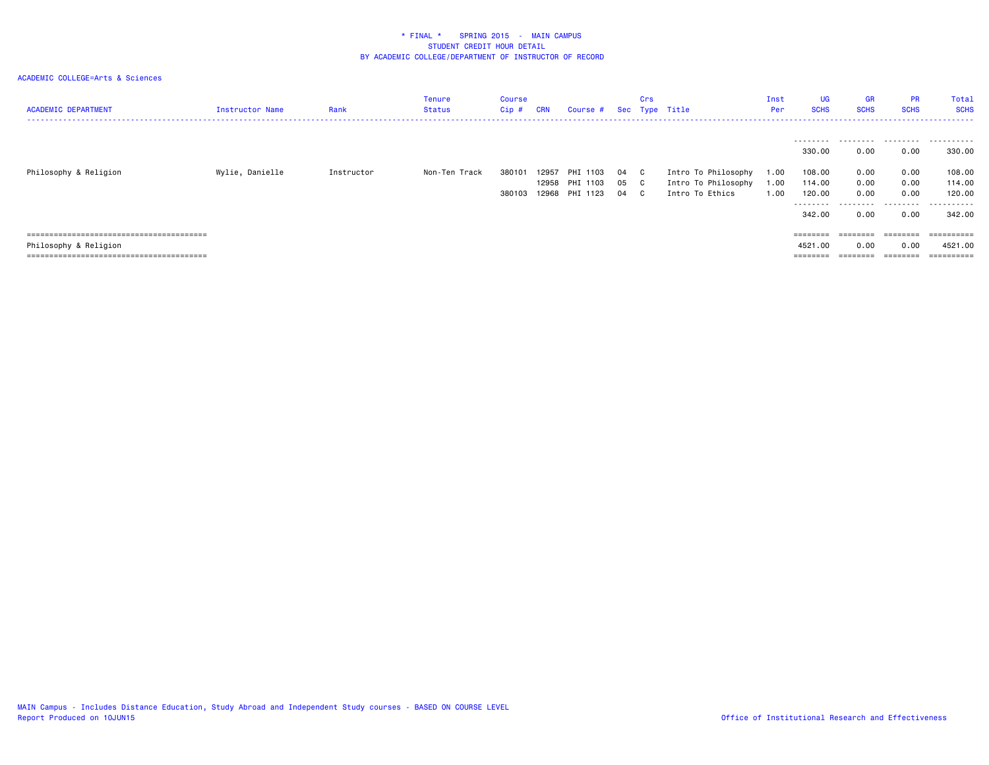| <b>ACADEMIC DEPARTMENT</b> | Instructor Name | Rank       | Tenure<br>Status | Course<br>Cip #  | <b>CRN</b>     | Course #                               |                  | Crs       | Sec Type Title                                                | Inst<br>Per          | <b>UG</b><br><b>SCHS</b>                                                 | <b>GR</b><br><b>SCHS</b>                       | <b>PR</b><br><b>SCHS</b>                       | Total<br><b>SCHS</b>                                     |
|----------------------------|-----------------|------------|------------------|------------------|----------------|----------------------------------------|------------------|-----------|---------------------------------------------------------------|----------------------|--------------------------------------------------------------------------|------------------------------------------------|------------------------------------------------|----------------------------------------------------------|
| Philosophy & Religion      | Wylie, Danielle | Instructor | Non-Ten Track    | 380101<br>380103 | 12957<br>12968 | PHI 1103<br>12958 PHI 1103<br>PHI 1123 | 04 C<br>05<br>04 | - C<br>C. | Intro To Philosophy<br>Intro To Philosophy<br>Intro To Ethics | 1.00<br>1.00<br>1.00 | ---------<br>330.00<br>108.00<br>114.00<br>120.00<br>---------<br>342.00 | .<br>0.00<br>0.00<br>0.00<br>0.00<br>.<br>0.00 | .<br>0.00<br>0.00<br>0.00<br>0.00<br>.<br>0.00 | .<br>330.00<br>108.00<br>114.00<br>120.00<br>.<br>342.00 |
|                            |                 |            |                  |                  |                |                                        |                  |           |                                                               |                      | $=$ = = = = = = =                                                        | $=$ = = = = = = =                              | ========                                       | ==========                                               |
| Philosophy & Religion      |                 |            |                  |                  |                |                                        |                  |           |                                                               |                      | 4521.00                                                                  | 0.00                                           | 0.00                                           | 4521.00                                                  |
|                            |                 |            |                  |                  |                |                                        |                  |           |                                                               |                      |                                                                          |                                                |                                                |                                                          |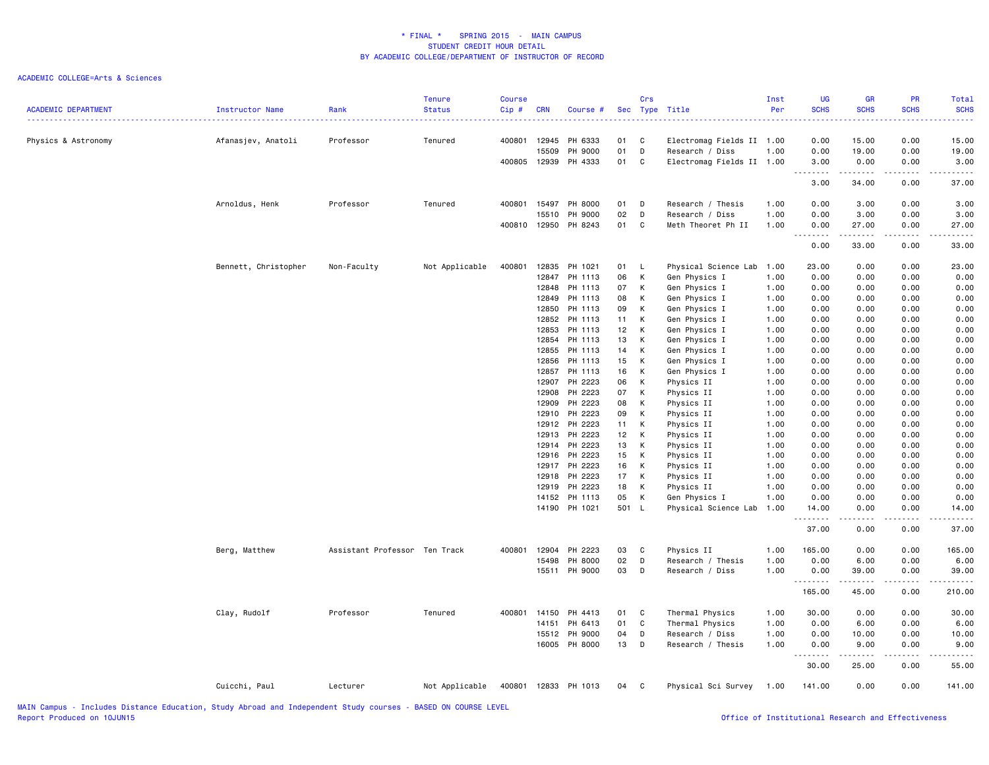| <b>ACADEMIC DEPARTMENT</b>                                                                                      | <b>Instructor Name</b> | Rank                          | <b>Tenure</b><br><b>Status</b> | <b>Course</b><br>$Cip$ # | <b>CRN</b> | Course #             |                 | Crs          | Sec Type Title            | Inst<br>Per | <b>UG</b><br><b>SCHS</b><br>.     | GR<br><b>SCHS</b><br>$\sim$ $\sim$ $\sim$ $\sim$                                                                                                              | PR<br><b>SCHS</b>                                                                                                                                            | Total<br><b>SCHS</b><br>. |
|-----------------------------------------------------------------------------------------------------------------|------------------------|-------------------------------|--------------------------------|--------------------------|------------|----------------------|-----------------|--------------|---------------------------|-------------|-----------------------------------|---------------------------------------------------------------------------------------------------------------------------------------------------------------|--------------------------------------------------------------------------------------------------------------------------------------------------------------|---------------------------|
| Physics & Astronomy                                                                                             | Afanasjev, Anatoli     | Professor                     | Tenured                        | 400801                   | 12945      | PH 6333              | 01              | C            | Electromag Fields II 1.00 |             | 0.00                              | 15.00                                                                                                                                                         | 0.00                                                                                                                                                         | 15.00                     |
|                                                                                                                 |                        |                               |                                |                          | 15509      | PH 9000              | 01              | D            | Research / Diss           | 1.00        | 0.00                              | 19.00                                                                                                                                                         | 0.00                                                                                                                                                         | 19.00                     |
|                                                                                                                 |                        |                               |                                | 400805                   | 12939      | PH 4333              | 01              | C            | Electromag Fields II 1.00 |             | 3.00<br>.<br>$\sim$ $\sim$ $\sim$ | 0.00<br>$\begin{array}{cccccccccc} \bullet & \bullet & \bullet & \bullet & \bullet & \bullet & \bullet & \bullet \end{array}$                                 | 0.00<br>22222                                                                                                                                                | 3.00<br>.                 |
|                                                                                                                 |                        |                               |                                |                          |            |                      |                 |              |                           |             | 3.00                              | 34.00                                                                                                                                                         | 0.00                                                                                                                                                         | 37.00                     |
|                                                                                                                 | Arnoldus, Henk         | Professor                     | Tenured                        | 400801                   | 15497      | PH 8000              | 01              | D            | Research / Thesis         | 1.00        | 0.00                              | 3.00                                                                                                                                                          | 0.00                                                                                                                                                         | 3.00                      |
|                                                                                                                 |                        |                               |                                |                          | 15510      | PH 9000              | 02              | D            | Research / Diss           | 1.00        | 0.00                              | 3.00                                                                                                                                                          | 0.00                                                                                                                                                         | 3.00                      |
|                                                                                                                 |                        |                               |                                | 400810                   | 12950      | PH 8243              | 01              | C            | Meth Theoret Ph II        | 1.00        | 0.00<br>. <b>.</b>                | 27.00<br>$\frac{1}{2} \left( \frac{1}{2} \right) \left( \frac{1}{2} \right) \left( \frac{1}{2} \right) \left( \frac{1}{2} \right) \left( \frac{1}{2} \right)$ | 0.00<br>.                                                                                                                                                    | 27.00<br>.                |
|                                                                                                                 |                        |                               |                                |                          |            |                      |                 |              |                           |             | 0.00                              | 33.00                                                                                                                                                         | 0.00                                                                                                                                                         | 33.00                     |
|                                                                                                                 | Bennett, Christopher   | Non-Faculty                   | Not Applicable                 | 400801                   |            | 12835 PH 1021        | 01 L            |              | Physical Science Lab 1.00 |             | 23.00                             | 0.00                                                                                                                                                          | 0.00                                                                                                                                                         | 23.00                     |
|                                                                                                                 |                        |                               |                                |                          | 12847      | PH 1113              | 06              | K            | Gen Physics I             | 1.00        | 0.00                              | 0.00                                                                                                                                                          | 0.00                                                                                                                                                         | 0.00                      |
|                                                                                                                 |                        |                               |                                |                          | 12848      | PH 1113              | 07              | K            | Gen Physics I             | 1.00        | 0.00                              | 0.00                                                                                                                                                          | 0.00                                                                                                                                                         | 0.00                      |
|                                                                                                                 |                        |                               |                                |                          | 12849      | PH 1113              | 08              | К            | Gen Physics I             | 1.00        | 0.00                              | 0.00                                                                                                                                                          | 0.00                                                                                                                                                         | 0.00                      |
|                                                                                                                 |                        |                               |                                |                          | 12850      | PH 1113              | 09              | K            | Gen Physics I             | 1.00        | 0.00                              | 0.00                                                                                                                                                          | 0.00                                                                                                                                                         | 0.00                      |
|                                                                                                                 |                        |                               |                                |                          | 12852      | PH 1113              | 11              | K            | Gen Physics I             | 1.00        | 0.00                              | 0.00                                                                                                                                                          | 0.00                                                                                                                                                         | 0.00                      |
|                                                                                                                 |                        |                               |                                |                          | 12853      | PH 1113              | 12              | K            | Gen Physics I             | 1.00        | 0.00                              | 0.00                                                                                                                                                          | 0.00                                                                                                                                                         | 0.00                      |
|                                                                                                                 |                        |                               |                                |                          | 12854      | PH 1113              | 13              | К            | Gen Physics I             | 1.00        | 0.00                              | 0.00                                                                                                                                                          | 0.00                                                                                                                                                         | 0.00                      |
|                                                                                                                 |                        |                               |                                |                          | 12855      | PH 1113              | 14              | K            | Gen Physics I             | 1.00        | 0.00                              | 0.00                                                                                                                                                          | 0.00                                                                                                                                                         | 0.00                      |
|                                                                                                                 |                        |                               |                                |                          | 12856      | PH 1113              | 15              | K            | Gen Physics I             | 1.00        | 0.00                              | 0.00                                                                                                                                                          | 0.00                                                                                                                                                         | 0.00                      |
|                                                                                                                 |                        |                               |                                |                          | 12857      | PH 1113              | 16              | K            | Gen Physics I             | 1.00        | 0.00                              | 0.00                                                                                                                                                          | 0.00                                                                                                                                                         | 0.00                      |
|                                                                                                                 |                        |                               |                                |                          |            | 12907 PH 2223        | 06              | K            | Physics II                | 1.00        | 0.00                              | 0.00                                                                                                                                                          | 0.00                                                                                                                                                         | 0.00                      |
|                                                                                                                 |                        |                               |                                |                          | 12908      | PH 2223              | 07              | $\mathsf{K}$ | Physics II                | 1.00        | 0.00                              | 0.00                                                                                                                                                          | 0.00                                                                                                                                                         | 0.00                      |
|                                                                                                                 |                        |                               |                                |                          | 12909      | PH 2223              | 08              | K            | Physics II                | 1.00        | 0.00                              | 0.00                                                                                                                                                          | 0.00                                                                                                                                                         | 0.00                      |
|                                                                                                                 |                        |                               |                                |                          | 12910      | PH 2223              | 09              | К            | Physics II                | 1.00        | 0.00                              | 0.00                                                                                                                                                          | 0.00                                                                                                                                                         | 0.00                      |
|                                                                                                                 |                        |                               |                                |                          |            | 12912 PH 2223        | 11              | K            | Physics II                | 1.00        | 0.00                              | 0.00                                                                                                                                                          | 0.00                                                                                                                                                         | 0.00                      |
|                                                                                                                 |                        |                               |                                |                          | 12913      | PH 2223              | 12 <sup>7</sup> | K            | Physics II                | 1.00        | 0.00                              | 0.00                                                                                                                                                          | 0.00                                                                                                                                                         | 0.00                      |
|                                                                                                                 |                        |                               |                                |                          |            | 12914 PH 2223        | 13              | К            | Physics II                | 1.00        | 0.00                              | 0.00                                                                                                                                                          | 0.00                                                                                                                                                         | 0.00                      |
|                                                                                                                 |                        |                               |                                |                          |            | 12916 PH 2223        | 15              | K            | Physics II                | 1.00        | 0.00                              | 0.00                                                                                                                                                          | 0.00                                                                                                                                                         | 0.00                      |
|                                                                                                                 |                        |                               |                                |                          |            | 12917 PH 2223        | 16              | $\mathsf{K}$ | Physics II                | 1.00        | 0.00                              | 0.00                                                                                                                                                          | 0.00                                                                                                                                                         | 0.00                      |
|                                                                                                                 |                        |                               |                                |                          | 12918      | PH 2223              | 17              | K            | Physics II                | 1.00        | 0.00                              | 0.00                                                                                                                                                          | 0.00                                                                                                                                                         | 0.00                      |
|                                                                                                                 |                        |                               |                                |                          | 12919      | PH 2223              | 18              | K            | Physics II                | 1.00        | 0.00                              | 0.00                                                                                                                                                          | 0.00                                                                                                                                                         | 0.00                      |
|                                                                                                                 |                        |                               |                                |                          |            | 14152 PH 1113        | 05              | K            | Gen Physics I             | 1.00        | 0.00                              | 0.00                                                                                                                                                          | 0.00                                                                                                                                                         | 0.00                      |
|                                                                                                                 |                        |                               |                                |                          |            | 14190 PH 1021        | 501 L           |              | Physical Science Lab 1.00 |             | 14.00                             | 0.00                                                                                                                                                          | 0.00                                                                                                                                                         | 14.00                     |
|                                                                                                                 |                        |                               |                                |                          |            |                      |                 |              |                           |             | .                                 | .                                                                                                                                                             | .                                                                                                                                                            | .                         |
|                                                                                                                 |                        |                               |                                |                          |            |                      |                 |              |                           |             | 37.00                             | 0.00                                                                                                                                                          | 0.00                                                                                                                                                         | 37.00                     |
|                                                                                                                 | Berg, Matthew          | Assistant Professor Ten Track |                                | 400801                   | 12904      | PH 2223              | 03              | C            | Physics II                | 1.00        | 165.00                            | 0.00                                                                                                                                                          | 0.00                                                                                                                                                         | 165.00                    |
|                                                                                                                 |                        |                               |                                |                          | 15498      | PH 8000              | 02              | D            | Research / Thesis         | 1.00        | 0.00                              | 6.00                                                                                                                                                          | 0.00                                                                                                                                                         | 6.00                      |
|                                                                                                                 |                        |                               |                                |                          |            | 15511 PH 9000        | 03              | D            | Research / Diss           | 1.00        | 0.00                              | 39.00<br>.                                                                                                                                                    | 0.00<br>$\frac{1}{2} \left( \frac{1}{2} \right) \left( \frac{1}{2} \right) \left( \frac{1}{2} \right) \left( \frac{1}{2} \right) \left( \frac{1}{2} \right)$ | 39.00<br>.                |
|                                                                                                                 |                        |                               |                                |                          |            |                      |                 |              |                           |             | 165.00                            | 45.00                                                                                                                                                         | 0.00                                                                                                                                                         | 210.00                    |
|                                                                                                                 | Clay, Rudolf           | Professor                     | Tenured                        | 400801                   | 14150      | PH 4413              | 01              | C            | Thermal Physics           | 1.00        | 30.00                             | 0.00                                                                                                                                                          | 0.00                                                                                                                                                         | 30.00                     |
|                                                                                                                 |                        |                               |                                |                          | 14151      | PH 6413              | 01              | C            | Thermal Physics           | 1.00        | 0.00                              | 6.00                                                                                                                                                          | 0.00                                                                                                                                                         | 6.00                      |
|                                                                                                                 |                        |                               |                                |                          | 15512      | PH 9000              | 04              | D            | Research / Diss           | 1.00        | 0.00                              | 10.00                                                                                                                                                         | 0.00                                                                                                                                                         | 10.00                     |
|                                                                                                                 |                        |                               |                                |                          |            | 16005 PH 8000        | 13 D            |              | Research / Thesis         | 1.00        | 0.00                              | 9.00<br>$\frac{1}{2} \left( \frac{1}{2} \right) \left( \frac{1}{2} \right) \left( \frac{1}{2} \right) \left( \frac{1}{2} \right) \left( \frac{1}{2} \right)$  | 0.00                                                                                                                                                         | 9.00                      |
|                                                                                                                 |                        |                               |                                |                          |            |                      |                 |              |                           |             | .<br>30.00                        | 25.00                                                                                                                                                         | .<br>0.00                                                                                                                                                    | 55.00                     |
|                                                                                                                 | Cuicchi, Paul          | Lecturer                      | Not Applicable                 |                          |            | 400801 12833 PH 1013 | 04 C            |              | Physical Sci Survey       | 1.00        | 141.00                            | 0.00                                                                                                                                                          | 0.00                                                                                                                                                         | 141.00                    |
| the contract of the contract of the contract of the contract of the contract of the contract of the contract of |                        |                               |                                |                          |            |                      |                 |              |                           |             |                                   |                                                                                                                                                               |                                                                                                                                                              |                           |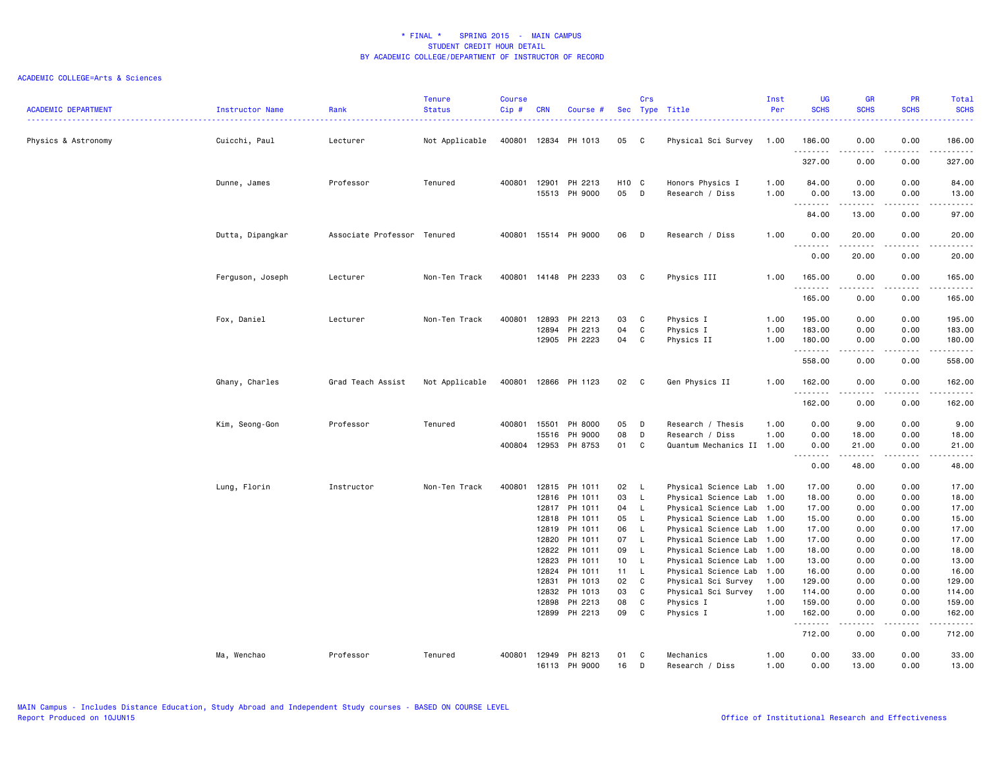| <b>ACADEMIC DEPARTMENT</b> | Instructor Name  | Rank<br>. <b>.</b> .        | <b>Tenure</b><br><b>Status</b> | <b>Course</b><br>$Cip$ # | <b>CRN</b>     | Course #             |                         | Crs          | Sec Type Title                                    | Inst<br>Per | <b>UG</b><br><b>SCHS</b> | <b>GR</b><br><b>SCHS</b>                                                                                                                                     | <b>PR</b><br><b>SCHS</b>       | Total<br><b>SCHS</b>                                                                                                            |
|----------------------------|------------------|-----------------------------|--------------------------------|--------------------------|----------------|----------------------|-------------------------|--------------|---------------------------------------------------|-------------|--------------------------|--------------------------------------------------------------------------------------------------------------------------------------------------------------|--------------------------------|---------------------------------------------------------------------------------------------------------------------------------|
| Physics & Astronomy        | Cuicchi, Paul    | Lecturer                    | Not Applicable                 | 400801                   |                | 12834 PH 1013        | 05 C                    |              | Physical Sci Survey                               | 1.00        | 186.00<br>.              | 0.00                                                                                                                                                         | 0.00                           | 186.00<br>.                                                                                                                     |
|                            |                  |                             |                                |                          |                |                      |                         |              |                                                   |             | 327.00                   | $\frac{1}{2} \left( \frac{1}{2} \right) \left( \frac{1}{2} \right) \left( \frac{1}{2} \right) \left( \frac{1}{2} \right) \left( \frac{1}{2} \right)$<br>0.00 | .<br>0.00                      | 327.00                                                                                                                          |
|                            | Dunne, James     | Professor                   | Tenured                        | 400801                   | 12901          | PH 2213              | H <sub>10</sub> C       |              | Honors Physics I                                  | 1.00        | 84.00                    | 0.00                                                                                                                                                         | 0.00                           | 84.00                                                                                                                           |
|                            |                  |                             |                                |                          | 15513          | PH 9000              | 05 D                    |              | Research / Diss                                   | 1.00        | 0.00<br><u>.</u>         | 13.00<br>.                                                                                                                                                   | 0.00<br>$\frac{1}{2}$          | 13.00<br>.                                                                                                                      |
|                            |                  |                             |                                |                          |                |                      |                         |              |                                                   |             | 84.00                    | 13.00                                                                                                                                                        | 0.00                           | 97.00                                                                                                                           |
|                            | Dutta, Dipangkar | Associate Professor Tenured |                                | 400801                   |                | 15514 PH 9000        | 06                      | D            | Research / Diss                                   | 1.00        | 0.00<br>.                | 20.00<br>.                                                                                                                                                   | 0.00<br>.                      | 20.00<br>.                                                                                                                      |
|                            |                  |                             |                                |                          |                |                      |                         |              |                                                   |             | 0.00                     | 20.00                                                                                                                                                        | 0.00                           | 20.00                                                                                                                           |
|                            | Ferguson, Joseph | Lecturer                    | Non-Ten Track                  |                          |                | 400801 14148 PH 2233 | 03                      | $\mathbf{C}$ | Physics III                                       | 1.00        | 165.00                   | 0.00                                                                                                                                                         | 0.00                           | 165.00                                                                                                                          |
|                            |                  |                             |                                |                          |                |                      |                         |              |                                                   |             | .<br>165.00              | $\frac{1}{2} \left( \frac{1}{2} \right) \left( \frac{1}{2} \right) \left( \frac{1}{2} \right) \left( \frac{1}{2} \right) \left( \frac{1}{2} \right)$<br>0.00 | .<br>0.00                      | .<br>165.00                                                                                                                     |
|                            | Fox, Daniel      | Lecturer                    | Non-Ten Track                  | 400801                   | 12893          | PH 2213              | 03                      | C            | Physics I                                         | 1.00        | 195.00                   | 0.00                                                                                                                                                         | 0.00                           | 195.00                                                                                                                          |
|                            |                  |                             |                                |                          | 12894          | PH 2213              | 04                      | C            | Physics I                                         | 1.00        | 183.00                   | 0.00                                                                                                                                                         | 0.00                           | 183.00                                                                                                                          |
|                            |                  |                             |                                |                          | 12905          | PH 2223              | 04                      | C            | Physics II                                        | 1.00        | 180.00<br>.              | 0.00<br>$\frac{1}{2} \left( \frac{1}{2} \right) \left( \frac{1}{2} \right) \left( \frac{1}{2} \right) \left( \frac{1}{2} \right) \left( \frac{1}{2} \right)$ | 0.00<br>.                      | 180.00<br>.                                                                                                                     |
|                            |                  |                             |                                |                          |                |                      |                         |              |                                                   |             | 558.00                   | 0.00                                                                                                                                                         | 0.00                           | 558.00                                                                                                                          |
|                            | Ghany, Charles   | Grad Teach Assist           | Not Applicable                 | 400801                   |                | 12866 PH 1123        | 02                      | $\mathbf{C}$ | Gen Physics II                                    | 1.00        | 162.00<br>.              | 0.00<br><b>.</b>                                                                                                                                             | 0.00<br>.                      | 162.00<br>المتمامين                                                                                                             |
|                            |                  |                             |                                |                          |                |                      |                         |              |                                                   |             | 162.00                   | 0.00                                                                                                                                                         | 0.00                           | 162.00                                                                                                                          |
|                            | Kim, Seong-Gon   | Professor                   | Tenured                        | 400801                   | 15501          | PH 8000              | 05                      | D            | Research / Thesis                                 | 1.00        | 0.00                     | 9.00                                                                                                                                                         | 0.00                           | 9.00                                                                                                                            |
|                            |                  |                             |                                |                          | 15516          | PH 9000              | 08                      | D            | Research / Diss                                   | 1.00        | 0.00                     | 18.00                                                                                                                                                        | 0.00                           | 18.00                                                                                                                           |
|                            |                  |                             |                                | 400804                   | 12953          | PH 8753              | 01                      | C            | Quantum Mechanics II                              | 1.00        | 0.00<br>.                | 21.00<br>.                                                                                                                                                   | 0.00<br>$\omega$ is a $\omega$ | 21.00<br>د د د د د                                                                                                              |
|                            |                  |                             |                                |                          |                |                      |                         |              |                                                   |             | 0.00                     | 48.00                                                                                                                                                        | 0.00                           | 48.00                                                                                                                           |
|                            | Lung, Florin     | Instructor                  | Non-Ten Track                  | 400801                   | 12815          | PH 1011              | 02                      | - L          | Physical Science Lab 1.00                         |             | 17.00                    | 0.00                                                                                                                                                         | 0.00                           | 17.00                                                                                                                           |
|                            |                  |                             |                                |                          | 12816          | PH 1011              | 03                      | $\mathsf{L}$ | Physical Science Lab                              | 1.00        | 18.00                    | 0.00                                                                                                                                                         | 0.00                           | 18.00                                                                                                                           |
|                            |                  |                             |                                |                          | 12817          | PH 1011              | 04                      | $\mathsf{L}$ | Physical Science Lab                              | 1.00        | 17.00                    | 0.00                                                                                                                                                         | 0.00                           | 17.00                                                                                                                           |
|                            |                  |                             |                                |                          | 12818          | PH 1011              | 05                      | - L          | Physical Science Lab 1.00                         |             | 15.00                    | 0.00                                                                                                                                                         | 0.00                           | 15.00                                                                                                                           |
|                            |                  |                             |                                |                          | 12819          | PH 1011              | 06                      | $\mathsf{L}$ | Physical Science Lab 1.00                         |             | 17.00                    | 0.00                                                                                                                                                         | 0.00                           | 17.00                                                                                                                           |
|                            |                  |                             |                                |                          | 12820          | PH 1011              | 07                      | $\mathsf{L}$ | Physical Science Lab                              | 1.00        | 17.00                    | 0.00                                                                                                                                                         | 0.00                           | 17.00                                                                                                                           |
|                            |                  |                             |                                |                          | 12822          | PH 1011              | 09                      | - L          | Physical Science Lab 1.00                         |             | 18.00                    | 0.00                                                                                                                                                         | 0.00                           | 18.00                                                                                                                           |
|                            |                  |                             |                                |                          | 12823<br>12824 | PH 1011<br>PH 1011   | 10 <sub>1</sub><br>11 L | $\mathsf{L}$ | Physical Science Lab 1.00<br>Physical Science Lab | 1.00        | 13.00<br>16.00           | 0.00<br>0.00                                                                                                                                                 | 0.00<br>0.00                   | 13.00<br>16.00                                                                                                                  |
|                            |                  |                             |                                |                          | 12831          | PH 1013              | 02                      | C            | Physical Sci Survey                               | 1.00        | 129.00                   | 0.00                                                                                                                                                         | 0.00                           | 129.00                                                                                                                          |
|                            |                  |                             |                                |                          | 12832          | PH 1013              | 03                      | C            | Physical Sci Survey                               | 1.00        | 114.00                   | 0.00                                                                                                                                                         | 0.00                           | 114.00                                                                                                                          |
|                            |                  |                             |                                |                          | 12898          | PH 2213              | 08                      | C            | Physics I                                         | 1.00        | 159.00                   | 0.00                                                                                                                                                         | 0.00                           | 159.00                                                                                                                          |
|                            |                  |                             |                                |                          | 12899          | PH 2213              | 09                      | $\mathbf{C}$ | Physics I                                         | 1.00        | 162.00                   | 0.00                                                                                                                                                         | 0.00                           | 162.00                                                                                                                          |
|                            |                  |                             |                                |                          |                |                      |                         |              |                                                   |             | .<br>712.00              | $\begin{array}{cccccccccccccc} \bullet & \bullet & \bullet & \bullet & \bullet & \bullet & \bullet \end{array}$<br>0.00                                      | .<br>0.00                      | $\begin{array}{cccccccccc} \bullet & \bullet & \bullet & \bullet & \bullet & \bullet & \bullet & \bullet \end{array}$<br>712.00 |
|                            | Ma, Wenchao      | Professor                   | Tenured                        | 400801                   | 12949          | PH 8213              | 01                      | C            | Mechanics                                         | 1.00        | 0.00                     | 33.00                                                                                                                                                        | 0.00                           | 33.00                                                                                                                           |
|                            |                  |                             |                                |                          | 16113          | PH 9000              | 16                      | D            | Research / Diss                                   | 1.00        | 0.00                     | 13,00                                                                                                                                                        | 0.00                           | 13,00                                                                                                                           |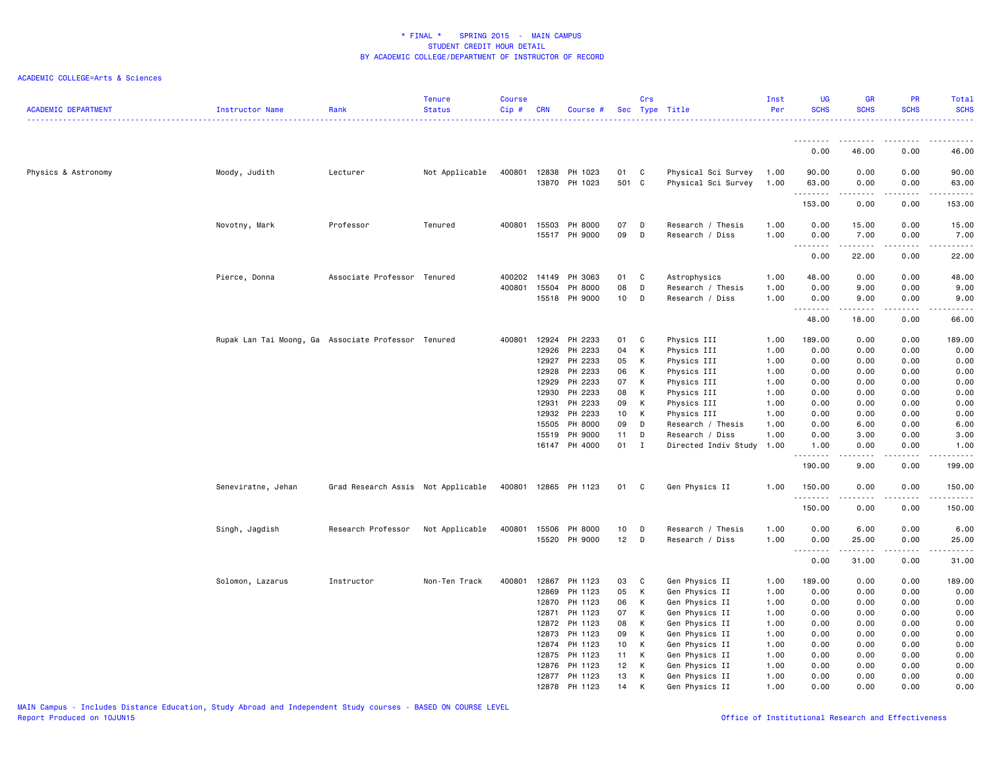| <b>ACADEMIC DEPARTMENT</b> | Instructor Name                                     | Rank                               | <b>Tenure</b><br><b>Status</b> | <b>Course</b><br>$Cip$ # | <b>CRN</b>                       | Course #                                 |                             | Crs               | Sec Type Title                                           | Inst<br>Per                  | <b>UG</b><br><b>SCHS</b>       | <b>GR</b><br><b>SCHS</b>       | PR<br><b>SCHS</b>            | Total<br><b>SCHS</b>           |
|----------------------------|-----------------------------------------------------|------------------------------------|--------------------------------|--------------------------|----------------------------------|------------------------------------------|-----------------------------|-------------------|----------------------------------------------------------|------------------------------|--------------------------------|--------------------------------|------------------------------|--------------------------------|
|                            |                                                     |                                    |                                |                          |                                  |                                          |                             |                   |                                                          |                              | <u>.</u>                       |                                |                              |                                |
|                            |                                                     |                                    |                                |                          |                                  |                                          |                             |                   |                                                          |                              | 0.00                           | 46.00                          | 0.00                         | 46.00                          |
| Physics & Astronomy        | Moody, Judith                                       | Lecturer                           | Not Applicable                 | 400801                   | 12838                            | PH 1023<br>13870 PH 1023                 | 01<br>501 C                 | C                 | Physical Sci Survey<br>Physical Sci Survey               | 1.00<br>1.00                 | 90.00<br>63.00                 | 0.00<br>0.00<br>د د د د د      | 0.00<br>0.00<br>.            | 90.00<br>63.00<br>.            |
|                            |                                                     |                                    |                                |                          |                                  |                                          |                             |                   |                                                          |                              | --------<br>153.00             | 0.00                           | 0.00                         | 153.00                         |
|                            | Novotny, Mark                                       | Professor                          | Tenured                        | 400801                   | 15503<br>15517                   | PH 8000<br>PH 9000                       | 07<br>09                    | D<br>D            | Research / Thesis<br>Research / Diss                     | 1.00<br>1.00                 | 0.00<br>0.00                   | 15.00<br>7.00                  | 0.00<br>0.00                 | 15.00<br>7.00                  |
|                            |                                                     |                                    |                                |                          |                                  |                                          |                             |                   |                                                          |                              | 0.00                           | د د د د د<br>22.00             | 0.00                         | وبالمسامين<br>22.00            |
|                            | Pierce, Donna                                       | Associate Professor Tenured        |                                | 400202<br>400801         | 14149<br>15504<br>15518          | PH 3063<br>PH 8000<br>PH 9000            | 01<br>08<br>10 <sub>1</sub> | C<br>D<br>D       | Astrophysics<br>Research / Thesis<br>Research / Diss     | 1.00<br>1.00<br>1.00         | 48.00<br>0.00<br>0.00          | 0.00<br>9.00<br>9.00           | 0.00<br>0.00<br>0.00         | 48.00<br>9.00<br>9.00          |
|                            |                                                     |                                    |                                |                          |                                  |                                          |                             |                   |                                                          |                              | .<br>48.00                     | $\cdots$<br>18.00              | 0.00                         | .<br>66.00                     |
|                            |                                                     |                                    |                                |                          |                                  |                                          |                             |                   |                                                          |                              |                                |                                |                              |                                |
|                            | Rupak Lan Tai Moong, Ga Associate Professor Tenured |                                    |                                | 400801                   | 12924<br>12926<br>12927<br>12928 | PH 2233<br>PH 2233<br>PH 2233<br>PH 2233 | 01<br>04<br>05<br>06        | C<br>K<br>K<br>К  | Physics III<br>Physics III<br>Physics III<br>Physics III | 1.00<br>1.00<br>1.00<br>1.00 | 189.00<br>0.00<br>0.00<br>0.00 | 0.00<br>0.00<br>0.00<br>0.00   | 0.00<br>0.00<br>0.00<br>0.00 | 189.00<br>0.00<br>0.00<br>0.00 |
|                            |                                                     |                                    |                                |                          | 12929                            | PH 2233<br>PH 2233                       | 07                          | К                 | Physics III                                              | 1.00                         | 0.00                           | 0.00                           | 0.00                         | 0.00                           |
|                            |                                                     |                                    |                                |                          | 12930<br>12931                   | PH 2233                                  | 08<br>09                    | K<br>K            | Physics III<br>Physics III                               | 1.00<br>1.00                 | 0.00<br>0.00                   | 0.00<br>0.00                   | 0.00<br>0.00                 | 0.00<br>0.00                   |
|                            |                                                     |                                    |                                |                          | 12932                            | PH 2233                                  | 10 <sub>1</sub>             | К                 | Physics III                                              | 1.00                         | 0.00                           | 0.00                           | 0.00                         | 0.00                           |
|                            |                                                     |                                    |                                |                          | 15505                            | PH 8000                                  | 09                          | D                 | Research / Thesis                                        | 1.00                         | 0.00                           | 6.00                           | 0.00                         | 6.00                           |
|                            |                                                     |                                    |                                |                          | 15519                            | PH 9000<br>16147 PH 4000                 | 11<br>01                    | D<br>$\mathbf{I}$ | Research / Diss<br>Directed Indiv Study 1.00             | 1.00                         | 0.00<br>1.00                   | 3.00<br>0.00                   | 0.00<br>0.00                 | 3.00<br>1.00                   |
|                            |                                                     |                                    |                                |                          |                                  |                                          |                             |                   |                                                          |                              | .<br>190.00                    | $\frac{1}{2}$<br>9.00          | $- - -$<br>0.00              | .<br>199.00                    |
|                            | Seneviratne, Jehan                                  | Grad Research Assis Not Applicable |                                | 400801                   |                                  | 12865 PH 1123                            | 01                          | C.                | Gen Physics II                                           | 1.00                         | 150.00<br>.                    | 0.00<br>$\cdots \cdots \cdots$ | 0.00<br>.                    | 150.00<br>.                    |
|                            |                                                     |                                    |                                |                          |                                  |                                          |                             |                   |                                                          |                              | 150.00                         | 0.00                           | 0.00                         | 150.00                         |
|                            | Singh, Jagdish                                      | Research Professor                 | Not Applicable                 | 400801                   | 15506                            | PH 8000                                  | 10 <sub>1</sub>             | D                 | Research / Thesis                                        | 1.00                         | 0.00                           | 6.00                           | 0.00                         | 6.00                           |
|                            |                                                     |                                    |                                |                          | 15520                            | PH 9000                                  | 12                          | D                 | Research / Diss                                          | 1.00                         | 0.00<br>$\sim$ $\sim$          | 25.00                          | 0.00                         | 25.00<br>$    -$               |
|                            |                                                     |                                    |                                |                          |                                  |                                          |                             |                   |                                                          |                              | 0.00                           | 31.00                          | 0.00                         | 31.00                          |
|                            | Solomon, Lazarus                                    | Instructor                         | Non-Ten Track                  | 400801                   | 12867                            | PH 1123                                  | 03                          | C                 | Gen Physics II                                           | 1.00                         | 189.00                         | 0.00                           | 0.00                         | 189.00                         |
|                            |                                                     |                                    |                                |                          | 12869                            | PH 1123                                  | 05                          | K                 | Gen Physics II                                           | 1.00                         | 0.00                           | 0.00                           | 0.00                         | 0.00                           |
|                            |                                                     |                                    |                                |                          | 12870                            | PH 1123                                  | 06                          | К                 | Gen Physics II                                           | 1.00                         | 0.00                           | 0.00                           | 0.00                         | 0.00                           |
|                            |                                                     |                                    |                                |                          | 12871<br>12872                   | PH 1123<br>PH 1123                       | 07<br>08                    | К<br>К            | Gen Physics II<br>Gen Physics II                         | 1.00<br>1.00                 | 0.00<br>0.00                   | 0.00<br>0.00                   | 0.00<br>0.00                 | 0.00<br>0.00                   |
|                            |                                                     |                                    |                                |                          | 12873                            | PH 1123                                  | 09                          | K                 | Gen Physics II                                           | 1.00                         | 0.00                           | 0.00                           | 0.00                         | 0.00                           |
|                            |                                                     |                                    |                                |                          | 12874                            | PH 1123                                  | 10                          | K                 | Gen Physics II                                           | 1.00                         | 0.00                           | 0.00                           | 0.00                         | 0.00                           |
|                            |                                                     |                                    |                                |                          | 12875                            | PH 1123                                  | 11                          | К                 | Gen Physics II                                           | 1.00                         | 0.00                           | 0.00                           | 0.00                         | 0.00                           |
|                            |                                                     |                                    |                                |                          | 12876                            | PH 1123                                  | 12                          | K                 | Gen Physics II                                           | 1.00                         | 0.00                           | 0.00                           | 0.00                         | 0.00                           |
|                            |                                                     |                                    |                                |                          | 12877                            | PH 1123                                  | 13                          | К                 | Gen Physics II                                           | 1.00                         | 0.00                           | 0.00                           | 0.00                         | 0.00                           |
|                            |                                                     |                                    |                                |                          | 12878                            | PH 1123                                  | 14                          | К                 | Gen Physics II                                           | 1.00                         | 0.00                           | 0.00                           | 0.00                         | 0.00                           |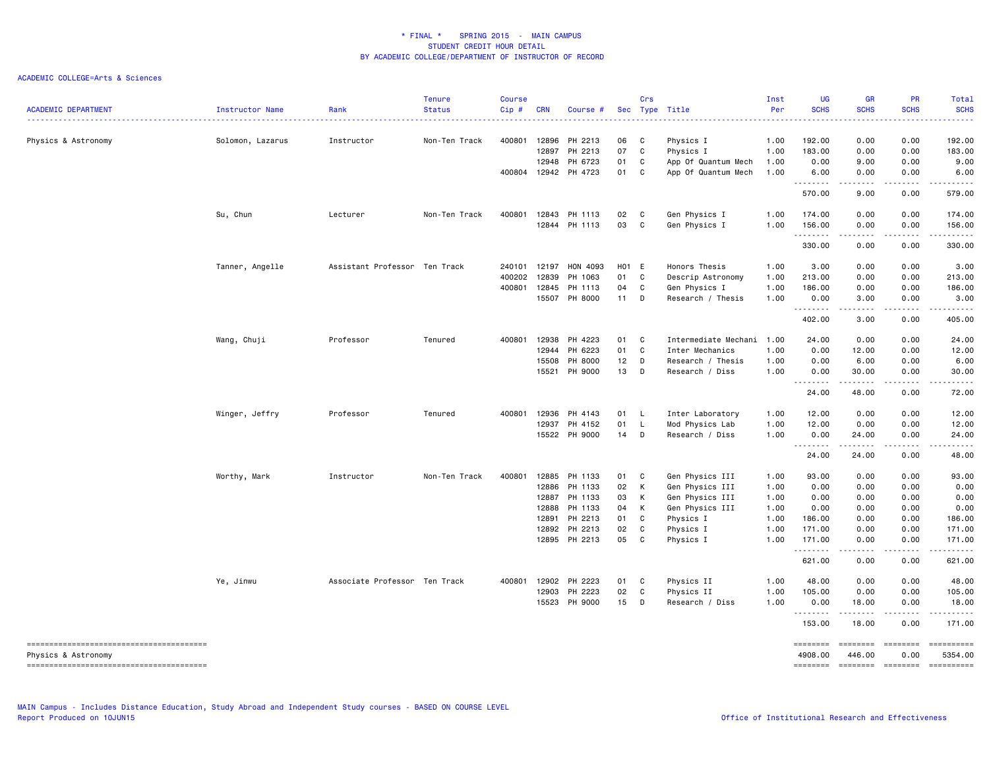| <b>ACADEMIC DEPARTMENT</b> | Instructor Name  | Rank<br>-----------------     | <b>Tenure</b><br><b>Status</b> | Course<br>Cip# | <b>CRN</b> | Course #      |        | Crs          | Sec Type Title       | Inst<br>Per<br>. | UG<br><b>SCHS</b>                                                                                                                                                                                                                                                                                                                                                                                                                                                                               | <b>GR</b><br><b>SCHS</b><br>$\frac{1}{2} \left( \frac{1}{2} \right) \left( \frac{1}{2} \right) \left( \frac{1}{2} \right) \left( \frac{1}{2} \right)$         | PR<br><b>SCHS</b>                                                                                                                                            | Total<br><b>SCHS</b><br>.                                                                                                                                                                                                                                                                                                                                                                                                                                                                         |
|----------------------------|------------------|-------------------------------|--------------------------------|----------------|------------|---------------|--------|--------------|----------------------|------------------|-------------------------------------------------------------------------------------------------------------------------------------------------------------------------------------------------------------------------------------------------------------------------------------------------------------------------------------------------------------------------------------------------------------------------------------------------------------------------------------------------|---------------------------------------------------------------------------------------------------------------------------------------------------------------|--------------------------------------------------------------------------------------------------------------------------------------------------------------|---------------------------------------------------------------------------------------------------------------------------------------------------------------------------------------------------------------------------------------------------------------------------------------------------------------------------------------------------------------------------------------------------------------------------------------------------------------------------------------------------|
| Physics & Astronomy        | Solomon, Lazarus | Instructor                    | Non-Ten Track                  | 400801         | 12896      | PH 2213       | 06 C   |              | Physics I            | 1.00             | 192.00                                                                                                                                                                                                                                                                                                                                                                                                                                                                                          | 0.00                                                                                                                                                          | 0.00                                                                                                                                                         | 192.00                                                                                                                                                                                                                                                                                                                                                                                                                                                                                            |
|                            |                  |                               |                                |                | 12897      | PH 2213       | 07     | C            | Physics I            | 1.00             | 183.00                                                                                                                                                                                                                                                                                                                                                                                                                                                                                          | 0.00                                                                                                                                                          | 0.00                                                                                                                                                         | 183.00                                                                                                                                                                                                                                                                                                                                                                                                                                                                                            |
|                            |                  |                               |                                |                | 12948      | PH 6723       | 01     | C            | App Of Quantum Mech  | 1.00             | 0.00                                                                                                                                                                                                                                                                                                                                                                                                                                                                                            | 9.00                                                                                                                                                          | 0.00                                                                                                                                                         | 9.00                                                                                                                                                                                                                                                                                                                                                                                                                                                                                              |
|                            |                  |                               |                                | 400804         |            | 12942 PH 4723 | 01     | $\mathbb C$  | App Of Quantum Mech  | 1.00             | 6.00<br>$\begin{array}{cccccccccccccc} \multicolumn{2}{c}{} & \multicolumn{2}{c}{} & \multicolumn{2}{c}{} & \multicolumn{2}{c}{} & \multicolumn{2}{c}{} & \multicolumn{2}{c}{} & \multicolumn{2}{c}{} & \multicolumn{2}{c}{} & \multicolumn{2}{c}{} & \multicolumn{2}{c}{} & \multicolumn{2}{c}{} & \multicolumn{2}{c}{} & \multicolumn{2}{c}{} & \multicolumn{2}{c}{} & \multicolumn{2}{c}{} & \multicolumn{2}{c}{} & \multicolumn{2}{c}{} & \multicolumn{2}{c}{} & \multicolumn{2}{c}{} & \$  | 0.00<br>.                                                                                                                                                     | 0.00<br>.                                                                                                                                                    | 6.00                                                                                                                                                                                                                                                                                                                                                                                                                                                                                              |
|                            |                  |                               |                                |                |            |               |        |              |                      |                  | 570.00                                                                                                                                                                                                                                                                                                                                                                                                                                                                                          | 9.00                                                                                                                                                          | 0.00                                                                                                                                                         | 579.00                                                                                                                                                                                                                                                                                                                                                                                                                                                                                            |
|                            | Su, Chun         | Lecturer                      | Non-Ten Track                  | 400801         | 12843      | PH 1113       | 02 C   |              | Gen Physics I        | 1.00             | 174.00                                                                                                                                                                                                                                                                                                                                                                                                                                                                                          | 0.00                                                                                                                                                          | 0.00                                                                                                                                                         | 174.00                                                                                                                                                                                                                                                                                                                                                                                                                                                                                            |
|                            |                  |                               |                                |                |            | 12844 PH 1113 | 03     | $\mathbf{C}$ | Gen Physics I        | 1.00             | 156.00<br>.                                                                                                                                                                                                                                                                                                                                                                                                                                                                                     | 0.00<br>.                                                                                                                                                     | 0.00<br>$\frac{1}{2} \left( \frac{1}{2} \right) \left( \frac{1}{2} \right) \left( \frac{1}{2} \right) \left( \frac{1}{2} \right)$                            | 156.00                                                                                                                                                                                                                                                                                                                                                                                                                                                                                            |
|                            |                  |                               |                                |                |            |               |        |              |                      |                  | 330.00                                                                                                                                                                                                                                                                                                                                                                                                                                                                                          | 0.00                                                                                                                                                          | 0.00                                                                                                                                                         | 330.00                                                                                                                                                                                                                                                                                                                                                                                                                                                                                            |
|                            | Tanner, Angelle  | Assistant Professor Ten Track |                                | 240101         | 12197      | HON 4093      | H01 E  |              | Honors Thesis        | 1.00             | 3.00                                                                                                                                                                                                                                                                                                                                                                                                                                                                                            | 0.00                                                                                                                                                          | 0.00                                                                                                                                                         | 3.00                                                                                                                                                                                                                                                                                                                                                                                                                                                                                              |
|                            |                  |                               |                                | 400202         | 12839      | PH 1063       | 01     | C            | Descrip Astronomy    | 1.00             | 213.00                                                                                                                                                                                                                                                                                                                                                                                                                                                                                          | 0.00                                                                                                                                                          | 0.00                                                                                                                                                         | 213.00                                                                                                                                                                                                                                                                                                                                                                                                                                                                                            |
|                            |                  |                               |                                | 400801         | 12845      | PH 1113       | 04     | C            | Gen Physics I        | 1.00             | 186.00                                                                                                                                                                                                                                                                                                                                                                                                                                                                                          | 0.00                                                                                                                                                          | 0.00                                                                                                                                                         | 186.00                                                                                                                                                                                                                                                                                                                                                                                                                                                                                            |
|                            |                  |                               |                                |                |            | 15507 PH 8000 | $11$ D |              | Research / Thesis    | 1.00             | 0.00<br>.                                                                                                                                                                                                                                                                                                                                                                                                                                                                                       | 3.00<br>.                                                                                                                                                     | 0.00<br>$\frac{1}{2} \left( \frac{1}{2} \right) \left( \frac{1}{2} \right) \left( \frac{1}{2} \right) \left( \frac{1}{2} \right) \left( \frac{1}{2} \right)$ | 3.00<br>.                                                                                                                                                                                                                                                                                                                                                                                                                                                                                         |
|                            |                  |                               |                                |                |            |               |        |              |                      |                  | 402.00                                                                                                                                                                                                                                                                                                                                                                                                                                                                                          | 3.00                                                                                                                                                          | 0.00                                                                                                                                                         | 405.00                                                                                                                                                                                                                                                                                                                                                                                                                                                                                            |
|                            | Wang, Chuji      | Professor                     | Tenured                        | 400801         | 12938      | PH 4223       | 01     | $\mathbf{C}$ | Intermediate Mechani | 1.00             | 24.00                                                                                                                                                                                                                                                                                                                                                                                                                                                                                           | 0.00                                                                                                                                                          | 0.00                                                                                                                                                         | 24.00                                                                                                                                                                                                                                                                                                                                                                                                                                                                                             |
|                            |                  |                               |                                |                |            | 12944 PH 6223 | 01     | C            | Inter Mechanics      | 1.00             | 0.00                                                                                                                                                                                                                                                                                                                                                                                                                                                                                            | 12.00                                                                                                                                                         | 0.00                                                                                                                                                         | 12.00                                                                                                                                                                                                                                                                                                                                                                                                                                                                                             |
|                            |                  |                               |                                |                | 15508      | PH 8000       | 12     | D            | Research / Thesis    | 1.00             | 0.00                                                                                                                                                                                                                                                                                                                                                                                                                                                                                            | 6.00                                                                                                                                                          | 0.00                                                                                                                                                         | 6.00                                                                                                                                                                                                                                                                                                                                                                                                                                                                                              |
|                            |                  |                               |                                |                |            | 15521 PH 9000 | 13     | D            | Research / Diss      | 1.00             | 0.00                                                                                                                                                                                                                                                                                                                                                                                                                                                                                            | 30.00                                                                                                                                                         | 0.00                                                                                                                                                         | 30.00                                                                                                                                                                                                                                                                                                                                                                                                                                                                                             |
|                            |                  |                               |                                |                |            |               |        |              |                      |                  | $\begin{array}{cccccccccccccc} \multicolumn{2}{c}{} & \multicolumn{2}{c}{} & \multicolumn{2}{c}{} & \multicolumn{2}{c}{} & \multicolumn{2}{c}{} & \multicolumn{2}{c}{} & \multicolumn{2}{c}{} & \multicolumn{2}{c}{} & \multicolumn{2}{c}{} & \multicolumn{2}{c}{} & \multicolumn{2}{c}{} & \multicolumn{2}{c}{} & \multicolumn{2}{c}{} & \multicolumn{2}{c}{} & \multicolumn{2}{c}{} & \multicolumn{2}{c}{} & \multicolumn{2}{c}{} & \multicolumn{2}{c}{} & \multicolumn{2}{c}{} & \$<br>24.00 | .<br>48.00                                                                                                                                                    | -----<br>0.00                                                                                                                                                | .<br>72.00                                                                                                                                                                                                                                                                                                                                                                                                                                                                                        |
|                            | Winger, Jeffry   | Professor                     | Tenured                        | 400801         | 12936      | PH 4143       | 01 L   |              | Inter Laboratory     | 1.00             | 12.00                                                                                                                                                                                                                                                                                                                                                                                                                                                                                           | 0.00                                                                                                                                                          | 0.00                                                                                                                                                         | 12.00                                                                                                                                                                                                                                                                                                                                                                                                                                                                                             |
|                            |                  |                               |                                |                | 12937      | PH 4152       | 01     | $\mathsf{L}$ | Mod Physics Lab      | 1.00             | 12.00                                                                                                                                                                                                                                                                                                                                                                                                                                                                                           | 0.00                                                                                                                                                          | 0.00                                                                                                                                                         | 12.00                                                                                                                                                                                                                                                                                                                                                                                                                                                                                             |
|                            |                  |                               |                                |                |            | 15522 PH 9000 | $14$ D |              | Research / Diss      | 1.00             | 0.00                                                                                                                                                                                                                                                                                                                                                                                                                                                                                            | 24.00                                                                                                                                                         | 0.00                                                                                                                                                         | 24.00                                                                                                                                                                                                                                                                                                                                                                                                                                                                                             |
|                            |                  |                               |                                |                |            |               |        |              |                      |                  | 24.00                                                                                                                                                                                                                                                                                                                                                                                                                                                                                           | د د د د د<br>24.00                                                                                                                                            | .<br>0.00                                                                                                                                                    | . <b>.</b> .<br>48.00                                                                                                                                                                                                                                                                                                                                                                                                                                                                             |
|                            | Worthy, Mark     | Instructor                    | Non-Ten Track                  | 400801         |            | 12885 PH 1133 | 01 C   |              | Gen Physics III      | 1.00             | 93.00                                                                                                                                                                                                                                                                                                                                                                                                                                                                                           | 0.00                                                                                                                                                          | 0.00                                                                                                                                                         | 93.00                                                                                                                                                                                                                                                                                                                                                                                                                                                                                             |
|                            |                  |                               |                                |                | 12886      | PH 1133       | 02     | К            | Gen Physics III      | 1.00             | 0.00                                                                                                                                                                                                                                                                                                                                                                                                                                                                                            | 0.00                                                                                                                                                          | 0.00                                                                                                                                                         | 0.00                                                                                                                                                                                                                                                                                                                                                                                                                                                                                              |
|                            |                  |                               |                                |                |            | 12887 PH 1133 | 03     | Κ            | Gen Physics III      | 1.00             | 0.00                                                                                                                                                                                                                                                                                                                                                                                                                                                                                            | 0.00                                                                                                                                                          | 0.00                                                                                                                                                         | 0.00                                                                                                                                                                                                                                                                                                                                                                                                                                                                                              |
|                            |                  |                               |                                |                | 12888      | PH 1133       | 04     | К            | Gen Physics III      | 1.00             | 0.00                                                                                                                                                                                                                                                                                                                                                                                                                                                                                            | 0.00                                                                                                                                                          | 0.00                                                                                                                                                         | 0.00                                                                                                                                                                                                                                                                                                                                                                                                                                                                                              |
|                            |                  |                               |                                |                | 12891      | PH 2213       | 01     | C            | Physics I            | 1.00             | 186.00                                                                                                                                                                                                                                                                                                                                                                                                                                                                                          | 0.00                                                                                                                                                          | 0.00                                                                                                                                                         | 186.00                                                                                                                                                                                                                                                                                                                                                                                                                                                                                            |
|                            |                  |                               |                                |                |            | 12892 PH 2213 | 02     | C            | Physics I            | 1.00             | 171.00                                                                                                                                                                                                                                                                                                                                                                                                                                                                                          | 0.00                                                                                                                                                          | 0.00                                                                                                                                                         | 171.00                                                                                                                                                                                                                                                                                                                                                                                                                                                                                            |
|                            |                  |                               |                                |                |            | 12895 PH 2213 | 05     | C            | Physics I            | 1.00             | 171.00<br>.                                                                                                                                                                                                                                                                                                                                                                                                                                                                                     | 0.00<br>.                                                                                                                                                     | 0.00<br>-----                                                                                                                                                | 171.00<br>.                                                                                                                                                                                                                                                                                                                                                                                                                                                                                       |
|                            |                  |                               |                                |                |            |               |        |              |                      |                  | 621.00                                                                                                                                                                                                                                                                                                                                                                                                                                                                                          | 0.00                                                                                                                                                          | 0.00                                                                                                                                                         | 621.00                                                                                                                                                                                                                                                                                                                                                                                                                                                                                            |
|                            | Ye, Jinwu        | Associate Professor Ten Track |                                | 400801         |            | 12902 PH 2223 | 01     | $\mathbf{C}$ | Physics II           | 1.00             | 48.00                                                                                                                                                                                                                                                                                                                                                                                                                                                                                           | 0.00                                                                                                                                                          | 0.00                                                                                                                                                         | 48.00                                                                                                                                                                                                                                                                                                                                                                                                                                                                                             |
|                            |                  |                               |                                |                | 12903      | PH 2223       | 02     | C            | Physics II           | 1.00             | 105.00                                                                                                                                                                                                                                                                                                                                                                                                                                                                                          | 0.00                                                                                                                                                          | 0.00                                                                                                                                                         | 105.00                                                                                                                                                                                                                                                                                                                                                                                                                                                                                            |
|                            |                  |                               |                                |                | 15523      | PH 9000       | 15     | D            | Research / Diss      | 1.00             | 0.00<br><b></b>                                                                                                                                                                                                                                                                                                                                                                                                                                                                                 | 18.00<br>$\frac{1}{2} \left( \frac{1}{2} \right) \left( \frac{1}{2} \right) \left( \frac{1}{2} \right) \left( \frac{1}{2} \right) \left( \frac{1}{2} \right)$ | 0.00<br>.                                                                                                                                                    | 18.00<br>.                                                                                                                                                                                                                                                                                                                                                                                                                                                                                        |
|                            |                  |                               |                                |                |            |               |        |              |                      |                  | 153.00                                                                                                                                                                                                                                                                                                                                                                                                                                                                                          | 18.00                                                                                                                                                         | 0.00                                                                                                                                                         | 171.00                                                                                                                                                                                                                                                                                                                                                                                                                                                                                            |
| Physics & Astronomy        |                  |                               |                                |                |            |               |        |              |                      |                  | <b>EEEEEEE</b><br>4908.00                                                                                                                                                                                                                                                                                                                                                                                                                                                                       | ========<br>446.00                                                                                                                                            | <b>ERRESTED</b><br>0.00                                                                                                                                      | $\begin{array}{cccccccccc} \multicolumn{2}{c}{} & \multicolumn{2}{c}{} & \multicolumn{2}{c}{} & \multicolumn{2}{c}{} & \multicolumn{2}{c}{} & \multicolumn{2}{c}{} & \multicolumn{2}{c}{} & \multicolumn{2}{c}{} & \multicolumn{2}{c}{} & \multicolumn{2}{c}{} & \multicolumn{2}{c}{} & \multicolumn{2}{c}{} & \multicolumn{2}{c}{} & \multicolumn{2}{c}{} & \multicolumn{2}{c}{} & \multicolumn{2}{c}{} & \multicolumn{2}{c}{} & \multicolumn{2}{c}{} & \multicolumn{2}{c}{} & \mult$<br>5354.00 |
|                            |                  |                               |                                |                |            |               |        |              |                      |                  | ========                                                                                                                                                                                                                                                                                                                                                                                                                                                                                        |                                                                                                                                                               | $=$ ========                                                                                                                                                 |                                                                                                                                                                                                                                                                                                                                                                                                                                                                                                   |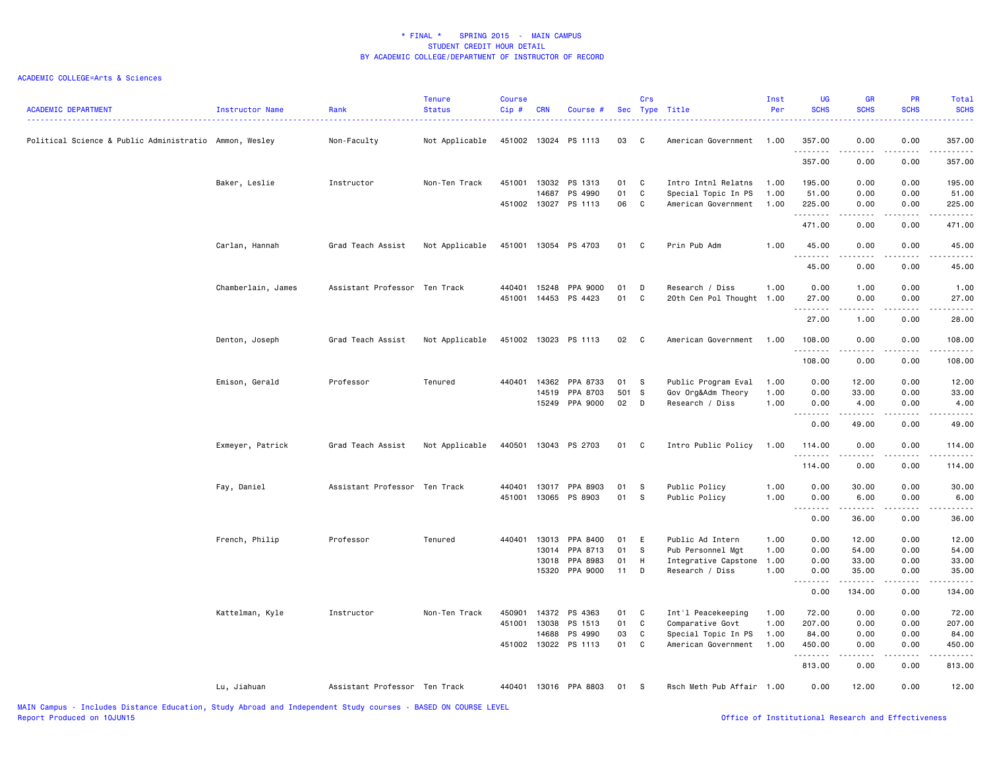| <b>ACADEMIC DEPARTMENT</b>                             | <b>Instructor Name</b> | Rank                          | <b>Tenure</b><br><b>Status</b> | <b>Course</b><br>Cip# | <b>CRN</b>     | Course #             |          | Crs               | Sec Type Title                               | Inst<br>Per  | <b>UG</b><br><b>SCHS</b> | <b>GR</b><br><b>SCHS</b>                                                                                                                                     | PR<br><b>SCHS</b> | Total<br><b>SCHS</b>                                                                                                                                           |
|--------------------------------------------------------|------------------------|-------------------------------|--------------------------------|-----------------------|----------------|----------------------|----------|-------------------|----------------------------------------------|--------------|--------------------------|--------------------------------------------------------------------------------------------------------------------------------------------------------------|-------------------|----------------------------------------------------------------------------------------------------------------------------------------------------------------|
| Political Science & Public Administratio Ammon, Wesley |                        | Non-Faculty                   | Not Applicable                 |                       |                | 451002 13024 PS 1113 | 03       | C                 | American Government                          | 1.00         | 357.00<br>.              | 0.00<br>.                                                                                                                                                    | 0.00              | 357.00<br>$\frac{1}{2} \left( \frac{1}{2} \right) \left( \frac{1}{2} \right) \left( \frac{1}{2} \right) \left( \frac{1}{2} \right) \left( \frac{1}{2} \right)$ |
|                                                        |                        |                               |                                |                       |                |                      |          |                   |                                              |              | 357.00                   | 0.00                                                                                                                                                         | 0.00              | 357.00                                                                                                                                                         |
|                                                        | Baker, Leslie          | Instructor                    | Non-Ten Track                  |                       | 451001 13032   | PS 1313              | 01       | C                 | Intro Intnl Relatns                          | 1.00         | 195.00                   | 0.00                                                                                                                                                         | 0.00              | 195.00                                                                                                                                                         |
|                                                        |                        |                               |                                | 451002                | 14687<br>13027 | PS 4990<br>PS 1113   | 01<br>06 | $\mathtt{C}$<br>C | Special Topic In PS<br>American Government   | 1.00<br>1.00 | 51.00<br>225.00          | 0.00<br>0.00                                                                                                                                                 | 0.00<br>0.00      | 51.00<br>225.00                                                                                                                                                |
|                                                        |                        |                               |                                |                       |                |                      |          |                   |                                              |              | .<br>471.00              | .<br>0.00                                                                                                                                                    | .<br>0.00         | .<br>471.00                                                                                                                                                    |
|                                                        | Carlan, Hannah         | Grad Teach Assist             | Not Applicable                 |                       |                | 451001 13054 PS 4703 | 01       | C                 | Prin Pub Adm                                 | 1.00         | 45.00                    | 0.00                                                                                                                                                         | 0.00              | 45.00                                                                                                                                                          |
|                                                        |                        |                               |                                |                       |                |                      |          |                   |                                              |              | .<br>45.00               | 0.00                                                                                                                                                         | 0.00              | 45.00                                                                                                                                                          |
|                                                        | Chamberlain, James     | Assistant Professor Ten Track |                                | 440401                | 15248          | PPA 9000             | 01       | D                 | Research / Diss                              | 1.00         | 0.00                     | 1.00                                                                                                                                                         | 0.00              | 1.00                                                                                                                                                           |
|                                                        |                        |                               |                                |                       |                | 451001 14453 PS 4423 | 01       | C                 | 20th Cen Pol Thought 1.00                    |              | 27.00<br>.               | 0.00<br>.                                                                                                                                                    | 0.00<br>.         | 27.00<br>$\sim$ $\sim$ $\sim$ $\sim$                                                                                                                           |
|                                                        |                        |                               |                                |                       |                |                      |          |                   |                                              |              | 27.00                    | 1.00                                                                                                                                                         | 0.00              | 28.00                                                                                                                                                          |
|                                                        | Denton, Joseph         | Grad Teach Assist             | Not Applicable                 |                       |                | 451002 13023 PS 1113 | 02       | $\mathbf{C}$      | American Government                          | 1.00         | 108.00<br>.              | 0.00                                                                                                                                                         | 0.00<br><b>.</b>  | 108.00                                                                                                                                                         |
|                                                        |                        |                               |                                |                       |                |                      |          |                   |                                              |              | 108.00                   | 0.00                                                                                                                                                         | 0.00              | 108.00                                                                                                                                                         |
|                                                        | Emison, Gerald         | Professor                     | Tenured                        |                       | 440401 14362   | PPA 8733             | 01       | s                 | Public Program Eval                          | 1.00         | 0.00                     | 12.00                                                                                                                                                        | 0.00              | 12.00                                                                                                                                                          |
|                                                        |                        |                               |                                |                       | 14519          | PPA 8703             | 501 S    |                   | Gov Org&Adm Theory                           | 1.00         | 0.00                     | 33.00                                                                                                                                                        | 0.00              | 33.00                                                                                                                                                          |
|                                                        |                        |                               |                                |                       | 15249          | PPA 9000             | 02       | D                 | Research / Diss                              | 1.00         | 0.00<br>. <b>.</b>       | 4.00<br>$- - - - - -$                                                                                                                                        | 0.00<br>.         | 4.00<br>. <u>.</u> .                                                                                                                                           |
|                                                        |                        |                               |                                |                       |                |                      |          |                   |                                              |              | 0.00                     | 49.00                                                                                                                                                        | 0.00              | 49.00                                                                                                                                                          |
|                                                        | Exmeyer, Patrick       | Grad Teach Assist             | Not Applicable                 |                       |                | 440501 13043 PS 2703 | 01       | C                 | Intro Public Policy                          | 1.00         | 114.00<br>.              | 0.00<br>$\frac{1}{2} \left( \frac{1}{2} \right) \left( \frac{1}{2} \right) \left( \frac{1}{2} \right) \left( \frac{1}{2} \right) \left( \frac{1}{2} \right)$ | 0.00<br>.         | 114.00<br>.                                                                                                                                                    |
|                                                        |                        |                               |                                |                       |                |                      |          |                   |                                              |              | 114.00                   | 0.00                                                                                                                                                         | 0.00              | 114.00                                                                                                                                                         |
|                                                        | Fay, Daniel            | Assistant Professor Ten Track |                                | 440401                | 13017          | PPA 8903             | 01       | S                 | Public Policy                                | 1.00         | 0.00                     | 30.00                                                                                                                                                        | 0.00              | 30.00                                                                                                                                                          |
|                                                        |                        |                               |                                | 451001                | 13065          | PS 8903              | 01       | s                 | Public Policy                                | 1.00         | 0.00                     | 6.00                                                                                                                                                         | 0.00              | 6.00                                                                                                                                                           |
|                                                        |                        |                               |                                |                       |                |                      |          |                   |                                              |              | 0.00                     | 36.00                                                                                                                                                        | 0.00              | <b>.</b> .<br>36.00                                                                                                                                            |
|                                                        | French, Philip         | Professor                     | Tenured                        | 440401                | 13013          | PPA 8400             | 01       | E                 | Public Ad Intern                             | 1.00         | 0.00                     | 12.00                                                                                                                                                        | 0.00              | 12.00                                                                                                                                                          |
|                                                        |                        |                               |                                |                       | 13014          | PPA 8713             | 01       | S                 | Pub Personnel Mgt                            | 1.00         | 0.00                     | 54.00                                                                                                                                                        | 0.00              | 54.00                                                                                                                                                          |
|                                                        |                        |                               |                                |                       | 13018<br>15320 | PPA 8983<br>PPA 9000 | 01<br>11 | H<br>D            | Integrative Capstone 1.00<br>Research / Diss | 1.00         | 0.00<br>0.00             | 33.00<br>35.00                                                                                                                                               | 0.00<br>0.00      | 33.00<br>35.00                                                                                                                                                 |
|                                                        |                        |                               |                                |                       |                |                      |          |                   |                                              |              | <b></b>                  | . <b>.</b>                                                                                                                                                   | .                 | .                                                                                                                                                              |
|                                                        |                        |                               |                                |                       |                |                      |          |                   |                                              |              | 0.00                     | 134.00                                                                                                                                                       | 0.00              | 134.00                                                                                                                                                         |
|                                                        | Kattelman, Kyle        | Instructor                    | Non-Ten Track                  | 450901                | 14372          | PS 4363              | 01       | C                 | Int'l Peacekeeping                           | 1.00         | 72.00                    | 0.00                                                                                                                                                         | 0.00              | 72.00                                                                                                                                                          |
|                                                        |                        |                               |                                | 451001 13038          |                | PS 1513              | 01       | C                 | Comparative Govt                             | 1.00         | 207.00                   | 0.00                                                                                                                                                         | 0.00              | 207.00                                                                                                                                                         |
|                                                        |                        |                               |                                | 451002                | 14688<br>13022 | PS 4990<br>PS 1113   | 03<br>01 | C<br>C            | Special Topic In PS<br>American Government   | 1.00<br>1.00 | 84.00<br>450.00          | 0.00<br>0.00                                                                                                                                                 | 0.00<br>0.00      | 84.00<br>450.00                                                                                                                                                |
|                                                        |                        |                               |                                |                       |                |                      |          |                   |                                              |              | . <b>.</b><br>813.00     | .<br>0.00                                                                                                                                                    | .<br>0.00         | $- - - - - - -$<br>813.00                                                                                                                                      |
|                                                        | Lu, Jiahuan            | Assistant Professor Ten Track |                                | 440401                |                | 13016 PPA 8803       | 01       | -S                | Rsch Meth Pub Affair 1.00                    |              | 0.00                     | 12.00                                                                                                                                                        | 0.00              | 12.00                                                                                                                                                          |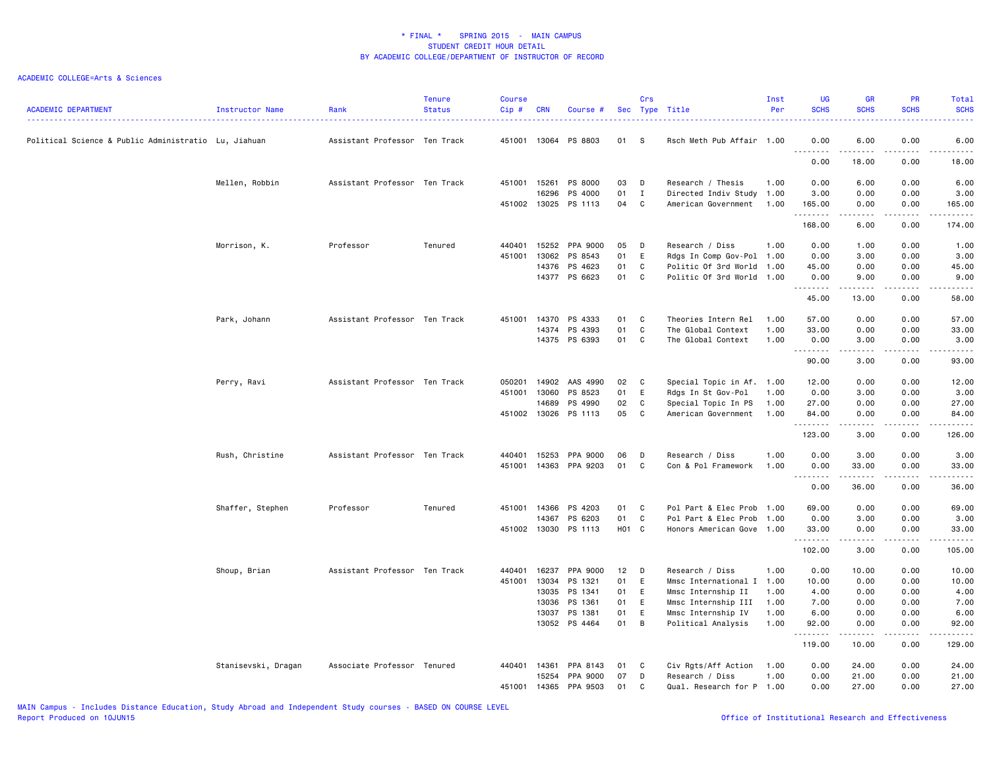| <b>ACADEMIC DEPARTMENT</b>                           | Instructor Name     | Rank                          | <b>Tenure</b><br><b>Status</b> | <b>Course</b><br>Cip# | <b>CRN</b>   | Course #             |                 | Crs               | Sec Type Title                                   | Inst<br>Per | <b>UG</b><br><b>SCHS</b> | <b>GR</b><br><b>SCHS</b> | <b>PR</b><br><b>SCHS</b>     | Total<br><b>SCHS</b><br>2222.                                                                                                                                |
|------------------------------------------------------|---------------------|-------------------------------|--------------------------------|-----------------------|--------------|----------------------|-----------------|-------------------|--------------------------------------------------|-------------|--------------------------|--------------------------|------------------------------|--------------------------------------------------------------------------------------------------------------------------------------------------------------|
| Political Science & Public Administratio Lu, Jiahuan |                     | Assistant Professor Ten Track |                                |                       |              | 451001 13064 PS 8803 | 01              | -S                | Rsch Meth Pub Affair 1.00                        |             | 0.00<br>.                | 6.00<br>د د د د د        | 0.00<br>$\sim$ $\sim$ $\sim$ | 6.00<br>$\frac{1}{2} \left( \frac{1}{2} \right) \left( \frac{1}{2} \right) \left( \frac{1}{2} \right) \left( \frac{1}{2} \right) \left( \frac{1}{2} \right)$ |
|                                                      |                     |                               |                                |                       |              |                      |                 |                   |                                                  |             | 0.00                     | 18.00                    | 0.00                         | 18.00                                                                                                                                                        |
|                                                      | Mellen, Robbin      | Assistant Professor Ten Track |                                | 451001 15261          |              | PS 8000              | 03              | D                 | Research / Thesis                                | 1.00        | 0.00                     | 6.00                     | 0.00                         | 6.00                                                                                                                                                         |
|                                                      |                     |                               |                                | 451002 13025          | 16296        | PS 4000<br>PS 1113   | 01<br>04        | $\mathbf{I}$<br>C | Directed Indiv Study 1.00<br>American Government | 1.00        | 3.00<br>165.00           | 0.00<br>0.00             | 0.00<br>0.00                 | 3.00<br>165.00                                                                                                                                               |
|                                                      |                     |                               |                                |                       |              |                      |                 |                   |                                                  |             | .<br>168.00              | -----<br>6.00            | .<br>0.00                    | $\begin{array}{cccccccccccccc} \bullet & \bullet & \bullet & \bullet & \bullet & \bullet & \bullet & \bullet \end{array}$<br>174.00                          |
|                                                      | Morrison, K.        | Professor                     | Tenured                        | 440401                | 15252        | PPA 9000             | 05              | D                 | Research / Diss                                  | 1.00        | 0.00                     | 1.00                     | 0.00                         | 1.00                                                                                                                                                         |
|                                                      |                     |                               |                                | 451001                | 13062        | PS 8543              | 01              | E                 | Rdgs In Comp Gov-Pol 1.00                        |             | 0.00                     | 3.00                     | 0.00                         | 3.00                                                                                                                                                         |
|                                                      |                     |                               |                                |                       | 14376        | PS 4623              | 01              | C                 | Politic Of 3rd World 1.00                        |             | 45.00                    | 0.00                     | 0.00                         | 45.00                                                                                                                                                        |
|                                                      |                     |                               |                                |                       |              | 14377 PS 6623        | 01              | C                 | Politic Of 3rd World 1.00                        |             | 0.00                     | 9.00                     | 0.00                         | 9.00                                                                                                                                                         |
|                                                      |                     |                               |                                |                       |              |                      |                 |                   |                                                  |             | <u>.</u><br>45.00        | د د د د د<br>13.00       | 0.00                         | .<br>58.00                                                                                                                                                   |
|                                                      | Park, Johann        | Assistant Professor Ten Track |                                | 451001                | 14370        | PS 4333              | 01              | C                 | Theories Intern Rel                              | 1.00        | 57.00                    | 0.00                     | 0.00                         | 57.00                                                                                                                                                        |
|                                                      |                     |                               |                                |                       | 14374        | PS 4393              | 01              | C                 | The Global Context                               | 1.00        | 33.00                    | 0.00                     | 0.00                         | 33.00                                                                                                                                                        |
|                                                      |                     |                               |                                |                       | 14375        | PS 6393              | 01              | C                 | The Global Context                               | 1.00        | 0.00<br>.                | 3.00<br>-----            | 0.00<br>.                    | 3.00<br>د د د د د                                                                                                                                            |
|                                                      |                     |                               |                                |                       |              |                      |                 |                   |                                                  |             | 90.00                    | 3.00                     | 0.00                         | 93.00                                                                                                                                                        |
|                                                      | Perry, Ravi         | Assistant Professor Ten Track |                                | 050201                | 14902        | AAS 4990             | 02              | C                 | Special Topic in Af. 1.00                        |             | 12.00                    | 0.00                     | 0.00                         | 12.00                                                                                                                                                        |
|                                                      |                     |                               |                                | 451001 13060          |              | PS 8523              | 01              | E                 | Rdgs In St Gov-Pol                               | 1.00        | 0.00                     | 3.00                     | 0.00                         | 3.00                                                                                                                                                         |
|                                                      |                     |                               |                                |                       | 14689        | PS 4990              | 02              | C                 | Special Topic In PS                              | 1.00        | 27.00                    | 0.00                     | 0.00                         | 27.00                                                                                                                                                        |
|                                                      |                     |                               |                                | 451002                | 13026        | PS 1113              | 05              | C                 | American Government                              | 1.00        | 84.00<br>.               | 0.00                     | 0.00                         | 84.00<br>.                                                                                                                                                   |
|                                                      |                     |                               |                                |                       |              |                      |                 |                   |                                                  |             | 123.00                   | 3.00                     | 0.00                         | 126.00                                                                                                                                                       |
|                                                      | Rush, Christine     | Assistant Professor Ten Track |                                | 440401                | 15253        | PPA 9000             | 06              | D                 | Research / Diss                                  | 1.00        | 0.00                     | 3.00                     | 0.00                         | 3.00                                                                                                                                                         |
|                                                      |                     |                               |                                |                       | 451001 14363 | PPA 9203             | 01              | C                 | Con & Pol Framework                              | 1.00        | 0.00                     | 33.00                    | 0.00                         | 33.00                                                                                                                                                        |
|                                                      |                     |                               |                                |                       |              |                      |                 |                   |                                                  |             | .<br>0.00                | ------<br>36.00          | .<br>0.00                    | .<br>36.00                                                                                                                                                   |
|                                                      | Shaffer, Stephen    | Professor                     | Tenured                        | 451001                | 14366        | PS 4203              | 01              | C                 | Pol Part & Elec Prob                             | 1.00        | 69.00                    | 0.00                     | 0.00                         | 69.00                                                                                                                                                        |
|                                                      |                     |                               |                                |                       | 14367        | PS 6203              | 01              | C                 | Pol Part & Elec Prob                             | 1.00        | 0.00                     | 3.00                     | 0.00                         | 3.00                                                                                                                                                         |
|                                                      |                     |                               |                                | 451002 13030          |              | PS 1113              | H01 C           |                   | Honors American Gove 1.00                        |             | 33.00                    | 0.00                     | 0.00                         | 33.00                                                                                                                                                        |
|                                                      |                     |                               |                                |                       |              |                      |                 |                   |                                                  |             | .<br>102.00              | .<br>3.00                | .<br>0.00                    | .<br>105.00                                                                                                                                                  |
|                                                      | Shoup, Brian        | Assistant Professor Ten Track |                                | 440401                | 16237        | PPA 9000             | 12 <sub>2</sub> | D                 | Research / Diss                                  | 1.00        | 0.00                     | 10.00                    | 0.00                         | 10.00                                                                                                                                                        |
|                                                      |                     |                               |                                | 451001                | 13034        | PS 1321              | 01              | E                 | Mmsc International I                             | 1.00        | 10.00                    | 0.00                     | 0.00                         | 10.00                                                                                                                                                        |
|                                                      |                     |                               |                                |                       | 13035        | PS 1341              | 01              | E                 | Mmsc Internship II                               | 1.00        | 4.00                     | 0.00                     | 0.00                         | 4.00                                                                                                                                                         |
|                                                      |                     |                               |                                |                       | 13036        | PS 1361              | 01              | E                 | Mmsc Internship III                              | 1.00        | 7.00                     | 0.00                     | 0.00                         | 7.00                                                                                                                                                         |
|                                                      |                     |                               |                                |                       | 13037        | PS 1381              | 01              | E                 | Mmsc Internship IV                               | 1.00        | 6.00                     | 0.00                     | 0.00                         | 6.00                                                                                                                                                         |
|                                                      |                     |                               |                                |                       |              | 13052 PS 4464        | 01              | $\overline{B}$    | Political Analysis                               | 1.00        | 92.00<br>.               | 0.00<br>.                | 0.00<br>.                    | 92.00<br>.                                                                                                                                                   |
|                                                      |                     |                               |                                |                       |              |                      |                 |                   |                                                  |             | 119.00                   | 10.00                    | 0.00                         | 129.00                                                                                                                                                       |
|                                                      | Stanisevski, Dragan | Associate Professor Tenured   |                                | 440401                | 14361        | PPA 8143             | 01              | C                 | Civ Rgts/Aff Action                              | 1.00        | 0.00                     | 24.00                    | 0.00                         | 24.00                                                                                                                                                        |
|                                                      |                     |                               |                                |                       | 15254        | PPA 9000             | 07              | D                 | Research / Diss                                  | 1.00        | 0.00                     | 21.00                    | 0.00                         | 21.00                                                                                                                                                        |
|                                                      |                     |                               |                                | 451001 14365          |              | PPA 9503             | 01              | C                 | Qual. Research for P 1.00                        |             | 0.00                     | 27.00                    | 0.00                         | 27.00                                                                                                                                                        |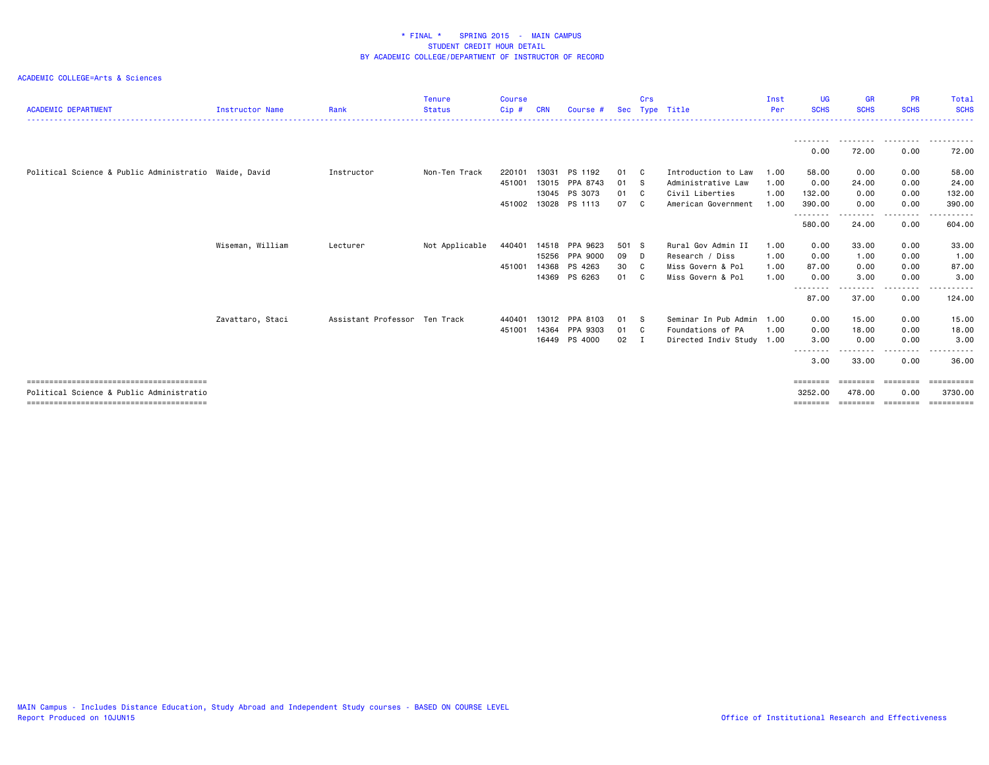| <b>ACADEMIC DEPARTMENT</b>                            | <b>Instructor Name</b> | Rank                          | <b>Tenure</b><br><b>Status</b> | <b>Course</b><br>Cip# | CRN   | Course #       | <b>Sec</b> | Crs            | Type Title                | Inst<br>Per | UG.<br><b>SCHS</b> | <b>GR</b><br><b>SCHS</b> | <b>PR</b><br><b>SCHS</b> | Total<br><b>SCHS</b> |
|-------------------------------------------------------|------------------------|-------------------------------|--------------------------------|-----------------------|-------|----------------|------------|----------------|---------------------------|-------------|--------------------|--------------------------|--------------------------|----------------------|
|                                                       |                        |                               |                                |                       |       |                |            |                |                           |             |                    |                          |                          |                      |
|                                                       |                        |                               |                                |                       |       |                |            |                |                           |             | 0.00               | 72.00                    | 0.00                     | 72.00                |
| Political Science & Public Administratio Waide, David |                        | Instructor                    | Non-Ten Track                  | 220101                | 13031 | PS 1192        | 01         | C              | Introduction to Law       | 1.00        | 58.00              | 0.00                     | 0.00                     | 58.00                |
|                                                       |                        |                               |                                | 451001                | 13015 | PPA 8743       | 01         | <b>S</b>       | Administrative Law        | 1.00        | 0.00               | 24.00                    | 0.00                     | 24.00                |
|                                                       |                        |                               |                                |                       | 13045 | PS 3073        | 01         | C              | Civil Liberties           | 1.00        | 132.00             | 0.00                     | 0.00                     | 132.00               |
|                                                       |                        |                               |                                | 451002                | 13028 | PS 1113        | 07         | - C            | American Government       | 1.00        | 390.00<br>-------- | 0.00                     | 0.00<br>.                | 390.00<br>.          |
|                                                       |                        |                               |                                |                       |       |                |            |                |                           |             | 580.00             | 24.00                    | 0.00                     | 604.00               |
|                                                       | Wiseman, William       | Lecturer                      | Not Applicable                 | 440401                | 14518 | PPA 9623       | 501 S      |                | Rural Gov Admin II        | 1.00        | 0.00               | 33.00                    | 0.00                     | 33.00                |
|                                                       |                        |                               |                                |                       |       | 15256 PPA 9000 | 09         | D              | Research / Diss           | 1.00        | 0.00               | 1.00                     | 0.00                     | 1.00                 |
|                                                       |                        |                               |                                | 451001                | 14368 | PS 4263        | 30         | C <sub>1</sub> | Miss Govern & Pol         | 1.00        | 87.00              | 0.00                     | 0.00                     | 87.00                |
|                                                       |                        |                               |                                |                       | 14369 | PS 6263        | 01         | C <sub>1</sub> | Miss Govern & Pol         | 1.00        | 0.00<br>-------    | 3.00                     | 0.00                     | 3.00                 |
|                                                       |                        |                               |                                |                       |       |                |            |                |                           |             | 87.00              | 37.00                    | 0.00                     | 124.00               |
|                                                       | Zavattaro, Staci       | Assistant Professor Ten Track |                                | 440401                | 13012 | PPA 8103       | 01         | - S            | Seminar In Pub Admin      | 1.00        | 0.00               | 15.00                    | 0.00                     | 15.00                |
|                                                       |                        |                               |                                | 451001                | 14364 | PPA 9303       | 01         | - C            | Foundations of PA         | 1.00        | 0.00               | 18.00                    | 0.00                     | 18.00                |
|                                                       |                        |                               |                                |                       | 16449 | PS 4000        | 02         | I              | Directed Indiv Study 1.00 |             | 3.00               | 0.00                     | 0.00                     | 3.00                 |
|                                                       |                        |                               |                                |                       |       |                |            |                |                           |             | 3,00               | 33.00                    | .<br>0.00                | - - - - - -<br>36.00 |
|                                                       |                        |                               |                                |                       |       |                |            |                |                           |             | ========           | ========                 | ========                 | ==========           |
| Political Science & Public Administratio              |                        |                               |                                |                       |       |                |            |                |                           |             | 3252.00            | 478.00                   | 0.00                     | 3730.00              |
|                                                       |                        |                               |                                |                       |       |                |            |                |                           |             | ========           | ========                 | ========                 | <b>Expressed</b>     |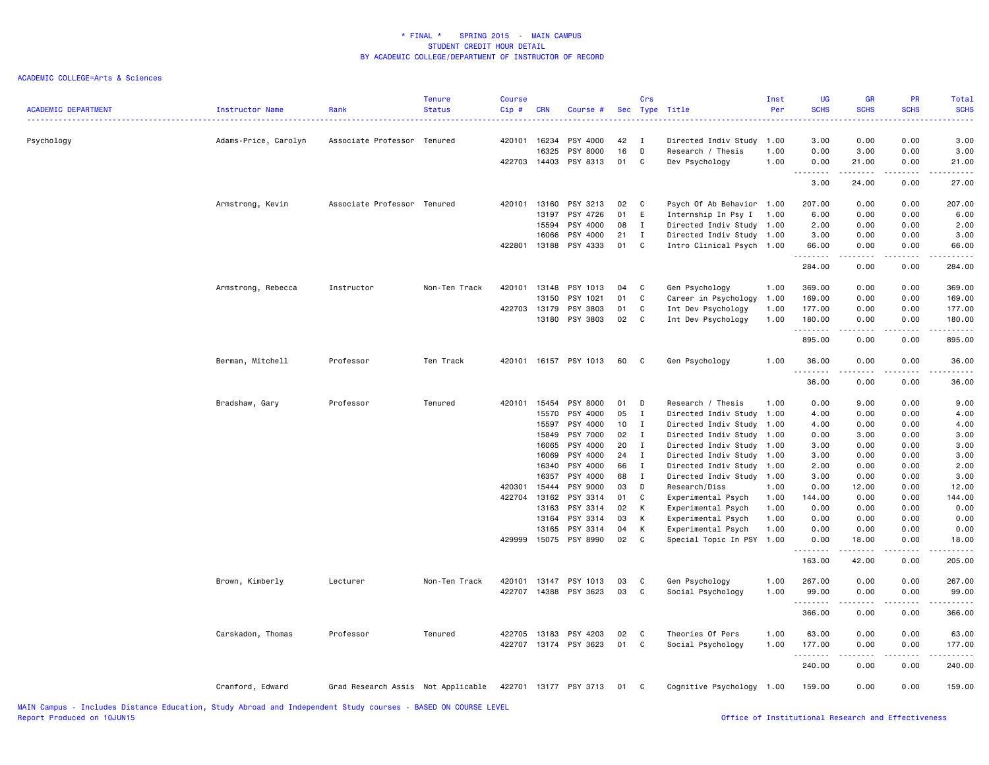| <b>ACADEMIC DEPARTMENT</b>                                                                                    | Instructor Name      | Rank                               | <b>Tenure</b><br><b>Status</b> | <b>Course</b><br>Cip# | <b>CRN</b>   | Course #              |    | Crs          | Sec Type Title            | Inst<br>Per | <b>UG</b><br><b>SCHS</b> | <b>GR</b><br><b>SCHS</b>                                                                                                                                      | PR<br><b>SCHS</b> | Total<br><b>SCHS</b>                    |
|---------------------------------------------------------------------------------------------------------------|----------------------|------------------------------------|--------------------------------|-----------------------|--------------|-----------------------|----|--------------|---------------------------|-------------|--------------------------|---------------------------------------------------------------------------------------------------------------------------------------------------------------|-------------------|-----------------------------------------|
| Psychology                                                                                                    | Adams-Price, Carolyn | Associate Professor Tenured        |                                | 420101                | 16234        | PSY 4000              | 42 | $\mathbf{I}$ | Directed Indiv Study      | 1.00        | 3.00                     | 0.00                                                                                                                                                          | 0.00              | 3.00                                    |
|                                                                                                               |                      |                                    |                                |                       | 16325        | PSY 8000              | 16 | D            | Research / Thesis         | 1.00        | 0.00                     | 3.00                                                                                                                                                          | 0.00              | 3.00                                    |
|                                                                                                               |                      |                                    |                                |                       | 422703 14403 | PSY 8313              | 01 | C            | Dev Psychology            | 1.00        | 0.00<br>.                | 21.00<br><b>.</b> .                                                                                                                                           | 0.00<br>.         | 21.00<br>.                              |
|                                                                                                               |                      |                                    |                                |                       |              |                       |    |              |                           |             | 3.00                     | 24.00                                                                                                                                                         | 0.00              | 27.00                                   |
|                                                                                                               | Armstrong, Kevin     | Associate Professor Tenured        |                                | 420101                | 13160        | PSY 3213              | 02 | $\mathbf{C}$ | Psych Of Ab Behavior 1.00 |             | 207.00                   | 0.00                                                                                                                                                          | 0.00              | 207.00                                  |
|                                                                                                               |                      |                                    |                                |                       | 13197        | PSY 4726              | 01 | E            | Internship In Psy I       | 1.00        | 6.00                     | 0.00                                                                                                                                                          | 0.00              | 6.00                                    |
|                                                                                                               |                      |                                    |                                |                       | 15594        | PSY 4000              | 08 | $\mathbf{I}$ | Directed Indiv Study 1.00 |             | 2.00                     | 0.00                                                                                                                                                          | 0.00              | 2.00                                    |
|                                                                                                               |                      |                                    |                                |                       | 16066        | PSY 4000              | 21 | $\mathbf I$  | Directed Indiv Study 1.00 |             | 3.00                     | 0.00                                                                                                                                                          | 0.00              | 3.00                                    |
|                                                                                                               |                      |                                    |                                | 422801                | 13188        | PSY 4333              | 01 | C            | Intro Clinical Psych 1.00 |             | 66.00                    | 0.00                                                                                                                                                          | 0.00              | 66.00                                   |
|                                                                                                               |                      |                                    |                                |                       |              |                       |    |              |                           |             | .<br>284.00              | .<br>0.00                                                                                                                                                     | .<br>0.00         | .<br>284.00                             |
|                                                                                                               | Armstrong, Rebecca   | Instructor                         | Non-Ten Track                  | 420101                | 13148        | PSY 1013              | 04 | C            | Gen Psychology            | 1.00        | 369.00                   | 0.00                                                                                                                                                          | 0.00              | 369.00                                  |
|                                                                                                               |                      |                                    |                                |                       | 13150        | PSY 1021              | 01 | C            | Career in Psychology      | 1.00        | 169.00                   | 0.00                                                                                                                                                          | 0.00              | 169.00                                  |
|                                                                                                               |                      |                                    |                                | 422703                | 13179        | PSY 3803              | 01 | C            | Int Dev Psychology        | 1.00        | 177.00                   | 0.00                                                                                                                                                          | 0.00              | 177.00                                  |
|                                                                                                               |                      |                                    |                                |                       | 13180        | PSY 3803              | 02 | C            | Int Dev Psychology        | 1.00        | 180.00                   | 0.00                                                                                                                                                          | 0.00              | 180.00                                  |
|                                                                                                               |                      |                                    |                                |                       |              |                       |    |              |                           |             | .<br>895.00              | .<br>0.00                                                                                                                                                     | .<br>0.00         | $\alpha$ is a single $\alpha$<br>895.00 |
|                                                                                                               | Berman, Mitchell     | Professor                          | Ten Track                      | 420101                |              | 16157 PSY 1013        | 60 | C            | Gen Psychology            | 1.00        | 36.00                    | 0.00                                                                                                                                                          | 0.00              | 36.00                                   |
|                                                                                                               |                      |                                    |                                |                       |              |                       |    |              |                           |             | <u>.</u><br>36.00        | .<br>0.00                                                                                                                                                     | .<br>0.00         | . <u>.</u> .<br>36.00                   |
|                                                                                                               | Bradshaw, Gary       | Professor                          | Tenured                        | 420101                | 15454        | PSY 8000              | 01 | D            | Research / Thesis         | 1.00        | 0.00                     | 9.00                                                                                                                                                          | 0.00              | 9.00                                    |
|                                                                                                               |                      |                                    |                                |                       | 15570        | PSY 4000              | 05 | $\mathbf{I}$ | Directed Indiv Study      | 1.00        | 4.00                     | 0.00                                                                                                                                                          | 0.00              | 4.00                                    |
|                                                                                                               |                      |                                    |                                |                       | 15597        | PSY 4000              | 10 | I            | Directed Indiv Study      | 1.00        | 4.00                     | 0.00                                                                                                                                                          | 0.00              | 4.00                                    |
|                                                                                                               |                      |                                    |                                |                       | 15849        | PSY 7000              | 02 | $\mathbf{I}$ | Directed Indiv Study      | 1.00        | 0.00                     | 3.00                                                                                                                                                          | 0.00              | 3.00                                    |
|                                                                                                               |                      |                                    |                                |                       | 16065        | PSY 4000              | 20 | I            | Directed Indiv Study      | 1.00        | 3.00                     | 0.00                                                                                                                                                          | 0.00              | 3.00                                    |
|                                                                                                               |                      |                                    |                                |                       | 16069        | PSY 4000              | 24 | $\mathbf I$  | Directed Indiv Study 1.00 |             | 3.00                     | 0.00                                                                                                                                                          | 0.00              | 3.00                                    |
|                                                                                                               |                      |                                    |                                |                       | 16340        | PSY 4000              | 66 | $\mathbf{I}$ | Directed Indiv Study      | 1.00        | 2.00                     | 0.00                                                                                                                                                          | 0.00              | 2.00                                    |
|                                                                                                               |                      |                                    |                                |                       | 16357        | PSY 4000              | 68 | $\mathbf{I}$ | Directed Indiv Study      | 1.00        | 3.00                     | 0.00                                                                                                                                                          | 0.00              | 3.00                                    |
|                                                                                                               |                      |                                    |                                | 420301                | 15444        | PSY 9000              | 03 | D            | Research/Diss             | 1.00        | 0.00                     | 12.00                                                                                                                                                         | 0.00              | 12.00                                   |
|                                                                                                               |                      |                                    |                                | 422704                | 13162        | PSY 3314              | 01 | C            | Experimental Psych        | 1.00        | 144.00                   | 0.00                                                                                                                                                          | 0.00              | 144.00                                  |
|                                                                                                               |                      |                                    |                                |                       | 13163        | PSY 3314              | 02 | K            | Experimental Psych        | 1.00        | 0.00                     | 0.00                                                                                                                                                          | 0.00              | 0.00                                    |
|                                                                                                               |                      |                                    |                                |                       | 13164        | PSY 3314              | 03 | К            | Experimental Psych        | 1.00        | 0.00                     | 0.00                                                                                                                                                          | 0.00              | 0.00                                    |
|                                                                                                               |                      |                                    |                                |                       | 13165        | PSY 3314              | 04 | К            | Experimental Psych        | 1.00        | 0.00                     | 0.00                                                                                                                                                          | 0.00              | 0.00                                    |
|                                                                                                               |                      |                                    |                                | 429999                |              | 15075 PSY 8990        | 02 | $\mathbf{C}$ | Special Topic In PSY 1.00 |             | 0.00                     | 18.00                                                                                                                                                         | 0.00              | 18.00                                   |
|                                                                                                               |                      |                                    |                                |                       |              |                       |    |              |                           |             | .<br>163.00              | $\frac{1}{2} \left( \frac{1}{2} \right) \left( \frac{1}{2} \right) \left( \frac{1}{2} \right) \left( \frac{1}{2} \right) \left( \frac{1}{2} \right)$<br>42.00 | 0.00              | 205.00                                  |
|                                                                                                               | Brown, Kimberly      | Lecturer                           | Non-Ten Track                  |                       |              | 420101 13147 PSY 1013 | 03 | C            | Gen Psychology            | 1.00        | 267.00                   | 0.00                                                                                                                                                          | 0.00              | 267.00                                  |
|                                                                                                               |                      |                                    |                                | 422707                | 14388        | PSY 3623              | 03 | C            | Social Psychology         | 1.00        | 99.00                    | 0.00                                                                                                                                                          | 0.00              | 99.00                                   |
|                                                                                                               |                      |                                    |                                |                       |              |                       |    |              |                           |             | .                        | .                                                                                                                                                             | .                 | .                                       |
|                                                                                                               |                      |                                    |                                |                       |              |                       |    |              |                           |             | 366.00                   | 0.00                                                                                                                                                          | 0.00              | 366.00                                  |
|                                                                                                               | Carskadon, Thomas    | Professor                          | Tenured                        | 422705                | 13183        | PSY 4203              | 02 | C            | Theories Of Pers          | 1.00        | 63.00                    | 0.00                                                                                                                                                          | 0.00              | 63.00                                   |
|                                                                                                               |                      |                                    |                                | 422707                |              | 13174 PSY 3623        | 01 | $\mathbf{C}$ | Social Psychology         | 1.00        | 177.00                   | 0.00                                                                                                                                                          | 0.00              | 177.00                                  |
|                                                                                                               |                      |                                    |                                |                       |              |                       |    |              |                           |             | .<br>240.00              | $\frac{1}{2} \left( \frac{1}{2} \right) \left( \frac{1}{2} \right) \left( \frac{1}{2} \right) \left( \frac{1}{2} \right) \left( \frac{1}{2} \right)$<br>0.00  | .<br>0.00         | .<br>240.00                             |
|                                                                                                               | Cranford, Edward     | Grad Research Assis Not Applicable |                                |                       |              | 422701 13177 PSY 3713 | 01 | C            | Cognitive Psychology 1.00 |             | 159.00                   | 0.00                                                                                                                                                          | 0.00              | 159.00                                  |
| MAIN Campus - Includes Distance Education, Study Abroad and Independent Study courses - RASED ON COURSE LEVEL |                      |                                    |                                |                       |              |                       |    |              |                           |             |                          |                                                                                                                                                               |                   |                                         |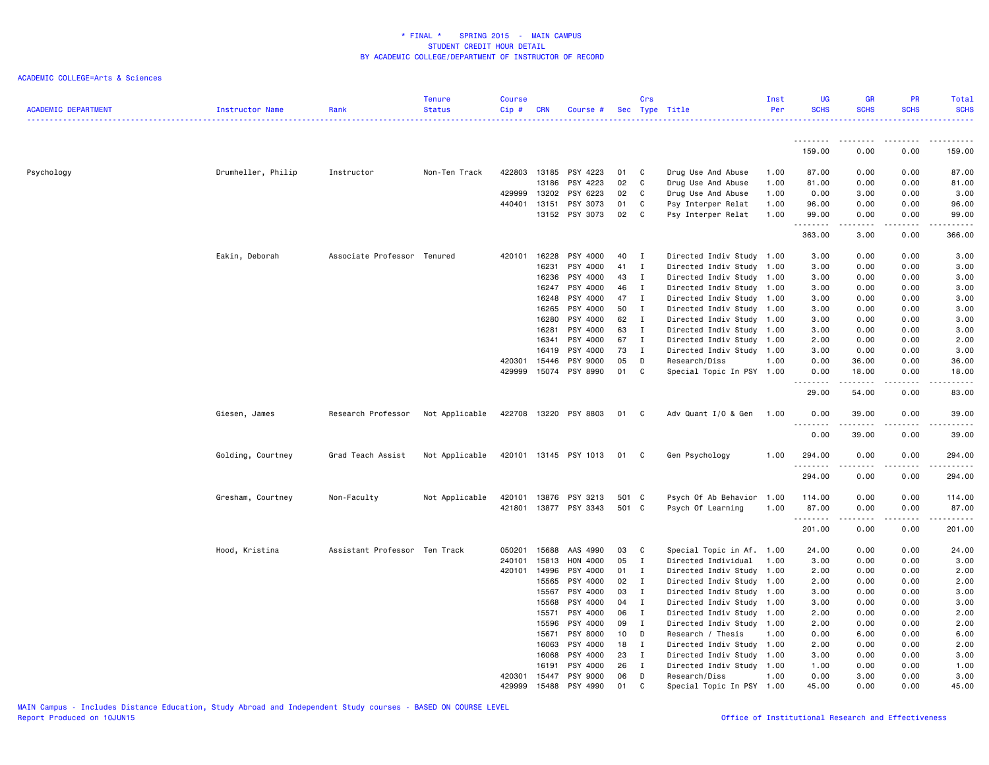| <b>ACADEMIC DEPARTMENT</b> | Instructor Name    | Rank                          | <b>Tenure</b><br><b>Status</b> | <b>Course</b><br>Cip# | <b>CRN</b> | Course #              |       | Crs          | Sec Type Title            | Inst<br>Per | <b>UG</b><br><b>SCHS</b>          | <b>SCHS</b>   | PR<br><b>SCHS</b>            | Total<br><b>SCHS</b> |
|----------------------------|--------------------|-------------------------------|--------------------------------|-----------------------|------------|-----------------------|-------|--------------|---------------------------|-------------|-----------------------------------|---------------|------------------------------|----------------------|
|                            |                    |                               |                                |                       |            |                       |       |              |                           |             |                                   |               | .                            |                      |
|                            |                    |                               |                                |                       |            |                       |       |              |                           |             | 159.00                            | 0.00          | 0.00                         | 159.00               |
| Psychology                 | Drumheller, Philip | Instructor                    | Non-Ten Track                  | 422803                | 13185      | PSY 4223              | 01    | C            | Drug Use And Abuse        | 1.00        | 87.00                             | 0.00          | 0.00                         | 87.00                |
|                            |                    |                               |                                |                       | 13186      | PSY 4223              | 02    | C            | Drug Use And Abuse        | 1.00        | 81.00                             | 0.00          | 0.00                         | 81.00                |
|                            |                    |                               |                                | 429999                | 13202      | PSY 6223              | 02    | C            | Drug Use And Abuse        | 1.00        | 0.00                              | 3.00          | 0.00                         | 3.00                 |
|                            |                    |                               |                                | 440401                | 13151      | PSY 3073              | 01    | C            | Psy Interper Relat        | 1.00        | 96.00                             | 0.00          | 0.00                         | 96.00                |
|                            |                    |                               |                                |                       |            | 13152 PSY 3073        | 02    | C.           | Psy Interper Relat        | 1.00        | 99.00<br>.                        | 0.00<br>----- | 0.00<br>.                    | 99.00<br>.           |
|                            |                    |                               |                                |                       |            |                       |       |              |                           |             | 363.00                            | 3.00          | 0.00                         | 366.00               |
|                            | Eakin, Deborah     | Associate Professor Tenured   |                                | 420101                | 16228      | PSY 4000              | 40    | $\mathbf{I}$ | Directed Indiv Study 1.00 |             | 3.00                              | 0.00          | 0.00                         | 3.00                 |
|                            |                    |                               |                                |                       | 16231      | PSY 4000              | 41    | $\mathbf{I}$ | Directed Indiv Study 1.00 |             | 3.00                              | 0.00          | 0.00                         | 3.00                 |
|                            |                    |                               |                                |                       | 16236      | PSY 4000              | 43    | $\mathbf{I}$ | Directed Indiv Study 1.00 |             | 3.00                              | 0.00          | 0.00                         | 3.00                 |
|                            |                    |                               |                                |                       | 16247      | PSY 4000              | 46    | $\mathbf{I}$ | Directed Indiv Study 1.00 |             | 3.00                              | 0.00          | 0.00                         | 3.00                 |
|                            |                    |                               |                                |                       | 16248      | PSY 4000              | 47    | $\mathbf{I}$ | Directed Indiv Study 1.00 |             | 3.00                              | 0.00          | 0.00                         | 3.00                 |
|                            |                    |                               |                                |                       | 16265      | PSY 4000              | 50    | $\mathbf{I}$ | Directed Indiv Study 1.00 |             | 3.00                              | 0.00          | 0.00                         | 3.00                 |
|                            |                    |                               |                                |                       | 16280      | PSY 4000              | 62    | $\mathbf{I}$ | Directed Indiv Study 1.00 |             | 3.00                              | 0.00          | 0.00                         | 3.00                 |
|                            |                    |                               |                                |                       | 16281      | PSY 4000              | 63    | I            | Directed Indiv Study 1.00 |             | 3.00                              | 0.00          | 0.00                         | 3.00                 |
|                            |                    |                               |                                |                       | 16341      | PSY 4000              | 67    | $\mathbf{I}$ | Directed Indiv Study 1.00 |             | 2.00                              | 0.00          | 0.00                         | 2.00                 |
|                            |                    |                               |                                |                       | 16419      | PSY 4000              | 73    | $\mathbf{I}$ | Directed Indiv Study 1.00 |             | 3.00                              | 0.00          | 0.00                         | 3.00                 |
|                            |                    |                               |                                | 420301                | 15446      | PSY 9000              | 05    | D            | Research/Diss             | 1.00        | 0.00                              | 36.00         | 0.00                         | 36.00                |
|                            |                    |                               |                                | 429999                | 15074      | PSY 8990              | 01    | C            | Special Topic In PSY 1.00 |             | 0.00<br><u> - - - - - - - -</u>   | 18.00<br>.    | 0.00<br>.                    | 18.00<br>.           |
|                            |                    |                               |                                |                       |            |                       |       |              |                           |             | 29.00                             | 54.00         | 0.00                         | 83.00                |
|                            | Giesen, James      | Research Professor            | Not Applicable                 | 422708                | 13220      | PSY 8803              | 01 C  |              | Adv Quant I/O & Gen       | 1.00        | 0.00<br>$\sim$ $\sim$ $\sim$<br>. | 39.00         | 0.00<br>$   -$               | 39.00<br>وساعات      |
|                            |                    |                               |                                |                       |            |                       |       |              |                           |             | 0.00                              | 39.00         | 0.00                         | 39.00                |
|                            | Golding, Courtney  | Grad Teach Assist             | Not Applicable                 |                       |            | 420101 13145 PSY 1013 | 01    | C            | Gen Psychology            | 1.00        | 294.00<br>.                       | 0.00          | 0.00<br>$\sim$ $\sim$ $\sim$ | 294.00<br>.          |
|                            |                    |                               |                                |                       |            |                       |       |              |                           |             | 294.00                            | 0.00          | 0.00                         | 294.00               |
|                            | Gresham, Courtney  | Non-Faculty                   | Not Applicable                 | 420101                | 13876      | PSY 3213              | 501 C |              | Psych Of Ab Behavior 1.00 |             | 114.00                            | 0.00          | 0.00                         | 114.00               |
|                            |                    |                               |                                | 421801                | 13877      | PSY 3343              | 501 C |              | Psych Of Learning         | 1.00        | 87.00                             | 0.00          | 0.00                         | 87.00                |
|                            |                    |                               |                                |                       |            |                       |       |              |                           |             | .<br>201.00                       | -----<br>0.00 | $\sim$ $\sim$ $\sim$<br>0.00 | 201.00               |
|                            | Hood, Kristina     | Assistant Professor Ten Track |                                | 050201                | 15688      | AAS 4990              | 03    | C            | Special Topic in Af. 1.00 |             | 24.00                             | 0.00          | 0.00                         | 24.00                |
|                            |                    |                               |                                | 240101                | 15813      | HON 4000              | 05    | $\mathbf{I}$ | Directed Individual       | 1.00        | 3.00                              | 0.00          | 0.00                         | 3.00                 |
|                            |                    |                               |                                | 420101                | 14996      | PSY 4000              | 01    | $\mathbf{I}$ | Directed Indiv Study 1.00 |             | 2.00                              | 0.00          | 0.00                         | 2.00                 |
|                            |                    |                               |                                |                       | 15565      | PSY 4000              | 02    | $\mathbf{I}$ | Directed Indiv Study 1.00 |             | 2.00                              | 0.00          | 0.00                         | 2.00                 |
|                            |                    |                               |                                |                       | 15567      | PSY 4000              | 03    | $\mathbf{I}$ | Directed Indiv Study 1.00 |             | 3.00                              | 0.00          | 0.00                         | 3.00                 |
|                            |                    |                               |                                |                       | 15568      | PSY 4000              | 04    | $\mathbf{I}$ | Directed Indiv Study 1.00 |             | 3.00                              | 0.00          | 0.00                         | 3.00                 |
|                            |                    |                               |                                |                       | 15571      | PSY 4000              | 06    | $\mathbf{I}$ | Directed Indiv Study 1.00 |             | 2.00                              | 0.00          | 0.00                         | 2.00                 |
|                            |                    |                               |                                |                       | 15596      | PSY 4000              | 09    | $\mathbf{I}$ | Directed Indiv Study 1.00 |             | 2.00                              | 0.00          | 0.00                         | 2.00                 |
|                            |                    |                               |                                |                       | 15671      | PSY 8000              | 10    | D            | Research / Thesis         | 1.00        | 0.00                              | 6.00          | 0.00                         | 6.00                 |
|                            |                    |                               |                                |                       | 16063      | PSY 4000              | 18    | I            | Directed Indiv Study 1.00 |             | 2.00                              | 0.00          | 0.00                         | 2.00                 |
|                            |                    |                               |                                |                       | 16068      | PSY 4000              | 23    | I            | Directed Indiv Study 1.00 |             | 3.00                              | 0.00          | 0.00                         | 3.00                 |
|                            |                    |                               |                                |                       | 16191      | PSY 4000              | 26    | $\mathbf{I}$ | Directed Indiv Study 1.00 |             | 1.00                              | 0.00          | 0.00                         | 1.00                 |
|                            |                    |                               |                                | 420301                | 15447      | PSY 9000              | 06    | D            | Research/Diss             | 1.00        | 0.00                              | 3.00          | 0.00                         | 3.00                 |
|                            |                    |                               |                                | 429999                | 15488      | PSY 4990              | 01    | C            | Special Topic In PSY      | 1.00        | 45.00                             | 0.00          | 0.00                         | 45.00                |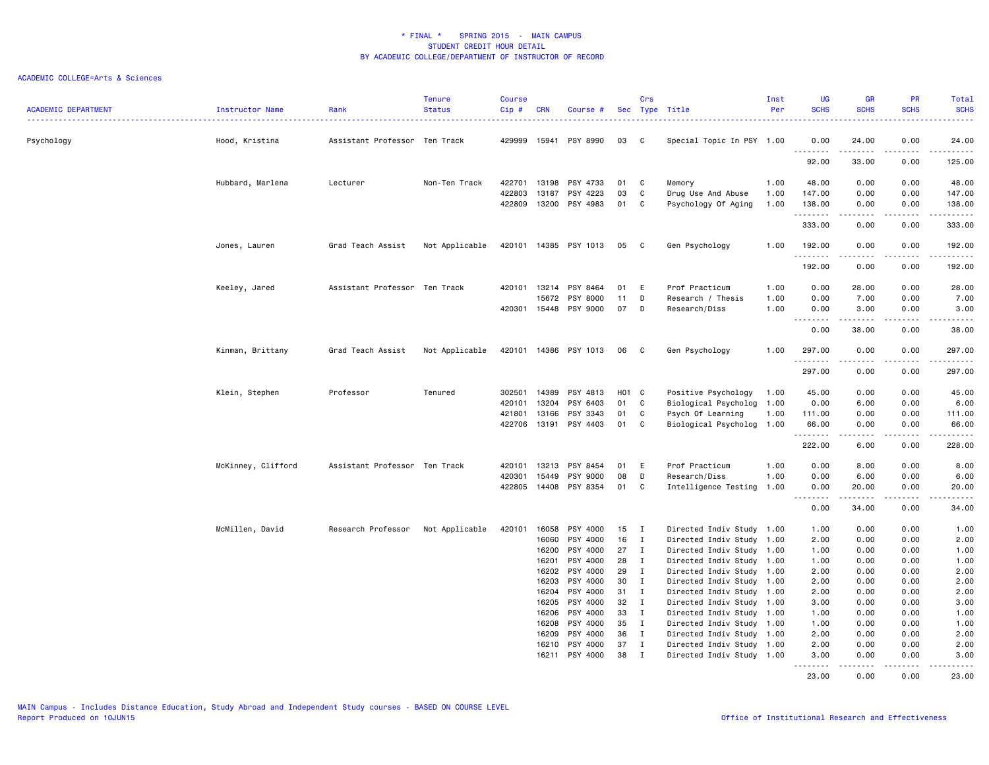| <b>ACADEMIC DEPARTMENT</b> | Instructor Name    | Rank                          | <b>Tenure</b><br><b>Status</b> | <b>Course</b><br>Cip# | <b>CRN</b>     | Course #              |          | Crs                         | Sec Type Title                                         | Inst<br>Per | <b>UG</b><br><b>SCHS</b>                                                                                                                                                                                                                                                                  | <b>GR</b><br><b>SCHS</b> | <b>PR</b><br><b>SCHS</b> | <b>Total</b><br><b>SCHS</b><br><u>.</u>                                                                                         |
|----------------------------|--------------------|-------------------------------|--------------------------------|-----------------------|----------------|-----------------------|----------|-----------------------------|--------------------------------------------------------|-------------|-------------------------------------------------------------------------------------------------------------------------------------------------------------------------------------------------------------------------------------------------------------------------------------------|--------------------------|--------------------------|---------------------------------------------------------------------------------------------------------------------------------|
| Psychology                 | Hood, Kristina     | Assistant Professor Ten Track |                                | 429999                |                | 15941 PSY 8990        | 03       | C                           | Special Topic In PSY 1.00                              |             | 0.00<br>.                                                                                                                                                                                                                                                                                 | 24.00<br>.               | 0.00<br>.                | 24.00<br>.                                                                                                                      |
|                            |                    |                               |                                |                       |                |                       |          |                             |                                                        |             | 92.00                                                                                                                                                                                                                                                                                     | 33.00                    | 0.00                     | 125.00                                                                                                                          |
|                            | Hubbard, Marlena   | Lecturer                      | Non-Ten Track                  | 422701                | 13198          | PSY 4733              | 01       | C                           | Memory                                                 | 1.00        | 48.00                                                                                                                                                                                                                                                                                     | 0.00                     | 0.00                     | 48.00                                                                                                                           |
|                            |                    |                               |                                | 422803                | 13187          | PSY 4223              | 03       | C                           | Drug Use And Abuse                                     | 1.00        | 147.00                                                                                                                                                                                                                                                                                    | 0.00                     | 0.00                     | 147.00                                                                                                                          |
|                            |                    |                               |                                | 422809                |                | 13200 PSY 4983        | 01       | C                           | Psychology Of Aging                                    | 1.00        | 138.00<br>.                                                                                                                                                                                                                                                                               | 0.00<br><u>.</u>         | 0.00<br>.                | 138.00                                                                                                                          |
|                            |                    |                               |                                |                       |                |                       |          |                             |                                                        |             | 333.00                                                                                                                                                                                                                                                                                    | 0.00                     | 0.00                     | 333.00                                                                                                                          |
|                            | Jones, Lauren      | Grad Teach Assist             | Not Applicable                 | 420101                |                | 14385 PSY 1013        | 05       | $\mathbf{C}$                | Gen Psychology                                         | 1.00        | 192.00<br>.                                                                                                                                                                                                                                                                               | 0.00                     | 0.00                     | 192.00                                                                                                                          |
|                            |                    |                               |                                |                       |                |                       |          |                             |                                                        |             | 192.00                                                                                                                                                                                                                                                                                    | 0.00                     | .<br>0.00                | 192.00                                                                                                                          |
|                            | Keeley, Jared      | Assistant Professor Ten Track |                                | 420101                | 13214          | PSY 8464              | 01       | E                           | Prof Practicum                                         | 1.00        | 0.00                                                                                                                                                                                                                                                                                      | 28.00                    | 0.00                     | 28.00                                                                                                                           |
|                            |                    |                               |                                |                       | 15672          | PSY 8000              | 11       | D                           | Research / Thesis                                      | 1.00        | 0.00                                                                                                                                                                                                                                                                                      | 7.00                     | 0.00                     | 7.00                                                                                                                            |
|                            |                    |                               |                                | 420301                | 15448          | PSY 9000              | 07       | D                           | Research/Diss                                          | 1.00        | 0.00                                                                                                                                                                                                                                                                                      | 3.00                     | 0.00                     | 3.00                                                                                                                            |
|                            |                    |                               |                                |                       |                |                       |          |                             |                                                        |             | $\frac{1}{2} \left( \frac{1}{2} \right) \left( \frac{1}{2} \right) \left( \frac{1}{2} \right) \left( \frac{1}{2} \right) \left( \frac{1}{2} \right) \left( \frac{1}{2} \right)$<br>$\frac{1}{2} \left( \frac{1}{2} \right) \left( \frac{1}{2} \right) \left( \frac{1}{2} \right)$<br>0.00 | .<br>38.00               | .<br>0.00                | -----<br>38.00                                                                                                                  |
|                            | Kinman, Brittany   | Grad Teach Assist             | Not Applicable                 |                       |                | 420101 14386 PSY 1013 | 06       | C                           | Gen Psychology                                         | 1.00        | 297.00                                                                                                                                                                                                                                                                                    | 0.00                     | 0.00                     | 297.00                                                                                                                          |
|                            |                    |                               |                                |                       |                |                       |          |                             |                                                        |             | .<br>297.00                                                                                                                                                                                                                                                                               | .<br>0.00                | $\frac{1}{2}$<br>0.00    | $\begin{array}{cccccccccc} \bullet & \bullet & \bullet & \bullet & \bullet & \bullet & \bullet & \bullet \end{array}$<br>297.00 |
|                            | Klein, Stephen     | Professor                     | Tenured                        | 302501                | 14389          | PSY 4813              | H01 C    |                             | Positive Psychology                                    | 1.00        | 45.00                                                                                                                                                                                                                                                                                     | 0.00                     | 0.00                     | 45.00                                                                                                                           |
|                            |                    |                               |                                | 420101                | 13204          | PSY 6403              | 01       | C                           | Biological Psycholog 1.00                              |             | 0.00                                                                                                                                                                                                                                                                                      | 6.00                     | 0.00                     | 6.00                                                                                                                            |
|                            |                    |                               |                                | 421801                | 13166          | PSY 3343              | 01       | C                           | Psych Of Learning                                      | 1.00        | 111.00                                                                                                                                                                                                                                                                                    | 0.00                     | 0.00                     | 111.00                                                                                                                          |
|                            |                    |                               |                                | 422706                |                | 13191 PSY 4403        | 01       | C                           | Biological Psycholog 1.00                              |             | 66.00                                                                                                                                                                                                                                                                                     | 0.00                     | 0.00                     | 66.00                                                                                                                           |
|                            |                    |                               |                                |                       |                |                       |          |                             |                                                        |             | .<br>222.00                                                                                                                                                                                                                                                                               | .<br>6.00                | .<br>0.00                | .<br>228.00                                                                                                                     |
|                            | McKinney, Clifford | Assistant Professor Ten Track |                                | 420101                | 13213          | PSY 8454              | 01       | E                           | Prof Practicum                                         | 1.00        | 0.00                                                                                                                                                                                                                                                                                      | 8.00                     | 0.00                     | 8.00                                                                                                                            |
|                            |                    |                               |                                | 420301                | 15449          | PSY 9000              | 08       | D                           | Research/Diss                                          | 1.00        | 0.00                                                                                                                                                                                                                                                                                      | 6.00                     | 0.00                     | 6.00                                                                                                                            |
|                            |                    |                               |                                | 422805                |                | 14408 PSY 8354        | 01       | C                           | Intelligence Testing 1.00                              |             | 0.00<br>د د د د<br>$\sim$ $\sim$                                                                                                                                                                                                                                                          | 20.00<br>.               | 0.00<br>.                | 20.00<br>$\frac{1}{2}$                                                                                                          |
|                            |                    |                               |                                |                       |                |                       |          |                             |                                                        |             | 0.00                                                                                                                                                                                                                                                                                      | 34.00                    | 0.00                     | 34.00                                                                                                                           |
|                            | McMillen, David    | Research Professor            | Not Applicable                 | 420101                | 16058          | PSY 4000              | 15       | $\mathbf{I}$                | Directed Indiv Study 1.00                              |             | 1.00                                                                                                                                                                                                                                                                                      | 0.00                     | 0.00                     | 1.00                                                                                                                            |
|                            |                    |                               |                                |                       | 16060          | PSY 4000              | 16       | $\mathbf I$                 | Directed Indiv Study 1.00                              |             | 2.00                                                                                                                                                                                                                                                                                      | 0.00                     | 0.00                     | 2.00                                                                                                                            |
|                            |                    |                               |                                |                       | 16200          | PSY 4000              | 27       | $\mathbf{I}$                | Directed Indiv Study 1.00                              |             | 1.00                                                                                                                                                                                                                                                                                      | 0.00                     | 0.00                     | 1.00                                                                                                                            |
|                            |                    |                               |                                |                       | 16201          | PSY 4000              | 28       | $\mathbf{I}$                | Directed Indiv Study 1.00                              |             | 1.00                                                                                                                                                                                                                                                                                      | 0.00                     | 0.00                     | 1.00                                                                                                                            |
|                            |                    |                               |                                |                       | 16202          | PSY 4000              | 29       | $\mathbf{I}$                | Directed Indiv Study 1.00                              |             | 2.00                                                                                                                                                                                                                                                                                      | 0.00                     | 0.00                     | 2.00                                                                                                                            |
|                            |                    |                               |                                |                       | 16203          | PSY 4000              | 30       | $\mathbf{I}$                | Directed Indiv Study 1.00                              |             | 2.00                                                                                                                                                                                                                                                                                      | 0.00                     | 0.00                     | 2.00                                                                                                                            |
|                            |                    |                               |                                |                       | 16204          | PSY 4000              | 31       | I                           | Directed Indiv Study 1.00                              |             | 2.00                                                                                                                                                                                                                                                                                      | 0.00                     | 0.00                     | 2.00                                                                                                                            |
|                            |                    |                               |                                |                       | 16205          | PSY 4000              | 32       | $\mathbf{I}$                | Directed Indiv Study 1.00                              |             | 3.00                                                                                                                                                                                                                                                                                      | 0.00                     | 0.00                     | 3.00                                                                                                                            |
|                            |                    |                               |                                |                       | 16206          | PSY 4000              | 33       | $\mathbf{I}$                | Directed Indiv Study 1.00                              |             | 1.00                                                                                                                                                                                                                                                                                      | 0.00                     | 0.00                     | 1.00                                                                                                                            |
|                            |                    |                               |                                |                       | 16208          | PSY 4000              | 35       | $\mathbf{I}$                | Directed Indiv Study 1.00                              |             | 1.00                                                                                                                                                                                                                                                                                      | 0.00                     | 0.00                     | 1.00                                                                                                                            |
|                            |                    |                               |                                |                       | 16209          | PSY 4000              | 36       | $\mathbf{I}$                | Directed Indiv Study 1.00                              |             | 2.00                                                                                                                                                                                                                                                                                      | 0.00                     | 0.00                     | 2.00                                                                                                                            |
|                            |                    |                               |                                |                       | 16210<br>16211 | PSY 4000<br>PSY 4000  | 37<br>38 | $\mathbf I$<br>$\mathbf{I}$ | Directed Indiv Study 1.00<br>Directed Indiv Study 1.00 |             | 2.00<br>3.00                                                                                                                                                                                                                                                                              | 0.00<br>0.00             | 0.00<br>0.00             | 2.00<br>3.00                                                                                                                    |
|                            |                    |                               |                                |                       |                |                       |          |                             |                                                        |             | .<br>23.00                                                                                                                                                                                                                                                                                | .<br>0.00                | .<br>0.00                | $\frac{1}{2}$<br>23.00                                                                                                          |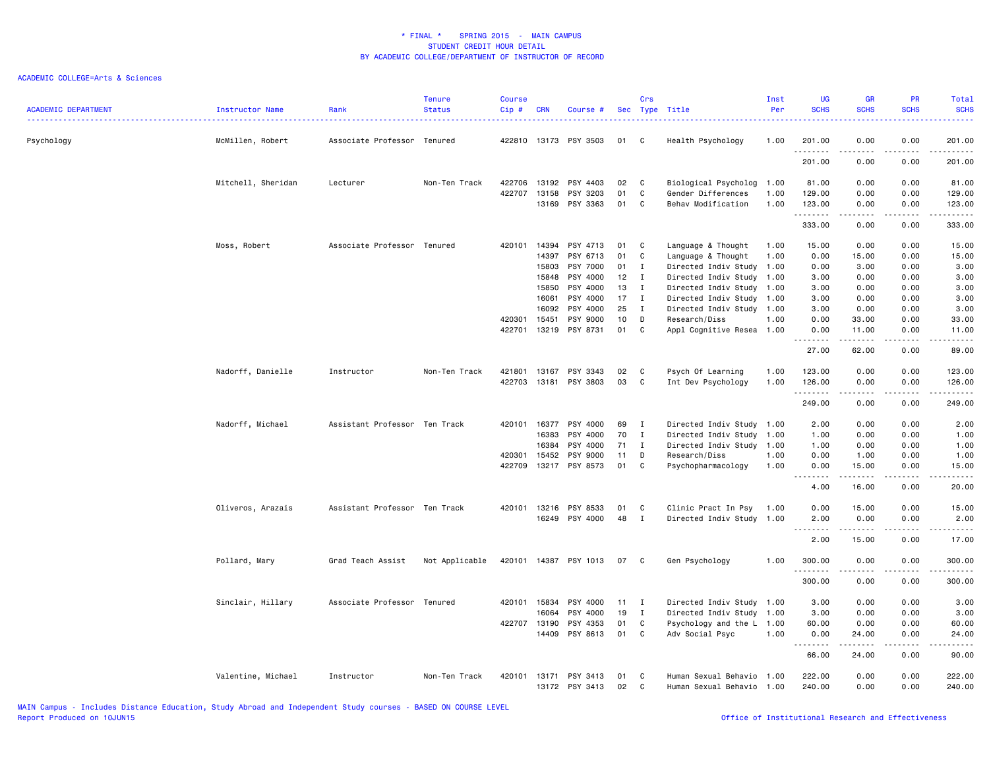| <b>ACADEMIC DEPARTMENT</b> | Instructor Name    | Rank                          | <b>Tenure</b><br><b>Status</b> | <b>Course</b><br>Cip# | <b>CRN</b>     | Course #              |              | Crs<br>Sec Type Title |                                                        | Inst<br>Per  | <b>UG</b><br><b>SCHS</b>   | <b>GR</b><br><b>SCHS</b>                                                                                                                                      | PR<br><b>SCHS</b> | <b>Total</b><br><b>SCHS</b>                                                                                                                                   |
|----------------------------|--------------------|-------------------------------|--------------------------------|-----------------------|----------------|-----------------------|--------------|-----------------------|--------------------------------------------------------|--------------|----------------------------|---------------------------------------------------------------------------------------------------------------------------------------------------------------|-------------------|---------------------------------------------------------------------------------------------------------------------------------------------------------------|
| Psychology                 | McMillen, Robert   | Associate Professor Tenured   |                                | 422810                |                | 13173 PSY 3503        | 01           | C                     | Health Psychology                                      | 1.00         | 201.00<br>.                | 0.00<br>.                                                                                                                                                     | 0.00<br>----      | 201.00<br>.                                                                                                                                                   |
|                            |                    |                               |                                |                       |                |                       |              |                       |                                                        |              | 201.00                     | 0.00                                                                                                                                                          | 0.00              | 201.00                                                                                                                                                        |
|                            | Mitchell, Sheridan | Lecturer                      | Non-Ten Track                  | 422706                | 13192          | PSY 4403              | 02           | C.                    | Biological Psycholog 1.00                              |              | 81.00                      | 0.00                                                                                                                                                          | 0.00              | 81.00                                                                                                                                                         |
|                            |                    |                               |                                | 422707                | 13158<br>13169 | PSY 3203<br>PSY 3363  | 01<br>01     | C<br>C                | Gender Differences<br>Behav Modification               | 1.00<br>1.00 | 129.00<br>123.00           | 0.00<br>0.00                                                                                                                                                  | 0.00<br>0.00      | 129.00<br>123.00                                                                                                                                              |
|                            |                    |                               |                                |                       |                |                       |              |                       |                                                        |              | .<br>333.00                | 0.00                                                                                                                                                          | 0.00              | .<br>333.00                                                                                                                                                   |
|                            | Moss, Robert       | Associate Professor Tenured   |                                | 420101                | 14394          | PSY 4713              | 01           | C                     | Language & Thought                                     | 1.00         | 15.00                      | 0.00                                                                                                                                                          | 0.00              | 15.00                                                                                                                                                         |
|                            |                    |                               |                                |                       | 14397          | PSY 6713              | 01           | $\mathtt{C}$          | Language & Thought                                     | 1.00         | 0.00                       | 15.00                                                                                                                                                         | 0.00              | 15.00                                                                                                                                                         |
|                            |                    |                               |                                |                       | 15803          | PSY 7000              | 01           | $\mathbf{I}$          | Directed Indiv Study 1.00                              |              | 0.00                       | 3.00                                                                                                                                                          | 0.00              | 3.00                                                                                                                                                          |
|                            |                    |                               |                                |                       | 15848          | PSY 4000              | 12           | $\mathbf I$           | Directed Indiv Study 1.00                              |              | 3.00                       | 0.00                                                                                                                                                          | 0.00              | 3.00                                                                                                                                                          |
|                            |                    |                               |                                |                       | 15850          | PSY 4000              | 13           | $\mathbf I$           | Directed Indiv Study 1.00                              |              | 3.00                       | 0.00                                                                                                                                                          | 0.00              | 3.00                                                                                                                                                          |
|                            |                    |                               |                                |                       | 16061          | PSY 4000              | 17           | $\mathbf{I}$          | Directed Indiv Study 1.00                              |              | 3.00                       | 0.00                                                                                                                                                          | 0.00              | 3.00                                                                                                                                                          |
|                            |                    |                               |                                |                       | 16092          | PSY 4000              | 25           | $\mathbf{I}$          | Directed Indiv Study 1.00                              |              | 3.00                       | 0.00                                                                                                                                                          | 0.00              | 3.00                                                                                                                                                          |
|                            |                    |                               |                                | 420301                | 15451          | PSY 9000              | 10           | D                     | Research/Diss                                          | 1.00         | 0.00                       | 33.00                                                                                                                                                         | 0.00              | 33.00                                                                                                                                                         |
|                            |                    |                               |                                | 422701                | 13219          | PSY 8731              | 01           | C                     | Appl Cognitive Resea 1.00                              |              | 0.00<br>.                  | 11.00<br>.                                                                                                                                                    | 0.00<br>الأعامات  | 11.00<br>.                                                                                                                                                    |
|                            |                    |                               |                                |                       |                |                       |              |                       |                                                        |              | 27.00                      | 62.00                                                                                                                                                         | 0.00              | 89.00                                                                                                                                                         |
|                            | Nadorff, Danielle  | Instructor                    | Non-Ten Track                  | 421801                | 13167          | PSY 3343              | 02           | C                     | Psych Of Learning                                      | 1.00         | 123.00                     | 0.00                                                                                                                                                          | 0.00              | 123.00                                                                                                                                                        |
|                            |                    |                               |                                | 422703                |                | 13181 PSY 3803        | 03           | C                     | Int Dev Psychology                                     | 1.00         | 126.00                     | 0.00                                                                                                                                                          | 0.00              | 126.00                                                                                                                                                        |
|                            |                    |                               |                                |                       |                |                       |              |                       |                                                        |              | .<br>249.00                | 0.00                                                                                                                                                          | 0.00              | .<br>249.00                                                                                                                                                   |
|                            | Nadorff, Michael   | Assistant Professor Ten Track |                                | 420101                | 16377          | PSY 4000              | 69           | $\mathbf{I}$          | Directed Indiv Study 1.00                              |              | 2.00                       | 0.00                                                                                                                                                          | 0.00              | 2.00                                                                                                                                                          |
|                            |                    |                               |                                |                       | 16383          | PSY 4000              | 70           | $\mathbf{I}$          | Directed Indiv Study 1.00                              |              | 1.00                       | 0.00                                                                                                                                                          | 0.00              | 1.00                                                                                                                                                          |
|                            |                    |                               |                                |                       | 16384          | PSY 4000              | 71           | I                     | Directed Indiv Study 1.00                              |              | 1.00                       | 0.00                                                                                                                                                          | 0.00              | 1.00                                                                                                                                                          |
|                            |                    |                               |                                | 420301                | 15452          | PSY 9000              | 11           | D                     | Research/Diss                                          | 1.00         | 0.00                       | 1.00                                                                                                                                                          | 0.00              | 1.00                                                                                                                                                          |
|                            |                    |                               |                                | 422709                | 13217          | PSY 8573              | 01           | C                     | Psychopharmacology                                     | 1.00         | 0.00                       | 15.00                                                                                                                                                         | 0.00              | 15.00                                                                                                                                                         |
|                            |                    |                               |                                |                       |                |                       |              |                       |                                                        |              | .<br>$\sim$ $\sim$<br>4.00 | .<br>16.00                                                                                                                                                    | .<br>0.00         | د د د د د<br>20.00                                                                                                                                            |
|                            | Oliveros, Arazais  | Assistant Professor Ten Track |                                | 420101                | 13216          | PSY 8533              | 01           | C                     | Clinic Pract In Psy                                    | 1.00         | 0.00                       | 15.00                                                                                                                                                         | 0.00              | 15.00                                                                                                                                                         |
|                            |                    |                               |                                |                       |                | 16249 PSY 4000        | 48           | $\mathbf{I}$          | Directed Indiv Study 1.00                              |              | 2.00                       | 0.00                                                                                                                                                          | 0.00              | 2.00                                                                                                                                                          |
|                            |                    |                               |                                |                       |                |                       |              |                       |                                                        |              | .<br>2.00                  | .<br>15.00                                                                                                                                                    | .<br>0.00         | .<br>17.00                                                                                                                                                    |
|                            |                    |                               |                                |                       |                |                       |              |                       |                                                        |              |                            |                                                                                                                                                               |                   |                                                                                                                                                               |
|                            | Pollard, Mary      | Grad Teach Assist             | Not Applicable                 |                       |                | 420101 14387 PSY 1013 | 07           | C                     | Gen Psychology                                         | 1.00         | 300.00<br>.                | 0.00                                                                                                                                                          | 0.00<br>.         | 300.00<br>.                                                                                                                                                   |
|                            |                    |                               |                                |                       |                |                       |              |                       |                                                        |              | 300.00                     | 0.00                                                                                                                                                          | 0.00              | 300.00                                                                                                                                                        |
|                            | Sinclair, Hillary  | Associate Professor Tenured   |                                | 420101 15834          |                | PSY 4000              | $11 \quad I$ |                       | Directed Indiv Study 1.00                              |              | 3.00                       | 0.00                                                                                                                                                          | 0.00              | 3.00                                                                                                                                                          |
|                            |                    |                               |                                |                       | 16064          | PSY 4000              | 19           | $\mathbf{I}$          | Directed Indiv Study 1.00                              |              | 3.00                       | 0.00                                                                                                                                                          | 0.00              | 3.00                                                                                                                                                          |
|                            |                    |                               |                                | 422707                | 13190          | PSY 4353              | 01           | C                     | Psychology and the L 1.00                              |              | 60.00                      | 0.00                                                                                                                                                          | 0.00              | 60.00                                                                                                                                                         |
|                            |                    |                               |                                |                       | 14409          | PSY 8613              | 01           | C                     | Adv Social Psyc                                        | 1.00         | 0.00<br>.                  | 24.00<br>$\frac{1}{2} \left( \frac{1}{2} \right) \left( \frac{1}{2} \right) \left( \frac{1}{2} \right) \left( \frac{1}{2} \right) \left( \frac{1}{2} \right)$ | 0.00<br>.         | 24.00<br>$\frac{1}{2} \left( \frac{1}{2} \right) \left( \frac{1}{2} \right) \left( \frac{1}{2} \right) \left( \frac{1}{2} \right) \left( \frac{1}{2} \right)$ |
|                            |                    |                               |                                |                       |                |                       |              |                       |                                                        |              | 66.00                      | 24.00                                                                                                                                                         | 0.00              | 90.00                                                                                                                                                         |
|                            | Valentine, Michael | Instructor                    | Non-Ten Track                  | 420101                | 13171<br>13172 | PSY 3413<br>PSY 3413  | 01<br>02     | C<br>C                | Human Sexual Behavio 1.00<br>Human Sexual Behavio 1.00 |              | 222.00<br>240.00           | 0.00<br>0.00                                                                                                                                                  | 0.00<br>0.00      | 222.00<br>240.00                                                                                                                                              |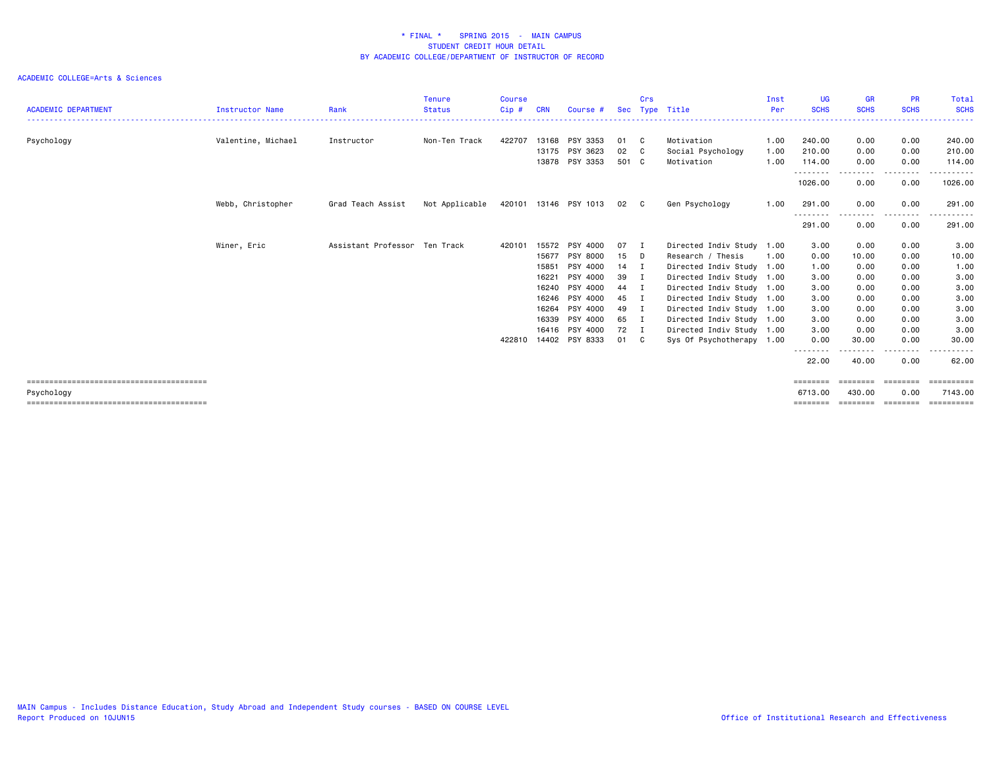| <b>ACADEMIC DEPARTMENT</b> | <b>Instructor Name</b> | Rank                          | <b>Tenure</b><br><b>Status</b> | <b>Course</b><br>Cip# | <b>CRN</b> | Course #              | Sec   | Crs | Type Title                | Inst<br>Per | UG.<br><b>SCHS</b> | <b>GR</b><br><b>SCHS</b> | <b>PR</b><br><b>SCHS</b> | Total<br><b>SCHS</b> |
|----------------------------|------------------------|-------------------------------|--------------------------------|-----------------------|------------|-----------------------|-------|-----|---------------------------|-------------|--------------------|--------------------------|--------------------------|----------------------|
|                            |                        |                               |                                |                       |            |                       |       |     |                           |             |                    |                          |                          |                      |
| Psychology                 | Valentine, Michael     | Instructor                    | Non-Ten Track                  | 422707                |            | 13168 PSY 3353        | 01    | C.  | Motivation                | 1.00        | 240.00             | 0.00                     | 0.00                     | 240.00               |
|                            |                        |                               |                                |                       | 13175      | PSY 3623              | 02    | C.  | Social Psychology         | 1.00        | 210.00             | 0.00                     | 0.00                     | 210.00               |
|                            |                        |                               |                                |                       |            | 13878 PSY 3353        | 501 C |     | Motivation                | 1.00        | 114.00<br>-------- | 0.00<br>--------         | 0.00<br>-------          | 114.00<br>-------    |
|                            |                        |                               |                                |                       |            |                       |       |     |                           |             | 1026.00            | 0.00                     | 0.00                     | 1026.00              |
|                            | Webb, Christopher      | Grad Teach Assist             | Not Applicable                 |                       |            | 420101 13146 PSY 1013 | 02 C  |     | Gen Psychology            | 1.00        | 291.00             | 0.00                     | 0.00                     | 291.00               |
|                            |                        |                               |                                |                       |            |                       |       |     |                           |             | --------<br>291.00 | . <b>.</b><br>0.00       | -----<br>0.00            | ------<br>291.00     |
|                            | Winer, Eric            | Assistant Professor Ten Track |                                | 420101                | 15572      | PSY 4000              | 07    | - 1 | Directed Indiv Study 1.00 |             | 3.00               | 0.00                     | 0.00                     | 3.00                 |
|                            |                        |                               |                                |                       | 15677      | PSY 8000              | 15    | D.  | Research / Thesis         | 1.00        | 0.00               | 10.00                    | 0.00                     | 10.00                |
|                            |                        |                               |                                |                       | 15851      | PSY 4000              | 14 I  |     | Directed Indiv Study 1.00 |             | 1.00               | 0.00                     | 0.00                     | 1.00                 |
|                            |                        |                               |                                |                       | 16221      | PSY 4000              | 39    | - 1 | Directed Indiv Study 1.00 |             | 3.00               | 0.00                     | 0.00                     | 3.00                 |
|                            |                        |                               |                                |                       | 16240      | PSY 4000              | 44 I  |     | Directed Indiv Study 1.00 |             | 3.00               | 0.00                     | 0.00                     | 3.00                 |
|                            |                        |                               |                                |                       | 16246      | PSY 4000              | 45    | - 1 | Directed Indiv Study 1.00 |             | 3.00               | 0.00                     | 0.00                     | 3.00                 |
|                            |                        |                               |                                |                       | 16264      | PSY 4000              | 49 I  |     | Directed Indiv Study 1.00 |             | 3.00               | 0.00                     | 0.00                     | 3.00                 |
|                            |                        |                               |                                |                       | 16339      | PSY 4000              | 65    | I   | Directed Indiv Study 1.00 |             | 3.00               | 0.00                     | 0.00                     | 3.00                 |
|                            |                        |                               |                                |                       |            | 16416 PSY 4000        | 72 I  |     | Directed Indiv Study 1.00 |             | 3.00               | 0.00                     | 0.00                     | 3.00                 |
|                            |                        |                               |                                | 422810                | 14402      | PSY 8333              | 01    | C C | Sys Of Psychotherapy 1.00 |             | 0.00               | 30.00                    | 0.00                     | 30.00                |
|                            |                        |                               |                                |                       |            |                       |       |     |                           |             | ----<br>22.00      | 40.00                    | --------<br>0.00         | .<br>62.00           |
|                            |                        |                               |                                |                       |            |                       |       |     |                           |             | ========           | ========                 | ========                 |                      |
| Psychology                 |                        |                               |                                |                       |            |                       |       |     |                           |             | 6713.00            | 430.00                   | 0.00                     | 7143.00              |
|                            |                        |                               |                                |                       |            |                       |       |     |                           |             | ========           | ========                 | ========                 | ==========           |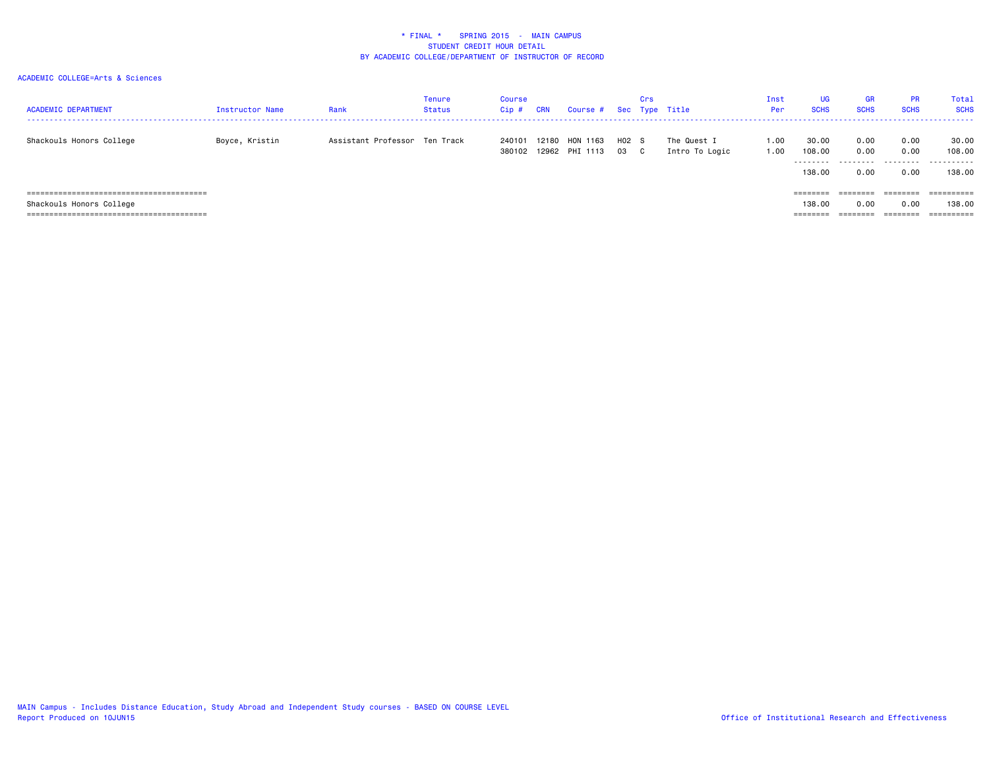| <b>ACADEMIC DEPARTMENT</b>                                      | Instructor Name | Rank                          | Tenure<br>Status | Course<br>$Cip$ # | <b>CRN</b> | Course # Sec Type Title    |                 | Crs |                               | Inst<br>Per  | <b>UG</b><br><b>SCHS</b>               | <b>GR</b><br><b>SCHS</b>          | <b>PR</b><br><b>SCHS</b>     | Total<br><b>SCHS</b>               |
|-----------------------------------------------------------------|-----------------|-------------------------------|------------------|-------------------|------------|----------------------------|-----------------|-----|-------------------------------|--------------|----------------------------------------|-----------------------------------|------------------------------|------------------------------------|
| Shackouls Honors College                                        | Boyce, Kristin  | Assistant Professor Ten Track |                  | 240101<br>380102  | 12180      | HON 1163<br>12962 PHI 1113 | $H02$ S<br>03 C |     | The Quest I<br>Intro To Logic | 1.00<br>1.00 | 30.00<br>108,00<br>---------<br>138,00 | 0.00<br>0.00<br>---------<br>0.00 | 0.00<br>0.00<br>.<br>0.00    | 30.00<br>108.00<br>.<br>138.00     |
| Shackouls Honors College<br>----------------------------------- |                 |                               |                  |                   |            |                            |                 |     |                               |              | ========<br>138,00<br>========         | 0.00                              | ========<br>0.00<br>======== | ==========<br>138.00<br>========== |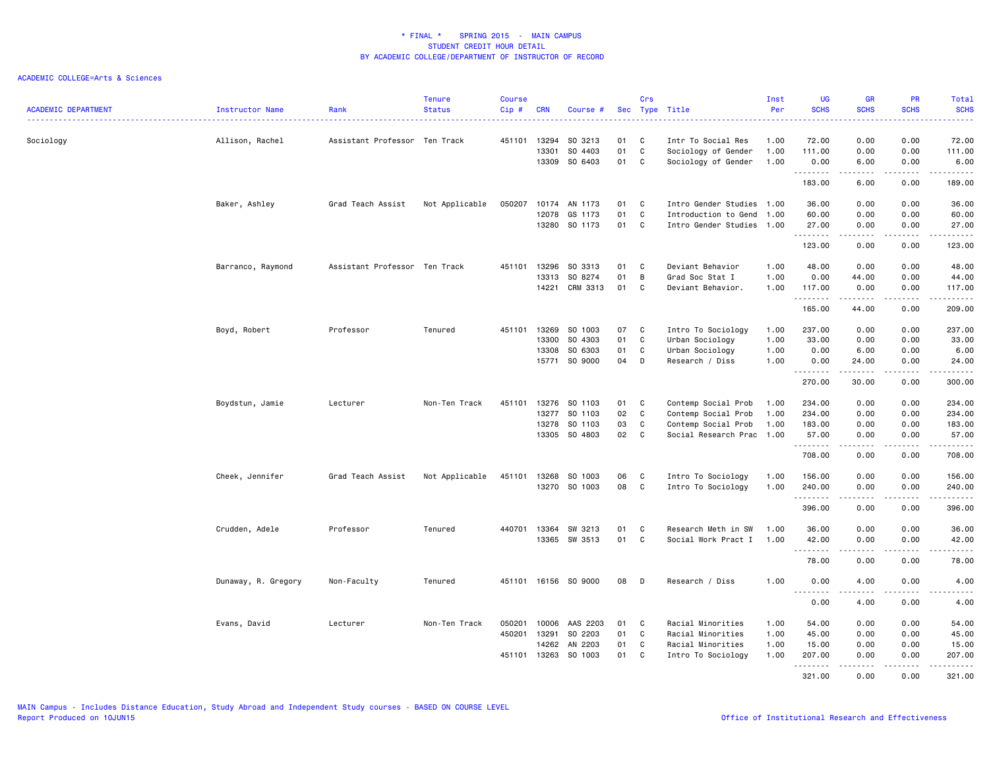| <b>ACADEMIC DEPARTMENT</b> | Instructor Name     | Rank                          | <b>Tenure</b><br><b>Status</b> | <b>Course</b><br>Cip#      | <b>CRN</b>                       | Course #                                       |                      | Crs              | Sec Type Title                                                                                 | Inst<br>Per                  | UG<br><b>SCHS</b>                                         | <b>GR</b><br><b>SCHS</b>                                                                                                                                                                                                                                                                                                                     | <b>PR</b><br><b>SCHS</b>                                 | Total<br><b>SCHS</b><br>2222.                                                                                                                  |
|----------------------------|---------------------|-------------------------------|--------------------------------|----------------------------|----------------------------------|------------------------------------------------|----------------------|------------------|------------------------------------------------------------------------------------------------|------------------------------|-----------------------------------------------------------|----------------------------------------------------------------------------------------------------------------------------------------------------------------------------------------------------------------------------------------------------------------------------------------------------------------------------------------------|----------------------------------------------------------|------------------------------------------------------------------------------------------------------------------------------------------------|
| Sociology                  | Allison, Rachel     | Assistant Professor Ten Track |                                | 451101                     | 13294<br>13301<br>13309          | SO 3213<br>SO 4403<br>SO 6403                  | 01<br>01<br>01       | C<br>C<br>C      | Intr To Social Res<br>Sociology of Gender<br>Sociology of Gender                               | 1.00<br>1.00<br>1.00         | 72.00<br>111.00<br>0.00                                   | 0.00<br>0.00<br>6.00                                                                                                                                                                                                                                                                                                                         | 0.00<br>0.00<br>0.00                                     | 72.00<br>111.00<br>6.00                                                                                                                        |
|                            |                     |                               |                                |                            |                                  |                                                |                      |                  |                                                                                                |                              | .<br>183.00                                               | $\frac{1}{2} \left( \begin{array}{ccc} 1 & 0 & 0 & 0 \\ 0 & 0 & 0 & 0 \\ 0 & 0 & 0 & 0 \\ 0 & 0 & 0 & 0 \\ 0 & 0 & 0 & 0 \\ 0 & 0 & 0 & 0 \\ 0 & 0 & 0 & 0 \\ 0 & 0 & 0 & 0 \\ 0 & 0 & 0 & 0 \\ 0 & 0 & 0 & 0 \\ 0 & 0 & 0 & 0 & 0 \\ 0 & 0 & 0 & 0 & 0 \\ 0 & 0 & 0 & 0 & 0 \\ 0 & 0 & 0 & 0 & 0 \\ 0 & 0 & 0 & 0 & 0 \\ 0 & 0 & 0$<br>6.00 | .<br>0.00                                                | .<br>189.00                                                                                                                                    |
|                            | Baker, Ashley       | Grad Teach Assist             | Not Applicable                 | 050207                     | 10174<br>12078                   | AN 1173<br>GS 1173<br>13280 SO 1173            | 01<br>01<br>01       | C<br>C<br>C      | Intro Gender Studies 1.00<br>Introduction to Gend<br>Intro Gender Studies 1.00                 | 1.00                         | 36.00<br>60.00<br>27.00<br>.                              | 0.00<br>0.00<br>0.00<br>$\frac{1}{2} \left( \frac{1}{2} \right) \left( \frac{1}{2} \right) \left( \frac{1}{2} \right) \left( \frac{1}{2} \right) \left( \frac{1}{2} \right)$                                                                                                                                                                 | 0.00<br>0.00<br>0.00<br>.                                | 36.00<br>60.00<br>27.00<br>------                                                                                                              |
|                            | Barranco, Raymond   | Assistant Professor Ten Track |                                | 451101                     | 13296<br>13313<br>14221          | SO 3313<br>SO 8274<br>CRM 3313                 | 01<br>01<br>01       | C<br>B<br>C      | Deviant Behavior<br>Grad Soc Stat I<br>Deviant Behavior.                                       | 1.00<br>1.00<br>1.00         | 123.00<br>48.00<br>0.00<br>117.00                         | 0.00<br>0.00<br>44.00<br>0.00                                                                                                                                                                                                                                                                                                                | 0.00<br>0.00<br>0.00<br>0.00                             | 123.00<br>48.00<br>44.00<br>117.00                                                                                                             |
|                            | Boyd, Robert        | Professor                     | Tenured                        | 451101                     | 13269<br>13300<br>13308          | SO 1003<br>SO 4303<br>SO 6303<br>15771 SO 9000 | 07<br>01<br>01<br>04 | C<br>C<br>C<br>D | Intro To Sociology<br>Urban Sociology<br>Urban Sociology<br>Research / Diss                    | 1.00<br>1.00<br>1.00<br>1.00 | .<br>165.00<br>237.00<br>33.00<br>0.00<br>0.00            | .<br>44.00<br>0.00<br>0.00<br>6.00<br>24.00                                                                                                                                                                                                                                                                                                  | .<br>0.00<br>0.00<br>0.00<br>0.00<br>0.00                | $\omega$ is $\omega$ in $\omega$ in<br>209.00<br>237.00<br>33.00<br>6.00<br>24.00                                                              |
|                            | Boydstun, Jamie     | Lecturer                      | Non-Ten Track                  | 451101                     | 13276<br>13277<br>13278<br>13305 | SO 1103<br>SO 1103<br>SO 1103<br>SO 4803       | 01<br>02<br>03<br>02 | C<br>C<br>C<br>C | Contemp Social Prob<br>Contemp Social Prob<br>Contemp Social Prob<br>Social Research Prac 1.00 | 1.00<br>1.00<br>1.00         | <u>.</u><br>270.00<br>234.00<br>234.00<br>183.00<br>57.00 | .<br>30.00<br>0.00<br>0.00<br>0.00<br>0.00                                                                                                                                                                                                                                                                                                   | .<br>0.00<br>0.00<br>0.00<br>0.00<br>0.00                | .<br>300.00<br>234.00<br>234.00<br>183.00<br>57.00                                                                                             |
|                            | Cheek, Jennifer     | Grad Teach Assist             | Not Applicable                 | 451101                     | 13268                            | SO 1003<br>13270 SO 1003                       | 06<br>08 C           | C                | Intro To Sociology<br>Intro To Sociology                                                       | 1.00<br>1.00                 | .<br>708.00<br>156.00<br>240.00<br>.                      | .<br>0.00<br>0.00<br>0.00<br>$- - - - -$                                                                                                                                                                                                                                                                                                     | $\sim$ $\sim$ $\sim$ $\sim$<br>0.00<br>0.00<br>0.00<br>. | $\begin{array}{cccccccccc} \bullet & \bullet & \bullet & \bullet & \bullet & \bullet & \bullet \end{array}$<br>708.00<br>156.00<br>240.00<br>. |
|                            | Crudden, Adele      | Professor                     | Tenured                        | 440701                     | 13364<br>13365                   | SW 3213<br>SW 3513                             | 01<br>01             | C<br>C           | Research Meth in SW<br>Social Work Pract I                                                     | 1.00<br>1.00                 | 396.00<br>36.00<br>42.00<br><u>.</u>                      | 0.00<br>0.00<br>0.00<br><u>.</u>                                                                                                                                                                                                                                                                                                             | 0.00<br>0.00<br>0.00<br>.                                | 396.00<br>36.00<br>42.00<br>.                                                                                                                  |
|                            | Dunaway, R. Gregory | Non-Faculty                   | Tenured                        |                            |                                  | 451101 16156 SO 9000                           | 08                   | D                | Research / Diss                                                                                | 1.00                         | 78.00<br>0.00<br>.                                        | 0.00<br>4.00<br>.                                                                                                                                                                                                                                                                                                                            | 0.00<br>0.00<br>د د د د                                  | 78.00<br>4.00<br>-----                                                                                                                         |
|                            | Evans, David        | Lecturer                      | Non-Ten Track                  | 050201<br>450201<br>451101 | 10006<br>13291<br>14262<br>13263 | AAS 2203<br>SO 2203<br>AN 2203<br>SO 1003      | 01<br>01<br>01<br>01 | C<br>C<br>C<br>C | Racial Minorities<br>Racial Minorities<br>Racial Minorities<br>Intro To Sociology              | 1.00<br>1.00<br>1.00<br>1.00 | 0.00<br>54.00<br>45.00<br>15.00<br>207.00<br>.<br>321.00  | 4.00<br>0.00<br>0.00<br>0.00<br>0.00<br>.<br>0.00                                                                                                                                                                                                                                                                                            | 0.00<br>0.00<br>0.00<br>0.00<br>0.00<br>0.00             | 4.00<br>54.00<br>45.00<br>15.00<br>207.00<br>.<br>321.00                                                                                       |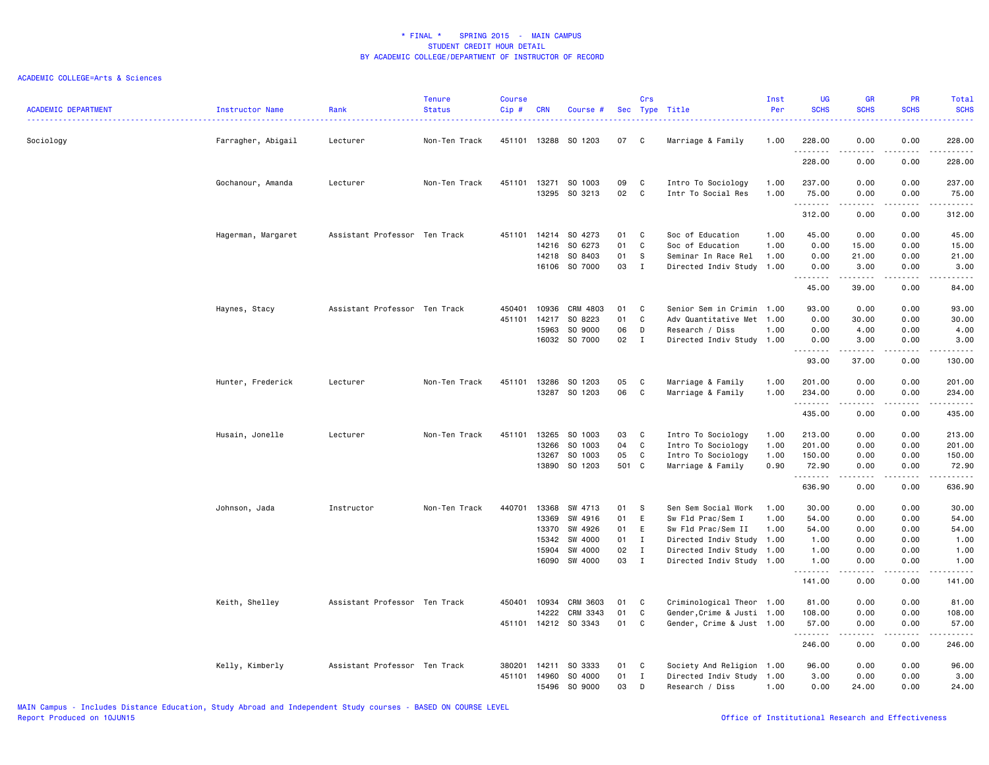| <b>ACADEMIC DEPARTMENT</b> | Instructor Name    | Rank                          | <b>Tenure</b><br><b>Status</b> | <b>Course</b><br>Cip# | <b>CRN</b>                                | Course #                                                             |                                  | Crs                                                          | Sec Type Title                                                                                                                                        | Inst<br>Per                  | UG<br><b>SCHS</b>                                                                                                                                              | GR<br><b>SCHS</b>                                                                                                                                                     | PR<br><b>SCHS</b>                                                                                                                 | Total<br><b>SCHS</b>                                                                                                                                                                   |
|----------------------------|--------------------|-------------------------------|--------------------------------|-----------------------|-------------------------------------------|----------------------------------------------------------------------|----------------------------------|--------------------------------------------------------------|-------------------------------------------------------------------------------------------------------------------------------------------------------|------------------------------|----------------------------------------------------------------------------------------------------------------------------------------------------------------|-----------------------------------------------------------------------------------------------------------------------------------------------------------------------|-----------------------------------------------------------------------------------------------------------------------------------|----------------------------------------------------------------------------------------------------------------------------------------------------------------------------------------|
| Sociology                  | Farragher, Abigail | Lecturer                      | Non-Ten Track                  |                       |                                           | 451101 13288 SO 1203                                                 | 07                               | C                                                            | Marriage & Family                                                                                                                                     | 1.00                         | 228.00<br>.                                                                                                                                                    | 0.00<br>.                                                                                                                                                             | 0.00<br>المستمد                                                                                                                   | 228.00<br><u>.</u>                                                                                                                                                                     |
|                            |                    |                               |                                |                       |                                           |                                                                      |                                  |                                                              |                                                                                                                                                       |                              | 228.00                                                                                                                                                         | 0.00                                                                                                                                                                  | 0.00                                                                                                                              | 228.00                                                                                                                                                                                 |
|                            | Gochanour, Amanda  | Lecturer                      | Non-Ten Track                  | 451101 13271          | 13295                                     | SO 1003<br>SO 3213                                                   | 09<br>02                         | C<br>C                                                       | Intro To Sociology<br>Intr To Social Res                                                                                                              | 1.00<br>1.00                 | 237.00<br>75.00                                                                                                                                                | 0.00<br>0.00                                                                                                                                                          | 0.00<br>0.00                                                                                                                      | 237.00<br>75.00                                                                                                                                                                        |
|                            |                    |                               |                                |                       |                                           |                                                                      |                                  |                                                              |                                                                                                                                                       |                              | .<br>312.00                                                                                                                                                    | <b></b><br>0.00                                                                                                                                                       | .<br>0.00                                                                                                                         | 312.00                                                                                                                                                                                 |
|                            | Hagerman, Margaret | Assistant Professor Ten Track |                                | 451101                | 14214<br>14216                            | SO 4273<br>SO 6273                                                   | 01<br>01                         | C<br>C                                                       | Soc of Education<br>Soc of Education                                                                                                                  | 1.00<br>1.00                 | 45.00<br>0.00                                                                                                                                                  | 0.00<br>15.00                                                                                                                                                         | 0.00<br>0.00                                                                                                                      | 45.00<br>15.00                                                                                                                                                                         |
|                            |                    |                               |                                |                       | 14218<br>16106                            | SO 8403<br>SO 7000                                                   | 01<br>03                         | -S<br>I                                                      | Seminar In Race Rel<br>Directed Indiv Study                                                                                                           | 1.00<br>1.00                 | 0.00<br>0.00<br>1.1.1.1.1.1.1                                                                                                                                  | 21.00<br>3.00<br>$\frac{1}{2} \left( \frac{1}{2} \right) \left( \frac{1}{2} \right) \left( \frac{1}{2} \right) \left( \frac{1}{2} \right) \left( \frac{1}{2} \right)$ | 0.00<br>0.00<br>.                                                                                                                 | 21.00<br>3.00<br>$\frac{1}{2} \left( \frac{1}{2} \right) \left( \frac{1}{2} \right) \left( \frac{1}{2} \right) \left( \frac{1}{2} \right) \left( \frac{1}{2} \right)$                  |
|                            |                    |                               |                                |                       |                                           |                                                                      |                                  |                                                              |                                                                                                                                                       |                              | 45.00                                                                                                                                                          | 39.00                                                                                                                                                                 | 0.00                                                                                                                              | 84.00                                                                                                                                                                                  |
|                            | Haynes, Stacy      | Assistant Professor Ten Track |                                | 450401<br>451101      | 10936<br>14217<br>15963                   | CRM 4803<br>SO 8223<br>SO 9000<br>16032 SO 7000                      | 01<br>01<br>06<br>02             | C<br>C<br>D<br>$\blacksquare$                                | Senior Sem in Crimin 1.00<br>Adv Quantitative Met 1.00<br>Research / Diss<br>Directed Indiv Study 1.00                                                | 1.00                         | 93.00<br>0.00<br>0.00<br>0.00<br>.                                                                                                                             | 0.00<br>30.00<br>4.00<br>3.00<br>$- - - - -$                                                                                                                          | 0.00<br>0.00<br>0.00<br>0.00<br>$\frac{1}{2}$                                                                                     | 93.00<br>30.00<br>4.00<br>3.00<br>$\frac{1}{2} \left( \frac{1}{2} \right) \left( \frac{1}{2} \right) \left( \frac{1}{2} \right) \left( \frac{1}{2} \right) \left( \frac{1}{2} \right)$ |
|                            |                    |                               |                                |                       |                                           |                                                                      |                                  |                                                              |                                                                                                                                                       |                              | 93.00                                                                                                                                                          | 37.00                                                                                                                                                                 | 0.00                                                                                                                              | 130.00                                                                                                                                                                                 |
|                            | Hunter, Frederick  | Lecturer                      | Non-Ten Track                  | 451101                | 13286                                     | SO 1203<br>13287 SO 1203                                             | 05<br>06                         | C<br>C                                                       | Marriage & Family<br>Marriage & Family                                                                                                                | 1.00<br>1.00                 | 201.00<br>234.00<br>.                                                                                                                                          | 0.00<br>0.00<br>$\frac{1}{2} \left( \frac{1}{2} \right) \left( \frac{1}{2} \right) \left( \frac{1}{2} \right) \left( \frac{1}{2} \right) \left( \frac{1}{2} \right)$  | 0.00<br>0.00<br>.                                                                                                                 | 201.00<br>234.00<br>.                                                                                                                                                                  |
|                            |                    |                               |                                |                       |                                           |                                                                      |                                  |                                                              |                                                                                                                                                       |                              | 435.00                                                                                                                                                         | 0.00                                                                                                                                                                  | 0.00                                                                                                                              | 435.00                                                                                                                                                                                 |
|                            | Husain, Jonelle    | Lecturer                      | Non-Ten Track                  | 451101                | 13265<br>13266<br>13267<br>13890          | SO 1003<br>SO 1003<br>SO 1003<br>SO 1203                             | 03<br>04<br>05<br>501 C          | C<br>C<br>C                                                  | Intro To Sociology<br>Intro To Sociology<br>Intro To Sociology<br>Marriage & Family                                                                   | 1.00<br>1.00<br>1.00<br>0.90 | 213.00<br>201.00<br>150.00<br>72.90<br>.                                                                                                                       | 0.00<br>0.00<br>0.00<br>0.00<br>.                                                                                                                                     | 0.00<br>0.00<br>0.00<br>0.00<br>.                                                                                                 | 213.00<br>201.00<br>150.00<br>72.90<br>.                                                                                                                                               |
|                            |                    |                               |                                |                       |                                           |                                                                      |                                  |                                                              |                                                                                                                                                       |                              | 636.90                                                                                                                                                         | 0.00                                                                                                                                                                  | 0.00                                                                                                                              | 636.90                                                                                                                                                                                 |
|                            | Johnson, Jada      | Instructor                    | Non-Ten Track                  | 440701                | 13368<br>13369<br>13370<br>15342<br>15904 | SW 4713<br>SW 4916<br>SW 4926<br>SW 4000<br>SW 4000<br>16090 SW 4000 | 01<br>01<br>01<br>01<br>02<br>03 | -S<br>E<br>E<br>$\mathbf{I}$<br>$\mathbf{I}$<br>$\mathbf{I}$ | Sen Sem Social Work<br>Sw Fld Prac/Sem I<br>Sw Fld Prac/Sem II<br>Directed Indiv Study 1.00<br>Directed Indiv Study 1.00<br>Directed Indiv Study 1.00 | 1.00<br>1.00<br>1.00         | 30.00<br>54.00<br>54.00<br>1.00<br>1.00<br>1.00                                                                                                                | 0.00<br>0.00<br>0.00<br>0.00<br>0.00<br>0.00                                                                                                                          | 0.00<br>0.00<br>0.00<br>0.00<br>0.00<br>0.00                                                                                      | 30.00<br>54.00<br>54.00<br>1.00<br>1.00<br>1.00                                                                                                                                        |
|                            |                    |                               |                                |                       |                                           |                                                                      |                                  |                                                              |                                                                                                                                                       |                              | $\frac{1}{2} \left( \frac{1}{2} \right) \left( \frac{1}{2} \right) \left( \frac{1}{2} \right) \left( \frac{1}{2} \right) \left( \frac{1}{2} \right)$<br>141.00 | 0.00                                                                                                                                                                  | $\frac{1}{2} \left( \frac{1}{2} \right) \left( \frac{1}{2} \right) \left( \frac{1}{2} \right) \left( \frac{1}{2} \right)$<br>0.00 | $\frac{1}{2} \left( \frac{1}{2} \right) \left( \frac{1}{2} \right) \left( \frac{1}{2} \right) \left( \frac{1}{2} \right) \left( \frac{1}{2} \right)$<br>141.00                         |
|                            | Keith, Shelley     | Assistant Professor Ten Track |                                | 450401                | 10934<br>14222                            | CRM 3603<br>CRM 3343<br>451101 14212 SO 3343                         | 01<br>01<br>01                   | C<br>C<br>C                                                  | Criminological Theor 1.00<br>Gender, Crime & Justi 1.00<br>Gender, Crime & Just 1.00                                                                  |                              | 81.00<br>108.00<br>57.00                                                                                                                                       | 0.00<br>0.00<br>0.00                                                                                                                                                  | 0.00<br>0.00<br>0.00                                                                                                              | 81.00<br>108.00<br>57.00                                                                                                                                                               |
|                            |                    |                               |                                |                       |                                           |                                                                      |                                  |                                                              |                                                                                                                                                       |                              | .<br>246.00                                                                                                                                                    | .<br>0.00                                                                                                                                                             | .<br>0.00                                                                                                                         | <u>.</u><br>246.00                                                                                                                                                                     |
|                            | Kelly, Kimberly    | Assistant Professor Ten Track |                                | 380201<br>451101      | 14211<br>14960<br>15496                   | SO 3333<br>SO 4000<br>SO 9000                                        | 01<br>01<br>03                   | C<br>$\mathbf I$<br>D                                        | Society And Religion 1.00<br>Directed Indiv Study 1.00<br>Research / Diss                                                                             | 1.00                         | 96.00<br>3.00<br>0.00                                                                                                                                          | 0.00<br>0.00<br>24.00                                                                                                                                                 | 0.00<br>0.00<br>0.00                                                                                                              | 96.00<br>3.00<br>24.00                                                                                                                                                                 |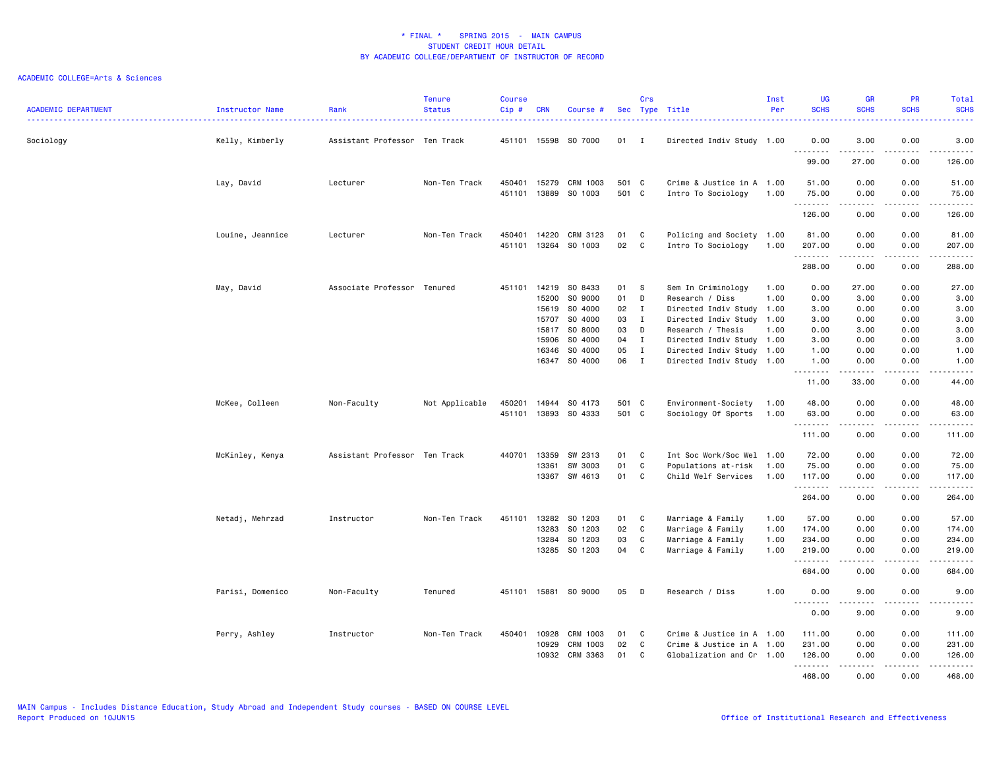| <b>ACADEMIC DEPARTMENT</b> | Instructor Name  | Rank                          | <b>Tenure</b><br><b>Status</b> | <b>Course</b><br>Cip# | <b>CRN</b>              | Course #                                       |                      | Crs                                          | Sec Type Title                                                                      | Inst<br>Per                  | UG<br><b>SCHS</b>                        | <b>GR</b><br><b>SCHS</b>                                                                                                                                                                | PR<br><b>SCHS</b>                   | Total<br><b>SCHS</b>                                                                                                                                         |
|----------------------------|------------------|-------------------------------|--------------------------------|-----------------------|-------------------------|------------------------------------------------|----------------------|----------------------------------------------|-------------------------------------------------------------------------------------|------------------------------|------------------------------------------|-----------------------------------------------------------------------------------------------------------------------------------------------------------------------------------------|-------------------------------------|--------------------------------------------------------------------------------------------------------------------------------------------------------------|
| Sociology                  | Kelly, Kimberly  | Assistant Professor Ten Track |                                | 451101                |                         | 15598 SO 7000                                  | $01$ I               |                                              | Directed Indiv Study 1.00                                                           |                              | 0.00<br>.                                | 3.00                                                                                                                                                                                    | 0.00                                | 3.00                                                                                                                                                         |
|                            |                  |                               |                                |                       |                         |                                                |                      |                                              |                                                                                     |                              | 99.00                                    | -----<br>27.00                                                                                                                                                                          | $\sim$ $\sim$ $\sim$ $\sim$<br>0.00 | والمستحدث<br>126.00                                                                                                                                          |
|                            | Lay, David       | Lecturer                      | Non-Ten Track                  | 450401<br>451101      | 15279<br>13889          | CRM 1003<br>SO 1003                            | 501 C<br>501 C       |                                              | Crime & Justice in A 1.00<br>Intro To Sociology                                     | 1.00                         | 51.00<br>75.00                           | 0.00<br>0.00                                                                                                                                                                            | 0.00<br>0.00                        | 51.00<br>75.00                                                                                                                                               |
|                            |                  |                               |                                |                       |                         |                                                |                      |                                              |                                                                                     |                              | .<br>126.00                              | $\frac{1}{2} \left( \frac{1}{2} \right) \left( \frac{1}{2} \right) \left( \frac{1}{2} \right) \left( \frac{1}{2} \right) \left( \frac{1}{2} \right) \left( \frac{1}{2} \right)$<br>0.00 | .<br>0.00                           | ------<br>126.00                                                                                                                                             |
|                            | Louine, Jeannice | Lecturer                      | Non-Ten Track                  | 450401                | 14220                   | CRM 3123                                       | 01                   | C                                            | Policing and Society 1.00                                                           |                              | 81.00                                    | 0.00                                                                                                                                                                                    | 0.00                                | 81.00                                                                                                                                                        |
|                            |                  |                               |                                | 451101                | 13264                   | SO 1003                                        | 02                   | C.                                           | Intro To Sociology                                                                  | 1.00                         | 207.00<br>.                              | 0.00<br>.                                                                                                                                                                               | 0.00<br>.                           | 207.00<br><u>.</u>                                                                                                                                           |
|                            |                  |                               |                                |                       |                         |                                                |                      |                                              |                                                                                     |                              | 288.00                                   | 0.00                                                                                                                                                                                    | 0.00                                | 288.00                                                                                                                                                       |
|                            | May, David       | Associate Professor Tenured   |                                | 451101                | 14219<br>15200<br>15619 | SO 8433<br>SO 9000<br>SO 4000                  | 01<br>01<br>02       | <b>S</b><br>D<br>$\mathbf{I}$                | Sem In Criminology<br>Research / Diss<br>Directed Indiv Study 1.00                  | 1.00<br>1.00                 | 0.00<br>0.00<br>3.00                     | 27.00<br>3.00<br>0.00                                                                                                                                                                   | 0.00<br>0.00<br>0.00                | 27.00<br>3.00<br>3.00                                                                                                                                        |
|                            |                  |                               |                                |                       | 15707<br>15817          | SO 4000<br>SO 8000                             | 03<br>03             | $\mathbf{I}$<br>D                            | Directed Indiv Study 1.00<br>Research / Thesis                                      | 1.00                         | 3.00<br>0.00                             | 0.00<br>3.00                                                                                                                                                                            | 0.00<br>0.00                        | 3.00<br>3.00                                                                                                                                                 |
|                            |                  |                               |                                |                       | 15906<br>16346<br>16347 | SO 4000<br>SO 4000<br>SO 4000                  | 04<br>05<br>06       | $\mathbf{I}$<br>$\mathbf{I}$<br>$\mathbf{I}$ | Directed Indiv Study 1.00<br>Directed Indiv Study 1.00<br>Directed Indiv Study 1.00 |                              | 3.00<br>1.00<br>1.00                     | 0.00<br>0.00<br>0.00                                                                                                                                                                    | 0.00<br>0.00<br>0.00                | 3.00<br>1.00<br>1.00                                                                                                                                         |
|                            |                  |                               |                                |                       |                         |                                                |                      |                                              |                                                                                     |                              | .<br>11.00                               | $\frac{1}{2} \left( \frac{1}{2} \right) \left( \frac{1}{2} \right) \left( \frac{1}{2} \right) \left( \frac{1}{2} \right) \left( \frac{1}{2} \right)$<br>33.00                           | $\sim$ $\sim$ $\sim$<br>0.00        | .<br>44.00                                                                                                                                                   |
|                            | McKee, Colleen   | Non-Faculty                   | Not Applicable                 | 450201<br>451101      |                         | 14944 SO 4173<br>13893 SO 4333                 | 501 C<br>501 C       |                                              | Environment-Society<br>Sociology Of Sports                                          | 1.00<br>1.00                 | 48.00<br>63.00                           | 0.00<br>0.00                                                                                                                                                                            | 0.00<br>0.00                        | 48.00<br>63.00                                                                                                                                               |
|                            |                  |                               |                                |                       |                         |                                                |                      |                                              |                                                                                     |                              | .<br>111.00                              | $\frac{1}{2} \left( \frac{1}{2} \right) \left( \frac{1}{2} \right) \left( \frac{1}{2} \right) \left( \frac{1}{2} \right) \left( \frac{1}{2} \right) \left( \frac{1}{2} \right)$<br>0.00 | .<br>0.00                           | ------<br>111.00                                                                                                                                             |
|                            | McKinley, Kenya  | Assistant Professor Ten Track |                                | 440701                | 13359<br>13361<br>13367 | SW 2313<br>SW 3003<br>SW 4613                  | 01<br>01<br>01       | C<br>C<br>C                                  | Int Soc Work/Soc Wel 1.00<br>Populations at-risk<br>Child Welf Services             | 1.00<br>1.00                 | 72.00<br>75.00<br>117.00                 | 0.00<br>0.00<br>0.00                                                                                                                                                                    | 0.00<br>0.00<br>0.00                | 72.00<br>75.00<br>117.00                                                                                                                                     |
|                            |                  |                               |                                |                       |                         |                                                |                      |                                              |                                                                                     |                              | .<br>264.00                              | .<br>0.00                                                                                                                                                                               | د د د د<br>0.00                     | $\begin{array}{cccccccccc} \bullet & \bullet & \bullet & \bullet & \bullet & \bullet & \bullet & \bullet \end{array}$<br>264.00                              |
|                            | Netadj, Mehrzad  | Instructor                    | Non-Ten Track                  | 451101                | 13282<br>13283<br>13284 | SO 1203<br>SO 1203<br>SO 1203<br>13285 SO 1203 | 01<br>02<br>03<br>04 | C<br>C<br>C<br>C                             | Marriage & Family<br>Marriage & Family<br>Marriage & Family<br>Marriage & Family    | 1.00<br>1.00<br>1.00<br>1.00 | 57.00<br>174.00<br>234.00<br>219.00<br>. | 0.00<br>0.00<br>0.00<br>0.00<br>$\frac{1}{2} \left( \frac{1}{2} \right) \left( \frac{1}{2} \right) \left( \frac{1}{2} \right) \left( \frac{1}{2} \right) \left( \frac{1}{2} \right)$    | 0.00<br>0.00<br>0.00<br>0.00<br>.   | 57.00<br>174.00<br>234.00<br>219.00<br>.                                                                                                                     |
|                            |                  |                               |                                |                       |                         |                                                |                      |                                              |                                                                                     |                              | 684.00                                   | 0.00                                                                                                                                                                                    | 0.00                                | 684.00                                                                                                                                                       |
|                            | Parisi, Domenico | Non-Faculty                   | Tenured                        | 451101                |                         | 15881 SO 9000                                  | 05                   | D                                            | Research / Diss                                                                     | 1.00                         | 0.00<br>.                                | 9.00<br>.                                                                                                                                                                               | 0.00<br>$\frac{1}{2}$               | 9.00<br>$\frac{1}{2} \left( \frac{1}{2} \right) \left( \frac{1}{2} \right) \left( \frac{1}{2} \right) \left( \frac{1}{2} \right) \left( \frac{1}{2} \right)$ |
|                            |                  |                               |                                |                       |                         |                                                |                      |                                              |                                                                                     |                              | 0.00                                     | 9.00                                                                                                                                                                                    | 0.00                                | 9.00                                                                                                                                                         |
|                            | Perry, Ashley    | Instructor                    | Non-Ten Track                  | 450401                | 10928<br>10929<br>10932 | CRM 1003<br>CRM 1003<br>CRM 3363               | 01<br>02<br>01       | C<br>C<br>C                                  | Crime & Justice in A 1.00<br>Crime & Justice in A 1.00<br>Globalization and Cr 1.00 |                              | 111.00<br>231.00<br>126.00               | 0.00<br>0.00<br>0.00                                                                                                                                                                    | 0.00<br>0.00<br>0.00                | 111.00<br>231.00<br>126.00                                                                                                                                   |
|                            |                  |                               |                                |                       |                         |                                                |                      |                                              |                                                                                     |                              | .<br>468,00                              | $\frac{1}{2} \left( \frac{1}{2} \right) \left( \frac{1}{2} \right) \left( \frac{1}{2} \right) \left( \frac{1}{2} \right) \left( \frac{1}{2} \right)$<br>0.00                            | د د د د<br>0.00                     | .<br>468,00                                                                                                                                                  |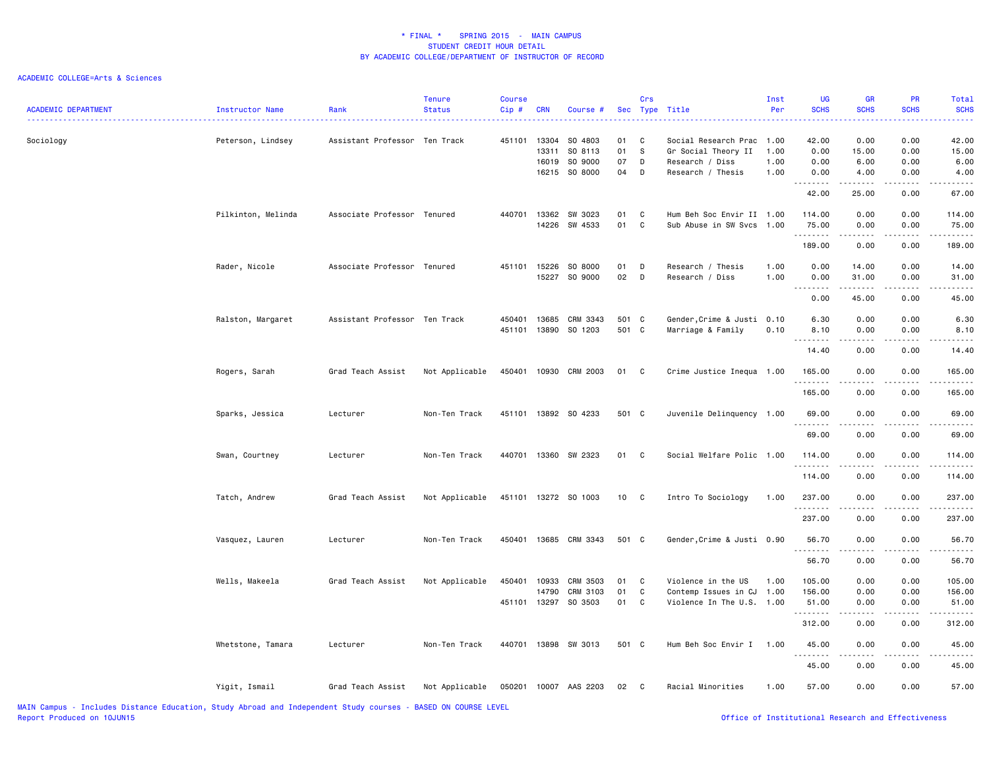| <b>ACADEMIC DEPARTMENT</b> | Instructor Name    | Rank                          | <b>Tenure</b><br><b>Status</b> | <b>Course</b><br>$Cip \#$ | <b>CRN</b>     | Course #                 |          | Crs                           | Sec Type Title                             | Inst<br>Per  | <b>UG</b><br><b>SCHS</b> | <b>GR</b><br><b>SCHS</b>                                                                                                          | PR<br><b>SCHS</b>                                                                                                                                            | Total<br><b>SCHS</b> |
|----------------------------|--------------------|-------------------------------|--------------------------------|---------------------------|----------------|--------------------------|----------|-------------------------------|--------------------------------------------|--------------|--------------------------|-----------------------------------------------------------------------------------------------------------------------------------|--------------------------------------------------------------------------------------------------------------------------------------------------------------|----------------------|
| Sociology                  | Peterson, Lindsey  | Assistant Professor Ten Track |                                | 451101                    | 13304          | SO 4803                  | 01       | C                             | Social Research Prac                       | 1.00         | 42.00                    | 0.00                                                                                                                              | 0.00                                                                                                                                                         | 42.00                |
|                            |                    |                               |                                |                           | 13311          | SO 8113                  | 01       | s                             | Gr Social Theory II                        | 1.00         | 0.00                     | 15.00                                                                                                                             | 0.00                                                                                                                                                         | 15.00                |
|                            |                    |                               |                                |                           | 16019          | SO 9000<br>16215 SO 8000 | 07<br>04 | D<br>D                        | Research / Diss<br>Research / Thesis       | 1.00<br>1.00 | 0.00<br>0.00             | 6.00<br>4.00                                                                                                                      | 0.00<br>0.00                                                                                                                                                 | 6.00<br>4.00         |
|                            |                    |                               |                                |                           |                |                          |          |                               |                                            |              | .                        | $\begin{array}{cccccccccccccc} \bullet & \bullet & \bullet & \bullet & \bullet & \bullet & \bullet \end{array}$                   |                                                                                                                                                              |                      |
|                            |                    |                               |                                |                           |                |                          |          |                               |                                            |              | 42.00                    | 25.00                                                                                                                             | 0.00                                                                                                                                                         | 67.00                |
|                            | Pilkinton, Melinda | Associate Professor Tenured   |                                | 440701                    |                | 13362 SW 3023            | 01       | $\mathbf c$                   | Hum Beh Soc Envir II 1.00                  |              | 114.00                   | 0.00                                                                                                                              | 0.00                                                                                                                                                         | 114.00               |
|                            |                    |                               |                                |                           |                | 14226 SW 4533            | 01       | C                             | Sub Abuse in SW Svcs                       | 1.00         | 75.00<br>.               | 0.00<br>.                                                                                                                         | 0.00                                                                                                                                                         | 75.00<br>والمناصبات  |
|                            |                    |                               |                                |                           |                |                          |          |                               |                                            |              | 189.00                   | 0.00                                                                                                                              | 0.00                                                                                                                                                         | 189.00               |
|                            | Rader, Nicole      | Associate Professor Tenured   |                                |                           | 451101 15226   | SO 8000                  | 01       | D                             | Research / Thesis                          | 1.00         | 0.00                     | 14.00                                                                                                                             | 0.00                                                                                                                                                         | 14.00                |
|                            |                    |                               |                                |                           | 15227          | SO 9000                  | 02       | D                             | Research / Diss                            | 1.00         | 0.00<br>.                | 31.00<br>.                                                                                                                        | 0.00<br>$\frac{1}{2} \left( \frac{1}{2} \right) \left( \frac{1}{2} \right) \left( \frac{1}{2} \right) \left( \frac{1}{2} \right) \left( \frac{1}{2} \right)$ | 31.00<br>.           |
|                            |                    |                               |                                |                           |                |                          |          |                               |                                            |              | 0.00                     | 45.00                                                                                                                             | 0.00                                                                                                                                                         | 45.00                |
|                            | Ralston, Margaret  | Assistant Professor Ten Track |                                | 450401                    | 13685          | CRM 3343                 | 501 C    |                               | Gender, Crime & Justi                      | 0.10         | 6.30                     | 0.00                                                                                                                              | 0.00                                                                                                                                                         | 6.30                 |
|                            |                    |                               |                                | 451101                    |                | 13890 SO 1203            | 501 C    |                               | Marriage & Family                          | 0.10         | 8.10<br>.                | 0.00<br>.                                                                                                                         | 0.00<br>.                                                                                                                                                    | 8.10                 |
|                            |                    |                               |                                |                           |                |                          |          |                               |                                            |              | 14.40                    | 0.00                                                                                                                              | 0.00                                                                                                                                                         | 14.40                |
|                            | Rogers, Sarah      | Grad Teach Assist             | Not Applicable                 | 450401                    |                | 10930 CRM 2003           | 01 C     |                               | Crime Justice Inequa 1.00                  |              | 165.00                   | 0.00                                                                                                                              | 0.00                                                                                                                                                         | 165.00               |
|                            |                    |                               |                                |                           |                |                          |          |                               |                                            |              | .<br>165.00              | .<br>0.00                                                                                                                         | .<br>0.00                                                                                                                                                    | 165.00               |
|                            | Sparks, Jessica    | Lecturer                      | Non-Ten Track                  | 451101                    |                | 13892 SO 4233            | 501 C    |                               | Juvenile Delinquency 1.00                  |              | 69.00                    | 0.00                                                                                                                              | 0.00                                                                                                                                                         | 69.00                |
|                            |                    |                               |                                |                           |                |                          |          |                               |                                            |              | .<br>69.00               | .<br>0.00                                                                                                                         | 0.00                                                                                                                                                         | 69.00                |
|                            |                    |                               |                                |                           |                |                          |          |                               |                                            |              |                          |                                                                                                                                   |                                                                                                                                                              |                      |
|                            | Swan, Courtney     | Lecturer                      | Non-Ten Track                  |                           |                | 440701 13360 SW 2323     | 01 C     |                               | Social Welfare Polic 1.00                  |              | 114.00<br>.              | 0.00<br>$\frac{1}{2} \left( \frac{1}{2} \right) \left( \frac{1}{2} \right) \left( \frac{1}{2} \right) \left( \frac{1}{2} \right)$ | 0.00<br>-----                                                                                                                                                | 114.00<br>المستسلمات |
|                            |                    |                               |                                |                           |                |                          |          |                               |                                            |              | 114.00                   | 0.00                                                                                                                              | 0.00                                                                                                                                                         | 114.00               |
|                            | Tatch, Andrew      | Grad Teach Assist             | Not Applicable                 |                           |                | 451101 13272 SO 1003     | 10 C     |                               | Intro To Sociology                         | 1.00         | 237.00                   | 0.00                                                                                                                              | 0.00                                                                                                                                                         | 237.00               |
|                            |                    |                               |                                |                           |                |                          |          |                               |                                            |              | .<br>237.00              | $\sim$ $\sim$ $\sim$ $\sim$<br>0.00                                                                                               | .<br>0.00                                                                                                                                                    | 237.00               |
|                            | Vasquez, Lauren    | Lecturer                      | Non-Ten Track                  | 450401                    |                | 13685 CRM 3343           | 501 C    |                               | Gender, Crime & Justi 0.90                 |              | 56.70                    | 0.00                                                                                                                              | 0.00                                                                                                                                                         | 56.70                |
|                            |                    |                               |                                |                           |                |                          |          |                               |                                            |              | .<br>56.70               | $\sim$ $\sim$ $\sim$ $\sim$<br>0.00                                                                                               | $\frac{1}{2} \left( \frac{1}{2} \right) \left( \frac{1}{2} \right) \left( \frac{1}{2} \right) \left( \frac{1}{2} \right) \left( \frac{1}{2} \right)$<br>0.00 | .<br>56.70           |
|                            |                    |                               |                                |                           |                |                          |          |                               |                                            |              |                          |                                                                                                                                   |                                                                                                                                                              |                      |
|                            | Wells, Makeela     | Grad Teach Assist             | Not Applicable                 | 450401                    | 10933<br>14790 | CRM 3503<br>CRM 3103     | 01<br>01 | $\overline{C}$<br>$\mathbf c$ | Violence in the US<br>Contemp Issues in CJ | 1.00<br>1.00 | 105.00<br>156.00         | 0.00<br>0.00                                                                                                                      | 0.00<br>0.00                                                                                                                                                 | 105.00<br>156.00     |
|                            |                    |                               |                                |                           |                | 451101 13297 SO 3503     | 01 C     |                               | Violence In The U.S. 1.00                  |              | 51.00                    | 0.00                                                                                                                              | 0.00                                                                                                                                                         | 51.00                |
|                            |                    |                               |                                |                           |                |                          |          |                               |                                            |              | .                        | $\sim$ $\sim$ $\sim$                                                                                                              |                                                                                                                                                              |                      |
|                            |                    |                               |                                |                           |                |                          |          |                               |                                            |              | 312.00                   | 0.00                                                                                                                              | 0.00                                                                                                                                                         | 312.00               |
|                            | Whetstone, Tamara  | Lecturer                      | Non-Ten Track                  |                           |                | 440701 13898 SW 3013     | 501 C    |                               | Hum Beh Soc Envir I                        | 1.00         | 45.00<br>.               | 0.00<br>.                                                                                                                         | 0.00                                                                                                                                                         | 45.00                |
|                            |                    |                               |                                |                           |                |                          |          |                               |                                            |              | 45.00                    | 0.00                                                                                                                              | 0.00                                                                                                                                                         | 45.00                |
|                            | Yigit, Ismail      | Grad Teach Assist             | Not Applicable                 |                           |                | 050201 10007 AAS 2203    | 02 C     |                               | Racial Minorities                          | 1.00         | 57.00                    | 0.00                                                                                                                              | 0.00                                                                                                                                                         | 57.00                |
|                            |                    |                               |                                |                           |                |                          |          |                               |                                            |              |                          |                                                                                                                                   |                                                                                                                                                              |                      |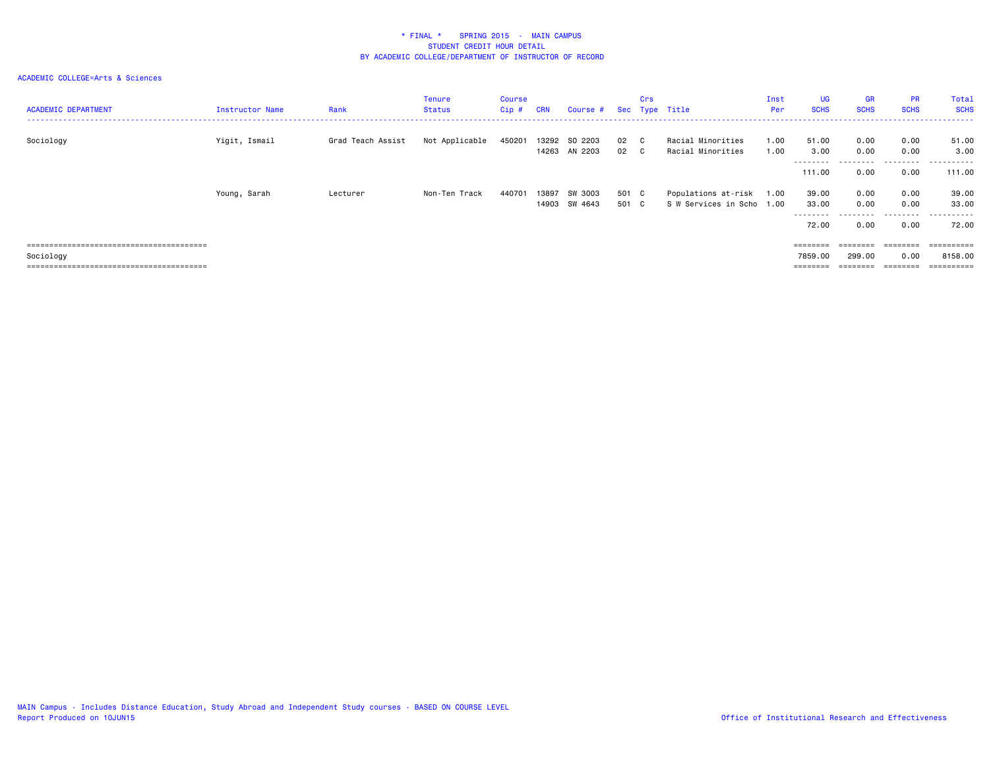| <b>ACADEMIC DEPARTMENT</b> | Instructor Name | Rank              | Tenure<br>Status | Course<br>Cip# | <b>CRN</b> | Course #                       |                | Crs | Sec Type Title                                   | Inst<br>Per  | <b>UG</b><br><b>SCHS</b>     | <b>GR</b><br><b>SCHS</b>  | <b>PR</b><br><b>SCHS</b>                                                        | Total<br><b>SCHS</b>         |
|----------------------------|-----------------|-------------------|------------------|----------------|------------|--------------------------------|----------------|-----|--------------------------------------------------|--------------|------------------------------|---------------------------|---------------------------------------------------------------------------------|------------------------------|
| Sociology                  | Yigit, Ismail   | Grad Teach Assist | Not Applicable   | 450201         |            | 13292 SO 2203<br>14263 AN 2203 | 02 C<br>02     | - C | Racial Minorities<br>Racial Minorities           | 1.00<br>1.00 | 51.00<br>3.00                | 0.00<br>0.00              | 0.00<br>0.00                                                                    | 51.00<br>3.00                |
|                            |                 |                   |                  |                |            |                                |                |     |                                                  |              | ---------<br>111.00          | ---------<br>0.00         | .<br>0.00                                                                       | .<br>111.00                  |
|                            | Young, Sarah    | Lecturer          | Non-Ten Track    | 440701         | 13897      | SW 3003<br>14903 SW 4643       | 501 C<br>501 C |     | Populations at-risk<br>S W Services in Scho 1.00 | 1.00         | 39.00<br>33.00<br>.<br>72.00 | 0.00<br>0.00<br>.<br>0.00 | 0.00<br>0.00<br>.<br>0.00                                                       | 39.00<br>33.00<br>.<br>72.00 |
| Sociology                  |                 |                   |                  |                |            |                                |                |     |                                                  |              | ========<br>7859.00          | ========<br>299.00        | $\qquad \qquad \equiv \equiv \equiv \equiv \equiv \equiv \equiv \equiv$<br>0.00 | 8158.00<br>=========         |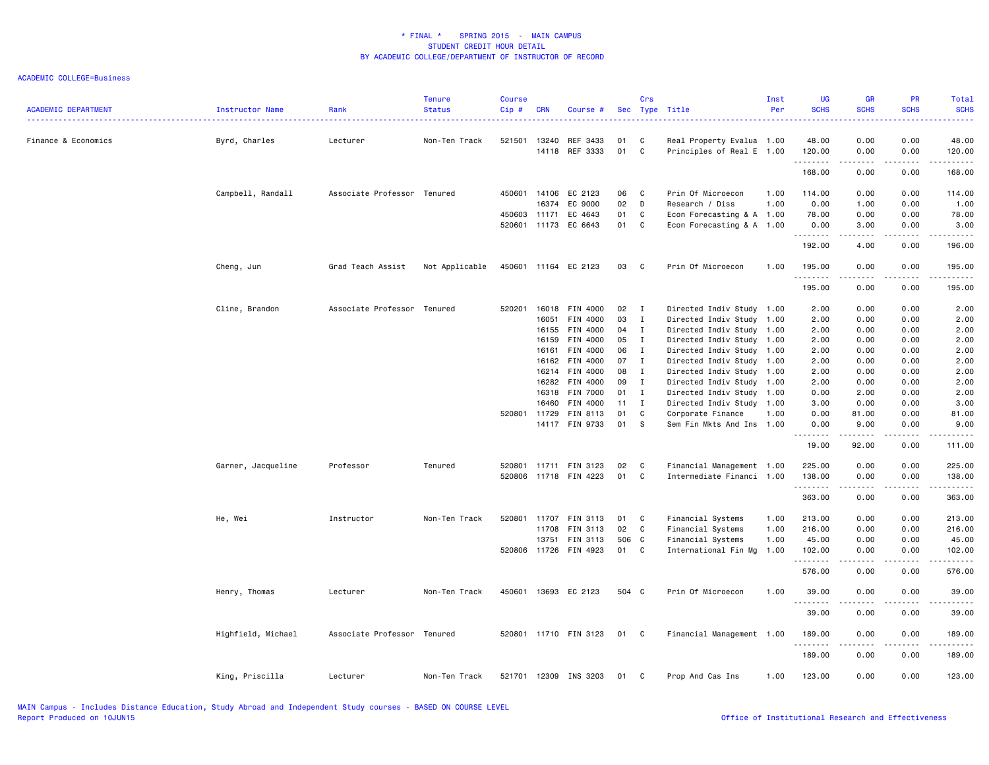| <b>ACADEMIC DEPARTMENT</b> | Instructor Name    | Rank                        | <b>Tenure</b><br><b>Status</b> | <b>Course</b><br>Cip# | <b>CRN</b> | Course #              |       | Crs                        | Sec Type Title            | Inst<br>Per | <b>UG</b><br><b>SCHS</b> | <b>GR</b><br><b>SCHS</b>                                                                                                          | <b>PR</b><br><b>SCHS</b>            | Total<br><b>SCHS</b>                                                                                                                                           |
|----------------------------|--------------------|-----------------------------|--------------------------------|-----------------------|------------|-----------------------|-------|----------------------------|---------------------------|-------------|--------------------------|-----------------------------------------------------------------------------------------------------------------------------------|-------------------------------------|----------------------------------------------------------------------------------------------------------------------------------------------------------------|
| Finance & Economics        | Byrd, Charles      | Lecturer                    | Non-Ten Track                  | 521501                | 13240      | REF 3433              | 01    | C                          | Real Property Evalua 1.00 |             | 48.00                    | 0.00                                                                                                                              | 0.00                                | 48.00                                                                                                                                                          |
|                            |                    |                             |                                |                       |            | 14118 REF 3333        | 01    | $\mathbf c$                | Principles of Real E 1.00 |             | 120.00<br>.              | 0.00<br>$\sim$ $\sim$ $\sim$ $\sim$                                                                                               | 0.00<br>.                           | 120.00<br>$\frac{1}{2} \left( \frac{1}{2} \right) \left( \frac{1}{2} \right) \left( \frac{1}{2} \right) \left( \frac{1}{2} \right) \left( \frac{1}{2} \right)$ |
|                            |                    |                             |                                |                       |            |                       |       |                            |                           |             | 168.00                   | 0.00                                                                                                                              | 0.00                                | 168.00                                                                                                                                                         |
|                            | Campbell, Randall  | Associate Professor Tenured |                                | 450601                | 14106      | EC 2123               | 06    | C                          | Prin Of Microecon         | 1.00        | 114.00                   | 0.00                                                                                                                              | 0.00                                | 114.00                                                                                                                                                         |
|                            |                    |                             |                                |                       | 16374      | EC 9000               | 02    | D                          | Research / Diss           | 1.00        | 0.00                     | 1.00                                                                                                                              | 0.00                                | 1.00                                                                                                                                                           |
|                            |                    |                             |                                | 450603                | 11171      | EC 4643               | 01    | C                          | Econ Forecasting & A 1.00 |             | 78.00                    | 0.00                                                                                                                              | 0.00                                | 78.00                                                                                                                                                          |
|                            |                    |                             |                                | 520601                | 11173      | EC 6643               | 01    | C                          | Econ Forecasting & A 1.00 |             | 0.00<br>.                | 3.00<br>$\sim$ $\sim$ $\sim$                                                                                                      | 0.00<br>.                           | 3.00<br>المتماما                                                                                                                                               |
|                            |                    |                             |                                |                       |            |                       |       |                            |                           |             | 192.00                   | 4.00                                                                                                                              | 0.00                                | 196.00                                                                                                                                                         |
|                            | Cheng, Jun         | Grad Teach Assist           | Not Applicable                 |                       |            | 450601 11164 EC 2123  | 03    | $\overline{\phantom{a}}$ C | Prin Of Microecon         | 1.00        | 195.00<br>.              | 0.00<br>.                                                                                                                         | 0.00<br>.                           | 195.00                                                                                                                                                         |
|                            |                    |                             |                                |                       |            |                       |       |                            |                           |             | 195.00                   | 0.00                                                                                                                              | 0.00                                | 195.00                                                                                                                                                         |
|                            | Cline, Brandon     | Associate Professor Tenured |                                | 520201                | 16018      | FIN 4000              | 02    | $\mathbf{I}$               | Directed Indiv Study 1.00 |             | 2.00                     | 0.00                                                                                                                              | 0.00                                | 2.00                                                                                                                                                           |
|                            |                    |                             |                                |                       | 16051      | FIN 4000              | 03    | $\mathbf{I}$               | Directed Indiv Study      | 1.00        | 2.00                     | 0.00                                                                                                                              | 0.00                                | 2.00                                                                                                                                                           |
|                            |                    |                             |                                |                       | 16155      | FIN 4000              | 04    | $\blacksquare$             | Directed Indiv Study 1.00 |             | 2.00                     | 0.00                                                                                                                              | 0.00                                | 2.00                                                                                                                                                           |
|                            |                    |                             |                                |                       | 16159      | FIN 4000              | 05    | $\mathbf{I}$               | Directed Indiv Study 1.00 |             | 2.00                     | 0.00                                                                                                                              | 0.00                                | 2.00                                                                                                                                                           |
|                            |                    |                             |                                |                       | 16161      | FIN 4000              | 06    | $\mathbf{I}$               | Directed Indiv Study 1.00 |             | 2.00                     | 0.00                                                                                                                              | 0.00                                | 2.00                                                                                                                                                           |
|                            |                    |                             |                                |                       | 16162      | FIN 4000              | 07    | $\mathbf{I}$               | Directed Indiv Study 1.00 |             | 2.00                     | 0.00                                                                                                                              | 0.00                                | 2.00                                                                                                                                                           |
|                            |                    |                             |                                |                       |            | 16214 FIN 4000        | 08    | $\mathbf{I}$               | Directed Indiv Study 1.00 |             | 2.00                     | 0.00                                                                                                                              | 0.00                                | 2.00                                                                                                                                                           |
|                            |                    |                             |                                |                       | 16282      | FIN 4000              | 09    | $\mathbf{I}$               | Directed Indiv Study 1.00 |             | 2.00                     | 0.00                                                                                                                              | 0.00                                | 2.00                                                                                                                                                           |
|                            |                    |                             |                                |                       | 16318      | <b>FIN 7000</b>       | 01 I  |                            | Directed Indiv Study 1.00 |             | 0.00                     | 2.00                                                                                                                              | 0.00                                | 2.00                                                                                                                                                           |
|                            |                    |                             |                                |                       | 16460      | FIN 4000              | 11    | $\mathbf{I}$               | Directed Indiv Study 1.00 |             | 3.00                     | 0.00                                                                                                                              | 0.00                                | 3.00                                                                                                                                                           |
|                            |                    |                             |                                | 520801 11729          |            | FIN 8113              | 01    | C                          | Corporate Finance         | 1.00        | 0.00                     | 81.00                                                                                                                             | 0.00                                | 81.00                                                                                                                                                          |
|                            |                    |                             |                                |                       |            | 14117 FIN 9733        | 01    | - S                        | Sem Fin Mkts And Ins      | 1.00        | 0.00<br>.                | 9.00                                                                                                                              | 0.00                                | 9.00<br>.                                                                                                                                                      |
|                            |                    |                             |                                |                       |            |                       |       |                            |                           |             | 19.00                    | 92.00                                                                                                                             | 0.00                                | 111.00                                                                                                                                                         |
|                            | Garner, Jacqueline | Professor                   | Tenured                        |                       |            | 520801 11711 FIN 3123 | 02    | C                          | Financial Management 1.00 |             | 225.00                   | 0.00                                                                                                                              | 0.00                                | 225.00                                                                                                                                                         |
|                            |                    |                             |                                |                       |            | 520806 11718 FIN 4223 | 01    | C                          | Intermediate Financi 1.00 |             | 138.00                   | 0.00                                                                                                                              | 0.00                                | 138.00                                                                                                                                                         |
|                            |                    |                             |                                |                       |            |                       |       |                            |                           |             | .<br>363.00              | $\omega$ is $\omega$ in $\omega$<br>0.00                                                                                          | $- - - - -$<br>0.00                 | .<br>363.00                                                                                                                                                    |
|                            | He, Wei            | Instructor                  | Non-Ten Track                  | 520801                | 11707      | FIN 3113              | 01    | C                          | Financial Systems         | 1.00        | 213.00                   | 0.00                                                                                                                              | 0.00                                | 213.00                                                                                                                                                         |
|                            |                    |                             |                                |                       | 11708      | FIN 3113              | 02    | $\mathbf{C}$               | Financial Systems         | 1.00        | 216.00                   | 0.00                                                                                                                              | 0.00                                | 216.00                                                                                                                                                         |
|                            |                    |                             |                                |                       | 13751      | FIN 3113              | 506 C |                            | Financial Systems         | 1.00        | 45.00                    | 0.00                                                                                                                              | 0.00                                | 45.00                                                                                                                                                          |
|                            |                    |                             |                                |                       |            | 520806 11726 FIN 4923 | 01    | C                          | International Fin Mg      | 1.00        | 102.00                   | 0.00                                                                                                                              | 0.00                                | 102.00<br>.                                                                                                                                                    |
|                            |                    |                             |                                |                       |            |                       |       |                            |                           |             | .<br>576.00              | $\sim$ $\sim$ $\sim$ $\sim$<br>0.00                                                                                               | $\sim$ $\sim$ $\sim$ $\sim$<br>0.00 | 576.00                                                                                                                                                         |
|                            | Henry, Thomas      | Lecturer                    | Non-Ten Track                  | 450601                |            | 13693 EC 2123         | 504 C |                            | Prin Of Microecon         | 1.00        | 39.00                    | 0.00                                                                                                                              | 0.00                                | 39.00                                                                                                                                                          |
|                            |                    |                             |                                |                       |            |                       |       |                            |                           |             | .<br>39.00               | 0.00                                                                                                                              | 0.00                                | 39.00                                                                                                                                                          |
|                            | Highfield, Michael | Associate Professor Tenured |                                |                       |            | 520801 11710 FIN 3123 | 01 C  |                            | Financial Management 1.00 |             | 189.00                   | 0.00                                                                                                                              | 0.00                                | 189.00                                                                                                                                                         |
|                            |                    |                             |                                |                       |            |                       |       |                            |                           |             | .<br>189.00              | $\frac{1}{2} \left( \frac{1}{2} \right) \left( \frac{1}{2} \right) \left( \frac{1}{2} \right) \left( \frac{1}{2} \right)$<br>0.00 | .<br>0.00                           | -----<br>189.00                                                                                                                                                |
|                            | King, Priscilla    | Lecturer                    | Non-Ten Track                  |                       |            | 521701 12309 INS 3203 | 01    | C                          | Prop And Cas Ins          | 1.00        | 123.00                   | 0.00                                                                                                                              | 0.00                                | 123.00                                                                                                                                                         |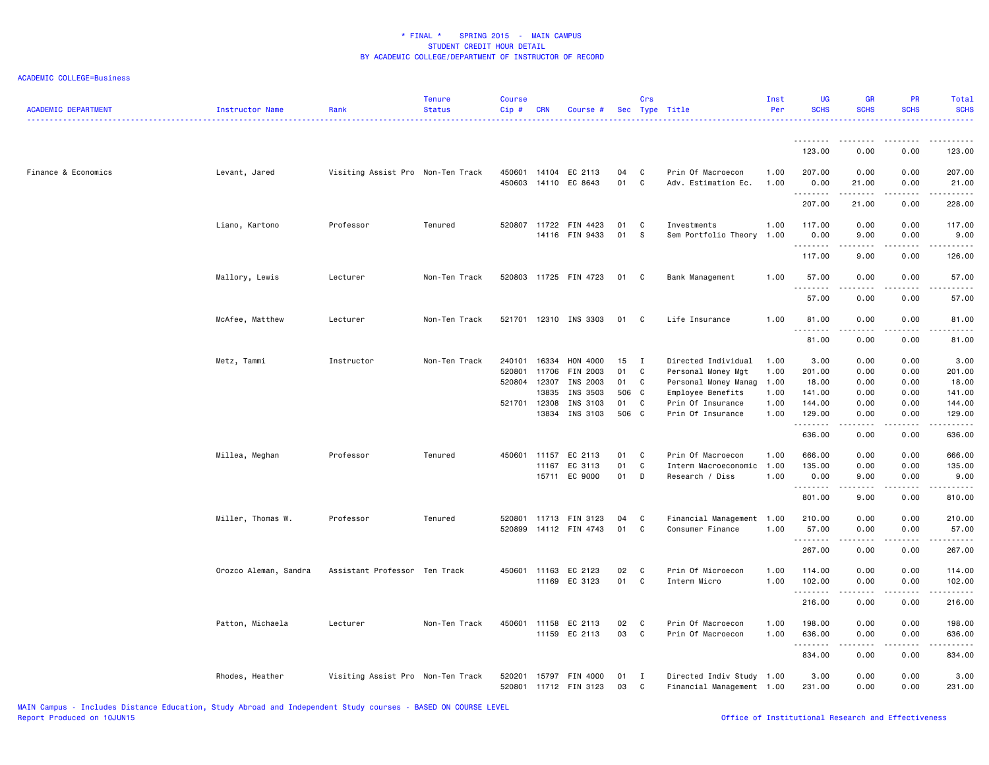| <b>ACADEMIC DEPARTMENT</b> | Instructor Name       | Rank                              | Tenure<br><b>Status</b> | <b>Course</b><br>Cip# | <b>CRN</b>   | Course #                       |          | Crs              | Sec Type Title                           | Inst<br>Per  | <b>UG</b><br><b>SCHS</b> | <b>GR</b><br><b>SCHS</b>                                                                                                                                     | PR<br><b>SCHS</b>                                                                                                                                            | Total<br><b>SCHS</b> |
|----------------------------|-----------------------|-----------------------------------|-------------------------|-----------------------|--------------|--------------------------------|----------|------------------|------------------------------------------|--------------|--------------------------|--------------------------------------------------------------------------------------------------------------------------------------------------------------|--------------------------------------------------------------------------------------------------------------------------------------------------------------|----------------------|
|                            |                       |                                   |                         |                       |              |                                |          |                  |                                          |              | .<br>123.00              | 0.00                                                                                                                                                         | 0.00                                                                                                                                                         | 123.00               |
| Finance & Economics        | Levant, Jared         | Visiting Assist Pro Non-Ten Track |                         | 450601<br>450603      |              | 14104 EC 2113<br>14110 EC 8643 | 04<br>01 | C<br>$\mathbf c$ | Prin Of Macroecon<br>Adv. Estimation Ec. | 1.00<br>1.00 | 207.00<br>0.00           | 0.00<br>21.00                                                                                                                                                | 0.00<br>0.00                                                                                                                                                 | 207.00<br>21.00      |
|                            |                       |                                   |                         |                       |              |                                |          |                  |                                          |              | .<br>207.00              | المستمال<br>21.00                                                                                                                                            | 0.00                                                                                                                                                         | 228.00               |
|                            | Liano, Kartono        | Professor                         | Tenured                 |                       | 520807 11722 | FIN 4423<br>14116 FIN 9433     | 01<br>01 | C<br>S           | Investments<br>Sem Portfolio Theory      | 1.00<br>1.00 | 117.00<br>0.00           | 0.00<br>9.00                                                                                                                                                 | 0.00<br>0.00                                                                                                                                                 | 117.00<br>9.00       |
|                            |                       |                                   |                         |                       |              |                                |          |                  |                                          |              | .<br>117.00              | .<br>9.00                                                                                                                                                    | 0.00                                                                                                                                                         | 126.00               |
|                            | Mallory, Lewis        | Lecturer                          | Non-Ten Track           |                       |              | 520803 11725 FIN 4723          | 01 C     |                  | Bank Management                          | 1.00         | 57.00<br><u>.</u>        | 0.00                                                                                                                                                         | 0.00                                                                                                                                                         | 57.00                |
|                            |                       |                                   |                         |                       |              |                                |          |                  |                                          |              | 57.00                    | 0.00                                                                                                                                                         | 0.00                                                                                                                                                         | 57.00                |
|                            | McAfee, Matthew       | Lecturer                          | Non-Ten Track           |                       |              | 521701 12310 INS 3303          | 01       | C)               | Life Insurance                           | 1.00         | 81.00<br>.               | 0.00<br>.                                                                                                                                                    | 0.00                                                                                                                                                         | 81.00                |
|                            |                       |                                   |                         |                       |              |                                |          |                  |                                          |              | 81.00                    | 0.00                                                                                                                                                         | 0.00                                                                                                                                                         | 81.00                |
|                            | Metz, Tammi           | Instructor                        | Non-Ten Track           | 240101                | 16334        | HON 4000                       | 15       | $\mathbf{I}$     | Directed Individual                      | 1.00         | 3.00                     | 0.00                                                                                                                                                         | 0.00                                                                                                                                                         | 3.00                 |
|                            |                       |                                   |                         | 520801                | 11706        | FIN 2003                       | 01       | C                | Personal Money Mgt                       | 1.00         | 201.00                   | 0.00                                                                                                                                                         | 0.00                                                                                                                                                         | 201.00               |
|                            |                       |                                   |                         | 520804                | 12307        | INS 2003                       | 01       | C                | Personal Money Manag                     | 1.00         | 18.00                    | 0.00                                                                                                                                                         | 0.00                                                                                                                                                         | 18.00                |
|                            |                       |                                   |                         |                       | 13835        | INS 3503                       | 506 C    |                  | Employee Benefits                        | 1.00         | 141.00                   | 0.00                                                                                                                                                         | 0.00                                                                                                                                                         | 141.00               |
|                            |                       |                                   |                         | 521701 12308          |              | INS 3103                       | 01 C     |                  | Prin Of Insurance                        | 1.00         | 144.00                   | 0.00                                                                                                                                                         | 0.00                                                                                                                                                         | 144.00               |
|                            |                       |                                   |                         |                       | 13834        | INS 3103                       | 506 C    |                  | Prin Of Insurance                        | 1.00         | 129.00<br>.              | 0.00<br>.                                                                                                                                                    | 0.00<br>.                                                                                                                                                    | 129.00<br>.          |
|                            |                       |                                   |                         |                       |              |                                |          |                  |                                          |              | 636.00                   | 0.00                                                                                                                                                         | 0.00                                                                                                                                                         | 636.00               |
|                            | Millea, Meghan        | Professor                         | Tenured                 | 450601                | 11157        | EC 2113                        | 01       | $\mathbf{C}$     | Prin Of Macroecon                        | 1.00         | 666.00                   | 0.00                                                                                                                                                         | 0.00                                                                                                                                                         | 666.00               |
|                            |                       |                                   |                         |                       | 11167        | EC 3113                        | 01       | C                | Interm Macroeconomic 1.00                |              | 135.00                   | 0.00                                                                                                                                                         | 0.00                                                                                                                                                         | 135.00               |
|                            |                       |                                   |                         |                       |              | 15711 EC 9000                  | 01       | D                | Research / Diss                          | 1.00         | 0.00<br>.                | 9.00<br>.                                                                                                                                                    | 0.00<br>$\frac{1}{2} \left( \frac{1}{2} \right) \left( \frac{1}{2} \right) \left( \frac{1}{2} \right) \left( \frac{1}{2} \right) \left( \frac{1}{2} \right)$ | 9.00<br>.            |
|                            |                       |                                   |                         |                       |              |                                |          |                  |                                          |              | 801.00                   | 9.00                                                                                                                                                         | 0.00                                                                                                                                                         | 810.00               |
|                            | Miller, Thomas W.     | Professor                         | Tenured                 | 520801                |              | 11713 FIN 3123                 | 04       | C                | Financial Management 1.00                |              | 210.00                   | 0.00                                                                                                                                                         | 0.00                                                                                                                                                         | 210.00               |
|                            |                       |                                   |                         | 520899                |              | 14112 FIN 4743                 | 01       | C                | Consumer Finance                         | 1.00         | 57.00<br>.               | 0.00                                                                                                                                                         | 0.00                                                                                                                                                         | 57.00<br>.           |
|                            |                       |                                   |                         |                       |              |                                |          |                  |                                          |              | 267.00                   | 0.00                                                                                                                                                         | 0.00                                                                                                                                                         | 267.00               |
|                            | Orozco Aleman, Sandra | Assistant Professor Ten Track     |                         |                       |              | 450601 11163 EC 2123           | 02       | C                | Prin Of Microecon                        | 1.00         | 114.00                   | 0.00                                                                                                                                                         | 0.00                                                                                                                                                         | 114.00               |
|                            |                       |                                   |                         |                       |              | 11169 EC 3123                  | 01       | C                | Interm Micro                             | 1.00         | 102.00<br>. <b>.</b>     | 0.00<br>.                                                                                                                                                    | 0.00<br>.                                                                                                                                                    | 102.00<br>.          |
|                            |                       |                                   |                         |                       |              |                                |          |                  |                                          |              | 216.00                   | 0.00                                                                                                                                                         | 0.00                                                                                                                                                         | 216.00               |
|                            | Patton, Michaela      | Lecturer                          | Non-Ten Track           | 450601                | 11158        | EC 2113                        | 02       | C                | Prin Of Macroecon                        | 1.00         | 198.00                   | 0.00                                                                                                                                                         | 0.00                                                                                                                                                         | 198.00               |
|                            |                       |                                   |                         |                       |              | 11159 EC 2113                  | 03       | $\mathbf{C}$     | Prin Of Macroecon                        | 1.00         | 636.00                   | 0.00                                                                                                                                                         | 0.00                                                                                                                                                         | 636.00               |
|                            |                       |                                   |                         |                       |              |                                |          |                  |                                          |              | .<br>834.00              | $\frac{1}{2} \left( \frac{1}{2} \right) \left( \frac{1}{2} \right) \left( \frac{1}{2} \right) \left( \frac{1}{2} \right) \left( \frac{1}{2} \right)$<br>0.00 | .<br>0.00                                                                                                                                                    | 834.00               |
|                            | Rhodes, Heather       | Visiting Assist Pro Non-Ten Track |                         | 520201                | 15797        | FIN 4000                       | 01       | I                | Directed Indiv Study 1.00                |              | 3.00                     | 0.00                                                                                                                                                         | 0.00                                                                                                                                                         | 3.00                 |
|                            |                       |                                   |                         |                       |              | 520801 11712 FIN 3123          | 03       | $\mathbf{C}$     | Financial Management 1.00                |              | 231.00                   | 0.00                                                                                                                                                         | 0.00                                                                                                                                                         | 231.00               |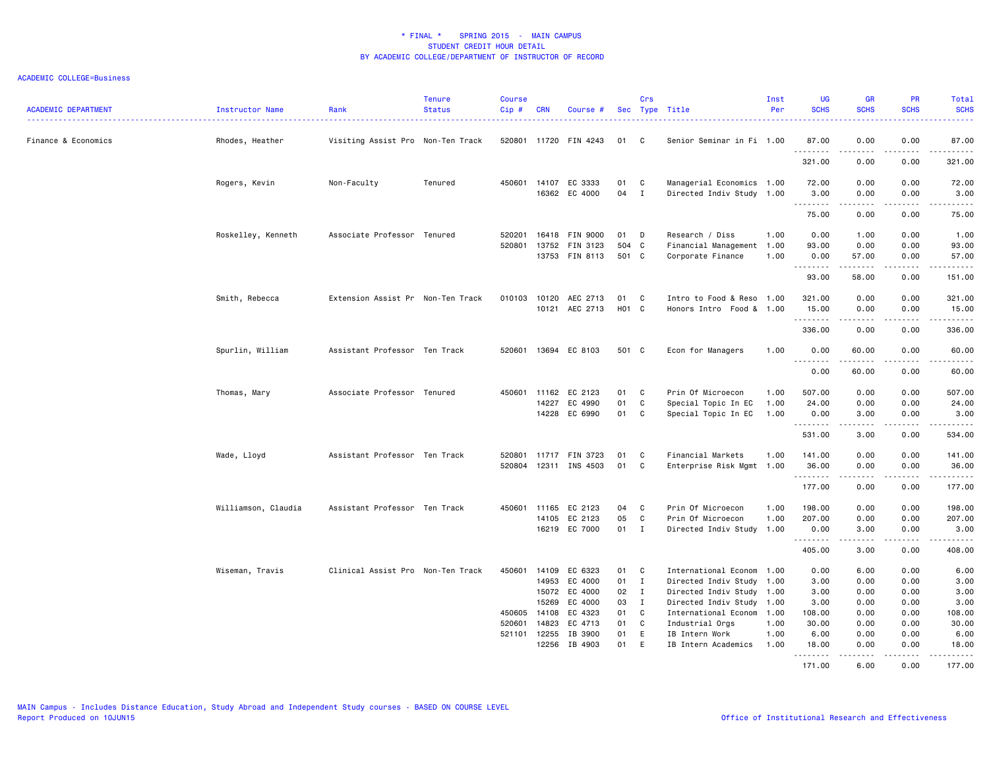| <b>ACADEMIC DEPARTMENT</b> | Instructor Name     | Rank                              | <b>Tenure</b><br><b>Status</b> | <b>Course</b><br>Cip#      | <b>CRN</b>                                       | Course #                                                                              |                                        | Crs                                                              | Sec Type Title                                                                                                                                                                | Inst<br>Per          | <b>UG</b><br><b>SCHS</b>                                | <b>GR</b><br><b>SCHS</b>                                                                                                                                      | <b>PR</b><br><b>SCHS</b>                             | Total<br><b>SCHS</b><br>.                                                                                                                                    |
|----------------------------|---------------------|-----------------------------------|--------------------------------|----------------------------|--------------------------------------------------|---------------------------------------------------------------------------------------|----------------------------------------|------------------------------------------------------------------|-------------------------------------------------------------------------------------------------------------------------------------------------------------------------------|----------------------|---------------------------------------------------------|---------------------------------------------------------------------------------------------------------------------------------------------------------------|------------------------------------------------------|--------------------------------------------------------------------------------------------------------------------------------------------------------------|
| Finance & Economics        | Rhodes, Heather     | Visiting Assist Pro Non-Ten Track |                                |                            |                                                  | 520801 11720 FIN 4243                                                                 | 01                                     | C                                                                | Senior Seminar in Fi 1.00                                                                                                                                                     |                      | 87.00<br>.                                              | 0.00<br>.                                                                                                                                                     | 0.00<br>$\frac{1}{2}$                                | 87.00<br>.                                                                                                                                                   |
|                            |                     |                                   |                                |                            |                                                  |                                                                                       |                                        |                                                                  |                                                                                                                                                                               |                      | 321.00                                                  | 0.00                                                                                                                                                          | 0.00                                                 | 321.00                                                                                                                                                       |
|                            | Rogers, Kevin       | Non-Faculty                       | Tenured                        |                            | 450601 14107                                     | EC 3333                                                                               | 01                                     | C.                                                               | Managerial Economics 1.00                                                                                                                                                     |                      | 72.00                                                   | 0.00                                                                                                                                                          | 0.00                                                 | 72.00                                                                                                                                                        |
|                            |                     |                                   |                                |                            |                                                  | 16362 EC 4000                                                                         | 04                                     | $\mathbf{I}$                                                     | Directed Indiv Study 1.00                                                                                                                                                     |                      | 3.00<br>.                                               | 0.00                                                                                                                                                          | 0.00                                                 | 3.00<br>$\frac{1}{2} \left( \frac{1}{2} \right) \left( \frac{1}{2} \right) \left( \frac{1}{2} \right) \left( \frac{1}{2} \right) \left( \frac{1}{2} \right)$ |
|                            |                     |                                   |                                |                            |                                                  |                                                                                       |                                        |                                                                  |                                                                                                                                                                               |                      | 75.00                                                   | 0.00                                                                                                                                                          | 0.00                                                 | 75.00                                                                                                                                                        |
|                            | Roskelley, Kenneth  | Associate Professor Tenured       |                                | 520201<br>520801           | 13752                                            | 16418 FIN 9000<br>FIN 3123<br>13753 FIN 8113                                          | 01<br>504 C<br>501 C                   | D                                                                | Research / Diss<br>Financial Management 1.00<br>Corporate Finance                                                                                                             | 1.00<br>1.00         | 0.00<br>93.00<br>0.00<br>.                              | 1.00<br>0.00<br>57.00<br>.                                                                                                                                    | 0.00<br>0.00<br>0.00<br>.                            | 1.00<br>93.00<br>57.00<br>.                                                                                                                                  |
|                            |                     |                                   |                                |                            |                                                  |                                                                                       |                                        |                                                                  |                                                                                                                                                                               |                      | 93.00                                                   | 58.00                                                                                                                                                         | 0.00                                                 | 151.00                                                                                                                                                       |
|                            | Smith, Rebecca      | Extension Assist Pr Non-Ten Track |                                | 010103                     | 10120                                            | AEC 2713<br>10121 AEC 2713                                                            | 01<br>H01 C                            | C                                                                | Intro to Food & Reso 1.00<br>Honors Intro Food & 1.00                                                                                                                         |                      | 321.00<br>15.00<br>.                                    | 0.00<br>0.00                                                                                                                                                  | 0.00<br>0.00<br>$\frac{1}{2}$                        | 321.00<br>15.00<br>.                                                                                                                                         |
|                            |                     |                                   |                                |                            |                                                  |                                                                                       |                                        |                                                                  |                                                                                                                                                                               |                      | 336.00                                                  | 0.00                                                                                                                                                          | 0.00                                                 | 336.00                                                                                                                                                       |
|                            | Spurlin, William    | Assistant Professor Ten Track     |                                |                            |                                                  | 520601 13694 EC 8103                                                                  | 501 C                                  |                                                                  | Econ for Managers                                                                                                                                                             | 1.00                 | 0.00<br>.                                               | 60.00<br>$\frac{1}{2} \left( \frac{1}{2} \right) \left( \frac{1}{2} \right) \left( \frac{1}{2} \right) \left( \frac{1}{2} \right) \left( \frac{1}{2} \right)$ | 0.00<br>.                                            | 60.00<br>.                                                                                                                                                   |
|                            |                     |                                   |                                |                            |                                                  |                                                                                       |                                        |                                                                  |                                                                                                                                                                               |                      | 0.00                                                    | 60.00                                                                                                                                                         | 0.00                                                 | 60.00                                                                                                                                                        |
|                            | Thomas, Mary        | Associate Professor Tenured       |                                |                            |                                                  | 450601 11162 EC 2123                                                                  | 01                                     | C                                                                | Prin Of Microecon                                                                                                                                                             | 1.00                 | 507.00                                                  | 0.00                                                                                                                                                          | 0.00                                                 | 507.00                                                                                                                                                       |
|                            |                     |                                   |                                |                            | 14227<br>14228                                   | EC 4990<br>EC 6990                                                                    | 01<br>01                               | C<br>C                                                           | Special Topic In EC<br>Special Topic In EC                                                                                                                                    | 1.00<br>1.00         | 24.00<br>0.00                                           | 0.00<br>3.00                                                                                                                                                  | 0.00<br>0.00                                         | 24.00<br>3.00                                                                                                                                                |
|                            |                     |                                   |                                |                            |                                                  |                                                                                       |                                        |                                                                  |                                                                                                                                                                               |                      | .<br>531.00                                             | 3.00                                                                                                                                                          | 0.00                                                 | 534.00                                                                                                                                                       |
|                            | Wade, Lloyd         | Assistant Professor Ten Track     |                                |                            |                                                  | 520801 11717 FIN 3723<br>520804 12311 INS 4503                                        | 01<br>01                               | C<br>C                                                           | Financial Markets<br>Enterprise Risk Mgmt 1.00                                                                                                                                | 1.00                 | 141.00<br>36.00<br><u>.</u>                             | 0.00<br>0.00<br><b></b>                                                                                                                                       | 0.00<br>0.00<br>.                                    | 141.00<br>36.00<br>.                                                                                                                                         |
|                            |                     |                                   |                                |                            |                                                  |                                                                                       |                                        |                                                                  |                                                                                                                                                                               |                      | 177.00                                                  | 0.00                                                                                                                                                          | 0.00                                                 | 177.00                                                                                                                                                       |
|                            | Williamson, Claudia | Assistant Professor Ten Track     |                                | 450601                     | 11165                                            | EC 2123<br>14105 EC 2123<br>16219 EC 7000                                             | 04<br>05<br>01                         | C<br>$\mathbf c$<br>$\mathbf{I}$                                 | Prin Of Microecon<br>Prin Of Microecon<br>Directed Indiv Study 1.00                                                                                                           | 1.00<br>1.00         | 198.00<br>207.00<br>0.00<br>.                           | 0.00<br>0.00<br>3.00<br>$\begin{array}{cccccccccccccc} \bullet & \bullet & \bullet & \bullet & \bullet & \bullet & \bullet \end{array}$                       | 0.00<br>0.00<br>0.00<br>-----                        | 198.00<br>207.00<br>3.00<br>.                                                                                                                                |
|                            |                     |                                   |                                |                            |                                                  |                                                                                       |                                        |                                                                  |                                                                                                                                                                               |                      | 405.00                                                  | 3.00                                                                                                                                                          | 0.00                                                 | 408.00                                                                                                                                                       |
|                            | Wiseman, Travis     | Clinical Assist Pro Non-Ten Track |                                | 450601<br>450605<br>520601 | 14109<br>15269<br>14108<br>14823<br>521101 12255 | EC 6323<br>14953 EC 4000<br>15072 EC 4000<br>EC 4000<br>EC 4323<br>EC 4713<br>IB 3900 | 01<br>01<br>02<br>03<br>01<br>01<br>01 | C<br>$\mathbf{I}$<br>$\mathbf{I}$<br>$\mathbf{I}$<br>C<br>C<br>E | International Econom 1.00<br>Directed Indiv Study 1.00<br>Directed Indiv Study 1.00<br>Directed Indiv Study 1.00<br>International Econom<br>Industrial Orgs<br>IB Intern Work | 1.00<br>1.00<br>1.00 | 0.00<br>3.00<br>3.00<br>3.00<br>108.00<br>30.00<br>6.00 | 6.00<br>0.00<br>0.00<br>0.00<br>0.00<br>0.00<br>0.00                                                                                                          | 0.00<br>0.00<br>0.00<br>0.00<br>0.00<br>0.00<br>0.00 | 6.00<br>3.00<br>3.00<br>3.00<br>108.00<br>30.00<br>6.00                                                                                                      |
|                            |                     |                                   |                                |                            | 12256                                            | IB 4903                                                                               | 01                                     | E                                                                | IB Intern Academics                                                                                                                                                           | 1.00                 | 18.00<br>.<br>171.00                                    | 0.00<br>.<br>6.00                                                                                                                                             | 0.00<br>.<br>0.00                                    | 18.00<br>.<br>177.00                                                                                                                                         |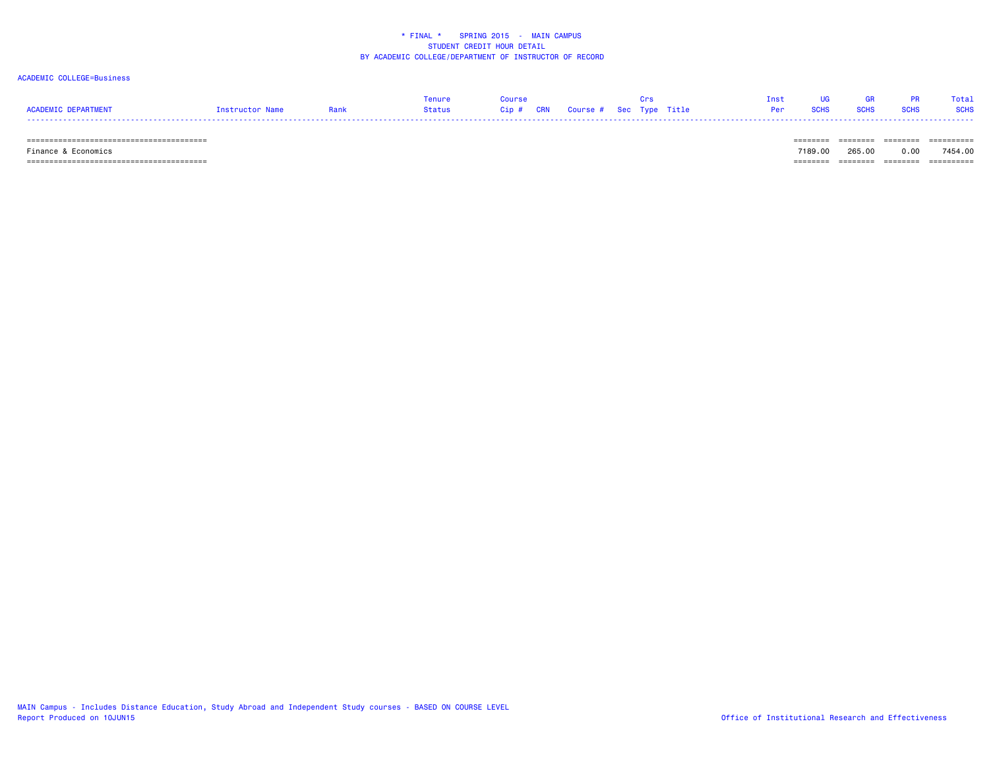### ACADEMIC COLLEGE=Business

|                     |                 | Tenure |  |  | Inst UG GR PR Total                 |  |
|---------------------|-----------------|--------|--|--|-------------------------------------|--|
| ACADEMIC DEPARTMENT | Instructor Name |        |  |  | <b>Per SCHS SCHS SCHS SCHS SCHS</b> |  |
|                     |                 |        |  |  |                                     |  |

======================================== ======== ======== ======== ==========

======================================== ======== ======== ======== ==========

 Finance & Economics 7189.00 265.00 0.00 7454.00-------- ------- -------- ---------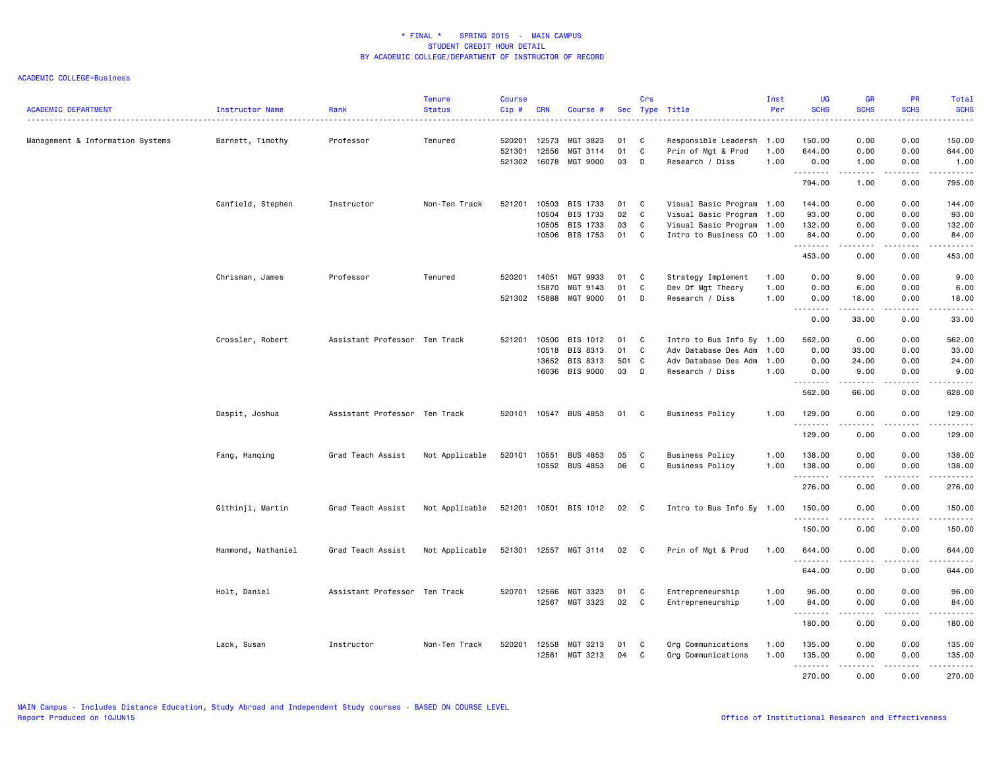| <b>ACADEMIC DEPARTMENT</b>       | Instructor Name    | Rank                          | <b>Tenure</b><br><b>Status</b> | <b>Course</b><br>Cip#      | <b>CRN</b>                       | Course #                                     |                         | Crs                   | Sec Type Title                                                                                                   | Inst<br>Per          | <b>UG</b><br><b>SCHS</b>                                                                                                                                                                                                                                                                                                                                                                                                                                                                                 | <b>GR</b><br><b>SCHS</b>       | PR<br><b>SCHS</b>            | Total<br><b>SCHS</b><br>$\frac{1}{2} \left( \frac{1}{2} \right) \left( \frac{1}{2} \right) \left( \frac{1}{2} \right) \left( \frac{1}{2} \right)$              |
|----------------------------------|--------------------|-------------------------------|--------------------------------|----------------------------|----------------------------------|----------------------------------------------|-------------------------|-----------------------|------------------------------------------------------------------------------------------------------------------|----------------------|----------------------------------------------------------------------------------------------------------------------------------------------------------------------------------------------------------------------------------------------------------------------------------------------------------------------------------------------------------------------------------------------------------------------------------------------------------------------------------------------------------|--------------------------------|------------------------------|----------------------------------------------------------------------------------------------------------------------------------------------------------------|
| Management & Information Systems | Barnett, Timothy   | Professor                     | Tenured                        | 520201<br>521301<br>521302 | 12573<br>12556<br>16078          | MGT 3823<br>MGT 3114<br>MGT 9000             | 01<br>01<br>03          | C<br>C<br>D           | Responsible Leadersh<br>Prin of Mgt & Prod<br>Research / Diss                                                    | 1.00<br>1.00<br>1.00 | 150.00<br>644.00<br>0.00                                                                                                                                                                                                                                                                                                                                                                                                                                                                                 | 0.00<br>0.00<br>1.00           | 0.00<br>0.00<br>0.00         | 150.00<br>644.00<br>1.00                                                                                                                                       |
|                                  |                    |                               |                                |                            |                                  |                                              |                         |                       |                                                                                                                  |                      | --------<br>794.00                                                                                                                                                                                                                                                                                                                                                                                                                                                                                       | -----<br>1.00                  | .<br>0.00                    | .<br>795.00                                                                                                                                                    |
|                                  | Canfield, Stephen  | Instructor                    | Non-Ten Track                  | 521201                     | 10503<br>10504<br>10505<br>10506 | BIS 1733<br>BIS 1733<br>BIS 1733<br>BIS 1753 | 01<br>02<br>03<br>01    | C<br>C<br>C<br>C      | Visual Basic Program 1.00<br>Visual Basic Program 1.00<br>Visual Basic Program 1.00<br>Intro to Business CO 1.00 |                      | 144.00<br>93.00<br>132.00<br>84.00                                                                                                                                                                                                                                                                                                                                                                                                                                                                       | 0.00<br>0.00<br>0.00<br>0.00   | 0.00<br>0.00<br>0.00<br>0.00 | 144.00<br>93.00<br>132.00<br>84.00                                                                                                                             |
|                                  |                    |                               |                                |                            |                                  |                                              |                         |                       |                                                                                                                  |                      | .<br>453.00                                                                                                                                                                                                                                                                                                                                                                                                                                                                                              | .<br>0.00                      | 0.00                         | $\frac{1}{2} \left( \frac{1}{2} \right) \left( \frac{1}{2} \right) \left( \frac{1}{2} \right) \left( \frac{1}{2} \right) \left( \frac{1}{2} \right)$<br>453.00 |
|                                  | Chrisman, James    | Professor                     | Tenured                        | 520201<br>521302           | 14051<br>15870<br>15888          | MGT 9933<br>MGT 9143<br>MGT 9000             | 01<br>01<br>01          | C<br>C<br>D           | Strategy Implement<br>Dev Of Mgt Theory<br>Research / Diss                                                       | 1.00<br>1.00<br>1.00 | 0.00<br>0.00<br>0.00<br>.                                                                                                                                                                                                                                                                                                                                                                                                                                                                                | 9.00<br>6.00<br>18.00<br>.     | 0.00<br>0.00<br>0.00<br>.    | 9.00<br>6.00<br>18.00<br>. <u>.</u>                                                                                                                            |
|                                  |                    |                               |                                |                            |                                  |                                              |                         |                       |                                                                                                                  |                      | 0.00                                                                                                                                                                                                                                                                                                                                                                                                                                                                                                     | 33.00                          | 0.00                         | 33.00                                                                                                                                                          |
|                                  | Crossler, Robert   | Assistant Professor Ten Track |                                | 521201                     | 10500<br>10518<br>13652<br>16036 | BIS 1012<br>BIS 8313<br>BIS 8313<br>BIS 9000 | 01<br>01<br>501 C<br>03 | C<br>$\mathbb C$<br>D | Intro to Bus Info Sy 1.00<br>Adv Database Des Adm<br>Adv Database Des Adm<br>Research / Diss                     | 1.00<br>1.00<br>1.00 | 562.00<br>0.00<br>0.00<br>0.00                                                                                                                                                                                                                                                                                                                                                                                                                                                                           | 0.00<br>33.00<br>24.00<br>9.00 | 0.00<br>0.00<br>0.00<br>0.00 | 562.00<br>33.00<br>24.00<br>9.00                                                                                                                               |
|                                  |                    |                               |                                |                            |                                  |                                              |                         |                       |                                                                                                                  |                      | .<br>562.00                                                                                                                                                                                                                                                                                                                                                                                                                                                                                              | ------<br>66.00                | .<br>0.00                    | .<br>628.00                                                                                                                                                    |
|                                  | Daspit, Joshua     | Assistant Professor Ten Track |                                | 520101                     | 10547                            | <b>BUS 4853</b>                              | 01                      | C                     | <b>Business Policy</b>                                                                                           | 1.00                 | 129.00<br>.                                                                                                                                                                                                                                                                                                                                                                                                                                                                                              | 0.00<br>.                      | 0.00<br>بالمستعاد            | 129.00<br><u>.</u>                                                                                                                                             |
|                                  |                    |                               |                                |                            |                                  |                                              |                         |                       |                                                                                                                  |                      | 129.00                                                                                                                                                                                                                                                                                                                                                                                                                                                                                                   | 0.00                           | 0.00                         | 129.00                                                                                                                                                         |
|                                  | Fang, Hanging      | Grad Teach Assist             | Not Applicable                 | 520101                     | 10551<br>10552                   | <b>BUS 4853</b><br><b>BUS 4853</b>           | 05<br>06                | C<br>C                | <b>Business Policy</b><br><b>Business Policy</b>                                                                 | 1.00<br>1.00         | 138.00<br>138.00<br>.                                                                                                                                                                                                                                                                                                                                                                                                                                                                                    | 0.00<br>0.00                   | 0.00<br>0.00<br>.            | 138.00<br>138.00<br>.                                                                                                                                          |
|                                  |                    |                               |                                |                            |                                  |                                              |                         |                       |                                                                                                                  |                      | 276.00                                                                                                                                                                                                                                                                                                                                                                                                                                                                                                   | .<br>0.00                      | 0.00                         | 276.00                                                                                                                                                         |
|                                  | Githinji, Martin   | Grad Teach Assist             | Not Applicable                 | 521201                     |                                  | 10501 BIS 1012                               | 02                      | $\mathbf{C}$          | Intro to Bus Info Sy 1.00                                                                                        |                      | 150.00<br><u>.</u>                                                                                                                                                                                                                                                                                                                                                                                                                                                                                       | 0.00<br>.                      | 0.00<br>.                    | 150.00<br>$- - - - - - -$                                                                                                                                      |
|                                  |                    |                               |                                |                            |                                  |                                              |                         |                       |                                                                                                                  |                      | 150.00                                                                                                                                                                                                                                                                                                                                                                                                                                                                                                   | 0.00                           | 0.00                         | 150.00                                                                                                                                                         |
|                                  | Hammond, Nathaniel | Grad Teach Assist             | Not Applicable                 | 521301                     | 12557                            | MGT 3114                                     | 02                      | $\mathbf{C}$          | Prin of Mgt & Prod                                                                                               | 1.00                 | 644.00<br><u>.</u>                                                                                                                                                                                                                                                                                                                                                                                                                                                                                       | 0.00                           | 0.00                         | 644.00                                                                                                                                                         |
|                                  |                    |                               |                                |                            |                                  |                                              |                         |                       |                                                                                                                  |                      | 644.00                                                                                                                                                                                                                                                                                                                                                                                                                                                                                                   | 0.00                           | 0.00                         | 644.00                                                                                                                                                         |
|                                  | Holt, Daniel       | Assistant Professor Ten Track |                                | 520701                     | 12566<br>12567                   | MGT 3323<br>MGT 3323                         | 01<br>02                | C<br>C                | Entrepreneurship<br>Entrepreneurship                                                                             | 1.00<br>1.00         | 96.00<br>84.00<br>$\begin{array}{cccccccccccccc} \multicolumn{2}{c}{} & \multicolumn{2}{c}{} & \multicolumn{2}{c}{} & \multicolumn{2}{c}{} & \multicolumn{2}{c}{} & \multicolumn{2}{c}{} & \multicolumn{2}{c}{} & \multicolumn{2}{c}{} & \multicolumn{2}{c}{} & \multicolumn{2}{c}{} & \multicolumn{2}{c}{} & \multicolumn{2}{c}{} & \multicolumn{2}{c}{} & \multicolumn{2}{c}{} & \multicolumn{2}{c}{} & \multicolumn{2}{c}{} & \multicolumn{2}{c}{} & \multicolumn{2}{c}{} & \multicolumn{2}{c}{} & \$ | 0.00<br>0.00<br>المستمال       | 0.00<br>0.00<br>-----        | 96.00<br>84.00<br>.                                                                                                                                            |
|                                  |                    |                               |                                |                            |                                  |                                              |                         |                       |                                                                                                                  |                      | 180.00                                                                                                                                                                                                                                                                                                                                                                                                                                                                                                   | 0.00                           | 0.00                         | 180.00                                                                                                                                                         |
|                                  | Lack, Susan        | Instructor                    | Non-Ten Track                  | 520201                     | 12558<br>12561                   | MGT 3213<br>MGT 3213                         | 01<br>04                | C<br>C                | Org Communications<br>Org Communications                                                                         | 1.00<br>1.00         | 135.00<br>135.00                                                                                                                                                                                                                                                                                                                                                                                                                                                                                         | 0.00<br>0.00                   | 0.00<br>0.00                 | 135.00<br>135.00                                                                                                                                               |
|                                  |                    |                               |                                |                            |                                  |                                              |                         |                       |                                                                                                                  |                      | --------<br>270.00                                                                                                                                                                                                                                                                                                                                                                                                                                                                                       | $  -$<br>0.00                  | $- - - -$<br>0.00            | <u>.</u><br>270.00                                                                                                                                             |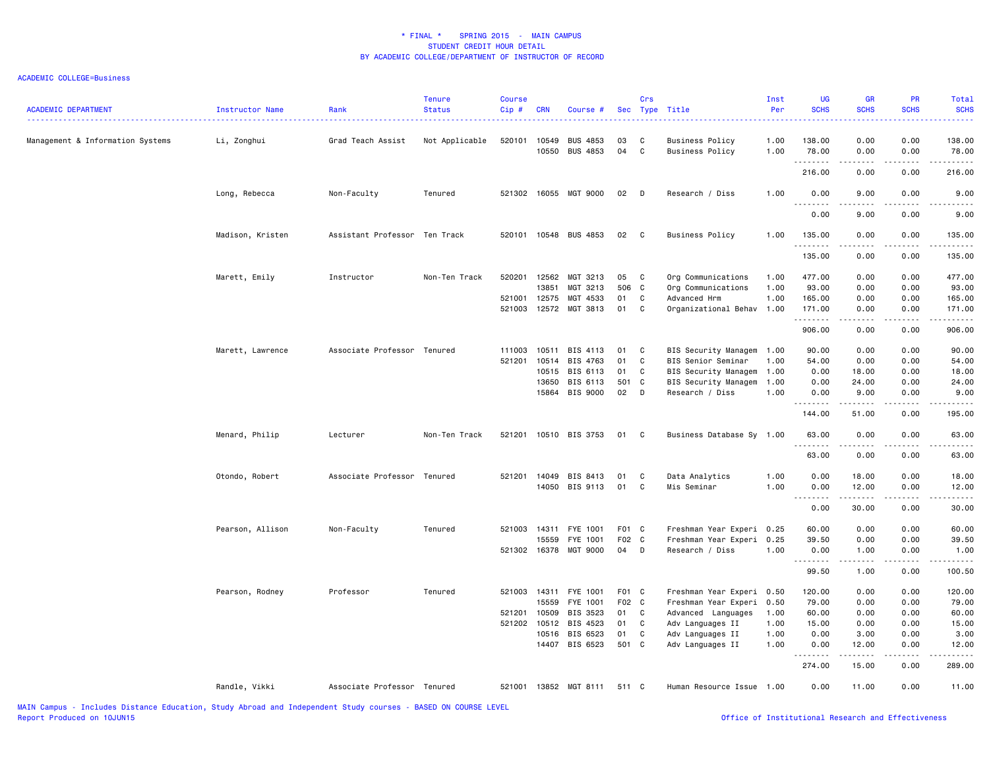| <b>ACADEMIC DEPARTMENT</b>       | Instructor Name  | Rank                          | <b>Tenure</b><br><b>Status</b> | <b>Course</b><br>Cip# | <b>CRN</b>     | Course #                           |          | Crs               | Sec Type Title                                   | Inst<br>Per  | <b>UG</b><br><b>SCHS</b> | <b>GR</b><br><b>SCHS</b>                                                                                                                                     | <b>PR</b><br><b>SCHS</b>            | <b>Total</b><br><b>SCHS</b>                                                                                                                                  |
|----------------------------------|------------------|-------------------------------|--------------------------------|-----------------------|----------------|------------------------------------|----------|-------------------|--------------------------------------------------|--------------|--------------------------|--------------------------------------------------------------------------------------------------------------------------------------------------------------|-------------------------------------|--------------------------------------------------------------------------------------------------------------------------------------------------------------|
| Management & Information Systems | Li, Zonghui      | Grad Teach Assist             | Not Applicable                 | 520101                | 10549<br>10550 | <b>BUS 4853</b><br><b>BUS 4853</b> | 03<br>04 | C<br>$\mathbf{C}$ | <b>Business Policy</b><br><b>Business Policy</b> | 1.00<br>1.00 | 138.00<br>78.00          | 0.00<br>0.00                                                                                                                                                 | 0.00<br>0.00                        | 138.00<br>78.00                                                                                                                                              |
|                                  |                  |                               |                                |                       |                |                                    |          |                   |                                                  |              | .<br>216.00              | .<br>0.00                                                                                                                                                    | .<br>0.00                           | .<br>216.00                                                                                                                                                  |
|                                  | Long, Rebecca    | Non-Faculty                   | Tenured                        |                       |                | 521302 16055 MGT 9000              | 02       | D                 | Research / Diss                                  | 1.00         | 0.00                     | 9.00                                                                                                                                                         | 0.00                                | 9.00                                                                                                                                                         |
|                                  |                  |                               |                                |                       |                |                                    |          |                   |                                                  |              | -----<br>0.00            | .<br>9.00                                                                                                                                                    | .<br>0.00                           | $\frac{1}{2} \left( \frac{1}{2} \right) \left( \frac{1}{2} \right) \left( \frac{1}{2} \right) \left( \frac{1}{2} \right) \left( \frac{1}{2} \right)$<br>9.00 |
|                                  | Madison, Kristen | Assistant Professor Ten Track |                                |                       |                | 520101 10548 BUS 4853              | 02       | C                 | <b>Business Policy</b>                           | 1.00         | 135.00<br>.              | 0.00<br>.                                                                                                                                                    | 0.00<br>$\sim$ $\sim$ $\sim$ $\sim$ | 135.00<br>.                                                                                                                                                  |
|                                  |                  |                               |                                |                       |                |                                    |          |                   |                                                  |              | 135.00                   | 0.00                                                                                                                                                         | 0.00                                | 135.00                                                                                                                                                       |
|                                  | Marett, Emily    | Instructor                    | Non-Ten Track                  | 520201                | 12562          | MGT 3213                           | 05       | C                 | Org Communications                               | 1.00         | 477.00                   | 0.00                                                                                                                                                         | 0.00                                | 477.00                                                                                                                                                       |
|                                  |                  |                               |                                |                       | 13851          | MGT 3213                           | 506      | $\mathbf{C}$      | Org Communications                               | 1.00         | 93.00                    | 0.00                                                                                                                                                         | 0.00                                | 93.00                                                                                                                                                        |
|                                  |                  |                               |                                | 521001                | 12575          | MGT 4533                           | 01       | C                 | Advanced Hrm                                     | 1.00         | 165.00                   | 0.00                                                                                                                                                         | 0.00                                | 165.00                                                                                                                                                       |
|                                  |                  |                               |                                | 521003                | 12572          | MGT 3813                           | 01       | C                 | Organizational Behav 1.00                        |              | 171.00<br>.              | 0.00<br>$\frac{1}{2} \left( \frac{1}{2} \right) \left( \frac{1}{2} \right) \left( \frac{1}{2} \right) \left( \frac{1}{2} \right) \left( \frac{1}{2} \right)$ | 0.00<br>.                           | 171.00<br>.                                                                                                                                                  |
|                                  |                  |                               |                                |                       |                |                                    |          |                   |                                                  |              | 906.00                   | 0.00                                                                                                                                                         | 0.00                                | 906.00                                                                                                                                                       |
|                                  | Marett, Lawrence | Associate Professor Tenured   |                                | 111003                | 10511          | BIS 4113                           | 01       | C                 | BIS Security Managem                             | 1.00         | 90.00                    | 0.00                                                                                                                                                         | 0.00                                | 90.00                                                                                                                                                        |
|                                  |                  |                               |                                | 521201                | 10514          | BIS 4763                           | 01       | C                 | BIS Senior Seminar                               | 1.00         | 54.00                    | 0.00                                                                                                                                                         | 0.00                                | 54.00                                                                                                                                                        |
|                                  |                  |                               |                                |                       | 10515          | BIS 6113                           | 01       | C                 | BIS Security Managem                             | 1.00         | 0.00                     | 18.00                                                                                                                                                        | 0.00                                | 18.00                                                                                                                                                        |
|                                  |                  |                               |                                |                       | 13650          | BIS 6113                           | 501 C    |                   | BIS Security Managem                             | 1.00         | 0.00                     | 24.00                                                                                                                                                        | 0.00                                | 24.00                                                                                                                                                        |
|                                  |                  |                               |                                |                       |                | 15864 BIS 9000                     | 02       | D                 | Research / Diss                                  | 1.00         | 0.00                     | 9.00<br>$- - - - -$                                                                                                                                          | 0.00                                | 9.00<br>$\frac{1}{2}$                                                                                                                                        |
|                                  |                  |                               |                                |                       |                |                                    |          |                   |                                                  |              | 144.00                   | 51.00                                                                                                                                                        | 0.00                                | 195.00                                                                                                                                                       |
|                                  | Menard, Philip   | Lecturer                      | Non-Ten Track                  |                       |                | 521201 10510 BIS 3753              | 01       | C                 | Business Database Sy 1.00                        |              | 63.00                    | 0.00                                                                                                                                                         | 0.00                                | 63.00                                                                                                                                                        |
|                                  |                  |                               |                                |                       |                |                                    |          |                   |                                                  |              | 63.00                    | 0.00                                                                                                                                                         | 0.00                                | 63.00                                                                                                                                                        |
|                                  | Otondo, Robert   | Associate Professor Tenured   |                                |                       |                | 521201 14049 BIS 8413              | 01       | C                 | Data Analytics                                   | 1.00         | 0.00                     | 18.00                                                                                                                                                        | 0.00                                | 18.00                                                                                                                                                        |
|                                  |                  |                               |                                |                       |                | 14050 BIS 9113                     | 01       | C                 | Mis Seminar                                      | 1.00         | 0.00<br>1.1.1.1.1.1.1    | 12.00                                                                                                                                                        | 0.00<br><b>.</b>                    | 12.00<br>.                                                                                                                                                   |
|                                  |                  |                               |                                |                       |                |                                    |          |                   |                                                  |              | 0.00                     | 30.00                                                                                                                                                        | 0.00                                | 30.00                                                                                                                                                        |
|                                  | Pearson, Allison | Non-Faculty                   | Tenured                        | 521003                | 14311          | FYE 1001                           | F01 C    |                   | Freshman Year Experi 0.25                        |              | 60.00                    | 0.00                                                                                                                                                         | 0.00                                | 60.00                                                                                                                                                        |
|                                  |                  |                               |                                |                       | 15559          | FYE 1001                           | F02 C    |                   | Freshman Year Experi                             | 0.25         | 39.50                    | 0.00                                                                                                                                                         | 0.00                                | 39.50                                                                                                                                                        |
|                                  |                  |                               |                                | 521302 16378          |                | MGT 9000                           | 04       | D                 | Research / Diss                                  | 1.00         | 0.00<br>1.1.1.1.1.1.1    | 1.00<br><u>.</u> .                                                                                                                                           | 0.00<br>.                           | 1.00<br><u>.</u>                                                                                                                                             |
|                                  |                  |                               |                                |                       |                |                                    |          |                   |                                                  |              | 99.50                    | 1.00                                                                                                                                                         | 0.00                                | 100.50                                                                                                                                                       |
|                                  | Pearson, Rodney  | Professor                     | Tenured                        | 521003 14311          |                | FYE 1001                           | F01 C    |                   | Freshman Year Experi 0.50                        |              | 120.00                   | 0.00                                                                                                                                                         | 0.00                                | 120.00                                                                                                                                                       |
|                                  |                  |                               |                                |                       | 15559          | FYE 1001                           | F02 C    |                   | Freshman Year Experi                             | 0.50         | 79.00                    | 0.00                                                                                                                                                         | 0.00                                | 79.00                                                                                                                                                        |
|                                  |                  |                               |                                | 521201                | 10509          | BIS 3523                           | 01       | C                 | Advanced Languages                               | 1.00         | 60.00                    | 0.00                                                                                                                                                         | 0.00                                | 60.00                                                                                                                                                        |
|                                  |                  |                               |                                | 521202 10512          |                | BIS 4523                           | 01       | C                 | Adv Languages II                                 | 1.00         | 15.00                    | 0.00                                                                                                                                                         | 0.00                                | 15.00                                                                                                                                                        |
|                                  |                  |                               |                                |                       |                | 10516 BIS 6523                     | 01       | $\mathbb C$       | Adv Languages II                                 | 1.00         | 0.00                     | 3.00                                                                                                                                                         | 0.00                                | 3.00                                                                                                                                                         |
|                                  |                  |                               |                                |                       | 14407          | BIS 6523                           | 501 C    |                   | Adv Languages II                                 | 1.00         | 0.00<br>. <b>.</b>       | 12.00<br>.                                                                                                                                                   | 0.00<br>.                           | 12.00<br>.                                                                                                                                                   |
|                                  |                  |                               |                                |                       |                |                                    |          |                   |                                                  |              | 274.00                   | 15.00                                                                                                                                                        | 0.00                                | 289.00                                                                                                                                                       |
|                                  | Randle, Vikki    | Associate Professor Tenured   |                                | 521001                |                | 13852 MGT 8111                     | 511 C    |                   | Human Resource Issue 1.00                        |              | 0.00                     | 11.00                                                                                                                                                        | 0.00                                | 11.00                                                                                                                                                        |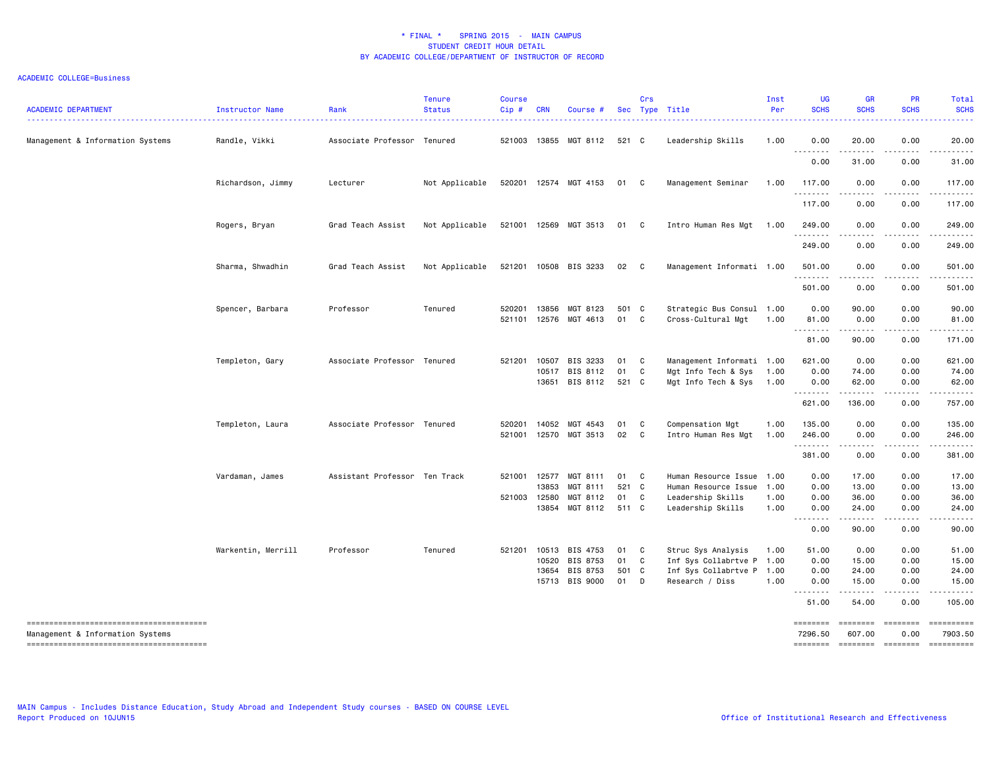| <b>ACADEMIC DEPARTMENT</b>       | Instructor Name    | Rank                          | <b>Tenure</b><br><b>Status</b> | <b>Course</b><br>Cip# | <b>CRN</b>     | Course #                   |             | Crs          | Sec Type Title                                   | Inst<br>Per  | <b>UG</b><br><b>SCHS</b>             | <b>GR</b><br><b>SCHS</b>         | PR<br><b>SCHS</b>                                                                                                                                                                                                                                                                                                                                                                                                                                                                                                           | Total<br><b>SCHS</b>                                                                                                                                                                                                                                                                                                                                                                                                                           |
|----------------------------------|--------------------|-------------------------------|--------------------------------|-----------------------|----------------|----------------------------|-------------|--------------|--------------------------------------------------|--------------|--------------------------------------|----------------------------------|-----------------------------------------------------------------------------------------------------------------------------------------------------------------------------------------------------------------------------------------------------------------------------------------------------------------------------------------------------------------------------------------------------------------------------------------------------------------------------------------------------------------------------|------------------------------------------------------------------------------------------------------------------------------------------------------------------------------------------------------------------------------------------------------------------------------------------------------------------------------------------------------------------------------------------------------------------------------------------------|
| Management & Information Systems | Randle, Vikki      | Associate Professor           | Tenured                        | 521003                |                | 13855 MGT 8112             | 521 C       |              | Leadership Skills                                | 1.00         | 0.00<br>.                            | 20.00<br>.                       | 0.00<br>.                                                                                                                                                                                                                                                                                                                                                                                                                                                                                                                   | 20.00<br>.                                                                                                                                                                                                                                                                                                                                                                                                                                     |
|                                  |                    |                               |                                |                       |                |                            |             |              |                                                  |              | 0.00                                 | 31.00                            | 0.00                                                                                                                                                                                                                                                                                                                                                                                                                                                                                                                        | 31.00                                                                                                                                                                                                                                                                                                                                                                                                                                          |
|                                  | Richardson, Jimmy  | Lecturer                      | Not Applicable                 |                       |                | 520201 12574 MGT 4153      | 01 C        |              | Management Seminar                               | 1.00         | 117.00<br>.                          | 0.00<br>.                        | 0.00<br>.                                                                                                                                                                                                                                                                                                                                                                                                                                                                                                                   | 117.00<br>$- - - - - -$                                                                                                                                                                                                                                                                                                                                                                                                                        |
|                                  |                    |                               |                                |                       |                |                            |             |              |                                                  |              | 117.00                               | 0.00                             | 0.00                                                                                                                                                                                                                                                                                                                                                                                                                                                                                                                        | 117.00                                                                                                                                                                                                                                                                                                                                                                                                                                         |
|                                  | Rogers, Bryan      | Grad Teach Assist             | Not Applicable                 |                       |                | 521001 12569 MGT 3513      | 01 C        |              | Intro Human Res Mgt                              | 1.00         | 249.00<br>.                          | 0.00                             | 0.00                                                                                                                                                                                                                                                                                                                                                                                                                                                                                                                        | 249.00                                                                                                                                                                                                                                                                                                                                                                                                                                         |
|                                  |                    |                               |                                |                       |                |                            |             |              |                                                  |              | 249.00                               | 0.00                             | 0.00                                                                                                                                                                                                                                                                                                                                                                                                                                                                                                                        | 249.00                                                                                                                                                                                                                                                                                                                                                                                                                                         |
|                                  | Sharma, Shwadhin   | Grad Teach Assist             | Not Applicable                 |                       |                | 521201 10508 BIS 3233      | 02          | $\mathbf{C}$ | Management Informati 1.00                        |              | 501.00<br>.                          | 0.00<br>.                        | 0.00<br>.                                                                                                                                                                                                                                                                                                                                                                                                                                                                                                                   | 501.00<br>$- - - - - -$                                                                                                                                                                                                                                                                                                                                                                                                                        |
|                                  |                    |                               |                                |                       |                |                            |             |              |                                                  |              | 501.00                               | 0.00                             | 0.00                                                                                                                                                                                                                                                                                                                                                                                                                                                                                                                        | 501.00                                                                                                                                                                                                                                                                                                                                                                                                                                         |
|                                  | Spencer, Barbara   | Professor                     | Tenured                        | 520201<br>521101      | 13856          | MGT 8123<br>12576 MGT 4613 | 501 C<br>01 | C            | Strategic Bus Consul 1.00<br>Cross-Cultural Mgt  | 1.00         | 0.00<br>81.00                        | 90.00<br>0.00                    | 0.00<br>0.00                                                                                                                                                                                                                                                                                                                                                                                                                                                                                                                | 90.00<br>81.00                                                                                                                                                                                                                                                                                                                                                                                                                                 |
|                                  |                    |                               |                                |                       |                |                            |             |              |                                                  |              | 81.00                                | .<br>90.00                       | 22222.<br>0.00                                                                                                                                                                                                                                                                                                                                                                                                                                                                                                              | <u>.</u><br>171.00                                                                                                                                                                                                                                                                                                                                                                                                                             |
|                                  | Templeton, Gary    | Associate Professor           | Tenured                        | 521201                | 10507<br>10517 | BIS 3233<br>BIS 8112       | 01<br>01    | C<br>C       | Management Informati 1.00<br>Mgt Info Tech & Sys | 1.00         | 621.00<br>0.00                       | 0.00<br>74.00                    | 0.00<br>0.00                                                                                                                                                                                                                                                                                                                                                                                                                                                                                                                | 621.00<br>74.00                                                                                                                                                                                                                                                                                                                                                                                                                                |
|                                  |                    |                               |                                |                       |                | 13651 BIS 8112             | 521 C       |              | Mgt Info Tech & Sys                              | 1.00         | 0.00                                 | 62.00                            | 0.00                                                                                                                                                                                                                                                                                                                                                                                                                                                                                                                        | 62.00                                                                                                                                                                                                                                                                                                                                                                                                                                          |
|                                  |                    |                               |                                |                       |                |                            |             |              |                                                  |              | .<br>621.00                          | $\cdots \cdots \cdots$<br>136.00 | $\frac{1}{2} \left( \frac{1}{2} \right) \left( \frac{1}{2} \right) \left( \frac{1}{2} \right) \left( \frac{1}{2} \right) \left( \frac{1}{2} \right)$<br>0.00                                                                                                                                                                                                                                                                                                                                                                | .<br>757.00                                                                                                                                                                                                                                                                                                                                                                                                                                    |
|                                  | Templeton, Laura   | Associate Professor Tenured   |                                | 520201<br>521001      | 14052<br>12570 | MGT 4543<br>MGT 3513       | 01<br>02    | C<br>C       | Compensation Mgt<br>Intro Human Res Mgt          | 1.00<br>1.00 | 135.00<br>246.00                     | 0.00<br>0.00                     | 0.00<br>0.00                                                                                                                                                                                                                                                                                                                                                                                                                                                                                                                | 135.00<br>246.00                                                                                                                                                                                                                                                                                                                                                                                                                               |
|                                  |                    |                               |                                |                       |                |                            |             |              |                                                  |              | .<br>381.00                          | 0.00                             | 0.00                                                                                                                                                                                                                                                                                                                                                                                                                                                                                                                        | 381.00                                                                                                                                                                                                                                                                                                                                                                                                                                         |
|                                  | Vardaman, James    | Assistant Professor Ten Track |                                | 521001                | 12577          | MGT 8111                   | 01 C        |              | Human Resource Issue                             | 1.00         | 0.00                                 | 17.00                            | 0.00                                                                                                                                                                                                                                                                                                                                                                                                                                                                                                                        | 17.00                                                                                                                                                                                                                                                                                                                                                                                                                                          |
|                                  |                    |                               |                                |                       | 13853          | MGT 8111                   | 521 C       |              | Human Resource Issue                             | 1.00         | 0.00                                 | 13.00                            | 0.00                                                                                                                                                                                                                                                                                                                                                                                                                                                                                                                        | 13.00                                                                                                                                                                                                                                                                                                                                                                                                                                          |
|                                  |                    |                               |                                | 521003                | 12580          | MGT 8112                   | 01          | C            | Leadership Skills                                | 1.00         | 0.00                                 | 36.00                            | 0.00                                                                                                                                                                                                                                                                                                                                                                                                                                                                                                                        | 36.00                                                                                                                                                                                                                                                                                                                                                                                                                                          |
|                                  |                    |                               |                                |                       | 13854          | MGT 8112                   | 511 C       |              | Leadership Skills                                | 1.00         | 0.00<br>$- - - - -$<br>$\frac{1}{2}$ | 24.00                            | 0.00                                                                                                                                                                                                                                                                                                                                                                                                                                                                                                                        | 24.00                                                                                                                                                                                                                                                                                                                                                                                                                                          |
|                                  |                    |                               |                                |                       |                |                            |             |              |                                                  |              | 0.00                                 | 90.00                            | 0.00                                                                                                                                                                                                                                                                                                                                                                                                                                                                                                                        | 90.00                                                                                                                                                                                                                                                                                                                                                                                                                                          |
|                                  | Warkentin, Merrill | Professor                     | Tenured                        |                       | 521201 10513   | BIS 4753                   | 01          | $\mathbf{C}$ | Struc Sys Analysis                               | 1.00         | 51.00                                | 0.00                             | 0.00                                                                                                                                                                                                                                                                                                                                                                                                                                                                                                                        | 51.00                                                                                                                                                                                                                                                                                                                                                                                                                                          |
|                                  |                    |                               |                                |                       | 10520          | BIS 8753                   | 01          | C            | Inf Sys Collabrtve P                             | 1.00         | 0.00                                 | 15.00                            | 0.00                                                                                                                                                                                                                                                                                                                                                                                                                                                                                                                        | 15.00                                                                                                                                                                                                                                                                                                                                                                                                                                          |
|                                  |                    |                               |                                |                       | 13654          | BIS 8753<br>15713 BIS 9000 | 501 C<br>01 | D            | Inf Sys Collabrtve P 1.00<br>Research / Diss     | 1.00         | 0.00<br>0.00                         | 24.00<br>15.00                   | 0.00<br>0.00                                                                                                                                                                                                                                                                                                                                                                                                                                                                                                                | 24.00<br>15.00                                                                                                                                                                                                                                                                                                                                                                                                                                 |
|                                  |                    |                               |                                |                       |                |                            |             |              |                                                  |              | <u>.</u>                             | . <b>.</b>                       | .                                                                                                                                                                                                                                                                                                                                                                                                                                                                                                                           | .                                                                                                                                                                                                                                                                                                                                                                                                                                              |
|                                  |                    |                               |                                |                       |                |                            |             |              |                                                  |              | 51.00                                | 54.00                            | 0.00                                                                                                                                                                                                                                                                                                                                                                                                                                                                                                                        | 105.00                                                                                                                                                                                                                                                                                                                                                                                                                                         |
| Management & Information Systems |                    |                               |                                |                       |                |                            |             |              |                                                  |              | ========<br>7296.50                  | ========<br>607.00               | $\begin{array}{c} \multicolumn{3}{c} {\color{blue} \textbf{2}} & \multicolumn{3}{c} {\color{blue} \textbf{3}} \\ \multicolumn{3}{c} {\color{blue} \textbf{4}} & \multicolumn{3}{c} {\color{blue} \textbf{5}} & \multicolumn{3}{c} {\color{blue} \textbf{6}} \\ \multicolumn{3}{c} {\color{blue} \textbf{5}} & \multicolumn{3}{c} {\color{blue} \textbf{6}} & \multicolumn{3}{c} {\color{blue} \textbf{6}} \\ \multicolumn{3}{c} {\color{blue} \textbf{6}} & \multicolumn{3}{c} {\color{blue} \textbf{6}} & \multic$<br>0.00 | $\begin{minipage}{0.9\linewidth} \hspace*{-0.2cm} \textbf{1} & \textbf{2} & \textbf{3} & \textbf{5} & \textbf{6} & \textbf{7} & \textbf{8} \\ \textbf{5} & \textbf{6} & \textbf{7} & \textbf{8} & \textbf{8} & \textbf{8} & \textbf{9} & \textbf{1} & \textbf{1} & \textbf{1} \\ \textbf{6} & \textbf{8} & \textbf{8} & \textbf{8} & \textbf{8} & \textbf{8} & \textbf{1} & \textbf{1} & \textbf{1} & \textbf{1} & \textbf{1} \\ \$<br>7903.50 |
|                                  |                    |                               |                                |                       |                |                            |             |              |                                                  |              |                                      | <b>ESSESSE</b>                   | $=$ ========                                                                                                                                                                                                                                                                                                                                                                                                                                                                                                                | ==========                                                                                                                                                                                                                                                                                                                                                                                                                                     |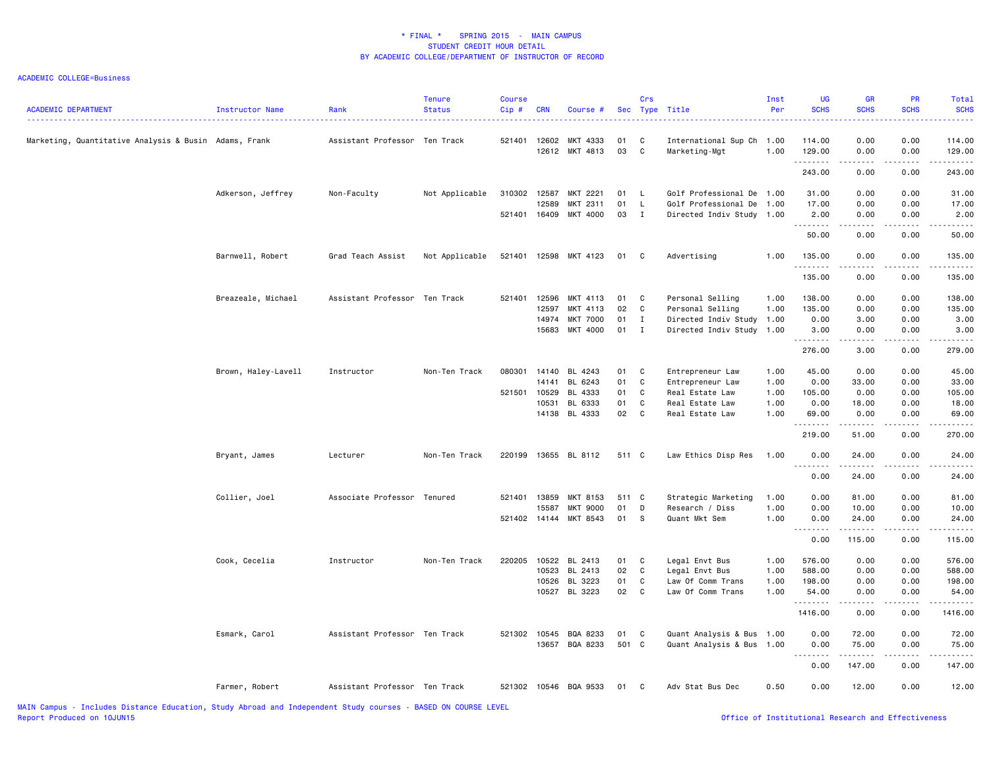| <b>ACADEMIC DEPARTMENT</b>                            | Instructor Name     | Rank                          | <b>Tenure</b><br>Status | <b>Course</b><br>Cip# | <b>CRN</b>   | Course #                   |          | Crs               | Sec Type Title                                    | Inst<br>Per  | <b>UG</b><br><b>SCHS</b> | <b>GR</b><br><b>SCHS</b>                                                                                                                                     | PR<br><b>SCHS</b> | Total<br><b>SCHS</b> |
|-------------------------------------------------------|---------------------|-------------------------------|-------------------------|-----------------------|--------------|----------------------------|----------|-------------------|---------------------------------------------------|--------------|--------------------------|--------------------------------------------------------------------------------------------------------------------------------------------------------------|-------------------|----------------------|
| Marketing, Quantitative Analysis & Busin Adams, Frank |                     | Assistant Professor Ten Track |                         | 521401                | 12602        | MKT 4333<br>12612 MKT 4813 | 01<br>03 | C<br>C            | International Sup Ch 1.00<br>Marketing-Mgt        | 1.00         | 114.00<br>129.00         | 0.00<br>0.00                                                                                                                                                 | 0.00<br>0.00      | 114.00<br>129.00     |
|                                                       |                     |                               |                         |                       |              |                            |          |                   |                                                   |              | .<br>243.00              | $\sim$ $\sim$ $\sim$ $\sim$<br>0.00                                                                                                                          | .<br>0.00         | -----<br>243.00      |
|                                                       |                     |                               |                         |                       |              |                            |          |                   |                                                   |              |                          |                                                                                                                                                              |                   |                      |
|                                                       | Adkerson, Jeffrey   | Non-Faculty                   | Not Applicable          | 310302 12587          | 12589        | MKT 2221                   | 01<br>01 | - L               | Golf Professional De 1.00                         |              | 31.00                    | 0.00                                                                                                                                                         | 0.00              | 31.00                |
|                                                       |                     |                               |                         | 521401 16409          |              | MKT 2311<br>MKT 4000       | 03       | L<br>$\mathbf{I}$ | Golf Professional De<br>Directed Indiv Study 1.00 | 1.00         | 17.00<br>2.00            | 0.00<br>0.00                                                                                                                                                 | 0.00<br>0.00      | 17.00<br>2.00        |
|                                                       |                     |                               |                         |                       |              |                            |          |                   |                                                   |              | .                        | $- - - - -$                                                                                                                                                  |                   | .                    |
|                                                       |                     |                               |                         |                       |              |                            |          |                   |                                                   |              | 50.00                    | 0.00                                                                                                                                                         | 0.00              | 50.00                |
|                                                       | Barnwell, Robert    | Grad Teach Assist             | Not Applicable          |                       |              | 521401 12598 MKT 4123      | 01       | $\mathbf{C}$      | Advertising                                       | 1.00         | 135.00<br>.              | 0.00                                                                                                                                                         | 0.00              | 135.00               |
|                                                       |                     |                               |                         |                       |              |                            |          |                   |                                                   |              | 135.00                   | .<br>0.00                                                                                                                                                    | .<br>0.00         | 135.00               |
|                                                       | Breazeale, Michael  | Assistant Professor Ten Track |                         | 521401                | 12596        | MKT 4113                   | 01       | C                 | Personal Selling                                  | 1.00         | 138.00                   | 0.00                                                                                                                                                         | 0.00              | 138.00               |
|                                                       |                     |                               |                         |                       | 12597        | MKT 4113                   | 02       | $\mathbf{C}$      | Personal Selling                                  | 1.00         | 135.00                   | 0.00                                                                                                                                                         | 0.00              | 135.00               |
|                                                       |                     |                               |                         |                       | 14974        | <b>MKT 7000</b>            | 01       | $\mathbf{I}$      | Directed Indiv Study                              | 1.00         | 0.00                     | 3.00                                                                                                                                                         | 0.00              | 3.00                 |
|                                                       |                     |                               |                         |                       | 15683        | MKT 4000                   | $01$ I   |                   | Directed Indiv Study 1.00                         |              | 3.00                     | 0.00                                                                                                                                                         | 0.00              | 3.00                 |
|                                                       |                     |                               |                         |                       |              |                            |          |                   |                                                   |              | .<br>276.00              | المتماليات<br>3.00                                                                                                                                           | .<br>0.00         | 279.00               |
|                                                       |                     |                               |                         |                       |              |                            |          |                   |                                                   |              |                          |                                                                                                                                                              |                   |                      |
|                                                       | Brown, Haley-Lavell | Instructor                    | Non-Ten Track           | 080301                | 14140        | BL 4243                    | 01       | C                 | Entrepreneur Law                                  | 1.00         | 45.00                    | 0.00                                                                                                                                                         | 0.00              | 45.00                |
|                                                       |                     |                               |                         |                       | 14141        | BL 6243                    | 01       | C                 | Entrepreneur Law                                  | 1.00         | 0.00                     | 33.00                                                                                                                                                        | 0.00              | 33.00                |
|                                                       |                     |                               |                         | 521501                | 10529        | BL 4333                    | 01<br>01 | C<br>C            | Real Estate Law                                   | 1.00         | 105.00                   | 0.00                                                                                                                                                         | 0.00              | 105.00               |
|                                                       |                     |                               |                         |                       | 10531        | BL 6333<br>14138 BL 4333   | 02       | $\mathbf c$       | Real Estate Law<br>Real Estate Law                | 1.00<br>1.00 | 0.00<br>69.00            | 18.00<br>0.00                                                                                                                                                | 0.00<br>0.00      | 18.00<br>69.00       |
|                                                       |                     |                               |                         |                       |              |                            |          |                   |                                                   |              | --------                 | ------                                                                                                                                                       | .                 | .                    |
|                                                       |                     |                               |                         |                       |              |                            |          |                   |                                                   |              | 219.00                   | 51.00                                                                                                                                                        | 0.00              | 270.00               |
|                                                       | Bryant, James       | Lecturer                      | Non-Ten Track           | 220199                |              | 13655 BL 8112              | 511 C    |                   | Law Ethics Disp Res                               | 1.00         | 0.00<br>.                | 24.00<br>.                                                                                                                                                   | 0.00<br>.         | 24.00<br>.           |
|                                                       |                     |                               |                         |                       |              |                            |          |                   |                                                   |              | 0.00                     | 24.00                                                                                                                                                        | 0.00              | 24.00                |
|                                                       | Collier, Joel       | Associate Professor           | Tenured                 | 521401                | 13859        | MKT 8153                   | 511 C    |                   | Strategic Marketing                               | 1.00         | 0.00                     | 81.00                                                                                                                                                        | 0.00              | 81.00                |
|                                                       |                     |                               |                         |                       | 15587        | <b>MKT 9000</b>            | 01       | D                 | Research / Diss                                   | 1.00         | 0.00                     | 10.00                                                                                                                                                        | 0.00              | 10.00                |
|                                                       |                     |                               |                         |                       | 521402 14144 | MKT 8543                   | 01       | - S               | Quant Mkt Sem                                     | 1.00         | 0.00                     | 24.00<br>$- - - - - - -$                                                                                                                                     | 0.00<br>.         | 24.00<br><u>.</u>    |
|                                                       |                     |                               |                         |                       |              |                            |          |                   |                                                   |              | 0.00                     | 115.00                                                                                                                                                       | 0.00              | 115.00               |
|                                                       | Cook, Cecelia       | Instructor                    | Non-Ten Track           | 220205                | 10522        | BL 2413                    | 01       | C                 | Legal Envt Bus                                    | 1.00         | 576.00                   | 0.00                                                                                                                                                         | 0.00              | 576.00               |
|                                                       |                     |                               |                         |                       | 10523        | BL 2413                    | 02       | C                 | Legal Envt Bus                                    | 1.00         | 588.00                   | 0.00                                                                                                                                                         | 0.00              | 588.00               |
|                                                       |                     |                               |                         |                       | 10526        | BL 3223                    | 01       | C                 | Law Of Comm Trans                                 | 1.00         | 198.00                   | 0.00                                                                                                                                                         | 0.00              | 198.00               |
|                                                       |                     |                               |                         |                       |              | 10527 BL 3223              | 02 C     |                   | Law Of Comm Trans                                 | 1.00         | 54.00<br>. <b>.</b>      | 0.00<br>$\frac{1}{2} \left( \frac{1}{2} \right) \left( \frac{1}{2} \right) \left( \frac{1}{2} \right) \left( \frac{1}{2} \right) \left( \frac{1}{2} \right)$ | 0.00<br>.         | 54.00<br>.           |
|                                                       |                     |                               |                         |                       |              |                            |          |                   |                                                   |              | 1416.00                  | 0.00                                                                                                                                                         | 0.00              | 1416.00              |
|                                                       | Esmark, Carol       | Assistant Professor Ten Track |                         | 521302                | 10545        | BQA 8233                   | 01       | C                 | Quant Analysis & Bus                              | 1.00         | 0.00                     | 72.00                                                                                                                                                        | 0.00              | 72.00                |
|                                                       |                     |                               |                         |                       | 13657        | BQA 8233                   | 501 C    |                   | Quant Analysis & Bus 1.00                         |              | 0.00                     | 75.00                                                                                                                                                        | 0.00              | 75.00                |
|                                                       |                     |                               |                         |                       |              |                            |          |                   |                                                   |              | 2.2.2.2.2<br>0.00        | <b>.</b><br>147.00                                                                                                                                           | .<br>0.00         | .<br>147.00          |
|                                                       | Farmer, Robert      | Assistant Professor Ten Track |                         |                       |              | 521302 10546 BQA 9533      | 01       | C                 | Adv Stat Bus Dec                                  | 0.50         | 0.00                     | 12.00                                                                                                                                                        | 0.00              | 12.00                |
|                                                       |                     |                               |                         |                       |              |                            |          |                   |                                                   |              |                          |                                                                                                                                                              |                   |                      |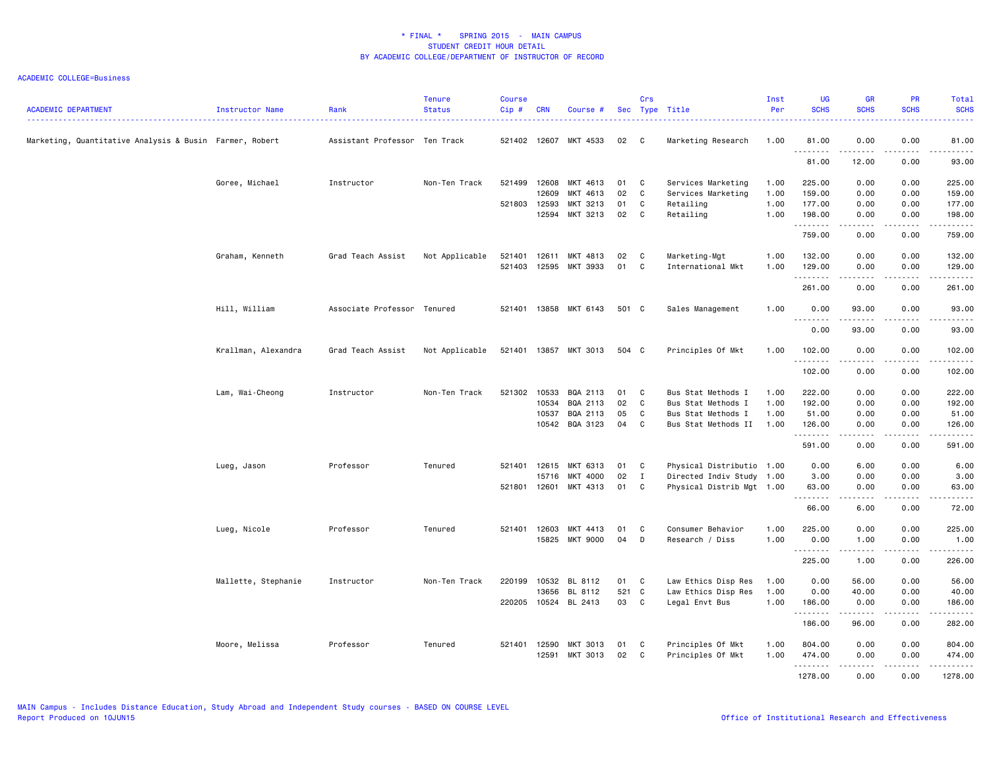| 0.00<br>Marketing, Quantitative Analysis & Busin Farmer, Robert<br>Assistant Professor Ten Track<br>521402 12607 MKT 4533<br>02 C<br>Marketing Research<br>1.00<br>81.00<br>0.00<br>.<br>.<br>.<br>81.00<br>12.00<br>0.00<br>Goree, Michael<br>Instructor<br>Non-Ten Track<br>521499<br>12608<br>MKT 4613<br>01<br>Services Marketing<br>225.00<br>0.00<br>0.00<br>C<br>1.00<br>02<br>1.00<br>0.00<br>0.00<br>12609<br>MKT 4613<br>C<br>Services Marketing<br>159.00<br>521803<br>12593<br>MKT 3213<br>01<br>C<br>Retailing<br>1.00<br>177.00<br>0.00<br>0.00<br>MKT 3213<br>02<br>C<br>Retailing<br>12594<br>1.00<br>198.00<br>0.00<br>0.00<br>.<br>.<br>$\frac{1}{2}$<br>759.00<br>0.00<br>0.00 | <b>ACADEMIC DEPARTMENT</b> | Instructor Name | Rank | <b>Tenure</b><br><b>Status</b> | <b>Course</b><br>Cip# | <b>CRN</b> | Course # | Crs | Sec Type Title | Inst<br>Per | <b>UG</b><br><b>SCHS</b> | GR<br><b>SCHS</b> | <b>PR</b><br><b>SCHS</b> | <b>Total</b><br><b>SCHS</b><br>.                                                                                    |
|---------------------------------------------------------------------------------------------------------------------------------------------------------------------------------------------------------------------------------------------------------------------------------------------------------------------------------------------------------------------------------------------------------------------------------------------------------------------------------------------------------------------------------------------------------------------------------------------------------------------------------------------------------------------------------------------------|----------------------------|-----------------|------|--------------------------------|-----------------------|------------|----------|-----|----------------|-------------|--------------------------|-------------------|--------------------------|---------------------------------------------------------------------------------------------------------------------|
|                                                                                                                                                                                                                                                                                                                                                                                                                                                                                                                                                                                                                                                                                                   |                            |                 |      |                                |                       |            |          |     |                |             |                          |                   |                          | 81.00<br>.                                                                                                          |
|                                                                                                                                                                                                                                                                                                                                                                                                                                                                                                                                                                                                                                                                                                   |                            |                 |      |                                |                       |            |          |     |                |             |                          |                   |                          | 93.00                                                                                                               |
|                                                                                                                                                                                                                                                                                                                                                                                                                                                                                                                                                                                                                                                                                                   |                            |                 |      |                                |                       |            |          |     |                |             |                          |                   |                          | 225.00                                                                                                              |
|                                                                                                                                                                                                                                                                                                                                                                                                                                                                                                                                                                                                                                                                                                   |                            |                 |      |                                |                       |            |          |     |                |             |                          |                   |                          | 159.00                                                                                                              |
|                                                                                                                                                                                                                                                                                                                                                                                                                                                                                                                                                                                                                                                                                                   |                            |                 |      |                                |                       |            |          |     |                |             |                          |                   |                          | 177.00                                                                                                              |
|                                                                                                                                                                                                                                                                                                                                                                                                                                                                                                                                                                                                                                                                                                   |                            |                 |      |                                |                       |            |          |     |                |             |                          |                   |                          | 198.00<br>.                                                                                                         |
|                                                                                                                                                                                                                                                                                                                                                                                                                                                                                                                                                                                                                                                                                                   |                            |                 |      |                                |                       |            |          |     |                |             |                          |                   |                          | 759.00                                                                                                              |
| 12611<br>MKT 4813<br>02<br>1.00<br>132.00<br>0.00<br>0.00<br>Graham, Kenneth<br>Grad Teach Assist<br>Not Applicable<br>521401<br>C <sub>c</sub><br>Marketing-Mgt                                                                                                                                                                                                                                                                                                                                                                                                                                                                                                                                  |                            |                 |      |                                |                       |            |          |     |                |             |                          |                   |                          | 132.00                                                                                                              |
| 521403<br>12595<br>MKT 3933<br>01<br>C<br>1.00<br>129.00<br>0.00<br>0.00<br>International Mkt<br>.<br>د د د د<br>.                                                                                                                                                                                                                                                                                                                                                                                                                                                                                                                                                                                |                            |                 |      |                                |                       |            |          |     |                |             |                          |                   |                          | 129.00<br>.                                                                                                         |
| 261.00<br>0.00<br>0.00                                                                                                                                                                                                                                                                                                                                                                                                                                                                                                                                                                                                                                                                            |                            |                 |      |                                |                       |            |          |     |                |             |                          |                   |                          | 261.00                                                                                                              |
| Hill, William<br>Associate Professor Tenured<br>521401 13858 MKT 6143<br>501 C<br>Sales Management<br>1.00<br>0.00<br>93.00<br>0.00                                                                                                                                                                                                                                                                                                                                                                                                                                                                                                                                                               |                            |                 |      |                                |                       |            |          |     |                |             |                          |                   |                          | 93.00                                                                                                               |
| $\frac{1}{2}$<br>.<br>.<br>0.00<br>93.00<br>0.00                                                                                                                                                                                                                                                                                                                                                                                                                                                                                                                                                                                                                                                  |                            |                 |      |                                |                       |            |          |     |                |             |                          |                   |                          | .<br>93.00                                                                                                          |
| Krallman, Alexandra<br>Grad Teach Assist<br>Not Applicable<br>521401 13857 MKT 3013<br>504 C<br>Principles Of Mkt<br>1.00<br>102.00<br>0.00<br>0.00                                                                                                                                                                                                                                                                                                                                                                                                                                                                                                                                               |                            |                 |      |                                |                       |            |          |     |                |             |                          |                   |                          | 102.00                                                                                                              |
| .<br>$- - - -$<br>102.00<br>0.00<br>0.00                                                                                                                                                                                                                                                                                                                                                                                                                                                                                                                                                                                                                                                          |                            |                 |      |                                |                       |            |          |     |                |             |                          |                   |                          | .<br>102.00                                                                                                         |
| 521302<br>10533<br>BQA 2113<br>Bus Stat Methods I<br>222.00<br>0.00<br>0.00<br>Lam, Wai-Cheong<br>Instructor<br>Non-Ten Track<br>01<br>C<br>1.00                                                                                                                                                                                                                                                                                                                                                                                                                                                                                                                                                  |                            |                 |      |                                |                       |            |          |     |                |             |                          |                   |                          | 222.00                                                                                                              |
| 10534<br>BQA 2113<br>02<br>C<br>1.00<br>192.00<br>0.00<br>0.00<br>Bus Stat Methods I                                                                                                                                                                                                                                                                                                                                                                                                                                                                                                                                                                                                              |                            |                 |      |                                |                       |            |          |     |                |             |                          |                   |                          | 192.00                                                                                                              |
| 10537<br>BQA 2113<br>05<br>C<br>Bus Stat Methods I<br>1.00<br>51.00<br>0.00<br>0.00                                                                                                                                                                                                                                                                                                                                                                                                                                                                                                                                                                                                               |                            |                 |      |                                |                       |            |          |     |                |             |                          |                   |                          | 51.00                                                                                                               |
| 10542<br>BQA 3123<br>04<br>C<br>Bus Stat Methods II<br>1.00<br>126.00<br>0.00<br>0.00<br>.<br>$\frac{1}{2}$<br>- - - -                                                                                                                                                                                                                                                                                                                                                                                                                                                                                                                                                                            |                            |                 |      |                                |                       |            |          |     |                |             |                          |                   |                          | 126.00<br>.                                                                                                         |
| 591.00<br>0.00<br>0.00                                                                                                                                                                                                                                                                                                                                                                                                                                                                                                                                                                                                                                                                            |                            |                 |      |                                |                       |            |          |     |                |             |                          |                   |                          | 591.00                                                                                                              |
| Physical Distributio 1.00<br>Professor<br>521401 12615<br>MKT 6313<br>01<br>6.00<br>0.00<br>Lueg, Jason<br>Tenured<br>C<br>0.00                                                                                                                                                                                                                                                                                                                                                                                                                                                                                                                                                                   |                            |                 |      |                                |                       |            |          |     |                |             |                          |                   |                          | 6.00                                                                                                                |
| 15716<br>MKT 4000<br>02<br>$\mathbf I$<br>Directed Indiv Study 1.00<br>3.00<br>0.00<br>0.00                                                                                                                                                                                                                                                                                                                                                                                                                                                                                                                                                                                                       |                            |                 |      |                                |                       |            |          |     |                |             |                          |                   |                          | 3.00                                                                                                                |
| 521801 12601<br>MKT 4313<br>01<br>C<br>Physical Distrib Mgt 1.00<br>63.00<br>0.00<br>0.00<br>.<br>.<br>.                                                                                                                                                                                                                                                                                                                                                                                                                                                                                                                                                                                          |                            |                 |      |                                |                       |            |          |     |                |             |                          |                   |                          | 63.00<br>.                                                                                                          |
| 66.00<br>6.00<br>0.00                                                                                                                                                                                                                                                                                                                                                                                                                                                                                                                                                                                                                                                                             |                            |                 |      |                                |                       |            |          |     |                |             |                          |                   |                          | 72.00                                                                                                               |
| Lueg, Nicole<br>Professor<br>Tenured<br>521401 12603<br>MKT 4413<br>01<br>C<br>Consumer Behavior<br>1.00<br>225.00<br>0.00<br>0.00                                                                                                                                                                                                                                                                                                                                                                                                                                                                                                                                                                |                            |                 |      |                                |                       |            |          |     |                |             |                          |                   |                          | 225.00                                                                                                              |
| 15825<br>MKT 9000<br>04<br>D<br>Research / Diss<br>1.00<br>0.00<br>1.00<br>0.00<br>.<br>$\frac{1}{2} \left( \frac{1}{2} \right) \left( \frac{1}{2} \right) \left( \frac{1}{2} \right) \left( \frac{1}{2} \right) \left( \frac{1}{2} \right)$<br>.                                                                                                                                                                                                                                                                                                                                                                                                                                                 |                            |                 |      |                                |                       |            |          |     |                |             |                          |                   |                          | 1.00<br>$\begin{array}{cccccccccc} \bullet & \bullet & \bullet & \bullet & \bullet & \bullet & \bullet \end{array}$ |
| 225.00<br>1.00<br>0.00                                                                                                                                                                                                                                                                                                                                                                                                                                                                                                                                                                                                                                                                            |                            |                 |      |                                |                       |            |          |     |                |             |                          |                   |                          | 226.00                                                                                                              |
| Mallette, Stephanie<br>Instructor<br>Non-Ten Track<br>220199<br>10532<br>BL 8112<br>01<br>C<br>Law Ethics Disp Res<br>1.00<br>0.00<br>56.00<br>0.00                                                                                                                                                                                                                                                                                                                                                                                                                                                                                                                                               |                            |                 |      |                                |                       |            |          |     |                |             |                          |                   |                          | 56.00                                                                                                               |
| 521 C<br>13656<br>BL 8112<br>Law Ethics Disp Res<br>1.00<br>0.00<br>40.00<br>0.00                                                                                                                                                                                                                                                                                                                                                                                                                                                                                                                                                                                                                 |                            |                 |      |                                |                       |            |          |     |                |             |                          |                   |                          | 40.00                                                                                                               |
| 03<br>220205<br>10524 BL 2413<br>C<br>Legal Envt Bus<br>1.00<br>0.00<br>0.00<br>186.00<br>.                                                                                                                                                                                                                                                                                                                                                                                                                                                                                                                                                                                                       |                            |                 |      |                                |                       |            |          |     |                |             |                          |                   |                          | 186.00<br>.                                                                                                         |
| 186.00<br>96.00<br>0.00                                                                                                                                                                                                                                                                                                                                                                                                                                                                                                                                                                                                                                                                           |                            |                 |      |                                |                       |            |          |     |                |             |                          |                   |                          | 282.00                                                                                                              |
| Principles Of Mkt<br>Moore, Melissa<br>Professor<br>Tenured<br>521401 12590<br>MKT 3013<br>01<br>C<br>1.00<br>804.00<br>0.00<br>0.00                                                                                                                                                                                                                                                                                                                                                                                                                                                                                                                                                              |                            |                 |      |                                |                       |            |          |     |                |             |                          |                   |                          | 804.00                                                                                                              |
| 12591<br>MKT 3013<br>02<br><b>C</b><br>Principles Of Mkt<br>1.00<br>474.00<br>0.00<br>0.00                                                                                                                                                                                                                                                                                                                                                                                                                                                                                                                                                                                                        |                            |                 |      |                                |                       |            |          |     |                |             |                          |                   |                          | 474.00                                                                                                              |
| .<br>.<br>-----<br>1278.00<br>0.00<br>0.00                                                                                                                                                                                                                                                                                                                                                                                                                                                                                                                                                                                                                                                        |                            |                 |      |                                |                       |            |          |     |                |             |                          |                   |                          | 1.1.1.1.1.1<br>1278.00                                                                                              |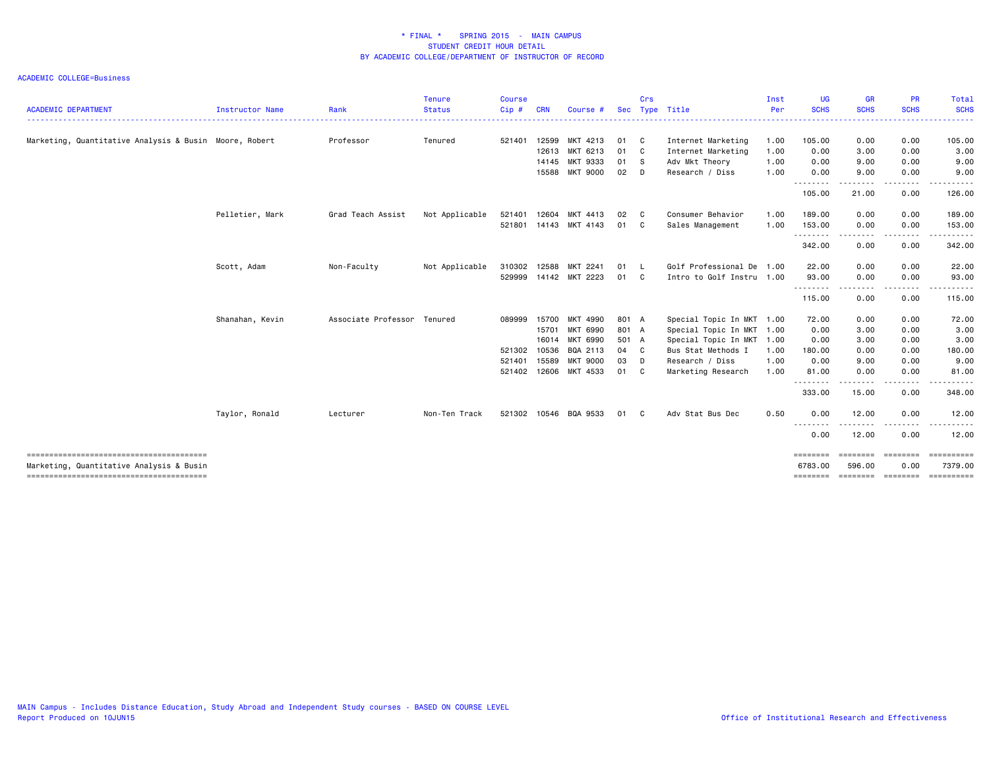|                                                        |                 |                             | <b>Tenure</b>      | <b>Course</b> |            |                       |       | Crs          |                           | Inst | <b>UG</b>          | <b>GR</b>        | <b>PR</b>                                | Total                                            |
|--------------------------------------------------------|-----------------|-----------------------------|--------------------|---------------|------------|-----------------------|-------|--------------|---------------------------|------|--------------------|------------------|------------------------------------------|--------------------------------------------------|
| <b>ACADEMIC DEPARTMENT</b>                             | Instructor Name | Rank                        | <b>Status</b><br>. | Cip#          | <b>CRN</b> | Course #              | Sec   |              | Type Title                | Per  | <b>SCHS</b>        | <b>SCHS</b><br>. | <b>SCHS</b><br><u> - - - - - - - - .</u> | <b>SCHS</b><br>.                                 |
| Marketing, Quantitative Analysis & Busin Moore, Robert |                 | Professor                   | Tenured            | 521401        | 12599      | MKT 4213              | 01 C  |              | Internet Marketing        | 1.00 | 105.00             | 0.00             | 0.00                                     | 105.00                                           |
|                                                        |                 |                             |                    |               | 12613      | MKT 6213              | 01 C  |              | Internet Marketing        | 1.00 | 0.00               | 3.00             | 0.00                                     | 3.00                                             |
|                                                        |                 |                             |                    |               | 14145      | MKT 9333              | 01 S  |              | Adv Mkt Theory            | 1.00 | 0.00               | 9.00             | 0.00                                     | 9.00                                             |
|                                                        |                 |                             |                    |               | 15588      | <b>MKT 9000</b>       | 02 D  |              | Research / Diss           | 1.00 | 0.00               | 9.00             | 0.00                                     | 9.00                                             |
|                                                        |                 |                             |                    |               |            |                       |       |              |                           |      | 105.00             | 21.00            | 0.00                                     | 126.00                                           |
|                                                        | Pelletier, Mark | Grad Teach Assist           | Not Applicable     | 521401        | 12604      | MKT 4413              | 02    | $\mathbf{C}$ | Consumer Behavior         | 1.00 | 189.00             | 0.00             | 0.00                                     | 189.00                                           |
|                                                        |                 |                             |                    | 521801        | 14143      | MKT 4143              | 01    | $\mathbf{C}$ | Sales Management          | 1.00 | 153.00<br>.        | 0.00<br>.        | 0.00<br>-----                            | 153.00                                           |
|                                                        |                 |                             |                    |               |            |                       |       |              |                           |      | 342.00             | 0.00             | 0.00                                     | 342.00                                           |
|                                                        | Scott, Adam     | Non-Faculty                 | Not Applicable     | 310302        | 12588      | MKT 2241              | 01    | $\mathsf{L}$ | Golf Professional De 1.00 |      | 22.00              | 0.00             | 0.00                                     | 22.00                                            |
|                                                        |                 |                             |                    | 529999        |            | 14142 MKT 2223        | 01    | $\mathbf{C}$ | Intro to Golf Instru 1.00 |      | 93.00              | 0.00             | 0.00                                     | 93.00                                            |
|                                                        |                 |                             |                    |               |            |                       |       |              |                           |      | .<br>115.00        | 0.00             | 0.00                                     | 115.00                                           |
|                                                        | Shanahan, Kevin | Associate Professor Tenured |                    | 089999        | 15700      | MKT 4990              | 801 A |              | Special Topic In MKT 1.00 |      | 72.00              | 0.00             | 0.00                                     | 72.00                                            |
|                                                        |                 |                             |                    |               | 15701      | MKT 6990              | 801 A |              | Special Topic In MKT 1.00 |      | 0.00               | 3.00             | 0.00                                     | 3.00                                             |
|                                                        |                 |                             |                    |               | 16014      | MKT 6990              | 501 A |              | Special Topic In MKT 1.00 |      | 0.00               | 3.00             | 0.00                                     | 3.00                                             |
|                                                        |                 |                             |                    | 521302        | 10536      | BQA 2113              | 04 C  |              | Bus Stat Methods I        | 1.00 | 180.00             | 0.00             | 0.00                                     | 180.00                                           |
|                                                        |                 |                             |                    | 521401        | 15589      | <b>MKT 9000</b>       | 03 D  |              | Research / Diss           | 1.00 | 0.00               | 9.00             | 0.00                                     | 9.00                                             |
|                                                        |                 |                             |                    | 521402        | 12606      | MKT 4533              | 01    | <b>C</b>     | Marketing Research        | 1.00 | 81.00              | 0.00             | 0.00                                     | 81.00                                            |
|                                                        |                 |                             |                    |               |            |                       |       |              |                           |      | --------<br>333.00 | 15.00            | 0.00                                     | 348.00                                           |
|                                                        | Taylor, Ronald  | Lecturer                    | Non-Ten Track      |               |            | 521302 10546 BQA 9533 | 01    | C            | Adv Stat Bus Dec          | 0.50 | 0.00               | 12.00            | 0.00                                     | 12.00                                            |
|                                                        |                 |                             |                    |               |            |                       |       |              |                           |      | .<br>0.00          | .<br>12.00       | 0.00                                     | 12.00                                            |
|                                                        |                 |                             |                    |               |            |                       |       |              |                           |      | ========           | ========         | ========                                 | ==========                                       |
| Marketing, Quantitative Analysis & Busin               |                 |                             |                    |               |            |                       |       |              |                           |      | 6783.00            | 596.00           | 0.00                                     | 7379.00<br>======== ======== ======== ========== |
|                                                        |                 |                             |                    |               |            |                       |       |              |                           |      |                    |                  |                                          |                                                  |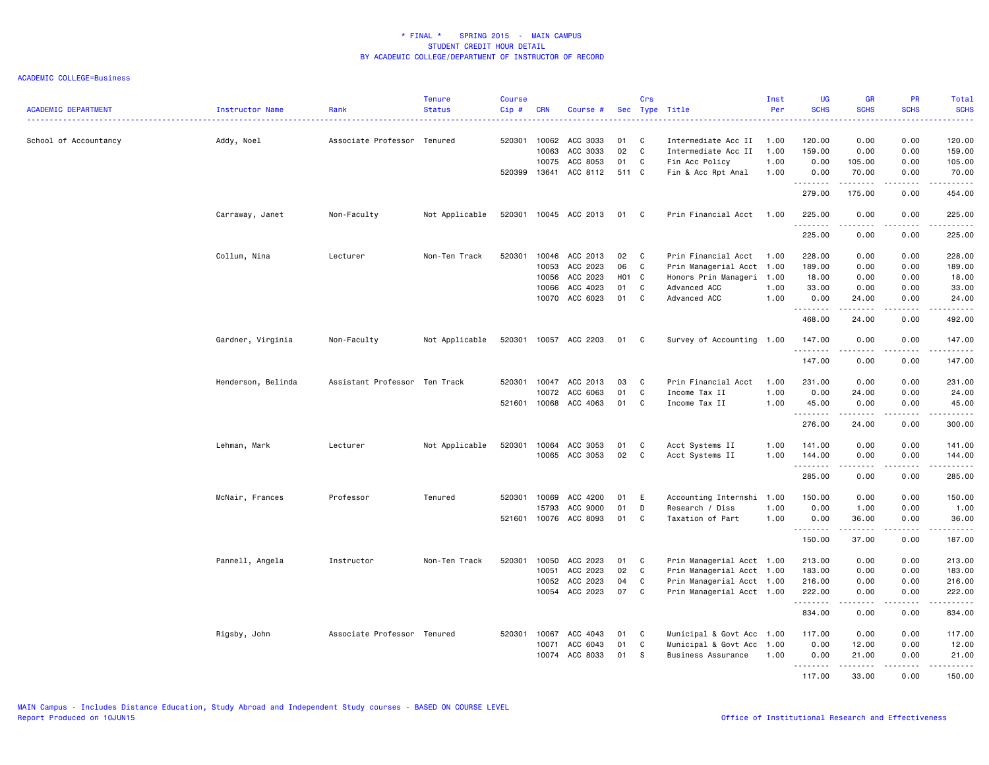| <b>ACADEMIC DEPARTMENT</b> | Instructor Name    | Rank                          | <b>Tenure</b><br><b>Status</b> | <b>Course</b><br>Cip# | <b>CRN</b>   | Course #              |       | Crs          | Sec Type Title            | Inst<br>Per | <b>UG</b><br><b>SCHS</b> | <b>GR</b><br><b>SCHS</b> | <b>PR</b><br><b>SCHS</b>            | Total<br><b>SCHS</b><br>.                                                                                             |
|----------------------------|--------------------|-------------------------------|--------------------------------|-----------------------|--------------|-----------------------|-------|--------------|---------------------------|-------------|--------------------------|--------------------------|-------------------------------------|-----------------------------------------------------------------------------------------------------------------------|
| School of Accountancy      | Addy, Noel         | Associate Professor Tenured   |                                | 520301                | 10062        | ACC 3033              | 01    | C            | Intermediate Acc II       | 1.00        | 120.00                   | 0.00                     | 0.00                                | 120.00                                                                                                                |
|                            |                    |                               |                                |                       | 10063        | ACC 3033              | 02    | C            | Intermediate Acc II       | 1.00        | 159.00                   | 0.00                     | 0.00                                | 159.00                                                                                                                |
|                            |                    |                               |                                |                       | 10075        | ACC 8053              | 01    | C            | Fin Acc Policy            | 1.00        | 0.00                     | 105.00                   | 0.00                                | 105.00                                                                                                                |
|                            |                    |                               |                                | 520399                | 13641        | ACC 8112              | 511 C |              | Fin & Acc Rpt Anal        | 1.00        | 0.00<br>.                | 70.00<br>.               | 0.00<br>.                           | 70.00<br>.                                                                                                            |
|                            |                    |                               |                                |                       |              |                       |       |              |                           |             | 279.00                   | 175.00                   | 0.00                                | 454.00                                                                                                                |
|                            | Carraway, Janet    | Non-Faculty                   | Not Applicable                 |                       |              | 520301 10045 ACC 2013 | 01    | $\mathbf{C}$ | Prin Financial Acct       | 1.00        | 225.00<br>.              | 0.00                     | 0.00                                | 225.00<br>.                                                                                                           |
|                            |                    |                               |                                |                       |              |                       |       |              |                           |             | 225.00                   | 0.00                     | 0.00                                | 225.00                                                                                                                |
|                            | Collum, Nina       | Lecturer                      | Non-Ten Track                  | 520301                | 10046        | ACC 2013              | 02    | C            | Prin Financial Acct       | 1.00        | 228.00                   | 0.00                     | 0.00                                | 228.00                                                                                                                |
|                            |                    |                               |                                |                       | 10053        | ACC 2023              | 06    | C            | Prin Managerial Acct      | 1.00        | 189.00                   | 0.00                     | 0.00                                | 189.00                                                                                                                |
|                            |                    |                               |                                |                       | 10056        | ACC 2023              | H01 C |              | Honors Prin Manageri 1.00 |             | 18.00                    | 0.00                     | 0.00                                | 18.00                                                                                                                 |
|                            |                    |                               |                                |                       | 10066        | ACC 4023              | 01    | C            | Advanced ACC              | 1.00        | 33.00                    | 0.00                     | 0.00                                | 33.00                                                                                                                 |
|                            |                    |                               |                                |                       |              | 10070 ACC 6023        | 01    | C            | Advanced ACC              | 1.00        | 0.00<br>.                | 24.00<br>.               | 0.00<br>.                           | 24.00<br>.                                                                                                            |
|                            |                    |                               |                                |                       |              |                       |       |              |                           |             | 468.00                   | 24.00                    | 0.00                                | 492.00                                                                                                                |
|                            | Gardner, Virginia  | Non-Faculty                   | Not Applicable                 |                       |              | 520301 10057 ACC 2203 | 01    | C            | Survey of Accounting 1.00 |             | 147.00<br>.              | 0.00                     | 0.00                                | 147.00<br>.                                                                                                           |
|                            |                    |                               |                                |                       |              |                       |       |              |                           |             | 147.00                   | 0.00                     | 0.00                                | 147.00                                                                                                                |
|                            | Henderson, Belinda | Assistant Professor Ten Track |                                | 520301                | 10047        | ACC 2013              | 03    | C            | Prin Financial Acct       | 1.00        | 231.00                   | 0.00                     | 0.00                                | 231.00                                                                                                                |
|                            |                    |                               |                                |                       | 10072        | ACC 6063              | 01    | C            | Income Tax II             | 1.00        | 0.00                     | 24.00                    | 0.00                                | 24.00                                                                                                                 |
|                            |                    |                               |                                | 521601                | 10068        | ACC 4063              | 01    | C            | Income Tax II             | 1.00        | 45.00                    | 0.00<br><b>.</b>         | 0.00<br>$\sim$ $\sim$ $\sim$ $\sim$ | 45.00<br>.                                                                                                            |
|                            |                    |                               |                                |                       |              |                       |       |              |                           |             | 276.00                   | 24.00                    | 0.00                                | 300.00                                                                                                                |
|                            | Lehman, Mark       | Lecturer                      | Not Applicable                 | 520301                | 10064        | ACC 3053              | 01    | C            | Acct Systems II           | 1.00        | 141.00                   | 0.00                     | 0.00                                | 141.00                                                                                                                |
|                            |                    |                               |                                |                       |              | 10065 ACC 3053        | 02    | C            | Acct Systems II           | 1.00        | 144.00<br>.              | 0.00<br>المتمام والمناور | 0.00<br>.                           | 144.00                                                                                                                |
|                            |                    |                               |                                |                       |              |                       |       |              |                           |             | 285.00                   | 0.00                     | 0.00                                | 285.00                                                                                                                |
|                            | McNair, Frances    | Professor                     | Tenured                        | 520301                | 10069        | ACC 4200              | 01    | E            | Accounting Internshi      | 1.00        | 150.00                   | 0.00                     | 0.00                                | 150.00                                                                                                                |
|                            |                    |                               |                                |                       | 15793        | ACC 9000              | 01    | D            | Research / Diss           | 1.00        | 0.00                     | 1.00                     | 0.00                                | 1.00                                                                                                                  |
|                            |                    |                               |                                |                       |              | 521601 10076 ACC 8093 | 01    | C            | Taxation of Part          | 1.00        | 0.00                     | 36.00<br>.               | 0.00<br>.                           | 36.00<br>.                                                                                                            |
|                            |                    |                               |                                |                       |              |                       |       |              |                           |             | 150.00                   | 37.00                    | 0.00                                | 187.00                                                                                                                |
|                            | Pannell, Angela    | Instructor                    | Non-Ten Track                  | 520301                | 10050        | ACC 2023              | 01    | C            | Prin Managerial Acct 1.00 |             | 213.00                   | 0.00                     | 0.00                                | 213.00                                                                                                                |
|                            |                    |                               |                                |                       | 10051        | ACC 2023              | 02    | C            | Prin Managerial Acct 1.00 |             | 183.00                   | 0.00                     | 0.00                                | 183.00                                                                                                                |
|                            |                    |                               |                                |                       | 10052        | ACC 2023              | 04    | C            | Prin Managerial Acct 1.00 |             | 216.00                   | 0.00                     | 0.00                                | 216.00                                                                                                                |
|                            |                    |                               |                                |                       | 10054        | ACC 2023              | 07    | C            | Prin Managerial Acct 1.00 |             | 222.00<br>.              | 0.00<br>.                | 0.00<br>$\sim$ $\sim$ $\sim$ $\sim$ | 222.00<br>$\begin{array}{cccccccccc} \bullet & \bullet & \bullet & \bullet & \bullet & \bullet & \bullet \end{array}$ |
|                            |                    |                               |                                |                       |              |                       |       |              |                           |             | 834.00                   | 0.00                     | 0.00                                | 834.00                                                                                                                |
|                            | Rigsby, John       | Associate Professor Tenured   |                                |                       | 520301 10067 | ACC 4043              | 01    | C            | Municipal & Govt Acc 1.00 |             | 117.00                   | 0.00                     | 0.00                                | 117.00                                                                                                                |
|                            |                    |                               |                                |                       | 10071        | ACC 6043              | 01    | C            | Municipal & Govt Acc 1.00 |             | 0.00                     | 12.00                    | 0.00                                | 12.00                                                                                                                 |
|                            |                    |                               |                                |                       | 10074        | ACC 8033              | 01    | -S           | Business Assurance        | 1.00        | 0.00                     | 21.00<br>.               | 0.00<br>.                           | 21.00<br>.                                                                                                            |
|                            |                    |                               |                                |                       |              |                       |       |              |                           |             | 117.00                   | 33.00                    | 0.00                                | 150.00                                                                                                                |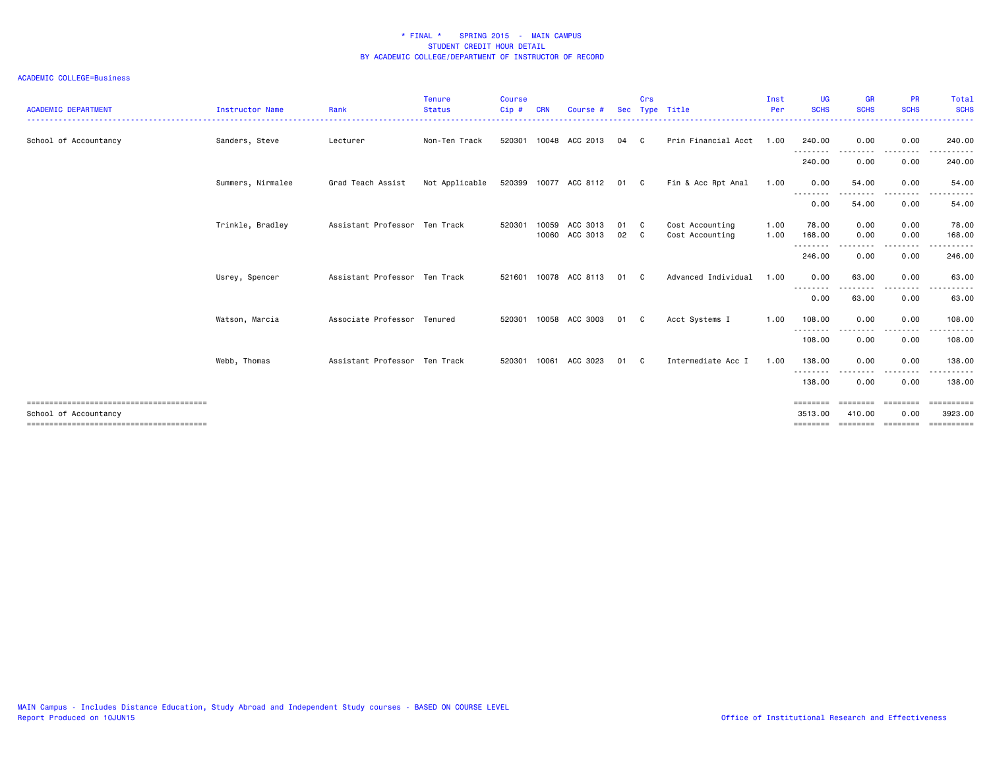| <b>ACADEMIC DEPARTMENT</b> | <b>Instructor Name</b> | Rank                          | <b>Tenure</b><br><b>Status</b> | <b>Course</b><br>Cip# | <b>CRN</b> | Course #                   | <b>Sec</b> | Crs      | Type Title                         | Inst<br>Per  | <b>UG</b><br><b>SCHS</b><br><u> - - - - - - - - -</u> | <b>GR</b><br><b>SCHS</b>      | <b>PR</b><br><b>SCHS</b>     | Total<br><b>SCHS</b><br>-------           |
|----------------------------|------------------------|-------------------------------|--------------------------------|-----------------------|------------|----------------------------|------------|----------|------------------------------------|--------------|-------------------------------------------------------|-------------------------------|------------------------------|-------------------------------------------|
| School of Accountancy      | Sanders, Steve         | Lecturer                      | Non-Ten Track                  | 520301                |            | 10048 ACC 2013             | 04         | - C      | Prin Financial Acct                | 1.00         | 240.00<br>---------                                   | 0.00<br>.                     | 0.00<br>--------             | 240.00<br>------                          |
|                            |                        |                               |                                |                       |            |                            |            |          |                                    |              | 240.00                                                | 0.00                          | 0.00                         | 240.00                                    |
|                            | Summers, Nirmalee      | Grad Teach Assist             | Not Applicable                 |                       |            | 520399 10077 ACC 8112      | 01 C       |          | Fin & Acc Rpt Anal                 | 1.00         | 0.00                                                  | 54.00                         | 0.00<br>. <u>.</u> .         | 54.00<br>.                                |
|                            |                        |                               |                                |                       |            |                            |            |          |                                    |              | --------<br>0.00                                      | 54.00                         | 0.00                         | 54.00                                     |
|                            | Trinkle, Bradley       | Assistant Professor Ten Track |                                | 520301                | 10059      | ACC 3013<br>10060 ACC 3013 | 01<br>02   | - C<br>C | Cost Accounting<br>Cost Accounting | 1.00<br>1.00 | 78.00<br>168.00<br>--------                           | 0.00<br>0.00<br>.             | 0.00<br>0.00<br>-----        | 78.00<br>168,00<br>.                      |
|                            |                        |                               |                                |                       |            |                            |            |          |                                    |              | 246.00                                                | 0.00                          | 0.00                         | 246.00                                    |
|                            | Usrey, Spencer         | Assistant Professor Ten Track |                                | 521601                |            | 10078 ACC 8113             | 01         | - C      | Advanced Individual                | 1.00         | 0.00                                                  | 63.00<br>--------             | 0.00<br>.                    | 63.00<br>$\cdots$<br>------               |
|                            |                        |                               |                                |                       |            |                            |            |          |                                    |              | 0.00                                                  | 63.00                         | 0.00                         | 63.00                                     |
|                            | Watson, Marcia         | Associate Professor Tenured   |                                | 520301                | 10058      | ACC 3003                   | 01         | C.       | Acct Systems I                     | 1.00         | 108.00<br>- - - - - - - -                             | 0.00                          | 0.00<br>----                 | 108.00<br>.                               |
|                            |                        |                               |                                |                       |            |                            |            |          |                                    |              | 108.00                                                | 0.00                          | 0.00                         | 108.00                                    |
|                            | Webb, Thomas           | Assistant Professor Ten Track |                                | 520301                | 10061      | ACC 3023                   | 01         | C.       | Intermediate Acc I                 | 1.00         | 138.00                                                | 0.00                          | 0.00                         | 138,00                                    |
|                            |                        |                               |                                |                       |            |                            |            |          |                                    |              | --------<br>138.00                                    | 0.00                          | $\cdots$<br>0.00             | .<br>138.00                               |
| School of Accountancy      |                        |                               |                                |                       |            |                            |            |          |                                    |              | ========<br>3513,00<br>========                       | eeeeeee<br>410.00<br>======== | ========<br>0.00<br>======== | <b>Expressed</b><br>3923.00<br>========== |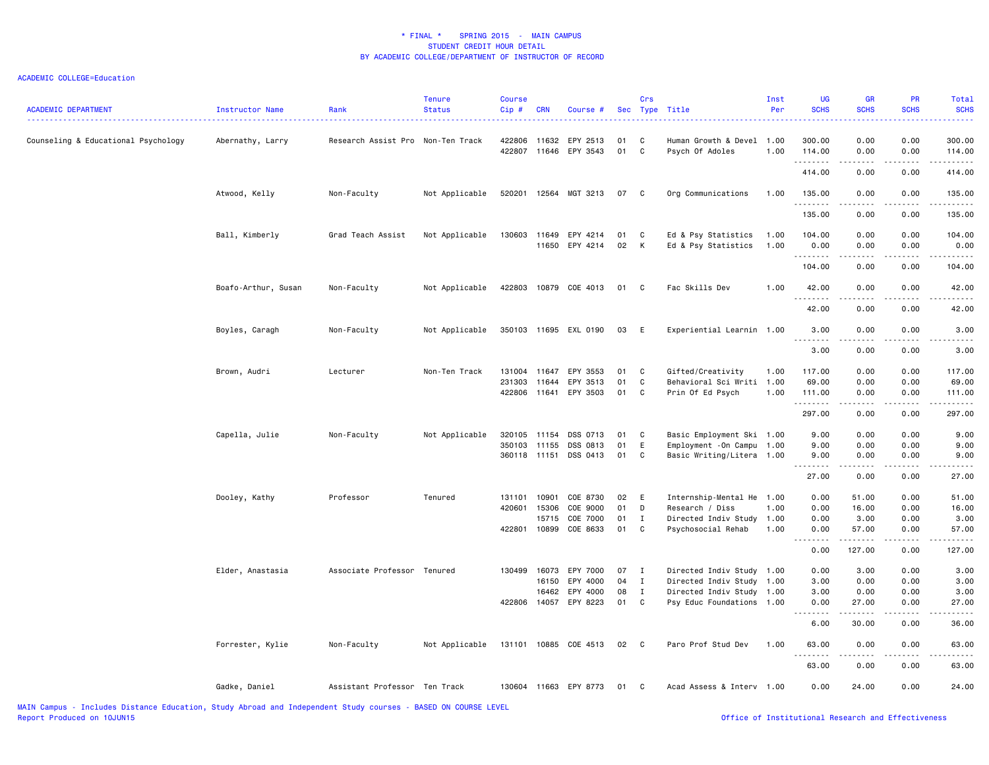| <b>ACADEMIC DEPARTMENT</b>          | <b>Instructor Name</b> | Rank                              | <b>Tenure</b><br><b>Status</b> | <b>Course</b><br>Cip# | <b>CRN</b>     | Course #                   |          | Crs               | Sec Type Title                                | Inst<br>Per  | <b>UG</b><br><b>SCHS</b> | <b>GR</b><br><b>SCHS</b> | PR<br><b>SCHS</b>    | Total<br><b>SCHS</b>  |
|-------------------------------------|------------------------|-----------------------------------|--------------------------------|-----------------------|----------------|----------------------------|----------|-------------------|-----------------------------------------------|--------------|--------------------------|--------------------------|----------------------|-----------------------|
| Counseling & Educational Psychology | Abernathy, Larry       | Research Assist Pro Non-Ten Track |                                | 422806<br>422807      | 11632          | EPY 2513<br>11646 EPY 3543 | 01<br>01 | C<br>$\mathbf{C}$ | Human Growth & Devel 1.00<br>Psych Of Adoles  | 1.00         | 300.00<br>114.00         | 0.00<br>0.00             | 0.00<br>0.00         | 300.00<br>114.00      |
|                                     |                        |                                   |                                |                       |                |                            |          |                   |                                               |              | .<br>414.00              | ----<br>0.00             | .<br>0.00            | .<br>414.00           |
|                                     | Atwood, Kelly          | Non-Faculty                       | Not Applicable                 | 520201                | 12564          | MGT 3213                   | 07       | C                 | Org Communications                            | 1.00         | 135.00                   | 0.00                     | 0.00                 | 135.00                |
|                                     |                        |                                   |                                |                       |                |                            |          |                   |                                               |              | .<br>135.00              | 2.2.2.2.2<br>0.00        | 22222<br>0.00        | .<br>135.00           |
|                                     | Ball, Kimberly         | Grad Teach Assist                 | Not Applicable                 | 130603                | 11649          | EPY 4214<br>11650 EPY 4214 | 01<br>02 | C<br>K            | Ed & Psy Statistics<br>Ed & Psy Statistics    | 1.00<br>1.00 | 104.00<br>0.00           | 0.00<br>0.00             | 0.00<br>0.00         | 104.00<br>0.00        |
|                                     |                        |                                   |                                |                       |                |                            |          |                   |                                               |              | <u>.</u><br>104.00       | 0.00                     | 0.00                 | .<br>104.00           |
|                                     | Boafo-Arthur, Susan    | Non-Faculty                       | Not Applicable                 |                       |                | 422803 10879 COE 4013      | 01       | C.                | Fac Skills Dev                                | 1.00         | 42.00                    | 0.00                     | 0.00                 | 42.00                 |
|                                     |                        |                                   |                                |                       |                |                            |          |                   |                                               |              | .<br>42.00               | .<br>0.00                | .<br>0.00            | .<br>42.00            |
|                                     | Boyles, Caragh         | Non-Faculty                       | Not Applicable                 |                       |                | 350103 11695 EXL 0190      | 03       | E                 | Experiential Learnin 1.00                     |              | 3.00<br><u>.</u>         | 0.00<br>$\frac{1}{2}$    | 0.00<br>. <u>. .</u> | 3.00<br>$\frac{1}{2}$ |
|                                     |                        |                                   |                                |                       |                |                            |          |                   |                                               |              | 3.00                     | 0.00                     | 0.00                 | 3.00                  |
|                                     | Brown, Audri           | Lecturer                          | Non-Ten Track                  | 131004                | 11647          | EPY 3553                   | 01<br>01 | C                 | Gifted/Creativity                             | 1.00         | 117.00                   | 0.00                     | 0.00                 | 117.00                |
|                                     |                        |                                   |                                | 231303<br>422806      | 11644<br>11641 | EPY 3513<br>EPY 3503       | 01       | C<br>C            | Behavioral Sci Writi 1.00<br>Prin Of Ed Psych | 1.00         | 69.00<br>111.00          | 0.00<br>0.00             | 0.00<br>0.00         | 69.00<br>111.00       |
|                                     |                        |                                   |                                |                       |                |                            |          |                   |                                               |              | .<br>297.00              | 0.00                     | .<br>0.00            | .<br>297.00           |
|                                     | Capella, Julie         | Non-Faculty                       | Not Applicable                 | 320105                | 11154          | DSS 0713                   | 01       | C                 | Basic Employment Ski 1.00                     |              | 9.00                     | 0.00                     | 0.00                 | 9.00                  |
|                                     |                        |                                   |                                | 350103                | 11155          | DSS 0813                   | 01       | E                 | Employment - On Campu 1.00                    |              | 9.00                     | 0.00                     | 0.00                 | 9.00                  |
|                                     |                        |                                   |                                | 360118 11151          |                | DSS 0413                   | 01       | C                 | Basic Writing/Litera 1.00                     |              | 9.00<br>22222            | 0.00<br>22222            | 0.00<br>.            | 9.00<br>.             |
|                                     |                        |                                   |                                |                       |                |                            |          |                   |                                               |              | 27.00                    | 0.00                     | 0.00                 | 27.00                 |
|                                     | Dooley, Kathy          | Professor                         | Tenured                        | 131101                | 10901          | COE 8730                   | 02       | E                 | Internship-Mental He 1.00                     |              | 0.00                     | 51.00                    | 0.00                 | 51.00                 |
|                                     |                        |                                   |                                | 420601                | 15306          | COE 9000                   | 01       | D                 | Research / Diss                               | 1.00         | 0.00                     | 16.00                    | 0.00                 | 16.00                 |
|                                     |                        |                                   |                                |                       | 15715          | COE 7000                   | 01       | $\mathbf I$       | Directed Indiv Study                          | 1.00         | 0.00                     | 3.00                     | 0.00                 | 3.00                  |
|                                     |                        |                                   |                                | 422801                | 10899          | COE 8633                   | 01       | C                 | Psychosocial Rehab                            | 1.00         | 0.00                     | 57.00<br>-------         | 0.00<br>.            | 57.00<br>.            |
|                                     |                        |                                   |                                |                       |                |                            |          |                   |                                               |              | 0.00                     | 127.00                   | 0.00                 | 127.00                |
|                                     | Elder, Anastasia       | Associate Professor Tenured       |                                | 130499                | 16073          | EPY 7000                   | 07       | $\mathbf{I}$      | Directed Indiv Study 1.00                     |              | 0.00                     | 3.00                     | 0.00                 | 3.00                  |
|                                     |                        |                                   |                                |                       | 16150          | EPY 4000                   | 04       | $\mathbf{I}$      | Directed Indiv Study 1.00                     |              | 3.00                     | 0.00                     | 0.00                 | 3.00                  |
|                                     |                        |                                   |                                |                       | 16462          | EPY 4000                   | 08       | $\mathbf I$       | Directed Indiv Study                          | 1.00         | 3.00                     | 0.00                     | 0.00                 | 3.00                  |
|                                     |                        |                                   |                                | 422806                |                | 14057 EPY 8223             | 01       | C                 | Psy Educ Foundations 1.00                     |              | 0.00<br>.                | 27.00<br>.               | 0.00<br>.            | 27.00<br>.            |
|                                     |                        |                                   |                                |                       |                |                            |          |                   |                                               |              | 6.00                     | 30.00                    | 0.00                 | 36.00                 |
|                                     | Forrester, Kylie       | Non-Faculty                       | Not Applicable                 | 131101                |                | 10885 COE 4513             | 02       | C                 | Paro Prof Stud Dev                            | 1.00         | 63.00<br><u>.</u>        | 0.00<br>.                | 0.00<br>.            | 63.00<br>.            |
|                                     |                        |                                   |                                |                       |                |                            |          |                   |                                               |              | 63.00                    | 0.00                     | 0.00                 | 63.00                 |
|                                     | Gadke, Daniel          | Assistant Professor Ten Track     |                                | 130604                |                | 11663 EPY 8773             | 01       | $\mathbf{C}$      | Acad Assess & Interv 1.00                     |              | 0.00                     | 24.00                    | 0.00                 | 24.00                 |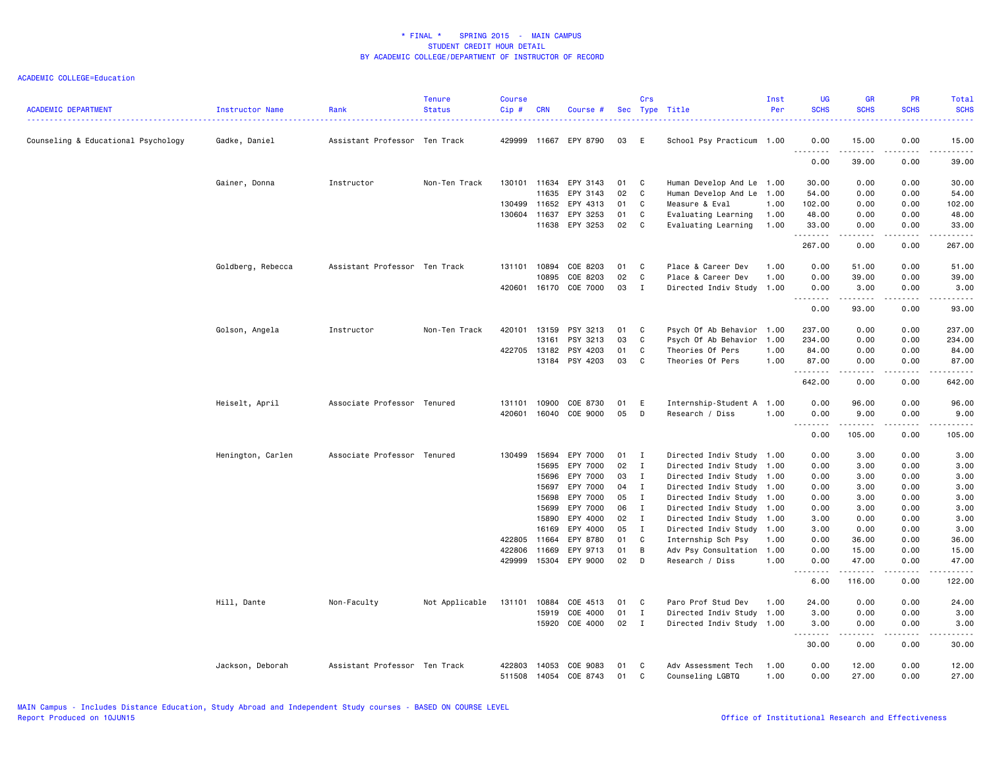| <b>ACADEMIC DEPARTMENT</b>          | Instructor Name   | Rank                          | <b>Tenure</b><br><b>Status</b> | <b>Course</b><br>$Cip$ # | <b>CRN</b>     | Course #             |          | Crs          | Sec Type Title                          | Inst<br>Per  | <b>UG</b><br><b>SCHS</b>                                                                                                  | GR<br><b>SCHS</b> | PR<br><b>SCHS</b>                   | <b>Total</b><br><b>SCHS</b>                           |
|-------------------------------------|-------------------|-------------------------------|--------------------------------|--------------------------|----------------|----------------------|----------|--------------|-----------------------------------------|--------------|---------------------------------------------------------------------------------------------------------------------------|-------------------|-------------------------------------|-------------------------------------------------------|
| Counseling & Educational Psychology | Gadke, Daniel     | Assistant Professor Ten Track |                                | 429999                   | 11667          | EPY 8790             | 03       | E            | School Psy Practicum 1.00               |              | 0.00<br>$\sim$ $\sim$ $\sim$<br>.                                                                                         | 15.00             | 0.00<br>$\sim$ $\sim$ $\sim$ $\sim$ | 15.00<br>$\omega$ $\omega$ $\omega$ $\omega$ $\omega$ |
|                                     |                   |                               |                                |                          |                |                      |          |              |                                         |              | 0.00                                                                                                                      | 39.00             | 0.00                                | 39.00                                                 |
|                                     | Gainer, Donna     | Instructor                    | Non-Ten Track                  | 130101 11634             |                | EPY 3143             | 01       | C            | Human Develop And Le 1.00               |              | 30.00                                                                                                                     | 0.00              | 0.00                                | 30.00                                                 |
|                                     |                   |                               |                                |                          | 11635          | EPY 3143             | 02       | C            | Human Develop And Le                    | 1.00         | 54.00                                                                                                                     | 0.00              | 0.00                                | 54.00                                                 |
|                                     |                   |                               |                                | 130499                   | 11652          | EPY 4313             | 01       | C            | Measure & Eval                          | 1.00         | 102.00                                                                                                                    | 0.00              | 0.00                                | 102.00                                                |
|                                     |                   |                               |                                | 130604 11637             |                | EPY 3253             | 01       | C            | Evaluating Learning                     | 1.00         | 48.00                                                                                                                     | 0.00              | 0.00                                | 48.00                                                 |
|                                     |                   |                               |                                |                          | 11638          | EPY 3253             | 02       | C            | Evaluating Learning                     | 1.00         | 33.00<br><u>.</u>                                                                                                         | 0.00              | 0.00                                | 33.00<br>.                                            |
|                                     |                   |                               |                                |                          |                |                      |          |              |                                         |              | 267.00                                                                                                                    | 0.00              | 0.00                                | 267.00                                                |
|                                     | Goldberg, Rebecca | Assistant Professor Ten Track |                                | 131101                   | 10894          | COE 8203             | 01       | C            | Place & Career Dev                      | 1.00         | 0.00                                                                                                                      | 51.00             | 0.00                                | 51.00                                                 |
|                                     |                   |                               |                                |                          | 10895          | COE 8203             | 02       | $\mathbb{C}$ | Place & Career Dev                      | 1.00         | 0.00                                                                                                                      | 39.00             | 0.00                                | 39.00                                                 |
|                                     |                   |                               |                                | 420601                   | 16170          | COE 7000             | 03       | $\mathbf{I}$ | Directed Indiv Study                    | 1.00         | 0.00<br>-----<br>$- - -$                                                                                                  | 3.00<br>.         | 0.00<br>. <b>.</b> .                | 3.00<br>.                                             |
|                                     |                   |                               |                                |                          |                |                      |          |              |                                         |              | 0.00                                                                                                                      | 93.00             | 0.00                                | 93.00                                                 |
|                                     | Golson, Angela    | Instructor                    | Non-Ten Track                  | 420101                   | 13159          | PSY 3213             | 01       | C            | Psych Of Ab Behavior 1.00               |              | 237.00                                                                                                                    | 0.00              | 0.00                                | 237.00                                                |
|                                     |                   |                               |                                |                          | 13161          | PSY 3213             | 03       | C            | Psych Of Ab Behavior                    | 1.00         | 234.00                                                                                                                    | 0.00              | 0.00                                | 234.00                                                |
|                                     |                   |                               |                                | 422705                   | 13182          | PSY 4203             | 01       | C            | Theories Of Pers                        | 1.00         | 84.00                                                                                                                     | 0.00              | 0.00                                | 84.00                                                 |
|                                     |                   |                               |                                |                          | 13184          | PSY 4203             | 03       | C            | Theories Of Pers                        | 1.00         | 87.00<br>.                                                                                                                | 0.00<br>.         | 0.00<br>$- - - -$                   | 87.00<br>.                                            |
|                                     |                   |                               |                                |                          |                |                      |          |              |                                         |              | 642.00                                                                                                                    | 0.00              | 0.00                                | 642.00                                                |
|                                     | Heiselt, April    | Associate Professor Tenured   |                                | 131101                   | 10900          | COE 8730             | 01       | Ε            | Internship-Student A 1.00               |              | 0.00                                                                                                                      | 96.00             | 0.00                                | 96.00                                                 |
|                                     |                   |                               |                                | 420601                   | 16040          | COE 9000             | 05       | D            | Research / Diss                         | 1.00         | 0.00<br>.<br>$\sim$ $\sim$                                                                                                | 9.00<br>.         | 0.00<br>$\sim$ $\sim$ $\sim$ $\sim$ | 9.00<br>.                                             |
|                                     |                   |                               |                                |                          |                |                      |          |              |                                         |              | 0.00                                                                                                                      | 105.00            | 0.00                                | 105.00                                                |
|                                     | Henington, Carlen | Associate Professor Tenured   |                                | 130499                   | 15694          | EPY 7000             | 01       | I            | Directed Indiv Study 1.00               |              | 0.00                                                                                                                      | 3.00              | 0.00                                | 3.00                                                  |
|                                     |                   |                               |                                |                          | 15695          | EPY 7000             | 02       | I            | Directed Indiv Study 1.00               |              | 0.00                                                                                                                      | 3.00              | 0.00                                | 3.00                                                  |
|                                     |                   |                               |                                |                          | 15696          | EPY 7000             | 03       | $\mathbf{I}$ | Directed Indiv Study 1.00               |              | 0.00                                                                                                                      | 3.00              | 0.00                                | 3.00                                                  |
|                                     |                   |                               |                                |                          | 15697          | EPY 7000             | 04       | $\mathbf{I}$ | Directed Indiv Study 1.00               |              | 0.00                                                                                                                      | 3.00              | 0.00                                | 3.00                                                  |
|                                     |                   |                               |                                |                          | 15698          | EPY 7000             | 05       | $\mathbf{I}$ | Directed Indiv Study 1.00               |              | 0.00                                                                                                                      | 3.00              | 0.00                                | 3.00                                                  |
|                                     |                   |                               |                                |                          | 15699          | EPY 7000             | 06       | $\mathbf{I}$ | Directed Indiv Study 1.00               |              | 0.00                                                                                                                      | 3.00              | 0.00                                | 3.00                                                  |
|                                     |                   |                               |                                |                          | 15890          | EPY 4000             | 02       | $\mathbf{I}$ | Directed Indiv Study 1.00               |              | 3.00                                                                                                                      | 0.00              | 0.00                                | 3.00                                                  |
|                                     |                   |                               |                                |                          | 16169          | EPY 4000             | 05       | I            | Directed Indiv Study 1.00               |              | 3.00                                                                                                                      | 0.00              | 0.00                                | 3.00                                                  |
|                                     |                   |                               |                                | 422805                   | 11664<br>11669 | EPY 8780             | 01<br>01 | C<br>B       | Internship Sch Psy                      | 1.00         | 0.00                                                                                                                      | 36.00             | 0.00                                | 36.00                                                 |
|                                     |                   |                               |                                | 422806<br>429999         | 15304          | EPY 9713<br>EPY 9000 | 02       | D            | Adv Psy Consultation<br>Research / Diss | 1.00<br>1.00 | 0.00<br>0.00                                                                                                              | 15.00<br>47.00    | 0.00<br>0.00                        | 15.00<br>47.00                                        |
|                                     |                   |                               |                                |                          |                |                      |          |              |                                         |              | $\frac{1}{2} \left( \frac{1}{2} \right) \left( \frac{1}{2} \right) \left( \frac{1}{2} \right) \left( \frac{1}{2} \right)$ | .                 | د د د د                             | .                                                     |
|                                     |                   |                               |                                |                          |                |                      |          |              |                                         |              | 6.00                                                                                                                      | 116.00            | 0.00                                | 122.00                                                |
|                                     | Hill, Dante       | Non-Faculty                   | Not Applicable                 | 131101                   | 10884          | COE 4513             | 01       | C            | Paro Prof Stud Dev                      | 1.00         | 24.00                                                                                                                     | 0.00              | 0.00                                | 24.00                                                 |
|                                     |                   |                               |                                |                          | 15919          | COE 4000             | 01       | $\mathbf{I}$ | Directed Indiv Study 1.00               |              | 3.00                                                                                                                      | 0.00              | 0.00                                | 3.00                                                  |
|                                     |                   |                               |                                |                          | 15920          | COE 4000             | 02       | $\mathbf{I}$ | Directed Indiv Study 1.00               |              | 3.00                                                                                                                      | 0.00              | 0.00                                | 3.00                                                  |
|                                     |                   |                               |                                |                          |                |                      |          |              |                                         |              | 30.00                                                                                                                     | 0.00              | 0.00                                | 30.00                                                 |
|                                     | Jackson, Deborah  | Assistant Professor Ten Track |                                | 422803<br>511508         | 14053<br>14054 | COE 9083<br>COE 8743 | 01<br>01 | C<br>C       | Adv Assessment Tech<br>Counseling LGBTQ | 1.00<br>1.00 | 0.00<br>0.00                                                                                                              | 12.00<br>27.00    | 0.00<br>0.00                        | 12.00<br>27.00                                        |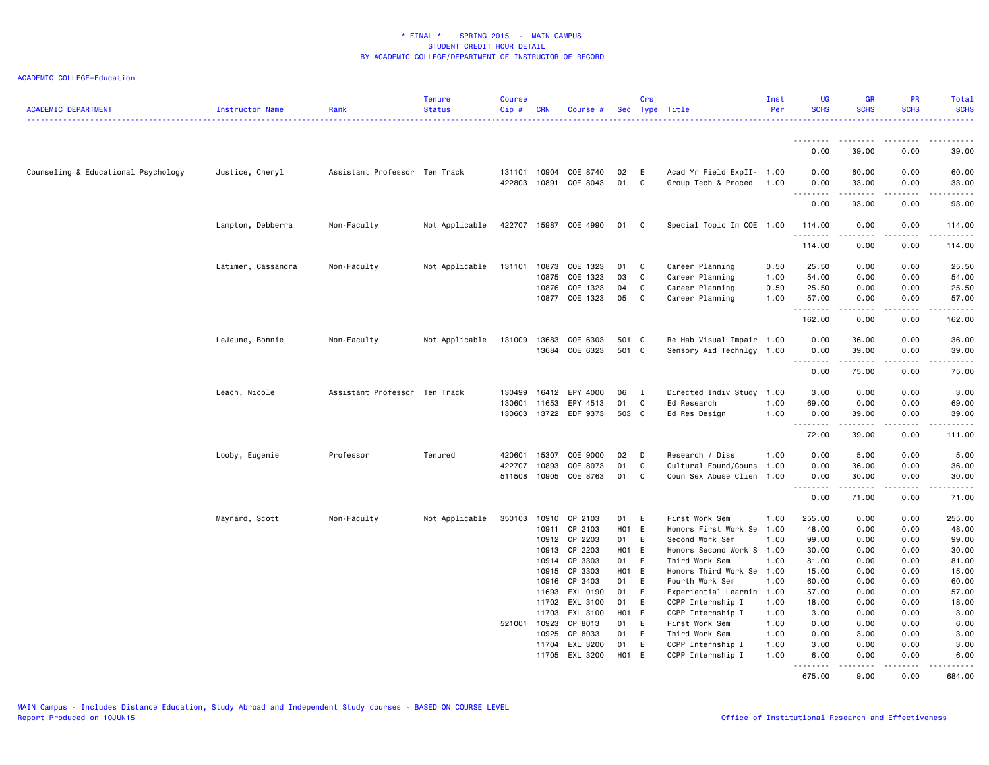| <b>ACADEMIC DEPARTMENT</b>          | Instructor Name    | Rank                          | <b>Tenure</b><br><b>Status</b> | <b>Course</b><br>Cip# | <b>CRN</b>     | Course #             |          | Crs          | Sec Type Title                                   | Inst<br>Per | <b>UG</b><br><b>SCHS</b>     | <b>GR</b><br><b>SCHS</b> | <b>PR</b><br><b>SCHS</b> | <b>Total</b><br><b>SCHS</b><br>.                                                                                      |
|-------------------------------------|--------------------|-------------------------------|--------------------------------|-----------------------|----------------|----------------------|----------|--------------|--------------------------------------------------|-------------|------------------------------|--------------------------|--------------------------|-----------------------------------------------------------------------------------------------------------------------|
|                                     |                    |                               |                                |                       |                |                      |          |              |                                                  |             | ---------                    | .                        | .                        | . <b>.</b> .                                                                                                          |
|                                     |                    |                               |                                |                       |                |                      |          |              |                                                  |             | 0.00                         | 39.00                    | 0.00                     | 39.00                                                                                                                 |
| Counseling & Educational Psychology | Justice, Cheryl    | Assistant Professor Ten Track |                                | 131101<br>422803      | 10904<br>10891 | COE 8740<br>COE 8043 | 02<br>01 | E<br>C       | Acad Yr Field ExpII- 1.00<br>Group Tech & Proced | 1.00        | 0.00<br>0.00                 | 60.00<br>33.00           | 0.00<br>0.00             | 60.00<br>33.00                                                                                                        |
|                                     |                    |                               |                                |                       |                |                      |          |              |                                                  |             | $\sim$ $\sim$ $\sim$<br>0.00 | 93.00                    | 0.00                     | 93.00                                                                                                                 |
|                                     | Lampton, Debberra  | Non-Faculty                   | Not Applicable                 | 422707                |                | 15987 COE 4990       | 01       | C            | Special Topic In COE 1.00                        |             | 114.00<br>.                  | 0.00<br>.                | 0.00<br>.                | 114.00<br>$\begin{array}{cccccccccc} \bullet & \bullet & \bullet & \bullet & \bullet & \bullet & \bullet \end{array}$ |
|                                     |                    |                               |                                |                       |                |                      |          |              |                                                  |             | 114.00                       | 0.00                     | 0.00                     | 114.00                                                                                                                |
|                                     | Latimer, Cassandra | Non-Faculty                   | Not Applicable                 | 131101                | 10873          | COE 1323             | 01       | C            | Career Planning                                  | 0.50        | 25.50                        | 0.00                     | 0.00                     | 25.50                                                                                                                 |
|                                     |                    |                               |                                |                       | 10875          | COE 1323             | 03       | C            | Career Planning                                  | 1.00        | 54.00                        | 0.00                     | 0.00                     | 54.00                                                                                                                 |
|                                     |                    |                               |                                |                       | 10876          | COE 1323             | 04       | C            | Career Planning                                  | 0.50        | 25.50                        | 0.00                     | 0.00                     | 25.50                                                                                                                 |
|                                     |                    |                               |                                |                       |                | 10877 COE 1323       | 05       | C            | Career Planning                                  | 1.00        | 57.00<br>.                   | 0.00<br>.                | 0.00<br>.                | 57.00<br>.                                                                                                            |
|                                     |                    |                               |                                |                       |                |                      |          |              |                                                  |             | 162.00                       | 0.00                     | 0.00                     | 162.00                                                                                                                |
|                                     | LeJeune, Bonnie    | Non-Faculty                   | Not Applicable                 | 131009                | 13683          | COE 6303             | 501 C    |              | Re Hab Visual Impair 1.00                        |             | 0.00                         | 36.00                    | 0.00                     | 36.00                                                                                                                 |
|                                     |                    |                               |                                |                       |                | 13684 COE 6323       | 501 C    |              | Sensory Aid Technlgy 1.00                        |             | 0.00                         | 39.00<br>.               | 0.00<br>.                | 39.00<br>.                                                                                                            |
|                                     |                    |                               |                                |                       |                |                      |          |              |                                                  |             | .<br>0.00                    | 75.00                    | 0.00                     | 75.00                                                                                                                 |
|                                     | Leach, Nicole      | Assistant Professor Ten Track |                                | 130499                | 16412          | EPY 4000             | 06       | $\mathbf{I}$ | Directed Indiv Study                             | 1.00        | 3.00                         | 0.00                     | 0.00                     | 3.00                                                                                                                  |
|                                     |                    |                               |                                | 130601                | 11653          | EPY 4513             | 01       | C            | Ed Research                                      | 1.00        | 69.00                        | 0.00                     | 0.00                     | 69.00                                                                                                                 |
|                                     |                    |                               |                                | 130603                |                | 13722 EDF 9373       | 503 C    |              | Ed Res Design                                    | 1.00        | 0.00                         | 39.00                    | 0.00                     | 39.00                                                                                                                 |
|                                     |                    |                               |                                |                       |                |                      |          |              |                                                  |             | 72.00                        | .<br>39.00               | .<br>0.00                | .<br>111.00                                                                                                           |
|                                     | Looby, Eugenie     | Professor                     | Tenured                        | 420601                | 15307          | COE 9000             | 02       | D            | Research / Diss                                  | 1.00        | 0.00                         | 5.00                     | 0.00                     | 5.00                                                                                                                  |
|                                     |                    |                               |                                | 422707                | 10893          | COE 8073             | 01       | C            | Cultural Found/Couns                             | 1.00        | 0.00                         | 36.00                    | 0.00                     | 36.00                                                                                                                 |
|                                     |                    |                               |                                | 511508                | 10905          | COE 8763             | 01       | C            | Coun Sex Abuse Clien 1.00                        |             | 0.00                         | 30.00                    | 0.00<br>.                | 30.00                                                                                                                 |
|                                     |                    |                               |                                |                       |                |                      |          |              |                                                  |             | 0.00                         | .<br>71.00               | 0.00                     | .<br>71.00                                                                                                            |
|                                     | Maynard, Scott     | Non-Faculty                   | Not Applicable                 | 350103                | 10910          | CP 2103              | 01       | E            | First Work Sem                                   | 1.00        | 255.00                       | 0.00                     | 0.00                     | 255.00                                                                                                                |
|                                     |                    |                               |                                |                       | 10911          | CP 2103              | H01 E    |              | Honors First Work Se                             | 1.00        | 48.00                        | 0.00                     | 0.00                     | 48.00                                                                                                                 |
|                                     |                    |                               |                                |                       | 10912          | CP 2203              | 01       | E            | Second Work Sem                                  | 1.00        | 99.00                        | 0.00                     | 0.00                     | 99.00                                                                                                                 |
|                                     |                    |                               |                                |                       | 10913          | CP 2203              | H01 E    |              | Honors Second Work S                             | 1.00        | 30.00                        | 0.00                     | 0.00                     | 30.00                                                                                                                 |
|                                     |                    |                               |                                |                       | 10914          | CP 3303              | 01       | E            | Third Work Sem                                   | 1.00        | 81.00                        | 0.00                     | 0.00                     | 81.00                                                                                                                 |
|                                     |                    |                               |                                |                       | 10915          | CP 3303              | H01 E    |              | Honors Third Work Se                             | 1.00        | 15.00                        | 0.00                     | 0.00                     | 15.00                                                                                                                 |
|                                     |                    |                               |                                |                       | 10916          | CP 3403              | 01       | E            | Fourth Work Sem                                  | 1.00        | 60.00                        | 0.00                     | 0.00                     | 60.00                                                                                                                 |
|                                     |                    |                               |                                |                       | 11693          | EXL 0190             | 01       | E            | Experiential Learnin                             | 1.00        | 57.00                        | 0.00                     | 0.00                     | 57.00                                                                                                                 |
|                                     |                    |                               |                                |                       | 11702          | EXL 3100             | 01       | E            | CCPP Internship I                                | 1.00        | 18.00                        | 0.00                     | 0.00                     | 18.00                                                                                                                 |
|                                     |                    |                               |                                |                       | 11703          | EXL 3100             | H01 E    |              | CCPP Internship I                                | 1.00        | 3.00                         | 0.00                     | 0.00                     | 3.00                                                                                                                  |
|                                     |                    |                               |                                | 521001 10923          |                | CP 8013              | 01       | E            | First Work Sem                                   | 1.00        | 0.00                         | 6.00                     | 0.00                     | 6.00                                                                                                                  |
|                                     |                    |                               |                                |                       | 10925          | CP 8033              | 01       | E            | Third Work Sem                                   | 1.00        | 0.00                         | 3.00                     | 0.00                     | 3.00                                                                                                                  |
|                                     |                    |                               |                                |                       | 11704          | EXL 3200             | 01       | E            | CCPP Internship I                                | 1.00        | 3.00                         | 0.00                     | 0.00                     | 3.00                                                                                                                  |
|                                     |                    |                               |                                |                       | 11705          | EXL 3200             | H01 E    |              | CCPP Internship I                                | 1.00        | 6.00<br><u>.</u>             | 0.00<br>.                | 0.00<br>.                | 6.00<br>. <u>.</u> .                                                                                                  |
|                                     |                    |                               |                                |                       |                |                      |          |              |                                                  |             | 675.00                       | 9.00                     | 0.00                     | 684.00                                                                                                                |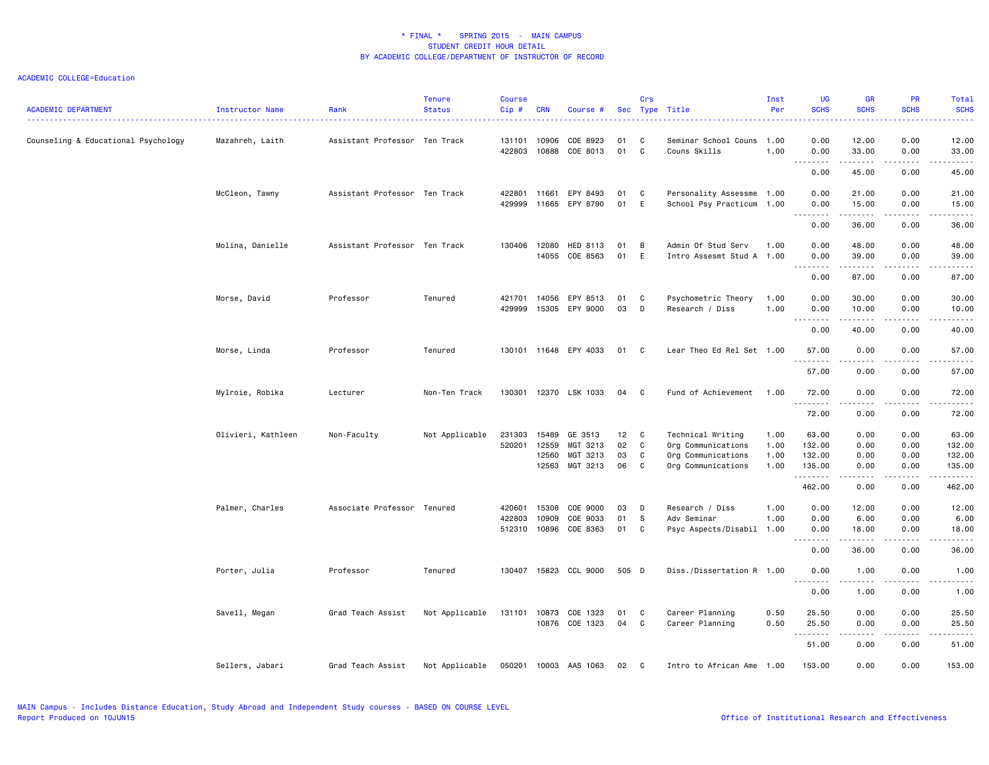| <b>ACADEMIC DEPARTMENT</b>          | Instructor Name    | Rank                          | Tenure<br><b>Status</b> | <b>Course</b><br>$Cip$ # | <b>CRN</b>                       | Course #                                    |                      | Crs              | Sec Type Title                                                                      | Inst<br>Per                  | <b>UG</b><br><b>SCHS</b>                               | <b>GR</b><br><b>SCHS</b>                 | PR<br><b>SCHS</b>                                                                                                                 | Total<br><b>SCHS</b><br>$\frac{1}{2} \left( \frac{1}{2} \right) \left( \frac{1}{2} \right) \left( \frac{1}{2} \right) \left( \frac{1}{2} \right) \left( \frac{1}{2} \right)$                      |
|-------------------------------------|--------------------|-------------------------------|-------------------------|--------------------------|----------------------------------|---------------------------------------------|----------------------|------------------|-------------------------------------------------------------------------------------|------------------------------|--------------------------------------------------------|------------------------------------------|-----------------------------------------------------------------------------------------------------------------------------------|---------------------------------------------------------------------------------------------------------------------------------------------------------------------------------------------------|
| Counseling & Educational Psychology | Mazahreh, Laith    | Assistant Professor Ten Track |                         | 131101<br>422803         | 10906<br>10888                   | COE 8923<br>COE 8013                        | 01<br>01             | C<br>C           | Seminar School Couns<br>Couns Skills                                                | 1.00<br>1.00                 | 0.00<br>0.00                                           | 12.00<br>33.00                           | 0.00<br>0.00                                                                                                                      | 12.00<br>33.00                                                                                                                                                                                    |
|                                     |                    |                               |                         |                          |                                  |                                             |                      |                  |                                                                                     |                              | $\sim$ $\sim$ $\sim$ $\sim$<br>$\sim$ $\sim$<br>0.00   | 45.00                                    | $- - -$<br>0.00                                                                                                                   | د د د د د<br>45.00                                                                                                                                                                                |
|                                     | McCleon, Tawny     | Assistant Professor Ten Track |                         | 422801<br>429999         | 11661<br>11665                   | EPY 8493<br>EPY 8790                        | 01<br>01             | C<br>E           | Personality Assessme 1.00<br>School Psy Practicum                                   | 1.00                         | 0.00<br>0.00                                           | 21.00<br>15.00<br>$\cdots \cdots \cdots$ | 0.00<br>0.00<br>.                                                                                                                 | 21.00<br>15.00<br>.                                                                                                                                                                               |
|                                     |                    |                               |                         |                          |                                  |                                             |                      |                  |                                                                                     |                              | 0.00                                                   | 36.00                                    | 0.00                                                                                                                              | 36.00                                                                                                                                                                                             |
|                                     | Molina, Danielle   | Assistant Professor Ten Track |                         | 130406                   | 12080<br>14055                   | HED 8113<br>COE 8563                        | 01<br>01             | B<br>E           | Admin Of Stud Serv<br>Intro Assesmt Stud A 1.00                                     | 1.00                         | 0.00<br>0.00                                           | 48.00<br>39.00                           | 0.00<br>0.00                                                                                                                      | 48.00<br>39.00                                                                                                                                                                                    |
|                                     |                    |                               |                         |                          |                                  |                                             |                      |                  |                                                                                     |                              | .<br>0.00                                              | 87.00                                    | $\frac{1}{2} \left( \frac{1}{2} \right) \left( \frac{1}{2} \right) \left( \frac{1}{2} \right) \left( \frac{1}{2} \right)$<br>0.00 | $\frac{1}{2} \left( \frac{1}{2} \right) \left( \frac{1}{2} \right) \left( \frac{1}{2} \right) \left( \frac{1}{2} \right) \left( \frac{1}{2} \right) \left( \frac{1}{2} \right)$<br>87.00          |
|                                     | Morse, David       | Professor                     | Tenured                 | 421701<br>429999         | 14056<br>15305                   | EPY 8513<br>EPY 9000                        | 01<br>03             | C<br>D           | Psychometric Theory<br>Research / Diss                                              | 1.00<br>1.00                 | 0.00<br>0.00<br>-------                                | 30.00<br>10.00                           | 0.00<br>0.00                                                                                                                      | 30.00<br>10.00<br>$\frac{1}{2} \left( \frac{1}{2} \right) \left( \frac{1}{2} \right) \left( \frac{1}{2} \right) \left( \frac{1}{2} \right) \left( \frac{1}{2} \right) \left( \frac{1}{2} \right)$ |
|                                     |                    |                               |                         |                          |                                  |                                             |                      |                  |                                                                                     |                              | 0.00                                                   | 40.00                                    | 0.00                                                                                                                              | 40.00                                                                                                                                                                                             |
|                                     | Morse, Linda       | Professor                     | Tenured                 |                          |                                  | 130101 11648 EPY 4033                       | 01 C                 |                  | Lear Theo Ed Rel Set 1.00                                                           |                              | 57.00<br><u>.</u>                                      | 0.00<br>-----                            | 0.00<br>.                                                                                                                         | 57.00<br>. <u>.</u>                                                                                                                                                                               |
|                                     |                    |                               |                         |                          |                                  |                                             |                      |                  |                                                                                     |                              | 57.00                                                  | 0.00                                     | 0.00                                                                                                                              | 57.00                                                                                                                                                                                             |
|                                     | Mylroie, Robika    | Lecturer                      | Non-Ten Track           | 130301                   |                                  | 12370 LSK 1033                              | 04                   | C                | Fund of Achievement                                                                 | 1.00                         | 72.00<br>.                                             | 0.00                                     | 0.00<br>$- - - -$                                                                                                                 | 72.00<br>.                                                                                                                                                                                        |
|                                     |                    |                               |                         |                          |                                  |                                             |                      |                  |                                                                                     |                              | 72.00                                                  | 0.00                                     | 0.00                                                                                                                              | 72.00                                                                                                                                                                                             |
|                                     | Olivieri, Kathleen | Non-Faculty                   | Not Applicable          | 231303<br>520201         | 15489<br>12559<br>12560<br>12563 | GE 3513<br>MGT 3213<br>MGT 3213<br>MGT 3213 | 12<br>02<br>03<br>06 | C<br>C<br>C<br>C | Technical Writing<br>Org Communications<br>Org Communications<br>Org Communications | 1.00<br>1.00<br>1.00<br>1.00 | 63.00<br>132.00<br>132.00<br>135.00                    | 0.00<br>0.00<br>0.00<br>0.00             | 0.00<br>0.00<br>0.00<br>0.00                                                                                                      | 63.00<br>132.00<br>132.00<br>135.00                                                                                                                                                               |
|                                     |                    |                               |                         |                          |                                  |                                             |                      |                  |                                                                                     |                              | .<br>462.00                                            | .<br>0.00                                | $\frac{1}{2} \left( \frac{1}{2} \right) \left( \frac{1}{2} \right) \left( \frac{1}{2} \right) \left( \frac{1}{2} \right)$<br>0.00 | .<br>462.00                                                                                                                                                                                       |
|                                     | Palmer, Charles    | Associate Professor Tenured   |                         | 420601<br>422803         | 15308<br>10909<br>512310 10896   | COE 9000<br>COE 9033<br>COE 8363            | 03<br>01<br>01       | D<br>S.<br>C     | Research / Diss<br>Adv Seminar<br>Psyc Aspects/Disabil 1.00                         | 1.00<br>1.00                 | 0.00<br>0.00<br>0.00<br>.<br>$\sim$ $\sim$             | 12.00<br>6.00<br>18.00<br>.              | 0.00<br>0.00<br>0.00<br>.                                                                                                         | 12.00<br>6.00<br>18.00<br>والمستحدث                                                                                                                                                               |
|                                     |                    |                               |                         |                          |                                  |                                             |                      |                  |                                                                                     |                              | 0.00                                                   | 36.00                                    | 0.00                                                                                                                              | 36.00                                                                                                                                                                                             |
|                                     | Porter, Julia      | Professor                     | Tenured                 | 130407                   | 15823                            | CCL 9000                                    | 505 D                |                  | Diss./Dissertation R 1.00                                                           |                              | 0.00<br>$\sim$ $\sim$ .<br>$\sim$ $\sim$ $\sim$ $\sim$ | 1.00                                     | 0.00                                                                                                                              | 1.00<br>.                                                                                                                                                                                         |
|                                     |                    |                               |                         |                          |                                  |                                             |                      |                  |                                                                                     |                              | 0.00                                                   | 1.00                                     | 0.00                                                                                                                              | 1.00                                                                                                                                                                                              |
|                                     | Savell, Megan      | Grad Teach Assist             | Not Applicable          |                          | 131101 10873                     | COE 1323<br>10876 COE 1323                  | 01<br>04             | C<br>C           | Career Planning<br>Career Planning                                                  | 0.50<br>0.50                 | 25.50<br>25.50<br>.                                    | 0.00<br>0.00<br>د د د د د                | 0.00<br>0.00<br>.                                                                                                                 | 25.50<br>25.50<br>.                                                                                                                                                                               |
|                                     |                    |                               |                         |                          |                                  |                                             |                      |                  |                                                                                     |                              | 51.00                                                  | 0.00                                     | 0.00                                                                                                                              | 51.00                                                                                                                                                                                             |
|                                     | Sellers, Jabari    | Grad Teach Assist             | Not Applicable          |                          | 050201 10003                     | AAS 1063                                    | 02                   | C                | Intro to African Ame                                                                | 1.00                         | 153.00                                                 | 0.00                                     | 0.00                                                                                                                              | 153.00                                                                                                                                                                                            |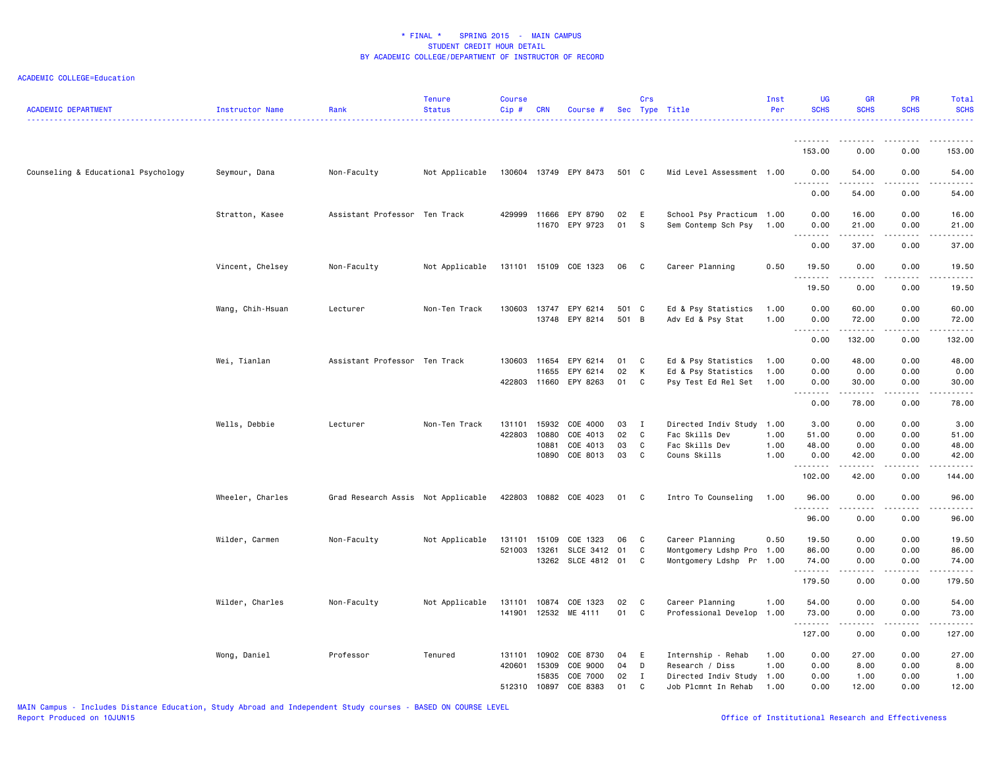| <b>ACADEMIC DEPARTMENT</b>          | Instructor Name  | Rank                               | <b>Tenure</b><br><b>Status</b> | Course<br>Cip# | <b>CRN</b> | Course #                                |                | Crs                        | Sec Type Title                           | Inst<br>Per  | <b>UG</b><br><b>SCHS</b> | <b>GR</b><br><b>SCHS</b>            | <b>PR</b><br><b>SCHS</b> | Total<br><b>SCHS</b> |
|-------------------------------------|------------------|------------------------------------|--------------------------------|----------------|------------|-----------------------------------------|----------------|----------------------------|------------------------------------------|--------------|--------------------------|-------------------------------------|--------------------------|----------------------|
|                                     |                  |                                    |                                |                |            |                                         |                |                            |                                          |              |                          |                                     |                          |                      |
|                                     |                  |                                    |                                |                |            |                                         |                |                            |                                          |              | 153.00                   | 0.00                                | 0.00                     | 153.00               |
| Counseling & Educational Psychology | Seymour, Dana    | Non-Faculty                        | Not Applicable                 |                |            | 130604 13749 EPY 8473                   | 501 C          |                            | Mid Level Assessment 1.00                |              | 0.00<br>.                | 54.00<br>$\cdots$                   | 0.00                     | 54.00<br>$- - - - -$ |
|                                     |                  |                                    |                                |                |            |                                         |                |                            |                                          |              | 0.00                     | 54.00                               | 0.00                     | 54.00                |
|                                     | Stratton, Kasee  | Assistant Professor Ten Track      |                                |                |            | 429999 11666 EPY 8790                   | 02             | E                          | School Psy Practicum 1.00                |              | 0.00                     | 16.00                               | 0.00                     | 16.00                |
|                                     |                  |                                    |                                |                |            | 11670 EPY 9723                          | 01             | <b>S</b>                   | Sem Contemp Sch Psy                      | 1.00         | 0.00<br>.                | 21.00<br>.                          | 0.00<br>-----            | 21.00<br>.           |
|                                     |                  |                                    |                                |                |            |                                         |                |                            |                                          |              | 0.00                     | 37.00                               | 0.00                     | 37.00                |
|                                     | Vincent, Chelsey | Non-Faculty                        | Not Applicable                 |                |            | 131101 15109 COE 1323                   | 06             | $\overline{\phantom{a}}$ C | Career Planning                          | 0.50         | 19.50<br>.               | 0.00<br>.                           | 0.00                     | 19.50                |
|                                     |                  |                                    |                                |                |            |                                         |                |                            |                                          |              | 19.50                    | 0.00                                | 0.00                     | 19.50                |
|                                     | Wang, Chih-Hsuan | Lecturer                           | Non-Ten Track                  |                |            | 130603 13747 EPY 6214<br>13748 EPY 8214 | 501 C<br>501 B |                            | Ed & Psy Statistics<br>Adv Ed & Psy Stat | 1.00<br>1.00 | 0.00<br>0.00             | 60.00<br>72.00                      | 0.00<br>0.00             | 60.00<br>72.00       |
|                                     |                  |                                    |                                |                |            |                                         |                |                            |                                          |              | .<br>0.00                | .<br>132.00                         | .<br>0.00                | 132.00               |
|                                     | Wei, Tianlan     | Assistant Professor Ten Track      |                                | 130603 11654   |            | EPY 6214                                | 01             | $\mathbf{C}$               | Ed & Psy Statistics                      | 1.00         | 0.00                     | 48.00                               | 0.00                     | 48.00                |
|                                     |                  |                                    |                                |                | 11655      | EPY 6214                                | 02             | K                          | Ed & Psy Statistics                      | 1.00         | 0.00                     | 0.00                                | 0.00                     | 0.00                 |
|                                     |                  |                                    |                                |                |            | 422803 11660 EPY 8263                   | 01             | $\mathbf{C}$               | Psy Test Ed Rel Set                      | 1.00         | 0.00                     | 30.00                               | 0.00                     | 30.00                |
|                                     |                  |                                    |                                |                |            |                                         |                |                            |                                          |              | .<br>0.00                | .<br>78.00                          | .<br>0.00                | .<br>78.00           |
|                                     | Wells, Debbie    | Lecturer                           | Non-Ten Track                  | 131101         | 15932      | COE 4000                                | 03             | $\blacksquare$             | Directed Indiv Study 1.00                |              | 3.00                     | 0.00                                | 0.00                     | 3.00                 |
|                                     |                  |                                    |                                | 422803         | 10880      | COE 4013                                | 02             | $\mathbf{C}$               | Fac Skills Dev                           | 1.00         | 51.00                    | 0.00                                | 0.00                     | 51.00                |
|                                     |                  |                                    |                                |                | 10881      | COE 4013                                | 03             | C                          | Fac Skills Dev                           | 1.00         | 48.00                    | 0.00                                | 0.00                     | 48.00                |
|                                     |                  |                                    |                                |                | 10890      | COE 8013                                | 03             | $\mathbf{C}$               | Couns Skills                             | 1.00         | 0.00<br>.                | 42.00<br>.                          | 0.00<br>$\frac{1}{2}$    | 42.00<br>.           |
|                                     |                  |                                    |                                |                |            |                                         |                |                            |                                          |              | 102.00                   | 42.00                               | 0.00                     | 144.00               |
|                                     | Wheeler, Charles | Grad Research Assis Not Applicable |                                |                |            | 422803 10882 COE 4023                   | 01 C           |                            | Intro To Counseling                      | 1.00         | 96.00<br>.               | 0.00<br>.                           | 0.00<br>-----            | 96.00<br>.           |
|                                     |                  |                                    |                                |                |            |                                         |                |                            |                                          |              | 96.00                    | 0.00                                | 0.00                     | 96.00                |
|                                     | Wilder, Carmen   | Non-Faculty                        | Not Applicable                 | 131101         | 15109      | COE 1323                                | 06             | $\mathbf{C}$               | Career Planning                          | 0.50         | 19.50                    | 0.00                                | 0.00                     | 19.50                |
|                                     |                  |                                    |                                | 521003         | 13261      | SLCE 3412 01                            |                | C                          | Montgomery Ldshp Pro 1.00                |              | 86.00                    | 0.00                                | 0.00                     | 86.00                |
|                                     |                  |                                    |                                |                |            | 13262 SLCE 4812 01 C                    |                |                            | Montgomery Ldshp Pr 1.00                 |              | 74.00<br>.               | 0.00<br>$\sim$ $\sim$ $\sim$ $\sim$ | 0.00<br>$- - - -$        | 74.00<br>.           |
|                                     |                  |                                    |                                |                |            |                                         |                |                            |                                          |              | 179.50                   | 0.00                                | 0.00                     | 179.50               |
|                                     | Wilder, Charles  | Non-Faculty                        | Not Applicable                 |                |            | 131101 10874 COE 1323                   | 02             | $\mathbf{C}$               | Career Planning                          | 1.00         | 54.00                    | 0.00                                | 0.00                     | 54.00                |
|                                     |                  |                                    |                                | 141901         | 12532      | ME 4111                                 | 01             | $\mathbf{C}$               | Professional Develop                     | 1.00         | 73.00<br>.               | 0.00<br>.                           | 0.00<br>.                | 73.00<br><u>.</u>    |
|                                     |                  |                                    |                                |                |            |                                         |                |                            |                                          |              | 127.00                   | 0.00                                | 0.00                     | 127.00               |
|                                     | Wong, Daniel     | Professor                          | Tenured                        | 131101         | 10902      | COE 8730                                | 04             | E                          | Internship - Rehab                       | 1.00         | 0.00                     | 27.00                               | 0.00                     | 27.00                |
|                                     |                  |                                    |                                | 420601         | 15309      | COE 9000                                | 04             | D                          | Research / Diss                          | 1.00         | 0.00                     | 8.00                                | 0.00                     | 8.00                 |
|                                     |                  |                                    |                                |                | 15835      | COE 7000                                | 02             | $\mathbf I$                | Directed Indiv Study 1.00                |              | 0.00                     | 1.00                                | 0.00                     | 1.00                 |
|                                     |                  |                                    |                                | 512310         | 10897      | COE 8383                                | 01             | C                          | Job Plcmnt In Rehab                      | 1.00         | 0.00                     | 12.00                               | 0.00                     | 12.00                |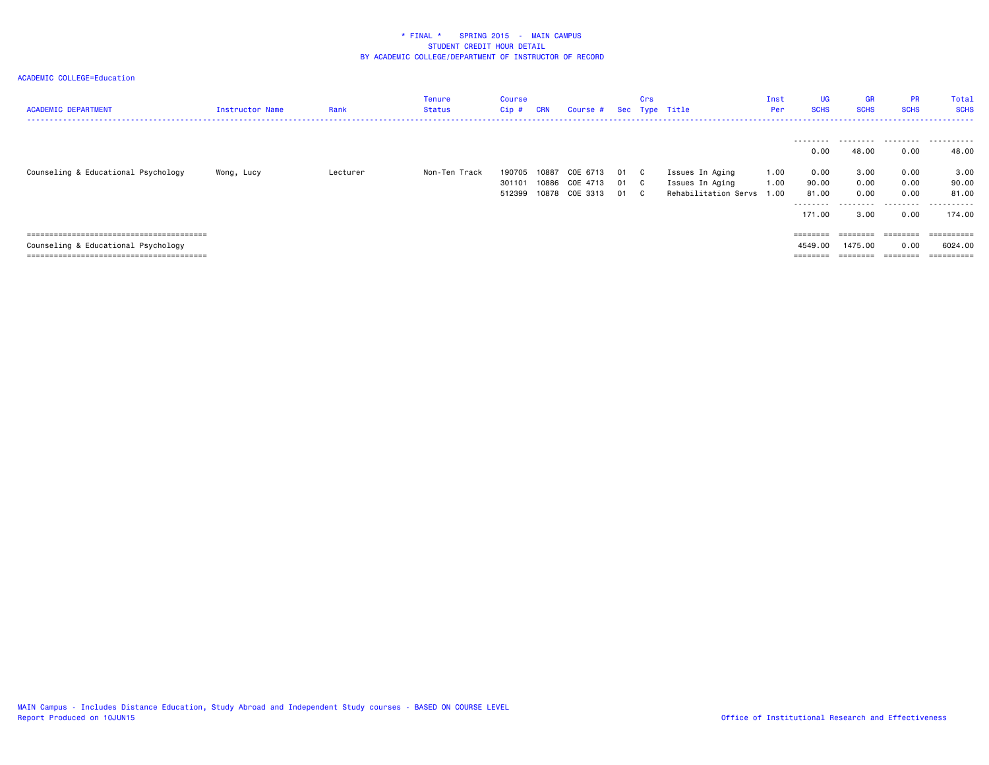| <b>ACADEMIC DEPARTMENT</b>                                                 | Instructor Name | Rank     | Tenure<br>Status | Course<br>Cip #            | <b>CRN</b> | Course #                                     |                | Crs             | Sec Type Title                                             | Inst<br>Per            | UG<br><b>SCHS</b>                        | GR<br><b>SCHS</b>                  | <b>PR</b><br><b>SCHS</b>     | Total<br><b>SCHS</b>                 |
|----------------------------------------------------------------------------|-----------------|----------|------------------|----------------------------|------------|----------------------------------------------|----------------|-----------------|------------------------------------------------------------|------------------------|------------------------------------------|------------------------------------|------------------------------|--------------------------------------|
| Counseling & Educational Psychology                                        | Wong, Lucy      | Lecturer | Non-Ten Track    | 190705<br>301101<br>512399 | 10887      | COE 6713<br>10886 COE 4713<br>10878 COE 3313 | 01<br>01<br>01 | C C<br>C.<br>C. | Issues In Aging<br>Issues In Aging<br>Rehabilitation Servs | 1.00<br>1.00<br>00 ، ا | .<br>0.00<br>0.00<br>90.00<br>81.00      | .<br>48.00<br>3.00<br>0.00<br>0.00 | 0.00<br>0.00<br>0.00<br>0.00 | .<br>48.00<br>3.00<br>90.00<br>81.00 |
|                                                                            |                 |          |                  |                            |            |                                              |                |                 |                                                            |                        | ---------<br>171.00<br>$=$ = = = = = = = | .<br>3.00<br>$=$ = = = = = = =     | 0.00                         | .<br>174.00<br>==========            |
| Counseling & Educational Psychology<br>=================================== |                 |          |                  |                            |            |                                              |                |                 |                                                            |                        | 4549.00                                  | 1475.00                            | 0.00<br>========             | 6024.00<br>==========                |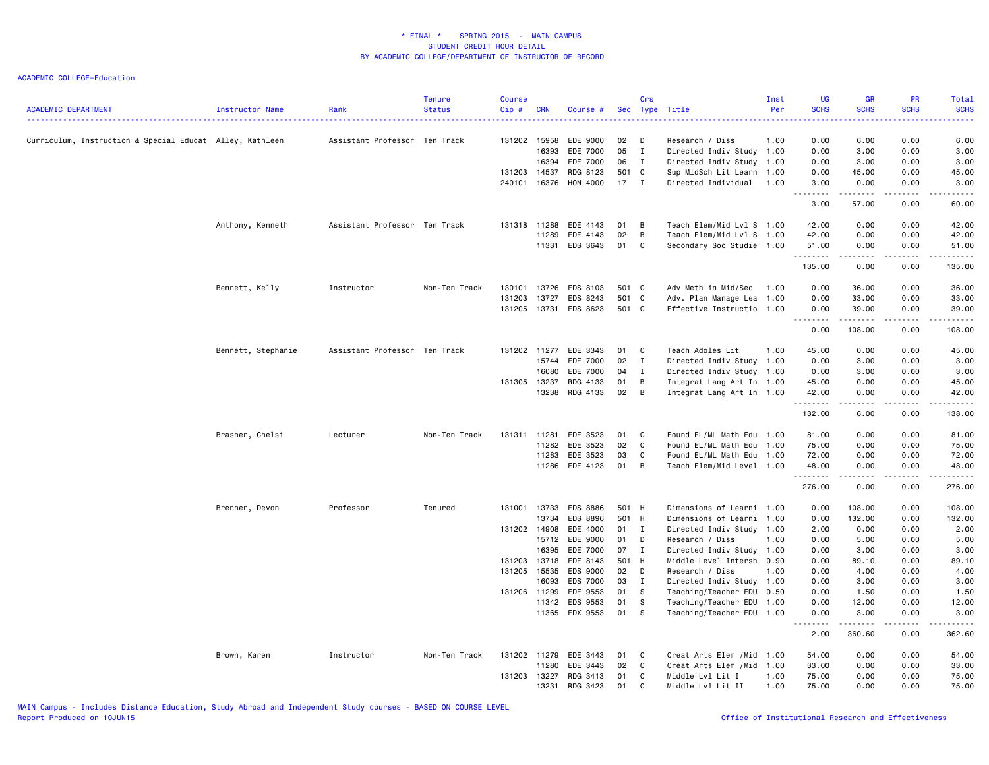| 131202<br>02<br>0.00<br>6.00<br>0.00<br>6.00<br>Curriculum, Instruction & Special Educat Alley, Kathleen<br>Assistant Professor Ten Track<br>15958<br>EDE 9000<br>D<br>Research / Diss<br>1.00<br>16393<br>EDE 7000<br>05<br>$\mathbf{I}$<br>0.00<br>3.00<br>0.00<br>3.00<br>Directed Indiv Study 1.00<br>16394<br>EDE 7000<br>06<br>Directed Indiv Study<br>3.00<br>0.00<br>3.00<br>$\mathbf{I}$<br>1.00<br>0.00<br>14537<br>RDG 8123<br>501 C<br>Sup MidSch Lit Learn 1.00<br>0.00<br>45.00<br>0.00<br>45.00<br>131203<br>HON 4000<br>$17$ I<br>240101<br>16376<br>Directed Individual<br>1.00<br>3.00<br>0.00<br>0.00<br>3.00<br>.<br>.<br>.<br>.<br>57.00<br>0.00<br>60.00<br>3.00<br>Teach Elem/Mid Lvl S 1.00<br>0.00<br>Anthony, Kenneth<br>Assistant Professor Ten Track<br>131318<br>11288<br>EDE 4143<br>01<br>B<br>42.00<br>0.00<br>42.00<br>11289<br>EDE 4143<br>02<br>B<br>Teach Elem/Mid Lvl S 1.00<br>42.00<br>0.00<br>0.00<br>42.00<br>EDS 3643<br>01<br>11331<br>$\mathbf{C}$<br>Secondary Soc Studie 1.00<br>51.00<br>0.00<br>0.00<br>51.00<br>.<br>$\sim$ $\sim$ $\sim$ $\sim$<br>.<br>المتماما<br>135.00<br>0.00<br>0.00<br>135.00<br>13726<br>EDS 8103<br>501 C<br>Adv Meth in Mid/Sec<br>36.00<br>0.00<br>36.00<br>Bennett, Kelly<br>Instructor<br>Non-Ten Track<br>130101<br>1.00<br>0.00<br>131203<br>13727<br>EDS 8243<br>501 C<br>Adv. Plan Manage Lea<br>0.00<br>33.00<br>0.00<br>33.00<br>1.00<br>13731 EDS 8623<br>501 C<br>131205<br>Effective Instructio 1.00<br>0.00<br>39.00<br>0.00<br>39.00<br>.<br>.<br>.<br>108.00<br>0.00<br>0.00<br>108.00<br>Bennett, Stephanie<br>Assistant Professor Ten Track<br>131202 11277<br>EDE 3343<br>01<br>$\mathbf{C}$<br>Teach Adoles Lit<br>1.00<br>45.00<br>0.00<br>0.00<br>45.00<br>15744<br>EDE 7000<br>02<br>$\mathbf{I}$<br>Directed Indiv Study 1.00<br>0.00<br>3.00<br>0.00<br>3.00<br>EDE 7000<br>16080<br>04<br>$\blacksquare$<br>Directed Indiv Study 1.00<br>0.00<br>3.00<br>0.00<br>3.00<br>13237<br>RDG 4133<br>01<br>B<br>0.00<br>0.00<br>131305<br>Integrat Lang Art In 1.00<br>45.00<br>45.00<br>02<br>13238<br>RDG 4133<br>B<br>0.00<br>Integrat Lang Art In 1.00<br>42.00<br>0.00<br>42.00<br>.<br>.<br>.<br>.<br>0.00<br>132.00<br>6.00<br>138.00<br>EDE 3523<br>0.00<br>0.00<br>Brasher, Chelsi<br>Non-Ten Track<br>131311<br>11281<br>01<br>C<br>Found EL/ML Math Edu 1.00<br>81.00<br>81.00<br>Lecturer<br>02<br>EDE 3523<br>C<br>75.00<br>0.00<br>0.00<br>75.00<br>11282<br>Found EL/ML Math Edu 1.00<br>11283<br>EDE 3523<br>03<br>C<br>Found EL/ML Math Edu<br>72.00<br>0.00<br>0.00<br>72.00<br>1.00<br>01<br>11286<br>EDE 4123<br>B<br>Teach Elem/Mid Level 1.00<br>48.00<br>0.00<br>0.00<br>48.00<br>.<br>.<br>. <b>.</b><br>.<br>276.00<br>0.00<br>0.00<br>276.00<br>13733<br>Brenner, Devon<br>Professor<br>Tenured<br>131001<br>EDS 8886<br>501 H<br>Dimensions of Learni 1.00<br>0.00<br>108.00<br>0.00<br>108.00<br>13734<br>EDS 8896<br>501 H<br>Dimensions of Learni<br>0.00<br>132.00<br>0.00<br>132.00<br>1.00<br>0.00<br>131202 14908<br>EDE 4000<br>01 I<br>Directed Indiv Study<br>2.00<br>0.00<br>2.00<br>1.00<br>15712<br>EDE 9000<br>01<br>5.00<br>D<br>Research / Diss<br>1.00<br>0.00<br>0.00<br>5.00<br>EDE 7000<br>16395<br>07<br>$\mathbf{I}$<br>Directed Indiv Study 1.00<br>0.00<br>3.00<br>0.00<br>3.00<br>131203 13718<br>EDE 8143<br>501 H<br>Middle Level Intersh<br>0.90<br>0.00<br>89.10<br>0.00<br>89.10<br>131205<br>15535<br>EDS 9000<br>02<br>D<br>4.00<br>Research / Diss<br>1.00<br>0.00<br>0.00<br>4.00<br><b>EDS 7000</b><br>16093<br>03<br>$\mathbf{I}$<br>0.00<br>3.00<br>0.00<br>3.00<br>Directed Indiv Study 1.00<br>131206 11299<br>EDE 9553<br>01<br>-S<br>Teaching/Teacher EDU<br>0.50<br>0.00<br>1.50<br>0.00<br>1.50<br>11342<br>EDS 9553<br>01<br>S<br>0.00<br>12.00<br>0.00<br>12.00<br>Teaching/Teacher EDU 1.00<br>11365<br>EDX 9553<br>01<br><b>S</b><br>0.00<br>3.00<br>0.00<br>3.00<br>Teaching/Teacher EDU 1.00<br>.<br>.<br>.<br>360.60<br>0.00<br>362.60<br>2.00<br>0.00<br>0.00<br>54.00<br>Brown, Karen<br>Instructor<br>Non-Ten Track<br>131202 11279<br>EDE 3443<br>01<br>C<br>Creat Arts Elem / Mid 1.00<br>54.00<br>$\mathbf C$<br>11280<br>EDE 3443<br>02<br>Creat Arts Elem / Mid 1.00<br>33.00<br>0.00<br>0.00<br>33.00<br>13227<br>131203<br>RDG 3413<br>01<br>C<br>Middle Lvl Lit I<br>1.00<br>75.00<br>0.00<br>0.00<br>75.00 | <b>ACADEMIC DEPARTMENT</b> | Instructor Name | Rank | Tenure<br><b>Status</b> | <b>Course</b><br>Cip # | <b>CRN</b> | Course # |    | Crs | Sec Type Title    | Inst<br>Per | <b>UG</b><br><b>SCHS</b> | <b>GR</b><br><b>SCHS</b> | PR<br><b>SCHS</b> | Total<br><b>SCHS</b> |
|---------------------------------------------------------------------------------------------------------------------------------------------------------------------------------------------------------------------------------------------------------------------------------------------------------------------------------------------------------------------------------------------------------------------------------------------------------------------------------------------------------------------------------------------------------------------------------------------------------------------------------------------------------------------------------------------------------------------------------------------------------------------------------------------------------------------------------------------------------------------------------------------------------------------------------------------------------------------------------------------------------------------------------------------------------------------------------------------------------------------------------------------------------------------------------------------------------------------------------------------------------------------------------------------------------------------------------------------------------------------------------------------------------------------------------------------------------------------------------------------------------------------------------------------------------------------------------------------------------------------------------------------------------------------------------------------------------------------------------------------------------------------------------------------------------------------------------------------------------------------------------------------------------------------------------------------------------------------------------------------------------------------------------------------------------------------------------------------------------------------------------------------------------------------------------------------------------------------------------------------------------------------------------------------------------------------------------------------------------------------------------------------------------------------------------------------------------------------------------------------------------------------------------------------------------------------------------------------------------------------------------------------------------------------------------------------------------------------------------------------------------------------------------------------------------------------------------------------------------------------------------------------------------------------------------------------------------------------------------------------------------------------------------------------------------------------------------------------------------------------------------------------------------------------------------------------------------------------------------------------------------------------------------------------------------------------------------------------------------------------------------------------------------------------------------------------------------------------------------------------------------------------------------------------------------------------------------------------------------------------------------------------------------------------------------------------------------------------------------------------------------------------------------------------------------------------------------------------------------------------------------------------------------------------------------------------------------------------------------------------------------------------------------------------------------------------------------------------------------------------------------------------------------------------------------------------------------------------------------------------------------------------------------------------------------------------------------------------------------------------------------------------------|----------------------------|-----------------|------|-------------------------|------------------------|------------|----------|----|-----|-------------------|-------------|--------------------------|--------------------------|-------------------|----------------------|
|                                                                                                                                                                                                                                                                                                                                                                                                                                                                                                                                                                                                                                                                                                                                                                                                                                                                                                                                                                                                                                                                                                                                                                                                                                                                                                                                                                                                                                                                                                                                                                                                                                                                                                                                                                                                                                                                                                                                                                                                                                                                                                                                                                                                                                                                                                                                                                                                                                                                                                                                                                                                                                                                                                                                                                                                                                                                                                                                                                                                                                                                                                                                                                                                                                                                                                                                                                                                                                                                                                                                                                                                                                                                                                                                                                                                                                                                                                                                                                                                                                                                                                                                                                                                                                                                                                                                                                                                   |                            |                 |      |                         |                        |            |          |    |     |                   |             |                          |                          |                   |                      |
|                                                                                                                                                                                                                                                                                                                                                                                                                                                                                                                                                                                                                                                                                                                                                                                                                                                                                                                                                                                                                                                                                                                                                                                                                                                                                                                                                                                                                                                                                                                                                                                                                                                                                                                                                                                                                                                                                                                                                                                                                                                                                                                                                                                                                                                                                                                                                                                                                                                                                                                                                                                                                                                                                                                                                                                                                                                                                                                                                                                                                                                                                                                                                                                                                                                                                                                                                                                                                                                                                                                                                                                                                                                                                                                                                                                                                                                                                                                                                                                                                                                                                                                                                                                                                                                                                                                                                                                                   |                            |                 |      |                         |                        |            |          |    |     |                   |             |                          |                          |                   |                      |
|                                                                                                                                                                                                                                                                                                                                                                                                                                                                                                                                                                                                                                                                                                                                                                                                                                                                                                                                                                                                                                                                                                                                                                                                                                                                                                                                                                                                                                                                                                                                                                                                                                                                                                                                                                                                                                                                                                                                                                                                                                                                                                                                                                                                                                                                                                                                                                                                                                                                                                                                                                                                                                                                                                                                                                                                                                                                                                                                                                                                                                                                                                                                                                                                                                                                                                                                                                                                                                                                                                                                                                                                                                                                                                                                                                                                                                                                                                                                                                                                                                                                                                                                                                                                                                                                                                                                                                                                   |                            |                 |      |                         |                        |            |          |    |     |                   |             |                          |                          |                   |                      |
|                                                                                                                                                                                                                                                                                                                                                                                                                                                                                                                                                                                                                                                                                                                                                                                                                                                                                                                                                                                                                                                                                                                                                                                                                                                                                                                                                                                                                                                                                                                                                                                                                                                                                                                                                                                                                                                                                                                                                                                                                                                                                                                                                                                                                                                                                                                                                                                                                                                                                                                                                                                                                                                                                                                                                                                                                                                                                                                                                                                                                                                                                                                                                                                                                                                                                                                                                                                                                                                                                                                                                                                                                                                                                                                                                                                                                                                                                                                                                                                                                                                                                                                                                                                                                                                                                                                                                                                                   |                            |                 |      |                         |                        |            |          |    |     |                   |             |                          |                          |                   |                      |
|                                                                                                                                                                                                                                                                                                                                                                                                                                                                                                                                                                                                                                                                                                                                                                                                                                                                                                                                                                                                                                                                                                                                                                                                                                                                                                                                                                                                                                                                                                                                                                                                                                                                                                                                                                                                                                                                                                                                                                                                                                                                                                                                                                                                                                                                                                                                                                                                                                                                                                                                                                                                                                                                                                                                                                                                                                                                                                                                                                                                                                                                                                                                                                                                                                                                                                                                                                                                                                                                                                                                                                                                                                                                                                                                                                                                                                                                                                                                                                                                                                                                                                                                                                                                                                                                                                                                                                                                   |                            |                 |      |                         |                        |            |          |    |     |                   |             |                          |                          |                   |                      |
|                                                                                                                                                                                                                                                                                                                                                                                                                                                                                                                                                                                                                                                                                                                                                                                                                                                                                                                                                                                                                                                                                                                                                                                                                                                                                                                                                                                                                                                                                                                                                                                                                                                                                                                                                                                                                                                                                                                                                                                                                                                                                                                                                                                                                                                                                                                                                                                                                                                                                                                                                                                                                                                                                                                                                                                                                                                                                                                                                                                                                                                                                                                                                                                                                                                                                                                                                                                                                                                                                                                                                                                                                                                                                                                                                                                                                                                                                                                                                                                                                                                                                                                                                                                                                                                                                                                                                                                                   |                            |                 |      |                         |                        |            |          |    |     |                   |             |                          |                          |                   |                      |
|                                                                                                                                                                                                                                                                                                                                                                                                                                                                                                                                                                                                                                                                                                                                                                                                                                                                                                                                                                                                                                                                                                                                                                                                                                                                                                                                                                                                                                                                                                                                                                                                                                                                                                                                                                                                                                                                                                                                                                                                                                                                                                                                                                                                                                                                                                                                                                                                                                                                                                                                                                                                                                                                                                                                                                                                                                                                                                                                                                                                                                                                                                                                                                                                                                                                                                                                                                                                                                                                                                                                                                                                                                                                                                                                                                                                                                                                                                                                                                                                                                                                                                                                                                                                                                                                                                                                                                                                   |                            |                 |      |                         |                        |            |          |    |     |                   |             |                          |                          |                   |                      |
|                                                                                                                                                                                                                                                                                                                                                                                                                                                                                                                                                                                                                                                                                                                                                                                                                                                                                                                                                                                                                                                                                                                                                                                                                                                                                                                                                                                                                                                                                                                                                                                                                                                                                                                                                                                                                                                                                                                                                                                                                                                                                                                                                                                                                                                                                                                                                                                                                                                                                                                                                                                                                                                                                                                                                                                                                                                                                                                                                                                                                                                                                                                                                                                                                                                                                                                                                                                                                                                                                                                                                                                                                                                                                                                                                                                                                                                                                                                                                                                                                                                                                                                                                                                                                                                                                                                                                                                                   |                            |                 |      |                         |                        |            |          |    |     |                   |             |                          |                          |                   |                      |
|                                                                                                                                                                                                                                                                                                                                                                                                                                                                                                                                                                                                                                                                                                                                                                                                                                                                                                                                                                                                                                                                                                                                                                                                                                                                                                                                                                                                                                                                                                                                                                                                                                                                                                                                                                                                                                                                                                                                                                                                                                                                                                                                                                                                                                                                                                                                                                                                                                                                                                                                                                                                                                                                                                                                                                                                                                                                                                                                                                                                                                                                                                                                                                                                                                                                                                                                                                                                                                                                                                                                                                                                                                                                                                                                                                                                                                                                                                                                                                                                                                                                                                                                                                                                                                                                                                                                                                                                   |                            |                 |      |                         |                        |            |          |    |     |                   |             |                          |                          |                   |                      |
|                                                                                                                                                                                                                                                                                                                                                                                                                                                                                                                                                                                                                                                                                                                                                                                                                                                                                                                                                                                                                                                                                                                                                                                                                                                                                                                                                                                                                                                                                                                                                                                                                                                                                                                                                                                                                                                                                                                                                                                                                                                                                                                                                                                                                                                                                                                                                                                                                                                                                                                                                                                                                                                                                                                                                                                                                                                                                                                                                                                                                                                                                                                                                                                                                                                                                                                                                                                                                                                                                                                                                                                                                                                                                                                                                                                                                                                                                                                                                                                                                                                                                                                                                                                                                                                                                                                                                                                                   |                            |                 |      |                         |                        |            |          |    |     |                   |             |                          |                          |                   |                      |
|                                                                                                                                                                                                                                                                                                                                                                                                                                                                                                                                                                                                                                                                                                                                                                                                                                                                                                                                                                                                                                                                                                                                                                                                                                                                                                                                                                                                                                                                                                                                                                                                                                                                                                                                                                                                                                                                                                                                                                                                                                                                                                                                                                                                                                                                                                                                                                                                                                                                                                                                                                                                                                                                                                                                                                                                                                                                                                                                                                                                                                                                                                                                                                                                                                                                                                                                                                                                                                                                                                                                                                                                                                                                                                                                                                                                                                                                                                                                                                                                                                                                                                                                                                                                                                                                                                                                                                                                   |                            |                 |      |                         |                        |            |          |    |     |                   |             |                          |                          |                   |                      |
|                                                                                                                                                                                                                                                                                                                                                                                                                                                                                                                                                                                                                                                                                                                                                                                                                                                                                                                                                                                                                                                                                                                                                                                                                                                                                                                                                                                                                                                                                                                                                                                                                                                                                                                                                                                                                                                                                                                                                                                                                                                                                                                                                                                                                                                                                                                                                                                                                                                                                                                                                                                                                                                                                                                                                                                                                                                                                                                                                                                                                                                                                                                                                                                                                                                                                                                                                                                                                                                                                                                                                                                                                                                                                                                                                                                                                                                                                                                                                                                                                                                                                                                                                                                                                                                                                                                                                                                                   |                            |                 |      |                         |                        |            |          |    |     |                   |             |                          |                          |                   |                      |
|                                                                                                                                                                                                                                                                                                                                                                                                                                                                                                                                                                                                                                                                                                                                                                                                                                                                                                                                                                                                                                                                                                                                                                                                                                                                                                                                                                                                                                                                                                                                                                                                                                                                                                                                                                                                                                                                                                                                                                                                                                                                                                                                                                                                                                                                                                                                                                                                                                                                                                                                                                                                                                                                                                                                                                                                                                                                                                                                                                                                                                                                                                                                                                                                                                                                                                                                                                                                                                                                                                                                                                                                                                                                                                                                                                                                                                                                                                                                                                                                                                                                                                                                                                                                                                                                                                                                                                                                   |                            |                 |      |                         |                        |            |          |    |     |                   |             |                          |                          |                   |                      |
|                                                                                                                                                                                                                                                                                                                                                                                                                                                                                                                                                                                                                                                                                                                                                                                                                                                                                                                                                                                                                                                                                                                                                                                                                                                                                                                                                                                                                                                                                                                                                                                                                                                                                                                                                                                                                                                                                                                                                                                                                                                                                                                                                                                                                                                                                                                                                                                                                                                                                                                                                                                                                                                                                                                                                                                                                                                                                                                                                                                                                                                                                                                                                                                                                                                                                                                                                                                                                                                                                                                                                                                                                                                                                                                                                                                                                                                                                                                                                                                                                                                                                                                                                                                                                                                                                                                                                                                                   |                            |                 |      |                         |                        |            |          |    |     |                   |             |                          |                          |                   |                      |
|                                                                                                                                                                                                                                                                                                                                                                                                                                                                                                                                                                                                                                                                                                                                                                                                                                                                                                                                                                                                                                                                                                                                                                                                                                                                                                                                                                                                                                                                                                                                                                                                                                                                                                                                                                                                                                                                                                                                                                                                                                                                                                                                                                                                                                                                                                                                                                                                                                                                                                                                                                                                                                                                                                                                                                                                                                                                                                                                                                                                                                                                                                                                                                                                                                                                                                                                                                                                                                                                                                                                                                                                                                                                                                                                                                                                                                                                                                                                                                                                                                                                                                                                                                                                                                                                                                                                                                                                   |                            |                 |      |                         |                        |            |          |    |     |                   |             |                          |                          |                   |                      |
|                                                                                                                                                                                                                                                                                                                                                                                                                                                                                                                                                                                                                                                                                                                                                                                                                                                                                                                                                                                                                                                                                                                                                                                                                                                                                                                                                                                                                                                                                                                                                                                                                                                                                                                                                                                                                                                                                                                                                                                                                                                                                                                                                                                                                                                                                                                                                                                                                                                                                                                                                                                                                                                                                                                                                                                                                                                                                                                                                                                                                                                                                                                                                                                                                                                                                                                                                                                                                                                                                                                                                                                                                                                                                                                                                                                                                                                                                                                                                                                                                                                                                                                                                                                                                                                                                                                                                                                                   |                            |                 |      |                         |                        |            |          |    |     |                   |             |                          |                          |                   |                      |
|                                                                                                                                                                                                                                                                                                                                                                                                                                                                                                                                                                                                                                                                                                                                                                                                                                                                                                                                                                                                                                                                                                                                                                                                                                                                                                                                                                                                                                                                                                                                                                                                                                                                                                                                                                                                                                                                                                                                                                                                                                                                                                                                                                                                                                                                                                                                                                                                                                                                                                                                                                                                                                                                                                                                                                                                                                                                                                                                                                                                                                                                                                                                                                                                                                                                                                                                                                                                                                                                                                                                                                                                                                                                                                                                                                                                                                                                                                                                                                                                                                                                                                                                                                                                                                                                                                                                                                                                   |                            |                 |      |                         |                        |            |          |    |     |                   |             |                          |                          |                   |                      |
|                                                                                                                                                                                                                                                                                                                                                                                                                                                                                                                                                                                                                                                                                                                                                                                                                                                                                                                                                                                                                                                                                                                                                                                                                                                                                                                                                                                                                                                                                                                                                                                                                                                                                                                                                                                                                                                                                                                                                                                                                                                                                                                                                                                                                                                                                                                                                                                                                                                                                                                                                                                                                                                                                                                                                                                                                                                                                                                                                                                                                                                                                                                                                                                                                                                                                                                                                                                                                                                                                                                                                                                                                                                                                                                                                                                                                                                                                                                                                                                                                                                                                                                                                                                                                                                                                                                                                                                                   |                            |                 |      |                         |                        |            |          |    |     |                   |             |                          |                          |                   |                      |
|                                                                                                                                                                                                                                                                                                                                                                                                                                                                                                                                                                                                                                                                                                                                                                                                                                                                                                                                                                                                                                                                                                                                                                                                                                                                                                                                                                                                                                                                                                                                                                                                                                                                                                                                                                                                                                                                                                                                                                                                                                                                                                                                                                                                                                                                                                                                                                                                                                                                                                                                                                                                                                                                                                                                                                                                                                                                                                                                                                                                                                                                                                                                                                                                                                                                                                                                                                                                                                                                                                                                                                                                                                                                                                                                                                                                                                                                                                                                                                                                                                                                                                                                                                                                                                                                                                                                                                                                   |                            |                 |      |                         |                        |            |          |    |     |                   |             |                          |                          |                   |                      |
|                                                                                                                                                                                                                                                                                                                                                                                                                                                                                                                                                                                                                                                                                                                                                                                                                                                                                                                                                                                                                                                                                                                                                                                                                                                                                                                                                                                                                                                                                                                                                                                                                                                                                                                                                                                                                                                                                                                                                                                                                                                                                                                                                                                                                                                                                                                                                                                                                                                                                                                                                                                                                                                                                                                                                                                                                                                                                                                                                                                                                                                                                                                                                                                                                                                                                                                                                                                                                                                                                                                                                                                                                                                                                                                                                                                                                                                                                                                                                                                                                                                                                                                                                                                                                                                                                                                                                                                                   |                            |                 |      |                         |                        |            |          |    |     |                   |             |                          |                          |                   |                      |
|                                                                                                                                                                                                                                                                                                                                                                                                                                                                                                                                                                                                                                                                                                                                                                                                                                                                                                                                                                                                                                                                                                                                                                                                                                                                                                                                                                                                                                                                                                                                                                                                                                                                                                                                                                                                                                                                                                                                                                                                                                                                                                                                                                                                                                                                                                                                                                                                                                                                                                                                                                                                                                                                                                                                                                                                                                                                                                                                                                                                                                                                                                                                                                                                                                                                                                                                                                                                                                                                                                                                                                                                                                                                                                                                                                                                                                                                                                                                                                                                                                                                                                                                                                                                                                                                                                                                                                                                   |                            |                 |      |                         |                        |            |          |    |     |                   |             |                          |                          |                   |                      |
|                                                                                                                                                                                                                                                                                                                                                                                                                                                                                                                                                                                                                                                                                                                                                                                                                                                                                                                                                                                                                                                                                                                                                                                                                                                                                                                                                                                                                                                                                                                                                                                                                                                                                                                                                                                                                                                                                                                                                                                                                                                                                                                                                                                                                                                                                                                                                                                                                                                                                                                                                                                                                                                                                                                                                                                                                                                                                                                                                                                                                                                                                                                                                                                                                                                                                                                                                                                                                                                                                                                                                                                                                                                                                                                                                                                                                                                                                                                                                                                                                                                                                                                                                                                                                                                                                                                                                                                                   |                            |                 |      |                         |                        |            |          |    |     |                   |             |                          |                          |                   |                      |
|                                                                                                                                                                                                                                                                                                                                                                                                                                                                                                                                                                                                                                                                                                                                                                                                                                                                                                                                                                                                                                                                                                                                                                                                                                                                                                                                                                                                                                                                                                                                                                                                                                                                                                                                                                                                                                                                                                                                                                                                                                                                                                                                                                                                                                                                                                                                                                                                                                                                                                                                                                                                                                                                                                                                                                                                                                                                                                                                                                                                                                                                                                                                                                                                                                                                                                                                                                                                                                                                                                                                                                                                                                                                                                                                                                                                                                                                                                                                                                                                                                                                                                                                                                                                                                                                                                                                                                                                   |                            |                 |      |                         |                        |            |          |    |     |                   |             |                          |                          |                   |                      |
|                                                                                                                                                                                                                                                                                                                                                                                                                                                                                                                                                                                                                                                                                                                                                                                                                                                                                                                                                                                                                                                                                                                                                                                                                                                                                                                                                                                                                                                                                                                                                                                                                                                                                                                                                                                                                                                                                                                                                                                                                                                                                                                                                                                                                                                                                                                                                                                                                                                                                                                                                                                                                                                                                                                                                                                                                                                                                                                                                                                                                                                                                                                                                                                                                                                                                                                                                                                                                                                                                                                                                                                                                                                                                                                                                                                                                                                                                                                                                                                                                                                                                                                                                                                                                                                                                                                                                                                                   |                            |                 |      |                         |                        |            |          |    |     |                   |             |                          |                          |                   |                      |
|                                                                                                                                                                                                                                                                                                                                                                                                                                                                                                                                                                                                                                                                                                                                                                                                                                                                                                                                                                                                                                                                                                                                                                                                                                                                                                                                                                                                                                                                                                                                                                                                                                                                                                                                                                                                                                                                                                                                                                                                                                                                                                                                                                                                                                                                                                                                                                                                                                                                                                                                                                                                                                                                                                                                                                                                                                                                                                                                                                                                                                                                                                                                                                                                                                                                                                                                                                                                                                                                                                                                                                                                                                                                                                                                                                                                                                                                                                                                                                                                                                                                                                                                                                                                                                                                                                                                                                                                   |                            |                 |      |                         |                        |            |          |    |     |                   |             |                          |                          |                   |                      |
|                                                                                                                                                                                                                                                                                                                                                                                                                                                                                                                                                                                                                                                                                                                                                                                                                                                                                                                                                                                                                                                                                                                                                                                                                                                                                                                                                                                                                                                                                                                                                                                                                                                                                                                                                                                                                                                                                                                                                                                                                                                                                                                                                                                                                                                                                                                                                                                                                                                                                                                                                                                                                                                                                                                                                                                                                                                                                                                                                                                                                                                                                                                                                                                                                                                                                                                                                                                                                                                                                                                                                                                                                                                                                                                                                                                                                                                                                                                                                                                                                                                                                                                                                                                                                                                                                                                                                                                                   |                            |                 |      |                         |                        |            |          |    |     |                   |             |                          |                          |                   |                      |
|                                                                                                                                                                                                                                                                                                                                                                                                                                                                                                                                                                                                                                                                                                                                                                                                                                                                                                                                                                                                                                                                                                                                                                                                                                                                                                                                                                                                                                                                                                                                                                                                                                                                                                                                                                                                                                                                                                                                                                                                                                                                                                                                                                                                                                                                                                                                                                                                                                                                                                                                                                                                                                                                                                                                                                                                                                                                                                                                                                                                                                                                                                                                                                                                                                                                                                                                                                                                                                                                                                                                                                                                                                                                                                                                                                                                                                                                                                                                                                                                                                                                                                                                                                                                                                                                                                                                                                                                   |                            |                 |      |                         |                        |            |          |    |     |                   |             |                          |                          |                   |                      |
|                                                                                                                                                                                                                                                                                                                                                                                                                                                                                                                                                                                                                                                                                                                                                                                                                                                                                                                                                                                                                                                                                                                                                                                                                                                                                                                                                                                                                                                                                                                                                                                                                                                                                                                                                                                                                                                                                                                                                                                                                                                                                                                                                                                                                                                                                                                                                                                                                                                                                                                                                                                                                                                                                                                                                                                                                                                                                                                                                                                                                                                                                                                                                                                                                                                                                                                                                                                                                                                                                                                                                                                                                                                                                                                                                                                                                                                                                                                                                                                                                                                                                                                                                                                                                                                                                                                                                                                                   |                            |                 |      |                         |                        |            |          |    |     |                   |             |                          |                          |                   |                      |
|                                                                                                                                                                                                                                                                                                                                                                                                                                                                                                                                                                                                                                                                                                                                                                                                                                                                                                                                                                                                                                                                                                                                                                                                                                                                                                                                                                                                                                                                                                                                                                                                                                                                                                                                                                                                                                                                                                                                                                                                                                                                                                                                                                                                                                                                                                                                                                                                                                                                                                                                                                                                                                                                                                                                                                                                                                                                                                                                                                                                                                                                                                                                                                                                                                                                                                                                                                                                                                                                                                                                                                                                                                                                                                                                                                                                                                                                                                                                                                                                                                                                                                                                                                                                                                                                                                                                                                                                   |                            |                 |      |                         |                        |            |          |    |     |                   |             |                          |                          |                   |                      |
|                                                                                                                                                                                                                                                                                                                                                                                                                                                                                                                                                                                                                                                                                                                                                                                                                                                                                                                                                                                                                                                                                                                                                                                                                                                                                                                                                                                                                                                                                                                                                                                                                                                                                                                                                                                                                                                                                                                                                                                                                                                                                                                                                                                                                                                                                                                                                                                                                                                                                                                                                                                                                                                                                                                                                                                                                                                                                                                                                                                                                                                                                                                                                                                                                                                                                                                                                                                                                                                                                                                                                                                                                                                                                                                                                                                                                                                                                                                                                                                                                                                                                                                                                                                                                                                                                                                                                                                                   |                            |                 |      |                         |                        |            |          |    |     |                   |             |                          |                          |                   |                      |
|                                                                                                                                                                                                                                                                                                                                                                                                                                                                                                                                                                                                                                                                                                                                                                                                                                                                                                                                                                                                                                                                                                                                                                                                                                                                                                                                                                                                                                                                                                                                                                                                                                                                                                                                                                                                                                                                                                                                                                                                                                                                                                                                                                                                                                                                                                                                                                                                                                                                                                                                                                                                                                                                                                                                                                                                                                                                                                                                                                                                                                                                                                                                                                                                                                                                                                                                                                                                                                                                                                                                                                                                                                                                                                                                                                                                                                                                                                                                                                                                                                                                                                                                                                                                                                                                                                                                                                                                   |                            |                 |      |                         |                        |            |          |    |     |                   |             |                          |                          |                   |                      |
|                                                                                                                                                                                                                                                                                                                                                                                                                                                                                                                                                                                                                                                                                                                                                                                                                                                                                                                                                                                                                                                                                                                                                                                                                                                                                                                                                                                                                                                                                                                                                                                                                                                                                                                                                                                                                                                                                                                                                                                                                                                                                                                                                                                                                                                                                                                                                                                                                                                                                                                                                                                                                                                                                                                                                                                                                                                                                                                                                                                                                                                                                                                                                                                                                                                                                                                                                                                                                                                                                                                                                                                                                                                                                                                                                                                                                                                                                                                                                                                                                                                                                                                                                                                                                                                                                                                                                                                                   |                            |                 |      |                         |                        |            |          |    |     |                   |             |                          |                          |                   |                      |
|                                                                                                                                                                                                                                                                                                                                                                                                                                                                                                                                                                                                                                                                                                                                                                                                                                                                                                                                                                                                                                                                                                                                                                                                                                                                                                                                                                                                                                                                                                                                                                                                                                                                                                                                                                                                                                                                                                                                                                                                                                                                                                                                                                                                                                                                                                                                                                                                                                                                                                                                                                                                                                                                                                                                                                                                                                                                                                                                                                                                                                                                                                                                                                                                                                                                                                                                                                                                                                                                                                                                                                                                                                                                                                                                                                                                                                                                                                                                                                                                                                                                                                                                                                                                                                                                                                                                                                                                   |                            |                 |      |                         |                        |            |          |    |     |                   |             |                          |                          |                   |                      |
|                                                                                                                                                                                                                                                                                                                                                                                                                                                                                                                                                                                                                                                                                                                                                                                                                                                                                                                                                                                                                                                                                                                                                                                                                                                                                                                                                                                                                                                                                                                                                                                                                                                                                                                                                                                                                                                                                                                                                                                                                                                                                                                                                                                                                                                                                                                                                                                                                                                                                                                                                                                                                                                                                                                                                                                                                                                                                                                                                                                                                                                                                                                                                                                                                                                                                                                                                                                                                                                                                                                                                                                                                                                                                                                                                                                                                                                                                                                                                                                                                                                                                                                                                                                                                                                                                                                                                                                                   |                            |                 |      |                         |                        |            |          |    |     |                   |             |                          |                          |                   |                      |
|                                                                                                                                                                                                                                                                                                                                                                                                                                                                                                                                                                                                                                                                                                                                                                                                                                                                                                                                                                                                                                                                                                                                                                                                                                                                                                                                                                                                                                                                                                                                                                                                                                                                                                                                                                                                                                                                                                                                                                                                                                                                                                                                                                                                                                                                                                                                                                                                                                                                                                                                                                                                                                                                                                                                                                                                                                                                                                                                                                                                                                                                                                                                                                                                                                                                                                                                                                                                                                                                                                                                                                                                                                                                                                                                                                                                                                                                                                                                                                                                                                                                                                                                                                                                                                                                                                                                                                                                   |                            |                 |      |                         |                        |            |          |    |     |                   |             |                          |                          |                   |                      |
|                                                                                                                                                                                                                                                                                                                                                                                                                                                                                                                                                                                                                                                                                                                                                                                                                                                                                                                                                                                                                                                                                                                                                                                                                                                                                                                                                                                                                                                                                                                                                                                                                                                                                                                                                                                                                                                                                                                                                                                                                                                                                                                                                                                                                                                                                                                                                                                                                                                                                                                                                                                                                                                                                                                                                                                                                                                                                                                                                                                                                                                                                                                                                                                                                                                                                                                                                                                                                                                                                                                                                                                                                                                                                                                                                                                                                                                                                                                                                                                                                                                                                                                                                                                                                                                                                                                                                                                                   |                            |                 |      |                         |                        |            |          |    |     |                   |             |                          |                          |                   |                      |
|                                                                                                                                                                                                                                                                                                                                                                                                                                                                                                                                                                                                                                                                                                                                                                                                                                                                                                                                                                                                                                                                                                                                                                                                                                                                                                                                                                                                                                                                                                                                                                                                                                                                                                                                                                                                                                                                                                                                                                                                                                                                                                                                                                                                                                                                                                                                                                                                                                                                                                                                                                                                                                                                                                                                                                                                                                                                                                                                                                                                                                                                                                                                                                                                                                                                                                                                                                                                                                                                                                                                                                                                                                                                                                                                                                                                                                                                                                                                                                                                                                                                                                                                                                                                                                                                                                                                                                                                   |                            |                 |      |                         |                        |            |          |    |     |                   |             |                          |                          |                   |                      |
|                                                                                                                                                                                                                                                                                                                                                                                                                                                                                                                                                                                                                                                                                                                                                                                                                                                                                                                                                                                                                                                                                                                                                                                                                                                                                                                                                                                                                                                                                                                                                                                                                                                                                                                                                                                                                                                                                                                                                                                                                                                                                                                                                                                                                                                                                                                                                                                                                                                                                                                                                                                                                                                                                                                                                                                                                                                                                                                                                                                                                                                                                                                                                                                                                                                                                                                                                                                                                                                                                                                                                                                                                                                                                                                                                                                                                                                                                                                                                                                                                                                                                                                                                                                                                                                                                                                                                                                                   |                            |                 |      |                         |                        |            |          |    |     |                   |             |                          |                          |                   |                      |
|                                                                                                                                                                                                                                                                                                                                                                                                                                                                                                                                                                                                                                                                                                                                                                                                                                                                                                                                                                                                                                                                                                                                                                                                                                                                                                                                                                                                                                                                                                                                                                                                                                                                                                                                                                                                                                                                                                                                                                                                                                                                                                                                                                                                                                                                                                                                                                                                                                                                                                                                                                                                                                                                                                                                                                                                                                                                                                                                                                                                                                                                                                                                                                                                                                                                                                                                                                                                                                                                                                                                                                                                                                                                                                                                                                                                                                                                                                                                                                                                                                                                                                                                                                                                                                                                                                                                                                                                   |                            |                 |      |                         |                        |            |          |    |     |                   |             |                          |                          |                   |                      |
|                                                                                                                                                                                                                                                                                                                                                                                                                                                                                                                                                                                                                                                                                                                                                                                                                                                                                                                                                                                                                                                                                                                                                                                                                                                                                                                                                                                                                                                                                                                                                                                                                                                                                                                                                                                                                                                                                                                                                                                                                                                                                                                                                                                                                                                                                                                                                                                                                                                                                                                                                                                                                                                                                                                                                                                                                                                                                                                                                                                                                                                                                                                                                                                                                                                                                                                                                                                                                                                                                                                                                                                                                                                                                                                                                                                                                                                                                                                                                                                                                                                                                                                                                                                                                                                                                                                                                                                                   |                            |                 |      |                         |                        | 13231      | RDG 3423 | 01 | C   | Middle Lvl Lit II | 1.00        | 75.00                    | 0.00                     | 0.00              | 75.00                |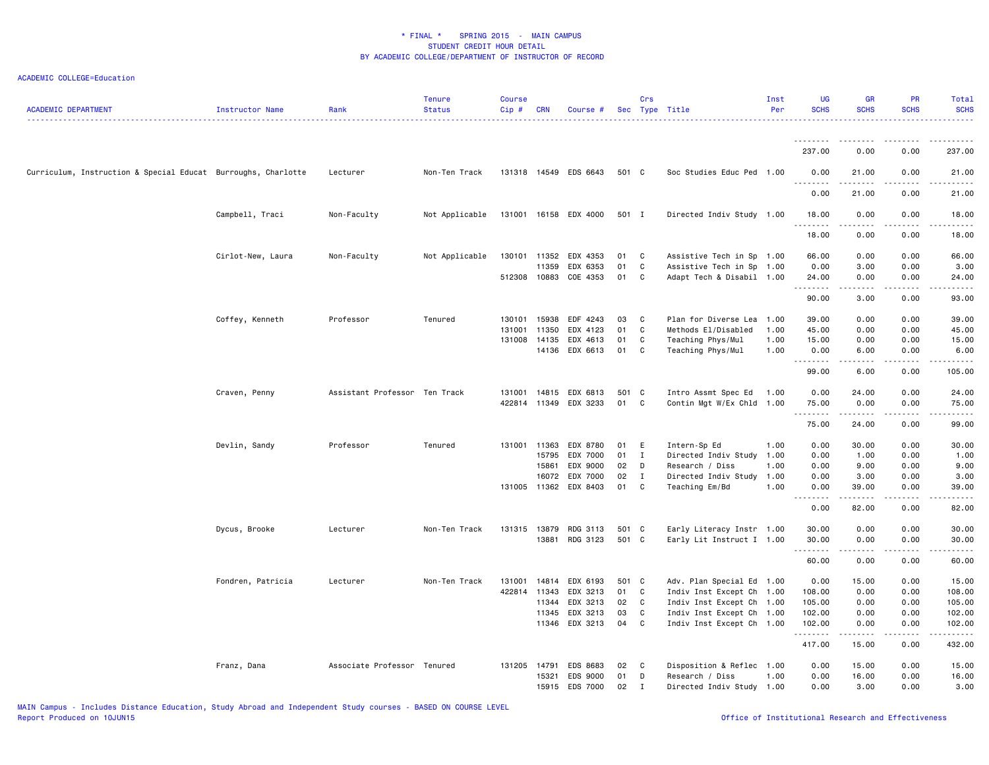| <b>ACADEMIC DEPARTMENT</b>                                    | Instructor Name   | Rank                          | Tenure<br><b>Status</b> | <b>Course</b><br>Cip# | <b>CRN</b>     | Course #              |          | Crs              | Sec Type Title                                         | Inst<br>Per  | <b>UG</b><br><b>SCHS</b> | <b>GR</b><br><b>SCHS</b>                                                                                                                                     | PR<br><b>SCHS</b>     | Total<br><b>SCHS</b> |
|---------------------------------------------------------------|-------------------|-------------------------------|-------------------------|-----------------------|----------------|-----------------------|----------|------------------|--------------------------------------------------------|--------------|--------------------------|--------------------------------------------------------------------------------------------------------------------------------------------------------------|-----------------------|----------------------|
|                                                               |                   |                               |                         |                       |                |                       |          |                  |                                                        |              | <u>.</u>                 | ----                                                                                                                                                         |                       |                      |
|                                                               |                   |                               |                         |                       |                |                       |          |                  |                                                        |              | 237.00                   | 0.00                                                                                                                                                         | 0.00                  | 237.00               |
| Curriculum, Instruction & Special Educat Burroughs, Charlotte |                   | Lecturer                      | Non-Ten Track           |                       |                | 131318 14549 EDS 6643 | 501 C    |                  | Soc Studies Educ Ped 1.00                              |              | 0.00                     | 21.00                                                                                                                                                        | 0.00                  | 21.00                |
|                                                               |                   |                               |                         |                       |                |                       |          |                  |                                                        |              | 0.00                     | 21.00                                                                                                                                                        | 0.00                  | 21.00                |
|                                                               | Campbell, Traci   | Non-Faculty                   | Not Applicable          |                       |                | 131001 16158 EDX 4000 | 501 I    |                  | Directed Indiv Study 1.00                              |              | 18.00<br>.               | 0.00<br>$\sim$ $\sim$ $\sim$ $\sim$                                                                                                                          | 0.00                  | 18.00                |
|                                                               |                   |                               |                         |                       |                |                       |          |                  |                                                        |              | 18.00                    | 0.00                                                                                                                                                         | 0.00                  | 18.00                |
|                                                               | Cirlot-New, Laura | Non-Faculty                   | Not Applicable          |                       | 130101 11352   | EDX 4353              | 01       | $\mathbf{C}$     | Assistive Tech in Sp 1.00                              |              | 66.00                    | 0.00                                                                                                                                                         | 0.00                  | 66.00                |
|                                                               |                   |                               |                         | 512308 10883          | 11359          | EDX 6353<br>COE 4353  | 01<br>01 | C<br>C           | Assistive Tech in Sp 1.00<br>Adapt Tech & Disabil 1.00 |              | 0.00<br>24.00            | 3.00<br>0.00                                                                                                                                                 | 0.00<br>0.00          | 3.00<br>24.00        |
|                                                               |                   |                               |                         |                       |                |                       |          |                  |                                                        |              | .                        | $\frac{1}{2} \left( \frac{1}{2} \right) \left( \frac{1}{2} \right) \left( \frac{1}{2} \right) \left( \frac{1}{2} \right) \left( \frac{1}{2} \right)$<br>3.00 | 0.00                  | .                    |
|                                                               |                   |                               |                         |                       |                |                       |          |                  |                                                        |              | 90.00                    |                                                                                                                                                              |                       | 93.00                |
|                                                               | Coffey, Kenneth   | Professor                     | Tenured                 | 130101<br>131001      | 15938<br>11350 | EDF 4243<br>EDX 4123  | 03<br>01 | C<br>$\mathbf C$ | Plan for Diverse Lea<br>Methods El/Disabled            | 1.00<br>1.00 | 39.00<br>45.00           | 0.00<br>0.00                                                                                                                                                 | 0.00<br>0.00          | 39.00<br>45.00       |
|                                                               |                   |                               |                         | 131008                | 14135          | EDX 4613              | 01       | C                | Teaching Phys/Mul                                      | 1.00         | 15.00                    | 0.00                                                                                                                                                         | 0.00                  | 15.00                |
|                                                               |                   |                               |                         |                       | 14136          | EDX 6613              | 01       | C                | Teaching Phys/Mul                                      | 1.00         | 0.00                     | 6.00                                                                                                                                                         | 0.00                  | 6.00                 |
|                                                               |                   |                               |                         |                       |                |                       |          |                  |                                                        |              | . <b>.</b><br>99.00      | $\frac{1}{2}$<br>6.00                                                                                                                                        | $\frac{1}{2}$<br>0.00 | .<br>105.00          |
|                                                               | Craven, Penny     | Assistant Professor Ten Track |                         | 131001                |                | 14815 EDX 6813        | 501 C    |                  | Intro Assmt Spec Ed                                    | 1.00         | 0.00                     | 24.00                                                                                                                                                        | 0.00                  | 24.00                |
|                                                               |                   |                               |                         | 422814                | 11349          | EDX 3233              | 01       | C                | Contin Mgt W/Ex Chld 1.00                              |              | 75.00                    | 0.00                                                                                                                                                         | 0.00                  | 75.00                |
|                                                               |                   |                               |                         |                       |                |                       |          |                  |                                                        |              | .<br>75.00               | .<br>24.00                                                                                                                                                   | .<br>0.00             | .<br>99.00           |
|                                                               | Devlin, Sandy     | Professor                     | Tenured                 | 131001                | 11363          | EDX 8780              | 01       | E                | Intern-Sp Ed                                           | 1.00         | 0.00                     | 30.00                                                                                                                                                        | 0.00                  | 30.00                |
|                                                               |                   |                               |                         |                       | 15795          | EDX 7000              | 01       | $\mathbf{I}$     | Directed Indiv Study 1.00                              |              | 0.00                     | 1.00                                                                                                                                                         | 0.00                  | 1.00                 |
|                                                               |                   |                               |                         |                       | 15861          | EDX 9000              | 02       | D                | Research / Diss                                        | 1.00         | 0.00                     | 9.00                                                                                                                                                         | 0.00                  | 9.00                 |
|                                                               |                   |                               |                         |                       | 16072          | EDX 7000              | 02       | $\mathbf{I}$     | Directed Indiv Study                                   | 1.00         | 0.00                     | 3.00                                                                                                                                                         | 0.00                  | 3.00                 |
|                                                               |                   |                               |                         |                       |                | 131005 11362 EDX 8403 | 01 C     |                  | Teaching Em/Bd                                         | 1.00         | 0.00<br>.                | 39.00<br>.                                                                                                                                                   | 0.00<br>.             | 39.00<br>.           |
|                                                               |                   |                               |                         |                       |                |                       |          |                  |                                                        |              | 0.00                     | 82.00                                                                                                                                                        | 0.00                  | 82.00                |
|                                                               | Dycus, Brooke     | Lecturer                      | Non-Ten Track           | 131315                | 13879          | RDG 3113              | 501 C    |                  | Early Literacy Instr 1.00                              |              | 30.00                    | 0.00                                                                                                                                                         | 0.00                  | 30.00                |
|                                                               |                   |                               |                         |                       | 13881          | RDG 3123              | 501 C    |                  | Early Lit Instruct I 1.00                              |              | 30.00<br>.               | 0.00<br>.                                                                                                                                                    | 0.00<br>.             | 30.00<br>.           |
|                                                               |                   |                               |                         |                       |                |                       |          |                  |                                                        |              | 60.00                    | 0.00                                                                                                                                                         | 0.00                  | 60.00                |
|                                                               | Fondren, Patricia | Lecturer                      | Non-Ten Track           | 131001                | 14814          | EDX 6193              | 501 C    |                  | Adv. Plan Special Ed 1.00                              |              | 0.00                     | 15.00                                                                                                                                                        | 0.00                  | 15.00                |
|                                                               |                   |                               |                         | 422814 11343          |                | EDX 3213              | 01       | $\mathbf{C}$     | Indiv Inst Except Ch 1.00                              |              | 108.00                   | 0.00                                                                                                                                                         | 0.00                  | 108.00               |
|                                                               |                   |                               |                         |                       | 11344          | EDX 3213              | 02       | $\overline{C}$   | Indiv Inst Except Ch 1.00                              |              | 105.00                   | 0.00                                                                                                                                                         | 0.00                  | 105.00               |
|                                                               |                   |                               |                         |                       | 11345          | EDX 3213              | 03       | C                | Indiv Inst Except Ch 1.00                              |              | 102.00                   | 0.00                                                                                                                                                         | 0.00                  | 102.00               |
|                                                               |                   |                               |                         |                       |                | 11346 EDX 3213        | 04       | $\mathbf{C}$     | Indiv Inst Except Ch 1.00                              |              | 102.00<br>.              | 0.00<br>د د د د د                                                                                                                                            | 0.00                  | 102.00<br>.          |
|                                                               |                   |                               |                         |                       |                |                       |          |                  |                                                        |              | 417.00                   | 15.00                                                                                                                                                        | 0.00                  | 432.00               |
|                                                               | Franz, Dana       | Associate Professor Tenured   |                         | 131205 14791          |                | EDS 8683              | 02       | $\mathbf{C}$     | Disposition & Reflec 1.00                              |              | 0.00                     | 15.00                                                                                                                                                        | 0.00                  | 15.00                |
|                                                               |                   |                               |                         |                       | 15321          | EDS 9000              | 01       | D                | Research / Diss                                        | 1.00         | 0.00                     | 16.00                                                                                                                                                        | 0.00                  | 16.00                |
|                                                               |                   |                               |                         |                       | 15915          | EDS 7000              | 02       | $\mathbf{I}$     | Directed Indiv Study 1.00                              |              | 0.00                     | 3.00                                                                                                                                                         | 0.00                  | 3.00                 |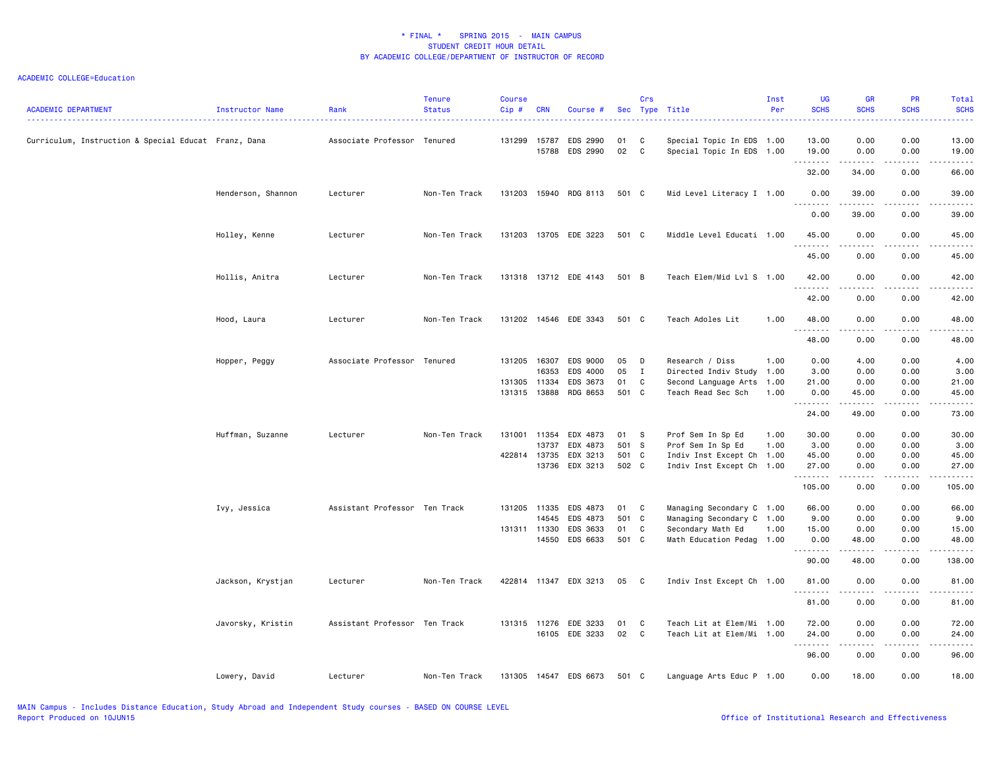| <b>ACADEMIC DEPARTMENT</b>                           | Instructor Name    | Rank                          | <b>Tenure</b><br><b>Status</b> | <b>Course</b><br>$Cip$ # | <b>CRN</b>     | Course #              |          | Crs               | Sec Type Title                                         | Inst<br>Per | <b>UG</b><br><b>SCHS</b> | GR<br><b>SCHS</b>                                                                                                                                             | PR<br><b>SCHS</b>                   | Total<br><b>SCHS</b> |
|------------------------------------------------------|--------------------|-------------------------------|--------------------------------|--------------------------|----------------|-----------------------|----------|-------------------|--------------------------------------------------------|-------------|--------------------------|---------------------------------------------------------------------------------------------------------------------------------------------------------------|-------------------------------------|----------------------|
| Curriculum, Instruction & Special Educat Franz, Dana |                    | Associate Professor Tenured   |                                | 131299                   | 15787<br>15788 | EDS 2990<br>EDS 2990  | 01<br>02 | C<br>$\mathtt{C}$ | Special Topic In EDS 1.00<br>Special Topic In EDS 1.00 |             | 13.00<br>19.00           | 0.00<br>0.00                                                                                                                                                  | 0.00<br>0.00                        | 13.00<br>19.00       |
|                                                      |                    |                               |                                |                          |                |                       |          |                   |                                                        |             | .<br>32.00               | .<br>34.00                                                                                                                                                    | .<br>0.00                           | .<br>66.00           |
|                                                      | Henderson, Shannon | Lecturer                      | Non-Ten Track                  | 131203                   | 15940          | RDG 8113              | 501 C    |                   | Mid Level Literacy I 1.00                              |             | 0.00                     | 39.00                                                                                                                                                         | 0.00                                | 39.00                |
|                                                      |                    |                               |                                |                          |                |                       |          |                   |                                                        |             | 0.00                     | 39.00                                                                                                                                                         | 0.00                                | $- - - - -$<br>39.00 |
|                                                      | Holley, Kenne      | Lecturer                      | Non-Ten Track                  | 131203 13705             |                | EDE 3223              | 501 C    |                   | Middle Level Educati 1.00                              |             | 45.00                    | 0.00                                                                                                                                                          | 0.00                                | 45.00                |
|                                                      |                    |                               |                                |                          |                |                       |          |                   |                                                        |             | .<br>45.00               | .<br>0.00                                                                                                                                                     | $\frac{1}{2}$<br>0.00               | .<br>45.00           |
|                                                      | Hollis, Anitra     | Lecturer                      | Non-Ten Track                  |                          |                | 131318 13712 EDE 4143 | 501 B    |                   | Teach Elem/Mid Lvl S 1.00                              |             | 42.00                    | 0.00                                                                                                                                                          | 0.00                                | 42.00                |
|                                                      |                    |                               |                                |                          |                |                       |          |                   |                                                        |             | .<br>42.00               | .<br>0.00                                                                                                                                                     | .<br>0.00                           | .<br>42.00           |
|                                                      | Hood, Laura        | Lecturer                      | Non-Ten Track                  | 131202                   |                | 14546 EDE 3343        | 501 C    |                   | Teach Adoles Lit                                       | 1.00        | 48.00                    | 0.00                                                                                                                                                          | 0.00<br>- - - -                     | 48.00<br>-----       |
|                                                      |                    |                               |                                |                          |                |                       |          |                   |                                                        |             | .<br>48.00               | 0.00                                                                                                                                                          | 0.00                                | 48.00                |
|                                                      | Hopper, Peggy      | Associate Professor Tenured   |                                | 131205                   | 16307<br>16353 | EDS 9000<br>EDS 4000  | 05<br>05 | D<br>$\mathbf{I}$ | Research / Diss<br>Directed Indiv Study 1.00           | 1.00        | 0.00<br>3.00             | 4.00<br>0.00                                                                                                                                                  | 0.00<br>0.00                        | 4.00<br>3.00         |
|                                                      |                    |                               |                                |                          |                |                       |          |                   |                                                        |             |                          |                                                                                                                                                               |                                     |                      |
|                                                      |                    |                               |                                | 131305 11334             |                | EDS 3673              | 01       | $\mathbf c$       | Second Language Arts                                   | 1.00        | 21.00                    | 0.00                                                                                                                                                          | 0.00                                | 21.00                |
|                                                      |                    |                               |                                | 131315                   | 13888          | RDG 8653              | 501 C    |                   | Teach Read Sec Sch                                     | 1.00        | 0.00<br>.                | 45.00<br>$\frac{1}{2} \left( \frac{1}{2} \right) \left( \frac{1}{2} \right) \left( \frac{1}{2} \right) \left( \frac{1}{2} \right) \left( \frac{1}{2} \right)$ | 0.00<br>$\sim$ $\sim$ $\sim$ $\sim$ | 45.00<br>.           |
|                                                      |                    |                               |                                |                          |                |                       |          |                   |                                                        |             | 24.00                    | 49.00                                                                                                                                                         | 0.00                                | 73.00                |
|                                                      | Huffman, Suzanne   | Lecturer                      | Non-Ten Track                  | 131001 11354             |                | EDX 4873              | 01       | <b>S</b>          | Prof Sem In Sp Ed                                      | 1.00        | 30.00                    | 0.00                                                                                                                                                          | 0.00                                | 30.00                |
|                                                      |                    |                               |                                |                          | 13737          | EDX 4873              | 501 S    |                   | Prof Sem In Sp Ed                                      | 1.00        | 3.00                     | 0.00                                                                                                                                                          | 0.00                                | 3.00                 |
|                                                      |                    |                               |                                | 422814 13735             |                | EDX 3213              | 501 C    |                   | Indiv Inst Except Ch 1.00                              |             | 45.00                    | 0.00                                                                                                                                                          | 0.00                                | 45.00                |
|                                                      |                    |                               |                                |                          | 13736          | EDX 3213              | 502 C    |                   | Indiv Inst Except Ch 1.00                              |             | 27.00<br>.               | 0.00                                                                                                                                                          | 0.00<br>$\frac{1}{2}$               | 27.00<br>$- - - - -$ |
|                                                      |                    |                               |                                |                          |                |                       |          |                   |                                                        |             | 105.00                   | 0.00                                                                                                                                                          | 0.00                                | 105.00               |
|                                                      | Ivy, Jessica       | Assistant Professor Ten Track |                                | 131205                   | 11335          | EDS 4873              | 01       | C                 | Managing Secondary C 1.00                              |             | 66.00                    | 0.00                                                                                                                                                          | 0.00                                | 66.00                |
|                                                      |                    |                               |                                |                          | 14545          | EDS 4873              | 501      | $\mathbf{C}$      | Managing Secondary C 1.00                              |             | 9.00                     | 0.00                                                                                                                                                          | 0.00                                | 9.00                 |
|                                                      |                    |                               |                                | 131311 11330             |                | EDS 3633              | 01       | C                 | Secondary Math Ed                                      | 1.00        | 15.00                    | 0.00                                                                                                                                                          | 0.00                                | 15.00                |
|                                                      |                    |                               |                                |                          | 14550          | EDS 6633              | 501 C    |                   | Math Education Pedag 1.00                              |             | 0.00<br>.                | 48.00<br>.                                                                                                                                                    | 0.00<br>.                           | 48.00<br>.           |
|                                                      |                    |                               |                                |                          |                |                       |          |                   |                                                        |             | 90.00                    | 48.00                                                                                                                                                         | 0.00                                | 138.00               |
|                                                      | Jackson, Krystjan  | Lecturer                      | Non-Ten Track                  | 422814 11347             |                | EDX 3213              | 05       | C                 | Indiv Inst Except Ch 1.00                              |             | 81.00<br><u>.</u>        | 0.00                                                                                                                                                          | 0.00                                | 81.00<br>المتمام     |
|                                                      |                    |                               |                                |                          |                |                       |          |                   |                                                        |             | 81.00                    | 0.00                                                                                                                                                          | 0.00                                | 81.00                |
|                                                      | Javorsky, Kristin  | Assistant Professor Ten Track |                                | 131315 11276             |                | EDE 3233              | 01       | C                 | Teach Lit at Elem/Mi 1.00                              |             | 72.00                    | 0.00                                                                                                                                                          | 0.00                                | 72.00                |
|                                                      |                    |                               |                                |                          | 16105          | EDE 3233              | 02       | $\mathbf{C}$      | Teach Lit at Elem/Mi 1.00                              |             | 24.00                    | 0.00                                                                                                                                                          | 0.00                                | 24.00                |
|                                                      |                    |                               |                                |                          |                |                       |          |                   |                                                        |             | .                        | $\frac{1}{2} \left( \frac{1}{2} \right) \left( \frac{1}{2} \right) \left( \frac{1}{2} \right) \left( \frac{1}{2} \right) \left( \frac{1}{2} \right)$          | .                                   | .                    |
|                                                      |                    |                               |                                |                          |                |                       |          |                   |                                                        |             | 96.00                    | 0.00                                                                                                                                                          | 0.00                                | 96.00                |
|                                                      | Lowery, David      | Lecturer                      | Non-Ten Track                  |                          |                | 131305 14547 EDS 6673 | 501 C    |                   | Language Arts Educ P 1.00                              |             | 0.00                     | 18.00                                                                                                                                                         | 0.00                                | 18.00                |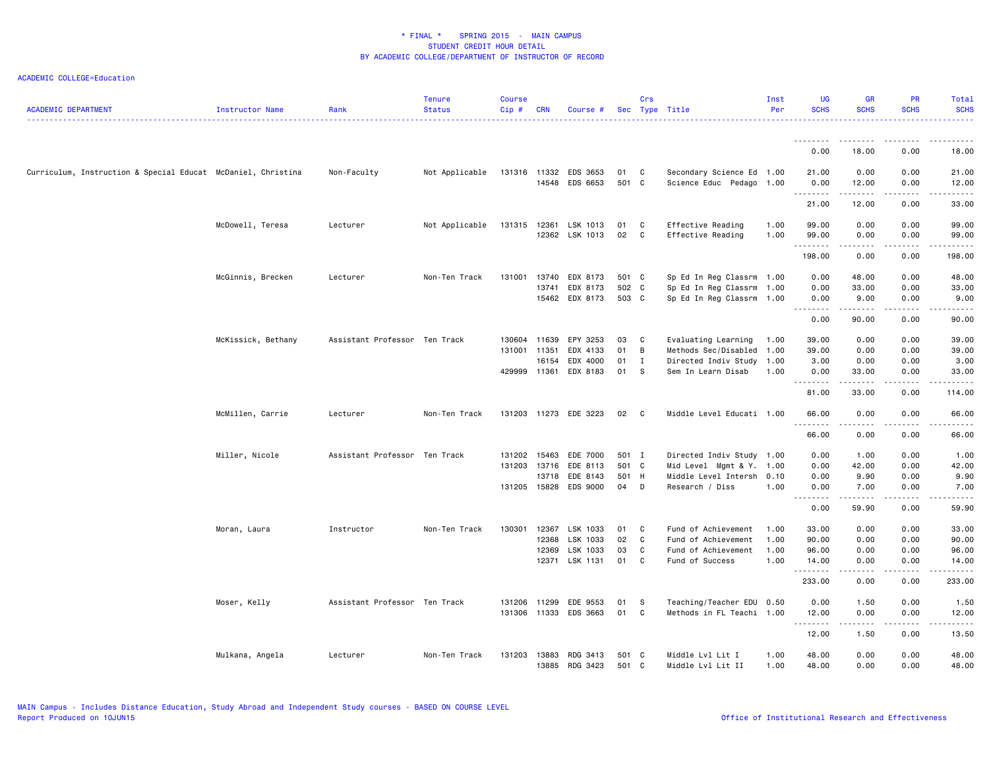| <b>ACADEMIC DEPARTMENT</b>                                   | Instructor Name    | Rank                          | <b>Tenure</b><br><b>Status</b> | <b>Course</b><br>Cip# | <b>CRN</b>   | Course #              |       | Crs          | Sec Type Title            | Inst<br>Per | <b>UG</b><br><b>SCHS</b> | <b>GR</b><br><b>SCHS</b> | <b>PR</b><br><b>SCHS</b> | Total<br><b>SCHS</b> |
|--------------------------------------------------------------|--------------------|-------------------------------|--------------------------------|-----------------------|--------------|-----------------------|-------|--------------|---------------------------|-------------|--------------------------|--------------------------|--------------------------|----------------------|
|                                                              |                    |                               |                                |                       |              |                       |       |              |                           |             |                          |                          |                          |                      |
|                                                              |                    |                               |                                |                       |              |                       |       |              |                           |             | 0.00                     | 18.00                    | 0.00                     | 18.00                |
| Curriculum, Instruction & Special Educat McDaniel, Christina |                    | Non-Faculty                   | Not Applicable                 |                       | 131316 11332 | EDS 3653              | 01    | C            | Secondary Science Ed 1.00 |             | 21.00                    | 0.00                     | 0.00                     | 21.00                |
|                                                              |                    |                               |                                |                       | 14548        | EDS 6653              | 501 C |              | Science Educ Pedago 1.00  |             | 0.00<br>.                | 12.00<br>.               | 0.00<br>.                | 12.00<br>.           |
|                                                              |                    |                               |                                |                       |              |                       |       |              |                           |             | 21.00                    | 12.00                    | 0.00                     | 33.00                |
|                                                              | McDowell, Teresa   | Lecturer                      | Not Applicable                 |                       |              | 131315 12361 LSK 1013 | 01    | C            | Effective Reading         | 1.00        | 99.00                    | 0.00                     | 0.00                     | 99.00                |
|                                                              |                    |                               |                                |                       |              | 12362 LSK 1013        | 02    | C            | Effective Reading         | 1.00        | 99.00<br>.               | 0.00<br>.                | 0.00<br>-----            | 99.00<br>.           |
|                                                              |                    |                               |                                |                       |              |                       |       |              |                           |             | 198.00                   | 0.00                     | 0.00                     | 198.00               |
|                                                              | McGinnis, Brecken  | Lecturer                      | Non-Ten Track                  | 131001                | 13740        | EDX 8173              | 501 C |              | Sp Ed In Reg Classrm 1.00 |             | 0.00                     | 48.00                    | 0.00                     | 48.00                |
|                                                              |                    |                               |                                |                       | 13741        | EDX 8173              | 502 C |              | Sp Ed In Reg Classrm 1.00 |             | 0.00                     | 33.00                    | 0.00                     | 33.00                |
|                                                              |                    |                               |                                |                       |              | 15462 EDX 8173        | 503 C |              | Sp Ed In Reg Classrm 1.00 |             | 0.00<br>.                | 9.00                     | 0.00<br>.                | 9.00<br>.            |
|                                                              |                    |                               |                                |                       |              |                       |       |              |                           |             | 0.00                     | 90.00                    | 0.00                     | 90.00                |
|                                                              | McKissick, Bethany | Assistant Professor Ten Track |                                | 130604                | 11639        | EPY 3253              | 03    | C.           | Evaluating Learning       | 1.00        | 39.00                    | 0.00                     | 0.00                     | 39.00                |
|                                                              |                    |                               |                                | 131001 11351          |              | EDX 4133              | 01    | B            | Methods Sec/Disabled 1.00 |             | 39.00                    | 0.00                     | 0.00                     | 39.00                |
|                                                              |                    |                               |                                |                       | 16154        | EDX 4000              | 01    | $\mathbf{I}$ | Directed Indiv Study 1.00 |             | 3.00                     | 0.00                     | 0.00                     | 3.00                 |
|                                                              |                    |                               |                                | 429999                | 11361        | EDX 8183              | 01    | - S          | Sem In Learn Disab        | 1.00        | 0.00                     | 33.00                    | 0.00<br>.                | 33.00<br>.           |
|                                                              |                    |                               |                                |                       |              |                       |       |              |                           |             | .<br>81.00               | المتمام المتعاد<br>33.00 | 0.00                     | 114.00               |
|                                                              | McMillen, Carrie   | Lecturer                      | Non-Ten Track                  |                       |              | 131203 11273 EDE 3223 | 02    | - C          | Middle Level Educati 1.00 |             | 66.00<br>.               | 0.00<br>.                | 0.00<br>.                | 66.00<br>.           |
|                                                              |                    |                               |                                |                       |              |                       |       |              |                           |             | 66.00                    | 0.00                     | 0.00                     | 66.00                |
|                                                              | Miller, Nicole     | Assistant Professor Ten Track |                                | 131202                | 15463        | EDE 7000              | 501 I |              | Directed Indiv Study 1.00 |             | 0.00                     | 1.00                     | 0.00                     | 1.00                 |
|                                                              |                    |                               |                                | 131203                | 13716        | EDE 8113              | 501 C |              | Mid Level Mgmt & Y.       | 1.00        | 0.00                     | 42.00                    | 0.00                     | 42.00                |
|                                                              |                    |                               |                                |                       | 13718        | EDE 8143              | 501 H |              | Middle Level Intersh 0.10 |             | 0.00                     | 9.90                     | 0.00                     | 9.90                 |
|                                                              |                    |                               |                                |                       | 131205 15828 | EDS 9000              | 04 D  |              | Research / Diss           | 1.00        | 0.00                     | 7.00                     | 0.00<br>.                | 7.00                 |
|                                                              |                    |                               |                                |                       |              |                       |       |              |                           |             | .<br>0.00                | ------<br>59.90          | 0.00                     | .<br>59.90           |
|                                                              | Moran, Laura       | Instructor                    | Non-Ten Track                  | 130301                | 12367        | LSK 1033              | 01    | $\mathbf{C}$ | Fund of Achievement       | 1.00        | 33.00                    | 0.00                     | 0.00                     | 33.00                |
|                                                              |                    |                               |                                |                       | 12368        | LSK 1033              | 02    | C            | Fund of Achievement       | 1.00        | 90.00                    | 0.00                     | 0.00                     | 90.00                |
|                                                              |                    |                               |                                |                       | 12369        | LSK 1033              | 03    | C            | Fund of Achievement       | 1.00        | 96.00                    | 0.00                     | 0.00                     | 96.00                |
|                                                              |                    |                               |                                |                       |              | 12371 LSK 1131        | 01    | C            | Fund of Success           | 1.00        | 14.00                    | 0.00                     | 0.00                     | 14.00                |
|                                                              |                    |                               |                                |                       |              |                       |       |              |                           |             | .<br>233.00              | .<br>0.00                | 2.2.2.2.2<br>0.00        | ------<br>233.00     |
|                                                              | Moser, Kelly       | Assistant Professor Ten Track |                                | 131206                | 11299        | EDE 9553              | 01    | - S          | Teaching/Teacher EDU 0.50 |             | 0.00                     | 1.50                     | 0.00                     | 1.50                 |
|                                                              |                    |                               |                                |                       |              | 131306 11333 EDS 3663 | 01 C  |              | Methods in FL Teachi 1.00 |             | 12.00                    | 0.00                     | 0.00                     | 12.00                |
|                                                              |                    |                               |                                |                       |              |                       |       |              |                           |             | .<br>12.00               | .<br>1.50                | .<br>0.00                | .<br>13.50           |
|                                                              | Mulkana, Angela    | Lecturer                      | Non-Ten Track                  | 131203                | 13883        | RDG 3413              | 501 C |              | Middle Lvl Lit I          | 1.00        | 48.00                    | 0.00                     | 0.00                     | 48.00                |
|                                                              |                    |                               |                                |                       | 13885        | RDG 3423              | 501 C |              | Middle Lvl Lit II         | 1.00        | 48.00                    | 0.00                     | 0.00                     | 48.00                |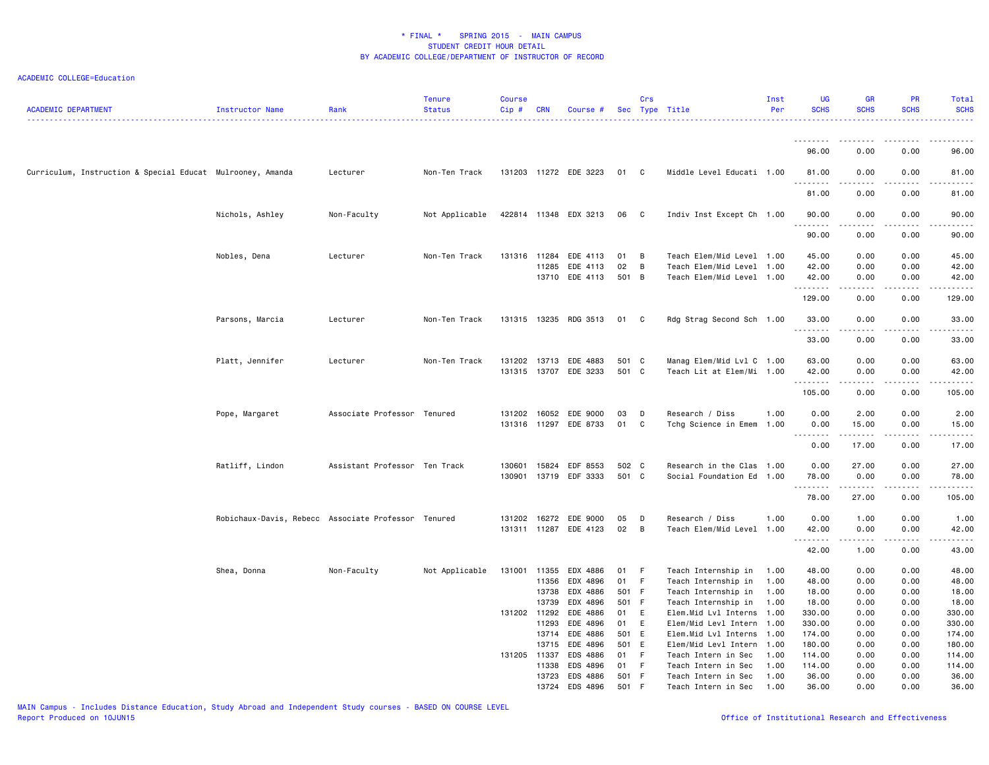| <b>ACADEMIC DEPARTMENT</b>                                 | Instructor Name                                     | Rank                          | <b>Tenure</b><br><b>Status</b> | <b>Course</b><br>Cip# | <b>CRN</b> | Course #              |             | Crs          | Sec Type Title                                         | Inst<br>Per | <b>UG</b><br><b>SCHS</b> | <b>GR</b><br><b>SCHS</b>                                                                                                      | <b>PR</b><br><b>SCHS</b>            | <b>Total</b><br><b>SCHS</b> |
|------------------------------------------------------------|-----------------------------------------------------|-------------------------------|--------------------------------|-----------------------|------------|-----------------------|-------------|--------------|--------------------------------------------------------|-------------|--------------------------|-------------------------------------------------------------------------------------------------------------------------------|-------------------------------------|-----------------------------|
|                                                            |                                                     |                               |                                |                       |            |                       |             |              |                                                        |             |                          |                                                                                                                               |                                     |                             |
|                                                            |                                                     |                               |                                |                       |            |                       |             |              |                                                        |             | 96.00                    | 0.00                                                                                                                          | 0.00                                | 96.00                       |
| Curriculum, Instruction & Special Educat Mulrooney, Amanda |                                                     | Lecturer                      | Non-Ten Track                  |                       |            | 131203 11272 EDE 3223 | 01          | $\mathbf{C}$ | Middle Level Educati 1.00                              |             | 81.00<br>.               | 0.00<br>$\begin{array}{cccccccccc} \bullet & \bullet & \bullet & \bullet & \bullet & \bullet & \bullet & \bullet \end{array}$ | 0.00<br>.                           | 81.00<br>والمستحدث          |
|                                                            |                                                     |                               |                                |                       |            |                       |             |              |                                                        |             | 81.00                    | 0.00                                                                                                                          | 0.00                                | 81.00                       |
|                                                            | Nichols, Ashley                                     | Non-Faculty                   | Not Applicable                 |                       |            | 422814 11348 EDX 3213 | 06          | - C          | Indiv Inst Except Ch 1.00                              |             | 90.00<br><u>.</u>        | 0.00<br>.                                                                                                                     | 0.00<br>.                           | 90.00<br>.                  |
|                                                            |                                                     |                               |                                |                       |            |                       |             |              |                                                        |             | 90.00                    | 0.00                                                                                                                          | 0.00                                | 90.00                       |
|                                                            | Nobles, Dena                                        | Lecturer                      | Non-Ten Track                  | 131316                | 11284      | EDE 4113              | 01          | B            | Teach Elem/Mid Level 1.00                              |             | 45.00                    | 0.00                                                                                                                          | 0.00                                | 45.00                       |
|                                                            |                                                     |                               |                                |                       | 11285      | EDE 4113              | 02          | B            | Teach Elem/Mid Level 1.00                              |             | 42.00                    | 0.00                                                                                                                          | 0.00                                | 42.00                       |
|                                                            |                                                     |                               |                                |                       |            | 13710 EDE 4113        | 501 B       |              | Teach Elem/Mid Level 1.00                              |             | 42.00<br>.               | 0.00<br>.                                                                                                                     | 0.00<br>.                           | 42.00<br>.                  |
|                                                            |                                                     |                               |                                |                       |            |                       |             |              |                                                        |             | 129.00                   | 0.00                                                                                                                          | 0.00                                | 129.00                      |
|                                                            | Parsons, Marcia                                     | Lecturer                      | Non-Ten Track                  |                       |            | 131315 13235 RDG 3513 | 01 C        |              | Rdg Strag Second Sch 1.00                              |             | 33.00<br><u>.</u>        | 0.00<br>.                                                                                                                     | 0.00<br>.                           | 33.00<br>.                  |
|                                                            |                                                     |                               |                                |                       |            |                       |             |              |                                                        |             | 33.00                    | 0.00                                                                                                                          | 0.00                                | 33.00                       |
|                                                            | Platt, Jennifer                                     | Lecturer                      | Non-Ten Track                  |                       |            | 131202 13713 EDE 4883 | 501 C       |              | Manag Elem/Mid Lvl C 1.00                              |             | 63.00                    | 0.00                                                                                                                          | 0.00                                | 63.00                       |
|                                                            |                                                     |                               |                                |                       |            | 131315 13707 EDE 3233 | 501 C       |              | Teach Lit at Elem/Mi 1.00                              |             | 42.00<br>.               | 0.00<br>$\sim$                                                                                                                | 0.00<br>$- - - - -$                 | 42.00<br>------             |
|                                                            |                                                     |                               |                                |                       |            |                       |             |              |                                                        |             | 105.00                   | 0.00                                                                                                                          | 0.00                                | 105.00                      |
|                                                            | Pope, Margaret                                      | Associate Professor Tenured   |                                | 131202                | 16052      | EDE 9000              | 03          | D            | Research / Diss                                        | 1.00        | 0.00                     | 2.00                                                                                                                          | 0.00                                | 2.00                        |
|                                                            |                                                     |                               |                                |                       |            | 131316 11297 EDE 8733 | 01          | C            | Tchg Science in Emem 1.00                              |             | 0.00<br>.                | 15.00<br>.                                                                                                                    | 0.00<br>.                           | 15.00<br>المستما            |
|                                                            |                                                     |                               |                                |                       |            |                       |             |              |                                                        |             | 0.00                     | 17.00                                                                                                                         | 0.00                                | 17.00                       |
|                                                            | Ratliff, Lindon                                     | Assistant Professor Ten Track |                                | 130601                | 15824      | EDF 8553              | 502 C       |              | Research in the Clas 1.00                              |             | 0.00                     | 27.00                                                                                                                         | 0.00                                | 27.00                       |
|                                                            |                                                     |                               |                                | 130901                | 13719      | EDF 3333              | 501 C       |              | Social Foundation Ed 1.00                              |             | 78.00<br>.               | 0.00<br>.                                                                                                                     | 0.00<br>$\sim$ $\sim$ $\sim$ $\sim$ | 78.00<br>.                  |
|                                                            |                                                     |                               |                                |                       |            |                       |             |              |                                                        |             | 78.00                    | 27.00                                                                                                                         | 0.00                                | 105.00                      |
|                                                            | Robichaux-Davis, Rebecc Associate Professor Tenured |                               |                                | 131202                | 16272      | EDE 9000              | 05          | D            | Research / Diss                                        | 1.00        | 0.00                     | 1.00                                                                                                                          | 0.00                                | 1.00                        |
|                                                            |                                                     |                               |                                |                       |            | 131311 11287 EDE 4123 | 02          | B            | Teach Elem/Mid Level 1.00                              |             | 42.00<br>.               | 0.00<br>$\begin{array}{cccccccccc} \bullet & \bullet & \bullet & \bullet & \bullet & \bullet & \bullet \end{array}$           | 0.00<br>.                           | 42.00<br>.                  |
|                                                            |                                                     |                               |                                |                       |            |                       |             |              |                                                        |             | 42.00                    | 1.00                                                                                                                          | 0.00                                | 43.00                       |
|                                                            | Shea, Donna                                         | Non-Faculty                   | Not Applicable                 | 131001                | 11355      | EDX 4886              | 01          | -F           | Teach Internship in                                    | 1.00        | 48.00                    | 0.00                                                                                                                          | 0.00                                | 48.00                       |
|                                                            |                                                     |                               |                                |                       | 11356      | EDX 4896              | 01          | - F          | Teach Internship in                                    | 1.00        | 48.00                    | 0.00                                                                                                                          | 0.00                                | 48.00                       |
|                                                            |                                                     |                               |                                |                       | 13738      | EDX 4886              | 501 F       |              | Teach Internship in                                    | 1.00        | 18.00                    | 0.00                                                                                                                          | 0.00                                | 18.00                       |
|                                                            |                                                     |                               |                                | 131202 11292          | 13739      | EDX 4896<br>EDE 4886  | 501 F<br>01 | E            | Teach Internship in                                    | 1.00        | 18.00<br>330.00          | 0.00                                                                                                                          | 0.00                                | 18.00                       |
|                                                            |                                                     |                               |                                |                       | 11293      | EDE 4896              | 01          | E            | Elem.Mid Lvl Interns 1.00<br>Elem/Mid Levl Intern 1.00 |             | 330.00                   | 0.00<br>0.00                                                                                                                  | 0.00<br>0.00                        | 330.00<br>330.00            |
|                                                            |                                                     |                               |                                |                       |            | 13714 EDE 4886        | 501 E       |              | Elem.Mid Lvl Interns 1.00                              |             | 174.00                   | 0.00                                                                                                                          | 0.00                                | 174.00                      |
|                                                            |                                                     |                               |                                |                       | 13715      | EDE 4896              | 501 E       |              | Elem/Mid Levl Intern 1.00                              |             | 180.00                   | 0.00                                                                                                                          | 0.00                                | 180.00                      |
|                                                            |                                                     |                               |                                | 131205 11337          |            | EDS 4886              | 01          | - F          | Teach Intern in Sec                                    | 1.00        | 114.00                   | 0.00                                                                                                                          | 0.00                                | 114.00                      |
|                                                            |                                                     |                               |                                |                       | 11338      | EDS 4896              | 01          | - F          | Teach Intern in Sec                                    | 1.00        | 114.00                   | 0.00                                                                                                                          | 0.00                                | 114.00                      |
|                                                            |                                                     |                               |                                |                       | 13723      | EDS 4886              | 501 F       |              | Teach Intern in Sec                                    | 1.00        | 36.00                    | 0.00                                                                                                                          | 0.00                                | 36.00                       |
|                                                            |                                                     |                               |                                |                       | 13724      | EDS 4896              | 501 F       |              | Teach Intern in Sec                                    | 1.00        | 36.00                    | 0.00                                                                                                                          | 0.00                                | 36.00                       |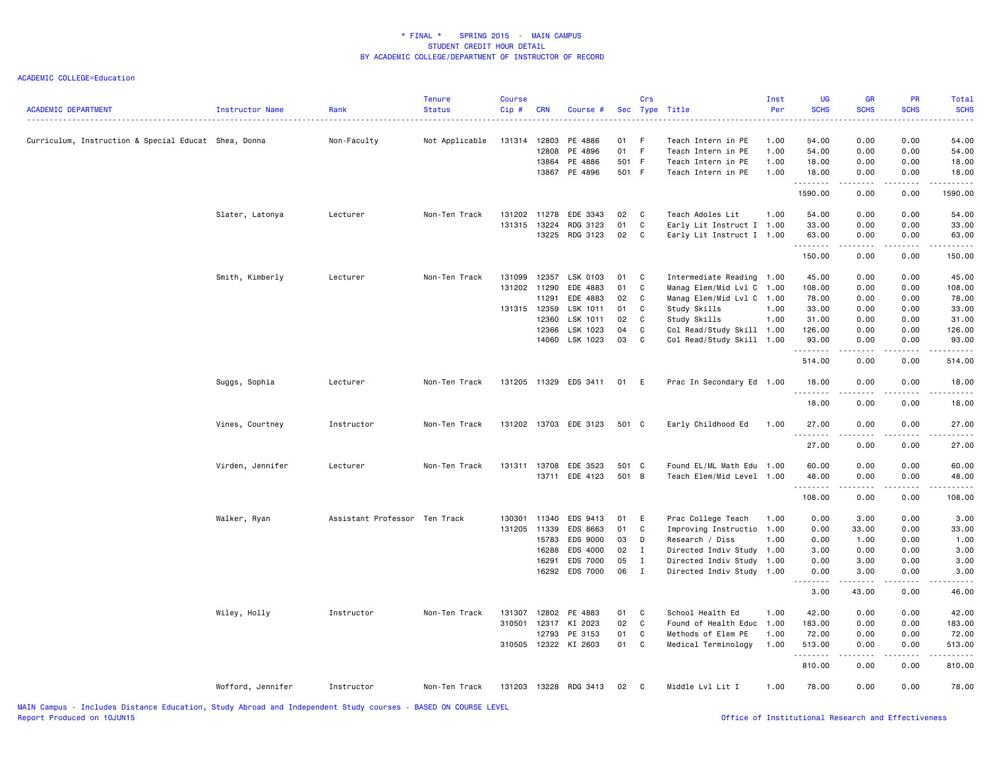| 0.00<br>54.00<br>Curriculum, Instruction & Special Educat Shea, Donna<br>Non-Faculty<br>Not Applicable<br>131314<br>12803<br>PE 4886<br>01 F<br>Teach Intern in PE<br>1.00<br>54.00<br>0.00<br>12808<br>PE 4896<br>01 F<br>Teach Intern in PE<br>54.00<br>0.00<br>0.00<br>54.00<br>1.00<br>13864 PE 4886<br>501 F<br>0.00<br>18.00<br>Teach Intern in PE<br>1.00<br>18.00<br>0.00<br>13867 PE 4896<br>501 F<br>0.00<br>0.00<br>18.00<br>Teach Intern in PE<br>1.00<br>18.00<br>.<br>$\sim$ $\sim$ $\sim$ $\sim$<br>1590.00<br>0.00<br>1590.00<br>0.00<br>54.00<br>0.00<br>0.00<br>54.00<br>Slater, Latonya<br>Lecturer<br>Non-Ten Track<br>131202<br>11278<br>EDE 3343<br>02<br>$\mathbf{C}$<br>Teach Adoles Lit<br>1.00<br>01<br>C<br>33.00<br>0.00<br>33.00<br>131315<br>13224<br>RDG 3123<br>Early Lit Instruct I 1.00<br>0.00<br>13225<br>RDG 3123<br>02<br>63.00<br>C<br>Early Lit Instruct I 1.00<br>63.00<br>0.00<br>0.00<br>.<br>.<br>$\sim$ $\sim$ $\sim$ $\sim$<br>2.2.2.2.2.2<br>0.00<br>150.00<br>0.00<br>150.00<br>Smith, Kimberly<br>131099<br>12357<br>LSK 0103<br>Intermediate Reading 1.00<br>45.00<br>0.00<br>0.00<br>45.00<br>Lecturer<br>Non-Ten Track<br>01<br>$\overline{c}$<br>131202 11290<br>EDE 4883<br>01<br>C<br>Manag Elem/Mid Lvl C 1.00<br>108.00<br>0.00<br>0.00<br>108.00<br>11291<br>C<br>Manag Elem/Mid Lvl C 1.00<br>78.00<br>0.00<br>78.00<br>EDE 4883<br>02<br>0.00<br>LSK 1011<br>01<br>C<br>Study Skills<br>0.00<br>33.00<br>131315 12359<br>1.00<br>33.00<br>0.00<br>12360<br>LSK 1011<br>C<br>Study Skills<br>31.00<br>02<br>1.00<br>31.00<br>0.00<br>0.00<br>LSK 1023<br>04<br>C<br>Col Read/Study Skill 1.00<br>126.00<br>0.00<br>0.00<br>126.00<br>12366<br>14060 LSK 1023<br>03<br>93.00<br>$\mathbf{C}$<br>Col Read/Study Skill 1.00<br>93.00<br>0.00<br>0.00<br>.<br>$\sim$ $\sim$ $\sim$ $\sim$<br>514.00<br>0.00<br>0.00<br>514.00<br>Suggs, Sophia<br>131205 11329 EDS 3411 01 E<br>Prac In Secondary Ed 1.00<br>18.00<br>0.00<br>0.00<br>18.00<br>Lecturer<br>Non-Ten Track<br>.<br>$\frac{1}{2} \left( \frac{1}{2} \right) \left( \frac{1}{2} \right) \left( \frac{1}{2} \right) \left( \frac{1}{2} \right)$<br>.<br>.<br>0.00<br>18.00<br>0.00<br>18.00<br>131202 13703 EDE 3123<br>1.00<br>27.00<br>0.00<br>0.00<br>27.00<br>Vines, Courtney<br>Instructor<br>Non-Ten Track<br>501 C<br>Early Childhood Ed<br>.<br>.<br>-----<br>27.00<br>0.00<br>0.00<br>27.00<br>Virden, Jennifer<br>131311<br>Found EL/ML Math Edu<br>60.00<br>0.00<br>0.00<br>60.00<br>Lecturer<br>Non-Ten Track<br>13708 EDE 3523<br>501 C<br>1.00<br>13711 EDE 4123<br>501 B<br>Teach Elem/Mid Level 1.00<br>48.00<br>0.00<br>0.00<br>48.00<br>.<br>.<br>$- - - - -$<br>108.00<br>0.00<br>0.00<br>108.00<br>Assistant Professor Ten Track<br>0.00<br>0.00<br>3.00<br>Walker, Ryan<br>11340<br>EDS 9413<br>01<br>E<br>Prac College Teach<br>1.00<br>3.00<br>130301<br>131205 11339<br>C<br>0.00<br>33.00<br>EDS 8663<br>01<br>Improving Instructio 1.00<br>0.00<br>33.00<br>15783<br>EDS 9000<br>D<br>0.00<br>1.00<br>03<br>Research / Diss<br>1.00<br>0.00<br>1.00<br>16288<br>EDS 4000<br>3.00<br>02<br>$\mathbf{I}$<br>Directed Indiv Study<br>1.00<br>3.00<br>0.00<br>0.00<br>16291<br><b>EDS 7000</b><br>05<br>$\mathbf{I}$<br>Directed Indiv Study<br>0.00<br>3.00<br>0.00<br>3.00<br>1.00<br>16292 EDS 7000<br>06 I<br>Directed Indiv Study 1.00<br>0.00<br>3.00<br>0.00<br>3.00<br>.<br>$\frac{1}{2} \left( \frac{1}{2} \right) \left( \frac{1}{2} \right) \left( \frac{1}{2} \right) \left( \frac{1}{2} \right) \left( \frac{1}{2} \right)$<br>3.00<br>43.00<br>0.00<br>46.00<br>0.00<br>Wiley, Holly<br>Instructor<br>Non-Ten Track<br>12802 PE 4883<br>01 C<br>School Health Ed<br>1.00<br>42.00<br>0.00<br>42.00<br>131307<br>02<br>310501<br>12317<br>KI 2023<br>$\mathbf{C}$<br>Found of Health Educ<br>1.00<br>183.00<br>0.00<br>0.00<br>183.00<br>12793<br>PE 3153<br>01<br>C<br>72.00<br>0.00<br>0.00<br>72.00<br>Methods of Elem PE<br>1.00<br>310505 12322 KI 2603<br>01<br>C<br>513.00<br>0.00<br>513.00<br>Medical Terminology<br>1.00<br>0.00<br>.<br>$\sim$ $\sim$ $\sim$ $\sim$<br>.<br>810.00<br>0.00<br>0.00<br>810.00<br>Wofford, Jennifer<br>Instructor<br>Non-Ten Track<br>131203 13228 RDG 3413<br>02 C<br>Middle Lvl Lit I<br>1.00<br>78.00<br>0.00<br>0.00<br>78.00 | <b>ACADEMIC DEPARTMENT</b> | Instructor Name | Rank<br>. | <b>Tenure</b><br><b>Status</b> | <b>Course</b><br>Cip# | <b>CRN</b> | Course # | Crs | Sec Type Title | Inst<br>Per<br>المتمام الما | <b>UG</b><br><b>SCHS</b> | <b>GR</b><br><b>SCHS</b> | PR<br><b>SCHS</b> | Total<br><b>SCHS</b> |
|---------------------------------------------------------------------------------------------------------------------------------------------------------------------------------------------------------------------------------------------------------------------------------------------------------------------------------------------------------------------------------------------------------------------------------------------------------------------------------------------------------------------------------------------------------------------------------------------------------------------------------------------------------------------------------------------------------------------------------------------------------------------------------------------------------------------------------------------------------------------------------------------------------------------------------------------------------------------------------------------------------------------------------------------------------------------------------------------------------------------------------------------------------------------------------------------------------------------------------------------------------------------------------------------------------------------------------------------------------------------------------------------------------------------------------------------------------------------------------------------------------------------------------------------------------------------------------------------------------------------------------------------------------------------------------------------------------------------------------------------------------------------------------------------------------------------------------------------------------------------------------------------------------------------------------------------------------------------------------------------------------------------------------------------------------------------------------------------------------------------------------------------------------------------------------------------------------------------------------------------------------------------------------------------------------------------------------------------------------------------------------------------------------------------------------------------------------------------------------------------------------------------------------------------------------------------------------------------------------------------------------------------------------------------------------------------------------------------------------------------------------------------------------------------------------------------------------------------------------------------------------------------------------------------------------------------------------------------------------------------------------------------------------------------------------------------------------------------------------------------------------------------------------------------------------------------------------------------------------------------------------------------------------------------------------------------------------------------------------------------------------------------------------------------------------------------------------------------------------------------------------------------------------------------------------------------------------------------------------------------------------------------------------------------------------------------------------------------------------------------------------------------------------------------------------------------------------------------------------------------------------------------------------------------------------------------------------------------------------------------------------------------------------------------------------------------------------------------------------------------------------------------------------------------------------------------------------------------------------------------------------------------------------------------------------------------------------|----------------------------|-----------------|-----------|--------------------------------|-----------------------|------------|----------|-----|----------------|-----------------------------|--------------------------|--------------------------|-------------------|----------------------|
|                                                                                                                                                                                                                                                                                                                                                                                                                                                                                                                                                                                                                                                                                                                                                                                                                                                                                                                                                                                                                                                                                                                                                                                                                                                                                                                                                                                                                                                                                                                                                                                                                                                                                                                                                                                                                                                                                                                                                                                                                                                                                                                                                                                                                                                                                                                                                                                                                                                                                                                                                                                                                                                                                                                                                                                                                                                                                                                                                                                                                                                                                                                                                                                                                                                                                                                                                                                                                                                                                                                                                                                                                                                                                                                                                                                                                                                                                                                                                                                                                                                                                                                                                                                                                                                                                                                                 |                            |                 |           |                                |                       |            |          |     |                |                             |                          |                          |                   |                      |
|                                                                                                                                                                                                                                                                                                                                                                                                                                                                                                                                                                                                                                                                                                                                                                                                                                                                                                                                                                                                                                                                                                                                                                                                                                                                                                                                                                                                                                                                                                                                                                                                                                                                                                                                                                                                                                                                                                                                                                                                                                                                                                                                                                                                                                                                                                                                                                                                                                                                                                                                                                                                                                                                                                                                                                                                                                                                                                                                                                                                                                                                                                                                                                                                                                                                                                                                                                                                                                                                                                                                                                                                                                                                                                                                                                                                                                                                                                                                                                                                                                                                                                                                                                                                                                                                                                                                 |                            |                 |           |                                |                       |            |          |     |                |                             |                          |                          |                   |                      |
|                                                                                                                                                                                                                                                                                                                                                                                                                                                                                                                                                                                                                                                                                                                                                                                                                                                                                                                                                                                                                                                                                                                                                                                                                                                                                                                                                                                                                                                                                                                                                                                                                                                                                                                                                                                                                                                                                                                                                                                                                                                                                                                                                                                                                                                                                                                                                                                                                                                                                                                                                                                                                                                                                                                                                                                                                                                                                                                                                                                                                                                                                                                                                                                                                                                                                                                                                                                                                                                                                                                                                                                                                                                                                                                                                                                                                                                                                                                                                                                                                                                                                                                                                                                                                                                                                                                                 |                            |                 |           |                                |                       |            |          |     |                |                             |                          |                          |                   |                      |
|                                                                                                                                                                                                                                                                                                                                                                                                                                                                                                                                                                                                                                                                                                                                                                                                                                                                                                                                                                                                                                                                                                                                                                                                                                                                                                                                                                                                                                                                                                                                                                                                                                                                                                                                                                                                                                                                                                                                                                                                                                                                                                                                                                                                                                                                                                                                                                                                                                                                                                                                                                                                                                                                                                                                                                                                                                                                                                                                                                                                                                                                                                                                                                                                                                                                                                                                                                                                                                                                                                                                                                                                                                                                                                                                                                                                                                                                                                                                                                                                                                                                                                                                                                                                                                                                                                                                 |                            |                 |           |                                |                       |            |          |     |                |                             |                          |                          |                   |                      |
|                                                                                                                                                                                                                                                                                                                                                                                                                                                                                                                                                                                                                                                                                                                                                                                                                                                                                                                                                                                                                                                                                                                                                                                                                                                                                                                                                                                                                                                                                                                                                                                                                                                                                                                                                                                                                                                                                                                                                                                                                                                                                                                                                                                                                                                                                                                                                                                                                                                                                                                                                                                                                                                                                                                                                                                                                                                                                                                                                                                                                                                                                                                                                                                                                                                                                                                                                                                                                                                                                                                                                                                                                                                                                                                                                                                                                                                                                                                                                                                                                                                                                                                                                                                                                                                                                                                                 |                            |                 |           |                                |                       |            |          |     |                |                             |                          |                          |                   |                      |
|                                                                                                                                                                                                                                                                                                                                                                                                                                                                                                                                                                                                                                                                                                                                                                                                                                                                                                                                                                                                                                                                                                                                                                                                                                                                                                                                                                                                                                                                                                                                                                                                                                                                                                                                                                                                                                                                                                                                                                                                                                                                                                                                                                                                                                                                                                                                                                                                                                                                                                                                                                                                                                                                                                                                                                                                                                                                                                                                                                                                                                                                                                                                                                                                                                                                                                                                                                                                                                                                                                                                                                                                                                                                                                                                                                                                                                                                                                                                                                                                                                                                                                                                                                                                                                                                                                                                 |                            |                 |           |                                |                       |            |          |     |                |                             |                          |                          |                   |                      |
|                                                                                                                                                                                                                                                                                                                                                                                                                                                                                                                                                                                                                                                                                                                                                                                                                                                                                                                                                                                                                                                                                                                                                                                                                                                                                                                                                                                                                                                                                                                                                                                                                                                                                                                                                                                                                                                                                                                                                                                                                                                                                                                                                                                                                                                                                                                                                                                                                                                                                                                                                                                                                                                                                                                                                                                                                                                                                                                                                                                                                                                                                                                                                                                                                                                                                                                                                                                                                                                                                                                                                                                                                                                                                                                                                                                                                                                                                                                                                                                                                                                                                                                                                                                                                                                                                                                                 |                            |                 |           |                                |                       |            |          |     |                |                             |                          |                          |                   |                      |
|                                                                                                                                                                                                                                                                                                                                                                                                                                                                                                                                                                                                                                                                                                                                                                                                                                                                                                                                                                                                                                                                                                                                                                                                                                                                                                                                                                                                                                                                                                                                                                                                                                                                                                                                                                                                                                                                                                                                                                                                                                                                                                                                                                                                                                                                                                                                                                                                                                                                                                                                                                                                                                                                                                                                                                                                                                                                                                                                                                                                                                                                                                                                                                                                                                                                                                                                                                                                                                                                                                                                                                                                                                                                                                                                                                                                                                                                                                                                                                                                                                                                                                                                                                                                                                                                                                                                 |                            |                 |           |                                |                       |            |          |     |                |                             |                          |                          |                   |                      |
|                                                                                                                                                                                                                                                                                                                                                                                                                                                                                                                                                                                                                                                                                                                                                                                                                                                                                                                                                                                                                                                                                                                                                                                                                                                                                                                                                                                                                                                                                                                                                                                                                                                                                                                                                                                                                                                                                                                                                                                                                                                                                                                                                                                                                                                                                                                                                                                                                                                                                                                                                                                                                                                                                                                                                                                                                                                                                                                                                                                                                                                                                                                                                                                                                                                                                                                                                                                                                                                                                                                                                                                                                                                                                                                                                                                                                                                                                                                                                                                                                                                                                                                                                                                                                                                                                                                                 |                            |                 |           |                                |                       |            |          |     |                |                             |                          |                          |                   |                      |
|                                                                                                                                                                                                                                                                                                                                                                                                                                                                                                                                                                                                                                                                                                                                                                                                                                                                                                                                                                                                                                                                                                                                                                                                                                                                                                                                                                                                                                                                                                                                                                                                                                                                                                                                                                                                                                                                                                                                                                                                                                                                                                                                                                                                                                                                                                                                                                                                                                                                                                                                                                                                                                                                                                                                                                                                                                                                                                                                                                                                                                                                                                                                                                                                                                                                                                                                                                                                                                                                                                                                                                                                                                                                                                                                                                                                                                                                                                                                                                                                                                                                                                                                                                                                                                                                                                                                 |                            |                 |           |                                |                       |            |          |     |                |                             |                          |                          |                   |                      |
|                                                                                                                                                                                                                                                                                                                                                                                                                                                                                                                                                                                                                                                                                                                                                                                                                                                                                                                                                                                                                                                                                                                                                                                                                                                                                                                                                                                                                                                                                                                                                                                                                                                                                                                                                                                                                                                                                                                                                                                                                                                                                                                                                                                                                                                                                                                                                                                                                                                                                                                                                                                                                                                                                                                                                                                                                                                                                                                                                                                                                                                                                                                                                                                                                                                                                                                                                                                                                                                                                                                                                                                                                                                                                                                                                                                                                                                                                                                                                                                                                                                                                                                                                                                                                                                                                                                                 |                            |                 |           |                                |                       |            |          |     |                |                             |                          |                          |                   |                      |
|                                                                                                                                                                                                                                                                                                                                                                                                                                                                                                                                                                                                                                                                                                                                                                                                                                                                                                                                                                                                                                                                                                                                                                                                                                                                                                                                                                                                                                                                                                                                                                                                                                                                                                                                                                                                                                                                                                                                                                                                                                                                                                                                                                                                                                                                                                                                                                                                                                                                                                                                                                                                                                                                                                                                                                                                                                                                                                                                                                                                                                                                                                                                                                                                                                                                                                                                                                                                                                                                                                                                                                                                                                                                                                                                                                                                                                                                                                                                                                                                                                                                                                                                                                                                                                                                                                                                 |                            |                 |           |                                |                       |            |          |     |                |                             |                          |                          |                   |                      |
|                                                                                                                                                                                                                                                                                                                                                                                                                                                                                                                                                                                                                                                                                                                                                                                                                                                                                                                                                                                                                                                                                                                                                                                                                                                                                                                                                                                                                                                                                                                                                                                                                                                                                                                                                                                                                                                                                                                                                                                                                                                                                                                                                                                                                                                                                                                                                                                                                                                                                                                                                                                                                                                                                                                                                                                                                                                                                                                                                                                                                                                                                                                                                                                                                                                                                                                                                                                                                                                                                                                                                                                                                                                                                                                                                                                                                                                                                                                                                                                                                                                                                                                                                                                                                                                                                                                                 |                            |                 |           |                                |                       |            |          |     |                |                             |                          |                          |                   |                      |
|                                                                                                                                                                                                                                                                                                                                                                                                                                                                                                                                                                                                                                                                                                                                                                                                                                                                                                                                                                                                                                                                                                                                                                                                                                                                                                                                                                                                                                                                                                                                                                                                                                                                                                                                                                                                                                                                                                                                                                                                                                                                                                                                                                                                                                                                                                                                                                                                                                                                                                                                                                                                                                                                                                                                                                                                                                                                                                                                                                                                                                                                                                                                                                                                                                                                                                                                                                                                                                                                                                                                                                                                                                                                                                                                                                                                                                                                                                                                                                                                                                                                                                                                                                                                                                                                                                                                 |                            |                 |           |                                |                       |            |          |     |                |                             |                          |                          |                   |                      |
|                                                                                                                                                                                                                                                                                                                                                                                                                                                                                                                                                                                                                                                                                                                                                                                                                                                                                                                                                                                                                                                                                                                                                                                                                                                                                                                                                                                                                                                                                                                                                                                                                                                                                                                                                                                                                                                                                                                                                                                                                                                                                                                                                                                                                                                                                                                                                                                                                                                                                                                                                                                                                                                                                                                                                                                                                                                                                                                                                                                                                                                                                                                                                                                                                                                                                                                                                                                                                                                                                                                                                                                                                                                                                                                                                                                                                                                                                                                                                                                                                                                                                                                                                                                                                                                                                                                                 |                            |                 |           |                                |                       |            |          |     |                |                             |                          |                          |                   |                      |
|                                                                                                                                                                                                                                                                                                                                                                                                                                                                                                                                                                                                                                                                                                                                                                                                                                                                                                                                                                                                                                                                                                                                                                                                                                                                                                                                                                                                                                                                                                                                                                                                                                                                                                                                                                                                                                                                                                                                                                                                                                                                                                                                                                                                                                                                                                                                                                                                                                                                                                                                                                                                                                                                                                                                                                                                                                                                                                                                                                                                                                                                                                                                                                                                                                                                                                                                                                                                                                                                                                                                                                                                                                                                                                                                                                                                                                                                                                                                                                                                                                                                                                                                                                                                                                                                                                                                 |                            |                 |           |                                |                       |            |          |     |                |                             |                          |                          |                   |                      |
|                                                                                                                                                                                                                                                                                                                                                                                                                                                                                                                                                                                                                                                                                                                                                                                                                                                                                                                                                                                                                                                                                                                                                                                                                                                                                                                                                                                                                                                                                                                                                                                                                                                                                                                                                                                                                                                                                                                                                                                                                                                                                                                                                                                                                                                                                                                                                                                                                                                                                                                                                                                                                                                                                                                                                                                                                                                                                                                                                                                                                                                                                                                                                                                                                                                                                                                                                                                                                                                                                                                                                                                                                                                                                                                                                                                                                                                                                                                                                                                                                                                                                                                                                                                                                                                                                                                                 |                            |                 |           |                                |                       |            |          |     |                |                             |                          |                          |                   |                      |
|                                                                                                                                                                                                                                                                                                                                                                                                                                                                                                                                                                                                                                                                                                                                                                                                                                                                                                                                                                                                                                                                                                                                                                                                                                                                                                                                                                                                                                                                                                                                                                                                                                                                                                                                                                                                                                                                                                                                                                                                                                                                                                                                                                                                                                                                                                                                                                                                                                                                                                                                                                                                                                                                                                                                                                                                                                                                                                                                                                                                                                                                                                                                                                                                                                                                                                                                                                                                                                                                                                                                                                                                                                                                                                                                                                                                                                                                                                                                                                                                                                                                                                                                                                                                                                                                                                                                 |                            |                 |           |                                |                       |            |          |     |                |                             |                          |                          |                   |                      |
|                                                                                                                                                                                                                                                                                                                                                                                                                                                                                                                                                                                                                                                                                                                                                                                                                                                                                                                                                                                                                                                                                                                                                                                                                                                                                                                                                                                                                                                                                                                                                                                                                                                                                                                                                                                                                                                                                                                                                                                                                                                                                                                                                                                                                                                                                                                                                                                                                                                                                                                                                                                                                                                                                                                                                                                                                                                                                                                                                                                                                                                                                                                                                                                                                                                                                                                                                                                                                                                                                                                                                                                                                                                                                                                                                                                                                                                                                                                                                                                                                                                                                                                                                                                                                                                                                                                                 |                            |                 |           |                                |                       |            |          |     |                |                             |                          |                          |                   |                      |
|                                                                                                                                                                                                                                                                                                                                                                                                                                                                                                                                                                                                                                                                                                                                                                                                                                                                                                                                                                                                                                                                                                                                                                                                                                                                                                                                                                                                                                                                                                                                                                                                                                                                                                                                                                                                                                                                                                                                                                                                                                                                                                                                                                                                                                                                                                                                                                                                                                                                                                                                                                                                                                                                                                                                                                                                                                                                                                                                                                                                                                                                                                                                                                                                                                                                                                                                                                                                                                                                                                                                                                                                                                                                                                                                                                                                                                                                                                                                                                                                                                                                                                                                                                                                                                                                                                                                 |                            |                 |           |                                |                       |            |          |     |                |                             |                          |                          |                   |                      |
|                                                                                                                                                                                                                                                                                                                                                                                                                                                                                                                                                                                                                                                                                                                                                                                                                                                                                                                                                                                                                                                                                                                                                                                                                                                                                                                                                                                                                                                                                                                                                                                                                                                                                                                                                                                                                                                                                                                                                                                                                                                                                                                                                                                                                                                                                                                                                                                                                                                                                                                                                                                                                                                                                                                                                                                                                                                                                                                                                                                                                                                                                                                                                                                                                                                                                                                                                                                                                                                                                                                                                                                                                                                                                                                                                                                                                                                                                                                                                                                                                                                                                                                                                                                                                                                                                                                                 |                            |                 |           |                                |                       |            |          |     |                |                             |                          |                          |                   |                      |
|                                                                                                                                                                                                                                                                                                                                                                                                                                                                                                                                                                                                                                                                                                                                                                                                                                                                                                                                                                                                                                                                                                                                                                                                                                                                                                                                                                                                                                                                                                                                                                                                                                                                                                                                                                                                                                                                                                                                                                                                                                                                                                                                                                                                                                                                                                                                                                                                                                                                                                                                                                                                                                                                                                                                                                                                                                                                                                                                                                                                                                                                                                                                                                                                                                                                                                                                                                                                                                                                                                                                                                                                                                                                                                                                                                                                                                                                                                                                                                                                                                                                                                                                                                                                                                                                                                                                 |                            |                 |           |                                |                       |            |          |     |                |                             |                          |                          |                   |                      |
|                                                                                                                                                                                                                                                                                                                                                                                                                                                                                                                                                                                                                                                                                                                                                                                                                                                                                                                                                                                                                                                                                                                                                                                                                                                                                                                                                                                                                                                                                                                                                                                                                                                                                                                                                                                                                                                                                                                                                                                                                                                                                                                                                                                                                                                                                                                                                                                                                                                                                                                                                                                                                                                                                                                                                                                                                                                                                                                                                                                                                                                                                                                                                                                                                                                                                                                                                                                                                                                                                                                                                                                                                                                                                                                                                                                                                                                                                                                                                                                                                                                                                                                                                                                                                                                                                                                                 |                            |                 |           |                                |                       |            |          |     |                |                             |                          |                          |                   |                      |
|                                                                                                                                                                                                                                                                                                                                                                                                                                                                                                                                                                                                                                                                                                                                                                                                                                                                                                                                                                                                                                                                                                                                                                                                                                                                                                                                                                                                                                                                                                                                                                                                                                                                                                                                                                                                                                                                                                                                                                                                                                                                                                                                                                                                                                                                                                                                                                                                                                                                                                                                                                                                                                                                                                                                                                                                                                                                                                                                                                                                                                                                                                                                                                                                                                                                                                                                                                                                                                                                                                                                                                                                                                                                                                                                                                                                                                                                                                                                                                                                                                                                                                                                                                                                                                                                                                                                 |                            |                 |           |                                |                       |            |          |     |                |                             |                          |                          |                   |                      |
|                                                                                                                                                                                                                                                                                                                                                                                                                                                                                                                                                                                                                                                                                                                                                                                                                                                                                                                                                                                                                                                                                                                                                                                                                                                                                                                                                                                                                                                                                                                                                                                                                                                                                                                                                                                                                                                                                                                                                                                                                                                                                                                                                                                                                                                                                                                                                                                                                                                                                                                                                                                                                                                                                                                                                                                                                                                                                                                                                                                                                                                                                                                                                                                                                                                                                                                                                                                                                                                                                                                                                                                                                                                                                                                                                                                                                                                                                                                                                                                                                                                                                                                                                                                                                                                                                                                                 |                            |                 |           |                                |                       |            |          |     |                |                             |                          |                          |                   |                      |
|                                                                                                                                                                                                                                                                                                                                                                                                                                                                                                                                                                                                                                                                                                                                                                                                                                                                                                                                                                                                                                                                                                                                                                                                                                                                                                                                                                                                                                                                                                                                                                                                                                                                                                                                                                                                                                                                                                                                                                                                                                                                                                                                                                                                                                                                                                                                                                                                                                                                                                                                                                                                                                                                                                                                                                                                                                                                                                                                                                                                                                                                                                                                                                                                                                                                                                                                                                                                                                                                                                                                                                                                                                                                                                                                                                                                                                                                                                                                                                                                                                                                                                                                                                                                                                                                                                                                 |                            |                 |           |                                |                       |            |          |     |                |                             |                          |                          |                   |                      |
|                                                                                                                                                                                                                                                                                                                                                                                                                                                                                                                                                                                                                                                                                                                                                                                                                                                                                                                                                                                                                                                                                                                                                                                                                                                                                                                                                                                                                                                                                                                                                                                                                                                                                                                                                                                                                                                                                                                                                                                                                                                                                                                                                                                                                                                                                                                                                                                                                                                                                                                                                                                                                                                                                                                                                                                                                                                                                                                                                                                                                                                                                                                                                                                                                                                                                                                                                                                                                                                                                                                                                                                                                                                                                                                                                                                                                                                                                                                                                                                                                                                                                                                                                                                                                                                                                                                                 |                            |                 |           |                                |                       |            |          |     |                |                             |                          |                          |                   |                      |
|                                                                                                                                                                                                                                                                                                                                                                                                                                                                                                                                                                                                                                                                                                                                                                                                                                                                                                                                                                                                                                                                                                                                                                                                                                                                                                                                                                                                                                                                                                                                                                                                                                                                                                                                                                                                                                                                                                                                                                                                                                                                                                                                                                                                                                                                                                                                                                                                                                                                                                                                                                                                                                                                                                                                                                                                                                                                                                                                                                                                                                                                                                                                                                                                                                                                                                                                                                                                                                                                                                                                                                                                                                                                                                                                                                                                                                                                                                                                                                                                                                                                                                                                                                                                                                                                                                                                 |                            |                 |           |                                |                       |            |          |     |                |                             |                          |                          |                   |                      |
|                                                                                                                                                                                                                                                                                                                                                                                                                                                                                                                                                                                                                                                                                                                                                                                                                                                                                                                                                                                                                                                                                                                                                                                                                                                                                                                                                                                                                                                                                                                                                                                                                                                                                                                                                                                                                                                                                                                                                                                                                                                                                                                                                                                                                                                                                                                                                                                                                                                                                                                                                                                                                                                                                                                                                                                                                                                                                                                                                                                                                                                                                                                                                                                                                                                                                                                                                                                                                                                                                                                                                                                                                                                                                                                                                                                                                                                                                                                                                                                                                                                                                                                                                                                                                                                                                                                                 |                            |                 |           |                                |                       |            |          |     |                |                             |                          |                          |                   |                      |
|                                                                                                                                                                                                                                                                                                                                                                                                                                                                                                                                                                                                                                                                                                                                                                                                                                                                                                                                                                                                                                                                                                                                                                                                                                                                                                                                                                                                                                                                                                                                                                                                                                                                                                                                                                                                                                                                                                                                                                                                                                                                                                                                                                                                                                                                                                                                                                                                                                                                                                                                                                                                                                                                                                                                                                                                                                                                                                                                                                                                                                                                                                                                                                                                                                                                                                                                                                                                                                                                                                                                                                                                                                                                                                                                                                                                                                                                                                                                                                                                                                                                                                                                                                                                                                                                                                                                 |                            |                 |           |                                |                       |            |          |     |                |                             |                          |                          |                   |                      |
|                                                                                                                                                                                                                                                                                                                                                                                                                                                                                                                                                                                                                                                                                                                                                                                                                                                                                                                                                                                                                                                                                                                                                                                                                                                                                                                                                                                                                                                                                                                                                                                                                                                                                                                                                                                                                                                                                                                                                                                                                                                                                                                                                                                                                                                                                                                                                                                                                                                                                                                                                                                                                                                                                                                                                                                                                                                                                                                                                                                                                                                                                                                                                                                                                                                                                                                                                                                                                                                                                                                                                                                                                                                                                                                                                                                                                                                                                                                                                                                                                                                                                                                                                                                                                                                                                                                                 |                            |                 |           |                                |                       |            |          |     |                |                             |                          |                          |                   |                      |
|                                                                                                                                                                                                                                                                                                                                                                                                                                                                                                                                                                                                                                                                                                                                                                                                                                                                                                                                                                                                                                                                                                                                                                                                                                                                                                                                                                                                                                                                                                                                                                                                                                                                                                                                                                                                                                                                                                                                                                                                                                                                                                                                                                                                                                                                                                                                                                                                                                                                                                                                                                                                                                                                                                                                                                                                                                                                                                                                                                                                                                                                                                                                                                                                                                                                                                                                                                                                                                                                                                                                                                                                                                                                                                                                                                                                                                                                                                                                                                                                                                                                                                                                                                                                                                                                                                                                 |                            |                 |           |                                |                       |            |          |     |                |                             |                          |                          |                   |                      |
|                                                                                                                                                                                                                                                                                                                                                                                                                                                                                                                                                                                                                                                                                                                                                                                                                                                                                                                                                                                                                                                                                                                                                                                                                                                                                                                                                                                                                                                                                                                                                                                                                                                                                                                                                                                                                                                                                                                                                                                                                                                                                                                                                                                                                                                                                                                                                                                                                                                                                                                                                                                                                                                                                                                                                                                                                                                                                                                                                                                                                                                                                                                                                                                                                                                                                                                                                                                                                                                                                                                                                                                                                                                                                                                                                                                                                                                                                                                                                                                                                                                                                                                                                                                                                                                                                                                                 |                            |                 |           |                                |                       |            |          |     |                |                             |                          |                          |                   |                      |
|                                                                                                                                                                                                                                                                                                                                                                                                                                                                                                                                                                                                                                                                                                                                                                                                                                                                                                                                                                                                                                                                                                                                                                                                                                                                                                                                                                                                                                                                                                                                                                                                                                                                                                                                                                                                                                                                                                                                                                                                                                                                                                                                                                                                                                                                                                                                                                                                                                                                                                                                                                                                                                                                                                                                                                                                                                                                                                                                                                                                                                                                                                                                                                                                                                                                                                                                                                                                                                                                                                                                                                                                                                                                                                                                                                                                                                                                                                                                                                                                                                                                                                                                                                                                                                                                                                                                 |                            |                 |           |                                |                       |            |          |     |                |                             |                          |                          |                   |                      |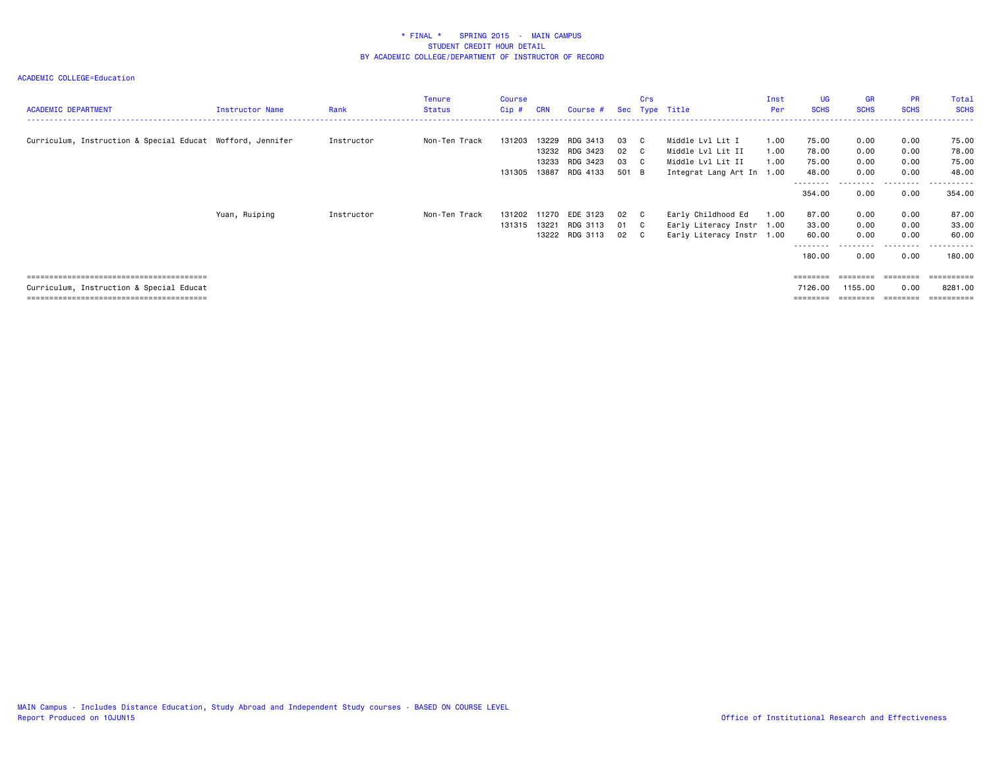ACADEMIC COLLEGE=Education

| <b>ACADEMIC DEPARTMENT</b>                                 | <b>Instructor Name</b> | Rank       | <b>Tenure</b><br>Status | <b>Course</b><br>$Cip$ # | <b>CRN</b> | Course #       |       | Crs          | Sec Type Title            | Inst<br>Per | <b>UG</b><br><b>SCHS</b> | <b>GR</b><br><b>SCHS</b> | <b>PR</b><br><b>SCHS</b> | Total<br><b>SCHS</b> |
|------------------------------------------------------------|------------------------|------------|-------------------------|--------------------------|------------|----------------|-------|--------------|---------------------------|-------------|--------------------------|--------------------------|--------------------------|----------------------|
| Curriculum, Instruction & Special Educat Wofford, Jennifer |                        | Instructor | Non-Ten Track           | 131203                   | 13229      | RDG 3413       | 03    | $\mathbf{C}$ | Middle Lvl Lit I          | 1.00        | 75.00                    | 0.00                     | 0.00                     | 75.00                |
|                                                            |                        |            |                         |                          |            | 13232 RDG 3423 | 02    | $\mathbf{C}$ | Middle Lvl Lit II         | 1.00        | 78.00                    | 0.00                     | 0.00                     | 78.00                |
|                                                            |                        |            |                         |                          | 13233      | RDG 3423       | 03 C  |              | Middle Lvl Lit II         | 1.00        | 75.00                    | 0.00                     | 0.00                     | 75.00                |
|                                                            |                        |            |                         |                          |            |                |       |              |                           |             |                          |                          |                          |                      |
|                                                            |                        |            |                         | 131305                   | 13887      | RDG 4133       | 501 B |              | Integrat Lang Art In 1.00 |             | 48.00                    | 0.00                     | 0.00                     | 48.00                |
|                                                            |                        |            |                         |                          |            |                |       |              |                           |             | --------                 |                          | . <u>.</u>               | -------              |
|                                                            |                        |            |                         |                          |            |                |       |              |                           |             | 354.00                   | 0.00                     | 0.00                     | 354.00               |
|                                                            | Yuan, Ruiping          | Instructor | Non-Ten Track           | 131202                   | 11270      | EDE 3123       | 02 C  |              | Early Childhood Ed        | 1.00        | 87.00                    | 0.00                     | 0.00                     | 87.00                |
|                                                            |                        |            |                         | 131315                   | 13221      | RDG 3113       | 01 C  |              | Early Literacy Instr 1.00 |             | 33.00                    | 0.00                     | 0.00                     | 33.00                |
|                                                            |                        |            |                         |                          |            | 13222 RDG 3113 | 02 C  |              | Early Literacy Instr 1.00 |             | 60.00                    | 0.00                     | 0.00                     | 60.00                |
|                                                            |                        |            |                         |                          |            |                |       |              |                           |             | --------                 |                          | ---------                | -------              |
|                                                            |                        |            |                         |                          |            |                |       |              |                           |             | 180.00                   | 0.00                     | 0.00                     | 180.00               |
|                                                            |                        |            |                         |                          |            |                |       |              |                           |             | ========                 |                          |                          |                      |
| Curriculum, Instruction & Special Educat                   |                        |            |                         |                          |            |                |       |              |                           |             | 7126.00                  | 1155.00                  | 0.00                     | 8281.00              |

======================================== ======== ======== ======== ==========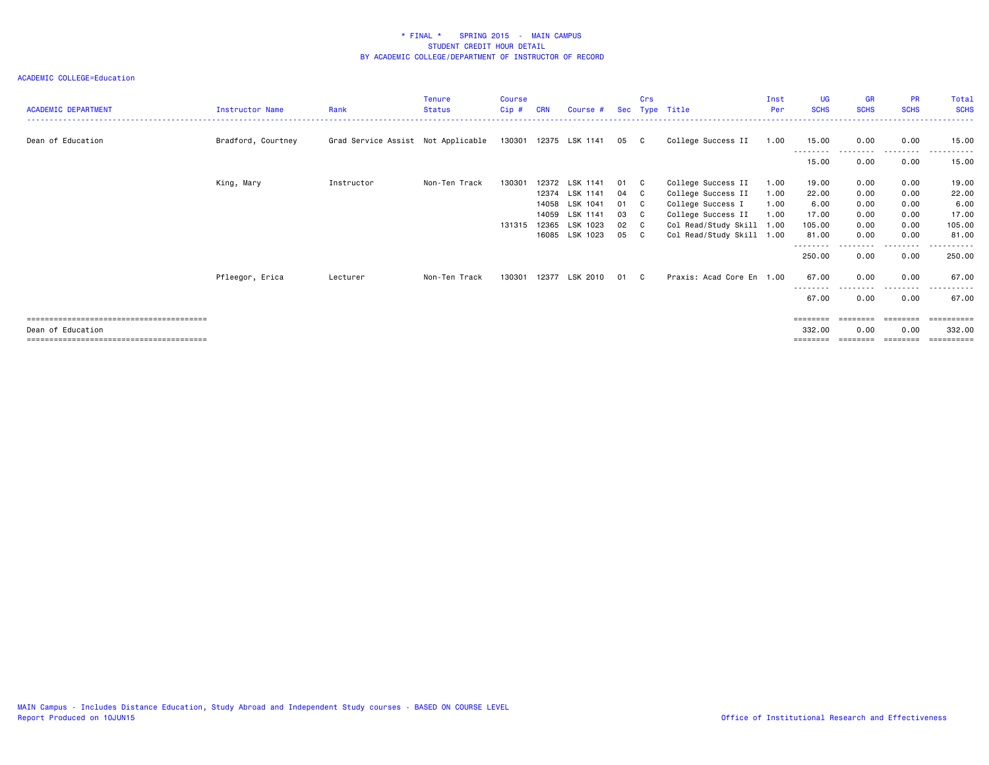| <b>ACADEMIC DEPARTMENT</b> | <b>Instructor Name</b> | Rank                               | <b>Tenure</b><br><b>Status</b> | <b>Course</b><br>Cip# | <b>CRN</b> | Course #       |    | Crs          | Sec Type Title            | Inst<br>Per | <b>UG</b><br><b>SCHS</b> | <b>GR</b><br><b>SCHS</b> | <b>PR</b><br><b>SCHS</b> | Total<br><b>SCHS</b>   |
|----------------------------|------------------------|------------------------------------|--------------------------------|-----------------------|------------|----------------|----|--------------|---------------------------|-------------|--------------------------|--------------------------|--------------------------|------------------------|
| Dean of Education          | Bradford, Courtney     | Grad Service Assist Not Applicable |                                | 130301                |            | 12375 LSK 1141 | 05 | C C          | College Success II        | 1.00        | 15.00                    | 0.00                     | 0.00                     | 15.00                  |
|                            |                        |                                    |                                |                       |            |                |    |              |                           |             | ---------<br>15.00       | ---------<br>0.00        | .<br>0.00                | - - - - - - -<br>15.00 |
|                            | King, Mary             | Instructor                         | Non-Ten Track                  | 130301                | 12372      | LSK 1141       | 01 | $\mathbf{C}$ | College Success II        | 1.00        | 19.00                    | 0.00                     | 0.00                     | 19.00                  |
|                            |                        |                                    |                                |                       | 12374      | LSK 1141       | 04 | C C          | College Success II        | 1.00        | 22.00                    | 0.00                     | 0.00                     | 22.00                  |
|                            |                        |                                    |                                |                       | 14058      | LSK 1041       | 01 | $\mathbf{C}$ | College Success I         | 1.00        | 6.00                     | 0.00                     | 0.00                     | 6.00                   |
|                            |                        |                                    |                                |                       | 14059      | LSK 1141       | 03 | $\mathbf{C}$ | College Success II        | 1.00        | 17.00                    | 0.00                     | 0.00                     | 17.00                  |
|                            |                        |                                    |                                | 131315                |            | 12365 LSK 1023 | 02 | $\mathbf{C}$ | Col Read/Study Skill 1.00 |             | 105.00                   | 0.00                     | 0.00                     | 105.00                 |
|                            |                        |                                    |                                |                       |            | 16085 LSK 1023 | 05 | $\mathbf{C}$ | Col Read/Study Skill 1.00 |             | 81.00                    | 0.00                     | 0.00                     | 81.00                  |
|                            |                        |                                    |                                |                       |            |                |    |              |                           |             | --------<br>250.00       | 0.00                     | . <b>.</b> .<br>0.00     | . <u>.</u> .<br>250.00 |
|                            | Pfleegor, Erica        | Lecturer                           | Non-Ten Track                  | 130301                |            | 12377 LSK 2010 | 01 | C.           | Praxis: Acad Core En 1.00 |             | 67.00<br>--------        | 0.00                     | 0.00                     | 67.00                  |
|                            |                        |                                    |                                |                       |            |                |    |              |                           |             | 67.00                    | 0.00                     | 0.00                     | 67.00                  |
|                            |                        |                                    |                                |                       |            |                |    |              |                           |             | ========                 | ========                 | ========                 | ==========             |
| Dean of Education          |                        |                                    |                                |                       |            |                |    |              |                           |             | 332.00                   | 0.00                     | 0.00                     | 332,00                 |
|                            |                        |                                    |                                |                       |            |                |    |              |                           |             |                          |                          |                          | ==========             |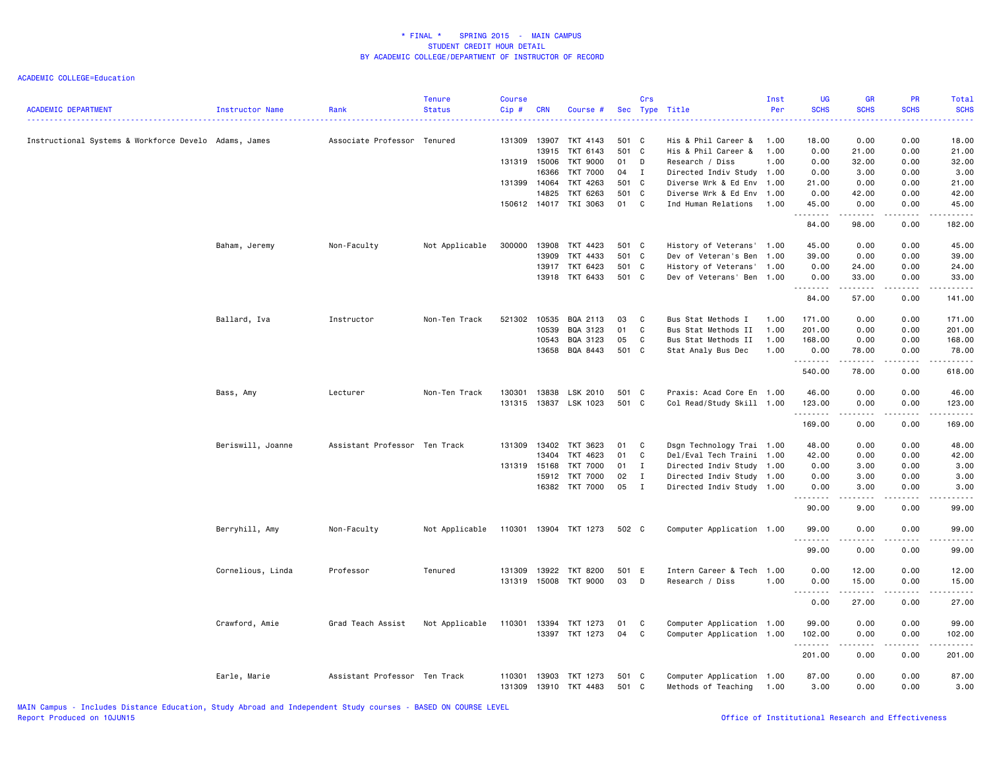| <b>ACADEMIC DEPARTMENT</b>                            | Instructor Name   | Rank                          | <b>Tenure</b><br><b>Status</b> | <b>Course</b><br>Cip# | <b>CRN</b> | Course #              |                | Crs            | Sec Type Title                                    | Inst<br>Per | <b>UG</b><br><b>SCHS</b> | <b>GR</b><br><b>SCHS</b> | PR<br><b>SCHS</b> | Total<br><b>SCHS</b>                                                                                                               |
|-------------------------------------------------------|-------------------|-------------------------------|--------------------------------|-----------------------|------------|-----------------------|----------------|----------------|---------------------------------------------------|-------------|--------------------------|--------------------------|-------------------|------------------------------------------------------------------------------------------------------------------------------------|
| Instructional Systems & Workforce Develo Adams, James |                   | Associate Professor Tenured   |                                | 131309                | 13907      | TKT 4143              | 501 C          |                | His & Phil Career &                               | 1.00        | 18.00                    | 0.00                     | 0.00              | 18.00                                                                                                                              |
|                                                       |                   |                               |                                |                       | 13915      | TKT 6143              | 501 C          |                | His & Phil Career &                               | 1.00        | 0.00                     | 21.00                    | 0.00              | 21.00                                                                                                                              |
|                                                       |                   |                               |                                | 131319 15006          |            | TKT 9000              | 01             | D              | Research / Diss                                   | 1.00        | 0.00                     | 32.00                    | 0.00              | 32.00                                                                                                                              |
|                                                       |                   |                               |                                |                       | 16366      | <b>TKT 7000</b>       | 04             | $\blacksquare$ | Directed Indiv Study 1.00                         |             | 0.00                     | 3.00                     | 0.00              | 3.00                                                                                                                               |
|                                                       |                   |                               |                                | 131399 14064          | 14825      | TKT 4263<br>TKT 6263  | 501 C<br>501 C |                | Diverse Wrk & Ed Env<br>Diverse Wrk & Ed Env 1.00 | 1.00        | 21.00<br>0.00            | 0.00<br>42.00            | 0.00<br>0.00      | 21.00<br>42.00                                                                                                                     |
|                                                       |                   |                               |                                |                       |            | 150612 14017 TKI 3063 | 01 C           |                | Ind Human Relations                               | 1.00        | 45.00                    | 0.00                     | 0.00              | 45.00                                                                                                                              |
|                                                       |                   |                               |                                |                       |            |                       |                |                |                                                   |             | . <b>.</b><br>84.00      | . <u>.</u><br>98.00      | .<br>0.00         | .<br>182.00                                                                                                                        |
|                                                       | Baham, Jeremy     | Non-Faculty                   | Not Applicable                 | 300000                | 13908      | TKT 4423              | 501 C          |                | History of Veterans' 1.00                         |             | 45.00                    | 0.00                     | 0.00              | 45.00                                                                                                                              |
|                                                       |                   |                               |                                |                       | 13909      | TKT 4433              | 501 C          |                | Dev of Veteran's Ben                              | 1.00        | 39.00                    | 0.00                     | 0.00              | 39.00                                                                                                                              |
|                                                       |                   |                               |                                |                       | 13917      | TKT 6423              | 501 C          |                | History of Veterans'                              | 1.00        | 0.00                     | 24.00                    | 0.00              | 24.00                                                                                                                              |
|                                                       |                   |                               |                                |                       | 13918      | TKT 6433              | 501 C          |                | Dev of Veterans' Ben 1.00                         |             | 0.00<br>.                | 33.00<br>------          | 0.00<br>2.2.2.2.2 | 33.00<br>$\begin{array}{cccccccccccccc} \bullet & \bullet & \bullet & \bullet & \bullet & \bullet & \bullet & \bullet \end{array}$ |
|                                                       |                   |                               |                                |                       |            |                       |                |                |                                                   |             | 84.00                    | 57.00                    | 0.00              | 141.00                                                                                                                             |
|                                                       | Ballard, Iva      | Instructor                    | Non-Ten Track                  | 521302                | 10535      | BQA 2113              | 03             | C              | Bus Stat Methods I                                | 1.00        | 171.00                   | 0.00                     | 0.00              | 171.00                                                                                                                             |
|                                                       |                   |                               |                                |                       | 10539      | BQA 3123              | 01             | $\mathbf C$    | Bus Stat Methods II                               | 1.00        | 201.00                   | 0.00                     | 0.00              | 201.00                                                                                                                             |
|                                                       |                   |                               |                                |                       | 10543      | BQA 3123              | 05             | C              | Bus Stat Methods II                               | 1.00        | 168.00                   | 0.00                     | 0.00              | 168.00                                                                                                                             |
|                                                       |                   |                               |                                |                       | 13658      | BQA 8443              | 501 C          |                | Stat Analy Bus Dec                                | 1.00        | 0.00<br>.                | 78.00<br>.               | 0.00<br>.         | 78.00<br>.                                                                                                                         |
|                                                       |                   |                               |                                |                       |            |                       |                |                |                                                   |             | 540.00                   | 78.00                    | 0.00              | 618.00                                                                                                                             |
|                                                       | Bass, Amy         | Lecturer                      | Non-Ten Track                  | 130301                | 13838      | LSK 2010              | 501 C          |                | Praxis: Acad Core En 1.00                         |             | 46.00                    | 0.00                     | 0.00              | 46.00                                                                                                                              |
|                                                       |                   |                               |                                | 131315                |            | 13837 LSK 1023        | 501 C          |                | Col Read/Study Skill 1.00                         |             | 123.00                   | 0.00                     | 0.00              | 123.00                                                                                                                             |
|                                                       |                   |                               |                                |                       |            |                       |                |                |                                                   |             | .<br>169.00              | .<br>0.00                | .<br>0.00         | .<br>169.00                                                                                                                        |
|                                                       |                   |                               |                                |                       |            |                       |                |                |                                                   |             |                          |                          |                   |                                                                                                                                    |
|                                                       | Beriswill, Joanne | Assistant Professor Ten Track |                                | 131309                | 13402      | TKT 3623              | 01             | $\mathbf{C}$   | Dsgn Technology Trai 1.00                         |             | 48.00                    | 0.00                     | 0.00              | 48.00                                                                                                                              |
|                                                       |                   |                               |                                |                       | 13404      | TKT 4623              | 01             | C              | Del/Eval Tech Traini 1.00                         |             | 42.00                    | 0.00                     | 0.00              | 42.00                                                                                                                              |
|                                                       |                   |                               |                                | 131319 15168          |            | <b>TKT 7000</b>       | 01             | $\mathbf{I}$   | Directed Indiv Study 1.00                         |             | 0.00                     | 3.00                     | 0.00              | 3.00                                                                                                                               |
|                                                       |                   |                               |                                |                       | 15912      | TKT 7000              | 02             | $\mathbf{I}$   | Directed Indiv Study 1.00                         |             | 0.00                     | 3.00                     | 0.00              | 3.00                                                                                                                               |
|                                                       |                   |                               |                                |                       |            | 16382 TKT 7000        | 05             | $\mathbf{I}$   | Directed Indiv Study 1.00                         |             | 0.00                     | 3.00<br>.                | 0.00              | 3.00                                                                                                                               |
|                                                       |                   |                               |                                |                       |            |                       |                |                |                                                   |             | 90.00                    | 9.00                     | 0.00              | 99.00                                                                                                                              |
|                                                       | Berryhill, Amy    | Non-Faculty                   | Not Applicable                 |                       |            | 110301 13904 TKT 1273 | 502 C          |                | Computer Application 1.00                         |             | 99.00<br>.               | 0.00<br>.                | 0.00<br>.         | 99.00<br>.                                                                                                                         |
|                                                       |                   |                               |                                |                       |            |                       |                |                |                                                   |             | 99.00                    | 0.00                     | 0.00              | 99.00                                                                                                                              |
|                                                       | Cornelious, Linda | Professor                     | Tenured                        | 131309                | 13922      | TKT 8200              | 501 E          |                | Intern Career & Tech 1.00                         |             | 0.00                     | 12.00                    | 0.00              | 12.00                                                                                                                              |
|                                                       |                   |                               |                                | 131319                | 15008      | TKT 9000              | 03             | D              | Research / Diss                                   | 1.00        | 0.00<br>.                | 15.00                    | 0.00<br>.         | 15.00<br>.                                                                                                                         |
|                                                       |                   |                               |                                |                       |            |                       |                |                |                                                   |             | 0.00                     | 27.00                    | 0.00              | 27.00                                                                                                                              |
|                                                       | Crawford, Amie    | Grad Teach Assist             | Not Applicable                 | 110301                | 13394      | TKT 1273              | 01             | C              | Computer Application 1.00                         |             | 99.00                    | 0.00                     | 0.00              | 99.00                                                                                                                              |
|                                                       |                   |                               |                                |                       |            | 13397 TKT 1273        | 04             | C              | Computer Application 1.00                         |             | 102.00                   | 0.00                     | 0.00              | 102.00                                                                                                                             |
|                                                       |                   |                               |                                |                       |            |                       |                |                |                                                   |             | .<br>201.00              | .<br>0.00                | .<br>0.00         | 201.00                                                                                                                             |
|                                                       | Earle, Marie      | Assistant Professor Ten Track |                                | 110301                | 13903      | TKT 1273              | 501 C          |                | Computer Application 1.00                         |             | 87.00                    | 0.00                     | 0.00              | 87.00                                                                                                                              |
|                                                       |                   |                               |                                | 131309                |            | 13910 TKT 4483        | 501 C          |                | Methods of Teaching                               | 1.00        | 3.00                     | 0.00                     | 0.00              | 3.00                                                                                                                               |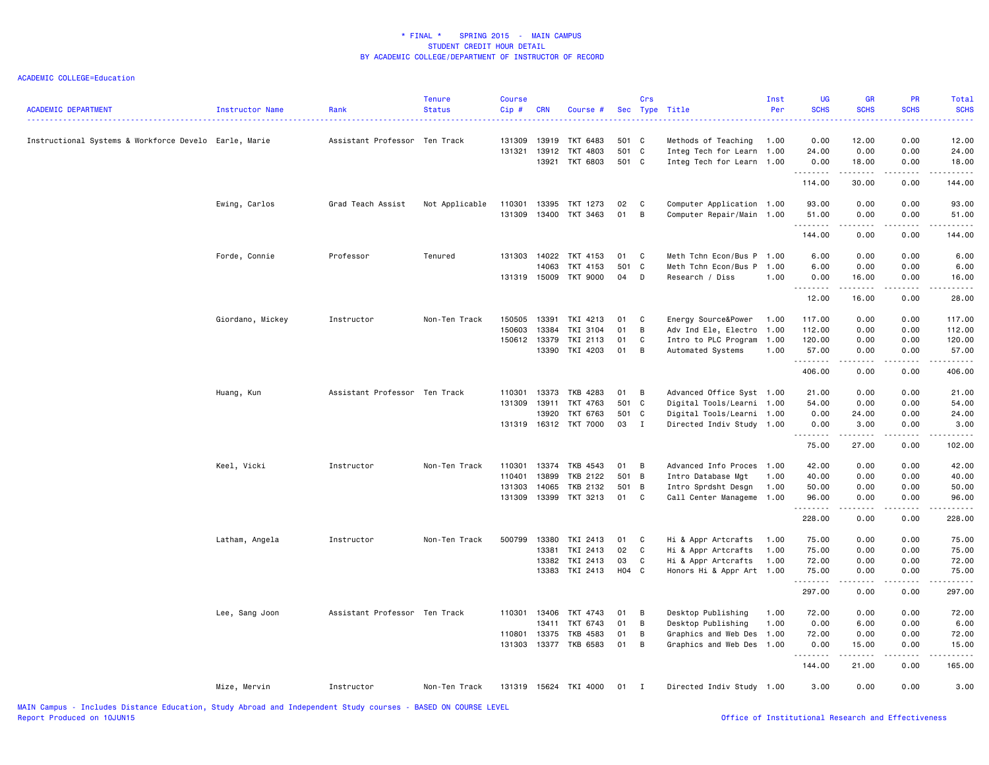| <b>ACADEMIC DEPARTMENT</b>                            | Instructor Name  | Rank                          | <b>Tenure</b><br><b>Status</b> | <b>Course</b><br>$Cip$ # | <b>CRN</b>     | Course #                         |             | Crs          | Sec Type Title                                    | Inst<br>Per  | <b>UG</b><br><b>SCHS</b> | <b>GR</b><br><b>SCHS</b>     | PR<br><b>SCHS</b>            | Total<br><b>SCHS</b> |
|-------------------------------------------------------|------------------|-------------------------------|--------------------------------|--------------------------|----------------|----------------------------------|-------------|--------------|---------------------------------------------------|--------------|--------------------------|------------------------------|------------------------------|----------------------|
| Instructional Systems & Workforce Develo Earle, Marie |                  | Assistant Professor Ten Track |                                | 131309                   | 13919          | TKT 6483                         | 501 C       |              | Methods of Teaching                               | 1.00         | 0.00                     | 12.00                        | 0.00                         | 12.00                |
|                                                       |                  |                               |                                | 131321                   | 13912          | TKT 4803                         | 501 C       |              | Integ Tech for Learn 1.00                         |              | 24.00                    | 0.00                         | 0.00                         | 24.00                |
|                                                       |                  |                               |                                |                          | 13921          | TKT 6803                         | 501 C       |              | Integ Tech for Learn 1.00                         |              | 0.00<br>.                | 18.00<br>.                   | 0.00<br>-----                | 18.00<br>.           |
|                                                       |                  |                               |                                |                          |                |                                  |             |              |                                                   |              | 114.00                   | 30.00                        | 0.00                         | 144.00               |
|                                                       | Ewing, Carlos    | Grad Teach Assist             | Not Applicable                 | 110301                   |                | 13395 TKT 1273                   | 02          | $\mathbf{C}$ | Computer Application 1.00                         |              | 93.00                    | 0.00                         | 0.00                         | 93.00                |
|                                                       |                  |                               |                                | 131309                   |                | 13400 TKT 3463                   | 01          | B            | Computer Repair/Main 1.00                         |              | 51.00                    | 0.00                         | 0.00                         | 51.00                |
|                                                       |                  |                               |                                |                          |                |                                  |             |              |                                                   |              | .<br>144.00              | .<br>0.00                    | $\omega$ is a set of<br>0.00 | .<br>144.00          |
|                                                       | Forde, Connie    | Professor                     | Tenured                        | 131303                   | 14022          | TKT 4153                         | 01          | C            | Meth Tchn Econ/Bus P 1.00                         |              | 6.00                     | 0.00                         | 0.00                         | 6.00                 |
|                                                       |                  |                               |                                |                          | 14063          | TKT 4153                         | 501 C       |              | Meth Tchn Econ/Bus P                              | 1.00         | 6.00                     | 0.00                         | 0.00                         | 6.00                 |
|                                                       |                  |                               |                                |                          |                | 131319 15009 TKT 9000            | 04          | D            | Research / Diss                                   | 1.00         | 0.00                     | 16.00                        | 0.00                         | 16.00                |
|                                                       |                  |                               |                                |                          |                |                                  |             |              |                                                   |              | .<br>12.00               | .<br>16.00                   | 22222<br>0.00                | .<br>28.00           |
|                                                       | Giordano, Mickey | Instructor                    | Non-Ten Track                  | 150505                   | 13391          | TKI 4213                         | 01          | C            | Energy Source&Power                               | 1.00         | 117.00                   | 0.00                         | 0.00                         | 117.00               |
|                                                       |                  |                               |                                | 150603                   | 13384          | TKI 3104                         | 01          | B            | Adv Ind Ele, Electro 1.00                         |              | 112.00                   | 0.00                         | 0.00                         | 112.00               |
|                                                       |                  |                               |                                | 150612                   | 13379          | TKI 2113                         | 01          | C            | Intro to PLC Program                              | 1.00         | 120.00                   | 0.00                         | 0.00                         | 120.00               |
|                                                       |                  |                               |                                |                          |                | 13390 TKI 4203                   | 01          | B            | Automated Systems                                 | 1.00         | 57.00                    | 0.00                         | 0.00                         | 57.00                |
|                                                       |                  |                               |                                |                          |                |                                  |             |              |                                                   |              | .<br>406.00              | .<br>0.00                    | -----<br>0.00                | .<br>406.00          |
|                                                       | Huang, Kun       | Assistant Professor Ten Track |                                | 110301                   | 13373          | TKB 4283                         | 01          | B            | Advanced Office Syst 1.00                         |              | 21.00                    | 0.00                         | 0.00                         | 21.00                |
|                                                       |                  |                               |                                | 131309                   | 13911          | TKT 4763                         | 501 C       |              | Digital Tools/Learni 1.00                         |              | 54.00                    | 0.00                         | 0.00                         | 54.00                |
|                                                       |                  |                               |                                |                          | 13920          | TKT 6763                         | 501 C       |              | Digital Tools/Learni 1.00                         |              | 0.00                     | 24.00                        | 0.00                         | 24.00                |
|                                                       |                  |                               |                                |                          |                | 131319 16312 TKT 7000            | 03 I        |              | Directed Indiv Study 1.00                         |              | 0.00                     | 3.00                         | 0.00                         | 3.00                 |
|                                                       |                  |                               |                                |                          |                |                                  |             |              |                                                   |              | .<br>75.00               | .<br>27.00                   | $- - - - -$<br>0.00          | .<br>102.00          |
|                                                       | Keel, Vicki      | Instructor                    | Non-Ten Track                  | 110301                   |                | 13374 TKB 4543                   | 01          | B            | Advanced Info Proces 1.00                         |              | 42.00                    | 0.00                         | 0.00                         | 42.00                |
|                                                       |                  |                               |                                | 110401                   | 13899          | <b>TKB 2122</b>                  | 501 B       |              | Intro Database Mgt                                | 1.00         | 40.00                    | 0.00                         | 0.00                         | 40.00                |
|                                                       |                  |                               |                                | 131303                   | 14065          | TKB 2132                         | 501 B       |              | Intro Sprdsht Desgn                               | 1.00         | 50.00                    | 0.00                         | 0.00                         | 50.00                |
|                                                       |                  |                               |                                | 131309                   |                | 13399 TKT 3213                   | 01 C        |              | Call Center Manageme 1.00                         |              | 96.00                    | 0.00                         | 0.00                         | 96.00                |
|                                                       |                  |                               |                                |                          |                |                                  |             |              |                                                   |              | .                        | .                            | -----                        | .                    |
|                                                       |                  |                               |                                |                          |                |                                  |             |              |                                                   |              | 228.00                   | 0.00                         | 0.00                         | 228.00               |
|                                                       | Latham, Angela   | Instructor                    | Non-Ten Track                  | 500799                   | 13380          | TKI 2413                         | 01          | C            | Hi & Appr Artcrafts                               | 1.00         | 75.00                    | 0.00                         | 0.00                         | 75.00                |
|                                                       |                  |                               |                                |                          | 13381          | TKI 2413                         | 02          | $\mathbf{C}$ | Hi & Appr Artcrafts                               | 1.00         | 75.00                    | 0.00                         | 0.00                         | 75.00                |
|                                                       |                  |                               |                                |                          |                | 13382 TKI 2413<br>13383 TKI 2413 | 03<br>H04 C | C            | Hi & Appr Artcrafts<br>Honors Hi & Appr Art 1.00  | 1.00         | 72.00<br>75.00           | 0.00<br>0.00                 | 0.00<br>0.00                 | 72.00<br>75.00       |
|                                                       |                  |                               |                                |                          |                |                                  |             |              |                                                   |              | .<br>297.00              | $\sim$ $\sim$ $\sim$<br>0.00 | .<br>0.00                    | .<br>297.00          |
|                                                       |                  |                               |                                |                          |                |                                  |             |              |                                                   |              |                          |                              |                              |                      |
|                                                       | Lee, Sang Joon   | Assistant Professor Ten Track |                                |                          | 110301 13406   | TKT 4743                         | 01          | B            | Desktop Publishing                                | 1.00         | 72.00                    | 0.00                         | 0.00                         | 72.00                |
|                                                       |                  |                               |                                | 110801                   | 13411<br>13375 | TKT 6743                         | 01<br>01    | B<br>B       | Desktop Publishing                                | 1.00<br>1.00 | 0.00<br>72.00            | 6.00<br>0.00                 | 0.00<br>0.00                 | 6.00<br>72.00        |
|                                                       |                  |                               |                                | 131303                   |                | TKB 4583<br>13377 TKB 6583       | 01          | B            | Graphics and Web Des<br>Graphics and Web Des 1.00 |              | 0.00                     | 15.00                        | 0.00                         | 15.00                |
|                                                       |                  |                               |                                |                          |                |                                  |             |              |                                                   |              | .                        | .                            | .                            | .                    |
|                                                       |                  |                               |                                |                          |                |                                  |             |              |                                                   |              | 144.00                   | 21.00                        | 0.00                         | 165.00               |
|                                                       | Mize, Mervin     | Instructor                    | Non-Ten Track                  |                          |                | 131319 15624 TKI 4000            | 01 I        |              | Directed Indiv Study 1.00                         |              | 3.00                     | 0.00                         | 0.00                         | 3.00                 |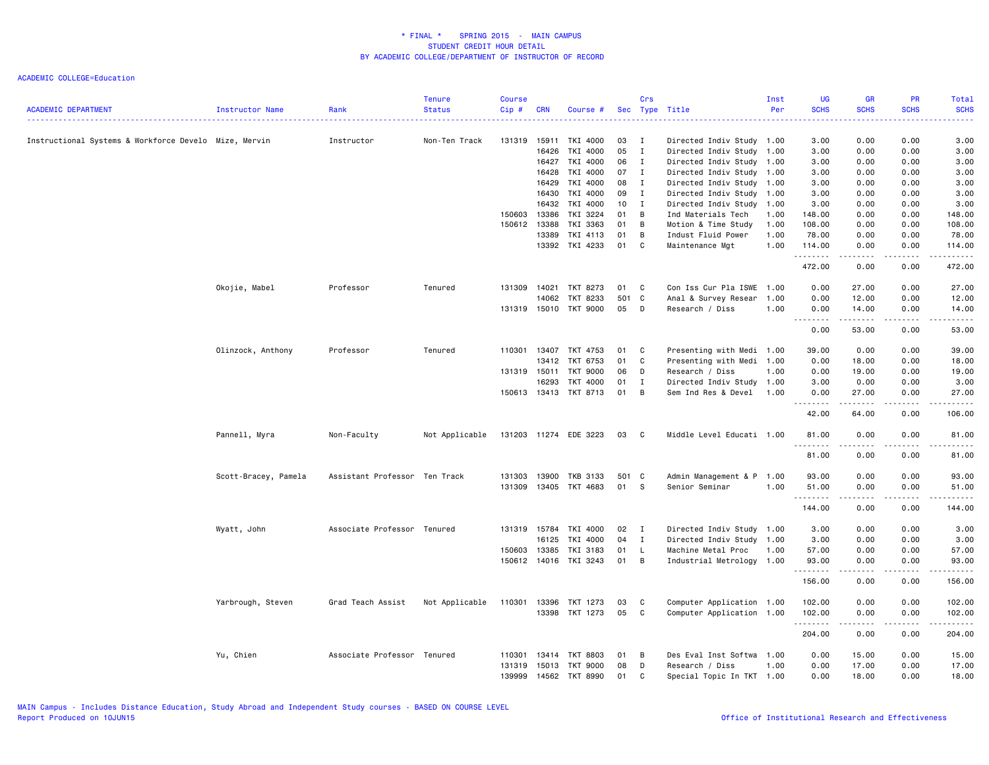| <b>ACADEMIC DEPARTMENT</b>                            | Instructor Name      | Rank                          | <b>Tenure</b><br><b>Status</b> | <b>Course</b><br>Cip# | <b>CRN</b>   | Course #              |       | Crs          | Sec Type Title            | Inst<br>Per | <b>UG</b><br><b>SCHS</b>                                                                                                                                                             | <b>GR</b><br><b>SCHS</b>                                                                                                                                     | <b>PR</b><br><b>SCHS</b> | <b>Total</b><br><b>SCHS</b> |
|-------------------------------------------------------|----------------------|-------------------------------|--------------------------------|-----------------------|--------------|-----------------------|-------|--------------|---------------------------|-------------|--------------------------------------------------------------------------------------------------------------------------------------------------------------------------------------|--------------------------------------------------------------------------------------------------------------------------------------------------------------|--------------------------|-----------------------------|
| Instructional Systems & Workforce Develo Mize, Mervin |                      | Instructor                    | Non-Ten Track                  | 131319                | 15911        | TKI 4000              | 03    | <b>I</b>     | Directed Indiv Study 1.00 |             | 3.00                                                                                                                                                                                 | 0.00                                                                                                                                                         | 0.00                     | 3.00                        |
|                                                       |                      |                               |                                |                       | 16426        | TKI 4000              | 05    | $\mathbf{I}$ | Directed Indiv Study      | 1.00        | 3.00                                                                                                                                                                                 | 0.00                                                                                                                                                         | 0.00                     | 3.00                        |
|                                                       |                      |                               |                                |                       | 16427        | TKI 4000              | 06    | $\mathbf{I}$ | Directed Indiv Study      | 1.00        | 3.00                                                                                                                                                                                 | 0.00                                                                                                                                                         | 0.00                     | 3.00                        |
|                                                       |                      |                               |                                |                       | 16428        | TKI 4000              | 07    | $\mathbf{I}$ | Directed Indiv Study 1.00 |             | 3.00                                                                                                                                                                                 | 0.00                                                                                                                                                         | 0.00                     | 3.00                        |
|                                                       |                      |                               |                                |                       | 16429        | TKI 4000              | 08    | $\mathbf{I}$ | Directed Indiv Study 1.00 |             | 3.00                                                                                                                                                                                 | 0.00                                                                                                                                                         | 0.00                     | 3.00                        |
|                                                       |                      |                               |                                |                       | 16430        | TKI 4000              | 09    | $\mathbf{I}$ | Directed Indiv Study 1.00 |             | 3.00                                                                                                                                                                                 | 0.00                                                                                                                                                         | 0.00                     | 3.00                        |
|                                                       |                      |                               |                                |                       | 16432        | TKI 4000              | 10    | I            | Directed Indiv Study 1.00 |             | 3.00                                                                                                                                                                                 | 0.00                                                                                                                                                         | 0.00                     | 3.00                        |
|                                                       |                      |                               |                                | 150603                | 13386        | TKI 3224              | 01    | B            | Ind Materials Tech        | 1.00        | 148.00                                                                                                                                                                               | 0.00                                                                                                                                                         | 0.00                     | 148.00                      |
|                                                       |                      |                               |                                | 150612                | 13388        | TKI 3363              | 01    | B            | Motion & Time Study       | 1.00        | 108.00                                                                                                                                                                               | 0.00                                                                                                                                                         | 0.00                     | 108.00                      |
|                                                       |                      |                               |                                |                       | 13389        | TKI 4113              | 01    | B            | Indust Fluid Power        | 1.00        | 78.00                                                                                                                                                                                | 0.00                                                                                                                                                         | 0.00                     | 78.00                       |
|                                                       |                      |                               |                                |                       | 13392        | TKI 4233              | 01    | C            | Maintenance Mgt           | 1.00        | 114.00<br>.                                                                                                                                                                          | 0.00<br>.                                                                                                                                                    | 0.00<br>.                | 114.00<br><u>.</u>          |
|                                                       |                      |                               |                                |                       |              |                       |       |              |                           |             | 472.00                                                                                                                                                                               | 0.00                                                                                                                                                         | 0.00                     | 472.00                      |
|                                                       | Okojie, Mabel        | Professor                     | Tenured                        | 131309                | 14021        | TKT 8273              | 01    | C            | Con Iss Cur Pla ISWE      | 1.00        | 0.00                                                                                                                                                                                 | 27.00                                                                                                                                                        | 0.00                     | 27.00                       |
|                                                       |                      |                               |                                |                       | 14062        | TKT 8233              | 501   | C            | Anal & Survey Resear      | 1.00        | 0.00                                                                                                                                                                                 | 12.00                                                                                                                                                        | 0.00                     | 12.00                       |
|                                                       |                      |                               |                                |                       |              | 131319 15010 TKT 9000 | 05    | D            | Research / Diss           | 1.00        | 0.00<br>$\frac{1}{2} \left( \frac{1}{2} \right) \left( \frac{1}{2} \right) \left( \frac{1}{2} \right) \left( \frac{1}{2} \right) \left( \frac{1}{2} \right)$<br>$\sim$ $\sim$ $\sim$ | 14.00<br>.                                                                                                                                                   | 0.00<br>.                | 14.00<br>.                  |
|                                                       |                      |                               |                                |                       |              |                       |       |              |                           |             | 0.00                                                                                                                                                                                 | 53.00                                                                                                                                                        | 0.00                     | 53.00                       |
|                                                       | Olinzock, Anthony    | Professor                     | Tenured                        | 110301                | 13407        | TKT 4753              | 01    | C            | Presenting with Medi      | 1.00        | 39.00                                                                                                                                                                                | 0.00                                                                                                                                                         | 0.00                     | 39.00                       |
|                                                       |                      |                               |                                |                       | 13412        | TKT 6753              | 01    | C            | Presenting with Medi 1.00 |             | 0.00                                                                                                                                                                                 | 18.00                                                                                                                                                        | 0.00                     | 18.00                       |
|                                                       |                      |                               |                                | 131319 15011          |              | TKT 9000              | 06    | D            | Research / Diss           | 1.00        | 0.00                                                                                                                                                                                 | 19.00                                                                                                                                                        | 0.00                     | 19.00                       |
|                                                       |                      |                               |                                |                       | 16293        | <b>TKT 4000</b>       | 01    | I            | Directed Indiv Study 1.00 |             | 3.00                                                                                                                                                                                 | 0.00                                                                                                                                                         | 0.00                     | 3.00                        |
|                                                       |                      |                               |                                |                       | 150613 13413 | TKT 8713              | 01    | B            | Sem Ind Res & Devel       | 1.00        | 0.00                                                                                                                                                                                 | 27.00                                                                                                                                                        | 0.00                     | 27.00                       |
|                                                       |                      |                               |                                |                       |              |                       |       |              |                           |             | .<br>42.00                                                                                                                                                                           | .<br>64.00                                                                                                                                                   | .<br>0.00                | .<br>106.00                 |
|                                                       | Pannell, Myra        | Non-Faculty                   | Not Applicable                 |                       |              | 131203 11274 EDE 3223 | 03    | $\mathbf{C}$ | Middle Level Educati 1.00 |             | 81.00                                                                                                                                                                                | 0.00                                                                                                                                                         | 0.00                     | 81.00                       |
|                                                       |                      |                               |                                |                       |              |                       |       |              |                           |             | .<br>81.00                                                                                                                                                                           | .<br>0.00                                                                                                                                                    | .<br>0.00                | .<br>81.00                  |
|                                                       |                      |                               |                                | 131303                | 13900        | <b>TKB 3133</b>       | 501 C |              |                           | 1.00        | 93.00                                                                                                                                                                                |                                                                                                                                                              | 0.00                     |                             |
|                                                       | Scott-Bracey, Pamela | Assistant Professor Ten Track |                                |                       |              |                       |       | -S           | Admin Management & P      |             |                                                                                                                                                                                      | 0.00                                                                                                                                                         |                          | 93.00                       |
|                                                       |                      |                               |                                | 131309                | 13405        | TKT 4683              | 01    |              | Senior Seminar            | 1.00        | 51.00<br>.                                                                                                                                                                           | 0.00                                                                                                                                                         | 0.00                     | 51.00<br>.                  |
|                                                       |                      |                               |                                |                       |              |                       |       |              |                           |             | 144.00                                                                                                                                                                               | 0.00                                                                                                                                                         | 0.00                     | 144.00                      |
|                                                       | Wyatt, John          | Associate Professor Tenured   |                                | 131319                | 15784        | TKI 4000              | 02    | $\mathbf{I}$ | Directed Indiv Study 1.00 |             | 3.00                                                                                                                                                                                 | 0.00                                                                                                                                                         | 0.00                     | 3.00                        |
|                                                       |                      |                               |                                |                       | 16125        | TKI 4000              | 04    | $\mathbf{I}$ | Directed Indiv Study      | 1.00        | 3.00                                                                                                                                                                                 | 0.00                                                                                                                                                         | 0.00                     | 3.00                        |
|                                                       |                      |                               |                                | 150603                | 13385        | TKI 3183              | 01    | L            | Machine Metal Proc        | 1.00        | 57.00                                                                                                                                                                                | 0.00                                                                                                                                                         | 0.00                     | 57.00                       |
|                                                       |                      |                               |                                |                       |              | 150612 14016 TKI 3243 | 01    | B            | Industrial Metrology 1.00 |             | 93.00<br>.                                                                                                                                                                           | 0.00<br>. <b>.</b>                                                                                                                                           | 0.00<br>$\cdots$         | 93.00<br>.                  |
|                                                       |                      |                               |                                |                       |              |                       |       |              |                           |             | 156.00                                                                                                                                                                               | 0.00                                                                                                                                                         | 0.00                     | 156.00                      |
|                                                       | Yarbrough, Steven    | Grad Teach Assist             | Not Applicable                 | 110301                | 13396        | TKT 1273              | 03    | C            | Computer Application 1.00 |             | 102.00                                                                                                                                                                               | 0.00                                                                                                                                                         | 0.00                     | 102.00                      |
|                                                       |                      |                               |                                |                       | 13398        | TKT 1273              | 05    | C            | Computer Application 1.00 |             | 102.00<br>.                                                                                                                                                                          | 0.00<br>$\frac{1}{2} \left( \frac{1}{2} \right) \left( \frac{1}{2} \right) \left( \frac{1}{2} \right) \left( \frac{1}{2} \right) \left( \frac{1}{2} \right)$ | 0.00<br>.                | 102.00                      |
|                                                       |                      |                               |                                |                       |              |                       |       |              |                           |             | 204.00                                                                                                                                                                               | 0.00                                                                                                                                                         | 0.00                     | 204.00                      |
|                                                       | Yu, Chien            | Associate Professor Tenured   |                                | 110301                | 13414        | TKT 8803              | 01    | в            | Des Eval Inst Softwa 1.00 |             | 0.00                                                                                                                                                                                 | 15.00                                                                                                                                                        | 0.00                     | 15.00                       |
|                                                       |                      |                               |                                | 131319                | 15013        | <b>TKT 9000</b>       | 08    | D            | Research / Diss           | 1.00        | 0.00                                                                                                                                                                                 | 17.00                                                                                                                                                        | 0.00                     | 17.00                       |
|                                                       |                      |                               |                                | 139999                | 14562        | TKT 8990              | 01    | C            | Special Topic In TKT 1.00 |             | 0.00                                                                                                                                                                                 | 18.00                                                                                                                                                        | 0.00                     | 18.00                       |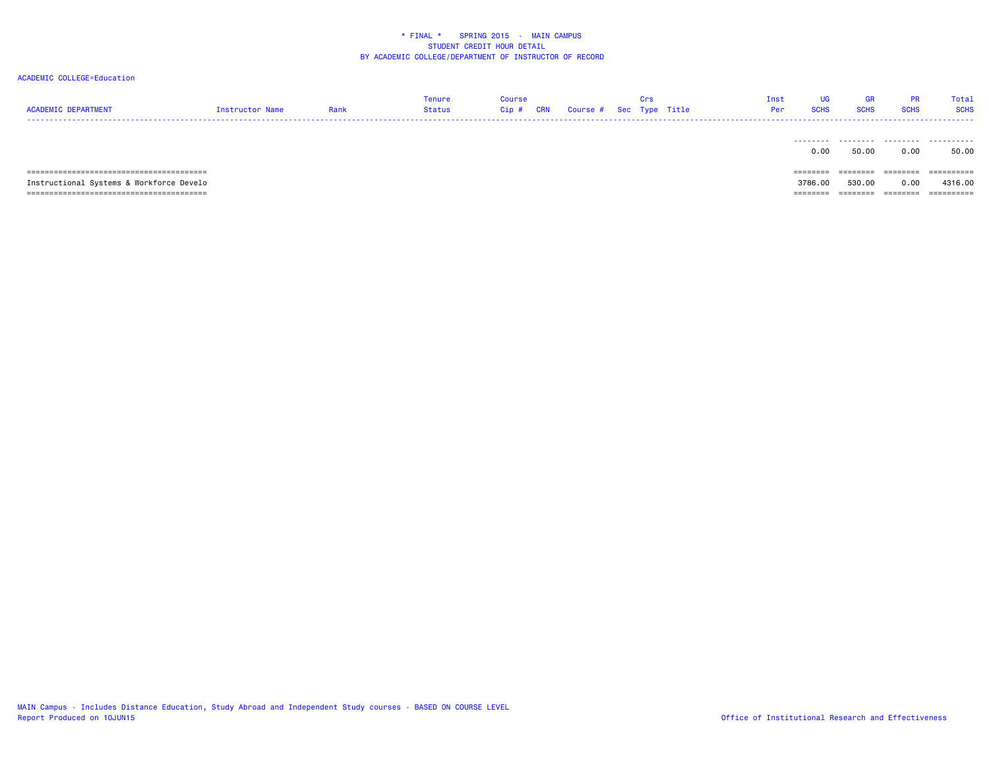#### ACADEMIC COLLEGE=Education

| <b>ACADEMIC DEPARTMENT</b><br>--------------------- | Instructor Name | Rank | Tenure<br>Status | <b>Course</b><br>Cip # | <b>CRN</b> | Course # Sec Type Title | Crs | Inst<br>Per | UG<br><b>SCHS</b> | GR<br><b>SCHS</b> | <b>PR</b><br><b>SCHS</b> | Total<br><b>SCHS</b> |
|-----------------------------------------------------|-----------------|------|------------------|------------------------|------------|-------------------------|-----|-------------|-------------------|-------------------|--------------------------|----------------------|
|                                                     |                 |      |                  |                        |            |                         |     |             |                   |                   |                          |                      |
|                                                     |                 |      |                  |                        |            |                         |     |             | 0.00<br>--------  | 50.00             | 0.00<br>========         | 50.00<br>==========  |

 Instructional Systems & Workforce Develo 3786.00 530.00 0.00 4316.00 ======================================== ======== ======== ======== ==========

3786.00 530.00 0.00 4316.00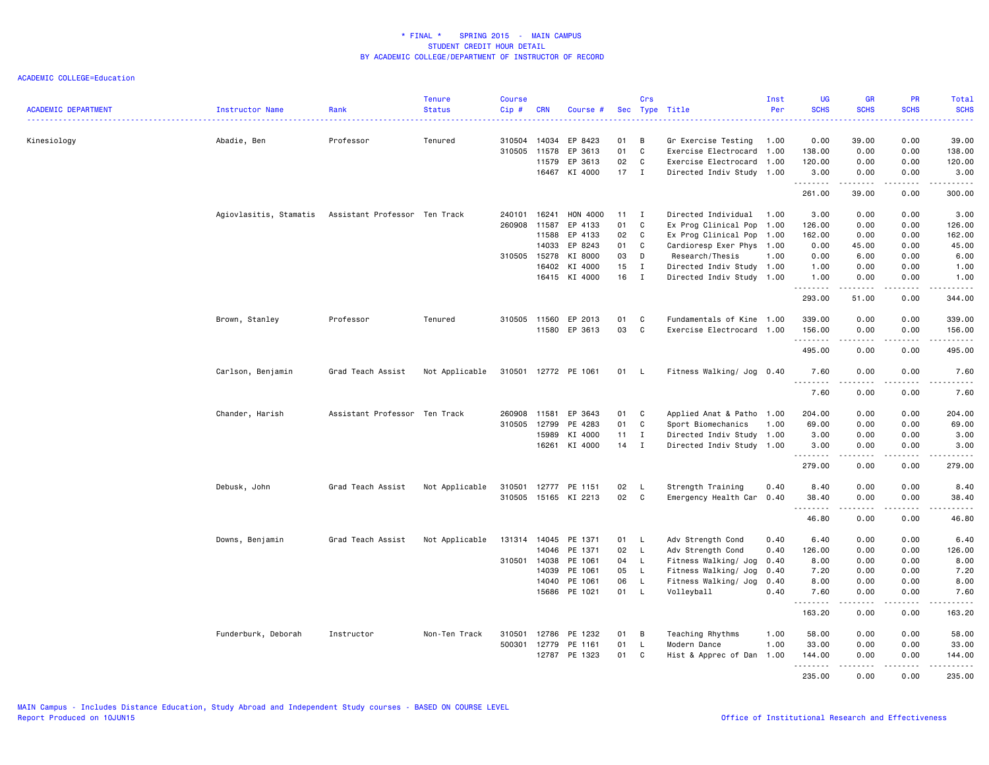| <b>ACADEMIC DEPARTMENT</b> | Instructor Name        | Rank                          | <b>Tenure</b><br><b>Status</b> | <b>Course</b><br>Cip# | <b>CRN</b> | Course #             |              | Crs          | Sec Type Title            | Inst<br>Per | <b>UG</b><br><b>SCHS</b> | <b>GR</b><br><b>SCHS</b>            | <b>PR</b><br><b>SCHS</b> | Total<br><b>SCHS</b>                                                                                                                |
|----------------------------|------------------------|-------------------------------|--------------------------------|-----------------------|------------|----------------------|--------------|--------------|---------------------------|-------------|--------------------------|-------------------------------------|--------------------------|-------------------------------------------------------------------------------------------------------------------------------------|
| Kinesiology                | Abadie, Ben            | Professor                     | Tenured                        | 310504                | 14034      | EP 8423              | 01           | В            | Gr Exercise Testing       | 1.00        | 0.00                     | 39.00                               | 0.00                     | 39.00                                                                                                                               |
|                            |                        |                               |                                | 310505                | 11578      | EP 3613              | 01           | C            | Exercise Electrocard      | 1.00        | 138.00                   | 0.00                                | 0.00                     | 138.00                                                                                                                              |
|                            |                        |                               |                                |                       | 11579      | EP 3613              | 02           | C            | Exercise Electrocard 1.00 |             | 120.00                   | 0.00                                | 0.00                     | 120.00                                                                                                                              |
|                            |                        |                               |                                |                       |            | 16467 KI 4000        | $17$ I       |              | Directed Indiv Study 1.00 |             | 3.00                     | 0.00                                | 0.00                     | 3.00                                                                                                                                |
|                            |                        |                               |                                |                       |            |                      |              |              |                           |             | .<br>261.00              | .<br>39.00                          | .<br>0.00                | .<br>300.00                                                                                                                         |
|                            | Agiovlasitis, Stamatis | Assistant Professor Ten Track |                                | 240101                | 16241      | HON 4000             | $11 \quad I$ |              | Directed Individual 1.00  |             | 3.00                     | 0.00                                | 0.00                     | 3.00                                                                                                                                |
|                            |                        |                               |                                | 260908                | 11587      | EP 4133              | 01           | C            | Ex Prog Clinical Pop      | 1.00        | 126.00                   | 0.00                                | 0.00                     | 126.00                                                                                                                              |
|                            |                        |                               |                                |                       | 11588      | EP 4133              | 02           | C            | Ex Prog Clinical Pop      | 1.00        | 162.00                   | 0.00                                | 0.00                     | 162.00                                                                                                                              |
|                            |                        |                               |                                |                       | 14033      | EP 8243              | 01           | C            | Cardioresp Exer Phys 1.00 |             | 0.00                     | 45.00                               | 0.00                     | 45.00                                                                                                                               |
|                            |                        |                               |                                | 310505                | 15278      | KI 8000              | 03           | D            | Research/Thesis           | 1.00        | 0.00                     | 6.00                                | 0.00                     | 6.00                                                                                                                                |
|                            |                        |                               |                                |                       | 16402      | KI 4000              | 15           | $\mathbf{I}$ | Directed Indiv Study 1.00 |             | 1.00                     | 0.00                                | 0.00                     | 1.00                                                                                                                                |
|                            |                        |                               |                                |                       | 16415      | KI 4000              | 16           | $\mathbf{I}$ | Directed Indiv Study 1.00 |             | 1.00                     | 0.00                                | 0.00                     | 1.00                                                                                                                                |
|                            |                        |                               |                                |                       |            |                      |              |              |                           |             | .<br>293.00              | .<br>51.00                          | .<br>0.00                | $\begin{array}{cccccccccccccc} \bullet & \bullet & \bullet & \bullet & \bullet & \bullet & \bullet & \bullet \end{array}$<br>344.00 |
|                            | Brown, Stanley         | Professor                     | Tenured                        | 310505                | 11560      | EP 2013              | 01           | C            | Fundamentals of Kine 1.00 |             | 339.00                   | 0.00                                | 0.00                     | 339.00                                                                                                                              |
|                            |                        |                               |                                |                       |            | 11580 EP 3613        | 03           | C            | Exercise Electrocard 1.00 |             | 156.00                   | 0.00                                | 0.00                     | 156.00                                                                                                                              |
|                            |                        |                               |                                |                       |            |                      |              |              |                           |             | .<br>495.00              | .<br>0.00                           | 0.00                     | .<br>495.00                                                                                                                         |
|                            | Carlson, Benjamin      | Grad Teach Assist             | Not Applicable                 |                       |            | 310501 12772 PE 1061 | 01           | L.           | Fitness Walking/ Jog 0.40 |             | 7.60                     | 0.00                                | 0.00                     | 7.60                                                                                                                                |
|                            |                        |                               |                                |                       |            |                      |              |              |                           |             | <b></b><br>7.60          | .<br>0.00                           | .<br>0.00                | .<br>7.60                                                                                                                           |
|                            | Chander, Harish        | Assistant Professor Ten Track |                                | 260908                | 11581      | EP 3643              | 01           | C            | Applied Anat & Patho 1.00 |             | 204.00                   | 0.00                                | 0.00                     | 204.00                                                                                                                              |
|                            |                        |                               |                                | 310505                | 12799      | PE 4283              | 01           | C            | Sport Biomechanics        | 1.00        | 69.00                    | 0.00                                | 0.00                     | 69.00                                                                                                                               |
|                            |                        |                               |                                |                       | 15989      | KI 4000              | 11           | $\mathbf{I}$ | Directed Indiv Study 1.00 |             | 3.00                     | 0.00                                | 0.00                     | 3.00                                                                                                                                |
|                            |                        |                               |                                |                       | 16261      | KI 4000              | 14           | I            | Directed Indiv Study 1.00 |             | 3.00                     | 0.00                                | 0.00                     | 3.00                                                                                                                                |
|                            |                        |                               |                                |                       |            |                      |              |              |                           |             | .<br>279.00              | -----<br>0.00                       | .<br>0.00                | .<br>279.00                                                                                                                         |
|                            | Debusk, John           | Grad Teach Assist             | Not Applicable                 | 310501                | 12777      | PE 1151              | 02           | L.           | Strength Training         | 0.40        | 8,40                     | 0.00                                | 0.00                     | 8,40                                                                                                                                |
|                            |                        |                               |                                | 310505                |            | 15165 KI 2213        | 02           | C            | Emergency Health Car 0.40 |             | 38.40                    | 0.00                                | 0.00                     | 38.40                                                                                                                               |
|                            |                        |                               |                                |                       |            |                      |              |              |                           |             | .<br>46.80               | $\sim$ $\sim$ $\sim$ $\sim$<br>0.00 | $   -$<br>0.00           | $   -$<br>46.80                                                                                                                     |
|                            | Downs, Benjamin        | Grad Teach Assist             | Not Applicable                 | 131314                | 14045      | PE 1371              | 01           | L.           | Adv Strength Cond         | 0.40        | 6.40                     | 0.00                                | 0.00                     | 6.40                                                                                                                                |
|                            |                        |                               |                                |                       | 14046      | PE 1371              | 02           | L            | Adv Strength Cond         | 0.40        | 126.00                   | 0.00                                | 0.00                     | 126.00                                                                                                                              |
|                            |                        |                               |                                | 310501 14038          |            | PE 1061              | 04           | $\mathsf{L}$ | Fitness Walking/ Jog      | 0.40        | 8.00                     | 0.00                                | 0.00                     | 8.00                                                                                                                                |
|                            |                        |                               |                                |                       | 14039      | PE 1061              | 05           | <b>L</b>     | Fitness Walking/ Jog      | 0.40        | 7.20                     | 0.00                                | 0.00                     | 7.20                                                                                                                                |
|                            |                        |                               |                                |                       | 14040      | PE 1061              | 06           | $\mathsf{L}$ | Fitness Walking/ Jog      | 0.40        | 8.00                     | 0.00                                | 0.00                     | 8.00                                                                                                                                |
|                            |                        |                               |                                |                       | 15686      | PE 1021              | 01           | L            | Volleyball                | 0.40        | 7.60                     | 0.00                                | 0.00                     | 7.60                                                                                                                                |
|                            |                        |                               |                                |                       |            |                      |              |              |                           |             | <u>.</u>                 | $   -$                              | $\sim$ $\sim$ $\sim$     | .                                                                                                                                   |
|                            |                        |                               |                                |                       |            |                      |              |              |                           |             | 163.20                   | 0.00                                | 0.00                     | 163.20                                                                                                                              |
|                            | Funderburk, Deborah    | Instructor                    | Non-Ten Track                  | 310501                | 12786      | PE 1232              | 01           | B            | Teaching Rhythms          | 1.00        | 58.00                    | 0.00                                | 0.00                     | 58.00                                                                                                                               |
|                            |                        |                               |                                | 500301 12779          |            | PE 1161              | 01           | L            | Modern Dance              | 1.00        | 33.00                    | 0.00                                | 0.00                     | 33.00                                                                                                                               |
|                            |                        |                               |                                |                       | 12787      | PE 1323              | 01           | C            | Hist & Apprec of Dan      | 1.00        | 144.00<br>.              | 0.00                                | 0.00                     | 144.00                                                                                                                              |
|                            |                        |                               |                                |                       |            |                      |              |              |                           |             | 235.00                   | 0.00                                | 0.00                     | 235.00                                                                                                                              |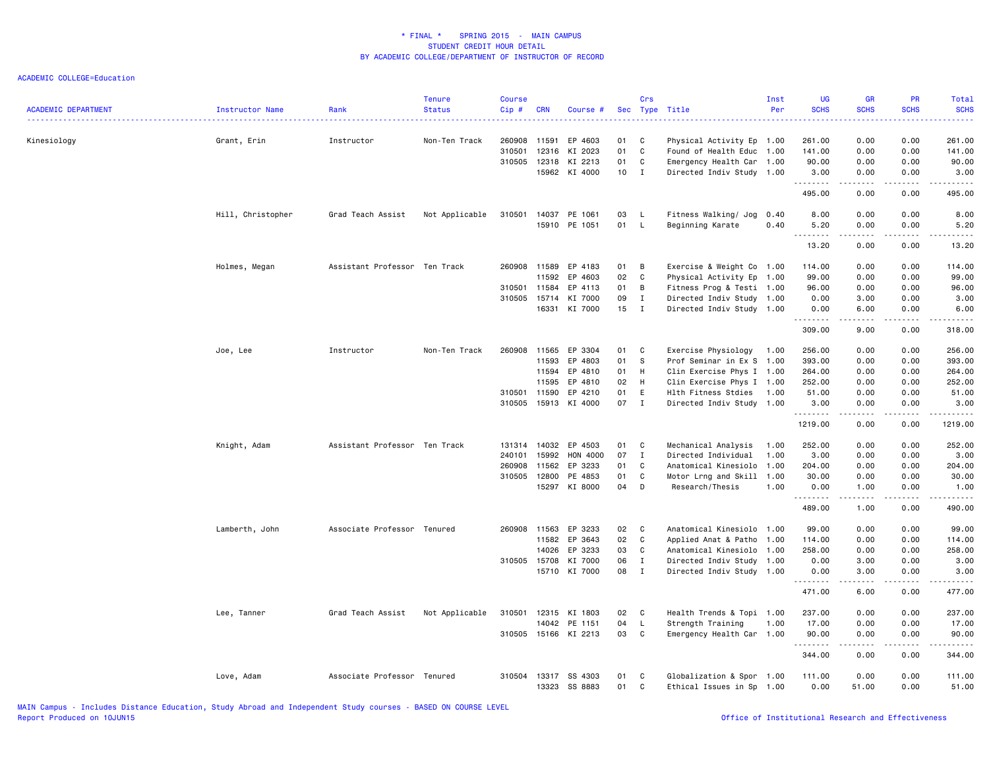| <b>ACADEMIC DEPARTMENT</b> | Instructor Name   | Rank<br><u>.</u>              | <b>Tenure</b><br><b>Status</b> | <b>Course</b><br>Cip# | <b>CRN</b>   | Course #             |      | Crs          | Sec Type Title            | Inst<br>Per | <b>UG</b><br><b>SCHS</b> | <b>GR</b><br><b>SCHS</b>        | PR<br><b>SCHS</b> | Total<br><b>SCHS</b><br>.                                                                                                                                      |
|----------------------------|-------------------|-------------------------------|--------------------------------|-----------------------|--------------|----------------------|------|--------------|---------------------------|-------------|--------------------------|---------------------------------|-------------------|----------------------------------------------------------------------------------------------------------------------------------------------------------------|
| Kinesiology                | Grant, Erin       | Instructor                    | Non-Ten Track                  | 260908                | 11591        | EP 4603              | 01   | C            | Physical Activity Ep 1.00 |             | 261.00                   | 0.00                            | 0.00              | 261.00                                                                                                                                                         |
|                            |                   |                               |                                | 310501                | 12316        | KI 2023              | 01   | C            | Found of Health Educ 1.00 |             | 141.00                   | 0.00                            | 0.00              | 141.00                                                                                                                                                         |
|                            |                   |                               |                                | 310505                |              | 12318 KI 2213        | 01   | C            | Emergency Health Car 1.00 |             | 90.00                    | 0.00                            | 0.00              | 90.00                                                                                                                                                          |
|                            |                   |                               |                                |                       |              | 15962 KI 4000        | 10   | $\mathbf{I}$ | Directed Indiv Study 1.00 |             | 3.00<br><u>.</u>         | 0.00<br>$\frac{1}{2}$           | 0.00              | 3.00                                                                                                                                                           |
|                            |                   |                               |                                |                       |              |                      |      |              |                           |             | 495.00                   | 0.00                            | 0.00              | 495.00                                                                                                                                                         |
|                            | Hill, Christopher | Grad Teach Assist             | Not Applicable                 | 310501                |              | 14037 PE 1061        | 03   | - L          | Fitness Walking/ Jog      | 0.40        | 8.00                     | 0.00                            | 0.00              | 8.00                                                                                                                                                           |
|                            |                   |                               |                                |                       |              | 15910 PE 1051        | 01 L |              | Beginning Karate          | 0.40        | 5.20                     | 0.00                            | 0.00              | 5.20                                                                                                                                                           |
|                            |                   |                               |                                |                       |              |                      |      |              |                           |             | <u>.</u><br>13.20        | .<br>0.00                       | .<br>0.00         | .<br>13.20                                                                                                                                                     |
|                            | Holmes, Megan     | Assistant Professor Ten Track |                                |                       |              | 260908 11589 EP 4183 | 01   | B            | Exercise & Weight Co 1.00 |             | 114.00                   | 0.00                            | 0.00              | 114.00                                                                                                                                                         |
|                            |                   |                               |                                |                       | 11592        | EP 4603              | 02   | C            | Physical Activity Ep 1.00 |             | 99.00                    | 0.00                            | 0.00              | 99.00                                                                                                                                                          |
|                            |                   |                               |                                |                       | 310501 11584 | EP 4113              | 01   | B            | Fitness Prog & Testi 1.00 |             | 96.00                    | 0.00                            | 0.00              | 96.00                                                                                                                                                          |
|                            |                   |                               |                                | 310505                | 15714        | KI 7000              | 09   | $\mathbf I$  | Directed Indiv Study 1.00 |             | 0.00                     | 3.00                            | 0.00              | 3.00                                                                                                                                                           |
|                            |                   |                               |                                |                       | 16331        | KI 7000              | 15   | $\mathbf{I}$ | Directed Indiv Study 1.00 |             | 0.00<br>.                | 6.00<br>$\omega$ is a $\omega$  | 0.00<br>.         | 6.00<br>$- - - - - -$                                                                                                                                          |
|                            |                   |                               |                                |                       |              |                      |      |              |                           |             | 309.00                   | 9.00                            | 0.00              | 318.00                                                                                                                                                         |
|                            | Joe, Lee          | Instructor                    | Non-Ten Track                  | 260908                | 11565        | EP 3304              | 01   | <b>C</b>     | Exercise Physiology       | 1.00        | 256.00                   | 0.00                            | 0.00              | 256.00                                                                                                                                                         |
|                            |                   |                               |                                |                       | 11593        | EP 4803              | 01   | S            | Prof Seminar in Ex S 1.00 |             | 393.00                   | 0.00                            | 0.00              | 393.00                                                                                                                                                         |
|                            |                   |                               |                                |                       | 11594        | EP 4810              | 01   | H            | Clin Exercise Phys I 1.00 |             | 264.00                   | 0.00                            | 0.00              | 264.00                                                                                                                                                         |
|                            |                   |                               |                                |                       | 11595        | EP 4810              | 02   | H            | Clin Exercise Phys I 1.00 |             | 252.00                   | 0.00                            | 0.00              | 252.00                                                                                                                                                         |
|                            |                   |                               |                                |                       | 310501 11590 | EP 4210              | 01   | E            | Hlth Fitness Stdies       | 1.00        | 51.00                    | 0.00                            | 0.00              | 51.00                                                                                                                                                          |
|                            |                   |                               |                                | 310505                |              | 15913 KI 4000        | 07 I |              | Directed Indiv Study 1.00 |             | 3.00                     | 0.00                            | 0.00              | 3.00                                                                                                                                                           |
|                            |                   |                               |                                |                       |              |                      |      |              |                           |             | .<br>1219.00             | .<br>0.00                       | <u>.</u><br>0.00  | .<br>1219.00                                                                                                                                                   |
|                            | Knight, Adam      | Assistant Professor Ten Track |                                |                       |              | 131314 14032 EP 4503 | 01   | <b>C</b>     | Mechanical Analysis       | 1.00        | 252.00                   | 0.00                            | 0.00              | 252.00                                                                                                                                                         |
|                            |                   |                               |                                | 240101                | 15992        | HON 4000             | 07   | $\mathbf{I}$ | Directed Individual       | 1.00        | 3.00                     | 0.00                            | 0.00              | 3,00                                                                                                                                                           |
|                            |                   |                               |                                | 260908                | 11562        | EP 3233              | 01   | C            | Anatomical Kinesiolo 1.00 |             | 204.00                   | 0.00                            | 0.00              | 204.00                                                                                                                                                         |
|                            |                   |                               |                                |                       | 310505 12800 | PE 4853              | 01   | C            | Motor Lrng and Skill 1.00 |             | 30.00                    | 0.00                            | 0.00              | 30.00                                                                                                                                                          |
|                            |                   |                               |                                |                       |              | 15297 KI 8000        | 04   | D            | Research/Thesis           | 1.00        | 0.00                     | 1.00                            | 0.00              | 1.00                                                                                                                                                           |
|                            |                   |                               |                                |                       |              |                      |      |              |                           |             | .<br>489.00              | $\omega$ is $\omega$ in<br>1.00 | .<br>0.00         | .<br>490.00                                                                                                                                                    |
|                            | Lamberth, John    | Associate Professor Tenured   |                                | 260908                |              | 11563 EP 3233        | 02 C |              | Anatomical Kinesiolo      | 1.00        | 99.00                    | 0.00                            | 0.00              | 99.00                                                                                                                                                          |
|                            |                   |                               |                                |                       | 11582        | EP 3643              | 02   | C            | Applied Anat & Patho      | 1.00        | 114.00                   | 0.00                            | 0.00              | 114.00                                                                                                                                                         |
|                            |                   |                               |                                |                       | 14026        | EP 3233              | 03   | C            | Anatomical Kinesiolo      | 1.00        | 258.00                   | 0.00                            | 0.00              | 258.00                                                                                                                                                         |
|                            |                   |                               |                                | 310505                | 15708        | KI 7000              | 06   | $\mathbf{I}$ | Directed Indiv Study 1.00 |             | 0.00                     | 3.00                            | 0.00              | 3.00                                                                                                                                                           |
|                            |                   |                               |                                |                       |              | 15710 KI 7000        | 08   | $\mathbf{I}$ | Directed Indiv Study 1.00 |             | 0.00                     | 3.00                            | 0.00              | 3.00                                                                                                                                                           |
|                            |                   |                               |                                |                       |              |                      |      |              |                           |             | .<br>471.00              | .<br>6.00                       | .<br>0.00         | $\frac{1}{2} \left( \frac{1}{2} \right) \left( \frac{1}{2} \right) \left( \frac{1}{2} \right) \left( \frac{1}{2} \right) \left( \frac{1}{2} \right)$<br>477.00 |
|                            | Lee, Tanner       | Grad Teach Assist             | Not Applicable                 | 310501                | 12315        | KI 1803              | 02   | C            | Health Trends & Topi 1.00 |             | 237.00                   | 0.00                            | 0.00              | 237.00                                                                                                                                                         |
|                            |                   |                               |                                |                       |              | 14042 PE 1151        | 04   | L            | Strength Training         | 1.00        | 17.00                    | 0.00                            | 0.00              | 17.00                                                                                                                                                          |
|                            |                   |                               |                                |                       |              | 310505 15166 KI 2213 | 03   | $\mathbf{C}$ | Emergency Health Car 1.00 |             | 90.00                    | 0.00                            | 0.00              | 90.00                                                                                                                                                          |
|                            |                   |                               |                                |                       |              |                      |      |              |                           |             | .<br>344.00              | .<br>0.00                       | -----<br>0.00     | 344.00                                                                                                                                                         |
|                            | Love, Adam        | Associate Professor Tenured   |                                | 310504                |              | 13317 SS 4303        | 01   | C            | Globalization & Spor 1.00 |             | 111.00                   | 0.00                            | 0.00              | 111.00                                                                                                                                                         |
|                            |                   |                               |                                |                       |              | 13323 SS 8883        | 01 C |              | Ethical Issues in Sp 1.00 |             | 0.00                     | 51.00                           | 0.00              | 51.00                                                                                                                                                          |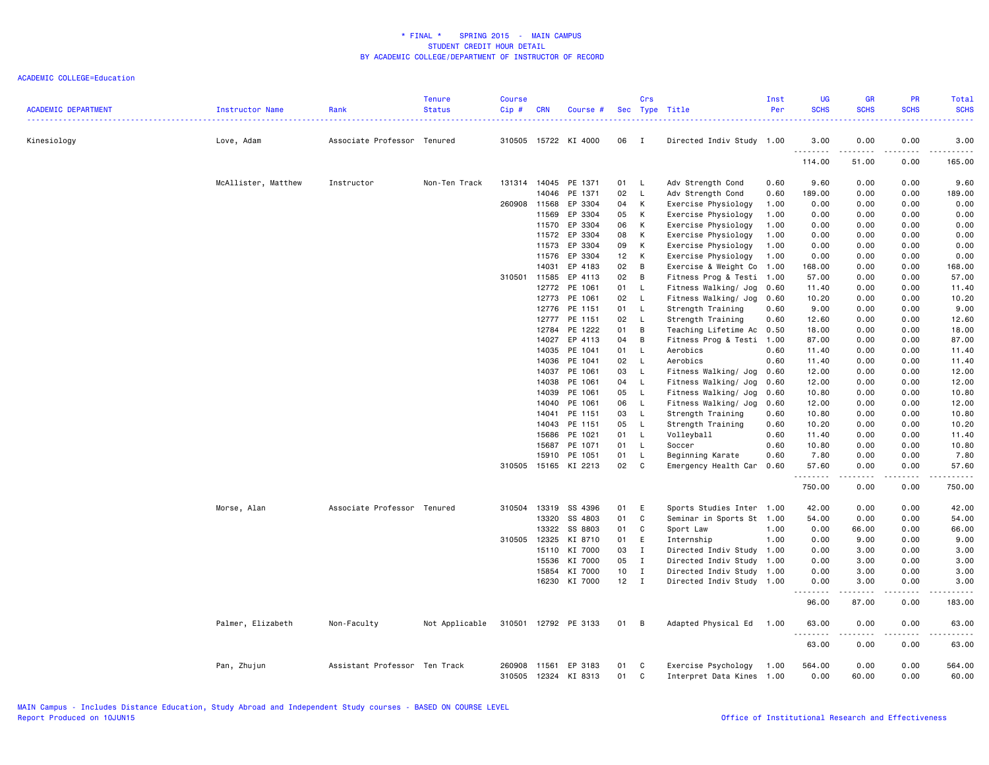| <b>ACADEMIC DEPARTMENT</b> | Instructor Name     | Rank                          | <b>Tenure</b><br><b>Status</b> | <b>Course</b><br>Cip# | <b>CRN</b>     | Course #             |                 | Crs          | Sec Type Title                                   | Inst<br>Per | <b>UG</b><br><b>SCHS</b><br>. | <b>GR</b><br><b>SCHS</b>                                                                                                                                      | PR<br><b>SCHS</b>                   | Total<br><b>SCHS</b><br>ولايتان |
|----------------------------|---------------------|-------------------------------|--------------------------------|-----------------------|----------------|----------------------|-----------------|--------------|--------------------------------------------------|-------------|-------------------------------|---------------------------------------------------------------------------------------------------------------------------------------------------------------|-------------------------------------|---------------------------------|
| Kinesiology                | Love, Adam          | Associate Professor Tenured   |                                | 310505                |                | 15722 KI 4000        | 06              | $\mathbf{I}$ | Directed Indiv Study 1.00                        |             | 3.00                          | 0.00                                                                                                                                                          | 0.00                                | 3.00                            |
|                            |                     |                               |                                |                       |                |                      |                 |              |                                                  |             | .<br>114.00                   | .<br>51.00                                                                                                                                                    | $\sim$ $\sim$ $\sim$ $\sim$<br>0.00 | .<br>165.00                     |
|                            | McAllister, Matthew | Instructor                    | Non-Ten Track                  |                       | 131314 14045   | PE 1371              | 01 L            |              | Adv Strength Cond                                | 0.60        | 9.60                          | 0.00                                                                                                                                                          | 0.00                                | 9.60                            |
|                            |                     |                               |                                |                       | 14046          | PE 1371              | 02              | $\mathsf{L}$ | Adv Strength Cond                                | 0.60        | 189.00                        | 0.00                                                                                                                                                          | 0.00                                | 189.00                          |
|                            |                     |                               |                                | 260908                | 11568          | EP 3304              | 04              | к            | Exercise Physiology                              | 1.00        | 0.00                          | 0.00                                                                                                                                                          | 0.00                                | 0.00                            |
|                            |                     |                               |                                |                       | 11569          | EP 3304              | 05              | K            | Exercise Physiology                              | 1.00        | 0.00                          | 0.00                                                                                                                                                          | 0.00                                | 0.00                            |
|                            |                     |                               |                                |                       | 11570          | EP 3304              | 06              | K            | Exercise Physiology                              | 1.00        | 0.00                          | 0.00                                                                                                                                                          | 0.00                                | 0.00                            |
|                            |                     |                               |                                |                       | 11572          | EP 3304              | 08              | K            | Exercise Physiology                              | 1.00        | 0.00                          | 0.00                                                                                                                                                          | 0.00                                | 0.00                            |
|                            |                     |                               |                                |                       | 11573          | EP 3304              | 09              | K            | Exercise Physiology                              | 1.00        | 0.00                          | 0.00                                                                                                                                                          | 0.00                                | 0.00                            |
|                            |                     |                               |                                |                       | 11576          | EP 3304              | 12              | К            | Exercise Physiology                              | 1.00        | 0.00                          | 0.00                                                                                                                                                          | 0.00                                | 0.00                            |
|                            |                     |                               |                                |                       | 14031          | EP 4183              | 02              | B            | Exercise & Weight Co                             | 1.00        | 168.00                        | 0.00                                                                                                                                                          | 0.00                                | 168.00                          |
|                            |                     |                               |                                | 310501 11585          |                | EP 4113              | 02              | B            | Fitness Prog & Testi 1.00                        |             | 57.00                         | 0.00                                                                                                                                                          | 0.00                                | 57.00                           |
|                            |                     |                               |                                |                       | 12772          | PE 1061              | 01              | L.           | Fitness Walking/ Jog                             | 0.60        | 11.40                         | 0.00                                                                                                                                                          | 0.00                                | 11.40                           |
|                            |                     |                               |                                |                       | 12773          | PE 1061              | 02              | - L          | Fitness Walking/ Jog                             | 0.60        | 10.20                         | 0.00                                                                                                                                                          | 0.00                                | 10.20                           |
|                            |                     |                               |                                |                       | 12776          | PE 1151              | 01              | - L          | Strength Training                                | 0.60        | 9.00                          | 0.00                                                                                                                                                          | 0.00                                | 9.00                            |
|                            |                     |                               |                                |                       | 12777          | PE 1151              | 02              | L.           | Strength Training                                | 0.60        | 12.60                         | 0.00                                                                                                                                                          | 0.00                                | 12.60                           |
|                            |                     |                               |                                |                       | 12784          | PE 1222              | 01              | B            | Teaching Lifetime Ac 0.50                        |             | 18.00                         | 0.00                                                                                                                                                          | 0.00                                | 18.00                           |
|                            |                     |                               |                                |                       | 14027          | EP 4113              | 04              | B            | Fitness Prog & Testi 1.00                        |             | 87.00                         | 0.00                                                                                                                                                          | 0.00                                | 87.00                           |
|                            |                     |                               |                                |                       | 14035          | PE 1041              | 01              | $\mathsf{L}$ | Aerobics                                         | 0.60        | 11.40                         | 0.00                                                                                                                                                          | 0.00                                | 11.40                           |
|                            |                     |                               |                                |                       | 14036          | PE 1041              | 02              | - L          | Aerobics                                         | 0.60        | 11.40                         | 0.00                                                                                                                                                          | 0.00                                | 11.40                           |
|                            |                     |                               |                                |                       | 14037          | PE 1061              | 03              | $\mathsf{L}$ | Fitness Walking/ Jog 0.60                        |             | 12.00                         | 0.00                                                                                                                                                          | 0.00                                | 12.00                           |
|                            |                     |                               |                                |                       | 14038          | PE 1061              | 04              | $\mathsf{L}$ | Fitness Walking/ Jog                             | 0.60        | 12.00                         | 0.00                                                                                                                                                          | 0.00                                | 12.00                           |
|                            |                     |                               |                                |                       | 14039          | PE 1061              | 05              | - L          | Fitness Walking/ Jog                             | 0.60        | 10.80                         | 0.00                                                                                                                                                          | 0.00                                | 10.80                           |
|                            |                     |                               |                                |                       | 14040          | PE 1061              | 06              | $\mathsf{L}$ | Fitness Walking/ Jog                             | 0.60        | 12.00                         | 0.00                                                                                                                                                          | 0.00                                | 12.00                           |
|                            |                     |                               |                                |                       | 14041          | PE 1151              | 03              | $\mathsf{L}$ | Strength Training                                | 0.60        | 10.80                         | 0.00                                                                                                                                                          | 0.00                                | 10.80                           |
|                            |                     |                               |                                |                       | 14043          | PE 1151              | 05              | - L          | Strength Training                                | 0.60        | 10.20                         | 0.00                                                                                                                                                          | 0.00                                | 10.20                           |
|                            |                     |                               |                                |                       | 15686          | PE 1021              | 01 L            |              | Volleyball                                       | 0.60        | 11.40                         | 0.00                                                                                                                                                          | 0.00                                | 11.40                           |
|                            |                     |                               |                                |                       | 15687          | PE 1071              | 01              | L.           | Soccer                                           | 0.60        | 10.80                         | 0.00                                                                                                                                                          | 0.00                                | 10.80                           |
|                            |                     |                               |                                |                       | 15910          | PE 1051              | 01              | L.           | Beginning Karate                                 | 0.60        | 7.80                          | 0.00                                                                                                                                                          | 0.00                                | 7.80                            |
|                            |                     |                               |                                | 310505                | 15165          | KI 2213              | 02              | C            | Emergency Health Car 0.60                        |             | 57.60                         | 0.00                                                                                                                                                          | 0.00                                | 57.60                           |
|                            |                     |                               |                                |                       |                |                      |                 |              |                                                  |             | <u>.</u>                      | $\frac{1}{2} \left( \frac{1}{2} \right) \left( \frac{1}{2} \right) \left( \frac{1}{2} \right) \left( \frac{1}{2} \right) \left( \frac{1}{2} \right)$          | .                                   | .                               |
|                            |                     |                               |                                |                       |                |                      |                 |              |                                                  |             | 750.00                        | 0.00                                                                                                                                                          | 0.00                                | 750.00                          |
|                            | Morse, Alan         | Associate Professor Tenured   |                                | 310504                | 13319          | SS 4396              | 01              | E            | Sports Studies Inter 1.00                        |             | 42.00                         | 0.00                                                                                                                                                          | 0.00                                | 42.00                           |
|                            |                     |                               |                                |                       | 13320          | SS 4803              | 01              | C            | Seminar in Sports St 1.00                        |             | 54.00                         | 0.00                                                                                                                                                          | 0.00                                | 54.00                           |
|                            |                     |                               |                                |                       | 13322          | SS 8803              | 01              | C            | Sport Law                                        | 1.00        | 0.00                          | 66.00                                                                                                                                                         | 0.00                                | 66.00                           |
|                            |                     |                               |                                | 310505                | 12325          | KI 8710              | 01              | E            | Internship                                       | 1.00        | 0.00                          | 9.00                                                                                                                                                          | 0.00                                | 9.00                            |
|                            |                     |                               |                                |                       | 15110          | KI 7000              | 03              | $\mathbf{I}$ | Directed Indiv Study 1.00                        |             | 0.00                          | 3.00                                                                                                                                                          | 0.00                                | 3.00                            |
|                            |                     |                               |                                |                       | 15536          | KI 7000              | 05              | $\mathbf{I}$ | Directed Indiv Study 1.00                        |             | 0.00                          | 3.00                                                                                                                                                          | 0.00                                | 3.00                            |
|                            |                     |                               |                                |                       | 15854          | KI 7000              | 10              | $\mathbf{I}$ | Directed Indiv Study 1.00                        |             | 0.00                          | 3.00                                                                                                                                                          | 0.00                                | 3.00                            |
|                            |                     |                               |                                |                       |                | 16230 KI 7000        | 12 <sub>2</sub> | $\mathbf{I}$ | Directed Indiv Study 1.00                        |             | 0.00                          | 3.00                                                                                                                                                          | 0.00                                | 3.00<br>.                       |
|                            |                     |                               |                                |                       |                |                      |                 |              |                                                  |             | 96.00                         | $\frac{1}{2} \left( \frac{1}{2} \right) \left( \frac{1}{2} \right) \left( \frac{1}{2} \right) \left( \frac{1}{2} \right) \left( \frac{1}{2} \right)$<br>87.00 | 0.00                                | 183.00                          |
|                            | Palmer, Elizabeth   | Non-Faculty                   | Not Applicable                 |                       |                | 310501 12792 PE 3133 | 01 B            |              | Adapted Physical Ed                              | 1.00        | 63.00                         | 0.00                                                                                                                                                          | 0.00                                | 63.00                           |
|                            |                     |                               |                                |                       |                |                      |                 |              |                                                  |             | .<br>63.00                    | $\frac{1}{2} \left( \frac{1}{2} \right) \left( \frac{1}{2} \right) \left( \frac{1}{2} \right) \left( \frac{1}{2} \right) \left( \frac{1}{2} \right)$<br>0.00  | .<br>0.00                           | .<br>63.00                      |
|                            | Pan, Zhujun         | Assistant Professor Ten Track |                                | 260908<br>310505      | 11561<br>12324 | EP 3183<br>KI 8313   | 01<br>01        | C<br>C       | Exercise Psychology<br>Interpret Data Kines 1.00 | 1.00        | 564.00<br>0.00                | 0.00<br>60.00                                                                                                                                                 | 0.00<br>0.00                        | 564.00<br>60.00                 |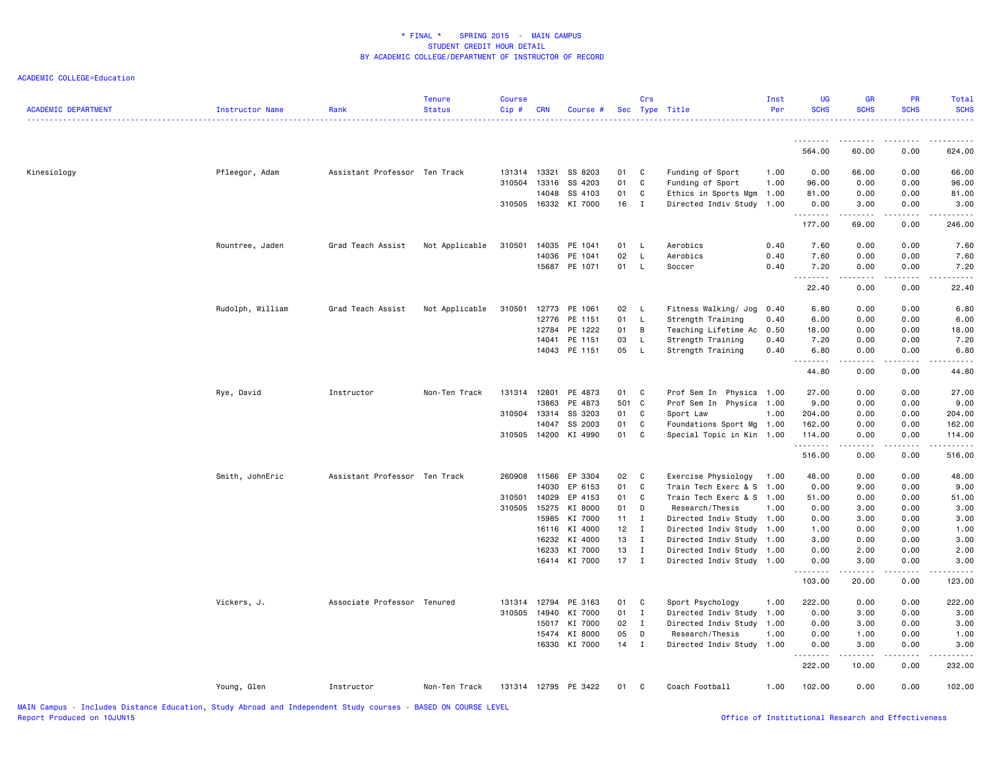| <u>.</u><br>564.00<br>Kinesiology<br>Pfleegor, Adam<br>Assistant Professor Ten Track<br>131314 13321<br>SS 8203<br>01 C<br>Funding of Sport<br>0.00<br>1.00<br>310504<br>13316<br>SS 4203<br>01<br>C<br>Funding of Sport<br>1.00<br>96.00<br>14048<br>SS 4103<br>01<br>C<br>1.00<br>81.00<br>Ethics in Sports Mgm<br>310505 16332<br>KI 7000<br>16 I<br>Directed Indiv Study<br>1.00<br>0.00<br>---------<br>177.00<br>Rountree, Jaden<br>Grad Teach Assist<br>Not Applicable<br>310501<br>14035<br>PE 1041<br>01<br>- L<br>Aerobics<br>0.40<br>7.60<br>14036<br>PE 1041<br>02<br>L<br>Aerobics<br>0.40<br>7.60<br>15687 PE 1071<br>01<br><b>L</b><br>Soccer<br>0.40<br>7.20<br>--------<br>22.40<br>Rudolph, William<br>Not Applicable<br>12773<br>PE 1061<br>02 L<br>Fitness Walking/ Jog<br>6.80<br>Grad Teach Assist<br>310501<br>0.40<br>12776<br>PE 1151<br>01<br>$\mathsf{L}$<br>Strength Training<br>0.40<br>6.00<br>PE 1222<br>12784<br>01<br>B<br>Teaching Lifetime Ac<br>0.50<br>18.00<br>PE 1151<br>03<br>14041<br>L<br>Strength Training<br>0.40<br>7.20<br>14043 PE 1151<br>05<br>$\mathsf{L}$<br>Strength Training<br>0.40<br>6.80<br>.<br>44.80<br>131314<br>12801<br>PE 4873<br>Rye, David<br>Instructor<br>Non-Ten Track<br>01 C<br>Prof Sem In Physica 1.00<br>27.00 | 60.00                            | 0.00<br>624.00                       |
|-----------------------------------------------------------------------------------------------------------------------------------------------------------------------------------------------------------------------------------------------------------------------------------------------------------------------------------------------------------------------------------------------------------------------------------------------------------------------------------------------------------------------------------------------------------------------------------------------------------------------------------------------------------------------------------------------------------------------------------------------------------------------------------------------------------------------------------------------------------------------------------------------------------------------------------------------------------------------------------------------------------------------------------------------------------------------------------------------------------------------------------------------------------------------------------------------------------------------------------------------------------------------------------------|----------------------------------|--------------------------------------|
|                                                                                                                                                                                                                                                                                                                                                                                                                                                                                                                                                                                                                                                                                                                                                                                                                                                                                                                                                                                                                                                                                                                                                                                                                                                                                         |                                  |                                      |
|                                                                                                                                                                                                                                                                                                                                                                                                                                                                                                                                                                                                                                                                                                                                                                                                                                                                                                                                                                                                                                                                                                                                                                                                                                                                                         |                                  |                                      |
|                                                                                                                                                                                                                                                                                                                                                                                                                                                                                                                                                                                                                                                                                                                                                                                                                                                                                                                                                                                                                                                                                                                                                                                                                                                                                         | 66.00                            | 0.00<br>66.00                        |
|                                                                                                                                                                                                                                                                                                                                                                                                                                                                                                                                                                                                                                                                                                                                                                                                                                                                                                                                                                                                                                                                                                                                                                                                                                                                                         | 0.00                             | 0.00<br>96.00                        |
|                                                                                                                                                                                                                                                                                                                                                                                                                                                                                                                                                                                                                                                                                                                                                                                                                                                                                                                                                                                                                                                                                                                                                                                                                                                                                         | 0.00                             | 0.00<br>81.00                        |
|                                                                                                                                                                                                                                                                                                                                                                                                                                                                                                                                                                                                                                                                                                                                                                                                                                                                                                                                                                                                                                                                                                                                                                                                                                                                                         | 3.00<br>.                        | 3.00<br>0.00<br>.                    |
|                                                                                                                                                                                                                                                                                                                                                                                                                                                                                                                                                                                                                                                                                                                                                                                                                                                                                                                                                                                                                                                                                                                                                                                                                                                                                         | 69.00                            | 0.00<br>246.00                       |
|                                                                                                                                                                                                                                                                                                                                                                                                                                                                                                                                                                                                                                                                                                                                                                                                                                                                                                                                                                                                                                                                                                                                                                                                                                                                                         | 0.00                             | 0.00<br>7.60                         |
|                                                                                                                                                                                                                                                                                                                                                                                                                                                                                                                                                                                                                                                                                                                                                                                                                                                                                                                                                                                                                                                                                                                                                                                                                                                                                         | 0.00                             | 0.00<br>7.60                         |
|                                                                                                                                                                                                                                                                                                                                                                                                                                                                                                                                                                                                                                                                                                                                                                                                                                                                                                                                                                                                                                                                                                                                                                                                                                                                                         | 0.00<br>.                        | 0.00<br>7.20<br>-----<br>.           |
|                                                                                                                                                                                                                                                                                                                                                                                                                                                                                                                                                                                                                                                                                                                                                                                                                                                                                                                                                                                                                                                                                                                                                                                                                                                                                         | 0.00                             | 0.00<br>22.40                        |
|                                                                                                                                                                                                                                                                                                                                                                                                                                                                                                                                                                                                                                                                                                                                                                                                                                                                                                                                                                                                                                                                                                                                                                                                                                                                                         | 0.00                             | 0.00<br>6.80                         |
|                                                                                                                                                                                                                                                                                                                                                                                                                                                                                                                                                                                                                                                                                                                                                                                                                                                                                                                                                                                                                                                                                                                                                                                                                                                                                         | 0.00                             | 0.00<br>6.00                         |
|                                                                                                                                                                                                                                                                                                                                                                                                                                                                                                                                                                                                                                                                                                                                                                                                                                                                                                                                                                                                                                                                                                                                                                                                                                                                                         | 0.00                             | 18.00<br>0.00                        |
|                                                                                                                                                                                                                                                                                                                                                                                                                                                                                                                                                                                                                                                                                                                                                                                                                                                                                                                                                                                                                                                                                                                                                                                                                                                                                         | 0.00                             | 0.00<br>7.20                         |
|                                                                                                                                                                                                                                                                                                                                                                                                                                                                                                                                                                                                                                                                                                                                                                                                                                                                                                                                                                                                                                                                                                                                                                                                                                                                                         | 0.00<br>$\omega = \omega/\omega$ | 0.00<br>6.80<br>.<br>المتمام المتعاد |
|                                                                                                                                                                                                                                                                                                                                                                                                                                                                                                                                                                                                                                                                                                                                                                                                                                                                                                                                                                                                                                                                                                                                                                                                                                                                                         | 0.00                             | 0.00<br>44.80                        |
|                                                                                                                                                                                                                                                                                                                                                                                                                                                                                                                                                                                                                                                                                                                                                                                                                                                                                                                                                                                                                                                                                                                                                                                                                                                                                         | 0.00                             | 27.00<br>0.00                        |
| PE 4873<br>501 C<br>13863<br>Prof Sem In Physica 1.00<br>9.00                                                                                                                                                                                                                                                                                                                                                                                                                                                                                                                                                                                                                                                                                                                                                                                                                                                                                                                                                                                                                                                                                                                                                                                                                           | 0.00                             | 0.00<br>9.00                         |
| 310504<br>13314<br>SS 3203<br>01<br>C<br>Sport Law<br>204.00<br>1.00                                                                                                                                                                                                                                                                                                                                                                                                                                                                                                                                                                                                                                                                                                                                                                                                                                                                                                                                                                                                                                                                                                                                                                                                                    | 0.00                             | 0.00<br>204.00                       |
| 14047<br>SS 2003<br>01<br>C<br>162.00<br>Foundations Sport Mg 1.00                                                                                                                                                                                                                                                                                                                                                                                                                                                                                                                                                                                                                                                                                                                                                                                                                                                                                                                                                                                                                                                                                                                                                                                                                      | 0.00                             | 0.00<br>162.00                       |
| 01<br>310505<br>14200<br>KI 4990<br>C.<br>Special Topic in Kin 1.00<br>114.00<br>.                                                                                                                                                                                                                                                                                                                                                                                                                                                                                                                                                                                                                                                                                                                                                                                                                                                                                                                                                                                                                                                                                                                                                                                                      | 0.00                             | 0.00<br>114.00                       |
| 516.00                                                                                                                                                                                                                                                                                                                                                                                                                                                                                                                                                                                                                                                                                                                                                                                                                                                                                                                                                                                                                                                                                                                                                                                                                                                                                  | 0.00                             | 0.00<br>516.00                       |
| Smith, JohnEric<br>Assistant Professor Ten Track<br>260908<br>11566<br>EP 3304<br>02 C<br>48.00<br>Exercise Physiology<br>1.00                                                                                                                                                                                                                                                                                                                                                                                                                                                                                                                                                                                                                                                                                                                                                                                                                                                                                                                                                                                                                                                                                                                                                          | 0.00                             | 0.00<br>48.00                        |
| 14030<br>EP 6153<br>01<br>C<br>Train Tech Exerc & S<br>0.00<br>1.00                                                                                                                                                                                                                                                                                                                                                                                                                                                                                                                                                                                                                                                                                                                                                                                                                                                                                                                                                                                                                                                                                                                                                                                                                     | 9.00                             | 0.00<br>9.00                         |
| EP 4153<br>01<br>C<br>310501<br>14029<br>Train Tech Exerc & S 1.00<br>51.00                                                                                                                                                                                                                                                                                                                                                                                                                                                                                                                                                                                                                                                                                                                                                                                                                                                                                                                                                                                                                                                                                                                                                                                                             | 0.00                             | 0.00<br>51.00                        |
| 15275<br>310505<br>KI 8000<br>01<br>D<br>Research/Thesis<br>1.00<br>0.00                                                                                                                                                                                                                                                                                                                                                                                                                                                                                                                                                                                                                                                                                                                                                                                                                                                                                                                                                                                                                                                                                                                                                                                                                | 3.00                             | 3.00<br>0.00                         |
| 15985<br>KI 7000<br>11<br>I<br>Directed Indiv Study 1.00<br>0.00                                                                                                                                                                                                                                                                                                                                                                                                                                                                                                                                                                                                                                                                                                                                                                                                                                                                                                                                                                                                                                                                                                                                                                                                                        | 3.00                             | 0.00<br>3.00                         |
| 16116 KI 4000<br>12<br>I<br>Directed Indiv Study<br>1.00<br>1.00                                                                                                                                                                                                                                                                                                                                                                                                                                                                                                                                                                                                                                                                                                                                                                                                                                                                                                                                                                                                                                                                                                                                                                                                                        | 0.00                             | 0.00<br>1.00                         |
| KI 4000<br>13 I<br>16232<br>Directed Indiv Study<br>1.00<br>3.00                                                                                                                                                                                                                                                                                                                                                                                                                                                                                                                                                                                                                                                                                                                                                                                                                                                                                                                                                                                                                                                                                                                                                                                                                        | 0.00                             | 0.00<br>3.00                         |
| KI 7000<br>16233<br>13 I<br>Directed Indiv Study<br>1.00<br>0.00                                                                                                                                                                                                                                                                                                                                                                                                                                                                                                                                                                                                                                                                                                                                                                                                                                                                                                                                                                                                                                                                                                                                                                                                                        | 2.00                             | 0.00<br>2.00                         |
| 16414 KI 7000<br>$17$ I<br>Directed Indiv Study 1.00<br>0.00<br><u>.</u>                                                                                                                                                                                                                                                                                                                                                                                                                                                                                                                                                                                                                                                                                                                                                                                                                                                                                                                                                                                                                                                                                                                                                                                                                | 3.00<br>.                        | 0.00<br>3.00<br>.                    |
| 103.00                                                                                                                                                                                                                                                                                                                                                                                                                                                                                                                                                                                                                                                                                                                                                                                                                                                                                                                                                                                                                                                                                                                                                                                                                                                                                  | 20.00                            | 0.00<br>123.00                       |
| Associate Professor Tenured<br>222.00<br>Vickers, J.<br>131314<br>12794<br>PE 3163<br>01<br>$\mathbf{C}$<br>Sport Psychology<br>1.00                                                                                                                                                                                                                                                                                                                                                                                                                                                                                                                                                                                                                                                                                                                                                                                                                                                                                                                                                                                                                                                                                                                                                    | 0.00                             | 222.00<br>0.00                       |
| 310505<br>14940<br>KI 7000<br>01 I<br>Directed Indiv Study<br>0.00<br>1.00                                                                                                                                                                                                                                                                                                                                                                                                                                                                                                                                                                                                                                                                                                                                                                                                                                                                                                                                                                                                                                                                                                                                                                                                              | 3.00                             | 0.00<br>3.00                         |
| 15017<br>KI 7000<br>02 I<br>Directed Indiv Study<br>1.00<br>0.00                                                                                                                                                                                                                                                                                                                                                                                                                                                                                                                                                                                                                                                                                                                                                                                                                                                                                                                                                                                                                                                                                                                                                                                                                        | 3.00                             | 0.00<br>3.00                         |
| 15474 KI 8000<br>05<br>D<br>Research/Thesis<br>1.00<br>0.00                                                                                                                                                                                                                                                                                                                                                                                                                                                                                                                                                                                                                                                                                                                                                                                                                                                                                                                                                                                                                                                                                                                                                                                                                             | 1.00                             | 1.00<br>0.00                         |
| 16330 KI 7000<br>$14$ I<br>0.00<br>Directed Indiv Study 1.00<br>.                                                                                                                                                                                                                                                                                                                                                                                                                                                                                                                                                                                                                                                                                                                                                                                                                                                                                                                                                                                                                                                                                                                                                                                                                       | 3.00<br>-----                    | 0.00<br>3.00<br>-----<br>.           |
| 222.00                                                                                                                                                                                                                                                                                                                                                                                                                                                                                                                                                                                                                                                                                                                                                                                                                                                                                                                                                                                                                                                                                                                                                                                                                                                                                  |                                  |                                      |
| 131314 12795 PE 3422<br>01 C<br>Coach Football<br>102.00<br>Young, Glen<br>Instructor<br>Non-Ten Track<br>1.00                                                                                                                                                                                                                                                                                                                                                                                                                                                                                                                                                                                                                                                                                                                                                                                                                                                                                                                                                                                                                                                                                                                                                                          | 10.00                            | 0.00<br>232.00                       |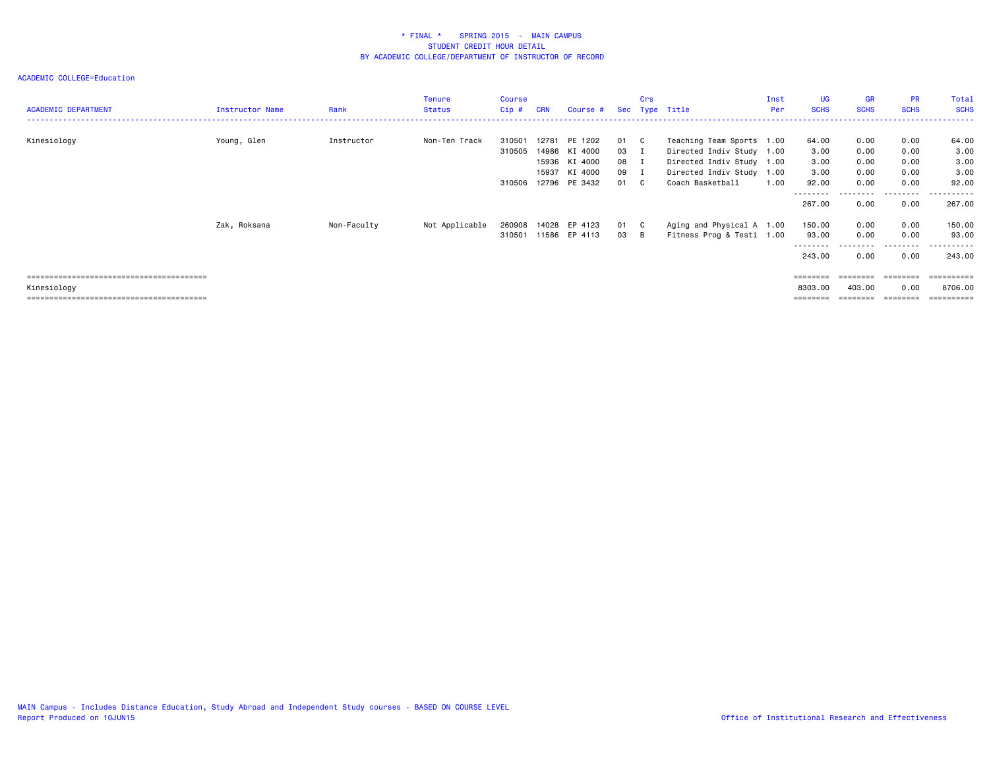| <b>ACADEMIC DEPARTMENT</b> | <b>Instructor Name</b> | Rank        | <b>Tenure</b><br><b>Status</b> | <b>Course</b><br>$Cip$ # | <b>CRN</b> | Course #                                  |                    | Crs          | Sec Type Title                                                                      | Inst<br>Per | <b>UG</b><br><b>SCHS</b>    | <b>GR</b><br><b>SCHS</b> | <b>PR</b><br><b>SCHS</b>  | Total<br><b>SCHS</b>            |
|----------------------------|------------------------|-------------|--------------------------------|--------------------------|------------|-------------------------------------------|--------------------|--------------|-------------------------------------------------------------------------------------|-------------|-----------------------------|--------------------------|---------------------------|---------------------------------|
| Kinesiology                | Young, Glen            | Instructor  | Non-Ten Track                  | 310501<br>310505         | 12781      | PE 1202<br>14986 KI 4000<br>15936 KI 4000 | 01<br>03 I<br>08 I | $\mathbf{C}$ | Teaching Team Sports 1.00<br>Directed Indiv Study 1.00<br>Directed Indiv Study 1.00 |             | 64.00<br>3.00<br>3.00       | 0.00<br>0.00<br>0.00     | 0.00<br>0.00<br>0.00      | 64.00<br>3.00<br>3.00           |
|                            |                        |             |                                | 310506                   | 15937      | KI 4000<br>12796 PE 3432                  | 09 I<br>01         | $\mathbf{C}$ | Directed Indiv Study 1.00<br>Coach Basketball                                       | 1.00        | 3.00<br>92.00<br>--------   | 0.00<br>0.00             | 0.00<br>0.00<br>--------- | 3.00<br>92.00<br>.              |
|                            |                        |             |                                |                          |            |                                           |                    |              |                                                                                     |             | 267.00                      | 0.00                     | 0.00                      | 267.00                          |
|                            | Zak, Roksana           | Non-Faculty | Not Applicable                 | 260908<br>310501         | 14028      | EP 4123<br>11586 EP 4113                  | 01 C<br>03 B       |              | Aging and Physical A 1.00<br>Fitness Prog & Testi 1.00                              |             | 150.00<br>93.00<br>-------- | 0.00<br>0.00             | 0.00<br>0.00              | 150.00<br>93.00<br>. <u>.</u> . |
|                            |                        |             |                                |                          |            |                                           |                    |              |                                                                                     |             | 243.00                      | 0.00                     | 0.00                      | 243.00                          |
|                            |                        |             |                                |                          |            |                                           |                    |              |                                                                                     |             | ========                    |                          |                           | ========                        |
| Kinesiology                |                        |             |                                |                          |            |                                           |                    |              |                                                                                     |             | 8303.00                     | 403.00                   | 0.00                      | 8706.00                         |
|                            |                        |             |                                |                          |            |                                           |                    |              |                                                                                     |             | ========                    | ========                 | ========                  | ==========                      |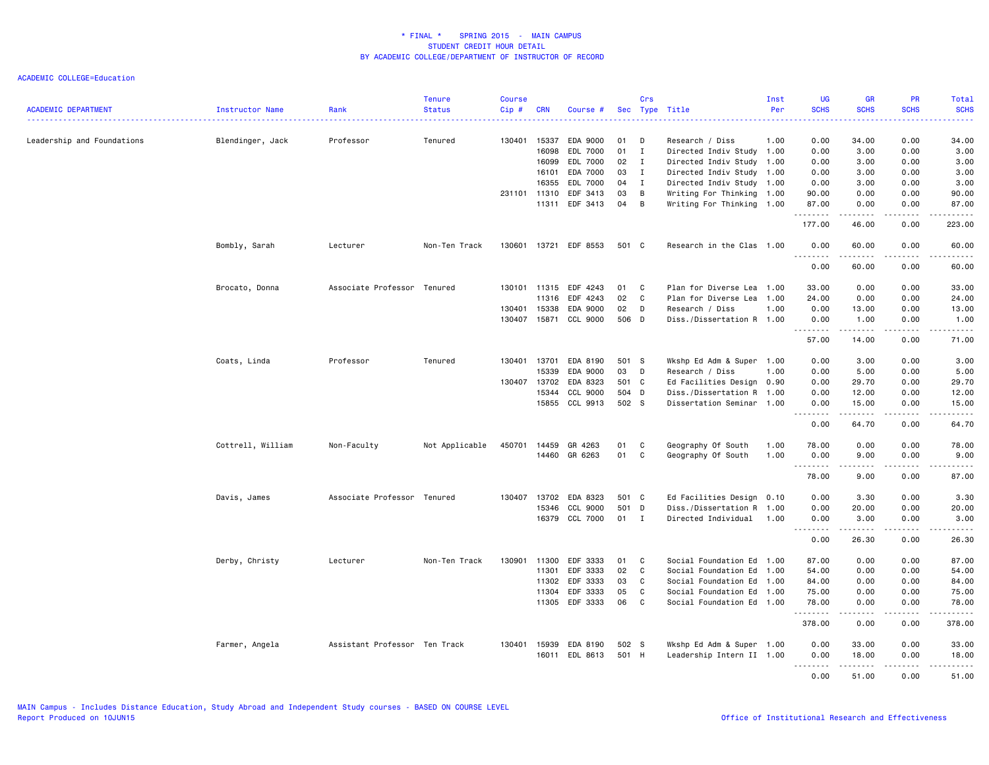| <b>ACADEMIC DEPARTMENT</b> | <b>Instructor Name</b> | Rank                          | <b>Tenure</b><br><b>Status</b> | <b>Course</b><br>Cip# | <b>CRN</b>   | Course #       |       | Crs          | Sec Type Title            | Inst<br>Per | <b>UG</b><br><b>SCHS</b>                                    | <b>GR</b><br><b>SCHS</b> | <b>PR</b><br><b>SCHS</b> | Total<br><b>SCHS</b> |
|----------------------------|------------------------|-------------------------------|--------------------------------|-----------------------|--------------|----------------|-------|--------------|---------------------------|-------------|-------------------------------------------------------------|--------------------------|--------------------------|----------------------|
|                            |                        |                               |                                |                       |              |                |       |              |                           |             |                                                             |                          |                          | .                    |
| Leadership and Foundations | Blendinger, Jack       | Professor                     | Tenured                        | 130401                | 15337        | EDA 9000       | 01    | D            | Research / Diss           | 1.00        | 0.00                                                        | 34.00                    | 0.00                     | 34.00                |
|                            |                        |                               |                                |                       | 16098        | EDL 7000       | 01    | $\mathbf{I}$ | Directed Indiv Study 1.00 |             | 0.00                                                        | 3.00                     | 0.00                     | 3.00                 |
|                            |                        |                               |                                |                       | 16099        | EDL 7000       | 02    | $\mathbf{I}$ | Directed Indiv Study 1.00 |             | 0.00                                                        | 3.00                     | 0.00                     | 3.00                 |
|                            |                        |                               |                                |                       | 16101        | EDA 7000       | 03    | $\mathbf{I}$ | Directed Indiv Study 1.00 |             | 0.00                                                        | 3.00                     | 0.00                     | 3.00                 |
|                            |                        |                               |                                |                       | 16355        | EDL 7000       | 04    | $\mathbf{I}$ | Directed Indiv Study 1.00 |             | 0.00                                                        | 3.00                     | 0.00                     | 3.00                 |
|                            |                        |                               |                                | 231101 11310          |              | EDF 3413       | 03    | B            | Writing For Thinking 1.00 |             | 90.00                                                       | 0.00                     | 0.00                     | 90.00                |
|                            |                        |                               |                                |                       | 11311        | EDF 3413       | 04    | B            | Writing For Thinking 1.00 |             | 87.00<br>.                                                  | 0.00<br>.                | 0.00<br>.                | 87.00<br><u>.</u>    |
|                            |                        |                               |                                |                       |              |                |       |              |                           |             | 177.00                                                      | 46.00                    | 0.00                     | 223.00               |
|                            | Bombly, Sarah          | Lecturer                      | Non-Ten Track                  | 130601                |              | 13721 EDF 8553 | 501 C |              | Research in the Clas 1.00 |             | 0.00<br>-----                                               | 60.00<br>.               | 0.00<br>.                | 60.00<br>.           |
|                            |                        |                               |                                |                       |              |                |       |              |                           |             | 0.00                                                        | 60.00                    | 0.00                     | 60.00                |
|                            | Brocato, Donna         | Associate Professor Tenured   |                                | 130101                | 11315        | EDF 4243       | 01    | C            | Plan for Diverse Lea      | 1.00        | 33.00                                                       | 0.00                     | 0.00                     | 33.00                |
|                            |                        |                               |                                |                       | 11316        | EDF 4243       | 02    | C            | Plan for Diverse Lea      | 1.00        | 24.00                                                       | 0.00                     | 0.00                     | 24.00                |
|                            |                        |                               |                                | 130401                | 15338        | EDA 9000       | 02    | D            | Research / Diss           | 1.00        | 0.00                                                        | 13.00                    | 0.00                     | 13.00                |
|                            |                        |                               |                                |                       | 130407 15871 | CCL 9000       | 506 D |              | Diss./Dissertation R 1.00 |             | 0.00<br>.                                                   | 1.00<br>.                | 0.00<br>.                | 1.00<br>.            |
|                            |                        |                               |                                |                       |              |                |       |              |                           |             | 57.00                                                       | 14.00                    | 0.00                     | 71.00                |
|                            | Coats, Linda           | Professor                     | Tenured                        | 130401 13701          |              | EDA 8190       | 501 S |              | Wkshp Ed Adm & Super 1.00 |             | 0.00                                                        | 3.00                     | 0.00                     | 3.00                 |
|                            |                        |                               |                                |                       | 15339        | EDA 9000       | 03    | $\mathsf{D}$ | Research / Diss           | 1.00        | 0.00                                                        | 5.00                     | 0.00                     | 5.00                 |
|                            |                        |                               |                                | 130407                | 13702        | EDA 8323       | 501 C |              | Ed Facilities Design      | 0.90        | 0.00                                                        | 29.70                    | 0.00                     | 29.70                |
|                            |                        |                               |                                |                       | 15344        | CCL 9000       | 504 D |              | Diss./Dissertation R 1.00 |             | 0.00                                                        | 12.00                    | 0.00                     | 12.00                |
|                            |                        |                               |                                |                       | 15855        | CCL 9913       | 502 S |              | Dissertation Seminar 1.00 |             | 0.00<br>$\sim$ $\sim$ $\sim$ $\sim$<br>$\sim$ $\sim$ $\sim$ | 15.00<br>.               | 0.00<br>.                | 15.00<br>.           |
|                            |                        |                               |                                |                       |              |                |       |              |                           |             | 0.00                                                        | 64.70                    | 0.00                     | 64.70                |
|                            | Cottrell, William      | Non-Faculty                   | Not Applicable                 | 450701                | 14459        | GR 4263        | 01    | C            | Geography Of South        | 1.00        | 78.00                                                       | 0.00                     | 0.00                     | 78.00                |
|                            |                        |                               |                                |                       | 14460        | GR 6263        | 01    | C            | Geography Of South        | 1.00        | 0.00                                                        | 9.00                     | 0.00                     | 9.00                 |
|                            |                        |                               |                                |                       |              |                |       |              |                           |             | .                                                           | .                        | $   -$                   | $\frac{1}{2}$        |
|                            |                        |                               |                                |                       |              |                |       |              |                           |             | 78.00                                                       | 9.00                     | 0.00                     | 87.00                |
|                            | Davis, James           | Associate Professor Tenured   |                                | 130407                | 13702        | EDA 8323       | 501 C |              | Ed Facilities Design 0.10 |             | 0.00                                                        | 3.30                     | 0.00                     | 3.30                 |
|                            |                        |                               |                                |                       | 15346        | CCL 9000       | 501   | D            | Diss./Dissertation R 1.00 |             | 0.00                                                        | 20.00                    | 0.00                     | 20.00                |
|                            |                        |                               |                                |                       | 16379        | CCL 7000       | 01 I  |              | Directed Individual 1.00  |             | 0.00                                                        | 3.00                     | 0.00                     | 3.00                 |
|                            |                        |                               |                                |                       |              |                |       |              |                           |             | <u>.</u><br>0.00                                            | . <u>.</u><br>26.30      | $- - - -$<br>0.00        | .<br>26.30           |
|                            | Derby, Christy         | Lecturer                      | Non-Ten Track                  | 130901                | 11300        | EDF 3333       | 01    | C            | Social Foundation Ed 1.00 |             | 87.00                                                       | 0.00                     | 0.00                     | 87.00                |
|                            |                        |                               |                                |                       | 11301        | EDF 3333       | 02    | C            | Social Foundation Ed      | 1.00        | 54.00                                                       | 0.00                     | 0.00                     | 54.00                |
|                            |                        |                               |                                |                       | 11302        | EDF 3333       | 03    | C            | Social Foundation Ed 1.00 |             | 84.00                                                       | 0.00                     | 0.00                     | 84.00                |
|                            |                        |                               |                                |                       | 11304        | EDF 3333       | 05    | C            | Social Foundation Ed 1.00 |             | 75.00                                                       | 0.00                     | 0.00                     | 75.00                |
|                            |                        |                               |                                |                       | 11305        | EDF 3333       | 06    | C            | Social Foundation Ed 1.00 |             | 78.00                                                       | 0.00                     | 0.00                     | 78.00                |
|                            |                        |                               |                                |                       |              |                |       |              |                           |             | .<br>378.00                                                 | $- - - - -$<br>0.00      | .<br>0.00                | .<br>378.00          |
|                            | Farmer, Angela         | Assistant Professor Ten Track |                                |                       | 130401 15939 | EDA 8190       | 502 S |              | Wkshp Ed Adm & Super 1.00 |             | 0.00                                                        | 33.00                    | 0.00                     | 33.00                |
|                            |                        |                               |                                |                       | 16011        | EDL 8613       | 501 H |              | Leadership Intern II 1.00 |             | 0.00                                                        | 18.00                    | 0.00                     | 18.00                |
|                            |                        |                               |                                |                       |              |                |       |              |                           |             | .                                                           | .                        | .                        | .                    |
|                            |                        |                               |                                |                       |              |                |       |              |                           |             | 0.00                                                        | 51.00                    | 0.00                     | 51.00                |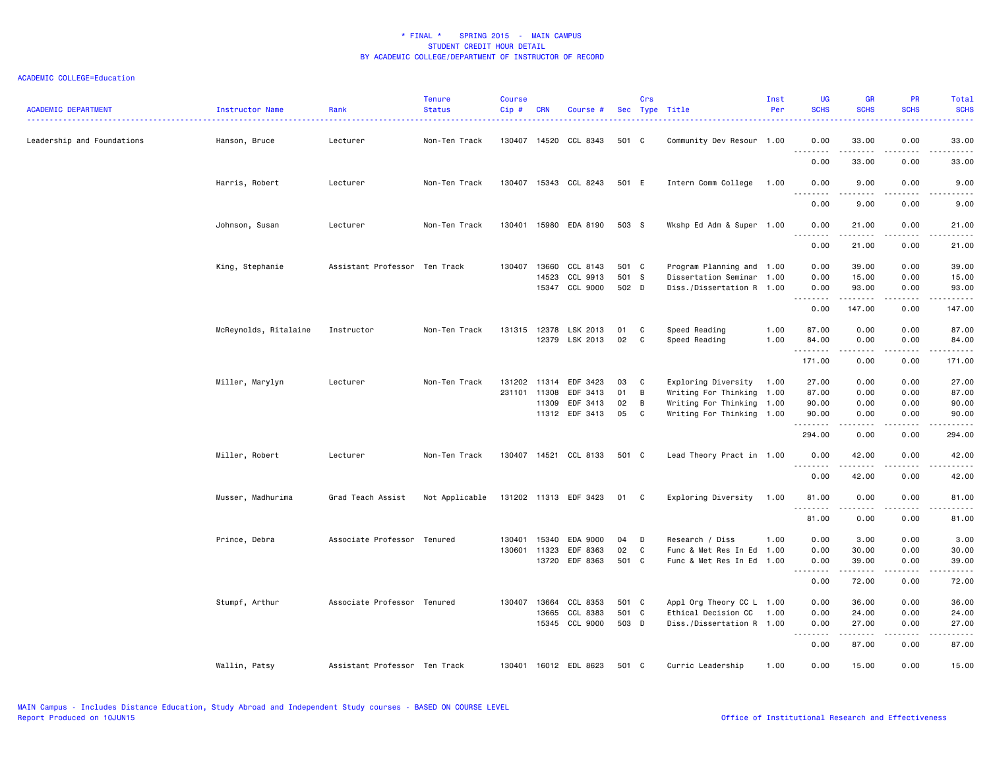| <b>ACADEMIC DEPARTMENT</b> | Instructor Name       | Rank                          | <b>Tenure</b><br><b>Status</b> | <b>Course</b><br>Cip# | <b>CRN</b> | Course #              |       | Crs | Sec Type Title            | Inst<br>Per | <b>UG</b><br><b>SCHS</b>                                                                                                                                                     | <b>GR</b><br><b>SCHS</b>                                                                                                                                     | <b>PR</b><br><b>SCHS</b> | Total<br><b>SCHS</b><br><b></b>                                                                                                                              |
|----------------------------|-----------------------|-------------------------------|--------------------------------|-----------------------|------------|-----------------------|-------|-----|---------------------------|-------------|------------------------------------------------------------------------------------------------------------------------------------------------------------------------------|--------------------------------------------------------------------------------------------------------------------------------------------------------------|--------------------------|--------------------------------------------------------------------------------------------------------------------------------------------------------------|
| Leadership and Foundations | Hanson, Bruce         | Lecturer                      | Non-Ten Track                  | 130407                |            | 14520 CCL 8343        | 501 C |     | Community Dev Resour 1.00 |             | 0.00<br><u>.</u>                                                                                                                                                             | 33.00<br>.                                                                                                                                                   | 0.00<br>.                | 33.00<br>$- - - - -$                                                                                                                                         |
|                            |                       |                               |                                |                       |            |                       |       |     |                           |             | 0.00                                                                                                                                                                         | 33.00                                                                                                                                                        | 0.00                     | 33.00                                                                                                                                                        |
|                            | Harris, Robert        | Lecturer                      | Non-Ten Track                  | 130407                |            | 15343 CCL 8243        | 501 E |     | Intern Comm College       | 1.00        | 0.00<br>$\sim$ $\sim$ $\sim$<br>.                                                                                                                                            | 9.00                                                                                                                                                         | 0.00                     | 9.00<br>$\frac{1}{2} \left( \frac{1}{2} \right) \left( \frac{1}{2} \right) \left( \frac{1}{2} \right) \left( \frac{1}{2} \right) \left( \frac{1}{2} \right)$ |
|                            |                       |                               |                                |                       |            |                       |       |     |                           |             | 0.00                                                                                                                                                                         | 9.00                                                                                                                                                         | 0.00                     | 9.00                                                                                                                                                         |
|                            | Johnson, Susan        | Lecturer                      | Non-Ten Track                  | 130401                |            | 15980 EDA 8190        | 503 S |     | Wkshp Ed Adm & Super 1.00 |             | 0.00<br>$\sim$ $\sim$ $\sim$<br>.                                                                                                                                            | 21.00<br>$\frac{1}{2}$                                                                                                                                       | 0.00<br>$- - - -$        | 21.00<br>$\frac{1}{2}$                                                                                                                                       |
|                            |                       |                               |                                |                       |            |                       |       |     |                           |             | 0.00                                                                                                                                                                         | 21.00                                                                                                                                                        | 0.00                     | 21.00                                                                                                                                                        |
|                            | King, Stephanie       | Assistant Professor Ten Track |                                | 130407                | 13660      | CCL 8143              | 501 C |     | Program Planning and 1.00 |             | 0.00                                                                                                                                                                         | 39.00                                                                                                                                                        | 0.00                     | 39.00                                                                                                                                                        |
|                            |                       |                               |                                |                       | 14523      | CCL 9913              | 501 S |     | Dissertation Seminar 1.00 |             | 0.00                                                                                                                                                                         | 15.00                                                                                                                                                        | 0.00                     | 15.00                                                                                                                                                        |
|                            |                       |                               |                                |                       | 15347      | CCL 9000              | 502 D |     | Diss./Dissertation R 1.00 |             | 0.00<br>.                                                                                                                                                                    | 93.00<br>--------                                                                                                                                            | 0.00<br>-----            | 93.00<br>.                                                                                                                                                   |
|                            |                       |                               |                                |                       |            |                       |       |     |                           |             | 0.00                                                                                                                                                                         | 147.00                                                                                                                                                       | 0.00                     | 147.00                                                                                                                                                       |
|                            | McReynolds, Ritalaine | Instructor                    | Non-Ten Track                  | 131315                | 12378      | LSK 2013              | 01    | C   | Speed Reading             | 1.00        | 87.00                                                                                                                                                                        | 0.00                                                                                                                                                         | 0.00                     | 87.00                                                                                                                                                        |
|                            |                       |                               |                                |                       |            | 12379 LSK 2013        | 02    | C   | Speed Reading             | 1.00        | 84.00<br>.                                                                                                                                                                   | 0.00<br>$\frac{1}{2} \left( \frac{1}{2} \right) \left( \frac{1}{2} \right) \left( \frac{1}{2} \right) \left( \frac{1}{2} \right) \left( \frac{1}{2} \right)$ | 0.00<br>د د د د          | 84.00<br>.                                                                                                                                                   |
|                            |                       |                               |                                |                       |            |                       |       |     |                           |             | 171.00                                                                                                                                                                       | 0.00                                                                                                                                                         | 0.00                     | 171.00                                                                                                                                                       |
|                            | Miller, Marylyn       | Lecturer                      | Non-Ten Track                  | 131202                |            | 11314 EDF 3423        | 03    | C   | Exploring Diversity 1.00  |             | 27.00                                                                                                                                                                        | 0.00                                                                                                                                                         | 0.00                     | 27.00                                                                                                                                                        |
|                            |                       |                               |                                | 231101                | 11308      | EDF 3413              | 01    | B   | Writing For Thinking 1.00 |             | 87.00                                                                                                                                                                        | 0.00                                                                                                                                                         | 0.00                     | 87.00                                                                                                                                                        |
|                            |                       |                               |                                |                       | 11309      | EDF 3413              | 02    | B   | Writing For Thinking 1.00 |             | 90.00                                                                                                                                                                        | 0.00                                                                                                                                                         | 0.00                     | 90.00                                                                                                                                                        |
|                            |                       |                               |                                |                       |            | 11312 EDF 3413        | 05    | C   | Writing For Thinking 1.00 |             | 90.00<br>.                                                                                                                                                                   | 0.00<br>$\frac{1}{2} \left( \frac{1}{2} \right) \left( \frac{1}{2} \right) \left( \frac{1}{2} \right) \left( \frac{1}{2} \right) \left( \frac{1}{2} \right)$ | 0.00<br>الأعامات         | 90.00<br>.                                                                                                                                                   |
|                            |                       |                               |                                |                       |            |                       |       |     |                           |             | 294.00                                                                                                                                                                       | 0.00                                                                                                                                                         | 0.00                     | 294.00                                                                                                                                                       |
|                            | Miller, Robert        | Lecturer                      | Non-Ten Track                  | 130407                |            | 14521 CCL 8133        | 501 C |     | Lead Theory Pract in 1.00 |             | 0.00<br>.                                                                                                                                                                    | 42.00                                                                                                                                                        | 0.00                     | 42.00<br>د د د د د                                                                                                                                           |
|                            |                       |                               |                                |                       |            |                       |       |     |                           |             | 0.00                                                                                                                                                                         | 42.00                                                                                                                                                        | 0.00                     | 42.00                                                                                                                                                        |
|                            | Musser, Madhurima     | Grad Teach Assist             | Not Applicable                 |                       |            | 131202 11313 EDF 3423 | 01 C  |     | Exploring Diversity       | 1.00        | 81.00<br><u>.</u>                                                                                                                                                            | 0.00<br>.                                                                                                                                                    | 0.00<br>.                | 81.00<br>.                                                                                                                                                   |
|                            |                       |                               |                                |                       |            |                       |       |     |                           |             | 81.00                                                                                                                                                                        | 0.00                                                                                                                                                         | 0.00                     | 81.00                                                                                                                                                        |
|                            | Prince, Debra         | Associate Professor Tenured   |                                | 130401                | 15340      | EDA 9000              | 04    | D   | Research / Diss           | 1.00        | 0.00                                                                                                                                                                         | 3.00                                                                                                                                                         | 0.00                     | 3.00                                                                                                                                                         |
|                            |                       |                               |                                | 130601                | 11323      | EDF 8363              | 02    | C   | Func & Met Res In Ed 1.00 |             | 0.00                                                                                                                                                                         | 30.00                                                                                                                                                        | 0.00                     | 30.00                                                                                                                                                        |
|                            |                       |                               |                                |                       |            | 13720 EDF 8363        | 501 C |     | Func & Met Res In Ed 1.00 |             | 0.00                                                                                                                                                                         | 39.00                                                                                                                                                        | 0.00                     | 39.00                                                                                                                                                        |
|                            |                       |                               |                                |                       |            |                       |       |     |                           |             | $\frac{1}{2} \left( \frac{1}{2} \right) \left( \frac{1}{2} \right) \left( \frac{1}{2} \right) \left( \frac{1}{2} \right) \left( \frac{1}{2} \right)$<br>$\sim$ $\sim$ $\sim$ | .                                                                                                                                                            | .                        | .                                                                                                                                                            |
|                            |                       |                               |                                |                       |            |                       |       |     |                           |             | 0.00                                                                                                                                                                         | 72.00                                                                                                                                                        | 0.00                     | 72.00                                                                                                                                                        |
|                            | Stumpf, Arthur        | Associate Professor Tenured   |                                | 130407                | 13664      | CCL 8353              | 501 C |     | Appl Org Theory CC L 1.00 |             | 0.00                                                                                                                                                                         | 36.00                                                                                                                                                        | 0.00                     | 36.00                                                                                                                                                        |
|                            |                       |                               |                                |                       | 13665      | CCL 8383              | 501 C |     | Ethical Decision CC       | 1.00        | 0.00                                                                                                                                                                         | 24.00                                                                                                                                                        | 0.00                     | 24.00                                                                                                                                                        |
|                            |                       |                               |                                |                       |            | 15345 CCL 9000        | 503 D |     | Diss./Dissertation R 1.00 |             | 0.00<br>.                                                                                                                                                                    | 27.00<br>.                                                                                                                                                   | 0.00<br>د د د د          | 27.00<br>$-$ - - - - - $-$                                                                                                                                   |
|                            |                       |                               |                                |                       |            |                       |       |     |                           |             | 0.00                                                                                                                                                                         | 87.00                                                                                                                                                        | 0.00                     | 87.00                                                                                                                                                        |
|                            | Wallin, Patsy         | Assistant Professor Ten Track |                                |                       |            | 130401 16012 EDL 8623 | 501 C |     | Curric Leadership         | 1.00        | 0.00                                                                                                                                                                         | 15.00                                                                                                                                                        | 0.00                     | 15.00                                                                                                                                                        |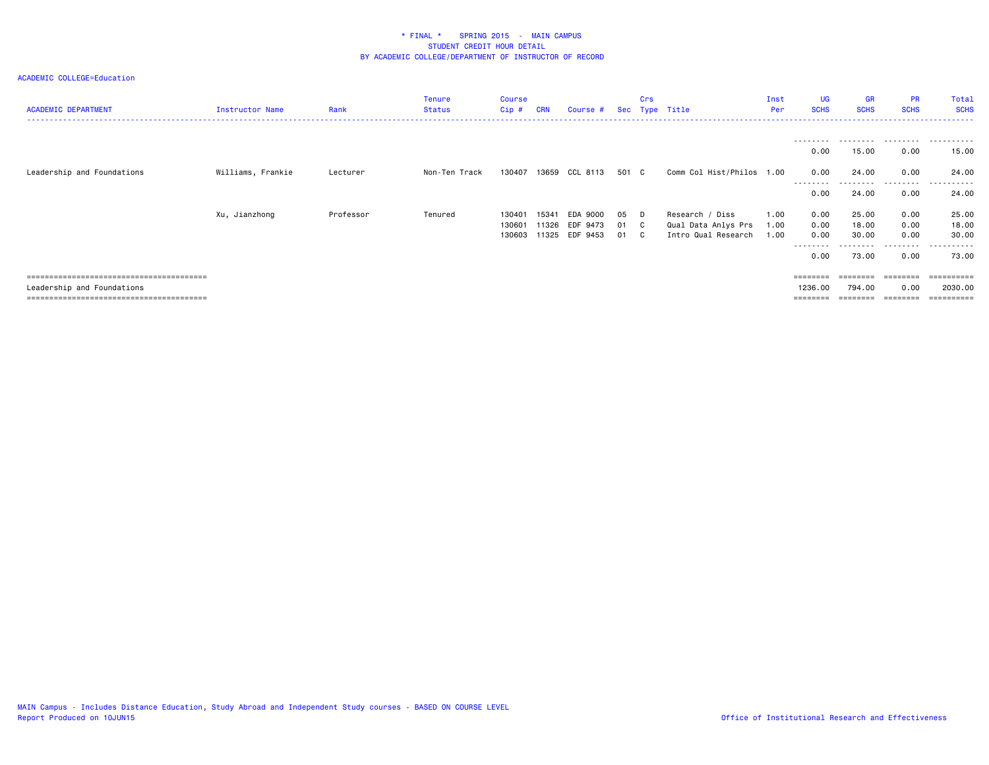| <b>ACADEMIC DEPARTMENT</b> | Instructor Name   | Rank      | <b>Tenure</b><br>Status | <b>Course</b><br>$Cip$ # | <b>CRN</b>     | Course #             |              | Crs | Sec Type Title                             | Inst<br>Per  | UG<br><b>SCHS</b>   | GR<br><b>SCHS</b>  | <b>PR</b><br><b>SCHS</b> | Total<br><b>SCHS</b>  |
|----------------------------|-------------------|-----------|-------------------------|--------------------------|----------------|----------------------|--------------|-----|--------------------------------------------|--------------|---------------------|--------------------|--------------------------|-----------------------|
|                            |                   |           |                         |                          |                |                      |              |     |                                            |              | ---------<br>0.00   | .<br>15.00         | .<br>0.00                | .<br>15.00            |
| Leadership and Foundations | Williams, Frankie | Lecturer  | Non-Ten Track           | 130407                   | 13659          | CCL 8113             | 501 C        |     | Comm Col Hist/Philos 1.00                  |              | 0.00<br>---------   | 24.00<br>--------- | 0.00<br>---------        | 24.00<br>------       |
|                            |                   |           |                         |                          |                |                      |              |     |                                            |              | 0.00                | 24.00              | 0.00                     | 24.00                 |
|                            | Xu, Jianzhong     | Professor | Tenured                 | 130401                   | 15341          | EDA 9000             | 05 D         |     | Research / Diss                            | 1.00         | 0.00                | 25.00              | 0.00                     | 25.00                 |
|                            |                   |           |                         | 130601<br>130603         | 11326<br>11325 | EDF 9473<br>EDF 9453 | 01 C<br>01 C |     | Qual Data Anlys Prs<br>Intro Qual Research | 1.00<br>1.00 | 0.00<br>0.00        | 18.00<br>30.00     | 0.00<br>0.00             | 18.00<br>30.00        |
|                            |                   |           |                         |                          |                |                      |              |     |                                            |              | --------<br>0.00    | 73.00              | ---------<br>0.00        | ------<br>73.00       |
|                            |                   |           |                         |                          |                |                      |              |     |                                            |              | ========            |                    |                          | ==========            |
| Leadership and Foundations |                   |           |                         |                          |                |                      |              |     |                                            |              | 1236.00<br>======== | 794.00<br>======== | 0.00<br>========         | 2030.00<br>========== |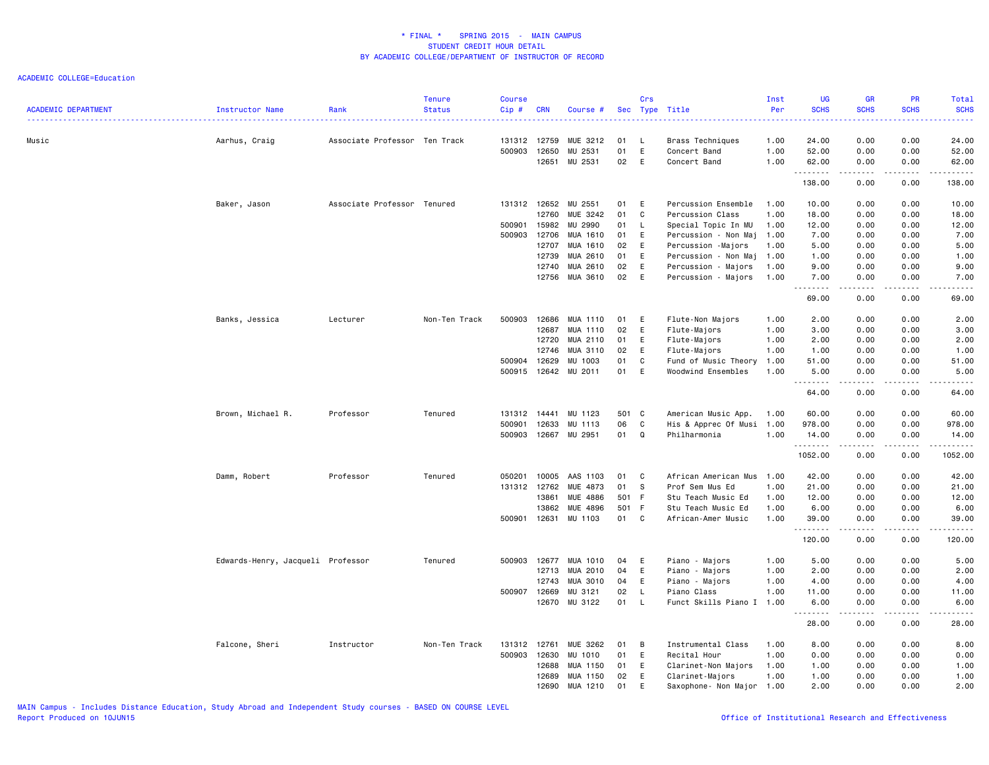| <b>ACADEMIC DEPARTMENT</b> | Instructor Name                   | Rank                          | <b>Tenure</b><br><b>Status</b> | <b>Course</b><br>Cip#  | <b>CRN</b>     | Course #             |          | Crs          | Sec Type Title                              | Inst<br>Per<br>. | <b>UG</b><br><b>SCHS</b><br>. | <b>GR</b><br><b>SCHS</b> | <b>PR</b><br><b>SCHS</b> | Total<br><b>SCHS</b><br>. |
|----------------------------|-----------------------------------|-------------------------------|--------------------------------|------------------------|----------------|----------------------|----------|--------------|---------------------------------------------|------------------|-------------------------------|--------------------------|--------------------------|---------------------------|
| Music                      | Aarhus, Craig                     | Associate Professor Ten Track |                                | 131312 12759<br>500903 | 12650          | MUE 3212<br>MU 2531  | 01<br>01 | -L.<br>E     | Brass Techniques<br>Concert Band            | 1.00<br>1.00     | 24.00<br>52.00                | 0.00<br>0.00             | 0.00<br>0.00             | 24,00<br>52.00            |
|                            |                                   |                               |                                |                        | 12651          | MU 2531              | 02       | E            | Concert Band                                | 1.00             | 62.00<br>.                    | 0.00<br>.                | 0.00<br>.                | 62.00<br>.                |
|                            |                                   |                               |                                |                        |                |                      |          |              |                                             |                  | 138.00                        | 0.00                     | 0.00                     | 138.00                    |
|                            | Baker, Jason                      | Associate Professor Tenured   |                                | 131312 12652           |                | MU 2551              | 01       | E            | Percussion Ensemble                         | 1.00             | 10.00                         | 0.00                     | 0.00                     | 10.00                     |
|                            |                                   |                               |                                |                        | 12760          | MUE 3242             | 01       | C            | Percussion Class                            | 1.00             | 18.00                         | 0.00                     | 0.00                     | 18.00                     |
|                            |                                   |                               |                                | 500901                 | 15982          | MU 2990              | 01       | $\mathsf{L}$ | Special Topic In MU                         | 1.00             | 12.00                         | 0.00                     | 0.00                     | 12.00                     |
|                            |                                   |                               |                                | 500903                 | 12706          | MUA 1610             | 01       | E            | Percussion - Non Maj                        | 1.00             | 7.00                          | 0.00                     | 0.00                     | 7.00                      |
|                            |                                   |                               |                                |                        | 12707          | MUA 1610             | 02       | E            | Percussion -Majors                          | 1.00             | 5.00                          | 0.00                     | 0.00                     | 5.00                      |
|                            |                                   |                               |                                |                        | 12739<br>12740 | MUA 2610<br>MUA 2610 | 01<br>02 | E<br>E       | Percussion - Non Maj<br>Percussion - Majors | 1.00<br>1.00     | 1.00<br>9.00                  | 0.00<br>0.00             | 0.00<br>0.00             | 1.00<br>9.00              |
|                            |                                   |                               |                                |                        | 12756          | MUA 3610             | 02       | E            | Percussion - Majors                         | 1.00             | 7.00                          | 0.00                     | 0.00                     | 7.00                      |
|                            |                                   |                               |                                |                        |                |                      |          |              |                                             |                  | -----                         | .                        | .                        | .                         |
|                            |                                   |                               |                                |                        |                |                      |          |              |                                             |                  | 69.00                         | 0.00                     | 0.00                     | 69.00                     |
|                            | Banks, Jessica                    | Lecturer                      | Non-Ten Track                  | 500903                 | 12686          | MUA 1110             | 01       | E            | Flute-Non Majors                            | 1.00             | 2.00                          | 0.00                     | 0.00                     | 2.00                      |
|                            |                                   |                               |                                |                        | 12687          | MUA 1110             | 02       | E            | Flute-Majors                                | 1.00             | 3.00                          | 0.00                     | 0.00                     | 3.00                      |
|                            |                                   |                               |                                |                        | 12720          | MUA 2110             | 01       | E            | Flute-Majors                                | 1.00             | 2.00                          | 0.00                     | 0.00                     | 2.00                      |
|                            |                                   |                               |                                |                        | 12746          | MUA 3110             | 02       | E            | Flute-Majors                                | 1.00             | 1.00                          | 0.00                     | 0.00                     | 1.00                      |
|                            |                                   |                               |                                | 500904                 | 12629          | MU 1003              | 01       | C            | Fund of Music Theory                        | 1.00             | 51.00                         | 0.00                     | 0.00                     | 51.00                     |
|                            |                                   |                               |                                | 500915                 | 12642          | MU 2011              | 01       | E            | Woodwind Ensembles                          | 1.00             | 5.00<br>$\frac{1}{2}$         | 0.00<br>$- - - -$        | 0.00<br>.                | 5.00<br>$- - - - -$       |
|                            |                                   |                               |                                |                        |                |                      |          |              |                                             |                  | 64.00                         | 0.00                     | 0.00                     | 64.00                     |
|                            | Brown, Michael R.                 | Professor                     | Tenured                        | 131312                 | 14441          | MU 1123              | 501 C    |              | American Music App.                         | 1.00             | 60.00                         | 0.00                     | 0.00                     | 60.00                     |
|                            |                                   |                               |                                | 500901                 | 12633          | MU 1113              | 06       | C            | His & Apprec Of Musi 1.00                   |                  | 978.00                        | 0.00                     | 0.00                     | 978.00                    |
|                            |                                   |                               |                                | 500903                 | 12667          | MU 2951              | 01       | Q            | Philharmonia                                | 1.00             | 14.00                         | 0.00                     | 0.00                     | 14.00                     |
|                            |                                   |                               |                                |                        |                |                      |          |              |                                             |                  | .<br>1052.00                  | -----<br>0.00            | .<br>0.00                | ------<br>1052.00         |
|                            | Damm, Robert                      | Professor                     | Tenured                        | 050201                 | 10005          | AAS 1103             | 01       | C            | African American Mus 1.00                   |                  | 42.00                         | 0.00                     | 0.00                     | 42.00                     |
|                            |                                   |                               |                                | 131312                 | 12762          | MUE 4873             | 01       | <b>S</b>     | Prof Sem Mus Ed                             | 1.00             | 21.00                         | 0.00                     | 0.00                     | 21.00                     |
|                            |                                   |                               |                                |                        | 13861          | MUE 4886             | 501 F    |              | Stu Teach Music Ed                          | 1.00             | 12.00                         | 0.00                     | 0.00                     | 12.00                     |
|                            |                                   |                               |                                |                        | 13862          | MUE 4896             | 501 F    |              | Stu Teach Music Ed                          | 1.00             | 6.00                          | 0.00                     | 0.00                     | 6.00                      |
|                            |                                   |                               |                                | 500901                 | 12631          | MU 1103              | 01       | $\mathbf{C}$ | African-Amer Music                          | 1.00             | 39.00                         | 0.00                     | 0.00                     | 39.00                     |
|                            |                                   |                               |                                |                        |                |                      |          |              |                                             |                  | <u>.</u><br>120.00            | .<br>0.00                | .<br>0.00                | .<br>120.00               |
|                            | Edwards-Henry, Jacqueli Professor |                               | Tenured                        | 500903                 | 12677          | MUA 1010             | 04       | E            | Piano - Majors                              | 1.00             | 5.00                          | 0.00                     | 0.00                     | 5.00                      |
|                            |                                   |                               |                                |                        | 12713          | MUA 2010             | 04       | E            | Piano - Majors                              | 1.00             | 2.00                          | 0.00                     | 0.00                     | 2.00                      |
|                            |                                   |                               |                                |                        | 12743          | MUA 3010             | 04       | E            | Piano - Majors                              | 1.00             | 4.00                          | 0.00                     | 0.00                     | 4.00                      |
|                            |                                   |                               |                                | 500907                 | 12669          | MU 3121              | 02       | L.           | Piano Class                                 | 1.00             | 11.00                         | 0.00                     | 0.00                     | 11.00                     |
|                            |                                   |                               |                                |                        |                | 12670 MU 3122        | 01       | $\mathsf{L}$ | Funct Skills Piano I 1.00                   |                  | 6.00                          | 0.00                     | 0.00                     | 6.00                      |
|                            |                                   |                               |                                |                        |                |                      |          |              |                                             |                  | .<br>28.00                    | .<br>0.00                | .<br>0.00                | .<br>28.00                |
|                            | Falcone, Sheri                    | Instructor                    | Non-Ten Track                  | 131312                 | 12761          | MUE 3262             | 01       | B            | Instrumental Class                          | 1.00             | 8.00                          | 0.00                     | 0.00                     | 8.00                      |
|                            |                                   |                               |                                | 500903                 | 12630          | MU 1010              | 01       | E            | Recital Hour                                | 1.00             | 0.00                          | 0.00                     | 0.00                     | 0.00                      |
|                            |                                   |                               |                                |                        | 12688          | MUA 1150             | 01       | E            | Clarinet-Non Majors                         | 1.00             | 1.00                          | 0.00                     | 0.00                     | 1.00                      |
|                            |                                   |                               |                                |                        | 12689          | MUA 1150             | 02       | E            | Clarinet-Majors                             | 1.00             | 1.00                          | 0.00                     | 0.00                     | 1.00                      |
|                            |                                   |                               |                                |                        | 12690          | MUA 1210             | 01       | Ε            | Saxophone- Non Major 1.00                   |                  | 2.00                          | 0.00                     | 0.00                     | 2.00                      |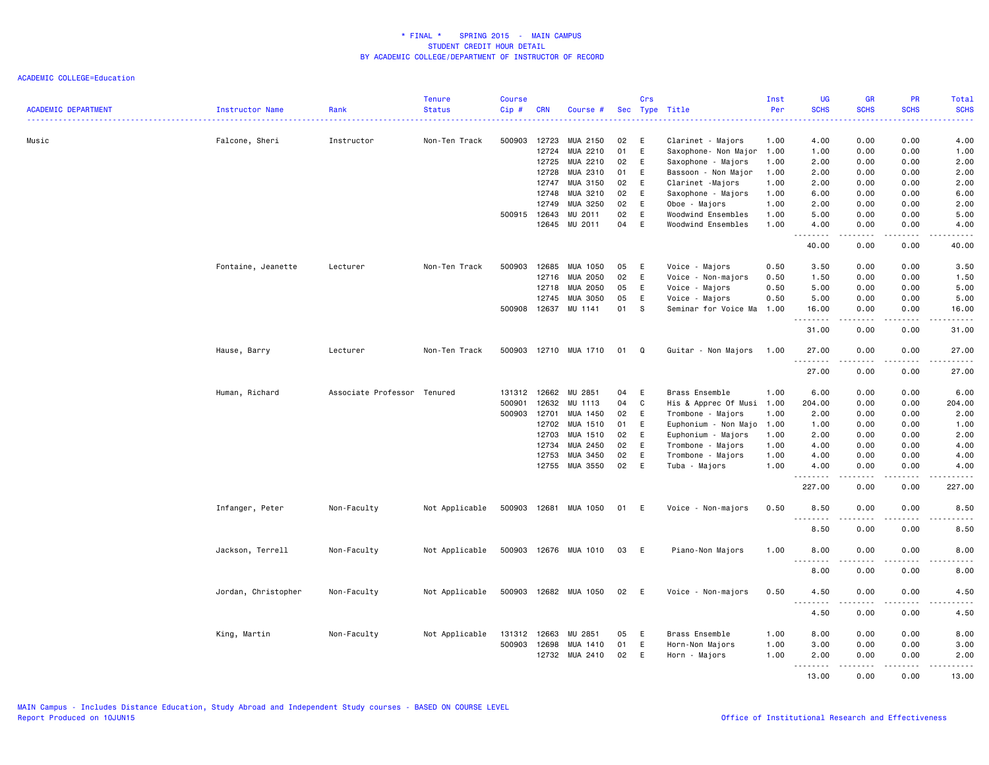| <b>ACADEMIC DEPARTMENT</b> | Instructor Name     | Rank                        | <b>Tenure</b><br><b>Status</b> | <b>Course</b><br>Cip# | <b>CRN</b> | Course #              |    | Crs          | Sec Type Title            | Inst<br>Per | <b>UG</b><br><b>SCHS</b>          | <b>GR</b><br><b>SCHS</b> | PR<br><b>SCHS</b> | Total<br><b>SCHS</b>                                                                                                                                         |
|----------------------------|---------------------|-----------------------------|--------------------------------|-----------------------|------------|-----------------------|----|--------------|---------------------------|-------------|-----------------------------------|--------------------------|-------------------|--------------------------------------------------------------------------------------------------------------------------------------------------------------|
| Music                      | Falcone, Sheri      | Instructor                  | Non-Ten Track                  | 500903                | 12723      | MUA 2150              | 02 | E            | Clarinet - Majors         | 1.00        | 4.00                              | 0.00                     | 0.00              | 4.00                                                                                                                                                         |
|                            |                     |                             |                                |                       | 12724      | MUA 2210              | 01 | $\mathsf E$  | Saxophone- Non Major 1.00 |             | 1.00                              | 0.00                     | 0.00              | 1.00                                                                                                                                                         |
|                            |                     |                             |                                |                       | 12725      | MUA 2210              | 02 | E            | Saxophone - Majors        | 1.00        | 2.00                              | 0.00                     | 0.00              | 2.00                                                                                                                                                         |
|                            |                     |                             |                                |                       | 12728      | MUA 2310              | 01 | E            | Bassoon - Non Major       | 1.00        | 2.00                              | 0.00                     | 0.00              | 2.00                                                                                                                                                         |
|                            |                     |                             |                                |                       | 12747      | MUA 3150              | 02 | $\mathsf E$  | Clarinet -Majors          | 1.00        | 2.00                              | 0.00                     | 0.00              | 2.00                                                                                                                                                         |
|                            |                     |                             |                                |                       | 12748      | MUA 3210              | 02 | E            | Saxophone - Majors        | 1.00        | 6.00                              | 0.00                     | 0.00              | 6.00                                                                                                                                                         |
|                            |                     |                             |                                |                       | 12749      | MUA 3250              | 02 | E            | Oboe - Majors             | 1.00        | 2.00                              | 0.00                     | 0.00              | 2.00                                                                                                                                                         |
|                            |                     |                             |                                | 500915 12643          |            | MU 2011               | 02 | E            | Woodwind Ensembles        | 1.00        | 5.00                              | 0.00                     | 0.00              | 5.00                                                                                                                                                         |
|                            |                     |                             |                                |                       | 12645      | MU 2011               | 04 | E            | Woodwind Ensembles        | 1.00        | 4.00                              | 0.00<br>المستمال         | 0.00<br>.         | 4.00<br>.                                                                                                                                                    |
|                            |                     |                             |                                |                       |            |                       |    |              |                           |             | 40.00                             | 0.00                     | 0.00              | 40.00                                                                                                                                                        |
|                            | Fontaine, Jeanette  | Lecturer                    | Non-Ten Track                  | 500903                | 12685      | MUA 1050              | 05 | E            | Voice - Majors            | 0.50        | 3.50                              | 0.00                     | 0.00              | 3.50                                                                                                                                                         |
|                            |                     |                             |                                |                       |            | 12716 MUA 2050        | 02 | E            | Voice - Non-majors        | 0.50        | 1.50                              | 0.00                     | 0.00              | 1.50                                                                                                                                                         |
|                            |                     |                             |                                |                       | 12718      | MUA 2050              | 05 | E            | Voice - Majors            | 0.50        | 5.00                              | 0.00                     | 0.00              | 5.00                                                                                                                                                         |
|                            |                     |                             |                                |                       | 12745      | MUA 3050              | 05 | E            | Voice - Majors            | 0.50        | 5.00                              | 0.00                     | 0.00              | 5.00                                                                                                                                                         |
|                            |                     |                             |                                | 500908                | 12637      | MU 1141               | 01 | S            | Seminar for Voice Ma 1.00 |             | 16.00<br>.                        | 0.00<br>.                | 0.00<br>.         | 16.00<br>$    -$                                                                                                                                             |
|                            |                     |                             |                                |                       |            |                       |    |              |                           |             | 31.00                             | 0.00                     | 0.00              | 31.00                                                                                                                                                        |
|                            | Hause, Barry        | Lecturer                    | Non-Ten Track                  | 500903                |            | 12710 MUA 1710        | 01 | Q            | Guitar - Non Majors       | 1.00        | 27.00<br>.                        | 0.00                     | 0.00              | 27.00                                                                                                                                                        |
|                            |                     |                             |                                |                       |            |                       |    |              |                           |             | 27.00                             | 0.00                     | 0.00              | 27.00                                                                                                                                                        |
|                            | Human, Richard      | Associate Professor Tenured |                                | 131312                | 12662      | MU 2851               | 04 | E            | Brass Ensemble            | 1.00        | 6.00                              | 0.00                     | 0.00              | 6.00                                                                                                                                                         |
|                            |                     |                             |                                | 500901                | 12632      | MU 1113               | 04 | $\mathtt{C}$ | His & Apprec Of Musi      | 1.00        | 204.00                            | 0.00                     | 0.00              | 204.00                                                                                                                                                       |
|                            |                     |                             |                                | 500903                | 12701      | MUA 1450              | 02 | E            | Trombone - Majors         | 1.00        | 2.00                              | 0.00                     | 0.00              | 2.00                                                                                                                                                         |
|                            |                     |                             |                                |                       | 12702      | MUA 1510              | 01 | E            | Euphonium - Non Majo      | 1.00        | 1.00                              | 0.00                     | 0.00              | 1.00                                                                                                                                                         |
|                            |                     |                             |                                |                       | 12703      | MUA 1510              | 02 | E            | Euphonium - Majors        | 1.00        | 2.00                              | 0.00                     | 0.00              | 2.00                                                                                                                                                         |
|                            |                     |                             |                                |                       | 12734      | MUA 2450              | 02 | E            | Trombone - Majors         | 1.00        | 4.00                              | 0.00                     | 0.00              | 4.00                                                                                                                                                         |
|                            |                     |                             |                                |                       | 12753      | MUA 3450              | 02 | E            | Trombone - Majors         | 1.00        | 4.00                              | 0.00                     | 0.00              | 4.00                                                                                                                                                         |
|                            |                     |                             |                                |                       | 12755      | MUA 3550              | 02 | E            | Tuba - Majors             | 1.00        | 4.00<br>.                         | 0.00<br>.                | 0.00<br>.         | 4.00<br>.                                                                                                                                                    |
|                            |                     |                             |                                |                       |            |                       |    |              |                           |             | 227.00                            | 0.00                     | 0.00              | 227.00                                                                                                                                                       |
|                            | Infanger, Peter     | Non-Faculty                 | Not Applicable                 | 500903                |            | 12681 MUA 1050        | 01 | E            | Voice - Non-majors        | 0.50        | 8.50<br>.                         | 0.00<br>-----            | 0.00              | 8.50<br>$\frac{1}{2} \left( \frac{1}{2} \right) \left( \frac{1}{2} \right) \left( \frac{1}{2} \right) \left( \frac{1}{2} \right) \left( \frac{1}{2} \right)$ |
|                            |                     |                             |                                |                       |            |                       |    |              |                           |             | 8.50                              | 0.00                     | 0.00              | 8.50                                                                                                                                                         |
|                            | Jackson, Terrell    | Non-Faculty                 | Not Applicable                 |                       |            | 500903 12676 MUA 1010 | 03 | E            | Piano-Non Majors          | 1.00        | 8.00                              | 0.00                     | 0.00              | 8.00                                                                                                                                                         |
|                            |                     |                             |                                |                       |            |                       |    |              |                           |             | .<br>$\sim$ $\sim$ $\sim$<br>8.00 | .<br>0.00                | .<br>0.00         | $\frac{1}{2}$<br>8.00                                                                                                                                        |
|                            | Jordan, Christopher | Non-Faculty                 | Not Applicable                 | 500903                |            | 12682 MUA 1050        | 02 | E            | Voice - Non-majors        | 0.50        | 4.50                              | 0.00                     | 0.00              | 4.50                                                                                                                                                         |
|                            |                     |                             |                                |                       |            |                       |    |              |                           |             | المتمامين<br>4.50                 | 0.00                     | 0.00              | 4.50                                                                                                                                                         |
|                            | King, Martin        | Non-Faculty                 | Not Applicable                 | 131312 12663          |            | MU 2851               | 05 | E            | Brass Ensemble            | 1.00        | 8.00                              | 0.00                     | 0.00              | 8.00                                                                                                                                                         |
|                            |                     |                             |                                | 500903                | 12698      | MUA 1410              | 01 | E            | Horn-Non Majors           | 1.00        | 3.00                              | 0.00                     | 0.00              | 3.00                                                                                                                                                         |
|                            |                     |                             |                                |                       | 12732      | MUA 2410              | 02 | E            | Horn - Majors             | 1.00        | 2.00                              | 0.00                     | 0.00              | 2.00                                                                                                                                                         |
|                            |                     |                             |                                |                       |            |                       |    |              |                           |             | $- - - - -$                       |                          |                   |                                                                                                                                                              |
|                            |                     |                             |                                |                       |            |                       |    |              |                           |             | 13.00                             | 0.00                     | 0.00              | 13.00                                                                                                                                                        |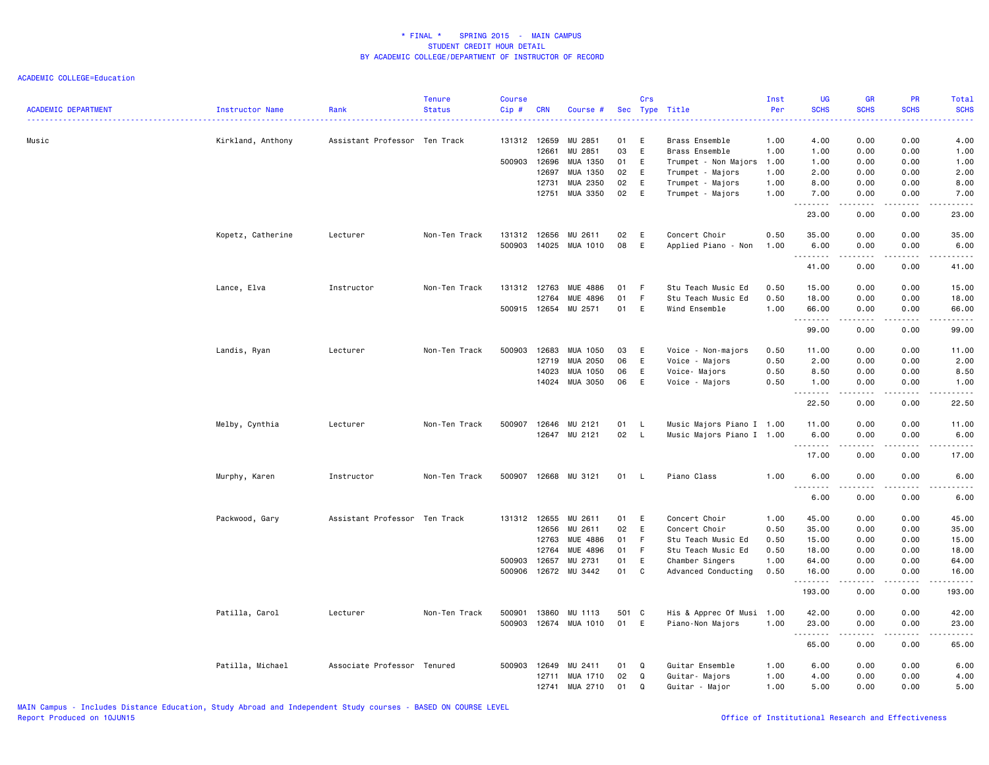| <b>ACADEMIC DEPARTMENT</b> | Instructor Name   | Rank                          | <b>Tenure</b><br><b>Status</b> | <b>Course</b><br>Cip#  | <b>CRN</b>                       | Course #                                          |                      | Crs                         | Sec Type Title                                                               | Inst<br>Per                  | <b>UG</b><br><b>SCHS</b>         | <b>GR</b><br><b>SCHS</b>      | <b>PR</b><br><b>SCHS</b>     | Total<br><b>SCHS</b>             |
|----------------------------|-------------------|-------------------------------|--------------------------------|------------------------|----------------------------------|---------------------------------------------------|----------------------|-----------------------------|------------------------------------------------------------------------------|------------------------------|----------------------------------|-------------------------------|------------------------------|----------------------------------|
| Music                      | Kirkland, Anthony | Assistant Professor Ten Track |                                | 131312 12659<br>500903 | 12661<br>12696<br>12697          | MU 2851<br>MU 2851<br>MUA 1350<br>MUA 1350        | 01<br>03<br>01<br>02 | Ε<br>$\mathsf E$<br>E<br>Ε  | Brass Ensemble<br>Brass Ensemble<br>Trumpet - Non Majors<br>Trumpet - Majors | 1.00<br>1.00<br>1.00<br>1.00 | 4.00<br>1.00<br>1.00<br>2.00     | 0.00<br>0.00<br>0.00<br>0.00  | 0.00<br>0.00<br>0.00<br>0.00 | 4.00<br>1.00<br>1.00<br>2.00     |
|                            |                   |                               |                                |                        | 12731<br>12751                   | MUA 2350<br>MUA 3350                              | 02<br>02             | E<br>E                      | Trumpet - Majors<br>Trumpet - Majors                                         | 1.00<br>1.00                 | 8.00<br>7.00<br><b></b><br>23.00 | 0.00<br>0.00<br>.<br>0.00     | 0.00<br>0.00<br>.<br>0.00    | 8.00<br>7.00<br>.<br>23.00       |
|                            | Kopetz, Catherine | Lecturer                      | Non-Ten Track                  | 131312<br>500903       | 12656<br>14025                   | MU 2611<br>MUA 1010                               | 02<br>08             | E<br>E                      | Concert Choir<br>Applied Piano - Non                                         | 0.50<br>1.00                 | 35.00<br>6.00                    | 0.00<br>0.00                  | 0.00<br>0.00                 | 35.00<br>6.00                    |
|                            |                   |                               |                                |                        |                                  |                                                   |                      |                             |                                                                              |                              | .<br>41.00                       | .<br>0.00                     | .<br>0.00                    | .<br>41.00                       |
|                            | Lance, Elva       | Instructor                    | Non-Ten Track                  | 131312<br>500915 12654 | 12763<br>12764                   | <b>MUE 4886</b><br>MUE 4896<br>MU 2571            | 01<br>01<br>01       | -F<br>$\mathsf F$<br>E      | Stu Teach Music Ed<br>Stu Teach Music Ed<br>Wind Ensemble                    | 0.50<br>0.50<br>1.00         | 15.00<br>18.00<br>66.00          | 0.00<br>0.00<br>0.00          | 0.00<br>0.00<br>0.00         | 15.00<br>18.00<br>66.00          |
|                            |                   |                               |                                |                        |                                  |                                                   |                      |                             |                                                                              |                              | <b></b><br>99.00                 | <u>.</u><br>0.00              | .<br>0.00                    | .<br>99.00                       |
|                            | Landis, Ryan      | Lecturer                      | Non-Ten Track                  | 500903                 | 12683<br>12719<br>14023<br>14024 | MUA 1050<br>MUA 2050<br>MUA 1050<br>MUA 3050      | 03<br>06<br>06<br>06 | E<br>E<br>E<br>E            | Voice - Non-majors<br>Voice - Majors<br>Voice- Majors<br>Voice - Majors      | 0.50<br>0.50<br>0.50<br>0.50 | 11.00<br>2.00<br>8.50<br>1.00    | 0.00<br>0.00<br>0.00<br>0.00  | 0.00<br>0.00<br>0.00<br>0.00 | 11.00<br>2.00<br>8.50<br>1.00    |
|                            |                   |                               |                                |                        |                                  |                                                   |                      |                             |                                                                              |                              | .<br>22.50                       | .<br>0.00                     | 0.00                         | د د د د د<br>22.50               |
|                            | Melby, Cynthia    | Lecturer                      | Non-Ten Track                  | 500907                 | 12646<br>12647                   | MU 2121<br>MU 2121                                | 01<br>02             | L.<br><b>L</b>              | Music Majors Piano I 1.00<br>Music Majors Piano I 1.00                       |                              | 11.00<br>6.00<br>.               | 0.00<br>0.00<br>د د د د       | 0.00<br>0.00<br>.            | 11.00<br>6.00<br>.               |
|                            | Murphy, Karen     | Instructor                    | Non-Ten Track                  | 500907                 |                                  | 12668 MU 3121                                     | 01                   | <b>L</b>                    | Piano Class                                                                  | 1.00                         | 17.00<br>6.00<br>.               | 0.00<br>0.00<br>$\frac{1}{2}$ | 0.00<br>0.00<br>.            | 17.00<br>6.00<br>$- - - -$       |
|                            | Packwood, Gary    | Assistant Professor Ten Track |                                | 131312 12655           |                                  | MU 2611                                           | 01                   | E                           | Concert Choir                                                                | 1.00                         | 6.00<br>45.00                    | 0.00<br>0.00                  | 0.00<br>0.00                 | 6.00<br>45.00                    |
|                            |                   |                               |                                | 500903                 | 12656<br>12763<br>12764<br>12657 | MU 2611<br><b>MUE 4886</b><br>MUE 4896<br>MU 2731 | 02<br>01<br>01<br>01 | E<br>$\mathsf F$<br>F.<br>E | Concert Choir<br>Stu Teach Music Ed<br>Stu Teach Music Ed<br>Chamber Singers | 0.50<br>0.50<br>0.50<br>1.00 | 35.00<br>15.00<br>18.00<br>64.00 | 0.00<br>0.00<br>0.00<br>0.00  | 0.00<br>0.00<br>0.00<br>0.00 | 35.00<br>15.00<br>18.00<br>64.00 |
|                            |                   |                               |                                | 500906                 |                                  | 12672 MU 3442                                     | 01                   | C                           | Advanced Conducting                                                          | 0.50                         | 16.00<br>.<br>193.00             | 0.00<br>.<br>0.00             | 0.00<br>.<br>0.00            | 16.00<br>.<br>193.00             |
|                            | Patilla, Carol    | Lecturer                      | Non-Ten Track                  | 500901<br>500903       | 13860<br>12674                   | MU 1113<br>MUA 1010                               | 501 C<br>01          | E                           | His & Apprec Of Musi 1.00<br>Piano-Non Majors                                | 1.00                         | 42.00<br>23.00<br>.              | 0.00<br>0.00<br>$\frac{1}{2}$ | 0.00<br>0.00                 | 42.00<br>23.00<br>.              |
|                            |                   |                               |                                |                        |                                  |                                                   |                      |                             |                                                                              |                              | 65.00                            | 0.00                          | 0.00                         | 65.00                            |
|                            | Patilla, Michael  | Associate Professor Tenured   |                                | 500903                 | 12649<br>12711<br>12741          | MU 2411<br>MUA 1710<br>MUA 2710                   | 01<br>02<br>01       | Q<br>Q<br>Q                 | Guitar Ensemble<br>Guitar- Majors<br>Guitar - Major                          | 1.00<br>1.00<br>1.00         | 6.00<br>4.00<br>5.00             | 0.00<br>0.00<br>0.00          | 0.00<br>0.00<br>0.00         | 6.00<br>4.00<br>5.00             |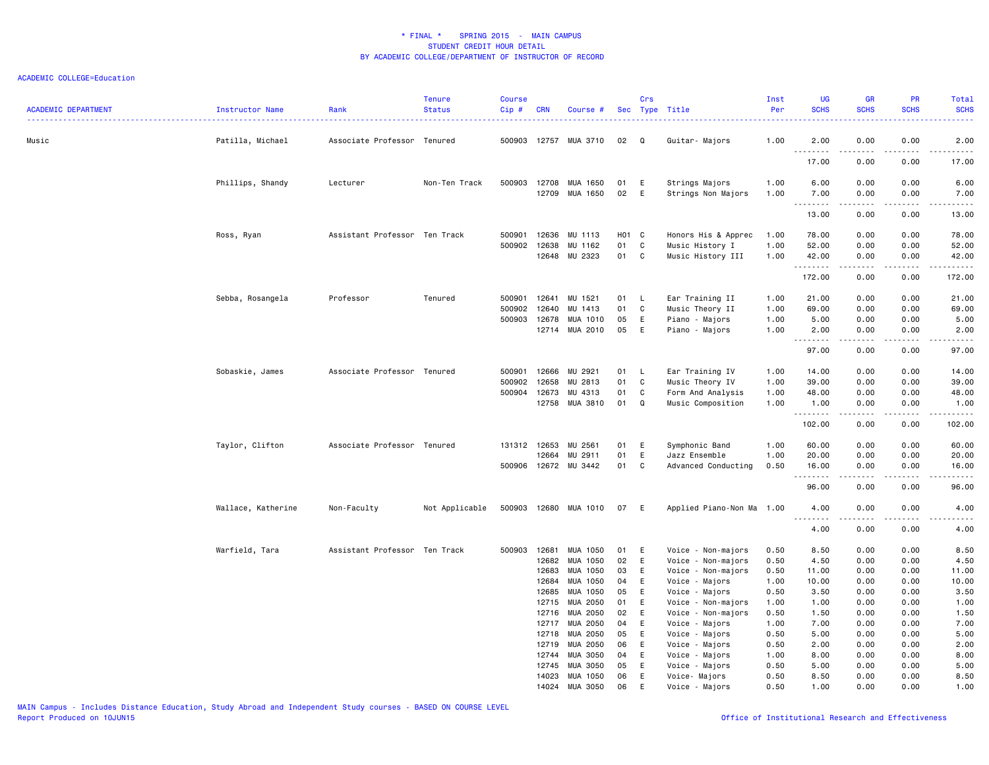| <b>ACADEMIC DEPARTMENT</b> | Instructor Name    | Rank                          | <b>Tenure</b><br><b>Status</b> | <b>Course</b><br>Cip# | <b>CRN</b>     | Course #                   |          | Crs    | Sec Type Title                       | Inst<br>Per  | <b>UG</b><br><b>SCHS</b>                                                                                                                                                             | <b>GR</b><br><b>SCHS</b>                                                                                                                                     | PR<br><b>SCHS</b> | <b>Total</b><br><b>SCHS</b><br>.                                                                                                                                                         |
|----------------------------|--------------------|-------------------------------|--------------------------------|-----------------------|----------------|----------------------------|----------|--------|--------------------------------------|--------------|--------------------------------------------------------------------------------------------------------------------------------------------------------------------------------------|--------------------------------------------------------------------------------------------------------------------------------------------------------------|-------------------|------------------------------------------------------------------------------------------------------------------------------------------------------------------------------------------|
| Music                      | Patilla, Michael   | Associate Professor Tenured   |                                | 500903                |                | 12757 MUA 3710             | 02       | Q      | Guitar- Majors                       | 1.00         | 2.00<br>$\sim$ $\sim$ $\sim$<br>$\frac{1}{2} \left( \frac{1}{2} \right) \left( \frac{1}{2} \right) \left( \frac{1}{2} \right) \left( \frac{1}{2} \right) \left( \frac{1}{2} \right)$ | 0.00                                                                                                                                                         | 0.00              | 2.00<br>.                                                                                                                                                                                |
|                            |                    |                               |                                |                       |                |                            |          |        |                                      |              | 17.00                                                                                                                                                                                | 0.00                                                                                                                                                         | 0.00              | 17.00                                                                                                                                                                                    |
|                            | Phillips, Shandy   | Lecturer                      | Non-Ten Track                  | 500903                | 12708<br>12709 | MUA 1650<br>MUA 1650       | 01<br>02 | E<br>E | Strings Majors<br>Strings Non Majors | 1.00<br>1.00 | 6.00<br>7.00                                                                                                                                                                         | 0.00<br>0.00                                                                                                                                                 | 0.00<br>0.00      | 6.00<br>7.00                                                                                                                                                                             |
|                            |                    |                               |                                |                       |                |                            |          |        |                                      |              | $\sim$ $\sim$<br>.<br>13.00                                                                                                                                                          | 0.00                                                                                                                                                         | 0.00              | .<br>13.00                                                                                                                                                                               |
|                            | Ross, Ryan         | Assistant Professor Ten Track |                                | 500901                | 12636          | MU 1113                    | H01 C    |        | Honors His & Apprec                  | 1.00         | 78.00                                                                                                                                                                                | 0.00                                                                                                                                                         | 0.00              | 78.00                                                                                                                                                                                    |
|                            |                    |                               |                                | 500902                | 12638          | MU 1162                    | 01       | C.     | Music History I                      | 1.00         | 52.00                                                                                                                                                                                | 0.00                                                                                                                                                         | 0.00              | 52.00                                                                                                                                                                                    |
|                            |                    |                               |                                |                       | 12648          | MU 2323                    | 01       | C      | Music History III                    | 1.00         | 42.00<br>.                                                                                                                                                                           | 0.00<br>$\frac{1}{2} \left( \frac{1}{2} \right) \left( \frac{1}{2} \right) \left( \frac{1}{2} \right) \left( \frac{1}{2} \right) \left( \frac{1}{2} \right)$ | 0.00<br>.         | 42.00<br><b>.</b> .                                                                                                                                                                      |
|                            |                    |                               |                                |                       |                |                            |          |        |                                      |              | 172.00                                                                                                                                                                               | 0.00                                                                                                                                                         | 0.00              | 172.00                                                                                                                                                                                   |
|                            | Sebba, Rosangela   | Professor                     | Tenured                        | 500901                | 12641          | MU 1521                    | 01       | L.     | Ear Training II                      | 1.00         | 21.00                                                                                                                                                                                | 0.00                                                                                                                                                         | 0.00              | 21.00                                                                                                                                                                                    |
|                            |                    |                               |                                | 500902                | 12640          | MU 1413                    | 01       | C      | Music Theory II                      | 1.00         | 69.00                                                                                                                                                                                | 0.00                                                                                                                                                         | 0.00              | 69.00                                                                                                                                                                                    |
|                            |                    |                               |                                | 500903                | 12678          | MUA 1010                   | 05       | E      | Piano - Majors                       | 1.00         | 5.00                                                                                                                                                                                 | 0.00                                                                                                                                                         | 0.00              | 5.00                                                                                                                                                                                     |
|                            |                    |                               |                                |                       | 12714          | MUA 2010                   | 05       | E      | Piano - Majors                       | 1.00         | 2.00<br>$\sim$ $\sim$ $\sim$<br>.                                                                                                                                                    | 0.00                                                                                                                                                         | 0.00<br>$- - -$   | 2.00<br>$\frac{1}{2} \left( \frac{1}{2} \right) \left( \frac{1}{2} \right) \left( \frac{1}{2} \right) \left( \frac{1}{2} \right) \left( \frac{1}{2} \right)$                             |
|                            |                    |                               |                                |                       |                |                            |          |        |                                      |              | 97.00                                                                                                                                                                                | 0.00                                                                                                                                                         | 0.00              | 97.00                                                                                                                                                                                    |
|                            | Sobaskie, James    | Associate Professor Tenured   |                                | 500901                | 12666          | MU 2921                    | 01       | L.     | Ear Training IV                      | 1.00         | 14.00                                                                                                                                                                                | 0.00                                                                                                                                                         | 0.00              | 14.00                                                                                                                                                                                    |
|                            |                    |                               |                                | 500902                | 12658          | MU 2813                    | 01       | C.     | Music Theory IV                      | 1.00         | 39.00                                                                                                                                                                                | 0.00                                                                                                                                                         | 0.00              | 39.00                                                                                                                                                                                    |
|                            |                    |                               |                                | 500904                | 12673          | MU 4313                    | 01       | C      | Form And Analysis                    | 1.00         | 48.00                                                                                                                                                                                | 0.00                                                                                                                                                         | 0.00              | 48.00                                                                                                                                                                                    |
|                            |                    |                               |                                |                       | 12758          | MUA 3810                   | 01       | Q      | Music Composition                    | 1.00         | 1.00                                                                                                                                                                                 | 0.00                                                                                                                                                         | 0.00<br>.         | 1.00                                                                                                                                                                                     |
|                            |                    |                               |                                |                       |                |                            |          |        |                                      |              | .<br>102.00                                                                                                                                                                          | -----<br>0.00                                                                                                                                                | 0.00              | .<br>102.00                                                                                                                                                                              |
|                            | Taylor, Clifton    | Associate Professor Tenured   |                                | 131312 12653          |                | MU 2561                    | 01       | E      | Symphonic Band                       | 1.00         | 60.00                                                                                                                                                                                | 0.00                                                                                                                                                         | 0.00              | 60.00                                                                                                                                                                                    |
|                            |                    |                               |                                |                       | 12664          | MU 2911                    | 01       | E      | Jazz Ensemble                        | 1.00         | 20.00                                                                                                                                                                                | 0.00                                                                                                                                                         | 0.00              | 20.00                                                                                                                                                                                    |
|                            |                    |                               |                                | 500906                |                | 12672 MU 3442              | 01       | C      | Advanced Conducting                  | 0.50         | 16.00<br>.                                                                                                                                                                           | 0.00<br>-----                                                                                                                                                | 0.00<br>.         | 16.00<br>$\frac{1}{2} \left( \frac{1}{2} \right) \left( \frac{1}{2} \right) \left( \frac{1}{2} \right) \left( \frac{1}{2} \right) \left( \frac{1}{2} \right) \left( \frac{1}{2} \right)$ |
|                            |                    |                               |                                |                       |                |                            |          |        |                                      |              | 96.00                                                                                                                                                                                | 0.00                                                                                                                                                         | 0.00              | 96.00                                                                                                                                                                                    |
|                            | Wallace, Katherine | Non-Faculty                   | Not Applicable                 | 500903                |                | 12680 MUA 1010             | 07       | E      | Applied Piano-Non Ma 1.00            |              | 4.00<br>$\sim$                                                                                                                                                                       | 0.00                                                                                                                                                         | 0.00              | 4.00<br>.                                                                                                                                                                                |
|                            |                    |                               |                                |                       |                |                            |          |        |                                      |              | 4.00                                                                                                                                                                                 | 0.00                                                                                                                                                         | 0.00              | 4.00                                                                                                                                                                                     |
|                            | Warfield, Tara     | Assistant Professor Ten Track |                                | 500903                | 12681          | MUA 1050                   | 01       | E      | Voice - Non-majors                   | 0.50         | 8.50                                                                                                                                                                                 | 0.00                                                                                                                                                         | 0.00              | 8.50                                                                                                                                                                                     |
|                            |                    |                               |                                |                       | 12682          | MUA 1050                   | 02       | E      | Voice - Non-majors                   | 0.50         | 4.50                                                                                                                                                                                 | 0.00                                                                                                                                                         | 0.00              | 4.50                                                                                                                                                                                     |
|                            |                    |                               |                                |                       | 12683          | MUA 1050                   | 03       | E      | Voice - Non-majors                   | 0.50         | 11.00                                                                                                                                                                                | 0.00                                                                                                                                                         | 0.00              | 11.00                                                                                                                                                                                    |
|                            |                    |                               |                                |                       | 12684          | MUA 1050                   | 04       | E      | Voice - Majors                       | 1.00         | 10.00                                                                                                                                                                                | 0.00                                                                                                                                                         | 0.00              | 10.00                                                                                                                                                                                    |
|                            |                    |                               |                                |                       | 12685          | MUA 1050                   | 05       | E      | Voice - Majors                       | 0.50         | 3.50                                                                                                                                                                                 | 0.00                                                                                                                                                         | 0.00              | 3.50                                                                                                                                                                                     |
|                            |                    |                               |                                |                       | 12715          | MUA 2050                   | 01       | Ε      | Voice - Non-majors                   | 1.00         | 1.00                                                                                                                                                                                 | 0.00                                                                                                                                                         | 0.00              | 1.00                                                                                                                                                                                     |
|                            |                    |                               |                                |                       | 12716          | MUA 2050                   | 02       | E      | Voice - Non-majors                   | 0.50         | 1.50                                                                                                                                                                                 | 0.00                                                                                                                                                         | 0.00              | 1.50                                                                                                                                                                                     |
|                            |                    |                               |                                |                       | 12717          | MUA 2050                   | 04       | E      | Voice - Majors                       | 1.00         | 7.00                                                                                                                                                                                 | 0.00                                                                                                                                                         | 0.00              | 7.00                                                                                                                                                                                     |
|                            |                    |                               |                                |                       | 12718          | MUA 2050                   | 05       | E      | Voice - Majors                       | 0.50         | 5.00                                                                                                                                                                                 | 0.00                                                                                                                                                         | 0.00              | 5.00                                                                                                                                                                                     |
|                            |                    |                               |                                |                       | 12719          | MUA 2050                   | 06       | E      | Voice - Majors                       | 0.50         | 2.00                                                                                                                                                                                 | 0.00                                                                                                                                                         | 0.00              | 2.00                                                                                                                                                                                     |
|                            |                    |                               |                                |                       | 12744          | MUA 3050                   | 04       | E      | Voice - Majors                       | 1.00         | 8.00                                                                                                                                                                                 | 0.00                                                                                                                                                         | 0.00              | 8.00                                                                                                                                                                                     |
|                            |                    |                               |                                |                       | 12745          | MUA 3050                   | 05       | E      | Voice - Majors                       | 0.50         | 5.00                                                                                                                                                                                 | 0.00                                                                                                                                                         | 0.00              | 5.00                                                                                                                                                                                     |
|                            |                    |                               |                                |                       | 14023          | MUA 1050<br>14024 MUA 3050 | 06<br>06 | E<br>E | Voice- Majors<br>Voice - Majors      | 0.50<br>0.50 | 8.50<br>1.00                                                                                                                                                                         | 0.00<br>0.00                                                                                                                                                 | 0.00<br>0.00      | 8.50<br>1.00                                                                                                                                                                             |
|                            |                    |                               |                                |                       |                |                            |          |        |                                      |              |                                                                                                                                                                                      |                                                                                                                                                              |                   |                                                                                                                                                                                          |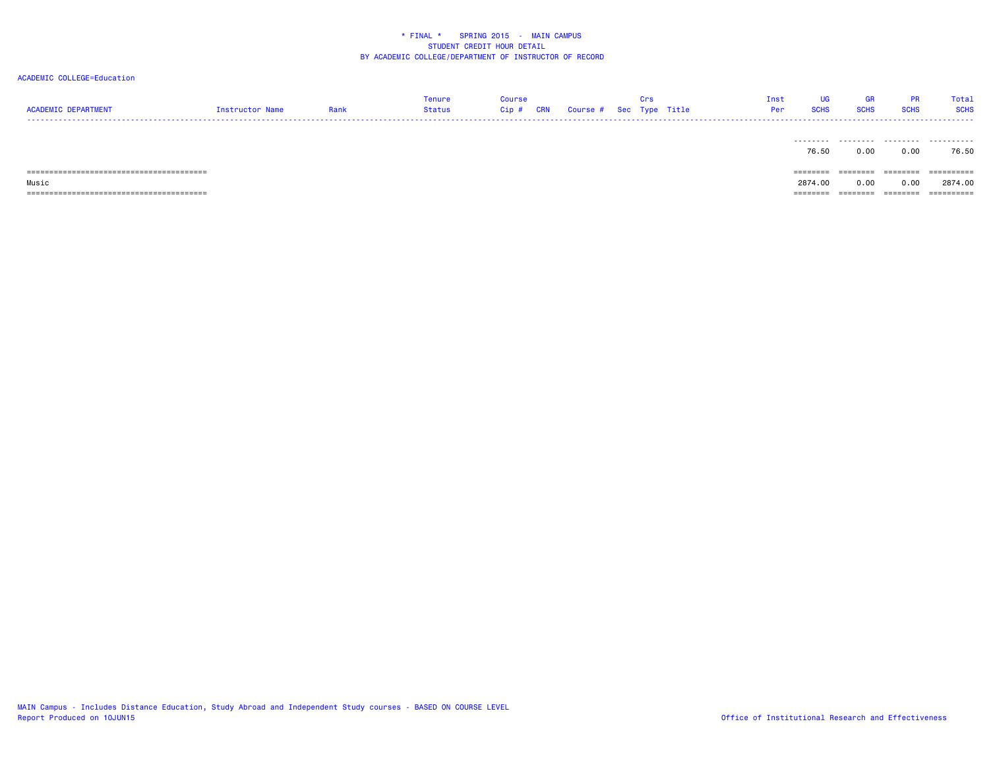| <b>ACADEMIC DEPARTMENT</b> | Instructor Name | Rank | Tenure<br>Status | <b>Course</b><br>Cip # | <b>CRN</b> | Course # Sec Type Title | Crs | Inst<br>Per | UG<br><b>SCHS</b> | GR<br><b>SCHS</b> | <b>PR</b><br><b>SCHS</b> | Total<br><b>SCHS</b> |
|----------------------------|-----------------|------|------------------|------------------------|------------|-------------------------|-----|-------------|-------------------|-------------------|--------------------------|----------------------|
|                            |                 |      |                  |                        |            |                         |     |             |                   |                   |                          |                      |
|                            |                 |      |                  |                        |            |                         |     |             | .                 | .                 | .                        | .                    |
|                            |                 |      |                  |                        |            |                         |     |             | 76.50             | 0.00              | 0.00                     | 76.50                |
|                            |                 |      |                  |                        |            |                         |     |             |                   |                   |                          |                      |
|                            |                 |      |                  |                        |            |                         |     |             | ========          | ========          | ========                 | ==========           |
| Music                      |                 |      |                  |                        |            |                         |     |             | 2874.00           | 0.00              | 0.00                     | 2874.00              |
|                            |                 |      |                  |                        |            |                         |     |             | ========          | ========          | --------                 | -----------          |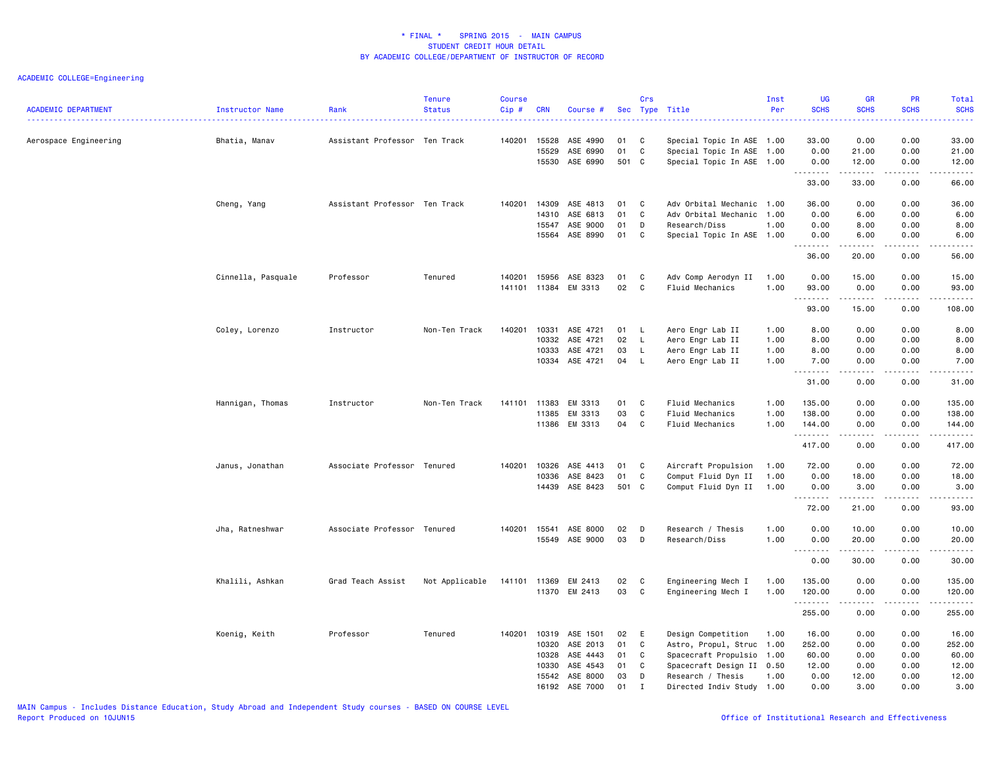| Aerospace Engineering<br>Bhatia, Manav<br>Assistant Professor Ten Track<br>140201<br>15528<br>ASE 4990<br>01<br>C<br>Special Topic In ASE 1.00<br>33.00<br>0.00<br>0.00<br>33.00<br>01<br>C<br>15529<br>ASE 6990<br>Special Topic In ASE 1.00<br>0.00<br>21.00<br>0.00<br>21.00<br>15530<br>ASE 6990<br>501 C<br>12.00<br>0.00<br>Special Topic In ASE 1.00<br>0.00<br>12.00<br>.<br>.<br><b>.</b> .<br>.<br>0.00<br>33.00<br>33.00<br>66.00<br>Cheng, Yang<br>Assistant Professor Ten Track<br>140201<br>14309<br>ASE 4813<br>01<br>$\mathbf{C}$<br>Adv Orbital Mechanic<br>36.00<br>0.00<br>0.00<br>36.00<br>1.00<br>14310<br>ASE 6813<br>01<br>C<br>Adv Orbital Mechanic<br>6.00<br>0.00<br>6.00<br>1.00<br>0.00<br>ASE 9000<br>01<br>D<br>Research/Diss<br>8.00<br>0.00<br>8.00<br>15547<br>1.00<br>0.00<br>ASE 8990<br>15564<br>01<br>C<br>Special Topic In ASE 1.00<br>6.00<br>0.00<br>6.00<br>0.00<br>.<br>.<br>36.00<br>20.00<br>0.00<br>56.00<br>15956<br>ASE 8323<br>01<br>15.00<br>0.00<br>15.00<br>Cinnella, Pasquale<br>Professor<br>Tenured<br>140201<br>$\mathbf{C}$<br>Adv Comp Aerodyn II<br>1.00<br>0.00<br>11384 EM 3313<br>02<br>141101<br>C<br>Fluid Mechanics<br>1.00<br>93.00<br>0.00<br>0.00<br>93.00<br>.<br>.<br>93.00<br>15.00<br>0.00<br>108.00<br>140201<br>ASE 4721<br>0.00<br>0.00<br>8.00<br>Coley, Lorenzo<br>Instructor<br>Non-Ten Track<br>10331<br>01 L<br>Aero Engr Lab II<br>1.00<br>8.00<br>10332<br>ASE 4721<br>02<br>Aero Engr Lab II<br>1.00<br>0.00<br>0.00<br>8.00<br>L.<br>8.00<br>ASE 4721<br>03<br>8.00<br>0.00<br>0.00<br>10333<br>L<br>Aero Engr Lab II<br>1.00<br>8.00<br>10334 ASE 4721<br>04<br>L.<br>Aero Engr Lab II<br>1.00<br>7.00<br>0.00<br>0.00<br>7.00<br>.<br>$\sim$ $\sim$ $\sim$ $\sim$<br>.<br>0.00<br>31.00<br>0.00<br>31.00<br>0.00<br>Hannigan, Thomas<br>Instructor<br>Non-Ten Track<br>141101<br>11383<br>EM 3313<br>01<br>C<br>Fluid Mechanics<br>1.00<br>135.00<br>0.00<br>135.00<br>03<br>11385<br>EM 3313<br>C<br>Fluid Mechanics<br>1.00<br>138.00<br>0.00<br>0.00<br>138.00<br>11386 EM 3313<br>04<br>C<br>Fluid Mechanics<br>1.00<br>144.00<br>0.00<br>0.00<br>144.00<br>.<br>.<br>$\frac{1}{2} \left( \frac{1}{2} \right) \left( \frac{1}{2} \right) \left( \frac{1}{2} \right) \left( \frac{1}{2} \right) \left( \frac{1}{2} \right)$<br>.<br>417.00<br>0.00<br>0.00<br>417.00<br>Janus, Jonathan<br>Associate Professor Tenured<br>140201<br>10326<br>ASE 4413<br>01<br>C<br>Aircraft Propulsion<br>1.00<br>72.00<br>0.00<br>0.00<br>72.00<br>10336<br>ASE 8423<br>01<br>C<br>Comput Fluid Dyn II<br>1.00<br>0.00<br>18.00<br>0.00<br>18.00<br>14439 ASE 8423<br>501 C<br>Comput Fluid Dyn II<br>3.00<br>0.00<br>3.00<br>1.00<br>0.00<br><u>.</u><br>.<br><u>.</u><br>72.00<br>21.00<br>0.00<br>93.00<br>Jha, Ratneshwar<br>Associate Professor Tenured<br>140201<br>15541<br>ASE 8000<br>02<br>D<br>Research / Thesis<br>1.00<br>0.00<br>10.00<br>0.00<br>10.00<br>15549 ASE 9000<br>03<br>D<br>Research/Diss<br>1.00<br>0.00<br>20.00<br>0.00<br>20.00<br><u>.</u><br>.<br>.<br>.<br>0.00<br>30.00<br>0.00<br>30.00<br>Khalili, Ashkan<br>Grad Teach Assist<br>Not Applicable<br>141101<br>11369<br>EM 2413<br>02<br>C<br>Engineering Mech I<br>135.00<br>0.00<br>0.00<br>135.00<br>1.00<br>03<br>11370 EM 2413<br>C<br>Engineering Mech I<br>1.00<br>120.00<br>0.00<br>0.00<br>120.00<br>.<br>255.00<br>0.00<br>0.00<br>255.00<br>Koenig, Keith<br>Professor<br>Tenured<br>140201<br>10319<br>ASE 1501<br>02<br>E<br>Design Competition<br>1.00<br>16.00<br>0.00<br>0.00<br>16.00<br>10320<br>ASE 2013<br>01<br>C<br>Astro, Propul, Struc<br>252.00<br>0.00<br>0.00<br>252.00<br>1.00<br>ASE 4443<br>60.00<br>10328<br>01<br>C<br>Spacecraft Propulsio<br>1.00<br>60.00<br>0.00<br>0.00<br>ASE 4543<br>01<br>Spacecraft Design II 0.50<br>12.00<br>0.00<br>0.00<br>10330<br>C<br>12.00<br>15542<br>ASE 8000<br>03<br>D<br>Research / Thesis<br>1.00<br>0.00<br>12.00<br>0.00<br>12.00<br>16192 ASE 7000<br>01<br>$\mathbf{I}$<br>Directed Indiv Study 1.00<br>0.00<br>3.00<br>0.00<br>3.00 | <b>ACADEMIC DEPARTMENT</b> | Instructor Name | Rank<br>. | <b>Tenure</b><br><b>Status</b> | Course<br>Cip# | <b>CRN</b> | Course # | Crs | Sec Type Title | Inst<br>Per | <b>UG</b><br><b>SCHS</b> | <b>GR</b><br><b>SCHS</b> | <b>PR</b><br><b>SCHS</b> | <b>Total</b><br><b>SCHS</b><br><b><i><u><u> - - - - -</u></u></i></b> |
|------------------------------------------------------------------------------------------------------------------------------------------------------------------------------------------------------------------------------------------------------------------------------------------------------------------------------------------------------------------------------------------------------------------------------------------------------------------------------------------------------------------------------------------------------------------------------------------------------------------------------------------------------------------------------------------------------------------------------------------------------------------------------------------------------------------------------------------------------------------------------------------------------------------------------------------------------------------------------------------------------------------------------------------------------------------------------------------------------------------------------------------------------------------------------------------------------------------------------------------------------------------------------------------------------------------------------------------------------------------------------------------------------------------------------------------------------------------------------------------------------------------------------------------------------------------------------------------------------------------------------------------------------------------------------------------------------------------------------------------------------------------------------------------------------------------------------------------------------------------------------------------------------------------------------------------------------------------------------------------------------------------------------------------------------------------------------------------------------------------------------------------------------------------------------------------------------------------------------------------------------------------------------------------------------------------------------------------------------------------------------------------------------------------------------------------------------------------------------------------------------------------------------------------------------------------------------------------------------------------------------------------------------------------------------------------------------------------------------------------------------------------------------------------------------------------------------------------------------------------------------------------------------------------------------------------------------------------------------------------------------------------------------------------------------------------------------------------------------------------------------------------------------------------------------------------------------------------------------------------------------------------------------------------------------------------------------------------------------------------------------------------------------------------------------------------------------------------------------------------------------------------------------------------------------------------------------------------------------------------------------------------------------------------------------------------------------------------------------------------------------------------------------------------------------------------------------------------------------------------------------------------------------------------------------------------------------------------------------------------------------------------------------------------------------------------------------|----------------------------|-----------------|-----------|--------------------------------|----------------|------------|----------|-----|----------------|-------------|--------------------------|--------------------------|--------------------------|-----------------------------------------------------------------------|
|                                                                                                                                                                                                                                                                                                                                                                                                                                                                                                                                                                                                                                                                                                                                                                                                                                                                                                                                                                                                                                                                                                                                                                                                                                                                                                                                                                                                                                                                                                                                                                                                                                                                                                                                                                                                                                                                                                                                                                                                                                                                                                                                                                                                                                                                                                                                                                                                                                                                                                                                                                                                                                                                                                                                                                                                                                                                                                                                                                                                                                                                                                                                                                                                                                                                                                                                                                                                                                                                                                                                                                                                                                                                                                                                                                                                                                                                                                                                                                                                                                                                              |                            |                 |           |                                |                |            |          |     |                |             |                          |                          |                          |                                                                       |
|                                                                                                                                                                                                                                                                                                                                                                                                                                                                                                                                                                                                                                                                                                                                                                                                                                                                                                                                                                                                                                                                                                                                                                                                                                                                                                                                                                                                                                                                                                                                                                                                                                                                                                                                                                                                                                                                                                                                                                                                                                                                                                                                                                                                                                                                                                                                                                                                                                                                                                                                                                                                                                                                                                                                                                                                                                                                                                                                                                                                                                                                                                                                                                                                                                                                                                                                                                                                                                                                                                                                                                                                                                                                                                                                                                                                                                                                                                                                                                                                                                                                              |                            |                 |           |                                |                |            |          |     |                |             |                          |                          |                          |                                                                       |
|                                                                                                                                                                                                                                                                                                                                                                                                                                                                                                                                                                                                                                                                                                                                                                                                                                                                                                                                                                                                                                                                                                                                                                                                                                                                                                                                                                                                                                                                                                                                                                                                                                                                                                                                                                                                                                                                                                                                                                                                                                                                                                                                                                                                                                                                                                                                                                                                                                                                                                                                                                                                                                                                                                                                                                                                                                                                                                                                                                                                                                                                                                                                                                                                                                                                                                                                                                                                                                                                                                                                                                                                                                                                                                                                                                                                                                                                                                                                                                                                                                                                              |                            |                 |           |                                |                |            |          |     |                |             |                          |                          |                          |                                                                       |
|                                                                                                                                                                                                                                                                                                                                                                                                                                                                                                                                                                                                                                                                                                                                                                                                                                                                                                                                                                                                                                                                                                                                                                                                                                                                                                                                                                                                                                                                                                                                                                                                                                                                                                                                                                                                                                                                                                                                                                                                                                                                                                                                                                                                                                                                                                                                                                                                                                                                                                                                                                                                                                                                                                                                                                                                                                                                                                                                                                                                                                                                                                                                                                                                                                                                                                                                                                                                                                                                                                                                                                                                                                                                                                                                                                                                                                                                                                                                                                                                                                                                              |                            |                 |           |                                |                |            |          |     |                |             |                          |                          |                          |                                                                       |
|                                                                                                                                                                                                                                                                                                                                                                                                                                                                                                                                                                                                                                                                                                                                                                                                                                                                                                                                                                                                                                                                                                                                                                                                                                                                                                                                                                                                                                                                                                                                                                                                                                                                                                                                                                                                                                                                                                                                                                                                                                                                                                                                                                                                                                                                                                                                                                                                                                                                                                                                                                                                                                                                                                                                                                                                                                                                                                                                                                                                                                                                                                                                                                                                                                                                                                                                                                                                                                                                                                                                                                                                                                                                                                                                                                                                                                                                                                                                                                                                                                                                              |                            |                 |           |                                |                |            |          |     |                |             |                          |                          |                          |                                                                       |
|                                                                                                                                                                                                                                                                                                                                                                                                                                                                                                                                                                                                                                                                                                                                                                                                                                                                                                                                                                                                                                                                                                                                                                                                                                                                                                                                                                                                                                                                                                                                                                                                                                                                                                                                                                                                                                                                                                                                                                                                                                                                                                                                                                                                                                                                                                                                                                                                                                                                                                                                                                                                                                                                                                                                                                                                                                                                                                                                                                                                                                                                                                                                                                                                                                                                                                                                                                                                                                                                                                                                                                                                                                                                                                                                                                                                                                                                                                                                                                                                                                                                              |                            |                 |           |                                |                |            |          |     |                |             |                          |                          |                          |                                                                       |
|                                                                                                                                                                                                                                                                                                                                                                                                                                                                                                                                                                                                                                                                                                                                                                                                                                                                                                                                                                                                                                                                                                                                                                                                                                                                                                                                                                                                                                                                                                                                                                                                                                                                                                                                                                                                                                                                                                                                                                                                                                                                                                                                                                                                                                                                                                                                                                                                                                                                                                                                                                                                                                                                                                                                                                                                                                                                                                                                                                                                                                                                                                                                                                                                                                                                                                                                                                                                                                                                                                                                                                                                                                                                                                                                                                                                                                                                                                                                                                                                                                                                              |                            |                 |           |                                |                |            |          |     |                |             |                          |                          |                          |                                                                       |
|                                                                                                                                                                                                                                                                                                                                                                                                                                                                                                                                                                                                                                                                                                                                                                                                                                                                                                                                                                                                                                                                                                                                                                                                                                                                                                                                                                                                                                                                                                                                                                                                                                                                                                                                                                                                                                                                                                                                                                                                                                                                                                                                                                                                                                                                                                                                                                                                                                                                                                                                                                                                                                                                                                                                                                                                                                                                                                                                                                                                                                                                                                                                                                                                                                                                                                                                                                                                                                                                                                                                                                                                                                                                                                                                                                                                                                                                                                                                                                                                                                                                              |                            |                 |           |                                |                |            |          |     |                |             |                          |                          |                          |                                                                       |
|                                                                                                                                                                                                                                                                                                                                                                                                                                                                                                                                                                                                                                                                                                                                                                                                                                                                                                                                                                                                                                                                                                                                                                                                                                                                                                                                                                                                                                                                                                                                                                                                                                                                                                                                                                                                                                                                                                                                                                                                                                                                                                                                                                                                                                                                                                                                                                                                                                                                                                                                                                                                                                                                                                                                                                                                                                                                                                                                                                                                                                                                                                                                                                                                                                                                                                                                                                                                                                                                                                                                                                                                                                                                                                                                                                                                                                                                                                                                                                                                                                                                              |                            |                 |           |                                |                |            |          |     |                |             |                          |                          |                          |                                                                       |
|                                                                                                                                                                                                                                                                                                                                                                                                                                                                                                                                                                                                                                                                                                                                                                                                                                                                                                                                                                                                                                                                                                                                                                                                                                                                                                                                                                                                                                                                                                                                                                                                                                                                                                                                                                                                                                                                                                                                                                                                                                                                                                                                                                                                                                                                                                                                                                                                                                                                                                                                                                                                                                                                                                                                                                                                                                                                                                                                                                                                                                                                                                                                                                                                                                                                                                                                                                                                                                                                                                                                                                                                                                                                                                                                                                                                                                                                                                                                                                                                                                                                              |                            |                 |           |                                |                |            |          |     |                |             |                          |                          |                          |                                                                       |
|                                                                                                                                                                                                                                                                                                                                                                                                                                                                                                                                                                                                                                                                                                                                                                                                                                                                                                                                                                                                                                                                                                                                                                                                                                                                                                                                                                                                                                                                                                                                                                                                                                                                                                                                                                                                                                                                                                                                                                                                                                                                                                                                                                                                                                                                                                                                                                                                                                                                                                                                                                                                                                                                                                                                                                                                                                                                                                                                                                                                                                                                                                                                                                                                                                                                                                                                                                                                                                                                                                                                                                                                                                                                                                                                                                                                                                                                                                                                                                                                                                                                              |                            |                 |           |                                |                |            |          |     |                |             |                          |                          |                          |                                                                       |
|                                                                                                                                                                                                                                                                                                                                                                                                                                                                                                                                                                                                                                                                                                                                                                                                                                                                                                                                                                                                                                                                                                                                                                                                                                                                                                                                                                                                                                                                                                                                                                                                                                                                                                                                                                                                                                                                                                                                                                                                                                                                                                                                                                                                                                                                                                                                                                                                                                                                                                                                                                                                                                                                                                                                                                                                                                                                                                                                                                                                                                                                                                                                                                                                                                                                                                                                                                                                                                                                                                                                                                                                                                                                                                                                                                                                                                                                                                                                                                                                                                                                              |                            |                 |           |                                |                |            |          |     |                |             |                          |                          |                          |                                                                       |
|                                                                                                                                                                                                                                                                                                                                                                                                                                                                                                                                                                                                                                                                                                                                                                                                                                                                                                                                                                                                                                                                                                                                                                                                                                                                                                                                                                                                                                                                                                                                                                                                                                                                                                                                                                                                                                                                                                                                                                                                                                                                                                                                                                                                                                                                                                                                                                                                                                                                                                                                                                                                                                                                                                                                                                                                                                                                                                                                                                                                                                                                                                                                                                                                                                                                                                                                                                                                                                                                                                                                                                                                                                                                                                                                                                                                                                                                                                                                                                                                                                                                              |                            |                 |           |                                |                |            |          |     |                |             |                          |                          |                          |                                                                       |
|                                                                                                                                                                                                                                                                                                                                                                                                                                                                                                                                                                                                                                                                                                                                                                                                                                                                                                                                                                                                                                                                                                                                                                                                                                                                                                                                                                                                                                                                                                                                                                                                                                                                                                                                                                                                                                                                                                                                                                                                                                                                                                                                                                                                                                                                                                                                                                                                                                                                                                                                                                                                                                                                                                                                                                                                                                                                                                                                                                                                                                                                                                                                                                                                                                                                                                                                                                                                                                                                                                                                                                                                                                                                                                                                                                                                                                                                                                                                                                                                                                                                              |                            |                 |           |                                |                |            |          |     |                |             |                          |                          |                          |                                                                       |
|                                                                                                                                                                                                                                                                                                                                                                                                                                                                                                                                                                                                                                                                                                                                                                                                                                                                                                                                                                                                                                                                                                                                                                                                                                                                                                                                                                                                                                                                                                                                                                                                                                                                                                                                                                                                                                                                                                                                                                                                                                                                                                                                                                                                                                                                                                                                                                                                                                                                                                                                                                                                                                                                                                                                                                                                                                                                                                                                                                                                                                                                                                                                                                                                                                                                                                                                                                                                                                                                                                                                                                                                                                                                                                                                                                                                                                                                                                                                                                                                                                                                              |                            |                 |           |                                |                |            |          |     |                |             |                          |                          |                          |                                                                       |
|                                                                                                                                                                                                                                                                                                                                                                                                                                                                                                                                                                                                                                                                                                                                                                                                                                                                                                                                                                                                                                                                                                                                                                                                                                                                                                                                                                                                                                                                                                                                                                                                                                                                                                                                                                                                                                                                                                                                                                                                                                                                                                                                                                                                                                                                                                                                                                                                                                                                                                                                                                                                                                                                                                                                                                                                                                                                                                                                                                                                                                                                                                                                                                                                                                                                                                                                                                                                                                                                                                                                                                                                                                                                                                                                                                                                                                                                                                                                                                                                                                                                              |                            |                 |           |                                |                |            |          |     |                |             |                          |                          |                          |                                                                       |
|                                                                                                                                                                                                                                                                                                                                                                                                                                                                                                                                                                                                                                                                                                                                                                                                                                                                                                                                                                                                                                                                                                                                                                                                                                                                                                                                                                                                                                                                                                                                                                                                                                                                                                                                                                                                                                                                                                                                                                                                                                                                                                                                                                                                                                                                                                                                                                                                                                                                                                                                                                                                                                                                                                                                                                                                                                                                                                                                                                                                                                                                                                                                                                                                                                                                                                                                                                                                                                                                                                                                                                                                                                                                                                                                                                                                                                                                                                                                                                                                                                                                              |                            |                 |           |                                |                |            |          |     |                |             |                          |                          |                          |                                                                       |
|                                                                                                                                                                                                                                                                                                                                                                                                                                                                                                                                                                                                                                                                                                                                                                                                                                                                                                                                                                                                                                                                                                                                                                                                                                                                                                                                                                                                                                                                                                                                                                                                                                                                                                                                                                                                                                                                                                                                                                                                                                                                                                                                                                                                                                                                                                                                                                                                                                                                                                                                                                                                                                                                                                                                                                                                                                                                                                                                                                                                                                                                                                                                                                                                                                                                                                                                                                                                                                                                                                                                                                                                                                                                                                                                                                                                                                                                                                                                                                                                                                                                              |                            |                 |           |                                |                |            |          |     |                |             |                          |                          |                          |                                                                       |
|                                                                                                                                                                                                                                                                                                                                                                                                                                                                                                                                                                                                                                                                                                                                                                                                                                                                                                                                                                                                                                                                                                                                                                                                                                                                                                                                                                                                                                                                                                                                                                                                                                                                                                                                                                                                                                                                                                                                                                                                                                                                                                                                                                                                                                                                                                                                                                                                                                                                                                                                                                                                                                                                                                                                                                                                                                                                                                                                                                                                                                                                                                                                                                                                                                                                                                                                                                                                                                                                                                                                                                                                                                                                                                                                                                                                                                                                                                                                                                                                                                                                              |                            |                 |           |                                |                |            |          |     |                |             |                          |                          |                          |                                                                       |
|                                                                                                                                                                                                                                                                                                                                                                                                                                                                                                                                                                                                                                                                                                                                                                                                                                                                                                                                                                                                                                                                                                                                                                                                                                                                                                                                                                                                                                                                                                                                                                                                                                                                                                                                                                                                                                                                                                                                                                                                                                                                                                                                                                                                                                                                                                                                                                                                                                                                                                                                                                                                                                                                                                                                                                                                                                                                                                                                                                                                                                                                                                                                                                                                                                                                                                                                                                                                                                                                                                                                                                                                                                                                                                                                                                                                                                                                                                                                                                                                                                                                              |                            |                 |           |                                |                |            |          |     |                |             |                          |                          |                          |                                                                       |
|                                                                                                                                                                                                                                                                                                                                                                                                                                                                                                                                                                                                                                                                                                                                                                                                                                                                                                                                                                                                                                                                                                                                                                                                                                                                                                                                                                                                                                                                                                                                                                                                                                                                                                                                                                                                                                                                                                                                                                                                                                                                                                                                                                                                                                                                                                                                                                                                                                                                                                                                                                                                                                                                                                                                                                                                                                                                                                                                                                                                                                                                                                                                                                                                                                                                                                                                                                                                                                                                                                                                                                                                                                                                                                                                                                                                                                                                                                                                                                                                                                                                              |                            |                 |           |                                |                |            |          |     |                |             |                          |                          |                          |                                                                       |
|                                                                                                                                                                                                                                                                                                                                                                                                                                                                                                                                                                                                                                                                                                                                                                                                                                                                                                                                                                                                                                                                                                                                                                                                                                                                                                                                                                                                                                                                                                                                                                                                                                                                                                                                                                                                                                                                                                                                                                                                                                                                                                                                                                                                                                                                                                                                                                                                                                                                                                                                                                                                                                                                                                                                                                                                                                                                                                                                                                                                                                                                                                                                                                                                                                                                                                                                                                                                                                                                                                                                                                                                                                                                                                                                                                                                                                                                                                                                                                                                                                                                              |                            |                 |           |                                |                |            |          |     |                |             |                          |                          |                          |                                                                       |
|                                                                                                                                                                                                                                                                                                                                                                                                                                                                                                                                                                                                                                                                                                                                                                                                                                                                                                                                                                                                                                                                                                                                                                                                                                                                                                                                                                                                                                                                                                                                                                                                                                                                                                                                                                                                                                                                                                                                                                                                                                                                                                                                                                                                                                                                                                                                                                                                                                                                                                                                                                                                                                                                                                                                                                                                                                                                                                                                                                                                                                                                                                                                                                                                                                                                                                                                                                                                                                                                                                                                                                                                                                                                                                                                                                                                                                                                                                                                                                                                                                                                              |                            |                 |           |                                |                |            |          |     |                |             |                          |                          |                          |                                                                       |
|                                                                                                                                                                                                                                                                                                                                                                                                                                                                                                                                                                                                                                                                                                                                                                                                                                                                                                                                                                                                                                                                                                                                                                                                                                                                                                                                                                                                                                                                                                                                                                                                                                                                                                                                                                                                                                                                                                                                                                                                                                                                                                                                                                                                                                                                                                                                                                                                                                                                                                                                                                                                                                                                                                                                                                                                                                                                                                                                                                                                                                                                                                                                                                                                                                                                                                                                                                                                                                                                                                                                                                                                                                                                                                                                                                                                                                                                                                                                                                                                                                                                              |                            |                 |           |                                |                |            |          |     |                |             |                          |                          |                          |                                                                       |
|                                                                                                                                                                                                                                                                                                                                                                                                                                                                                                                                                                                                                                                                                                                                                                                                                                                                                                                                                                                                                                                                                                                                                                                                                                                                                                                                                                                                                                                                                                                                                                                                                                                                                                                                                                                                                                                                                                                                                                                                                                                                                                                                                                                                                                                                                                                                                                                                                                                                                                                                                                                                                                                                                                                                                                                                                                                                                                                                                                                                                                                                                                                                                                                                                                                                                                                                                                                                                                                                                                                                                                                                                                                                                                                                                                                                                                                                                                                                                                                                                                                                              |                            |                 |           |                                |                |            |          |     |                |             |                          |                          |                          |                                                                       |
|                                                                                                                                                                                                                                                                                                                                                                                                                                                                                                                                                                                                                                                                                                                                                                                                                                                                                                                                                                                                                                                                                                                                                                                                                                                                                                                                                                                                                                                                                                                                                                                                                                                                                                                                                                                                                                                                                                                                                                                                                                                                                                                                                                                                                                                                                                                                                                                                                                                                                                                                                                                                                                                                                                                                                                                                                                                                                                                                                                                                                                                                                                                                                                                                                                                                                                                                                                                                                                                                                                                                                                                                                                                                                                                                                                                                                                                                                                                                                                                                                                                                              |                            |                 |           |                                |                |            |          |     |                |             |                          |                          |                          |                                                                       |
|                                                                                                                                                                                                                                                                                                                                                                                                                                                                                                                                                                                                                                                                                                                                                                                                                                                                                                                                                                                                                                                                                                                                                                                                                                                                                                                                                                                                                                                                                                                                                                                                                                                                                                                                                                                                                                                                                                                                                                                                                                                                                                                                                                                                                                                                                                                                                                                                                                                                                                                                                                                                                                                                                                                                                                                                                                                                                                                                                                                                                                                                                                                                                                                                                                                                                                                                                                                                                                                                                                                                                                                                                                                                                                                                                                                                                                                                                                                                                                                                                                                                              |                            |                 |           |                                |                |            |          |     |                |             |                          |                          |                          |                                                                       |
|                                                                                                                                                                                                                                                                                                                                                                                                                                                                                                                                                                                                                                                                                                                                                                                                                                                                                                                                                                                                                                                                                                                                                                                                                                                                                                                                                                                                                                                                                                                                                                                                                                                                                                                                                                                                                                                                                                                                                                                                                                                                                                                                                                                                                                                                                                                                                                                                                                                                                                                                                                                                                                                                                                                                                                                                                                                                                                                                                                                                                                                                                                                                                                                                                                                                                                                                                                                                                                                                                                                                                                                                                                                                                                                                                                                                                                                                                                                                                                                                                                                                              |                            |                 |           |                                |                |            |          |     |                |             |                          |                          |                          |                                                                       |
|                                                                                                                                                                                                                                                                                                                                                                                                                                                                                                                                                                                                                                                                                                                                                                                                                                                                                                                                                                                                                                                                                                                                                                                                                                                                                                                                                                                                                                                                                                                                                                                                                                                                                                                                                                                                                                                                                                                                                                                                                                                                                                                                                                                                                                                                                                                                                                                                                                                                                                                                                                                                                                                                                                                                                                                                                                                                                                                                                                                                                                                                                                                                                                                                                                                                                                                                                                                                                                                                                                                                                                                                                                                                                                                                                                                                                                                                                                                                                                                                                                                                              |                            |                 |           |                                |                |            |          |     |                |             |                          |                          |                          |                                                                       |
|                                                                                                                                                                                                                                                                                                                                                                                                                                                                                                                                                                                                                                                                                                                                                                                                                                                                                                                                                                                                                                                                                                                                                                                                                                                                                                                                                                                                                                                                                                                                                                                                                                                                                                                                                                                                                                                                                                                                                                                                                                                                                                                                                                                                                                                                                                                                                                                                                                                                                                                                                                                                                                                                                                                                                                                                                                                                                                                                                                                                                                                                                                                                                                                                                                                                                                                                                                                                                                                                                                                                                                                                                                                                                                                                                                                                                                                                                                                                                                                                                                                                              |                            |                 |           |                                |                |            |          |     |                |             |                          |                          |                          |                                                                       |
|                                                                                                                                                                                                                                                                                                                                                                                                                                                                                                                                                                                                                                                                                                                                                                                                                                                                                                                                                                                                                                                                                                                                                                                                                                                                                                                                                                                                                                                                                                                                                                                                                                                                                                                                                                                                                                                                                                                                                                                                                                                                                                                                                                                                                                                                                                                                                                                                                                                                                                                                                                                                                                                                                                                                                                                                                                                                                                                                                                                                                                                                                                                                                                                                                                                                                                                                                                                                                                                                                                                                                                                                                                                                                                                                                                                                                                                                                                                                                                                                                                                                              |                            |                 |           |                                |                |            |          |     |                |             |                          |                          |                          |                                                                       |
|                                                                                                                                                                                                                                                                                                                                                                                                                                                                                                                                                                                                                                                                                                                                                                                                                                                                                                                                                                                                                                                                                                                                                                                                                                                                                                                                                                                                                                                                                                                                                                                                                                                                                                                                                                                                                                                                                                                                                                                                                                                                                                                                                                                                                                                                                                                                                                                                                                                                                                                                                                                                                                                                                                                                                                                                                                                                                                                                                                                                                                                                                                                                                                                                                                                                                                                                                                                                                                                                                                                                                                                                                                                                                                                                                                                                                                                                                                                                                                                                                                                                              |                            |                 |           |                                |                |            |          |     |                |             |                          |                          |                          |                                                                       |
|                                                                                                                                                                                                                                                                                                                                                                                                                                                                                                                                                                                                                                                                                                                                                                                                                                                                                                                                                                                                                                                                                                                                                                                                                                                                                                                                                                                                                                                                                                                                                                                                                                                                                                                                                                                                                                                                                                                                                                                                                                                                                                                                                                                                                                                                                                                                                                                                                                                                                                                                                                                                                                                                                                                                                                                                                                                                                                                                                                                                                                                                                                                                                                                                                                                                                                                                                                                                                                                                                                                                                                                                                                                                                                                                                                                                                                                                                                                                                                                                                                                                              |                            |                 |           |                                |                |            |          |     |                |             |                          |                          |                          |                                                                       |
|                                                                                                                                                                                                                                                                                                                                                                                                                                                                                                                                                                                                                                                                                                                                                                                                                                                                                                                                                                                                                                                                                                                                                                                                                                                                                                                                                                                                                                                                                                                                                                                                                                                                                                                                                                                                                                                                                                                                                                                                                                                                                                                                                                                                                                                                                                                                                                                                                                                                                                                                                                                                                                                                                                                                                                                                                                                                                                                                                                                                                                                                                                                                                                                                                                                                                                                                                                                                                                                                                                                                                                                                                                                                                                                                                                                                                                                                                                                                                                                                                                                                              |                            |                 |           |                                |                |            |          |     |                |             |                          |                          |                          |                                                                       |
|                                                                                                                                                                                                                                                                                                                                                                                                                                                                                                                                                                                                                                                                                                                                                                                                                                                                                                                                                                                                                                                                                                                                                                                                                                                                                                                                                                                                                                                                                                                                                                                                                                                                                                                                                                                                                                                                                                                                                                                                                                                                                                                                                                                                                                                                                                                                                                                                                                                                                                                                                                                                                                                                                                                                                                                                                                                                                                                                                                                                                                                                                                                                                                                                                                                                                                                                                                                                                                                                                                                                                                                                                                                                                                                                                                                                                                                                                                                                                                                                                                                                              |                            |                 |           |                                |                |            |          |     |                |             |                          |                          |                          |                                                                       |
|                                                                                                                                                                                                                                                                                                                                                                                                                                                                                                                                                                                                                                                                                                                                                                                                                                                                                                                                                                                                                                                                                                                                                                                                                                                                                                                                                                                                                                                                                                                                                                                                                                                                                                                                                                                                                                                                                                                                                                                                                                                                                                                                                                                                                                                                                                                                                                                                                                                                                                                                                                                                                                                                                                                                                                                                                                                                                                                                                                                                                                                                                                                                                                                                                                                                                                                                                                                                                                                                                                                                                                                                                                                                                                                                                                                                                                                                                                                                                                                                                                                                              |                            |                 |           |                                |                |            |          |     |                |             |                          |                          |                          |                                                                       |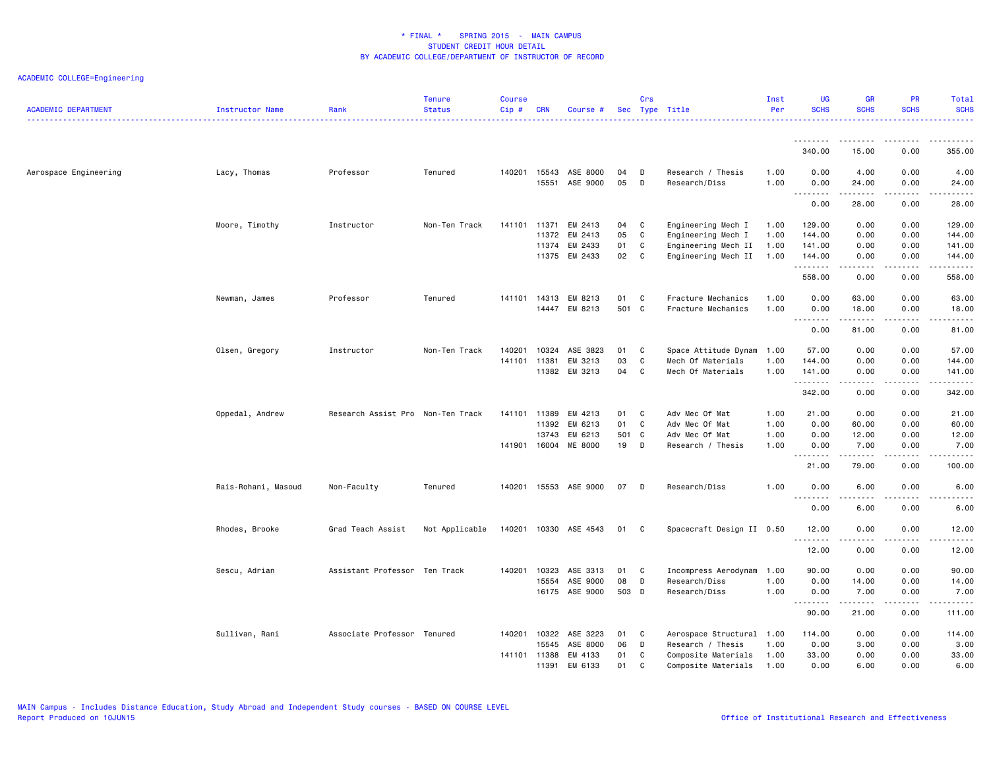| <b>ACADEMIC DEPARTMENT</b> | Instructor Name     | Rank                              | <b>Tenure</b><br><b>Status</b> | <b>Course</b><br>$Cip$ # | CRN            | Course #             |          | Crs    | Sec Type Title                     | Inst<br>Per  | <b>UG</b><br><b>SCHS</b>  | <b>GR</b><br><b>SCHS</b> | <b>PR</b><br><b>SCHS</b> | Total<br><b>SCHS</b>      |
|----------------------------|---------------------|-----------------------------------|--------------------------------|--------------------------|----------------|----------------------|----------|--------|------------------------------------|--------------|---------------------------|--------------------------|--------------------------|---------------------------|
|                            |                     |                                   |                                |                          |                |                      |          |        |                                    |              | <u>.</u>                  | .                        | .                        | .                         |
|                            |                     |                                   |                                |                          |                |                      |          |        |                                    |              | 340.00                    | 15.00                    | 0.00                     | 355.00                    |
| Aerospace Engineering      | Lacy, Thomas        | Professor                         | Tenured                        | 140201                   | 15543<br>15551 | ASE 8000<br>ASE 9000 | 04<br>05 | D<br>D | Research / Thesis<br>Research/Diss | 1.00<br>1.00 | 0.00<br>0.00              | 4.00<br>24.00<br>.       | 0.00<br>0.00<br>.        | 4.00<br>24.00<br>.        |
|                            |                     |                                   |                                |                          |                |                      |          |        |                                    |              | .<br>0.00                 | 28.00                    | 0.00                     | 28.00                     |
|                            | Moore, Timothy      | Instructor                        | Non-Ten Track                  | 141101 11371             |                | EM 2413              | 04       | C      | Engineering Mech I                 | 1.00         | 129.00                    | 0.00                     | 0.00                     | 129.00                    |
|                            |                     |                                   |                                |                          | 11372          | EM 2413              | 05       | C      | Engineering Mech I                 | 1.00         | 144.00                    | 0.00                     | 0.00                     | 144.00                    |
|                            |                     |                                   |                                |                          | 11374          | EM 2433              | 01       | C      | Engineering Mech II                | 1.00         | 141.00                    | 0.00                     | 0.00                     | 141.00                    |
|                            |                     |                                   |                                |                          |                | 11375 EM 2433        | 02       | C      | Engineering Mech II                | 1.00         | 144.00<br>.               | 0.00<br>$- - - - -$      | 0.00<br>.                | 144.00<br>$- - - - - - -$ |
|                            |                     |                                   |                                |                          |                |                      |          |        |                                    |              | 558.00                    | 0.00                     | 0.00                     | 558.00                    |
|                            | Newman, James       | Professor                         | Tenured                        | 141101                   | 14313          | EM 8213              | 01       | C      | Fracture Mechanics                 | 1.00         | 0.00                      | 63.00                    | 0.00                     | 63.00                     |
|                            |                     |                                   |                                |                          | 14447          | EM 8213              | 501 C    |        | Fracture Mechanics                 | 1.00         | 0.00                      | 18.00                    | 0.00                     | 18.00                     |
|                            |                     |                                   |                                |                          |                |                      |          |        |                                    |              | $\sim$ $\sim$ $\sim$<br>. | .                        | $\frac{1}{2}$            | .                         |
|                            |                     |                                   |                                |                          |                |                      |          |        |                                    |              | 0.00                      | 81.00                    | 0.00                     | 81.00                     |
|                            | Olsen, Gregory      | Instructor                        | Non-Ten Track                  | 140201                   | 10324          | ASE 3823             | 01       | C      | Space Attitude Dynam 1.00          |              | 57.00                     | 0.00                     | 0.00                     | 57.00                     |
|                            |                     |                                   |                                | 141101                   | 11381          | EM 3213              | 03       | C      | Mech Of Materials                  | 1.00         | 144.00                    | 0.00                     | 0.00                     | 144.00                    |
|                            |                     |                                   |                                |                          | 11382          | EM 3213              | 04       | C      | Mech Of Materials                  | 1.00         | 141.00                    | 0.00                     | 0.00                     | 141.00                    |
|                            |                     |                                   |                                |                          |                |                      |          |        |                                    |              | .<br>342.00               | -----<br>0.00            | .<br>0.00                | 342.00                    |
|                            |                     |                                   |                                |                          |                |                      |          |        |                                    |              |                           |                          |                          |                           |
|                            | Oppedal, Andrew     | Research Assist Pro Non-Ten Track |                                | 141101                   | 11389          | EM 4213              | 01       | C      | Adv Mec Of Mat                     | 1.00         | 21.00                     | 0.00                     | 0.00                     | 21.00                     |
|                            |                     |                                   |                                |                          | 11392          | EM 6213              | 01       | C      | Adv Mec Of Mat                     | 1.00         | 0.00                      | 60.00                    | 0.00                     | 60.00                     |
|                            |                     |                                   |                                |                          | 13743          | EM 6213              | 501 C    |        | Adv Mec Of Mat                     | 1.00         | 0.00                      | 12.00                    | 0.00                     | 12.00                     |
|                            |                     |                                   |                                | 141901                   | 16004          | ME 8000              | 19       | D      | Research / Thesis                  | 1.00         | 0.00<br>.                 | 7.00<br>.                | 0.00<br>.                | 7.00<br>.                 |
|                            |                     |                                   |                                |                          |                |                      |          |        |                                    |              | 21.00                     | 79.00                    | 0.00                     | 100.00                    |
|                            | Rais-Rohani, Masoud | Non-Faculty                       | Tenured                        | 140201                   |                | 15553 ASE 9000       | 07       | D      | Research/Diss                      | 1.00         | 0.00                      | 6.00                     | 0.00                     | 6.00                      |
|                            |                     |                                   |                                |                          |                |                      |          |        |                                    |              | $\sim$ $\sim$ .<br>.      |                          |                          |                           |
|                            |                     |                                   |                                |                          |                |                      |          |        |                                    |              | 0.00                      | 6.00                     | 0.00                     | 6.00                      |
|                            | Rhodes, Brooke      | Grad Teach Assist                 | Not Applicable                 | 140201                   |                | 10330 ASE 4543       | 01       | C.     | Spacecraft Design II 0.50          |              | 12.00<br>. <b>.</b>       | 0.00                     | 0.00<br>$   -$           | 12.00<br>-----            |
|                            |                     |                                   |                                |                          |                |                      |          |        |                                    |              | 12.00                     | 0.00                     | 0.00                     | 12.00                     |
|                            | Sescu, Adrian       | Assistant Professor Ten Track     |                                | 140201                   | 10323          | ASE 3313             | 01       | C      | Incompress Aerodynam               | 1.00         | 90.00                     | 0.00                     | 0.00                     | 90.00                     |
|                            |                     |                                   |                                |                          | 15554          | ASE 9000             | 08       | D      | Research/Diss                      | 1.00         | 0.00                      | 14.00                    | 0.00                     | 14.00                     |
|                            |                     |                                   |                                |                          | 16175          | ASE 9000             | 503 D    |        | Research/Diss                      | 1.00         | 0.00<br>--------          | 7.00<br>.                | 0.00<br>. <b>.</b> .     | 7.00<br>------            |
|                            |                     |                                   |                                |                          |                |                      |          |        |                                    |              | 90.00                     | 21.00                    | 0.00                     | 111.00                    |
|                            | Sullivan, Rani      | Associate Professor Tenured       |                                | 140201                   | 10322          | ASE 3223             | 01       | C      | Aerospace Structural 1.00          |              | 114.00                    | 0.00                     | 0.00                     | 114.00                    |
|                            |                     |                                   |                                |                          | 15545          | ASE 8000             | 06       | D      | Research / Thesis                  | 1.00         | 0.00                      | 3.00                     | 0.00                     | 3.00                      |
|                            |                     |                                   |                                | 141101 11388             |                | EM 4133              | 01       | C      | Composite Materials                | 1.00         | 33.00                     | 0.00                     | 0.00                     | 33.00                     |
|                            |                     |                                   |                                |                          | 11391          | EM 6133              | 01       | C      | Composite Materials                | 1.00         | 0.00                      | 6.00                     | 0.00                     | 6.00                      |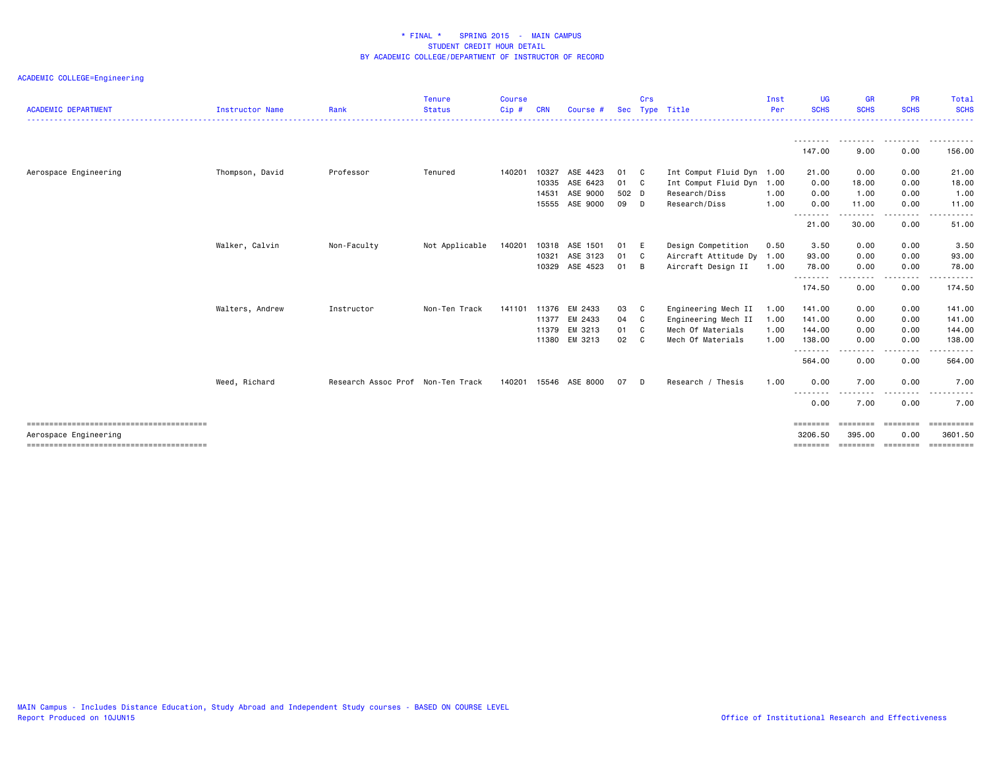| <b>ACADEMIC DEPARTMENT</b> | <b>Instructor Name</b> | Rank                              | <b>Tenure</b><br><b>Status</b> | <b>Course</b><br>$C$ ip $#$ | <b>CRN</b> | Course #              |       | Crs<br>Sec Type | Title                     | Inst<br>Per | UG.<br><b>SCHS</b>  | <b>GR</b><br><b>SCHS</b> | <b>PR</b><br><b>SCHS</b>                                                                                                                                                                | <b>Total</b><br><b>SCHS</b> |
|----------------------------|------------------------|-----------------------------------|--------------------------------|-----------------------------|------------|-----------------------|-------|-----------------|---------------------------|-------------|---------------------|--------------------------|-----------------------------------------------------------------------------------------------------------------------------------------------------------------------------------------|-----------------------------|
|                            |                        |                                   |                                |                             |            |                       |       |                 |                           |             |                     |                          |                                                                                                                                                                                         | .                           |
|                            |                        |                                   |                                |                             |            |                       |       |                 |                           |             | 147.00              | 9.00                     | <u>.</u><br>0.00                                                                                                                                                                        | 156.00                      |
| Aerospace Engineering      | Thompson, David        | Professor                         | Tenured                        | 140201                      | 10327      | ASE 4423              | 01    | - C             | Int Comput Fluid Dyn      | 1.00        | 21.00               | 0.00                     | 0.00                                                                                                                                                                                    | 21.00                       |
|                            |                        |                                   |                                |                             | 10335      | ASE 6423              | 01 C  |                 | Int Comput Fluid Dyn      | 1.00        | 0.00                | 18.00                    | 0.00                                                                                                                                                                                    | 18.00                       |
|                            |                        |                                   |                                |                             | 14531      | ASE 9000              | 502 D |                 | Research/Diss             | 1.00        | 0.00                | 1.00                     | 0.00                                                                                                                                                                                    | 1.00                        |
|                            |                        |                                   |                                |                             | 15555      | ASE 9000              | 09 D  |                 | Research/Diss             | 1.00        | 0.00                | 11.00                    | 0.00                                                                                                                                                                                    | 11.00                       |
|                            |                        |                                   |                                |                             |            |                       |       |                 |                           |             | --------<br>21.00   | $- - - -$<br>30.00       | .<br>0.00                                                                                                                                                                               | 51.00                       |
|                            | Walker, Calvin         | Non-Faculty                       | Not Applicable                 | 140201                      | 10318      | ASE 1501              | 01    | - E             | Design Competition        | 0.50        | 3.50                | 0.00                     | 0.00                                                                                                                                                                                    | 3.50                        |
|                            |                        |                                   |                                |                             | 10321      | ASE 3123              | 01    | C <sub>c</sub>  | Aircraft Attitude Dy 1.00 |             | 93.00               | 0.00                     | 0.00                                                                                                                                                                                    | 93.00                       |
|                            |                        |                                   |                                |                             | 10329      | ASE 4523              | 01    | B               | Aircraft Design II        | 1.00        | 78.00               | 0.00                     | 0.00                                                                                                                                                                                    | 78.00                       |
|                            |                        |                                   |                                |                             |            |                       |       |                 |                           |             | .<br>174.50         | .<br>0.00                | $\frac{1}{2} \left( \frac{1}{2} \right) \left( \frac{1}{2} \right) \left( \frac{1}{2} \right) \left( \frac{1}{2} \right) \left( \frac{1}{2} \right) \left( \frac{1}{2} \right)$<br>0.00 | .<br>174.50                 |
|                            | Walters, Andrew        | Instructor                        | Non-Ten Track                  |                             |            | 141101 11376 EM 2433  | 03    | C               | Engineering Mech II       | 1.00        | 141.00              | 0.00                     | 0.00                                                                                                                                                                                    | 141.00                      |
|                            |                        |                                   |                                |                             | 11377      | EM 2433               | 04    | $\mathbf{C}$    | Engineering Mech II       | 1.00        | 141.00              | 0.00                     | 0.00                                                                                                                                                                                    | 141.00                      |
|                            |                        |                                   |                                |                             | 11379      | EM 3213               | 01 C  |                 | Mech Of Materials         | 1.00        | 144.00              | 0.00                     | 0.00                                                                                                                                                                                    | 144.00                      |
|                            |                        |                                   |                                |                             | 11380      | EM 3213               | 02    | $\mathbf{C}$    | Mech Of Materials         | 1.00        | 138.00              | 0.00                     | 0.00                                                                                                                                                                                    | 138.00                      |
|                            |                        |                                   |                                |                             |            |                       |       |                 |                           |             | ---------<br>564.00 | $\frac{1}{2}$<br>0.00    | .<br>0.00                                                                                                                                                                               | <u>.</u><br>564.00          |
|                            | Weed, Richard          | Research Assoc Prof Non-Ten Track |                                |                             |            | 140201 15546 ASE 8000 | 07    | D               | Research / Thesis         | 1.00        | 0.00                | 7.00                     | 0.00                                                                                                                                                                                    | 7.00                        |
|                            |                        |                                   |                                |                             |            |                       |       |                 |                           |             | --------<br>0.00    | 7.00                     | 0.00                                                                                                                                                                                    | 7.00                        |
|                            |                        |                                   |                                |                             |            |                       |       |                 |                           |             | ========            |                          |                                                                                                                                                                                         | ==========                  |
| Aerospace Engineering      |                        |                                   |                                |                             |            |                       |       |                 |                           |             | 3206.50             | 395.00                   | 0.00                                                                                                                                                                                    | 3601.50                     |
|                            |                        |                                   |                                |                             |            |                       |       |                 |                           |             | ========            | ========                 | ========                                                                                                                                                                                |                             |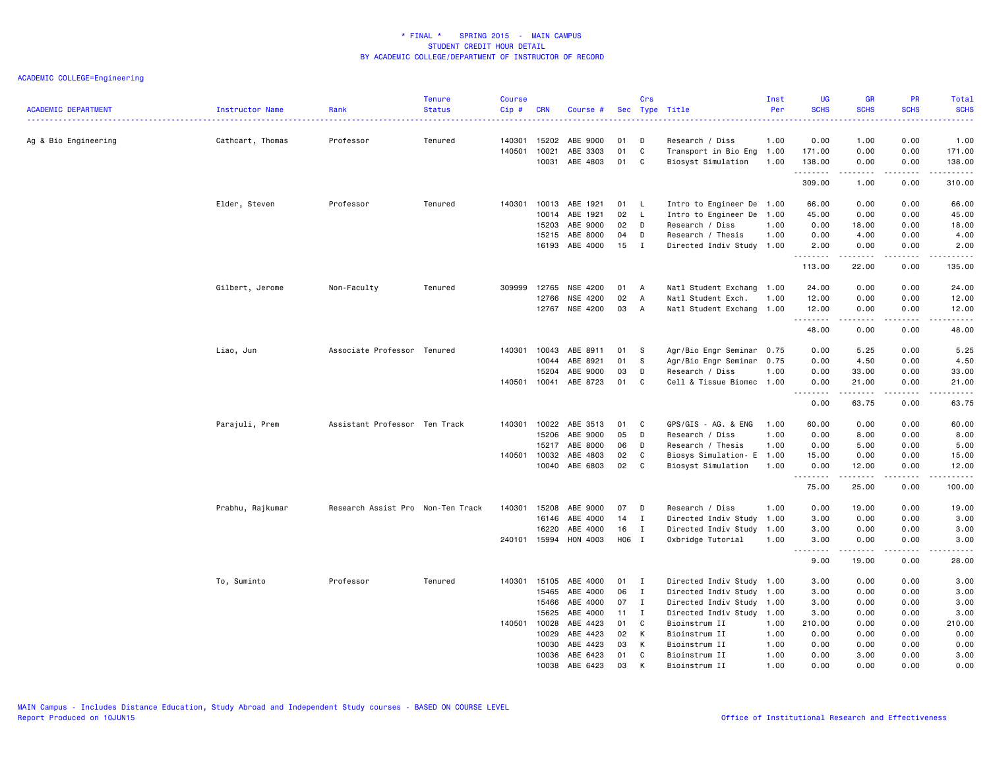| <b>ACADEMIC DEPARTMENT</b> | <b>Instructor Name</b> | Rank                              | <b>Tenure</b><br><b>Status</b> | <b>Course</b><br>Cip# | <b>CRN</b>   | Course # | Sec      | Crs            | Type Title                | Inst<br>Per | <b>UG</b><br><b>SCHS</b>                                                                                                  | <b>GR</b><br><b>SCHS</b> | <b>PR</b><br><b>SCHS</b>            | Total<br><b>SCHS</b>                                                                                                                                                                     |
|----------------------------|------------------------|-----------------------------------|--------------------------------|-----------------------|--------------|----------|----------|----------------|---------------------------|-------------|---------------------------------------------------------------------------------------------------------------------------|--------------------------|-------------------------------------|------------------------------------------------------------------------------------------------------------------------------------------------------------------------------------------|
|                            |                        |                                   |                                |                       |              |          |          |                |                           |             | $\frac{1}{2} \left( \frac{1}{2} \right) \left( \frac{1}{2} \right) \left( \frac{1}{2} \right) \left( \frac{1}{2} \right)$ |                          |                                     | 2222.                                                                                                                                                                                    |
| Ag & Bio Engineering       | Cathcart, Thomas       | Professor                         | Tenured                        | 140301                | 15202        | ABE 9000 | 01<br>01 | D<br>C         | Research / Diss           | 1.00        | 0.00                                                                                                                      | 1.00                     | 0.00<br>0.00                        | 1.00                                                                                                                                                                                     |
|                            |                        |                                   |                                | 140501                | 10021        | ABE 3303 |          |                | Transport in Bio Eng 1.00 |             | 171.00                                                                                                                    | 0.00                     |                                     | 171.00                                                                                                                                                                                   |
|                            |                        |                                   |                                |                       | 10031        | ABE 4803 | 01       | C              | Biosyst Simulation        | 1.00        | 138.00<br>.                                                                                                               | 0.00<br>$- - - - -$      | 0.00<br>.                           | 138.00<br><u>.</u>                                                                                                                                                                       |
|                            |                        |                                   |                                |                       |              |          |          |                |                           |             | 309.00                                                                                                                    | 1.00                     | 0.00                                | 310.00                                                                                                                                                                                   |
|                            | Elder, Steven          | Professor                         | Tenured                        | 140301                | 10013        | ABE 1921 | 01       | L.             | Intro to Engineer De 1.00 |             | 66.00                                                                                                                     | 0.00                     | 0.00                                | 66.00                                                                                                                                                                                    |
|                            |                        |                                   |                                |                       | 10014        | ABE 1921 | 02       | L              | Intro to Engineer De 1.00 |             | 45.00                                                                                                                     | 0.00                     | 0.00                                | 45.00                                                                                                                                                                                    |
|                            |                        |                                   |                                |                       | 15203        | ABE 9000 | 02       | D              | Research / Diss           | 1.00        | 0.00                                                                                                                      | 18.00                    | 0.00                                | 18.00                                                                                                                                                                                    |
|                            |                        |                                   |                                |                       | 15215        | ABE 8000 | 04       | D              | Research / Thesis         | 1.00        | 0.00                                                                                                                      | 4.00                     | 0.00                                | 4.00                                                                                                                                                                                     |
|                            |                        |                                   |                                |                       | 16193        | ABE 4000 | 15       | $\mathbf{I}$   | Directed Indiv Study 1.00 |             | 2.00<br>.                                                                                                                 | 0.00                     | 0.00<br>$\sim$ $\sim$ $\sim$        | 2.00<br>د د د د د                                                                                                                                                                        |
|                            |                        |                                   |                                |                       |              |          |          |                |                           |             | 113.00                                                                                                                    | 22.00                    | 0.00                                | 135.00                                                                                                                                                                                   |
|                            | Gilbert, Jerome        | Non-Faculty                       | Tenured                        |                       | 309999 12765 | NSE 4200 | 01 A     |                | Natl Student Exchang 1.00 |             | 24.00                                                                                                                     | 0.00                     | 0.00                                | 24.00                                                                                                                                                                                    |
|                            |                        |                                   |                                |                       | 12766        | NSE 4200 | 02       | $\overline{A}$ | Natl Student Exch.        | 1.00        | 12.00                                                                                                                     | 0.00                     | 0.00                                | 12.00                                                                                                                                                                                    |
|                            |                        |                                   |                                |                       | 12767        | NSE 4200 | 03       | A              | Natl Student Exchang 1.00 |             | 12.00<br>.                                                                                                                | 0.00<br>.                | 0.00<br>$\sim$ $\sim$ $\sim$ $\sim$ | 12.00<br>$\frac{1}{2} \left( \frac{1}{2} \right) \left( \frac{1}{2} \right) \left( \frac{1}{2} \right) \left( \frac{1}{2} \right) \left( \frac{1}{2} \right)$                            |
|                            |                        |                                   |                                |                       |              |          |          |                |                           |             | 48.00                                                                                                                     | 0.00                     | 0.00                                | 48.00                                                                                                                                                                                    |
|                            | Liao, Jun              | Associate Professor Tenured       |                                | 140301                | 10043        | ABE 8911 | 01       | -S             | Agr/Bio Engr Seminar 0.75 |             | 0.00                                                                                                                      | 5.25                     | 0.00                                | 5.25                                                                                                                                                                                     |
|                            |                        |                                   |                                |                       | 10044        | ABE 8921 | 01       | S              | Agr/Bio Engr Seminar 0.75 |             | 0.00                                                                                                                      | 4.50                     | 0.00                                | 4.50                                                                                                                                                                                     |
|                            |                        |                                   |                                |                       | 15204        | ABE 9000 | 03       | D              | Research / Diss           | 1.00        | 0.00                                                                                                                      | 33.00                    | 0.00                                | 33.00                                                                                                                                                                                    |
|                            |                        |                                   |                                |                       | 140501 10041 | ABE 8723 | 01       | C              | Cell & Tissue Biomec 1.00 |             | 0.00<br>.                                                                                                                 | 21.00<br>-----           | 0.00<br>$\sim$ $\sim$ $\sim$ $\sim$ | 21.00<br>$\frac{1}{2} \left( \frac{1}{2} \right) \left( \frac{1}{2} \right) \left( \frac{1}{2} \right) \left( \frac{1}{2} \right) \left( \frac{1}{2} \right) \left( \frac{1}{2} \right)$ |
|                            |                        |                                   |                                |                       |              |          |          |                |                           |             | 0.00                                                                                                                      | 63.75                    | 0.00                                | 63.75                                                                                                                                                                                    |
|                            | Parajuli, Prem         | Assistant Professor Ten Track     |                                | 140301                | 10022        | ABE 3513 | 01       | C              | GPS/GIS - AG. & ENG       | 1.00        | 60.00                                                                                                                     | 0.00                     | 0.00                                | 60.00                                                                                                                                                                                    |
|                            |                        |                                   |                                |                       | 15206        | ABE 9000 | 05       | D              | Research / Diss           | 1.00        | 0.00                                                                                                                      | 8.00                     | 0.00                                | 8.00                                                                                                                                                                                     |
|                            |                        |                                   |                                |                       | 15217        | ABE 8000 | 06       | D              | Research / Thesis         | 1.00        | 0.00                                                                                                                      | 5.00                     | 0.00                                | 5.00                                                                                                                                                                                     |
|                            |                        |                                   |                                |                       | 140501 10032 | ABE 4803 | 02       | C              | Biosys Simulation- E      | 1.00        | 15.00                                                                                                                     | 0.00                     | 0.00                                | 15.00                                                                                                                                                                                    |
|                            |                        |                                   |                                |                       | 10040        | ABE 6803 | 02       | C              | Biosyst Simulation        | 1.00        | 0.00<br>.                                                                                                                 | 12.00<br>.               | 0.00<br>.                           | 12.00<br>.                                                                                                                                                                               |
|                            |                        |                                   |                                |                       |              |          |          |                |                           |             | 75.00                                                                                                                     | 25.00                    | 0.00                                | 100.00                                                                                                                                                                                   |
|                            | Prabhu, Rajkumar       | Research Assist Pro Non-Ten Track |                                | 140301                | 15208        | ABE 9000 | 07       | D              | Research / Diss           | 1.00        | 0.00                                                                                                                      | 19.00                    | 0.00                                | 19.00                                                                                                                                                                                    |
|                            |                        |                                   |                                |                       | 16146        | ABE 4000 | 14       | Ι.             | Directed Indiv Study 1.00 |             | 3.00                                                                                                                      | 0.00                     | 0.00                                | 3.00                                                                                                                                                                                     |
|                            |                        |                                   |                                |                       | 16220        | ABE 4000 | 16       | $\mathbf I$    | Directed Indiv Study 1.00 |             | 3.00                                                                                                                      | 0.00                     | 0.00                                | 3.00                                                                                                                                                                                     |
|                            |                        |                                   |                                |                       | 240101 15994 | HON 4003 | H06 I    |                | Oxbridge Tutorial         | 1.00        | 3.00<br>$\sim$ $\sim$ $\sim$<br>.                                                                                         | 0.00<br>.                | 0.00<br>$\frac{1}{2}$               | 3.00<br>.                                                                                                                                                                                |
|                            |                        |                                   |                                |                       |              |          |          |                |                           |             | 9.00                                                                                                                      | 19.00                    | 0.00                                | 28.00                                                                                                                                                                                    |
|                            | To, Suminto            | Professor                         | Tenured                        | 140301                | 15105        | ABE 4000 | 01       | $\mathbf{I}$   | Directed Indiv Study 1.00 |             | 3.00                                                                                                                      | 0.00                     | 0.00                                | 3.00                                                                                                                                                                                     |
|                            |                        |                                   |                                |                       | 15465        | ABE 4000 | 06       | $\mathbf{I}$   | Directed Indiv Study 1.00 |             | 3.00                                                                                                                      | 0.00                     | 0.00                                | 3.00                                                                                                                                                                                     |
|                            |                        |                                   |                                |                       | 15466        | ABE 4000 | 07       | $\mathbf{I}$   | Directed Indiv Study 1.00 |             | 3.00                                                                                                                      | 0.00                     | 0.00                                | 3.00                                                                                                                                                                                     |
|                            |                        |                                   |                                |                       | 15625        | ABE 4000 | 11       | $\mathbf{I}$   | Directed Indiv Study 1.00 |             | 3.00                                                                                                                      | 0.00                     | 0.00                                | 3.00                                                                                                                                                                                     |
|                            |                        |                                   |                                |                       | 140501 10028 | ABE 4423 | 01       | C              | Bioinstrum II             | 1.00        | 210.00                                                                                                                    | 0.00                     | 0.00                                | 210.00                                                                                                                                                                                   |
|                            |                        |                                   |                                |                       | 10029        | ABE 4423 | 02       | К              | Bioinstrum II             | 1.00        | 0.00                                                                                                                      | 0.00                     | 0.00                                | 0.00                                                                                                                                                                                     |
|                            |                        |                                   |                                |                       | 10030        | ABE 4423 | 03       | К              | Bioinstrum II             | 1.00        | 0.00                                                                                                                      | 0.00                     | 0.00                                | 0.00                                                                                                                                                                                     |
|                            |                        |                                   |                                |                       | 10036        | ABE 6423 | 01       | C              | Bioinstrum II             | 1.00        | 0.00                                                                                                                      | 3.00                     | 0.00                                | 3.00                                                                                                                                                                                     |
|                            |                        |                                   |                                |                       | 10038        | ARF 6423 | 0.3      |                | Bioinstrum II             | 1.00        | 0.00                                                                                                                      | 0.00                     | 0.00                                | 0.00                                                                                                                                                                                     |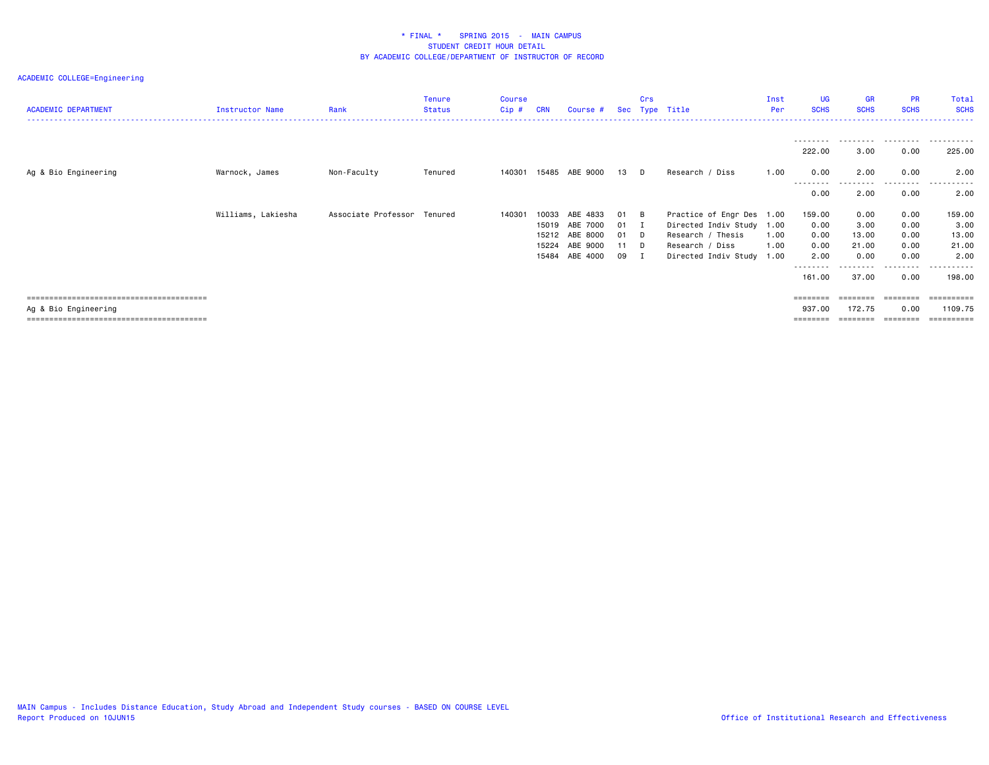| <b>ACADEMIC DEPARTMENT</b> | Instructor Name    | Rank                        | Tenure<br><b>Status</b> | Course<br>Cip# | CRN   | Course #       | Sec | Crs         | Type Title                | Inst<br>Per | UG<br><b>SCHS</b> | GR<br><b>SCHS</b> | <b>PR</b><br><b>SCHS</b> | Total<br><b>SCHS</b> |
|----------------------------|--------------------|-----------------------------|-------------------------|----------------|-------|----------------|-----|-------------|---------------------------|-------------|-------------------|-------------------|--------------------------|----------------------|
|                            |                    |                             |                         |                |       |                |     |             |                           |             | --------          |                   | .                        |                      |
|                            |                    |                             |                         |                |       |                |     |             |                           |             | 222.00            | 3.00              | 0.00                     | 225.00               |
| Ag & Bio Engineering       | Warnock, James     | Non-Faculty                 | Tenured                 | 140301         | 15485 | ABE 9000       | 13  | D           | Research / Diss           | 1.00        | 0.00<br>.         | 2.00<br>.         | 0.00<br>.                | 2.00<br>.            |
|                            |                    |                             |                         |                |       |                |     |             |                           |             | 0.00              | 2.00              | 0.00                     | 2.00                 |
|                            | Williams, Lakiesha | Associate Professor Tenured |                         | 140301         | 10033 | ABE 4833       | 01  | - B         | Practice of Engr Des 1.00 |             | 159.00            | 0.00              | 0.00                     | 159.00               |
|                            |                    |                             |                         |                |       | 15019 ABE 7000 | 01  | - 1         | Directed Indiv Study 1.00 |             | 0.00              | 3.00              | 0.00                     | 3.00                 |
|                            |                    |                             |                         |                |       | 15212 ABE 8000 | 01  | $\Box$      | Research / Thesis         | 1.00        | 0.00              | 13.00             | 0.00                     | 13.00                |
|                            |                    |                             |                         |                | 15224 | ABE 9000       | 11  | <b>D</b>    | Research / Diss           | 1.00        | 0.00              | 21.00             | 0.00                     | 21.00                |
|                            |                    |                             |                         |                | 15484 | ABE 4000       | 09  | $\mathbf I$ | Directed Indiv Study      | 1.00        | 2.00              | 0.00              | 0.00<br>.                | 2.00                 |
|                            |                    |                             |                         |                |       |                |     |             |                           |             | 161.00            | 37.00             | 0.00                     | 198.00               |
|                            |                    |                             |                         |                |       |                |     |             |                           |             | ========          |                   | ========                 | ==========           |
| Ag & Bio Engineering       |                    |                             |                         |                |       |                |     |             |                           |             | 937.00            | 172.75            | 0.00                     | 1109.75              |
|                            |                    |                             |                         |                |       |                |     |             |                           |             |                   |                   |                          |                      |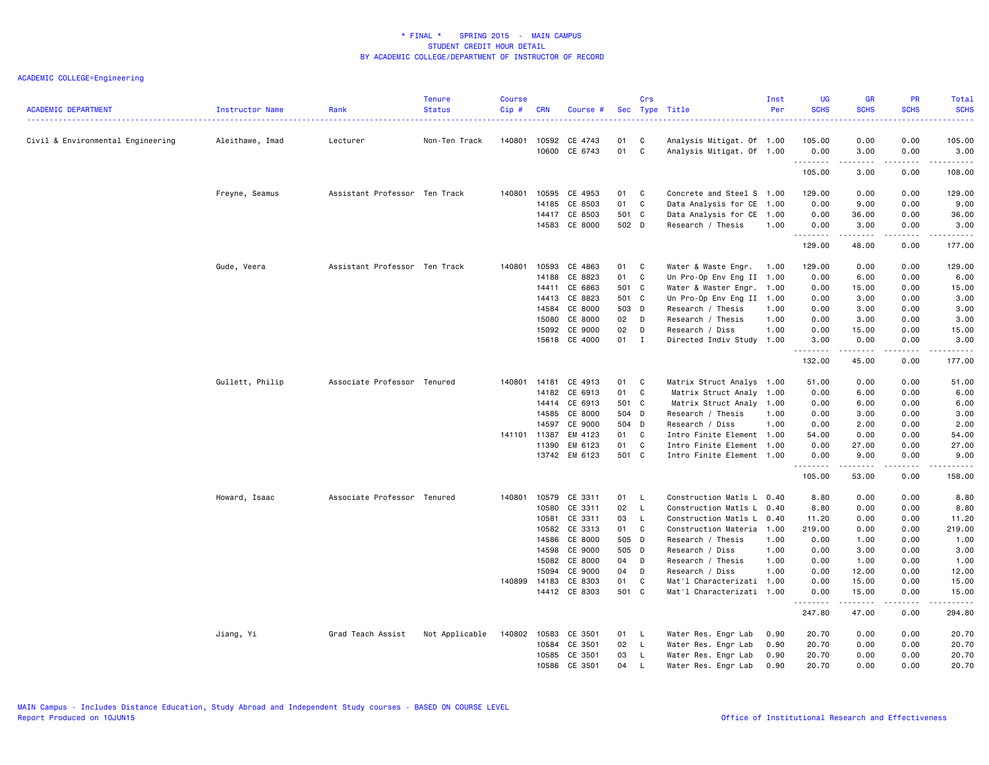| <b>ACADEMIC DEPARTMENT</b>        | Instructor Name | Rank                          | <b>Tenure</b><br><b>Status</b> | <b>Course</b><br>Cip# | <b>CRN</b> | Course #      |       | Crs          | Sec Type Title            | Inst<br>Per | <b>UG</b><br><b>SCHS</b> | <b>GR</b><br><b>SCHS</b> | <b>PR</b><br><b>SCHS</b>            | Total<br><b>SCHS</b><br>. |
|-----------------------------------|-----------------|-------------------------------|--------------------------------|-----------------------|------------|---------------|-------|--------------|---------------------------|-------------|--------------------------|--------------------------|-------------------------------------|---------------------------|
| Civil & Environmental Engineering | Aleithawe, Imad | Lecturer                      | Non-Ten Track                  | 140801                | 10592      | CE 4743       | 01    | C            | Analysis Mitigat. Of 1.00 |             | 105.00                   | 0.00                     | 0.00                                | 105.00                    |
|                                   |                 |                               |                                |                       | 10600      | CE 6743       | 01    | C            | Analysis Mitigat. Of 1.00 |             | 0.00                     | 3.00                     | 0.00                                | 3.00                      |
|                                   |                 |                               |                                |                       |            |               |       |              |                           |             | .<br>105.00              | .<br>3.00                | .<br>0.00                           | .<br>108.00               |
|                                   | Freyne, Seamus  | Assistant Professor Ten Track |                                | 140801                | 10595      | CE 4953       | 01    | C            | Concrete and Steel S 1.00 |             | 129.00                   | 0.00                     | 0.00                                | 129.00                    |
|                                   |                 |                               |                                |                       | 14185      | CE 8503       | 01    | $\mathbf c$  | Data Analysis for CE      | 1.00        | 0.00                     | 9.00                     | 0.00                                | 9.00                      |
|                                   |                 |                               |                                |                       | 14417      | CE 8503       | 501 C |              | Data Analysis for CE 1.00 |             | 0.00                     | 36.00                    | 0.00                                | 36.00                     |
|                                   |                 |                               |                                |                       |            | 14583 CE 8000 | 502 D |              | Research / Thesis         | 1.00        | 0.00                     | 3.00                     | 0.00                                | 3.00                      |
|                                   |                 |                               |                                |                       |            |               |       |              |                           |             | .<br>129.00              | .<br>48.00               | $\sim$ $\sim$ $\sim$ $\sim$<br>0.00 | .<br>177.00               |
|                                   | Gude, Veera     | Assistant Professor Ten Track |                                | 140801                | 10593      | CE 4863       | 01    | C            | Water & Waste Engr.       | 1.00        | 129.00                   | 0.00                     | 0.00                                | 129.00                    |
|                                   |                 |                               |                                |                       | 14188      | CE 8823       | 01    | C            | Un Pro-Op Env Eng II 1.00 |             | 0.00                     | 6.00                     | 0.00                                | 6.00                      |
|                                   |                 |                               |                                |                       | 14411      | CE 6863       | 501 C |              | Water & Waster Engr. 1.00 |             | 0.00                     | 15.00                    | 0.00                                | 15.00                     |
|                                   |                 |                               |                                |                       | 14413      | CE 8823       | 501 C |              | Un Pro-Op Env Eng II 1.00 |             | 0.00                     | 3.00                     | 0.00                                | 3.00                      |
|                                   |                 |                               |                                |                       | 14584      | CE 8000       | 503 D |              | Research / Thesis         | 1.00        | 0.00                     | 3.00                     | 0.00                                | 3.00                      |
|                                   |                 |                               |                                |                       | 15080      | CE 8000       | 02 D  |              | Research / Thesis         | 1.00        | 0.00                     | 3.00                     | 0.00                                | 3.00                      |
|                                   |                 |                               |                                |                       | 15092      | CE 9000       | 02    | D            | Research / Diss           | 1.00        | 0.00                     | 15.00                    | 0.00                                | 15.00                     |
|                                   |                 |                               |                                |                       |            | 15618 CE 4000 | 01    | $\mathbf{I}$ | Directed Indiv Study 1.00 |             | 3.00                     | 0.00                     | 0.00                                | 3.00                      |
|                                   |                 |                               |                                |                       |            |               |       |              |                           |             | .<br>132.00              | .<br>45.00               | $\sim$ $\sim$ $\sim$<br>0.00        | .<br>177.00               |
|                                   | Gullett, Philip | Associate Professor Tenured   |                                | 140801                | 14181      | CE 4913       | 01    | C            | Matrix Struct Analys 1.00 |             | 51.00                    | 0.00                     | 0.00                                | 51.00                     |
|                                   |                 |                               |                                |                       | 14182      | CE 6913       | 01    | C            | Matrix Struct Analy 1.00  |             | 0.00                     | 6.00                     | 0.00                                | 6.00                      |
|                                   |                 |                               |                                |                       | 14414      | CE 6913       | 501 C |              | Matrix Struct Analy 1.00  |             | 0.00                     | 6.00                     | 0.00                                | 6.00                      |
|                                   |                 |                               |                                |                       | 14585      | CE 8000       | 504 D |              | Research / Thesis         | 1.00        | 0.00                     | 3.00                     | 0.00                                | 3.00                      |
|                                   |                 |                               |                                |                       | 14597      | CE 9000       | 504 D |              | Research / Diss           | 1.00        | 0.00                     | 2.00                     | 0.00                                | 2.00                      |
|                                   |                 |                               |                                | 141101 11387          |            | EM 4123       | 01 C  |              | Intro Finite Element 1.00 |             | 54.00                    | 0.00                     | 0.00                                | 54.00                     |
|                                   |                 |                               |                                |                       | 11390      | EM 6123       | 01    | C            | Intro Finite Element 1.00 |             | 0.00                     | 27.00                    | 0.00                                | 27.00                     |
|                                   |                 |                               |                                |                       |            | 13742 EM 6123 | 501 C |              | Intro Finite Element 1.00 |             | 0.00                     | 9.00                     | 0.00<br>.                           | 9.00<br>.                 |
|                                   |                 |                               |                                |                       |            |               |       |              |                           |             | .<br>105.00              | ------<br>53.00          | 0.00                                | 158.00                    |
|                                   | Howard, Isaac   | Associate Professor Tenured   |                                | 140801                | 10579      | CE 3311       | 01    | - L          | Construction Matls L 0.40 |             | 8.80                     | 0.00                     | 0.00                                | 8.80                      |
|                                   |                 |                               |                                |                       | 10580      | CE 3311       | 02    | $\mathsf{L}$ | Construction Matls L 0.40 |             | 8.80                     | 0.00                     | 0.00                                | 8.80                      |
|                                   |                 |                               |                                |                       | 10581      | CE 3311       | 03    | $\mathsf{L}$ | Construction Matls L      | 0.40        | 11.20                    | 0.00                     | 0.00                                | 11.20                     |
|                                   |                 |                               |                                |                       | 10582      | CE 3313       | 01    | C            | Construction Materia 1.00 |             | 219.00                   | 0.00                     | 0.00                                | 219.00                    |
|                                   |                 |                               |                                |                       | 14586      | CE 8000       | 505 D |              | Research / Thesis         | 1.00        | 0.00                     | 1.00                     | 0.00                                | 1.00                      |
|                                   |                 |                               |                                |                       |            | 14598 CE 9000 | 505 D |              | Research / Diss           | 1.00        | 0.00                     | 3.00                     | 0.00                                | 3.00                      |
|                                   |                 |                               |                                |                       | 15082      | CE 8000       | 04    | D            | Research / Thesis         | 1.00        | 0.00                     | 1.00                     | 0.00                                | 1.00                      |
|                                   |                 |                               |                                |                       | 15094      | CE 9000       | 04    | D            | Research / Diss           | 1.00        | 0.00                     | 12.00                    | 0.00                                | 12.00                     |
|                                   |                 |                               |                                | 140899 14183          |            | CE 8303       | 01    | C            | Mat'l Characterizati 1.00 |             | 0.00                     | 15.00                    | 0.00                                | 15.00                     |
|                                   |                 |                               |                                |                       |            | 14412 CE 8303 | 501 C |              | Mat'l Characterizati 1.00 |             | 0.00<br>.                | 15.00<br>.               | 0.00<br>.                           | 15.00<br>.                |
|                                   |                 |                               |                                |                       |            |               |       |              |                           |             | 247.80                   | 47.00                    | 0.00                                | 294.80                    |
|                                   | Jiang, Yi       | Grad Teach Assist             | Not Applicable                 | 140802                | 10583      | CE 3501       | 01 L  |              | Water Res. Engr Lab       | 0.90        | 20.70                    | 0.00                     | 0.00                                | 20.70                     |
|                                   |                 |                               |                                |                       | 10584      | CE 3501       | 02    | - L          | Water Res. Engr Lab       | 0.90        | 20.70                    | 0.00                     | 0.00                                | 20.70                     |
|                                   |                 |                               |                                |                       | 10585      | CE 3501       | 03    | $\mathsf{L}$ | Water Res. Engr Lab       | 0.90        | 20.70                    | 0.00                     | 0.00                                | 20.70                     |
|                                   |                 |                               |                                |                       | 10586      | CE 3501       | 04    | L.           | Water Res. Engr Lab       | 0.90        | 20.70                    | 0.00                     | 0.00                                | 20.70                     |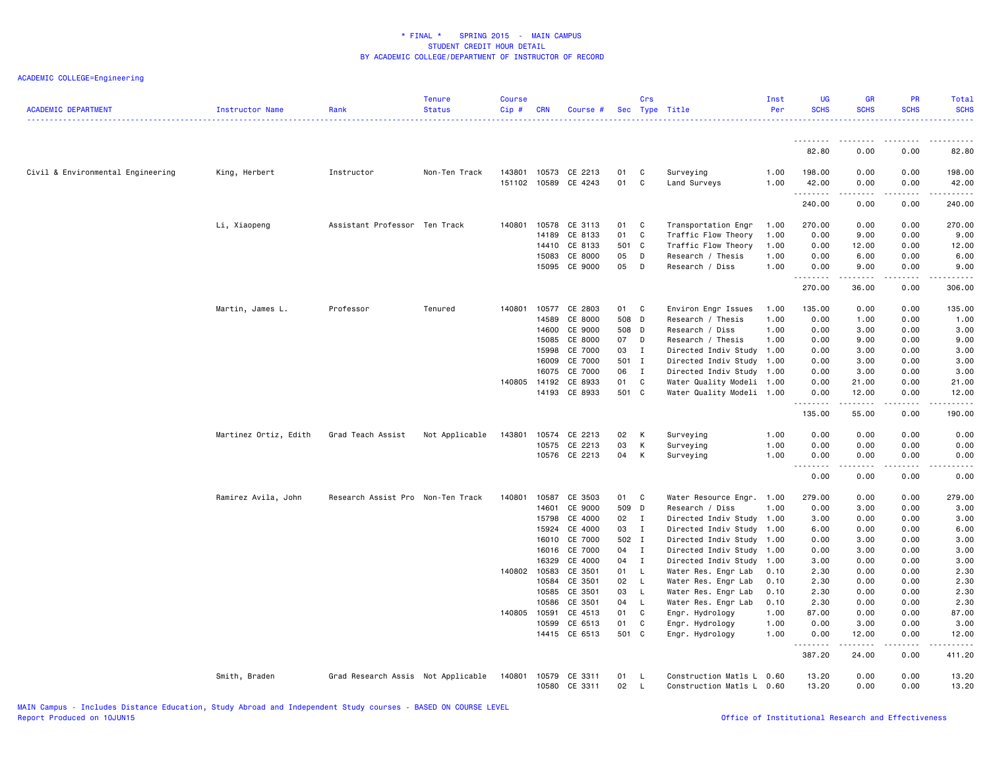| <b>ACADEMIC DEPARTMENT</b>        | Instructor Name       | Rank                               | <b>Tenure</b><br><b>Status</b> | <b>Course</b><br>Cip# | <b>CRN</b>     | Course #                              |             | Crs          | Sec Type Title                               | Inst<br>Per  | <b>UG</b><br><b>SCHS</b> | <b>GR</b><br><b>SCHS</b> | <b>PR</b><br><b>SCHS</b>            | Total<br><b>SCHS</b>                                                                                                                                                                               |
|-----------------------------------|-----------------------|------------------------------------|--------------------------------|-----------------------|----------------|---------------------------------------|-------------|--------------|----------------------------------------------|--------------|--------------------------|--------------------------|-------------------------------------|----------------------------------------------------------------------------------------------------------------------------------------------------------------------------------------------------|
|                                   |                       |                                    |                                |                       |                |                                       |             |              |                                              |              | <u>.</u>                 | -----                    |                                     | .                                                                                                                                                                                                  |
|                                   |                       |                                    |                                |                       |                |                                       |             |              |                                              |              | 82.80                    | 0.00                     | 0.00                                | 82.80                                                                                                                                                                                              |
| Civil & Environmental Engineering | King, Herbert         | Instructor                         | Non-Ten Track                  | 143801                |                | 10573 CE 2213<br>151102 10589 CE 4243 | 01<br>01    | C<br>C       | Surveying<br>Land Surveys                    | 1.00<br>1.00 | 198.00<br>42.00<br>.     | 0.00<br>0.00<br>.        | 0.00<br>0.00<br>.                   | 198.00<br>42.00<br>$\frac{1}{2} \left( \frac{1}{2} \right) \left( \frac{1}{2} \right) \left( \frac{1}{2} \right) \left( \frac{1}{2} \right) \left( \frac{1}{2} \right) \left( \frac{1}{2} \right)$ |
|                                   |                       |                                    |                                |                       |                |                                       |             |              |                                              |              | 240.00                   | 0.00                     | 0.00                                | 240.00                                                                                                                                                                                             |
|                                   | Li, Xiaopeng          | Assistant Professor                | Ten Track                      | 140801                | 10578          | CE 3113                               | 01          | C            | Transportation Engr                          | 1.00         | 270.00                   | 0.00                     | 0.00                                | 270.00                                                                                                                                                                                             |
|                                   |                       |                                    |                                |                       | 14189          | CE 8133                               | 01          | C            | Traffic Flow Theory                          | 1.00         | 0.00                     | 9.00                     | 0.00                                | 9.00                                                                                                                                                                                               |
|                                   |                       |                                    |                                |                       | 14410          | CE 8133                               | 501 C       |              | Traffic Flow Theory                          | 1.00         | 0.00                     | 12.00                    | 0.00                                | 12.00                                                                                                                                                                                              |
|                                   |                       |                                    |                                |                       | 15083          | CE 8000                               | 05          | D            | Research / Thesis                            | 1.00         | 0.00                     | 6.00                     | 0.00                                | 6.00                                                                                                                                                                                               |
|                                   |                       |                                    |                                |                       | 15095          | CE 9000                               | 05          | D            | Research / Diss                              | 1.00         | 0.00<br>.                | 9.00<br>.                | 0.00<br>$\frac{1}{2}$               | 9.00                                                                                                                                                                                               |
|                                   |                       |                                    |                                |                       |                |                                       |             |              |                                              |              | 270.00                   | 36.00                    | 0.00                                | 306.00                                                                                                                                                                                             |
|                                   | Martin, James L.      | Professor                          | Tenured                        | 140801                | 10577          | CE 2803                               | 01 C        |              | Environ Engr Issues                          | 1.00         | 135.00                   | 0.00                     | 0.00                                | 135.00                                                                                                                                                                                             |
|                                   |                       |                                    |                                |                       | 14589          | CE 8000                               | 508 D       |              | Research / Thesis                            | 1.00         | 0.00                     | 1.00                     | 0.00                                | 1.00                                                                                                                                                                                               |
|                                   |                       |                                    |                                |                       | 14600          | CE 9000                               | 508 D       |              | Research / Diss                              | 1.00         | 0.00                     | 3.00                     | 0.00                                | 3.00                                                                                                                                                                                               |
|                                   |                       |                                    |                                |                       | 15085          | CE 8000                               | 07          | D            | Research / Thesis                            | 1.00         | 0.00                     | 9.00                     | 0.00                                | 9.00                                                                                                                                                                                               |
|                                   |                       |                                    |                                |                       | 15998          | CE 7000                               | 03          | $\mathbf{I}$ | Directed Indiv Study                         | 1.00         | 0.00                     | 3.00                     | 0.00                                | 3.00                                                                                                                                                                                               |
|                                   |                       |                                    |                                |                       | 16009<br>16075 | CE 7000<br>CE 7000                    | 501 I<br>06 | $\mathbf{I}$ | Directed Indiv Study<br>Directed Indiv Study | 1.00<br>1.00 | 0.00<br>0.00             | 3.00<br>3.00             | 0.00<br>0.00                        | 3.00<br>3.00                                                                                                                                                                                       |
|                                   |                       |                                    |                                | 140805                | 14192          | CE 8933                               | 01          | C            | Water Quality Modeli 1.00                    |              | 0.00                     | 21.00                    | 0.00                                | 21.00                                                                                                                                                                                              |
|                                   |                       |                                    |                                |                       |                | 14193 CE 8933                         | 501 C       |              | Water Quality Modeli 1.00                    |              | 0.00                     | 12.00                    | 0.00                                | 12.00                                                                                                                                                                                              |
|                                   |                       |                                    |                                |                       |                |                                       |             |              |                                              |              | 135.00                   | .<br>55.00               | $\sim$ $\sim$ $\sim$ $\sim$<br>0.00 | 190.00                                                                                                                                                                                             |
|                                   | Martinez Ortiz, Edith | Grad Teach Assist                  | Not Applicable                 | 143801                | 10574          | CE 2213                               | 02          | K            | Surveying                                    | 1.00         | 0.00                     | 0.00                     | 0.00                                | 0.00                                                                                                                                                                                               |
|                                   |                       |                                    |                                |                       | 10575          | CE 2213                               | 03          | K            | Surveying                                    | 1.00         | 0.00                     | 0.00                     | 0.00                                | 0.00                                                                                                                                                                                               |
|                                   |                       |                                    |                                |                       |                | 10576 CE 2213                         | 04          | K            | Surveying                                    | 1.00         | 0.00<br>.                | 0.00<br>.                | 0.00<br><u>.</u>                    | 0.00<br>.                                                                                                                                                                                          |
|                                   |                       |                                    |                                |                       |                |                                       |             |              |                                              |              | 0.00                     | 0.00                     | 0.00                                | 0.00                                                                                                                                                                                               |
|                                   | Ramirez Avila, John   | Research Assist Pro Non-Ten Track  |                                | 140801                | 10587          | CE 3503                               | 01          | $\mathbf{C}$ | Water Resource Engr. 1.00                    |              | 279.00                   | 0.00                     | 0.00                                | 279.00                                                                                                                                                                                             |
|                                   |                       |                                    |                                |                       | 14601          | CE 9000                               | 509 D       |              | Research / Diss                              | 1.00         | 0.00                     | 3.00                     | 0.00                                | 3.00                                                                                                                                                                                               |
|                                   |                       |                                    |                                |                       | 15798          | CE 4000                               | 02          | $\mathbf{I}$ | Directed Indiv Study                         | 1.00         | 3.00                     | 0.00                     | 0.00                                | 3.00                                                                                                                                                                                               |
|                                   |                       |                                    |                                |                       | 15924          | CE 4000                               | 03          | $\mathbf{I}$ | Directed Indiv Study 1.00                    |              | 6.00                     | 0.00                     | 0.00                                | 6.00                                                                                                                                                                                               |
|                                   |                       |                                    |                                |                       |                | 16010 CE 7000                         | 502 I       |              | Directed Indiv Study                         | 1.00         | 0.00                     | 3.00                     | 0.00                                | 3.00                                                                                                                                                                                               |
|                                   |                       |                                    |                                |                       | 16016          | CE 7000                               | 04          | $\mathbf{I}$ | Directed Indiv Study                         | 1.00         | 0.00                     | 3.00                     | 0.00                                | 3.00                                                                                                                                                                                               |
|                                   |                       |                                    |                                | 140802 10583          | 16329          | CE 4000<br>CE 3501                    | 04 I<br>01  | $\mathsf{L}$ | Directed Indiv Study<br>Water Res. Engr Lab  | 1.00<br>0.10 | 3.00<br>2.30             | 0.00<br>0.00             | 0.00<br>0.00                        | 3.00<br>2.30                                                                                                                                                                                       |
|                                   |                       |                                    |                                |                       | 10584          | CE 3501                               | 02 L        |              | Water Res. Engr Lab                          | 0.10         | 2.30                     | 0.00                     | 0.00                                | 2.30                                                                                                                                                                                               |
|                                   |                       |                                    |                                |                       | 10585          | CE 3501                               | 03          | L            | Water Res. Engr Lab                          | 0.10         | 2.30                     | 0.00                     | 0.00                                | 2.30                                                                                                                                                                                               |
|                                   |                       |                                    |                                |                       | 10586          | CE 3501                               | 04          | L            | Water Res. Engr Lab                          | 0.10         | 2.30                     | 0.00                     | 0.00                                | 2.30                                                                                                                                                                                               |
|                                   |                       |                                    |                                | 140805                | 10591          | CE 4513                               | 01          | C            | Engr. Hydrology                              | 1.00         | 87.00                    | 0.00                     | 0.00                                | 87.00                                                                                                                                                                                              |
|                                   |                       |                                    |                                |                       | 10599          | CE 6513                               | 01          | C            | Engr. Hydrology                              | 1.00         | 0.00                     | 3.00                     | 0.00                                | 3.00                                                                                                                                                                                               |
|                                   |                       |                                    |                                |                       |                | 14415 CE 6513                         | 501 C       |              | Engr. Hydrology                              | 1.00         | 0.00<br><u>.</u>         | 12.00<br>$- - - - -$     | 0.00<br>.                           | 12.00<br>.                                                                                                                                                                                         |
|                                   |                       |                                    |                                |                       |                |                                       |             |              |                                              |              | 387.20                   | 24.00                    | 0.00                                | 411.20                                                                                                                                                                                             |
|                                   | Smith, Braden         | Grad Research Assis Not Applicable |                                | 140801                | 10579          | CE 3311                               | 01          | - L          | Construction Matls L                         | 0.60         | 13.20                    | 0.00                     | 0.00                                | 13.20                                                                                                                                                                                              |
|                                   |                       |                                    |                                |                       |                | 10580 CE 3311                         | 02          | $\mathsf{L}$ | Construction Matls L 0.60                    |              | 13.20                    | 0.00                     | 0.00                                | 13.20                                                                                                                                                                                              |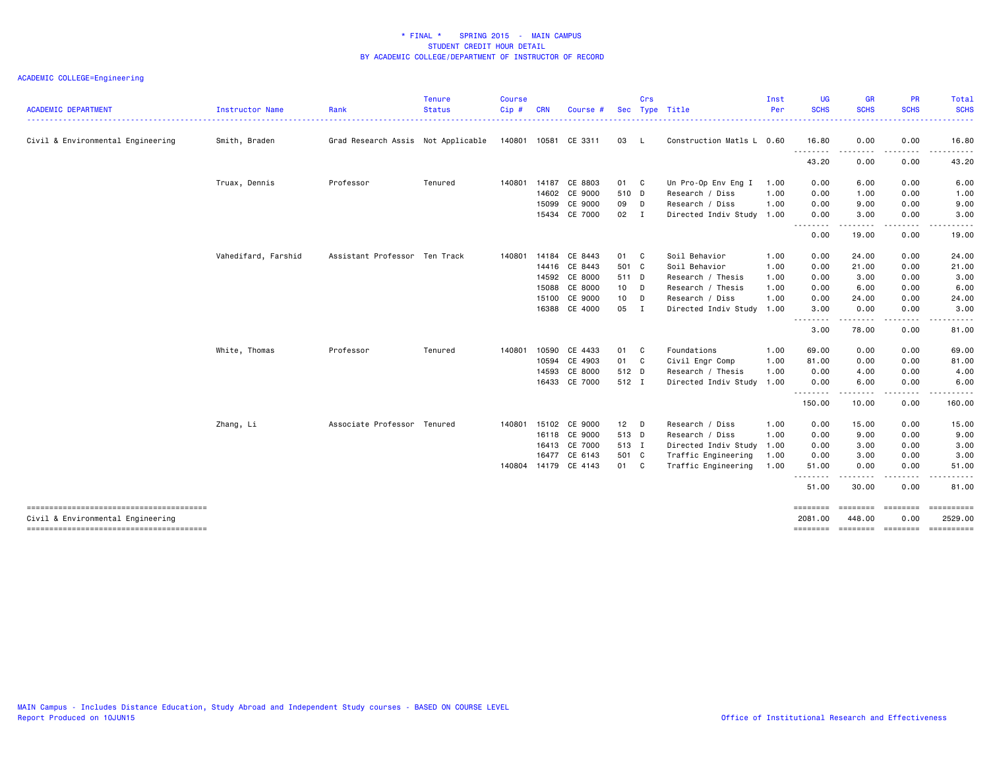| <b>ACADEMIC DEPARTMENT</b>                                                  | Instructor Name     | Rank                               | <b>Tenure</b><br><b>Status</b> | <b>Course</b><br>Cip# | <b>CRN</b> | Course               | <b>Sec</b> | Crs | Type Title                | Inst<br>Per | <b>UG</b><br><b>SCHS</b> | <b>GR</b><br><b>SCHS</b> | <b>PR</b><br><b>SCHS</b>  | Total<br><b>SCHS</b>    |
|-----------------------------------------------------------------------------|---------------------|------------------------------------|--------------------------------|-----------------------|------------|----------------------|------------|-----|---------------------------|-------------|--------------------------|--------------------------|---------------------------|-------------------------|
| Civil & Environmental Engineering                                           | Smith, Braden       | Grad Research Assis Not Applicable |                                |                       |            | 140801 10581 CE 3311 | 03 L       |     | Construction Matls L 0.60 |             | 16.80                    | 0.00                     | 0.00                      | 16.80                   |
|                                                                             |                     |                                    |                                |                       |            |                      |            |     |                           |             | .<br>43.20               | $- - -$<br>0.00          | 0.00                      | 43.20                   |
|                                                                             | Truax, Dennis       | Professor                          | Tenured                        | 140801                |            | 14187 CE 8803        | 01 C       |     | Un Pro-Op Env Eng I       | 1.00        | 0.00                     | 6.00                     | 0.00                      | 6.00                    |
|                                                                             |                     |                                    |                                |                       |            | 14602 CE 9000        | 510 D      |     | Research / Diss           | 1.00        | 0.00                     | 1.00                     | 0.00                      | 1.00                    |
|                                                                             |                     |                                    |                                |                       |            | 15099 CE 9000        | 09 D       |     | Research / Diss           | 1.00        | 0.00                     | 9.00                     | 0.00                      | 9.00                    |
|                                                                             |                     |                                    |                                |                       |            | 15434 CE 7000        | 02 I       |     | Directed Indiv Study 1.00 |             | 0.00                     | 3.00                     | 0.00                      | 3.00                    |
|                                                                             |                     |                                    |                                |                       |            |                      |            |     |                           |             | --------<br>0.00         | .<br>19.00               | -----<br>0.00             | .<br>19.00              |
|                                                                             | Vahedifard, Farshid | Assistant Professor Ten Track      |                                | 140801                |            | 14184 CE 8443        | 01 C       |     | Soil Behavior             | 1.00        | 0.00                     | 24.00                    | 0.00                      | 24.00                   |
|                                                                             |                     |                                    |                                |                       |            | 14416 CE 8443        | 501 C      |     | Soil Behavior             | 1.00        | 0.00                     | 21.00                    | 0.00                      | 21.00                   |
|                                                                             |                     |                                    |                                |                       |            | 14592 CE 8000        | 511 D      |     | Research / Thesis         | 1.00        | 0.00                     | 3.00                     | 0.00                      | 3.00                    |
|                                                                             |                     |                                    |                                |                       | 15088      | CE 8000              | 10 D       |     | Research / Thesis         | 1.00        | 0.00                     | 6.00                     | 0.00                      | 6.00                    |
|                                                                             |                     |                                    |                                |                       | 15100      | CE 9000              | 10         | D   | Research / Diss           | 1.00        | 0.00                     | 24.00                    | 0.00                      | 24.00                   |
|                                                                             |                     |                                    |                                |                       |            | 16388 CE 4000        | 05 I       |     | Directed Indiv Study      | 1.00        | 3.00                     | 0.00                     | 0.00                      | 3.00                    |
|                                                                             |                     |                                    |                                |                       |            |                      |            |     |                           |             | .<br>3.00                | .<br>78.00               | -----<br>0.00             | 81.00                   |
|                                                                             | White, Thomas       | Professor                          | Tenured                        | 140801                | 10590      | CE 4433              | 01 C       |     | Foundations               | 1.00        | 69.00                    | 0.00                     | 0.00                      | 69.00                   |
|                                                                             |                     |                                    |                                |                       |            | 10594 CE 4903        | 01 C       |     | Civil Engr Comp           | 1.00        | 81.00                    | 0.00                     | 0.00                      | 81.00                   |
|                                                                             |                     |                                    |                                |                       | 14593      | CE 8000              | 512 D      |     | Research / Thesis         | 1.00        | 0.00                     | 4.00                     | 0.00                      | 4.00                    |
|                                                                             |                     |                                    |                                |                       |            | 16433 CE 7000        | 512 I      |     | Directed Indiv Study      | 1.00        | 0.00                     | 6.00                     | 0.00                      | 6.00                    |
|                                                                             |                     |                                    |                                |                       |            |                      |            |     |                           |             | .<br>150.00              | $- - - -$<br>10.00       | 0.00                      | $\frac{1}{2}$<br>160.00 |
|                                                                             | Zhang, Li           | Associate Professor Tenured        |                                | 140801                |            | 15102 CE 9000        | $12$ D     |     | Research / Diss           | 1.00        | 0.00                     | 15.00                    | 0.00                      | 15.00                   |
|                                                                             |                     |                                    |                                |                       |            | 16118 CE 9000        | 513 D      |     | Research / Diss           | 1.00        | 0.00                     | 9.00                     | 0.00                      | 9.00                    |
|                                                                             |                     |                                    |                                |                       |            | 16413 CE 7000        | 513 I      |     | Directed Indiv Study      | 1.00        | 0.00                     | 3.00                     | 0.00                      | 3.00                    |
|                                                                             |                     |                                    |                                |                       |            | 16477 CE 6143        | 501 C      |     | Traffic Engineering       | 1.00        | 0.00                     | 3.00                     | 0.00                      | 3.00                    |
|                                                                             |                     |                                    |                                | 140804                |            | 14179 CE 4143        | 01 C       |     | Traffic Engineering       | 1.00        | 51.00                    | 0.00                     | 0.00                      | 51.00                   |
|                                                                             |                     |                                    |                                |                       |            |                      |            |     |                           |             | .<br>51.00               | ------<br>30.00          | 0.00                      | 81.00                   |
| --------------------------------------                                      |                     |                                    |                                |                       |            |                      |            |     |                           |             | ========                 | ========                 | ========                  |                         |
| Civil & Environmental Engineering<br>-------------------------------------- |                     |                                    |                                |                       |            |                      |            |     |                           |             | 2081.00<br>========      | 448.00                   | 0.00<br>================= | 2529.00<br>==========   |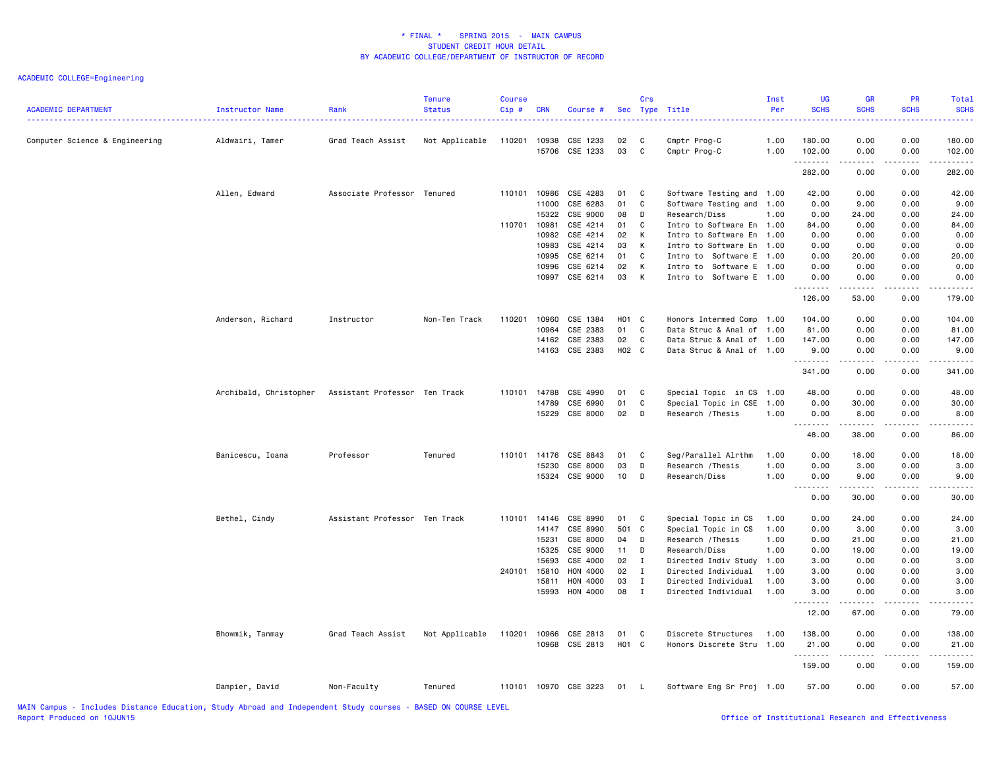| <b>ACADEMIC DEPARTMENT</b>     | Instructor Name        | Rank                          | <b>Tenure</b><br><b>Status</b> | Course<br>Cip# | <b>CRN</b>     | Course #             |          | Crs            | Sec Type Title               | Inst<br>Per  | <b>UG</b><br><b>SCHS</b> | <b>GR</b><br><b>SCHS</b><br>2222                                                                                                                             | <b>PR</b><br><b>SCHS</b> | Total<br><b>SCHS</b><br>.                                                                                                                                      |
|--------------------------------|------------------------|-------------------------------|--------------------------------|----------------|----------------|----------------------|----------|----------------|------------------------------|--------------|--------------------------|--------------------------------------------------------------------------------------------------------------------------------------------------------------|--------------------------|----------------------------------------------------------------------------------------------------------------------------------------------------------------|
| Computer Science & Engineering | Aldwairi, Tamer        | Grad Teach Assist             | Not Applicable                 | 110201         | 10938<br>15706 | CSE 1233<br>CSE 1233 | 02<br>03 | C<br>C         | Cmptr Prog-C<br>Cmptr Prog-C | 1.00<br>1.00 | 180.00<br>102.00         | 0.00<br>0.00                                                                                                                                                 | 0.00<br>0.00             | 180.00<br>102.00                                                                                                                                               |
|                                |                        |                               |                                |                |                |                      |          |                |                              |              | .<br>282.00              | .<br>0.00                                                                                                                                                    | .<br>0.00                | $\frac{1}{2} \left( \frac{1}{2} \right) \left( \frac{1}{2} \right) \left( \frac{1}{2} \right) \left( \frac{1}{2} \right) \left( \frac{1}{2} \right)$<br>282.00 |
|                                | Allen, Edward          | Associate Professor Tenured   |                                | 110101         | 10986          | CSE 4283             | 01       | C              | Software Testing and 1.00    |              | 42.00                    | 0.00                                                                                                                                                         | 0.00                     | 42.00                                                                                                                                                          |
|                                |                        |                               |                                |                | 11000          | CSE 6283             | 01       | C              | Software Testing and 1.00    |              | 0.00                     | 9.00                                                                                                                                                         | 0.00                     | 9.00                                                                                                                                                           |
|                                |                        |                               |                                |                | 15322          | CSE 9000             | 08       | D              | Research/Diss                | 1.00         | 0.00                     | 24.00                                                                                                                                                        | 0.00                     | 24.00                                                                                                                                                          |
|                                |                        |                               |                                | 110701         | 10981          | CSE 4214             | 01       | C              | Intro to Software En 1.00    |              | 84.00                    | 0.00                                                                                                                                                         | 0.00                     | 84.00                                                                                                                                                          |
|                                |                        |                               |                                |                | 10982          | CSE 4214             | 02       | К              | Intro to Software En         | 1.00         | 0.00                     | 0.00                                                                                                                                                         | 0.00                     | 0.00                                                                                                                                                           |
|                                |                        |                               |                                |                | 10983          | CSE 4214             | 03       | K              | Intro to Software En         | 1.00         | 0.00                     | 0.00                                                                                                                                                         | 0.00                     | 0.00                                                                                                                                                           |
|                                |                        |                               |                                |                | 10995          | CSE 6214             | 01       | C              | Intro to Software E 1.00     |              | 0.00                     | 20.00                                                                                                                                                        | 0.00                     | 20.00                                                                                                                                                          |
|                                |                        |                               |                                |                | 10996          | CSE 6214             | 02       | К              | Intro to Software E 1.00     |              | 0.00                     | 0.00                                                                                                                                                         | 0.00                     | 0.00                                                                                                                                                           |
|                                |                        |                               |                                |                | 10997          | CSE 6214             | 03       | К              | Intro to Software E 1.00     |              | 0.00<br>.                | 0.00<br>$\frac{1}{2} \left( \frac{1}{2} \right) \left( \frac{1}{2} \right) \left( \frac{1}{2} \right) \left( \frac{1}{2} \right) \left( \frac{1}{2} \right)$ | 0.00<br>.                | 0.00<br>.                                                                                                                                                      |
|                                |                        |                               |                                |                |                |                      |          |                |                              |              | 126.00                   | 53.00                                                                                                                                                        | 0.00                     | 179.00                                                                                                                                                         |
|                                | Anderson, Richard      | Instructor                    | Non-Ten Track                  | 110201         | 10960          | CSE 1384             | H01 C    |                | Honors Intermed Comp         | 1.00         | 104.00                   | 0.00                                                                                                                                                         | 0.00                     | 104.00                                                                                                                                                         |
|                                |                        |                               |                                |                | 10964          | CSE 2383             | 01       | $\mathbf C$    | Data Struc & Anal of 1.00    |              | 81.00                    | 0.00                                                                                                                                                         | 0.00                     | 81.00                                                                                                                                                          |
|                                |                        |                               |                                |                | 14162          | CSE 2383             | 02       | C              | Data Struc & Anal of 1.00    |              | 147.00                   | 0.00                                                                                                                                                         | 0.00                     | 147.00                                                                                                                                                         |
|                                |                        |                               |                                |                | 14163          | CSE 2383             | H02 C    |                | Data Struc & Anal of 1.00    |              | 9.00                     | 0.00                                                                                                                                                         | 0.00<br>.                | 9.00<br>.                                                                                                                                                      |
|                                |                        |                               |                                |                |                |                      |          |                |                              |              | .<br>341.00              | .<br>0.00                                                                                                                                                    | 0.00                     | 341.00                                                                                                                                                         |
|                                | Archibald, Christopher | Assistant Professor Ten Track |                                | 110101         | 14788          | CSE 4990             | 01       | C              | Special Topic in CS 1.00     |              | 48.00                    | 0.00                                                                                                                                                         | 0.00                     | 48.00                                                                                                                                                          |
|                                |                        |                               |                                |                | 14789          | CSE 6990             | 01       | C              | Special Topic in CSE 1.00    |              | 0.00                     | 30.00                                                                                                                                                        | 0.00                     | 30.00                                                                                                                                                          |
|                                |                        |                               |                                |                | 15229          | CSE 8000             | 02       | D              | Research / Thesis            | 1.00         | 0.00<br>.                | 8.00<br>. <b>.</b> .                                                                                                                                         | 0.00<br>-----            | 8.00<br>.                                                                                                                                                      |
|                                |                        |                               |                                |                |                |                      |          |                |                              |              | 48.00                    | 38.00                                                                                                                                                        | 0.00                     | 86.00                                                                                                                                                          |
|                                | Banicescu, Ioana       | Professor                     | Tenured                        | 110101         | 14176          | CSE 8843             | 01       | C              | Seg/Parallel Alrthm          | 1.00         | 0.00                     | 18.00                                                                                                                                                        | 0.00                     | 18.00                                                                                                                                                          |
|                                |                        |                               |                                |                | 15230          | CSE 8000             | 03       | D              | Research / Thesis            | 1.00         | 0.00                     | 3.00                                                                                                                                                         | 0.00                     | 3.00                                                                                                                                                           |
|                                |                        |                               |                                |                | 15324          | CSE 9000             | 10       | D              | Research/Diss                | 1.00         | 0.00<br>.                | 9.00<br>.                                                                                                                                                    | 0.00<br>-----            | 9.00<br>.                                                                                                                                                      |
|                                |                        |                               |                                |                |                |                      |          |                |                              |              | 0.00                     | 30.00                                                                                                                                                        | 0.00                     | 30.00                                                                                                                                                          |
|                                | Bethel, Cindy          | Assistant Professor Ten Track |                                | 110101         | 14146          | CSE 8990             | 01       | C              | Special Topic in CS          | 1.00         | 0.00                     | 24.00                                                                                                                                                        | 0.00                     | 24.00                                                                                                                                                          |
|                                |                        |                               |                                |                | 14147          | CSE 8990             | 501 C    |                | Special Topic in CS          | 1.00         | 0.00                     | 3.00                                                                                                                                                         | 0.00                     | 3.00                                                                                                                                                           |
|                                |                        |                               |                                |                | 15231          | CSE 8000             | 04       | D              | Research / Thesis            | 1.00         | 0.00                     | 21.00                                                                                                                                                        | 0.00                     | 21.00                                                                                                                                                          |
|                                |                        |                               |                                |                | 15325          | CSE 9000             | 11       | D              | Research/Diss                | 1.00         | 0.00                     | 19.00                                                                                                                                                        | 0.00                     | 19.00                                                                                                                                                          |
|                                |                        |                               |                                |                | 15693          | CSE 4000             | 02       | $\mathbf{I}$   | Directed Indiv Study 1.00    |              | 3.00                     | 0.00                                                                                                                                                         | 0.00                     | 3.00                                                                                                                                                           |
|                                |                        |                               |                                | 240101         | 15810          | HON 4000             | 02       | $\mathbf{I}$   | Directed Individual          | 1.00         | 3.00                     | 0.00                                                                                                                                                         | 0.00                     | 3.00                                                                                                                                                           |
|                                |                        |                               |                                |                | 15811          | HON 4000             | 03       | $\blacksquare$ | Directed Individual          | 1.00         | 3.00                     | 0.00                                                                                                                                                         | 0.00                     | 3.00                                                                                                                                                           |
|                                |                        |                               |                                |                | 15993          | HON 4000             | 08       | $\blacksquare$ | Directed Individual          | 1.00         | 3.00<br>.                | 0.00<br>$\frac{1}{2} \left( \frac{1}{2} \right) \left( \frac{1}{2} \right) \left( \frac{1}{2} \right) \left( \frac{1}{2} \right) \left( \frac{1}{2} \right)$ | 0.00<br>.                | 3.00<br>$\sim$ $\sim$ $\sim$ $\sim$                                                                                                                            |
|                                |                        |                               |                                |                |                |                      |          |                |                              |              | 12.00                    | 67.00                                                                                                                                                        | 0.00                     | 79.00                                                                                                                                                          |
|                                | Bhowmik, Tanmay        | Grad Teach Assist             | Not Applicable                 | 110201         | 10966          | CSE 2813             | 01       | C              | Discrete Structures          | 1.00         | 138.00                   | 0.00                                                                                                                                                         | 0.00                     | 138.00                                                                                                                                                         |
|                                |                        |                               |                                |                | 10968          | CSE 2813             | H01 C    |                | Honors Discrete Stru         | 1.00         | 21.00<br>.               | 0.00<br>.                                                                                                                                                    | 0.00<br>.                | 21.00<br>.                                                                                                                                                     |
|                                |                        |                               |                                |                |                |                      |          |                |                              |              | 159.00                   | 0.00                                                                                                                                                         | 0.00                     | 159.00                                                                                                                                                         |
|                                | Dampier, David         | Non-Faculty                   | Tenured                        | 110101         |                | 10970 CSE 3223       | 01       | - L            | Software Eng Sr Proj 1.00    |              | 57.00                    | 0.00                                                                                                                                                         | 0.00                     | 57.00                                                                                                                                                          |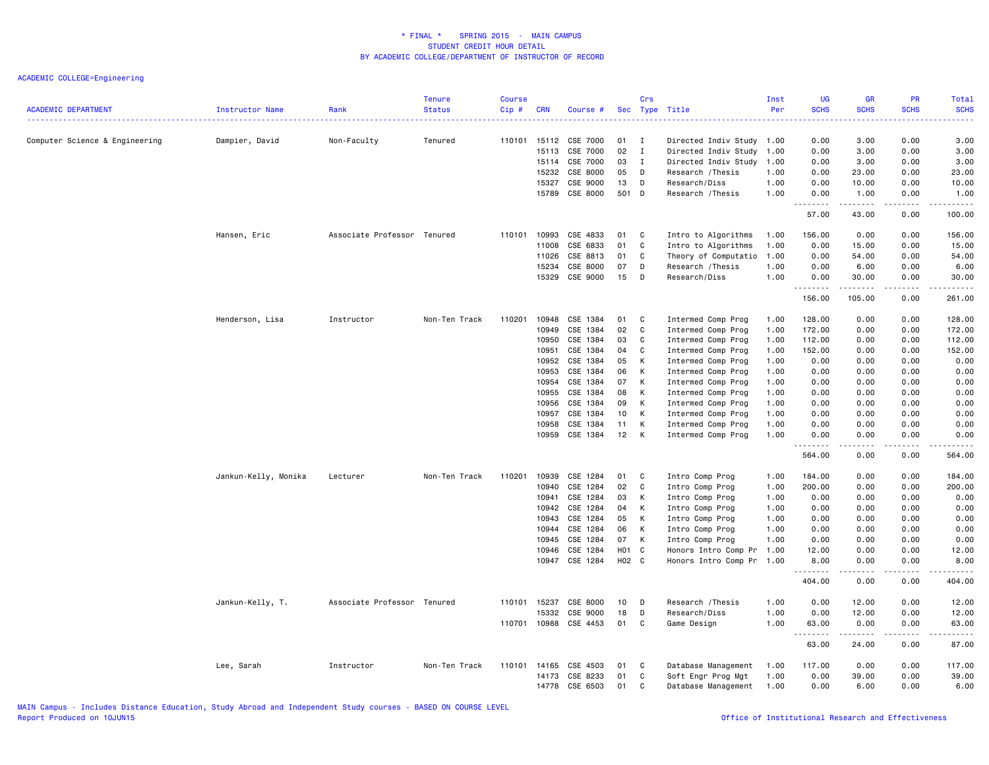| <b>ACADEMIC DEPARTMENT</b>     | Instructor Name      | Rank                        | <b>Tenure</b><br><b>Status</b> | <b>Course</b><br>Cip# | <b>CRN</b>                                                                    | Course #                                                                                                 |                                                          | Crs                                         | Sec Type Title                                                                                                                                                                              | Inst<br>Per                                          | <b>UG</b><br><b>SCHS</b><br>.                                                            | <b>GR</b><br><b>SCHS</b>                                                                                                                                     | <b>PR</b><br><b>SCHS</b><br>.                                                                                                                                                                             | <b>Total</b><br><b>SCHS</b><br><u>.</u>                                                  |
|--------------------------------|----------------------|-----------------------------|--------------------------------|-----------------------|-------------------------------------------------------------------------------|----------------------------------------------------------------------------------------------------------|----------------------------------------------------------|---------------------------------------------|---------------------------------------------------------------------------------------------------------------------------------------------------------------------------------------------|------------------------------------------------------|------------------------------------------------------------------------------------------|--------------------------------------------------------------------------------------------------------------------------------------------------------------|-----------------------------------------------------------------------------------------------------------------------------------------------------------------------------------------------------------|------------------------------------------------------------------------------------------|
| Computer Science & Engineering | Dampier, David       | Non-Faculty                 | Tenured                        |                       | 110101 15112<br>15113<br>15114<br>15232<br>15327                              | CSE 7000<br>CSE 7000<br>CSE 7000<br>CSE 8000<br>CSE 9000                                                 | 01<br>02<br>03<br>05<br>13                               | Ι.<br>$\mathbf I$<br>$\mathbf{I}$<br>D<br>D | Directed Indiv Study 1.00<br>Directed Indiv Study 1.00<br>Directed Indiv Study 1.00<br>Research / Thesis<br>Research/Diss                                                                   | 1.00<br>1.00                                         | 0.00<br>0.00<br>0.00<br>0.00<br>0.00                                                     | 3.00<br>3.00<br>3.00<br>23.00<br>10.00                                                                                                                       | 0.00<br>0.00<br>0.00<br>0.00<br>0.00                                                                                                                                                                      | 3.00<br>3.00<br>3.00<br>23.00<br>10.00                                                   |
|                                |                      |                             |                                |                       | 15789                                                                         | CSE 8000                                                                                                 | 501 D                                                    |                                             | Research / Thesis                                                                                                                                                                           | 1.00                                                 | 0.00<br>$\frac{1}{2}$<br>$- - -$<br>57.00                                                | 1.00<br>.<br>43.00                                                                                                                                           | 0.00<br>.                                                                                                                                                                                                 | 1.00<br>.<br>100.00                                                                      |
|                                | Hansen, Eric         | Associate Professor Tenured |                                | 110101                | 10993                                                                         | CSE 4833                                                                                                 | 01                                                       | C                                           | Intro to Algorithms                                                                                                                                                                         | 1.00                                                 | 156.00                                                                                   | 0.00                                                                                                                                                         | 0.00<br>0.00                                                                                                                                                                                              | 156.00                                                                                   |
|                                |                      |                             |                                |                       | 11008<br>11026<br>15234                                                       | CSE 6833<br>CSE 8813<br>CSE 8000                                                                         | 01<br>01<br>07                                           | C<br>C.<br>D                                | Intro to Algorithms<br>Theory of Computatio 1.00<br>Research / Thesis                                                                                                                       | 1.00<br>1.00                                         | 0.00<br>0.00<br>0.00                                                                     | 15.00<br>54.00<br>6.00                                                                                                                                       | 0.00<br>0.00<br>0.00                                                                                                                                                                                      | 15.00<br>54.00<br>6.00                                                                   |
|                                |                      |                             |                                |                       | 15329                                                                         | CSE 9000                                                                                                 | 15                                                       | D                                           | Research/Diss                                                                                                                                                                               | 1.00                                                 | 0.00<br>.<br>156.00                                                                      | 30.00<br>.<br>105.00                                                                                                                                         | 0.00<br>.<br>0.00                                                                                                                                                                                         | 30.00<br>------<br>261.00                                                                |
|                                | Henderson, Lisa      | Instructor                  | Non-Ten Track                  | 110201                | 10948<br>10949<br>10950<br>10951                                              | CSE 1384<br>CSE 1384<br>CSE 1384<br>CSE 1384                                                             | 01<br>02<br>03<br>04                                     | C<br>C<br>C<br>C                            | Intermed Comp Prog<br>Intermed Comp Prog<br>Intermed Comp Prog<br>Intermed Comp Prog                                                                                                        | 1.00<br>1.00<br>1.00<br>1.00                         | 128.00<br>172.00<br>112.00<br>152.00                                                     | 0.00<br>0.00<br>0.00<br>0.00                                                                                                                                 | 0.00<br>0.00<br>0.00<br>0.00                                                                                                                                                                              | 128.00<br>172.00<br>112.00<br>152.00                                                     |
|                                |                      |                             |                                |                       | 10952<br>10953<br>10954<br>10955                                              | CSE 1384<br>CSE 1384<br>CSE 1384<br>CSE 1384                                                             | 05<br>06<br>07<br>08                                     | K<br>K<br>K<br>к                            | Intermed Comp Prog<br>Intermed Comp Prog<br>Intermed Comp Prog<br>Intermed Comp Prog                                                                                                        | 1.00<br>1.00<br>1.00<br>1.00                         | 0.00<br>0.00<br>0.00<br>0.00                                                             | 0.00<br>0.00<br>0.00<br>0.00                                                                                                                                 | 0.00<br>0.00<br>0.00<br>0.00                                                                                                                                                                              | 0.00<br>0.00<br>0.00<br>0.00                                                             |
|                                |                      |                             |                                |                       | 10956<br>10957<br>10958<br>10959                                              | CSE 1384<br>CSE 1384<br>CSE 1384<br>CSE 1384                                                             | 09<br>10<br>11<br>12                                     | K<br>K<br>К<br>К                            | Intermed Comp Prog<br>Intermed Comp Prog<br>Intermed Comp Prog<br>Intermed Comp Prog                                                                                                        | 1.00<br>1.00<br>1.00<br>1.00                         | 0.00<br>0.00<br>0.00<br>0.00                                                             | 0.00<br>0.00<br>0.00<br>0.00                                                                                                                                 | 0.00<br>0.00<br>0.00<br>0.00                                                                                                                                                                              | 0.00<br>0.00<br>0.00<br>0.00                                                             |
|                                |                      |                             |                                |                       |                                                                               |                                                                                                          |                                                          |                                             |                                                                                                                                                                                             |                                                      | .<br>564.00                                                                              | $\frac{1}{2} \left( \frac{1}{2} \right) \left( \frac{1}{2} \right) \left( \frac{1}{2} \right) \left( \frac{1}{2} \right) \left( \frac{1}{2} \right)$<br>0.00 | .<br>0.00                                                                                                                                                                                                 | .<br>564.00                                                                              |
|                                | Jankun-Kelly, Monika | Lecturer                    | Non-Ten Track                  | 110201                | 10939<br>10940<br>10941<br>10942<br>10943<br>10944<br>10945<br>10946<br>10947 | CSE 1284<br>CSE 1284<br>CSE 1284<br>CSE 1284<br>CSE 1284<br>CSE 1284<br>CSE 1284<br>CSE 1284<br>CSE 1284 | 01<br>02<br>03<br>04<br>05<br>06<br>07<br>H01 C<br>H02 C | C<br>C.<br>К<br>K<br>K<br>K<br>K            | Intro Comp Prog<br>Intro Comp Prog<br>Intro Comp Prog<br>Intro Comp Prog<br>Intro Comp Prog<br>Intro Comp Prog<br>Intro Comp Prog<br>Honors Intro Comp Pr 1.00<br>Honors Intro Comp Pr 1.00 | 1.00<br>1.00<br>1.00<br>1.00<br>1.00<br>1.00<br>1.00 | 184.00<br>200.00<br>0.00<br>0.00<br>0.00<br>0.00<br>0.00<br>12.00<br>8.00<br>.<br>404.00 | 0.00<br>0.00<br>0.00<br>0.00<br>0.00<br>0.00<br>0.00<br>0.00<br>0.00<br>-----<br>0.00                                                                        | 0.00<br>0.00<br>0.00<br>0.00<br>0.00<br>0.00<br>0.00<br>0.00<br>0.00<br>$\frac{1}{2} \left( \frac{1}{2} \right) \left( \frac{1}{2} \right) \left( \frac{1}{2} \right) \left( \frac{1}{2} \right)$<br>0.00 | 184.00<br>200.00<br>0.00<br>0.00<br>0.00<br>0.00<br>0.00<br>12.00<br>8.00<br>.<br>404.00 |
|                                | Jankun-Kelly, T.     | Associate Professor Tenured |                                | 110701                | 110101 15237<br>15332<br>10988                                                | CSE 8000<br>CSE 9000<br>CSE 4453                                                                         | 10<br>18<br>01                                           | D<br>D<br>C                                 | Research / Thesis<br>Research/Diss<br>Game Design                                                                                                                                           | 1.00<br>1.00<br>1.00                                 | 0.00<br>0.00<br>63.00                                                                    | 12.00<br>12.00<br>0.00                                                                                                                                       | 0.00<br>0.00<br>0.00                                                                                                                                                                                      | 12.00<br>12.00<br>63.00                                                                  |
|                                |                      |                             |                                |                       |                                                                               |                                                                                                          |                                                          |                                             |                                                                                                                                                                                             |                                                      | .<br>63.00                                                                               | المستمين<br>24.00                                                                                                                                            | .<br>0.00                                                                                                                                                                                                 | .<br>87.00                                                                               |
|                                | Lee, Sarah           | Instructor                  | Non-Ten Track                  | 110101                | 14165<br>14173<br>14778                                                       | CSE 4503<br>CSE 8233<br>CSE 6503                                                                         | 01<br>01<br>01                                           | C<br>C<br>C                                 | Database Management<br>Soft Engr Prog Mgt<br>Database Management                                                                                                                            | 1.00<br>1.00<br>1.00                                 | 117.00<br>0.00<br>0.00                                                                   | 0.00<br>39.00<br>6.00                                                                                                                                        | 0.00<br>0.00<br>0.00                                                                                                                                                                                      | 117.00<br>39.00<br>6.00                                                                  |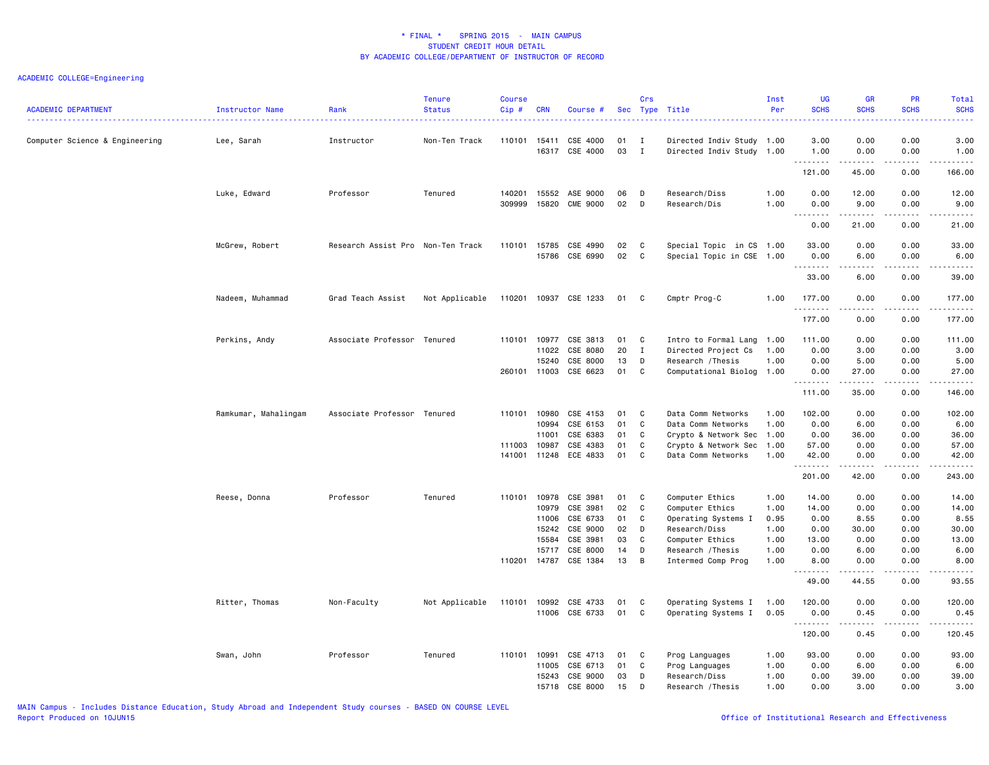| <b>ACADEMIC DEPARTMENT</b>     | Instructor Name      | Rank                              | <b>Tenure</b><br><b>Status</b> | <b>Course</b><br>Cip# | <b>CRN</b>                                                  | Course #                                                                         |                                        | Crs                             | Sec Type Title                                                                                                                          | Inst<br>Per                                          | <b>UG</b><br><b>SCHS</b>                                                                                                                                                                                                                                                                                                                                                                                                                                                                                 | <b>GR</b><br><b>SCHS</b>                                                                                                                                                                                                                                                                                                                             | PR<br><b>SCHS</b>                                            | <b>Total</b><br><b>SCHS</b>                                                                                                                                                                                               |
|--------------------------------|----------------------|-----------------------------------|--------------------------------|-----------------------|-------------------------------------------------------------|----------------------------------------------------------------------------------|----------------------------------------|---------------------------------|-----------------------------------------------------------------------------------------------------------------------------------------|------------------------------------------------------|----------------------------------------------------------------------------------------------------------------------------------------------------------------------------------------------------------------------------------------------------------------------------------------------------------------------------------------------------------------------------------------------------------------------------------------------------------------------------------------------------------|------------------------------------------------------------------------------------------------------------------------------------------------------------------------------------------------------------------------------------------------------------------------------------------------------------------------------------------------------|--------------------------------------------------------------|---------------------------------------------------------------------------------------------------------------------------------------------------------------------------------------------------------------------------|
| Computer Science & Engineering | Lee, Sarah           | Instructor                        | Non-Ten Track                  | 110101 15411          |                                                             | CSE 4000<br>16317 CSE 4000                                                       | 01<br>03                               | $\mathbf{I}$<br>$\mathbf{I}$    | Directed Indiv Study 1.00<br>Directed Indiv Study 1.00                                                                                  |                                                      | 3.00<br>1.00                                                                                                                                                                                                                                                                                                                                                                                                                                                                                             | 0.00<br>0.00                                                                                                                                                                                                                                                                                                                                         | 0.00<br>0.00                                                 | 3.00<br>1.00                                                                                                                                                                                                              |
|                                |                      |                                   |                                |                       |                                                             |                                                                                  |                                        |                                 |                                                                                                                                         |                                                      | .<br>121.00                                                                                                                                                                                                                                                                                                                                                                                                                                                                                              | 45.00                                                                                                                                                                                                                                                                                                                                                | .<br>0.00                                                    | .<br>166.00                                                                                                                                                                                                               |
|                                | Luke, Edward         | Professor                         | Tenured                        | 140201<br>309999      | 15552<br>15820                                              | ASE 9000<br><b>CME 9000</b>                                                      | 06<br>02                               | D<br>D                          | Research/Diss<br>Research/Dis                                                                                                           | 1.00<br>1.00                                         | 0.00<br>0.00<br>$\sim$ $\sim$ $\sim$<br>$- - - - -$                                                                                                                                                                                                                                                                                                                                                                                                                                                      | 12.00<br>9.00<br>-----                                                                                                                                                                                                                                                                                                                               | 0.00<br>0.00                                                 | 12.00<br>9.00<br>$\frac{1}{2}$                                                                                                                                                                                            |
|                                |                      |                                   |                                |                       |                                                             |                                                                                  |                                        |                                 |                                                                                                                                         |                                                      | 0.00                                                                                                                                                                                                                                                                                                                                                                                                                                                                                                     | 21.00                                                                                                                                                                                                                                                                                                                                                | 0.00                                                         | 21.00                                                                                                                                                                                                                     |
|                                | McGrew, Robert       | Research Assist Pro Non-Ten Track |                                |                       | 110101 15785                                                | CSE 4990<br>15786 CSE 6990                                                       | 02<br>02                               | C<br>C                          | Special Topic in CS 1.00<br>Special Topic in CSE 1.00                                                                                   |                                                      | 33.00<br>0.00<br>1.1.1.1.1.1.1                                                                                                                                                                                                                                                                                                                                                                                                                                                                           | 0.00<br>6.00<br>-----                                                                                                                                                                                                                                                                                                                                | 0.00<br>0.00<br>.                                            | 33.00<br>6.00<br>.                                                                                                                                                                                                        |
|                                |                      |                                   |                                |                       |                                                             |                                                                                  |                                        |                                 |                                                                                                                                         |                                                      | 33.00                                                                                                                                                                                                                                                                                                                                                                                                                                                                                                    | 6.00                                                                                                                                                                                                                                                                                                                                                 | 0.00                                                         | 39.00                                                                                                                                                                                                                     |
|                                | Nadeem, Muhammad     | Grad Teach Assist                 | Not Applicable                 |                       |                                                             | 110201 10937 CSE 1233                                                            | 01                                     | C                               | Cmptr Prog-C                                                                                                                            | 1.00                                                 | 177.00<br>.                                                                                                                                                                                                                                                                                                                                                                                                                                                                                              | 0.00<br>.                                                                                                                                                                                                                                                                                                                                            | 0.00<br>$\omega$ is a $\omega$                               | 177.00<br><u>.</u>                                                                                                                                                                                                        |
|                                |                      |                                   |                                |                       |                                                             |                                                                                  |                                        |                                 |                                                                                                                                         |                                                      | 177.00                                                                                                                                                                                                                                                                                                                                                                                                                                                                                                   | 0.00                                                                                                                                                                                                                                                                                                                                                 | 0.00                                                         | 177.00                                                                                                                                                                                                                    |
|                                | Perkins, Andy        | Associate Professor Tenured       |                                | 110101                | 10977<br>11022<br>15240<br>260101 11003                     | CSE 3813<br>CSE 8080<br>CSE 8000<br>CSE 6623                                     | 01<br>20<br>13<br>01                   | C<br>$\mathbf I$<br>D<br>C      | Intro to Formal Lang<br>Directed Project Cs<br>Research / Thesis<br>Computational Biolog 1.00                                           | 1.00<br>1.00<br>1.00                                 | 111.00<br>0.00<br>0.00<br>0.00<br>. <b>.</b>                                                                                                                                                                                                                                                                                                                                                                                                                                                             | 0.00<br>3.00<br>5.00<br>27.00<br>.                                                                                                                                                                                                                                                                                                                   | 0.00<br>0.00<br>0.00<br>0.00<br>.                            | 111.00<br>3.00<br>5.00<br>27.00<br>.                                                                                                                                                                                      |
|                                |                      |                                   |                                |                       |                                                             |                                                                                  |                                        |                                 |                                                                                                                                         |                                                      | 111.00                                                                                                                                                                                                                                                                                                                                                                                                                                                                                                   | 35.00                                                                                                                                                                                                                                                                                                                                                | 0.00                                                         | 146.00                                                                                                                                                                                                                    |
|                                | Ramkumar, Mahalingam | Associate Professor Tenured       |                                | 110101<br>111003      | 10980<br>10994<br>11001<br>10987<br>141001 11248            | CSE 4153<br>CSE 6153<br>CSE 6383<br>CSE 4383<br>ECE 4833                         | 01<br>01<br>01<br>01<br>01             | C<br>C<br>C<br>C<br>C           | Data Comm Networks<br>Data Comm Networks<br>Crypto & Network Sec 1.00<br>Crypto & Network Sec<br>Data Comm Networks                     | 1.00<br>1.00<br>1.00<br>1.00                         | 102.00<br>0.00<br>0.00<br>57.00<br>42.00                                                                                                                                                                                                                                                                                                                                                                                                                                                                 | 0.00<br>6.00<br>36.00<br>0.00<br>0.00                                                                                                                                                                                                                                                                                                                | 0.00<br>0.00<br>0.00<br>0.00<br>0.00                         | 102.00<br>6.00<br>36.00<br>57.00<br>42.00                                                                                                                                                                                 |
|                                |                      |                                   |                                |                       |                                                             |                                                                                  |                                        |                                 |                                                                                                                                         |                                                      | .<br>201.00                                                                                                                                                                                                                                                                                                                                                                                                                                                                                              | <b>.</b><br>42.00                                                                                                                                                                                                                                                                                                                                    | .<br>0.00                                                    | <u>.</u><br>243.00                                                                                                                                                                                                        |
|                                | Reese, Donna         | Professor                         | Tenured                        | 110101<br>110201      | 10978<br>10979<br>11006<br>15242<br>15584<br>15717<br>14787 | CSE 3981<br>CSE 3981<br>CSE 6733<br>CSE 9000<br>CSE 3981<br>CSE 8000<br>CSE 1384 | 01<br>02<br>01<br>02<br>03<br>14<br>13 | C<br>C<br>C<br>D<br>C<br>D<br>B | Computer Ethics<br>Computer Ethics<br>Operating Systems I<br>Research/Diss<br>Computer Ethics<br>Research /Thesis<br>Intermed Comp Prog | 1.00<br>1.00<br>0.95<br>1.00<br>1.00<br>1.00<br>1.00 | 14.00<br>14.00<br>0.00<br>0.00<br>13.00<br>0.00<br>8.00<br>.<br>49.00                                                                                                                                                                                                                                                                                                                                                                                                                                    | 0.00<br>0.00<br>8.55<br>30.00<br>0.00<br>6.00<br>0.00<br>د د د د د<br>44.55                                                                                                                                                                                                                                                                          | 0.00<br>0.00<br>0.00<br>0.00<br>0.00<br>0.00<br>0.00<br>0.00 | 14.00<br>14.00<br>8.55<br>30.00<br>13.00<br>6.00<br>8.00<br>$\frac{1}{2} \left( \frac{1}{2} \right) \left( \frac{1}{2} \right) \left( \frac{1}{2} \right) \left( \frac{1}{2} \right) \left( \frac{1}{2} \right)$<br>93.55 |
|                                | Ritter, Thomas       | Non-Faculty                       | Not Applicable                 |                       |                                                             | 110101 10992 CSE 4733<br>11006 CSE 6733                                          | 01<br>01                               | C<br>C                          | Operating Systems I<br>Operating Systems I                                                                                              | 1.00<br>0.05                                         | 120.00<br>0.00<br>$\begin{array}{cccccccccccccc} \multicolumn{2}{c}{} & \multicolumn{2}{c}{} & \multicolumn{2}{c}{} & \multicolumn{2}{c}{} & \multicolumn{2}{c}{} & \multicolumn{2}{c}{} & \multicolumn{2}{c}{} & \multicolumn{2}{c}{} & \multicolumn{2}{c}{} & \multicolumn{2}{c}{} & \multicolumn{2}{c}{} & \multicolumn{2}{c}{} & \multicolumn{2}{c}{} & \multicolumn{2}{c}{} & \multicolumn{2}{c}{} & \multicolumn{2}{c}{} & \multicolumn{2}{c}{} & \multicolumn{2}{c}{} & \multicolumn{2}{c}{} & \$ | 0.00<br>0.45<br>$\frac{1}{2} \left( \begin{array}{ccc} 1 & 0 & 0 & 0 \\ 0 & 0 & 0 & 0 \\ 0 & 0 & 0 & 0 \\ 0 & 0 & 0 & 0 \\ 0 & 0 & 0 & 0 \\ 0 & 0 & 0 & 0 \\ 0 & 0 & 0 & 0 \\ 0 & 0 & 0 & 0 \\ 0 & 0 & 0 & 0 \\ 0 & 0 & 0 & 0 \\ 0 & 0 & 0 & 0 & 0 \\ 0 & 0 & 0 & 0 & 0 \\ 0 & 0 & 0 & 0 & 0 \\ 0 & 0 & 0 & 0 & 0 \\ 0 & 0 & 0 & 0 & 0 \\ 0 & 0 & 0$ | 0.00<br>0.00<br>.                                            | 120.00<br>0.45<br>.                                                                                                                                                                                                       |
|                                |                      |                                   |                                |                       |                                                             |                                                                                  |                                        |                                 |                                                                                                                                         |                                                      | 120.00                                                                                                                                                                                                                                                                                                                                                                                                                                                                                                   | 0.45                                                                                                                                                                                                                                                                                                                                                 | 0.00                                                         | 120.45                                                                                                                                                                                                                    |
|                                | Swan, John           | Professor                         | Tenured                        | 110101                | 10991<br>11005<br>15243<br>15718                            | CSE 4713<br>CSE 6713<br>CSE 9000<br>CSE 8000                                     | 01<br>01<br>03<br>15                   | C<br>C<br>D<br>D                | Prog Languages<br>Prog Languages<br>Research/Diss<br>Research / Thesis                                                                  | 1.00<br>1.00<br>1.00<br>1.00                         | 93.00<br>0.00<br>0.00<br>0.00                                                                                                                                                                                                                                                                                                                                                                                                                                                                            | 0.00<br>6.00<br>39.00<br>3.00                                                                                                                                                                                                                                                                                                                        | 0.00<br>0.00<br>0.00<br>0.00                                 | 93.00<br>6.00<br>39.00<br>3.00                                                                                                                                                                                            |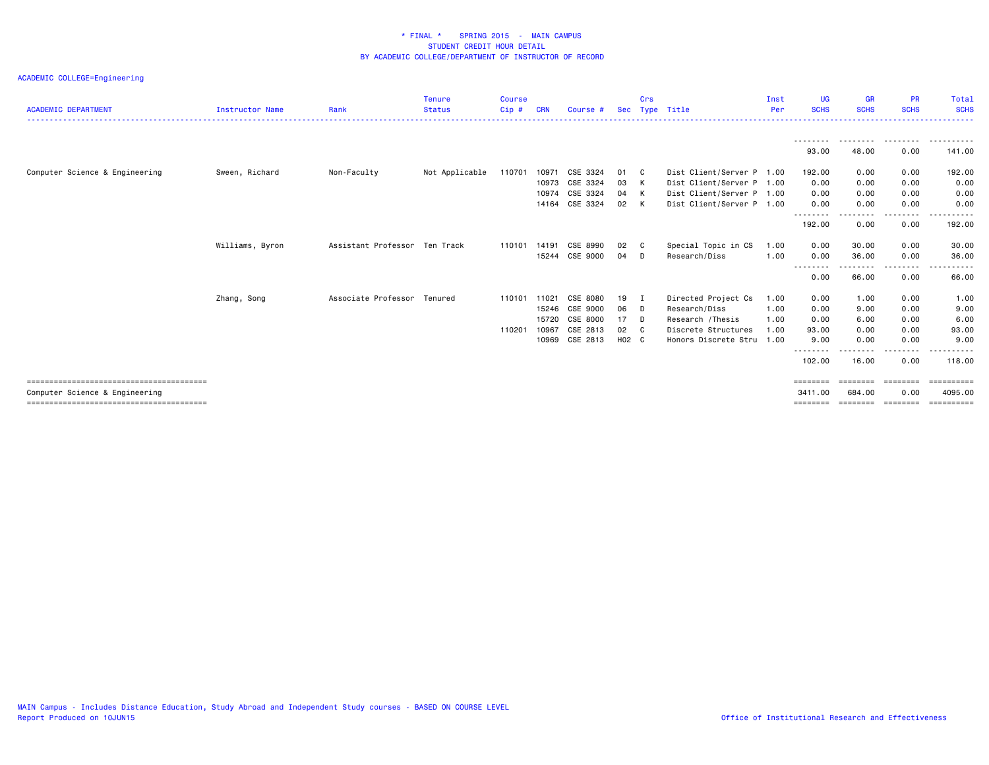| <b>ACADEMIC DEPARTMENT</b>     | <b>Instructor Name</b> | Rank                          | <b>Tenure</b><br><b>Status</b> | <b>Course</b><br>Cip# | <b>CRN</b> | Course #       |       | Crs | Sec Type Title            | Inst<br>Per | <b>UG</b><br><b>SCHS</b> | <b>GR</b><br><b>SCHS</b> | <b>PR</b><br><b>SCHS</b> | Total<br><b>SCHS</b> |
|--------------------------------|------------------------|-------------------------------|--------------------------------|-----------------------|------------|----------------|-------|-----|---------------------------|-------------|--------------------------|--------------------------|--------------------------|----------------------|
|                                |                        |                               |                                |                       |            |                |       |     |                           |             | ---------<br>93.00       | --------<br>48.00        | ---------<br>0.00        | ----------<br>141.00 |
| Computer Science & Engineering | Sween, Richard         | Non-Faculty                   | Not Applicable                 | 110701                | 10971      | CSE 3324       | 01    | - C | Dist Client/Server P 1.00 |             | 192.00                   | 0.00                     | 0.00                     | 192.00               |
|                                |                        |                               |                                |                       | 10973      | CSE 3324       | 03    | K   | Dist Client/Server P 1.00 |             | 0.00                     | 0.00                     | 0.00                     | 0.00                 |
|                                |                        |                               |                                |                       | 10974      | CSE 3324       | 04    | K   | Dist Client/Server P 1.00 |             | 0.00                     | 0.00                     | 0.00                     | 0.00                 |
|                                |                        |                               |                                |                       |            | 14164 CSE 3324 | 02    | K   | Dist Client/Server P 1.00 |             | 0.00                     | 0.00                     | 0.00                     | 0.00                 |
|                                |                        |                               |                                |                       |            |                |       |     |                           |             | ---------<br>192.00      | --------<br>0.00         | .<br>0.00                | ------<br>192.00     |
|                                | Williams, Byron        | Assistant Professor Ten Track |                                | 110101                | 14191      | CSE 8990       | 02    | C.  | Special Topic in CS       | 1.00        | 0.00                     | 30.00                    | 0.00                     | 30.00                |
|                                |                        |                               |                                |                       | 15244      | CSE 9000       | 04    | D   | Research/Diss             | 1.00        | 0.00<br>.                | 36.00                    | 0.00<br>.                | 36.00                |
|                                |                        |                               |                                |                       |            |                |       |     |                           |             | 0.00                     | 66.00                    | 0.00                     | 66.00                |
|                                | Zhang, Song            | Associate Professor Tenured   |                                | 110101                | 11021      | CSE 8080       | 19    | I   | Directed Project Cs       | 1.00        | 0.00                     | 1.00                     | 0.00                     | 1.00                 |
|                                |                        |                               |                                |                       | 15246      | CSE 9000       | 06    | - D | Research/Diss             | 1.00        | 0.00                     | 9.00                     | 0.00                     | 9.00                 |
|                                |                        |                               |                                |                       | 15720      | CSE 8000       | 17    | - D | Research /Thesis          | 1.00        | 0.00                     | 6.00                     | 0.00                     | 6.00                 |
|                                |                        |                               |                                | 110201                | 10967      | CSE 2813       | 02    | C.  | Discrete Structures       | 1.00        | 93.00                    | 0.00                     | 0.00                     | 93.00                |
|                                |                        |                               |                                |                       | 10969      | CSE 2813       | H02 C |     | Honors Discrete Stru 1.00 |             | 9.00<br>---------        | 0.00<br>.                | 0.00                     | 9.00<br>.            |
|                                |                        |                               |                                |                       |            |                |       |     |                           |             | 102.00                   | 16.00                    | 0.00                     | 118.00               |
|                                |                        |                               |                                |                       |            |                |       |     |                           |             | <b>EEEEEEEE</b>          |                          |                          | ==========           |
| Computer Science & Engineering |                        |                               |                                |                       |            |                |       |     |                           |             | 3411.00                  | 684.00                   | 0.00                     | 4095,00              |
|                                |                        |                               |                                |                       |            |                |       |     |                           |             | ========                 | ========                 | ========                 |                      |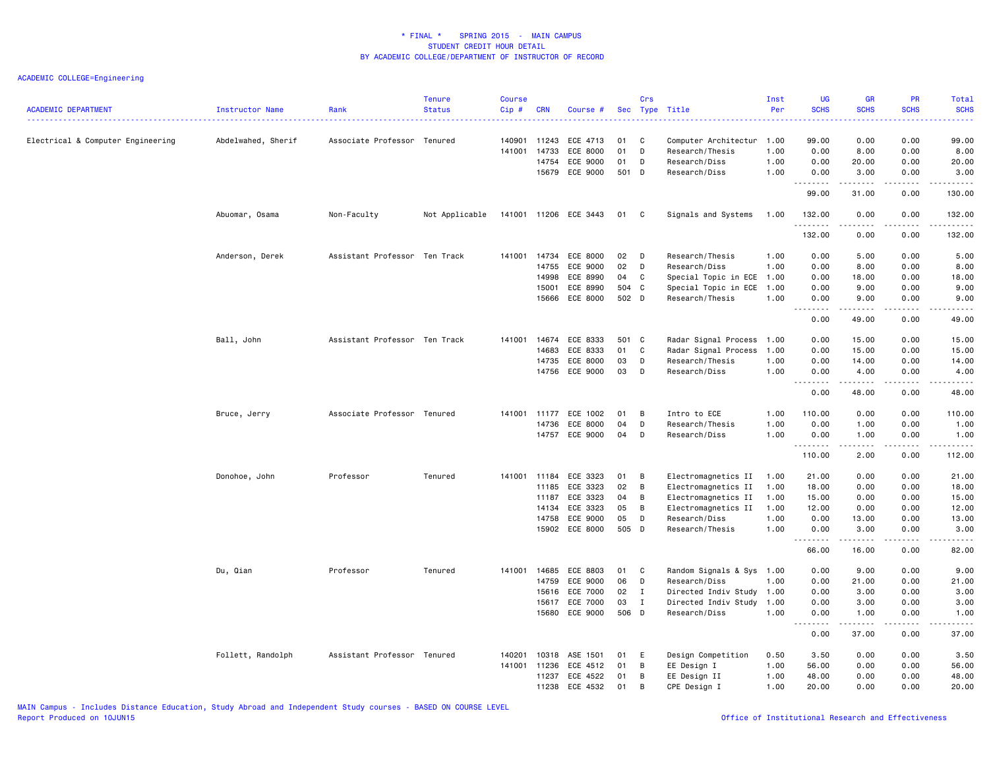| <b>ACADEMIC DEPARTMENT</b>        | Instructor Name    | Rank                          | <b>Tenure</b><br><b>Status</b> | <b>Course</b><br>Cip# | <b>CRN</b> | Course #              |       | Crs          | Sec Type Title            | Inst<br>Per | <b>UG</b><br><b>SCHS</b>              | <b>GR</b><br><b>SCHS</b> | <b>PR</b><br><b>SCHS</b> | Total<br><b>SCHS</b>  |
|-----------------------------------|--------------------|-------------------------------|--------------------------------|-----------------------|------------|-----------------------|-------|--------------|---------------------------|-------------|---------------------------------------|--------------------------|--------------------------|-----------------------|
| Electrical & Computer Engineering | Abdelwahed, Sherif | Associate Professor Tenured   |                                | 140901                | 11243      | ECE 4713              | 01    | C            | Computer Architectur 1.00 |             | 99.00                                 | 0.00                     | 0.00                     | 99.00                 |
|                                   |                    |                               |                                | 141001                | 14733      | ECE 8000              | 01    | D            | Research/Thesis           | 1.00        | 0.00                                  | 8.00                     | 0.00                     | 8.00                  |
|                                   |                    |                               |                                |                       | 14754      | ECE 9000              | 01    | D            | Research/Diss             | 1.00        | 0.00                                  | 20.00                    | 0.00                     | 20.00                 |
|                                   |                    |                               |                                |                       | 15679      | ECE 9000              | 501 D |              | Research/Diss             | 1.00        | 0.00<br><u>.</u>                      | 3.00<br>.                | 0.00<br>.                | 3.00<br>------        |
|                                   |                    |                               |                                |                       |            |                       |       |              |                           |             | 99.00                                 | 31.00                    | 0.00                     | 130.00                |
|                                   | Abuomar, Osama     | Non-Faculty                   | Not Applicable                 |                       |            | 141001 11206 ECE 3443 | 01    | $\mathbf{C}$ | Signals and Systems       | 1.00        | 132.00<br>. <b>.</b>                  | 0.00<br>----             | 0.00<br>.                | 132.00<br>.           |
|                                   |                    |                               |                                |                       |            |                       |       |              |                           |             | 132.00                                | 0.00                     | 0.00                     | 132.00                |
|                                   | Anderson, Derek    | Assistant Professor Ten Track |                                | 141001                | 14734      | ECE 8000              | 02    | D            | Research/Thesis           | 1.00        | 0.00                                  | 5.00                     | 0.00                     | 5.00                  |
|                                   |                    |                               |                                |                       | 14755      | ECE 9000              | 02    | D            | Research/Diss             | 1.00        | 0.00                                  | 8.00                     | 0.00                     | 8.00                  |
|                                   |                    |                               |                                |                       | 14998      | ECE 8990              | 04    | C            | Special Topic in ECE 1.00 |             | 0.00                                  | 18.00                    | 0.00                     | 18.00                 |
|                                   |                    |                               |                                |                       | 15001      | ECE 8990              | 504 C |              | Special Topic in ECE      | 1.00        | 0.00                                  | 9.00                     | 0.00                     | 9.00                  |
|                                   |                    |                               |                                |                       | 15666      | ECE 8000              | 502 D |              | Research/Thesis           | 1.00        | 0.00<br>22222<br>$\sim$ $\sim$ $\sim$ | 9.00<br>المتمامين        | 0.00<br>.                | 9.00<br>$\frac{1}{2}$ |
|                                   |                    |                               |                                |                       |            |                       |       |              |                           |             | 0.00                                  | 49.00                    | 0.00                     | 49.00                 |
|                                   | Ball, John         | Assistant Professor Ten Track |                                | 141001                | 14674      | ECE 8333              | 501 C |              | Radar Signal Process 1.00 |             | 0.00                                  | 15.00                    | 0.00                     | 15.00                 |
|                                   |                    |                               |                                |                       | 14683      | ECE 8333              | 01    | C            | Radar Signal Process      | 1.00        | 0.00                                  | 15.00                    | 0.00                     | 15.00                 |
|                                   |                    |                               |                                |                       | 14735      | ECE 8000              | 03    | D            | Research/Thesis           | 1.00        | 0.00                                  | 14.00                    | 0.00                     | 14.00                 |
|                                   |                    |                               |                                |                       | 14756      | ECE 9000              | 03    | D            | Research/Diss             | 1.00        | 0.00<br>.                             | 4.00<br>.                | 0.00<br>.                | 4.00<br>.             |
|                                   |                    |                               |                                |                       |            |                       |       |              |                           |             | 0.00                                  | 48.00                    | 0.00                     | 48.00                 |
|                                   | Bruce, Jerry       | Associate Professor Tenured   |                                | 141001                | 11177      | ECE 1002              | 01    | B            | Intro to ECE              | 1.00        | 110.00                                | 0.00                     | 0.00                     | 110.00                |
|                                   |                    |                               |                                |                       | 14736      | ECE 8000              | 04    | D            | Research/Thesis           | 1.00        | 0.00                                  | 1.00                     | 0.00                     | 1.00                  |
|                                   |                    |                               |                                |                       |            | 14757 ECE 9000        | 04    | D            | Research/Diss             | 1.00        | 0.00<br><u>.</u>                      | 1.00<br><b>.</b> .       | 0.00<br>.                | 1.00<br>.             |
|                                   |                    |                               |                                |                       |            |                       |       |              |                           |             | 110.00                                | 2.00                     | 0.00                     | 112.00                |
|                                   | Donohoe, John      | Professor                     | Tenured                        | 141001                | 11184      | ECE 3323              | 01    | B            | Electromagnetics II       | 1.00        | 21.00                                 | 0.00                     | 0.00                     | 21.00                 |
|                                   |                    |                               |                                |                       | 11185      | ECE 3323              | 02    | B            | Electromagnetics II       | 1.00        | 18.00                                 | 0.00                     | 0.00                     | 18.00                 |
|                                   |                    |                               |                                |                       | 11187      | ECE 3323              | 04    | B            | Electromagnetics II       | 1.00        | 15.00                                 | 0.00                     | 0.00                     | 15.00                 |
|                                   |                    |                               |                                |                       | 14134      | ECE 3323              | 05    | B            | Electromagnetics II       | 1.00        | 12.00                                 | 0.00                     | 0.00                     | 12.00                 |
|                                   |                    |                               |                                |                       | 14758      | ECE 9000              | 05    | D            | Research/Diss             | 1.00        | 0.00                                  | 13.00                    | 0.00                     | 13.00                 |
|                                   |                    |                               |                                |                       |            | 15902 ECE 8000        | 505 D |              | Research/Thesis           | 1.00        | 0.00<br><u>.</u>                      | 3.00<br>.                | 0.00<br>.                | 3.00<br>.             |
|                                   |                    |                               |                                |                       |            |                       |       |              |                           |             | 66.00                                 | 16.00                    | 0.00                     | 82.00                 |
|                                   | Du, Qian           | Professor                     | Tenured                        | 141001                | 14685      | ECE 8803              | 01    | C            | Random Signals & Sys 1.00 |             | 0.00                                  | 9.00                     | 0.00                     | 9.00                  |
|                                   |                    |                               |                                |                       | 14759      | ECE 9000              | 06    | D            | Research/Diss             | 1.00        | 0.00                                  | 21.00                    | 0.00                     | 21.00                 |
|                                   |                    |                               |                                |                       | 15616      | <b>ECE 7000</b>       | 02    | I            | Directed Indiv Study      | 1.00        | 0.00                                  | 3.00                     | 0.00                     | 3.00                  |
|                                   |                    |                               |                                |                       | 15617      | ECE 7000              | 03    | $\mathbf{I}$ | Directed Indiv Study      | 1.00        | 0.00                                  | 3.00                     | 0.00                     | 3.00                  |
|                                   |                    |                               |                                |                       | 15680      | ECE 9000              | 506 D |              | Research/Diss             | 1.00        | 0.00<br>$- - - - -$<br>$- - -$        | 1.00<br>.                | 0.00<br>.                | 1.00<br>.             |
|                                   |                    |                               |                                |                       |            |                       |       |              |                           |             | 0.00                                  | 37.00                    | 0.00                     | 37.00                 |
|                                   | Follett, Randolph  | Assistant Professor Tenured   |                                | 140201                | 10318      | ASE 1501              | 01    | E            | Design Competition        | 0.50        | 3.50                                  | 0.00                     | 0.00                     | 3.50                  |
|                                   |                    |                               |                                | 141001 11236          |            | ECE 4512              | 01    | B            | EE Design I               | 1.00        | 56.00                                 | 0.00                     | 0.00                     | 56.00                 |
|                                   |                    |                               |                                |                       | 11237      | ECE 4522              | 01    | B            | EE Design II              | 1.00        | 48.00                                 | 0.00                     | 0.00                     | 48.00                 |
|                                   |                    |                               |                                |                       | 11238      | ECE 4532              | 01    | B            | CPE Design I              | 1.00        | 20.00                                 | 0.00                     | 0.00                     | 20.00                 |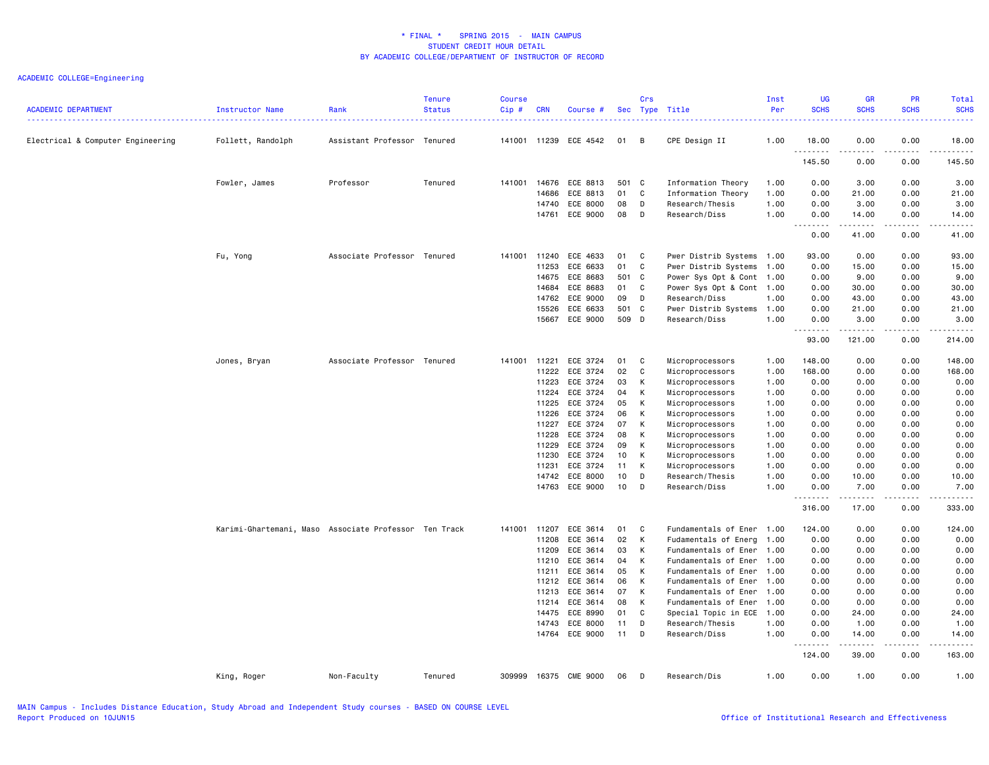| <b>ACADEMIC DEPARTMENT</b>        | Instructor Name                                       | Rank                        | <b>Tenure</b><br><b>Status</b> | <b>Course</b><br>Cip# | <b>CRN</b> | Course #              |       | Crs         | Sec Type Title            | Inst<br>Per | <b>UG</b><br><b>SCHS</b> | <b>GR</b><br><b>SCHS</b> | <b>PR</b><br><b>SCHS</b> | <b>Total</b><br><b>SCHS</b> |
|-----------------------------------|-------------------------------------------------------|-----------------------------|--------------------------------|-----------------------|------------|-----------------------|-------|-------------|---------------------------|-------------|--------------------------|--------------------------|--------------------------|-----------------------------|
| Electrical & Computer Engineering | Follett, Randolph                                     | Assistant Professor Tenured |                                |                       |            | 141001 11239 ECE 4542 | 01    | B           | CPE Design II             | 1.00        | 18.00                    | 0.00<br>.                | 0.00<br>المستبدة         | 18.00<br>.                  |
|                                   |                                                       |                             |                                |                       |            |                       |       |             |                           |             | 145.50                   | 0.00                     | 0.00                     | 145.50                      |
|                                   | Fowler, James                                         | Professor                   | Tenured                        | 141001 14676          |            | ECE 8813              | 501 C |             | Information Theory        | 1.00        | 0.00                     | 3.00                     | 0.00                     | 3.00                        |
|                                   |                                                       |                             |                                |                       | 14686      | ECE 8813              | 01    | C           | Information Theory        | 1.00        | 0.00                     | 21.00                    | 0.00                     | 21,00                       |
|                                   |                                                       |                             |                                |                       | 14740      | ECE 8000              | 08    | D           | Research/Thesis           | 1.00        | 0.00                     | 3.00                     | 0.00                     | 3.00                        |
|                                   |                                                       |                             |                                |                       | 14761      | ECE 9000              | 08    | D           | Research/Diss             | 1.00        | 0.00<br>.                | 14.00<br>------          | 0.00<br>.                | 14.00<br>.                  |
|                                   |                                                       |                             |                                |                       |            |                       |       |             |                           |             | 0.00                     | 41.00                    | 0.00                     | 41.00                       |
|                                   | Fu, Yong                                              | Associate Professor Tenured |                                | 141001                | 11240      | ECE 4633              | 01    | C           | Pwer Distrib Systems 1.00 |             | 93.00                    | 0.00                     | 0.00                     | 93.00                       |
|                                   |                                                       |                             |                                |                       | 11253      | ECE 6633              | 01    | C           | Pwer Distrib Systems      | 1.00        | 0.00                     | 15.00                    | 0.00                     | 15.00                       |
|                                   |                                                       |                             |                                |                       | 14675      | ECE 8683              | 501 C |             | Power Sys Opt & Cont      | 1.00        | 0.00                     | 9.00                     | 0.00                     | 9.00                        |
|                                   |                                                       |                             |                                |                       | 14684      | ECE 8683              | 01    | C           | Power Sys Opt & Cont 1.00 |             | 0.00                     | 30.00                    | 0.00                     | 30.00                       |
|                                   |                                                       |                             |                                |                       | 14762      | ECE 9000              | 09    | D           | Research/Diss             | 1.00        | 0.00                     | 43.00                    | 0.00                     | 43.00                       |
|                                   |                                                       |                             |                                |                       | 15526      | ECE 6633              | 501   | C           | Pwer Distrib Systems      | 1.00        | 0.00                     | 21.00                    | 0.00                     | 21.00                       |
|                                   |                                                       |                             |                                |                       | 15667      | ECE 9000              | 509 D |             | Research/Diss             | 1.00        | 0.00                     | 3.00                     | 0.00                     | 3.00                        |
|                                   |                                                       |                             |                                |                       |            |                       |       |             |                           |             | .<br>93.00               | .<br>121.00              | .<br>0.00                | .<br>214.00                 |
|                                   | Jones, Bryan                                          | Associate Professor Tenured |                                | 141001                | 11221      | ECE 3724              | 01    | C           | Microprocessors           | 1.00        | 148.00                   | 0.00                     | 0.00                     | 148.00                      |
|                                   |                                                       |                             |                                |                       | 11222      | ECE 3724              | 02    | C           | Microprocessors           | 1.00        | 168.00                   | 0.00                     | 0.00                     | 168.00                      |
|                                   |                                                       |                             |                                |                       | 11223      | ECE 3724              | 03    | К           | Microprocessors           | 1.00        | 0.00                     | 0.00                     | 0.00                     | 0.00                        |
|                                   |                                                       |                             |                                |                       | 11224      | ECE 3724              | 04    | К           | Microprocessors           | 1.00        | 0.00                     | 0.00                     | 0.00                     | 0.00                        |
|                                   |                                                       |                             |                                |                       | 11225      | ECE 3724              | 05    | К           | Microprocessors           | 1.00        | 0.00                     | 0.00                     | 0.00                     | 0.00                        |
|                                   |                                                       |                             |                                |                       | 11226      | ECE 3724              | 06    | К           | Microprocessors           | 1.00        | 0.00                     | 0.00                     | 0.00                     | 0.00                        |
|                                   |                                                       |                             |                                |                       | 11227      | ECE 3724              | 07    | К           | Microprocessors           | 1.00        | 0.00                     | 0.00                     | 0.00                     | 0.00                        |
|                                   |                                                       |                             |                                |                       | 11228      | ECE 3724              | 08    | К           | Microprocessors           | 1.00        | 0.00                     | 0.00                     | 0.00                     | 0.00                        |
|                                   |                                                       |                             |                                |                       | 11229      | ECE 3724              | 09    | К           | Microprocessors           | 1.00        | 0.00                     | 0.00                     | 0.00                     | 0.00                        |
|                                   |                                                       |                             |                                |                       | 11230      | ECE 3724              | 10    | К           | Microprocessors           | 1.00        | 0.00                     | 0.00                     | 0.00                     | 0.00                        |
|                                   |                                                       |                             |                                |                       | 11231      | ECE 3724              | 11    | К           | Microprocessors           | 1.00        | 0.00                     | 0.00                     | 0.00                     | 0.00                        |
|                                   |                                                       |                             |                                |                       | 14742      | ECE 8000              | 10    | D           | Research/Thesis           | 1.00        | 0.00                     | 10.00                    | 0.00                     | 10.00                       |
|                                   |                                                       |                             |                                |                       | 14763      | ECE 9000              | 10    | D           | Research/Diss             | 1.00        | 0.00                     | 7.00                     | 0.00                     | 7.00<br>.                   |
|                                   |                                                       |                             |                                |                       |            |                       |       |             |                           |             | 316.00                   | 17.00                    | 0.00                     | 333.00                      |
|                                   | Karimi-Ghartemani, Maso Associate Professor Ten Track |                             |                                | 141001 11207          |            | ECE 3614              | 01    | C           | Fundamentals of Ener 1.00 |             | 124.00                   | 0.00                     | 0.00                     | 124.00                      |
|                                   |                                                       |                             |                                |                       | 11208      | ECE 3614              | 02    | К           | Fudamentals of Energ      | 1.00        | 0.00                     | 0.00                     | 0.00                     | 0.00                        |
|                                   |                                                       |                             |                                |                       | 11209      | ECE 3614              | 03    | К           | Fundamentals of Ener      | 1.00        | 0.00                     | 0.00                     | 0.00                     | 0.00                        |
|                                   |                                                       |                             |                                |                       | 11210      | ECE 3614              | 04    | K           | Fundamentals of Ener      | 1.00        | 0.00                     | 0.00                     | 0.00                     | 0.00                        |
|                                   |                                                       |                             |                                |                       | 11211      | ECE 3614              | 05    | К           | Fundamentals of Ener      | 1.00        | 0.00                     | 0.00                     | 0.00                     | 0.00                        |
|                                   |                                                       |                             |                                |                       | 11212      | ECE 3614              | 06    | К           | Fundamentals of Ener      | 1.00        | 0.00                     | 0.00                     | 0.00                     | 0.00                        |
|                                   |                                                       |                             |                                |                       | 11213      | ECE 3614              | 07    | К           | Fundamentals of Ener      | 1.00        | 0.00                     | 0.00                     | 0.00                     | 0.00                        |
|                                   |                                                       |                             |                                |                       | 11214      | ECE 3614              | 08    | К           | Fundamentals of Ener      | 1.00        | 0.00                     | 0.00                     | 0.00                     | 0.00                        |
|                                   |                                                       |                             |                                |                       | 14475      | ECE 8990              | 01    | $\mathbb C$ | Special Topic in ECE 1.00 |             | 0.00                     | 24.00                    | 0.00                     | 24.00                       |
|                                   |                                                       |                             |                                |                       | 14743      | ECE 8000              | 11    | D           | Research/Thesis           | 1.00        | 0.00                     | 1.00                     | 0.00                     | 1.00                        |
|                                   |                                                       |                             |                                |                       |            | 14764 ECE 9000        | 11    | D           | Research/Diss             | 1.00        | 0.00<br>.                | 14.00<br>------          | 0.00<br>.                | 14.00<br>.                  |
|                                   |                                                       |                             |                                |                       |            |                       |       |             |                           |             | 124.00                   | 39.00                    | 0.00                     | 163.00                      |
|                                   | King, Roger                                           | Non-Faculty                 | Tenured                        | 309999                |            | 16375 CME 9000        | 06    | D           | Research/Dis              | 1.00        | 0.00                     | 1.00                     | 0.00                     | 1.00                        |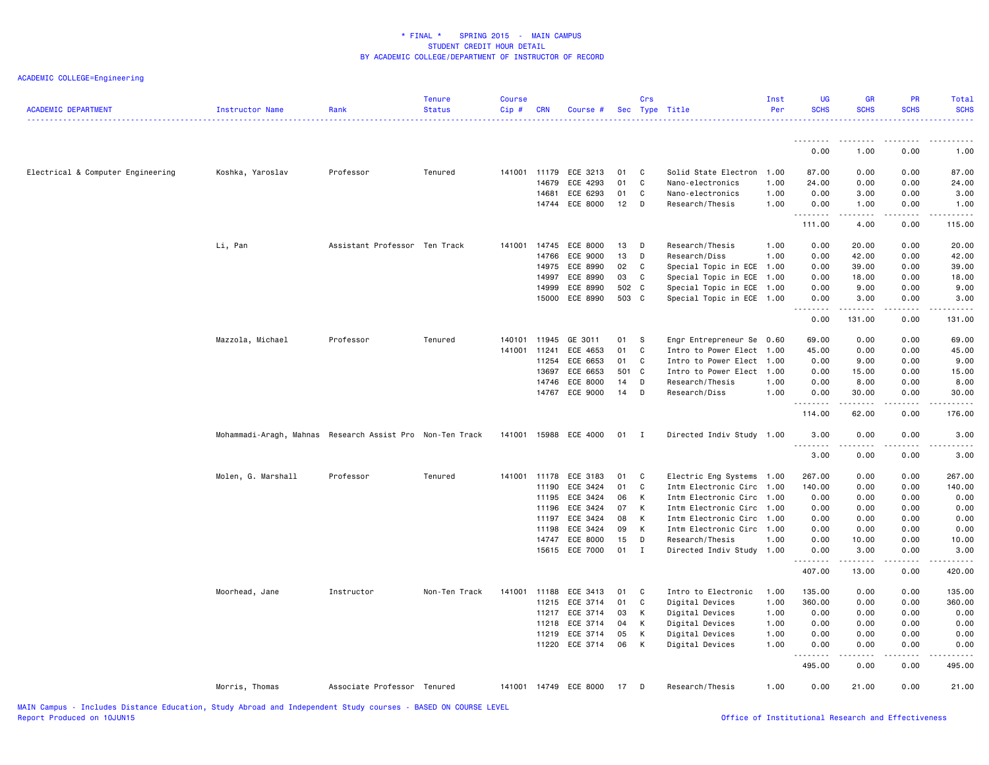| <b>ACADEMIC DEPARTMENT</b>        | <b>Instructor Name</b>                                    | Rank                          | <b>Tenure</b><br><b>Status</b> | Course<br>Cip# | <b>CRN</b> | Course #              |        | Crs            | Sec Type Title            | Inst<br>Per | <b>UG</b><br><b>SCHS</b> | GR<br><b>SCHS</b>      | PR<br><b>SCHS</b> | Total<br><b>SCHS</b> |
|-----------------------------------|-----------------------------------------------------------|-------------------------------|--------------------------------|----------------|------------|-----------------------|--------|----------------|---------------------------|-------------|--------------------------|------------------------|-------------------|----------------------|
|                                   |                                                           |                               |                                |                |            |                       |        |                |                           |             | .                        | .                      |                   |                      |
|                                   |                                                           |                               |                                |                |            |                       |        |                |                           |             | 0.00                     | 1.00                   | 0.00              | 1.00                 |
| Electrical & Computer Engineering | Koshka, Yaroslav                                          | Professor                     | Tenured                        | 141001 11179   |            | ECE 3213              | 01     | $\mathbf{C}$   | Solid State Electron      | 1.00        | 87.00                    | 0.00                   | 0.00              | 87.00                |
|                                   |                                                           |                               |                                |                | 14679      | ECE 4293              | 01     | C              | Nano-electronics          | 1.00        | 24.00                    | 0.00                   | 0.00              | 24.00                |
|                                   |                                                           |                               |                                |                | 14681      | ECE 6293              | 01     | C              | Nano-electronics          | 1.00        | 0.00                     | 3.00                   | 0.00              | 3.00                 |
|                                   |                                                           |                               |                                |                | 14744      | ECE 8000              | 12     | D              | Research/Thesis           | 1.00        | 0.00<br>.                | 1.00<br>.              | 0.00              | 1.00                 |
|                                   |                                                           |                               |                                |                |            |                       |        |                |                           |             | 111.00                   | 4.00                   | 0.00              | 115.00               |
|                                   | Li, Pan                                                   | Assistant Professor Ten Track |                                | 141001         | 14745      | ECE 8000              | 13     | D              | Research/Thesis           | 1.00        | 0.00                     | 20.00                  | 0.00              | 20.00                |
|                                   |                                                           |                               |                                |                | 14766      | ECE 9000              | 13     | D              | Research/Diss             | 1.00        | 0.00                     | 42.00                  | 0.00              | 42.00                |
|                                   |                                                           |                               |                                |                | 14975      | ECE 8990              | 02     | $\mathbf{C}$   | Special Topic in ECE 1.00 |             | 0.00                     | 39.00                  | 0.00              | 39.00                |
|                                   |                                                           |                               |                                |                | 14997      | ECE 8990              | 03     | C              | Special Topic in ECE      | 1.00        | 0.00                     | 18.00                  | 0.00              | 18.00                |
|                                   |                                                           |                               |                                |                | 14999      | ECE 8990              | 502 C  |                | Special Topic in ECE 1.00 |             | 0.00                     | 9.00                   | 0.00              | 9.00                 |
|                                   |                                                           |                               |                                |                |            | 15000 ECE 8990        | 503 C  |                | Special Topic in ECE 1.00 |             | 0.00<br>.                | 3.00<br>.              | 0.00<br>-----     | 3.00<br>. <u>.</u> . |
|                                   |                                                           |                               |                                |                |            |                       |        |                |                           |             | 0.00                     | 131.00                 | 0.00              | 131.00               |
|                                   | Mazzola, Michael                                          | Professor                     | Tenured                        | 140101         | 11945      | GE 3011               | 01 S   |                | Engr Entrepreneur Se      | 0.60        | 69.00                    | 0.00                   | 0.00              | 69.00                |
|                                   |                                                           |                               |                                | 141001         | 11241      | ECE 4653              | 01     | C              | Intro to Power Elect      | 1.00        | 45.00                    | 0.00                   | 0.00              | 45.00                |
|                                   |                                                           |                               |                                |                | 11254      | ECE 6653              | 01     | C.             | Intro to Power Elect 1.00 |             | 0.00                     | 9.00                   | 0.00              | 9.00                 |
|                                   |                                                           |                               |                                |                | 13697      | ECE 6653              | 501 C  |                | Intro to Power Elect 1.00 |             | 0.00                     | 15.00                  | 0.00              | 15.00                |
|                                   |                                                           |                               |                                |                | 14746      | ECE 8000              | 14     | $\mathsf{D}$   | Research/Thesis           | 1.00        | 0.00                     | 8.00                   | 0.00              | 8.00                 |
|                                   |                                                           |                               |                                |                |            | 14767 ECE 9000        | $14$ D |                | Research/Diss             | 1.00        | 0.00                     | 30.00<br>$\frac{1}{2}$ | 0.00              | 30.00                |
|                                   |                                                           |                               |                                |                |            |                       |        |                |                           |             | 114.00                   | 62.00                  | 0.00              | 176.00               |
|                                   | Mohammadi-Aragh, Mahnas Research Assist Pro Non-Ten Track |                               |                                |                |            | 141001 15988 ECE 4000 | 01     | $\blacksquare$ | Directed Indiv Study 1.00 |             | 3,00<br>.                | 0.00<br>.              | 0.00              | 3.00                 |
|                                   |                                                           |                               |                                |                |            |                       |        |                |                           |             | 3.00                     | 0.00                   | 0.00              | 3.00                 |
|                                   | Molen, G. Marshall                                        | Professor                     | Tenured                        | 141001 11178   |            | ECE 3183              | 01     | C              | Electric Eng Systems      | 1.00        | 267.00                   | 0.00                   | 0.00              | 267.00               |
|                                   |                                                           |                               |                                |                | 11190      | ECE 3424              | 01     | C              | Intm Electronic Circ      | 1.00        | 140.00                   | 0.00                   | 0.00              | 140.00               |
|                                   |                                                           |                               |                                |                | 11195      | ECE 3424              | 06     | K              | Intm Electronic Circ      | 1.00        | 0.00                     | 0.00                   | 0.00              | 0.00                 |
|                                   |                                                           |                               |                                |                | 11196      | ECE 3424              | 07     | K              | Intm Electronic Circ      | 1.00        | 0.00                     | 0.00                   | 0.00              | 0.00                 |
|                                   |                                                           |                               |                                |                | 11197      | ECE 3424              | 08     | K              | Intm Electronic Circ      | 1.00        | 0.00                     | 0.00                   | 0.00              | 0.00                 |
|                                   |                                                           |                               |                                |                | 11198      | ECE 3424              | 09     | K              | Intm Electronic Circ 1.00 |             | 0.00                     | 0.00                   | 0.00              | 0.00                 |
|                                   |                                                           |                               |                                |                | 14747      | ECE 8000              | 15     | D              | Research/Thesis           | 1.00        | 0.00                     | 10.00                  | 0.00              | 10.00                |
|                                   |                                                           |                               |                                |                |            | 15615 ECE 7000        | 01 I   |                | Directed Indiv Study 1.00 |             | 0.00<br>.                | 3.00<br>.              | 0.00              | 3.00                 |
|                                   |                                                           |                               |                                |                |            |                       |        |                |                           |             | 407.00                   | 13.00                  | 0.00              | 420.00               |
|                                   | Moorhead, Jane                                            | Instructor                    | Non-Ten Track                  | 141001 11188   |            | ECE 3413              | 01     | C              | Intro to Electronic       | 1.00        | 135.00                   | 0.00                   | 0.00              | 135.00               |
|                                   |                                                           |                               |                                |                | 11215      | ECE 3714              | 01     | C              | Digital Devices           | 1.00        | 360.00                   | 0.00                   | 0.00              | 360.00               |
|                                   |                                                           |                               |                                |                | 11217      | ECE 3714              | 03     | K              | Digital Devices           | 1.00        | 0.00                     | 0.00                   | 0.00              | 0.00                 |
|                                   |                                                           |                               |                                |                | 11218      | ECE 3714              | 04     | K              | Digital Devices           | 1.00        | 0.00                     | 0.00                   | 0.00              | 0.00                 |
|                                   |                                                           |                               |                                |                |            | 11219 ECE 3714        | 05     | K              | Digital Devices           | 1.00        | 0.00                     | 0.00                   | 0.00              | 0.00                 |
|                                   |                                                           |                               |                                |                | 11220      | ECE 3714              | 06     | K              | Digital Devices           | 1.00        | 0.00<br>.                | 0.00<br>.              | 0.00              | 0.00                 |
|                                   |                                                           |                               |                                |                |            |                       |        |                |                           |             | 495.00                   | 0.00                   | 0.00              | 495.00               |
|                                   | Morris, Thomas                                            | Associate Professor Tenured   |                                |                |            | 141001 14749 ECE 8000 | 17 D   |                | Research/Thesis           | 1.00        | 0.00                     | 21.00                  | 0.00              | 21.00                |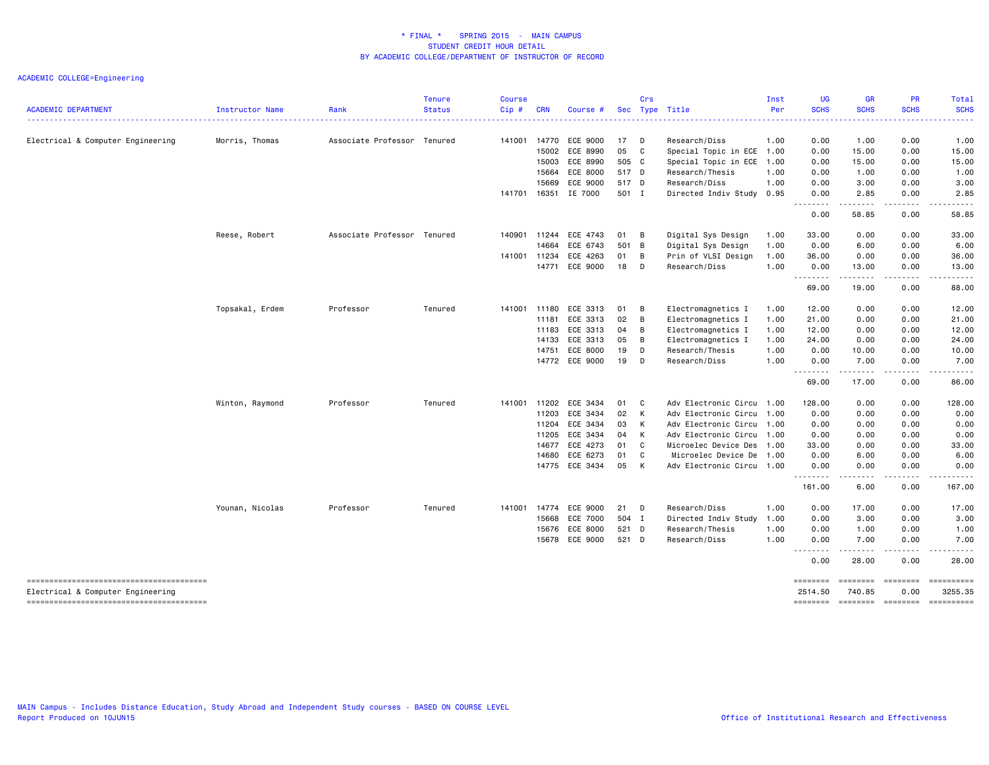|                                   |                 |                             | <b>Tenure</b> | Course |              |                |       | Crs          |                           | Inst | <b>UG</b>           | <b>GR</b>                           | <b>PR</b>                                                                                                                                                    | Total                                                                                                                                                                                                                                                                                                                                                                                                                                    |
|-----------------------------------|-----------------|-----------------------------|---------------|--------|--------------|----------------|-------|--------------|---------------------------|------|---------------------|-------------------------------------|--------------------------------------------------------------------------------------------------------------------------------------------------------------|------------------------------------------------------------------------------------------------------------------------------------------------------------------------------------------------------------------------------------------------------------------------------------------------------------------------------------------------------------------------------------------------------------------------------------------|
| <b>ACADEMIC DEPARTMENT</b>        | Instructor Name | Rank                        | <b>Status</b> | Cip#   | <b>CRN</b>   | Course #       |       |              | Sec Type Title            | Per  | <b>SCHS</b>         | <b>SCHS</b>                         | <b>SCHS</b>                                                                                                                                                  | <b>SCHS</b>                                                                                                                                                                                                                                                                                                                                                                                                                              |
| Electrical & Computer Engineering | Morris, Thomas  | Associate Professor Tenured |               | 141001 | 14770        | ECE 9000       | 17 D  |              | Research/Diss             | 1.00 | 0.00                | 1.00                                | 0.00                                                                                                                                                         | 1.00                                                                                                                                                                                                                                                                                                                                                                                                                                     |
|                                   |                 |                             |               |        | 15002        | ECE 8990       | 05    | $\mathbf{C}$ | Special Topic in ECE      | 1.00 | 0.00                | 15.00                               | 0.00                                                                                                                                                         | 15.00                                                                                                                                                                                                                                                                                                                                                                                                                                    |
|                                   |                 |                             |               |        | 15003        | ECE 8990       | 505 C |              | Special Topic in ECE      | 1.00 | 0.00                | 15.00                               | 0.00                                                                                                                                                         | 15.00                                                                                                                                                                                                                                                                                                                                                                                                                                    |
|                                   |                 |                             |               |        | 15664        | ECE 8000       | 517 D |              | Research/Thesis           | 1.00 | 0.00                | 1.00                                | 0.00                                                                                                                                                         | 1.00                                                                                                                                                                                                                                                                                                                                                                                                                                     |
|                                   |                 |                             |               |        | 15669        | ECE 9000       | 517 D |              | Research/Diss             | 1.00 | 0.00                | 3.00                                | 0.00                                                                                                                                                         | 3.00                                                                                                                                                                                                                                                                                                                                                                                                                                     |
|                                   |                 |                             |               | 141701 | 16351        | IE 7000        | 501 I |              | Directed Indiv Study      | 0.95 | 0.00<br>.           | 2.85<br>$- - - - -$                 | 0.00<br>.                                                                                                                                                    | 2.85<br>.                                                                                                                                                                                                                                                                                                                                                                                                                                |
|                                   |                 |                             |               |        |              |                |       |              |                           |      | 0.00                | 58.85                               | 0.00                                                                                                                                                         | 58.85                                                                                                                                                                                                                                                                                                                                                                                                                                    |
|                                   | Reese, Robert   | Associate Professor Tenured |               | 140901 | 11244        | ECE 4743       | 01 B  |              | Digital Sys Design        | 1.00 | 33.00               | 0.00                                | 0.00                                                                                                                                                         | 33.00                                                                                                                                                                                                                                                                                                                                                                                                                                    |
|                                   |                 |                             |               |        | 14664        | ECE 6743       | 501 B |              | Digital Sys Design        | 1.00 | 0.00                | 6.00                                | 0.00                                                                                                                                                         | 6.00                                                                                                                                                                                                                                                                                                                                                                                                                                     |
|                                   |                 |                             |               | 141001 | 11234        | ECE 4263       | 01    | B            | Prin of VLSI Design       | 1.00 | 36.00               | 0.00                                | 0.00                                                                                                                                                         | 36.00                                                                                                                                                                                                                                                                                                                                                                                                                                    |
|                                   |                 |                             |               |        | 14771        | ECE 9000       | 18    | D            | Research/Diss             | 1.00 | 0.00<br>.           | 13.00                               | 0.00                                                                                                                                                         | 13.00                                                                                                                                                                                                                                                                                                                                                                                                                                    |
|                                   |                 |                             |               |        |              |                |       |              |                           |      | 69.00               | 19.00                               | 0.00                                                                                                                                                         | 88.00                                                                                                                                                                                                                                                                                                                                                                                                                                    |
|                                   | Topsakal, Erdem | Professor                   | Tenured       | 141001 | 11180        | ECE 3313       | 01    | B            | Electromagnetics I        | 1.00 | 12.00               | 0.00                                | 0.00                                                                                                                                                         | 12.00                                                                                                                                                                                                                                                                                                                                                                                                                                    |
|                                   |                 |                             |               |        | 11181        | ECE 3313       | 02    | B            | Electromagnetics I        | 1.00 | 21.00               | 0.00                                | 0.00                                                                                                                                                         | 21.00                                                                                                                                                                                                                                                                                                                                                                                                                                    |
|                                   |                 |                             |               |        | 11183        | ECE 3313       | 04    | B            | Electromagnetics I        | 1.00 | 12.00               | 0.00                                | 0.00                                                                                                                                                         | 12.00                                                                                                                                                                                                                                                                                                                                                                                                                                    |
|                                   |                 |                             |               |        | 14133        | ECE 3313       | 05    | B            | Electromagnetics I        | 1.00 | 24.00               | 0.00                                | 0.00                                                                                                                                                         | 24.00                                                                                                                                                                                                                                                                                                                                                                                                                                    |
|                                   |                 |                             |               |        | 14751        | ECE 8000       | 19    | D            | Research/Thesis           | 1.00 | 0.00                | 10.00                               | 0.00                                                                                                                                                         | 10.00                                                                                                                                                                                                                                                                                                                                                                                                                                    |
|                                   |                 |                             |               |        |              | 14772 ECE 9000 | 19    | D            | Research/Diss             | 1.00 | 0.00                | 7.00                                | 0.00                                                                                                                                                         | 7.00                                                                                                                                                                                                                                                                                                                                                                                                                                     |
|                                   |                 |                             |               |        |              |                |       |              |                           |      | .<br>69.00          | المستمال<br>17.00                   | .<br>0.00                                                                                                                                                    | .<br>86.00                                                                                                                                                                                                                                                                                                                                                                                                                               |
|                                   | Winton, Raymond | Professor                   | Tenured       |        | 141001 11202 | ECE 3434       | 01 C  |              | Adv Electronic Circu 1.00 |      | 128.00              | 0.00                                | 0.00                                                                                                                                                         | 128.00                                                                                                                                                                                                                                                                                                                                                                                                                                   |
|                                   |                 |                             |               |        | 11203        | ECE 3434       | 02    | K            | Adv Electronic Circu      | 1.00 | 0.00                | 0.00                                | 0.00                                                                                                                                                         | 0.00                                                                                                                                                                                                                                                                                                                                                                                                                                     |
|                                   |                 |                             |               |        |              | 11204 ECE 3434 | 03 K  |              | Adv Electronic Circu      | 1.00 | 0.00                | 0.00                                | 0.00                                                                                                                                                         | 0.00                                                                                                                                                                                                                                                                                                                                                                                                                                     |
|                                   |                 |                             |               |        | 11205        | ECE 3434       | 04    | K            | Adv Electronic Circu      | 1.00 | 0.00                | 0.00                                | 0.00                                                                                                                                                         | 0.00                                                                                                                                                                                                                                                                                                                                                                                                                                     |
|                                   |                 |                             |               |        | 14677        | ECE 4273       | 01    | C            | Microelec Device Des      | 1.00 | 33.00               | 0.00                                | 0.00                                                                                                                                                         | 33.00                                                                                                                                                                                                                                                                                                                                                                                                                                    |
|                                   |                 |                             |               |        | 14680        | ECE 6273       | 01    | C            | Microelec Device De       | 1.00 | 0.00                | 6.00                                | 0.00                                                                                                                                                         | 6.00                                                                                                                                                                                                                                                                                                                                                                                                                                     |
|                                   |                 |                             |               |        |              | 14775 ECE 3434 | 05    | K            | Adv Electronic Circu      | 1.00 | 0.00<br>.           | 0.00<br>$\sim$ $\sim$ $\sim$ $\sim$ | 0.00<br>.                                                                                                                                                    | 0.00                                                                                                                                                                                                                                                                                                                                                                                                                                     |
|                                   |                 |                             |               |        |              |                |       |              |                           |      | 161.00              | 6.00                                | 0.00                                                                                                                                                         | 167.00                                                                                                                                                                                                                                                                                                                                                                                                                                   |
|                                   | Younan, Nicolas | Professor                   | Tenured       | 141001 | 14774        | ECE 9000       | 21    | D            | Research/Diss             | 1.00 | 0.00                | 17.00                               | 0.00                                                                                                                                                         | 17.00                                                                                                                                                                                                                                                                                                                                                                                                                                    |
|                                   |                 |                             |               |        | 15668        | ECE 7000       | 504 I |              | Directed Indiv Study      | 1.00 | 0.00                | 3.00                                | 0.00                                                                                                                                                         | 3.00                                                                                                                                                                                                                                                                                                                                                                                                                                     |
|                                   |                 |                             |               |        | 15676        | ECE 8000       | 521 D |              | Research/Thesis           | 1.00 | 0.00                | 1.00                                | 0.00                                                                                                                                                         | 1.00                                                                                                                                                                                                                                                                                                                                                                                                                                     |
|                                   |                 |                             |               |        |              | 15678 ECE 9000 | 521 D |              | Research/Diss             | 1.00 | 0.00<br>.           | 7.00<br>.                           | 0.00<br>$\frac{1}{2} \left( \frac{1}{2} \right) \left( \frac{1}{2} \right) \left( \frac{1}{2} \right) \left( \frac{1}{2} \right) \left( \frac{1}{2} \right)$ | 7.00<br>.                                                                                                                                                                                                                                                                                                                                                                                                                                |
|                                   |                 |                             |               |        |              |                |       |              |                           |      | 0.00                | 28.00                               | 0.00                                                                                                                                                         | 28.00                                                                                                                                                                                                                                                                                                                                                                                                                                    |
|                                   |                 |                             |               |        |              |                |       |              |                           |      | ========            | ========                            | ---------                                                                                                                                                    | ==========                                                                                                                                                                                                                                                                                                                                                                                                                               |
| Electrical & Computer Engineering |                 |                             |               |        |              |                |       |              |                           |      | 2514.50<br>======== | 740.85<br>========                  | 0.00<br>$=$ ========                                                                                                                                         | 3255.35<br>$\begin{minipage}{0.9\linewidth} \hspace*{-0.2cm} \textbf{1} & \textbf{2} & \textbf{3} & \textbf{5} & \textbf{6} & \textbf{7} & \textbf{8} \\ \textbf{5} & \textbf{6} & \textbf{7} & \textbf{8} & \textbf{8} & \textbf{9} & \textbf{10} & \textbf{10} & \textbf{10} \\ \textbf{6} & \textbf{8} & \textbf{8} & \textbf{8} & \textbf{8} & \textbf{9} & \textbf{10} & \textbf{10} & \textbf{10} & \textbf{10} \\ \textbf{7} & \$ |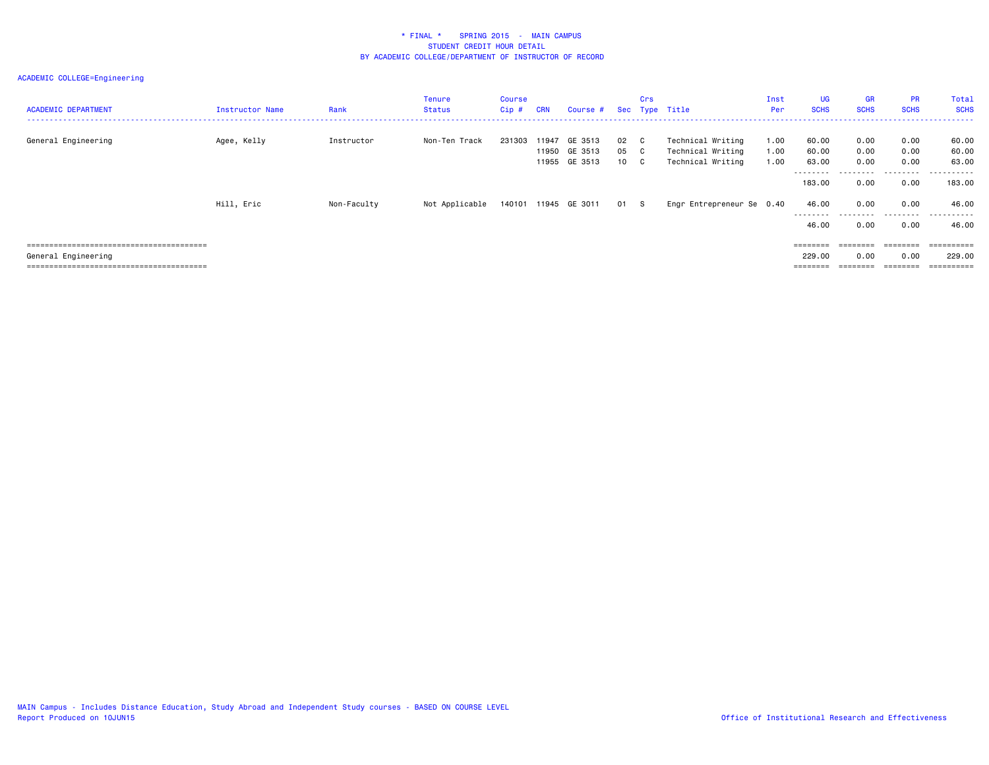| <b>ACADEMIC DEPARTMENT</b> | Instructor Name | Rank        | Tenure<br>Status | Course<br>Cip # | <b>CRN</b> | Course #                                        |                      | Crs | Sec Type Title                                              | Inst<br>Per          | <b>UG</b><br><b>SCHS</b> | <b>GR</b><br><b>SCHS</b> | <b>PR</b><br><b>SCHS</b> | Total<br><b>SCHS</b>    |
|----------------------------|-----------------|-------------|------------------|-----------------|------------|-------------------------------------------------|----------------------|-----|-------------------------------------------------------------|----------------------|--------------------------|--------------------------|--------------------------|-------------------------|
| General Engineering        | Agee, Kelly     | Instructor  | Non-Ten Track    | 231303          |            | 11947 GE 3513<br>11950 GE 3513<br>11955 GE 3513 | 02 C<br>05 C<br>10 C |     | Technical Writing<br>Technical Writing<br>Technical Writing | 1.00<br>1.00<br>1.00 | 60.00<br>60.00<br>63.00  | 0.00<br>0.00<br>0.00     | 0.00<br>0.00<br>0.00     | 60.00<br>60.00<br>63.00 |
|                            |                 |             |                  |                 |            |                                                 |                      |     |                                                             |                      | --------<br>183,00       | 0.00                     | .<br>0.00                | -------<br>183,00       |
|                            | Hill, Eric      | Non-Faculty | Not Applicable   |                 |            | 140101 11945 GE 3011                            | 01 S                 |     | Engr Entrepreneur Se 0.40                                   |                      | 46.00<br>---------       | 0.00<br>.                | 0.00<br>.                | 46.00<br>.              |
|                            |                 |             |                  |                 |            |                                                 |                      |     |                                                             |                      | 46.00                    | 0.00                     | 0.00                     | 46.00                   |
|                            |                 |             |                  |                 |            |                                                 |                      |     |                                                             |                      | $=$ = = = = = = =        |                          | $=$ = = = = = = =        | ==========              |
| General Engineering        |                 |             |                  |                 |            |                                                 |                      |     |                                                             |                      | 229.00                   | 0.00                     | 0.00                     | 229,00                  |
|                            |                 |             |                  |                 |            |                                                 |                      |     |                                                             |                      | $=$ = = = = = = =        |                          | ========                 | ==========              |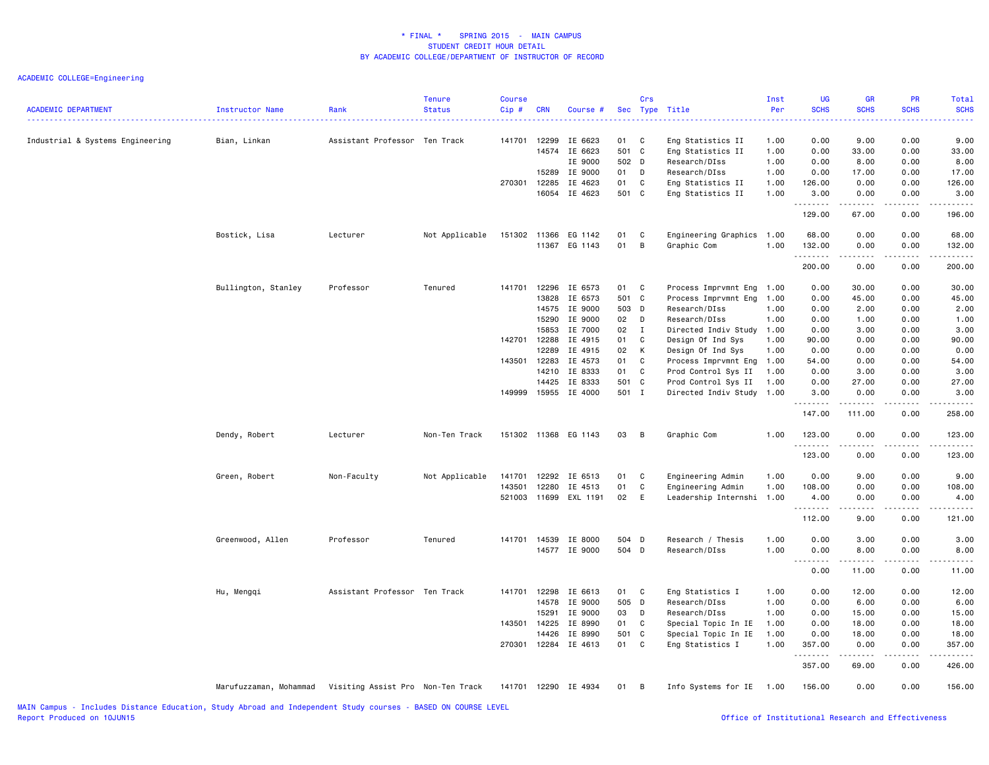| <b>ACADEMIC DEPARTMENT</b>       | <b>Instructor Name</b>                                   | Rank                          | <b>Tenure</b><br><b>Status</b> | <b>Course</b><br>Cip# | <b>CRN</b>     | Course #             |              | Crs          | Sec Type Title                          | Inst<br>Per  | <b>UG</b><br><b>SCHS</b>          | <b>GR</b><br><b>SCHS</b>                                                                                                                                      | PR<br><b>SCHS</b> | Total<br><b>SCHS</b>  |
|----------------------------------|----------------------------------------------------------|-------------------------------|--------------------------------|-----------------------|----------------|----------------------|--------------|--------------|-----------------------------------------|--------------|-----------------------------------|---------------------------------------------------------------------------------------------------------------------------------------------------------------|-------------------|-----------------------|
| Industrial & Systems Engineering | Bian, Linkan                                             | Assistant Professor Ten Track |                                | 141701                | 12299<br>14574 | IE 6623              | 01<br>501 C  | C            | Eng Statistics II                       | 1.00         | 0.00<br>0.00                      | 9.00<br>33.00                                                                                                                                                 | 0.00<br>0.00      | 9.00<br>33.00         |
|                                  |                                                          |                               |                                |                       |                | IE 6623<br>IE 9000   | 502 D        |              | Eng Statistics II<br>Research/DIss      | 1.00<br>1.00 | 0.00                              | 8.00                                                                                                                                                          | 0.00              | 8.00                  |
|                                  |                                                          |                               |                                |                       | 15289          | IE 9000              | 01           | D            | Research/DIss                           | 1.00         | 0.00                              | 17.00                                                                                                                                                         | 0.00              | 17.00                 |
|                                  |                                                          |                               |                                | 270301                | 12285          | IE 4623              | 01           | C            | Eng Statistics II                       | 1.00         | 126.00                            | 0.00                                                                                                                                                          | 0.00              | 126.00                |
|                                  |                                                          |                               |                                |                       | 16054          | IE 4623              | 501 C        |              | Eng Statistics II                       | 1.00         | 3.00<br>.                         | 0.00<br>.                                                                                                                                                     | 0.00<br>22222     | 3.00<br>.             |
|                                  |                                                          |                               |                                |                       |                |                      |              |              |                                         |              | 129.00                            | 67.00                                                                                                                                                         | 0.00              | 196.00                |
|                                  | Bostick, Lisa                                            | Lecturer                      | Not Applicable                 |                       |                | 151302 11366 EG 1142 | 01           | C            | Engineering Graphics 1.00               |              | 68.00                             | 0.00                                                                                                                                                          | 0.00              | 68.00                 |
|                                  |                                                          |                               |                                |                       |                | 11367 EG 1143        | 01           | $\,$ B       | Graphic Com                             | 1.00         | 132.00<br>.                       | 0.00<br><b>.</b>                                                                                                                                              | 0.00<br>.         | 132.00<br>.           |
|                                  |                                                          |                               |                                |                       |                |                      |              |              |                                         |              | 200.00                            | 0.00                                                                                                                                                          | 0.00              | 200.00                |
|                                  | Bullington, Stanley                                      | Professor                     | Tenured                        | 141701                | 12296          | IE 6573              | 01           | C            | Process Imprvmnt Eng                    | 1.00         | 0.00                              | 30.00                                                                                                                                                         | 0.00              | 30.00                 |
|                                  |                                                          |                               |                                |                       | 13828          | IE 6573              | 501 C        |              | Process Imprvmnt Eng                    | 1.00         | 0.00                              | 45.00                                                                                                                                                         | 0.00              | 45.00                 |
|                                  |                                                          |                               |                                |                       | 14575          | IE 9000              | 503 D        |              | Research/DIss                           | 1.00         | 0.00                              | 2.00                                                                                                                                                          | 0.00              | 2.00                  |
|                                  |                                                          |                               |                                |                       | 15290          | IE 9000              | 02 D         |              | Research/DIss                           | 1.00         | 0.00                              | 1.00                                                                                                                                                          | 0.00              | 1.00                  |
|                                  |                                                          |                               |                                |                       | 15853          | IE 7000              | 02           | $\mathbf{I}$ | Directed Indiv Study 1.00               |              | 0.00                              | 3.00                                                                                                                                                          | 0.00              | 3.00                  |
|                                  |                                                          |                               |                                | 142701                | 12288          | IE 4915              | 01           | C            | Design Of Ind Sys                       | 1.00         | 90.00                             | 0.00                                                                                                                                                          | 0.00              | 90.00                 |
|                                  |                                                          |                               |                                |                       | 12289          | IE 4915              | 02           | К            | Design Of Ind Sys                       | 1.00         | 0.00                              | 0.00                                                                                                                                                          | 0.00              | 0.00                  |
|                                  |                                                          |                               |                                | 143501                | 12283          | IE 4573              | 01           | C            | Process Imprvmnt Eng 1.00               |              | 54.00                             | 0.00                                                                                                                                                          | 0.00              | 54.00                 |
|                                  |                                                          |                               |                                |                       | 14210          | IE 8333              | 01           | C            | Prod Control Sys II                     | 1.00         | 0.00                              | 3.00                                                                                                                                                          | 0.00              | 3.00                  |
|                                  |                                                          |                               |                                |                       | 14425          | IE 8333              | 501 C        |              | Prod Control Sys II                     | 1.00         | 0.00                              | 27.00                                                                                                                                                         | 0.00              | 27.00                 |
|                                  |                                                          |                               |                                | 149999                |                | 15955 IE 4000        | 501 I        |              | Directed Indiv Study 1.00               |              | 3.00<br>.                         | 0.00<br>.                                                                                                                                                     | 0.00<br>.         | 3.00<br>.             |
|                                  |                                                          |                               |                                |                       |                |                      |              |              |                                         |              | 147.00                            | 111.00                                                                                                                                                        | 0.00              | 258.00                |
|                                  | Dendy, Robert                                            | Lecturer                      | Non-Ten Track                  |                       |                | 151302 11368 EG 1143 | 03           | B            | Graphic Com                             | 1.00         | 123.00                            | 0.00                                                                                                                                                          | 0.00              | 123.00                |
|                                  |                                                          |                               |                                |                       |                |                      |              |              |                                         |              | .<br>123.00                       | .<br>0.00                                                                                                                                                     | 0.00              | .<br>123.00           |
|                                  | Green, Robert                                            | Non-Faculty                   | Not Applicable                 | 141701                | 12292          | IE 6513              | 01           | C            | Engineering Admin                       | 1.00         | 0.00                              | 9.00                                                                                                                                                          | 0.00              | 9.00                  |
|                                  |                                                          |                               |                                | 143501                | 12280          | IE 4513              | 01           | $\mathbf C$  | Engineering Admin                       | 1.00         | 108.00                            | 0.00                                                                                                                                                          | 0.00              | 108.00                |
|                                  |                                                          |                               |                                | 521003                | 11699          | EXL 1191             | 02           | E            | Leadership Internshi                    | 1.00         | 4.00<br>.                         | 0.00<br>.                                                                                                                                                     | 0.00              | 4.00<br>د د د د       |
|                                  |                                                          |                               |                                |                       |                |                      |              |              |                                         |              | 112.00                            | 9.00                                                                                                                                                          | 0.00              | 121.00                |
|                                  | Greenwood, Allen                                         | Professor                     | Tenured                        | 141701                | 14539          | IE 8000              | 504 D        |              | Research / Thesis                       | 1.00         | 0.00                              | 3.00                                                                                                                                                          | 0.00              | 3.00                  |
|                                  |                                                          |                               |                                |                       |                | 14577 IE 9000        | 504 D        |              | Research/DIss                           | 1.00         | 0.00<br>$\sim$ $\sim$ $\sim$<br>. | 8.00<br>.                                                                                                                                                     | 0.00              | 8.00<br>$\frac{1}{2}$ |
|                                  |                                                          |                               |                                |                       |                |                      |              |              |                                         |              | 0.00                              | 11.00                                                                                                                                                         | 0.00              | 11.00                 |
|                                  | Hu, Mengqi                                               | Assistant Professor Ten Track |                                | 141701 12298          | 14578          | IE 6613<br>IE 9000   | 01<br>505 D  | C            | Eng Statistics I<br>Research/DIss       | 1.00<br>1.00 | 0.00<br>0.00                      | 12.00<br>6.00                                                                                                                                                 | 0.00<br>0.00      | 12.00<br>6.00         |
|                                  |                                                          |                               |                                |                       |                |                      |              |              |                                         |              |                                   |                                                                                                                                                               |                   |                       |
|                                  |                                                          |                               |                                |                       | 15291          | IE 9000              | 03           | D            | Research/DIss                           | 1.00         | 0.00                              | 15.00                                                                                                                                                         | 0.00              | 15.00                 |
|                                  |                                                          |                               |                                | 143501 14225          | 14426          | IE 8990<br>IE 8990   | 01<br>501 C  | C            | Special Topic In IE                     | 1.00<br>1.00 | 0.00<br>0.00                      | 18.00<br>18.00                                                                                                                                                | 0.00<br>0.00      | 18.00<br>18.00        |
|                                  |                                                          |                               |                                | 270301                | 12284          | IE 4613              | 01           | C            | Special Topic In IE<br>Eng Statistics I | 1.00         | 357.00                            | 0.00                                                                                                                                                          | 0.00              | 357.00                |
|                                  |                                                          |                               |                                |                       |                |                      |              |              |                                         |              | . <b>.</b><br>357.00              | $\frac{1}{2} \left( \frac{1}{2} \right) \left( \frac{1}{2} \right) \left( \frac{1}{2} \right) \left( \frac{1}{2} \right) \left( \frac{1}{2} \right)$<br>69.00 | .<br>0.00         | <u>.</u><br>426.00    |
|                                  | Marufuzzaman, Mohammad Visiting Assist Pro Non-Ten Track |                               |                                |                       |                | 141701 12290 IE 4934 | $01 \quad B$ |              | Info Systems for IE 1.00                |              | 156.00                            | 0.00                                                                                                                                                          | 0.00              | 156.00                |
|                                  |                                                          |                               |                                |                       |                |                      |              |              |                                         |              |                                   |                                                                                                                                                               |                   |                       |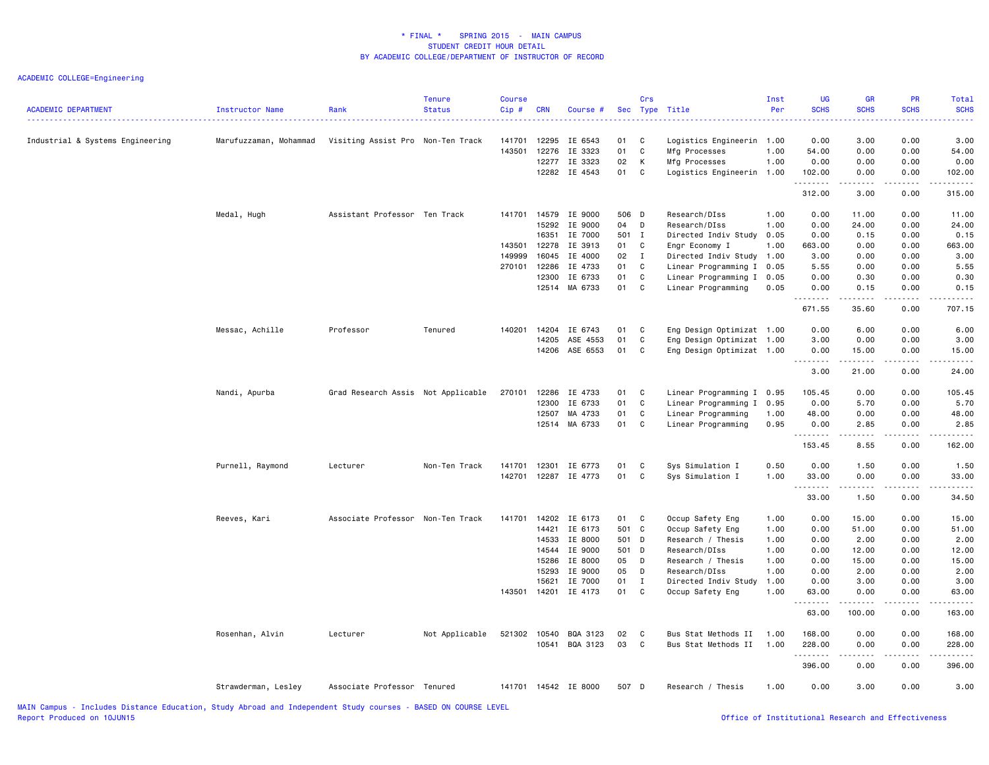| 3.00<br>0.00<br>3.00<br>Industrial & Systems Engineering<br>Marufuzzaman, Mohammad<br>Visiting Assist Pro Non-Ten Track<br>141701<br>12295<br>IE 6543<br>01<br>C<br>Logistics Engineerin 1.00<br>0.00<br>143501<br>12276<br>01<br>C<br>Mfg Processes<br>0.00<br>0.00<br>IE 3323<br>1.00<br>54.00<br>54.00<br>K<br>12277 IE 3323<br>02<br>Mfg Processes<br>1.00<br>0.00<br>0.00<br>0.00<br>0.00<br>12282 IE 4543<br>01<br>C<br>0.00<br>Logistics Engineerin 1.00<br>102.00<br>0.00<br>102.00<br>.<br>$\sim$ $\sim$ $\sim$ $\sim$<br>3.00<br>0.00<br>312.00<br>315.00<br>Medal, Hugh<br>Assistant Professor Ten Track<br>141701<br>14579<br>IE 9000<br>506 D<br>Research/DIss<br>1.00<br>0.00<br>11.00<br>0.00<br>11.00<br>15292<br>IE 9000<br>04<br>D<br>Research/DIss<br>1.00<br>0.00<br>24.00<br>0.00<br>24.00<br>IE 7000<br>501 I<br>0.15<br>0.00<br>16351<br>Directed Indiv Study<br>0.05<br>0.00<br>0.15<br>143501<br>12278<br>IE 3913<br>01 C<br>Engr Economy I<br>1.00<br>663.00<br>0.00<br>0.00<br>663.00<br>149999<br>16045<br>IE 4000<br>02<br>$\mathbf{I}$<br>Directed Indiv Study 1.00<br>0.00<br>0.00<br>3.00<br>3.00<br>270101 12286<br>IE 4733<br>01<br>C<br>Linear Programming I 0.05<br>0.00<br>0.00<br>5.55<br>5.55<br>12300<br>IE 6733<br>01<br>C<br>0.30<br>0.00<br>0.30<br>Linear Programming I<br>0.05<br>0.00<br>MA 6733<br>01<br>$\overline{\mathbf{C}}$<br>0.00<br>12514<br>Linear Programming<br>0.05<br>0.00<br>0.15<br>0.15<br>671.55<br>35.60<br>0.00<br>707.15<br>Messac, Achille<br>Professor<br>Tenured<br>140201<br>14204<br>IE 6743<br>01<br>C<br>Eng Design Optimizat 1.00<br>0.00<br>6.00<br>0.00<br>6.00<br>14205<br>ASE 4553<br>01<br>C<br>Eng Design Optimizat 1.00<br>3.00<br>0.00<br>0.00<br>3.00<br>14206<br>ASE 6553<br>01<br>C<br>Eng Design Optimizat 1.00<br>0.00<br>15.00<br>0.00<br>15.00<br>.<br>.<br>-----<br>.<br>3.00<br>21.00<br>0.00<br>24.00<br>Nandi, Apurba<br>Grad Research Assis Not Applicable<br>270101<br>12286<br>IE 4733<br>01<br><b>C</b><br>Linear Programming I 0.95<br>105.45<br>0.00<br>0.00<br>105.45<br>01<br>C<br>12300<br>IE 6733<br>Linear Programming I 0.95<br>0.00<br>5.70<br>0.00<br>5.70<br>12507<br>MA 4733<br>01<br>C<br>Linear Programming<br>1.00<br>48.00<br>0.00<br>0.00<br>48.00<br>12514 MA 6733<br>01<br>C<br>Linear Programming<br>0.95<br>0.00<br>2.85<br>0.00<br>2.85<br>.<br>.<br>2.2.2.2.2<br>.<br>153.45<br>0.00<br>162.00<br>8.55<br>12301<br>Sys Simulation I<br>0.50<br>0.00<br>0.00<br>Purnell, Raymond<br>Lecturer<br>Non-Ten Track<br>141701<br>IE 6773<br>01<br>C<br>1.50<br>1.50<br>142701<br>12287 IE 4773<br>01<br>C<br>0.00<br>Sys Simulation I<br>1.00<br>33.00<br>0.00<br>33.00<br>.<br>-----<br>.<br>------<br>33.00<br>1.50<br>0.00<br>34.50<br>Reeves, Kari<br>Associate Professor Non-Ten Track<br>141701<br>14202 IE 6173<br>01<br>$\mathbf{C}$<br>Occup Safety Eng<br>1.00<br>0.00<br>15.00<br>0.00<br>15.00<br>14421 IE 6173<br>501 C<br>Occup Safety Eng<br>1.00<br>0.00<br>51.00<br>0.00<br>51.00<br>IE 8000<br>14533<br>501 D<br>Research / Thesis<br>0.00<br>2.00<br>0.00<br>2.00<br>1.00<br>IE 9000<br>501 D<br>0.00<br>0.00<br>12.00<br>14544<br>Research/DIss<br>1.00<br>12.00<br>05<br>15286<br>IE 8000<br>D<br>Research / Thesis<br>1.00<br>0.00<br>15.00<br>0.00<br>15.00<br>05<br>15293<br>IE 9000<br>D<br>Research/DIss<br>1.00<br>0.00<br>2.00<br>0.00<br>2.00<br>15621<br>IE 7000<br>01<br>$\mathbf{I}$<br>Directed Indiv Study<br>1.00<br>0.00<br>3.00<br>0.00<br>3.00<br>143501 14201 IE 4173<br>01 C<br>0.00<br>Occup Safety Eng<br>1.00<br>63.00<br>0.00<br>63.00<br>.<br>.<br>.<br>.<br>63.00<br>100.00<br>0.00<br>163.00<br>Not Applicable<br>521302<br>10540<br>BQA 3123<br>02<br>C<br>Bus Stat Methods II<br>1.00<br>168.00<br>0.00<br>0.00<br>168.00<br>Rosenhan, Alvin<br>Lecturer<br>03<br>BQA 3123<br>C<br>10541<br>Bus Stat Methods II<br>1.00<br>228.00<br>0.00<br>0.00<br>228.00<br>.<br>.<br>.<br>$\frac{1}{2} \left( \frac{1}{2} \right) \left( \frac{1}{2} \right) \left( \frac{1}{2} \right) \left( \frac{1}{2} \right) \left( \frac{1}{2} \right)$<br>396.00<br>0.00<br>0.00<br>396.00<br>0.00<br>Strawderman, Lesley<br>Associate Professor Tenured<br>141701 14542 IE 8000<br>507 D<br>Research / Thesis<br>1.00<br>0.00<br>3.00<br>3.00 | <b>ACADEMIC DEPARTMENT</b> | Instructor Name | Rank | <b>Tenure</b><br><b>Status</b> | <b>Course</b><br>$Cip$ # | <b>CRN</b> | Course # | Crs | Sec Type Title | Inst<br>Per | <b>UG</b><br><b>SCHS</b><br>. | <b>GR</b><br><b>SCHS</b><br>2222 | PR<br><b>SCHS</b> | Total<br><b>SCHS</b><br>. |
|-----------------------------------------------------------------------------------------------------------------------------------------------------------------------------------------------------------------------------------------------------------------------------------------------------------------------------------------------------------------------------------------------------------------------------------------------------------------------------------------------------------------------------------------------------------------------------------------------------------------------------------------------------------------------------------------------------------------------------------------------------------------------------------------------------------------------------------------------------------------------------------------------------------------------------------------------------------------------------------------------------------------------------------------------------------------------------------------------------------------------------------------------------------------------------------------------------------------------------------------------------------------------------------------------------------------------------------------------------------------------------------------------------------------------------------------------------------------------------------------------------------------------------------------------------------------------------------------------------------------------------------------------------------------------------------------------------------------------------------------------------------------------------------------------------------------------------------------------------------------------------------------------------------------------------------------------------------------------------------------------------------------------------------------------------------------------------------------------------------------------------------------------------------------------------------------------------------------------------------------------------------------------------------------------------------------------------------------------------------------------------------------------------------------------------------------------------------------------------------------------------------------------------------------------------------------------------------------------------------------------------------------------------------------------------------------------------------------------------------------------------------------------------------------------------------------------------------------------------------------------------------------------------------------------------------------------------------------------------------------------------------------------------------------------------------------------------------------------------------------------------------------------------------------------------------------------------------------------------------------------------------------------------------------------------------------------------------------------------------------------------------------------------------------------------------------------------------------------------------------------------------------------------------------------------------------------------------------------------------------------------------------------------------------------------------------------------------------------------------------------------------------------------------------------------------------------------------------------------------------------------------------------------------------------------------------------------------------------------------------------------------------------------------------------------------------------------------------------------------------------------------------------------------------------------------------------------------------------------------------------------------------------------------------------|----------------------------|-----------------|------|--------------------------------|--------------------------|------------|----------|-----|----------------|-------------|-------------------------------|----------------------------------|-------------------|---------------------------|
|                                                                                                                                                                                                                                                                                                                                                                                                                                                                                                                                                                                                                                                                                                                                                                                                                                                                                                                                                                                                                                                                                                                                                                                                                                                                                                                                                                                                                                                                                                                                                                                                                                                                                                                                                                                                                                                                                                                                                                                                                                                                                                                                                                                                                                                                                                                                                                                                                                                                                                                                                                                                                                                                                                                                                                                                                                                                                                                                                                                                                                                                                                                                                                                                                                                                                                                                                                                                                                                                                                                                                                                                                                                                                                                                                                                                                                                                                                                                                                                                                                                                                                                                                                                                                                                                                               |                            |                 |      |                                |                          |            |          |     |                |             |                               |                                  |                   |                           |
|                                                                                                                                                                                                                                                                                                                                                                                                                                                                                                                                                                                                                                                                                                                                                                                                                                                                                                                                                                                                                                                                                                                                                                                                                                                                                                                                                                                                                                                                                                                                                                                                                                                                                                                                                                                                                                                                                                                                                                                                                                                                                                                                                                                                                                                                                                                                                                                                                                                                                                                                                                                                                                                                                                                                                                                                                                                                                                                                                                                                                                                                                                                                                                                                                                                                                                                                                                                                                                                                                                                                                                                                                                                                                                                                                                                                                                                                                                                                                                                                                                                                                                                                                                                                                                                                                               |                            |                 |      |                                |                          |            |          |     |                |             |                               |                                  |                   |                           |
|                                                                                                                                                                                                                                                                                                                                                                                                                                                                                                                                                                                                                                                                                                                                                                                                                                                                                                                                                                                                                                                                                                                                                                                                                                                                                                                                                                                                                                                                                                                                                                                                                                                                                                                                                                                                                                                                                                                                                                                                                                                                                                                                                                                                                                                                                                                                                                                                                                                                                                                                                                                                                                                                                                                                                                                                                                                                                                                                                                                                                                                                                                                                                                                                                                                                                                                                                                                                                                                                                                                                                                                                                                                                                                                                                                                                                                                                                                                                                                                                                                                                                                                                                                                                                                                                                               |                            |                 |      |                                |                          |            |          |     |                |             |                               |                                  |                   |                           |
|                                                                                                                                                                                                                                                                                                                                                                                                                                                                                                                                                                                                                                                                                                                                                                                                                                                                                                                                                                                                                                                                                                                                                                                                                                                                                                                                                                                                                                                                                                                                                                                                                                                                                                                                                                                                                                                                                                                                                                                                                                                                                                                                                                                                                                                                                                                                                                                                                                                                                                                                                                                                                                                                                                                                                                                                                                                                                                                                                                                                                                                                                                                                                                                                                                                                                                                                                                                                                                                                                                                                                                                                                                                                                                                                                                                                                                                                                                                                                                                                                                                                                                                                                                                                                                                                                               |                            |                 |      |                                |                          |            |          |     |                |             |                               |                                  |                   |                           |
|                                                                                                                                                                                                                                                                                                                                                                                                                                                                                                                                                                                                                                                                                                                                                                                                                                                                                                                                                                                                                                                                                                                                                                                                                                                                                                                                                                                                                                                                                                                                                                                                                                                                                                                                                                                                                                                                                                                                                                                                                                                                                                                                                                                                                                                                                                                                                                                                                                                                                                                                                                                                                                                                                                                                                                                                                                                                                                                                                                                                                                                                                                                                                                                                                                                                                                                                                                                                                                                                                                                                                                                                                                                                                                                                                                                                                                                                                                                                                                                                                                                                                                                                                                                                                                                                                               |                            |                 |      |                                |                          |            |          |     |                |             |                               |                                  |                   |                           |
|                                                                                                                                                                                                                                                                                                                                                                                                                                                                                                                                                                                                                                                                                                                                                                                                                                                                                                                                                                                                                                                                                                                                                                                                                                                                                                                                                                                                                                                                                                                                                                                                                                                                                                                                                                                                                                                                                                                                                                                                                                                                                                                                                                                                                                                                                                                                                                                                                                                                                                                                                                                                                                                                                                                                                                                                                                                                                                                                                                                                                                                                                                                                                                                                                                                                                                                                                                                                                                                                                                                                                                                                                                                                                                                                                                                                                                                                                                                                                                                                                                                                                                                                                                                                                                                                                               |                            |                 |      |                                |                          |            |          |     |                |             |                               |                                  |                   |                           |
|                                                                                                                                                                                                                                                                                                                                                                                                                                                                                                                                                                                                                                                                                                                                                                                                                                                                                                                                                                                                                                                                                                                                                                                                                                                                                                                                                                                                                                                                                                                                                                                                                                                                                                                                                                                                                                                                                                                                                                                                                                                                                                                                                                                                                                                                                                                                                                                                                                                                                                                                                                                                                                                                                                                                                                                                                                                                                                                                                                                                                                                                                                                                                                                                                                                                                                                                                                                                                                                                                                                                                                                                                                                                                                                                                                                                                                                                                                                                                                                                                                                                                                                                                                                                                                                                                               |                            |                 |      |                                |                          |            |          |     |                |             |                               |                                  |                   |                           |
|                                                                                                                                                                                                                                                                                                                                                                                                                                                                                                                                                                                                                                                                                                                                                                                                                                                                                                                                                                                                                                                                                                                                                                                                                                                                                                                                                                                                                                                                                                                                                                                                                                                                                                                                                                                                                                                                                                                                                                                                                                                                                                                                                                                                                                                                                                                                                                                                                                                                                                                                                                                                                                                                                                                                                                                                                                                                                                                                                                                                                                                                                                                                                                                                                                                                                                                                                                                                                                                                                                                                                                                                                                                                                                                                                                                                                                                                                                                                                                                                                                                                                                                                                                                                                                                                                               |                            |                 |      |                                |                          |            |          |     |                |             |                               |                                  |                   |                           |
|                                                                                                                                                                                                                                                                                                                                                                                                                                                                                                                                                                                                                                                                                                                                                                                                                                                                                                                                                                                                                                                                                                                                                                                                                                                                                                                                                                                                                                                                                                                                                                                                                                                                                                                                                                                                                                                                                                                                                                                                                                                                                                                                                                                                                                                                                                                                                                                                                                                                                                                                                                                                                                                                                                                                                                                                                                                                                                                                                                                                                                                                                                                                                                                                                                                                                                                                                                                                                                                                                                                                                                                                                                                                                                                                                                                                                                                                                                                                                                                                                                                                                                                                                                                                                                                                                               |                            |                 |      |                                |                          |            |          |     |                |             |                               |                                  |                   |                           |
|                                                                                                                                                                                                                                                                                                                                                                                                                                                                                                                                                                                                                                                                                                                                                                                                                                                                                                                                                                                                                                                                                                                                                                                                                                                                                                                                                                                                                                                                                                                                                                                                                                                                                                                                                                                                                                                                                                                                                                                                                                                                                                                                                                                                                                                                                                                                                                                                                                                                                                                                                                                                                                                                                                                                                                                                                                                                                                                                                                                                                                                                                                                                                                                                                                                                                                                                                                                                                                                                                                                                                                                                                                                                                                                                                                                                                                                                                                                                                                                                                                                                                                                                                                                                                                                                                               |                            |                 |      |                                |                          |            |          |     |                |             |                               |                                  |                   |                           |
|                                                                                                                                                                                                                                                                                                                                                                                                                                                                                                                                                                                                                                                                                                                                                                                                                                                                                                                                                                                                                                                                                                                                                                                                                                                                                                                                                                                                                                                                                                                                                                                                                                                                                                                                                                                                                                                                                                                                                                                                                                                                                                                                                                                                                                                                                                                                                                                                                                                                                                                                                                                                                                                                                                                                                                                                                                                                                                                                                                                                                                                                                                                                                                                                                                                                                                                                                                                                                                                                                                                                                                                                                                                                                                                                                                                                                                                                                                                                                                                                                                                                                                                                                                                                                                                                                               |                            |                 |      |                                |                          |            |          |     |                |             |                               |                                  |                   |                           |
|                                                                                                                                                                                                                                                                                                                                                                                                                                                                                                                                                                                                                                                                                                                                                                                                                                                                                                                                                                                                                                                                                                                                                                                                                                                                                                                                                                                                                                                                                                                                                                                                                                                                                                                                                                                                                                                                                                                                                                                                                                                                                                                                                                                                                                                                                                                                                                                                                                                                                                                                                                                                                                                                                                                                                                                                                                                                                                                                                                                                                                                                                                                                                                                                                                                                                                                                                                                                                                                                                                                                                                                                                                                                                                                                                                                                                                                                                                                                                                                                                                                                                                                                                                                                                                                                                               |                            |                 |      |                                |                          |            |          |     |                |             |                               |                                  |                   |                           |
|                                                                                                                                                                                                                                                                                                                                                                                                                                                                                                                                                                                                                                                                                                                                                                                                                                                                                                                                                                                                                                                                                                                                                                                                                                                                                                                                                                                                                                                                                                                                                                                                                                                                                                                                                                                                                                                                                                                                                                                                                                                                                                                                                                                                                                                                                                                                                                                                                                                                                                                                                                                                                                                                                                                                                                                                                                                                                                                                                                                                                                                                                                                                                                                                                                                                                                                                                                                                                                                                                                                                                                                                                                                                                                                                                                                                                                                                                                                                                                                                                                                                                                                                                                                                                                                                                               |                            |                 |      |                                |                          |            |          |     |                |             |                               |                                  |                   |                           |
|                                                                                                                                                                                                                                                                                                                                                                                                                                                                                                                                                                                                                                                                                                                                                                                                                                                                                                                                                                                                                                                                                                                                                                                                                                                                                                                                                                                                                                                                                                                                                                                                                                                                                                                                                                                                                                                                                                                                                                                                                                                                                                                                                                                                                                                                                                                                                                                                                                                                                                                                                                                                                                                                                                                                                                                                                                                                                                                                                                                                                                                                                                                                                                                                                                                                                                                                                                                                                                                                                                                                                                                                                                                                                                                                                                                                                                                                                                                                                                                                                                                                                                                                                                                                                                                                                               |                            |                 |      |                                |                          |            |          |     |                |             |                               |                                  |                   |                           |
|                                                                                                                                                                                                                                                                                                                                                                                                                                                                                                                                                                                                                                                                                                                                                                                                                                                                                                                                                                                                                                                                                                                                                                                                                                                                                                                                                                                                                                                                                                                                                                                                                                                                                                                                                                                                                                                                                                                                                                                                                                                                                                                                                                                                                                                                                                                                                                                                                                                                                                                                                                                                                                                                                                                                                                                                                                                                                                                                                                                                                                                                                                                                                                                                                                                                                                                                                                                                                                                                                                                                                                                                                                                                                                                                                                                                                                                                                                                                                                                                                                                                                                                                                                                                                                                                                               |                            |                 |      |                                |                          |            |          |     |                |             |                               |                                  |                   |                           |
|                                                                                                                                                                                                                                                                                                                                                                                                                                                                                                                                                                                                                                                                                                                                                                                                                                                                                                                                                                                                                                                                                                                                                                                                                                                                                                                                                                                                                                                                                                                                                                                                                                                                                                                                                                                                                                                                                                                                                                                                                                                                                                                                                                                                                                                                                                                                                                                                                                                                                                                                                                                                                                                                                                                                                                                                                                                                                                                                                                                                                                                                                                                                                                                                                                                                                                                                                                                                                                                                                                                                                                                                                                                                                                                                                                                                                                                                                                                                                                                                                                                                                                                                                                                                                                                                                               |                            |                 |      |                                |                          |            |          |     |                |             |                               |                                  |                   |                           |
|                                                                                                                                                                                                                                                                                                                                                                                                                                                                                                                                                                                                                                                                                                                                                                                                                                                                                                                                                                                                                                                                                                                                                                                                                                                                                                                                                                                                                                                                                                                                                                                                                                                                                                                                                                                                                                                                                                                                                                                                                                                                                                                                                                                                                                                                                                                                                                                                                                                                                                                                                                                                                                                                                                                                                                                                                                                                                                                                                                                                                                                                                                                                                                                                                                                                                                                                                                                                                                                                                                                                                                                                                                                                                                                                                                                                                                                                                                                                                                                                                                                                                                                                                                                                                                                                                               |                            |                 |      |                                |                          |            |          |     |                |             |                               |                                  |                   |                           |
|                                                                                                                                                                                                                                                                                                                                                                                                                                                                                                                                                                                                                                                                                                                                                                                                                                                                                                                                                                                                                                                                                                                                                                                                                                                                                                                                                                                                                                                                                                                                                                                                                                                                                                                                                                                                                                                                                                                                                                                                                                                                                                                                                                                                                                                                                                                                                                                                                                                                                                                                                                                                                                                                                                                                                                                                                                                                                                                                                                                                                                                                                                                                                                                                                                                                                                                                                                                                                                                                                                                                                                                                                                                                                                                                                                                                                                                                                                                                                                                                                                                                                                                                                                                                                                                                                               |                            |                 |      |                                |                          |            |          |     |                |             |                               |                                  |                   |                           |
|                                                                                                                                                                                                                                                                                                                                                                                                                                                                                                                                                                                                                                                                                                                                                                                                                                                                                                                                                                                                                                                                                                                                                                                                                                                                                                                                                                                                                                                                                                                                                                                                                                                                                                                                                                                                                                                                                                                                                                                                                                                                                                                                                                                                                                                                                                                                                                                                                                                                                                                                                                                                                                                                                                                                                                                                                                                                                                                                                                                                                                                                                                                                                                                                                                                                                                                                                                                                                                                                                                                                                                                                                                                                                                                                                                                                                                                                                                                                                                                                                                                                                                                                                                                                                                                                                               |                            |                 |      |                                |                          |            |          |     |                |             |                               |                                  |                   |                           |
|                                                                                                                                                                                                                                                                                                                                                                                                                                                                                                                                                                                                                                                                                                                                                                                                                                                                                                                                                                                                                                                                                                                                                                                                                                                                                                                                                                                                                                                                                                                                                                                                                                                                                                                                                                                                                                                                                                                                                                                                                                                                                                                                                                                                                                                                                                                                                                                                                                                                                                                                                                                                                                                                                                                                                                                                                                                                                                                                                                                                                                                                                                                                                                                                                                                                                                                                                                                                                                                                                                                                                                                                                                                                                                                                                                                                                                                                                                                                                                                                                                                                                                                                                                                                                                                                                               |                            |                 |      |                                |                          |            |          |     |                |             |                               |                                  |                   |                           |
|                                                                                                                                                                                                                                                                                                                                                                                                                                                                                                                                                                                                                                                                                                                                                                                                                                                                                                                                                                                                                                                                                                                                                                                                                                                                                                                                                                                                                                                                                                                                                                                                                                                                                                                                                                                                                                                                                                                                                                                                                                                                                                                                                                                                                                                                                                                                                                                                                                                                                                                                                                                                                                                                                                                                                                                                                                                                                                                                                                                                                                                                                                                                                                                                                                                                                                                                                                                                                                                                                                                                                                                                                                                                                                                                                                                                                                                                                                                                                                                                                                                                                                                                                                                                                                                                                               |                            |                 |      |                                |                          |            |          |     |                |             |                               |                                  |                   |                           |
|                                                                                                                                                                                                                                                                                                                                                                                                                                                                                                                                                                                                                                                                                                                                                                                                                                                                                                                                                                                                                                                                                                                                                                                                                                                                                                                                                                                                                                                                                                                                                                                                                                                                                                                                                                                                                                                                                                                                                                                                                                                                                                                                                                                                                                                                                                                                                                                                                                                                                                                                                                                                                                                                                                                                                                                                                                                                                                                                                                                                                                                                                                                                                                                                                                                                                                                                                                                                                                                                                                                                                                                                                                                                                                                                                                                                                                                                                                                                                                                                                                                                                                                                                                                                                                                                                               |                            |                 |      |                                |                          |            |          |     |                |             |                               |                                  |                   |                           |
|                                                                                                                                                                                                                                                                                                                                                                                                                                                                                                                                                                                                                                                                                                                                                                                                                                                                                                                                                                                                                                                                                                                                                                                                                                                                                                                                                                                                                                                                                                                                                                                                                                                                                                                                                                                                                                                                                                                                                                                                                                                                                                                                                                                                                                                                                                                                                                                                                                                                                                                                                                                                                                                                                                                                                                                                                                                                                                                                                                                                                                                                                                                                                                                                                                                                                                                                                                                                                                                                                                                                                                                                                                                                                                                                                                                                                                                                                                                                                                                                                                                                                                                                                                                                                                                                                               |                            |                 |      |                                |                          |            |          |     |                |             |                               |                                  |                   |                           |
|                                                                                                                                                                                                                                                                                                                                                                                                                                                                                                                                                                                                                                                                                                                                                                                                                                                                                                                                                                                                                                                                                                                                                                                                                                                                                                                                                                                                                                                                                                                                                                                                                                                                                                                                                                                                                                                                                                                                                                                                                                                                                                                                                                                                                                                                                                                                                                                                                                                                                                                                                                                                                                                                                                                                                                                                                                                                                                                                                                                                                                                                                                                                                                                                                                                                                                                                                                                                                                                                                                                                                                                                                                                                                                                                                                                                                                                                                                                                                                                                                                                                                                                                                                                                                                                                                               |                            |                 |      |                                |                          |            |          |     |                |             |                               |                                  |                   |                           |
|                                                                                                                                                                                                                                                                                                                                                                                                                                                                                                                                                                                                                                                                                                                                                                                                                                                                                                                                                                                                                                                                                                                                                                                                                                                                                                                                                                                                                                                                                                                                                                                                                                                                                                                                                                                                                                                                                                                                                                                                                                                                                                                                                                                                                                                                                                                                                                                                                                                                                                                                                                                                                                                                                                                                                                                                                                                                                                                                                                                                                                                                                                                                                                                                                                                                                                                                                                                                                                                                                                                                                                                                                                                                                                                                                                                                                                                                                                                                                                                                                                                                                                                                                                                                                                                                                               |                            |                 |      |                                |                          |            |          |     |                |             |                               |                                  |                   |                           |
|                                                                                                                                                                                                                                                                                                                                                                                                                                                                                                                                                                                                                                                                                                                                                                                                                                                                                                                                                                                                                                                                                                                                                                                                                                                                                                                                                                                                                                                                                                                                                                                                                                                                                                                                                                                                                                                                                                                                                                                                                                                                                                                                                                                                                                                                                                                                                                                                                                                                                                                                                                                                                                                                                                                                                                                                                                                                                                                                                                                                                                                                                                                                                                                                                                                                                                                                                                                                                                                                                                                                                                                                                                                                                                                                                                                                                                                                                                                                                                                                                                                                                                                                                                                                                                                                                               |                            |                 |      |                                |                          |            |          |     |                |             |                               |                                  |                   |                           |
|                                                                                                                                                                                                                                                                                                                                                                                                                                                                                                                                                                                                                                                                                                                                                                                                                                                                                                                                                                                                                                                                                                                                                                                                                                                                                                                                                                                                                                                                                                                                                                                                                                                                                                                                                                                                                                                                                                                                                                                                                                                                                                                                                                                                                                                                                                                                                                                                                                                                                                                                                                                                                                                                                                                                                                                                                                                                                                                                                                                                                                                                                                                                                                                                                                                                                                                                                                                                                                                                                                                                                                                                                                                                                                                                                                                                                                                                                                                                                                                                                                                                                                                                                                                                                                                                                               |                            |                 |      |                                |                          |            |          |     |                |             |                               |                                  |                   |                           |
|                                                                                                                                                                                                                                                                                                                                                                                                                                                                                                                                                                                                                                                                                                                                                                                                                                                                                                                                                                                                                                                                                                                                                                                                                                                                                                                                                                                                                                                                                                                                                                                                                                                                                                                                                                                                                                                                                                                                                                                                                                                                                                                                                                                                                                                                                                                                                                                                                                                                                                                                                                                                                                                                                                                                                                                                                                                                                                                                                                                                                                                                                                                                                                                                                                                                                                                                                                                                                                                                                                                                                                                                                                                                                                                                                                                                                                                                                                                                                                                                                                                                                                                                                                                                                                                                                               |                            |                 |      |                                |                          |            |          |     |                |             |                               |                                  |                   |                           |
|                                                                                                                                                                                                                                                                                                                                                                                                                                                                                                                                                                                                                                                                                                                                                                                                                                                                                                                                                                                                                                                                                                                                                                                                                                                                                                                                                                                                                                                                                                                                                                                                                                                                                                                                                                                                                                                                                                                                                                                                                                                                                                                                                                                                                                                                                                                                                                                                                                                                                                                                                                                                                                                                                                                                                                                                                                                                                                                                                                                                                                                                                                                                                                                                                                                                                                                                                                                                                                                                                                                                                                                                                                                                                                                                                                                                                                                                                                                                                                                                                                                                                                                                                                                                                                                                                               |                            |                 |      |                                |                          |            |          |     |                |             |                               |                                  |                   |                           |
|                                                                                                                                                                                                                                                                                                                                                                                                                                                                                                                                                                                                                                                                                                                                                                                                                                                                                                                                                                                                                                                                                                                                                                                                                                                                                                                                                                                                                                                                                                                                                                                                                                                                                                                                                                                                                                                                                                                                                                                                                                                                                                                                                                                                                                                                                                                                                                                                                                                                                                                                                                                                                                                                                                                                                                                                                                                                                                                                                                                                                                                                                                                                                                                                                                                                                                                                                                                                                                                                                                                                                                                                                                                                                                                                                                                                                                                                                                                                                                                                                                                                                                                                                                                                                                                                                               |                            |                 |      |                                |                          |            |          |     |                |             |                               |                                  |                   |                           |
|                                                                                                                                                                                                                                                                                                                                                                                                                                                                                                                                                                                                                                                                                                                                                                                                                                                                                                                                                                                                                                                                                                                                                                                                                                                                                                                                                                                                                                                                                                                                                                                                                                                                                                                                                                                                                                                                                                                                                                                                                                                                                                                                                                                                                                                                                                                                                                                                                                                                                                                                                                                                                                                                                                                                                                                                                                                                                                                                                                                                                                                                                                                                                                                                                                                                                                                                                                                                                                                                                                                                                                                                                                                                                                                                                                                                                                                                                                                                                                                                                                                                                                                                                                                                                                                                                               |                            |                 |      |                                |                          |            |          |     |                |             |                               |                                  |                   |                           |
|                                                                                                                                                                                                                                                                                                                                                                                                                                                                                                                                                                                                                                                                                                                                                                                                                                                                                                                                                                                                                                                                                                                                                                                                                                                                                                                                                                                                                                                                                                                                                                                                                                                                                                                                                                                                                                                                                                                                                                                                                                                                                                                                                                                                                                                                                                                                                                                                                                                                                                                                                                                                                                                                                                                                                                                                                                                                                                                                                                                                                                                                                                                                                                                                                                                                                                                                                                                                                                                                                                                                                                                                                                                                                                                                                                                                                                                                                                                                                                                                                                                                                                                                                                                                                                                                                               |                            |                 |      |                                |                          |            |          |     |                |             |                               |                                  |                   |                           |
|                                                                                                                                                                                                                                                                                                                                                                                                                                                                                                                                                                                                                                                                                                                                                                                                                                                                                                                                                                                                                                                                                                                                                                                                                                                                                                                                                                                                                                                                                                                                                                                                                                                                                                                                                                                                                                                                                                                                                                                                                                                                                                                                                                                                                                                                                                                                                                                                                                                                                                                                                                                                                                                                                                                                                                                                                                                                                                                                                                                                                                                                                                                                                                                                                                                                                                                                                                                                                                                                                                                                                                                                                                                                                                                                                                                                                                                                                                                                                                                                                                                                                                                                                                                                                                                                                               |                            |                 |      |                                |                          |            |          |     |                |             |                               |                                  |                   |                           |
|                                                                                                                                                                                                                                                                                                                                                                                                                                                                                                                                                                                                                                                                                                                                                                                                                                                                                                                                                                                                                                                                                                                                                                                                                                                                                                                                                                                                                                                                                                                                                                                                                                                                                                                                                                                                                                                                                                                                                                                                                                                                                                                                                                                                                                                                                                                                                                                                                                                                                                                                                                                                                                                                                                                                                                                                                                                                                                                                                                                                                                                                                                                                                                                                                                                                                                                                                                                                                                                                                                                                                                                                                                                                                                                                                                                                                                                                                                                                                                                                                                                                                                                                                                                                                                                                                               |                            |                 |      |                                |                          |            |          |     |                |             |                               |                                  |                   |                           |
|                                                                                                                                                                                                                                                                                                                                                                                                                                                                                                                                                                                                                                                                                                                                                                                                                                                                                                                                                                                                                                                                                                                                                                                                                                                                                                                                                                                                                                                                                                                                                                                                                                                                                                                                                                                                                                                                                                                                                                                                                                                                                                                                                                                                                                                                                                                                                                                                                                                                                                                                                                                                                                                                                                                                                                                                                                                                                                                                                                                                                                                                                                                                                                                                                                                                                                                                                                                                                                                                                                                                                                                                                                                                                                                                                                                                                                                                                                                                                                                                                                                                                                                                                                                                                                                                                               |                            |                 |      |                                |                          |            |          |     |                |             |                               |                                  |                   |                           |
|                                                                                                                                                                                                                                                                                                                                                                                                                                                                                                                                                                                                                                                                                                                                                                                                                                                                                                                                                                                                                                                                                                                                                                                                                                                                                                                                                                                                                                                                                                                                                                                                                                                                                                                                                                                                                                                                                                                                                                                                                                                                                                                                                                                                                                                                                                                                                                                                                                                                                                                                                                                                                                                                                                                                                                                                                                                                                                                                                                                                                                                                                                                                                                                                                                                                                                                                                                                                                                                                                                                                                                                                                                                                                                                                                                                                                                                                                                                                                                                                                                                                                                                                                                                                                                                                                               |                            |                 |      |                                |                          |            |          |     |                |             |                               |                                  |                   |                           |
|                                                                                                                                                                                                                                                                                                                                                                                                                                                                                                                                                                                                                                                                                                                                                                                                                                                                                                                                                                                                                                                                                                                                                                                                                                                                                                                                                                                                                                                                                                                                                                                                                                                                                                                                                                                                                                                                                                                                                                                                                                                                                                                                                                                                                                                                                                                                                                                                                                                                                                                                                                                                                                                                                                                                                                                                                                                                                                                                                                                                                                                                                                                                                                                                                                                                                                                                                                                                                                                                                                                                                                                                                                                                                                                                                                                                                                                                                                                                                                                                                                                                                                                                                                                                                                                                                               |                            |                 |      |                                |                          |            |          |     |                |             |                               |                                  |                   |                           |
|                                                                                                                                                                                                                                                                                                                                                                                                                                                                                                                                                                                                                                                                                                                                                                                                                                                                                                                                                                                                                                                                                                                                                                                                                                                                                                                                                                                                                                                                                                                                                                                                                                                                                                                                                                                                                                                                                                                                                                                                                                                                                                                                                                                                                                                                                                                                                                                                                                                                                                                                                                                                                                                                                                                                                                                                                                                                                                                                                                                                                                                                                                                                                                                                                                                                                                                                                                                                                                                                                                                                                                                                                                                                                                                                                                                                                                                                                                                                                                                                                                                                                                                                                                                                                                                                                               |                            |                 |      |                                |                          |            |          |     |                |             |                               |                                  |                   |                           |
|                                                                                                                                                                                                                                                                                                                                                                                                                                                                                                                                                                                                                                                                                                                                                                                                                                                                                                                                                                                                                                                                                                                                                                                                                                                                                                                                                                                                                                                                                                                                                                                                                                                                                                                                                                                                                                                                                                                                                                                                                                                                                                                                                                                                                                                                                                                                                                                                                                                                                                                                                                                                                                                                                                                                                                                                                                                                                                                                                                                                                                                                                                                                                                                                                                                                                                                                                                                                                                                                                                                                                                                                                                                                                                                                                                                                                                                                                                                                                                                                                                                                                                                                                                                                                                                                                               |                            |                 |      |                                |                          |            |          |     |                |             |                               |                                  |                   |                           |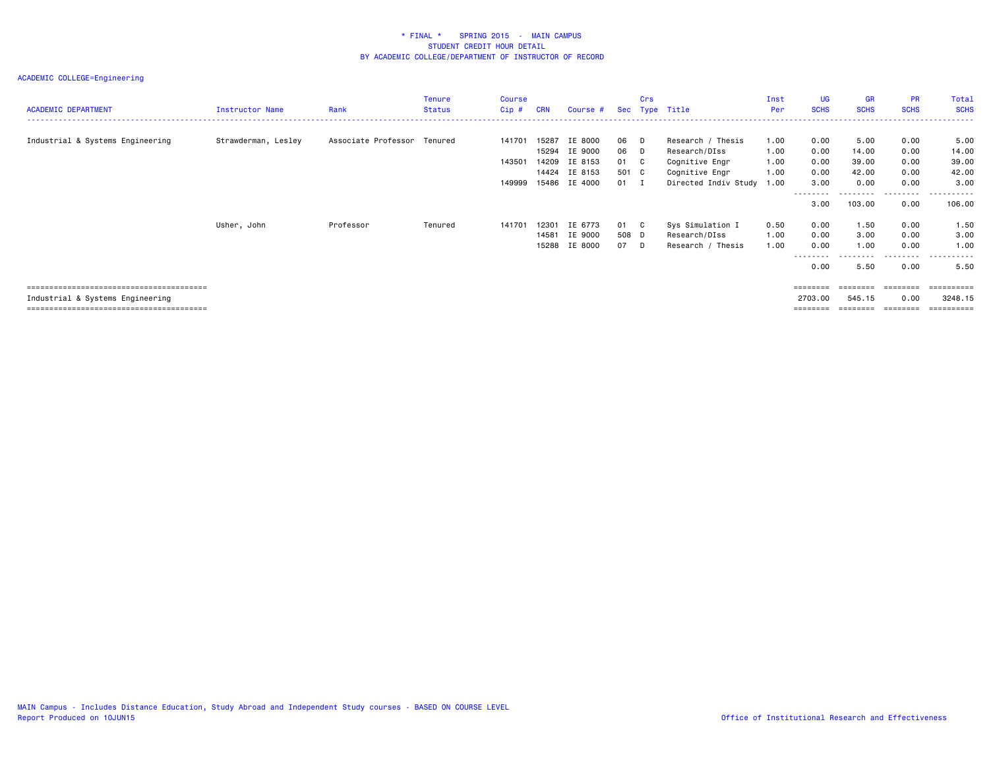| <b>ACADEMIC DEPARTMENT</b>       | <b>Instructor Name</b> | Rank                | <b>Tenure</b><br><b>Status</b> | <b>Course</b><br>$Cip$ # | <b>CRN</b>     | Course #           |                 | Crs | Sec Type Title                         | Inst<br>Per  | <b>UG</b><br><b>SCHS</b> | <b>GR</b><br><b>SCHS</b> | <b>PR</b><br><b>SCHS</b> | Total<br><b>SCHS</b> |
|----------------------------------|------------------------|---------------------|--------------------------------|--------------------------|----------------|--------------------|-----------------|-----|----------------------------------------|--------------|--------------------------|--------------------------|--------------------------|----------------------|
| Industrial & Systems Engineering | Strawderman, Lesley    | Associate Professor | Tenured                        | 141701                   | 15287<br>15294 | IE 8000<br>IE 9000 | 06 D<br>06 D    |     | Research / Thesis<br>Research/DIss     | 1.00<br>1.00 | 0.00<br>0.00             | 5.00<br>14.00            | 0.00<br>0.00             | 5.00<br>14.00        |
|                                  |                        |                     |                                | 143501                   | 14209          | IE 8153            | 01 C            |     | Cognitive Engr                         | 1.00         | 0.00                     | 39.00                    | 0.00                     | 39.00                |
|                                  |                        |                     |                                | 149999                   | 14424<br>15486 | IE 8153<br>IE 4000 | 501 C<br>$01$ I |     | Cognitive Engr<br>Directed Indiv Study | 1.00<br>1.00 | 0.00<br>3.00             | 42.00<br>0.00            | 0.00<br>0.00             | 42.00<br>3,00        |
|                                  |                        |                     |                                |                          |                |                    |                 |     |                                        |              | --------<br>3.00         | --------<br>103.00       | ---------<br>0.00        | ----------<br>106.00 |
|                                  | Usher, John            | Professor           | Tenured                        | 141701                   | 12301          | IE 6773            | 01 C            |     | Sys Simulation I                       | 0.50         | 0.00                     | 1.50                     | 0.00                     | 1.50                 |
|                                  |                        |                     |                                |                          | 14581<br>15288 | IE 9000<br>IE 8000 | 508 D<br>07 D   |     | Research/DIss<br>Research / Thesis     | 1.00<br>1.00 | 0.00<br>0.00             | 3.00<br>1.00             | 0.00<br>0.00             | 3.00<br>1.00         |
|                                  |                        |                     |                                |                          |                |                    |                 |     |                                        |              | ---------<br>0.00        | .<br>5.50                | --------<br>0.00         | .<br>5.50            |
|                                  |                        |                     |                                |                          |                |                    |                 |     |                                        |              |                          | ========                 | ========                 | ==========           |
| Industrial & Systems Engineering |                        |                     |                                |                          |                |                    |                 |     |                                        |              | 2703.00                  | 545.15                   | 0.00                     | 3248.15<br>========  |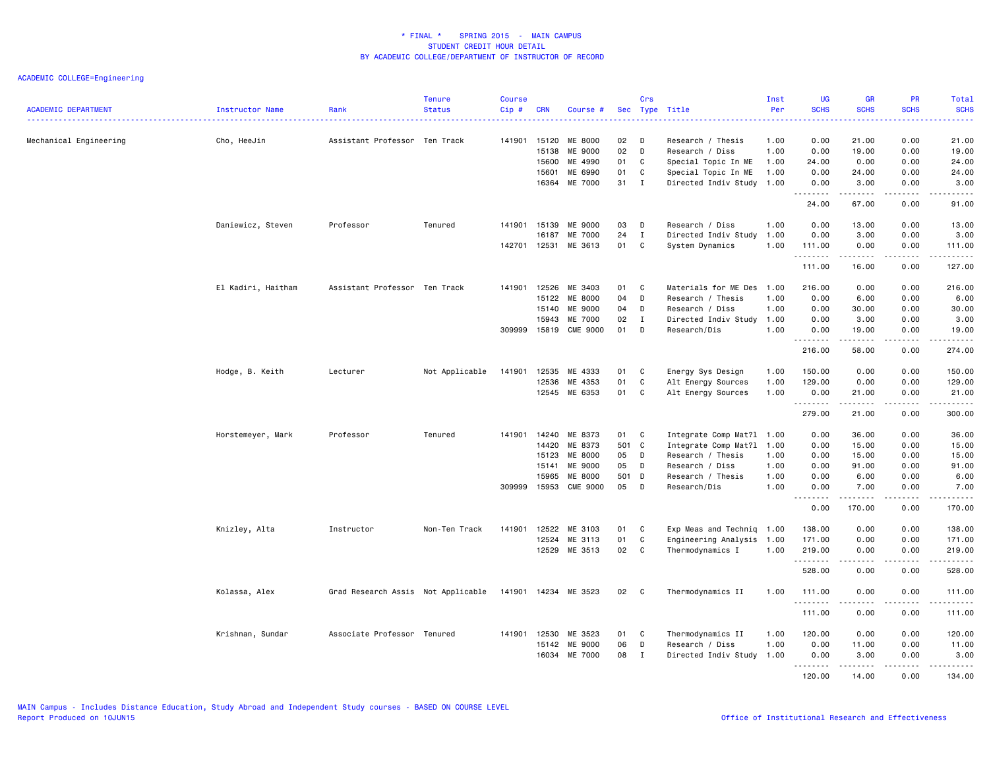| <b>ACADEMIC DEPARTMENT</b> | Instructor Name    | Rank                               | <b>Tenure</b><br><b>Status</b> | <b>Course</b><br>$Cip$ # | <b>CRN</b>     | Course #                  |          | Crs               | Sec Type Title                       | Inst<br>Per  | <b>UG</b><br><b>SCHS</b>                    | <b>GR</b><br><b>SCHS</b>                                                                                                                                     | <b>PR</b><br><b>SCHS</b> | Total<br><b>SCHS</b>                                                                                                                                                                                                                                                                                                                                                                                                                                                                             |
|----------------------------|--------------------|------------------------------------|--------------------------------|--------------------------|----------------|---------------------------|----------|-------------------|--------------------------------------|--------------|---------------------------------------------|--------------------------------------------------------------------------------------------------------------------------------------------------------------|--------------------------|--------------------------------------------------------------------------------------------------------------------------------------------------------------------------------------------------------------------------------------------------------------------------------------------------------------------------------------------------------------------------------------------------------------------------------------------------------------------------------------------------|
|                            |                    | .                                  |                                |                          |                |                           |          |                   |                                      |              | 2222                                        |                                                                                                                                                              |                          | 2222.                                                                                                                                                                                                                                                                                                                                                                                                                                                                                            |
| Mechanical Engineering     | Cho, HeeJin        | Assistant Professor Ten Track      |                                | 141901 15120             | 15138          | ME 8000<br>ME 9000        | 02<br>02 | D<br>D            | Research / Thesis<br>Research / Diss | 1.00<br>1.00 | 0.00<br>0.00                                | 21.00<br>19.00                                                                                                                                               | 0.00<br>0.00             | 21.00<br>19.00                                                                                                                                                                                                                                                                                                                                                                                                                                                                                   |
|                            |                    |                                    |                                |                          | 15600          | ME 4990                   | 01       | C                 | Special Topic In ME                  | 1.00         | 24.00                                       | 0.00                                                                                                                                                         | 0.00                     | 24.00                                                                                                                                                                                                                                                                                                                                                                                                                                                                                            |
|                            |                    |                                    |                                |                          | 15601          | ME 6990                   | 01       | C                 | Special Topic In ME                  | 1.00         | 0.00                                        | 24.00                                                                                                                                                        | 0.00                     | 24.00                                                                                                                                                                                                                                                                                                                                                                                                                                                                                            |
|                            |                    |                                    |                                |                          | 16364          | ME 7000                   | 31       | $\mathbf{I}$      | Directed Indiv Study 1.00            |              | 0.00                                        | 3.00                                                                                                                                                         | 0.00                     | 3.00                                                                                                                                                                                                                                                                                                                                                                                                                                                                                             |
|                            |                    |                                    |                                |                          |                |                           |          |                   |                                      |              | <u>.</u>                                    | . <b>.</b>                                                                                                                                                   | .                        | .                                                                                                                                                                                                                                                                                                                                                                                                                                                                                                |
|                            |                    |                                    |                                |                          |                |                           |          |                   |                                      |              | 24.00                                       | 67.00                                                                                                                                                        | 0.00                     | 91.00                                                                                                                                                                                                                                                                                                                                                                                                                                                                                            |
|                            | Daniewicz, Steven  | Professor                          | Tenured                        | 141901                   | 15139          | ME 9000                   | 03       | D                 | Research / Diss                      | 1.00         | 0.00                                        | 13.00                                                                                                                                                        | 0.00                     | 13.00                                                                                                                                                                                                                                                                                                                                                                                                                                                                                            |
|                            |                    |                                    |                                |                          | 16187          | ME 7000                   | 24       | $\mathbf{I}$      | Directed Indiv Study 1.00            |              | 0.00                                        | 3.00                                                                                                                                                         | 0.00                     | 3.00                                                                                                                                                                                                                                                                                                                                                                                                                                                                                             |
|                            |                    |                                    |                                | 142701                   | 12531          | ME 3613                   | 01       | C                 | System Dynamics                      | 1.00         | 111.00                                      | 0.00                                                                                                                                                         | 0.00                     | 111.00                                                                                                                                                                                                                                                                                                                                                                                                                                                                                           |
|                            |                    |                                    |                                |                          |                |                           |          |                   |                                      |              | <u>.</u><br>111.00                          | . <b>.</b><br>16.00                                                                                                                                          | .<br>0.00                | $\begin{array}{cccccccccccccc} \multicolumn{2}{c}{} & \multicolumn{2}{c}{} & \multicolumn{2}{c}{} & \multicolumn{2}{c}{} & \multicolumn{2}{c}{} & \multicolumn{2}{c}{} & \multicolumn{2}{c}{} & \multicolumn{2}{c}{} & \multicolumn{2}{c}{} & \multicolumn{2}{c}{} & \multicolumn{2}{c}{} & \multicolumn{2}{c}{} & \multicolumn{2}{c}{} & \multicolumn{2}{c}{} & \multicolumn{2}{c}{} & \multicolumn{2}{c}{} & \multicolumn{2}{c}{} & \multicolumn{2}{c}{} & \multicolumn{2}{c}{} & \$<br>127.00 |
|                            |                    |                                    |                                |                          |                |                           |          |                   |                                      |              |                                             |                                                                                                                                                              |                          |                                                                                                                                                                                                                                                                                                                                                                                                                                                                                                  |
|                            | El Kadiri, Haitham | Assistant Professor Ten Track      |                                | 141901                   | 12526          | ME 3403                   | 01       | C                 | Materials for ME Des                 | 1.00         | 216.00                                      | 0.00                                                                                                                                                         | 0.00                     | 216.00                                                                                                                                                                                                                                                                                                                                                                                                                                                                                           |
|                            |                    |                                    |                                |                          | 15122<br>15140 | ME 8000                   | 04       | D                 | Research / Thesis                    | 1.00         | 0.00                                        | 6.00                                                                                                                                                         | 0.00                     | 6.00                                                                                                                                                                                                                                                                                                                                                                                                                                                                                             |
|                            |                    |                                    |                                |                          | 15943          | ME 9000<br>ME 7000        | 04<br>02 | D                 | Research / Diss                      | 1.00         | 0.00<br>0.00                                | 30.00<br>3.00                                                                                                                                                | 0.00<br>0.00             | 30.00<br>3.00                                                                                                                                                                                                                                                                                                                                                                                                                                                                                    |
|                            |                    |                                    |                                | 309999                   | 15819          | <b>CME 9000</b>           | 01       | $\mathbf{I}$<br>D | Directed Indiv Study 1.00            | 1.00         |                                             |                                                                                                                                                              | 0.00                     | 19.00                                                                                                                                                                                                                                                                                                                                                                                                                                                                                            |
|                            |                    |                                    |                                |                          |                |                           |          |                   | Research/Dis                         |              | 0.00<br>.                                   | 19.00<br>.                                                                                                                                                   | .                        | .                                                                                                                                                                                                                                                                                                                                                                                                                                                                                                |
|                            |                    |                                    |                                |                          |                |                           |          |                   |                                      |              | 216.00                                      | 58.00                                                                                                                                                        | 0.00                     | 274.00                                                                                                                                                                                                                                                                                                                                                                                                                                                                                           |
|                            | Hodge, B. Keith    | Lecturer                           | Not Applicable                 | 141901                   | 12535          | ME 4333                   | 01       | C                 | Energy Sys Design                    | 1.00         | 150.00                                      | 0.00                                                                                                                                                         | 0.00                     | 150.00                                                                                                                                                                                                                                                                                                                                                                                                                                                                                           |
|                            |                    |                                    |                                |                          | 12536          | ME 4353                   | 01       | C                 | Alt Energy Sources                   | 1.00         | 129.00                                      | 0.00                                                                                                                                                         | 0.00                     | 129.00                                                                                                                                                                                                                                                                                                                                                                                                                                                                                           |
|                            |                    |                                    |                                |                          |                | 12545 ME 6353             | 01       | C                 | Alt Energy Sources                   | 1.00         | 0.00                                        | 21.00                                                                                                                                                        | 0.00                     | 21.00                                                                                                                                                                                                                                                                                                                                                                                                                                                                                            |
|                            |                    |                                    |                                |                          |                |                           |          |                   |                                      |              | <u>.</u><br>279.00                          | $- - - - - - -$<br>21.00                                                                                                                                     | <u>.</u><br>0.00         | .<br>300.00                                                                                                                                                                                                                                                                                                                                                                                                                                                                                      |
|                            |                    |                                    |                                |                          |                |                           |          |                   |                                      |              |                                             |                                                                                                                                                              |                          |                                                                                                                                                                                                                                                                                                                                                                                                                                                                                                  |
|                            | Horstemeyer, Mark  | Professor                          | Tenured                        | 141901                   | 14240          | ME 8373                   | 01       | C                 | Integrate Comp Mat?1 1.00            |              | 0.00                                        | 36.00                                                                                                                                                        | 0.00                     | 36.00                                                                                                                                                                                                                                                                                                                                                                                                                                                                                            |
|                            |                    |                                    |                                |                          | 14420          | ME 8373                   | 501      | $\mathbf{C}$      | Integrate Comp Mat?1 1.00            |              | 0.00                                        | 15.00                                                                                                                                                        | 0.00                     | 15.00                                                                                                                                                                                                                                                                                                                                                                                                                                                                                            |
|                            |                    |                                    |                                |                          | 15123          | ME 8000                   | 05       | D                 | Research / Thesis                    | 1.00         | 0.00                                        | 15.00                                                                                                                                                        | 0.00                     | 15.00                                                                                                                                                                                                                                                                                                                                                                                                                                                                                            |
|                            |                    |                                    |                                |                          | 15141          | ME 9000                   | 05       | D                 | Research / Diss                      | 1.00         | 0.00                                        | 91.00                                                                                                                                                        | 0.00                     | 91.00                                                                                                                                                                                                                                                                                                                                                                                                                                                                                            |
|                            |                    |                                    |                                |                          | 15965          | <b>ME 8000</b>            | 501      | $\mathsf{D}$      | Research / Thesis                    | 1.00         | 0.00                                        | 6.00                                                                                                                                                         | 0.00                     | 6.00                                                                                                                                                                                                                                                                                                                                                                                                                                                                                             |
|                            |                    |                                    |                                | 309999 15953             |                | <b>CME 9000</b>           | 05       | D                 | Research/Dis                         | 1.00         | 0.00<br>$\sim$ $\sim$ $\sim$<br>$- - - - -$ | 7.00<br><u>.</u>                                                                                                                                             | 0.00<br>.                | 7.00<br>.                                                                                                                                                                                                                                                                                                                                                                                                                                                                                        |
|                            |                    |                                    |                                |                          |                |                           |          |                   |                                      |              | 0.00                                        | 170.00                                                                                                                                                       | 0.00                     | 170.00                                                                                                                                                                                                                                                                                                                                                                                                                                                                                           |
|                            | Knizley, Alta      | Instructor                         | Non-Ten Track                  | 141901                   | 12522          | ME 3103                   | 01       | C                 | Exp Meas and Techniq 1.00            |              | 138.00                                      | 0.00                                                                                                                                                         | 0.00                     | 138.00                                                                                                                                                                                                                                                                                                                                                                                                                                                                                           |
|                            |                    |                                    |                                |                          | 12524          | ME 3113                   | 01       | C                 | Engineering Analysis 1.00            |              | 171.00                                      | 0.00                                                                                                                                                         | 0.00                     | 171.00                                                                                                                                                                                                                                                                                                                                                                                                                                                                                           |
|                            |                    |                                    |                                |                          |                | 12529 ME 3513             | 02       | C                 | Thermodynamics I                     | 1.00         | 219.00                                      | 0.00                                                                                                                                                         | 0.00                     | 219.00                                                                                                                                                                                                                                                                                                                                                                                                                                                                                           |
|                            |                    |                                    |                                |                          |                |                           |          |                   |                                      |              | .<br>528.00                                 | $\frac{1}{2} \left( \frac{1}{2} \right) \left( \frac{1}{2} \right) \left( \frac{1}{2} \right) \left( \frac{1}{2} \right) \left( \frac{1}{2} \right)$<br>0.00 | .<br>0.00                | .<br>528.00                                                                                                                                                                                                                                                                                                                                                                                                                                                                                      |
|                            | Kolassa, Alex      | Grad Research Assis Not Applicable |                                | 141901 14234             |                | ME 3523                   | 02       | C                 | Thermodynamics II                    | 1.00         | 111.00                                      | 0.00                                                                                                                                                         | 0.00                     | 111.00                                                                                                                                                                                                                                                                                                                                                                                                                                                                                           |
|                            |                    |                                    |                                |                          |                |                           |          |                   |                                      |              | .<br>111.00                                 | 0.00                                                                                                                                                         | 0.00                     | .<br>111.00                                                                                                                                                                                                                                                                                                                                                                                                                                                                                      |
|                            |                    | Associate Professor Tenured        |                                | 141901 12530             |                |                           | 01       | C                 |                                      | 1.00         | 120.00                                      | 0.00                                                                                                                                                         |                          |                                                                                                                                                                                                                                                                                                                                                                                                                                                                                                  |
|                            | Krishnan, Sundar   |                                    |                                |                          |                | ME 3523                   |          | D                 | Thermodynamics II                    |              |                                             |                                                                                                                                                              | 0.00                     | 120.00                                                                                                                                                                                                                                                                                                                                                                                                                                                                                           |
|                            |                    |                                    |                                |                          | 15142          | ME 9000<br><b>ME 7000</b> | 06<br>08 | I                 | Research / Diss                      | 1.00         | 0.00                                        | 11.00                                                                                                                                                        | 0.00<br>0.00             | 11.00<br>3.00                                                                                                                                                                                                                                                                                                                                                                                                                                                                                    |
|                            |                    |                                    |                                |                          | 16034          |                           |          |                   | Directed Indiv Study 1.00            |              | 0.00<br>.                                   | 3.00<br>. <b>.</b>                                                                                                                                           | <u>.</u>                 | .                                                                                                                                                                                                                                                                                                                                                                                                                                                                                                |
|                            |                    |                                    |                                |                          |                |                           |          |                   |                                      |              | 120.00                                      | 14.00                                                                                                                                                        | 0.00                     | 134.00                                                                                                                                                                                                                                                                                                                                                                                                                                                                                           |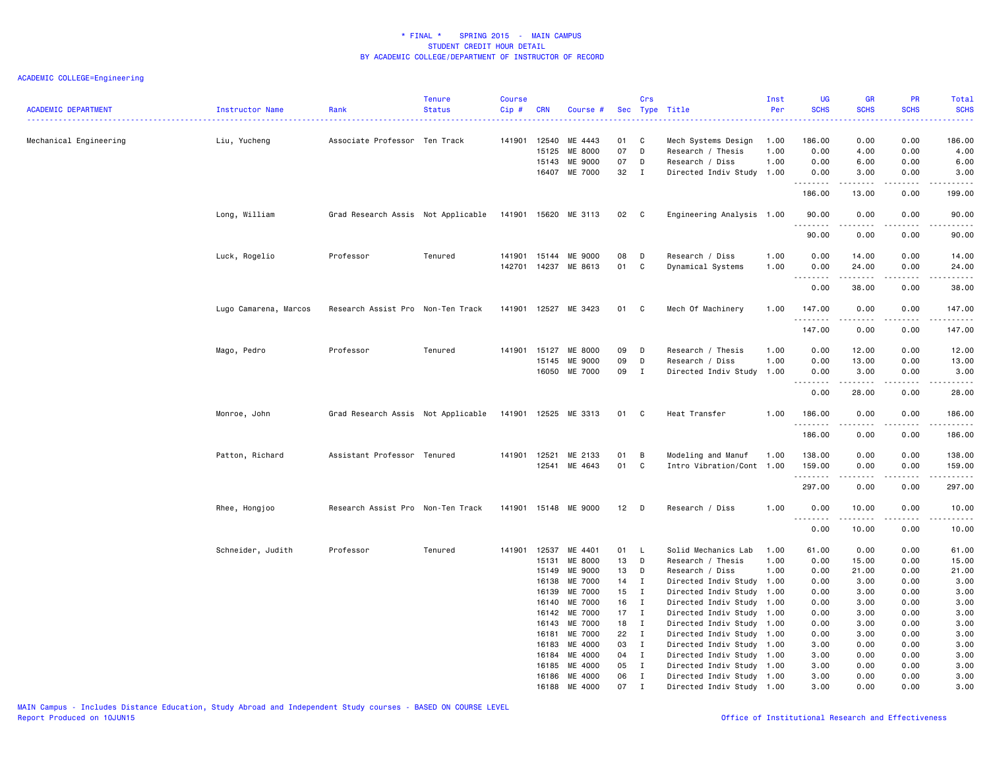| <b>ACADEMIC DEPARTMENT</b> | Instructor Name       | Rank                                                    | <b>Tenure</b><br><b>Status</b> | <b>Course</b><br>Cip# | <b>CRN</b> | Course #                 |                 | Crs               | Sec Type Title                               | Inst<br>Per  | <b>UG</b><br><b>SCHS</b> | GR<br><b>SCHS</b>                                                                                                                                    | PR<br><b>SCHS</b> | <b>Total</b><br><b>SCHS</b>                                                                                                                 |
|----------------------------|-----------------------|---------------------------------------------------------|--------------------------------|-----------------------|------------|--------------------------|-----------------|-------------------|----------------------------------------------|--------------|--------------------------|------------------------------------------------------------------------------------------------------------------------------------------------------|-------------------|---------------------------------------------------------------------------------------------------------------------------------------------|
| Mechanical Engineering     | Liu, Yucheng          | Associate Professor Ten Track                           |                                | 141901 12540          | 15125      | ME 4443<br>ME 8000       | 01<br>07        | C<br>D            | Mech Systems Design<br>Research / Thesis     | 1.00<br>1.00 | 186.00<br>0.00           | 0.00<br>4.00                                                                                                                                         | 0.00<br>0.00      | $\frac{1}{2} \left( \frac{1}{2} \right) \left( \frac{1}{2} \right) \left( \frac{1}{2} \right) \left( \frac{1}{2} \right)$<br>186.00<br>4.00 |
|                            |                       |                                                         |                                |                       | 15143      | ME 9000<br>16407 ME 7000 | 07<br>32        | D<br>$\mathbf{I}$ | Research / Diss<br>Directed Indiv Study 1.00 | 1.00         | 0.00<br>0.00             | 6.00<br>3.00                                                                                                                                         | 0.00<br>0.00      | 6.00<br>3.00                                                                                                                                |
|                            |                       |                                                         |                                |                       |            |                          |                 |                   |                                              |              | .                        | $\frac{1}{2} \left( \frac{1}{2} \right) \left( \frac{1}{2} \right) \left( \frac{1}{2} \right) \left( \frac{1}{2} \right) \left( \frac{1}{2} \right)$ | .                 | .                                                                                                                                           |
|                            |                       |                                                         |                                |                       |            |                          |                 |                   |                                              |              | 186.00                   | 13.00                                                                                                                                                | 0.00              | 199.00                                                                                                                                      |
|                            | Long, William         | Grad Research Assis Not Applicable 141901 15620 ME 3113 |                                |                       |            |                          | 02 C            |                   | Engineering Analysis 1.00                    |              | 90.00<br>.               | 0.00<br>.                                                                                                                                            | 0.00<br>.         | 90.00<br>.                                                                                                                                  |
|                            |                       |                                                         |                                |                       |            |                          |                 |                   |                                              |              | 90.00                    | 0.00                                                                                                                                                 | 0.00              | 90.00                                                                                                                                       |
|                            | Luck, Rogelio         | Professor                                               | Tenured                        | 141901                | 15144      | ME 9000                  | 08              | D                 | Research / Diss                              | 1.00         | 0.00                     | 14.00                                                                                                                                                | 0.00              | 14.00                                                                                                                                       |
|                            |                       |                                                         |                                |                       |            | 142701 14237 ME 8613     | 01              | C                 | Dynamical Systems                            | 1.00         | 0.00                     | 24.00                                                                                                                                                | 0.00              | 24.00                                                                                                                                       |
|                            |                       |                                                         |                                |                       |            |                          |                 |                   |                                              |              | .<br>0.00                | -----<br>38.00                                                                                                                                       | د د د د<br>0.00   | $\cdots$<br>38.00                                                                                                                           |
|                            | Lugo Camarena, Marcos | Research Assist Pro Non-Ten Track                       |                                |                       |            | 141901 12527 ME 3423     | 01              | C                 | Mech Of Machinery                            | 1.00         | 147.00<br><u>.</u>       | 0.00<br><u>.</u>                                                                                                                                     | 0.00<br>.         | 147.00<br>.                                                                                                                                 |
|                            |                       |                                                         |                                |                       |            |                          |                 |                   |                                              |              | 147.00                   | 0.00                                                                                                                                                 | 0.00              | 147.00                                                                                                                                      |
|                            | Mago, Pedro           | Professor                                               | Tenured                        | 141901 15127          |            | ME 8000                  | 09              | D                 | Research / Thesis                            | 1.00         | 0.00                     | 12.00                                                                                                                                                | 0.00              | 12.00                                                                                                                                       |
|                            |                       |                                                         |                                |                       | 15145      | ME 9000                  | 09              | D                 | Research / Diss                              | 1.00         | 0.00                     | 13.00                                                                                                                                                | 0.00              | 13.00                                                                                                                                       |
|                            |                       |                                                         |                                |                       |            | 16050 ME 7000            | 09              | I                 | Directed Indiv Study 1.00                    |              | 0.00                     | 3.00                                                                                                                                                 | 0.00              | 3.00                                                                                                                                        |
|                            |                       |                                                         |                                |                       |            |                          |                 |                   |                                              |              | .<br>0.00                | .<br>28.00                                                                                                                                           | -----<br>0.00     | .<br>28.00                                                                                                                                  |
|                            |                       |                                                         |                                |                       |            |                          |                 |                   |                                              |              |                          |                                                                                                                                                      |                   |                                                                                                                                             |
|                            | Monroe, John          | Grad Research Assis Not Applicable 141901 12525 ME 3313 |                                |                       |            |                          | 01 C            |                   | Heat Transfer                                | 1.00         | 186.00<br>.              | 0.00                                                                                                                                                 | 0.00<br>.         | 186.00<br>------                                                                                                                            |
|                            |                       |                                                         |                                |                       |            |                          |                 |                   |                                              |              | 186.00                   | 0.00                                                                                                                                                 | 0.00              | 186.00                                                                                                                                      |
|                            | Patton, Richard       | Assistant Professor Tenured                             |                                | 141901 12521          |            | ME 2133                  | 01              | B                 | Modeling and Manuf                           | 1.00         | 138.00                   | 0.00                                                                                                                                                 | 0.00              | 138.00                                                                                                                                      |
|                            |                       |                                                         |                                |                       | 12541      | ME 4643                  | 01              | C                 | Intro Vibration/Cont 1.00                    |              | 159.00                   | 0.00                                                                                                                                                 | 0.00              | 159.00                                                                                                                                      |
|                            |                       |                                                         |                                |                       |            |                          |                 |                   |                                              |              | .                        |                                                                                                                                                      | .                 | .                                                                                                                                           |
|                            |                       |                                                         |                                |                       |            |                          |                 |                   |                                              |              | 297.00                   | 0.00                                                                                                                                                 | 0.00              | 297.00                                                                                                                                      |
|                            | Rhee, Hongjoo         | Research Assist Pro Non-Ten Track                       |                                |                       |            | 141901 15148 ME 9000     | 12 <sub>2</sub> | D                 | Research / Diss                              | 1.00         | 0.00<br>1.1.1.1.1.1.1    | 10.00                                                                                                                                                | 0.00              | 10.00<br>.                                                                                                                                  |
|                            |                       |                                                         |                                |                       |            |                          |                 |                   |                                              |              | 0.00                     | 10.00                                                                                                                                                | 0.00              | 10.00                                                                                                                                       |
|                            | Schneider, Judith     | Professor                                               | Tenured                        | 141901 12537          |            | ME 4401                  | 01              | - L               | Solid Mechanics Lab                          | 1.00         | 61.00                    | 0.00                                                                                                                                                 | 0.00              | 61.00                                                                                                                                       |
|                            |                       |                                                         |                                |                       | 15131      | ME 8000                  | 13              | D                 | Research / Thesis                            | 1.00         | 0.00                     | 15.00                                                                                                                                                | 0.00              | 15.00                                                                                                                                       |
|                            |                       |                                                         |                                |                       | 15149      | ME 9000                  | 13              | D                 | Research / Diss                              | 1.00         | 0.00                     | 21.00                                                                                                                                                | 0.00              | 21.00                                                                                                                                       |
|                            |                       |                                                         |                                |                       | 16138      | ME 7000                  | 14              | $\mathbf{I}$      | Directed Indiv Study 1.00                    |              | 0.00                     | 3.00                                                                                                                                                 | 0.00              | 3.00                                                                                                                                        |
|                            |                       |                                                         |                                |                       | 16139      | ME 7000                  | 15              | $\mathbf{I}$      | Directed Indiv Study 1.00                    |              | 0.00                     | 3.00                                                                                                                                                 | 0.00              | 3.00                                                                                                                                        |
|                            |                       |                                                         |                                |                       | 16140      | ME 7000                  | 16              | I                 | Directed Indiv Study 1.00                    |              | 0.00                     | 3.00                                                                                                                                                 | 0.00              | 3.00                                                                                                                                        |
|                            |                       |                                                         |                                |                       | 16142      | ME 7000                  | 17              | $\mathbf{I}$      | Directed Indiv Study 1.00                    |              | 0.00                     | 3.00                                                                                                                                                 | 0.00              | 3.00                                                                                                                                        |
|                            |                       |                                                         |                                |                       | 16143      | ME 7000                  | 18              | $\mathbf{I}$      | Directed Indiv Study 1.00                    |              | 0.00                     | 3.00                                                                                                                                                 | 0.00              | 3.00                                                                                                                                        |
|                            |                       |                                                         |                                |                       | 16181      | ME 7000                  | 22              | $\mathbf{I}$      | Directed Indiv Study 1.00                    |              | 0.00                     | 3.00                                                                                                                                                 | 0.00              | 3.00                                                                                                                                        |
|                            |                       |                                                         |                                |                       | 16183      | ME 4000                  | 03              | I                 | Directed Indiv Study 1.00                    |              | 3.00                     | 0.00                                                                                                                                                 | 0.00              | 3.00                                                                                                                                        |
|                            |                       |                                                         |                                |                       | 16184      | ME 4000                  | 04              | $\mathbf{I}$      | Directed Indiv Study 1.00                    |              | 3.00                     | 0.00                                                                                                                                                 | 0.00              | 3.00                                                                                                                                        |
|                            |                       |                                                         |                                |                       | 16185      | ME 4000                  | 05              | $\mathbf{I}$      | Directed Indiv Study 1.00                    |              | 3.00                     | 0.00                                                                                                                                                 | 0.00              | 3.00                                                                                                                                        |
|                            |                       |                                                         |                                |                       | 16186      | ME 4000                  | 06              | $\mathbf{I}$      | Directed Indiv Study 1.00                    |              | 3.00                     | 0.00                                                                                                                                                 | 0.00              | 3.00                                                                                                                                        |
|                            |                       |                                                         |                                |                       | 16188      | ME 4000                  | 07              | I                 | Directed Indiv Study 1.00                    |              | 3.00                     | 0.00                                                                                                                                                 | 0.00              | 3.00                                                                                                                                        |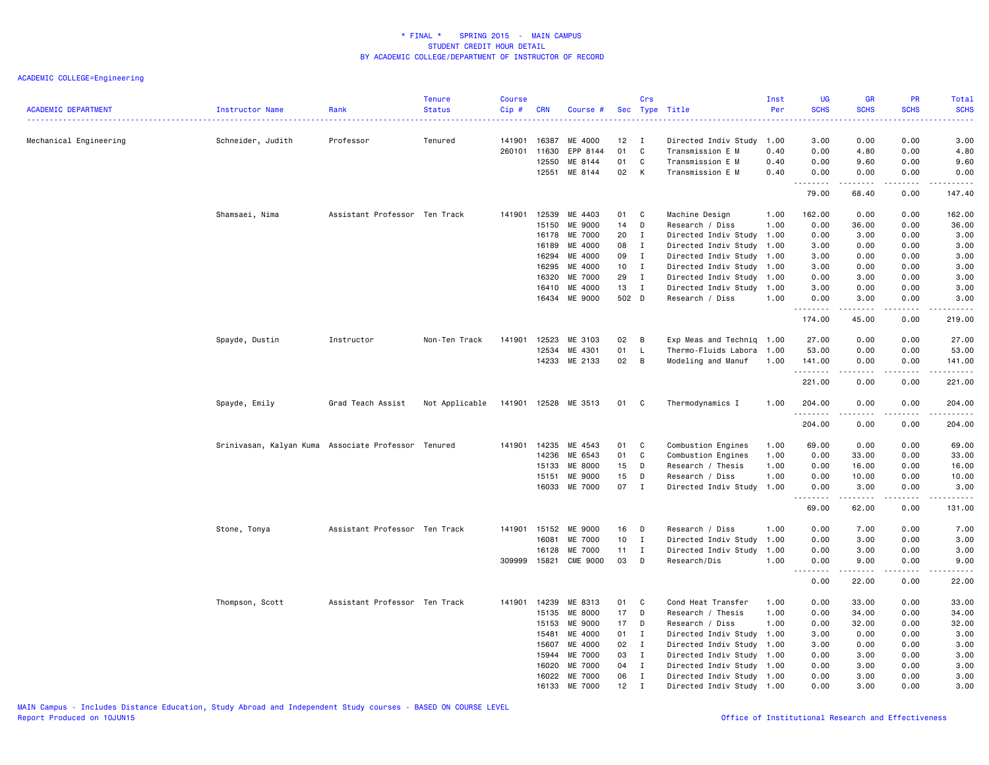| <b>ACADEMIC DEPARTMENT</b> | Instructor Name                                     | Rank                          | <b>Tenure</b><br><b>Status</b> | <b>Course</b><br>Cip# | <b>CRN</b> | Course #        |                 | Crs          | Sec Type Title            | Inst<br>Per | <b>UG</b><br><b>SCHS</b><br>$\sim$ $\sim$ $\sim$ $\sim$ | <b>GR</b><br><b>SCHS</b> | <b>PR</b><br><b>SCHS</b>            | Total<br><b>SCHS</b><br>2222.                                                                                                                                |
|----------------------------|-----------------------------------------------------|-------------------------------|--------------------------------|-----------------------|------------|-----------------|-----------------|--------------|---------------------------|-------------|---------------------------------------------------------|--------------------------|-------------------------------------|--------------------------------------------------------------------------------------------------------------------------------------------------------------|
| Mechanical Engineering     | Schneider, Judith                                   | Professor                     | Tenured                        | 141901                | 16387      | ME 4000         | 12 <sub>2</sub> | $\mathbf{I}$ | Directed Indiv Study      | 1.00        | 3.00                                                    | 0.00                     | 0.00                                | 3.00                                                                                                                                                         |
|                            |                                                     |                               |                                | 260101                | 11630      | EPP 8144        | 01              | $\mathbb C$  | Transmission E M          | 0.40        | 0.00                                                    | 4.80                     | 0.00                                | 4.80                                                                                                                                                         |
|                            |                                                     |                               |                                |                       | 12550      | ME 8144         | 01              | C            | Transmission E M          | 0.40        | 0.00                                                    | 9.60                     | 0.00                                | 9.60                                                                                                                                                         |
|                            |                                                     |                               |                                |                       | 12551      | ME 8144         | 02              | K            | Transmission E M          | 0.40        | 0.00                                                    | 0.00<br>د د د د د        | 0.00                                | 0.00<br>.                                                                                                                                                    |
|                            |                                                     |                               |                                |                       |            |                 |                 |              |                           |             | 79.00                                                   | 68.40                    | 0.00                                | 147.40                                                                                                                                                       |
|                            | Shamsaei, Nima                                      | Assistant Professor Ten Track |                                | 141901                | 12539      | ME 4403         | 01              | C            | Machine Design            | 1.00        | 162.00                                                  | 0.00                     | 0.00                                | 162.00                                                                                                                                                       |
|                            |                                                     |                               |                                |                       | 15150      | ME 9000         | 14              | D            | Research / Diss           | 1.00        | 0.00                                                    | 36.00                    | 0.00                                | 36.00                                                                                                                                                        |
|                            |                                                     |                               |                                |                       | 16178      | ME 7000         | 20              | $\mathbf{I}$ | Directed Indiv Study      | 1.00        | 0.00                                                    | 3.00                     | 0.00                                | 3.00                                                                                                                                                         |
|                            |                                                     |                               |                                |                       | 16189      | ME 4000         | 08              | $\bf{I}$     | Directed Indiv Study 1.00 |             | 3.00                                                    | 0.00                     | 0.00                                | 3.00                                                                                                                                                         |
|                            |                                                     |                               |                                |                       | 16294      | ME 4000         | 09              | $\mathbf{I}$ | Directed Indiv Study      | 1.00        | 3.00                                                    | 0.00                     | 0.00                                | 3.00                                                                                                                                                         |
|                            |                                                     |                               |                                |                       | 16295      | ME 4000         | 10 <sub>1</sub> | $\mathbf{I}$ | Directed Indiv Study      | 1.00        | 3.00                                                    | 0.00                     | 0.00                                | 3.00                                                                                                                                                         |
|                            |                                                     |                               |                                |                       | 16320      | ME 7000         | 29              | $\mathbf{I}$ | Directed Indiv Study 1.00 |             | 0.00                                                    | 3.00                     | 0.00                                | 3.00                                                                                                                                                         |
|                            |                                                     |                               |                                |                       | 16410      | ME 4000         | 13              | $\mathbf{I}$ | Directed Indiv Study 1.00 |             | 3.00                                                    | 0.00                     | 0.00                                | 3.00                                                                                                                                                         |
|                            |                                                     |                               |                                |                       | 16434      | ME 9000         | 502 D           |              | Research / Diss           | 1.00        | 0.00<br>.                                               | 3.00                     | 0.00<br>$\sim$ $\sim$ $\sim$ $\sim$ | 3.00<br>$\frac{1}{2} \left( \frac{1}{2} \right) \left( \frac{1}{2} \right) \left( \frac{1}{2} \right) \left( \frac{1}{2} \right) \left( \frac{1}{2} \right)$ |
|                            |                                                     |                               |                                |                       |            |                 |                 |              |                           |             | 174.00                                                  | 45.00                    | 0.00                                | 219.00                                                                                                                                                       |
|                            | Spayde, Dustin                                      | Instructor                    | Non-Ten Track                  | 141901                | 12523      | ME 3103         | 02              | В            | Exp Meas and Techniq 1.00 |             | 27.00                                                   | 0.00                     | 0.00                                | 27.00                                                                                                                                                        |
|                            |                                                     |                               |                                |                       | 12534      | ME 4301         | 01              | L            | Thermo-Fluids Labora      | 1.00        | 53.00                                                   | 0.00                     | 0.00                                | 53.00                                                                                                                                                        |
|                            |                                                     |                               |                                |                       | 14233      | ME 2133         | 02              | В            | Modeling and Manuf        | 1.00        | 141.00                                                  | 0.00                     | 0.00                                | 141.00                                                                                                                                                       |
|                            |                                                     |                               |                                |                       |            |                 |                 |              |                           |             | .<br>221.00                                             | الداعات عامات<br>0.00    | .<br>0.00                           | .<br>221.00                                                                                                                                                  |
|                            | Spayde, Emily                                       | Grad Teach Assist             | Not Applicable                 | 141901                |            | 12528 ME 3513   | 01              | C            | Thermodynamics I          | 1.00        | 204.00                                                  | 0.00                     | 0.00                                | 204.00                                                                                                                                                       |
|                            |                                                     |                               |                                |                       |            |                 |                 |              |                           |             | <u>.</u><br>204.00                                      | 0.00                     | 0.00                                | .<br>204.00                                                                                                                                                  |
|                            | Srinivasan, Kalyan Kuma Associate Professor Tenured |                               |                                | 141901                | 14235      | ME 4543         | 01              | C            | Combustion Engines        | 1.00        | 69.00                                                   | 0.00                     | 0.00                                | 69.00                                                                                                                                                        |
|                            |                                                     |                               |                                |                       | 14236      | ME 6543         | 01              | $\mathbf c$  | Combustion Engines        | 1.00        | 0.00                                                    | 33.00                    | 0.00                                | 33.00                                                                                                                                                        |
|                            |                                                     |                               |                                |                       | 15133      | ME 8000         | 15              | D            | Research / Thesis         | 1.00        | 0.00                                                    | 16.00                    | 0.00                                | 16.00                                                                                                                                                        |
|                            |                                                     |                               |                                |                       | 15151      | ME 9000         | 15              | D            | Research / Diss           | 1.00        | 0.00                                                    | 10.00                    | 0.00                                | 10.00                                                                                                                                                        |
|                            |                                                     |                               |                                |                       |            | 16033 ME 7000   | 07              | $\mathbf{I}$ | Directed Indiv Study 1.00 |             | 0.00                                                    | 3.00                     | 0.00                                | 3.00                                                                                                                                                         |
|                            |                                                     |                               |                                |                       |            |                 |                 |              |                           |             | $\sim$ $\sim$ $\sim$ $\sim$<br>69.00                    | -----<br>62.00           | .<br>0.00                           | .<br>131.00                                                                                                                                                  |
|                            | Stone, Tonya                                        | Assistant Professor Ten Track |                                | 141901                | 15152      | ME 9000         | 16              | D            | Research / Diss           | 1.00        | 0.00                                                    | 7.00                     | 0.00                                | 7.00                                                                                                                                                         |
|                            |                                                     |                               |                                |                       | 16081      | ME 7000         | 10 <sub>1</sub> | $\mathbf{I}$ | Directed Indiv Study      | 1.00        | 0.00                                                    | 3.00                     | 0.00                                | 3.00                                                                                                                                                         |
|                            |                                                     |                               |                                |                       | 16128      | ME 7000         | 11              | $\mathbf{I}$ | Directed Indiv Study      | 1.00        | 0.00                                                    | 3.00                     | 0.00                                | 3.00                                                                                                                                                         |
|                            |                                                     |                               |                                | 309999                | 15821      | <b>CME 9000</b> | 03              | D            | Research/Dis              | 1.00        | 0.00                                                    | 9.00                     | 0.00                                | 9.00                                                                                                                                                         |
|                            |                                                     |                               |                                |                       |            |                 |                 |              |                           |             | .<br>$\sim$ $\sim$<br>0.00                              | .<br>22.00               | .<br>0.00                           | .<br>22.00                                                                                                                                                   |
|                            | Thompson, Scott                                     | Assistant Professor Ten Track |                                | 141901                | 14239      | ME 8313         | 01              | C            | Cond Heat Transfer        | 1.00        | 0.00                                                    | 33.00                    | 0.00                                | 33.00                                                                                                                                                        |
|                            |                                                     |                               |                                |                       | 15135      | ME 8000         | 17              | D            | Research / Thesis         | 1.00        | 0.00                                                    | 34.00                    | 0.00                                | 34.00                                                                                                                                                        |
|                            |                                                     |                               |                                |                       | 15153      | ME 9000         | 17              | D            | Research / Diss           | 1.00        | 0.00                                                    | 32.00                    | 0.00                                | 32.00                                                                                                                                                        |
|                            |                                                     |                               |                                |                       | 15481      | ME 4000         | 01              | $\mathbf{I}$ | Directed Indiv Study 1.00 |             | 3.00                                                    | 0.00                     | 0.00                                | 3.00                                                                                                                                                         |
|                            |                                                     |                               |                                |                       | 15607      | ME 4000         | 02              | $\mathbf{I}$ | Directed Indiv Study 1.00 |             | 3.00                                                    | 0.00                     | 0.00                                | 3.00                                                                                                                                                         |
|                            |                                                     |                               |                                |                       | 15944      | ME 7000         | 03              | $\mathbf{I}$ | Directed Indiv Study      | 1.00        | 0.00                                                    | 3.00                     | 0.00                                | 3.00                                                                                                                                                         |
|                            |                                                     |                               |                                |                       | 16020      | ME 7000         | 04              | $\mathbf{I}$ | Directed Indiv Study 1.00 |             | 0.00                                                    | 3.00                     | 0.00                                | 3.00                                                                                                                                                         |
|                            |                                                     |                               |                                |                       | 16022      | ME 7000         | 06              | $\mathbf{I}$ | Directed Indiv Study 1.00 |             | 0.00                                                    | 3.00                     | 0.00                                | 3.00                                                                                                                                                         |
|                            |                                                     |                               |                                |                       | 16133      | ME 7000         | 12              | $\mathbf I$  | Directed Indiv Study 1.00 |             | 0.00                                                    | 3.00                     | 0.00                                | 3.00                                                                                                                                                         |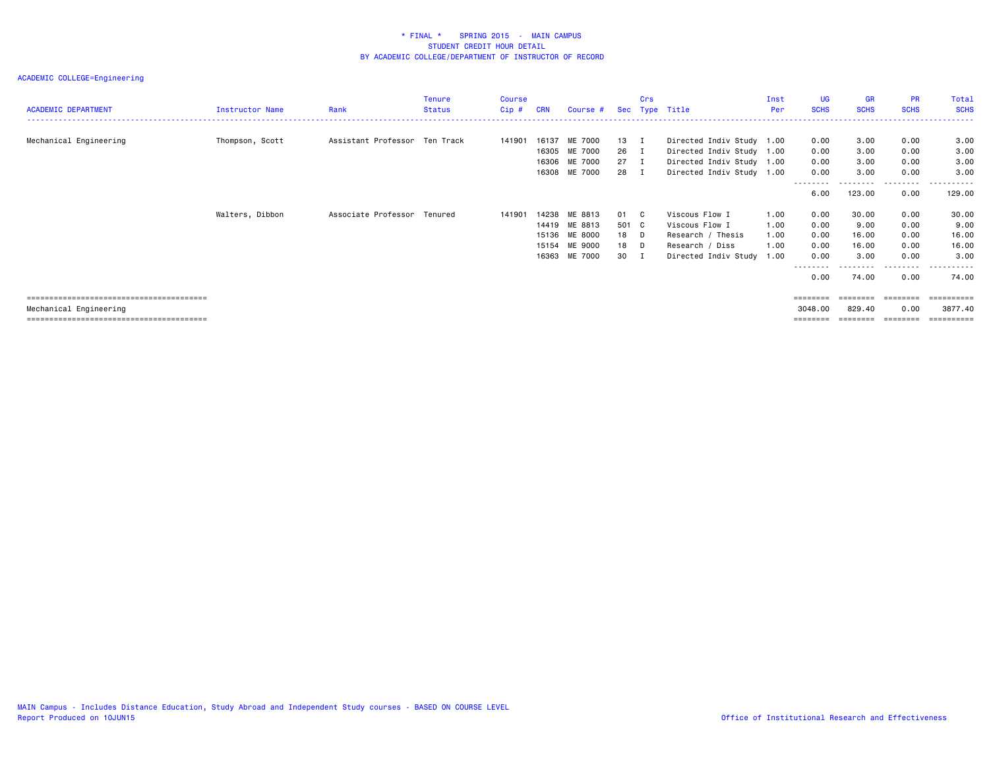| <b>ACADEMIC DEPARTMENT</b> | Instructor Name | Rank                          | <b>Tenure</b><br>Status | Course<br>$Cip$ # | <b>CRN</b> | Course #                                  | Sec                    | Crs          | Type Title                                                                          | Inst<br>Per  | <b>UG</b><br><b>SCHS</b> | <b>GR</b><br><b>SCHS</b>   | <b>PR</b><br><b>SCHS</b>  | Total<br><b>SCHS</b>  |
|----------------------------|-----------------|-------------------------------|-------------------------|-------------------|------------|-------------------------------------------|------------------------|--------------|-------------------------------------------------------------------------------------|--------------|--------------------------|----------------------------|---------------------------|-----------------------|
| Mechanical Engineering     | Thompson, Scott | Assistant Professor Ten Track |                         | 141901            | 16137      | ME 7000<br>16305 ME 7000<br>16306 ME 7000 | 13 I<br>26 I<br>$27$ I |              | Directed Indiv Study 1.00<br>Directed Indiv Study 1.00<br>Directed Indiv Study 1.00 |              | 0.00<br>0.00<br>0.00     | 3.00<br>3.00<br>3.00       | 0.00<br>0.00<br>0.00      | 3.00<br>3.00<br>3.00  |
|                            |                 |                               |                         |                   |            | 16308 ME 7000                             | 28                     | $\mathbf{I}$ | Directed Indiv Study 1.00                                                           |              | 0.00<br>--------<br>6.00 | 3.00<br>--------<br>123.00 | 0.00<br>--------<br>0.00  | 3,00<br>.<br>129.00   |
|                            | Walters, Dibbon | Associate Professor Tenured   |                         | 141901            | 14419      | 14238 ME 8813<br>ME 8813                  | 01 C<br>501 C          |              | Viscous Flow I<br>Viscous Flow I                                                    | 1.00<br>1.00 | 0.00<br>0.00             | 30.00<br>9.00              | 0.00<br>0.00              | 30.00<br>9.00         |
|                            |                 |                               |                         |                   |            | 15136 ME 8000<br>15154 ME 9000            | 18 D<br>18 D           |              | Research / Thesis<br>Research / Diss                                                | 1.00<br>1.00 | 0.00<br>0.00             | 16.00<br>16.00             | 0.00<br>0.00              | 16.00<br>16.00        |
|                            |                 |                               |                         |                   |            | 16363 ME 7000                             | 30 I                   |              | Directed Indiv Study 1.00                                                           |              | 0.00<br>--------<br>0.00 | 3,00<br>---------<br>74.00 | 0.00<br>---------<br>0.00 | 3,00<br>.<br>74.00    |
| Mechanical Engineering     |                 |                               |                         |                   |            |                                           |                        |              |                                                                                     |              | ========<br>3048.00      | ========<br>829.40         | ========<br>0.00          | ==========<br>3877.40 |
|                            |                 |                               |                         |                   |            |                                           |                        |              |                                                                                     |              | ========                 | ========                   | ========                  |                       |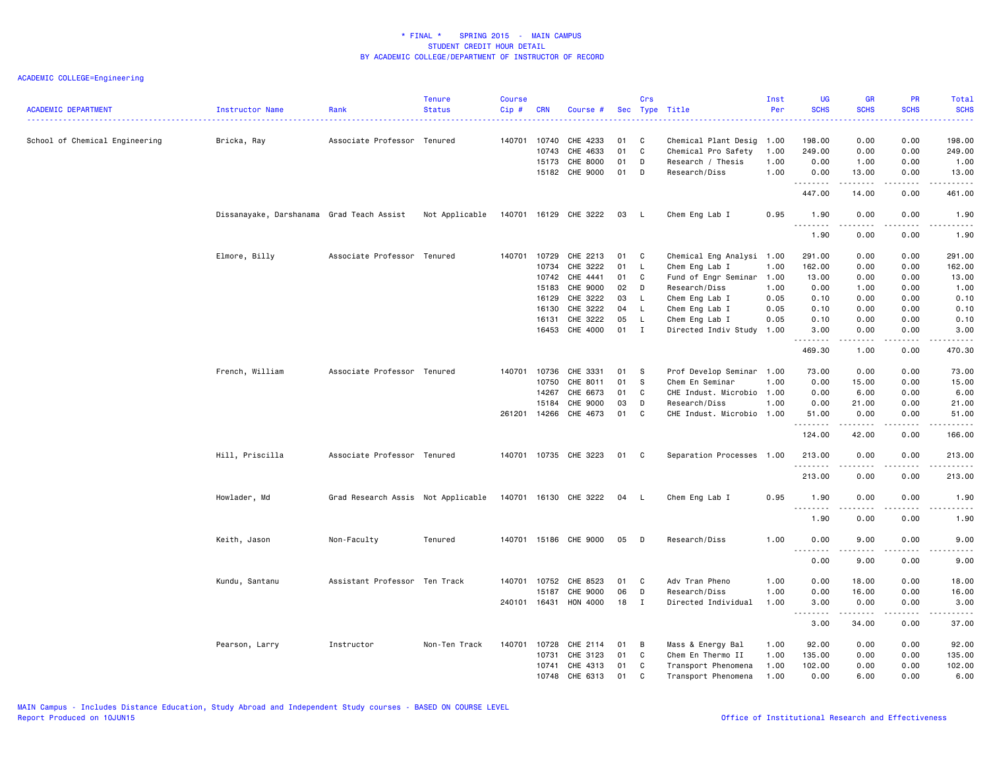| 198.00<br>Associate Professor Tenured<br>CHE 4233<br>198.00<br>0.00<br>0.00<br>School of Chemical Engineering<br>Bricka, Ray<br>140701 10740<br>01<br>C<br>Chemical Plant Desig 1.00<br>10743<br>CHE 4633<br>01<br>C<br>Chemical Pro Safety<br>249.00<br>0.00<br>0.00<br>249.00<br>1.00<br>15173<br>CHE 8000<br>01<br>D<br>Research / Thesis<br>1.00<br>0.00<br>1.00<br>0.00<br>1.00<br>15182 CHE 9000<br>01<br>Research/Diss<br>1.00<br>D<br>0.00<br>13.00<br>0.00<br>13.00<br>.<br>$\frac{1}{2}$<br>.<br>.<br>447.00<br>14.00<br>0.00<br>461.00<br>Dissanayake, Darshanama Grad Teach Assist<br>Not Applicable<br>140701 16129 CHE 3222<br>Chem Eng Lab I<br>0.95<br>1.90<br>0.00<br>0.00<br>03<br>1.90<br>- L<br>.<br>$\sim$ $\sim$ $\sim$ $\sim$<br>.<br>.<br>1.90<br>0.00<br>0.00<br>1.90<br>Elmore, Billy<br>Associate Professor Tenured<br>140701<br>10729<br>CHE 2213<br>01<br>C<br>Chemical Eng Analysi 1.00<br>291.00<br>0.00<br>0.00<br>291.00<br>CHE 3222<br>Chem Eng Lab I<br>162.00<br>10734<br>01<br>L.<br>1.00<br>162.00<br>0.00<br>0.00<br>CHE 4441<br>10742<br>01<br>C<br>Fund of Engr Seminar 1.00<br>13.00<br>0.00<br>0.00<br>13.00<br>CHE 9000<br>15183<br>02<br>D<br>Research/Diss<br>1.00<br>0.00<br>1.00<br>0.00<br>1.00<br>CHE 3222<br>03<br>Chem Eng Lab I<br>0.05<br>0.10<br>16129<br>L.<br>0.10<br>0.00<br>0.00<br>CHE 3222<br>04<br>L<br>Chem Eng Lab I<br>0.05<br>0.00<br>16130<br>0.10<br>0.00<br>0.10<br>CHE 3222<br>05<br>0.10<br>16131<br>L.<br>Chem Eng Lab I<br>0.05<br>0.10<br>0.00<br>0.00<br>16453<br>CHE 4000<br>01<br>$\mathbf{I}$<br>Directed Indiv Study<br>1.00<br>3.00<br>0.00<br>0.00<br>3.00<br>.<br>.<br>.<br>.<br>469.30<br>1.00<br>470.30<br>0.00<br>French, William<br>Associate Professor Tenured<br>CHE 3331<br>140701 10736<br>01<br>Prof Develop Seminar 1.00<br>73.00<br>0.00<br>0.00<br>73.00<br>- S<br>10750<br>CHE 8011<br>01<br>-S<br>Chem En Seminar<br>1.00<br>0.00<br>15.00<br>0.00<br>15.00<br>CHE 6673<br>01<br>CHE Indust. Microbio 1.00<br>6.00<br>14267<br>C<br>0.00<br>6.00<br>0.00<br>CHE 9000<br>03<br>D<br>Research/Diss<br>1.00<br>0.00<br>21.00<br>0.00<br>15184<br>21.00<br>261201 14266<br>CHE 4673<br>01<br>C<br>CHE Indust. Microbio 1.00<br>51.00<br>0.00<br>0.00<br>51.00<br>.<br>.<br>.<br>.<br>42.00<br>166.00<br>124.00<br>0.00<br>Hill, Priscilla<br>Associate Professor Tenured<br>140701 10735 CHE 3223<br>01<br>C<br>Separation Processes 1.00<br>213.00<br>0.00<br>0.00<br>213.00<br>. <b>.</b><br><u>.</u><br>$\frac{1}{2}$<br>.<br>213.00<br>0.00<br>0.00<br>213.00<br>Howlader, Md<br>Grad Research Assis Not Applicable<br>140701 16130 CHE 3222<br>Chem Eng Lab I<br>0.95<br>1.90<br>0.00<br>04 L<br>0.00<br>1.90<br>.<br>.<br>بالأباد<br>.<br>1.90<br>0.00<br>0.00<br>1.90<br>Keith, Jason<br>Non-Faculty<br>Tenured<br>140701 15186 CHE 9000<br>05<br>D<br>Research/Diss<br>1.00<br>0.00<br>9.00<br>0.00<br>9.00<br>$\sim$ $\sim$ $\sim$<br>.<br>.<br>0.00<br>9.00<br>0.00<br>9.00<br>Kundu, Santanu<br>Assistant Professor Ten Track<br>140701<br>10752<br>CHE 8523<br>01<br>C<br>Adv Tran Pheno<br>1.00<br>0.00<br>18.00<br>0.00<br>18.00<br>CHE 9000<br>06<br>D<br>1.00<br>0.00<br>16.00<br>0.00<br>15187<br>Research/Diss<br>16.00<br>240101 16431<br>HON 4000<br>18<br>Directed Individual<br>1.00<br>3.00<br>0.00<br>0.00<br>3.00<br><b>I</b><br>$\frac{1}{2} \left( \frac{1}{2} \right) \left( \frac{1}{2} \right) \left( \frac{1}{2} \right) \left( \frac{1}{2} \right) \left( \frac{1}{2} \right)$<br>.<br>.<br>$\frac{1}{2}$<br>3.00<br>34.00<br>0.00<br>37.00<br>Instructor<br>Non-Ten Track<br>140701<br>10728<br>CHE 2114<br>Mass & Energy Bal<br>1.00<br>92.00<br>0.00<br>0.00<br>92.00<br>Pearson, Larry<br>01<br>В<br>CHE 3123<br>10731<br>01<br>C<br>Chem En Thermo II<br>1.00<br>135.00<br>0.00<br>0.00<br>135.00<br>CHE 4313<br>102.00<br>10741<br>01<br>Transport Phenomena<br>1.00<br>102.00<br>0.00<br>0.00<br>C<br>CHE 6313<br>01<br>6.00<br>10748<br>C<br>Transport Phenomena<br>1.00<br>0.00<br>0.00<br>6.00 | <b>ACADEMIC DEPARTMENT</b> | Instructor Name | Rank | <b>Tenure</b><br><b>Status</b> | <b>Course</b><br>Cip# | <b>CRN</b> | Course # | Crs | Sec Type Title | Inst<br>Per | UG<br><b>SCHS</b> | GR<br><b>SCHS</b> | PR<br><b>SCHS</b><br>2222 | Total<br><b>SCHS</b><br>. |
|--------------------------------------------------------------------------------------------------------------------------------------------------------------------------------------------------------------------------------------------------------------------------------------------------------------------------------------------------------------------------------------------------------------------------------------------------------------------------------------------------------------------------------------------------------------------------------------------------------------------------------------------------------------------------------------------------------------------------------------------------------------------------------------------------------------------------------------------------------------------------------------------------------------------------------------------------------------------------------------------------------------------------------------------------------------------------------------------------------------------------------------------------------------------------------------------------------------------------------------------------------------------------------------------------------------------------------------------------------------------------------------------------------------------------------------------------------------------------------------------------------------------------------------------------------------------------------------------------------------------------------------------------------------------------------------------------------------------------------------------------------------------------------------------------------------------------------------------------------------------------------------------------------------------------------------------------------------------------------------------------------------------------------------------------------------------------------------------------------------------------------------------------------------------------------------------------------------------------------------------------------------------------------------------------------------------------------------------------------------------------------------------------------------------------------------------------------------------------------------------------------------------------------------------------------------------------------------------------------------------------------------------------------------------------------------------------------------------------------------------------------------------------------------------------------------------------------------------------------------------------------------------------------------------------------------------------------------------------------------------------------------------------------------------------------------------------------------------------------------------------------------------------------------------------------------------------------------------------------------------------------------------------------------------------------------------------------------------------------------------------------------------------------------------------------------------------------------------------------------------------------------------------------------------------------------------------------------------------------------------------------------------------------------------------------------------------------------------------------------------------------------------------------------------------------------------------------------------------------------------------------------------------------------------------------------------------------------------------------------------------------------------------------------|----------------------------|-----------------|------|--------------------------------|-----------------------|------------|----------|-----|----------------|-------------|-------------------|-------------------|---------------------------|---------------------------|
|                                                                                                                                                                                                                                                                                                                                                                                                                                                                                                                                                                                                                                                                                                                                                                                                                                                                                                                                                                                                                                                                                                                                                                                                                                                                                                                                                                                                                                                                                                                                                                                                                                                                                                                                                                                                                                                                                                                                                                                                                                                                                                                                                                                                                                                                                                                                                                                                                                                                                                                                                                                                                                                                                                                                                                                                                                                                                                                                                                                                                                                                                                                                                                                                                                                                                                                                                                                                                                                                                                                                                                                                                                                                                                                                                                                                                                                                                                                                                                                                                                      |                            |                 |      |                                |                       |            |          |     |                |             |                   |                   |                           |                           |
|                                                                                                                                                                                                                                                                                                                                                                                                                                                                                                                                                                                                                                                                                                                                                                                                                                                                                                                                                                                                                                                                                                                                                                                                                                                                                                                                                                                                                                                                                                                                                                                                                                                                                                                                                                                                                                                                                                                                                                                                                                                                                                                                                                                                                                                                                                                                                                                                                                                                                                                                                                                                                                                                                                                                                                                                                                                                                                                                                                                                                                                                                                                                                                                                                                                                                                                                                                                                                                                                                                                                                                                                                                                                                                                                                                                                                                                                                                                                                                                                                                      |                            |                 |      |                                |                       |            |          |     |                |             |                   |                   |                           |                           |
|                                                                                                                                                                                                                                                                                                                                                                                                                                                                                                                                                                                                                                                                                                                                                                                                                                                                                                                                                                                                                                                                                                                                                                                                                                                                                                                                                                                                                                                                                                                                                                                                                                                                                                                                                                                                                                                                                                                                                                                                                                                                                                                                                                                                                                                                                                                                                                                                                                                                                                                                                                                                                                                                                                                                                                                                                                                                                                                                                                                                                                                                                                                                                                                                                                                                                                                                                                                                                                                                                                                                                                                                                                                                                                                                                                                                                                                                                                                                                                                                                                      |                            |                 |      |                                |                       |            |          |     |                |             |                   |                   |                           |                           |
|                                                                                                                                                                                                                                                                                                                                                                                                                                                                                                                                                                                                                                                                                                                                                                                                                                                                                                                                                                                                                                                                                                                                                                                                                                                                                                                                                                                                                                                                                                                                                                                                                                                                                                                                                                                                                                                                                                                                                                                                                                                                                                                                                                                                                                                                                                                                                                                                                                                                                                                                                                                                                                                                                                                                                                                                                                                                                                                                                                                                                                                                                                                                                                                                                                                                                                                                                                                                                                                                                                                                                                                                                                                                                                                                                                                                                                                                                                                                                                                                                                      |                            |                 |      |                                |                       |            |          |     |                |             |                   |                   |                           |                           |
|                                                                                                                                                                                                                                                                                                                                                                                                                                                                                                                                                                                                                                                                                                                                                                                                                                                                                                                                                                                                                                                                                                                                                                                                                                                                                                                                                                                                                                                                                                                                                                                                                                                                                                                                                                                                                                                                                                                                                                                                                                                                                                                                                                                                                                                                                                                                                                                                                                                                                                                                                                                                                                                                                                                                                                                                                                                                                                                                                                                                                                                                                                                                                                                                                                                                                                                                                                                                                                                                                                                                                                                                                                                                                                                                                                                                                                                                                                                                                                                                                                      |                            |                 |      |                                |                       |            |          |     |                |             |                   |                   |                           |                           |
|                                                                                                                                                                                                                                                                                                                                                                                                                                                                                                                                                                                                                                                                                                                                                                                                                                                                                                                                                                                                                                                                                                                                                                                                                                                                                                                                                                                                                                                                                                                                                                                                                                                                                                                                                                                                                                                                                                                                                                                                                                                                                                                                                                                                                                                                                                                                                                                                                                                                                                                                                                                                                                                                                                                                                                                                                                                                                                                                                                                                                                                                                                                                                                                                                                                                                                                                                                                                                                                                                                                                                                                                                                                                                                                                                                                                                                                                                                                                                                                                                                      |                            |                 |      |                                |                       |            |          |     |                |             |                   |                   |                           |                           |
|                                                                                                                                                                                                                                                                                                                                                                                                                                                                                                                                                                                                                                                                                                                                                                                                                                                                                                                                                                                                                                                                                                                                                                                                                                                                                                                                                                                                                                                                                                                                                                                                                                                                                                                                                                                                                                                                                                                                                                                                                                                                                                                                                                                                                                                                                                                                                                                                                                                                                                                                                                                                                                                                                                                                                                                                                                                                                                                                                                                                                                                                                                                                                                                                                                                                                                                                                                                                                                                                                                                                                                                                                                                                                                                                                                                                                                                                                                                                                                                                                                      |                            |                 |      |                                |                       |            |          |     |                |             |                   |                   |                           |                           |
|                                                                                                                                                                                                                                                                                                                                                                                                                                                                                                                                                                                                                                                                                                                                                                                                                                                                                                                                                                                                                                                                                                                                                                                                                                                                                                                                                                                                                                                                                                                                                                                                                                                                                                                                                                                                                                                                                                                                                                                                                                                                                                                                                                                                                                                                                                                                                                                                                                                                                                                                                                                                                                                                                                                                                                                                                                                                                                                                                                                                                                                                                                                                                                                                                                                                                                                                                                                                                                                                                                                                                                                                                                                                                                                                                                                                                                                                                                                                                                                                                                      |                            |                 |      |                                |                       |            |          |     |                |             |                   |                   |                           |                           |
|                                                                                                                                                                                                                                                                                                                                                                                                                                                                                                                                                                                                                                                                                                                                                                                                                                                                                                                                                                                                                                                                                                                                                                                                                                                                                                                                                                                                                                                                                                                                                                                                                                                                                                                                                                                                                                                                                                                                                                                                                                                                                                                                                                                                                                                                                                                                                                                                                                                                                                                                                                                                                                                                                                                                                                                                                                                                                                                                                                                                                                                                                                                                                                                                                                                                                                                                                                                                                                                                                                                                                                                                                                                                                                                                                                                                                                                                                                                                                                                                                                      |                            |                 |      |                                |                       |            |          |     |                |             |                   |                   |                           |                           |
|                                                                                                                                                                                                                                                                                                                                                                                                                                                                                                                                                                                                                                                                                                                                                                                                                                                                                                                                                                                                                                                                                                                                                                                                                                                                                                                                                                                                                                                                                                                                                                                                                                                                                                                                                                                                                                                                                                                                                                                                                                                                                                                                                                                                                                                                                                                                                                                                                                                                                                                                                                                                                                                                                                                                                                                                                                                                                                                                                                                                                                                                                                                                                                                                                                                                                                                                                                                                                                                                                                                                                                                                                                                                                                                                                                                                                                                                                                                                                                                                                                      |                            |                 |      |                                |                       |            |          |     |                |             |                   |                   |                           |                           |
|                                                                                                                                                                                                                                                                                                                                                                                                                                                                                                                                                                                                                                                                                                                                                                                                                                                                                                                                                                                                                                                                                                                                                                                                                                                                                                                                                                                                                                                                                                                                                                                                                                                                                                                                                                                                                                                                                                                                                                                                                                                                                                                                                                                                                                                                                                                                                                                                                                                                                                                                                                                                                                                                                                                                                                                                                                                                                                                                                                                                                                                                                                                                                                                                                                                                                                                                                                                                                                                                                                                                                                                                                                                                                                                                                                                                                                                                                                                                                                                                                                      |                            |                 |      |                                |                       |            |          |     |                |             |                   |                   |                           |                           |
|                                                                                                                                                                                                                                                                                                                                                                                                                                                                                                                                                                                                                                                                                                                                                                                                                                                                                                                                                                                                                                                                                                                                                                                                                                                                                                                                                                                                                                                                                                                                                                                                                                                                                                                                                                                                                                                                                                                                                                                                                                                                                                                                                                                                                                                                                                                                                                                                                                                                                                                                                                                                                                                                                                                                                                                                                                                                                                                                                                                                                                                                                                                                                                                                                                                                                                                                                                                                                                                                                                                                                                                                                                                                                                                                                                                                                                                                                                                                                                                                                                      |                            |                 |      |                                |                       |            |          |     |                |             |                   |                   |                           |                           |
|                                                                                                                                                                                                                                                                                                                                                                                                                                                                                                                                                                                                                                                                                                                                                                                                                                                                                                                                                                                                                                                                                                                                                                                                                                                                                                                                                                                                                                                                                                                                                                                                                                                                                                                                                                                                                                                                                                                                                                                                                                                                                                                                                                                                                                                                                                                                                                                                                                                                                                                                                                                                                                                                                                                                                                                                                                                                                                                                                                                                                                                                                                                                                                                                                                                                                                                                                                                                                                                                                                                                                                                                                                                                                                                                                                                                                                                                                                                                                                                                                                      |                            |                 |      |                                |                       |            |          |     |                |             |                   |                   |                           |                           |
|                                                                                                                                                                                                                                                                                                                                                                                                                                                                                                                                                                                                                                                                                                                                                                                                                                                                                                                                                                                                                                                                                                                                                                                                                                                                                                                                                                                                                                                                                                                                                                                                                                                                                                                                                                                                                                                                                                                                                                                                                                                                                                                                                                                                                                                                                                                                                                                                                                                                                                                                                                                                                                                                                                                                                                                                                                                                                                                                                                                                                                                                                                                                                                                                                                                                                                                                                                                                                                                                                                                                                                                                                                                                                                                                                                                                                                                                                                                                                                                                                                      |                            |                 |      |                                |                       |            |          |     |                |             |                   |                   |                           |                           |
|                                                                                                                                                                                                                                                                                                                                                                                                                                                                                                                                                                                                                                                                                                                                                                                                                                                                                                                                                                                                                                                                                                                                                                                                                                                                                                                                                                                                                                                                                                                                                                                                                                                                                                                                                                                                                                                                                                                                                                                                                                                                                                                                                                                                                                                                                                                                                                                                                                                                                                                                                                                                                                                                                                                                                                                                                                                                                                                                                                                                                                                                                                                                                                                                                                                                                                                                                                                                                                                                                                                                                                                                                                                                                                                                                                                                                                                                                                                                                                                                                                      |                            |                 |      |                                |                       |            |          |     |                |             |                   |                   |                           |                           |
|                                                                                                                                                                                                                                                                                                                                                                                                                                                                                                                                                                                                                                                                                                                                                                                                                                                                                                                                                                                                                                                                                                                                                                                                                                                                                                                                                                                                                                                                                                                                                                                                                                                                                                                                                                                                                                                                                                                                                                                                                                                                                                                                                                                                                                                                                                                                                                                                                                                                                                                                                                                                                                                                                                                                                                                                                                                                                                                                                                                                                                                                                                                                                                                                                                                                                                                                                                                                                                                                                                                                                                                                                                                                                                                                                                                                                                                                                                                                                                                                                                      |                            |                 |      |                                |                       |            |          |     |                |             |                   |                   |                           |                           |
|                                                                                                                                                                                                                                                                                                                                                                                                                                                                                                                                                                                                                                                                                                                                                                                                                                                                                                                                                                                                                                                                                                                                                                                                                                                                                                                                                                                                                                                                                                                                                                                                                                                                                                                                                                                                                                                                                                                                                                                                                                                                                                                                                                                                                                                                                                                                                                                                                                                                                                                                                                                                                                                                                                                                                                                                                                                                                                                                                                                                                                                                                                                                                                                                                                                                                                                                                                                                                                                                                                                                                                                                                                                                                                                                                                                                                                                                                                                                                                                                                                      |                            |                 |      |                                |                       |            |          |     |                |             |                   |                   |                           |                           |
|                                                                                                                                                                                                                                                                                                                                                                                                                                                                                                                                                                                                                                                                                                                                                                                                                                                                                                                                                                                                                                                                                                                                                                                                                                                                                                                                                                                                                                                                                                                                                                                                                                                                                                                                                                                                                                                                                                                                                                                                                                                                                                                                                                                                                                                                                                                                                                                                                                                                                                                                                                                                                                                                                                                                                                                                                                                                                                                                                                                                                                                                                                                                                                                                                                                                                                                                                                                                                                                                                                                                                                                                                                                                                                                                                                                                                                                                                                                                                                                                                                      |                            |                 |      |                                |                       |            |          |     |                |             |                   |                   |                           |                           |
|                                                                                                                                                                                                                                                                                                                                                                                                                                                                                                                                                                                                                                                                                                                                                                                                                                                                                                                                                                                                                                                                                                                                                                                                                                                                                                                                                                                                                                                                                                                                                                                                                                                                                                                                                                                                                                                                                                                                                                                                                                                                                                                                                                                                                                                                                                                                                                                                                                                                                                                                                                                                                                                                                                                                                                                                                                                                                                                                                                                                                                                                                                                                                                                                                                                                                                                                                                                                                                                                                                                                                                                                                                                                                                                                                                                                                                                                                                                                                                                                                                      |                            |                 |      |                                |                       |            |          |     |                |             |                   |                   |                           |                           |
|                                                                                                                                                                                                                                                                                                                                                                                                                                                                                                                                                                                                                                                                                                                                                                                                                                                                                                                                                                                                                                                                                                                                                                                                                                                                                                                                                                                                                                                                                                                                                                                                                                                                                                                                                                                                                                                                                                                                                                                                                                                                                                                                                                                                                                                                                                                                                                                                                                                                                                                                                                                                                                                                                                                                                                                                                                                                                                                                                                                                                                                                                                                                                                                                                                                                                                                                                                                                                                                                                                                                                                                                                                                                                                                                                                                                                                                                                                                                                                                                                                      |                            |                 |      |                                |                       |            |          |     |                |             |                   |                   |                           |                           |
|                                                                                                                                                                                                                                                                                                                                                                                                                                                                                                                                                                                                                                                                                                                                                                                                                                                                                                                                                                                                                                                                                                                                                                                                                                                                                                                                                                                                                                                                                                                                                                                                                                                                                                                                                                                                                                                                                                                                                                                                                                                                                                                                                                                                                                                                                                                                                                                                                                                                                                                                                                                                                                                                                                                                                                                                                                                                                                                                                                                                                                                                                                                                                                                                                                                                                                                                                                                                                                                                                                                                                                                                                                                                                                                                                                                                                                                                                                                                                                                                                                      |                            |                 |      |                                |                       |            |          |     |                |             |                   |                   |                           |                           |
|                                                                                                                                                                                                                                                                                                                                                                                                                                                                                                                                                                                                                                                                                                                                                                                                                                                                                                                                                                                                                                                                                                                                                                                                                                                                                                                                                                                                                                                                                                                                                                                                                                                                                                                                                                                                                                                                                                                                                                                                                                                                                                                                                                                                                                                                                                                                                                                                                                                                                                                                                                                                                                                                                                                                                                                                                                                                                                                                                                                                                                                                                                                                                                                                                                                                                                                                                                                                                                                                                                                                                                                                                                                                                                                                                                                                                                                                                                                                                                                                                                      |                            |                 |      |                                |                       |            |          |     |                |             |                   |                   |                           |                           |
|                                                                                                                                                                                                                                                                                                                                                                                                                                                                                                                                                                                                                                                                                                                                                                                                                                                                                                                                                                                                                                                                                                                                                                                                                                                                                                                                                                                                                                                                                                                                                                                                                                                                                                                                                                                                                                                                                                                                                                                                                                                                                                                                                                                                                                                                                                                                                                                                                                                                                                                                                                                                                                                                                                                                                                                                                                                                                                                                                                                                                                                                                                                                                                                                                                                                                                                                                                                                                                                                                                                                                                                                                                                                                                                                                                                                                                                                                                                                                                                                                                      |                            |                 |      |                                |                       |            |          |     |                |             |                   |                   |                           |                           |
|                                                                                                                                                                                                                                                                                                                                                                                                                                                                                                                                                                                                                                                                                                                                                                                                                                                                                                                                                                                                                                                                                                                                                                                                                                                                                                                                                                                                                                                                                                                                                                                                                                                                                                                                                                                                                                                                                                                                                                                                                                                                                                                                                                                                                                                                                                                                                                                                                                                                                                                                                                                                                                                                                                                                                                                                                                                                                                                                                                                                                                                                                                                                                                                                                                                                                                                                                                                                                                                                                                                                                                                                                                                                                                                                                                                                                                                                                                                                                                                                                                      |                            |                 |      |                                |                       |            |          |     |                |             |                   |                   |                           |                           |
|                                                                                                                                                                                                                                                                                                                                                                                                                                                                                                                                                                                                                                                                                                                                                                                                                                                                                                                                                                                                                                                                                                                                                                                                                                                                                                                                                                                                                                                                                                                                                                                                                                                                                                                                                                                                                                                                                                                                                                                                                                                                                                                                                                                                                                                                                                                                                                                                                                                                                                                                                                                                                                                                                                                                                                                                                                                                                                                                                                                                                                                                                                                                                                                                                                                                                                                                                                                                                                                                                                                                                                                                                                                                                                                                                                                                                                                                                                                                                                                                                                      |                            |                 |      |                                |                       |            |          |     |                |             |                   |                   |                           |                           |
|                                                                                                                                                                                                                                                                                                                                                                                                                                                                                                                                                                                                                                                                                                                                                                                                                                                                                                                                                                                                                                                                                                                                                                                                                                                                                                                                                                                                                                                                                                                                                                                                                                                                                                                                                                                                                                                                                                                                                                                                                                                                                                                                                                                                                                                                                                                                                                                                                                                                                                                                                                                                                                                                                                                                                                                                                                                                                                                                                                                                                                                                                                                                                                                                                                                                                                                                                                                                                                                                                                                                                                                                                                                                                                                                                                                                                                                                                                                                                                                                                                      |                            |                 |      |                                |                       |            |          |     |                |             |                   |                   |                           |                           |
|                                                                                                                                                                                                                                                                                                                                                                                                                                                                                                                                                                                                                                                                                                                                                                                                                                                                                                                                                                                                                                                                                                                                                                                                                                                                                                                                                                                                                                                                                                                                                                                                                                                                                                                                                                                                                                                                                                                                                                                                                                                                                                                                                                                                                                                                                                                                                                                                                                                                                                                                                                                                                                                                                                                                                                                                                                                                                                                                                                                                                                                                                                                                                                                                                                                                                                                                                                                                                                                                                                                                                                                                                                                                                                                                                                                                                                                                                                                                                                                                                                      |                            |                 |      |                                |                       |            |          |     |                |             |                   |                   |                           |                           |
|                                                                                                                                                                                                                                                                                                                                                                                                                                                                                                                                                                                                                                                                                                                                                                                                                                                                                                                                                                                                                                                                                                                                                                                                                                                                                                                                                                                                                                                                                                                                                                                                                                                                                                                                                                                                                                                                                                                                                                                                                                                                                                                                                                                                                                                                                                                                                                                                                                                                                                                                                                                                                                                                                                                                                                                                                                                                                                                                                                                                                                                                                                                                                                                                                                                                                                                                                                                                                                                                                                                                                                                                                                                                                                                                                                                                                                                                                                                                                                                                                                      |                            |                 |      |                                |                       |            |          |     |                |             |                   |                   |                           |                           |
|                                                                                                                                                                                                                                                                                                                                                                                                                                                                                                                                                                                                                                                                                                                                                                                                                                                                                                                                                                                                                                                                                                                                                                                                                                                                                                                                                                                                                                                                                                                                                                                                                                                                                                                                                                                                                                                                                                                                                                                                                                                                                                                                                                                                                                                                                                                                                                                                                                                                                                                                                                                                                                                                                                                                                                                                                                                                                                                                                                                                                                                                                                                                                                                                                                                                                                                                                                                                                                                                                                                                                                                                                                                                                                                                                                                                                                                                                                                                                                                                                                      |                            |                 |      |                                |                       |            |          |     |                |             |                   |                   |                           |                           |
|                                                                                                                                                                                                                                                                                                                                                                                                                                                                                                                                                                                                                                                                                                                                                                                                                                                                                                                                                                                                                                                                                                                                                                                                                                                                                                                                                                                                                                                                                                                                                                                                                                                                                                                                                                                                                                                                                                                                                                                                                                                                                                                                                                                                                                                                                                                                                                                                                                                                                                                                                                                                                                                                                                                                                                                                                                                                                                                                                                                                                                                                                                                                                                                                                                                                                                                                                                                                                                                                                                                                                                                                                                                                                                                                                                                                                                                                                                                                                                                                                                      |                            |                 |      |                                |                       |            |          |     |                |             |                   |                   |                           |                           |
|                                                                                                                                                                                                                                                                                                                                                                                                                                                                                                                                                                                                                                                                                                                                                                                                                                                                                                                                                                                                                                                                                                                                                                                                                                                                                                                                                                                                                                                                                                                                                                                                                                                                                                                                                                                                                                                                                                                                                                                                                                                                                                                                                                                                                                                                                                                                                                                                                                                                                                                                                                                                                                                                                                                                                                                                                                                                                                                                                                                                                                                                                                                                                                                                                                                                                                                                                                                                                                                                                                                                                                                                                                                                                                                                                                                                                                                                                                                                                                                                                                      |                            |                 |      |                                |                       |            |          |     |                |             |                   |                   |                           |                           |
|                                                                                                                                                                                                                                                                                                                                                                                                                                                                                                                                                                                                                                                                                                                                                                                                                                                                                                                                                                                                                                                                                                                                                                                                                                                                                                                                                                                                                                                                                                                                                                                                                                                                                                                                                                                                                                                                                                                                                                                                                                                                                                                                                                                                                                                                                                                                                                                                                                                                                                                                                                                                                                                                                                                                                                                                                                                                                                                                                                                                                                                                                                                                                                                                                                                                                                                                                                                                                                                                                                                                                                                                                                                                                                                                                                                                                                                                                                                                                                                                                                      |                            |                 |      |                                |                       |            |          |     |                |             |                   |                   |                           |                           |
|                                                                                                                                                                                                                                                                                                                                                                                                                                                                                                                                                                                                                                                                                                                                                                                                                                                                                                                                                                                                                                                                                                                                                                                                                                                                                                                                                                                                                                                                                                                                                                                                                                                                                                                                                                                                                                                                                                                                                                                                                                                                                                                                                                                                                                                                                                                                                                                                                                                                                                                                                                                                                                                                                                                                                                                                                                                                                                                                                                                                                                                                                                                                                                                                                                                                                                                                                                                                                                                                                                                                                                                                                                                                                                                                                                                                                                                                                                                                                                                                                                      |                            |                 |      |                                |                       |            |          |     |                |             |                   |                   |                           |                           |
|                                                                                                                                                                                                                                                                                                                                                                                                                                                                                                                                                                                                                                                                                                                                                                                                                                                                                                                                                                                                                                                                                                                                                                                                                                                                                                                                                                                                                                                                                                                                                                                                                                                                                                                                                                                                                                                                                                                                                                                                                                                                                                                                                                                                                                                                                                                                                                                                                                                                                                                                                                                                                                                                                                                                                                                                                                                                                                                                                                                                                                                                                                                                                                                                                                                                                                                                                                                                                                                                                                                                                                                                                                                                                                                                                                                                                                                                                                                                                                                                                                      |                            |                 |      |                                |                       |            |          |     |                |             |                   |                   |                           |                           |
|                                                                                                                                                                                                                                                                                                                                                                                                                                                                                                                                                                                                                                                                                                                                                                                                                                                                                                                                                                                                                                                                                                                                                                                                                                                                                                                                                                                                                                                                                                                                                                                                                                                                                                                                                                                                                                                                                                                                                                                                                                                                                                                                                                                                                                                                                                                                                                                                                                                                                                                                                                                                                                                                                                                                                                                                                                                                                                                                                                                                                                                                                                                                                                                                                                                                                                                                                                                                                                                                                                                                                                                                                                                                                                                                                                                                                                                                                                                                                                                                                                      |                            |                 |      |                                |                       |            |          |     |                |             |                   |                   |                           |                           |
|                                                                                                                                                                                                                                                                                                                                                                                                                                                                                                                                                                                                                                                                                                                                                                                                                                                                                                                                                                                                                                                                                                                                                                                                                                                                                                                                                                                                                                                                                                                                                                                                                                                                                                                                                                                                                                                                                                                                                                                                                                                                                                                                                                                                                                                                                                                                                                                                                                                                                                                                                                                                                                                                                                                                                                                                                                                                                                                                                                                                                                                                                                                                                                                                                                                                                                                                                                                                                                                                                                                                                                                                                                                                                                                                                                                                                                                                                                                                                                                                                                      |                            |                 |      |                                |                       |            |          |     |                |             |                   |                   |                           |                           |
|                                                                                                                                                                                                                                                                                                                                                                                                                                                                                                                                                                                                                                                                                                                                                                                                                                                                                                                                                                                                                                                                                                                                                                                                                                                                                                                                                                                                                                                                                                                                                                                                                                                                                                                                                                                                                                                                                                                                                                                                                                                                                                                                                                                                                                                                                                                                                                                                                                                                                                                                                                                                                                                                                                                                                                                                                                                                                                                                                                                                                                                                                                                                                                                                                                                                                                                                                                                                                                                                                                                                                                                                                                                                                                                                                                                                                                                                                                                                                                                                                                      |                            |                 |      |                                |                       |            |          |     |                |             |                   |                   |                           |                           |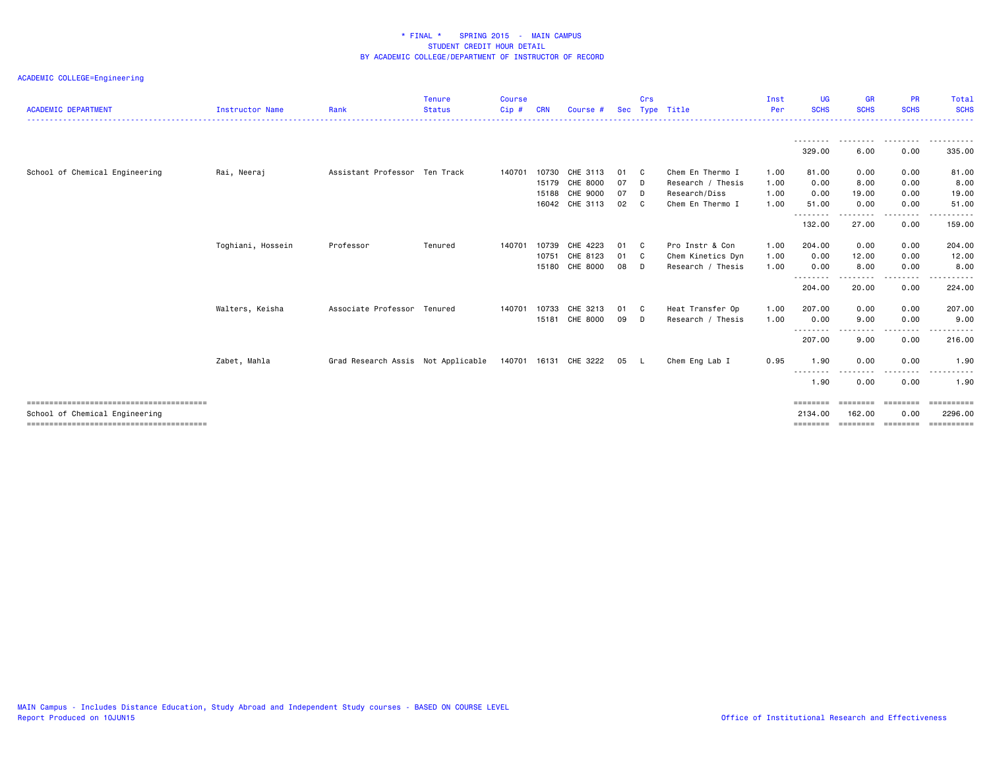| <b>ACADEMIC DEPARTMENT</b>     | Instructor Name   | Rank                               | <b>Tenure</b><br><b>Status</b> | <b>Course</b><br>$Cip$ # | CRN   | Course #       | Sec | Crs            | Type Title        | Inst<br>Per | <b>UG</b><br><b>SCHS</b> | <b>GR</b><br><b>SCHS</b> | <b>PR</b><br><b>SCHS</b> | Total<br><b>SCHS</b>   |
|--------------------------------|-------------------|------------------------------------|--------------------------------|--------------------------|-------|----------------|-----|----------------|-------------------|-------------|--------------------------|--------------------------|--------------------------|------------------------|
|                                |                   |                                    |                                |                          |       |                |     |                |                   |             | .<br>329.00              | .<br>6.00                | .<br>0.00                | .<br>335.00            |
| School of Chemical Engineering | Rai, Neeraj       | Assistant Professor Ten Track      |                                | 140701                   | 10730 | CHE 3113       | 01  | - C            | Chem En Thermo I  | 1.00        | 81.00                    | 0.00                     | 0.00                     | 81.00                  |
|                                |                   |                                    |                                |                          | 15179 | CHE 8000       | 07  | D              | Research / Thesis | 1.00        | 0.00                     | 8.00                     | 0.00                     | 8.00                   |
|                                |                   |                                    |                                |                          | 15188 | CHE 9000       | 07  | D.             | Research/Diss     | 1.00        | 0.00                     | 19.00                    | 0.00                     | 19.00                  |
|                                |                   |                                    |                                |                          |       | 16042 CHE 3113 | 02  | C <sub>1</sub> | Chem En Thermo I  | 1.00        | 51.00                    | 0.00                     | 0.00                     | 51.00                  |
|                                |                   |                                    |                                |                          |       |                |     |                |                   |             | ---------<br>132.00      | .<br>27.00               | -----<br>0.00            | . <u>.</u> .<br>159.00 |
|                                | Toghiani, Hossein | Professor                          | Tenured                        | 140701                   | 10739 | CHE 4223       | 01  | - C            | Pro Instr & Con   | 1.00        | 204.00                   | 0.00                     | 0.00                     | 204.00                 |
|                                |                   |                                    |                                |                          | 10751 | CHE 8123       | 01  | C <sub>c</sub> | Chem Kinetics Dyn | 1.00        | 0.00                     | 12.00                    | 0.00                     | 12.00                  |
|                                |                   |                                    |                                |                          | 15180 | CHE 8000       | 08  | D.             | Research / Thesis | 1.00        | 0.00                     | 8.00                     | 0.00                     | 8.00                   |
|                                |                   |                                    |                                |                          |       |                |     |                |                   |             | --------                 | .                        | .                        | .                      |
|                                |                   |                                    |                                |                          |       |                |     |                |                   |             | 204.00                   | 20.00                    | 0.00                     | 224.00                 |
|                                | Walters, Keisha   | Associate Professor Tenured        |                                | 140701                   | 10733 | CHE 3213       | 01  | C <sub>c</sub> | Heat Transfer Op  | 1.00        | 207.00                   | 0.00                     | 0.00                     | 207.00                 |
|                                |                   |                                    |                                |                          | 15181 | CHE 8000       | 09  | D              | Research / Thesis | 1.00        | 0.00                     | 9.00                     | 0.00                     | 9.00                   |
|                                |                   |                                    |                                |                          |       |                |     |                |                   |             | --------                 | .                        | $\cdots$                 |                        |
|                                |                   |                                    |                                |                          |       |                |     |                |                   |             | 207.00                   | 9.00                     | 0.00                     | 216.00                 |
|                                | Zabet, Mahla      | Grad Research Assis Not Applicable |                                | 140701 16131             |       | CHE 3222       | 05  | - L            | Chem Eng Lab I    | 0.95        | 1.90                     | 0.00                     | 0.00                     | 1.90                   |
|                                |                   |                                    |                                |                          |       |                |     |                |                   |             | --------<br>1.90         | ----<br>0.00             | $\frac{1}{2}$<br>0.00    | 1.90                   |
|                                |                   |                                    |                                |                          |       |                |     |                |                   |             | <b>EEEEEEE</b>           | --------                 | ========                 | ==========             |
| School of Chemical Engineering |                   |                                    |                                |                          |       |                |     |                |                   |             | 2134.00                  | 162.00                   | 0.00                     | 2296.00                |
|                                |                   |                                    |                                |                          |       |                |     |                |                   |             | ========                 | --------                 | eeeeeee                  | ==========             |
|                                |                   |                                    |                                |                          |       |                |     |                |                   |             |                          |                          |                          |                        |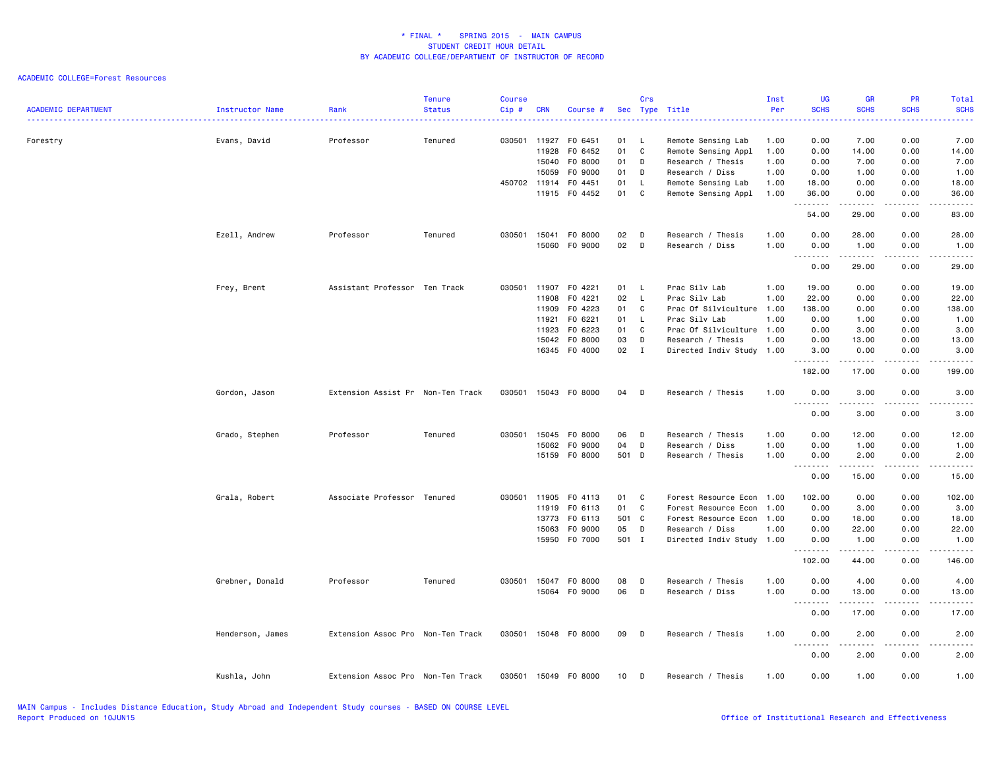| <b>ACADEMIC DEPARTMENT</b> | Instructor Name  | Rank                              | <b>Tenure</b><br><b>Status</b> | <b>Course</b><br>Cip# | <b>CRN</b>            | Course #           |          | Crs          | Sec Type Title                            | Inst<br>Per  | <b>UG</b><br><b>SCHS</b><br>----                                                                                                                                                     | <b>GR</b><br><b>SCHS</b> | <b>PR</b><br><b>SCHS</b>            | Total<br><b>SCHS</b><br>.                                                                                                                                     |
|----------------------------|------------------|-----------------------------------|--------------------------------|-----------------------|-----------------------|--------------------|----------|--------------|-------------------------------------------|--------------|--------------------------------------------------------------------------------------------------------------------------------------------------------------------------------------|--------------------------|-------------------------------------|---------------------------------------------------------------------------------------------------------------------------------------------------------------|
| Forestry                   | Evans, David     | Professor                         | Tenured                        |                       | 030501 11927<br>11928 | F0 6451<br>F0 6452 | 01<br>01 | L.<br>C      | Remote Sensing Lab<br>Remote Sensing Appl | 1.00<br>1.00 | 0.00<br>0.00                                                                                                                                                                         | 7.00<br>14.00            | 0.00<br>0.00                        | 7.00<br>14.00                                                                                                                                                 |
|                            |                  |                                   |                                |                       | 15040                 | F0 8000            | 01       | D            | Research / Thesis                         | 1.00         | 0.00                                                                                                                                                                                 | 7.00                     | 0.00                                | 7.00                                                                                                                                                          |
|                            |                  |                                   |                                |                       | 15059                 | F0 9000            | 01       | D            | Research / Diss                           | 1.00         | 0.00                                                                                                                                                                                 | 1.00                     | 0.00                                | 1.00                                                                                                                                                          |
|                            |                  |                                   |                                |                       | 450702 11914          | F0 4451            | 01       | $\mathsf{L}$ | Remote Sensing Lab                        | 1.00         | 18.00                                                                                                                                                                                | 0.00                     | 0.00                                | 18.00                                                                                                                                                         |
|                            |                  |                                   |                                |                       | 11915                 | F0 4452            | 01       | C            | Remote Sensing Appl                       | 1.00         | 36.00<br>.                                                                                                                                                                           | 0.00                     | 0.00                                | 36.00<br>$\frac{1}{2} \left( \frac{1}{2} \right) \left( \frac{1}{2} \right) \left( \frac{1}{2} \right) \left( \frac{1}{2} \right) \left( \frac{1}{2} \right)$ |
|                            |                  |                                   |                                |                       |                       |                    |          |              |                                           |              | 54.00                                                                                                                                                                                | 29.00                    | 0.00                                | 83.00                                                                                                                                                         |
|                            | Ezell, Andrew    | Professor                         | Tenured                        | 030501                | 15041                 | F0 8000            | 02       | D            | Research / Thesis                         | 1.00         | 0.00                                                                                                                                                                                 | 28.00                    | 0.00                                | 28.00                                                                                                                                                         |
|                            |                  |                                   |                                |                       | 15060                 | F0 9000            | 02       | D            | Research / Diss                           | 1.00         | 0.00<br>$\sim$ $\sim$ $\sim$<br>$\frac{1}{2} \left( \frac{1}{2} \right) \left( \frac{1}{2} \right) \left( \frac{1}{2} \right) \left( \frac{1}{2} \right) \left( \frac{1}{2} \right)$ | 1.00<br>.                | 0.00<br>.                           | 1.00<br>.                                                                                                                                                     |
|                            |                  |                                   |                                |                       |                       |                    |          |              |                                           |              | 0.00                                                                                                                                                                                 | 29.00                    | 0.00                                | 29.00                                                                                                                                                         |
|                            | Frey, Brent      | Assistant Professor Ten Track     |                                | 030501                | 11907                 | F0 4221            | 01       | L            | Prac Silv Lab                             | 1.00         | 19.00                                                                                                                                                                                | 0.00                     | 0.00                                | 19.00                                                                                                                                                         |
|                            |                  |                                   |                                |                       | 11908                 | F0 4221            | 02       | - L          | Prac Silv Lab                             | 1.00         | 22.00                                                                                                                                                                                | 0.00                     | 0.00                                | 22.00                                                                                                                                                         |
|                            |                  |                                   |                                |                       | 11909                 | F0 4223            | 01       | C            | Prac Of Silviculture 1.00                 |              | 138.00                                                                                                                                                                               | 0.00                     | 0.00                                | 138.00                                                                                                                                                        |
|                            |                  |                                   |                                |                       | 11921                 | F0 6221            | 01       | L.           | Prac Silv Lab                             | 1.00         | 0.00                                                                                                                                                                                 | 1.00                     | 0.00                                | 1.00                                                                                                                                                          |
|                            |                  |                                   |                                |                       | 11923                 | F0 6223            | 01       | C            | Prac Of Silviculture 1.00                 |              | 0.00                                                                                                                                                                                 | 3.00                     | 0.00                                | 3.00                                                                                                                                                          |
|                            |                  |                                   |                                |                       | 15042                 | F0 8000            | 03       | D            | Research / Thesis                         | 1.00         | 0.00                                                                                                                                                                                 | 13.00                    | 0.00                                | 13.00                                                                                                                                                         |
|                            |                  |                                   |                                |                       |                       | 16345 F0 4000      | 02       | $\mathbf{I}$ | Directed Indiv Study 1.00                 |              | 3.00<br>.                                                                                                                                                                            | 0.00<br>.                | 0.00<br>المتمامين                   | 3.00<br>$\frac{1}{2} \left( \frac{1}{2} \right) \left( \frac{1}{2} \right) \left( \frac{1}{2} \right) \left( \frac{1}{2} \right) \left( \frac{1}{2} \right)$  |
|                            |                  |                                   |                                |                       |                       |                    |          |              |                                           |              | 182.00                                                                                                                                                                               | 17.00                    | 0.00                                | 199.00                                                                                                                                                        |
|                            | Gordon, Jason    | Extension Assist Pr Non-Ten Track |                                | 030501                |                       | 15043 FO 8000      | 04       | D            | Research / Thesis                         | 1.00         | 0.00<br>.                                                                                                                                                                            | 3.00<br>.                | 0.00<br>$\sim$ $\sim$ $\sim$ $\sim$ | 3.00<br>د د د د د                                                                                                                                             |
|                            |                  |                                   |                                |                       |                       |                    |          |              |                                           |              | 0.00                                                                                                                                                                                 | 3.00                     | 0.00                                | 3.00                                                                                                                                                          |
|                            | Grado, Stephen   | Professor                         | Tenured                        | 030501                | 15045                 | F0 8000            | 06       | D            | Research / Thesis                         | 1.00         | 0.00                                                                                                                                                                                 | 12.00                    | 0.00                                | 12.00                                                                                                                                                         |
|                            |                  |                                   |                                |                       | 15062                 | F0 9000            | 04       | D            | Research / Diss                           | 1.00         | 0.00                                                                                                                                                                                 | 1.00                     | 0.00                                | 1.00                                                                                                                                                          |
|                            |                  |                                   |                                |                       | 15159                 | F0 8000            | 501 D    |              | Research / Thesis                         | 1.00         | 0.00                                                                                                                                                                                 | 2.00<br><u>.</u>         | 0.00<br>$\frac{1}{2}$               | 2.00<br>$\frac{1}{2} \left( \frac{1}{2} \right) \left( \frac{1}{2} \right) \left( \frac{1}{2} \right) \left( \frac{1}{2} \right) \left( \frac{1}{2} \right)$  |
|                            |                  |                                   |                                |                       |                       |                    |          |              |                                           |              | 0.00                                                                                                                                                                                 | 15.00                    | 0.00                                | 15.00                                                                                                                                                         |
|                            | Grala, Robert    | Associate Professor Tenured       |                                |                       | 030501 11905          | F0 4113            | 01       | C            | Forest Resource Econ 1.00                 |              | 102.00                                                                                                                                                                               | 0.00                     | 0.00                                | 102.00                                                                                                                                                        |
|                            |                  |                                   |                                |                       | 11919                 | F0 6113            | 01       | C            | Forest Resource Econ                      | 1.00         | 0.00                                                                                                                                                                                 | 3.00                     | 0.00                                | 3.00                                                                                                                                                          |
|                            |                  |                                   |                                |                       | 13773                 | F0 6113            | 501      | $\mathbf{C}$ | Forest Resource Econ 1.00                 |              | 0.00                                                                                                                                                                                 | 18.00                    | 0.00                                | 18.00                                                                                                                                                         |
|                            |                  |                                   |                                |                       | 15063                 | F0 9000            | 05       | D            | Research / Diss                           | 1.00         | 0.00                                                                                                                                                                                 | 22.00                    | 0.00                                | 22.00                                                                                                                                                         |
|                            |                  |                                   |                                |                       |                       | 15950 F0 7000      | 501 I    |              | Directed Indiv Study 1.00                 |              | 0.00<br>.                                                                                                                                                                            | 1.00<br>.                | 0.00<br>.                           | 1.00<br>.                                                                                                                                                     |
|                            |                  |                                   |                                |                       |                       |                    |          |              |                                           |              | 102.00                                                                                                                                                                               | 44.00                    | 0.00                                | 146.00                                                                                                                                                        |
|                            | Grebner, Donald  | Professor                         | Tenured                        | 030501                | 15047                 | F0 8000            | 08       | D            | Research / Thesis                         | 1.00         | 0.00                                                                                                                                                                                 | 4.00                     | 0.00                                | 4.00                                                                                                                                                          |
|                            |                  |                                   |                                |                       |                       | 15064 FO 9000      | 06       | D            | Research / Diss                           | 1.00         | 0.00                                                                                                                                                                                 | 13.00                    | 0.00                                | 13.00                                                                                                                                                         |
|                            |                  |                                   |                                |                       |                       |                    |          |              |                                           |              | 0.00                                                                                                                                                                                 | .<br>17.00               | .<br>0.00                           | .<br>17.00                                                                                                                                                    |
|                            | Henderson, James | Extension Assoc Pro Non-Ten Track |                                | 030501                |                       | 15048 FO 8000      | 09       | D            | Research / Thesis                         | 1.00         | 0.00                                                                                                                                                                                 | 2.00                     | 0.00                                | 2.00                                                                                                                                                          |
|                            |                  |                                   |                                |                       |                       |                    |          |              |                                           |              | $\sim$ $\sim$ $\sim$<br>.<br>0.00                                                                                                                                                    | $- - - - -$<br>2.00      | .<br>0.00                           | .<br>2.00                                                                                                                                                     |
|                            |                  |                                   |                                |                       |                       | 15049 FO 8000      |          |              |                                           |              | 0.00                                                                                                                                                                                 | 1.00                     | 0.00                                |                                                                                                                                                               |
|                            | Kushla, John     | Extension Assoc Pro Non-Ten Track |                                | 030501                |                       |                    | 10       | D            | Research / Thesis                         | 1.00         |                                                                                                                                                                                      |                          |                                     | 1.00                                                                                                                                                          |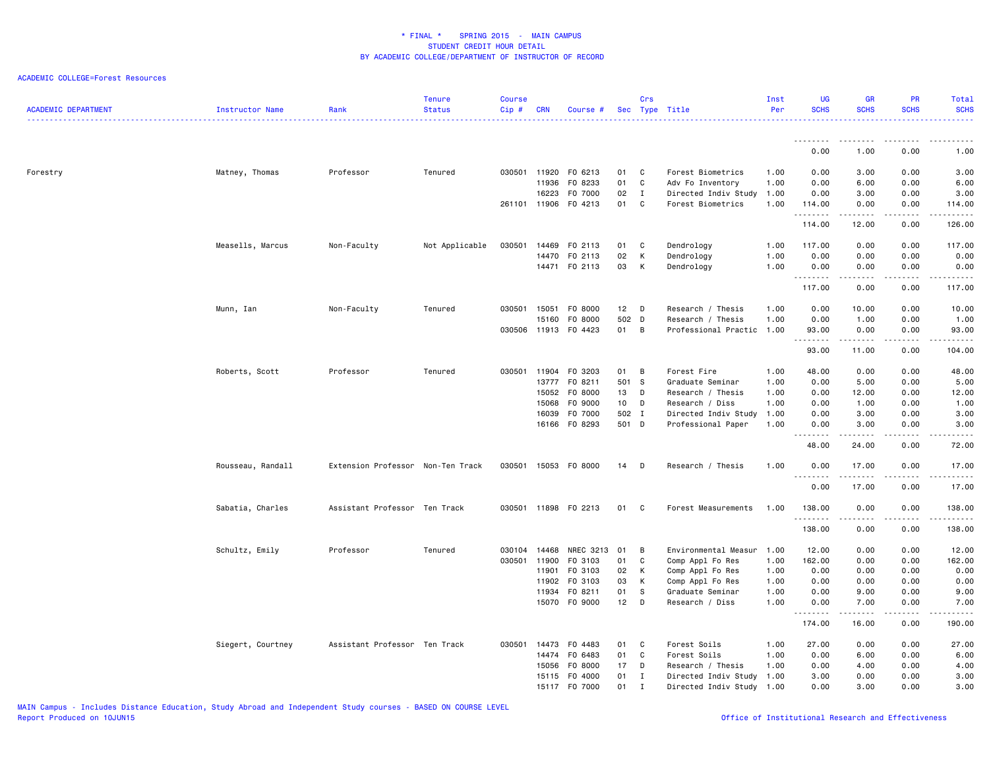| <b>ACADEMIC DEPARTMENT</b> | Instructor Name   | Rank                              | <b>Tenure</b><br><b>Status</b> | <b>Course</b><br>$Cip$ # | <b>CRN</b>   | Course #             |                 | Crs          | Sec Type Title            | Inst<br>Per | <b>UG</b><br><b>SCHS</b>                                                                                                                                                                                                                                                                                                                                                                                                                                                                       | <b>GR</b><br><b>SCHS</b>                                                                                                                                     | PR<br><b>SCHS</b>                                                                                                         | Total<br><b>SCHS</b>                       |
|----------------------------|-------------------|-----------------------------------|--------------------------------|--------------------------|--------------|----------------------|-----------------|--------------|---------------------------|-------------|------------------------------------------------------------------------------------------------------------------------------------------------------------------------------------------------------------------------------------------------------------------------------------------------------------------------------------------------------------------------------------------------------------------------------------------------------------------------------------------------|--------------------------------------------------------------------------------------------------------------------------------------------------------------|---------------------------------------------------------------------------------------------------------------------------|--------------------------------------------|
|                            |                   |                                   |                                |                          |              |                      |                 |              |                           |             | .                                                                                                                                                                                                                                                                                                                                                                                                                                                                                              | .                                                                                                                                                            | $\frac{1}{2} \left( \frac{1}{2} \right) \left( \frac{1}{2} \right) \left( \frac{1}{2} \right) \left( \frac{1}{2} \right)$ | $\cdots$                                   |
|                            |                   |                                   |                                |                          |              |                      |                 |              |                           |             | 0.00                                                                                                                                                                                                                                                                                                                                                                                                                                                                                           | 1.00                                                                                                                                                         | 0.00                                                                                                                      | 1.00                                       |
| Forestry                   | Matney, Thomas    | Professor                         | Tenured                        |                          | 030501 11920 | F0 6213              | 01              | C            | Forest Biometrics         | 1.00        | 0.00                                                                                                                                                                                                                                                                                                                                                                                                                                                                                           | 3.00                                                                                                                                                         | 0.00                                                                                                                      | 3.00                                       |
|                            |                   |                                   |                                |                          | 11936        | F0 8233              | 01              | C            | Adv Fo Inventory          | 1.00        | 0.00                                                                                                                                                                                                                                                                                                                                                                                                                                                                                           | 6.00                                                                                                                                                         | 0.00                                                                                                                      | 6.00                                       |
|                            |                   |                                   |                                |                          | 16223        | F0 7000              | 02              | $\mathbf{I}$ | Directed Indiv Study 1.00 |             | 0.00                                                                                                                                                                                                                                                                                                                                                                                                                                                                                           | 3.00                                                                                                                                                         | 0.00                                                                                                                      | 3.00                                       |
|                            |                   |                                   |                                |                          | 261101 11906 | F0 4213              | 01              | C            | Forest Biometrics         | 1.00        | 114.00<br>.                                                                                                                                                                                                                                                                                                                                                                                                                                                                                    | 0.00<br>$\sim$ $\sim$ $\sim$ $\sim$ $\sim$                                                                                                                   | 0.00<br>.                                                                                                                 | 114.00<br>.                                |
|                            |                   |                                   |                                |                          |              |                      |                 |              |                           |             | 114.00                                                                                                                                                                                                                                                                                                                                                                                                                                                                                         | 12.00                                                                                                                                                        | 0.00                                                                                                                      | 126.00                                     |
|                            | Measells, Marcus  | Non-Faculty                       | Not Applicable                 | 030501                   | 14469        | F0 2113              | 01              | C            | Dendrology                | 1.00        | 117.00                                                                                                                                                                                                                                                                                                                                                                                                                                                                                         | 0.00                                                                                                                                                         | 0.00                                                                                                                      | 117.00                                     |
|                            |                   |                                   |                                |                          | 14470        | F0 2113              | 02              | K            | Dendrology                | 1.00        | 0.00                                                                                                                                                                                                                                                                                                                                                                                                                                                                                           | 0.00                                                                                                                                                         | 0.00                                                                                                                      | 0.00                                       |
|                            |                   |                                   |                                |                          |              | 14471 FO 2113        | 03              | к            | Dendrology                | 1.00        | 0.00<br>.                                                                                                                                                                                                                                                                                                                                                                                                                                                                                      | 0.00                                                                                                                                                         | 0.00                                                                                                                      | 0.00<br>.                                  |
|                            |                   |                                   |                                |                          |              |                      |                 |              |                           |             | 117.00                                                                                                                                                                                                                                                                                                                                                                                                                                                                                         | 0.00                                                                                                                                                         | 0.00                                                                                                                      | 117.00                                     |
|                            | Munn, Ian         | Non-Faculty                       | Tenured                        | 030501                   | 15051        | F0 8000              | 12 <sub>2</sub> | D            | Research / Thesis         | 1.00        | 0.00                                                                                                                                                                                                                                                                                                                                                                                                                                                                                           | 10.00                                                                                                                                                        | 0.00                                                                                                                      | 10.00                                      |
|                            |                   |                                   |                                |                          | 15160        | F0 8000              | 502 D           |              | Research / Thesis         | 1.00        | 0.00                                                                                                                                                                                                                                                                                                                                                                                                                                                                                           | 1.00                                                                                                                                                         | 0.00                                                                                                                      | 1.00                                       |
|                            |                   |                                   |                                | 030506                   | 11913        | F0 4423              | 01              | B            | Professional Practic 1.00 |             | 93.00<br>.                                                                                                                                                                                                                                                                                                                                                                                                                                                                                     | 0.00<br>$\frac{1}{2} \left( \frac{1}{2} \right) \left( \frac{1}{2} \right) \left( \frac{1}{2} \right) \left( \frac{1}{2} \right) \left( \frac{1}{2} \right)$ | 0.00<br>$\sim$ $\sim$ $\sim$ $\sim$                                                                                       | 93.00<br>.                                 |
|                            |                   |                                   |                                |                          |              |                      |                 |              |                           |             | 93.00                                                                                                                                                                                                                                                                                                                                                                                                                                                                                          | 11.00                                                                                                                                                        | 0.00                                                                                                                      | 104.00                                     |
|                            | Roberts, Scott    | Professor                         | Tenured                        | 030501                   | 11904        | F0 3203              | 01              | B            | Forest Fire               | 1.00        | 48.00                                                                                                                                                                                                                                                                                                                                                                                                                                                                                          | 0.00                                                                                                                                                         | 0.00                                                                                                                      | 48.00                                      |
|                            |                   |                                   |                                |                          | 13777        | F0 8211              | 501             | <b>S</b>     | Graduate Seminar          | 1.00        | 0.00                                                                                                                                                                                                                                                                                                                                                                                                                                                                                           | 5.00                                                                                                                                                         | 0.00                                                                                                                      | 5.00                                       |
|                            |                   |                                   |                                |                          | 15052        | F0 8000              | 13              | D            | Research / Thesis         | 1.00        | 0.00                                                                                                                                                                                                                                                                                                                                                                                                                                                                                           | 12.00                                                                                                                                                        | 0.00                                                                                                                      | 12.00                                      |
|                            |                   |                                   |                                |                          | 15068        | F0 9000              | 10 <sub>1</sub> | D            | Research / Diss           | 1.00        | 0.00                                                                                                                                                                                                                                                                                                                                                                                                                                                                                           | 1.00                                                                                                                                                         | 0.00                                                                                                                      | 1.00                                       |
|                            |                   |                                   |                                |                          | 16039        | F0 7000              | 502 I           |              | Directed Indiv Study      | 1.00        | 0.00                                                                                                                                                                                                                                                                                                                                                                                                                                                                                           | 3.00                                                                                                                                                         | 0.00                                                                                                                      | 3.00                                       |
|                            |                   |                                   |                                |                          |              | 16166 FO 8293        | 501 D           |              | Professional Paper        | 1.00        | 0.00<br>.                                                                                                                                                                                                                                                                                                                                                                                                                                                                                      | 3.00<br>$\frac{1}{2} \left( \frac{1}{2} \right) \left( \frac{1}{2} \right) \left( \frac{1}{2} \right) \left( \frac{1}{2} \right) \left( \frac{1}{2} \right)$ | 0.00<br>$\sim$ - - -                                                                                                      | 3.00<br>$- - - - -$                        |
|                            |                   |                                   |                                |                          |              |                      |                 |              |                           |             | 48.00                                                                                                                                                                                                                                                                                                                                                                                                                                                                                          | 24.00                                                                                                                                                        | 0.00                                                                                                                      | 72.00                                      |
|                            | Rousseau, Randall | Extension Professor Non-Ten Track |                                | 030501                   |              | 15053 FO 8000        | 14              | D            | Research / Thesis         | 1.00        | 0.00<br>.<br>.                                                                                                                                                                                                                                                                                                                                                                                                                                                                                 | 17.00<br>$- - - - -$                                                                                                                                         | 0.00<br>.                                                                                                                 | 17.00<br>$\frac{1}{2}$                     |
|                            |                   |                                   |                                |                          |              |                      |                 |              |                           |             | 0.00                                                                                                                                                                                                                                                                                                                                                                                                                                                                                           | 17.00                                                                                                                                                        | 0.00                                                                                                                      | 17.00                                      |
|                            | Sabatia, Charles  | Assistant Professor Ten Track     |                                |                          |              | 030501 11898 FO 2213 | 01              | C.           | Forest Measurements       | 1.00        | 138.00                                                                                                                                                                                                                                                                                                                                                                                                                                                                                         | 0.00                                                                                                                                                         | 0.00                                                                                                                      | 138.00                                     |
|                            |                   |                                   |                                |                          |              |                      |                 |              |                           |             | .<br>138.00                                                                                                                                                                                                                                                                                                                                                                                                                                                                                    | 0.00                                                                                                                                                         | 0.00                                                                                                                      | ------<br>138.00                           |
|                            | Schultz, Emily    | Professor                         | Tenured                        | 030104                   | 14468        | NREC 3213            | 01              | B            | Environmental Measur      | 1.00        | 12.00                                                                                                                                                                                                                                                                                                                                                                                                                                                                                          | 0.00                                                                                                                                                         | 0.00                                                                                                                      | 12.00                                      |
|                            |                   |                                   |                                | 030501                   | 11900        | F0 3103              | 01              | C            | Comp Appl Fo Res          | 1.00        | 162.00                                                                                                                                                                                                                                                                                                                                                                                                                                                                                         | 0.00                                                                                                                                                         | 0.00                                                                                                                      | 162.00                                     |
|                            |                   |                                   |                                |                          | 11901        | F0 3103              | 02              | K            | Comp Appl Fo Res          | 1.00        | 0.00                                                                                                                                                                                                                                                                                                                                                                                                                                                                                           | 0.00                                                                                                                                                         | 0.00                                                                                                                      | 0.00                                       |
|                            |                   |                                   |                                |                          | 11902        | F0 3103              | 03              | K            | Comp Appl Fo Res          | 1.00        | 0.00                                                                                                                                                                                                                                                                                                                                                                                                                                                                                           | 0.00                                                                                                                                                         | 0.00                                                                                                                      | 0.00                                       |
|                            |                   |                                   |                                |                          | 11934        | FO 8211              | 01              | <b>S</b>     | Graduate Seminar          | 1.00        | 0.00                                                                                                                                                                                                                                                                                                                                                                                                                                                                                           | 9.00                                                                                                                                                         | 0.00                                                                                                                      | 9.00                                       |
|                            |                   |                                   |                                |                          | 15070        | F0 9000              | 12              | D            | Research / Diss           | 1.00        | 0.00<br>$\begin{array}{cccccccccccccc} \multicolumn{2}{c}{} & \multicolumn{2}{c}{} & \multicolumn{2}{c}{} & \multicolumn{2}{c}{} & \multicolumn{2}{c}{} & \multicolumn{2}{c}{} & \multicolumn{2}{c}{} & \multicolumn{2}{c}{} & \multicolumn{2}{c}{} & \multicolumn{2}{c}{} & \multicolumn{2}{c}{} & \multicolumn{2}{c}{} & \multicolumn{2}{c}{} & \multicolumn{2}{c}{} & \multicolumn{2}{c}{} & \multicolumn{2}{c}{} & \multicolumn{2}{c}{} & \multicolumn{2}{c}{} & \multicolumn{2}{c}{} & \$ | 7.00<br>.                                                                                                                                                    | 0.00<br>.                                                                                                                 | 7.00<br>$\sim$ $\sim$ $\sim$ $\sim$ $\sim$ |
|                            |                   |                                   |                                |                          |              |                      |                 |              |                           |             | 174.00                                                                                                                                                                                                                                                                                                                                                                                                                                                                                         | 16.00                                                                                                                                                        | 0.00                                                                                                                      | 190.00                                     |
|                            | Siegert, Courtney | Assistant Professor Ten Track     |                                | 030501                   | 14473        | F0 4483              | 01              | C            | Forest Soils              | 1.00        | 27.00                                                                                                                                                                                                                                                                                                                                                                                                                                                                                          | 0.00                                                                                                                                                         | 0.00                                                                                                                      | 27.00                                      |
|                            |                   |                                   |                                |                          | 14474        | F0 6483              | 01              | C            | Forest Soils              | 1.00        | 0.00                                                                                                                                                                                                                                                                                                                                                                                                                                                                                           | 6.00                                                                                                                                                         | 0.00                                                                                                                      | 6.00                                       |
|                            |                   |                                   |                                |                          | 15056        | F0 8000              | 17              | D            | Research / Thesis         | 1.00        | 0.00                                                                                                                                                                                                                                                                                                                                                                                                                                                                                           | 4.00                                                                                                                                                         | 0.00                                                                                                                      | 4.00                                       |
|                            |                   |                                   |                                |                          | 15115        | F0 4000              | 01              | $\mathbf{I}$ | Directed Indiv Study 1.00 |             | 3.00                                                                                                                                                                                                                                                                                                                                                                                                                                                                                           | 0.00                                                                                                                                                         | 0.00                                                                                                                      | 3.00                                       |
|                            |                   |                                   |                                |                          |              | 15117 F0 7000        | 01              | $\mathbf I$  | Directed Indiv Study 1.00 |             | 0.00                                                                                                                                                                                                                                                                                                                                                                                                                                                                                           | 3.00                                                                                                                                                         | 0.00                                                                                                                      | 3.00                                       |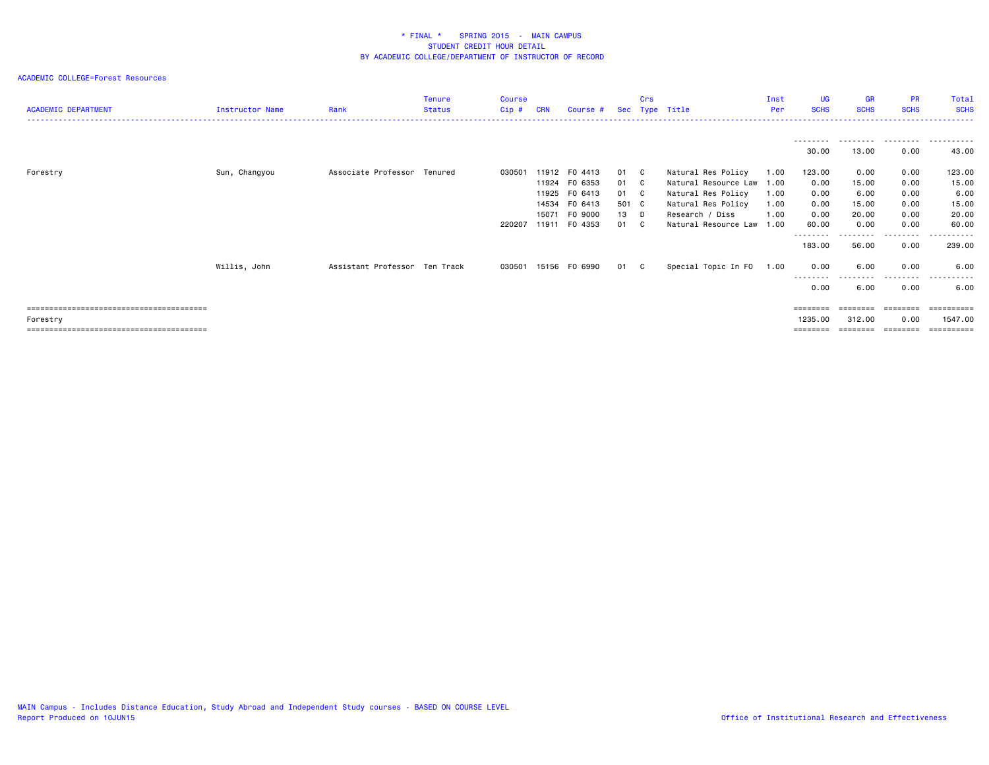| <b>ACADEMIC DEPARTMENT</b> | Instructor Name | Rank                          | <b>Tenure</b><br><b>Status</b> | Course<br>Cip # | <b>CRN</b>     | Course #                            |                     | Crs          | Sec Type Title                                              | Inst<br><b>Per</b>   | <b>UG</b><br><b>SCHS</b>    | <b>GR</b><br><b>SCHS</b> | <b>PR</b><br><b>SCHS</b>  | Total<br><b>SCHS</b>       |
|----------------------------|-----------------|-------------------------------|--------------------------------|-----------------|----------------|-------------------------------------|---------------------|--------------|-------------------------------------------------------------|----------------------|-----------------------------|--------------------------|---------------------------|----------------------------|
|                            |                 |                               |                                |                 |                |                                     |                     |              |                                                             |                      | ---------<br>30.00          | 13.00                    | 0.00                      | 43.00                      |
| Forestry                   | Sun, Changyou   | Associate Professor Tenured   |                                | 030501          |                | 11912 F0 4413<br>11924 FO 6353      | 01 C<br>01 C        |              | Natural Res Policy<br>Natural Resource Law                  | 1.00<br>1.00         | 123.00<br>0.00              | 0.00<br>15.00            | 0.00<br>0.00              | 123.00<br>15.00            |
|                            |                 |                               |                                |                 | 14534<br>15071 | 11925 FO 6413<br>FO 6413<br>F0 9000 | 01 C<br>501 C<br>13 | D            | Natural Res Policy<br>Natural Res Policy<br>Research / Diss | 1.00<br>1.00<br>1.00 | 0.00<br>0.00<br>0.00        | 6.00<br>15.00<br>20.00   | 0.00<br>0.00<br>0.00      | 6.00<br>15.00<br>20.00     |
|                            |                 |                               |                                | 220207          |                | 11911 FO 4353                       | 01                  | C            | Natural Resource Law                                        | 1.00                 | 60.00<br>--------<br>183.00 | 0.00<br>56.00            | 0.00<br>---------<br>0.00 | 60.00<br>-------<br>239.00 |
|                            | Willis, John    | Assistant Professor Ten Track |                                | 030501          |                | 15156 FO 6990                       | 01                  | $\mathbf{C}$ | Special Topic In FO                                         | 1.00                 | 0.00                        | 6.00                     | 0.00                      | 6.00                       |
|                            |                 |                               |                                |                 |                |                                     |                     |              |                                                             |                      | 0.00<br>========            | 6.00<br>========         | 0.00                      | 6.00                       |
| Forestry                   |                 |                               |                                |                 |                |                                     |                     |              |                                                             |                      | 1235.00<br>========         | 312.00                   | 0.00<br>========          | 1547.00                    |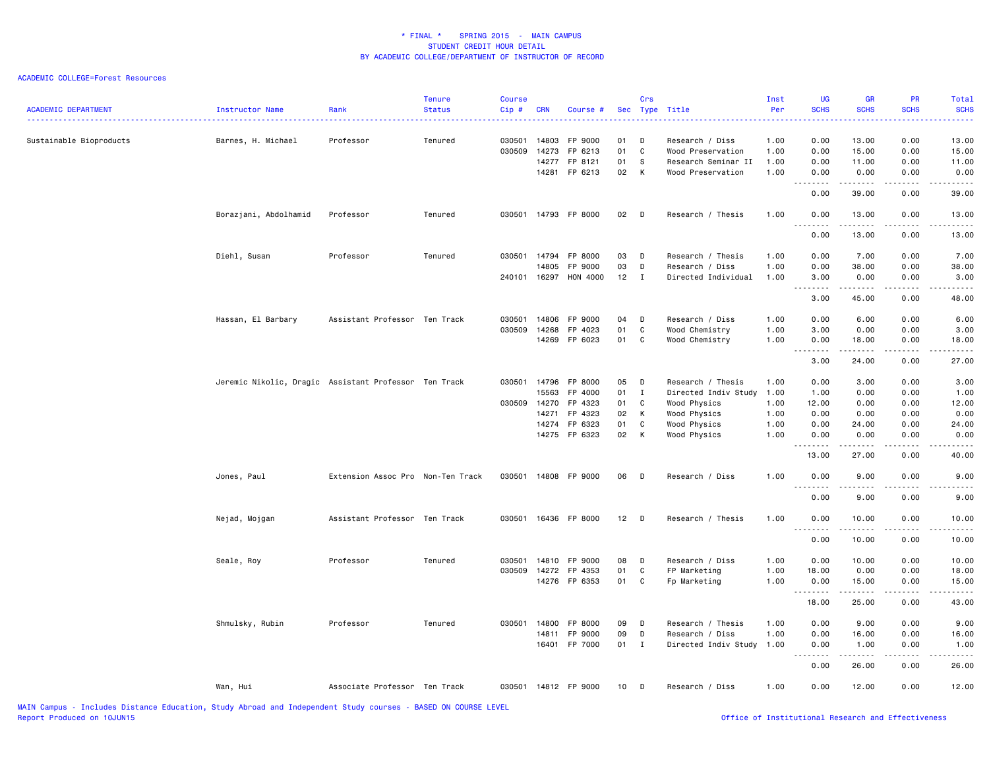| <b>ACADEMIC DEPARTMENT</b> | Instructor Name                                       | Rank                              | <b>Tenure</b><br><b>Status</b> | <b>Course</b><br>Cip# | <b>CRN</b> | Course #      |                 | Crs          | Sec Type Title       | Inst<br>Per | <b>UG</b><br><b>SCHS</b>     | <b>GR</b><br><b>SCHS</b>                                                                                                                                     | <b>PR</b><br><b>SCHS</b> | Total<br><b>SCHS</b>   |
|----------------------------|-------------------------------------------------------|-----------------------------------|--------------------------------|-----------------------|------------|---------------|-----------------|--------------|----------------------|-------------|------------------------------|--------------------------------------------------------------------------------------------------------------------------------------------------------------|--------------------------|------------------------|
| Sustainable Bioproducts    | Barnes, H. Michael                                    | Professor                         | Tenured                        | 030501                | 14803      | FP 9000       | 01              | D            | Research / Diss      | 1.00        | 0.00                         | 13.00                                                                                                                                                        | 0.00                     | 13.00                  |
|                            |                                                       |                                   |                                | 030509                | 14273      | FP 6213       | 01              | C            | Wood Preservation    | 1.00        | 0.00                         | 15.00                                                                                                                                                        | 0.00                     | 15.00                  |
|                            |                                                       |                                   |                                |                       | 14277      | FP 8121       | 01              | S.           | Research Seminar II  | 1.00        | 0.00                         | 11.00                                                                                                                                                        | 0.00                     | 11.00                  |
|                            |                                                       |                                   |                                |                       |            | 14281 FP 6213 | 02              | $\mathsf{K}$ | Wood Preservation    | 1.00        | 0.00<br>.                    | 0.00<br>.                                                                                                                                                    | 0.00                     | 0.00<br>.              |
|                            |                                                       |                                   |                                |                       |            |               |                 |              |                      |             | 0.00                         | 39.00                                                                                                                                                        | 0.00                     | 39.00                  |
|                            | Borazjani, Abdolhamid                                 | Professor                         | Tenured                        | 030501                |            | 14793 FP 8000 | 02              | D            | Research / Thesis    | 1.00        | 0.00<br>.                    | 13.00<br>.                                                                                                                                                   | 0.00<br>.                | 13.00<br>.             |
|                            |                                                       |                                   |                                |                       |            |               |                 |              |                      |             | 0.00                         | 13.00                                                                                                                                                        | 0.00                     | 13.00                  |
|                            | Diehl, Susan                                          | Professor                         | Tenured                        | 030501                | 14794      | FP 8000       | 03              | D            | Research / Thesis    | 1.00        | 0.00                         | 7.00                                                                                                                                                         | 0.00                     | 7.00                   |
|                            |                                                       |                                   |                                |                       | 14805      | FP 9000       | 03              | D            | Research / Diss      | 1.00        | 0.00                         | 38.00                                                                                                                                                        | 0.00                     | 38.00                  |
|                            |                                                       |                                   |                                | 240101                | 16297      | HON 4000      | 12              | $\mathbf{I}$ | Directed Individual  | 1.00        | 3.00<br>.                    | 0.00<br>$\frac{1}{2} \left( \frac{1}{2} \right) \left( \frac{1}{2} \right) \left( \frac{1}{2} \right) \left( \frac{1}{2} \right) \left( \frac{1}{2} \right)$ | 0.00<br>.                | 3.00<br>$- - - - -$    |
|                            |                                                       |                                   |                                |                       |            |               |                 |              |                      |             | 3.00                         | 45.00                                                                                                                                                        | 0.00                     | 48.00                  |
|                            | Hassan, El Barbary                                    | Assistant Professor Ten Track     |                                | 030501                | 14806      | FP 9000       | 04              | D            | Research / Diss      | 1.00        | 0.00                         | 6.00                                                                                                                                                         | 0.00                     | 6.00                   |
|                            |                                                       |                                   |                                | 030509                | 14268      | FP 4023       | 01              | C            | Wood Chemistry       | 1.00        | 3.00                         | 0.00                                                                                                                                                         | 0.00                     | 3.00                   |
|                            |                                                       |                                   |                                |                       | 14269      | FP 6023       | 01              | $\mathbf C$  | Wood Chemistry       | 1.00        | 0.00<br><u>.</u>             | 18.00<br>.                                                                                                                                                   | 0.00<br>. <b>.</b>       | 18.00<br>.             |
|                            |                                                       |                                   |                                |                       |            |               |                 |              |                      |             | 3.00                         | 24.00                                                                                                                                                        | 0.00                     | 27.00                  |
|                            | Jeremic Nikolic, Dragic Assistant Professor Ten Track |                                   |                                | 030501                | 14796      | FP 8000       | 05              | $\mathsf{D}$ | Research / Thesis    | 1.00        | 0.00                         | 3.00                                                                                                                                                         | 0.00                     | 3.00                   |
|                            |                                                       |                                   |                                |                       | 15563      | FP 4000       | 01              | $\mathbf{I}$ | Directed Indiv Study | 1.00        | 1.00                         | 0.00                                                                                                                                                         | 0.00                     | 1.00                   |
|                            |                                                       |                                   |                                | 030509                | 14270      | FP 4323       | 01              | C            | Wood Physics         | 1.00        | 12.00                        | 0.00                                                                                                                                                         | 0.00                     | 12.00                  |
|                            |                                                       |                                   |                                |                       | 14271      | FP 4323       | 02              | К            | Wood Physics         | 1.00        | 0.00                         | 0.00                                                                                                                                                         | 0.00                     | 0.00                   |
|                            |                                                       |                                   |                                |                       | 14274      | FP 6323       | 01              | C            | Wood Physics         | 1.00        | 0.00                         | 24.00                                                                                                                                                        | 0.00                     | 24.00                  |
|                            |                                                       |                                   |                                |                       | 14275      | FP 6323       | 02              | $\mathsf{K}$ | Wood Physics         | 1.00        | 0.00                         | 0.00<br>.                                                                                                                                                    | 0.00<br>.                | 0.00<br>.              |
|                            |                                                       |                                   |                                |                       |            |               |                 |              |                      |             | 13.00                        | 27.00                                                                                                                                                        | 0.00                     | 40.00                  |
|                            | Jones, Paul                                           | Extension Assoc Pro Non-Ten Track |                                | 030501                |            | 14808 FP 9000 | 06              | D            | Research / Diss      | 1.00        | 0.00                         | 9.00                                                                                                                                                         | 0.00                     | 9.00                   |
|                            |                                                       |                                   |                                |                       |            |               |                 |              |                      |             | $- - - -$<br>0.00            | .<br>9.00                                                                                                                                                    | .<br>0.00                | -----<br>9.00          |
|                            | Nejad, Mojgan                                         | Assistant Professor Ten Track     |                                | 030501                |            | 16436 FP 8000 | 12              | $\Box$       | Research / Thesis    | 1.00        | 0.00                         | 10.00                                                                                                                                                        | 0.00                     | 10.00                  |
|                            |                                                       |                                   |                                |                       |            |               |                 |              |                      |             | $\sim$ $\sim$ .<br>.<br>0.00 | .<br>10.00                                                                                                                                                   | .<br>0.00                | $\frac{1}{2}$<br>10.00 |
|                            | Seale, Roy                                            | Professor                         | Tenured                        | 030501                |            | 14810 FP 9000 | 08              | D            | Research / Diss      | 1.00        | 0.00                         | 10.00                                                                                                                                                        | 0.00                     | 10.00                  |
|                            |                                                       |                                   |                                | 030509                | 14272      | FP 4353       | 01              | $\mathtt{C}$ | FP Marketing         | 1.00        | 18.00                        | 0.00                                                                                                                                                         | 0.00                     | 18.00                  |
|                            |                                                       |                                   |                                |                       |            | 14276 FP 6353 | 01              | $\mathbf{C}$ | Fp Marketing         | 1.00        | 0.00                         | 15.00                                                                                                                                                        | 0.00                     | 15.00                  |
|                            |                                                       |                                   |                                |                       |            |               |                 |              |                      |             | <u>.</u>                     |                                                                                                                                                              |                          | .                      |
|                            |                                                       |                                   |                                |                       |            |               |                 |              |                      |             | 18.00                        | 25.00                                                                                                                                                        | 0.00                     | 43.00                  |
|                            | Shmulsky, Rubin                                       | Professor                         | Tenured                        | 030501                | 14800      | FP 8000       | 09              | D            | Research / Thesis    | 1.00        | 0.00                         | 9.00                                                                                                                                                         | 0.00                     | 9.00                   |
|                            |                                                       |                                   |                                |                       | 14811      | FP 9000       | 09              | D            | Research / Diss      | 1.00        | 0.00                         | 16.00                                                                                                                                                        | 0.00                     | 16.00                  |
|                            |                                                       |                                   |                                |                       | 16401      | FP 7000       | 01              | $\mathbf{I}$ | Directed Indiv Study | 1.00        | 0.00<br>.                    | 1.00<br>. <b>.</b>                                                                                                                                           | 0.00<br>.                | 1.00<br>.              |
|                            |                                                       |                                   |                                |                       |            |               |                 |              |                      |             | 0.00                         | 26.00                                                                                                                                                        | 0.00                     | 26.00                  |
|                            | Wan, Hui                                              | Associate Professor Ten Track     |                                | 030501                |            | 14812 FP 9000 | 10 <sub>1</sub> | D            | Research / Diss      | 1.00        | 0.00                         | 12.00                                                                                                                                                        | 0.00                     | 12.00                  |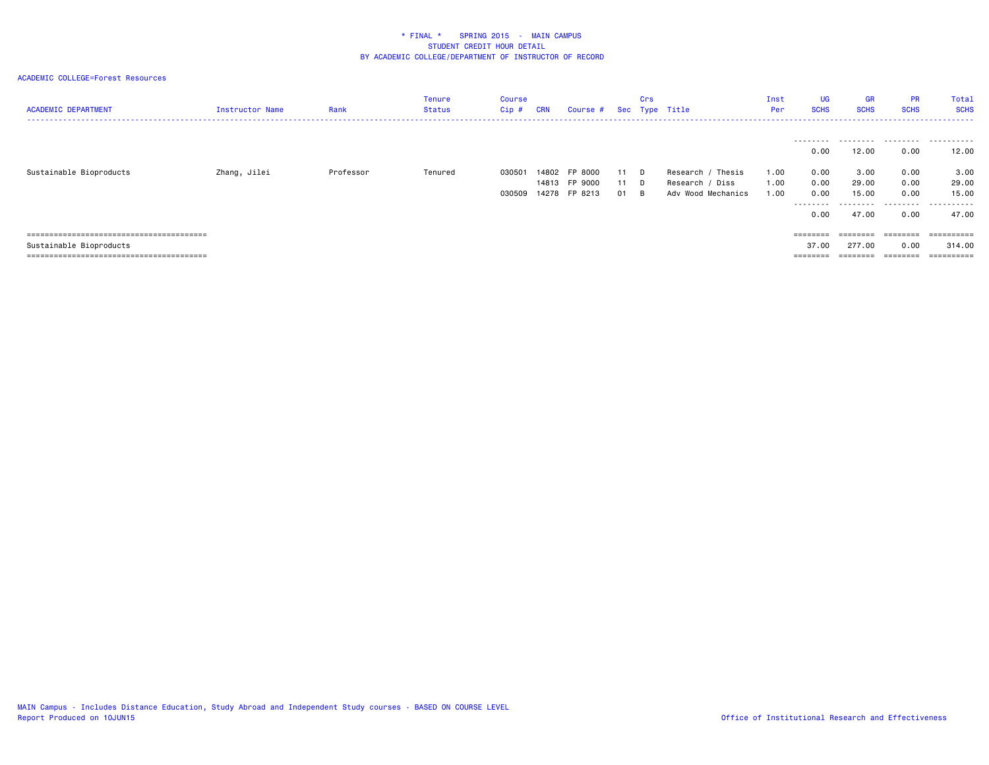| <b>ACADEMIC DEPARTMENT</b> | Instructor Name | Rank      | Tenure<br>Status | Course<br>Cip#   | <b>CRN</b> | Course #                                        |          | Crs           | Sec Type Title                                              | Inst<br>Per          | <b>UG</b><br><b>SCHS</b>                                       | <b>GR</b><br><b>SCHS</b>                           | <b>PR</b><br><b>SCHS</b>                                                                    | Total<br><b>SCHS</b>                          |
|----------------------------|-----------------|-----------|------------------|------------------|------------|-------------------------------------------------|----------|---------------|-------------------------------------------------------------|----------------------|----------------------------------------------------------------|----------------------------------------------------|---------------------------------------------------------------------------------------------|-----------------------------------------------|
| Sustainable Bioproducts    | Zhang, Jilei    | Professor | Tenured          | 030501<br>030509 |            | 14802 FP 8000<br>14813 FP 9000<br>14278 FP 8213 | 11<br>01 | D.<br>D.<br>B | Thesis<br>Research<br>Research / Diss<br>Adv Wood Mechanics | 1.00<br>1.00<br>1.00 | ---------<br>0.00<br>0.00<br>0.00<br>0.00<br>---------<br>0.00 | .<br>12.00<br>3,00<br>29.00<br>15.00<br>.<br>47.00 | 0.00<br>0.00<br>0.00<br>0.00<br>.<br>0.00                                                   | 12.00<br>3.00<br>29,00<br>15.00<br>.<br>47.00 |
| Sustainable Bioproducts    |                 |           |                  |                  |            |                                                 |          |               |                                                             |                      | $=$ = = = = = = =<br>37.00<br>========                         | ========<br>277.00<br>--------                     | ========<br>0.00<br>$\qquad \qquad \equiv \equiv \equiv \equiv \equiv \equiv \equiv \equiv$ | -----------<br>314,00                         |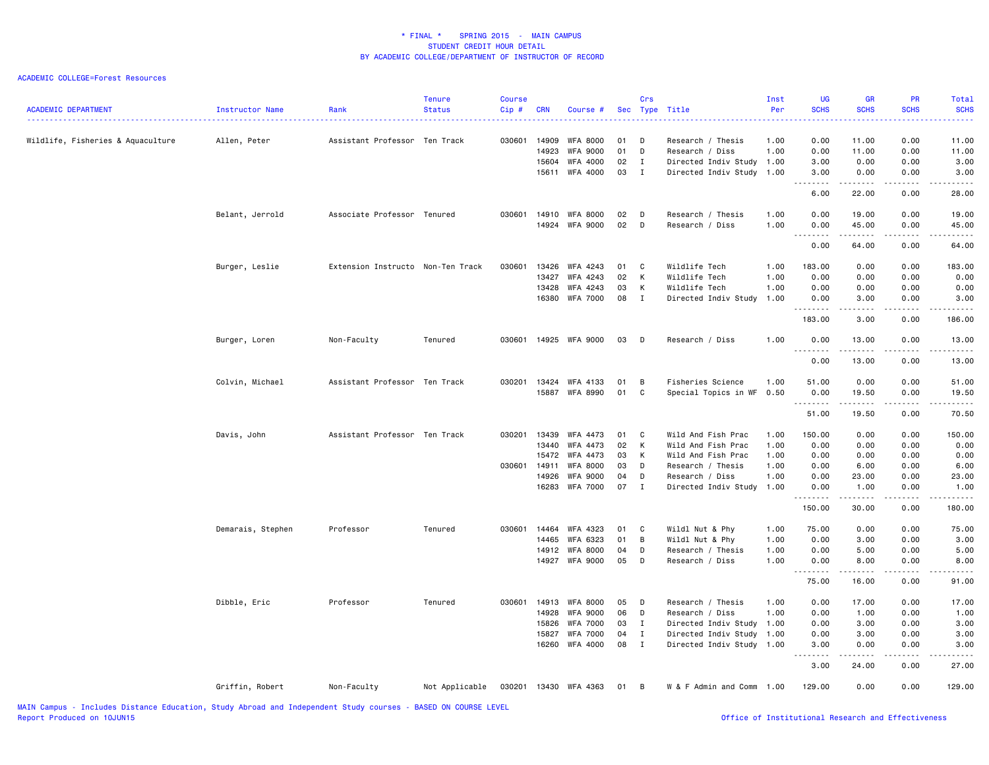| <b>ACADEMIC DEPARTMENT</b>                                                                                      | Instructor Name   | Rank                              | <b>Tenure</b><br><b>Status</b> | <b>Course</b><br>Cip# | <b>CRN</b> | Course #              |      | Crs          | Sec Type Title            | Inst<br>Per | <b>UG</b><br><b>SCHS</b>                                                                                                                                     | <b>GR</b><br><b>SCHS</b>       | PR<br><b>SCHS</b> | <b>Total</b><br><b>SCHS</b> |
|-----------------------------------------------------------------------------------------------------------------|-------------------|-----------------------------------|--------------------------------|-----------------------|------------|-----------------------|------|--------------|---------------------------|-------------|--------------------------------------------------------------------------------------------------------------------------------------------------------------|--------------------------------|-------------------|-----------------------------|
| Wildlife, Fisheries & Aquaculture                                                                               | Allen, Peter      | Assistant Professor Ten Track     |                                | 030601                | 14909      | WFA 8000              | 01   | D            | Research / Thesis         | 1.00        | 0.00                                                                                                                                                         | 11.00                          | 0.00              | 11.00                       |
|                                                                                                                 |                   |                                   |                                |                       | 14923      | <b>WFA 9000</b>       | 01   | D            | Research / Diss           | 1.00        | 0.00                                                                                                                                                         | 11.00                          | 0.00              | 11.00                       |
|                                                                                                                 |                   |                                   |                                |                       | 15604      | WFA 4000              | 02   | $\mathbf{I}$ | Directed Indiv Study      | 1.00        | 3.00                                                                                                                                                         | 0.00                           | 0.00              | 3.00                        |
|                                                                                                                 |                   |                                   |                                |                       | 15611      | WFA 4000              | 03   | $\mathbf{I}$ | Directed Indiv Study      | 1.00        | 3.00<br>.                                                                                                                                                    | 0.00<br>.                      | 0.00<br>.         | 3.00<br>.                   |
|                                                                                                                 |                   |                                   |                                |                       |            |                       |      |              |                           |             | 6.00                                                                                                                                                         | 22.00                          | 0.00              | 28.00                       |
|                                                                                                                 | Belant, Jerrold   | Associate Professor Tenured       |                                | 030601                | 14910      | WFA 8000              | 02   | D            | Research / Thesis         | 1.00        | 0.00                                                                                                                                                         | 19.00                          | 0.00              | 19.00                       |
|                                                                                                                 |                   |                                   |                                |                       |            | 14924 WFA 9000        | 02   | D            | Research / Diss           | 1.00        | 0.00<br>.                                                                                                                                                    | 45.00<br>.                     | 0.00<br>.         | 45.00<br>.                  |
|                                                                                                                 |                   |                                   |                                |                       |            |                       |      |              |                           |             | 0.00                                                                                                                                                         | 64.00                          | 0.00              | 64.00                       |
|                                                                                                                 | Burger, Leslie    | Extension Instructo Non-Ten Track |                                | 030601                | 13426      | WFA 4243              | 01 C |              | Wildlife Tech             | 1.00        | 183.00                                                                                                                                                       | 0.00                           | 0.00              | 183.00                      |
|                                                                                                                 |                   |                                   |                                |                       | 13427      | WFA 4243              | 02   | $\mathsf{K}$ | Wildlife Tech             | 1.00        | 0.00                                                                                                                                                         | 0.00                           | 0.00              | 0.00                        |
|                                                                                                                 |                   |                                   |                                |                       | 13428      | WFA 4243              | 03   | $\mathsf{K}$ | Wildlife Tech             | 1.00        | 0.00                                                                                                                                                         | 0.00                           | 0.00              | 0.00                        |
|                                                                                                                 |                   |                                   |                                |                       |            | 16380 WFA 7000        | 08 I |              | Directed Indiv Study      | 1.00        | 0.00<br>.                                                                                                                                                    | 3.00<br>$\omega$ is a $\omega$ | 0.00<br>.         | 3.00<br>$- - - -$           |
|                                                                                                                 |                   |                                   |                                |                       |            |                       |      |              |                           |             | 183.00                                                                                                                                                       | 3.00                           | 0.00              | 186.00                      |
|                                                                                                                 | Burger, Loren     | Non-Faculty                       | Tenured                        | 030601                |            | 14925 WFA 9000        | 03   | $\mathsf{D}$ | Research / Diss           | 1.00        | 0.00<br>.                                                                                                                                                    | 13.00<br>.                     | 0.00<br>.         | 13.00<br>.                  |
|                                                                                                                 |                   |                                   |                                |                       |            |                       |      |              |                           |             | 0.00                                                                                                                                                         | 13.00                          | 0.00              | 13.00                       |
|                                                                                                                 | Colvin, Michael   | Assistant Professor Ten Track     |                                | 030201 13424          |            | WFA 4133              | 01   | B            | Fisheries Science         | 1.00        | 51.00                                                                                                                                                        | 0.00                           | 0.00              | 51.00                       |
|                                                                                                                 |                   |                                   |                                |                       | 15887      | WFA 8990              | 01   | C            | Special Topics in WF      | 0.50        | 0.00                                                                                                                                                         | 19.50                          | 0.00              | 19.50                       |
|                                                                                                                 |                   |                                   |                                |                       |            |                       |      |              |                           |             | .                                                                                                                                                            | .                              | .                 | .                           |
|                                                                                                                 |                   |                                   |                                |                       |            |                       |      |              |                           |             | 51.00                                                                                                                                                        | 19.50                          | 0.00              | 70.50                       |
|                                                                                                                 | Davis, John       | Assistant Professor Ten Track     |                                | 030201                | 13439      | WFA 4473              | 01   | C            | Wild And Fish Prac        | 1.00        | 150.00                                                                                                                                                       | 0.00                           | 0.00              | 150.00                      |
|                                                                                                                 |                   |                                   |                                |                       | 13440      | WFA 4473              | 02   | K            | Wild And Fish Prac        | 1.00        | 0.00                                                                                                                                                         | 0.00                           | 0.00              | 0.00                        |
|                                                                                                                 |                   |                                   |                                |                       | 15472      | WFA 4473              | 03   | K            | Wild And Fish Prac        | 1.00        | 0.00                                                                                                                                                         | 0.00                           | 0.00              | 0.00                        |
|                                                                                                                 |                   |                                   |                                | 030601                | 14911      | WFA 8000              | 03   | D            | Research / Thesis         | 1.00        | 0.00                                                                                                                                                         | 6.00                           | 0.00              | 6.00                        |
|                                                                                                                 |                   |                                   |                                |                       | 14926      | WFA 9000              | 04   | D            | Research / Diss           | 1.00        | 0.00                                                                                                                                                         | 23.00                          | 0.00              | 23.00                       |
|                                                                                                                 |                   |                                   |                                |                       | 16283      | WFA 7000              | 07 I |              | Directed Indiv Study      | 1.00        | 0.00<br>.                                                                                                                                                    | 1.00<br>.                      | 0.00<br>.         | 1.00<br>.                   |
|                                                                                                                 |                   |                                   |                                |                       |            |                       |      |              |                           |             | 150.00                                                                                                                                                       | 30.00                          | 0.00              | 180.00                      |
|                                                                                                                 | Demarais, Stephen | Professor                         | Tenured                        | 030601                | 14464      | WFA 4323              | 01   | C            | Wildl Nut & Phy           | 1.00        | 75.00                                                                                                                                                        | 0.00                           | 0.00              | 75.00                       |
|                                                                                                                 |                   |                                   |                                |                       | 14465      | WFA 6323              | 01   | B            | Wildl Nut & Phy           | 1.00        | 0.00                                                                                                                                                         | 3.00                           | 0.00              | 3.00                        |
|                                                                                                                 |                   |                                   |                                |                       | 14912      | WFA 8000              | 04   | D            | Research / Thesis         | 1.00        | 0.00                                                                                                                                                         | 5.00                           | 0.00              | 5.00                        |
|                                                                                                                 |                   |                                   |                                |                       |            | 14927 WFA 9000        | 05   | D            | Research / Diss           | 1.00        | 0.00<br>.                                                                                                                                                    | 8.00<br>.                      | 0.00<br>.         | 8.00<br>.                   |
|                                                                                                                 |                   |                                   |                                |                       |            |                       |      |              |                           |             | 75.00                                                                                                                                                        | 16.00                          | 0.00              | 91.00                       |
|                                                                                                                 | Dibble, Eric      | Professor                         | Tenured                        | 030601                | 14913      | WFA 8000              | 05   | D            | Research / Thesis         | 1.00        | 0.00                                                                                                                                                         | 17.00                          | 0.00              | 17.00                       |
|                                                                                                                 |                   |                                   |                                |                       | 14928      | WFA 9000              | 06   | D            | Research / Diss           | 1.00        | 0.00                                                                                                                                                         | 1.00                           | 0.00              | 1.00                        |
|                                                                                                                 |                   |                                   |                                |                       | 15826      | <b>WFA 7000</b>       | 03   | $\mathbf{I}$ | Directed Indiv Study      | 1.00        | 0.00                                                                                                                                                         | 3.00                           | 0.00              | 3.00                        |
|                                                                                                                 |                   |                                   |                                |                       | 15827      | <b>WFA 7000</b>       | 04   | $\mathbf{I}$ | Directed Indiv Study      | 1.00        | 0.00                                                                                                                                                         | 3.00                           | 0.00              | 3.00                        |
|                                                                                                                 |                   |                                   |                                |                       |            | 16260 WFA 4000        | 08 I |              | Directed Indiv Study 1.00 |             | 3.00<br>$\frac{1}{2} \left( \frac{1}{2} \right) \left( \frac{1}{2} \right) \left( \frac{1}{2} \right) \left( \frac{1}{2} \right) \left( \frac{1}{2} \right)$ | 0.00<br>.                      | 0.00<br>د د د د   | 3.00                        |
|                                                                                                                 |                   |                                   |                                |                       |            |                       |      |              |                           |             | 3.00                                                                                                                                                         | 24.00                          | 0.00              | 27.00                       |
|                                                                                                                 | Griffin, Robert   | Non-Faculty                       | Not Applicable                 |                       |            | 030201 13430 WFA 4363 | 01 B |              | W & F Admin and Comm 1.00 |             | 129.00                                                                                                                                                       | 0.00                           | 0.00              | 129.00                      |
| the contract of the contract of the contract of the contract of the contract of the contract of the contract of |                   |                                   | BASES AN ASUBAR LEVEL          |                       |            |                       |      |              |                           |             |                                                                                                                                                              |                                |                   |                             |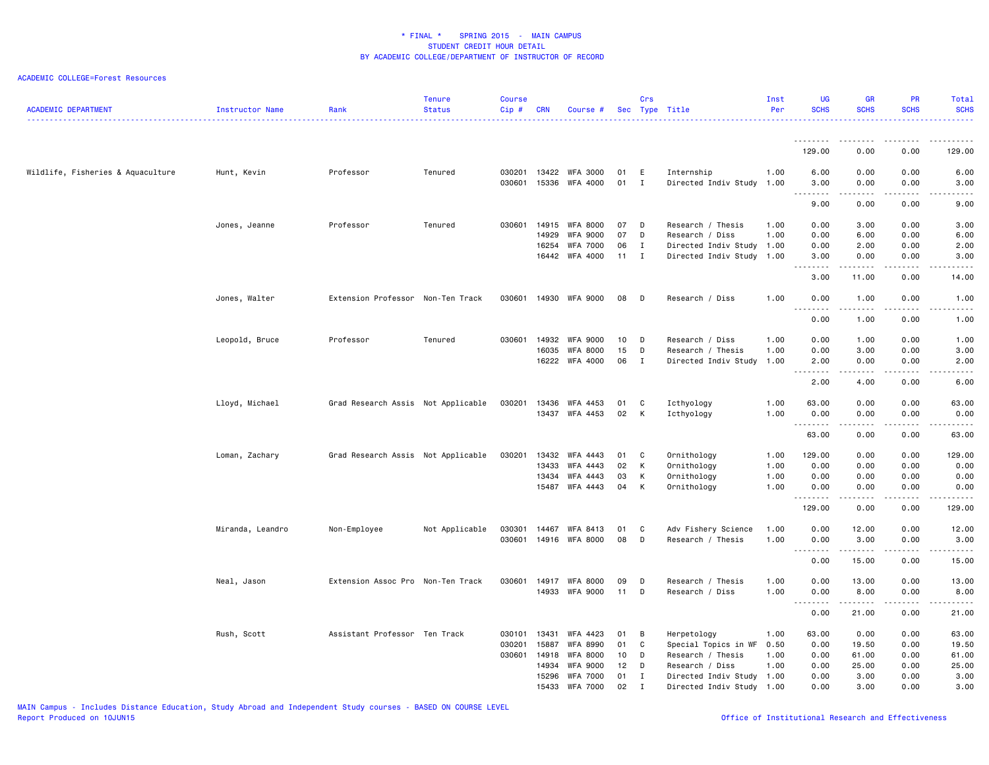| <b>ACADEMIC DEPARTMENT</b>        | Instructor Name  | Rank                               | <b>Tenure</b><br><b>Status</b> | <b>Course</b><br>Cip# | <b>CRN</b>     | Course #                          |          | Crs                         | Sec Type Title                                         | Inst<br>Per  | <b>UG</b><br><b>SCHS</b>                  | <b>GR</b><br><b>SCHS</b>            | <b>PR</b><br><b>SCHS</b>     | <b>Total</b><br><b>SCHS</b> |
|-----------------------------------|------------------|------------------------------------|--------------------------------|-----------------------|----------------|-----------------------------------|----------|-----------------------------|--------------------------------------------------------|--------------|-------------------------------------------|-------------------------------------|------------------------------|-----------------------------|
|                                   |                  |                                    |                                |                       |                |                                   |          |                             |                                                        |              | --------                                  | --------                            | .                            | .                           |
|                                   |                  |                                    |                                |                       |                |                                   |          |                             |                                                        |              | 129.00                                    | 0.00                                | 0.00                         | 129.00                      |
| Wildlife, Fisheries & Aquaculture | Hunt, Kevin      | Professor                          | Tenured                        | 030201<br>030601      | 13422          | <b>WFA 3000</b><br>15336 WFA 4000 | 01<br>01 | E<br>$\mathbf{I}$           | Internship<br>Directed Indiv Study                     | 1.00<br>1.00 | 6.00<br>3.00                              | 0.00<br>0.00                        | 0.00<br>0.00<br>.            | 6.00<br>3.00                |
|                                   |                  |                                    |                                |                       |                |                                   |          |                             |                                                        |              | .<br>9.00                                 | .<br>0.00                           | 0.00                         | $- - - -$<br>9.00           |
|                                   | Jones, Jeanne    | Professor                          | Tenured                        | 030601                | 14915          | <b>WFA 8000</b>                   | 07       | D                           | Research / Thesis                                      | 1.00         | 0.00                                      | 3.00                                | 0.00                         | 3.00                        |
|                                   |                  |                                    |                                |                       | 14929          | <b>WFA 9000</b>                   | 07       | D                           | Research / Diss                                        | 1.00         | 0.00                                      | 6.00                                | 0.00                         | 6.00                        |
|                                   |                  |                                    |                                |                       | 16254<br>16442 | <b>WFA 7000</b><br>WFA 4000       | 06<br>11 | $\mathbf I$<br>$\mathbf{I}$ | Directed Indiv Study 1.00<br>Directed Indiv Study 1.00 |              | 0.00<br>3.00                              | 2.00<br>0.00                        | 0.00<br>0.00                 | 2.00<br>3.00                |
|                                   |                  |                                    |                                |                       |                |                                   |          |                             |                                                        |              | $\sim$ $\sim$ $\sim$ $\sim$ $\sim$        | .                                   | .                            | .                           |
|                                   |                  |                                    |                                |                       |                |                                   |          |                             |                                                        |              | 3.00                                      | 11.00                               | 0.00                         | 14.00                       |
|                                   | Jones, Walter    | Extension Professor Non-Ten Track  |                                | 030601                |                | 14930 WFA 9000                    | 08       | D                           | Research / Diss                                        | 1.00         | 0.00                                      | 1.00                                | 0.00                         | 1.00                        |
|                                   |                  |                                    |                                |                       |                |                                   |          |                             |                                                        |              | 0.00                                      | 1.00                                | 0.00                         | 1.00                        |
|                                   | Leopold, Bruce   | Professor                          | Tenured                        | 030601                | 14932          | <b>WFA 9000</b>                   | 10       | D                           | Research / Diss                                        | 1.00         | 0.00                                      | 1.00                                | 0.00                         | 1.00                        |
|                                   |                  |                                    |                                |                       | 16035          | <b>WFA 8000</b>                   | 15       | D                           | Research / Thesis                                      | 1.00         | 0.00                                      | 3.00                                | 0.00                         | 3.00                        |
|                                   |                  |                                    |                                |                       | 16222          | WFA 4000                          | 06       | $\mathbf{I}$                | Directed Indiv Study                                   | 1.00         | 2.00<br>2.2.2.2.2<br>$\sim$ $\sim$ $\sim$ | 0.00<br>.                           | 0.00<br>.                    | 2.00<br>.                   |
|                                   |                  |                                    |                                |                       |                |                                   |          |                             |                                                        |              | 2.00                                      | 4.00                                | 0.00                         | 6.00                        |
|                                   | Lloyd, Michael   | Grad Research Assis Not Applicable |                                | 030201                | 13436          | WFA 4453                          | 01       | C                           | Icthyology                                             | 1.00         | 63.00                                     | 0.00                                | 0.00                         | 63.00                       |
|                                   |                  |                                    |                                |                       | 13437          | WFA 4453                          | 02       | К                           | Icthyology                                             | 1.00         | 0.00                                      | 0.00<br>.                           | 0.00<br>$\cdots$             | 0.00<br>$\cdots$            |
|                                   |                  |                                    |                                |                       |                |                                   |          |                             |                                                        |              | 63.00                                     | 0.00                                | 0.00                         | 63.00                       |
|                                   | Loman, Zachary   | Grad Research Assis Not Applicable |                                | 030201                | 13432          | WFA 4443                          | 01       | C                           | Ornithology                                            | 1.00         | 129.00                                    | 0.00                                | 0.00                         | 129.00                      |
|                                   |                  |                                    |                                |                       | 13433          | WFA 4443                          | 02       | К                           | Ornithology                                            | 1.00         | 0.00                                      | 0.00                                | 0.00                         | 0.00                        |
|                                   |                  |                                    |                                |                       | 13434          | WFA 4443                          | 03       | К                           | Ornithology                                            | 1.00         | 0.00                                      | 0.00                                | 0.00                         | 0.00                        |
|                                   |                  |                                    |                                |                       | 15487          | WFA 4443                          | 04       | К                           | Ornithology                                            | 1.00         | 0.00<br>.                                 | 0.00<br>$\sim$ $\sim$ $\sim$ $\sim$ | 0.00<br>$\sim$ $\sim$ $\sim$ | 0.00                        |
|                                   |                  |                                    |                                |                       |                |                                   |          |                             |                                                        |              | 129.00                                    | 0.00                                | 0.00                         | 129.00                      |
|                                   | Miranda, Leandro | Non-Employee                       | Not Applicable                 | 030301                | 14467          | WFA 8413                          | 01       | C                           | Adv Fishery Science                                    | 1.00         | 0.00                                      | 12.00                               | 0.00                         | 12.00                       |
|                                   |                  |                                    |                                | 030601                | 14916          | <b>WFA 8000</b>                   | 08       | D                           | Research / Thesis                                      | 1.00         | 0.00                                      | 3.00                                | 0.00                         | 3.00                        |
|                                   |                  |                                    |                                |                       |                |                                   |          |                             |                                                        |              | 0.00                                      | 15.00                               | 0.00                         | 15.00                       |
|                                   | Neal, Jason      | Extension Assoc Pro Non-Ten Track  |                                | 030601                | 14917          | <b>WFA 8000</b>                   | 09       | D                           | Research / Thesis                                      | 1.00         | 0.00                                      | 13.00                               | 0.00                         | 13.00                       |
|                                   |                  |                                    |                                |                       |                | 14933 WFA 9000                    | 11       | D                           | Research / Diss                                        | 1.00         | 0.00                                      | 8.00                                | 0.00                         | 8.00                        |
|                                   |                  |                                    |                                |                       |                |                                   |          |                             |                                                        |              | $\sim$ $\sim$ $\sim$<br>.<br>0.00         | -----<br>21.00                      | .<br>0.00                    | والمناصبات<br>21.00         |
|                                   | Rush, Scott      | Assistant Professor Ten Track      |                                | 030101                | 13431          | WFA 4423                          | 01       | B                           | Herpetology                                            | 1.00         | 63.00                                     | 0.00                                | 0.00                         | 63.00                       |
|                                   |                  |                                    |                                | 030201                | 15887          | <b>WFA 8990</b>                   | 01       | C                           | Special Topics in WF                                   | 0.50         | 0.00                                      | 19.50                               | 0.00                         | 19.50                       |
|                                   |                  |                                    |                                | 030601 14918          |                | <b>WFA 8000</b>                   | 10       | D                           | Research / Thesis                                      | 1.00         | 0.00                                      | 61.00                               | 0.00                         | 61.00                       |
|                                   |                  |                                    |                                |                       | 14934          | <b>WFA 9000</b>                   | 12       | D                           | Research / Diss                                        | 1.00         | 0.00                                      | 25.00                               | 0.00                         | 25.00                       |
|                                   |                  |                                    |                                |                       | 15296          | <b>WFA 7000</b>                   | 01       | <b>I</b>                    | Directed Indiv Study                                   | 1.00         | 0.00                                      | 3.00                                | 0.00                         | 3.00                        |
|                                   |                  |                                    |                                |                       | 15433          | <b>WFA 7000</b>                   | 02       | $\mathbf I$                 | Directed Indiv Study 1.00                              |              | 0.00                                      | 3.00                                | 0.00                         | 3.00                        |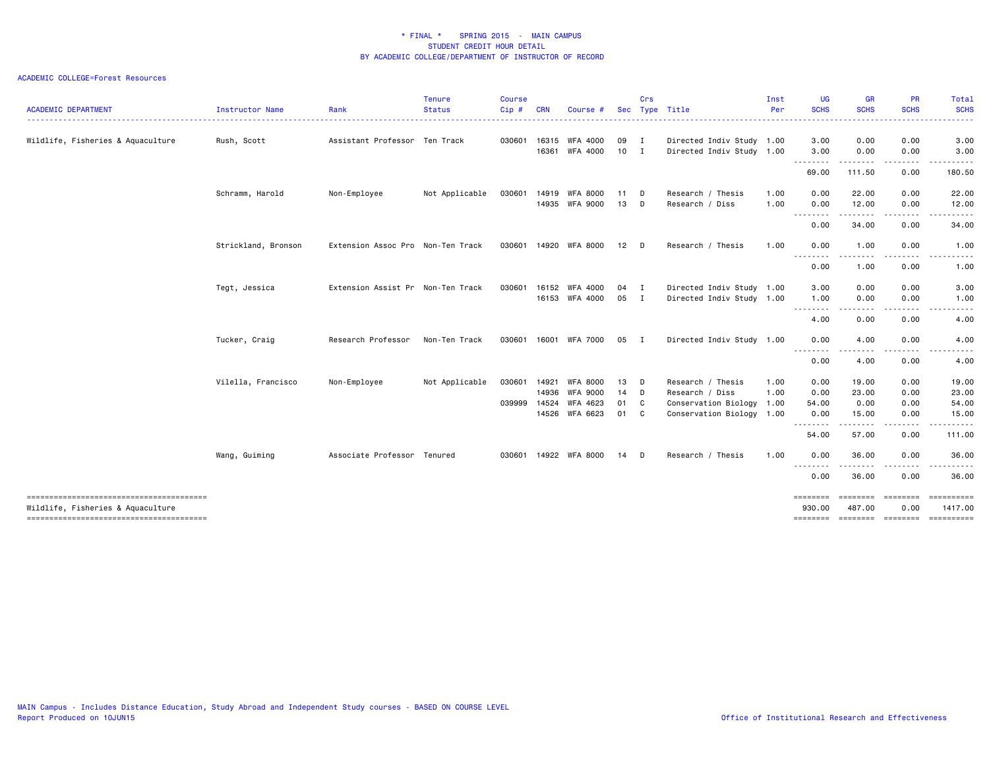| <b>ACADEMIC DEPARTMENT</b>        | Instructor Name     | Rank                              | <b>Tenure</b><br><b>Status</b> | <b>Course</b><br>Cip# | CRN   | Course          | <b>Sec</b> | Crs            | Type Title                | Inst<br>Per | <b>UG</b><br><b>SCHS</b><br>. | <b>GR</b><br><b>SCHS</b>    | PR<br><b>SCHS</b> | <b>Total</b><br><b>SCHS</b><br>. |
|-----------------------------------|---------------------|-----------------------------------|--------------------------------|-----------------------|-------|-----------------|------------|----------------|---------------------------|-------------|-------------------------------|-----------------------------|-------------------|----------------------------------|
| Wildlife, Fisheries & Aquaculture | Rush, Scott         | Assistant Professor Ten Track     |                                | 030601                | 16315 | WFA 4000        | 09 I       |                | Directed Indiv Study 1.00 |             | 3.00                          | 0.00                        | 0.00              | 3.00                             |
|                                   |                     |                                   |                                |                       | 16361 | WFA 4000        | $10$ I     |                | Directed Indiv Study 1.00 |             | 3.00<br>--------              | 0.00                        | 0.00              | 3.00                             |
|                                   |                     |                                   |                                |                       |       |                 |            |                |                           |             | 69.00                         | 111.50                      | 0.00              | 180.50                           |
|                                   | Schramm, Harold     | Non-Employee                      | Not Applicable                 | 030601                | 14919 | <b>WFA 8000</b> | 11         | D              | Research / Thesis         | 1.00        | 0.00                          | 22.00                       | 0.00              | 22.00                            |
|                                   |                     |                                   |                                |                       | 14935 | <b>WFA 9000</b> | 13         | D              | Research / Diss           | 1.00        | 0.00                          | 12.00                       | 0.00              | 12.00                            |
|                                   |                     |                                   |                                |                       |       |                 |            |                |                           |             | --------<br>0.00              | 34.00                       | 0.00              | 34.00                            |
|                                   | Strickland, Bronson | Extension Assoc Pro Non-Ten Track |                                | 030601                | 14920 | WFA 8000        | 12         | D              | Research / Thesis         | 1.00        | 0.00<br><u>.</u>              | 1.00<br>$\frac{1}{2}$       | 0.00<br>.         | 1.00<br>$\cdots$                 |
|                                   |                     |                                   |                                |                       |       |                 |            |                |                           |             | 0.00                          | 1.00                        | 0.00              | 1.00                             |
|                                   | Tegt, Jessica       | Extension Assist Pr Non-Ten Track |                                | 030601                | 16152 | <b>WFA 4000</b> | 04         | $\blacksquare$ | Directed Indiv Study 1.00 |             | 3.00                          | 0.00                        | 0.00              | 3.00                             |
|                                   |                     |                                   |                                |                       | 16153 | WFA 4000        | 05         | $\blacksquare$ | Directed Indiv Study 1.00 |             | 1.00                          | 0.00                        | 0.00              | 1.00                             |
|                                   |                     |                                   |                                |                       |       |                 |            |                |                           |             | 4.00                          | 0.00                        | 0.00              | 4.00                             |
|                                   | Tucker, Craig       | Research Professor                | Non-Ten Track                  | 030601                | 16001 | WFA 7000        | 05         | I.             | Directed Indiv Study 1.00 |             | 0.00                          | 4.00                        | 0.00              | 4.00                             |
|                                   |                     |                                   |                                |                       |       |                 |            |                |                           |             | --------<br>0.00              | ----<br>4.00                | 0.00              | .<br>4.00                        |
|                                   | Vilella, Francisco  | Non-Employee                      | Not Applicable                 | 030601                | 14921 | <b>WFA 8000</b> | 13         | <b>D</b>       | Research / Thesis         | 1.00        | 0.00                          | 19.00                       | 0.00              | 19.00                            |
|                                   |                     |                                   |                                |                       | 14936 | <b>WFA 9000</b> | 14         | $\Box$         | Research / Diss           | 1.00        | 0.00                          | 23.00                       | 0.00              | 23.00                            |
|                                   |                     |                                   |                                | 039999                | 14524 | WFA 4623        | 01         | C              | Conservation Biology 1.00 |             | 54.00                         | 0.00                        | 0.00              | 54.00                            |
|                                   |                     |                                   |                                |                       | 14526 | WFA 6623        | 01         | $\mathbf{C}$   | Conservation Biology 1.00 |             | 0.00<br>.                     | 15.00                       | 0.00              | 15.00                            |
|                                   |                     |                                   |                                |                       |       |                 |            |                |                           |             | 54.00                         | 57.00                       | 0.00              | 111.00                           |
|                                   | Wang, Guiming       | Associate Professor Tenured       |                                | 030601                |       | 14922 WFA 8000  | 14         | D              | Research / Thesis         | 1.00        | 0.00                          | 36.00<br>$- - - -$          | 0.00              | 36.00                            |
|                                   |                     |                                   |                                |                       |       |                 |            |                |                           |             | 0.00                          | 36.00                       | 0.00              | 36.00                            |
| Wildlife, Fisheries & Aquaculture |                     |                                   |                                |                       |       |                 |            |                |                           |             | ========<br>930.00            | $=$ = = = = = = =<br>487.00 | ========<br>0.00  | ==========<br>1417.00            |
|                                   |                     |                                   |                                |                       |       |                 |            |                |                           |             | ========                      | ========                    | ========          | ==========                       |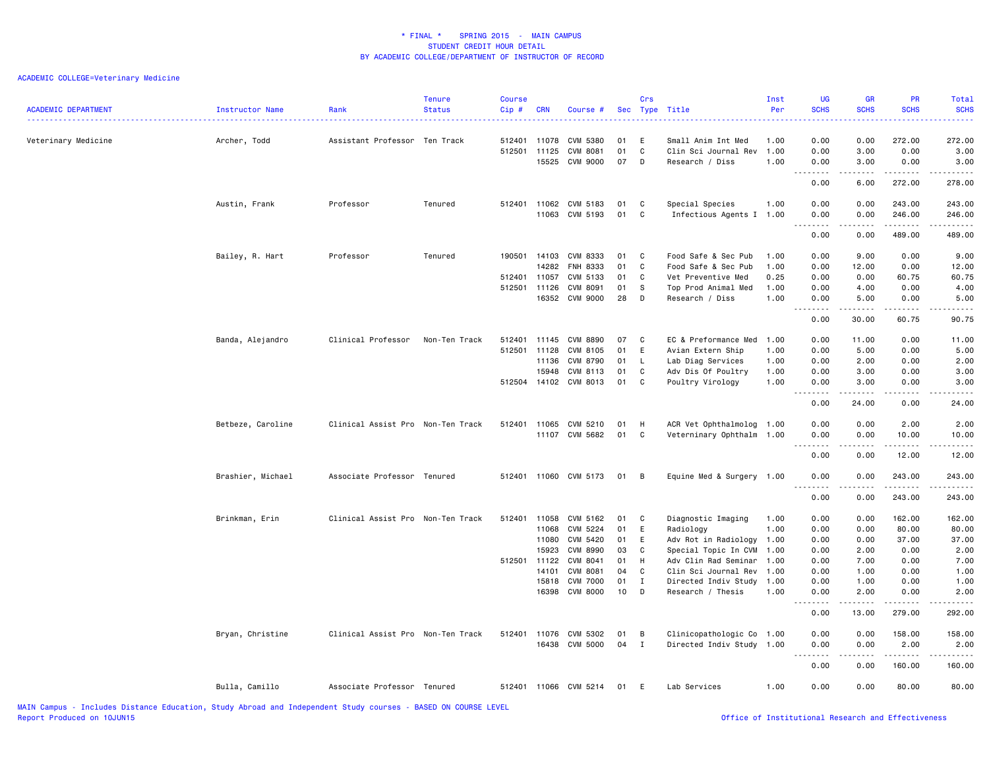| <b>ACADEMIC DEPARTMENT</b> | Instructor Name   | Rank                              | <b>Tenure</b><br><b>Status</b> | <b>Course</b><br>Cip#            | <b>CRN</b>                                                           | Course #                                                                                                          | Sec                                          | Crs                                             | Type Title                                                                                                                                                                        | Inst<br>Per                                          | <b>UG</b><br><b>SCHS</b>                                                                                                          | <b>GR</b><br><b>SCHS</b>                                                                                                                                      | PR<br><b>SCHS</b>                                                               | Total<br><b>SCHS</b><br>$\frac{1}{2} \left( \frac{1}{2} \right) \left( \frac{1}{2} \right) \left( \frac{1}{2} \right) \left( \frac{1}{2} \right)$ |
|----------------------------|-------------------|-----------------------------------|--------------------------------|----------------------------------|----------------------------------------------------------------------|-------------------------------------------------------------------------------------------------------------------|----------------------------------------------|-------------------------------------------------|-----------------------------------------------------------------------------------------------------------------------------------------------------------------------------------|------------------------------------------------------|-----------------------------------------------------------------------------------------------------------------------------------|---------------------------------------------------------------------------------------------------------------------------------------------------------------|---------------------------------------------------------------------------------|---------------------------------------------------------------------------------------------------------------------------------------------------|
| Veterinary Medicine        | Archer, Todd      | Assistant Professor Ten Track     |                                | 512401<br>512501                 | 11078<br>11125<br>15525                                              | CVM 5380<br>CVM 8081<br><b>CVM 9000</b>                                                                           | 01<br>01<br>07                               | E<br>$\mathbb{C}$<br>D                          | Small Anim Int Med<br>Clin Sci Journal Rev<br>Research / Diss                                                                                                                     | 1.00<br>1.00<br>1.00                                 | 0.00<br>0.00<br>0.00                                                                                                              | 0.00<br>3.00<br>3.00                                                                                                                                          | 272.00<br>0.00<br>0.00                                                          | 272.00<br>3.00<br>3.00                                                                                                                            |
|                            |                   |                                   |                                |                                  |                                                                      |                                                                                                                   |                                              |                                                 |                                                                                                                                                                                   |                                                      | .<br>$\sim$ $\sim$<br>0.00                                                                                                        | <b>.</b><br>6.00                                                                                                                                              | .<br>272.00                                                                     | .<br>278.00                                                                                                                                       |
|                            | Austin, Frank     | Professor                         | Tenured                        | 512401                           | 11062<br>11063                                                       | CVM 5183<br>CVM 5193                                                                                              | 01<br>01                                     | C<br>$\mathbf c$                                | Special Species<br>Infectious Agents I 1.00                                                                                                                                       | 1.00                                                 | 0.00<br>0.00                                                                                                                      | 0.00<br>0.00                                                                                                                                                  | 243.00<br>246.00<br><u>.</u>                                                    | 243.00<br>246.00<br><u>.</u>                                                                                                                      |
|                            |                   |                                   |                                |                                  |                                                                      |                                                                                                                   |                                              |                                                 |                                                                                                                                                                                   |                                                      | 0.00                                                                                                                              | 0.00                                                                                                                                                          | 489.00                                                                          | 489.00                                                                                                                                            |
|                            | Bailey, R. Hart   | Professor                         | Tenured                        | 190501<br>512401<br>512501       | 14103<br>14282<br>11057<br>11126<br>16352                            | CVM 8333<br>FNH 8333<br>CVM 5133<br>CVM 8091<br>CVM 9000                                                          | 01<br>01<br>01<br>01<br>28                   | C<br>$\mathbb{C}$<br>C<br>S<br>D                | Food Safe & Sec Pub<br>Food Safe & Sec Pub<br>Vet Preventive Med<br>Top Prod Animal Med<br>Research / Diss                                                                        | 1.00<br>1.00<br>0.25<br>1.00<br>1.00                 | 0.00<br>0.00<br>0.00<br>0.00<br>0.00                                                                                              | 9.00<br>12.00<br>0.00<br>4.00<br>5.00                                                                                                                         | 0.00<br>0.00<br>60.75<br>0.00<br>0.00                                           | 9.00<br>12.00<br>60.75<br>4.00<br>5.00                                                                                                            |
|                            |                   |                                   |                                |                                  |                                                                      |                                                                                                                   |                                              |                                                 |                                                                                                                                                                                   |                                                      | $\frac{1}{2} \left( \frac{1}{2} \right) \left( \frac{1}{2} \right) \left( \frac{1}{2} \right) \left( \frac{1}{2} \right)$<br>0.00 | $\frac{1}{2} \left( \frac{1}{2} \right) \left( \frac{1}{2} \right) \left( \frac{1}{2} \right) \left( \frac{1}{2} \right) \left( \frac{1}{2} \right)$<br>30.00 | .<br>60.75                                                                      | والمناصبات<br>90.75                                                                                                                               |
|                            | Banda, Alejandro  | Clinical Professor                | Non-Ten Track                  | 512401<br>512501<br>512504 14102 | 11145<br>11128<br>11136<br>15948                                     | <b>CVM 8890</b><br>CVM 8105<br>CVM 8790<br>CVM 8113<br>CVM 8013                                                   | 07<br>01<br>01<br>01<br>01                   | C<br>E<br>L.<br>C<br>C                          | EC & Preformance Med<br>Avian Extern Ship<br>Lab Diag Services<br>Adv Dis Of Poultry<br>Poultry Virology                                                                          | 1.00<br>1.00<br>1.00<br>1.00<br>1.00                 | 0.00<br>0.00<br>0.00<br>0.00<br>0.00<br>.                                                                                         | 11.00<br>5.00<br>2.00<br>3.00<br>3.00<br>.                                                                                                                    | 0.00<br>0.00<br>0.00<br>0.00<br>0.00<br>.                                       | 11.00<br>5.00<br>2.00<br>3.00<br>3.00<br>$    -$                                                                                                  |
|                            |                   |                                   |                                |                                  |                                                                      |                                                                                                                   |                                              |                                                 |                                                                                                                                                                                   |                                                      | $\sim$ $\sim$<br>0.00                                                                                                             | 24.00                                                                                                                                                         | 0.00                                                                            | 24.00                                                                                                                                             |
|                            | Betbeze, Caroline | Clinical Assist Pro Non-Ten Track |                                | 512401                           | 11065                                                                | CVM 5210<br>11107 CVM 5682                                                                                        | 01<br>01                                     | H<br>C                                          | ACR Vet Ophthalmolog 1.00<br>Veterninary Ophthalm 1.00                                                                                                                            |                                                      | 0.00<br>0.00<br>$\sim$ $\sim$ $\sim$ $\sim$<br>0.00                                                                               | 0.00<br>0.00<br>.<br>0.00                                                                                                                                     | 2.00<br>10.00<br>.<br>12.00                                                     | 2.00<br>10.00<br>.<br>12.00                                                                                                                       |
|                            | Brashier, Michael | Associate Professor Tenured       |                                | 512401                           |                                                                      | 11060 CVM 5173                                                                                                    | 01                                           | B                                               | Equine Med & Surgery 1.00                                                                                                                                                         |                                                      | 0.00                                                                                                                              | 0.00                                                                                                                                                          | 243.00                                                                          | 243.00                                                                                                                                            |
|                            |                   |                                   |                                |                                  |                                                                      |                                                                                                                   |                                              |                                                 |                                                                                                                                                                                   |                                                      | 0.00                                                                                                                              | 0.00                                                                                                                                                          | 243.00                                                                          | .<br>243.00                                                                                                                                       |
|                            | Brinkman, Erin    | Clinical Assist Pro Non-Ten Track |                                | 512401<br>512501                 | 11058<br>11068<br>11080<br>15923<br>11122<br>14101<br>15818<br>16398 | CVM 5162<br>CVM 5224<br>CVM 5420<br><b>CVM 8990</b><br>CVM 8041<br>CVM 8081<br><b>CVM 7000</b><br><b>CVM 8000</b> | 01<br>01<br>01<br>03<br>01<br>04<br>01<br>10 | C<br>E<br>E<br>C<br>H<br>C<br>$\mathbf{I}$<br>D | Diagnostic Imaging<br>Radiology<br>Adv Rot in Radiology 1.00<br>Special Topic In CVM<br>Adv Clin Rad Seminar<br>Clin Sci Journal Rev<br>Directed Indiv Study<br>Research / Thesis | 1.00<br>1.00<br>1.00<br>1.00<br>1.00<br>1.00<br>1.00 | 0.00<br>0.00<br>0.00<br>0.00<br>0.00<br>0.00<br>0.00<br>0.00<br>.<br>0.00                                                         | 0.00<br>0.00<br>0.00<br>2.00<br>7.00<br>1.00<br>1.00<br>2.00<br>.<br>13.00                                                                                    | 162.00<br>80.00<br>37.00<br>0.00<br>0.00<br>0.00<br>0.00<br>0.00<br>.<br>279.00 | 162.00<br>80.00<br>37.00<br>2.00<br>7.00<br>1.00<br>1.00<br>2.00<br>.<br>292.00                                                                   |
|                            | Bryan, Christine  | Clinical Assist Pro Non-Ten Track |                                | 512401                           | 11076<br>16438                                                       | CVM 5302<br>CVM 5000                                                                                              | 01<br>04                                     | В<br>$\mathbf{I}$                               | Clinicopathologic Co 1.00<br>Directed Indiv Study 1.00                                                                                                                            |                                                      | 0.00<br>0.00                                                                                                                      | 0.00<br>0.00                                                                                                                                                  | 158.00<br>2.00                                                                  | 158.00<br>2.00                                                                                                                                    |
|                            |                   |                                   |                                |                                  |                                                                      |                                                                                                                   |                                              |                                                 |                                                                                                                                                                                   |                                                      | $\sim$ $\sim$<br>.<br>0.00                                                                                                        | 0.00                                                                                                                                                          | .<br>160.00                                                                     | 160.00                                                                                                                                            |
|                            | Bulla, Camillo    | Associate Professor Tenured       |                                | 512401                           |                                                                      | 11066 CVM 5214                                                                                                    | 01                                           | E.                                              | Lab Services                                                                                                                                                                      | 1.00                                                 | 0.00                                                                                                                              | 0.00                                                                                                                                                          | 80.00                                                                           | 80.00                                                                                                                                             |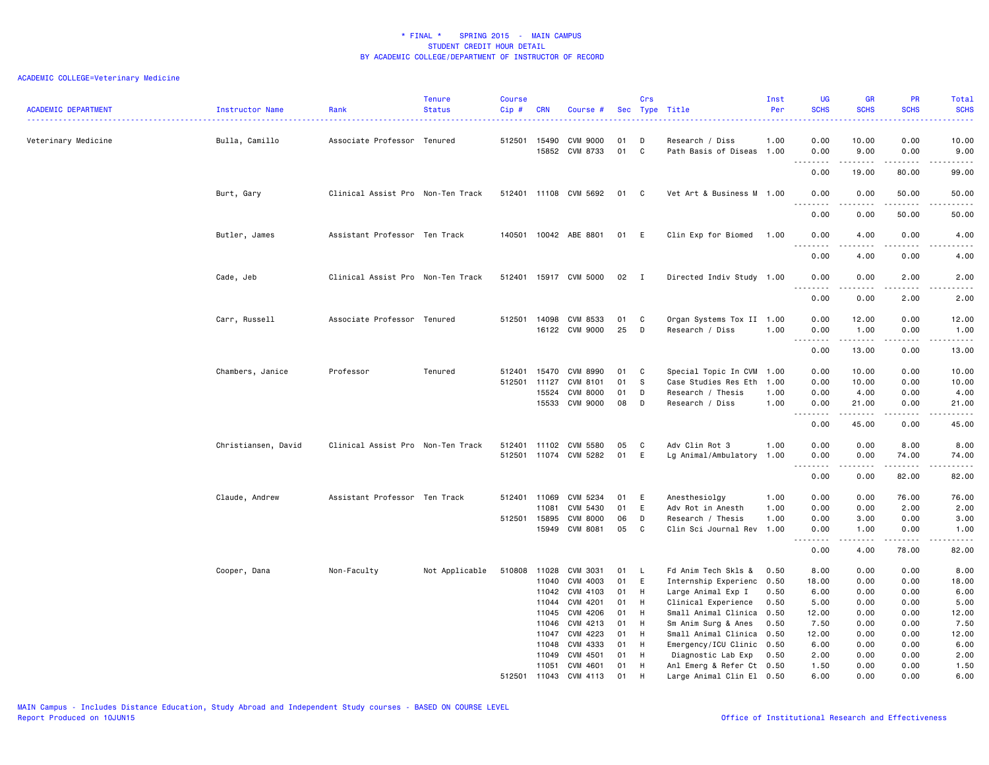| <b>ACADEMIC DEPARTMENT</b> | Instructor Name     | Rank                              | <b>Tenure</b><br><b>Status</b> | <b>Course</b><br>Cip# | <b>CRN</b>     | Course #              |          | Crs            | Sec Type Title                                         | Inst<br>Per | UG<br><b>SCHS</b><br>222                                                                                                                           | <b>GR</b><br><b>SCHS</b>                                                                                                                                     | PR<br><b>SCHS</b>                                                                                      | Total<br><b>SCHS</b><br>المحامية                                                                                                                              |
|----------------------------|---------------------|-----------------------------------|--------------------------------|-----------------------|----------------|-----------------------|----------|----------------|--------------------------------------------------------|-------------|----------------------------------------------------------------------------------------------------------------------------------------------------|--------------------------------------------------------------------------------------------------------------------------------------------------------------|--------------------------------------------------------------------------------------------------------|---------------------------------------------------------------------------------------------------------------------------------------------------------------|
| Veterinary Medicine        | Bulla, Camillo      | Associate Professor Tenured       |                                |                       | 512501 15490   | CVM 9000              | 01       | D              | Research / Diss                                        | 1.00        | 0.00                                                                                                                                               | 10.00                                                                                                                                                        | 0.00                                                                                                   | 10.00                                                                                                                                                         |
|                            |                     |                                   |                                |                       | 15852          | CVM 8733              | 01       | C              | Path Basis of Diseas 1.00                              |             | 0.00<br>.                                                                                                                                          | 9.00<br>.                                                                                                                                                    | 0.00                                                                                                   | 9.00<br>$\sim$ $\sim$ $\sim$ $\sim$                                                                                                                           |
|                            |                     |                                   |                                |                       |                |                       |          |                |                                                        |             | 0.00                                                                                                                                               | 19.00                                                                                                                                                        | 80.00                                                                                                  | 99.00                                                                                                                                                         |
|                            | Burt, Gary          | Clinical Assist Pro Non-Ten Track |                                |                       |                | 512401 11108 CVM 5692 | 01       | $\mathbf{C}$   | Vet Art & Business M 1.00                              |             | 0.00                                                                                                                                               | 0.00                                                                                                                                                         | 50.00                                                                                                  | 50.00<br>$\frac{1}{2}$                                                                                                                                        |
|                            |                     |                                   |                                |                       |                |                       |          |                |                                                        |             | 0.00                                                                                                                                               | 0.00                                                                                                                                                         | 50.00                                                                                                  | 50.00                                                                                                                                                         |
|                            | Butler, James       | Assistant Professor Ten Track     |                                |                       |                | 140501 10042 ABE 8801 | 01 E     |                | Clin Exp for Biomed 1.00                               |             | 0.00<br>$\sim$ $\sim$ $\sim$<br>.                                                                                                                  | 4.00                                                                                                                                                         | 0.00                                                                                                   | 4.00                                                                                                                                                          |
|                            |                     |                                   |                                |                       |                |                       |          |                |                                                        |             | 0.00                                                                                                                                               | -----<br>4.00                                                                                                                                                | .<br>0.00                                                                                              | -----<br>4.00                                                                                                                                                 |
|                            | Cade, Jeb           | Clinical Assist Pro Non-Ten Track |                                |                       |                | 512401 15917 CVM 5000 | 02       | $\blacksquare$ | Directed Indiv Study 1.00                              |             | 0.00<br>.                                                                                                                                          | 0.00<br>$\frac{1}{2} \left( \frac{1}{2} \right) \left( \frac{1}{2} \right) \left( \frac{1}{2} \right) \left( \frac{1}{2} \right) \left( \frac{1}{2} \right)$ | 2.00<br>.                                                                                              | 2.00<br>$\frac{1}{2} \left( \frac{1}{2} \right) \left( \frac{1}{2} \right) \left( \frac{1}{2} \right) \left( \frac{1}{2} \right) \left( \frac{1}{2} \right)$  |
|                            |                     |                                   |                                |                       |                |                       |          |                |                                                        |             | 0.00                                                                                                                                               | 0.00                                                                                                                                                         | 2.00                                                                                                   | 2.00                                                                                                                                                          |
|                            | Carr, Russell       | Associate Professor Tenured       |                                | 512501                | 14098          | CVM 8533              | 01       | C              | Organ Systems Tox II 1.00                              |             | 0.00                                                                                                                                               | 12.00                                                                                                                                                        | 0.00                                                                                                   | 12.00                                                                                                                                                         |
|                            |                     |                                   |                                |                       |                | 16122 CVM 9000        | 25       | D              | Research / Diss                                        | 1.00        | 0.00<br>$\sim$ $\sim$<br>$\sim$ $\sim$ $\sim$                                                                                                      | 1.00<br>$\frac{1}{2} \left( \frac{1}{2} \right) \left( \frac{1}{2} \right) \left( \frac{1}{2} \right) \left( \frac{1}{2} \right) \left( \frac{1}{2} \right)$ | 0.00<br>$\frac{1}{2} \left( \frac{1}{2} \right) \left( \frac{1}{2} \right) \left( \frac{1}{2} \right)$ | 1.00<br>$\frac{1}{2} \left( \frac{1}{2} \right) \left( \frac{1}{2} \right) \left( \frac{1}{2} \right) \left( \frac{1}{2} \right) \left( \frac{1}{2} \right)$  |
|                            |                     |                                   |                                |                       |                |                       |          |                |                                                        |             | 0.00                                                                                                                                               | 13.00                                                                                                                                                        | 0.00                                                                                                   | 13.00                                                                                                                                                         |
|                            | Chambers, Janice    | Professor                         | Tenured                        | 512401                | 15470          | CVM 8990              | 01       | C              | Special Topic In CVM 1.00                              |             | 0.00                                                                                                                                               | 10.00                                                                                                                                                        | 0.00                                                                                                   | 10.00                                                                                                                                                         |
|                            |                     |                                   |                                | 512501                | 11127          | CVM 8101              | 01       | - S            | Case Studies Res Eth                                   | 1.00        | 0.00                                                                                                                                               | 10.00                                                                                                                                                        | 0.00                                                                                                   | 10.00                                                                                                                                                         |
|                            |                     |                                   |                                |                       | 15524          | <b>CVM 8000</b>       | 01       | D              | Research / Thesis                                      | 1.00        | 0.00                                                                                                                                               | 4.00                                                                                                                                                         | 0.00                                                                                                   | 4.00                                                                                                                                                          |
|                            |                     |                                   |                                |                       | 15533          | CVM 9000              | 08       | D              | Research / Diss                                        | 1.00        | 0.00                                                                                                                                               | 21.00<br>.                                                                                                                                                   | 0.00<br>.                                                                                              | 21.00<br>.                                                                                                                                                    |
|                            |                     |                                   |                                |                       |                |                       |          |                |                                                        |             | 0.00                                                                                                                                               | 45.00                                                                                                                                                        | 0.00                                                                                                   | 45.00                                                                                                                                                         |
|                            | Christiansen, David | Clinical Assist Pro Non-Ten Track |                                |                       |                | 512401 11102 CVM 5580 | 05       | C              | Adv Clin Rot 3                                         | 1.00        | 0.00                                                                                                                                               | 0.00                                                                                                                                                         | 8.00                                                                                                   | 8.00                                                                                                                                                          |
|                            |                     |                                   |                                |                       |                | 512501 11074 CVM 5282 | 01       | E              | Lg Animal/Ambulatory 1.00                              |             | 0.00                                                                                                                                               | 0.00                                                                                                                                                         | 74.00                                                                                                  | 74.00                                                                                                                                                         |
|                            |                     |                                   |                                |                       |                |                       |          |                |                                                        |             | $\frac{1}{2}$<br>$\frac{1}{2} \left( \frac{1}{2} \right) \left( \frac{1}{2} \right) \left( \frac{1}{2} \right) \left( \frac{1}{2} \right)$<br>0.00 | .<br>0.00                                                                                                                                                    | .<br>82.00                                                                                             | $\frac{1}{2} \left( \frac{1}{2} \right) \left( \frac{1}{2} \right) \left( \frac{1}{2} \right) \left( \frac{1}{2} \right) \left( \frac{1}{2} \right)$<br>82.00 |
|                            | Claude, Andrew      | Assistant Professor Ten Track     |                                |                       | 512401 11069   | CVM 5234              | 01       | E              | Anesthesiolgy                                          | 1.00        | 0.00                                                                                                                                               | 0.00                                                                                                                                                         | 76.00                                                                                                  | 76.00                                                                                                                                                         |
|                            |                     |                                   |                                |                       | 11081          | CVM 5430              | 01       | E              | Adv Rot in Anesth                                      | 1.00        | 0.00                                                                                                                                               | 0.00                                                                                                                                                         | 2.00                                                                                                   | 2.00                                                                                                                                                          |
|                            |                     |                                   |                                | 512501 15895          |                | <b>CVM 8000</b>       | 06       | D              | Research / Thesis                                      | 1.00        | 0.00                                                                                                                                               | 3.00                                                                                                                                                         | 0.00                                                                                                   | 3.00                                                                                                                                                          |
|                            |                     |                                   |                                |                       | 15949          | CVM 8081              | 05       | C              | Clin Sci Journal Rev 1.00                              |             | 0.00                                                                                                                                               | 1.00                                                                                                                                                         | 0.00                                                                                                   | 1.00                                                                                                                                                          |
|                            |                     |                                   |                                |                       |                |                       |          |                |                                                        |             | 0.00                                                                                                                                               | $\frac{1}{2} \left( \frac{1}{2} \right) \left( \frac{1}{2} \right) \left( \frac{1}{2} \right) \left( \frac{1}{2} \right) \left( \frac{1}{2} \right)$<br>4.00 | 22222<br>78.00                                                                                         | $\frac{1}{2} \left( \frac{1}{2} \right) \left( \frac{1}{2} \right) \left( \frac{1}{2} \right) \left( \frac{1}{2} \right) \left( \frac{1}{2} \right)$<br>82.00 |
|                            | Cooper, Dana        | Non-Faculty                       | Not Applicable                 | 510808                | 11028          | CVM 3031              | 01       | L.             | Fd Anim Tech Skls &                                    | 0.50        | 8.00                                                                                                                                               | 0.00                                                                                                                                                         | 0.00                                                                                                   | 8.00                                                                                                                                                          |
|                            |                     |                                   |                                |                       | 11040          | CVM 4003              | 01       | E              | Internship Experienc 0.50                              |             | 18.00                                                                                                                                              | 0.00                                                                                                                                                         | 0.00                                                                                                   | 18.00                                                                                                                                                         |
|                            |                     |                                   |                                |                       | 11042          | CVM 4103              | 01       | H              | Large Animal Exp I                                     | 0.50        | 6.00                                                                                                                                               | 0.00                                                                                                                                                         | 0.00                                                                                                   | 6.00                                                                                                                                                          |
|                            |                     |                                   |                                |                       | 11044          | CVM 4201              | 01       | H              | Clinical Experience                                    | 0.50        | 5.00                                                                                                                                               | 0.00                                                                                                                                                         | 0.00                                                                                                   | 5.00                                                                                                                                                          |
|                            |                     |                                   |                                |                       | 11045          | CVM 4206              | 01       | H              | Small Animal Clinica 0.50                              |             | 12.00                                                                                                                                              | 0.00                                                                                                                                                         | 0.00                                                                                                   | 12.00                                                                                                                                                         |
|                            |                     |                                   |                                |                       | 11046          | CVM 4213<br>CVM 4223  | 01       | H              | Sm Anim Surg & Anes                                    | 0.50        | 7.50                                                                                                                                               | 0.00                                                                                                                                                         | 0.00<br>0.00                                                                                           | 7.50                                                                                                                                                          |
|                            |                     |                                   |                                |                       | 11047<br>11048 | CVM 4333              | 01<br>01 | H<br>H         | Small Animal Clinica 0.50<br>Emergency/ICU Clinic 0.50 |             | 12.00<br>6.00                                                                                                                                      | 0.00<br>0.00                                                                                                                                                 | 0.00                                                                                                   | 12.00<br>6.00                                                                                                                                                 |
|                            |                     |                                   |                                |                       | 11049          | CVM 4501              | 01       | H              | Diagnostic Lab Exp                                     | 0.50        | 2.00                                                                                                                                               | 0.00                                                                                                                                                         | 0.00                                                                                                   | 2.00                                                                                                                                                          |
|                            |                     |                                   |                                |                       | 11051          | CVM 4601              | 01       | H              | Anl Emerg & Refer Ct 0.50                              |             | 1.50                                                                                                                                               | 0.00                                                                                                                                                         | 0.00                                                                                                   | 1.50                                                                                                                                                          |
|                            |                     |                                   |                                | 512501                | 11043          | CVM 4113              | 01       | H              | Large Animal Clin El 0.50                              |             | 6.00                                                                                                                                               | 0.00                                                                                                                                                         | 0.00                                                                                                   | 6.00                                                                                                                                                          |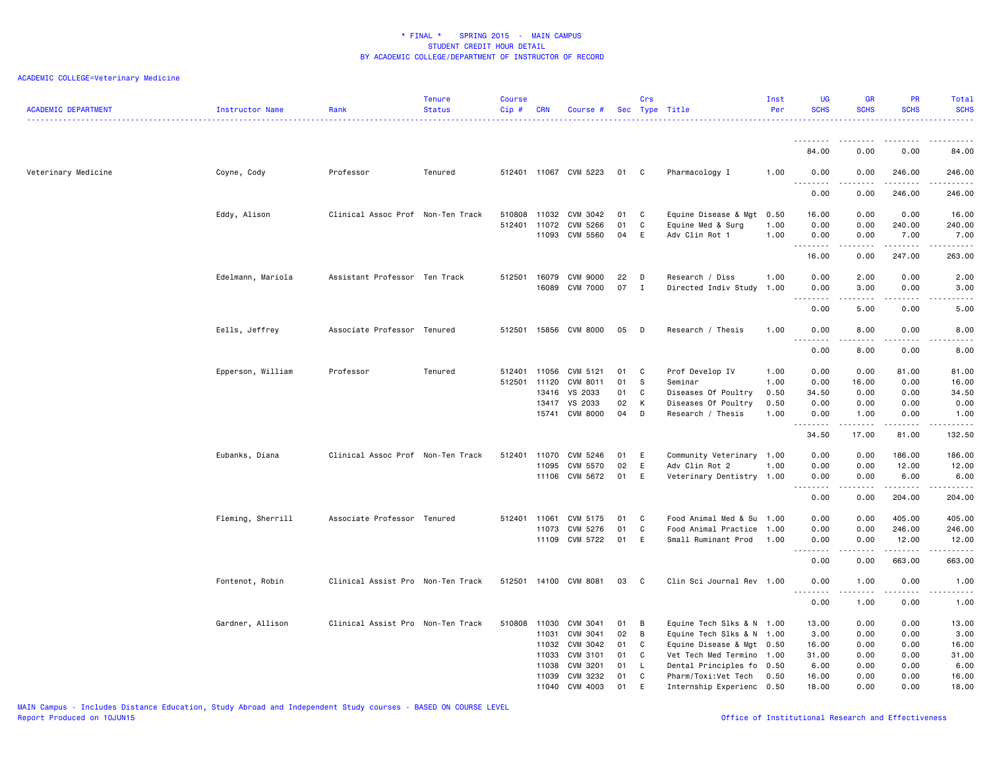| <b>ACADEMIC DEPARTMENT</b> | Instructor Name   | Rank                              | <b>Tenure</b><br><b>Status</b> | <b>Course</b><br>Cip# | <b>CRN</b>     | Course #              |          | Crs          | Sec Type Title                      | Inst<br>Per  | <b>UG</b><br><b>SCHS</b>                      | <b>GR</b><br><b>SCHS</b>                                                                                                                                     | PR<br><b>SCHS</b>                                                                                                                                            | Total<br><b>SCHS</b>                                                                                        |
|----------------------------|-------------------|-----------------------------------|--------------------------------|-----------------------|----------------|-----------------------|----------|--------------|-------------------------------------|--------------|-----------------------------------------------|--------------------------------------------------------------------------------------------------------------------------------------------------------------|--------------------------------------------------------------------------------------------------------------------------------------------------------------|-------------------------------------------------------------------------------------------------------------|
|                            |                   |                                   |                                |                       |                |                       |          |              |                                     |              | .                                             |                                                                                                                                                              |                                                                                                                                                              |                                                                                                             |
|                            |                   |                                   |                                |                       |                |                       |          |              |                                     |              | 84.00                                         | 0.00                                                                                                                                                         | 0.00                                                                                                                                                         | 84.00                                                                                                       |
| Veterinary Medicine        | Coyne, Cody       | Professor                         | Tenured                        |                       |                | 512401 11067 CVM 5223 | 01       | C            | Pharmacology I                      | 1.00         | 0.00<br><u>.</u>                              | 0.00                                                                                                                                                         | 246.00<br><u>.</u>                                                                                                                                           | 246.00<br><u>.</u>                                                                                          |
|                            |                   |                                   |                                |                       |                |                       |          |              |                                     |              | 0.00                                          | 0.00                                                                                                                                                         | 246.00                                                                                                                                                       | 246.00                                                                                                      |
|                            | Eddy, Alison      | Clinical Assoc Prof Non-Ten Track |                                | 510808                | 11032          | CVM 3042              | 01       | C            | Equine Disease & Mgt                | 0.50         | 16.00                                         | 0.00                                                                                                                                                         | 0.00                                                                                                                                                         | 16.00                                                                                                       |
|                            |                   |                                   |                                | 512401                | 11072<br>11093 | CVM 5266<br>CVM 5560  | 01<br>04 | C<br>E       | Equine Med & Surg<br>Adv Clin Rot 1 | 1.00<br>1.00 | 0.00<br>0.00                                  | 0.00<br>0.00                                                                                                                                                 | 240.00<br>7.00                                                                                                                                               | 240.00<br>7.00                                                                                              |
|                            |                   |                                   |                                |                       |                |                       |          |              |                                     |              | .                                             |                                                                                                                                                              | .                                                                                                                                                            | $\begin{array}{cccccccccc} \bullet & \bullet & \bullet & \bullet & \bullet & \bullet & \bullet \end{array}$ |
|                            |                   |                                   |                                |                       |                |                       |          |              |                                     |              | 16.00                                         | 0.00                                                                                                                                                         | 247.00                                                                                                                                                       | 263.00                                                                                                      |
|                            | Edelmann, Mariola | Assistant Professor Ten Track     |                                | 512501 16079          |                | CVM 9000              | 22       | D            | Research / Diss                     | 1.00         | 0.00                                          | 2.00                                                                                                                                                         | 0.00                                                                                                                                                         | 2.00                                                                                                        |
|                            |                   |                                   |                                |                       | 16089          | <b>CVM 7000</b>       | 07       | $\mathbf I$  | Directed Indiv Study 1.00           |              | 0.00<br>$\sim$ $\sim$ $\sim$<br>$\sim$ $\sim$ | 3.00<br>.                                                                                                                                                    | 0.00<br>.                                                                                                                                                    | 3.00<br>.                                                                                                   |
|                            |                   |                                   |                                |                       |                |                       |          |              |                                     |              | 0.00                                          | 5.00                                                                                                                                                         | 0.00                                                                                                                                                         | 5.00                                                                                                        |
|                            | Eells, Jeffrey    | Associate Professor Tenured       |                                | 512501                |                | 15856 CVM 8000        | 05       | D            | Research / Thesis                   | 1.00         | 0.00                                          | 8.00                                                                                                                                                         | 0.00                                                                                                                                                         | 8.00                                                                                                        |
|                            |                   |                                   |                                |                       |                |                       |          |              |                                     |              | د د د د<br>$ -$<br>0.00                       | .<br>8.00                                                                                                                                                    | $\sim$ $\sim$ $\sim$ $\sim$<br>0.00                                                                                                                          | .<br>8.00                                                                                                   |
|                            | Epperson, William | Professor                         | Tenured                        | 512401                | 11056          | CVM 5121              | 01       | C.           | Prof Develop IV                     | 1.00         | 0.00                                          | 0.00                                                                                                                                                         | 81.00                                                                                                                                                        | 81.00                                                                                                       |
|                            |                   |                                   |                                | 512501                | 11120          | CVM 8011              | 01       | s            | Seminar                             | 1.00         | 0.00                                          | 16.00                                                                                                                                                        | 0.00                                                                                                                                                         | 16.00                                                                                                       |
|                            |                   |                                   |                                |                       | 13416          | VS 2033               | 01       | C            | Diseases Of Poultry                 | 0.50         | 34.50                                         | 0.00                                                                                                                                                         | 0.00                                                                                                                                                         | 34.50                                                                                                       |
|                            |                   |                                   |                                |                       | 13417          | VS 2033               | 02       | K            | Diseases Of Poultry                 | 0.50         | 0.00                                          | 0.00                                                                                                                                                         | 0.00                                                                                                                                                         | 0.00                                                                                                        |
|                            |                   |                                   |                                |                       | 15741          | CVM 8000              | 04       | D            | Research / Thesis                   | 1.00         | 0.00<br>.                                     | 1.00<br>$\frac{1}{2} \left( \frac{1}{2} \right) \left( \frac{1}{2} \right) \left( \frac{1}{2} \right) \left( \frac{1}{2} \right) \left( \frac{1}{2} \right)$ | 0.00<br>$\frac{1}{2} \left( \frac{1}{2} \right) \left( \frac{1}{2} \right) \left( \frac{1}{2} \right) \left( \frac{1}{2} \right) \left( \frac{1}{2} \right)$ | 1.00<br><u>.</u>                                                                                            |
|                            |                   |                                   |                                |                       |                |                       |          |              |                                     |              | 34.50                                         | 17.00                                                                                                                                                        | 81.00                                                                                                                                                        | 132.50                                                                                                      |
|                            | Eubanks, Diana    | Clinical Assoc Prof Non-Ten Track |                                | 512401                | 11070          | CVM 5246              | 01       | E            | Community Veterinary 1.00           |              | 0.00                                          | 0.00                                                                                                                                                         | 186.00                                                                                                                                                       | 186.00                                                                                                      |
|                            |                   |                                   |                                |                       | 11095          | CVM 5570              | 02       | E            | Adv Clin Rot 2                      | 1.00         | 0.00                                          | 0.00                                                                                                                                                         | 12.00                                                                                                                                                        | 12.00                                                                                                       |
|                            |                   |                                   |                                |                       | 11106          | CVM 5672              | 01       | E            | Veterinary Dentistry 1.00           |              | 0.00<br>$\sim$ $\sim$ $\sim$<br>.             | 0.00                                                                                                                                                         | 6.00<br>$- - - - -$                                                                                                                                          | 6.00<br>.                                                                                                   |
|                            |                   |                                   |                                |                       |                |                       |          |              |                                     |              | 0.00                                          | 0.00                                                                                                                                                         | 204.00                                                                                                                                                       | 204.00                                                                                                      |
|                            | Fleming, Sherrill | Associate Professor Tenured       |                                | 512401 11061          |                | CVM 5175              | 01       | C.           | Food Animal Med & Su 1.00           |              | 0.00                                          | 0.00                                                                                                                                                         | 405.00                                                                                                                                                       | 405.00                                                                                                      |
|                            |                   |                                   |                                |                       | 11073          | CVM 5276              | 01       | C            | Food Animal Practice 1.00           |              | 0.00                                          | 0.00                                                                                                                                                         | 246.00                                                                                                                                                       | 246.00                                                                                                      |
|                            |                   |                                   |                                |                       | 11109          | CVM 5722              | 01       | E            | Small Ruminant Prod                 | 1.00         | 0.00<br>.<br>$\sim$ $\sim$ $\sim$             | 0.00                                                                                                                                                         | 12.00<br>.                                                                                                                                                   | 12.00<br>.                                                                                                  |
|                            |                   |                                   |                                |                       |                |                       |          |              |                                     |              | 0.00                                          | 0.00                                                                                                                                                         | 663.00                                                                                                                                                       | 663.00                                                                                                      |
|                            | Fontenot, Robin   | Clinical Assist Pro Non-Ten Track |                                |                       |                | 512501 14100 CVM 8081 | 03       | $\mathbf{C}$ | Clin Sci Journal Rev 1.00           |              | 0.00                                          | 1.00                                                                                                                                                         | 0.00                                                                                                                                                         | 1.00                                                                                                        |
|                            |                   |                                   |                                |                       |                |                       |          |              |                                     |              | 22<br>0.00                                    | 1.00                                                                                                                                                         | 0.00                                                                                                                                                         | $\frac{1}{2}$<br>1.00                                                                                       |
|                            | Gardner, Allison  | Clinical Assist Pro Non-Ten Track |                                | 510808                | 11030          | CVM 3041              | 01       | B            | Equine Tech Slks & N 1.00           |              | 13.00                                         | 0.00                                                                                                                                                         | 0.00                                                                                                                                                         | 13.00                                                                                                       |
|                            |                   |                                   |                                |                       | 11031          | CVM 3041              | 02       | B            | Equine Tech Slks & N 1.00           |              | 3.00                                          | 0.00                                                                                                                                                         | 0.00                                                                                                                                                         | 3.00                                                                                                        |
|                            |                   |                                   |                                |                       | 11032          | CVM 3042              | 01       | C            | Equine Disease & Mgt 0.50           |              | 16.00                                         | 0.00                                                                                                                                                         | 0.00                                                                                                                                                         | 16.00                                                                                                       |
|                            |                   |                                   |                                |                       | 11033          | CVM 3101              | 01       | C            | Vet Tech Med Termino 1.00           |              | 31.00                                         | 0.00                                                                                                                                                         | 0.00                                                                                                                                                         | 31.00                                                                                                       |
|                            |                   |                                   |                                |                       | 11038          | CVM 3201              | 01       | L.           | Dental Principles fo 0.50           |              | 6.00                                          | 0.00                                                                                                                                                         | 0.00                                                                                                                                                         | 6.00                                                                                                        |
|                            |                   |                                   |                                |                       | 11039<br>11040 | CVM 3232<br>CVM 4003  | 01<br>01 | C<br>E       | Pharm/Toxi:Vet Tech                 | 0.50         | 16.00<br>18.00                                | 0.00<br>0.00                                                                                                                                                 | 0.00<br>0.00                                                                                                                                                 | 16.00<br>18.00                                                                                              |
|                            |                   |                                   |                                |                       |                |                       |          |              | Internship Experienc 0.50           |              |                                               |                                                                                                                                                              |                                                                                                                                                              |                                                                                                             |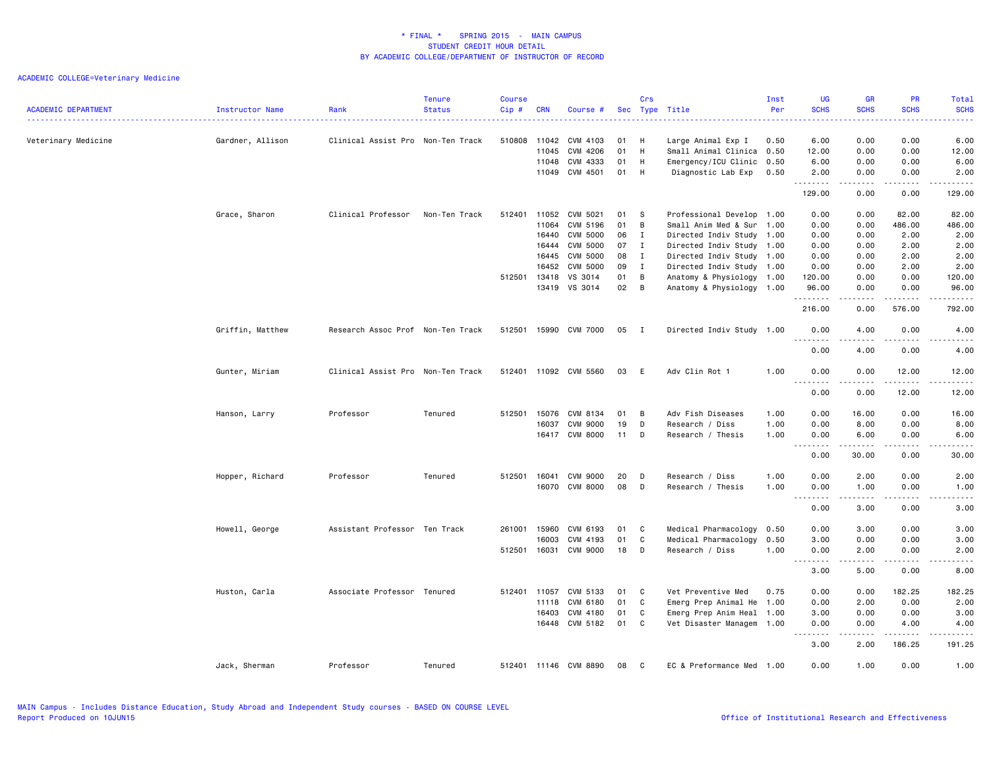| <b>ACADEMIC DEPARTMENT</b> | Instructor Name  | Rank                              | <b>Tenure</b><br><b>Status</b> | <b>Course</b><br>$Cip$ # | <b>CRN</b> | Course #              |      | Crs            | Sec Type Title            | Inst<br>Per | <b>UG</b><br><b>SCHS</b>   | <b>GR</b><br><b>SCHS</b> | <b>PR</b><br><b>SCHS</b> | Total<br><b>SCHS</b>                                                                                                                                         |
|----------------------------|------------------|-----------------------------------|--------------------------------|--------------------------|------------|-----------------------|------|----------------|---------------------------|-------------|----------------------------|--------------------------|--------------------------|--------------------------------------------------------------------------------------------------------------------------------------------------------------|
| Veterinary Medicine        | Gardner, Allison | Clinical Assist Pro Non-Ten Track |                                | 510808                   | 11042      | CVM 4103              | 01   | H              | Large Animal Exp I        | 0.50        | 6.00                       | 0.00                     | 0.00                     | 6.00                                                                                                                                                         |
|                            |                  |                                   |                                |                          | 11045      | CVM 4206              | 01   | H              | Small Animal Clinica      | 0.50        | 12.00                      | 0.00                     | 0.00                     | 12.00                                                                                                                                                        |
|                            |                  |                                   |                                |                          | 11048      | CVM 4333              | 01   | H              | Emergency/ICU Clinic 0.50 |             | 6.00                       | 0.00                     | 0.00                     | 6.00                                                                                                                                                         |
|                            |                  |                                   |                                |                          | 11049      | CVM 4501              | 01   | H              | Diagnostic Lab Exp        | 0.50        | 2.00<br>.                  | 0.00<br>.                | 0.00<br>.                | 2.00<br>.                                                                                                                                                    |
|                            |                  |                                   |                                |                          |            |                       |      |                |                           |             | 129.00                     | 0.00                     | 0.00                     | 129.00                                                                                                                                                       |
|                            | Grace, Sharon    | Clinical Professor                | Non-Ten Track                  | 512401                   | 11052      | CVM 5021              | 01   | - S            | Professional Develop 1.00 |             | 0.00                       | 0.00                     | 82.00                    | 82.00                                                                                                                                                        |
|                            |                  |                                   |                                |                          | 11064      | CVM 5196              | 01   | B              | Small Anim Med & Sur      | 1.00        | 0.00                       | 0.00                     | 486.00                   | 486.00                                                                                                                                                       |
|                            |                  |                                   |                                |                          | 16440      | CVM 5000              | 06   | $\mathbf{I}$   | Directed Indiv Study 1.00 |             | 0.00                       | 0.00                     | 2.00                     | 2.00                                                                                                                                                         |
|                            |                  |                                   |                                |                          | 16444      | CVM 5000              | 07   | $\mathbf{I}$   | Directed Indiv Study 1.00 |             | 0.00                       | 0.00                     | 2.00                     | 2.00                                                                                                                                                         |
|                            |                  |                                   |                                |                          | 16445      | <b>CVM 5000</b>       | 08   | $\mathbf{I}$   | Directed Indiv Study 1.00 |             | 0.00                       | 0.00                     | 2.00                     | 2.00                                                                                                                                                         |
|                            |                  |                                   |                                |                          | 16452      | CVM 5000              | 09   | $\mathbf{I}$   | Directed Indiv Study 1.00 |             | 0.00                       | 0.00                     | 2.00                     | 2.00                                                                                                                                                         |
|                            |                  |                                   |                                | 512501                   | 13418      | VS 3014               | 01   | B              | Anatomy & Physiology 1.00 |             | 120.00                     | 0.00                     | 0.00                     | 120.00                                                                                                                                                       |
|                            |                  |                                   |                                |                          | 13419      | VS 3014               | 02   | $\overline{B}$ | Anatomy & Physiology 1.00 |             | 96.00<br>.                 | 0.00                     | 0.00<br>.                | 96.00<br>.                                                                                                                                                   |
|                            |                  |                                   |                                |                          |            |                       |      |                |                           |             | 216.00                     | 0.00                     | 576.00                   | 792.00                                                                                                                                                       |
|                            | Griffin, Matthew | Research Assoc Prof Non-Ten Track |                                | 512501                   | 15990      | CVM 7000              | 05 I |                | Directed Indiv Study 1.00 |             | 0.00                       | 4.00                     | 0.00                     | 4.00                                                                                                                                                         |
|                            |                  |                                   |                                |                          |            |                       |      |                |                           |             | .<br>0.00                  | $- - - - -$<br>4.00      | .<br>0.00                | المتمامين<br>4.00                                                                                                                                            |
|                            | Gunter, Miriam   | Clinical Assist Pro Non-Ten Track |                                |                          |            | 512401 11092 CVM 5560 | 03 E |                | Adv Clin Rot 1            | 1.00        | 0.00                       | 0.00                     | 12.00                    | 12.00                                                                                                                                                        |
|                            |                  |                                   |                                |                          |            |                       |      |                |                           |             | $\sim$ $\sim$<br>0.00      | 0.00                     | 12.00                    | .<br>12.00                                                                                                                                                   |
|                            | Hanson, Larry    | Professor                         | Tenured                        | 512501 15076             |            | CVM 8134              | 01   | B              | Adv Fish Diseases         | 1.00        | 0.00                       | 16.00                    | 0.00                     | 16.00                                                                                                                                                        |
|                            |                  |                                   |                                |                          | 16037      | <b>CVM 9000</b>       | 19   | D              | Research / Diss           | 1.00        | 0.00                       | 8.00                     | 0.00                     | 8.00                                                                                                                                                         |
|                            |                  |                                   |                                |                          | 16417      | <b>CVM 8000</b>       | 11   | D              | Research / Thesis         | 1.00        | 0.00                       | 6.00                     | 0.00                     | 6.00                                                                                                                                                         |
|                            |                  |                                   |                                |                          |            |                       |      |                |                           |             | <u>.</u>                   | -----                    |                          | $- - - - -$                                                                                                                                                  |
|                            |                  |                                   |                                |                          |            |                       |      |                |                           |             | 0.00                       | 30.00                    | 0.00                     | 30.00                                                                                                                                                        |
|                            | Hopper, Richard  | Professor                         | Tenured                        | 512501 16041             |            | <b>CVM 9000</b>       | 20   | D              | Research / Diss           | 1.00        | 0.00                       | 2.00                     | 0.00                     | 2.00                                                                                                                                                         |
|                            |                  |                                   |                                |                          | 16070      | CVM 8000              | 08   | D              | Research / Thesis         | 1.00        | 0.00                       | 1.00                     | 0.00                     | 1.00                                                                                                                                                         |
|                            |                  |                                   |                                |                          |            |                       |      |                |                           |             | -----<br>$\cdots$<br>0.00  | .<br>3.00                | .<br>0.00                | $\frac{1}{2} \left( \frac{1}{2} \right) \left( \frac{1}{2} \right) \left( \frac{1}{2} \right) \left( \frac{1}{2} \right) \left( \frac{1}{2} \right)$<br>3.00 |
|                            | Howell, George   | Assistant Professor Ten Track     |                                | 261001                   | 15960      | CVM 6193              | 01   | C              | Medical Pharmacology      | 0.50        | 0.00                       | 3.00                     | 0.00                     | 3.00                                                                                                                                                         |
|                            |                  |                                   |                                |                          | 16003      | CVM 4193              | 01   | C              | Medical Pharmacology      | 0.50        | 3.00                       | 0.00                     | 0.00                     | 3.00                                                                                                                                                         |
|                            |                  |                                   |                                | 512501                   | 16031      | <b>CVM 9000</b>       | 18   | D              | Research / Diss           | 1.00        | 0.00                       | 2.00                     | 0.00                     | 2.00                                                                                                                                                         |
|                            |                  |                                   |                                |                          |            |                       |      |                |                           |             | $\sim$ $\sim$<br>.<br>3.00 | .<br>5.00                | .<br>0.00                | $\frac{1}{2} \left( \frac{1}{2} \right) \left( \frac{1}{2} \right) \left( \frac{1}{2} \right) \left( \frac{1}{2} \right) \left( \frac{1}{2} \right)$<br>8.00 |
|                            | Huston, Carla    | Associate Professor Tenured       |                                | 512401 11057             |            | CVM 5133              | 01   | C              | Vet Preventive Med        | 0.75        | 0.00                       | 0.00                     | 182.25                   | 182.25                                                                                                                                                       |
|                            |                  |                                   |                                |                          | 11118      | CVM 6180              | 01   | C              | Emerg Prep Animal He 1.00 |             | 0.00                       | 2.00                     | 0.00                     | 2.00                                                                                                                                                         |
|                            |                  |                                   |                                |                          | 16403      | CVM 4180              | 01   | C              | Emerg Prep Anim Heal 1.00 |             | 3.00                       | 0.00                     | 0.00                     | 3.00                                                                                                                                                         |
|                            |                  |                                   |                                |                          |            | 16448 CVM 5182        | 01   | C              | Vet Disaster Managem 1.00 |             | 0.00                       | 0.00                     | 4.00                     | 4.00                                                                                                                                                         |
|                            |                  |                                   |                                |                          |            |                       |      |                |                           |             | .<br>$\sim$ $\sim$<br>3.00 | $- - - - -$<br>2.00      | .<br>186.25              | .<br>191.25                                                                                                                                                  |
|                            | Jack, Sherman    | Professor                         | Tenured                        |                          |            | 512401 11146 CVM 8890 | 08   | C              | EC & Preformance Med 1.00 |             | 0.00                       | 1.00                     | 0.00                     | 1.00                                                                                                                                                         |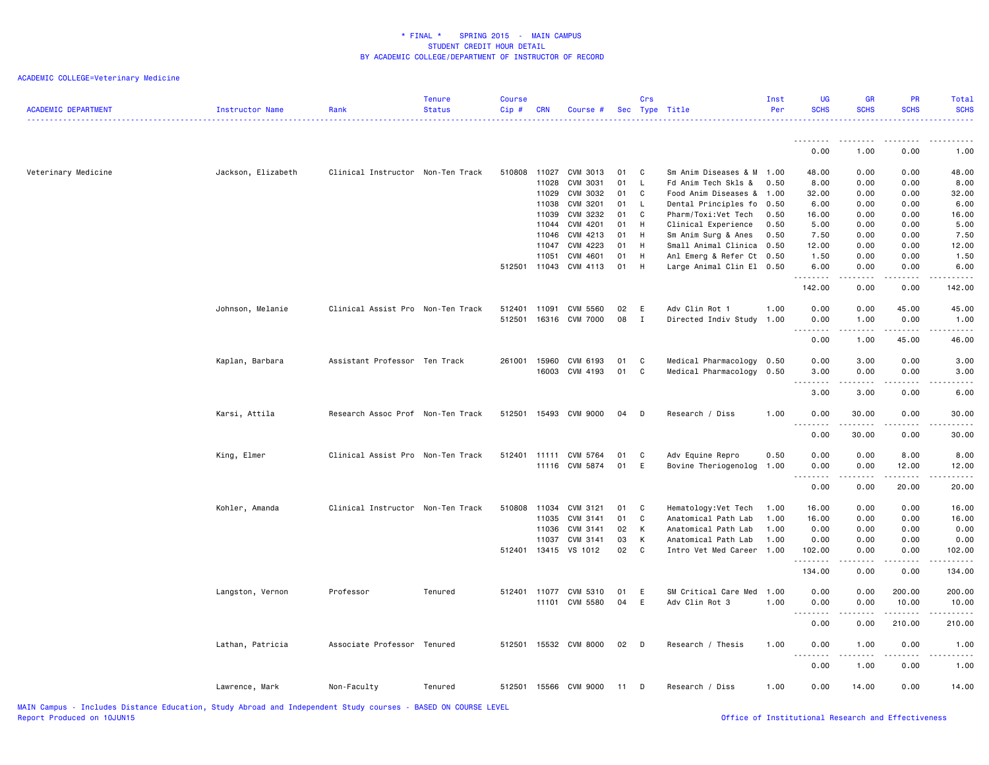| <b>ACADEMIC DEPARTMENT</b> | Instructor Name    | Rank                              | <b>Tenure</b><br><b>Status</b> | <b>Course</b><br>Cip# | CRN   | Course #                  |          | Crs               | Sec Type Title                              | Inst<br>Per  | <b>UG</b><br><b>SCHS</b>                                                                                                                                                      | <b>GR</b><br><b>SCHS</b>       | <b>PR</b><br><b>SCHS</b> | Total<br><b>SCHS</b>                                                                                                                                                                                                                                                                                                               |
|----------------------------|--------------------|-----------------------------------|--------------------------------|-----------------------|-------|---------------------------|----------|-------------------|---------------------------------------------|--------------|-------------------------------------------------------------------------------------------------------------------------------------------------------------------------------|--------------------------------|--------------------------|------------------------------------------------------------------------------------------------------------------------------------------------------------------------------------------------------------------------------------------------------------------------------------------------------------------------------------|
|                            |                    |                                   |                                |                       |       |                           |          |                   |                                             |              | .                                                                                                                                                                             | ----                           |                          |                                                                                                                                                                                                                                                                                                                                    |
|                            |                    |                                   |                                |                       |       |                           |          |                   |                                             |              | 0.00                                                                                                                                                                          | 1.00                           | 0.00                     | 1.00                                                                                                                                                                                                                                                                                                                               |
| Veterinary Medicine        | Jackson, Elizabeth | Clinical Instructor Non-Ten Track |                                | 510808 11027          |       | CVM 3013                  | 01       | $\mathbf{C}$      | Sm Anim Diseases & M                        | 1.00         | 48.00                                                                                                                                                                         | 0.00                           | 0.00                     | 48.00                                                                                                                                                                                                                                                                                                                              |
|                            |                    |                                   |                                |                       | 11028 | CVM 3031                  | 01       | $\mathsf{L}$      | Fd Anim Tech Skls &                         | 0.50         | 8.00                                                                                                                                                                          | 0.00                           | 0.00                     | 8.00                                                                                                                                                                                                                                                                                                                               |
|                            |                    |                                   |                                |                       | 11029 | CVM 3032                  | 01       | C                 | Food Anim Diseases &                        | 1.00         | 32.00                                                                                                                                                                         | 0.00                           | 0.00                     | 32.00                                                                                                                                                                                                                                                                                                                              |
|                            |                    |                                   |                                |                       | 11038 | CVM 3201                  | 01       | <b>L</b>          | Dental Principles fo                        | 0.50         | 6.00                                                                                                                                                                          | 0.00                           | 0.00                     | 6.00                                                                                                                                                                                                                                                                                                                               |
|                            |                    |                                   |                                |                       | 11039 | CVM 3232                  | 01       | C                 | Pharm/Toxi:Vet Tech                         | 0.50         | 16.00                                                                                                                                                                         | 0.00                           | 0.00                     | 16.00                                                                                                                                                                                                                                                                                                                              |
|                            |                    |                                   |                                |                       | 11044 | CVM 4201                  | 01       | H                 | Clinical Experience                         | 0.50         | 5.00                                                                                                                                                                          | 0.00                           | 0.00                     | 5.00                                                                                                                                                                                                                                                                                                                               |
|                            |                    |                                   |                                |                       | 11046 | CVM 4213                  | 01       | H                 | Sm Anim Surg & Anes                         | 0.50         | 7.50                                                                                                                                                                          | 0.00                           | 0.00                     | 7.50                                                                                                                                                                                                                                                                                                                               |
|                            |                    |                                   |                                |                       | 11047 | CVM 4223                  | 01       | H                 | Small Animal Clinica                        | 0.50         | 12.00                                                                                                                                                                         | 0.00                           | 0.00                     | 12.00                                                                                                                                                                                                                                                                                                                              |
|                            |                    |                                   |                                |                       | 11051 | CVM 4601                  | 01       | H                 | Anl Emerg & Refer Ct 0.50                   |              | 1.50                                                                                                                                                                          | 0.00                           | 0.00                     | 1.50                                                                                                                                                                                                                                                                                                                               |
|                            |                    |                                   |                                | 512501 11043          |       | CVM 4113                  | 01       | H                 | Large Animal Clin El 0.50                   |              | 6.00                                                                                                                                                                          | 0.00                           | 0.00                     | 6.00                                                                                                                                                                                                                                                                                                                               |
|                            |                    |                                   |                                |                       |       |                           |          |                   |                                             |              | .                                                                                                                                                                             | .                              | -----                    | $\frac{1}{2} \left( \begin{array}{ccc} 1 & 0 & 0 & 0 & 0 \\ 0 & 0 & 0 & 0 & 0 \\ 0 & 0 & 0 & 0 & 0 \\ 0 & 0 & 0 & 0 & 0 \\ 0 & 0 & 0 & 0 & 0 \\ 0 & 0 & 0 & 0 & 0 \\ 0 & 0 & 0 & 0 & 0 \\ 0 & 0 & 0 & 0 & 0 \\ 0 & 0 & 0 & 0 & 0 \\ 0 & 0 & 0 & 0 & 0 \\ 0 & 0 & 0 & 0 & 0 \\ 0 & 0 & 0 & 0 & 0 \\ 0 & 0 & 0 & 0 & 0 \\ 0 & 0 & 0$ |
|                            |                    |                                   |                                |                       |       |                           |          |                   |                                             |              | 142.00                                                                                                                                                                        | 0.00                           | 0.00                     | 142.00                                                                                                                                                                                                                                                                                                                             |
|                            | Johnson, Melanie   | Clinical Assist Pro Non-Ten Track |                                | 512401                | 11091 | CVM 5560                  | 02       | E                 | Adv Clin Rot 1                              | 1.00         | 0.00                                                                                                                                                                          | 0.00                           | 45.00                    | 45.00                                                                                                                                                                                                                                                                                                                              |
|                            |                    |                                   |                                | 512501                |       | 16316 CVM 7000            | 08       | $\mathbf{I}$      | Directed Indiv Study                        | 1.00         | 0.00                                                                                                                                                                          | 1.00                           | 0.00                     | 1.00                                                                                                                                                                                                                                                                                                                               |
|                            |                    |                                   |                                |                       |       |                           |          |                   |                                             |              | $\frac{1}{2}$                                                                                                                                                                 | $- - -$                        |                          |                                                                                                                                                                                                                                                                                                                                    |
|                            |                    |                                   |                                |                       |       |                           |          |                   |                                             |              | 0.00                                                                                                                                                                          | 1.00                           | 45.00                    | 46.00                                                                                                                                                                                                                                                                                                                              |
|                            | Kaplan, Barbara    | Assistant Professor Ten Track     |                                | 261001                | 15960 | CVM 6193                  | 01       | $\mathbf{C}$      | Medical Pharmacology                        | 0.50         | 0.00                                                                                                                                                                          | 3.00                           | 0.00                     | 3.00                                                                                                                                                                                                                                                                                                                               |
|                            |                    |                                   |                                |                       |       | 16003 CVM 4193            | 01       | $\mathbf{C}$      | Medical Pharmacology 0.50                   |              | 3.00                                                                                                                                                                          | 0.00                           | 0.00                     | 3.00                                                                                                                                                                                                                                                                                                                               |
|                            |                    |                                   |                                |                       |       |                           |          |                   |                                             |              | .                                                                                                                                                                             | $\sim$ $\sim$ $\sim$ $\sim$    |                          |                                                                                                                                                                                                                                                                                                                                    |
|                            |                    |                                   |                                |                       |       |                           |          |                   |                                             |              | 3.00                                                                                                                                                                          | 3.00                           | 0.00                     | 6.00                                                                                                                                                                                                                                                                                                                               |
|                            | Karsi, Attila      | Research Assoc Prof Non-Ten Track |                                |                       |       | 512501 15493 CVM 9000     | 04 D     |                   | Research / Diss                             | 1.00         | 0.00                                                                                                                                                                          | 30.00                          | 0.00                     | 30.00                                                                                                                                                                                                                                                                                                                              |
|                            |                    |                                   |                                |                       |       |                           |          |                   |                                             |              | $\sim$ $\sim$<br>$\frac{1}{2} \left( \frac{1}{2} \right) \left( \frac{1}{2} \right) \left( \frac{1}{2} \right) \left( \frac{1}{2} \right) \left( \frac{1}{2} \right)$<br>0.00 | $- - - - -$<br>30.00           | 0.00                     | 30.00                                                                                                                                                                                                                                                                                                                              |
|                            |                    |                                   |                                |                       |       |                           |          |                   |                                             |              |                                                                                                                                                                               |                                |                          |                                                                                                                                                                                                                                                                                                                                    |
|                            | King, Elmer        | Clinical Assist Pro Non-Ten Track |                                | 512401                | 11111 | CVM 5764                  | 01       | C                 | Adv Equine Repro                            | 0.50         | 0.00                                                                                                                                                                          | 0.00                           | 8.00                     | 8.00                                                                                                                                                                                                                                                                                                                               |
|                            |                    |                                   |                                |                       | 11116 | CVM 5874                  | 01       | E                 | Bovine Theriogenolog                        | 1.00         | 0.00                                                                                                                                                                          | 0.00                           | 12.00                    | 12.00                                                                                                                                                                                                                                                                                                                              |
|                            |                    |                                   |                                |                       |       |                           |          |                   |                                             |              | 0.00                                                                                                                                                                          | 0.00                           | 20.00                    | 20.00                                                                                                                                                                                                                                                                                                                              |
|                            |                    |                                   |                                | 510808                | 11034 | CVM 3121                  |          | $\mathbf{C}$      |                                             |              | 16.00                                                                                                                                                                         |                                | 0.00                     | 16.00                                                                                                                                                                                                                                                                                                                              |
|                            | Kohler, Amanda     | Clinical Instructor Non-Ten Track |                                |                       |       |                           | 01       |                   | Hematology: Vet Tech                        | 1.00         |                                                                                                                                                                               | 0.00                           |                          |                                                                                                                                                                                                                                                                                                                                    |
|                            |                    |                                   |                                |                       | 11035 | CVM 3141                  | 01       | C                 | Anatomical Path Lab                         | 1.00         | 16.00                                                                                                                                                                         | 0.00                           | 0.00                     | 16.00                                                                                                                                                                                                                                                                                                                              |
|                            |                    |                                   |                                |                       | 11036 | CVM 3141                  | 02       | $\mathsf{K}$      | Anatomical Path Lab                         | 1.00         | 0.00                                                                                                                                                                          | 0.00                           | 0.00                     | 0.00                                                                                                                                                                                                                                                                                                                               |
|                            |                    |                                   |                                | 512401                | 11037 | CVM 3141<br>13415 VS 1012 | 03<br>02 | К<br>$\mathbf{C}$ | Anatomical Path Lab<br>Intro Vet Med Career | 1.00<br>1.00 | 0.00<br>102.00                                                                                                                                                                | 0.00<br>0.00                   | 0.00<br>0.00             | 0.00<br>102.00                                                                                                                                                                                                                                                                                                                     |
|                            |                    |                                   |                                |                       |       |                           |          |                   |                                             |              | .                                                                                                                                                                             | .                              | .                        |                                                                                                                                                                                                                                                                                                                                    |
|                            |                    |                                   |                                |                       |       |                           |          |                   |                                             |              | 134.00                                                                                                                                                                        | 0.00                           | 0.00                     | 134.00                                                                                                                                                                                                                                                                                                                             |
|                            | Langston, Vernon   | Professor                         | Tenured                        |                       |       | 512401 11077 CVM 5310     | 01       | E                 | SM Critical Care Med                        | 1.00         | 0.00                                                                                                                                                                          | 0.00                           | 200.00                   | 200.00                                                                                                                                                                                                                                                                                                                             |
|                            |                    |                                   |                                |                       |       | 11101 CVM 5580            | 04       | E                 | Adv Clin Rot 3                              | 1.00         | 0.00                                                                                                                                                                          | 0.00                           | 10.00                    | 10.00                                                                                                                                                                                                                                                                                                                              |
|                            |                    |                                   |                                |                       |       |                           |          |                   |                                             |              | .                                                                                                                                                                             | .                              | .                        | .                                                                                                                                                                                                                                                                                                                                  |
|                            |                    |                                   |                                |                       |       |                           |          |                   |                                             |              | 0.00                                                                                                                                                                          | 0.00                           | 210.00                   | 210.00                                                                                                                                                                                                                                                                                                                             |
|                            | Lathan, Patricia   | Associate Professor Tenured       |                                | 512501                |       | 15532 CVM 8000            | $02$ D   |                   | Research / Thesis                           | 1.00         | 0.00<br>$\frac{1}{2} \left( \frac{1}{2} \right) \left( \frac{1}{2} \right) \left( \frac{1}{2} \right) \left( \frac{1}{2} \right) \left( \frac{1}{2} \right)$                  | 1.00<br>$\omega$ is a $\omega$ | 0.00<br>.                | 1.00                                                                                                                                                                                                                                                                                                                               |
|                            |                    |                                   |                                |                       |       |                           |          |                   |                                             |              | 0.00                                                                                                                                                                          | 1.00                           | 0.00                     | 1.00                                                                                                                                                                                                                                                                                                                               |
|                            | Lawrence, Mark     | Non-Faculty                       | Tenured                        | 512501                |       | 15566 CVM 9000            | 11 D     |                   | Research / Diss                             | 1.00         | 0.00                                                                                                                                                                          | 14.00                          | 0.00                     | 14.00                                                                                                                                                                                                                                                                                                                              |
|                            |                    |                                   |                                |                       |       |                           |          |                   |                                             |              |                                                                                                                                                                               |                                |                          |                                                                                                                                                                                                                                                                                                                                    |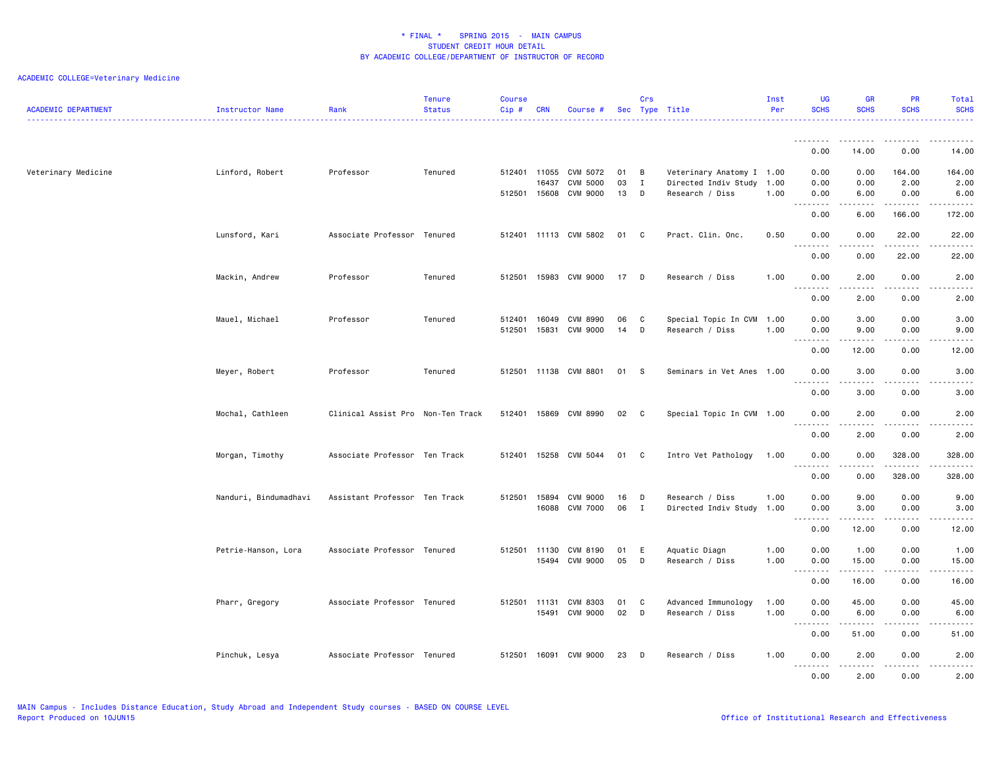| <b>ACADEMIC DEPARTMENT</b> | Instructor Name       | Rank                              | <b>Tenure</b><br><b>Status</b> | <b>Course</b><br>Cip# | <b>CRN</b>     | Course #                    |          | Crs               | Sec Type Title                                    | Inst<br>Per  | <b>UG</b><br><b>SCHS</b>          | <b>GR</b><br><b>SCHS</b> | <b>PR</b><br><b>SCHS</b>            | Total<br><b>SCHS</b>                                                                                                                                         |
|----------------------------|-----------------------|-----------------------------------|--------------------------------|-----------------------|----------------|-----------------------------|----------|-------------------|---------------------------------------------------|--------------|-----------------------------------|--------------------------|-------------------------------------|--------------------------------------------------------------------------------------------------------------------------------------------------------------|
|                            |                       |                                   |                                |                       |                |                             |          |                   |                                                   |              | --------                          | .                        | . <u>.</u> .                        | . <b>.</b> .                                                                                                                                                 |
|                            |                       |                                   |                                |                       |                |                             |          |                   |                                                   |              | 0.00                              | 14.00                    | 0.00                                | 14.00                                                                                                                                                        |
| Veterinary Medicine        | Linford, Robert       | Professor                         | Tenured                        | 512401 11055          | 16437          | CVM 5072<br>CVM 5000        | 01<br>03 | B<br>$\mathbf{I}$ | Veterinary Anatomy I 1.00<br>Directed Indiv Study | 1.00         | 0.00<br>0.00                      | 0.00<br>0.00             | 164.00<br>2.00                      | 164.00<br>2.00                                                                                                                                               |
|                            |                       |                                   |                                | 512501 15608          |                | CVM 9000                    | 13       | D                 | Research / Diss                                   | 1.00         | 0.00<br>.<br>$\sim$ $\sim$ .      | 6.00                     | 0.00<br>د د د د د                   | 6.00<br>.                                                                                                                                                    |
|                            |                       |                                   |                                |                       |                |                             |          |                   |                                                   |              | 0.00                              | 6.00                     | 166.00                              | 172.00                                                                                                                                                       |
|                            | Lunsford, Kari        | Associate Professor Tenured       |                                |                       |                | 512401 11113 CVM 5802       | 01       | C.                | Pract. Clin. Onc.                                 | 0.50         | 0.00<br>$\sim$ $\sim$ .<br>.      | 0.00<br>$\frac{1}{2}$    | 22.00<br>.                          | 22.00<br>.                                                                                                                                                   |
|                            |                       |                                   |                                |                       |                |                             |          |                   |                                                   |              | 0.00                              | 0.00                     | 22.00                               | 22.00                                                                                                                                                        |
|                            | Mackin, Andrew        | Professor                         | Tenured                        |                       |                | 512501 15983 CVM 9000       | 17 D     |                   | Research / Diss                                   | 1.00         | 0.00<br>د د د د<br>$\sim$ $\sim$  | 2.00<br>.                | 0.00<br>.                           | 2.00<br>2.2.2.2.2                                                                                                                                            |
|                            |                       |                                   |                                |                       |                |                             |          |                   |                                                   |              | 0.00                              | 2.00                     | 0.00                                | 2.00                                                                                                                                                         |
|                            | Mauel, Michael        | Professor                         | Tenured                        | 512401<br>512501      | 16049<br>15831 | <b>CVM 8990</b><br>CVM 9000 | 06<br>14 | C<br>D            | Special Topic In CVM 1.00<br>Research / Diss      | 1.00         | 0.00<br>0.00                      | 3.00<br>9.00             | 0.00<br>0.00                        | 3.00<br>9.00                                                                                                                                                 |
|                            |                       |                                   |                                |                       |                |                             |          |                   |                                                   |              | .                                 | .                        | .                                   | $\sim$ $\sim$ $\sim$ $\sim$ $\sim$                                                                                                                           |
|                            |                       |                                   |                                |                       |                |                             |          |                   |                                                   |              | 0.00                              | 12.00                    | 0.00                                | 12.00                                                                                                                                                        |
|                            | Meyer, Robert         | Professor                         | Tenured                        |                       |                | 512501 11138 CVM 8801       | 01 S     |                   | Seminars in Vet Anes 1.00                         |              | 0.00<br>.<br>$\sim$ $\sim$ .      | 3.00<br>.                | 0.00<br>.                           | 3.00<br>$\frac{1}{2} \left( \frac{1}{2} \right) \left( \frac{1}{2} \right) \left( \frac{1}{2} \right) \left( \frac{1}{2} \right)$                            |
|                            |                       |                                   |                                |                       |                |                             |          |                   |                                                   |              | 0.00                              | 3.00                     | 0.00                                | 3.00                                                                                                                                                         |
|                            | Mochal, Cathleen      | Clinical Assist Pro Non-Ten Track |                                | 512401                |                | 15869 CVM 8990              | 02       | $\mathbf{C}$      | Special Topic In CVM 1.00                         |              | 0.00<br>.<br>$\sim$ $\sim$ $\sim$ | 2.00                     | 0.00<br>- - - -                     | 2.00<br>.                                                                                                                                                    |
|                            |                       |                                   |                                |                       |                |                             |          |                   |                                                   |              | 0.00                              | 2.00                     | 0.00                                | 2.00                                                                                                                                                         |
|                            | Morgan, Timothy       | Associate Professor Ten Track     |                                | 512401                | 15258          | CVM 5044                    | 01       | C                 | Intro Vet Pathology                               | 1.00         | 0.00<br>.                         | 0.00                     | 328.00<br><u>.</u>                  | 328.00<br>.                                                                                                                                                  |
|                            |                       |                                   |                                |                       |                |                             |          |                   |                                                   |              | 0.00                              | 0.00                     | 328.00                              | 328.00                                                                                                                                                       |
|                            | Nanduri, Bindumadhavi | Assistant Professor Ten Track     |                                | 512501 15894          |                | <b>CVM 9000</b>             | 16       | D                 | Research / Diss                                   | 1.00         | 0.00                              | 9.00                     | 0.00                                | 9.00                                                                                                                                                         |
|                            |                       |                                   |                                |                       | 16088          | <b>CVM 7000</b>             | 06       | $\mathbf{I}$      | Directed Indiv Study                              | 1.00         | 0.00<br>.<br>$\sim$ $\sim$ .      | 3.00                     | 0.00<br>$\sim$ $\sim$ $\sim$ $\sim$ | 3.00<br>-----                                                                                                                                                |
|                            |                       |                                   |                                |                       |                |                             |          |                   |                                                   |              | 0.00                              | 12.00                    | 0.00                                | 12.00                                                                                                                                                        |
|                            | Petrie-Hanson, Lora   | Associate Professor Tenured       |                                | 512501                | 11130<br>15494 | CVM 8190<br>CVM 9000        | 01<br>05 | E<br>D            | Aquatic Diagn<br>Research / Diss                  | 1.00<br>1.00 | 0.00<br>0.00                      | 1.00<br>15.00            | 0.00<br>0.00                        | 1.00<br>15.00                                                                                                                                                |
|                            |                       |                                   |                                |                       |                |                             |          |                   |                                                   |              | .<br>$\sim$ $\sim$ .<br>0.00      | .<br>16.00               | .<br>0.00                           | .<br>16.00                                                                                                                                                   |
|                            | Pharr, Gregory        | Associate Professor Tenured       |                                | 512501 11131          |                | CVM 8303                    | 01       | C                 | Advanced Immunology                               | 1.00         | 0.00                              | 45.00                    | 0.00                                | 45.00                                                                                                                                                        |
|                            |                       |                                   |                                |                       | 15491          | CVM 9000                    | 02       | D                 | Research / Diss                                   | 1.00         | 0.00<br>$\sim$ $\sim$ $\sim$<br>. | 6.00                     | 0.00                                | 6.00<br>$\frac{1}{2} \left( \frac{1}{2} \right) \left( \frac{1}{2} \right) \left( \frac{1}{2} \right) \left( \frac{1}{2} \right) \left( \frac{1}{2} \right)$ |
|                            |                       |                                   |                                |                       |                |                             |          |                   |                                                   |              | 0.00                              | 51.00                    | 0.00                                | 51.00                                                                                                                                                        |
|                            | Pinchuk, Lesya        | Associate Professor Tenured       |                                |                       |                | 512501 16091 CVM 9000       | 23       | D                 | Research / Diss                                   | 1.00         | 0.00                              | 2.00                     | 0.00                                | 2.00                                                                                                                                                         |
|                            |                       |                                   |                                |                       |                |                             |          |                   |                                                   |              | $\frac{1}{2}$<br>-----<br>0.00    | .<br>2.00                | . <b>.</b> .<br>0.00                | $\frac{1}{2}$<br>2.00                                                                                                                                        |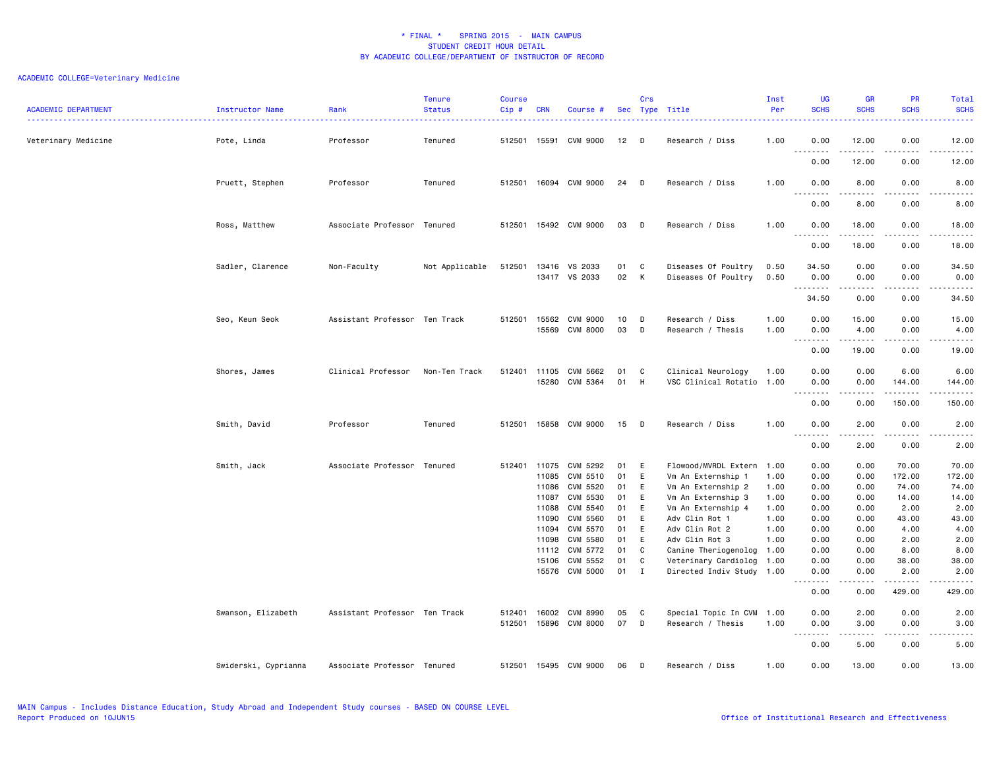| <b>ACADEMIC DEPARTMENT</b> | Instructor Name      | Rank                          | <b>Tenure</b><br><b>Status</b> | <b>Course</b><br>Cip# | <b>CRN</b>     | Course #                    |          | Crs         | Sec Type Title                                  | Inst<br>Per  | <b>UG</b><br><b>SCHS</b>                                                                                                                                                                                                                                                                                                                                                                                                                                                                       | <b>GR</b><br><b>SCHS</b>                                                                                                                                      | <b>PR</b><br><b>SCHS</b> | Total<br><b>SCHS</b><br>$\frac{1}{2} \left( \frac{1}{2} \right) \left( \frac{1}{2} \right) \left( \frac{1}{2} \right) \left( \frac{1}{2} \right)$             |
|----------------------------|----------------------|-------------------------------|--------------------------------|-----------------------|----------------|-----------------------------|----------|-------------|-------------------------------------------------|--------------|------------------------------------------------------------------------------------------------------------------------------------------------------------------------------------------------------------------------------------------------------------------------------------------------------------------------------------------------------------------------------------------------------------------------------------------------------------------------------------------------|---------------------------------------------------------------------------------------------------------------------------------------------------------------|--------------------------|---------------------------------------------------------------------------------------------------------------------------------------------------------------|
| Veterinary Medicine        | Pote, Linda          | Professor                     | Tenured                        | 512501                |                | 15591 CVM 9000              | $12$ D   |             | Research / Diss                                 | 1.00         | 0.00                                                                                                                                                                                                                                                                                                                                                                                                                                                                                           | 12.00<br>.                                                                                                                                                    | 0.00<br>.                | 12.00<br>$\frac{1}{2} \left( \frac{1}{2} \right) \left( \frac{1}{2} \right) \left( \frac{1}{2} \right) \left( \frac{1}{2} \right) \left( \frac{1}{2} \right)$ |
|                            |                      |                               |                                |                       |                |                             |          |             |                                                 |              | 0.00                                                                                                                                                                                                                                                                                                                                                                                                                                                                                           | 12.00                                                                                                                                                         | 0.00                     | 12.00                                                                                                                                                         |
|                            | Pruett, Stephen      | Professor                     | Tenured                        | 512501                |                | 16094 CVM 9000              | 24       | D           | Research / Diss                                 | 1.00         | 0.00<br>.                                                                                                                                                                                                                                                                                                                                                                                                                                                                                      | 8.00                                                                                                                                                          | 0.00                     | 8.00<br>.                                                                                                                                                     |
|                            |                      |                               |                                |                       |                |                             |          |             |                                                 |              | 0.00                                                                                                                                                                                                                                                                                                                                                                                                                                                                                           | 8.00                                                                                                                                                          | 0.00                     | 8.00                                                                                                                                                          |
|                            | Ross, Matthew        | Associate Professor Tenured   |                                | 512501                |                | 15492 CVM 9000              | 03       | D           | Research / Diss                                 | 1.00         | 0.00<br>$ -$<br>$\frac{1}{2} \left( \frac{1}{2} \right) \left( \frac{1}{2} \right) \left( \frac{1}{2} \right) \left( \frac{1}{2} \right) \left( \frac{1}{2} \right)$                                                                                                                                                                                                                                                                                                                           | 18.00<br>$\frac{1}{2} \left( \frac{1}{2} \right) \left( \frac{1}{2} \right) \left( \frac{1}{2} \right) \left( \frac{1}{2} \right) \left( \frac{1}{2} \right)$ | 0.00<br>$- - - -$        | 18.00<br>$\frac{1}{2} \left( \frac{1}{2} \right) \left( \frac{1}{2} \right) \left( \frac{1}{2} \right) \left( \frac{1}{2} \right) \left( \frac{1}{2} \right)$ |
|                            | Sadler, Clarence     | Non-Faculty                   | Not Applicable                 | 512501                | 13416          | VS 2033                     | 01       | C           | Diseases Of Poultry                             | 0.50         | 0.00<br>34.50                                                                                                                                                                                                                                                                                                                                                                                                                                                                                  | 18.00<br>0.00                                                                                                                                                 | 0.00<br>0.00             | 18.00<br>34.50                                                                                                                                                |
|                            |                      |                               |                                |                       | 13417          | VS 2033                     | 02       | K           | Diseases Of Poultry                             | 0.50         | 0.00<br>.                                                                                                                                                                                                                                                                                                                                                                                                                                                                                      | 0.00                                                                                                                                                          | 0.00                     | 0.00<br>$\frac{1}{2} \left( \frac{1}{2} \right) \left( \frac{1}{2} \right) \left( \frac{1}{2} \right) \left( \frac{1}{2} \right) \left( \frac{1}{2} \right)$  |
|                            |                      |                               |                                |                       |                |                             |          |             |                                                 |              | 34.50                                                                                                                                                                                                                                                                                                                                                                                                                                                                                          | 0.00                                                                                                                                                          | 0.00                     | 34.50                                                                                                                                                         |
|                            | Seo, Keun Seok       | Assistant Professor Ten Track |                                | 512501                | 15562<br>15569 | CVM 9000<br><b>CVM 8000</b> | 10<br>03 | D<br>D      | Research / Diss<br>Research / Thesis            | 1.00<br>1.00 | 0.00<br>0.00                                                                                                                                                                                                                                                                                                                                                                                                                                                                                   | 15.00<br>4.00                                                                                                                                                 | 0.00<br>0.00             | 15.00<br>4.00                                                                                                                                                 |
|                            |                      |                               |                                |                       |                |                             |          |             |                                                 |              | $\begin{array}{cccccccccccccc} \multicolumn{2}{c}{} & \multicolumn{2}{c}{} & \multicolumn{2}{c}{} & \multicolumn{2}{c}{} & \multicolumn{2}{c}{} & \multicolumn{2}{c}{} & \multicolumn{2}{c}{} & \multicolumn{2}{c}{} & \multicolumn{2}{c}{} & \multicolumn{2}{c}{} & \multicolumn{2}{c}{} & \multicolumn{2}{c}{} & \multicolumn{2}{c}{} & \multicolumn{2}{c}{} & \multicolumn{2}{c}{} & \multicolumn{2}{c}{} & \multicolumn{2}{c}{} & \multicolumn{2}{c}{} & \multicolumn{2}{c}{} & \$<br>0.00 | .<br>19.00                                                                                                                                                    | .<br>0.00                | $\omega$ is $\omega$ in $\omega$<br>19.00                                                                                                                     |
|                            | Shores, James        | Clinical Professor            | Non-Ten Track                  | 512401                | 11105<br>15280 | CVM 5662<br>CVM 5364        | 01<br>01 | C.          | Clinical Neurology<br>VSC Clinical Rotatio 1.00 | 1.00         | 0.00                                                                                                                                                                                                                                                                                                                                                                                                                                                                                           | 0.00                                                                                                                                                          | 6.00                     | 6.00                                                                                                                                                          |
|                            |                      |                               |                                |                       |                |                             |          | H           |                                                 |              | 0.00<br>$\frac{1}{2} \left( \frac{1}{2} \right) \left( \frac{1}{2} \right) \left( \frac{1}{2} \right) \left( \frac{1}{2} \right)$<br>0.00                                                                                                                                                                                                                                                                                                                                                      | 0.00<br>0.00                                                                                                                                                  | 144.00<br>.<br>150.00    | 144.00<br>والمستحدث<br>150.00                                                                                                                                 |
|                            | Smith, David         | Professor                     | Tenured                        | 512501                |                | 15858 CVM 9000              | 15       | $\Box$      | Research / Diss                                 | 1.00         | 0.00                                                                                                                                                                                                                                                                                                                                                                                                                                                                                           | 2.00                                                                                                                                                          | 0.00                     | 2.00                                                                                                                                                          |
|                            |                      |                               |                                |                       |                |                             |          |             |                                                 |              | .<br>$\sim$ $\sim$<br>0.00                                                                                                                                                                                                                                                                                                                                                                                                                                                                     | .<br>2.00                                                                                                                                                     | .<br>0.00                | -----<br>2.00                                                                                                                                                 |
|                            | Smith, Jack          | Associate Professor Tenured   |                                | 512401                | 11075          | CVM 5292                    | 01       | E           | Flowood/MVRDL Extern                            | 1.00         | 0.00                                                                                                                                                                                                                                                                                                                                                                                                                                                                                           | 0.00                                                                                                                                                          | 70.00                    | 70.00                                                                                                                                                         |
|                            |                      |                               |                                |                       | 11085<br>11086 | CVM 5510<br>CVM 5520        | 01       | E           | Vm An Externship 1                              | 1.00         | 0.00                                                                                                                                                                                                                                                                                                                                                                                                                                                                                           | 0.00                                                                                                                                                          | 172.00                   | 172.00                                                                                                                                                        |
|                            |                      |                               |                                |                       | 11087          | CVM 5530                    | 01<br>01 | E<br>E      | Vm An Externship 2<br>Vm An Externship 3        | 1.00<br>1.00 | 0.00<br>0.00                                                                                                                                                                                                                                                                                                                                                                                                                                                                                   | 0.00<br>0.00                                                                                                                                                  | 74.00<br>14.00           | 74.00<br>14.00                                                                                                                                                |
|                            |                      |                               |                                |                       | 11088          | CVM 5540                    | 01       | E           | Vm An Externship 4                              | 1.00         | 0.00                                                                                                                                                                                                                                                                                                                                                                                                                                                                                           | 0.00                                                                                                                                                          | 2.00                     | 2.00                                                                                                                                                          |
|                            |                      |                               |                                |                       | 11090          | CVM 5560                    | 01       | E           | Adv Clin Rot 1                                  | 1.00         | 0.00                                                                                                                                                                                                                                                                                                                                                                                                                                                                                           | 0.00                                                                                                                                                          | 43.00                    | 43.00                                                                                                                                                         |
|                            |                      |                               |                                |                       | 11094          | CVM 5570                    | 01       | E           | Adv Clin Rot 2                                  | 1.00         | 0.00                                                                                                                                                                                                                                                                                                                                                                                                                                                                                           | 0.00                                                                                                                                                          | 4.00                     | 4.00                                                                                                                                                          |
|                            |                      |                               |                                |                       | 11098          | <b>CVM 5580</b>             | 01       | E           | Adv Clin Rot 3                                  | 1.00         | 0.00                                                                                                                                                                                                                                                                                                                                                                                                                                                                                           | 0.00                                                                                                                                                          | 2.00                     | 2.00                                                                                                                                                          |
|                            |                      |                               |                                |                       | 11112          | CVM 5772                    | 01       | C           | Canine Theriogenolog 1.00                       |              | 0.00                                                                                                                                                                                                                                                                                                                                                                                                                                                                                           | 0.00                                                                                                                                                          | 8.00                     | 8.00                                                                                                                                                          |
|                            |                      |                               |                                |                       | 15106          | CVM 5552                    | 01       | C           | Veterinary Cardiolog 1.00                       |              | 0.00                                                                                                                                                                                                                                                                                                                                                                                                                                                                                           | 0.00                                                                                                                                                          | 38.00                    | 38.00                                                                                                                                                         |
|                            |                      |                               |                                |                       | 15576          | CVM 5000                    | 01       | $\mathbf I$ | Directed Indiv Study 1.00                       |              | 0.00<br>.<br>$  -$                                                                                                                                                                                                                                                                                                                                                                                                                                                                             | 0.00<br>.                                                                                                                                                     | 2.00<br>.                | 2.00<br>.                                                                                                                                                     |
|                            |                      |                               |                                |                       |                |                             |          |             |                                                 |              | 0.00                                                                                                                                                                                                                                                                                                                                                                                                                                                                                           | 0.00                                                                                                                                                          | 429.00                   | 429.00                                                                                                                                                        |
|                            | Swanson, Elizabeth   | Assistant Professor Ten Track |                                | 512401                | 16002          | CVM 8990                    | 05       | C           | Special Topic In CVM 1.00                       |              | 0.00                                                                                                                                                                                                                                                                                                                                                                                                                                                                                           | 2.00                                                                                                                                                          | 0.00                     | 2.00                                                                                                                                                          |
|                            |                      |                               |                                | 512501                |                | 15896 CVM 8000              | 07       | D           | Research / Thesis                               | 1.00         | 0.00<br>$\sim$ $\sim$<br>.                                                                                                                                                                                                                                                                                                                                                                                                                                                                     | 3.00                                                                                                                                                          | 0.00                     | 3.00                                                                                                                                                          |
|                            |                      |                               |                                |                       |                |                             |          |             |                                                 |              | 0.00                                                                                                                                                                                                                                                                                                                                                                                                                                                                                           | 5.00                                                                                                                                                          | 0.00                     | 5.00                                                                                                                                                          |
|                            | Swiderski, Cyprianna | Associate Professor Tenured   |                                |                       |                | 512501 15495 CVM 9000       | 06       | D           | Research / Diss                                 | 1.00         | 0.00                                                                                                                                                                                                                                                                                                                                                                                                                                                                                           | 13.00                                                                                                                                                         | 0.00                     | 13.00                                                                                                                                                         |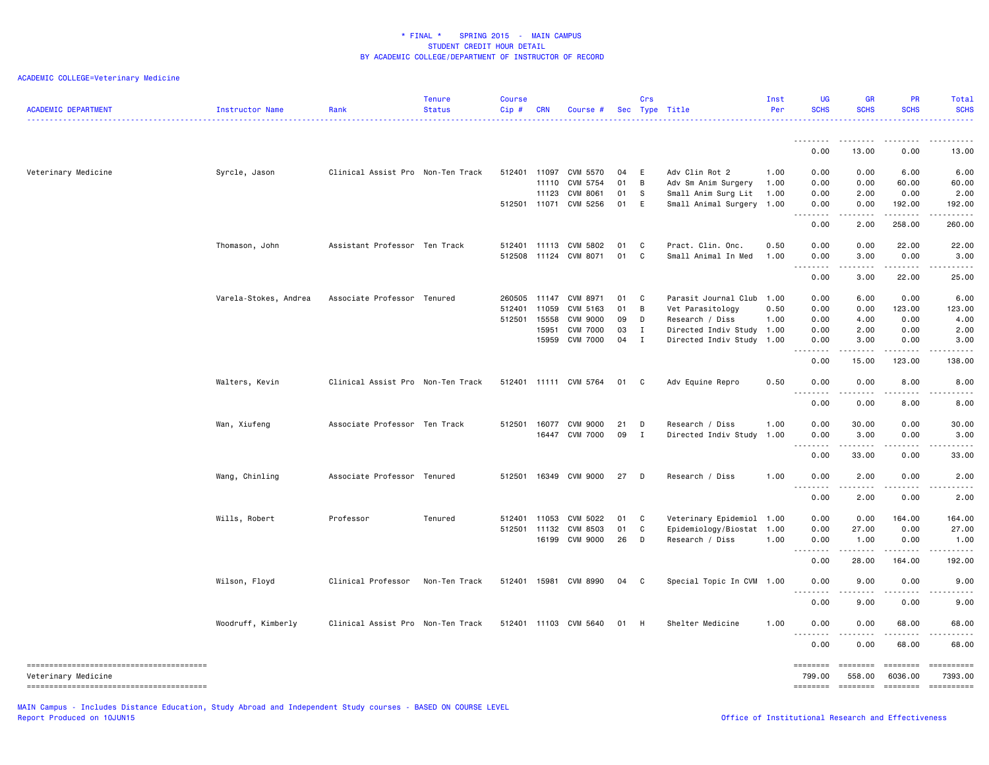| <b>ACADEMIC DEPARTMENT</b> | Instructor Name       | Rank                              | <b>Tenure</b><br><b>Status</b> | <b>Course</b><br>Cip# | <b>CRN</b>     | Course #              |          | Crs          | Sec Type Title                                   | Inst<br>Per | <b>UG</b><br><b>SCHS</b>                                                                                                                             | <b>GR</b><br><b>SCHS</b> | <b>PR</b><br><b>SCHS</b> | Total<br><b>SCHS</b>                  |
|----------------------------|-----------------------|-----------------------------------|--------------------------------|-----------------------|----------------|-----------------------|----------|--------------|--------------------------------------------------|-------------|------------------------------------------------------------------------------------------------------------------------------------------------------|--------------------------|--------------------------|---------------------------------------|
|                            |                       |                                   |                                |                       |                |                       |          |              |                                                  |             | <u>.</u>                                                                                                                                             | . <u>.</u>               |                          |                                       |
|                            |                       |                                   |                                |                       |                |                       |          |              |                                                  |             | 0.00                                                                                                                                                 | 13.00                    | 0.00                     | 13.00                                 |
| Veterinary Medicine        | Syrcle, Jason         | Clinical Assist Pro Non-Ten Track |                                | 512401                | 11097          | CVM 5570              | 04       | E            | Adv Clin Rot 2                                   | 1.00        | 0.00                                                                                                                                                 | 0.00                     | 6.00                     | 6.00                                  |
|                            |                       |                                   |                                |                       | 11110          | CVM 5754              | 01       | B            | Adv Sm Anim Surgery                              | 1.00        | 0.00                                                                                                                                                 | 0.00                     | 60.00                    | 60.00                                 |
|                            |                       |                                   |                                | 512501                | 11123<br>11071 | CVM 8061<br>CVM 5256  | 01<br>01 | S<br>E       | Small Anim Surg Lit<br>Small Animal Surgery 1.00 | 1.00        | 0.00<br>0.00                                                                                                                                         | 2.00<br>0.00             | 0.00<br>192.00           | 2.00<br>192.00                        |
|                            |                       |                                   |                                |                       |                |                       |          |              |                                                  |             | .<br>$  -$                                                                                                                                           |                          |                          | .                                     |
|                            |                       |                                   |                                |                       |                |                       |          |              |                                                  |             | 0.00                                                                                                                                                 | 2.00                     | 258.00                   | 260.00                                |
|                            | Thomason, John        | Assistant Professor Ten Track     |                                |                       |                | 512401 11113 CVM 5802 | 01       | C            | Pract. Clin. Onc.                                | 0.50        | 0.00                                                                                                                                                 | 0.00                     | 22.00                    | 22.00                                 |
|                            |                       |                                   |                                |                       |                | 512508 11124 CVM 8071 | 01       | C            | Small Animal In Med                              | 1.00        | 0.00                                                                                                                                                 | 3.00                     | 0.00                     | 3.00                                  |
|                            |                       |                                   |                                |                       |                |                       |          |              |                                                  |             | .<br>0.00                                                                                                                                            | المتمام المناد<br>3.00   | . <b>.</b><br>22.00      | .<br>25.00                            |
|                            |                       |                                   |                                | 260505                | 11147          | CVM 8971              | 01       | C            |                                                  |             | 0.00                                                                                                                                                 |                          | 0.00                     | 6.00                                  |
|                            | Varela-Stokes, Andrea | Associate Professor Tenured       |                                | 512401                | 11059          | CVM 5163              | 01       | B            | Parasit Journal Club 1.00<br>Vet Parasitology    | 0.50        | 0.00                                                                                                                                                 | 6.00<br>0.00             | 123.00                   | 123.00                                |
|                            |                       |                                   |                                | 512501                | 15558          | <b>CVM 9000</b>       | 09       | D            | Research / Diss                                  | 1.00        | 0.00                                                                                                                                                 | 4.00                     | 0.00                     | 4.00                                  |
|                            |                       |                                   |                                |                       | 15951          | <b>CVM 7000</b>       | 03       | $\mathbf I$  | Directed Indiv Study 1.00                        |             | 0.00                                                                                                                                                 | 2.00                     | 0.00                     | 2.00                                  |
|                            |                       |                                   |                                |                       | 15959          | <b>CVM 7000</b>       | 04       | $\mathbf{I}$ | Directed Indiv Study                             | 1.00        | 0.00                                                                                                                                                 | 3.00                     | 0.00                     | 3.00                                  |
|                            |                       |                                   |                                |                       |                |                       |          |              |                                                  |             | .<br>0.00                                                                                                                                            | .<br>15.00               | . <b>.</b><br>123.00     | .<br>138.00                           |
|                            | Walters, Kevin        | Clinical Assist Pro Non-Ten Track |                                |                       |                | 512401 11111 CVM 5764 | 01       | C.           | Adv Equine Repro                                 | 0.50        | 0.00                                                                                                                                                 | 0.00                     | 8.00                     | 8.00                                  |
|                            |                       |                                   |                                |                       |                |                       |          |              |                                                  |             | - - -<br>-----                                                                                                                                       |                          |                          |                                       |
|                            |                       |                                   |                                |                       |                |                       |          |              |                                                  |             | 0.00                                                                                                                                                 | 0.00                     | 8.00                     | 8.00                                  |
|                            | Wan, Xiufeng          | Associate Professor Ten Track     |                                | 512501                | 16077          | CVM 9000              | 21       | D            | Research / Diss                                  | 1.00        | 0.00                                                                                                                                                 | 30.00                    | 0.00                     | 30.00                                 |
|                            |                       |                                   |                                |                       |                | 16447 CVM 7000        | 09       | $\mathbf{I}$ | Directed Indiv Study                             | 1.00        | 0.00                                                                                                                                                 | 3.00                     | 0.00                     | 3.00                                  |
|                            |                       |                                   |                                |                       |                |                       |          |              |                                                  |             | $\sim$ $\sim$ $\sim$<br>0.00                                                                                                                         | .<br>33.00               | .<br>0.00                | $\sim$ $\sim$ $\sim$ $\sim$<br>33.00  |
|                            | Wang, Chinling        | Associate Professor Tenured       |                                | 512501                |                | 16349 CVM 9000        | 27       | D            | Research / Diss                                  | 1.00        | 0.00                                                                                                                                                 | 2.00                     | 0.00                     | 2.00                                  |
|                            |                       |                                   |                                |                       |                |                       |          |              |                                                  |             | $\frac{1}{2} \left( \frac{1}{2} \right) \left( \frac{1}{2} \right) \left( \frac{1}{2} \right) \left( \frac{1}{2} \right) \left( \frac{1}{2} \right)$ | -----                    | -----                    | $\sim$ $\sim$ $\sim$ $\sim$           |
|                            |                       |                                   |                                |                       |                |                       |          |              |                                                  |             | 0.00                                                                                                                                                 | 2.00                     | 0.00                     | 2.00                                  |
|                            | Wills, Robert         | Professor                         | Tenured                        | 512401                | 11053          | CVM 5022              | 01       | C            | Veterinary Epidemiol 1.00                        |             | 0.00                                                                                                                                                 | 0.00                     | 164.00                   | 164.00                                |
|                            |                       |                                   |                                | 512501                | 11132          | CVM 8503              | 01       | C            | Epidemiology/Biostat 1.00                        |             | 0.00                                                                                                                                                 | 27.00                    | 0.00                     | 27.00                                 |
|                            |                       |                                   |                                |                       | 16199          | CVM 9000              | 26       | D            | Research / Diss                                  | 1.00        | 0.00                                                                                                                                                 | 1.00                     | 0.00                     | 1.00                                  |
|                            |                       |                                   |                                |                       |                |                       |          |              |                                                  |             | .<br>0.00                                                                                                                                            | 28.00                    | 164.00                   | .<br>192.00                           |
|                            | Wilson, Floyd         | Clinical Professor                | Non-Ten Track                  |                       |                | 512401 15981 CVM 8990 | 04       | $\mathbf{C}$ | Special Topic In CVM 1.00                        |             | 0.00                                                                                                                                                 | 9.00                     | 0.00                     | 9.00                                  |
|                            |                       |                                   |                                |                       |                |                       |          |              |                                                  |             | .<br>0.00                                                                                                                                            | .<br>9.00                | $- - - - -$<br>0.00      | $   -$<br>9.00                        |
|                            | Woodruff, Kimberly    | Clinical Assist Pro Non-Ten Track |                                | 512401                |                | 11103 CVM 5640        | 01       | Н            | Shelter Medicine                                 | 1.00        | 0.00                                                                                                                                                 | 0.00                     | 68.00                    | 68.00                                 |
|                            |                       |                                   |                                |                       |                |                       |          |              |                                                  |             |                                                                                                                                                      | د د د د                  |                          |                                       |
|                            |                       |                                   |                                |                       |                |                       |          |              |                                                  |             | 0.00                                                                                                                                                 | 0.00                     | 68.00                    | 68.00                                 |
|                            |                       |                                   |                                |                       |                |                       |          |              |                                                  |             | ========                                                                                                                                             | <b>EEEEEEE</b>           | <b>EBBBBBBB</b>          | ==========                            |
| Veterinary Medicine        |                       |                                   |                                |                       |                |                       |          |              |                                                  |             | 799.00                                                                                                                                               | 558.00                   | 6036,00                  | 7393.00                               |
|                            |                       |                                   |                                |                       |                |                       |          |              |                                                  |             |                                                                                                                                                      |                          |                          | -------- -------- -------- ---------- |